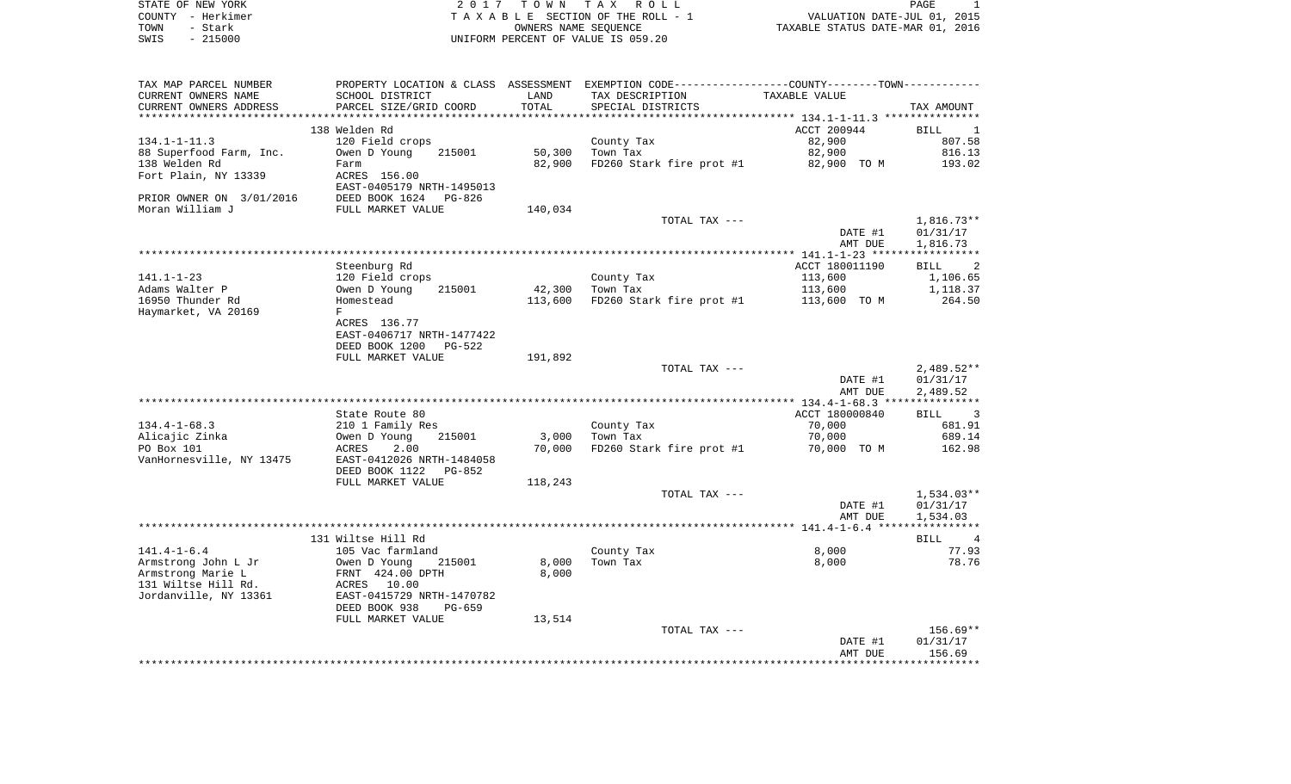| STATE OF NEW YORK | 2017 TOWN TAX ROLL                 | PAGE                             |
|-------------------|------------------------------------|----------------------------------|
| COUNTY - Herkimer | TAXABLE SECTION OF THE ROLL - 1    | VALUATION DATE-JUL 01, 2015      |
| TOWN<br>– Stark   | OWNERS NAME SEOUENCE               | TAXABLE STATUS DATE-MAR 01, 2016 |
| $-215000$<br>SWIS | UNIFORM PERCENT OF VALUE IS 059.20 |                                  |

| TAX MAP PARCEL NUMBER    | PROPERTY LOCATION & CLASS ASSESSMENT EXEMPTION CODE---------------COUNTY-------TOWN---------- |         |                          |                |                                    |
|--------------------------|-----------------------------------------------------------------------------------------------|---------|--------------------------|----------------|------------------------------------|
| CURRENT OWNERS NAME      | SCHOOL DISTRICT                                                                               | LAND    | TAX DESCRIPTION          | TAXABLE VALUE  |                                    |
| CURRENT OWNERS ADDRESS   | PARCEL SIZE/GRID COORD                                                                        | TOTAL   | SPECIAL DISTRICTS        |                | TAX AMOUNT                         |
|                          |                                                                                               |         |                          |                |                                    |
|                          | 138 Welden Rd                                                                                 |         |                          | ACCT 200944    | BILL<br>$\overline{\phantom{0}}$   |
| $134.1 - 1 - 11.3$       | 120 Field crops                                                                               |         | County Tax               | 82,900         | 807.58                             |
| 88 Superfood Farm, Inc.  | Owen D Young<br>215001                                                                        | 50,300  | Town Tax                 | 82,900         | 816.13                             |
| 138 Welden Rd            | Farm                                                                                          | 82,900  | FD260 Stark fire prot #1 | 82,900 TO M    | 193.02                             |
| Fort Plain, NY 13339     | ACRES 156.00                                                                                  |         |                          |                |                                    |
|                          | EAST-0405179 NRTH-1495013                                                                     |         |                          |                |                                    |
|                          | DEED BOOK 1624 PG-826                                                                         |         |                          |                |                                    |
| PRIOR OWNER ON 3/01/2016 |                                                                                               |         |                          |                |                                    |
| Moran William J          | FULL MARKET VALUE                                                                             | 140,034 |                          |                |                                    |
|                          |                                                                                               |         | TOTAL TAX ---            |                | $1,816.73**$                       |
|                          |                                                                                               |         |                          | DATE #1        | 01/31/17                           |
|                          |                                                                                               |         |                          | AMT DUE        | 1,816.73                           |
|                          |                                                                                               |         |                          |                |                                    |
|                          | Steenburg Rd                                                                                  |         |                          | ACCT 180011190 | $\overline{\phantom{a}}$ 2<br>BILL |
| $141.1 - 1 - 23$         | 120 Field crops                                                                               |         | County Tax               | 113,600        | 1,106.65                           |
| Adams Walter P           | Owen D Young<br>215001                                                                        | 42,300  | Town Tax                 | 113,600        | 1,118.37                           |
| 16950 Thunder Rd         | Homestead                                                                                     | 113,600 | FD260 Stark fire prot #1 | 113,600 TO M   | 264.50                             |
| Haymarket, VA 20169      | F                                                                                             |         |                          |                |                                    |
|                          | ACRES 136.77                                                                                  |         |                          |                |                                    |
|                          | EAST-0406717 NRTH-1477422                                                                     |         |                          |                |                                    |
|                          | DEED BOOK 1200<br>PG-522                                                                      |         |                          |                |                                    |
|                          | FULL MARKET VALUE                                                                             | 191,892 |                          |                |                                    |
|                          |                                                                                               |         | TOTAL TAX ---            |                | $2,489.52**$                       |
|                          |                                                                                               |         |                          | DATE #1        | 01/31/17                           |
|                          |                                                                                               |         |                          | AMT DUE        | 2,489.52                           |
|                          |                                                                                               |         |                          |                |                                    |
|                          | State Route 80                                                                                |         |                          | ACCT 180000840 |                                    |
|                          |                                                                                               |         |                          |                | BILL<br>$\sim$ 3                   |
| $134.4 - 1 - 68.3$       | 210 1 Family Res                                                                              |         | County Tax               | 70,000         | 681.91                             |
| Alicajic Zinka           | Owen D Young<br>215001                                                                        | 3,000   | Town Tax                 | 70,000         | 689.14                             |
| PO Box 101               | ACRES<br>2.00                                                                                 | 70,000  | FD260 Stark fire prot #1 | 70,000 TO M    | 162.98                             |
| VanHornesville, NY 13475 | EAST-0412026 NRTH-1484058                                                                     |         |                          |                |                                    |
|                          | DEED BOOK 1122<br>$PG-852$                                                                    |         |                          |                |                                    |
|                          | FULL MARKET VALUE                                                                             | 118,243 |                          |                |                                    |
|                          |                                                                                               |         | TOTAL TAX ---            |                | 1,534.03**                         |
|                          |                                                                                               |         |                          | DATE #1        | 01/31/17                           |
|                          |                                                                                               |         |                          | AMT DUE        | 1,534.03                           |
|                          |                                                                                               |         |                          |                |                                    |
|                          | 131 Wiltse Hill Rd                                                                            |         |                          |                | BILL 4                             |
| $141.4 - 1 - 6.4$        | 105 Vac farmland                                                                              |         | County Tax               | 8,000          | 77.93                              |
| Armstrong John L Jr      | Owen D Young<br>215001                                                                        | 8,000   | Town Tax                 | 8,000          | 78.76                              |
| Armstrong Marie L        | FRNT 424.00 DPTH                                                                              | 8,000   |                          |                |                                    |
| 131 Wiltse Hill Rd.      | ACRES 10.00                                                                                   |         |                          |                |                                    |
| Jordanville, NY 13361    | EAST-0415729 NRTH-1470782                                                                     |         |                          |                |                                    |
|                          | DEED BOOK 938<br>PG-659                                                                       |         |                          |                |                                    |
|                          | FULL MARKET VALUE                                                                             | 13,514  |                          |                |                                    |
|                          |                                                                                               |         | TOTAL TAX ---            |                | $156.69**$                         |
|                          |                                                                                               |         |                          | DATE #1        | 01/31/17                           |
|                          |                                                                                               |         |                          | AMT DUE        | 156.69                             |
|                          |                                                                                               |         |                          |                |                                    |
|                          |                                                                                               |         |                          |                |                                    |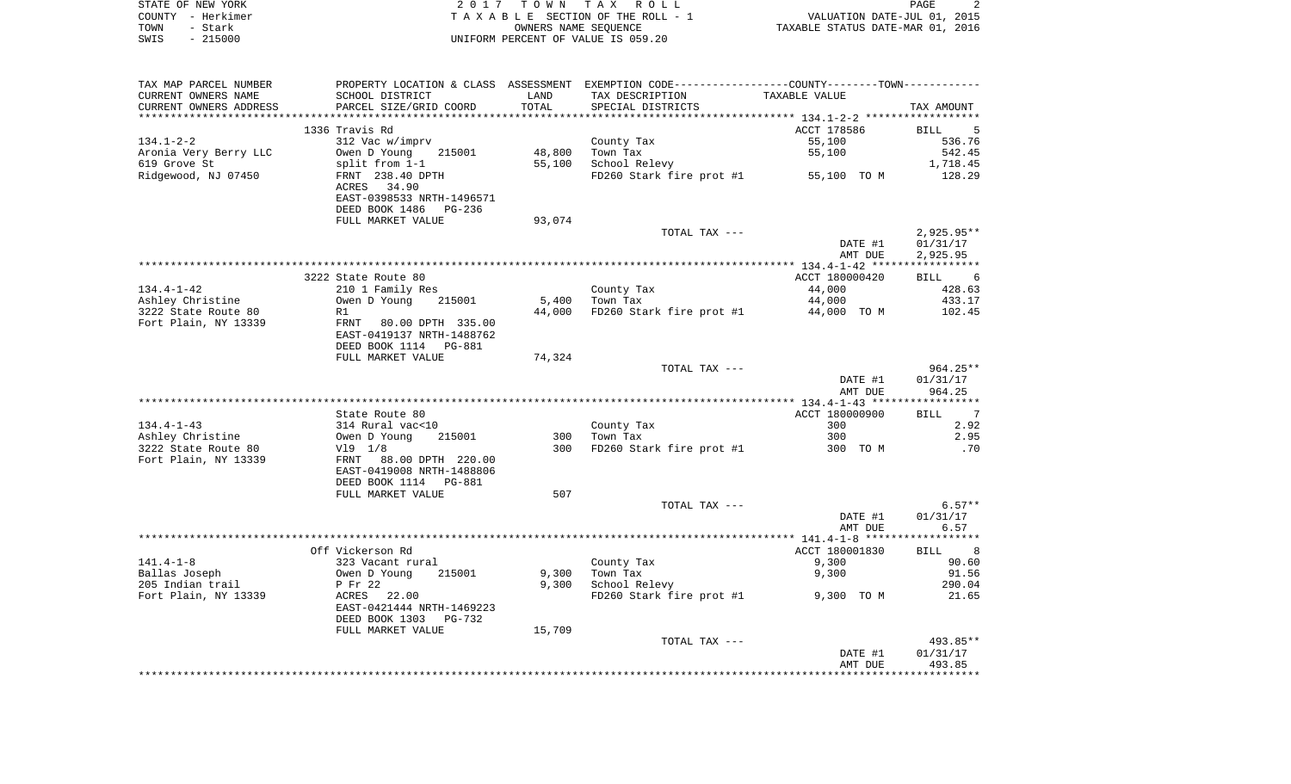|      | STATE OF NEW YORK | 2017 TOWN TAX ROLL                 |                                  | PAGE |  |
|------|-------------------|------------------------------------|----------------------------------|------|--|
|      | COUNTY - Herkimer | TAXABLE SECTION OF THE ROLL - 1    | VALUATION DATE-JUL 01, 2015      |      |  |
| TOWN | - Stark           | OWNERS NAME SEOUENCE               | TAXABLE STATUS DATE-MAR 01, 2016 |      |  |
| SWIS | - 215000          | UNIFORM PERCENT OF VALUE IS 059.20 |                                  |      |  |

| TAX MAP PARCEL NUMBER  |                            |        | PROPERTY LOCATION & CLASS ASSESSMENT EXEMPTION CODE---------------COUNTY-------TOWN---------- |                |              |
|------------------------|----------------------------|--------|-----------------------------------------------------------------------------------------------|----------------|--------------|
| CURRENT OWNERS NAME    | SCHOOL DISTRICT            | LAND   | TAX DESCRIPTION                                                                               | TAXABLE VALUE  |              |
| CURRENT OWNERS ADDRESS | PARCEL SIZE/GRID COORD     | TOTAL  | SPECIAL DISTRICTS                                                                             |                | TAX AMOUNT   |
|                        |                            |        |                                                                                               |                |              |
|                        | 1336 Travis Rd             |        |                                                                                               | ACCT 178586    | 5<br>BILL    |
| $134.1 - 2 - 2$        | 312 Vac w/imprv            |        | County Tax                                                                                    | 55,100         | 536.76       |
| Aronia Very Berry LLC  | Owen D Young<br>215001     | 48,800 | Town Tax                                                                                      | 55,100         | 542.45       |
| 619 Grove St           | split from 1-1             | 55,100 | School Relevy                                                                                 |                | 1,718.45     |
| Ridgewood, NJ 07450    | FRNT 238.40 DPTH           |        | FD260 Stark fire prot #1 55,100 TO M                                                          |                | 128.29       |
|                        | ACRES<br>34.90             |        |                                                                                               |                |              |
|                        | EAST-0398533 NRTH-1496571  |        |                                                                                               |                |              |
|                        | DEED BOOK 1486 PG-236      |        |                                                                                               |                |              |
|                        | FULL MARKET VALUE          | 93,074 |                                                                                               |                |              |
|                        |                            |        | TOTAL TAX ---                                                                                 |                | $2,925.95**$ |
|                        |                            |        |                                                                                               | DATE #1        | 01/31/17     |
|                        |                            |        |                                                                                               | AMT DUE        | 2,925.95     |
|                        |                            |        |                                                                                               |                |              |
|                        | 3222 State Route 80        |        |                                                                                               | ACCT 180000420 | BILL 6       |
| $134.4 - 1 - 42$       |                            |        | County Tax                                                                                    |                | 428.63       |
| Ashley Christine       | 210 1 Family Res<br>215001 | 5,400  |                                                                                               | 44,000         | 433.17       |
|                        | Owen D Young               |        | Town Tax                                                                                      | 44,000         |              |
| 3222 State Route 80    | R1                         | 44,000 | FD260 Stark fire prot #1                                                                      | 44,000 TO M    | 102.45       |
| Fort Plain, NY 13339   | FRNT 80.00 DPTH 335.00     |        |                                                                                               |                |              |
|                        | EAST-0419137 NRTH-1488762  |        |                                                                                               |                |              |
|                        | DEED BOOK 1114 PG-881      |        |                                                                                               |                |              |
|                        | FULL MARKET VALUE          | 74,324 |                                                                                               |                |              |
|                        |                            |        | TOTAL TAX ---                                                                                 |                | $964.25**$   |
|                        |                            |        |                                                                                               | DATE #1        | 01/31/17     |
|                        |                            |        |                                                                                               | AMT DUE        | 964.25       |
|                        |                            |        |                                                                                               |                |              |
|                        | State Route 80             |        |                                                                                               | ACCT 180000900 | BILL 7       |
| $134.4 - 1 - 43$       | 314 Rural vac<10           |        | County Tax                                                                                    | 300            | 2.92         |
| Ashley Christine       | Owen D Young<br>215001     | 300    | Town Tax                                                                                      | 300            | 2.95         |
| 3222 State Route 80    | $V19$ $1/8$                | 300    | FD260 Stark fire prot #1                                                                      | 300 TO M       | .70          |
| Fort Plain, NY 13339   | FRNT 88.00 DPTH 220.00     |        |                                                                                               |                |              |
|                        | EAST-0419008 NRTH-1488806  |        |                                                                                               |                |              |
|                        | DEED BOOK 1114 PG-881      |        |                                                                                               |                |              |
|                        | FULL MARKET VALUE          | 507    |                                                                                               |                |              |
|                        |                            |        | TOTAL TAX ---                                                                                 |                | $6.57**$     |
|                        |                            |        |                                                                                               | DATE #1        | 01/31/17     |
|                        |                            |        |                                                                                               | AMT DUE        | 6.57         |
|                        |                            |        |                                                                                               |                |              |
|                        | Off Vickerson Rd           |        |                                                                                               | ACCT 180001830 | BILL 8       |
| $141.4 - 1 - 8$        | 323 Vacant rural           |        | County Tax                                                                                    | 9,300          | 90.60        |
| Ballas Joseph          | 215001<br>Owen D Young     | 9,300  | Town Tax                                                                                      | 9,300          | 91.56        |
| 205 Indian trail       | P Fr 22                    | 9,300  | School Relevy                                                                                 |                | 290.04       |
| Fort Plain, NY 13339   | ACRES 22.00                |        | FD260 Stark fire prot #1                                                                      | 9,300 TO M     | 21.65        |
|                        | EAST-0421444 NRTH-1469223  |        |                                                                                               |                |              |
|                        | DEED BOOK 1303<br>PG-732   |        |                                                                                               |                |              |
|                        | FULL MARKET VALUE          | 15,709 |                                                                                               |                |              |
|                        |                            |        | TOTAL TAX ---                                                                                 |                | 493.85**     |
|                        |                            |        |                                                                                               | DATE #1        | 01/31/17     |
|                        |                            |        |                                                                                               | AMT DUE        | 493.85       |
|                        |                            |        |                                                                                               |                |              |
|                        |                            |        |                                                                                               |                |              |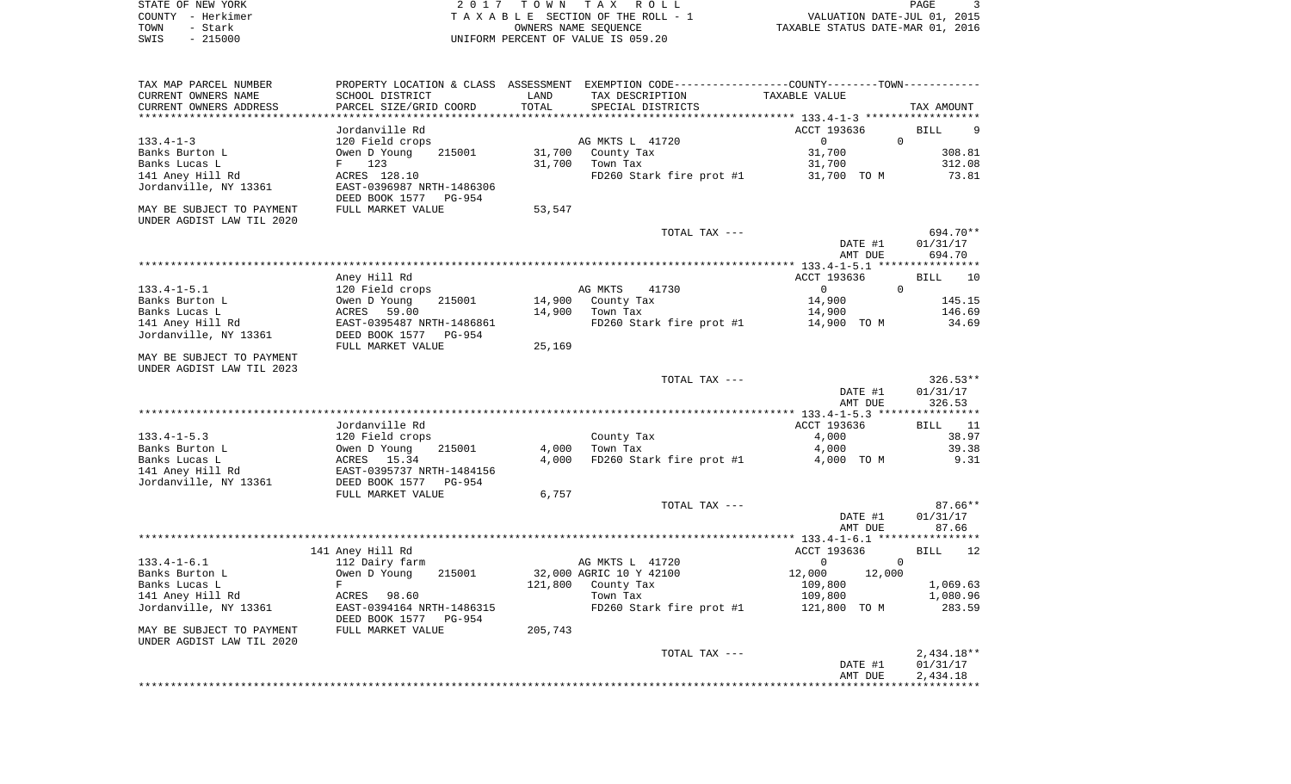|      | STATE OF NEW YORK | 2017 TOWN TAX ROLL                 | PAGE                             |
|------|-------------------|------------------------------------|----------------------------------|
|      | COUNTY - Herkimer | TAXABLE SECTION OF THE ROLL - 1    | VALUATION DATE-JUL 01, 2015      |
| TOWN | - Stark           | OWNERS NAME SEOUENCE               | TAXABLE STATUS DATE-MAR 01, 2016 |
| SWIS | $-215000$         | UNIFORM PERCENT OF VALUE IS 059.20 |                                  |

| TAX MAP PARCEL NUMBER<br>CURRENT OWNERS NAME<br>CURRENT OWNERS ADDRESS | SCHOOL DISTRICT<br>PARCEL SIZE/GRID COORD | LAND<br>TOTAL | PROPERTY LOCATION & CLASS ASSESSMENT EXEMPTION CODE----------------COUNTY-------TOWN----------<br>TAX DESCRIPTION<br>SPECIAL DISTRICTS | TAXABLE VALUE                                 | TAX AMOUNT<br>********** |
|------------------------------------------------------------------------|-------------------------------------------|---------------|----------------------------------------------------------------------------------------------------------------------------------------|-----------------------------------------------|--------------------------|
|                                                                        |                                           |               |                                                                                                                                        | *********** 133.4-1-3 ****                    |                          |
|                                                                        | Jordanville Rd                            |               |                                                                                                                                        | ACCT 193636<br>$\Omega$<br>$\Omega$           | 9<br>BILL                |
| $133.4 - 1 - 3$                                                        | 120 Field crops<br>Owen D Young<br>215001 | 31,700        | AG MKTS L 41720                                                                                                                        | 31,700                                        | 308.81                   |
| Banks Burton L<br>Banks Lucas L                                        | 123<br>F                                  | 31,700        | County Tax<br>Town Tax                                                                                                                 | 31,700                                        | 312.08                   |
| 141 Aney Hill Rd                                                       | ACRES 128.10                              |               | FD260 Stark fire prot #1                                                                                                               | 31,700 TO M                                   | 73.81                    |
| Jordanville, NY 13361                                                  | EAST-0396987 NRTH-1486306                 |               |                                                                                                                                        |                                               |                          |
|                                                                        | DEED BOOK 1577<br><b>PG-954</b>           |               |                                                                                                                                        |                                               |                          |
| MAY BE SUBJECT TO PAYMENT                                              | FULL MARKET VALUE                         | 53,547        |                                                                                                                                        |                                               |                          |
| UNDER AGDIST LAW TIL 2020                                              |                                           |               |                                                                                                                                        |                                               |                          |
|                                                                        |                                           |               | TOTAL TAX ---                                                                                                                          |                                               | 694.70**                 |
|                                                                        |                                           |               |                                                                                                                                        | DATE #1                                       | 01/31/17                 |
|                                                                        |                                           |               |                                                                                                                                        | AMT DUE                                       | 694.70                   |
|                                                                        |                                           |               |                                                                                                                                        | *************** 133.4-1-5.1 ***************** |                          |
|                                                                        | Aney Hill Rd                              |               |                                                                                                                                        | ACCT 193636                                   | BILL<br>10               |
| $133.4 - 1 - 5.1$                                                      | 120 Field crops                           |               | AG MKTS<br>41730                                                                                                                       | $\Omega$<br>$\mathbf 0$                       |                          |
| Banks Burton L                                                         | Owen D Young<br>215001                    | 14,900        | County Tax                                                                                                                             | 14,900                                        | 145.15                   |
| Banks Lucas L                                                          | 59.00<br>ACRES                            | 14,900        | Town Tax                                                                                                                               | 14,900                                        | 146.69                   |
| 141 Aney Hill Rd                                                       | EAST-0395487 NRTH-1486861                 |               | FD260 Stark fire prot #1                                                                                                               | 14,900 TO M                                   | 34.69                    |
| Jordanville, NY 13361                                                  | DEED BOOK 1577<br>PG-954                  |               |                                                                                                                                        |                                               |                          |
|                                                                        | FULL MARKET VALUE                         | 25,169        |                                                                                                                                        |                                               |                          |
| MAY BE SUBJECT TO PAYMENT<br>UNDER AGDIST LAW TIL 2023                 |                                           |               |                                                                                                                                        |                                               |                          |
|                                                                        |                                           |               | TOTAL TAX ---                                                                                                                          |                                               | $326.53**$               |
|                                                                        |                                           |               |                                                                                                                                        | DATE #1                                       | 01/31/17                 |
|                                                                        |                                           |               |                                                                                                                                        | AMT DUE                                       | 326.53                   |
|                                                                        |                                           |               |                                                                                                                                        |                                               |                          |
|                                                                        | Jordanville Rd                            |               |                                                                                                                                        | ACCT 193636                                   | <b>BILL</b><br>11        |
| $133.4 - 1 - 5.3$                                                      | 120 Field crops                           |               | County Tax                                                                                                                             | 4,000                                         | 38.97                    |
| Banks Burton L                                                         | Owen D Young<br>215001                    | 4,000         | Town Tax                                                                                                                               | 4,000                                         | 39.38                    |
| Banks Lucas L                                                          | ACRES<br>15.34                            | 4,000         | FD260 Stark fire prot #1                                                                                                               | 4,000 TO M                                    | 9.31                     |
| 141 Aney Hill Rd                                                       | EAST-0395737 NRTH-1484156                 |               |                                                                                                                                        |                                               |                          |
| Jordanville, NY 13361                                                  | DEED BOOK 1577<br><b>PG-954</b>           |               |                                                                                                                                        |                                               |                          |
|                                                                        | FULL MARKET VALUE                         | 6,757         |                                                                                                                                        |                                               |                          |
|                                                                        |                                           |               | TOTAL TAX ---                                                                                                                          |                                               | $87.66**$                |
|                                                                        |                                           |               |                                                                                                                                        | DATE #1                                       | 01/31/17                 |
|                                                                        |                                           |               |                                                                                                                                        | AMT DUE                                       | 87.66                    |
|                                                                        | 141 Aney Hill Rd                          |               |                                                                                                                                        | ACCT 193636                                   | <b>BILL</b><br>12        |
| $133.4 - 1 - 6.1$                                                      | 112 Dairy farm                            |               | AG MKTS L 41720                                                                                                                        | $\Omega$<br>$\mathbf 0$                       |                          |
| Banks Burton L                                                         | Owen D Young<br>215001                    |               | 32,000 AGRIC 10 Y 42100                                                                                                                | 12,000<br>12,000                              |                          |
| Banks Lucas L                                                          | F                                         | 121,800       | County Tax                                                                                                                             | 109,800                                       | 1,069.63                 |
| 141 Aney Hill Rd                                                       | ACRES 98.60                               |               | Town Tax                                                                                                                               | 109,800                                       | 1,080.96                 |
| Jordanville, NY 13361                                                  | EAST-0394164 NRTH-1486315                 |               | FD260 Stark fire prot #1                                                                                                               | TO M<br>121,800                               | 283.59                   |
|                                                                        | DEED BOOK 1577<br>PG-954                  |               |                                                                                                                                        |                                               |                          |
| MAY BE SUBJECT TO PAYMENT                                              | FULL MARKET VALUE                         | 205,743       |                                                                                                                                        |                                               |                          |
| UNDER AGDIST LAW TIL 2020                                              |                                           |               |                                                                                                                                        |                                               |                          |
|                                                                        |                                           |               | TOTAL TAX ---                                                                                                                          |                                               | $2,434.18**$             |
|                                                                        |                                           |               |                                                                                                                                        | DATE #1                                       | 01/31/17                 |
|                                                                        |                                           |               |                                                                                                                                        | AMT DUE                                       | 2,434.18                 |
|                                                                        |                                           |               |                                                                                                                                        |                                               |                          |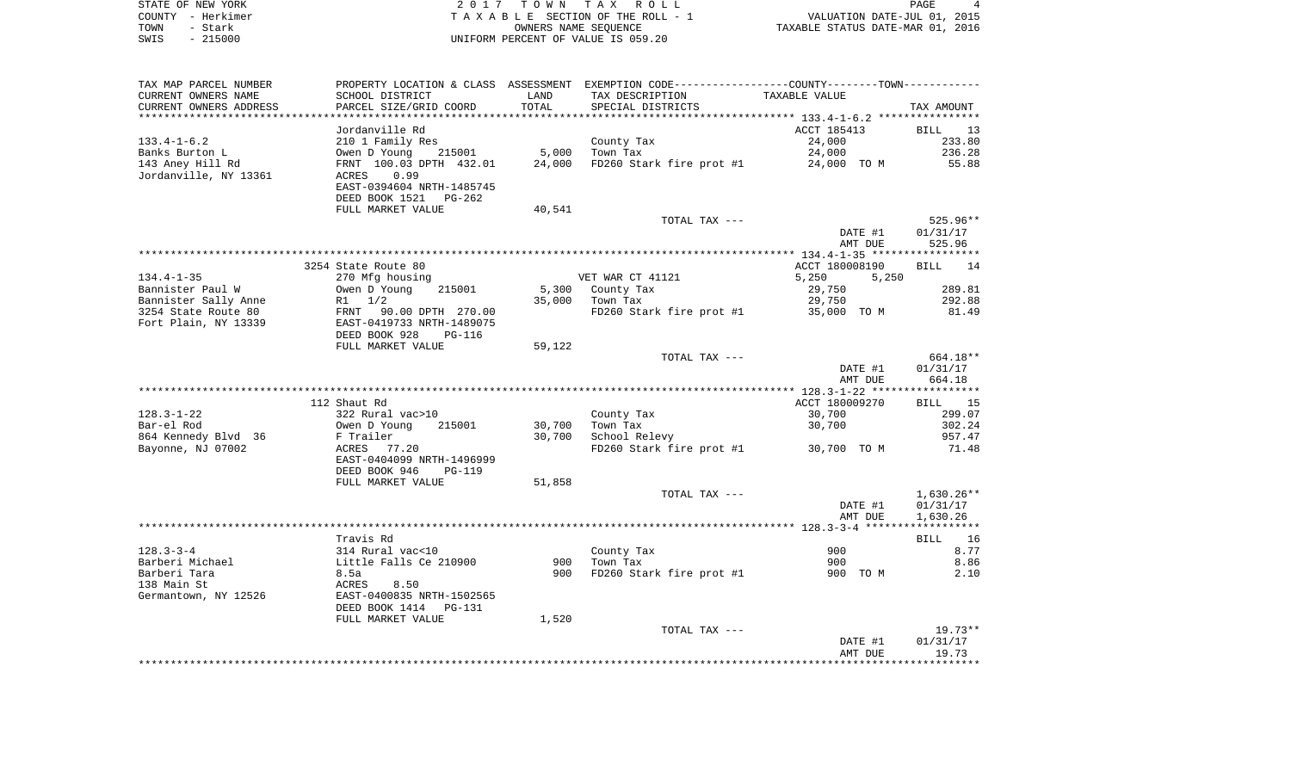| STATE OF NEW YORK | 2017 TOWN TAX ROLL                 | PAGE                             |
|-------------------|------------------------------------|----------------------------------|
| COUNTY - Herkimer | TAXABLE SECTION OF THE ROLL - 1    | VALUATION DATE-JUL 01, 2015      |
| TOWN<br>- Stark   | OWNERS NAME SEOUENCE               | TAXABLE STATUS DATE-MAR 01, 2016 |
| $-215000$<br>SWIS | UNIFORM PERCENT OF VALUE IS 059.20 |                                  |

| TAX MAP PARCEL NUMBER  |                                |        | PROPERTY LOCATION & CLASS ASSESSMENT EXEMPTION CODE----------------COUNTY--------TOWN----------- |                |                   |
|------------------------|--------------------------------|--------|--------------------------------------------------------------------------------------------------|----------------|-------------------|
| CURRENT OWNERS NAME    | SCHOOL DISTRICT                | LAND   | TAX DESCRIPTION                                                                                  | TAXABLE VALUE  |                   |
| CURRENT OWNERS ADDRESS | PARCEL SIZE/GRID COORD         | TOTAL  | SPECIAL DISTRICTS                                                                                |                | TAX AMOUNT        |
| ********************** |                                |        |                                                                                                  |                |                   |
|                        | Jordanville Rd                 |        |                                                                                                  | ACCT 185413    | <b>BILL</b><br>13 |
| $133.4 - 1 - 6.2$      | 210 1 Family Res               |        | County Tax                                                                                       | 24,000         | 233.80            |
| Banks Burton L         | Owen D Young<br>215001         | 5,000  | Town Tax                                                                                         | 24,000         | 236.28            |
| 143 Aney Hill Rd       | FRNT 100.03 DPTH 432.01        | 24,000 | FD260 Stark fire prot #1                                                                         | 24,000 TO M    | 55.88             |
| Jordanville, NY 13361  | ACRES<br>0.99                  |        |                                                                                                  |                |                   |
|                        | EAST-0394604 NRTH-1485745      |        |                                                                                                  |                |                   |
|                        | DEED BOOK 1521<br>PG-262       |        |                                                                                                  |                |                   |
|                        | FULL MARKET VALUE              | 40,541 |                                                                                                  |                |                   |
|                        |                                |        | TOTAL TAX ---                                                                                    |                | 525.96**          |
|                        |                                |        |                                                                                                  | DATE #1        | 01/31/17          |
|                        |                                |        |                                                                                                  | AMT DUE        | 525.96            |
|                        |                                |        |                                                                                                  |                |                   |
|                        | 3254 State Route 80            |        |                                                                                                  | ACCT 180008190 | BILL<br>14        |
| $134.4 - 1 - 35$       | 270 Mfg housing                |        | VET WAR CT 41121                                                                                 | 5,250<br>5,250 |                   |
| Bannister Paul W       | Owen D Young<br>215001         | 5,300  | County Tax                                                                                       | 29,750         | 289.81            |
| Bannister Sally Anne   | R1 1/2                         | 35,000 | Town Tax                                                                                         | 29,750         | 292.88            |
| 3254 State Route 80    | FRNT 90.00 DPTH 270.00         |        | FD260 Stark fire prot #1                                                                         | 35,000 TO M    | 81.49             |
| Fort Plain, NY 13339   | EAST-0419733 NRTH-1489075      |        |                                                                                                  |                |                   |
|                        | DEED BOOK 928<br><b>PG-116</b> |        |                                                                                                  |                |                   |
|                        | FULL MARKET VALUE              | 59,122 |                                                                                                  |                |                   |
|                        |                                |        | TOTAL TAX ---                                                                                    |                | 664.18**          |
|                        |                                |        |                                                                                                  | DATE #1        | 01/31/17          |
|                        |                                |        |                                                                                                  | AMT DUE        | 664.18            |
|                        |                                |        |                                                                                                  |                |                   |
|                        | 112 Shaut Rd                   |        |                                                                                                  | ACCT 180009270 | BILL<br>15        |
| $128.3 - 1 - 22$       | 322 Rural vac>10               |        | County Tax                                                                                       | 30,700         | 299.07            |
| Bar-el Rod             | 215001<br>Owen D Young         | 30,700 | Town Tax                                                                                         | 30,700         | 302.24            |
| 864 Kennedy Blvd 36    | F Trailer                      | 30,700 | School Relevy                                                                                    |                | 957.47            |
| Bayonne, NJ 07002      | 77.20<br>ACRES                 |        | FD260 Stark fire prot #1                                                                         | 30,700 TO M    | 71.48             |
|                        | EAST-0404099 NRTH-1496999      |        |                                                                                                  |                |                   |
|                        | DEED BOOK 946<br><b>PG-119</b> |        |                                                                                                  |                |                   |
|                        | FULL MARKET VALUE              | 51,858 |                                                                                                  |                |                   |
|                        |                                |        | TOTAL TAX ---                                                                                    |                | $1,630.26**$      |
|                        |                                |        |                                                                                                  | DATE #1        | 01/31/17          |
|                        |                                |        |                                                                                                  | AMT DUE        | 1,630.26          |
|                        |                                |        |                                                                                                  |                |                   |
|                        | Travis Rd                      |        |                                                                                                  |                | BILL 16           |
| $128.3 - 3 - 4$        | 314 Rural vac<10               |        | County Tax                                                                                       | 900            | 8.77              |
| Barberi Michael        | Little Falls Ce 210900         | 900    | Town Tax                                                                                         | 900            | 8.86              |
| Barberi Tara           | 8.5a                           | 900    | FD260 Stark fire prot #1                                                                         | 900 TO M       | 2.10              |
| 138 Main St            | ACRES<br>8.50                  |        |                                                                                                  |                |                   |
| Germantown, NY 12526   | EAST-0400835 NRTH-1502565      |        |                                                                                                  |                |                   |
|                        | DEED BOOK 1414 PG-131          |        |                                                                                                  |                |                   |
|                        | FULL MARKET VALUE              | 1,520  |                                                                                                  |                |                   |
|                        |                                |        | TOTAL TAX ---                                                                                    |                | $19.73**$         |
|                        |                                |        |                                                                                                  | DATE #1        | 01/31/17          |
|                        |                                |        |                                                                                                  | AMT DUE        | 19.73             |
|                        |                                |        |                                                                                                  |                |                   |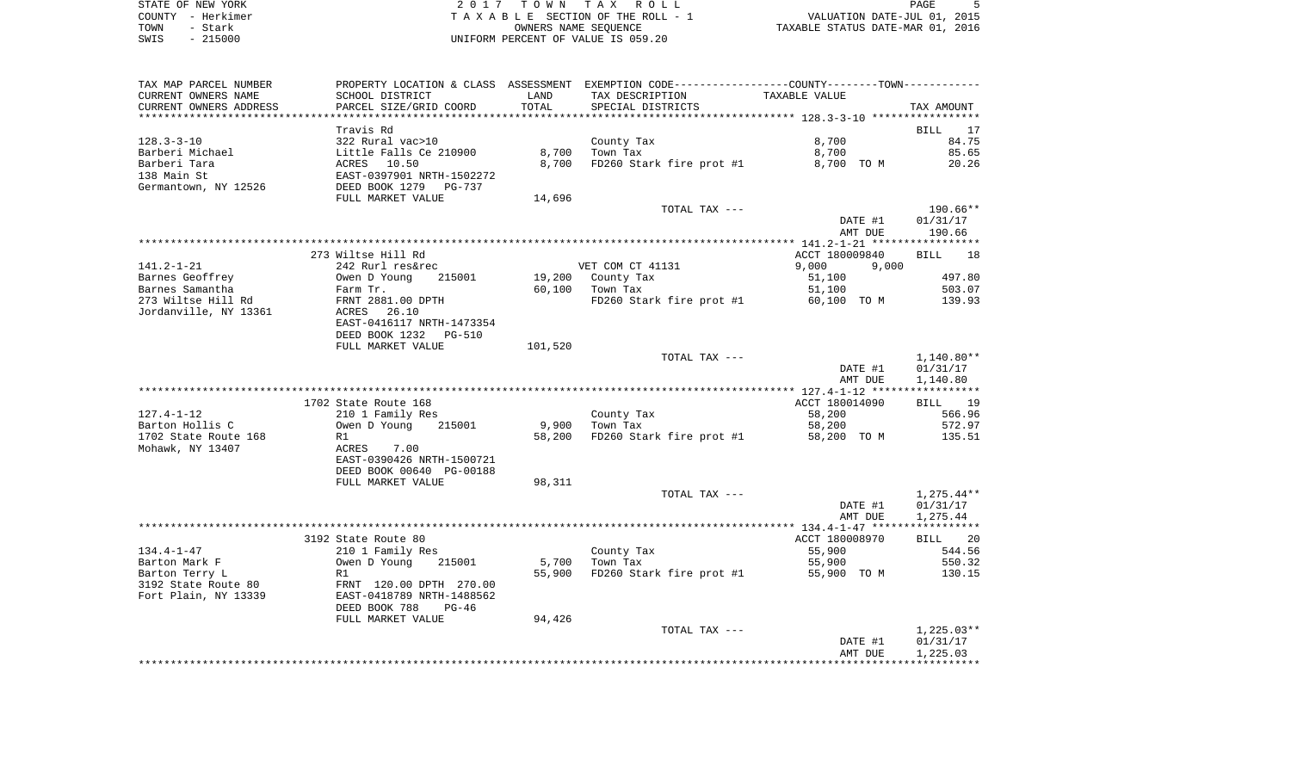STATE OF NEW YORK **EXECUTE:** A 2 0 1 7 T O W N T A X R O L L COUNTY - Herkimer T A X A B L E SECTION OF THE ROLL - 1 VALUATION DATE-JUL 01, 2015 SWIS - 215000 UNIFORM PERCENT OF VALUE IS 059.20

PAGE 5 L E SECTION OF THE ROLL - 1<br>
TAXABLE STATUS DATE-JUL 01, 2015<br>
TAXABLE STATUS DATE-MAR 01, 2016

| TAX MAP PARCEL NUMBER   |                                                    |         | PROPERTY LOCATION & CLASS ASSESSMENT EXEMPTION CODE----------------COUNTY--------TOWN----------- |                |                   |
|-------------------------|----------------------------------------------------|---------|--------------------------------------------------------------------------------------------------|----------------|-------------------|
| CURRENT OWNERS NAME     | SCHOOL DISTRICT                                    | LAND    | TAX DESCRIPTION                                                                                  | TAXABLE VALUE  |                   |
| CURRENT OWNERS ADDRESS  | PARCEL SIZE/GRID COORD                             | TOTAL   | SPECIAL DISTRICTS                                                                                |                | TAX AMOUNT        |
| *********************** |                                                    |         |                                                                                                  |                |                   |
|                         | Travis Rd                                          |         |                                                                                                  |                | BILL 17           |
| 128.3-3-10              | 322 Rural vac>10                                   |         | County Tax                                                                                       | 8,700          | 84.75             |
| Barberi Michael         | Little Falls Ce 210900                             | 8,700   | Town Tax                                                                                         | 8,700          | 85.65             |
| Barberi Tara            | ACRES 10.50                                        | 8,700   | FD260 Stark fire prot #1                                                                         | 8,700 TO M     | 20.26             |
| 138 Main St             | EAST-0397901 NRTH-1502272<br>DEED BOOK 1279 PG-737 |         |                                                                                                  |                |                   |
| Germantown, NY 12526    |                                                    |         |                                                                                                  |                |                   |
|                         | FULL MARKET VALUE                                  | 14,696  |                                                                                                  |                |                   |
|                         |                                                    |         | TOTAL TAX ---                                                                                    |                | 190.66**          |
|                         |                                                    |         |                                                                                                  | DATE #1        | 01/31/17          |
|                         |                                                    |         |                                                                                                  | AMT DUE        | 190.66            |
|                         |                                                    |         |                                                                                                  |                |                   |
|                         | 273 Wiltse Hill Rd                                 |         |                                                                                                  | ACCT 180009840 | <b>BILL</b><br>18 |
| 141.2-1-21              | 242 Rurl res&rec                                   |         | VET COM CT 41131                                                                                 | 9,000<br>9,000 |                   |
| Barnes Geoffrey         | Owen D Young<br>215001                             |         | 19,200 County Tax                                                                                | 51,100         | 497.80            |
| Barnes Samantha         | Farm Tr.                                           | 60,100  | Town Tax                                                                                         | 51,100         | 503.07            |
| 273 Wiltse Hill Rd      | FRNT 2881.00 DPTH                                  |         | FD260 Stark fire prot #1 60,100 TO M                                                             |                | 139.93            |
| Jordanville, NY 13361   | ACRES 26.10                                        |         |                                                                                                  |                |                   |
|                         | EAST-0416117 NRTH-1473354                          |         |                                                                                                  |                |                   |
|                         | DEED BOOK 1232 PG-510                              |         |                                                                                                  |                |                   |
|                         | FULL MARKET VALUE                                  | 101,520 |                                                                                                  |                |                   |
|                         |                                                    |         | TOTAL TAX ---                                                                                    |                | $1,140.80**$      |
|                         |                                                    |         |                                                                                                  | DATE #1        | 01/31/17          |
|                         |                                                    |         |                                                                                                  | AMT DUE        | 1,140.80          |
|                         |                                                    |         |                                                                                                  |                |                   |
|                         | 1702 State Route 168                               |         |                                                                                                  | ACCT 180014090 | BILL 19           |
| 127.4-1-12              | 210 1 Family Res                                   |         | County Tax                                                                                       | 58,200         | 566.96            |
| Barton Hollis C         | Owen D Young 215001                                | 9,900   | Town Tax                                                                                         | 58,200         | 572.97            |
| 1702 State Route 168    | R1                                                 |         | 58,200 FD260 Stark fire prot #1                                                                  | 58,200 TO M    | 135.51            |
| Mohawk, NY 13407        | ACRES 7.00                                         |         |                                                                                                  |                |                   |
|                         | EAST-0390426 NRTH-1500721                          |         |                                                                                                  |                |                   |
|                         |                                                    |         |                                                                                                  |                |                   |
|                         | DEED BOOK 00640 PG-00188                           |         |                                                                                                  |                |                   |
|                         | FULL MARKET VALUE                                  | 98,311  |                                                                                                  |                |                   |
|                         |                                                    |         | TOTAL TAX ---                                                                                    |                | $1,275.44**$      |
|                         |                                                    |         |                                                                                                  | DATE #1        | 01/31/17          |
|                         |                                                    |         |                                                                                                  | AMT DUE        | 1,275.44          |
|                         |                                                    |         |                                                                                                  |                |                   |
|                         | 3192 State Route 80                                |         |                                                                                                  | ACCT 180008970 | BILL 20           |
| 134.4-1-47              | 210 1 Family Res                                   |         | County Tax                                                                                       | 55,900         | 544.56            |
| Barton Mark F           | Owen D Young<br>215001                             | 5,700   | Town Tax                                                                                         | 55,900         | 550.32            |
| Barton Terry L          | R1                                                 | 55,900  | FD260 Stark fire prot #1                                                                         | 55,900 TO M    | 130.15            |
| 3192 State Route 80     | FRNT 120.00 DPTH 270.00                            |         |                                                                                                  |                |                   |
| Fort Plain, NY 13339    | EAST-0418789 NRTH-1488562                          |         |                                                                                                  |                |                   |
|                         | DEED BOOK 788<br>$PG-46$                           |         |                                                                                                  |                |                   |
|                         | FULL MARKET VALUE                                  | 94,426  |                                                                                                  |                |                   |
|                         |                                                    |         | TOTAL TAX ---                                                                                    |                | $1,225.03**$      |
|                         |                                                    |         |                                                                                                  | DATE #1        | 01/31/17          |
|                         |                                                    |         |                                                                                                  | AMT DUE        | 1,225.03          |
|                         |                                                    |         |                                                                                                  |                |                   |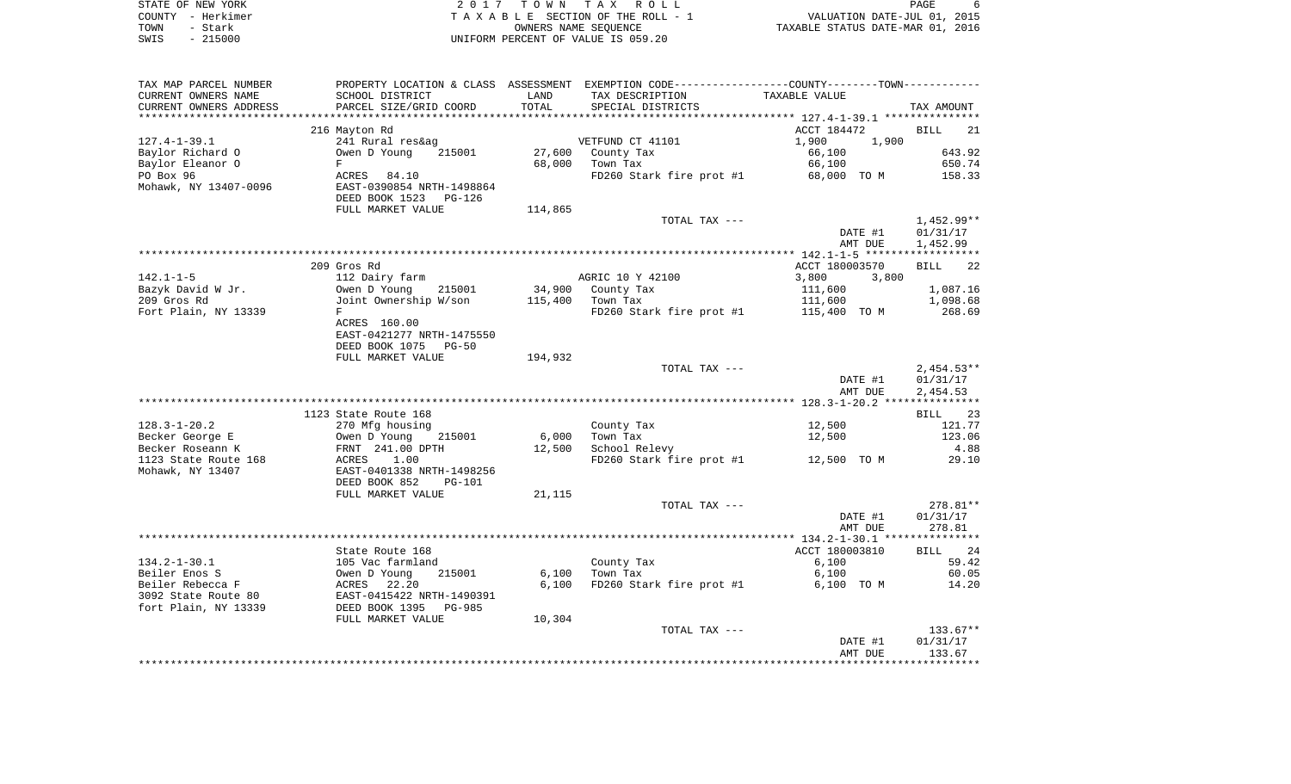|      | STATE OF NEW YORK | 2017 TOWN TAX ROLL                 |                                  | PAGE                        |  |
|------|-------------------|------------------------------------|----------------------------------|-----------------------------|--|
|      | COUNTY - Herkimer | TAXABLE SECTION OF THE ROLL - 1    |                                  | VALUATION DATE-JUL 01, 2015 |  |
| TOWN | - Stark           | OWNERS NAME SEOUENCE               | TAXABLE STATUS DATE-MAR 01, 2016 |                             |  |
| SWIS | $-215000$         | UNIFORM PERCENT OF VALUE IS 059.20 |                                  |                             |  |

| TAX MAP PARCEL NUMBER  |                           |         | PROPERTY LOCATION & CLASS ASSESSMENT EXEMPTION CODE-----------------COUNTY-------TOWN- |                |                   |
|------------------------|---------------------------|---------|----------------------------------------------------------------------------------------|----------------|-------------------|
| CURRENT OWNERS NAME    | SCHOOL DISTRICT           | LAND    | TAX DESCRIPTION                                                                        | TAXABLE VALUE  |                   |
| CURRENT OWNERS ADDRESS | PARCEL SIZE/GRID COORD    | TOTAL   | SPECIAL DISTRICTS                                                                      |                | TAX AMOUNT        |
|                        |                           |         |                                                                                        |                |                   |
|                        | 216 Mayton Rd             |         |                                                                                        | ACCT 184472    | BILL<br>21        |
| $127.4 - 1 - 39.1$     | 241 Rural res&ag          |         | VETFUND CT 41101                                                                       | 1,900<br>1,900 |                   |
| Baylor Richard O       | 215001<br>Owen D Young    | 27,600  | County Tax                                                                             | 66,100         | 643.92            |
| Baylor Eleanor O       | F                         | 68,000  | Town Tax                                                                               | 66,100         | 650.74            |
| PO Box 96              | ACRES 84.10               |         | FD260 Stark fire prot #1                                                               | 68,000 TO M    | 158.33            |
| Mohawk, NY 13407-0096  | EAST-0390854 NRTH-1498864 |         |                                                                                        |                |                   |
|                        | DEED BOOK 1523<br>PG-126  |         |                                                                                        |                |                   |
|                        | FULL MARKET VALUE         | 114,865 |                                                                                        |                |                   |
|                        |                           |         |                                                                                        |                |                   |
|                        |                           |         | TOTAL TAX ---                                                                          |                | 1,452.99**        |
|                        |                           |         |                                                                                        | DATE #1        | 01/31/17          |
|                        |                           |         |                                                                                        | AMT DUE        | 1,452.99          |
|                        |                           |         |                                                                                        |                |                   |
|                        | 209 Gros Rd               |         |                                                                                        | ACCT 180003570 | <b>BILL</b><br>22 |
| $142.1 - 1 - 5$        | 112 Dairy farm            |         | AGRIC 10 Y 42100                                                                       | 3,800<br>3,800 |                   |
| Bazyk David W Jr.      | Owen D Young<br>215001    | 34,900  | County Tax                                                                             | 111,600        | 1,087.16          |
| 209 Gros Rd            | Joint Ownership W/son     | 115,400 | Town Tax                                                                               | 111,600        | 1,098.68          |
| Fort Plain, NY 13339   | F                         |         | FD260 Stark fire prot #1 115,400 TO M                                                  |                | 268.69            |
|                        | ACRES 160.00              |         |                                                                                        |                |                   |
|                        | EAST-0421277 NRTH-1475550 |         |                                                                                        |                |                   |
|                        | DEED BOOK 1075 PG-50      |         |                                                                                        |                |                   |
|                        | FULL MARKET VALUE         | 194,932 |                                                                                        |                |                   |
|                        |                           |         | TOTAL TAX ---                                                                          |                | $2,454.53**$      |
|                        |                           |         |                                                                                        | DATE #1        | 01/31/17          |
|                        |                           |         |                                                                                        | AMT DUE        | 2,454.53          |
|                        |                           |         |                                                                                        |                |                   |
|                        | 1123 State Route 168      |         |                                                                                        |                | BILL 23           |
| $128.3 - 1 - 20.2$     | 270 Mfg housing           |         | County Tax                                                                             | 12,500         | 121.77            |
|                        | 215001                    | 6,000   |                                                                                        | 12,500         | 123.06            |
| Becker George E        | Owen D Young              |         | Town Tax                                                                               |                |                   |
| Becker Roseann K       | FRNT 241.00 DPTH          | 12,500  | School Relevy                                                                          |                | 4.88              |
| 1123 State Route 168   | ACRES<br>1.00             |         | FD260 Stark fire prot #1                                                               | 12,500 TO M    | 29.10             |
| Mohawk, NY 13407       | EAST-0401338 NRTH-1498256 |         |                                                                                        |                |                   |
|                        | DEED BOOK 852<br>$PG-101$ |         |                                                                                        |                |                   |
|                        | FULL MARKET VALUE         | 21,115  |                                                                                        |                |                   |
|                        |                           |         | TOTAL TAX ---                                                                          |                | 278.81**          |
|                        |                           |         |                                                                                        | DATE #1        | 01/31/17          |
|                        |                           |         |                                                                                        | AMT DUE        | 278.81            |
|                        |                           |         |                                                                                        |                |                   |
|                        | State Route 168           |         |                                                                                        | ACCT 180003810 | BILL 24           |
| $134.2 - 1 - 30.1$     | 105 Vac farmland          |         | County Tax                                                                             | 6,100          | 59.42             |
| Beiler Enos S          | 215001<br>Owen D Young    | 6,100   | Town Tax                                                                               | 6,100          | 60.05             |
| Beiler Rebecca F       | 22.20<br>ACRES            | 6,100   | FD260 Stark fire prot #1                                                               | 6,100 TO M     | 14.20             |
| 3092 State Route 80    | EAST-0415422 NRTH-1490391 |         |                                                                                        |                |                   |
| fort Plain, NY 13339   | DEED BOOK 1395<br>PG-985  |         |                                                                                        |                |                   |
|                        | FULL MARKET VALUE         | 10,304  |                                                                                        |                |                   |
|                        |                           |         | TOTAL TAX ---                                                                          |                | $133.67**$        |
|                        |                           |         |                                                                                        | DATE #1        | 01/31/17          |
|                        |                           |         |                                                                                        | AMT DUE        | 133.67            |
|                        |                           |         |                                                                                        |                |                   |
|                        |                           |         |                                                                                        |                |                   |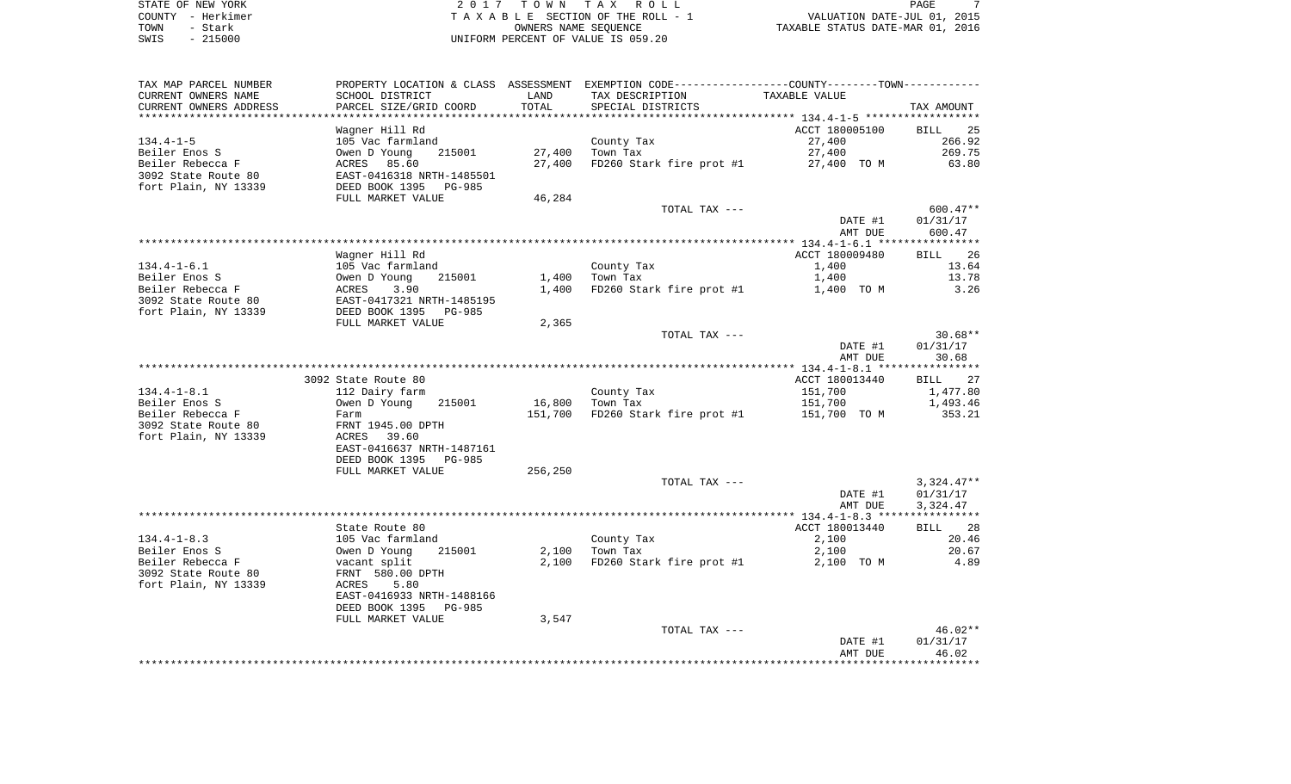| STATE OF NEW YORK | 2017 TOWN TAX ROLL                 | PAGE                             |
|-------------------|------------------------------------|----------------------------------|
| COUNTY - Herkimer | TAXABLE SECTION OF THE ROLL - 1    | VALUATION DATE-JUL 01, 2015      |
| TOWN<br>- Stark   | OWNERS NAME SEOUENCE               | TAXABLE STATUS DATE-MAR 01, 2016 |
| $-215000$<br>SWIS | UNIFORM PERCENT OF VALUE IS 059.20 |                                  |

| TAX MAP PARCEL NUMBER  |                                                    |         | PROPERTY LOCATION & CLASS ASSESSMENT EXEMPTION CODE----------------COUNTY--------TOWN---------- |                |              |
|------------------------|----------------------------------------------------|---------|-------------------------------------------------------------------------------------------------|----------------|--------------|
| CURRENT OWNERS NAME    | SCHOOL DISTRICT                                    | LAND    | TAX DESCRIPTION                                                                                 | TAXABLE VALUE  |              |
| CURRENT OWNERS ADDRESS | PARCEL SIZE/GRID COORD                             | TOTAL   | SPECIAL DISTRICTS                                                                               |                | TAX AMOUNT   |
|                        |                                                    |         |                                                                                                 |                |              |
|                        | Waqner Hill Rd                                     |         |                                                                                                 | ACCT 180005100 | BILL 25      |
| 134.4-1-5              | 105 Vac farmland                                   |         | County Tax                                                                                      | 27,400         | 266.92       |
| Beiler Enos S          | 215001<br>Owen D Young                             | 27,400  | Town Tax                                                                                        | 27,400         | 269.75       |
| Beiler Rebecca F       | ACRES 85.60                                        | 27,400  | FD260 Stark fire prot #1                                                                        | 27,400 TO M    | 63.80        |
| 3092 State Route 80    | EAST-0416318 NRTH-1485501                          |         |                                                                                                 |                |              |
| fort Plain, NY 13339   | DEED BOOK 1395 PG-985                              |         |                                                                                                 |                |              |
|                        | FULL MARKET VALUE                                  | 46,284  |                                                                                                 |                |              |
|                        |                                                    |         | TOTAL TAX ---                                                                                   |                | $600.47**$   |
|                        |                                                    |         |                                                                                                 | DATE #1        | 01/31/17     |
|                        |                                                    |         |                                                                                                 | AMT DUE        | 600.47       |
|                        |                                                    |         |                                                                                                 |                |              |
|                        | Wagner Hill Rd                                     |         |                                                                                                 | ACCT 180009480 | BILL 26      |
| 134.4-1-6.1            | 105 Vac farmland                                   |         | County Tax                                                                                      | 1,400          | 13.64        |
| Beiler Enos S          | Owen D Young<br>215001                             | 1,400   | Town Tax                                                                                        | 1,400          | 13.78        |
| Beiler Rebecca F       | 3.90<br>ACRES                                      | 1,400   | FD260 Stark fire prot #1                                                                        | 1,400 TO M     | 3.26         |
| 3092 State Route 80    | EAST-0417321 NRTH-1485195<br>DEED BOOK 1395 PG-985 |         |                                                                                                 |                |              |
| fort Plain, NY 13339   |                                                    |         |                                                                                                 |                |              |
|                        | FULL MARKET VALUE                                  | 2,365   |                                                                                                 |                |              |
|                        |                                                    |         | TOTAL TAX ---                                                                                   |                | $30.68**$    |
|                        |                                                    |         |                                                                                                 | DATE #1        | 01/31/17     |
|                        |                                                    |         |                                                                                                 | AMT DUE        | 30.68        |
|                        |                                                    |         |                                                                                                 |                |              |
|                        | 3092 State Route 80                                |         |                                                                                                 | ACCT 180013440 | BILL 27      |
| 134.4-1-8.1            | 112 Dairy farm                                     |         | County Tax                                                                                      | 151,700        | 1,477.80     |
| Beiler Enos S          | Owen D Young<br>215001                             | 16,800  | Town Tax                                                                                        | 151,700        | 1,493.46     |
| Beiler Rebecca F       | Farm                                               | 151,700 | FD260 Stark fire prot $#1$ 151,700 TO M                                                         |                | 353.21       |
| 3092 State Route 80    | FRNT 1945.00 DPTH                                  |         |                                                                                                 |                |              |
| fort Plain, NY 13339   | ACRES 39.60                                        |         |                                                                                                 |                |              |
|                        | EAST-0416637 NRTH-1487161                          |         |                                                                                                 |                |              |
|                        | DEED BOOK 1395<br>PG-985                           |         |                                                                                                 |                |              |
|                        | FULL MARKET VALUE                                  | 256,250 | TOTAL TAX ---                                                                                   |                | $3,324.47**$ |
|                        |                                                    |         |                                                                                                 | DATE #1        | 01/31/17     |
|                        |                                                    |         |                                                                                                 | AMT DUE        | 3,324.47     |
|                        |                                                    |         |                                                                                                 |                |              |
|                        | State Route 80                                     |         |                                                                                                 | ACCT 180013440 | BILL 28      |
| $134.4 - 1 - 8.3$      | 105 Vac farmland                                   |         | County Tax                                                                                      | 2,100          | 20.46        |
| Beiler Enos S          | Owen D Young<br>215001                             | 2,100   | Town Tax                                                                                        | 2,100          | 20.67        |
| Beiler Rebecca F       | vacant split                                       | 2,100   | FD260 Stark fire prot #1                                                                        | 2,100 TO M     | 4.89         |
| 3092 State Route 80    | FRNT 580.00 DPTH                                   |         |                                                                                                 |                |              |
| fort Plain, NY 13339   | ACRES<br>5.80                                      |         |                                                                                                 |                |              |
|                        | EAST-0416933 NRTH-1488166                          |         |                                                                                                 |                |              |
|                        | DEED BOOK 1395<br>PG-985                           |         |                                                                                                 |                |              |
|                        | FULL MARKET VALUE                                  | 3,547   |                                                                                                 |                |              |
|                        |                                                    |         | TOTAL TAX ---                                                                                   |                | 46.02**      |
|                        |                                                    |         |                                                                                                 | DATE #1        | 01/31/17     |
|                        |                                                    |         |                                                                                                 | AMT DUE        | 46.02        |
|                        |                                                    |         |                                                                                                 |                |              |
|                        |                                                    |         |                                                                                                 |                |              |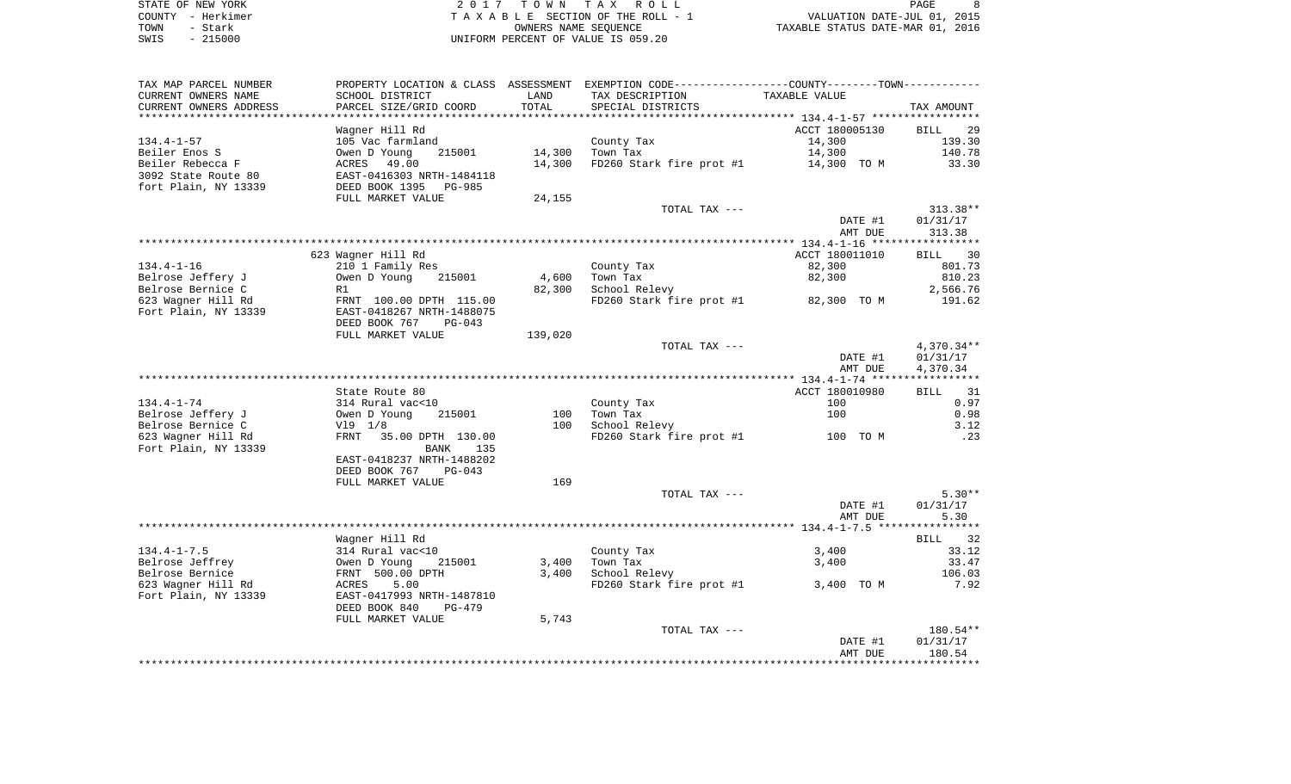| STATE OF NEW YORK | 2017 TOWN TAX ROLL                 | PAGE                             |
|-------------------|------------------------------------|----------------------------------|
| COUNTY - Herkimer | TAXABLE SECTION OF THE ROLL - 1    | VALUATION DATE-JUL 01, 2015      |
| TOWN<br>- Stark   | OWNERS NAME SEOUENCE               | TAXABLE STATUS DATE-MAR 01, 2016 |
| $-215000$<br>SWIS | UNIFORM PERCENT OF VALUE IS 059.20 |                                  |

|                        |                                    |         |                                                                                                | AMT DUE        | 180.54            |
|------------------------|------------------------------------|---------|------------------------------------------------------------------------------------------------|----------------|-------------------|
|                        |                                    |         |                                                                                                | DATE #1        | 01/31/17          |
|                        |                                    |         | TOTAL TAX ---                                                                                  |                | 180.54**          |
|                        | FULL MARKET VALUE                  | 5,743   |                                                                                                |                |                   |
|                        | DEED BOOK 840<br>$PG-479$          |         |                                                                                                |                |                   |
| Fort Plain, NY 13339   | EAST-0417993 NRTH-1487810          |         |                                                                                                |                |                   |
| 623 Wagner Hill Rd     | ACRES<br>5.00                      |         | FD260 Stark fire prot #1                                                                       | 3,400 TO M     | 7.92              |
| Belrose Bernice        | FRNT 500.00 DPTH                   | 3,400   | School Relevy                                                                                  |                | 106.03            |
| Belrose Jeffrey        | Owen D Young<br>215001             | 3,400   | Town Tax                                                                                       | 3,400          | 33.47             |
| $134.4 - 1 - 7.5$      | 314 Rural vac<10                   |         | County Tax                                                                                     | 3,400          | 33.12             |
|                        | Wagner Hill Rd                     |         |                                                                                                |                | BILL 32           |
|                        |                                    |         |                                                                                                |                |                   |
|                        |                                    |         |                                                                                                | AMT DUE        | 5.30              |
|                        |                                    |         |                                                                                                | DATE #1        | 01/31/17          |
|                        |                                    |         | TOTAL TAX ---                                                                                  |                | $5.30**$          |
|                        |                                    |         |                                                                                                |                |                   |
|                        | DEED BOOK 767<br>FULL MARKET VALUE | 169     |                                                                                                |                |                   |
|                        | $PG-043$                           |         |                                                                                                |                |                   |
|                        | EAST-0418237 NRTH-1488202          |         |                                                                                                |                |                   |
| Fort Plain, NY 13339   | BANK<br>135                        |         |                                                                                                |                |                   |
| 623 Wagner Hill Rd     | FRNT<br>35.00 DPTH 130.00          |         | FD260 Stark fire prot #1                                                                       | 100 TO M       | .23               |
| Belrose Bernice C      | V19 1/8                            | 100     | School Relevy                                                                                  |                | 3.12              |
| Belrose Jeffery J      | Owen D Young<br>215001             | 100     | Town Tax                                                                                       | 100            | 0.98              |
| $134.4 - 1 - 74$       | 314 Rural vac<10                   |         | County Tax                                                                                     | 100            | 0.97              |
|                        | State Route 80                     |         |                                                                                                | ACCT 180010980 | 31<br><b>BILL</b> |
|                        |                                    |         |                                                                                                |                | ***********       |
|                        |                                    |         |                                                                                                | AMT DUE        | 4,370.34          |
|                        |                                    |         |                                                                                                | DATE #1        | 01/31/17          |
|                        |                                    |         | TOTAL TAX ---                                                                                  |                | 4,370.34**        |
|                        |                                    |         |                                                                                                |                |                   |
|                        | FULL MARKET VALUE                  | 139,020 |                                                                                                |                |                   |
|                        | DEED BOOK 767<br>$PG-043$          |         |                                                                                                |                |                   |
| Fort Plain, NY 13339   | EAST-0418267 NRTH-1488075          |         |                                                                                                |                |                   |
| 623 Wagner Hill Rd     | FRNT 100.00 DPTH 115.00            |         | FD260 Stark fire prot #1 82,300 TO M                                                           |                | 191.62            |
| Belrose Bernice C      | R1                                 | 82,300  | School Relevy                                                                                  |                | 2,566.76          |
| Belrose Jeffery J      | 215001<br>Owen D Young             | 4,600   | Town Tax                                                                                       | 82,300         | 810.23            |
| $134.4 - 1 - 16$       | 210 1 Family Res                   |         | County Tax                                                                                     | 82,300         | 801.73            |
|                        | 623 Wagner Hill Rd                 |         |                                                                                                | ACCT 180011010 | BILL 30           |
|                        |                                    |         |                                                                                                |                |                   |
|                        |                                    |         |                                                                                                | AMT DUE        | 313.38            |
|                        |                                    |         |                                                                                                | DATE #1        | 01/31/17          |
|                        |                                    |         |                                                                                                |                |                   |
|                        |                                    |         | TOTAL TAX ---                                                                                  |                | $313.38**$        |
|                        | FULL MARKET VALUE                  | 24,155  |                                                                                                |                |                   |
| fort Plain, NY 13339   | DEED BOOK 1395<br>PG-985           |         |                                                                                                |                |                   |
| 3092 State Route 80    | EAST-0416303 NRTH-1484118          |         |                                                                                                |                |                   |
| Beiler Rebecca F       | ACRES 49.00                        | 14,300  | FD260 Stark fire prot #1                                                                       | 14,300 TO M    | 33.30             |
| Beiler Enos S          | Owen D Young<br>215001             | 14,300  | Town Tax                                                                                       | 14,300         | 140.78            |
| $134.4 - 1 - 57$       | 105 Vac farmland                   |         | County Tax                                                                                     | 14,300         | 139.30            |
|                        | Wagner Hill Rd                     |         |                                                                                                | ACCT 180005130 | <b>BILL</b><br>29 |
|                        |                                    |         |                                                                                                |                |                   |
| CURRENT OWNERS ADDRESS | PARCEL SIZE/GRID COORD             |         | SPECIAL DISTRICTS                                                                              |                | TAX AMOUNT        |
|                        |                                    | TOTAL   |                                                                                                |                |                   |
| CURRENT OWNERS NAME    | SCHOOL DISTRICT                    | LAND    | TAX DESCRIPTION                                                                                | TAXABLE VALUE  |                   |
| TAX MAP PARCEL NUMBER  |                                    |         | PROPERTY LOCATION & CLASS ASSESSMENT EXEMPTION CODE----------------COUNTY-------TOWN---------- |                |                   |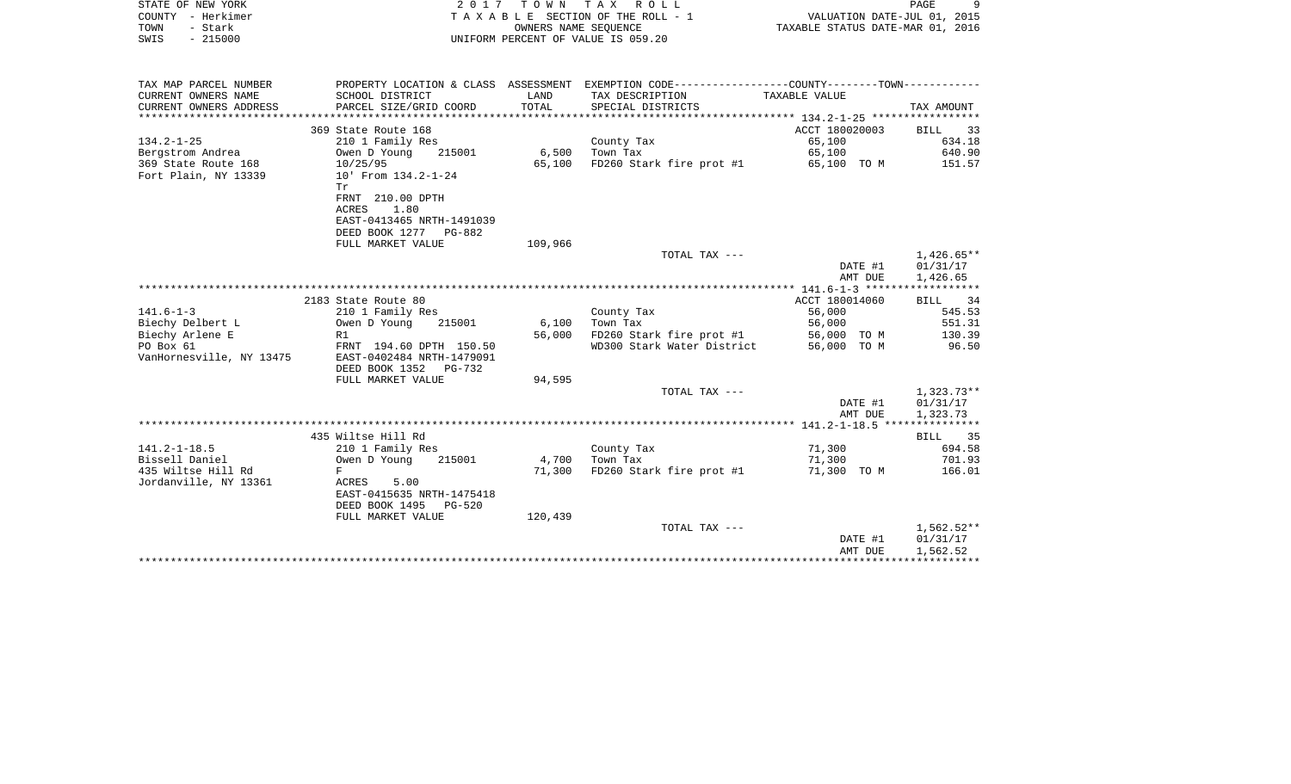| STATE OF NEW YORK<br>COUNTY - Herkimer<br>- Stark<br>TOWN<br>$-215000$<br>SWIS |                                                    | OWNERS NAME SEOUENCE | 2017 TOWN TAX ROLL<br>TAXABLE SECTION OF THE ROLL - 1<br>UNIFORM PERCENT OF VALUE IS 059.20     | VALUATION DATE-JUL 01, 2015<br>TAXABLE STATUS DATE-MAR 01, 2016 | PAGE<br>9               |
|--------------------------------------------------------------------------------|----------------------------------------------------|----------------------|-------------------------------------------------------------------------------------------------|-----------------------------------------------------------------|-------------------------|
| TAX MAP PARCEL NUMBER                                                          |                                                    |                      | PROPERTY LOCATION & CLASS ASSESSMENT EXEMPTION CODE----------------COUNTY--------TOWN---------- |                                                                 |                         |
| CURRENT OWNERS NAME                                                            | SCHOOL DISTRICT                                    | LAND                 | TAX DESCRIPTION                                                                                 | TAXABLE VALUE                                                   |                         |
| CURRENT OWNERS ADDRESS                                                         | PARCEL SIZE/GRID COORD                             | TOTAL                | SPECIAL DISTRICTS                                                                               |                                                                 | TAX AMOUNT              |
|                                                                                | 369 State Route 168                                |                      |                                                                                                 | ACCT 180020003                                                  | 33                      |
| $134.2 - 1 - 25$                                                               | 210 1 Family Res                                   |                      | County Tax                                                                                      | 65,100                                                          | BILL<br>634.18          |
| Bergstrom Andrea                                                               | 215001<br>Owen D Young                             | 6,500                | Town Tax                                                                                        | 65,100                                                          | 640.90                  |
| 369 State Route 168                                                            | 10/25/95                                           | 65,100               | FD260 Stark fire prot #1                                                                        | 65,100 TO M                                                     | 151.57                  |
| Fort Plain, NY 13339                                                           | 10' From 134.2-1-24<br>Tr.                         |                      |                                                                                                 |                                                                 |                         |
|                                                                                | FRNT 210.00 DPTH<br>ACRES<br>1.80                  |                      |                                                                                                 |                                                                 |                         |
|                                                                                | EAST-0413465 NRTH-1491039                          |                      |                                                                                                 |                                                                 |                         |
|                                                                                | DEED BOOK 1277 PG-882                              |                      |                                                                                                 |                                                                 |                         |
|                                                                                | FULL MARKET VALUE                                  | 109,966              |                                                                                                 |                                                                 |                         |
|                                                                                |                                                    |                      | TOTAL TAX ---                                                                                   |                                                                 | $1.426.65**$            |
|                                                                                |                                                    |                      |                                                                                                 | DATE #1                                                         | 01/31/17                |
|                                                                                |                                                    |                      |                                                                                                 | AMT DUE                                                         | 1,426.65                |
|                                                                                | 2183 State Route 80                                |                      |                                                                                                 | ACCT 180014060                                                  | BILL<br>34              |
| $141.6 - 1 - 3$                                                                | 210 1 Family Res                                   |                      | County Tax                                                                                      | 56,000                                                          | 545.53                  |
| Biechy Delbert L                                                               | Owen D Young<br>215001                             | 6,100                | Town Tax                                                                                        | 56,000                                                          | 551.31                  |
| Biechy Arlene E                                                                | R1                                                 | 56,000               | FD260 Stark fire prot #1                                                                        | 56,000 TO M                                                     | 130.39                  |
| PO Box 61                                                                      | FRNT 194.60 DPTH 150.50                            |                      | WD300 Stark Water District                                                                      | 56,000 TO M                                                     | 96.50                   |
| VanHornesville, NY 13475                                                       | EAST-0402484 NRTH-1479091<br>DEED BOOK 1352 PG-732 |                      |                                                                                                 |                                                                 |                         |
|                                                                                | FULL MARKET VALUE                                  | 94,595               |                                                                                                 |                                                                 |                         |
|                                                                                |                                                    |                      | TOTAL TAX ---                                                                                   |                                                                 | $1,323.73**$            |
|                                                                                |                                                    |                      |                                                                                                 | DATE #1                                                         | 01/31/17                |
|                                                                                |                                                    |                      |                                                                                                 | AMT DUE                                                         | 1,323.73                |
|                                                                                |                                                    |                      |                                                                                                 |                                                                 |                         |
|                                                                                | 435 Wiltse Hill Rd                                 |                      |                                                                                                 |                                                                 | BILL<br>35              |
| $141.2 - 1 - 18.5$                                                             | 210 1 Family Res                                   |                      | County Tax                                                                                      | 71,300                                                          | 694.58                  |
| Bissell Daniel                                                                 | Owen D Young<br>215001                             | 4,700                | Town Tax                                                                                        | 71,300                                                          | 701.93                  |
| 435 Wiltse Hill Rd<br>Jordanville, NY 13361                                    | F<br>ACRES<br>5.00                                 | 71,300               | FD260 Stark fire prot #1                                                                        | 71,300 TO M                                                     | 166.01                  |
|                                                                                | EAST-0415635 NRTH-1475418                          |                      |                                                                                                 |                                                                 |                         |
|                                                                                | DEED BOOK 1495<br>$PG-520$                         |                      |                                                                                                 |                                                                 |                         |
|                                                                                | FULL MARKET VALUE                                  | 120,439              |                                                                                                 |                                                                 |                         |
|                                                                                |                                                    |                      | TOTAL TAX ---                                                                                   |                                                                 | 1,562.52**              |
|                                                                                |                                                    |                      |                                                                                                 | DATE #1                                                         | 01/31/17                |
|                                                                                |                                                    |                      |                                                                                                 | AMT DUE                                                         | 1,562.52                |
|                                                                                |                                                    |                      |                                                                                                 |                                                                 | * * * * * * * * * * * * |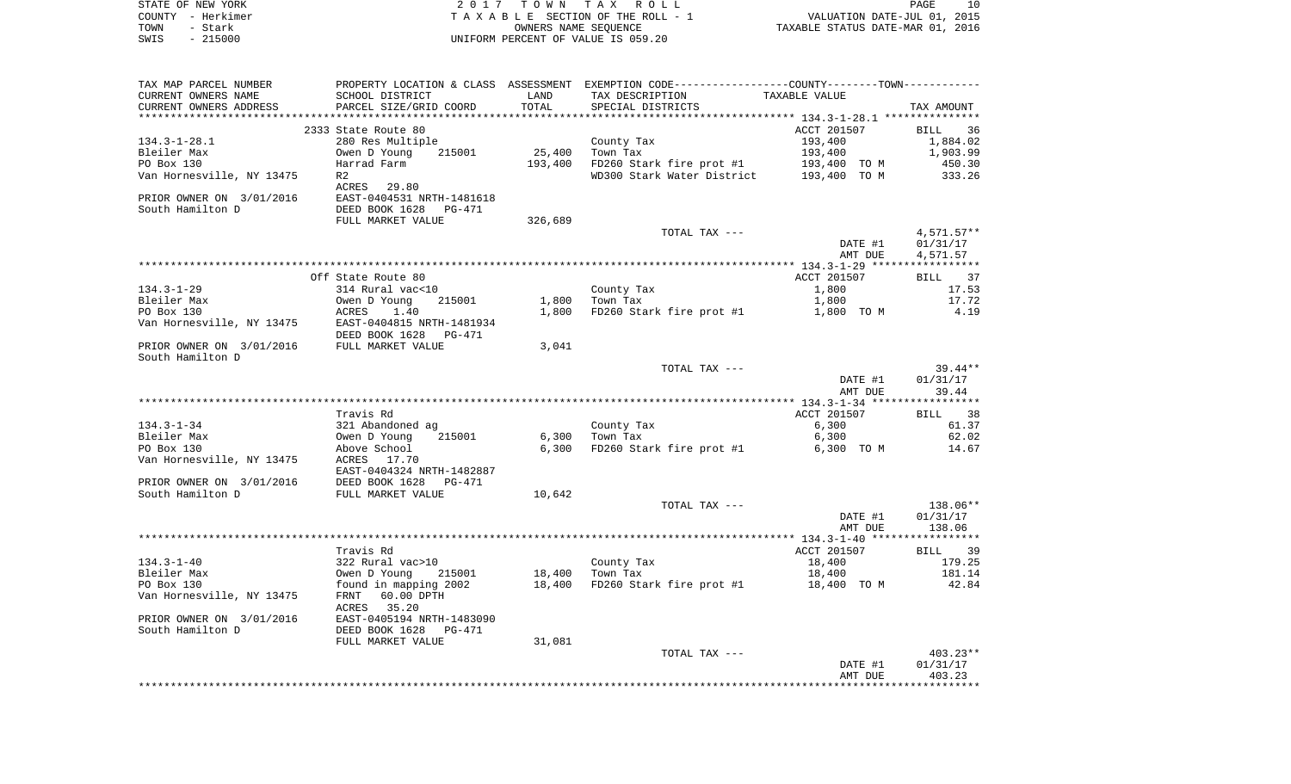| COUNTY - Herkimer<br>TOWN<br>- Stark    |                                                                                                 |         | TAXABLE SECTION OF THE ROLL - 1<br>OWNERS NAME SEQUENCE             | VALUATION DATE-JUL 01, 2015<br>TAXABLE STATUS DATE-MAR 01, 2016 |                  |
|-----------------------------------------|-------------------------------------------------------------------------------------------------|---------|---------------------------------------------------------------------|-----------------------------------------------------------------|------------------|
| $-215000$<br>SWIS                       |                                                                                                 |         | UNIFORM PERCENT OF VALUE IS 059.20                                  |                                                                 |                  |
|                                         |                                                                                                 |         |                                                                     |                                                                 |                  |
| TAX MAP PARCEL NUMBER                   | PROPERTY LOCATION & CLASS ASSESSMENT EXEMPTION CODE----------------COUNTY--------TOWN---------- |         |                                                                     |                                                                 |                  |
| CURRENT OWNERS NAME                     | SCHOOL DISTRICT                                                                                 | LAND    | TAX DESCRIPTION                                                     | TAXABLE VALUE                                                   |                  |
| CURRENT OWNERS ADDRESS                  | PARCEL SIZE/GRID COORD                                                                          | TOTAL   | SPECIAL DISTRICTS                                                   |                                                                 | TAX AMOUNT       |
|                                         |                                                                                                 |         |                                                                     |                                                                 |                  |
|                                         | 2333 State Route 80                                                                             |         |                                                                     | ACCT 201507                                                     | BILL 36          |
| 134.3-1-28.1                            | 280 Res Multiple                                                                                |         | County Tax                                                          | 193,400                                                         | 1,884.02         |
| Bleiler Max                             | 215001<br>Owen D Young                                                                          | 25,400  | Town Tax                                                            | 193,400                                                         | 1,903.99         |
| PO Box 130<br>Van Hornesville, NY 13475 | Harrad Farm                                                                                     | 193,400 | FD260 Stark fire prot #1<br>WD300 Stark Water District 193,400 TO M | 193,400 TO M                                                    | 450.30<br>333.26 |
|                                         | R2<br>ACRES 29.80                                                                               |         |                                                                     |                                                                 |                  |
| PRIOR OWNER ON 3/01/2016                | EAST-0404531 NRTH-1481618                                                                       |         |                                                                     |                                                                 |                  |
| South Hamilton D                        | DEED BOOK 1628<br>PG-471                                                                        |         |                                                                     |                                                                 |                  |
|                                         | FULL MARKET VALUE                                                                               | 326,689 |                                                                     |                                                                 |                  |
|                                         |                                                                                                 |         | TOTAL TAX ---                                                       |                                                                 | $4,571.57**$     |
|                                         |                                                                                                 |         |                                                                     | DATE #1                                                         | 01/31/17         |
|                                         |                                                                                                 |         |                                                                     | AMT DUE                                                         | 4,571.57         |
|                                         |                                                                                                 |         |                                                                     |                                                                 |                  |
|                                         | Off State Route 80                                                                              |         |                                                                     | ACCT 201507                                                     | BILL 37          |
| 134.3-1-29<br>Bleiler Max               | 314 Rural vac<10<br>215001<br>Owen D Young                                                      | 1,800   | County Tax<br>Town Tax                                              | 1,800<br>1,800                                                  | 17.53<br>17.72   |
| PO Box 130                              | ACRES<br>1.40                                                                                   | 1,800   | FD260 Stark fire prot #1                                            | 1,800 TO M                                                      | 4.19             |
| Van Hornesville, NY 13475               | EAST-0404815 NRTH-1481934                                                                       |         |                                                                     |                                                                 |                  |
|                                         | DEED BOOK 1628<br>PG-471                                                                        |         |                                                                     |                                                                 |                  |
| PRIOR OWNER ON 3/01/2016                | FULL MARKET VALUE                                                                               | 3,041   |                                                                     |                                                                 |                  |
| South Hamilton D                        |                                                                                                 |         |                                                                     |                                                                 |                  |
|                                         |                                                                                                 |         | TOTAL TAX ---                                                       |                                                                 | 39.44**          |
|                                         |                                                                                                 |         |                                                                     | DATE #1                                                         | 01/31/17         |
|                                         |                                                                                                 |         |                                                                     | AMT DUE                                                         | 39.44            |
|                                         | Travis Rd                                                                                       |         |                                                                     | ACCT 201507                                                     | BILL 38          |
| 134.3-1-34                              | 321 Abandoned ag                                                                                |         | County Tax                                                          | 6,300                                                           | 61.37            |
| Bleiler Max                             | 215001<br>Owen D Young                                                                          | 6,300   | Town Tax                                                            | 6,300                                                           | 62.02            |
| PO Box 130                              | Above School                                                                                    | 6,300   | FD260 Stark fire prot #1                                            | 6,300 TO M                                                      | 14.67            |
| Van Hornesville, NY 13475               | ACRES 17.70                                                                                     |         |                                                                     |                                                                 |                  |
|                                         | EAST-0404324 NRTH-1482887                                                                       |         |                                                                     |                                                                 |                  |
| PRIOR OWNER ON 3/01/2016                | DEED BOOK 1628<br>PG-471                                                                        |         |                                                                     |                                                                 |                  |
| South Hamilton D                        | FULL MARKET VALUE                                                                               | 10,642  | TOTAL TAX ---                                                       |                                                                 | 138.06**         |
|                                         |                                                                                                 |         |                                                                     | DATE #1                                                         | 01/31/17         |
|                                         |                                                                                                 |         |                                                                     | AMT DUE                                                         | 138.06           |
|                                         |                                                                                                 |         |                                                                     |                                                                 |                  |
|                                         | Travis Rd                                                                                       |         |                                                                     | ACCT 201507                                                     | BILL 39          |
| 134.3-1-40                              | 322 Rural vac>10                                                                                |         | County Tax                                                          | 18,400                                                          | 179.25           |
| Bleiler Max                             | Owen D Young 215001                                                                             | 18,400  | Town Tax                                                            | 18,400                                                          | 181.14           |
| PO Box 130                              | found in mapping 2002                                                                           | 18,400  | FD260 Stark fire prot #1                                            | 18,400 TO M                                                     | 42.84            |
| Van Hornesville, NY 13475               | 60.00 DPTH<br>FRNT                                                                              |         |                                                                     |                                                                 |                  |
| PRIOR OWNER ON 3/01/2016                | 35.20<br>ACRES<br>EAST-0405194 NRTH-1483090                                                     |         |                                                                     |                                                                 |                  |
| South Hamilton D                        | DEED BOOK 1628<br>PG-471                                                                        |         |                                                                     |                                                                 |                  |
|                                         | FULL MARKET VALUE                                                                               | 31,081  |                                                                     |                                                                 |                  |
|                                         |                                                                                                 |         | TOTAL TAX ---                                                       |                                                                 | $403.23**$       |
|                                         |                                                                                                 |         |                                                                     | DATE #1                                                         | 01/31/17         |
|                                         |                                                                                                 |         |                                                                     | AMT DUE                                                         | 403.23           |
|                                         |                                                                                                 |         |                                                                     |                                                                 |                  |

PAGE 10

STATE OF NEW YORK **EXECUTE:**  $2017$  TOWN TAX ROLL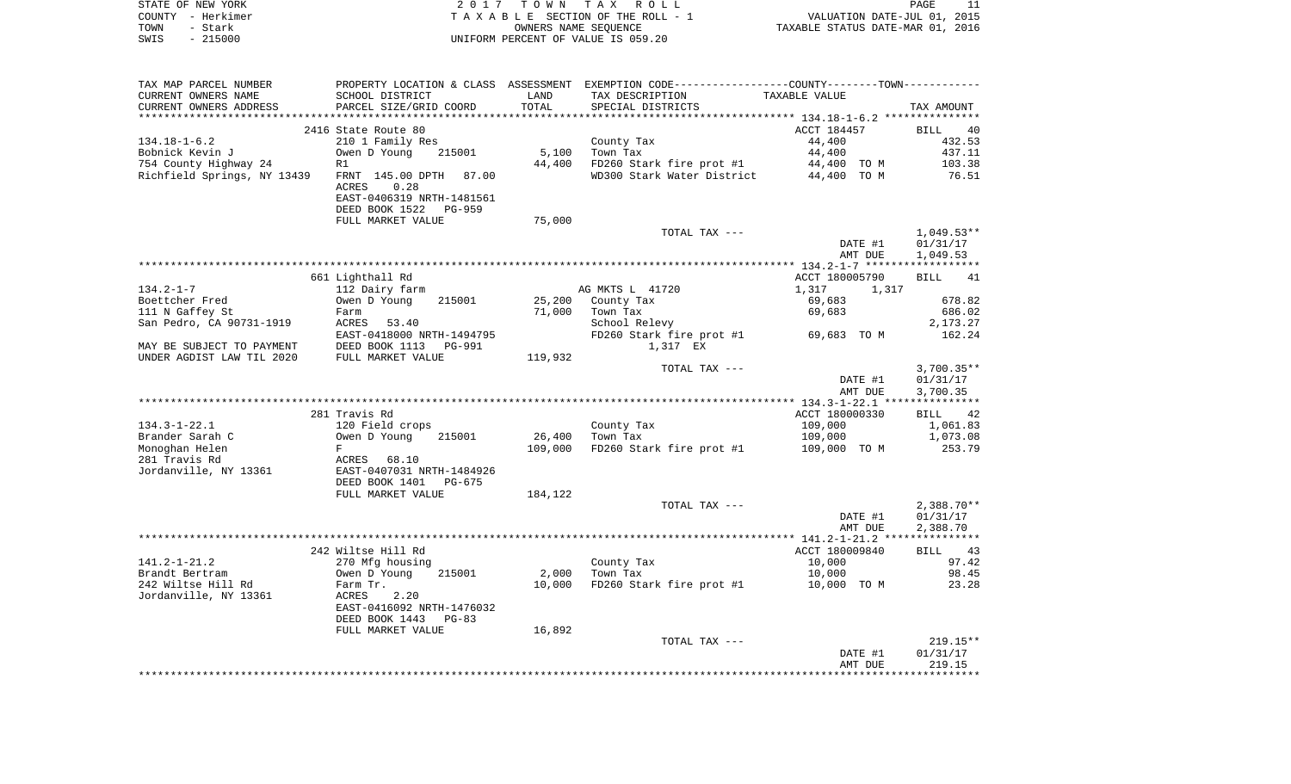|      | STATE OF NEW YORK | 2017 TOWN TAX ROLL                 | PAGE                             |  |
|------|-------------------|------------------------------------|----------------------------------|--|
|      | COUNTY - Herkimer | TAXABLE SECTION OF THE ROLL - 1    | VALUATION DATE-JUL 01, 2015      |  |
| TOWN | - Stark           | OWNERS NAME SEOUENCE               | TAXABLE STATUS DATE-MAR 01, 2016 |  |
| SWIS | $-215000$         | UNIFORM PERCENT OF VALUE IS 059.20 |                                  |  |

| TAX MAP PARCEL NUMBER       |                                                       |         | PROPERTY LOCATION & CLASS ASSESSMENT EXEMPTION CODE---------------COUNTY-------TOWN---------- |                |                   |
|-----------------------------|-------------------------------------------------------|---------|-----------------------------------------------------------------------------------------------|----------------|-------------------|
| CURRENT OWNERS NAME         | SCHOOL DISTRICT                                       | LAND    | TAX DESCRIPTION                                                                               | TAXABLE VALUE  |                   |
| CURRENT OWNERS ADDRESS      | PARCEL SIZE/GRID COORD                                | TOTAL   | SPECIAL DISTRICTS                                                                             |                | TAX AMOUNT        |
| ************************    |                                                       |         |                                                                                               |                |                   |
|                             | 2416 State Route 80                                   |         |                                                                                               | ACCT 184457    | <b>BILL</b><br>40 |
| $134.18 - 1 - 6.2$          | 210 1 Family Res                                      |         | County Tax                                                                                    | 44,400         | 432.53            |
| Bobnick Kevin J             | Owen D Young<br>215001                                | 5,100   | Town Tax                                                                                      | 44,400         | 437.11            |
| 754 County Highway 24       | R1                                                    | 44,400  | FD260 Stark fire prot #1                                                                      | 44,400 TO M    | 103.38            |
| Richfield Springs, NY 13439 | FRNT 145.00 DPTH 87.00                                |         | WD300 Stark Water District                                                                    | 44,400 TO M    | 76.51             |
|                             | ACRES<br>0.28                                         |         |                                                                                               |                |                   |
|                             | EAST-0406319 NRTH-1481561<br>DEED BOOK 1522<br>PG-959 |         |                                                                                               |                |                   |
|                             | FULL MARKET VALUE                                     | 75,000  |                                                                                               |                |                   |
|                             |                                                       |         | TOTAL TAX ---                                                                                 |                | $1,049.53**$      |
|                             |                                                       |         |                                                                                               | DATE #1        | 01/31/17          |
|                             |                                                       |         |                                                                                               | AMT DUE        | 1,049.53          |
|                             |                                                       |         |                                                                                               |                |                   |
|                             | 661 Lighthall Rd                                      |         |                                                                                               | ACCT 180005790 | 41<br><b>BILL</b> |
| $134.2 - 1 - 7$             | 112 Dairy farm                                        |         | AG MKTS L 41720                                                                               | 1,317<br>1,317 |                   |
| Boettcher Fred              | 215001<br>Owen D Young                                | 25,200  | County Tax                                                                                    | 69,683         | 678.82            |
| 111 N Gaffey St             | Farm                                                  | 71,000  | Town Tax                                                                                      | 69,683         | 686.02            |
| San Pedro, CA 90731-1919    | ACRES 53.40                                           |         | School Relevy                                                                                 |                | 2,173.27          |
|                             | EAST-0418000 NRTH-1494795                             |         | FD260 Stark fire prot #1                                                                      | 69,683 TO M    | 162.24            |
| MAY BE SUBJECT TO PAYMENT   | DEED BOOK 1113<br>PG-991                              |         | 1,317 EX                                                                                      |                |                   |
| UNDER AGDIST LAW TIL 2020   | FULL MARKET VALUE                                     | 119,932 |                                                                                               |                |                   |
|                             |                                                       |         | TOTAL TAX ---                                                                                 |                | $3,700.35**$      |
|                             |                                                       |         |                                                                                               | DATE #1        | 01/31/17          |
|                             |                                                       |         |                                                                                               | AMT DUE        | 3,700.35          |
|                             | 281 Travis Rd                                         |         |                                                                                               | ACCT 180000330 | 42<br><b>BILL</b> |
| $134.3 - 1 - 22.1$          | 120 Field crops                                       |         | County Tax                                                                                    | 109,000        | 1,061.83          |
| Brander Sarah C             | 215001<br>Owen D Young                                | 26,400  | Town Tax                                                                                      | 109,000        | 1,073.08          |
| Monoghan Helen              | F                                                     | 109,000 | FD260 Stark fire prot #1                                                                      | 109,000 TO M   | 253.79            |
| 281 Travis Rd               | ACRES 68.10                                           |         |                                                                                               |                |                   |
| Jordanville, NY 13361       | EAST-0407031 NRTH-1484926                             |         |                                                                                               |                |                   |
|                             | DEED BOOK 1401<br>PG-675                              |         |                                                                                               |                |                   |
|                             | FULL MARKET VALUE                                     | 184,122 |                                                                                               |                |                   |
|                             |                                                       |         | TOTAL TAX ---                                                                                 |                | $2,388.70**$      |
|                             |                                                       |         |                                                                                               | DATE #1        | 01/31/17          |
|                             |                                                       |         |                                                                                               | AMT DUE        | 2,388.70          |
|                             | 242 Wiltse Hill Rd                                    |         |                                                                                               | ACCT 180009840 | BILL 43           |
| $141.2 - 1 - 21.2$          | 270 Mfg housing                                       |         | County Tax                                                                                    | 10,000         | 97.42             |
| Brandt Bertram              | Owen D Young<br>215001                                | 2,000   | Town Tax                                                                                      | 10,000         | 98.45             |
| 242 Wiltse Hill Rd          | Farm Tr.                                              | 10,000  | FD260 Stark fire prot #1 10,000 TO M                                                          |                | 23.28             |
| Jordanville, NY 13361       | 2.20<br>ACRES                                         |         |                                                                                               |                |                   |
|                             | EAST-0416092 NRTH-1476032                             |         |                                                                                               |                |                   |
|                             | DEED BOOK 1443<br>$PG-83$                             |         |                                                                                               |                |                   |
|                             | FULL MARKET VALUE                                     | 16,892  |                                                                                               |                |                   |
|                             |                                                       |         | TOTAL TAX ---                                                                                 |                | $219.15**$        |
|                             |                                                       |         |                                                                                               | DATE #1        | 01/31/17          |
|                             |                                                       |         |                                                                                               | AMT DUE        | 219.15            |
|                             |                                                       |         |                                                                                               |                |                   |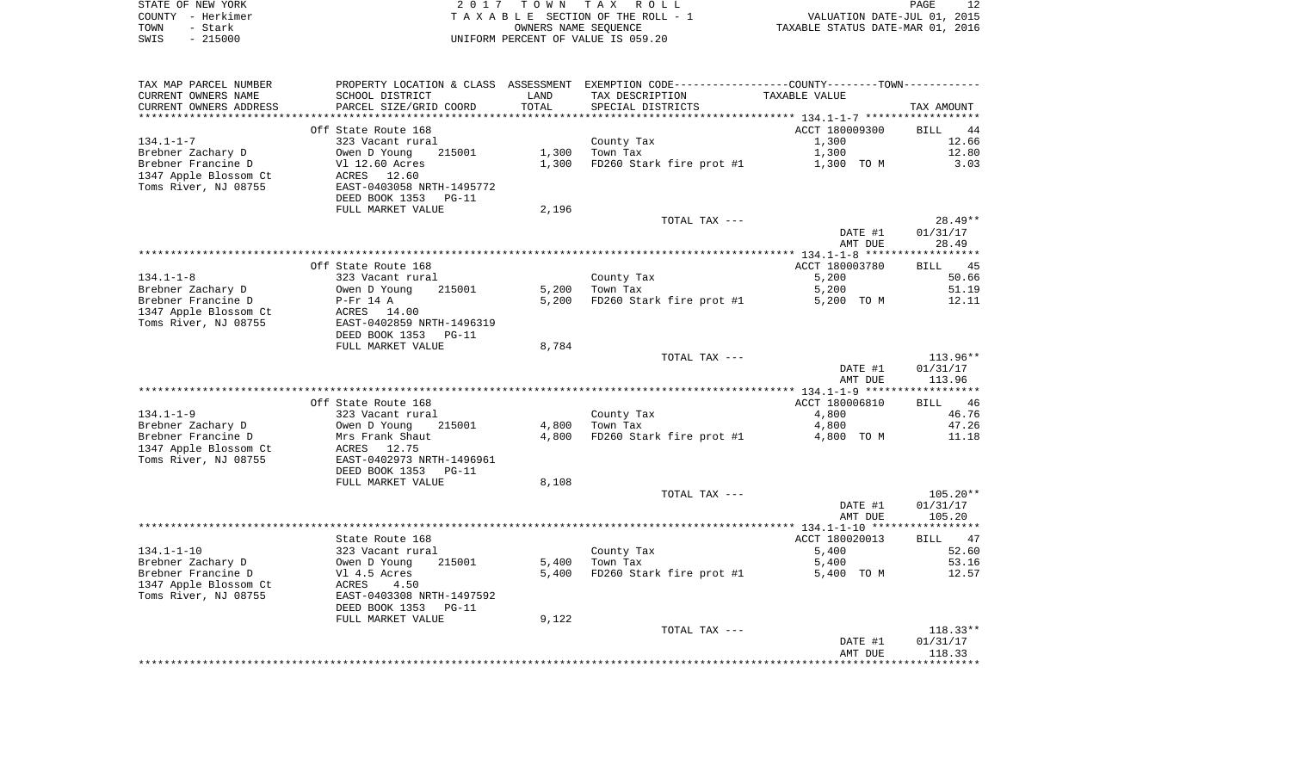|      | STATE OF NEW YORK | 2017 TOWN TAX ROLL                 | PAGE                             |
|------|-------------------|------------------------------------|----------------------------------|
|      | COUNTY - Herkimer | TAXABLE SECTION OF THE ROLL - 1    | VALUATION DATE-JUL 01, 2015      |
| TOWN | – Stark           | OWNERS NAME SEOUENCE               | TAXABLE STATUS DATE-MAR 01, 2016 |
| SWIS | $-215000$         | UNIFORM PERCENT OF VALUE IS 059.20 |                                  |

| TAX MAP PARCEL NUMBER  | PROPERTY LOCATION & CLASS ASSESSMENT EXEMPTION CODE----------------COUNTY--------TOWN---------- |       |                          |                |                   |
|------------------------|-------------------------------------------------------------------------------------------------|-------|--------------------------|----------------|-------------------|
| CURRENT OWNERS NAME    | SCHOOL DISTRICT                                                                                 | LAND  | TAX DESCRIPTION          | TAXABLE VALUE  |                   |
| CURRENT OWNERS ADDRESS | PARCEL SIZE/GRID COORD                                                                          | TOTAL | SPECIAL DISTRICTS        |                | TAX AMOUNT        |
|                        |                                                                                                 |       |                          |                |                   |
|                        | Off State Route 168                                                                             |       |                          | ACCT 180009300 | <b>BILL</b><br>44 |
| $134.1 - 1 - 7$        | 323 Vacant rural                                                                                |       | County Tax               | 1,300          | 12.66             |
| Brebner Zachary D      | Owen D Young<br>215001                                                                          | 1,300 | Town Tax                 | 1,300          | 12.80             |
| Brebner Francine D     | Vl 12.60 Acres                                                                                  | 1,300 | FD260 Stark fire prot #1 | 1,300 TO M     | 3.03              |
| 1347 Apple Blossom Ct  | ACRES 12.60                                                                                     |       |                          |                |                   |
| Toms River, NJ 08755   | EAST-0403058 NRTH-1495772                                                                       |       |                          |                |                   |
|                        | DEED BOOK 1353<br>$PG-11$                                                                       |       |                          |                |                   |
|                        | FULL MARKET VALUE                                                                               | 2,196 |                          |                |                   |
|                        |                                                                                                 |       | TOTAL TAX ---            |                | $28.49**$         |
|                        |                                                                                                 |       |                          | DATE #1        | 01/31/17          |
|                        |                                                                                                 |       |                          | AMT DUE        | 28.49             |
|                        |                                                                                                 |       |                          |                |                   |
|                        | Off State Route 168                                                                             |       |                          | ACCT 180003780 | BILL<br>45        |
| $134.1 - 1 - 8$        | 323 Vacant rural                                                                                |       | County Tax               | 5,200          | 50.66             |
| Brebner Zachary D      | 215001                                                                                          | 5,200 | Town Tax                 | 5,200          | 51.19             |
|                        | Owen D Young                                                                                    |       |                          |                | 12.11             |
| Brebner Francine D     | P-Fr 14 A                                                                                       | 5,200 | FD260 Stark fire prot #1 | 5,200 TO M     |                   |
| 1347 Apple Blossom Ct  | ACRES 14.00                                                                                     |       |                          |                |                   |
| Toms River, NJ 08755   | EAST-0402859 NRTH-1496319                                                                       |       |                          |                |                   |
|                        | DEED BOOK 1353<br>$PG-11$                                                                       |       |                          |                |                   |
|                        | FULL MARKET VALUE                                                                               | 8,784 |                          |                |                   |
|                        |                                                                                                 |       | TOTAL TAX ---            |                | $113.96**$        |
|                        |                                                                                                 |       |                          | DATE #1        | 01/31/17          |
|                        |                                                                                                 |       |                          | AMT DUE        | 113.96            |
|                        |                                                                                                 |       |                          |                |                   |
|                        | Off State Route 168                                                                             |       |                          | ACCT 180006810 | 46<br><b>BILL</b> |
| $134.1 - 1 - 9$        | 323 Vacant rural                                                                                |       | County Tax               | 4,800          | 46.76             |
| Brebner Zachary D      | 215001<br>Owen D Young                                                                          | 4,800 | Town Tax                 | 4,800          | 47.26             |
| Brebner Francine D     | Mrs Frank Shaut                                                                                 | 4,800 | FD260 Stark fire prot #1 | 4,800 TO M     | 11.18             |
| 1347 Apple Blossom Ct  | 12.75<br>ACRES                                                                                  |       |                          |                |                   |
| Toms River, NJ 08755   | EAST-0402973 NRTH-1496961                                                                       |       |                          |                |                   |
|                        | DEED BOOK 1353<br>$PG-11$                                                                       |       |                          |                |                   |
|                        | FULL MARKET VALUE                                                                               | 8,108 |                          |                |                   |
|                        |                                                                                                 |       | TOTAL TAX ---            |                | $105.20**$        |
|                        |                                                                                                 |       |                          | DATE #1        | 01/31/17          |
|                        |                                                                                                 |       |                          | AMT DUE        | 105.20            |
|                        |                                                                                                 |       |                          |                |                   |
|                        | State Route 168                                                                                 |       |                          | ACCT 180020013 | BILL 47           |
| $134.1 - 1 - 10$       | 323 Vacant rural                                                                                |       | County Tax               | 5,400          | 52.60             |
| Brebner Zachary D      | Owen D Young<br>215001                                                                          | 5,400 | Town Tax                 | 5,400          | 53.16             |
| Brebner Francine D     | Vl 4.5 Acres                                                                                    | 5,400 | FD260 Stark fire prot #1 | 5,400 TO M     | 12.57             |
| 1347 Apple Blossom Ct  | ACRES<br>4.50                                                                                   |       |                          |                |                   |
| Toms River, NJ 08755   | EAST-0403308 NRTH-1497592                                                                       |       |                          |                |                   |
|                        | DEED BOOK 1353<br>$PG-11$                                                                       |       |                          |                |                   |
|                        |                                                                                                 |       |                          |                |                   |
|                        | FULL MARKET VALUE                                                                               | 9,122 |                          |                | $118.33**$        |
|                        |                                                                                                 |       | TOTAL TAX ---            |                |                   |
|                        |                                                                                                 |       |                          | DATE #1        | 01/31/17          |
|                        |                                                                                                 |       |                          | AMT DUE        | 118.33            |
|                        |                                                                                                 |       |                          |                |                   |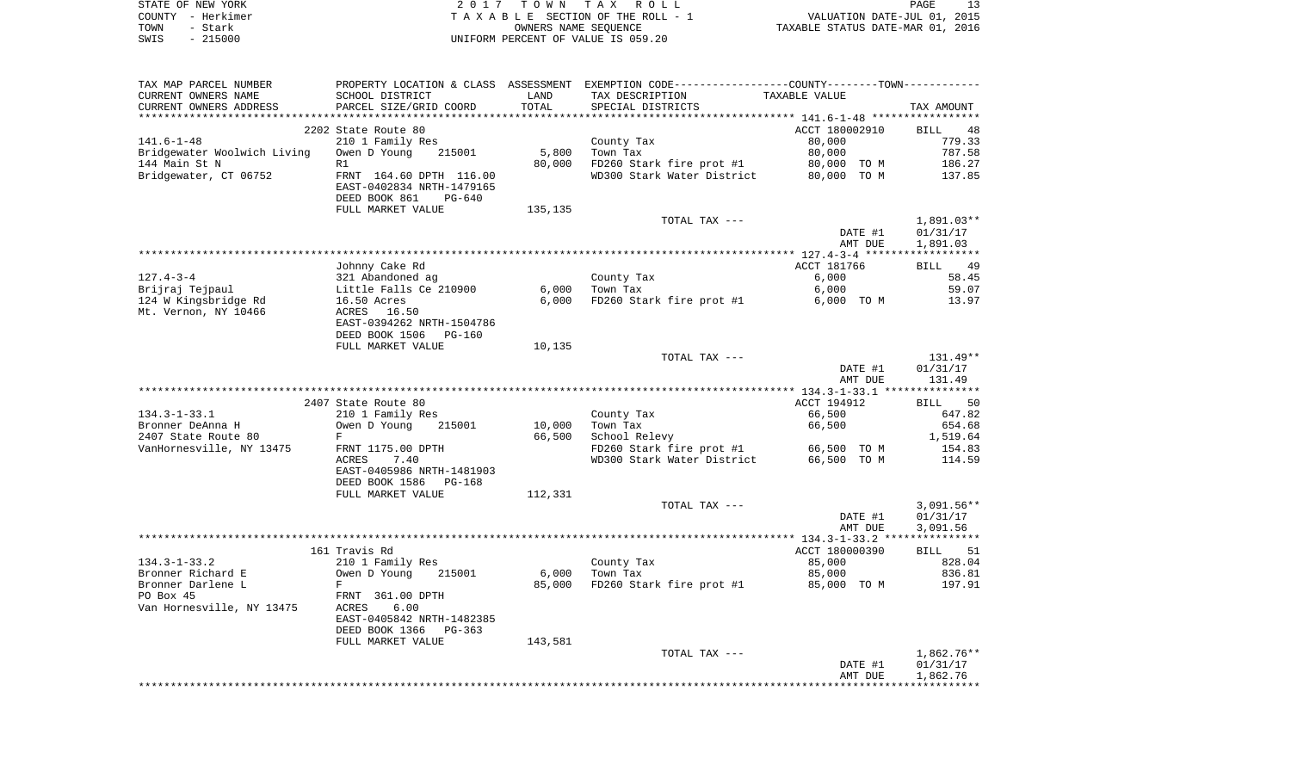| STATE OF NEW YORK | 2017 TOWN TAX ROLL                 | PAGE                             |  |
|-------------------|------------------------------------|----------------------------------|--|
| COUNTY - Herkimer | TAXABLE SECTION OF THE ROLL - 1    | VALUATION DATE-JUL 01, 2015      |  |
| TOWN<br>– Stark   | OWNERS NAME SEOUENCE               | TAXABLE STATUS DATE-MAR 01, 2016 |  |
| $-215000$<br>SWIS | UNIFORM PERCENT OF VALUE IS 059.20 |                                  |  |

| TAX MAP PARCEL NUMBER<br>CURRENT OWNERS NAME<br>CURRENT OWNERS ADDRESS | SCHOOL DISTRICT<br>PARCEL SIZE/GRID COORD  | LAND<br>TOTAL | PROPERTY LOCATION & CLASS ASSESSMENT EXEMPTION CODE----------------COUNTY--------TOWN-----------<br>TAX DESCRIPTION<br>SPECIAL DISTRICTS | TAXABLE VALUE                                  | TAX AMOUNT        |
|------------------------------------------------------------------------|--------------------------------------------|---------------|------------------------------------------------------------------------------------------------------------------------------------------|------------------------------------------------|-------------------|
|                                                                        |                                            |               |                                                                                                                                          |                                                |                   |
|                                                                        | 2202 State Route 80                        |               |                                                                                                                                          | ACCT 180002910                                 | <b>BILL</b><br>48 |
| $141.6 - 1 - 48$                                                       | 210 1 Family Res                           |               | County Tax                                                                                                                               | 80,000                                         | 779.33            |
| Bridgewater Woolwich Living                                            | Owen D Young<br>215001                     | 5,800         | Town Tax                                                                                                                                 | 80,000                                         | 787.58            |
| 144 Main St N                                                          | R1                                         | 80,000        | FD260 Stark fire prot #1                                                                                                                 | 80,000 TO M                                    | 186.27            |
| Bridgewater, CT 06752                                                  | FRNT 164.60 DPTH 116.00                    |               | WD300 Stark Water District                                                                                                               | 80,000 TO M                                    | 137.85            |
|                                                                        | EAST-0402834 NRTH-1479165<br>$PG-640$      |               |                                                                                                                                          |                                                |                   |
|                                                                        | DEED BOOK 861<br>FULL MARKET VALUE         | 135,135       |                                                                                                                                          |                                                |                   |
|                                                                        |                                            |               | TOTAL TAX ---                                                                                                                            |                                                | 1,891.03**        |
|                                                                        |                                            |               |                                                                                                                                          | DATE #1                                        | 01/31/17          |
|                                                                        |                                            |               |                                                                                                                                          | AMT DUE                                        | 1,891.03          |
|                                                                        |                                            |               |                                                                                                                                          |                                                |                   |
|                                                                        | Johnny Cake Rd                             |               |                                                                                                                                          | ACCT 181766                                    | 49<br><b>BILL</b> |
| $127.4 - 3 - 4$                                                        | 321 Abandoned ag                           |               | County Tax                                                                                                                               | 6,000                                          | 58.45             |
| Brijraj Tejpaul                                                        | Little Falls Ce 210900                     | 6,000         | Town Tax                                                                                                                                 | 6,000                                          | 59.07             |
| 124 W Kingsbridge Rd                                                   | 16.50 Acres                                | 6,000         | FD260 Stark fire prot #1                                                                                                                 | 6,000 TO M                                     | 13.97             |
| Mt. Vernon, NY 10466                                                   | ACRES 16.50                                |               |                                                                                                                                          |                                                |                   |
|                                                                        | EAST-0394262 NRTH-1504786                  |               |                                                                                                                                          |                                                |                   |
|                                                                        | DEED BOOK 1506 PG-160                      |               |                                                                                                                                          |                                                |                   |
|                                                                        | FULL MARKET VALUE                          | 10,135        |                                                                                                                                          |                                                |                   |
|                                                                        |                                            |               | TOTAL TAX ---                                                                                                                            |                                                | $131.49**$        |
|                                                                        |                                            |               |                                                                                                                                          | DATE #1                                        | 01/31/17          |
|                                                                        |                                            |               |                                                                                                                                          | AMT DUE                                        | 131.49            |
|                                                                        | 2407 State Route 80                        |               |                                                                                                                                          | ACCT 194912                                    | 50                |
| $134.3 - 1 - 33.1$                                                     | 210 1 Family Res                           |               | County Tax                                                                                                                               | 66,500                                         | BILL<br>647.82    |
| Bronner DeAnna H                                                       | Owen D Young<br>215001                     | 10,000        | Town Tax                                                                                                                                 | 66,500                                         | 654.68            |
| 2407 State Route 80                                                    | F                                          | 66,500        | School Relevy                                                                                                                            |                                                | 1,519.64          |
| VanHornesville, NY 13475                                               | FRNT 1175.00 DPTH                          |               | FD260 Stark fire prot #1                                                                                                                 | 66,500 TO M                                    | 154.83            |
|                                                                        | ACRES<br>7.40                              |               | WD300 Stark Water District                                                                                                               | 66,500 TO M                                    | 114.59            |
|                                                                        | EAST-0405986 NRTH-1481903                  |               |                                                                                                                                          |                                                |                   |
|                                                                        | DEED BOOK 1586<br>PG-168                   |               |                                                                                                                                          |                                                |                   |
|                                                                        | FULL MARKET VALUE                          | 112,331       |                                                                                                                                          |                                                |                   |
|                                                                        |                                            |               | TOTAL TAX ---                                                                                                                            |                                                | $3,091.56**$      |
|                                                                        |                                            |               |                                                                                                                                          | DATE #1                                        | 01/31/17          |
|                                                                        |                                            |               |                                                                                                                                          | AMT DUE                                        | 3,091.56          |
| **************************************                                 |                                            |               |                                                                                                                                          | ***************** 134.3-1-33.2 *************** |                   |
|                                                                        | 161 Travis Rd                              |               |                                                                                                                                          | ACCT 180000390                                 | 51<br>BILL        |
| $134.3 - 1 - 33.2$                                                     | 210 1 Family Res                           |               | County Tax                                                                                                                               | 85,000                                         | 828.04            |
| Bronner Richard E                                                      | Owen D Young<br>215001                     | 6,000         | Town Tax                                                                                                                                 | 85,000                                         | 836.81            |
| Bronner Darlene L                                                      | F                                          | 85,000        | FD260 Stark fire prot #1                                                                                                                 | 85,000 TO M                                    | 197.91            |
| PO Box 45                                                              | FRNT 361.00 DPTH                           |               |                                                                                                                                          |                                                |                   |
| Van Hornesville, NY 13475                                              | ACRES<br>6.00<br>EAST-0405842 NRTH-1482385 |               |                                                                                                                                          |                                                |                   |
|                                                                        | DEED BOOK 1366 PG-363                      |               |                                                                                                                                          |                                                |                   |
|                                                                        | FULL MARKET VALUE                          | 143,581       |                                                                                                                                          |                                                |                   |
|                                                                        |                                            |               | TOTAL TAX ---                                                                                                                            |                                                | $1,862.76**$      |
|                                                                        |                                            |               |                                                                                                                                          | DATE #1                                        | 01/31/17          |
|                                                                        |                                            |               |                                                                                                                                          |                                                |                   |
|                                                                        |                                            |               |                                                                                                                                          | AMT DUE                                        | 1,862.76          |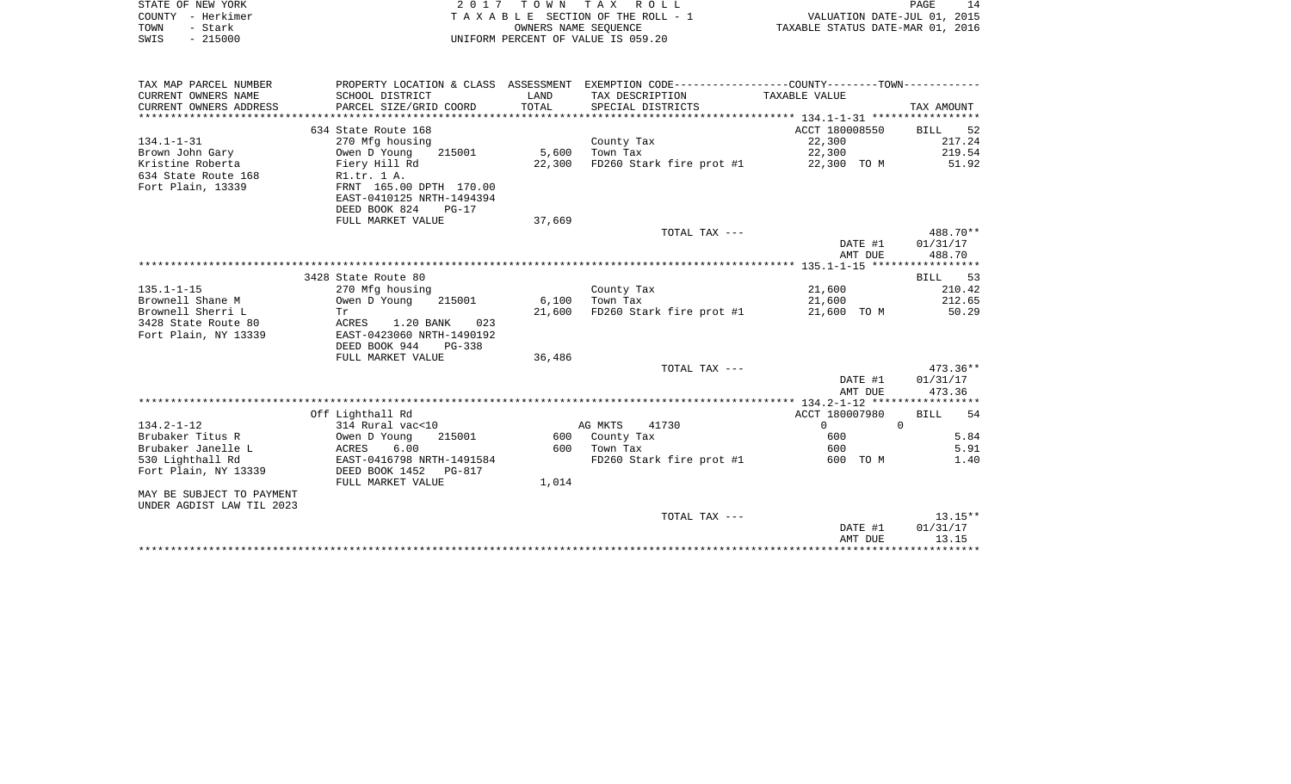| STATE OF NEW YORK | 2017 TOWN TAX ROLL                 | 14<br>PAGE                       |
|-------------------|------------------------------------|----------------------------------|
| COUNTY - Herkimer | TAXABLE SECTION OF THE ROLL - 1    | VALUATION DATE-JUL 01, 2015      |
| TOWN<br>- Stark   | OWNERS NAME SEOUENCE               | TAXABLE STATUS DATE-MAR 01, 2016 |
| $-215000$<br>SWIS | UNIFORM PERCENT OF VALUE IS 059.20 |                                  |

| TAX MAP PARCEL NUMBER     | PROPERTY LOCATION & CLASS ASSESSMENT EXEMPTION CODE---------------COUNTY-------TOWN---------- |                       |                                            |                        |                   |
|---------------------------|-----------------------------------------------------------------------------------------------|-----------------------|--------------------------------------------|------------------------|-------------------|
| CURRENT OWNERS NAME       | SCHOOL DISTRICT                                                                               | LAND                  | TAX DESCRIPTION                            | TAXABLE VALUE          |                   |
| CURRENT OWNERS ADDRESS    | PARCEL SIZE/GRID COORD                                                                        | TOTAL                 | SPECIAL DISTRICTS                          |                        | TAX AMOUNT        |
|                           |                                                                                               |                       |                                            |                        |                   |
|                           | 634 State Route 168                                                                           |                       |                                            | ACCT 180008550 BILL 52 |                   |
| $134.1 - 1 - 31$          | 270 Mfg housing                                                                               |                       | County Tax                                 | 22,300                 | 217.24            |
| Brown John Gary           | Owen D Young                                                                                  | 215001 5,600 Town Tax |                                            | 22,300                 | 219.54            |
| Kristine Roberta          | Fiery Hill Rd                                                                                 | 22,300                | FD260 Stark fire prot #1 22,300 TO M 51.92 |                        |                   |
| 634 State Route 168       | R1.tr. 1 A.                                                                                   |                       |                                            |                        |                   |
| Fort Plain, 13339         | FRNT 165.00 DPTH 170.00                                                                       |                       |                                            |                        |                   |
|                           | EAST-0410125 NRTH-1494394                                                                     |                       |                                            |                        |                   |
|                           |                                                                                               |                       |                                            |                        |                   |
|                           | DEED BOOK 824<br>$PG-17$                                                                      |                       |                                            |                        |                   |
|                           | FULL MARKET VALUE                                                                             | 37,669                |                                            |                        |                   |
|                           |                                                                                               |                       | TOTAL TAX ---                              |                        | 488.70**          |
|                           |                                                                                               |                       |                                            | DATE #1                | 01/31/17          |
|                           |                                                                                               |                       |                                            | AMT DUE                | 488.70            |
|                           |                                                                                               |                       |                                            |                        |                   |
|                           | 3428 State Route 80                                                                           |                       |                                            |                        | BILL 53           |
| $135.1 - 1 - 15$          | 270 Mfg housing                                                                               |                       | County Tax                                 | 21,600                 | 210.42            |
| Brownell Shane M          | Owen D Young<br>215001                                                                        | 6,100                 | Town Tax                                   | 21,600                 | 212.65            |
| Brownell Sherri L         | Tr                                                                                            | 21,600                | FD260 Stark fire prot #1                   |                        | 21,600 TOM 50.29  |
| 3428 State Route 80       | ACRES 1.20 BANK<br>023                                                                        |                       |                                            |                        |                   |
| Fort Plain, NY 13339      | EAST-0423060 NRTH-1490192                                                                     |                       |                                            |                        |                   |
|                           | DEED BOOK 944<br>PG-338                                                                       |                       |                                            |                        |                   |
|                           | FULL MARKET VALUE                                                                             | 36,486                |                                            |                        |                   |
|                           |                                                                                               |                       | TOTAL TAX ---                              |                        | $473.36**$        |
|                           |                                                                                               |                       |                                            | DATE #1                | 01/31/17          |
|                           |                                                                                               |                       |                                            | AMT DUE                | 473.36            |
|                           |                                                                                               |                       |                                            |                        |                   |
|                           | Off Lighthall Rd                                                                              |                       |                                            | ACCT 180007980         | <b>BILL</b><br>54 |
| $134.2 - 1 - 12$          | 314 Rural vac<10                                                                              |                       | 41730<br>AG MKTS                           | $\Omega$               | $\overline{0}$    |
| Brubaker Titus R          | Owen D Young<br>215001                                                                        |                       | 600 County Tax                             | 600                    | 5.84              |
| Brubaker Janelle L        | ACRES<br>6.00                                                                                 | 600                   | Town Tax                                   | 600                    | 5.91              |
| 530 Lighthall Rd          | EAST-0416798 NRTH-1491584                                                                     |                       | FD260 Stark fire prot #1                   | 600 TO M               | 1.40              |
| Fort Plain, NY 13339      | DEED BOOK 1452 PG-817                                                                         |                       |                                            |                        |                   |
|                           | FULL MARKET VALUE                                                                             | 1,014                 |                                            |                        |                   |
| MAY BE SUBJECT TO PAYMENT |                                                                                               |                       |                                            |                        |                   |
|                           |                                                                                               |                       |                                            |                        |                   |
| UNDER AGDIST LAW TIL 2023 |                                                                                               |                       |                                            |                        |                   |
|                           |                                                                                               |                       | TOTAL TAX ---                              |                        | $13.15**$         |
|                           |                                                                                               |                       |                                            | DATE #1                | 01/31/17          |
|                           |                                                                                               |                       |                                            | AMT DUE                | 13.15             |
|                           |                                                                                               |                       |                                            |                        |                   |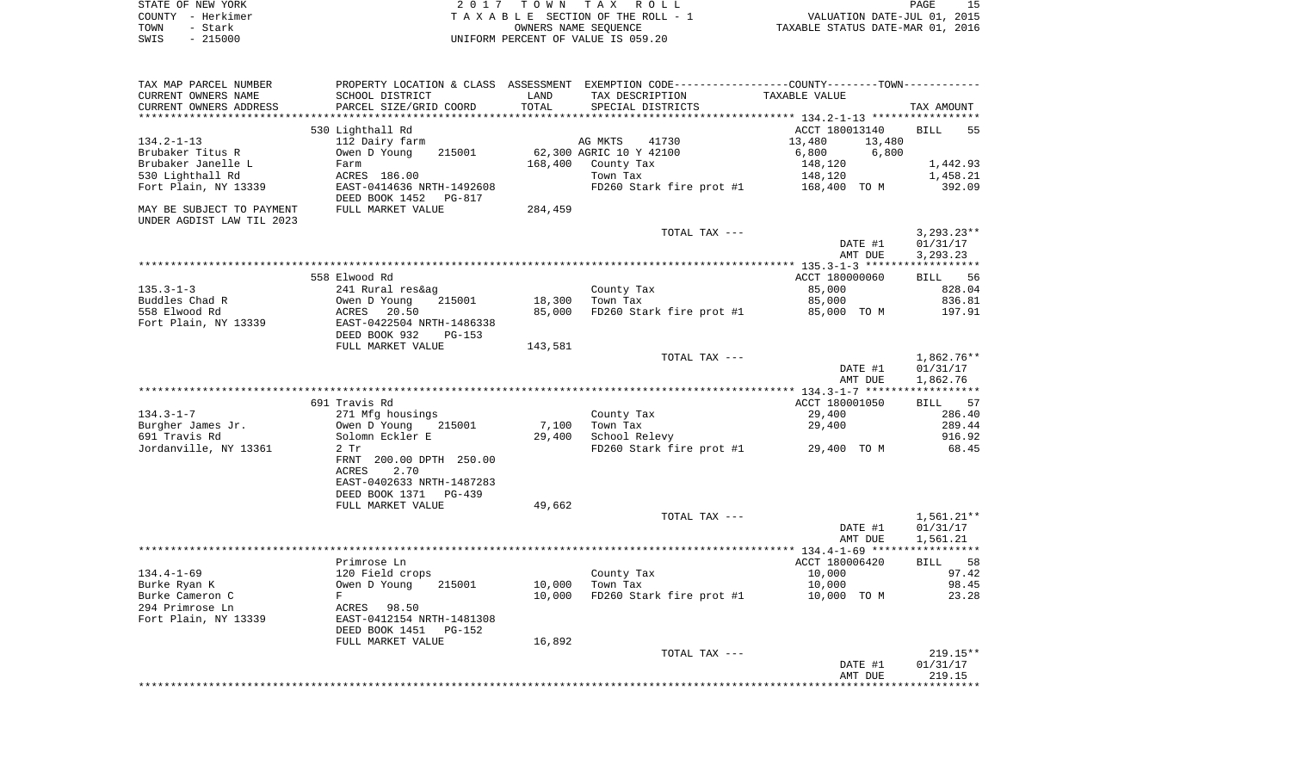| STATE OF NEW YORK | 2017 TOWN TAX ROLL                 | 15<br>PAGE                       |
|-------------------|------------------------------------|----------------------------------|
| COUNTY - Herkimer | TAXABLE SECTION OF THE ROLL - 1    | VALUATION DATE-JUL 01, 2015      |
| TOWN<br>- Stark   | OWNERS NAME SEOUENCE               | TAXABLE STATUS DATE-MAR 01, 2016 |
| $-215000$<br>SWIS | UNIFORM PERCENT OF VALUE IS 059.20 |                                  |

| TAX MAP PARCEL NUMBER           | PROPERTY LOCATION & CLASS ASSESSMENT EXEMPTION CODE---------------COUNTY-------TOWN----------            |               |                          |                       |                                      |
|---------------------------------|----------------------------------------------------------------------------------------------------------|---------------|--------------------------|-----------------------|--------------------------------------|
| CURRENT OWNERS NAME             | SCHOOL DISTRICT                                                                                          | LAND<br>TOTAL | TAX DESCRIPTION          | TAXABLE VALUE         |                                      |
| CURRENT OWNERS ADDRESS          | PARCEL SIZE/GRID COORD                                                                                   |               | SPECIAL DISTRICTS        |                       | TAX AMOUNT                           |
|                                 | 530 Lighthall Rd                                                                                         |               |                          | ACCT 180013140        | <b>BILL</b><br>55                    |
| $134.2 - 1 - 13$                | 112 Dairy farm                                                                                           |               | AG MKTS<br>41730         | 13,480<br>13,480      |                                      |
| Brubaker Titus R                | 215001<br>Owen D Young                                                                                   |               | 62,300 AGRIC 10 Y 42100  | 6,800<br>6,800        |                                      |
| Brubaker Janelle L              | Farm                                                                                                     | 168,400       | County Tax               | 148,120               | 1,442.93                             |
| 530 Lighthall Rd                | ACRES 186.00                                                                                             |               | Town Tax                 | 148,120               | 1,458.21                             |
| Fort Plain, NY 13339            | EAST-0414636 NRTH-1492608<br>DEED BOOK 1452<br><b>PG-817</b>                                             |               | FD260 Stark fire prot #1 | 168,400 TO M          | 392.09                               |
| MAY BE SUBJECT TO PAYMENT       | FULL MARKET VALUE                                                                                        | 284,459       |                          |                       |                                      |
| UNDER AGDIST LAW TIL 2023       |                                                                                                          |               |                          |                       |                                      |
|                                 |                                                                                                          |               | TOTAL TAX ---            | DATE #1<br>AMT DUE    | $3,293.23**$<br>01/31/17<br>3,293.23 |
|                                 |                                                                                                          |               |                          |                       |                                      |
|                                 | 558 Elwood Rd                                                                                            |               |                          | ACCT 180000060        | BILL 56                              |
| $135.3 - 1 - 3$                 | 241 Rural res&ag                                                                                         |               | County Tax               | 85,000                | 828.04                               |
| Buddles Chad R                  | Owen D Young<br>215001                                                                                   | 18,300        | Town Tax                 | 85,000                | 836.81                               |
| 558 Elwood Rd                   | ACRES<br>20.50                                                                                           | 85,000        | FD260 Stark fire prot #1 | 85,000 TO M           | 197.91                               |
| Fort Plain, NY 13339            | EAST-0422504 NRTH-1486338<br>DEED BOOK 932<br>$PG-153$                                                   |               |                          |                       |                                      |
|                                 | FULL MARKET VALUE                                                                                        | 143,581       |                          |                       |                                      |
|                                 |                                                                                                          |               | TOTAL TAX ---            | DATE #1               | $1,862.76**$                         |
|                                 |                                                                                                          |               |                          | AMT DUE               | 01/31/17<br>1,862.76                 |
|                                 |                                                                                                          |               |                          |                       |                                      |
|                                 | 691 Travis Rd                                                                                            |               |                          | ACCT 180001050        | 57<br>BILL                           |
| $134.3 - 1 - 7$                 | 271 Mfg housings                                                                                         |               | County Tax               | 29,400                | 286.40                               |
| Burgher James Jr.               | Owen D Young<br>215001                                                                                   | 7,100         | Town Tax                 | 29,400                | 289.44                               |
| 691 Travis Rd                   | Solomn Eckler E                                                                                          | 29,400        | School Relevy            |                       | 916.92                               |
| Jordanville, NY 13361           | $2$ Tr                                                                                                   |               | FD260 Stark fire prot #1 | 29,400 TO M           | 68.45                                |
|                                 | FRNT 200.00 DPTH 250.00<br>2.70<br><b>ACRES</b><br>EAST-0402633 NRTH-1487283<br>DEED BOOK 1371<br>PG-439 |               |                          |                       |                                      |
|                                 | FULL MARKET VALUE                                                                                        | 49,662        |                          |                       |                                      |
|                                 |                                                                                                          |               | TOTAL TAX ---            |                       | $1,561.21**$                         |
|                                 |                                                                                                          |               |                          | DATE #1<br>AMT DUE    | 01/31/17<br>1,561.21                 |
|                                 |                                                                                                          |               |                          |                       |                                      |
|                                 | Primrose Ln                                                                                              |               |                          | ACCT 180006420        | 58<br><b>BILL</b>                    |
| $134.4 - 1 - 69$                | 120 Field crops<br>215001                                                                                | 10,000        | County Tax<br>Town Tax   | 10,000                | 97.42<br>98.45                       |
| Burke Ryan K<br>Burke Cameron C | Owen D Young<br>F                                                                                        | 10,000        | FD260 Stark fire prot #1 | 10,000<br>10,000 TO M | 23.28                                |
| 294 Primrose Ln                 | ACRES<br>98.50                                                                                           |               |                          |                       |                                      |
| Fort Plain, NY 13339            | EAST-0412154 NRTH-1481308<br>DEED BOOK 1451<br>PG-152                                                    |               |                          |                       |                                      |
|                                 | FULL MARKET VALUE                                                                                        | 16,892        |                          |                       |                                      |
|                                 |                                                                                                          |               | TOTAL TAX ---            |                       | $219.15**$                           |
|                                 |                                                                                                          |               |                          | DATE #1<br>AMT DUE    | 01/31/17<br>219.15                   |
|                                 |                                                                                                          |               |                          |                       |                                      |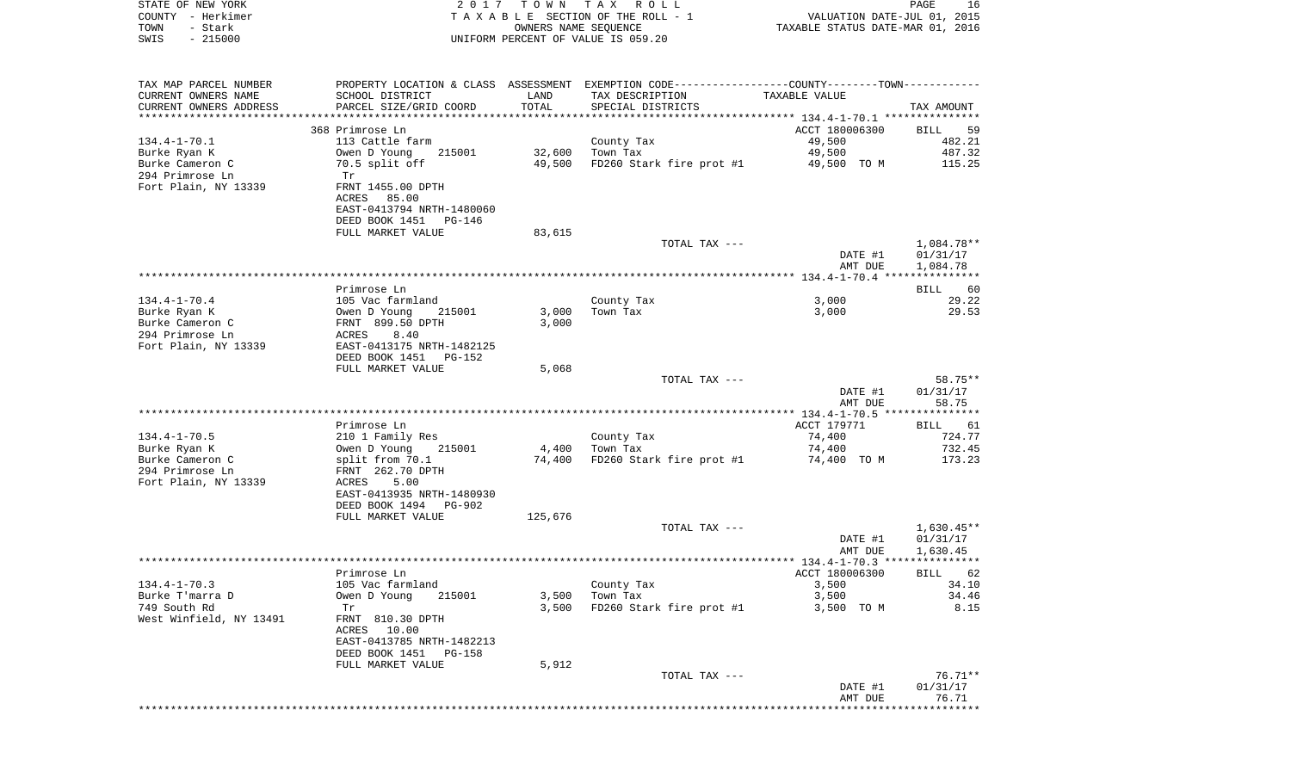| STATE OF NEW YORK<br>COUNTY - Herkimer<br>TOWN<br>- Stark<br>$-215000$<br>SWIS | 2017                                                  | T O W N | TAX ROLL<br>TAXABLE SECTION OF THE ROLL - 1<br>OWNERS NAME SEQUENCE<br>UNIFORM PERCENT OF VALUE IS 059.20 | VALUATION DATE-JUL 01, 2015<br>TAXABLE STATUS DATE-MAR 01, 2016 | PAGE<br>16           |
|--------------------------------------------------------------------------------|-------------------------------------------------------|---------|-----------------------------------------------------------------------------------------------------------|-----------------------------------------------------------------|----------------------|
|                                                                                |                                                       |         |                                                                                                           |                                                                 |                      |
| TAX MAP PARCEL NUMBER                                                          |                                                       |         | PROPERTY LOCATION & CLASS ASSESSMENT EXEMPTION CODE---------------COUNTY-------TOWN----------             |                                                                 |                      |
| CURRENT OWNERS NAME                                                            | SCHOOL DISTRICT                                       | LAND    | TAX DESCRIPTION                                                                                           | TAXABLE VALUE                                                   |                      |
| CURRENT OWNERS ADDRESS                                                         | PARCEL SIZE/GRID COORD                                | TOTAL   | SPECIAL DISTRICTS                                                                                         |                                                                 | TAX AMOUNT           |
| *********************                                                          |                                                       |         |                                                                                                           |                                                                 |                      |
| $134.4 - 1 - 70.1$                                                             | 368 Primrose Ln<br>113 Cattle farm                    |         | County Tax                                                                                                | ACCT 180006300<br>49,500                                        | BILL<br>59<br>482.21 |
| Burke Ryan K                                                                   | 215001<br>Owen D Young                                | 32,600  | Town Tax                                                                                                  | 49,500                                                          | 487.32               |
| Burke Cameron C<br>294 Primrose Ln                                             | 70.5 split off<br>Tr                                  | 49,500  | FD260 Stark fire prot #1                                                                                  | 49,500 TO M                                                     | 115.25               |
| Fort Plain, NY 13339                                                           | FRNT 1455.00 DPTH<br>ACRES<br>85.00                   |         |                                                                                                           |                                                                 |                      |
|                                                                                | EAST-0413794 NRTH-1480060                             |         |                                                                                                           |                                                                 |                      |
|                                                                                | DEED BOOK 1451 PG-146<br>FULL MARKET VALUE            | 83,615  |                                                                                                           |                                                                 |                      |
|                                                                                |                                                       |         | TOTAL TAX ---                                                                                             |                                                                 | 1,084.78**           |
|                                                                                |                                                       |         |                                                                                                           | DATE #1<br>AMT DUE                                              | 01/31/17<br>1,084.78 |
|                                                                                | Primrose Ln                                           |         |                                                                                                           |                                                                 | BILL<br>60           |
| $134.4 - 1 - 70.4$                                                             | 105 Vac farmland                                      |         | County Tax                                                                                                | 3,000                                                           | 29.22                |
| Burke Ryan K                                                                   | Owen D Young<br>215001                                | 3,000   | Town Tax                                                                                                  | 3,000                                                           | 29.53                |
| Burke Cameron C                                                                | FRNT 899.50 DPTH                                      | 3,000   |                                                                                                           |                                                                 |                      |
| 294 Primrose Ln                                                                | ACRES<br>8.40                                         |         |                                                                                                           |                                                                 |                      |
| Fort Plain, NY 13339                                                           | EAST-0413175 NRTH-1482125<br>DEED BOOK 1451 PG-152    |         |                                                                                                           |                                                                 |                      |
|                                                                                | FULL MARKET VALUE                                     | 5,068   |                                                                                                           |                                                                 |                      |
|                                                                                |                                                       |         | TOTAL TAX ---                                                                                             |                                                                 | 58.75**              |
|                                                                                |                                                       |         |                                                                                                           | DATE #1<br>AMT DUE                                              | 01/31/17<br>58.75    |
|                                                                                |                                                       |         |                                                                                                           |                                                                 |                      |
|                                                                                | Primrose Ln                                           |         |                                                                                                           | ACCT 179771                                                     | BILL<br>61           |
| $134.4 - 1 - 70.5$                                                             | 210 1 Family Res                                      |         | County Tax                                                                                                | 74,400                                                          | 724.77               |
| Burke Ryan K                                                                   | Owen D Young<br>215001                                | 4,400   | Town Tax                                                                                                  | 74,400                                                          | 732.45               |
| Burke Cameron C<br>294 Primrose Ln                                             | split from 70.1<br>FRNT 262.70 DPTH                   | 74,400  | FD260 Stark fire prot #1                                                                                  | 74,400 TO M                                                     | 173.23               |
| Fort Plain, NY 13339                                                           | ACRES<br>5.00                                         |         |                                                                                                           |                                                                 |                      |
|                                                                                | EAST-0413935 NRTH-1480930                             |         |                                                                                                           |                                                                 |                      |
|                                                                                | DEED BOOK 1494<br>PG-902                              |         |                                                                                                           |                                                                 |                      |
|                                                                                | FULL MARKET VALUE                                     | 125,676 | TOTAL TAX ---                                                                                             |                                                                 | $1,630.45**$         |
|                                                                                |                                                       |         |                                                                                                           | DATE #1                                                         | 01/31/17             |
|                                                                                |                                                       |         |                                                                                                           | AMT DUE                                                         | 1,630.45             |
|                                                                                |                                                       |         |                                                                                                           |                                                                 |                      |
| $134.4 - 1 - 70.3$                                                             | Primrose Ln                                           |         |                                                                                                           | ACCT 180006300                                                  | BILL 62              |
| Burke T'marra D                                                                | 105 Vac farmland<br>Owen D Young<br>215001            | 3,500   | County Tax<br>Town Tax                                                                                    | 3,500<br>3,500                                                  | 34.10<br>34.46       |
| 749 South Rd                                                                   | Tr                                                    | 3,500   | FD260 Stark fire prot #1                                                                                  | 3,500 TO M                                                      | 8.15                 |
| West Winfield, NY 13491                                                        | FRNT 810.30 DPTH                                      |         |                                                                                                           |                                                                 |                      |
|                                                                                | ACRES 10.00                                           |         |                                                                                                           |                                                                 |                      |
|                                                                                | EAST-0413785 NRTH-1482213<br>DEED BOOK 1451<br>PG-158 |         |                                                                                                           |                                                                 |                      |
|                                                                                | FULL MARKET VALUE                                     | 5,912   |                                                                                                           |                                                                 |                      |
|                                                                                |                                                       |         | TOTAL TAX ---                                                                                             |                                                                 | 76.71**              |
|                                                                                |                                                       |         |                                                                                                           | DATE #1                                                         | 01/31/17             |
|                                                                                |                                                       |         |                                                                                                           | AMT DUE<br>*********************************                    | 76.71                |
|                                                                                |                                                       |         |                                                                                                           |                                                                 |                      |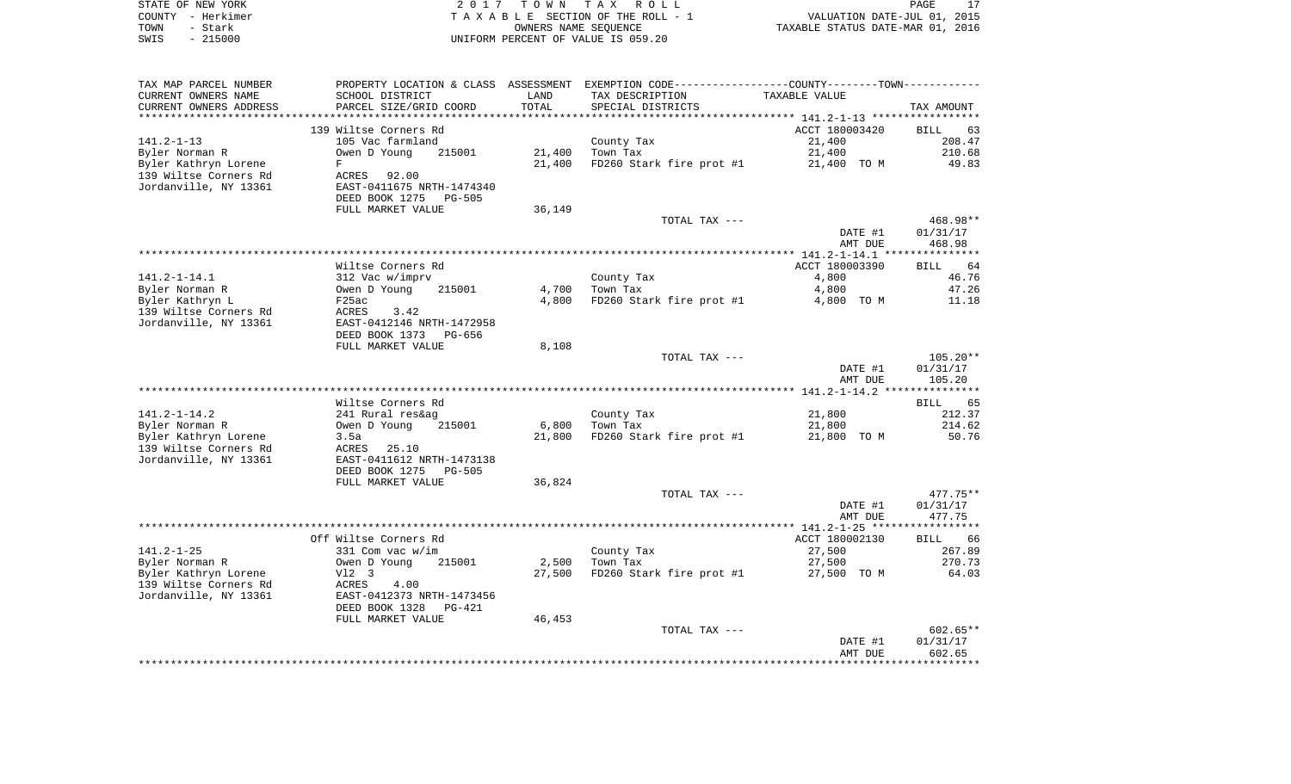|      | STATE OF NEW YORK | 2017 TOWN TAX ROLL                 | 17<br>PAGE                       |
|------|-------------------|------------------------------------|----------------------------------|
|      | COUNTY - Herkimer | TAXABLE SECTION OF THE ROLL - 1    | VALUATION DATE-JUL 01, 2015      |
| TOWN | – Stark           | OWNERS NAME SEOUENCE               | TAXABLE STATUS DATE-MAR 01, 2016 |
| SWIS | $-215000$         | UNIFORM PERCENT OF VALUE IS 059.20 |                                  |

| TAX MAP PARCEL NUMBER  |                                |        | PROPERTY LOCATION & CLASS ASSESSMENT EXEMPTION CODE---------------COUNTY-------TOWN--------- |                                                 |                   |
|------------------------|--------------------------------|--------|----------------------------------------------------------------------------------------------|-------------------------------------------------|-------------------|
| CURRENT OWNERS NAME    | SCHOOL DISTRICT                | LAND   | TAX DESCRIPTION                                                                              | TAXABLE VALUE                                   |                   |
| CURRENT OWNERS ADDRESS | PARCEL SIZE/GRID COORD         | TOTAL  | SPECIAL DISTRICTS                                                                            |                                                 | TAX AMOUNT        |
|                        | ****************************** |        | ***************************                                                                  | ***************** 141.2-1-13 ****************** |                   |
|                        | 139 Wiltse Corners Rd          |        |                                                                                              | ACCT 180003420                                  | BILL<br>63        |
| $141.2 - 1 - 13$       | 105 Vac farmland               |        | County Tax                                                                                   | 21,400                                          | 208.47            |
| Byler Norman R         | 215001<br>Owen D Young         | 21,400 | Town Tax                                                                                     | 21,400                                          | 210.68            |
| Byler Kathryn Lorene   | F                              | 21,400 | FD260 Stark fire prot #1                                                                     |                                                 | 49.83             |
|                        |                                |        |                                                                                              | 21,400 TO M                                     |                   |
| 139 Wiltse Corners Rd  | ACRES<br>92.00                 |        |                                                                                              |                                                 |                   |
| Jordanville, NY 13361  | EAST-0411675 NRTH-1474340      |        |                                                                                              |                                                 |                   |
|                        | DEED BOOK 1275<br>PG-505       |        |                                                                                              |                                                 |                   |
|                        | FULL MARKET VALUE              | 36,149 |                                                                                              |                                                 |                   |
|                        |                                |        | TOTAL TAX ---                                                                                |                                                 | 468.98**          |
|                        |                                |        |                                                                                              | DATE #1                                         | 01/31/17          |
|                        |                                |        |                                                                                              | AMT DUE                                         | 468.98            |
|                        |                                |        |                                                                                              |                                                 |                   |
|                        | Wiltse Corners Rd              |        |                                                                                              | ACCT 180003390                                  | 64<br><b>BILL</b> |
| $141.2 - 1 - 14.1$     | 312 Vac w/imprv                |        | County Tax                                                                                   | 4,800                                           | 46.76             |
| Byler Norman R         | Owen D Young<br>215001         | 4,700  | Town Tax                                                                                     | 4,800                                           | 47.26             |
| Byler Kathryn L        | F25ac                          | 4,800  | FD260 Stark fire prot #1                                                                     | 4,800 TO M                                      | 11.18             |
| 139 Wiltse Corners Rd  | ACRES<br>3.42                  |        |                                                                                              |                                                 |                   |
| Jordanville, NY 13361  | EAST-0412146 NRTH-1472958      |        |                                                                                              |                                                 |                   |
|                        |                                |        |                                                                                              |                                                 |                   |
|                        | DEED BOOK 1373<br>PG-656       |        |                                                                                              |                                                 |                   |
|                        | FULL MARKET VALUE              | 8,108  |                                                                                              |                                                 |                   |
|                        |                                |        | TOTAL TAX ---                                                                                |                                                 | $105.20**$        |
|                        |                                |        |                                                                                              | DATE #1                                         | 01/31/17          |
|                        |                                |        |                                                                                              | AMT DUE                                         | 105.20            |
|                        |                                |        |                                                                                              |                                                 |                   |
|                        | Wiltse Corners Rd              |        |                                                                                              |                                                 | 65<br><b>BILL</b> |
| $141.2 - 1 - 14.2$     | 241 Rural res&ag               |        | County Tax                                                                                   | 21,800                                          | 212.37            |
| Byler Norman R         | Owen D Young<br>215001         | 6,800  | Town Tax                                                                                     | 21,800                                          | 214.62            |
| Byler Kathryn Lorene   | 3.5a                           | 21,800 | FD260 Stark fire prot #1                                                                     | 21,800 TO M                                     | 50.76             |
| 139 Wiltse Corners Rd  | 25.10<br>ACRES                 |        |                                                                                              |                                                 |                   |
| Jordanville, NY 13361  | EAST-0411612 NRTH-1473138      |        |                                                                                              |                                                 |                   |
|                        | DEED BOOK 1275<br>$PG-505$     |        |                                                                                              |                                                 |                   |
|                        | FULL MARKET VALUE              | 36,824 |                                                                                              |                                                 |                   |
|                        |                                |        |                                                                                              |                                                 |                   |
|                        |                                |        | TOTAL TAX ---                                                                                |                                                 | $477.75**$        |
|                        |                                |        |                                                                                              | DATE #1                                         | 01/31/17          |
|                        |                                |        |                                                                                              | AMT DUE                                         | 477.75            |
|                        |                                |        |                                                                                              |                                                 |                   |
|                        | Off Wiltse Corners Rd          |        |                                                                                              | ACCT 180002130                                  | BILL 66           |
| $141.2 - 1 - 25$       | $331$ Com vac w/im             |        | County Tax                                                                                   | 27,500                                          | 267.89            |
| Byler Norman R         | Owen D Young<br>215001         | 2,500  | Town Tax                                                                                     | 27,500                                          | 270.73            |
| Byler Kathryn Lorene   | V12 3                          | 27,500 | FD260 Stark fire prot #1                                                                     | 27,500 TO M                                     | 64.03             |
| 139 Wiltse Corners Rd  | ACRES<br>4.00                  |        |                                                                                              |                                                 |                   |
| Jordanville, NY 13361  | EAST-0412373 NRTH-1473456      |        |                                                                                              |                                                 |                   |
|                        | DEED BOOK 1328<br>PG-421       |        |                                                                                              |                                                 |                   |
|                        | FULL MARKET VALUE              | 46,453 |                                                                                              |                                                 |                   |
|                        |                                |        | TOTAL TAX ---                                                                                |                                                 | 602.65**          |
|                        |                                |        |                                                                                              | DATE #1                                         | 01/31/17          |
|                        |                                |        |                                                                                              |                                                 | 602.65            |
|                        |                                |        |                                                                                              | AMT DUE                                         |                   |
|                        |                                |        |                                                                                              |                                                 |                   |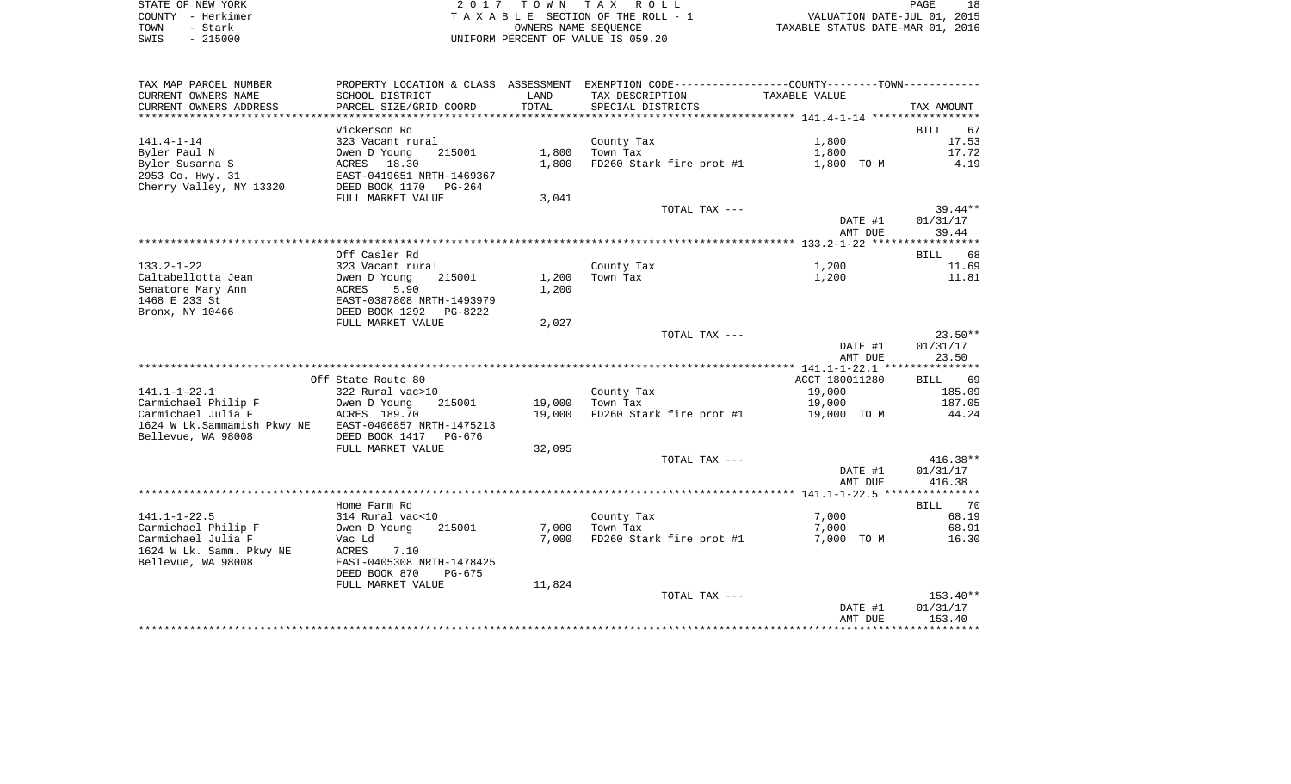| STATE OF NEW YORK | 2017 TOWN TAX ROLL                 | PAGE                             |
|-------------------|------------------------------------|----------------------------------|
| COUNTY - Herkimer | TAXABLE SECTION OF THE ROLL - 1    | VALUATION DATE-JUL 01, 2015      |
| TOWN<br>– Stark   | OWNERS NAME SEOUENCE               | TAXABLE STATUS DATE-MAR 01, 2016 |
| $-215000$<br>SWIS | UNIFORM PERCENT OF VALUE IS 059.20 |                                  |

| TAX MAP PARCEL NUMBER                     | PROPERTY LOCATION & CLASS ASSESSMENT   |                  | EXEMPTION CODE-----------------COUNTY--------TOWN----------- |                       |                    |
|-------------------------------------------|----------------------------------------|------------------|--------------------------------------------------------------|-----------------------|--------------------|
| CURRENT OWNERS NAME                       | SCHOOL DISTRICT                        | LAND             | TAX DESCRIPTION                                              | TAXABLE VALUE         |                    |
| CURRENT OWNERS ADDRESS                    | PARCEL SIZE/GRID COORD                 | TOTAL            | SPECIAL DISTRICTS                                            |                       | TAX AMOUNT         |
| ************************                  |                                        |                  |                                                              |                       |                    |
|                                           | Vickerson Rd                           |                  |                                                              |                       | BILL<br>67         |
| $141.4 - 1 - 14$                          | 323 Vacant rural                       |                  | County Tax                                                   | 1,800                 | 17.53              |
| Byler Paul N                              | 215001<br>Owen D Young                 | 1,800            | Town Tax                                                     | 1,800                 | 17.72              |
| Byler Susanna S                           | ACRES 18.30                            | 1,800            | FD260 Stark fire prot #1                                     | 1,800 TO M            | 4.19               |
| 2953 Co. Hwy. 31                          | EAST-0419651 NRTH-1469367              |                  |                                                              |                       |                    |
| Cherry Valley, NY 13320                   | DEED BOOK 1170<br>$PG-264$             |                  |                                                              |                       |                    |
|                                           | FULL MARKET VALUE                      | 3,041            | TOTAL TAX ---                                                |                       | $39.44**$          |
|                                           |                                        |                  |                                                              | DATE #1               | 01/31/17           |
|                                           |                                        |                  |                                                              | AMT DUE               | 39.44              |
|                                           |                                        |                  |                                                              |                       |                    |
|                                           | Off Casler Rd                          |                  |                                                              |                       | BILL 68            |
| $133.2 - 1 - 22$                          | 323 Vacant rural                       |                  | County Tax                                                   | 1,200                 | 11.69              |
| Caltabellotta Jean                        | Owen D Young<br>215001                 | 1,200            | Town Tax                                                     | 1,200                 | 11.81              |
| Senatore Mary Ann                         | ACRES<br>5.90                          | 1,200            |                                                              |                       |                    |
| 1468 E 233 St                             | EAST-0387808 NRTH-1493979              |                  |                                                              |                       |                    |
| Bronx, NY 10466                           | DEED BOOK 1292<br>PG-8222              |                  |                                                              |                       |                    |
|                                           | FULL MARKET VALUE                      | 2,027            |                                                              |                       |                    |
|                                           |                                        |                  | TOTAL TAX ---                                                |                       | $23.50**$          |
|                                           |                                        |                  |                                                              | DATE #1               | 01/31/17           |
|                                           |                                        |                  |                                                              | AMT DUE               | 23.50              |
|                                           |                                        |                  |                                                              |                       |                    |
|                                           | Off State Route 80                     |                  |                                                              | ACCT 180011280        | BILL 69            |
| $141.1 - 1 - 22.1$                        | 322 Rural vac>10                       |                  | County Tax                                                   | 19,000                | 185.09             |
| Carmichael Philip F<br>Carmichael Julia F | Owen D Young<br>215001<br>ACRES 189.70 | 19,000<br>19,000 | Town Tax<br>FD260 Stark fire prot #1                         | 19,000<br>19,000 TO M | 187.05<br>44.24    |
| 1624 W Lk.Sammamish Pkwy NE               | EAST-0406857 NRTH-1475213              |                  |                                                              |                       |                    |
| Bellevue, WA 98008                        | DEED BOOK 1417<br>PG-676               |                  |                                                              |                       |                    |
|                                           | FULL MARKET VALUE                      | 32,095           |                                                              |                       |                    |
|                                           |                                        |                  | TOTAL TAX ---                                                |                       | $416.38**$         |
|                                           |                                        |                  |                                                              | DATE #1               | 01/31/17           |
|                                           |                                        |                  |                                                              | AMT DUE               | 416.38             |
|                                           |                                        |                  |                                                              |                       |                    |
|                                           | Home Farm Rd                           |                  |                                                              |                       | BILL 70            |
| $141.1 - 1 - 22.5$                        | 314 Rural vac<10                       |                  | County Tax                                                   | 7,000                 | 68.19              |
| Carmichael Philip F                       | 215001<br>Owen D Young                 | 7,000            | Town Tax                                                     | 7,000                 | 68.91              |
| Carmichael Julia F                        | Vac Ld                                 | 7,000            | FD260 Stark fire prot #1                                     | 7,000 TO M            | 16.30              |
| 1624 W Lk. Samm. Pkwy NE                  | ACRES<br>7.10                          |                  |                                                              |                       |                    |
| Bellevue, WA 98008                        | EAST-0405308 NRTH-1478425              |                  |                                                              |                       |                    |
|                                           | DEED BOOK 870<br>$PG-675$              |                  |                                                              |                       |                    |
|                                           | FULL MARKET VALUE                      | 11,824           |                                                              |                       |                    |
|                                           |                                        |                  | TOTAL TAX ---                                                |                       | 153.40**           |
|                                           |                                        |                  |                                                              | DATE #1               | 01/31/17<br>153.40 |
|                                           |                                        |                  |                                                              | AMT DUE               |                    |
|                                           |                                        |                  |                                                              |                       |                    |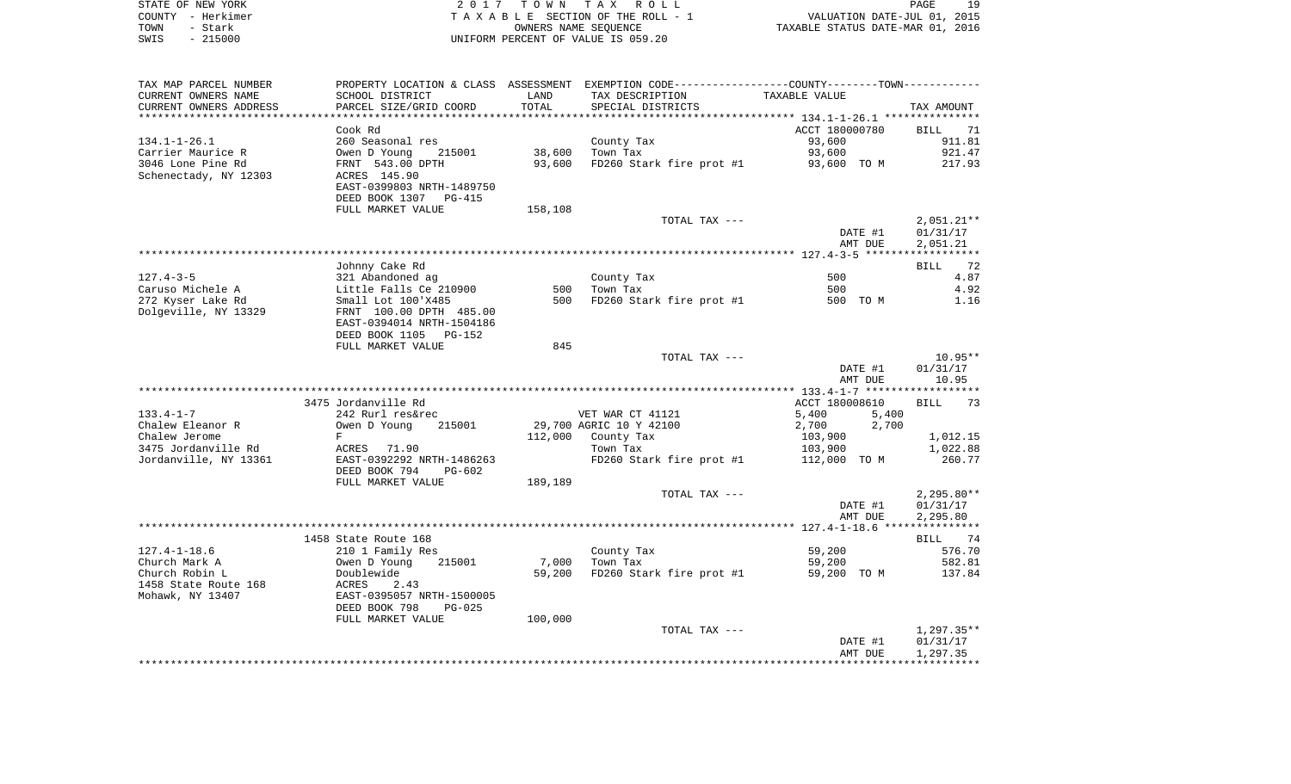| STATE OF NEW YORK | 2017 TOWN TAX ROLL                 | 19<br>PAGE                       |
|-------------------|------------------------------------|----------------------------------|
| COUNTY - Herkimer | TAXABLE SECTION OF THE ROLL - 1    | VALUATION DATE-JUL 01, 2015      |
| TOWN<br>- Stark   | OWNERS NAME SEOUENCE               | TAXABLE STATUS DATE-MAR 01, 2016 |
| - 215000<br>SWIS  | UNIFORM PERCENT OF VALUE IS 059.20 |                                  |

| TAX MAP PARCEL NUMBER<br>CURRENT OWNERS NAME | SCHOOL DISTRICT            | LAND    | PROPERTY LOCATION & CLASS ASSESSMENT EXEMPTION CODE----------------COUNTY--------TOWN-----------<br>TAX DESCRIPTION | TAXABLE VALUE  |              |
|----------------------------------------------|----------------------------|---------|---------------------------------------------------------------------------------------------------------------------|----------------|--------------|
| CURRENT OWNERS ADDRESS                       | PARCEL SIZE/GRID COORD     | TOTAL   | SPECIAL DISTRICTS                                                                                                   |                | TAX AMOUNT   |
|                                              |                            |         |                                                                                                                     |                |              |
|                                              | Cook Rd                    |         |                                                                                                                     | ACCT 180000780 | BILL<br>71   |
|                                              |                            |         |                                                                                                                     |                |              |
| $134.1 - 1 - 26.1$                           | 260 Seasonal res           |         | County Tax                                                                                                          | 93,600         | 911.81       |
| Carrier Maurice R                            | Owen D Young<br>215001     | 38,600  | Town Tax                                                                                                            | 93,600         | 921.47       |
| 3046 Lone Pine Rd                            | FRNT 543.00 DPTH           | 93,600  | FD260 Stark fire prot #1                                                                                            | 93,600 TO M    | 217.93       |
| Schenectady, NY 12303                        | ACRES 145.90               |         |                                                                                                                     |                |              |
|                                              | EAST-0399803 NRTH-1489750  |         |                                                                                                                     |                |              |
|                                              | DEED BOOK 1307<br>PG-415   |         |                                                                                                                     |                |              |
|                                              | FULL MARKET VALUE          | 158,108 |                                                                                                                     |                |              |
|                                              |                            |         | TOTAL TAX ---                                                                                                       |                | $2,051.21**$ |
|                                              |                            |         |                                                                                                                     | DATE #1        | 01/31/17     |
|                                              |                            |         |                                                                                                                     | AMT DUE        | 2,051.21     |
|                                              |                            |         |                                                                                                                     |                |              |
|                                              | Johnny Cake Rd             |         |                                                                                                                     |                | BILL<br>72   |
| $127.4 - 3 - 5$                              | 321 Abandoned ag           |         | County Tax                                                                                                          | 500            | 4.87         |
| Caruso Michele A                             | Little Falls Ce 210900     | 500     | Town Tax                                                                                                            | 500            | 4.92         |
| 272 Kyser Lake Rd                            | Small Lot 100'X485         | 500     | FD260 Stark fire prot #1                                                                                            | 500 TO M       | 1.16         |
| Dolgeville, NY 13329                         | FRNT 100.00 DPTH 485.00    |         |                                                                                                                     |                |              |
|                                              | EAST-0394014 NRTH-1504186  |         |                                                                                                                     |                |              |
|                                              | DEED BOOK 1105<br>PG-152   |         |                                                                                                                     |                |              |
|                                              |                            | 845     |                                                                                                                     |                |              |
|                                              | FULL MARKET VALUE          |         |                                                                                                                     |                |              |
|                                              |                            |         | TOTAL TAX ---                                                                                                       |                | $10.95**$    |
|                                              |                            |         |                                                                                                                     | DATE #1        | 01/31/17     |
|                                              |                            |         |                                                                                                                     | AMT DUE        | 10.95        |
|                                              |                            |         |                                                                                                                     |                |              |
|                                              | 3475 Jordanville Rd        |         |                                                                                                                     | ACCT 180008610 | BILL<br>73   |
| $133.4 - 1 - 7$                              | 242 Rurl res&rec           |         | VET WAR CT 41121                                                                                                    | 5,400<br>5,400 |              |
| Chalew Eleanor R                             | 215001<br>Owen D Young     |         | 29,700 AGRIC 10 Y 42100                                                                                             | 2,700<br>2,700 |              |
| Chalew Jerome                                | F                          | 112,000 | County Tax                                                                                                          | 103,900        | 1,012.15     |
| 3475 Jordanville Rd                          | ACRES 71.90                |         | Town Tax                                                                                                            | 103,900        | 1,022.88     |
| Jordanville, NY 13361                        | EAST-0392292 NRTH-1486263  |         | FD260 Stark fire prot #1                                                                                            | 112,000 TO M   | 260.77       |
|                                              | DEED BOOK 794<br>$PG-602$  |         |                                                                                                                     |                |              |
|                                              | FULL MARKET VALUE          | 189,189 |                                                                                                                     |                |              |
|                                              |                            |         | TOTAL TAX ---                                                                                                       |                | $2,295.80**$ |
|                                              |                            |         |                                                                                                                     | DATE #1        | 01/31/17     |
|                                              |                            |         |                                                                                                                     | AMT DUE        | 2,295.80     |
|                                              |                            |         |                                                                                                                     |                |              |
|                                              | 1458 State Route 168       |         |                                                                                                                     |                | BILL 74      |
| $127.4 - 1 - 18.6$                           | 210 1 Family Res           |         | County Tax                                                                                                          | 59,200         | 576.70       |
| Church Mark A                                | Owen D Young<br>215001     | 7,000   | Town Tax                                                                                                            | 59,200         | 582.81       |
| Church Robin L                               | Doublewide                 | 59,200  | FD260 Stark fire prot #1                                                                                            | 59,200 TO M    | 137.84       |
|                                              |                            |         |                                                                                                                     |                |              |
| 1458 State Route 168                         | ACRES<br>2.43              |         |                                                                                                                     |                |              |
| Mohawk, NY 13407                             | EAST-0395057 NRTH-1500005  |         |                                                                                                                     |                |              |
|                                              | DEED BOOK 798<br>$PG-0.25$ |         |                                                                                                                     |                |              |
|                                              | FULL MARKET VALUE          | 100,000 |                                                                                                                     |                |              |
|                                              |                            |         | TOTAL TAX ---                                                                                                       |                | $1,297.35**$ |
|                                              |                            |         |                                                                                                                     | DATE #1        | 01/31/17     |
|                                              |                            |         |                                                                                                                     | AMT DUE        | 1,297.35     |
|                                              |                            |         |                                                                                                                     |                |              |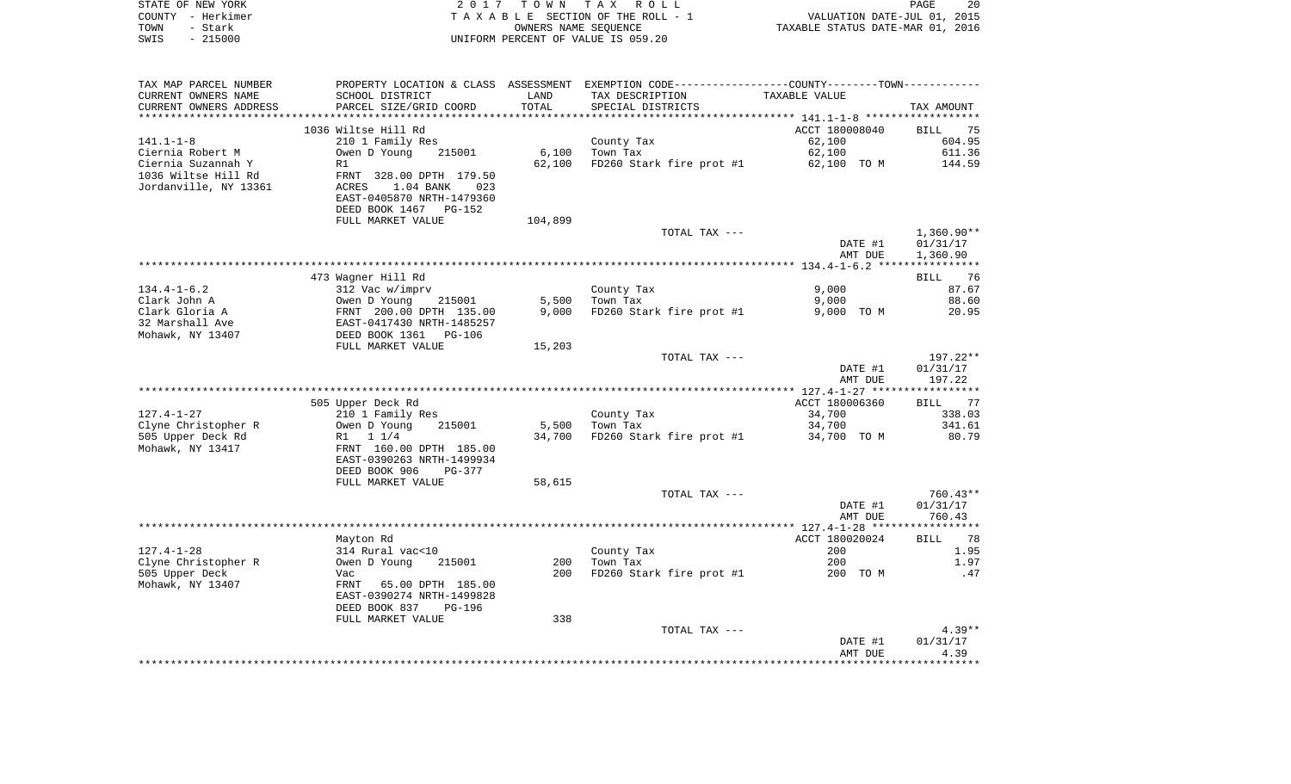|      | STATE OF NEW YORK | 2017 TOWN TAX ROLL                 |                                  | PAGE                        | -20 |
|------|-------------------|------------------------------------|----------------------------------|-----------------------------|-----|
|      | COUNTY - Herkimer | TAXABLE SECTION OF THE ROLL - 1    |                                  | VALUATION DATE-JUL 01, 2015 |     |
| TOWN | - Stark           | OWNERS NAME SEOUENCE               | TAXABLE STATUS DATE-MAR 01, 2016 |                             |     |
| SWIS | $-215000$         | UNIFORM PERCENT OF VALUE IS 059.20 |                                  |                             |     |

| TAX MAP PARCEL NUMBER  |                                                      |         | PROPERTY LOCATION & CLASS ASSESSMENT EXEMPTION CODE---------------COUNTY-------TOWN---------- |                |              |
|------------------------|------------------------------------------------------|---------|-----------------------------------------------------------------------------------------------|----------------|--------------|
| CURRENT OWNERS NAME    | SCHOOL DISTRICT                                      | LAND    | TAX DESCRIPTION                                                                               | TAXABLE VALUE  |              |
| CURRENT OWNERS ADDRESS | PARCEL SIZE/GRID COORD                               | TOTAL   | SPECIAL DISTRICTS                                                                             |                | TAX AMOUNT   |
|                        |                                                      |         |                                                                                               |                |              |
|                        | 1036 Wiltse Hill Rd                                  |         |                                                                                               | ACCT 180008040 | BILL 75      |
| $141.1 - 1 - 8$        | 210 1 Family Res                                     |         | County Tax                                                                                    | 62,100         | 604.95       |
| Ciernia Robert M       | Owen D Young<br>215001                               | 6,100   | Town Tax                                                                                      | 62,100         | 611.36       |
| Ciernia Suzannah Y     | R1                                                   | 62,100  | FD260 Stark fire prot $#1$ 62,100 TO M                                                        |                | 144.59       |
| 1036 Wiltse Hill Rd    | FRNT 328.00 DPTH 179.50                              |         |                                                                                               |                |              |
| Jordanville, NY 13361  | ACRES<br>1.04 BANK<br>023                            |         |                                                                                               |                |              |
|                        |                                                      |         |                                                                                               |                |              |
|                        | EAST-0405870 NRTH-1479360                            |         |                                                                                               |                |              |
|                        | DEED BOOK 1467 PG-152                                |         |                                                                                               |                |              |
|                        | FULL MARKET VALUE                                    | 104,899 |                                                                                               |                |              |
|                        |                                                      |         | TOTAL TAX ---                                                                                 |                | $1,360.90**$ |
|                        |                                                      |         |                                                                                               | DATE #1        | 01/31/17     |
|                        |                                                      |         |                                                                                               | AMT DUE        | 1,360.90     |
|                        |                                                      |         |                                                                                               |                |              |
|                        | 473 Wagner Hill Rd                                   |         |                                                                                               |                | 76<br>BILL   |
| $134.4 - 1 - 6.2$      | 312 Vac w/imprv                                      |         | County Tax                                                                                    | 9,000          | 87.67        |
| Clark John A           | Owen D Young<br>215001                               | 5,500   | Town Tax                                                                                      | 9,000          | 88.60        |
| Clark Gloria A         | FRNT 200.00 DPTH 135.00<br>EAST-0417430 NRTH-1485257 | 9,000   | FD260 Stark fire prot #1                                                                      | 9,000 TO M     | 20.95        |
| 32 Marshall Ave        |                                                      |         |                                                                                               |                |              |
| Mohawk, NY 13407       | DEED BOOK 1361<br>PG-106                             |         |                                                                                               |                |              |
|                        | FULL MARKET VALUE                                    | 15,203  |                                                                                               |                |              |
|                        |                                                      |         | TOTAL TAX ---                                                                                 |                | 197.22**     |
|                        |                                                      |         |                                                                                               | DATE #1        | 01/31/17     |
|                        |                                                      |         |                                                                                               | AMT DUE        | 197.22       |
|                        |                                                      |         |                                                                                               |                |              |
|                        | 505 Upper Deck Rd                                    |         |                                                                                               | ACCT 180006360 | BILL<br>77   |
|                        |                                                      |         |                                                                                               |                |              |
| $127.4 - 1 - 27$       | 210 1 Family Res                                     |         | County Tax                                                                                    | 34,700         | 338.03       |
| Clyne Christopher R    | Owen D Young<br>215001                               | 5,500   | Town Tax                                                                                      | 34,700         | 341.61       |
| 505 Upper Deck Rd      | R1 1 1/4                                             | 34,700  | FD260 Stark fire prot #1                                                                      | 34,700 TO M    | 80.79        |
| Mohawk, NY 13417       | FRNT 160.00 DPTH 185.00                              |         |                                                                                               |                |              |
|                        | EAST-0390263 NRTH-1499934                            |         |                                                                                               |                |              |
|                        | DEED BOOK 906<br>PG-377                              |         |                                                                                               |                |              |
|                        | FULL MARKET VALUE                                    | 58,615  |                                                                                               |                |              |
|                        |                                                      |         | TOTAL TAX ---                                                                                 |                | $760.43**$   |
|                        |                                                      |         |                                                                                               | DATE #1        | 01/31/17     |
|                        |                                                      |         |                                                                                               | AMT DUE        | 760.43       |
|                        |                                                      |         |                                                                                               |                |              |
|                        | Mayton Rd                                            |         |                                                                                               | ACCT 180020024 | BILL 78      |
| $127.4 - 1 - 28$       | 314 Rural vac<10                                     |         | County Tax                                                                                    | 200            | 1.95         |
| Clyne Christopher R    | Owen D Young<br>215001                               | 200     | Town Tax                                                                                      | 200            | 1.97         |
| 505 Upper Deck         | Vac                                                  | 200     | FD260 Stark fire prot #1                                                                      | 200 TO M       | .47          |
| Mohawk, NY 13407       | FRNT<br>65.00 DPTH 185.00                            |         |                                                                                               |                |              |
|                        | EAST-0390274 NRTH-1499828                            |         |                                                                                               |                |              |
|                        | DEED BOOK 837<br><b>PG-196</b>                       |         |                                                                                               |                |              |
|                        | FULL MARKET VALUE                                    | 338     |                                                                                               |                |              |
|                        |                                                      |         | TOTAL TAX ---                                                                                 |                | $4.39**$     |
|                        |                                                      |         |                                                                                               |                | 01/31/17     |
|                        |                                                      |         |                                                                                               | DATE #1        | 4.39         |
|                        |                                                      |         |                                                                                               | AMT DUE        |              |
|                        |                                                      |         |                                                                                               |                |              |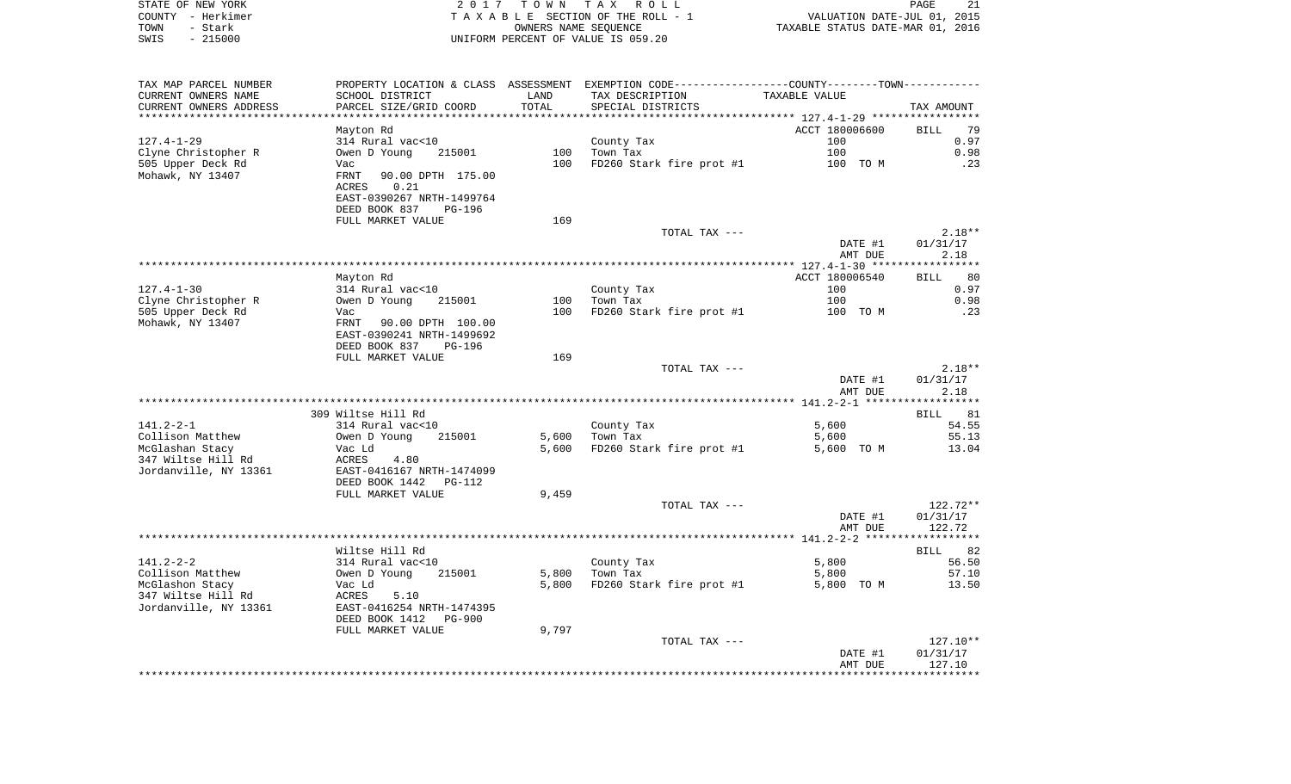|      | STATE OF NEW YORK     |                                      |                      | 2017 TOWN TAX ROLL                 |                                                            | PAGE | 21 |
|------|-----------------------|--------------------------------------|----------------------|------------------------------------|------------------------------------------------------------|------|----|
|      | COUNTY - Herkimer     |                                      |                      | TAXABLE SECTION OF THE ROLL - 1    | VALUATION DATE-JUL 01, 2015                                |      |    |
| TOWN | - Stark               |                                      | OWNERS NAME SEOUENCE |                                    | TAXABLE STATUS DATE-MAR 01, 2016                           |      |    |
| SWIS | $-215000$             |                                      |                      | UNIFORM PERCENT OF VALUE IS 059.20 |                                                            |      |    |
|      |                       |                                      |                      |                                    |                                                            |      |    |
|      |                       |                                      |                      |                                    |                                                            |      |    |
|      |                       |                                      |                      |                                    |                                                            |      |    |
|      | TAX MAP PARCEL NUMBER | PROPERTY LOCATION & CLASS ASSESSMENT |                      |                                    | EXEMPTION CODE----------------COUNTY-------TOWN----------- |      |    |
|      | CURRENT OWNERS NAME   | SCHOOL DISTRICT                      | T AND.               | TAX DESCRIPTION                    | TAXARLE VALUE                                              |      |    |

| condumni omnunuo niidid<br>CURRENT OWNERS ADDRESS<br>************************* | PARCEL SIZE/GRID COORD    | TOTAL | SPECIAL DISTRICTS        |                | TAX AMOUNT          |
|--------------------------------------------------------------------------------|---------------------------|-------|--------------------------|----------------|---------------------|
|                                                                                | Mayton Rd                 |       |                          | ACCT 180006600 | 79<br><b>BILL</b>   |
| $127.4 - 1 - 29$                                                               | 314 Rural vac<10          |       | County Tax               | 100            | 0.97                |
| Clyne Christopher R                                                            | Owen D Young<br>215001    | 100   | Town Tax                 | 100            | 0.98                |
| 505 Upper Deck Rd                                                              | Vac                       | 100   | FD260 Stark fire prot #1 | 100 TO M       | .23                 |
| Mohawk, NY 13407                                                               | FRNT<br>90.00 DPTH 175.00 |       |                          |                |                     |
|                                                                                | <b>ACRES</b><br>0.21      |       |                          |                |                     |
|                                                                                | EAST-0390267 NRTH-1499764 |       |                          |                |                     |
|                                                                                | DEED BOOK 837<br>PG-196   |       |                          |                |                     |
|                                                                                | FULL MARKET VALUE         | 169   |                          |                |                     |
|                                                                                |                           |       | TOTAL TAX ---            |                | $2.18**$            |
|                                                                                |                           |       |                          | DATE #1        | 01/31/17            |
|                                                                                |                           |       |                          | AMT DUE        | 2.18                |
|                                                                                | Mayton Rd                 |       |                          | ACCT 180006540 | 80                  |
| $127.4 - 1 - 30$                                                               | 314 Rural vac<10          |       | County Tax               | 100            | <b>BILL</b><br>0.97 |
| Clyne Christopher R                                                            | Owen D Young<br>215001    | 100   | Town Tax                 | 100            | 0.98                |
| 505 Upper Deck Rd                                                              | Vac                       | 100   | FD260 Stark fire prot #1 | 100 TO M       | .23                 |
| Mohawk, NY 13407                                                               | FRNT 90.00 DPTH 100.00    |       |                          |                |                     |
|                                                                                | EAST-0390241 NRTH-1499692 |       |                          |                |                     |
|                                                                                | DEED BOOK 837<br>PG-196   |       |                          |                |                     |
|                                                                                | FULL MARKET VALUE         | 169   |                          |                |                     |
|                                                                                |                           |       | TOTAL TAX ---            |                | $2.18**$            |
|                                                                                |                           |       |                          | DATE #1        | 01/31/17            |
|                                                                                |                           |       |                          | AMT DUE        | 2.18                |
|                                                                                |                           |       |                          |                |                     |
|                                                                                | 309 Wiltse Hill Rd        |       |                          |                | <b>BILL</b><br>81   |
| $141.2 - 2 - 1$                                                                | 314 Rural vac<10          |       | County Tax               | 5,600          | 54.55               |
| Collison Matthew                                                               | Owen D Young<br>215001    | 5,600 | Town Tax                 | 5,600          | 55.13               |
| McGlashan Stacy                                                                | Vac Ld                    | 5,600 | FD260 Stark fire prot #1 | 5,600 TO M     | 13.04               |
| 347 Wiltse Hill Rd                                                             | <b>ACRES</b><br>4.80      |       |                          |                |                     |
| Jordanville, NY 13361                                                          | EAST-0416167 NRTH-1474099 |       |                          |                |                     |
|                                                                                | DEED BOOK 1442<br>PG-112  |       |                          |                |                     |
|                                                                                | FULL MARKET VALUE         | 9,459 |                          |                |                     |
|                                                                                |                           |       | TOTAL TAX ---            |                | 122.72**            |
|                                                                                |                           |       |                          | DATE #1        | 01/31/17            |
|                                                                                |                           |       |                          | AMT DUE        | 122.72              |
|                                                                                | Wiltse Hill Rd            |       |                          |                | 82<br>BILL          |
| $141.2 - 2 - 2$                                                                | 314 Rural vac<10          |       | County Tax               | 5,800          | 56.50               |
| Collison Matthew                                                               | Owen D Young<br>215001    | 5,800 | Town Tax                 | 5,800          | 57.10               |
| McGlashon Stacy                                                                | Vac Ld                    | 5,800 | FD260 Stark fire prot #1 | 5,800 TO M     | 13.50               |
| 347 Wiltse Hill Rd                                                             | ACRES<br>5.10             |       |                          |                |                     |
| Jordanville, NY 13361                                                          | EAST-0416254 NRTH-1474395 |       |                          |                |                     |
|                                                                                | DEED BOOK 1412<br>PG-900  |       |                          |                |                     |
|                                                                                | FULL MARKET VALUE         | 9,797 |                          |                |                     |
|                                                                                |                           |       | TOTAL TAX ---            |                | $127.10**$          |
|                                                                                |                           |       |                          | DATE #1        | 01/31/17            |
|                                                                                |                           |       |                          | AMT DUE        | 127.10              |
|                                                                                |                           |       |                          |                |                     |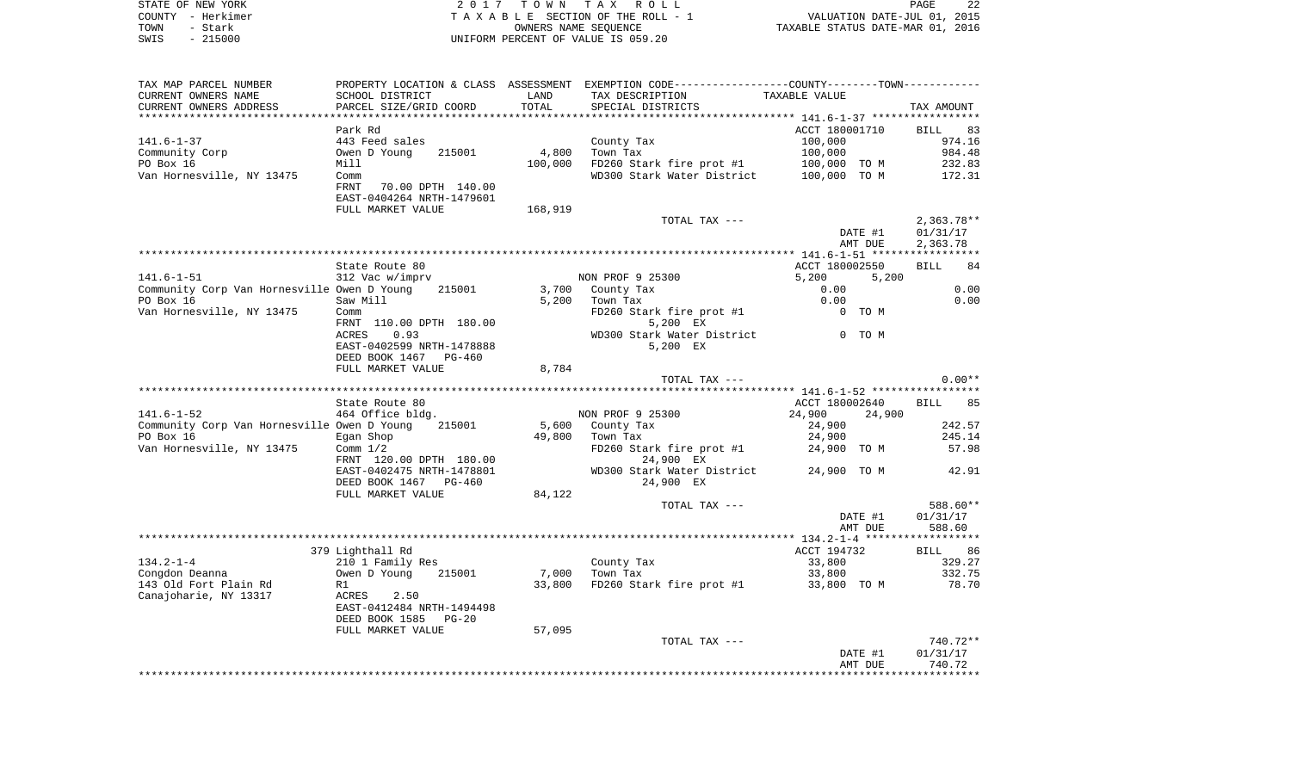|      | STATE OF NEW YORK | 2017 TOWN TAX ROLL                 | 22<br>PAGE                       |  |
|------|-------------------|------------------------------------|----------------------------------|--|
|      | COUNTY - Herkimer | TAXABLE SECTION OF THE ROLL - 1    | VALUATION DATE-JUL 01, 2015      |  |
| TOWN | - Stark           | OWNERS NAME SEOUENCE               | TAXABLE STATUS DATE-MAR 01, 2016 |  |
| SWIS | $-215000$         | UNIFORM PERCENT OF VALUE IS 059.20 |                                  |  |

| TAX MAP PARCEL NUMBER                       |                                                      |         | PROPERTY LOCATION & CLASS ASSESSMENT EXEMPTION CODE---------------COUNTY-------TOWN--------- |                                         |                   |
|---------------------------------------------|------------------------------------------------------|---------|----------------------------------------------------------------------------------------------|-----------------------------------------|-------------------|
| CURRENT OWNERS NAME                         | SCHOOL DISTRICT                                      | LAND    | TAX DESCRIPTION                                                                              | TAXABLE VALUE                           |                   |
| CURRENT OWNERS ADDRESS                      | PARCEL SIZE/GRID COORD                               | TOTAL   | SPECIAL DISTRICTS                                                                            |                                         | TAX AMOUNT        |
|                                             |                                                      |         |                                                                                              |                                         |                   |
|                                             | Park Rd                                              |         |                                                                                              | ACCT 180001710                          | <b>BILL</b><br>83 |
| $141.6 - 1 - 37$                            | 443 Feed sales                                       |         | County Tax                                                                                   | 100,000                                 | 974.16            |
| Community Corp                              | Owen D Young<br>215001                               | 4,800   | Town Tax                                                                                     | 100,000                                 | 984.48            |
| PO Box 16                                   | Mill                                                 | 100,000 | FD260 Stark fire prot #1                                                                     | 100,000 TO M                            | 232.83            |
| Van Hornesville, NY 13475                   | Comm<br>FRNT<br>70.00 DPTH 140.00                    |         | WD300 Stark Water District                                                                   | 100,000 TO M                            | 172.31            |
|                                             | EAST-0404264 NRTH-1479601                            |         |                                                                                              |                                         |                   |
|                                             | FULL MARKET VALUE                                    | 168,919 |                                                                                              |                                         |                   |
|                                             |                                                      |         | TOTAL TAX ---                                                                                |                                         | $2,363.78**$      |
|                                             |                                                      |         |                                                                                              | DATE #1                                 | 01/31/17          |
|                                             |                                                      |         |                                                                                              | AMT DUE                                 | 2,363.78          |
|                                             |                                                      |         |                                                                                              |                                         |                   |
|                                             | State Route 80                                       |         |                                                                                              | ACCT 180002550                          | <b>BILL</b><br>84 |
| $141.6 - 1 - 51$                            | 312 Vac w/imprv                                      |         | NON PROF 9 25300                                                                             | 5,200<br>5,200                          |                   |
| Community Corp Van Hornesville Owen D Young | 215001                                               |         | 3,700 County Tax                                                                             | 0.00                                    | 0.00              |
| PO Box 16                                   | Saw Mill                                             | 5,200   | Town Tax                                                                                     | 0.00                                    | 0.00              |
| Van Hornesville, NY 13475                   | Comm<br>FRNT 110.00 DPTH 180.00                      |         | FD260 Stark fire prot #1<br>5,200 EX                                                         | 0 TO M                                  |                   |
|                                             | ACRES<br>0.93                                        |         | WD300 Stark Water District                                                                   | 0 TO M                                  |                   |
|                                             | EAST-0402599 NRTH-1478888                            |         | 5,200 EX                                                                                     |                                         |                   |
|                                             | DEED BOOK 1467<br>PG-460                             |         |                                                                                              |                                         |                   |
|                                             | FULL MARKET VALUE                                    | 8,784   |                                                                                              |                                         |                   |
|                                             |                                                      |         | TOTAL TAX ---                                                                                |                                         | $0.00**$          |
|                                             |                                                      |         |                                                                                              | ********* 141.6-1-52 ****************** |                   |
|                                             | State Route 80                                       |         |                                                                                              | ACCT 180002640                          | <b>BILL</b><br>85 |
| $141.6 - 1 - 52$                            | 464 Office bldg.                                     |         | NON PROF 9 25300                                                                             | 24,900<br>24,900                        |                   |
| Community Corp Van Hornesville Owen D Young | 215001                                               |         | 5,600 County Tax                                                                             | 24,900                                  | 242.57            |
| PO Box 16                                   | Egan Shop                                            | 49,800  | Town Tax                                                                                     | 24,900                                  | 245.14            |
| Van Hornesville, NY 13475                   | Comm $1/2$                                           |         | FD260 Stark fire prot #1                                                                     | 24,900 TO M                             | 57.98             |
|                                             | FRNT 120.00 DPTH 180.00<br>EAST-0402475 NRTH-1478801 |         | 24,900 EX                                                                                    | 24,900 TO M                             | 42.91             |
|                                             | DEED BOOK 1467<br>PG-460                             |         | WD300 Stark Water District<br>24,900 EX                                                      |                                         |                   |
|                                             | FULL MARKET VALUE                                    | 84,122  |                                                                                              |                                         |                   |
|                                             |                                                      |         | TOTAL TAX ---                                                                                |                                         | 588.60**          |
|                                             |                                                      |         |                                                                                              | DATE #1                                 | 01/31/17          |
|                                             |                                                      |         |                                                                                              | AMT DUE                                 | 588.60            |
|                                             |                                                      |         |                                                                                              |                                         |                   |
|                                             | 379 Lighthall Rd                                     |         |                                                                                              | ACCT 194732                             | <b>BILL</b><br>86 |
| $134.2 - 1 - 4$                             | 210 1 Family Res                                     |         | County Tax                                                                                   | 33,800                                  | 329.27            |
| Congdon Deanna                              | Owen D Young<br>215001                               | 7,000   | Town Tax                                                                                     | 33,800                                  | 332.75            |
| 143 Old Fort Plain Rd                       | R1                                                   | 33,800  | FD260 Stark fire prot #1                                                                     | 33,800 TO M                             | 78.70             |
| Canajoharie, NY 13317                       | ACRES<br>2.50<br>EAST-0412484 NRTH-1494498           |         |                                                                                              |                                         |                   |
|                                             | DEED BOOK 1585<br>$PG-20$                            |         |                                                                                              |                                         |                   |
|                                             | FULL MARKET VALUE                                    | 57,095  |                                                                                              |                                         |                   |
|                                             |                                                      |         | TOTAL TAX ---                                                                                |                                         | 740.72**          |
|                                             |                                                      |         |                                                                                              | DATE #1                                 | 01/31/17          |
|                                             |                                                      |         |                                                                                              | AMT DUE                                 | 740.72            |
|                                             |                                                      |         |                                                                                              |                                         |                   |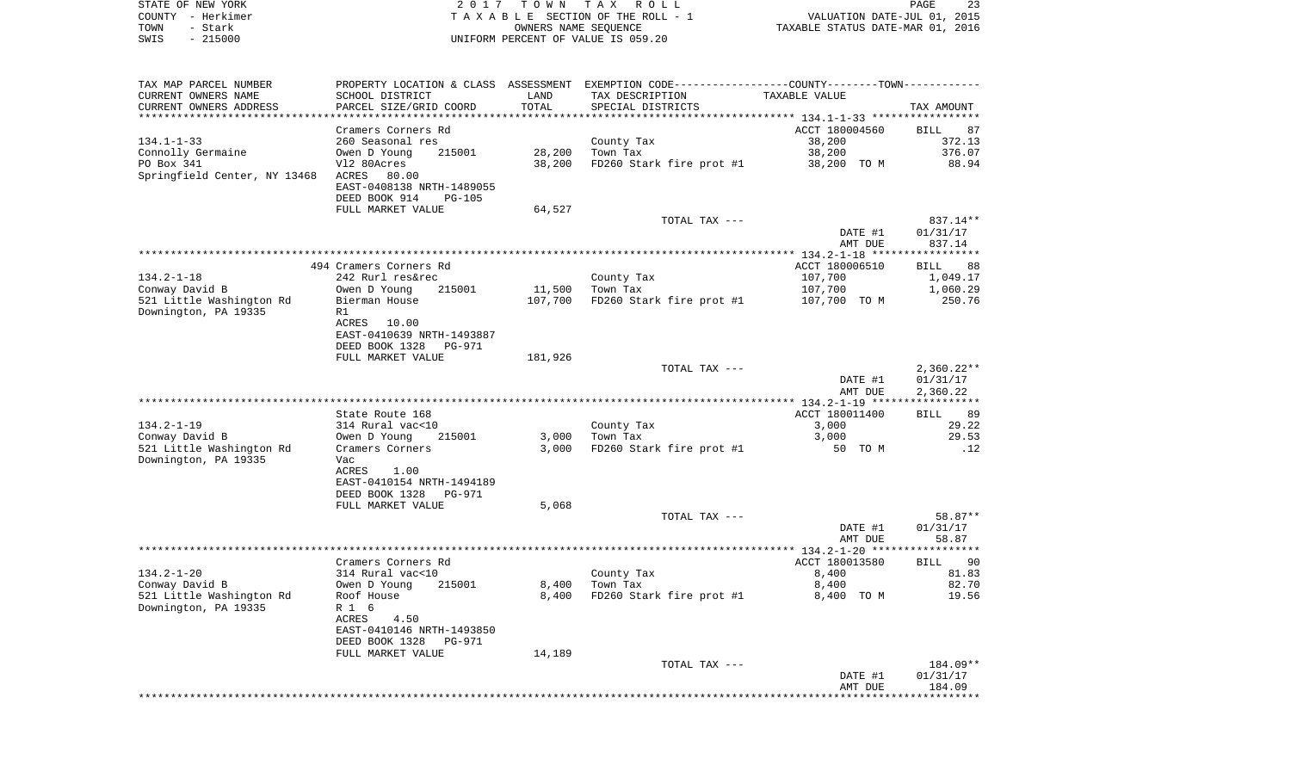| STATE OF NEW YORK | 2017 TOWN TAX ROLL                 | 23<br>PAGE                       |
|-------------------|------------------------------------|----------------------------------|
| COUNTY - Herkimer | TAXABLE SECTION OF THE ROLL - 1    | VALUATION DATE-JUL 01, 2015      |
| TOWN<br>- Stark   | OWNERS NAME SEOUENCE               | TAXABLE STATUS DATE-MAR 01, 2016 |
| $-215000$<br>SWIS | UNIFORM PERCENT OF VALUE IS 059.20 |                                  |

| TAX MAP PARCEL NUMBER              | PROPERTY LOCATION & CLASS ASSESSMENT EXEMPTION CODE----------------COUNTY-------TOWN---------- |                      |                          |                                            |              |
|------------------------------------|------------------------------------------------------------------------------------------------|----------------------|--------------------------|--------------------------------------------|--------------|
| CURRENT OWNERS NAME                | SCHOOL DISTRICT                                                                                | LAND                 | TAX DESCRIPTION          | TAXABLE VALUE                              |              |
| CURRENT OWNERS ADDRESS             | PARCEL SIZE/GRID COORD                                                                         | TOTAL                | SPECIAL DISTRICTS        |                                            | TAX AMOUNT   |
|                                    |                                                                                                | ******************** |                          | ****************** 134.1-1-33 ************ |              |
|                                    | Cramers Corners Rd                                                                             |                      |                          | ACCT 180004560                             | BILL<br>87   |
| $134.1 - 1 - 33$                   | 260 Seasonal res                                                                               |                      | County Tax               | 38,200                                     | 372.13       |
| Connolly Germaine                  | 215001<br>Owen D Young                                                                         | 28,200               | Town Tax                 | 38,200                                     | 376.07       |
| PO Box 341                         | V12 80Acres                                                                                    | 38,200               | FD260 Stark fire prot #1 | 38,200 TO M                                | 88.94        |
| Springfield Center, NY 13468 ACRES | 80.00                                                                                          |                      |                          |                                            |              |
|                                    | EAST-0408138 NRTH-1489055                                                                      |                      |                          |                                            |              |
|                                    | DEED BOOK 914<br><b>PG-105</b>                                                                 |                      |                          |                                            |              |
|                                    | FULL MARKET VALUE                                                                              | 64,527               |                          |                                            |              |
|                                    |                                                                                                |                      | TOTAL TAX ---            |                                            | 837.14**     |
|                                    |                                                                                                |                      |                          | DATE #1                                    | 01/31/17     |
|                                    |                                                                                                |                      |                          | AMT DUE                                    | 837.14       |
|                                    |                                                                                                |                      |                          |                                            |              |
|                                    | 494 Cramers Corners Rd                                                                         |                      |                          | ACCT 180006510                             | BILL<br>88   |
| $134.2 - 1 - 18$                   | 242 Rurl res&rec                                                                               |                      | County Tax               | 107,700                                    | 1,049.17     |
| Conway David B                     | Owen D Young<br>215001                                                                         | 11,500               | Town Tax                 | 107,700                                    | 1,060.29     |
| 521 Little Washington Rd           | Bierman House                                                                                  | 107,700              | FD260 Stark fire prot #1 | 107,700 TO M                               | 250.76       |
| Downington, PA 19335               | R1                                                                                             |                      |                          |                                            |              |
|                                    | ACRES 10.00                                                                                    |                      |                          |                                            |              |
|                                    |                                                                                                |                      |                          |                                            |              |
|                                    | EAST-0410639 NRTH-1493887                                                                      |                      |                          |                                            |              |
|                                    | DEED BOOK 1328<br>PG-971                                                                       |                      |                          |                                            |              |
|                                    | FULL MARKET VALUE                                                                              | 181,926              |                          |                                            |              |
|                                    |                                                                                                |                      | TOTAL TAX ---            |                                            | $2,360.22**$ |
|                                    |                                                                                                |                      |                          | DATE #1                                    | 01/31/17     |
|                                    |                                                                                                |                      |                          | AMT DUE                                    | 2,360.22     |
|                                    |                                                                                                |                      |                          |                                            |              |
|                                    | State Route 168                                                                                |                      |                          | ACCT 180011400                             | BILL 89      |
| $134.2 - 1 - 19$                   | 314 Rural vac<10                                                                               |                      | County Tax               | 3,000                                      | 29.22        |
| Conway David B                     | Owen D Young<br>215001                                                                         | 3,000                | Town Tax                 | 3,000                                      | 29.53        |
| 521 Little Washington Rd           | Cramers Corners                                                                                | 3,000                | FD260 Stark fire prot #1 | 50 TO M                                    | .12          |
| Downington, PA 19335               | Vac                                                                                            |                      |                          |                                            |              |
|                                    | ACRES<br>1.00                                                                                  |                      |                          |                                            |              |
|                                    | EAST-0410154 NRTH-1494189                                                                      |                      |                          |                                            |              |
|                                    | DEED BOOK 1328<br>PG-971                                                                       |                      |                          |                                            |              |
|                                    | FULL MARKET VALUE                                                                              | 5,068                |                          |                                            |              |
|                                    |                                                                                                |                      | TOTAL TAX ---            |                                            | 58.87**      |
|                                    |                                                                                                |                      |                          | DATE #1                                    | 01/31/17     |
|                                    |                                                                                                |                      |                          | AMT DUE                                    | 58.87        |
|                                    |                                                                                                |                      |                          |                                            |              |
|                                    | Cramers Corners Rd                                                                             |                      |                          | ACCT 180013580                             | BILL 90      |
| $134.2 - 1 - 20$                   | 314 Rural vac<10                                                                               |                      | County Tax               | 8,400                                      | 81.83        |
| Conway David B                     | Owen D Young<br>215001                                                                         | 8,400                | Town Tax                 | 8,400                                      | 82.70        |
| 521 Little Washington Rd           | Roof House                                                                                     | 8,400                | FD260 Stark fire prot #1 | 8,400 TO M                                 | 19.56        |
| Downington, PA 19335               | R 1 6                                                                                          |                      |                          |                                            |              |
|                                    | ACRES<br>4.50                                                                                  |                      |                          |                                            |              |
|                                    | EAST-0410146 NRTH-1493850                                                                      |                      |                          |                                            |              |
|                                    | DEED BOOK 1328<br>PG-971                                                                       |                      |                          |                                            |              |
|                                    | FULL MARKET VALUE                                                                              | 14,189               |                          |                                            |              |
|                                    |                                                                                                |                      | TOTAL TAX ---            |                                            | 184.09**     |
|                                    |                                                                                                |                      |                          | DATE #1                                    | 01/31/17     |
|                                    |                                                                                                |                      |                          | AMT DUE                                    | 184.09       |
|                                    |                                                                                                |                      |                          |                                            |              |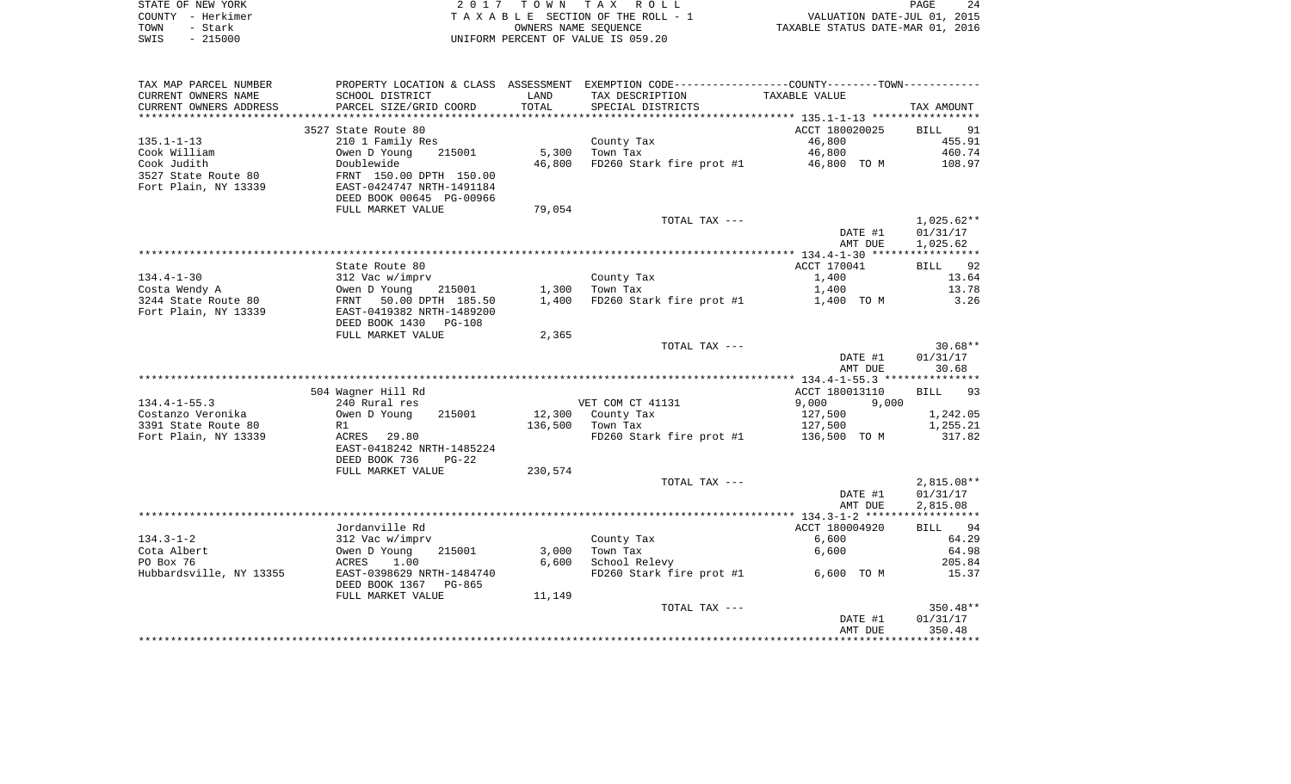| STATE OF NEW YORK | 2017 TOWN TAX ROLL                 | PAGE                             | 24 |
|-------------------|------------------------------------|----------------------------------|----|
| COUNTY – Herkimer | TAXABLE SECTION OF THE ROLL - 1    | VALUATION DATE-JUL 01, 2015      |    |
| TOWN<br>- Stark   | OWNERS NAME SEOUENCE               | TAXABLE STATUS DATE-MAR 01, 2016 |    |
| $-215000$<br>SWIS | UNIFORM PERCENT OF VALUE IS 059.20 |                                  |    |

| TAX MAP PARCEL NUMBER   | PROPERTY LOCATION & CLASS ASSESSMENT |         | EXEMPTION CODE----------------COUNTY-------TOWN----------- |                |              |
|-------------------------|--------------------------------------|---------|------------------------------------------------------------|----------------|--------------|
| CURRENT OWNERS NAME     | SCHOOL DISTRICT                      | LAND    | TAX DESCRIPTION                                            | TAXABLE VALUE  |              |
| CURRENT OWNERS ADDRESS  | PARCEL SIZE/GRID COORD               | TOTAL   | SPECIAL DISTRICTS                                          |                | TAX AMOUNT   |
| *******************     | **************************           |         |                                                            |                |              |
|                         | 3527 State Route 80                  |         |                                                            | ACCT 180020025 | BILL<br>91   |
| $135.1 - 1 - 13$        | 210 1 Family Res                     |         | County Tax                                                 | 46,800         | 455.91       |
| Cook William            | Owen D Young<br>215001               | 5,300   | Town Tax                                                   | 46,800         | 460.74       |
| Cook Judith             | Doublewide                           | 46,800  | FD260 Stark fire prot #1                                   | 46,800 TO M    | 108.97       |
| 3527 State Route 80     | FRNT 150.00 DPTH 150.00              |         |                                                            |                |              |
| Fort Plain, NY 13339    | EAST-0424747 NRTH-1491184            |         |                                                            |                |              |
|                         | DEED BOOK 00645 PG-00966             |         |                                                            |                |              |
|                         | FULL MARKET VALUE                    | 79,054  |                                                            |                |              |
|                         |                                      |         | TOTAL TAX ---                                              |                | $1,025.62**$ |
|                         |                                      |         |                                                            | DATE #1        | 01/31/17     |
|                         |                                      |         |                                                            | AMT DUE        | 1,025.62     |
|                         |                                      |         |                                                            |                |              |
|                         | State Route 80                       |         |                                                            | ACCT 170041    | BILL 92      |
| $134.4 - 1 - 30$        | 312 Vac w/imprv                      |         | County Tax                                                 | 1,400          | 13.64        |
| Costa Wendy A           | Owen D Young<br>215001               | 1,300   | Town Tax                                                   | 1,400          | 13.78        |
| 3244 State Route 80     | 50.00 DPTH 185.50<br>FRNT            | 1,400   | FD260 Stark fire prot #1                                   | 1,400 TO M     | 3.26         |
| Fort Plain, NY 13339    | EAST-0419382 NRTH-1489200            |         |                                                            |                |              |
|                         | DEED BOOK 1430<br>PG-108             |         |                                                            |                |              |
|                         | FULL MARKET VALUE                    | 2,365   |                                                            |                |              |
|                         |                                      |         | TOTAL TAX ---                                              |                | $30.68**$    |
|                         |                                      |         |                                                            | DATE #1        | 01/31/17     |
|                         |                                      |         |                                                            | AMT DUE        | 30.68        |
|                         |                                      |         |                                                            |                |              |
|                         | 504 Wagner Hill Rd                   |         |                                                            | ACCT 180013110 | 93<br>BILL   |
| $134.4 - 1 - 55.3$      | 240 Rural res                        |         | VET COM CT 41131                                           | 9,000<br>9,000 |              |
| Costanzo Veronika       | Owen D Young<br>215001               |         | 12,300 County Tax                                          | 127,500        | 1,242.05     |
| 3391 State Route 80     | R1                                   | 136,500 | Town Tax                                                   | 127,500        | 1,255.21     |
| Fort Plain, NY 13339    | ACRES 29.80                          |         | FD260 Stark fire prot #1                                   | 136,500 TO M   | 317.82       |
|                         | EAST-0418242 NRTH-1485224            |         |                                                            |                |              |
|                         | DEED BOOK 736<br>$PG-22$             |         |                                                            |                |              |
|                         | FULL MARKET VALUE                    | 230,574 |                                                            |                |              |
|                         |                                      |         | TOTAL TAX ---                                              |                | $2,815.08**$ |
|                         |                                      |         |                                                            | DATE #1        | 01/31/17     |
|                         |                                      |         |                                                            | AMT DUE        | 2,815.08     |
|                         |                                      |         |                                                            |                |              |
|                         | Jordanville Rd                       |         |                                                            | ACCT 180004920 | BILL 94      |
| $134.3 - 1 - 2$         | 312 Vac w/imprv                      |         | County Tax                                                 | 6,600          | 64.29        |
| Cota Albert             | Owen D Young<br>215001               | 3,000   | Town Tax                                                   | 6,600          | 64.98        |
| PO Box 76               | 1.00<br>ACRES                        | 6,600   | School Relevy                                              |                | 205.84       |
| Hubbardsville, NY 13355 | EAST-0398629 NRTH-1484740            |         | FD260 Stark fire prot #1                                   | 6,600 TO M     | 15.37        |
|                         | DEED BOOK 1367<br>PG-865             |         |                                                            |                |              |
|                         | FULL MARKET VALUE                    | 11,149  |                                                            |                |              |
|                         |                                      |         | TOTAL TAX ---                                              |                | 350.48**     |
|                         |                                      |         |                                                            | DATE #1        | 01/31/17     |
|                         |                                      |         |                                                            | AMT DUE        | 350.48       |
|                         |                                      |         |                                                            |                |              |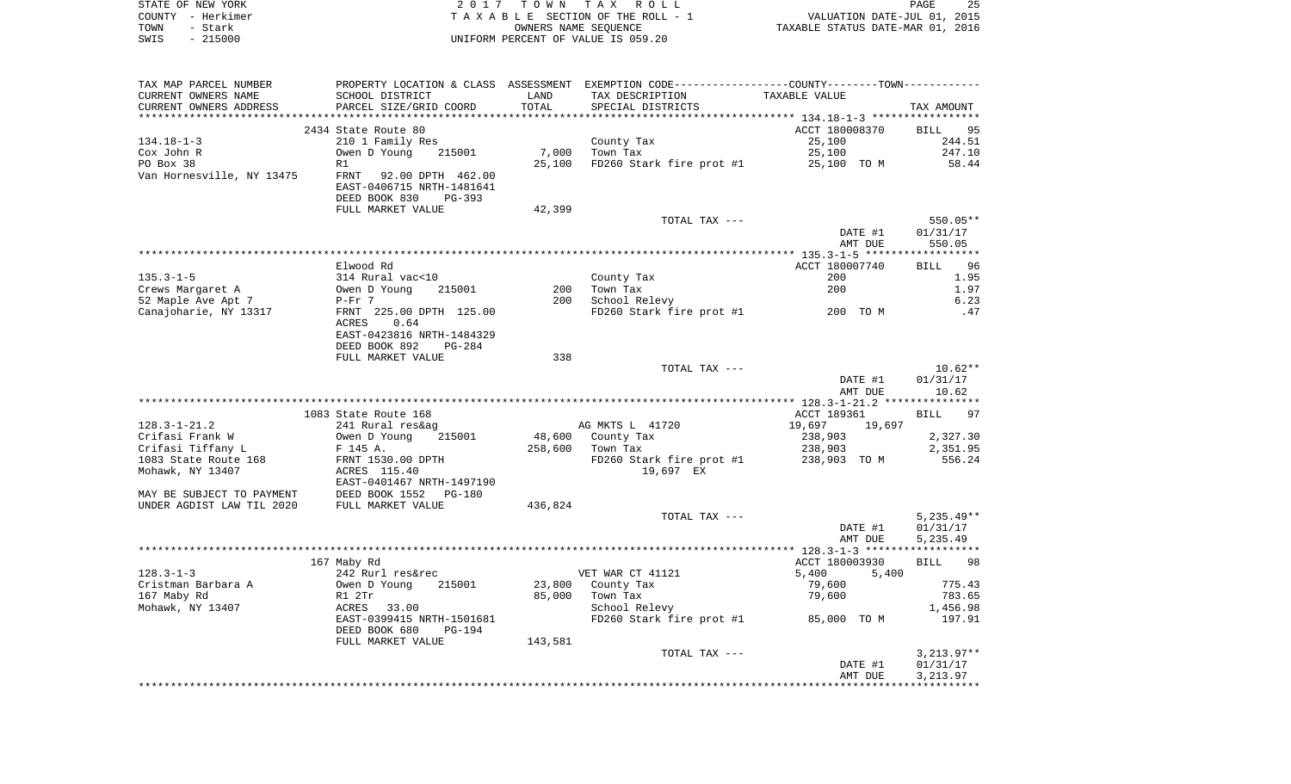|      | STATE OF NEW YORK | 2017 TOWN TAX ROLL                 | PAGE                             | 25 |
|------|-------------------|------------------------------------|----------------------------------|----|
|      | COUNTY - Herkimer | TAXABLE SECTION OF THE ROLL - 1    | VALUATION DATE-JUL 01, 2015      |    |
| TOWN | – Stark           | OWNERS NAME SEOUENCE               | TAXABLE STATUS DATE-MAR 01, 2016 |    |
| SWIS | $-215000$         | UNIFORM PERCENT OF VALUE IS 059.20 |                                  |    |

| TAX MAP PARCEL NUMBER                                                    |                                                                |         | PROPERTY LOCATION & CLASS ASSESSMENT EXEMPTION CODE---------------COUNTY-------TOWN---------- |                |              |
|--------------------------------------------------------------------------|----------------------------------------------------------------|---------|-----------------------------------------------------------------------------------------------|----------------|--------------|
| CURRENT OWNERS NAME                                                      | SCHOOL DISTRICT                                                | LAND    | TAX DESCRIPTION                                                                               | TAXABLE VALUE  |              |
| CURRENT OWNERS ADDRESS                                                   | PARCEL SIZE/GRID COORD                                         | TOTAL   | SPECIAL DISTRICTS                                                                             |                | TAX AMOUNT   |
|                                                                          |                                                                |         |                                                                                               |                |              |
|                                                                          | 2434 State Route 80                                            |         |                                                                                               | ACCT 180008370 | BILL 95      |
| $134.18 - 1 - 3$                                                         | 210 1 Family Res                                               |         |                                                                                               | 25,100         | 244.51       |
| Cox John R                                                               | Owen D Young 215001                                            |         | County Tax<br>7,000 Town Tax                                                                  | 25,100         | 247.10       |
| PO Box 38                                                                | R1                                                             |         | 25,100 FD260 Stark fire prot #1 25,100 TO M 58.44                                             |                |              |
|                                                                          | Van Hornesville, NY 13475 FRNT 92.00 DPTH 462.00               |         |                                                                                               |                |              |
|                                                                          | EAST-0406715 NRTH-1481641                                      |         |                                                                                               |                |              |
|                                                                          | DEED BOOK 830<br>PG-393                                        |         |                                                                                               |                |              |
|                                                                          | FULL MARKET VALUE                                              | 42,399  |                                                                                               |                |              |
|                                                                          |                                                                |         | TOTAL TAX ---                                                                                 |                | $550.05**$   |
|                                                                          |                                                                |         |                                                                                               | DATE #1        | 01/31/17     |
|                                                                          |                                                                |         |                                                                                               | AMT DUE        | 550.05       |
|                                                                          |                                                                |         |                                                                                               |                |              |
|                                                                          | Elwood Rd                                                      |         |                                                                                               | ACCT 180007740 | BILL 96      |
| $135.3 - 1 - 5$                                                          |                                                                |         | County Tax                                                                                    | 200            | 1.95         |
|                                                                          | 314 Rural vac<10<br>Owen D Young 215001<br>P-Fr 7              |         | 200 Town Tax                                                                                  | 200            | 1.97         |
| Crews Margaret A                                                         |                                                                |         | 200 School Relevy                                                                             |                |              |
| 52 Maple Ave Apt 7                                                       |                                                                |         |                                                                                               |                | 6.23         |
|                                                                          | Canajoharie, NY 13317 FRNT 225.00 DPTH 125.00                  |         | FD260 Stark fire prot #1 200 TO M                                                             |                | .47          |
|                                                                          | 0.64<br>ACRES                                                  |         |                                                                                               |                |              |
|                                                                          | EAST-0423816 NRTH-1484329                                      |         |                                                                                               |                |              |
|                                                                          | DEED BOOK 892<br>PG-284                                        |         |                                                                                               |                |              |
|                                                                          | FULL MARKET VALUE                                              | 338     |                                                                                               |                |              |
|                                                                          |                                                                |         | TOTAL TAX ---                                                                                 |                | $10.62**$    |
|                                                                          |                                                                |         |                                                                                               | DATE #1        | 01/31/17     |
|                                                                          |                                                                |         |                                                                                               | AMT DUE        | 10.62        |
|                                                                          |                                                                |         |                                                                                               |                |              |
|                                                                          | 1083 State Route 168                                           |         |                                                                                               | ACCT 189361    | BILL 97      |
| $128.3 - 1 - 21.2$                                                       | 241 Rural res&ag                                               |         | AG MKTS L 41720                                                                               | 19,697 19,697  |              |
| Crifasi Frank W                                                          | 215001<br>Owen D Young                                         |         | 48,600 County Tax                                                                             | 238,903        | 2,327.30     |
| Crifasi Tiffany L                                                        | F 145 A.                                                       |         | o,ovu County Tax<br>258,600   Town Tax                                                        | 238,903        | 2,351.95     |
| 1083 State Route 168                                                     | FRNT 1530.00 DPTH<br>ACRES 115.40<br>EAST-0401467 NRTH-1497190 |         | FD260 Stark fire prot #1 238,903 TO M                                                         |                | 556.24       |
| Mohawk, NY 13407                                                         |                                                                |         | 19,697 EX                                                                                     |                |              |
|                                                                          |                                                                |         |                                                                                               |                |              |
| MAY BE SUBJECT TO PAYMENT<br>UNDER AGDIST LAW TIL 2020 FULL MARKET VALUE |                                                                |         |                                                                                               |                |              |
|                                                                          |                                                                | 436,824 |                                                                                               |                |              |
|                                                                          |                                                                |         | TOTAL TAX ---                                                                                 |                | $5,235.49**$ |
|                                                                          |                                                                |         |                                                                                               | DATE #1        | 01/31/17     |
|                                                                          |                                                                |         |                                                                                               | AMT DUE        | 5,235.49     |
|                                                                          |                                                                |         |                                                                                               |                |              |
|                                                                          | 167 Maby Rd                                                    |         |                                                                                               | ACCT 180003930 | BILL 98      |
| $128.3 - 1 - 3$                                                          | 242 Rurl res&rec                                               |         | VET WAR CT 41121                                                                              | 5,400<br>5,400 |              |
| Cristman Barbara A                                                       | 215001                                                         |         | 23,800 County Tax                                                                             | 79,600         | 775.43       |
| 167 Maby Rd                                                              |                                                                |         | 85,000 Town Tax                                                                               | 79,600         | 783.65       |
| Mohawk, NY 13407                                                         | ACRES 33.00                                                    |         | School Relevy                                                                                 |                | 1,456.98     |
|                                                                          | EAST-0399415 NRTH-1501681                                      |         | FD260 Stark fire prot #1 85,000 TO M                                                          |                | 197.91       |
|                                                                          | DEED BOOK 680<br>PG-194                                        |         |                                                                                               |                |              |
|                                                                          | FULL MARKET VALUE                                              | 143,581 |                                                                                               |                |              |
|                                                                          |                                                                |         | TOTAL TAX ---                                                                                 |                | $3,213.97**$ |
|                                                                          |                                                                |         |                                                                                               | DATE #1        | 01/31/17     |
|                                                                          |                                                                |         |                                                                                               | AMT DUE        | 3,213.97     |
|                                                                          |                                                                |         |                                                                                               |                |              |
|                                                                          |                                                                |         |                                                                                               |                |              |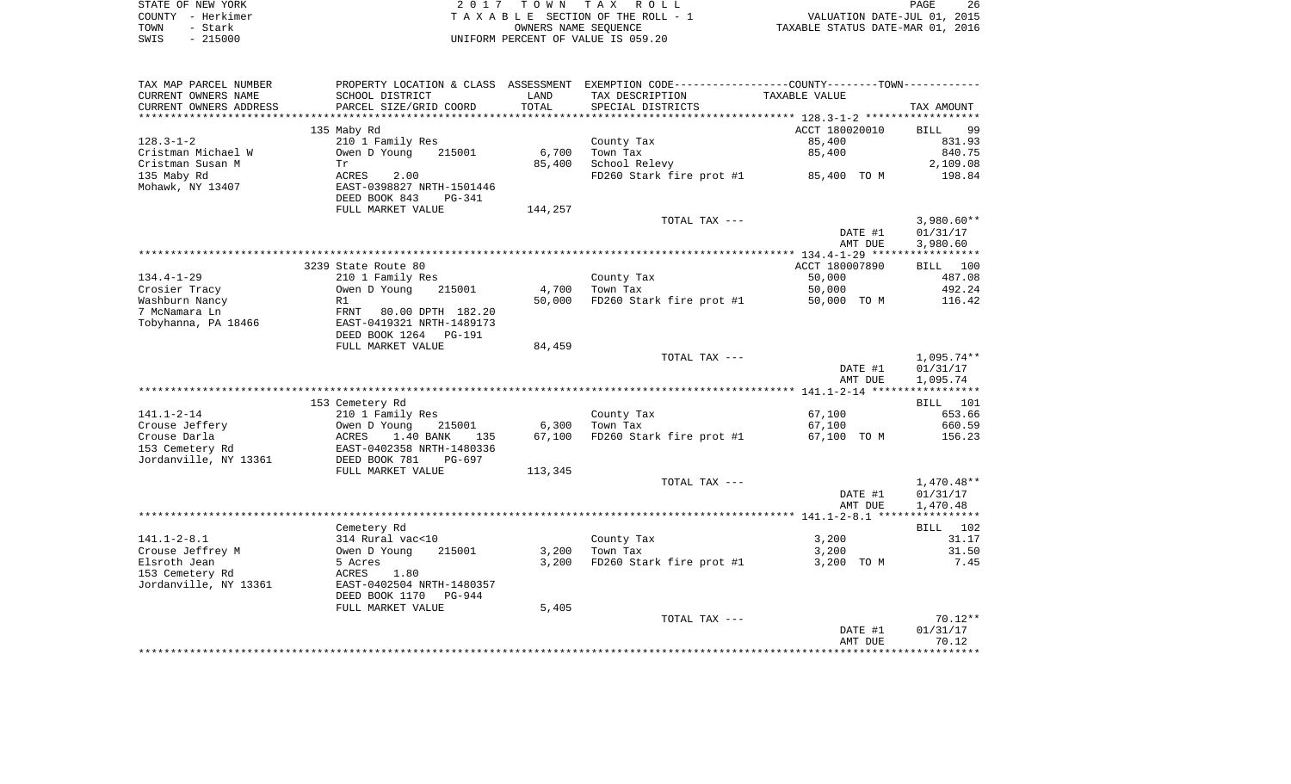| STATE OF NEW YORK | 2017 TOWN TAX ROLL                 | 26<br>PAGE                       |
|-------------------|------------------------------------|----------------------------------|
| COUNTY - Herkimer | TAXABLE SECTION OF THE ROLL - 1    | VALUATION DATE-JUL 01, 2015      |
| TOWN<br>- Stark   | OWNERS NAME SEOUENCE               | TAXABLE STATUS DATE-MAR 01, 2016 |
| $-215000$<br>SWIS | UNIFORM PERCENT OF VALUE IS 059.20 |                                  |

| TAX MAP PARCEL NUMBER  |                                |         | PROPERTY LOCATION & CLASS ASSESSMENT EXEMPTION CODE----------------COUNTY-------TOWN----------- |                |              |
|------------------------|--------------------------------|---------|-------------------------------------------------------------------------------------------------|----------------|--------------|
| CURRENT OWNERS NAME    | SCHOOL DISTRICT                | LAND    | TAX DESCRIPTION                                                                                 | TAXABLE VALUE  |              |
| CURRENT OWNERS ADDRESS | PARCEL SIZE/GRID COORD         | TOTAL   | SPECIAL DISTRICTS                                                                               |                | TAX AMOUNT   |
| ********************** |                                |         |                                                                                                 |                |              |
|                        | 135 Maby Rd                    |         |                                                                                                 | ACCT 180020010 | 99<br>BILL   |
| $128.3 - 1 - 2$        | 210 1 Family Res               |         | County Tax                                                                                      | 85,400         | 831.93       |
| Cristman Michael W     | Owen D Young<br>215001         | 6,700   | Town Tax                                                                                        | 85,400         | 840.75       |
| Cristman Susan M       | Тr                             | 85,400  | School Relevy                                                                                   |                | 2,109.08     |
| 135 Maby Rd            | 2.00<br>ACRES                  |         | FD260 Stark fire prot #1                                                                        | 85,400 TO M    | 198.84       |
| Mohawk, NY 13407       | EAST-0398827 NRTH-1501446      |         |                                                                                                 |                |              |
|                        | DEED BOOK 843<br><b>PG-341</b> |         |                                                                                                 |                |              |
|                        | FULL MARKET VALUE              | 144,257 |                                                                                                 |                |              |
|                        |                                |         | TOTAL TAX ---                                                                                   |                | $3,980.60**$ |
|                        |                                |         |                                                                                                 | DATE #1        | 01/31/17     |
|                        |                                |         |                                                                                                 | AMT DUE        | 3,980.60     |
|                        |                                |         |                                                                                                 |                |              |
|                        | 3239 State Route 80            |         |                                                                                                 | ACCT 180007890 | BILL 100     |
| $134.4 - 1 - 29$       | 210 1 Family Res               |         | County Tax                                                                                      | 50,000         | 487.08       |
| Crosier Tracy          | Owen D Young<br>215001         | 4,700   | Town Tax                                                                                        | 50,000         | 492.24       |
| Washburn Nancy         | R1                             | 50,000  | FD260 Stark fire prot #1                                                                        | 50,000 TO M    | 116.42       |
| 7 McNamara Ln          | FRNT<br>80.00 DPTH 182.20      |         |                                                                                                 |                |              |
| Tobyhanna, PA 18466    | EAST-0419321 NRTH-1489173      |         |                                                                                                 |                |              |
|                        | DEED BOOK 1264<br>PG-191       |         |                                                                                                 |                |              |
|                        | FULL MARKET VALUE              | 84,459  |                                                                                                 |                |              |
|                        |                                |         | TOTAL TAX ---                                                                                   |                | $1,095.74**$ |
|                        |                                |         |                                                                                                 | DATE #1        | 01/31/17     |
|                        |                                |         |                                                                                                 | AMT DUE        | 1,095.74     |
|                        |                                |         |                                                                                                 |                |              |
|                        | 153 Cemetery Rd                |         |                                                                                                 |                | BILL 101     |
| $141.1 - 2 - 14$       | 210 1 Family Res               |         | County Tax                                                                                      | 67,100         | 653.66       |
| Crouse Jeffery         | 215001<br>Owen D Young         | 6,300   | Town Tax                                                                                        | 67,100         | 660.59       |
| Crouse Darla           | 1.40 BANK<br>ACRES<br>135      | 67,100  | FD260 Stark fire prot #1                                                                        | 67,100 TO M    | 156.23       |
| 153 Cemetery Rd        | EAST-0402358 NRTH-1480336      |         |                                                                                                 |                |              |
| Jordanville, NY 13361  | DEED BOOK 781<br>$PG-697$      |         |                                                                                                 |                |              |
|                        | FULL MARKET VALUE              | 113,345 |                                                                                                 |                |              |
|                        |                                |         | TOTAL TAX ---                                                                                   |                | $1,470.48**$ |
|                        |                                |         |                                                                                                 | DATE #1        | 01/31/17     |
|                        |                                |         |                                                                                                 | AMT DUE        | 1,470.48     |
|                        |                                |         |                                                                                                 |                |              |
|                        | Cemetery Rd                    |         |                                                                                                 |                | BILL 102     |
| $141.1 - 2 - 8.1$      | 314 Rural vac<10               |         | County Tax                                                                                      | 3,200          | 31.17        |
| Crouse Jeffrey M       | 215001<br>Owen D Young         | 3,200   | Town Tax                                                                                        | 3,200          | 31.50        |
| Elsroth Jean           | 5 Acres                        | 3,200   | FD260 Stark fire prot #1                                                                        | 3,200 TO M     | 7.45         |
| 153 Cemetery Rd        | ACRES<br>1.80                  |         |                                                                                                 |                |              |
| Jordanville, NY 13361  | EAST-0402504 NRTH-1480357      |         |                                                                                                 |                |              |
|                        | DEED BOOK 1170<br>PG-944       |         |                                                                                                 |                |              |
|                        | FULL MARKET VALUE              | 5,405   | TOTAL TAX ---                                                                                   |                | $70.12**$    |
|                        |                                |         |                                                                                                 |                |              |
|                        |                                |         |                                                                                                 | DATE #1        | 01/31/17     |
|                        |                                |         |                                                                                                 | AMT DUE        | 70.12        |
|                        |                                |         |                                                                                                 |                |              |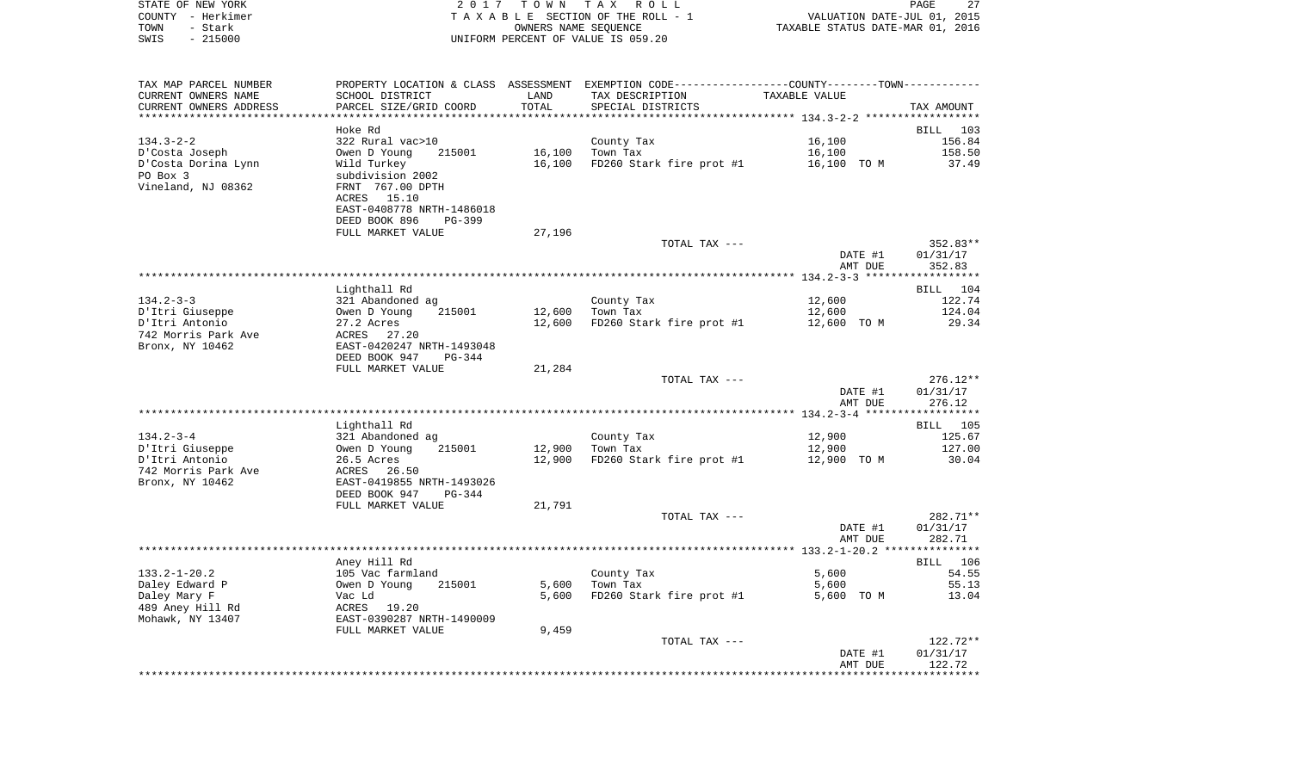|      | STATE OF NEW YORK | 2017 TOWN TAX ROLL                 | 27<br><b>PAGE</b>                |
|------|-------------------|------------------------------------|----------------------------------|
|      | COUNTY - Herkimer | TAXABLE SECTION OF THE ROLL - 1    | VALUATION DATE-JUL 01, 2015      |
| TOWN | - Stark           | OWNERS NAME SEOUENCE               | TAXABLE STATUS DATE-MAR 01, 2016 |
| SWIS | - 215000          | UNIFORM PERCENT OF VALUE IS 059.20 |                                  |

| TAX MAP PARCEL NUMBER  | PROPERTY LOCATION & CLASS ASSESSMENT EXEMPTION CODE---------------COUNTY-------TOWN---------- |        |                                          |               |            |
|------------------------|-----------------------------------------------------------------------------------------------|--------|------------------------------------------|---------------|------------|
| CURRENT OWNERS NAME    | SCHOOL DISTRICT                                                                               | LAND   | TAX DESCRIPTION                          | TAXABLE VALUE |            |
| CURRENT OWNERS ADDRESS | PARCEL SIZE/GRID COORD                                                                        | TOTAL  | SPECIAL DISTRICTS                        |               | TAX AMOUNT |
|                        |                                                                                               |        |                                          |               |            |
|                        | Hoke Rd                                                                                       |        |                                          |               | BILL 103   |
| $134.3 - 2 - 2$        | 322 Rural vac>10                                                                              |        | County Tax                               | 16,100        | 156.84     |
| D'Costa Joseph         | Owen D Young<br>215001                                                                        | 16,100 | Town Tax                                 | 16,100        | 158.50     |
| D'Costa Dorina Lynn    | Wild Turkey                                                                                   | 16,100 | $FD260$ Stark fire prot #1 $16,100$ TO M |               | 37.49      |
| PO Box 3               | subdivision 2002                                                                              |        |                                          |               |            |
| Vineland, NJ 08362     | FRNT 767.00 DPTH                                                                              |        |                                          |               |            |
|                        | ACRES 15.10                                                                                   |        |                                          |               |            |
|                        |                                                                                               |        |                                          |               |            |
|                        | EAST-0408778 NRTH-1486018                                                                     |        |                                          |               |            |
|                        | DEED BOOK 896<br>PG-399                                                                       |        |                                          |               |            |
|                        | FULL MARKET VALUE                                                                             | 27,196 |                                          |               |            |
|                        |                                                                                               |        | TOTAL TAX ---                            |               | $352.83**$ |
|                        |                                                                                               |        |                                          | DATE #1       | 01/31/17   |
|                        |                                                                                               |        |                                          | AMT DUE       | 352.83     |
|                        |                                                                                               |        |                                          |               |            |
|                        | Lighthall Rd                                                                                  |        |                                          |               | BILL 104   |
| $134.2 - 3 - 3$        | 321 Abandoned ag                                                                              |        | County Tax                               | 12,600        | 122.74     |
| D'Itri Giuseppe        | Owen D Young<br>215001                                                                        | 12,600 | Town Tax                                 | 12,600        | 124.04     |
| D'Itri Antonio         | 27.2 Acres                                                                                    | 12,600 | FD260 Stark fire prot #1 12,600 TO M     |               | 29.34      |
| 742 Morris Park Ave    | ACRES 27.20                                                                                   |        |                                          |               |            |
| Bronx, NY 10462        | EAST-0420247 NRTH-1493048                                                                     |        |                                          |               |            |
|                        | DEED BOOK 947<br>$PG-344$                                                                     |        |                                          |               |            |
|                        | FULL MARKET VALUE                                                                             | 21,284 |                                          |               |            |
|                        |                                                                                               |        | TOTAL TAX ---                            |               | $276.12**$ |
|                        |                                                                                               |        |                                          | DATE #1       | 01/31/17   |
|                        |                                                                                               |        |                                          | AMT DUE       | 276.12     |
|                        |                                                                                               |        |                                          |               |            |
|                        | Lighthall Rd                                                                                  |        |                                          |               | BILL 105   |
| $134.2 - 3 - 4$        | 321 Abandoned ag                                                                              |        | County Tax                               | 12,900        | 125.67     |
| D'Itri Giuseppe        | Owen D Young<br>215001                                                                        |        | 12,900 Town Tax                          | 12,900        | 127.00     |
| D'Itri Antonio         | 26.5 Acres                                                                                    | 12,900 | FD260 Stark fire prot #1                 | 12,900 TO M   | 30.04      |
| 742 Morris Park Ave    | ACRES<br>26.50                                                                                |        |                                          |               |            |
| Bronx, NY 10462        | EAST-0419855 NRTH-1493026                                                                     |        |                                          |               |            |
|                        | DEED BOOK 947<br>PG-344                                                                       |        |                                          |               |            |
|                        | FULL MARKET VALUE                                                                             | 21,791 |                                          |               |            |
|                        |                                                                                               |        | TOTAL TAX ---                            |               | 282.71**   |
|                        |                                                                                               |        |                                          | DATE #1       | 01/31/17   |
|                        |                                                                                               |        |                                          | AMT DUE       | 282.71     |
|                        |                                                                                               |        |                                          |               |            |
|                        | Aney Hill Rd                                                                                  |        |                                          |               | BILL 106   |
| $133.2 - 1 - 20.2$     | 105 Vac farmland                                                                              |        | County Tax                               | 5,600         | 54.55      |
| Daley Edward P         | Owen D Young<br>215001                                                                        | 5,600  | Town Tax                                 | 5,600         | 55.13      |
| Daley Mary F           | Vac Ld                                                                                        | 5,600  | FD260 Stark fire prot #1                 | 5,600 TO M    | 13.04      |
| 489 Aney Hill Rd       | ACRES 19.20                                                                                   |        |                                          |               |            |
| Mohawk, NY 13407       | EAST-0390287 NRTH-1490009                                                                     |        |                                          |               |            |
|                        | FULL MARKET VALUE                                                                             | 9,459  |                                          |               |            |
|                        |                                                                                               |        | TOTAL TAX ---                            |               | 122.72**   |
|                        |                                                                                               |        |                                          | DATE #1       | 01/31/17   |
|                        |                                                                                               |        |                                          | AMT DUE       | 122.72     |
|                        |                                                                                               |        |                                          |               |            |
|                        |                                                                                               |        |                                          |               |            |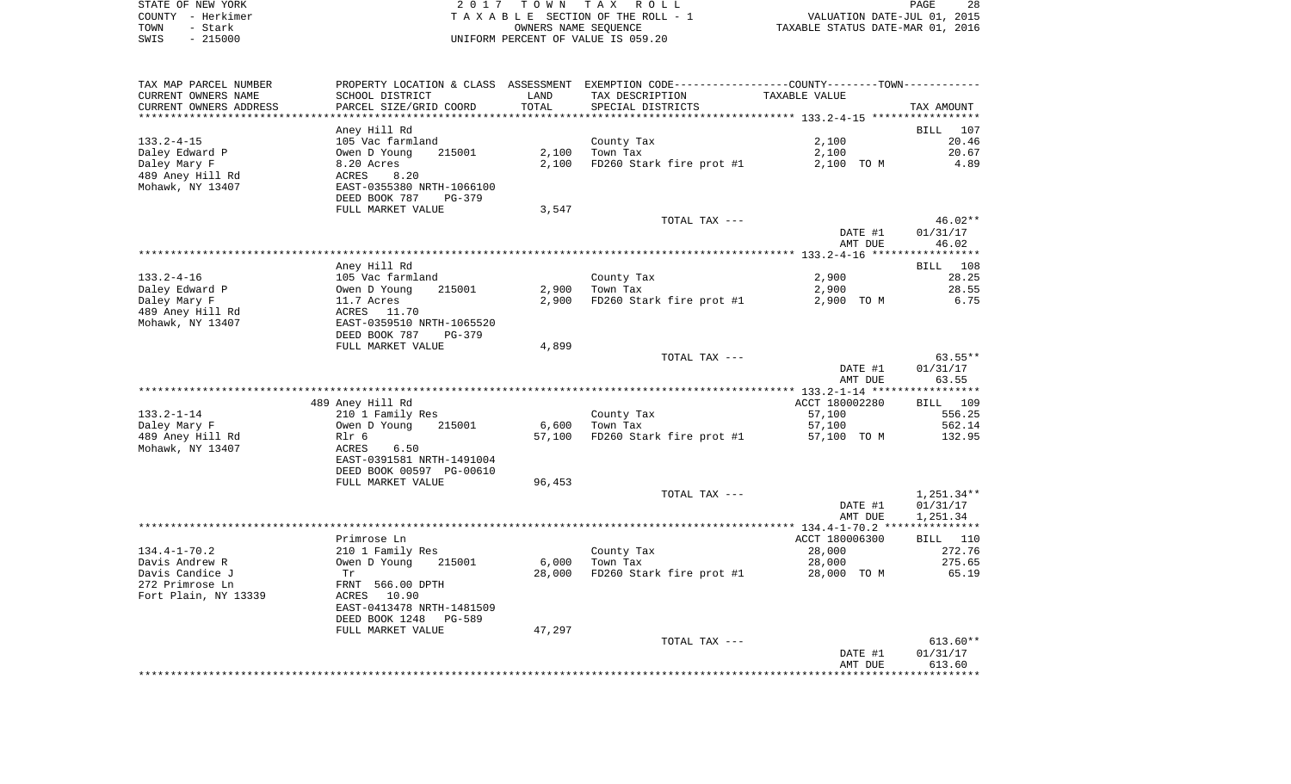|      | STATE OF NEW YORK | 2017 TOWN TAX ROLL                 | 28<br>PAGE                       |
|------|-------------------|------------------------------------|----------------------------------|
|      | COUNTY - Herkimer | TAXABLE SECTION OF THE ROLL - 1    | VALUATION DATE-JUL 01, 2015      |
| TOWN | - Stark           | OWNERS NAME SEOUENCE               | TAXABLE STATUS DATE-MAR 01, 2016 |
| SWIS | $-215000$         | UNIFORM PERCENT OF VALUE IS 059.20 |                                  |

| TAX MAP PARCEL NUMBER            | PROPERTY LOCATION & CLASS ASSESSMENT EXEMPTION CODE---------------COUNTY-------TOWN---------- |        |                          |                     |                    |
|----------------------------------|-----------------------------------------------------------------------------------------------|--------|--------------------------|---------------------|--------------------|
| CURRENT OWNERS NAME              | SCHOOL DISTRICT                                                                               | LAND   | TAX DESCRIPTION          | TAXABLE VALUE       |                    |
| CURRENT OWNERS ADDRESS           | PARCEL SIZE/GRID COORD                                                                        | TOTAL  | SPECIAL DISTRICTS        |                     | TAX AMOUNT         |
|                                  |                                                                                               |        |                          |                     |                    |
|                                  | Aney Hill Rd                                                                                  |        |                          |                     | BILL<br>107        |
| $133.2 - 4 - 15$                 | 105 Vac farmland                                                                              |        | County Tax               | 2,100               | 20.46              |
| Daley Edward P                   | Owen D Young<br>215001                                                                        | 2,100  | Town Tax                 | 2,100               | 20.67              |
| Daley Mary F                     | 8.20 Acres                                                                                    | 2,100  | FD260 Stark fire prot #1 | 2,100 TO M          | 4.89               |
| 489 Aney Hill Rd                 | ACRES<br>8.20                                                                                 |        |                          |                     |                    |
| Mohawk, NY 13407                 | EAST-0355380 NRTH-1066100                                                                     |        |                          |                     |                    |
|                                  | DEED BOOK 787<br>PG-379                                                                       |        |                          |                     |                    |
|                                  | FULL MARKET VALUE                                                                             | 3,547  |                          |                     |                    |
|                                  |                                                                                               |        | TOTAL TAX ---            |                     | 46.02**            |
|                                  |                                                                                               |        |                          | DATE #1             | 01/31/17           |
|                                  |                                                                                               |        |                          | AMT DUE             | 46.02              |
|                                  |                                                                                               |        |                          |                     |                    |
|                                  | Aney Hill Rd                                                                                  |        |                          |                     | BILL 108           |
| 133.2-4-16                       | 105 Vac farmland                                                                              |        | County Tax               | 2,900               | 28.25              |
| Daley Edward P                   | 215001<br>Owen D Young                                                                        | 2,900  | Town Tax                 | 2,900<br>2,900 TO M | 28.55<br>6.75      |
| Daley Mary F<br>489 Aney Hill Rd | 11.7 Acres<br>ACRES 11.70                                                                     | 2,900  | FD260 Stark fire prot #1 |                     |                    |
| Mohawk, NY 13407                 | EAST-0359510 NRTH-1065520                                                                     |        |                          |                     |                    |
|                                  | DEED BOOK 787<br>PG-379                                                                       |        |                          |                     |                    |
|                                  | FULL MARKET VALUE                                                                             | 4,899  |                          |                     |                    |
|                                  |                                                                                               |        | TOTAL TAX ---            |                     | 63.55**            |
|                                  |                                                                                               |        |                          | DATE #1             | 01/31/17           |
|                                  |                                                                                               |        |                          | AMT DUE             | 63.55              |
|                                  |                                                                                               |        |                          |                     |                    |
|                                  | 489 Aney Hill Rd                                                                              |        |                          | ACCT 180002280      | BILL 109           |
| 133.2-1-14                       | 210 1 Family Res                                                                              |        | County Tax               | 57,100              | 556.25             |
| Daley Mary F                     | Owen D Young<br>215001                                                                        | 6,600  | Town Tax                 | 57,100              | 562.14             |
| 489 Aney Hill Rd                 | Rlr 6                                                                                         | 57,100 | FD260 Stark fire prot #1 | 57,100 TO M         | 132.95             |
| Mohawk, NY 13407                 | 6.50<br>ACRES                                                                                 |        |                          |                     |                    |
|                                  | EAST-0391581 NRTH-1491004                                                                     |        |                          |                     |                    |
|                                  | DEED BOOK 00597 PG-00610                                                                      |        |                          |                     |                    |
|                                  | FULL MARKET VALUE                                                                             | 96,453 |                          |                     |                    |
|                                  |                                                                                               |        | TOTAL TAX ---            |                     | $1,251.34**$       |
|                                  |                                                                                               |        |                          | DATE #1             | 01/31/17           |
|                                  |                                                                                               |        |                          | AMT DUE             | 1,251.34           |
|                                  |                                                                                               |        |                          |                     |                    |
|                                  | Primrose Ln                                                                                   |        |                          | ACCT 180006300      | <b>BILL</b> 110    |
| 134.4-1-70.2                     | 210 1 Family Res                                                                              |        | County Tax               | 28,000              | 272.76             |
| Davis Andrew R                   | Owen D Young<br>215001                                                                        | 6,000  | Town Tax                 | 28,000              | 275.65             |
| Davis Candice J                  | Tr                                                                                            | 28,000 | FD260 Stark fire prot #1 | 28,000 TO M         | 65.19              |
| 272 Primrose Ln                  | FRNT 566.00 DPTH                                                                              |        |                          |                     |                    |
| Fort Plain, NY 13339             | ACRES 10.90                                                                                   |        |                          |                     |                    |
|                                  | EAST-0413478 NRTH-1481509                                                                     |        |                          |                     |                    |
|                                  | DEED BOOK 1248<br>PG-589                                                                      |        |                          |                     |                    |
|                                  | FULL MARKET VALUE                                                                             | 47,297 |                          |                     |                    |
|                                  |                                                                                               |        | TOTAL TAX ---            |                     | $613.60**$         |
|                                  |                                                                                               |        |                          |                     |                    |
|                                  |                                                                                               |        |                          |                     |                    |
|                                  |                                                                                               |        |                          | DATE #1<br>AMT DUE  | 01/31/17<br>613.60 |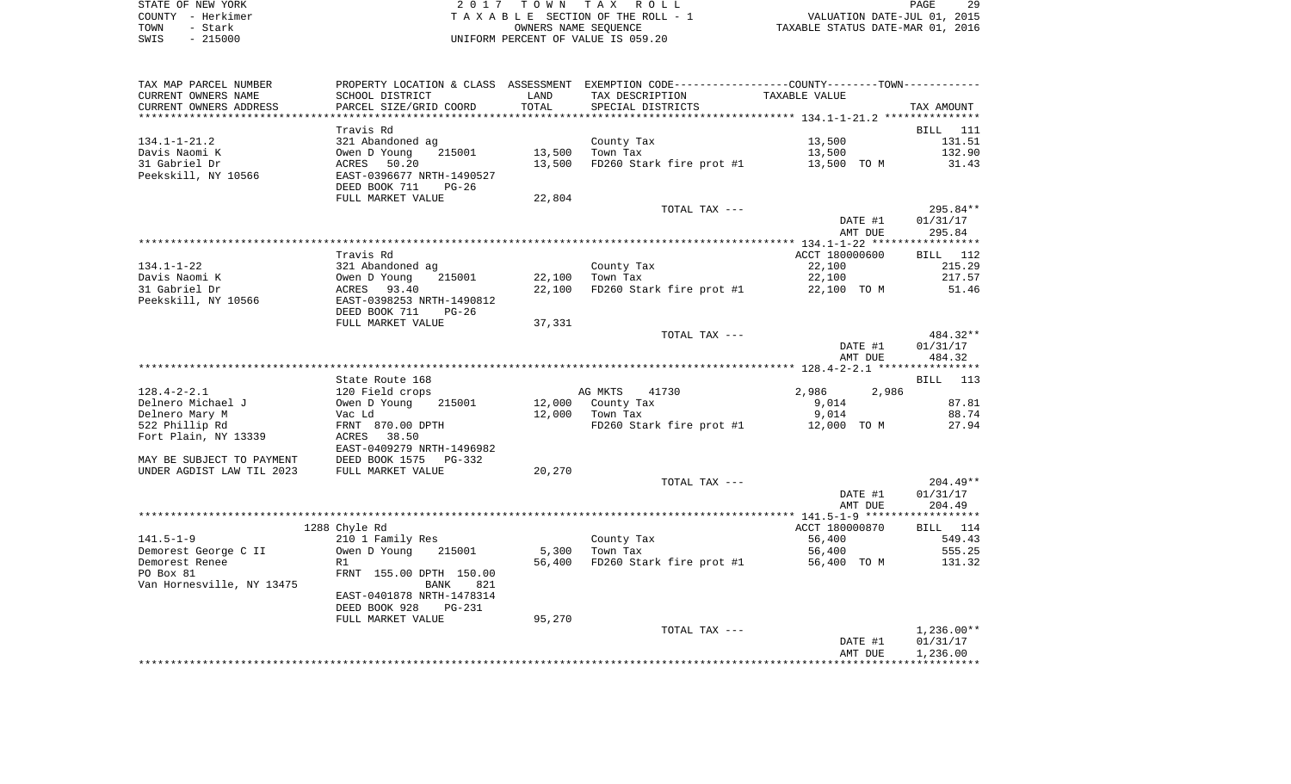| STATE OF NEW YORK | 2017 TOWN TAX ROLL                 | 29<br>PAGE                       |
|-------------------|------------------------------------|----------------------------------|
| COUNTY - Herkimer | TAXABLE SECTION OF THE ROLL - 1    | VALUATION DATE-JUL 01, 2015      |
| TOWN<br>- Stark   | OWNERS NAME SEOUENCE               | TAXABLE STATUS DATE-MAR 01, 2016 |
| $-215000$<br>SWIS | UNIFORM PERCENT OF VALUE IS 059.20 |                                  |

| TAX MAP PARCEL NUMBER<br>CURRENT OWNERS NAME<br>CURRENT OWNERS ADDRESS | PROPERTY LOCATION & CLASS ASSESSMENT EXEMPTION CODE----------------COUNTY-------TOWN----------<br>SCHOOL DISTRICT<br>PARCEL SIZE/GRID COORD | LAND<br>TOTAL | TAX DESCRIPTION                          | TAXABLE VALUE      |                        |
|------------------------------------------------------------------------|---------------------------------------------------------------------------------------------------------------------------------------------|---------------|------------------------------------------|--------------------|------------------------|
|                                                                        |                                                                                                                                             |               | SPECIAL DISTRICTS                        |                    | TAX AMOUNT             |
| $134.1 - 1 - 21.2$                                                     | Travis Rd                                                                                                                                   |               | County Tax                               | 13,500             | BILL 111<br>131.51     |
| Davis Naomi K                                                          |                                                                                                                                             | 13,500        | Town Tax                                 | 13,500             | 132.90                 |
| 31 Gabriel Dr                                                          |                                                                                                                                             | 13,500        | FD260 Stark fire prot #1 13,500 TO M     |                    | 31.43                  |
| Peekskill, NY 10566                                                    | 321 Abandoned ag<br>Owen D Young 215001<br>ACRES 50.20<br>EAST-0396677 NRTH-1490527<br>DEED BOOK 711<br>$PG-26$                             |               |                                          |                    |                        |
|                                                                        | FULL MARKET VALUE                                                                                                                           | 22,804        | TOTAL TAX ---                            |                    | 295.84**               |
|                                                                        |                                                                                                                                             |               |                                          | DATE #1<br>AMT DUE | 01/31/17<br>295.84     |
|                                                                        |                                                                                                                                             |               |                                          |                    |                        |
|                                                                        | Travis Rd                                                                                                                                   |               |                                          | ACCT 180000600     | BILL 112               |
| 134.1-1-22                                                             | 321 Abandoned ag<br>321 Abandoned<br>Owen D Young<br>ACRES    93.40                                                                         |               | County Tax                               | 22,100             | 215.29                 |
| Davis Naomi K                                                          | 215001                                                                                                                                      | 22,100        | Town Tax                                 | 22,100             | 217.57                 |
| 31 Gabriel Dr<br>Peekskill, NY 10566                                   | EAST-0398253 NRTH-1490812<br>DEED BOOK 711<br>PG-26                                                                                         | 22,100        | FD260 Stark fire prot #1                 | 22,100 TO M        | 51.46                  |
|                                                                        | FULL MARKET VALUE                                                                                                                           | 37,331        |                                          |                    |                        |
|                                                                        |                                                                                                                                             |               | TOTAL TAX ---                            |                    | 484.32**               |
|                                                                        |                                                                                                                                             |               |                                          | DATE #1            | 01/31/17               |
|                                                                        |                                                                                                                                             |               |                                          | AMT DUE            | 484.32                 |
|                                                                        |                                                                                                                                             |               |                                          |                    |                        |
| $128.4 - 2 - 2.1$                                                      | State Route 168                                                                                                                             |               | AG MKTS<br>41730                         | 2,986<br>2,986     | BILL 113               |
| Delnero Michael J                                                      | 120 Field crops<br>Owen D Young<br>Vac Ld<br>215001                                                                                         |               | 12,000 County Tax                        | 9,014              | 87.81                  |
| Delnero Mary M                                                         |                                                                                                                                             |               | 12,000 Town Tax                          | 9,014              | 88.74                  |
| 522 Phillip Rd                                                         | FRNT 870.00 DPTH                                                                                                                            |               | $FD260$ Stark fire prot #1 $12,000$ TO M |                    | 27.94                  |
| Fort Plain, NY 13339                                                   | <b>ACRES</b><br>38.50<br>EAST-0409279 NRTH-1496982                                                                                          |               |                                          |                    |                        |
| MAY BE SUBJECT TO PAYMENT                                              | PG-332                                                                                                                                      |               |                                          |                    |                        |
| UNDER AGDIST LAW TIL 2023                                              | DEED BOOK 1575 I<br>FULL MARKET VALUE                                                                                                       | 20,270        |                                          |                    |                        |
|                                                                        |                                                                                                                                             |               | TOTAL TAX ---                            | DATE #1            | $204.49**$<br>01/31/17 |
|                                                                        |                                                                                                                                             |               |                                          | AMT DUE            | 204.49                 |
|                                                                        |                                                                                                                                             |               |                                          |                    |                        |
|                                                                        | 1288 Chyle Rd                                                                                                                               |               |                                          | ACCT 180000870     | BILL 114               |
| $141.5 - 1 - 9$                                                        | 210 1 Family Res                                                                                                                            |               | County Tax                               | 56,400             | 549.43                 |
| Demorest George C II                                                   | Owen D Young<br>215001                                                                                                                      | 5,300         | Town Tax                                 | 56,400             | 555.25                 |
| Demorest Renee                                                         | R1                                                                                                                                          | 56,400        | FD260 Stark fire prot #1                 | 56,400 TO M        | 131.32                 |
| PO Box 81                                                              | FRNT 155.00 DPTH 150.00                                                                                                                     |               |                                          |                    |                        |
| Van Hornesville, NY 13475                                              | BANK<br>821<br>EAST-0401878 NRTH-1478314                                                                                                    |               |                                          |                    |                        |
|                                                                        | DEED BOOK 928<br><b>PG-231</b>                                                                                                              |               |                                          |                    |                        |
|                                                                        | FULL MARKET VALUE                                                                                                                           | 95,270        |                                          |                    |                        |
|                                                                        |                                                                                                                                             |               | TOTAL TAX ---                            |                    | $1,236.00**$           |
|                                                                        |                                                                                                                                             |               |                                          | DATE #1            | 01/31/17               |
|                                                                        |                                                                                                                                             |               |                                          | AMT DUE            | 1,236.00               |
|                                                                        |                                                                                                                                             |               |                                          |                    |                        |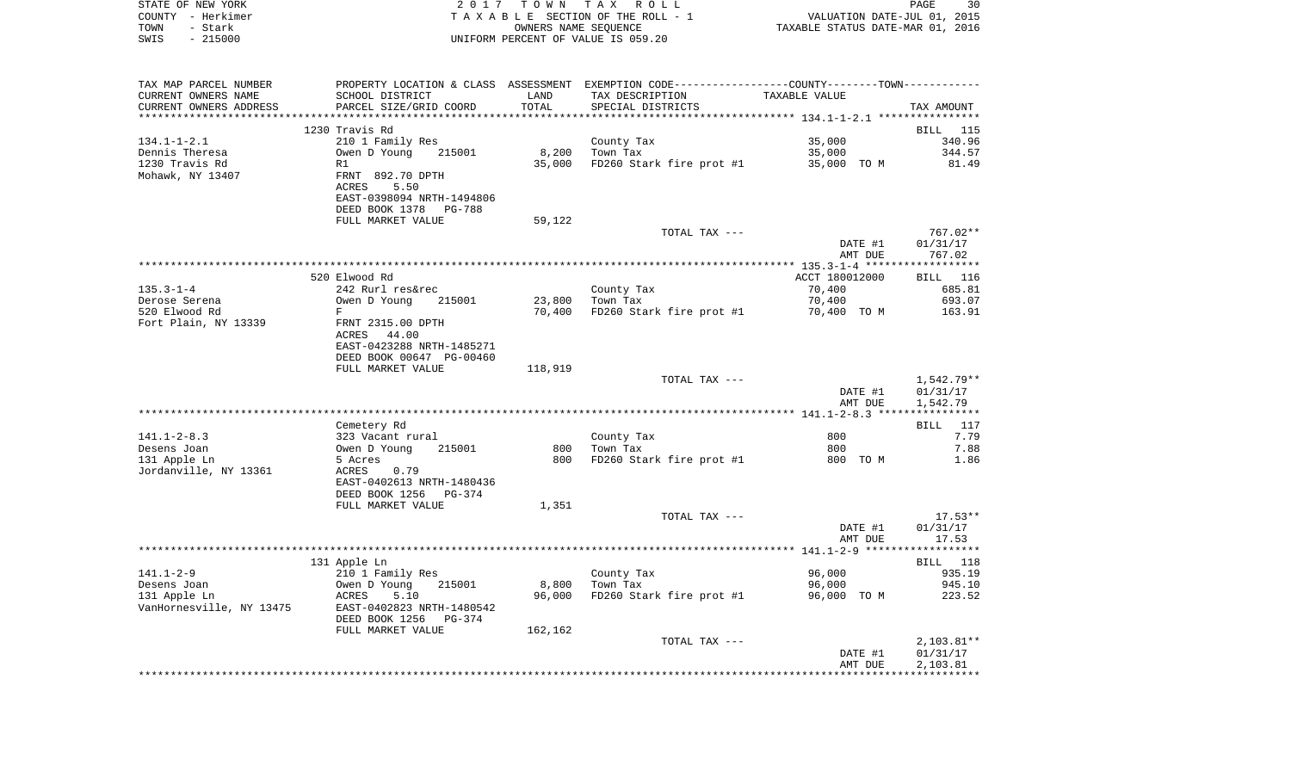| STATE OF NEW YORK      | 2017                      | T O W N    | ROLL<br>T A X                                             |               | 30<br>PAGE                       |
|------------------------|---------------------------|------------|-----------------------------------------------------------|---------------|----------------------------------|
| - Herkimer<br>COUNTY   | TAXABLE                   |            | SECTION OF THE ROLL - 1                                   |               | VALUATION DATE-JUL 01, 2015      |
| - Stark<br>TOWN        |                           |            | OWNERS NAME SEOUENCE                                      |               | TAXABLE STATUS DATE-MAR 01, 2016 |
| SWIS<br>$-215000$      |                           |            | UNIFORM PERCENT OF VALUE IS 059.20                        |               |                                  |
|                        |                           |            |                                                           |               |                                  |
|                        |                           |            |                                                           |               |                                  |
|                        |                           |            |                                                           |               |                                  |
| TAX MAP PARCEL NUMBER  | PROPERTY LOCATION & CLASS | ASSESSMENT | EXEMPTION CODE----------------COUNTY-------TOWN---------- |               |                                  |
| CURRENT OWNERS NAME    | SCHOOL DISTRICT           | LAND       | TAX DESCRIPTION                                           | TAXABLE VALUE |                                  |
| CURRENT OWNERS ADDRESS | PARCEL SIZE/GRID COORD    | TOTAL      | SPECIAL DISTRICTS                                         |               | TAX AMOUNT                       |
|                        |                           |            |                                                           |               |                                  |
|                        | 1230 Travis Rd            |            |                                                           |               | BILL 115                         |
| $134.1 - 1 - 2.1$      | 210 1 Family Res          |            | County Tax                                                | 35,000        | 340.96                           |
| Dennis Theresa         | Owen D Young 215001       | 8,200      | Town Tax                                                  | 35,000        | 344.57                           |
| 1230 Travis Rd         | R1                        | 35,000     | FD260 Stark fire prot #1                                  | 35,000        | 81.49<br>TO M                    |
| Mohawk, NY 13407       | FRNT 892.70 DPTH          |            |                                                           |               |                                  |
|                        | 5.50<br>ACRES             |            |                                                           |               |                                  |
|                        | EAST-0398094 NRTH-1494806 |            |                                                           |               |                                  |
|                        | DEED BOOK 1378<br>PG-788  |            |                                                           |               |                                  |
|                        |                           |            |                                                           |               |                                  |

|                          | FULL MARKET VALUE          | 59,122  |                          |                                               |                    |
|--------------------------|----------------------------|---------|--------------------------|-----------------------------------------------|--------------------|
|                          |                            |         | TOTAL TAX ---            |                                               | $767.02**$         |
|                          |                            |         |                          | DATE #1                                       | 01/31/17           |
|                          |                            |         |                          | AMT DUE                                       | 767.02             |
|                          |                            |         |                          | *************** 135.3-1-4 ******************* |                    |
|                          | 520 Elwood Rd              |         |                          | ACCT 180012000                                | <b>BILL</b> 116    |
|                          |                            |         |                          |                                               |                    |
| $135.3 - 1 - 4$          | 242 Rurl res&rec           |         | County Tax               | 70,400                                        | 685.81             |
| Derose Serena            | Owen D Young<br>215001     | 23,800  | Town Tax                 | 70,400                                        | 693.07             |
| 520 Elwood Rd            | F                          | 70,400  | FD260 Stark fire prot #1 | 70,400 TO M                                   | 163.91             |
| Fort Plain, NY 13339     | FRNT 2315.00 DPTH          |         |                          |                                               |                    |
|                          | ACRES<br>44.00             |         |                          |                                               |                    |
|                          | EAST-0423288 NRTH-1485271  |         |                          |                                               |                    |
|                          | DEED BOOK 00647 PG-00460   |         |                          |                                               |                    |
|                          | FULL MARKET VALUE          | 118,919 |                          |                                               |                    |
|                          |                            |         | TOTAL TAX ---            |                                               | 1,542.79**         |
|                          |                            |         |                          | DATE #1                                       | 01/31/17           |
|                          |                            |         |                          | AMT DUE                                       | 1,542.79           |
|                          |                            |         |                          |                                               |                    |
|                          | Cemetery Rd                |         |                          |                                               | <b>BILL</b><br>117 |
| $141.1 - 2 - 8.3$        | 323 Vacant rural           |         |                          | 800                                           | 7.79               |
|                          |                            |         | County Tax               |                                               |                    |
| Desens Joan              | Owen D Young<br>215001     | 800     | Town Tax                 | 800                                           | 7.88               |
| 131 Apple Ln             | 5 Acres                    | 800     | FD260 Stark fire prot #1 | 800 TO M                                      | 1.86               |
| Jordanville, NY 13361    | <b>ACRES</b><br>0.79       |         |                          |                                               |                    |
|                          | EAST-0402613 NRTH-1480436  |         |                          |                                               |                    |
|                          | DEED BOOK 1256<br>PG-374   |         |                          |                                               |                    |
|                          | FULL MARKET VALUE          | 1,351   |                          |                                               |                    |
|                          |                            |         | TOTAL TAX ---            |                                               | $17.53**$          |
|                          |                            |         |                          | DATE #1                                       | 01/31/17           |
|                          |                            |         |                          | AMT DUE                                       | 17.53              |
|                          |                            |         |                          |                                               |                    |
|                          | 131 Apple Ln               |         |                          |                                               | BILL<br>118        |
| $141.1 - 2 - 9$          | 210 1 Family Res           |         | County Tax               | 96,000                                        | 935.19             |
| Desens Joan              | 215001                     |         | Town Tax                 |                                               | 945.10             |
|                          | Owen D Young               | 8,800   |                          | 96,000                                        |                    |
| 131 Apple Ln             | 5.10<br>ACRES              | 96,000  | FD260 Stark fire prot #1 | 96,000 TO M                                   | 223.52             |
| VanHornesville, NY 13475 | EAST-0402823 NRTH-1480542  |         |                          |                                               |                    |
|                          | DEED BOOK 1256<br>$PG-374$ |         |                          |                                               |                    |
|                          | FULL MARKET VALUE          | 162,162 |                          |                                               |                    |
|                          |                            |         | TOTAL TAX ---            |                                               | $2,103.81**$       |
|                          |                            |         |                          | DATE #1                                       | 01/31/17           |
|                          |                            |         |                          | AMT DUE                                       | 2,103.81           |
|                          |                            |         |                          |                                               |                    |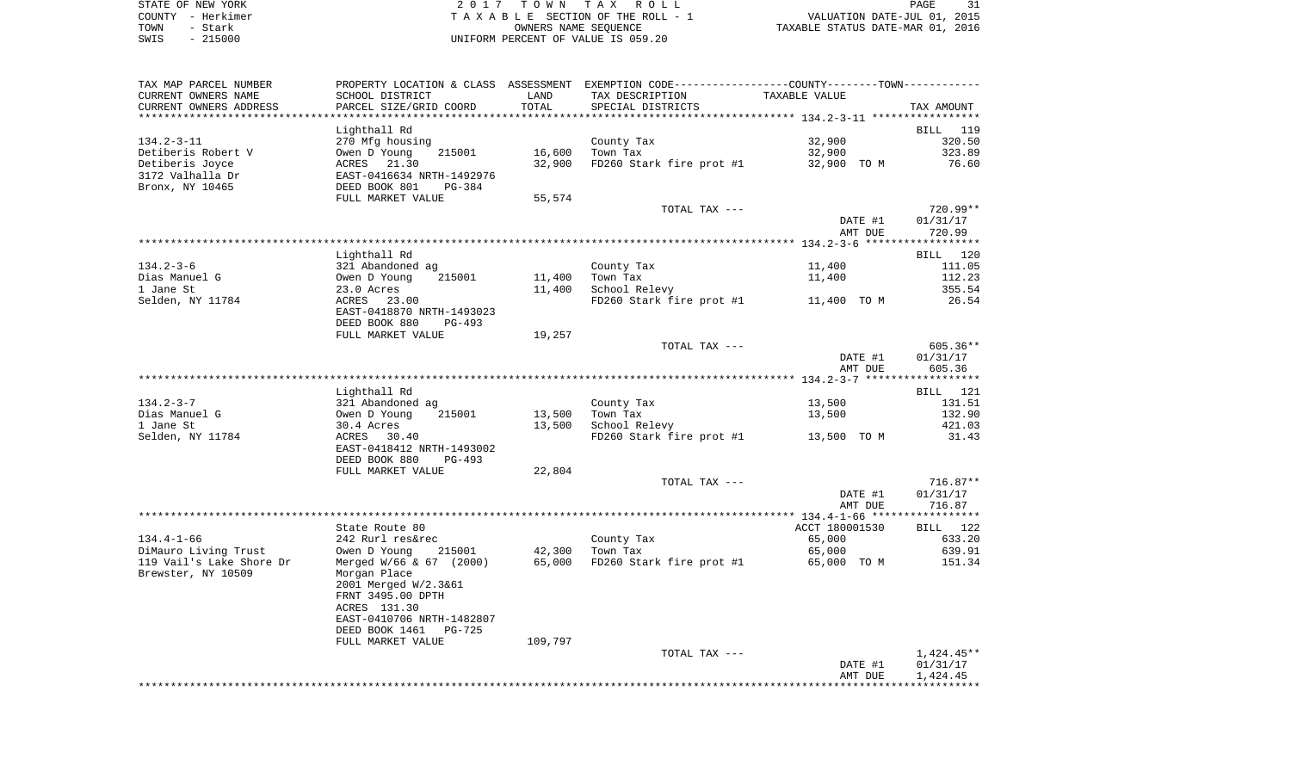| STATE OF NEW YORK | 2017 TOWN TAX ROLL                 | PAGE                             |
|-------------------|------------------------------------|----------------------------------|
| COUNTY - Herkimer | TAXABLE SECTION OF THE ROLL - 1    | VALUATION DATE-JUL 01, 2015      |
| TOWN<br>- Stark   | OWNERS NAME SEOUENCE               | TAXABLE STATUS DATE-MAR 01, 2016 |
| $-215000$<br>SWIS | UNIFORM PERCENT OF VALUE IS 059.20 |                                  |

| PARCEL SIZE/GRID COORD<br>TOTAL<br>CURRENT OWNERS ADDRESS<br>SPECIAL DISTRICTS<br>Lighthall Rd<br>BILL 119<br>32,900<br>134.2-3-11<br>270 Mfg housing<br>County Tax<br>Owen D Young<br>Detiberis Robert V<br>215001<br>16,600<br>Town Tax<br>32,900<br>32,900<br>32,900 TO M<br>Detiberis Joyce<br>ACRES 21.30<br>FD260 Stark fire prot #1<br>3172 Valhalla Dr<br>EAST-0416634 NRTH-1492976<br>DEED BOOK 801 PG-384<br>Bronx, NY 10465<br>FULL MARKET VALUE<br>55,574<br>TOTAL TAX ---<br>DATE #1<br>AMT DUE<br>Lighthall Rd<br>$134.2 - 3 - 6$<br>321 Abandoned ag<br>County Tax<br>11,400<br>Owen D Young<br>Dias Manuel G<br>215001<br>11,400<br>Town Tax<br>11,400<br>23.0 Acres<br>1 Jane St<br>11,400<br>School Relevy<br>355.54<br>Selden, NY 11784<br>ACRES 23.00<br>FD260 Stark fire prot #1 11,400 TO M<br>EAST-0418870 NRTH-1493023<br>DEED BOOK 880 PG-493<br>FULL MARKET VALUE<br>19,257<br>TOTAL TAX ---<br>DATE #1<br>AMT DUE<br>Lighthall Rd<br>BILL 121<br>134.2-3-7<br>321 Abandoned ag<br>County Tax<br>13,500<br>131.51<br>Owen D Young<br>Dias Manuel G<br>215001<br>Town Tax<br>13,500<br>13,500<br>1 Jane St<br>13,500<br>School Relevy<br>30.4 Acres<br>ACRES 30.40<br>Selden, NY 11784<br>FD260 Stark fire prot #1 13,500 TO M<br>EAST-0418412 NRTH-1493002<br>DEED BOOK 880<br>PG-493<br>FULL MARKET VALUE<br>22,804<br>TOTAL TAX ---<br>01/31/17<br>DATE #1 | TAXABLE VALUE             | PROPERTY LOCATION & CLASS ASSESSMENT EXEMPTION CODE----------------COUNTY--------TOWN----------<br>TAX DESCRIPTION | LAND | SCHOOL DISTRICT | TAX MAP PARCEL NUMBER<br>CURRENT OWNERS NAME |
|----------------------------------------------------------------------------------------------------------------------------------------------------------------------------------------------------------------------------------------------------------------------------------------------------------------------------------------------------------------------------------------------------------------------------------------------------------------------------------------------------------------------------------------------------------------------------------------------------------------------------------------------------------------------------------------------------------------------------------------------------------------------------------------------------------------------------------------------------------------------------------------------------------------------------------------------------------------------------------------------------------------------------------------------------------------------------------------------------------------------------------------------------------------------------------------------------------------------------------------------------------------------------------------------------------------------------------------------------------------------------------------|---------------------------|--------------------------------------------------------------------------------------------------------------------|------|-----------------|----------------------------------------------|
|                                                                                                                                                                                                                                                                                                                                                                                                                                                                                                                                                                                                                                                                                                                                                                                                                                                                                                                                                                                                                                                                                                                                                                                                                                                                                                                                                                                        | TAX AMOUNT                |                                                                                                                    |      |                 |                                              |
|                                                                                                                                                                                                                                                                                                                                                                                                                                                                                                                                                                                                                                                                                                                                                                                                                                                                                                                                                                                                                                                                                                                                                                                                                                                                                                                                                                                        |                           |                                                                                                                    |      |                 |                                              |
|                                                                                                                                                                                                                                                                                                                                                                                                                                                                                                                                                                                                                                                                                                                                                                                                                                                                                                                                                                                                                                                                                                                                                                                                                                                                                                                                                                                        | 320.50<br>323.89<br>76.60 |                                                                                                                    |      |                 |                                              |
|                                                                                                                                                                                                                                                                                                                                                                                                                                                                                                                                                                                                                                                                                                                                                                                                                                                                                                                                                                                                                                                                                                                                                                                                                                                                                                                                                                                        |                           |                                                                                                                    |      |                 |                                              |
|                                                                                                                                                                                                                                                                                                                                                                                                                                                                                                                                                                                                                                                                                                                                                                                                                                                                                                                                                                                                                                                                                                                                                                                                                                                                                                                                                                                        | 720.99**                  |                                                                                                                    |      |                 |                                              |
|                                                                                                                                                                                                                                                                                                                                                                                                                                                                                                                                                                                                                                                                                                                                                                                                                                                                                                                                                                                                                                                                                                                                                                                                                                                                                                                                                                                        | 01/31/17                  |                                                                                                                    |      |                 |                                              |
|                                                                                                                                                                                                                                                                                                                                                                                                                                                                                                                                                                                                                                                                                                                                                                                                                                                                                                                                                                                                                                                                                                                                                                                                                                                                                                                                                                                        | 720.99                    |                                                                                                                    |      |                 |                                              |
|                                                                                                                                                                                                                                                                                                                                                                                                                                                                                                                                                                                                                                                                                                                                                                                                                                                                                                                                                                                                                                                                                                                                                                                                                                                                                                                                                                                        |                           |                                                                                                                    |      |                 |                                              |
|                                                                                                                                                                                                                                                                                                                                                                                                                                                                                                                                                                                                                                                                                                                                                                                                                                                                                                                                                                                                                                                                                                                                                                                                                                                                                                                                                                                        | BILL 120                  |                                                                                                                    |      |                 |                                              |
|                                                                                                                                                                                                                                                                                                                                                                                                                                                                                                                                                                                                                                                                                                                                                                                                                                                                                                                                                                                                                                                                                                                                                                                                                                                                                                                                                                                        | 111.05                    |                                                                                                                    |      |                 |                                              |
|                                                                                                                                                                                                                                                                                                                                                                                                                                                                                                                                                                                                                                                                                                                                                                                                                                                                                                                                                                                                                                                                                                                                                                                                                                                                                                                                                                                        | 112.23                    |                                                                                                                    |      |                 |                                              |
|                                                                                                                                                                                                                                                                                                                                                                                                                                                                                                                                                                                                                                                                                                                                                                                                                                                                                                                                                                                                                                                                                                                                                                                                                                                                                                                                                                                        | 26.54                     |                                                                                                                    |      |                 |                                              |
|                                                                                                                                                                                                                                                                                                                                                                                                                                                                                                                                                                                                                                                                                                                                                                                                                                                                                                                                                                                                                                                                                                                                                                                                                                                                                                                                                                                        |                           |                                                                                                                    |      |                 |                                              |
|                                                                                                                                                                                                                                                                                                                                                                                                                                                                                                                                                                                                                                                                                                                                                                                                                                                                                                                                                                                                                                                                                                                                                                                                                                                                                                                                                                                        |                           |                                                                                                                    |      |                 |                                              |
|                                                                                                                                                                                                                                                                                                                                                                                                                                                                                                                                                                                                                                                                                                                                                                                                                                                                                                                                                                                                                                                                                                                                                                                                                                                                                                                                                                                        | 605.36**                  |                                                                                                                    |      |                 |                                              |
|                                                                                                                                                                                                                                                                                                                                                                                                                                                                                                                                                                                                                                                                                                                                                                                                                                                                                                                                                                                                                                                                                                                                                                                                                                                                                                                                                                                        | 01/31/17                  |                                                                                                                    |      |                 |                                              |
|                                                                                                                                                                                                                                                                                                                                                                                                                                                                                                                                                                                                                                                                                                                                                                                                                                                                                                                                                                                                                                                                                                                                                                                                                                                                                                                                                                                        | 605.36                    |                                                                                                                    |      |                 |                                              |
|                                                                                                                                                                                                                                                                                                                                                                                                                                                                                                                                                                                                                                                                                                                                                                                                                                                                                                                                                                                                                                                                                                                                                                                                                                                                                                                                                                                        |                           |                                                                                                                    |      |                 |                                              |
|                                                                                                                                                                                                                                                                                                                                                                                                                                                                                                                                                                                                                                                                                                                                                                                                                                                                                                                                                                                                                                                                                                                                                                                                                                                                                                                                                                                        |                           |                                                                                                                    |      |                 |                                              |
|                                                                                                                                                                                                                                                                                                                                                                                                                                                                                                                                                                                                                                                                                                                                                                                                                                                                                                                                                                                                                                                                                                                                                                                                                                                                                                                                                                                        | 132.90                    |                                                                                                                    |      |                 |                                              |
|                                                                                                                                                                                                                                                                                                                                                                                                                                                                                                                                                                                                                                                                                                                                                                                                                                                                                                                                                                                                                                                                                                                                                                                                                                                                                                                                                                                        | 421.03                    |                                                                                                                    |      |                 |                                              |
|                                                                                                                                                                                                                                                                                                                                                                                                                                                                                                                                                                                                                                                                                                                                                                                                                                                                                                                                                                                                                                                                                                                                                                                                                                                                                                                                                                                        | 31.43                     |                                                                                                                    |      |                 |                                              |
|                                                                                                                                                                                                                                                                                                                                                                                                                                                                                                                                                                                                                                                                                                                                                                                                                                                                                                                                                                                                                                                                                                                                                                                                                                                                                                                                                                                        |                           |                                                                                                                    |      |                 |                                              |
|                                                                                                                                                                                                                                                                                                                                                                                                                                                                                                                                                                                                                                                                                                                                                                                                                                                                                                                                                                                                                                                                                                                                                                                                                                                                                                                                                                                        |                           |                                                                                                                    |      |                 |                                              |
|                                                                                                                                                                                                                                                                                                                                                                                                                                                                                                                                                                                                                                                                                                                                                                                                                                                                                                                                                                                                                                                                                                                                                                                                                                                                                                                                                                                        | $716.87**$                |                                                                                                                    |      |                 |                                              |
|                                                                                                                                                                                                                                                                                                                                                                                                                                                                                                                                                                                                                                                                                                                                                                                                                                                                                                                                                                                                                                                                                                                                                                                                                                                                                                                                                                                        |                           |                                                                                                                    |      |                 |                                              |
| AMT DUE                                                                                                                                                                                                                                                                                                                                                                                                                                                                                                                                                                                                                                                                                                                                                                                                                                                                                                                                                                                                                                                                                                                                                                                                                                                                                                                                                                                | 716.87                    |                                                                                                                    |      |                 |                                              |
| State Route 80<br>ACCT 180001530                                                                                                                                                                                                                                                                                                                                                                                                                                                                                                                                                                                                                                                                                                                                                                                                                                                                                                                                                                                                                                                                                                                                                                                                                                                                                                                                                       | BILL 122                  |                                                                                                                    |      |                 |                                              |
| 134.4-1-66<br>242 Rurl res&rec<br>County Tax<br>65,000                                                                                                                                                                                                                                                                                                                                                                                                                                                                                                                                                                                                                                                                                                                                                                                                                                                                                                                                                                                                                                                                                                                                                                                                                                                                                                                                 | 633.20                    |                                                                                                                    |      |                 |                                              |
| Owen D Young 215001<br>42,300<br>DiMauro Living Trust<br>Town Tax<br>65,000                                                                                                                                                                                                                                                                                                                                                                                                                                                                                                                                                                                                                                                                                                                                                                                                                                                                                                                                                                                                                                                                                                                                                                                                                                                                                                            | 639.91                    |                                                                                                                    |      |                 |                                              |
| 119 Vail's Lake Shore Dr<br>65,000<br>Merged W/66 & 67 (2000)<br>FD260 Stark fire prot #1<br>65,000 TO M                                                                                                                                                                                                                                                                                                                                                                                                                                                                                                                                                                                                                                                                                                                                                                                                                                                                                                                                                                                                                                                                                                                                                                                                                                                                               | 151.34                    |                                                                                                                    |      |                 |                                              |
| Brewster, NY 10509<br>Morgan Place<br>2001 Merged W/2.3&61                                                                                                                                                                                                                                                                                                                                                                                                                                                                                                                                                                                                                                                                                                                                                                                                                                                                                                                                                                                                                                                                                                                                                                                                                                                                                                                             |                           |                                                                                                                    |      |                 |                                              |
| FRNT 3495.00 DPTH                                                                                                                                                                                                                                                                                                                                                                                                                                                                                                                                                                                                                                                                                                                                                                                                                                                                                                                                                                                                                                                                                                                                                                                                                                                                                                                                                                      |                           |                                                                                                                    |      |                 |                                              |
| ACRES 131.30<br>EAST-0410706 NRTH-1482807                                                                                                                                                                                                                                                                                                                                                                                                                                                                                                                                                                                                                                                                                                                                                                                                                                                                                                                                                                                                                                                                                                                                                                                                                                                                                                                                              |                           |                                                                                                                    |      |                 |                                              |
| DEED BOOK 1461 PG-725                                                                                                                                                                                                                                                                                                                                                                                                                                                                                                                                                                                                                                                                                                                                                                                                                                                                                                                                                                                                                                                                                                                                                                                                                                                                                                                                                                  |                           |                                                                                                                    |      |                 |                                              |
| FULL MARKET VALUE<br>109,797                                                                                                                                                                                                                                                                                                                                                                                                                                                                                                                                                                                                                                                                                                                                                                                                                                                                                                                                                                                                                                                                                                                                                                                                                                                                                                                                                           |                           |                                                                                                                    |      |                 |                                              |
| TOTAL TAX ---                                                                                                                                                                                                                                                                                                                                                                                                                                                                                                                                                                                                                                                                                                                                                                                                                                                                                                                                                                                                                                                                                                                                                                                                                                                                                                                                                                          | 1,424.45**                |                                                                                                                    |      |                 |                                              |
| DATE #1                                                                                                                                                                                                                                                                                                                                                                                                                                                                                                                                                                                                                                                                                                                                                                                                                                                                                                                                                                                                                                                                                                                                                                                                                                                                                                                                                                                | 01/31/17                  |                                                                                                                    |      |                 |                                              |
|                                                                                                                                                                                                                                                                                                                                                                                                                                                                                                                                                                                                                                                                                                                                                                                                                                                                                                                                                                                                                                                                                                                                                                                                                                                                                                                                                                                        | 1,424.45<br>AMT DUE       |                                                                                                                    |      |                 |                                              |
|                                                                                                                                                                                                                                                                                                                                                                                                                                                                                                                                                                                                                                                                                                                                                                                                                                                                                                                                                                                                                                                                                                                                                                                                                                                                                                                                                                                        |                           |                                                                                                                    |      |                 |                                              |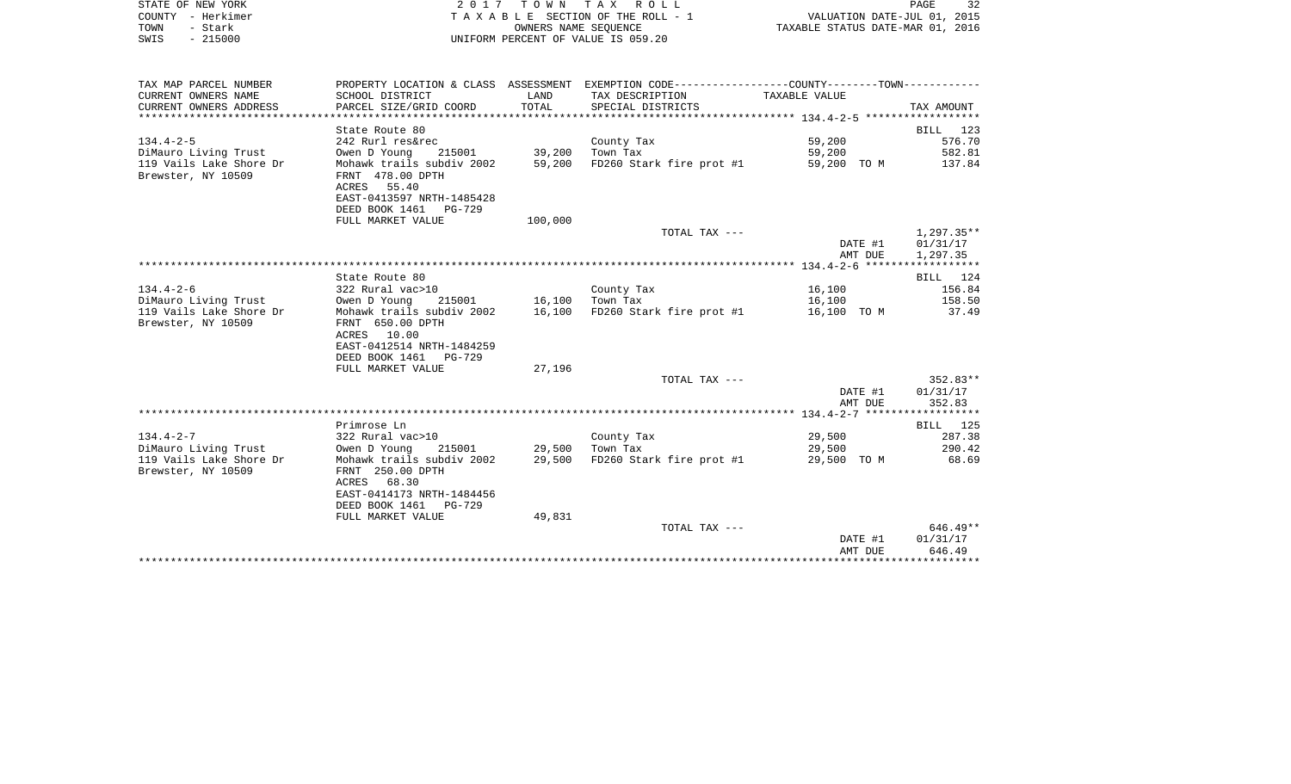|      | STATE OF NEW YORK | 2017 TOWN TAX ROLL                 | 32<br>PAGE                       |
|------|-------------------|------------------------------------|----------------------------------|
|      | COUNTY - Herkimer | TAXABLE SECTION OF THE ROLL - 1    | VALUATION DATE-JUL 01, 2015      |
| TOWN | - Stark           | OWNERS NAME SEOUENCE               | TAXABLE STATUS DATE-MAR 01, 2016 |
| SWIS | $-215000$         | UNIFORM PERCENT OF VALUE IS 059.20 |                                  |

| TAX MAP PARCEL NUMBER   |                                     |               | PROPERTY LOCATION & CLASS ASSESSMENT EXEMPTION CODE---------------COUNTY-------TOWN--------- |             |            |
|-------------------------|-------------------------------------|---------------|----------------------------------------------------------------------------------------------|-------------|------------|
| CURRENT OWNERS NAME     | SCHOOL DISTRICT                     | LAND          | TAX DESCRIPTION TAXABLE VALUE                                                                |             |            |
| CURRENT OWNERS ADDRESS  | PARCEL SIZE/GRID COORD              | TOTAL         | SPECIAL DISTRICTS                                                                            |             | TAX AMOUNT |
|                         |                                     |               |                                                                                              |             |            |
|                         | State Route 80                      |               |                                                                                              |             | BILL 123   |
| $134.4 - 2 - 5$         | 242 Rurl res&rec                    |               | County Tax                                                                                   | 59,200      | 576.70     |
| DiMauro Living Trust    | Owen D Young                        | 215001 39,200 | Town Tax                                                                                     | 59,200      | 582.81     |
| 119 Vails Lake Shore Dr | Mohawk trails subdiv 2002           | 59,200        | FD260 Stark fire prot #1                                                                     | 59,200 TO M | 137.84     |
| Brewster, NY 10509      | FRNT 478.00 DPTH                    |               |                                                                                              |             |            |
|                         | ACRES 55.40                         |               |                                                                                              |             |            |
|                         | EAST-0413597 NRTH-1485428           |               |                                                                                              |             |            |
|                         | DEED BOOK 1461 PG-729               |               |                                                                                              |             |            |
|                         | FULL MARKET VALUE                   | 100,000       |                                                                                              |             |            |
|                         |                                     |               | TOTAL TAX ---                                                                                |             | 1,297.35** |
|                         |                                     |               |                                                                                              | DATE #1     | 01/31/17   |
|                         |                                     |               |                                                                                              | AMT DUE     | 1,297.35   |
|                         |                                     |               |                                                                                              |             |            |
|                         | State Route 80                      |               |                                                                                              |             | BILL 124   |
| $134.4 - 2 - 6$         | 322 Rural vac>10                    |               | County Tax                                                                                   | 16,100      | 156.84     |
| DiMauro Living Trust    | Owen D Young 215001 16,100 Town Tax |               |                                                                                              | 16,100      | 158.50     |
| 119 Vails Lake Shore Dr | Mohawk trails subdiv 2002           |               | 16,100 FD260 Stark fire prot #1                                                              | 16,100 TO M | 37.49      |
| Brewster, NY 10509      | FRNT 650.00 DPTH                    |               |                                                                                              |             |            |
|                         | ACRES 10.00                         |               |                                                                                              |             |            |
|                         | EAST-0412514 NRTH-1484259           |               |                                                                                              |             |            |
|                         | DEED BOOK 1461 PG-729               |               |                                                                                              |             |            |
|                         | FULL MARKET VALUE                   | 27,196        |                                                                                              |             |            |
|                         |                                     |               | TOTAL TAX ---                                                                                |             | $352.83**$ |
|                         |                                     |               |                                                                                              | DATE #1     | 01/31/17   |
|                         |                                     |               |                                                                                              | AMT DUE     | 352.83     |
|                         |                                     |               |                                                                                              |             |            |
|                         | Primrose Ln                         |               |                                                                                              |             | BILL 125   |
| $134.4 - 2 - 7$         | 322 Rural vac>10                    |               | County Tax                                                                                   | 29,500      | 287.38     |
| DiMauro Living Trust    | 215001 29,500<br>Owen D Young       |               | Town Tax                                                                                     | 29,500      | 290.42     |
| 119 Vails Lake Shore Dr | Mohawk trails subdiv 2002           | 29,500        | FD260 Stark fire prot #1                                                                     | 29,500 TO M | 68.69      |
| Brewster, NY 10509      | FRNT 250.00 DPTH                    |               |                                                                                              |             |            |
|                         | ACRES 68.30                         |               |                                                                                              |             |            |
|                         | EAST-0414173 NRTH-1484456           |               |                                                                                              |             |            |
|                         | DEED BOOK 1461 PG-729               |               |                                                                                              |             |            |
|                         | FULL MARKET VALUE                   | 49,831        |                                                                                              |             |            |
|                         |                                     |               | TOTAL TAX ---                                                                                |             | 646.49**   |
|                         |                                     |               |                                                                                              | DATE #1     | 01/31/17   |
|                         |                                     |               |                                                                                              | AMT DUE     | 646.49     |
|                         |                                     |               |                                                                                              |             |            |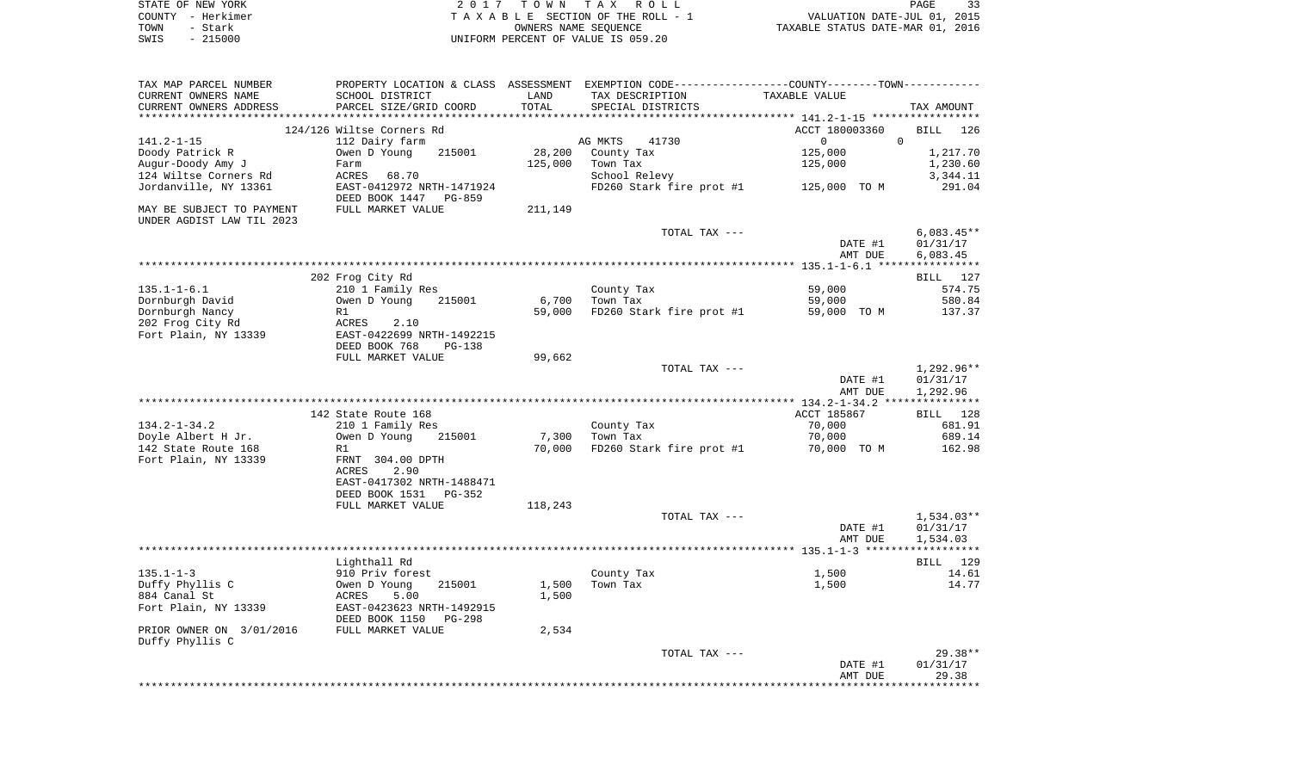|      | STATE OF NEW YORK | 2017 TOWN TAX ROLL                 | 33<br>PAGE                       |
|------|-------------------|------------------------------------|----------------------------------|
|      | COUNTY - Herkimer | TAXABLE SECTION OF THE ROLL - 1    | VALUATION DATE-JUL 01, 2015      |
| TOWN | - Stark           | OWNERS NAME SEOUENCE               | TAXABLE STATUS DATE-MAR 01, 2016 |
| SWIS | $-215000$         | UNIFORM PERCENT OF VALUE IS 059.20 |                                  |

| TAX MAP PARCEL NUMBER     |                              |                        | PROPERTY LOCATION & CLASS ASSESSMENT EXEMPTION CODE----------------COUNTY-------TOWN---------- |                                                 |              |
|---------------------------|------------------------------|------------------------|------------------------------------------------------------------------------------------------|-------------------------------------------------|--------------|
| CURRENT OWNERS NAME       | SCHOOL DISTRICT              | LAND                   | TAX DESCRIPTION                                                                                | TAXABLE VALUE                                   |              |
| CURRENT OWNERS ADDRESS    | PARCEL SIZE/GRID COORD       | TOTAL                  | SPECIAL DISTRICTS                                                                              |                                                 | TAX AMOUNT   |
|                           | **************************** | ********************** |                                                                                                | ***************** 141.2-1-15 ****************** |              |
|                           | 124/126 Wiltse Corners Rd    |                        |                                                                                                | ACCT 180003360                                  | BILL<br>126  |
| $141.2 - 1 - 15$          | 112 Dairy farm               |                        | AG MKTS<br>41730                                                                               | $\Omega$                                        | $\Omega$     |
| Doody Patrick R           | Owen D Young<br>215001       | 28,200                 | County Tax                                                                                     | 125,000                                         | 1,217.70     |
| Augur-Doody Amy J         | Farm                         | 125,000                | Town Tax                                                                                       | 125,000                                         | 1,230.60     |
| 124 Wiltse Corners Rd     | ACRES<br>68.70               |                        | School Relevy                                                                                  |                                                 | 3,344.11     |
| Jordanville, NY 13361     | EAST-0412972 NRTH-1471924    |                        | FD260 Stark fire prot #1                                                                       | 125,000 TO M                                    | 291.04       |
|                           | DEED BOOK 1447<br>PG-859     |                        |                                                                                                |                                                 |              |
| MAY BE SUBJECT TO PAYMENT | FULL MARKET VALUE            | 211,149                |                                                                                                |                                                 |              |
| UNDER AGDIST LAW TIL 2023 |                              |                        |                                                                                                |                                                 |              |
|                           |                              |                        | TOTAL TAX ---                                                                                  |                                                 | $6,083.45**$ |
|                           |                              |                        |                                                                                                | DATE #1                                         | 01/31/17     |
|                           |                              |                        |                                                                                                | AMT DUE                                         | 6,083.45     |
|                           |                              |                        |                                                                                                |                                                 |              |
|                           | 202 Frog City Rd             |                        |                                                                                                |                                                 | BILL 127     |
| $135.1 - 1 - 6.1$         | 210 1 Family Res             |                        | County Tax                                                                                     | 59,000                                          | 574.75       |
| Dornburgh David           | Owen D Young<br>215001       | 6,700                  | Town Tax                                                                                       | 59,000                                          | 580.84       |
| Dornburgh Nancy           | R1                           | 59,000                 | FD260 Stark fire prot #1                                                                       | 59,000 TO M                                     | 137.37       |
| 202 Frog City Rd          | ACRES<br>2.10                |                        |                                                                                                |                                                 |              |
| Fort Plain, NY 13339      | EAST-0422699 NRTH-1492215    |                        |                                                                                                |                                                 |              |
|                           | DEED BOOK 768<br>$PG-138$    |                        |                                                                                                |                                                 |              |
|                           | FULL MARKET VALUE            | 99,662                 |                                                                                                |                                                 |              |
|                           |                              |                        | TOTAL TAX ---                                                                                  |                                                 | $1,292.96**$ |
|                           |                              |                        |                                                                                                | DATE #1                                         | 01/31/17     |
|                           |                              |                        |                                                                                                | AMT DUE                                         | 1,292.96     |
|                           |                              |                        |                                                                                                |                                                 |              |
|                           | 142 State Route 168          |                        |                                                                                                | ACCT 185867                                     | BILL 128     |
|                           |                              |                        |                                                                                                |                                                 |              |
| $134.2 - 1 - 34.2$        | 210 1 Family Res             |                        | County Tax                                                                                     | 70,000                                          | 681.91       |
| Doyle Albert H Jr.        | Owen D Young<br>215001       | 7,300                  | Town Tax                                                                                       | 70,000                                          | 689.14       |
| 142 State Route 168       | R1                           | 70,000                 | FD260 Stark fire prot #1                                                                       | 70,000 TO M                                     | 162.98       |
| Fort Plain, NY 13339      | FRNT 304.00 DPTH             |                        |                                                                                                |                                                 |              |
|                           | ACRES<br>2.90                |                        |                                                                                                |                                                 |              |
|                           | EAST-0417302 NRTH-1488471    |                        |                                                                                                |                                                 |              |
|                           | DEED BOOK 1531<br>$PG-352$   |                        |                                                                                                |                                                 |              |
|                           | FULL MARKET VALUE            | 118,243                |                                                                                                |                                                 |              |
|                           |                              |                        | TOTAL TAX ---                                                                                  |                                                 | $1,534.03**$ |
|                           |                              |                        |                                                                                                | DATE #1                                         | 01/31/17     |
|                           |                              |                        |                                                                                                | AMT DUE                                         | 1,534.03     |
|                           |                              |                        |                                                                                                |                                                 |              |
|                           | Lighthall Rd                 |                        |                                                                                                |                                                 | BILL 129     |
| $135.1 - 1 - 3$           | 910 Priv forest              |                        | County Tax                                                                                     | 1,500                                           | 14.61        |
| Duffy Phyllis C           | Owen D Young<br>215001       | 1,500                  | Town Tax                                                                                       | 1,500                                           | 14.77        |
| 884 Canal St              | 5.00<br>ACRES                | 1,500                  |                                                                                                |                                                 |              |
| Fort Plain, NY 13339      | EAST-0423623 NRTH-1492915    |                        |                                                                                                |                                                 |              |
|                           | DEED BOOK 1150<br>PG-298     |                        |                                                                                                |                                                 |              |
| PRIOR OWNER ON 3/01/2016  | FULL MARKET VALUE            | 2,534                  |                                                                                                |                                                 |              |
|                           |                              |                        |                                                                                                |                                                 |              |
| Duffy Phyllis C           |                              |                        | TOTAL TAX ---                                                                                  |                                                 | $29.38**$    |
|                           |                              |                        |                                                                                                |                                                 |              |
|                           |                              |                        |                                                                                                | DATE #1                                         | 01/31/17     |
|                           |                              |                        |                                                                                                | AMT DUE                                         | 29.38        |
|                           |                              |                        |                                                                                                |                                                 | **********   |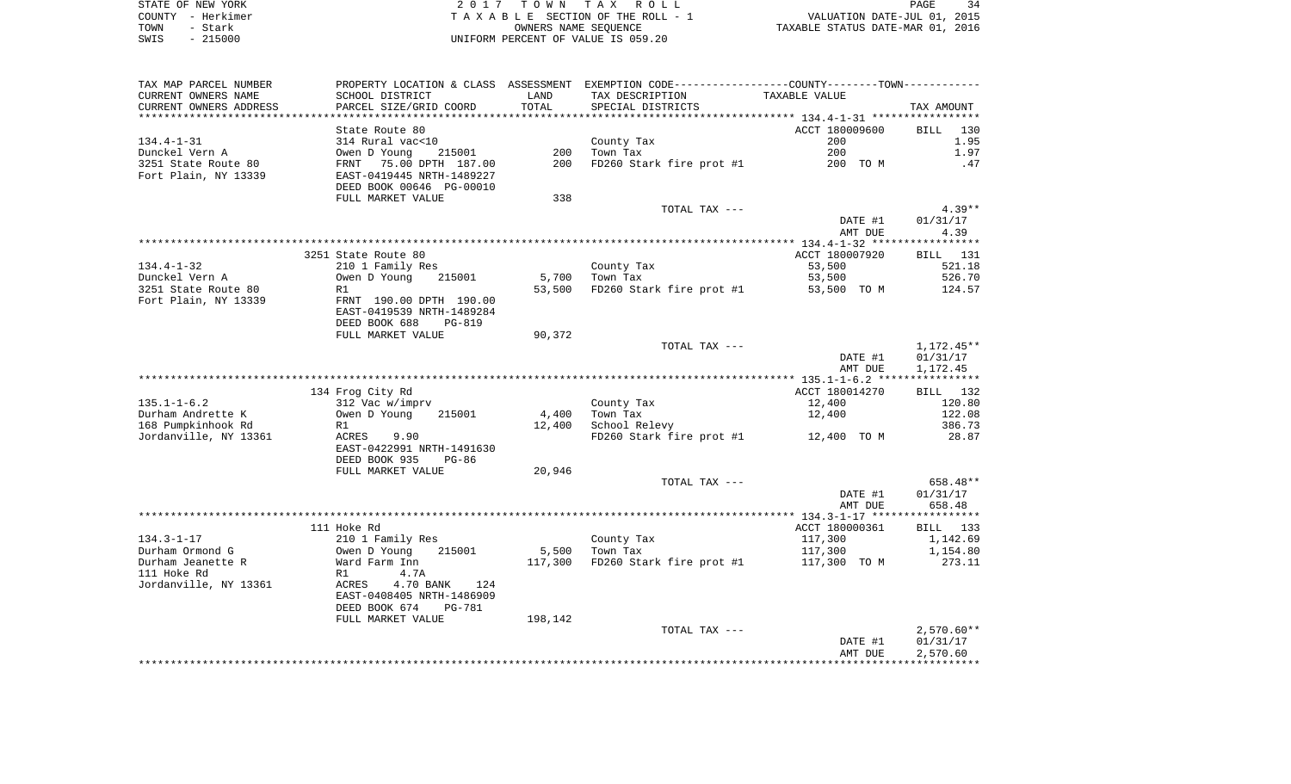|      | STATE OF NEW YORK | TOWN TAX ROLL                      | 34<br>PAGE                       |
|------|-------------------|------------------------------------|----------------------------------|
|      | COUNTY - Herkimer | TAXABLE SECTION OF THE ROLL - 1    | VALUATION DATE-JUL 01, 2015      |
| TOWN | Stark             | OWNERS NAME SEOUENCE               | TAXABLE STATUS DATE-MAR 01, 2016 |
| SWIS | $-215000$         | UNIFORM PERCENT OF VALUE IS 059.20 |                                  |

|                         |                                |         |                                                                                                  | AMT DUE        | 2,570.60                 |
|-------------------------|--------------------------------|---------|--------------------------------------------------------------------------------------------------|----------------|--------------------------|
|                         |                                |         | TOTAL TAX ---                                                                                    | DATE #1        | $2,570.60**$<br>01/31/17 |
|                         | FULL MARKET VALUE              | 198,142 |                                                                                                  |                |                          |
|                         | DEED BOOK 674<br><b>PG-781</b> |         |                                                                                                  |                |                          |
|                         | EAST-0408405 NRTH-1486909      |         |                                                                                                  |                |                          |
| Jordanville, NY 13361   | 4.70 BANK<br>ACRES<br>124      |         |                                                                                                  |                |                          |
| 111 Hoke Rd             | R1<br>4.7A                     |         |                                                                                                  |                |                          |
| Durham Jeanette R       | Ward Farm Inn                  | 117,300 | FD260 Stark fire prot #1                                                                         | 117,300 TO M   | 273.11                   |
| Durham Ormond G         | Owen D Young<br>215001         | 5,500   | Town Tax                                                                                         | 117,300        | 1,154.80                 |
| $134.3 - 1 - 17$        | 210 1 Family Res               |         | County Tax                                                                                       | 117,300        | 1,142.69                 |
|                         | 111 Hoke Rd                    |         |                                                                                                  | ACCT 180000361 | BILL 133                 |
|                         |                                |         |                                                                                                  |                |                          |
|                         |                                |         |                                                                                                  | AMT DUE        | 658.48                   |
|                         |                                |         |                                                                                                  | DATE #1        | 01/31/17                 |
|                         |                                |         | TOTAL TAX ---                                                                                    |                | 658.48**                 |
|                         | FULL MARKET VALUE              | 20,946  |                                                                                                  |                |                          |
|                         | DEED BOOK 935<br>$PG-86$       |         |                                                                                                  |                |                          |
|                         | EAST-0422991 NRTH-1491630      |         |                                                                                                  |                |                          |
| Jordanville, NY 13361   | ACRES<br>9.90                  |         | FD260 Stark fire prot #1                                                                         | 12,400 TO M    | 28.87                    |
| 168 Pumpkinhook Rd      | R1                             | 12,400  | School Relevy                                                                                    |                | 386.73                   |
| Durham Andrette K       | 215001<br>Owen D Young         | 4,400   | Town Tax                                                                                         | 12,400         | 122.08                   |
| $135.1 - 1 - 6.2$       | 312 Vac w/imprv                |         | County Tax                                                                                       | 12,400         | 120.80                   |
|                         | 134 Frog City Rd               |         |                                                                                                  | ACCT 180014270 | BILL 132                 |
|                         |                                |         |                                                                                                  |                |                          |
|                         |                                |         |                                                                                                  | AMT DUE        | 1,172.45                 |
|                         |                                |         |                                                                                                  | DATE #1        | 01/31/17                 |
|                         |                                |         | TOTAL TAX ---                                                                                    |                | 1,172.45**               |
|                         | FULL MARKET VALUE              | 90,372  |                                                                                                  |                |                          |
|                         | DEED BOOK 688<br><b>PG-819</b> |         |                                                                                                  |                |                          |
|                         |                                |         |                                                                                                  |                |                          |
|                         | EAST-0419539 NRTH-1489284      |         |                                                                                                  |                |                          |
| Fort Plain, NY 13339    | FRNT 190.00 DPTH 190.00        |         |                                                                                                  |                |                          |
| 3251 State Route 80     | R1                             | 53,500  | FD260 Stark fire prot #1                                                                         | 53,500 TO M    | 124.57                   |
| Dunckel Vern A          | Owen D Young<br>215001         | 5,700   | Town Tax                                                                                         | 53,500         | 526.70                   |
| $134.4 - 1 - 32$        | 210 1 Family Res               |         | County Tax                                                                                       | 53,500         | 521.18                   |
|                         | 3251 State Route 80            |         |                                                                                                  | ACCT 180007920 | BILL 131                 |
|                         |                                |         |                                                                                                  |                |                          |
|                         |                                |         |                                                                                                  | AMT DUE        | 4.39                     |
|                         |                                |         |                                                                                                  | DATE #1        | 01/31/17                 |
|                         |                                |         | TOTAL TAX ---                                                                                    |                | $4.39**$                 |
|                         | FULL MARKET VALUE              | 338     |                                                                                                  |                |                          |
|                         | DEED BOOK 00646 PG-00010       |         |                                                                                                  |                |                          |
| Fort Plain, NY 13339    | EAST-0419445 NRTH-1489227      |         |                                                                                                  |                |                          |
| 3251 State Route 80     | 75.00 DPTH 187.00<br>FRNT      | 200     | FD260 Stark fire prot #1                                                                         | 200 TO M       | .47                      |
| Dunckel Vern A          | Owen D Young<br>215001         | 200     | Town Tax                                                                                         | 200            | 1.97                     |
| $134.4 - 1 - 31$        | 314 Rural vac<10               |         | County Tax                                                                                       | 200            | 1.95                     |
|                         | State Route 80                 |         |                                                                                                  | ACCT 180009600 | <b>BILL</b><br>130       |
| *********************** |                                |         |                                                                                                  |                |                          |
| CURRENT OWNERS ADDRESS  | PARCEL SIZE/GRID COORD         | TOTAL   | SPECIAL DISTRICTS                                                                                |                | TAX AMOUNT               |
| CURRENT OWNERS NAME     | SCHOOL DISTRICT                | LAND    | TAX DESCRIPTION                                                                                  | TAXABLE VALUE  |                          |
| TAX MAP PARCEL NUMBER   |                                |         | PROPERTY LOCATION & CLASS ASSESSMENT EXEMPTION CODE----------------COUNTY--------TOWN----------- |                |                          |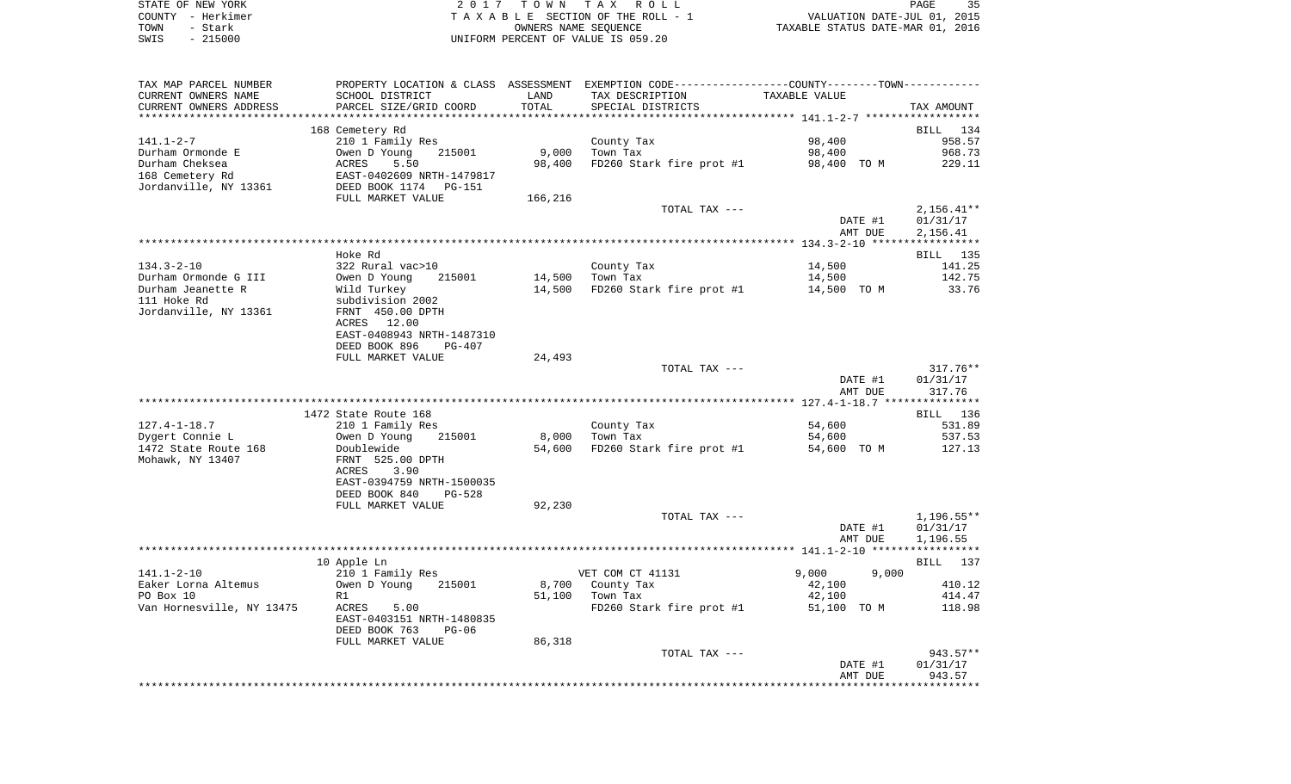| STATE OF NEW YORK | 2017 TOWN TAX ROLL                 | 35<br>PAGE                       |
|-------------------|------------------------------------|----------------------------------|
| COUNTY - Herkimer | TAXABLE SECTION OF THE ROLL - 1    | VALUATION DATE-JUL 01, 2015      |
| TOWN<br>- Stark   | OWNERS NAME SEOUENCE               | TAXABLE STATUS DATE-MAR 01, 2016 |
| $-215000$<br>SWIS | UNIFORM PERCENT OF VALUE IS 059.20 |                                  |

| TAX MAP PARCEL NUMBER                         |                                                |               | PROPERTY LOCATION & CLASS ASSESSMENT EXEMPTION CODE---------------COUNTY-------TOWN---------- |                      |                  |
|-----------------------------------------------|------------------------------------------------|---------------|-----------------------------------------------------------------------------------------------|----------------------|------------------|
| CURRENT OWNERS NAME<br>CURRENT OWNERS ADDRESS | SCHOOL DISTRICT<br>PARCEL SIZE/GRID COORD      | LAND<br>TOTAL | TAX DESCRIPTION<br>SPECIAL DISTRICTS                                                          | <b>TAXABLE VALUE</b> | TAX AMOUNT       |
| **********************                        |                                                |               |                                                                                               |                      |                  |
|                                               | 168 Cemetery Rd                                |               |                                                                                               |                      | BILL 134         |
| $141.1 - 2 - 7$                               | 210 1 Family Res                               |               | County Tax                                                                                    | 98,400               | 958.57           |
| Durham Ormonde E                              | Owen D Young<br>215001                         | 9,000         | Town Tax                                                                                      | 98,400               | 968.73           |
| Durham Cheksea                                | 5.50<br>ACRES                                  | 98,400        | FD260 Stark fire prot #1                                                                      | 98,400 TO M          | 229.11           |
| 168 Cemetery Rd                               | EAST-0402609 NRTH-1479817                      |               |                                                                                               |                      |                  |
| Jordanville, NY 13361                         | DEED BOOK 1174<br>PG-151                       |               |                                                                                               |                      |                  |
|                                               | FULL MARKET VALUE                              | 166,216       | TOTAL TAX ---                                                                                 |                      | $2,156.41**$     |
|                                               |                                                |               |                                                                                               | DATE #1              | 01/31/17         |
|                                               |                                                |               |                                                                                               | AMT DUE              | 2,156.41         |
|                                               |                                                |               |                                                                                               |                      |                  |
|                                               | Hoke Rd                                        |               |                                                                                               |                      | BILL 135         |
| $134.3 - 2 - 10$                              | 322 Rural vac>10                               |               | County Tax                                                                                    | 14,500               | 141.25           |
| Durham Ormonde G III                          | Owen D Young<br>215001                         | 14,500        | Town Tax                                                                                      | 14,500               | 142.75           |
| Durham Jeanette R<br>111 Hoke Rd              | Wild Turkey                                    | 14,500        | FD260 Stark fire prot #1                                                                      | 14,500 TO M          | 33.76            |
| Jordanville, NY 13361                         | subdivision 2002<br>FRNT 450.00 DPTH           |               |                                                                                               |                      |                  |
|                                               | ACRES<br>12.00                                 |               |                                                                                               |                      |                  |
|                                               | EAST-0408943 NRTH-1487310                      |               |                                                                                               |                      |                  |
|                                               | DEED BOOK 896<br>$PG-407$                      |               |                                                                                               |                      |                  |
|                                               | FULL MARKET VALUE                              | 24,493        |                                                                                               |                      |                  |
|                                               |                                                |               | TOTAL TAX ---                                                                                 |                      | $317.76**$       |
|                                               |                                                |               |                                                                                               | DATE #1              | 01/31/17         |
|                                               |                                                |               |                                                                                               | AMT DUE              | 317.76           |
|                                               | 1472 State Route 168                           |               |                                                                                               |                      | BILL 136         |
| $127.4 - 1 - 18.7$                            | 210 1 Family Res                               |               | County Tax                                                                                    | 54,600               | 531.89           |
| Dygert Connie L                               | Owen D Young<br>215001                         | 8,000         | Town Tax                                                                                      | 54,600               | 537.53           |
| 1472 State Route 168                          | Doublewide                                     | 54,600        | FD260 Stark fire prot #1                                                                      | 54,600 TO M          | 127.13           |
| Mohawk, NY 13407                              | FRNT 525.00 DPTH                               |               |                                                                                               |                      |                  |
|                                               | 3.90<br>ACRES                                  |               |                                                                                               |                      |                  |
|                                               | EAST-0394759 NRTH-1500035                      |               |                                                                                               |                      |                  |
|                                               | DEED BOOK 840<br>$PG-528$<br>FULL MARKET VALUE | 92,230        |                                                                                               |                      |                  |
|                                               |                                                |               | TOTAL TAX ---                                                                                 |                      | $1,196.55**$     |
|                                               |                                                |               |                                                                                               | DATE #1              | 01/31/17         |
|                                               |                                                |               |                                                                                               | AMT DUE              | 1,196.55         |
|                                               |                                                |               |                                                                                               |                      |                  |
|                                               | 10 Apple Ln                                    |               |                                                                                               |                      | BILL 137         |
| $141.1 - 2 - 10$                              | 210 1 Family Res                               |               | VET COM CT 41131                                                                              | 9,000<br>9,000       |                  |
| Eaker Lorna Altemus                           | Owen D Young<br>215001                         | 8,700         | County Tax                                                                                    | 42,100               | 410.12           |
| PO Box 10<br>Van Hornesville, NY 13475        | R1<br>ACRES                                    | 51,100        | Town Tax                                                                                      | 42,100               | 414.47<br>118.98 |
|                                               | 5.00<br>EAST-0403151 NRTH-1480835              |               | FD260 Stark fire prot #1                                                                      | 51,100 TO M          |                  |
|                                               | DEED BOOK 763<br>$PG-06$                       |               |                                                                                               |                      |                  |
|                                               | FULL MARKET VALUE                              | 86,318        |                                                                                               |                      |                  |
|                                               |                                                |               | TOTAL TAX ---                                                                                 |                      | 943.57**         |
|                                               |                                                |               |                                                                                               | DATE #1              | 01/31/17         |
|                                               |                                                |               |                                                                                               | AMT DUE              | 943.57           |
|                                               |                                                |               |                                                                                               |                      |                  |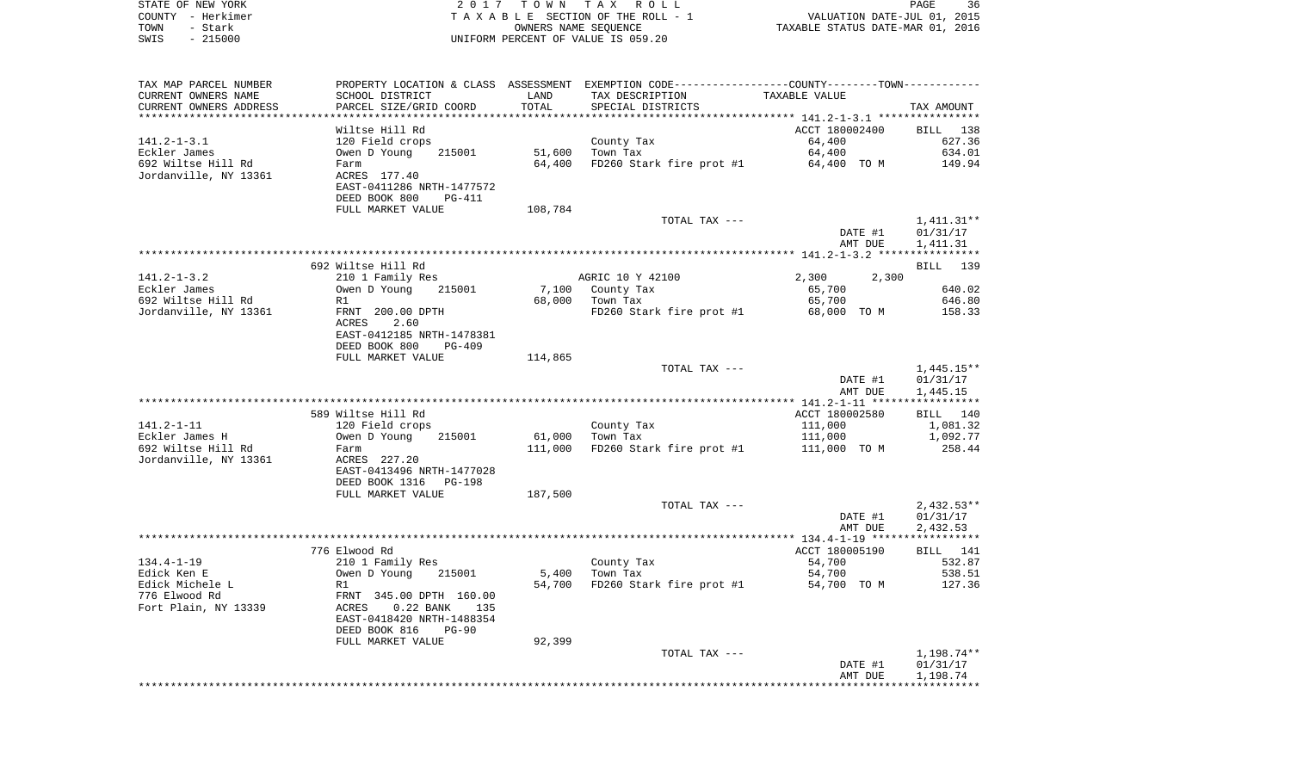|      | STATE OF NEW YORK | 2017 TOWN TAX ROLL                 | 36<br>PAGE                       |
|------|-------------------|------------------------------------|----------------------------------|
|      | COUNTY - Herkimer | TAXABLE SECTION OF THE ROLL - 1    | VALUATION DATE-JUL 01, 2015      |
| TOWN | - Stark           | OWNERS NAME SEOUENCE               | TAXABLE STATUS DATE-MAR 01, 2016 |
| SWIS | $-215000$         | UNIFORM PERCENT OF VALUE IS 059.20 |                                  |
|      |                   |                                    |                                  |

| TAX MAP PARCEL NUMBER  |                           |         | PROPERTY LOCATION & CLASS ASSESSMENT EXEMPTION CODE---------------COUNTY-------TOWN---------- |                |              |
|------------------------|---------------------------|---------|-----------------------------------------------------------------------------------------------|----------------|--------------|
| CURRENT OWNERS NAME    | SCHOOL DISTRICT           | LAND    | TAX DESCRIPTION                                                                               | TAXABLE VALUE  |              |
| CURRENT OWNERS ADDRESS | PARCEL SIZE/GRID COORD    | TOTAL   | SPECIAL DISTRICTS                                                                             |                | TAX AMOUNT   |
|                        |                           |         |                                                                                               |                |              |
|                        | Wiltse Hill Rd            |         |                                                                                               | ACCT 180002400 | BILL 138     |
| 141.2-1-3.1            | 120 Field crops           |         | County Tax                                                                                    | 64,400         | 627.36       |
| Eckler James           | Owen D Young<br>215001    | 51,600  | Town Tax                                                                                      | 64,400         | 634.01       |
| 692 Wiltse Hill Rd     | Farm                      | 64,400  | FD260 Stark fire prot #1 64,400 TO M                                                          |                | 149.94       |
| Jordanville, NY 13361  | ACRES 177.40              |         |                                                                                               |                |              |
|                        | EAST-0411286 NRTH-1477572 |         |                                                                                               |                |              |
|                        | DEED BOOK 800<br>PG-411   |         |                                                                                               |                |              |
|                        | FULL MARKET VALUE         | 108,784 |                                                                                               |                |              |
|                        |                           |         | TOTAL TAX ---                                                                                 |                | 1,411.31**   |
|                        |                           |         |                                                                                               | DATE #1        | 01/31/17     |
|                        |                           |         |                                                                                               | AMT DUE        | 1,411.31     |
|                        |                           |         |                                                                                               |                |              |
|                        | 692 Wiltse Hill Rd        |         |                                                                                               |                | BILL 139     |
| 141.2-1-3.2            | 210 1 Family Res          |         | AGRIC 10 Y 42100                                                                              | 2,300<br>2,300 |              |
| Eckler James           | 215001<br>Owen D Young    |         |                                                                                               | 65,700         | 640.02       |
|                        | R1                        |         | 7,100 County Tax<br>68,000 Town Tax                                                           | 65,700         | 646.80       |
| 692 Wiltse Hill Rd     |                           |         |                                                                                               |                |              |
| Jordanville, NY 13361  | FRNT 200.00 DPTH          |         | FD260 Stark fire prot #1 68,000 TO M                                                          |                | 158.33       |
|                        | ACRES<br>2.60             |         |                                                                                               |                |              |
|                        | EAST-0412185 NRTH-1478381 |         |                                                                                               |                |              |
|                        | DEED BOOK 800<br>PG-409   |         |                                                                                               |                |              |
|                        | FULL MARKET VALUE         | 114,865 |                                                                                               |                |              |
|                        |                           |         | TOTAL TAX ---                                                                                 |                | $1,445.15**$ |
|                        |                           |         |                                                                                               | DATE #1        | 01/31/17     |
|                        |                           |         |                                                                                               | AMT DUE        | 1,445.15     |
|                        |                           |         |                                                                                               |                |              |
|                        | 589 Wiltse Hill Rd        |         |                                                                                               | ACCT 180002580 | BILL 140     |
| 141.2-1-11             | 120 Field crops           |         | County Tax                                                                                    | 111,000        | 1,081.32     |
| Eckler James H         | 215001<br>Owen D Young    | 61,000  | Town Tax                                                                                      | 111,000        | 1,092.77     |
| 692 Wiltse Hill Rd     | Farm                      |         | 111,000 FD260 Stark fire prot #1                                                              | 111,000 TO M   | 258.44       |
| Jordanville, NY 13361  | ACRES 227.20              |         |                                                                                               |                |              |
|                        | EAST-0413496 NRTH-1477028 |         |                                                                                               |                |              |
|                        | DEED BOOK 1316 PG-198     |         |                                                                                               |                |              |
|                        | FULL MARKET VALUE         | 187,500 |                                                                                               |                |              |
|                        |                           |         | TOTAL TAX ---                                                                                 |                | $2,432.53**$ |
|                        |                           |         |                                                                                               | DATE #1        | 01/31/17     |
|                        |                           |         |                                                                                               | AMT DUE        | 2,432.53     |
|                        |                           |         |                                                                                               |                |              |
|                        | 776 Elwood Rd             |         |                                                                                               | ACCT 180005190 | BILL 141     |
| 134.4-1-19             | 210 1 Family Res          |         | County Tax                                                                                    | 54,700         | 532.87       |
| Edick Ken E            | 215001<br>Owen D Young    |         | $5,400$ Town Tax                                                                              | 54,700         | 538.51       |
| Edick Michele L        | R1                        |         | 54,700 FD260 Stark fire prot #1 54,700 TO M                                                   |                | 127.36       |
| 776 Elwood Rd          | FRNT 345.00 DPTH 160.00   |         |                                                                                               |                |              |
|                        |                           |         |                                                                                               |                |              |
| Fort Plain, NY 13339   | 0.22 BANK 135<br>ACRES    |         |                                                                                               |                |              |
|                        | EAST-0418420 NRTH-1488354 |         |                                                                                               |                |              |
|                        | DEED BOOK 816<br>PG-90    |         |                                                                                               |                |              |
|                        | FULL MARKET VALUE         | 92,399  |                                                                                               |                |              |
|                        |                           |         | TOTAL TAX ---                                                                                 |                | 1,198.74**   |
|                        |                           |         |                                                                                               | DATE #1        | 01/31/17     |
|                        |                           |         |                                                                                               | AMT DUE        | 1,198.74     |
|                        |                           |         |                                                                                               |                |              |
|                        |                           |         |                                                                                               |                |              |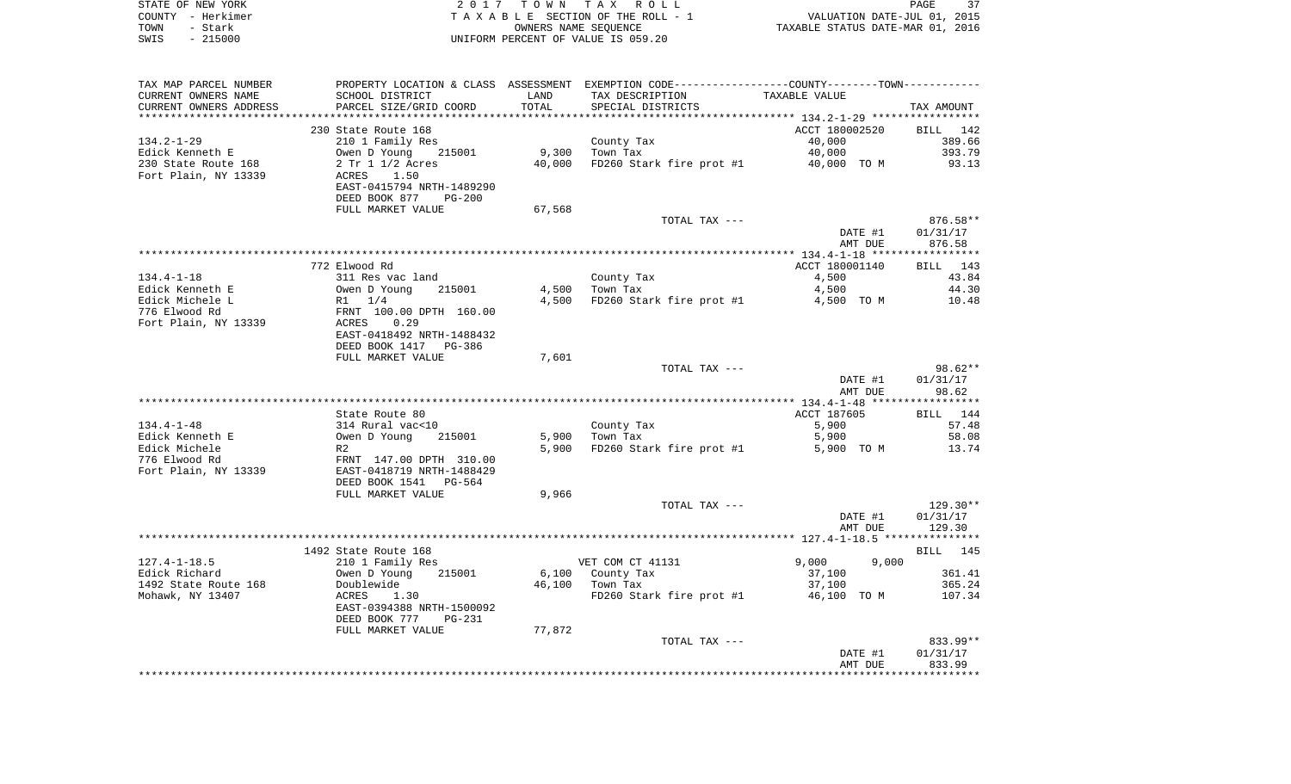|      | STATE OF NEW YORK | 2017 TOWN TAX ROLL                 | PAGE                             | 37 |
|------|-------------------|------------------------------------|----------------------------------|----|
|      | COUNTY – Herkimer | TAXABLE SECTION OF THE ROLL - 1    | VALUATION DATE-JUL 01, 2015      |    |
| TOWN | – Stark           | OWNERS NAME SEOUENCE               | TAXABLE STATUS DATE-MAR 01, 2016 |    |
| SWIS | - 215000          | UNIFORM PERCENT OF VALUE IS 059.20 |                                  |    |

| TAX MAP PARCEL NUMBER  |                                     |        | PROPERTY LOCATION & CLASS ASSESSMENT EXEMPTION CODE---------------COUNTY-------TOWN---------- |                    |            |
|------------------------|-------------------------------------|--------|-----------------------------------------------------------------------------------------------|--------------------|------------|
| CURRENT OWNERS NAME    | SCHOOL DISTRICT                     | LAND   | TAX DESCRIPTION                                                                               | TAXABLE VALUE      |            |
| CURRENT OWNERS ADDRESS | PARCEL SIZE/GRID COORD              | TOTAL  | SPECIAL DISTRICTS                                                                             |                    | TAX AMOUNT |
|                        |                                     |        |                                                                                               |                    |            |
|                        | 230 State Route 168                 |        |                                                                                               | ACCT 180002520     | BILL 142   |
| $134.2 - 1 - 29$       | 210 1 Family Res                    |        | County Tax                                                                                    | 40,000             | 389.66     |
| Edick Kenneth E        | Owen D Young<br>215001              |        | 9,300 Town Tax                                                                                | 40,000             | 393.79     |
| 230 State Route 168    | 2 Tr 1 1/2 Acres                    | 40,000 | $FD260$ Stark fire prot #1 $40,000$ TO M                                                      |                    | 93.13      |
| Fort Plain, NY 13339   | 1.50<br>ACRES                       |        |                                                                                               |                    |            |
|                        | EAST-0415794 NRTH-1489290           |        |                                                                                               |                    |            |
|                        | DEED BOOK 877<br><b>PG-200</b>      |        |                                                                                               |                    |            |
|                        | FULL MARKET VALUE                   | 67,568 |                                                                                               |                    |            |
|                        |                                     |        | TOTAL TAX ---                                                                                 |                    | 876.58**   |
|                        |                                     |        |                                                                                               | DATE #1            | 01/31/17   |
|                        |                                     |        |                                                                                               | AMT DUE            | 876.58     |
|                        |                                     |        |                                                                                               |                    |            |
|                        | 772 Elwood Rd                       |        |                                                                                               | ACCT 180001140     | BILL 143   |
| $134.4 - 1 - 18$       | 311 Res vac land                    |        | County Tax                                                                                    | 4,500              | 43.84      |
| Edick Kenneth E        | Owen D Young 215001                 |        | 4,500 Town Tax                                                                                | 4,500              | 44.30      |
| Edick Michele L        |                                     | 4,500  | FD260 Stark fire prot #1 4,500 TO M                                                           |                    | 10.48      |
| 776 Elwood Rd          | R1 1/4<br>FRNT 100.00 DPTH 160.00   |        |                                                                                               |                    |            |
| Fort Plain, NY 13339   | ACRES<br>0.29                       |        |                                                                                               |                    |            |
|                        | EAST-0418492 NRTH-1488432           |        |                                                                                               |                    |            |
|                        | DEED BOOK 1417 PG-386               |        |                                                                                               |                    |            |
|                        | FULL MARKET VALUE                   | 7,601  |                                                                                               |                    |            |
|                        |                                     |        | TOTAL TAX ---                                                                                 |                    | $98.62**$  |
|                        |                                     |        |                                                                                               | DATE #1            | 01/31/17   |
|                        |                                     |        |                                                                                               | AMT DUE            | 98.62      |
|                        |                                     |        |                                                                                               |                    |            |
|                        | State Route 80                      |        |                                                                                               | ACCT 187605        | BILL 144   |
| $134.4 - 1 - 48$       | 314 Rural vac<10                    |        | County Tax                                                                                    | 5,900              | 57.48      |
| Edick Kenneth E        | Owen D Young<br>215001              |        | 5,900 Town Tax                                                                                | 5,900              | 58.08      |
| Edick Michele          | R2                                  |        | 5,900 FD260 Stark fire prot #1                                                                | 5,900 TO M         | 13.74      |
| 776 Elwood Rd          | FRNT 147.00 DPTH 310.00             |        |                                                                                               |                    |            |
| Fort Plain, NY 13339   | EAST-0418719 NRTH-1488429           |        |                                                                                               |                    |            |
|                        | PG-564                              |        |                                                                                               |                    |            |
|                        | DEED BOOK 1541<br>FULL MARKET VALUE | 9,966  |                                                                                               |                    |            |
|                        |                                     |        |                                                                                               |                    | 129.30**   |
|                        |                                     |        | TOTAL TAX ---                                                                                 |                    | 01/31/17   |
|                        |                                     |        |                                                                                               | DATE #1<br>AMT DUE | 129.30     |
|                        |                                     |        |                                                                                               |                    |            |
|                        |                                     |        |                                                                                               |                    |            |
| $127.4 - 1 - 18.5$     | 1492 State Route 168                |        | VET COM CT 41131                                                                              | 9,000<br>9,000     | BILL 145   |
|                        | 210 1 Family Res                    |        |                                                                                               |                    |            |
| Edick Richard          | Owen D Young<br>215001              |        | 6,100 County Tax                                                                              | 37,100             | 361.41     |
| 1492 State Route 168   | Doublewide                          |        | 46,100 Town Tax                                                                               | 37,100             | 365.24     |
| Mohawk, NY 13407       | ACRES<br>1.30                       |        | FD260 Stark fire prot #1                                                                      | 46,100 TO M        | 107.34     |
|                        | EAST-0394388 NRTH-1500092           |        |                                                                                               |                    |            |
|                        | DEED BOOK 777<br>$PG-231$           |        |                                                                                               |                    |            |
|                        | FULL MARKET VALUE                   | 77,872 |                                                                                               |                    |            |
|                        |                                     |        | TOTAL TAX ---                                                                                 |                    | 833.99**   |
|                        |                                     |        |                                                                                               | DATE #1            | 01/31/17   |
|                        |                                     |        |                                                                                               | AMT DUE            | 833.99     |
|                        |                                     |        |                                                                                               |                    |            |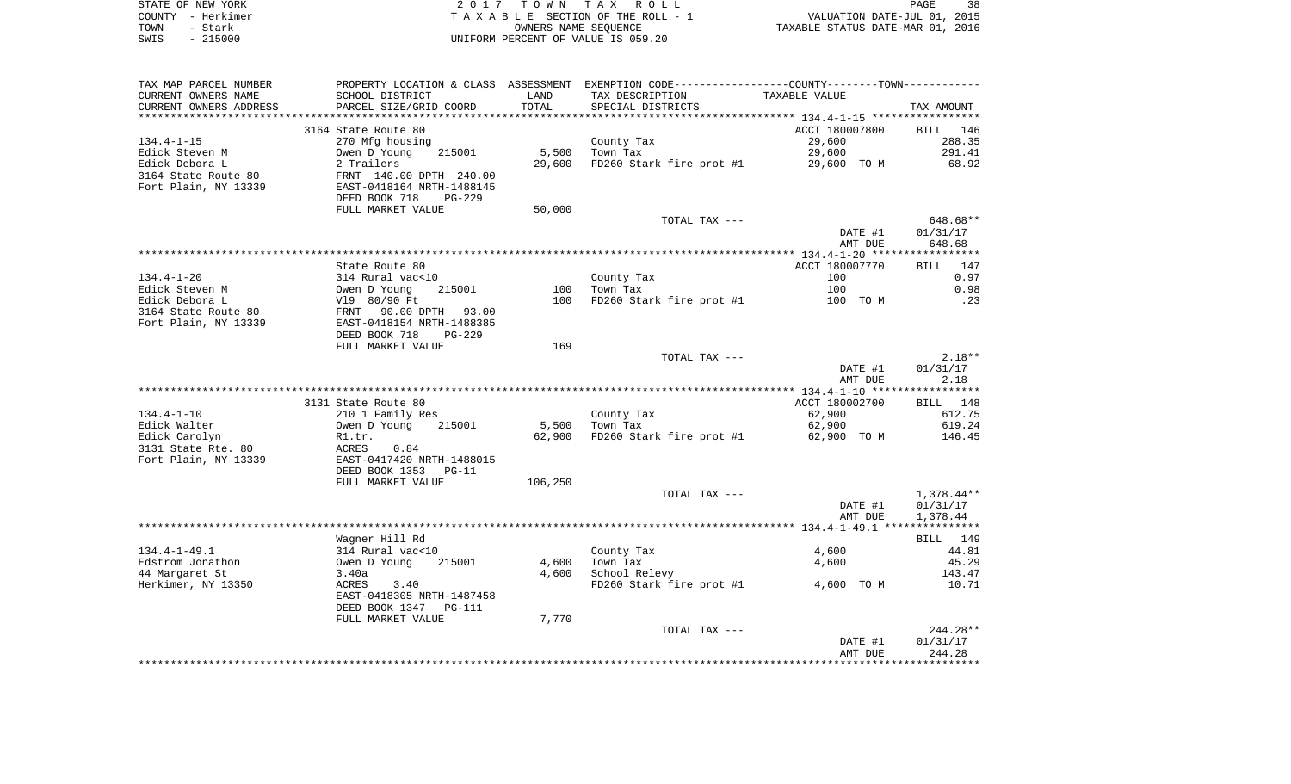| STATE OF NEW YORK | 2017 TOWN TAX ROLL                 | 38<br>PAGE                       |
|-------------------|------------------------------------|----------------------------------|
| COUNTY - Herkimer | TAXABLE SECTION OF THE ROLL - 1    | VALUATION DATE-JUL 01, 2015      |
| TOWN<br>- Stark   | OWNERS NAME SEOUENCE               | TAXABLE STATUS DATE-MAR 01, 2016 |
| - 215000<br>SWIS  | UNIFORM PERCENT OF VALUE IS 059.20 |                                  |

| TAX MAP PARCEL NUMBER  |                                |         | PROPERTY LOCATION & CLASS ASSESSMENT EXEMPTION CODE---------------COUNTY-------TOWN---------- |                |            |
|------------------------|--------------------------------|---------|-----------------------------------------------------------------------------------------------|----------------|------------|
| CURRENT OWNERS NAME    | SCHOOL DISTRICT                | LAND    | TAX DESCRIPTION                                                                               | TAXABLE VALUE  |            |
| CURRENT OWNERS ADDRESS | PARCEL SIZE/GRID COORD         | TOTAL   | SPECIAL DISTRICTS                                                                             |                | TAX AMOUNT |
|                        |                                |         |                                                                                               |                |            |
|                        | 3164 State Route 80            |         |                                                                                               | ACCT 180007800 | BILL 146   |
| 134.4-1-15             | 270 Mfg housing                |         | County Tax                                                                                    | 29,600         | 288.35     |
| Edick Steven M         | Owen D Young<br>215001         | 5,500   | Town Tax                                                                                      | 29,600         | 291.41     |
| Edick Debora L         | 2 Trailers                     | 29,600  | FD260 Stark fire prot #1                                                                      | 29,600 TO M    | 68.92      |
| 3164 State Route 80    | FRNT 140.00 DPTH 240.00        |         |                                                                                               |                |            |
| Fort Plain, NY 13339   | EAST-0418164 NRTH-1488145      |         |                                                                                               |                |            |
|                        | DEED BOOK 718<br><b>PG-229</b> |         |                                                                                               |                |            |
|                        | FULL MARKET VALUE              | 50,000  |                                                                                               |                |            |
|                        |                                |         | TOTAL TAX ---                                                                                 |                | 648.68**   |
|                        |                                |         |                                                                                               | DATE #1        | 01/31/17   |
|                        |                                |         |                                                                                               | AMT DUE        | 648.68     |
|                        |                                |         |                                                                                               |                |            |
|                        | State Route 80                 |         |                                                                                               | ACCT 180007770 | BILL 147   |
| $134.4 - 1 - 20$       | 314 Rural vac<10               |         | County Tax                                                                                    | 100            | 0.97       |
| Edick Steven M         | Owen D Young<br>215001         | 100     | Town Tax                                                                                      | 100            | 0.98       |
| Edick Debora L         | V19 80/90 Ft                   | 100     | FD260 Stark fire prot #1                                                                      | 100 TO M       | .23        |
| 3164 State Route 80    | FRNT 90.00 DPTH 93.00          |         |                                                                                               |                |            |
| Fort Plain, NY 13339   | EAST-0418154 NRTH-1488385      |         |                                                                                               |                |            |
|                        | DEED BOOK 718<br><b>PG-229</b> |         |                                                                                               |                |            |
|                        | FULL MARKET VALUE              | 169     |                                                                                               |                |            |
|                        |                                |         | TOTAL TAX ---                                                                                 |                | $2.18**$   |
|                        |                                |         |                                                                                               | DATE #1        | 01/31/17   |
|                        |                                |         |                                                                                               | AMT DUE        | 2.18       |
|                        |                                |         |                                                                                               |                |            |
|                        | 3131 State Route 80            |         |                                                                                               | ACCT 180002700 | BILL 148   |
| $134.4 - 1 - 10$       | 210 1 Family Res               |         | County Tax                                                                                    | 62,900         | 612.75     |
| Edick Walter           | Owen D Young<br>215001         | 5,500   | Town Tax                                                                                      | 62,900         | 619.24     |
| Edick Carolyn          | R1.tr.                         | 62,900  | FD260 Stark fire prot #1                                                                      | 62,900 TO M    | 146.45     |
| 3131 State Rte. 80     | 0.84<br>ACRES                  |         |                                                                                               |                |            |
| Fort Plain, NY 13339   | EAST-0417420 NRTH-1488015      |         |                                                                                               |                |            |
|                        | DEED BOOK 1353<br>$PG-11$      |         |                                                                                               |                |            |
|                        | FULL MARKET VALUE              | 106,250 |                                                                                               |                |            |
|                        |                                |         | TOTAL TAX ---                                                                                 |                | 1,378.44** |
|                        |                                |         |                                                                                               | DATE #1        | 01/31/17   |
|                        |                                |         |                                                                                               | AMT DUE        | 1,378.44   |
|                        |                                |         |                                                                                               |                |            |
|                        | Wagner Hill Rd                 |         |                                                                                               |                | BILL 149   |
| $134.4 - 1 - 49.1$     | 314 Rural vac<10               |         | County Tax                                                                                    | 4,600          | 44.81      |
| Edstrom Jonathon       | Owen D Young<br>215001         | 4,600   | Town Tax                                                                                      | 4,600          | 45.29      |
| 44 Margaret St         | 3.40a                          | 4,600   | School Relevy                                                                                 |                | 143.47     |
| Herkimer, NY 13350     | ACRES<br>3.40                  |         | FD260 Stark fire prot #1                                                                      | 4,600 TO M     | 10.71      |
|                        | EAST-0418305 NRTH-1487458      |         |                                                                                               |                |            |
|                        | DEED BOOK 1347<br>PG-111       |         |                                                                                               |                |            |
|                        | FULL MARKET VALUE              | 7,770   |                                                                                               |                |            |
|                        |                                |         | TOTAL TAX ---                                                                                 |                | $244.28**$ |
|                        |                                |         |                                                                                               | DATE #1        | 01/31/17   |
|                        |                                |         |                                                                                               | AMT DUE        | 244.28     |
|                        |                                |         |                                                                                               |                |            |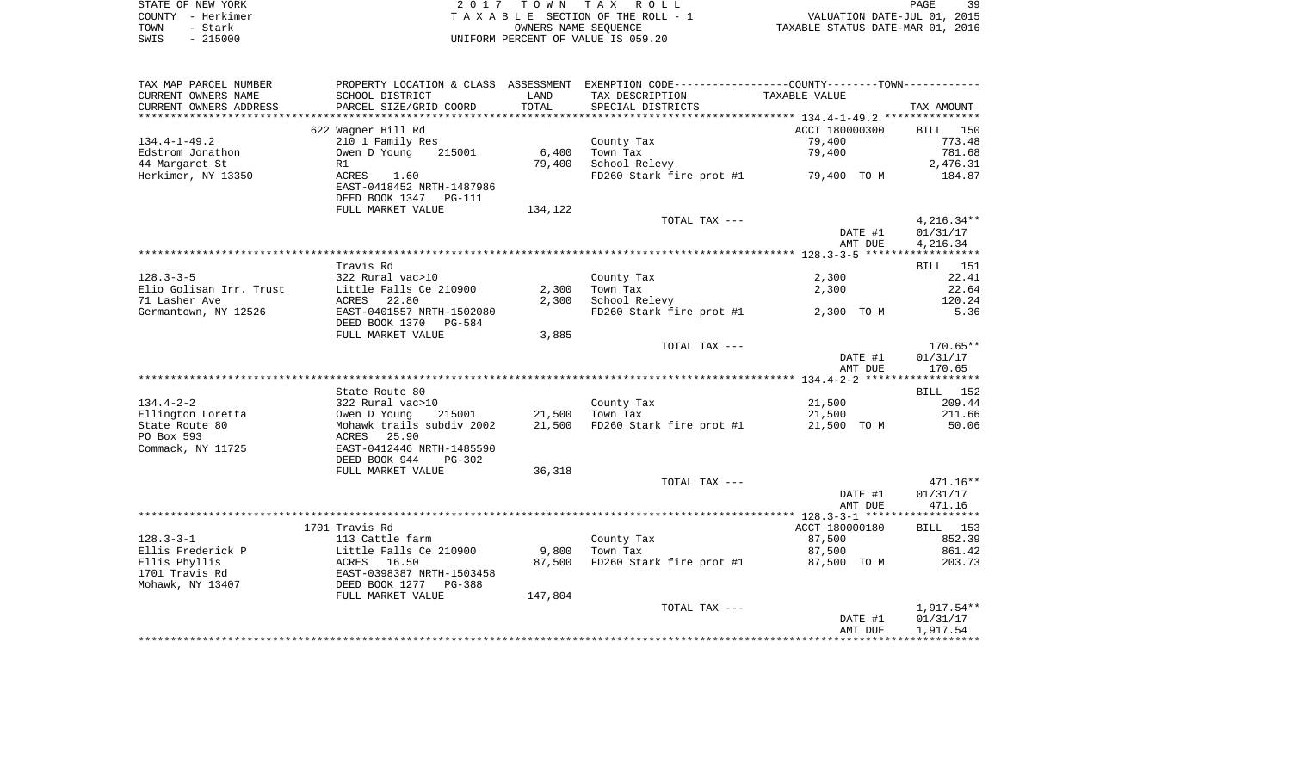| STATE OF NEW YORK | 2017 TOWN TAX ROLL                 | 39<br>PAGE                       |
|-------------------|------------------------------------|----------------------------------|
| COUNTY - Herkimer | TAXABLE SECTION OF THE ROLL - 1    | VALUATION DATE-JUL 01, 2015      |
| TOWN<br>– Stark   | OWNERS NAME SEOUENCE               | TAXABLE STATUS DATE-MAR 01, 2016 |
| $-215000$<br>SWIS | UNIFORM PERCENT OF VALUE IS 059.20 |                                  |

| TAX MAP PARCEL NUMBER   |                           |         | PROPERTY LOCATION & CLASS ASSESSMENT EXEMPTION CODE----------------COUNTY-------TOWN---------- |                    |              |
|-------------------------|---------------------------|---------|------------------------------------------------------------------------------------------------|--------------------|--------------|
| CURRENT OWNERS NAME     | SCHOOL DISTRICT           | LAND    | TAX DESCRIPTION                                                                                | TAXABLE VALUE      |              |
| CURRENT OWNERS ADDRESS  | PARCEL SIZE/GRID COORD    | TOTAL   | SPECIAL DISTRICTS                                                                              |                    | TAX AMOUNT   |
|                         |                           |         |                                                                                                |                    |              |
|                         | 622 Wagner Hill Rd        |         |                                                                                                | ACCT 180000300     | BILL 150     |
| $134.4 - 1 - 49.2$      | 210 1 Family Res          |         | County Tax                                                                                     | 79,400             | 773.48       |
| Edstrom Jonathon        | Owen D Young<br>215001    | 6,400   | Town Tax                                                                                       | 79,400             | 781.68       |
| 44 Margaret St          | R1                        | 79,400  | School Relevy                                                                                  |                    | 2,476.31     |
| Herkimer, NY 13350      | ACRES 1.60                |         | FD260 Stark fire prot #1                                                                       | 79,400 TO M        | 184.87       |
|                         | EAST-0418452 NRTH-1487986 |         |                                                                                                |                    |              |
|                         | DEED BOOK 1347 PG-111     |         |                                                                                                |                    |              |
|                         | FULL MARKET VALUE         | 134,122 |                                                                                                |                    |              |
|                         |                           |         | TOTAL TAX ---                                                                                  |                    | $4,216.34**$ |
|                         |                           |         |                                                                                                | DATE #1            | 01/31/17     |
|                         |                           |         |                                                                                                | AMT DUE            | 4,216.34     |
|                         |                           |         |                                                                                                |                    |              |
|                         | Travis Rd                 |         |                                                                                                |                    | BILL 151     |
| $128.3 - 3 - 5$         | 322 Rural vac>10          |         | County Tax                                                                                     | 2,300              | 22.41        |
| Elio Golisan Irr. Trust | Little Falls Ce 210900    | 2,300   | Town Tax                                                                                       | 2,300              | 22.64        |
| 71 Lasher Ave           | ACRES 22.80               | 2,300   | School Relevy                                                                                  |                    | 120.24       |
| Germantown, NY 12526    | EAST-0401557 NRTH-1502080 |         | FD260 Stark fire prot #1                                                                       | 2,300 TO M         | 5.36         |
|                         | DEED BOOK 1370<br>PG-584  |         |                                                                                                |                    |              |
|                         | FULL MARKET VALUE         | 3,885   |                                                                                                |                    |              |
|                         |                           |         | TOTAL TAX ---                                                                                  |                    | 170.65**     |
|                         |                           |         |                                                                                                | DATE #1            | 01/31/17     |
|                         |                           |         |                                                                                                | AMT DUE            | 170.65       |
|                         |                           |         |                                                                                                |                    |              |
|                         | State Route 80            |         |                                                                                                |                    | BILL 152     |
| $134.4 - 2 - 2$         | 322 Rural vac>10          |         | County Tax                                                                                     | 21,500             | 209.44       |
| Ellington Loretta       | 215001<br>Owen D Young    | 21,500  | Town Tax                                                                                       | 21,500             | 211.66       |
| State Route 80          | Mohawk trails subdiv 2002 | 21,500  | FD260 Stark fire prot #1                                                                       | 21,500 TO M        | 50.06        |
| PO Box 593              | ACRES 25.90               |         |                                                                                                |                    |              |
| Commack, NY 11725       | EAST-0412446 NRTH-1485590 |         |                                                                                                |                    |              |
|                         | DEED BOOK 944<br>PG-302   |         |                                                                                                |                    |              |
|                         | FULL MARKET VALUE         | 36,318  |                                                                                                |                    |              |
|                         |                           |         | TOTAL TAX ---                                                                                  |                    | $471.16**$   |
|                         |                           |         |                                                                                                | DATE #1            | 01/31/17     |
|                         |                           |         |                                                                                                | AMT DUE            | 471.16       |
|                         |                           |         |                                                                                                |                    |              |
|                         | 1701 Travis Rd            |         |                                                                                                | ACCT 180000180     | BILL 153     |
| $128.3 - 3 - 1$         | 113 Cattle farm           |         | County Tax                                                                                     | 87,500             | 852.39       |
| Ellis Frederick P       | Little Falls Ce 210900    | 9,800   | Town Tax                                                                                       | 87,500             | 861.42       |
| Ellis Phyllis           | ACRES 16.50               | 87,500  | FD260 Stark fire prot #1                                                                       | 87,500 TO M        | 203.73       |
| 1701 Travis Rd          | EAST-0398387 NRTH-1503458 |         |                                                                                                |                    |              |
| Mohawk, NY 13407        | DEED BOOK 1277 PG-388     |         |                                                                                                |                    |              |
|                         | FULL MARKET VALUE         | 147,804 |                                                                                                |                    |              |
|                         |                           |         | TOTAL TAX ---                                                                                  |                    | 1,917.54**   |
|                         |                           |         |                                                                                                | DATE #1<br>AMT DUE | 01/31/17     |
|                         |                           |         |                                                                                                |                    | 1,917.54     |
|                         |                           |         |                                                                                                |                    |              |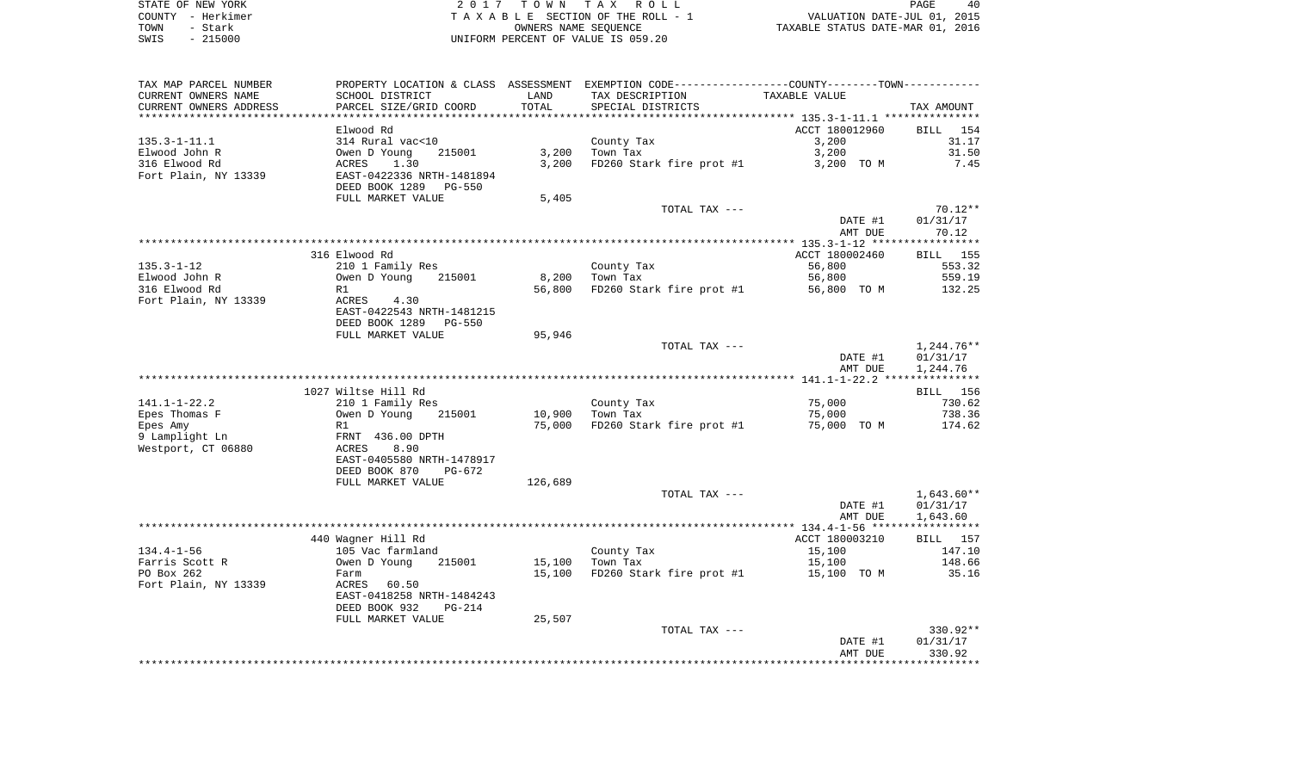| STATE OF NEW YORK                         | 2017 TOWN TAX ROLL                 | 40<br>PAGE                       |
|-------------------------------------------|------------------------------------|----------------------------------|
| COUNTY - Herkimer                         | TAXABLE SECTION OF THE ROLL - 1    | VALUATION DATE-JUL 01, 2015      |
| TOWN<br>Stark<br>$\overline{\phantom{0}}$ | OWNERS NAME SEOUENCE               | TAXABLE STATUS DATE-MAR 01, 2016 |
| $-215000$<br>SWIS                         | UNIFORM PERCENT OF VALUE IS 059.20 |                                  |

| TAX MAP PARCEL NUMBER                |                                   |         | PROPERTY LOCATION & CLASS ASSESSMENT EXEMPTION CODE---------------COUNTY--------TOWN---------- |                |                 |
|--------------------------------------|-----------------------------------|---------|------------------------------------------------------------------------------------------------|----------------|-----------------|
| CURRENT OWNERS NAME                  | SCHOOL DISTRICT                   | LAND    | TAX DESCRIPTION                                                                                | TAXABLE VALUE  |                 |
| CURRENT OWNERS ADDRESS               | PARCEL SIZE/GRID COORD            | TOTAL   | SPECIAL DISTRICTS                                                                              |                | TAX AMOUNT      |
|                                      |                                   |         |                                                                                                |                |                 |
|                                      | Elwood Rd                         |         |                                                                                                | ACCT 180012960 | BILL 154        |
| $135.3 - 1 - 11.1$                   | 314 Rural vac<10                  |         | County Tax                                                                                     | 3,200          | 31.17           |
| Elwood John R                        | Owen D Young<br>215001            | 3,200   | Town Tax                                                                                       | 3,200          | 31.50           |
| 316 Elwood Rd                        | ACRES<br>1.30                     | 3,200   | FD260 Stark fire prot #1                                                                       | 3,200 TO M     | 7.45            |
| Fort Plain, NY 13339                 | EAST-0422336 NRTH-1481894         |         |                                                                                                |                |                 |
|                                      | DEED BOOK 1289 PG-550             |         |                                                                                                |                |                 |
|                                      | FULL MARKET VALUE                 | 5,405   | TOTAL TAX ---                                                                                  |                | 70.12**         |
|                                      |                                   |         |                                                                                                | DATE #1        | 01/31/17        |
|                                      |                                   |         |                                                                                                | AMT DUE        | 70.12           |
|                                      |                                   |         |                                                                                                |                |                 |
|                                      | 316 Elwood Rd                     |         |                                                                                                | ACCT 180002460 | <b>BILL</b> 155 |
| 135.3-1-12                           | 210 1 Family Res                  |         | County Tax                                                                                     | 56,800         | 553.32          |
| Elwood John R                        | 215001<br>Owen D Young            | 8,200   | Town Tax                                                                                       | 56,800         | 559.19          |
| 316 Elwood Rd                        | R1                                | 56,800  | FD260 Stark fire prot #1                                                                       | 56,800 TO M    | 132.25          |
| Fort Plain, NY 13339                 | ACRES 4.30                        |         |                                                                                                |                |                 |
|                                      | EAST-0422543 NRTH-1481215         |         |                                                                                                |                |                 |
|                                      | DEED BOOK 1289 PG-550             |         |                                                                                                |                |                 |
|                                      | FULL MARKET VALUE                 | 95,946  |                                                                                                |                |                 |
|                                      |                                   |         | TOTAL TAX ---                                                                                  |                | 1,244.76**      |
|                                      |                                   |         |                                                                                                | DATE #1        | 01/31/17        |
|                                      |                                   |         |                                                                                                | AMT DUE        | 1,244.76        |
|                                      |                                   |         |                                                                                                |                |                 |
|                                      | 1027 Wiltse Hill Rd               |         |                                                                                                |                | BILL 156        |
| 141.1-1-22.2                         | 210 1 Family Res                  |         | County Tax                                                                                     | 75,000         | 730.62          |
| Epes Thomas F                        | 215001<br>Owen D Young            | 10,900  | Town Tax                                                                                       | 75,000         | 738.36          |
| Epes Amy                             | R1                                |         | 75,000 FD260 Stark fire prot #1                                                                | 75,000 TO M    | 174.62          |
| 9 Lamplight Ln<br>Westport, CT 06880 | FRNT 436.00 DPTH<br>8.90<br>ACRES |         |                                                                                                |                |                 |
|                                      | EAST-0405580 NRTH-1478917         |         |                                                                                                |                |                 |
|                                      | DEED BOOK 870<br>PG-672           |         |                                                                                                |                |                 |
|                                      | FULL MARKET VALUE                 | 126,689 |                                                                                                |                |                 |
|                                      |                                   |         | TOTAL TAX ---                                                                                  |                | $1,643.60**$    |
|                                      |                                   |         |                                                                                                | DATE #1        | 01/31/17        |
|                                      |                                   |         |                                                                                                | AMT DUE        | 1,643.60        |
|                                      |                                   |         |                                                                                                |                |                 |
|                                      | 440 Wagner Hill Rd                |         |                                                                                                | ACCT 180003210 | <b>BILL</b> 157 |
| $134.4 - 1 - 56$                     | 105 Vac farmland                  |         | County Tax                                                                                     | 15,100         | 147.10          |
| Farris Scott R                       | Owen D Young<br>215001            | 15,100  | Town Tax                                                                                       | 15,100         | 148.66          |
| PO Box 262                           | Farm                              | 15,100  | FD260 Stark fire prot $#1$ 15,100 TO M                                                         |                | 35.16           |
| Fort Plain, NY 13339                 | ACRES 60.50                       |         |                                                                                                |                |                 |
|                                      | EAST-0418258 NRTH-1484243         |         |                                                                                                |                |                 |
|                                      | DEED BOOK 932<br>PG-214           |         |                                                                                                |                |                 |
|                                      | FULL MARKET VALUE                 | 25,507  |                                                                                                |                |                 |
|                                      |                                   |         | TOTAL TAX ---                                                                                  |                | $330.92**$      |
|                                      |                                   |         |                                                                                                | DATE #1        | 01/31/17        |
|                                      |                                   |         |                                                                                                | AMT DUE        | 330.92          |
|                                      |                                   |         |                                                                                                |                |                 |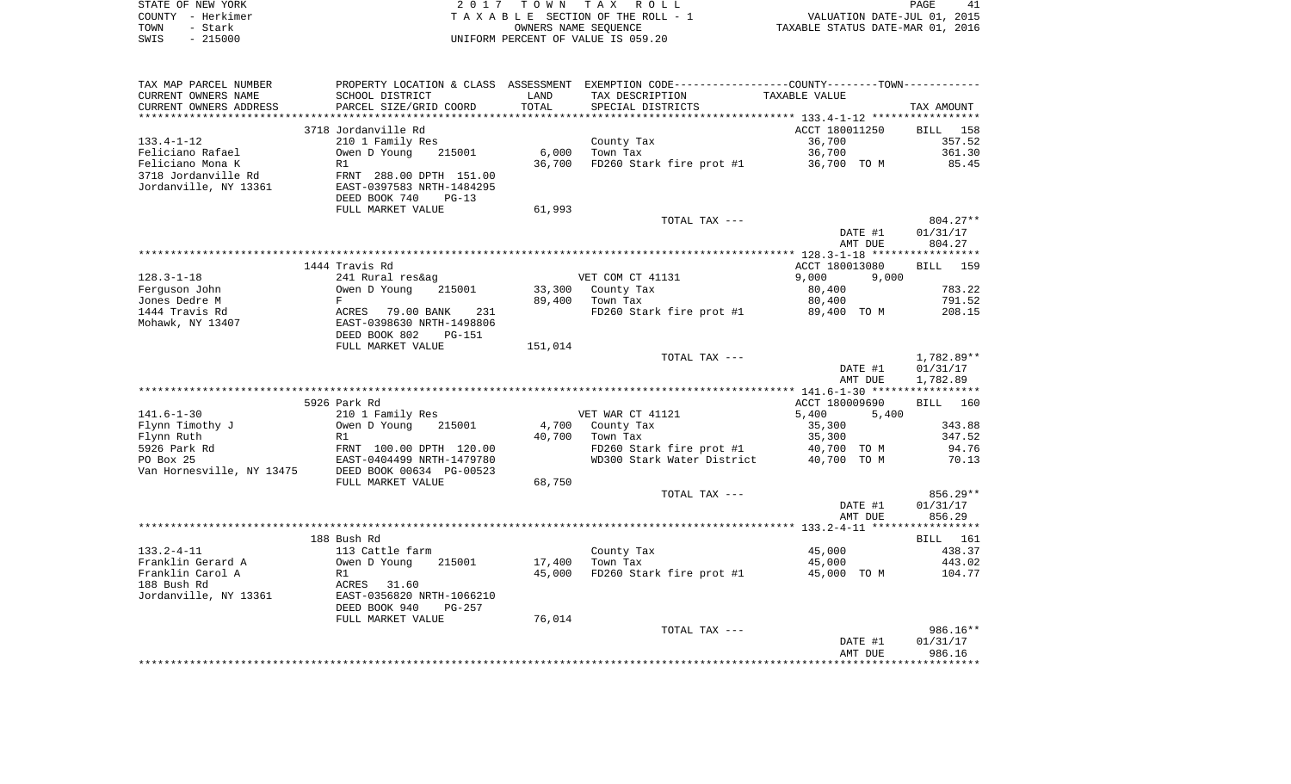| STATE OF NEW YORK |           | 2017 TOWN TAX ROLL                 | PAGE                             | 41 |
|-------------------|-----------|------------------------------------|----------------------------------|----|
| COUNTY - Herkimer |           | TAXABLE SECTION OF THE ROLL - 1    | VALUATION DATE-JUL 01, 2015      |    |
| TOWN              | – Stark   | OWNERS NAME SEOUENCE               | TAXABLE STATUS DATE-MAR 01, 2016 |    |
| SWIS              | $-215000$ | UNIFORM PERCENT OF VALUE IS 059.20 |                                  |    |

| TAX MAP PARCEL NUMBER     |                                |         | PROPERTY LOCATION & CLASS ASSESSMENT EXEMPTION CODE---------------COUNTY-------TOWN---------- |                |                    |
|---------------------------|--------------------------------|---------|-----------------------------------------------------------------------------------------------|----------------|--------------------|
| CURRENT OWNERS NAME       | SCHOOL DISTRICT                | LAND    | TAX DESCRIPTION                                                                               | TAXABLE VALUE  |                    |
| CURRENT OWNERS ADDRESS    | PARCEL SIZE/GRID COORD         | TOTAL   | SPECIAL DISTRICTS                                                                             |                | TAX AMOUNT         |
|                           |                                |         |                                                                                               |                |                    |
|                           | 3718 Jordanville Rd            |         |                                                                                               | ACCT 180011250 | BILL<br>158        |
| $133.4 - 1 - 12$          | 210 1 Family Res               |         | County Tax                                                                                    | 36,700         | 357.52             |
| Feliciano Rafael          | Owen D Young<br>215001         | 6,000   | Town Tax                                                                                      | 36,700         | 361.30             |
| Feliciano Mona K          | R1                             | 36,700  | FD260 Stark fire prot #1                                                                      | 36,700 TO M    | 85.45              |
| 3718 Jordanville Rd       | FRNT 288.00 DPTH 151.00        |         |                                                                                               |                |                    |
| Jordanville, NY 13361     | EAST-0397583 NRTH-1484295      |         |                                                                                               |                |                    |
|                           | DEED BOOK 740<br>$PG-13$       |         |                                                                                               |                |                    |
|                           | FULL MARKET VALUE              | 61,993  |                                                                                               |                |                    |
|                           |                                |         | TOTAL TAX ---                                                                                 |                | $804.27**$         |
|                           |                                |         |                                                                                               | DATE #1        | 01/31/17           |
|                           |                                |         |                                                                                               | AMT DUE        | 804.27             |
|                           |                                |         |                                                                                               |                |                    |
|                           | 1444 Travis Rd                 |         |                                                                                               | ACCT 180013080 | 159<br><b>BILL</b> |
| $128.3 - 1 - 18$          | 241 Rural res&ag               |         | VET COM CT 41131                                                                              | 9,000<br>9,000 |                    |
| Ferguson John             | Owen D Young<br>215001         | 33,300  | County Tax                                                                                    | 80,400         | 783.22             |
| Jones Dedre M             | F                              | 89,400  | Town Tax                                                                                      | 80,400         | 791.52             |
| 1444 Travis Rd            | ACRES<br>79.00 BANK<br>231     |         | FD260 Stark fire prot #1                                                                      | 89,400 TO M    | 208.15             |
| Mohawk, NY 13407          | EAST-0398630 NRTH-1498806      |         |                                                                                               |                |                    |
|                           | DEED BOOK 802<br><b>PG-151</b> |         |                                                                                               |                |                    |
|                           | FULL MARKET VALUE              | 151,014 |                                                                                               |                |                    |
|                           |                                |         | TOTAL TAX ---                                                                                 |                | 1,782.89**         |
|                           |                                |         |                                                                                               | DATE #1        | 01/31/17           |
|                           |                                |         |                                                                                               | AMT DUE        | 1,782.89           |
|                           |                                |         |                                                                                               |                |                    |
|                           | 5926 Park Rd                   |         |                                                                                               | ACCT 180009690 | BILL<br>160        |
| $141.6 - 1 - 30$          | 210 1 Family Res               |         | VET WAR CT 41121                                                                              | 5,400<br>5,400 |                    |
| Flynn Timothy J           | Owen D Young<br>215001         | 4,700   | County Tax                                                                                    | 35,300         | 343.88             |
| Flynn Ruth                | R1                             | 40,700  | Town Tax                                                                                      | 35,300         | 347.52             |
| 5926 Park Rd              | FRNT 100.00 DPTH 120.00        |         | FD260 Stark fire prot #1                                                                      | 40,700 TO M    | 94.76              |
| PO Box 25                 | EAST-0404499 NRTH-1479780      |         | WD300 Stark Water District                                                                    | 40,700 TO M    | 70.13              |
| Van Hornesville, NY 13475 | DEED BOOK 00634 PG-00523       |         |                                                                                               |                |                    |
|                           | FULL MARKET VALUE              | 68,750  |                                                                                               |                |                    |
|                           |                                |         | TOTAL TAX ---                                                                                 |                | $856.29**$         |
|                           |                                |         |                                                                                               | DATE #1        | 01/31/17           |
|                           |                                |         |                                                                                               | AMT DUE        | 856.29             |
|                           |                                |         |                                                                                               |                |                    |
|                           | 188 Bush Rd                    |         |                                                                                               |                | BILL 161           |
| $133.2 - 4 - 11$          | 113 Cattle farm                |         | County Tax                                                                                    | 45,000         | 438.37             |
| Franklin Gerard A         | Owen D Young<br>215001         | 17,400  | Town Tax                                                                                      | 45,000         | 443.02             |
| Franklin Carol A          | R1                             | 45,000  | FD260 Stark fire prot #1                                                                      | 45,000 TO M    | 104.77             |
| 188 Bush Rd               | ACRES<br>31.60                 |         |                                                                                               |                |                    |
| Jordanville, NY 13361     | EAST-0356820 NRTH-1066210      |         |                                                                                               |                |                    |
|                           |                                |         |                                                                                               |                |                    |
|                           | DEED BOOK 940<br>$PG-257$      | 76,014  |                                                                                               |                |                    |
|                           | FULL MARKET VALUE              |         |                                                                                               |                |                    |
|                           |                                |         | TOTAL TAX ---                                                                                 |                | 986.16**           |
|                           |                                |         |                                                                                               | DATE #1        | 01/31/17<br>986.16 |
|                           |                                |         |                                                                                               | AMT DUE        |                    |
|                           |                                |         |                                                                                               |                |                    |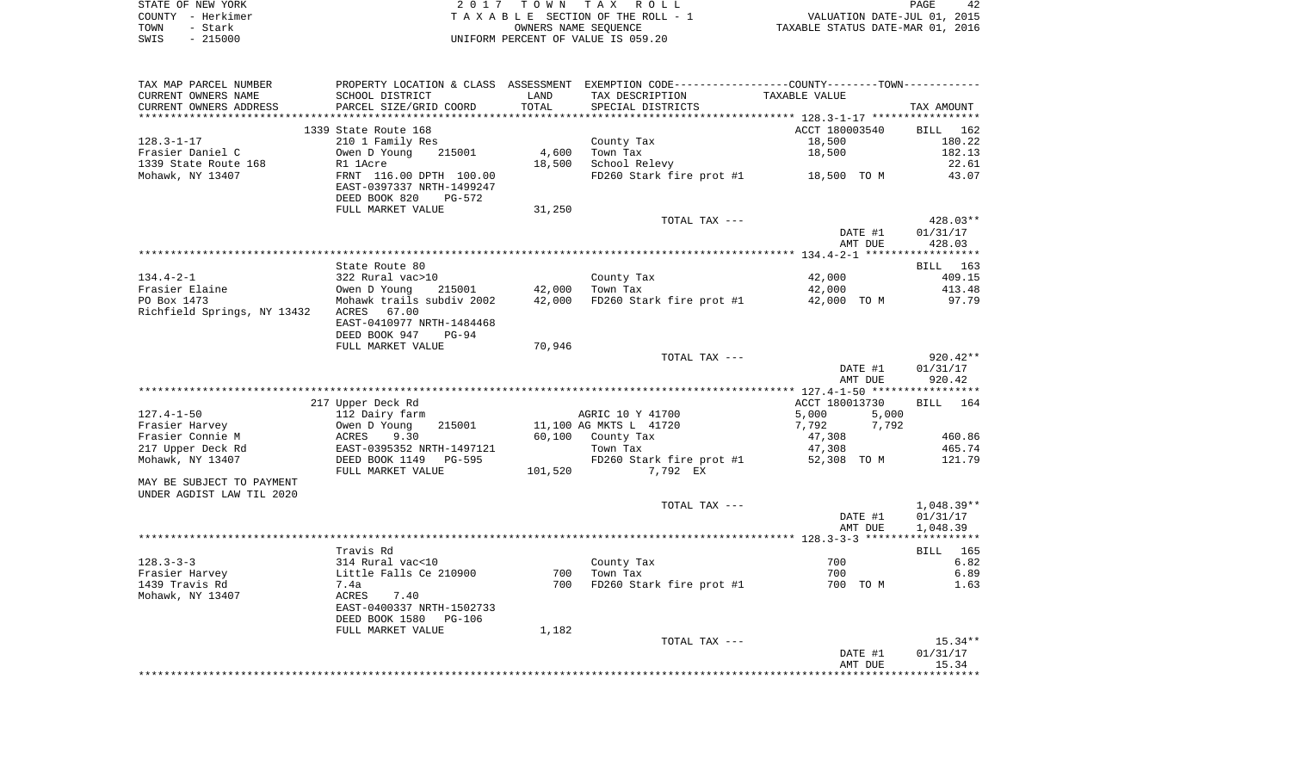|      | STATE OF NEW YORK | 2017 TOWN TAX ROLL                    | 42<br>PAGE                       |  |
|------|-------------------|---------------------------------------|----------------------------------|--|
|      | COUNTY - Herkimer | T A X A B L E SECTION OF THE ROLL - 1 | VALUATION DATE-JUL 01, 2015      |  |
| TOWN | - Stark           | OWNERS NAME SEOUENCE                  | TAXABLE STATUS DATE-MAR 01, 2016 |  |
| SWIS | $-215000$         | UNIFORM PERCENT OF VALUE IS 059.20    |                                  |  |

| CURRENT OWNERS NAME         | SCHOOL DISTRICT                          | LAND    | PROPERTY LOCATION & CLASS ASSESSMENT EXEMPTION CODE---------------COUNTY-------TOWN----------<br>TAX DESCRIPTION TAXABLE VALUE |                         |                                                                                                                  |
|-----------------------------|------------------------------------------|---------|--------------------------------------------------------------------------------------------------------------------------------|-------------------------|------------------------------------------------------------------------------------------------------------------|
| CURRENT OWNERS ADDRESS      | PARCEL SIZE/GRID COORD                   | TOTAL   | SPECIAL DISTRICTS                                                                                                              |                         | TAX AMOUNT                                                                                                       |
|                             |                                          |         |                                                                                                                                |                         |                                                                                                                  |
|                             | 1339 State Route 168                     |         |                                                                                                                                | ACCT 180003540          | <b>BILL</b><br>162                                                                                               |
| $128.3 - 1 - 17$            | 210 1 Family Res                         |         | County Tax                                                                                                                     | 18,500                  | 180.22                                                                                                           |
| Frasier Daniel C            | Owen D Young<br>215001                   |         | 4,600 Town Tax                                                                                                                 | 18,500                  | 182.13                                                                                                           |
| 1339 State Route 168        | R1 1Acre                                 |         | 18,500 School Relevy                                                                                                           |                         | 22.61                                                                                                            |
| Mohawk, NY 13407            | FRNT 116.00 DPTH 100.00                  |         | FD260 Stark fire prot #1 18,500 TO M                                                                                           |                         | 43.07                                                                                                            |
|                             | EAST-0397337 NRTH-1499247                |         |                                                                                                                                |                         |                                                                                                                  |
|                             | DEED BOOK 820<br>PG-572                  |         |                                                                                                                                |                         |                                                                                                                  |
|                             | FULL MARKET VALUE                        | 31,250  |                                                                                                                                |                         |                                                                                                                  |
|                             |                                          |         | TOTAL TAX ---                                                                                                                  |                         | 428.03**                                                                                                         |
|                             |                                          |         |                                                                                                                                | DATE #1                 | 01/31/17                                                                                                         |
|                             |                                          |         |                                                                                                                                | AMT DUE                 | 428.03                                                                                                           |
|                             |                                          |         |                                                                                                                                |                         |                                                                                                                  |
|                             | State Route 80                           |         |                                                                                                                                |                         | BILL 163                                                                                                         |
| $134.4 - 2 - 1$             | 322 Rural vac>10                         |         | County Tax                                                                                                                     | 42,000                  | 409.15                                                                                                           |
| Frasier Elaine              | Owen D Young<br>215001                   |         | 42,000 Town Tax                                                                                                                | 42,000                  | 413.48                                                                                                           |
| PO Box 1473                 | Mohawk trails subdiv 2002                |         | 42,000 FD260 Stark fire prot #1                                                                                                | 42,000 TO M             | 97.79                                                                                                            |
| Richfield Springs, NY 13432 | ACRES 67.00                              |         |                                                                                                                                |                         |                                                                                                                  |
|                             | EAST-0410977 NRTH-1484468                |         |                                                                                                                                |                         |                                                                                                                  |
|                             | DEED BOOK 947 PG-94                      |         |                                                                                                                                |                         |                                                                                                                  |
|                             | FULL MARKET VALUE                        | 70,946  |                                                                                                                                |                         |                                                                                                                  |
|                             |                                          |         | TOTAL TAX ---                                                                                                                  | DATE #1                 | $920.42**$<br>01/31/17                                                                                           |
|                             |                                          |         |                                                                                                                                | AMT DUE                 | 920.42                                                                                                           |
|                             |                                          |         |                                                                                                                                |                         |                                                                                                                  |
|                             |                                          |         |                                                                                                                                |                         |                                                                                                                  |
|                             |                                          |         |                                                                                                                                |                         |                                                                                                                  |
| $127.4 - 1 - 50$            | 217 Upper Deck Rd                        |         | AGRIC 10 Y 41700                                                                                                               | ACCT 180013730<br>5,000 |                                                                                                                  |
| Frasier Harvey              | 112 Dairy farm<br>Owen D Young<br>215001 |         | 11,100 AG MKTS L 41720                                                                                                         | 5,000<br>7,792<br>7,792 |                                                                                                                  |
| Frasier Connie M            | ACRES<br>9.30                            |         | 60,100 County Tax                                                                                                              | 47,308                  |                                                                                                                  |
| 217 Upper Deck Rd           | EAST-0395352 NRTH-1497121                |         | Town Tax                                                                                                                       | 47,308                  |                                                                                                                  |
| Mohawk, NY 13407            | DEED BOOK 1149    PG-595                 |         |                                                                                                                                | 52,308 TO M             |                                                                                                                  |
|                             | FULL MARKET VALUE                        | 101,520 | FD260 Stark fire prot #1<br>7.792 EX                                                                                           |                         |                                                                                                                  |
| MAY BE SUBJECT TO PAYMENT   |                                          |         |                                                                                                                                |                         |                                                                                                                  |
| UNDER AGDIST LAW TIL 2020   |                                          |         |                                                                                                                                |                         |                                                                                                                  |
|                             |                                          |         | TOTAL TAX ---                                                                                                                  |                         |                                                                                                                  |
|                             |                                          |         |                                                                                                                                | DATE #1                 |                                                                                                                  |
|                             |                                          |         |                                                                                                                                | AMT DUE                 |                                                                                                                  |
|                             |                                          |         |                                                                                                                                |                         |                                                                                                                  |
|                             | Travis Rd                                |         |                                                                                                                                |                         |                                                                                                                  |
| $128.3 - 3 - 3$             | 314 Rural vac<10                         |         | County Tax                                                                                                                     | 700                     |                                                                                                                  |
| Frasier Harvey              | Little Falls Ce 210900                   |         | 700 Town Tax                                                                                                                   | 700                     |                                                                                                                  |
| 1439 Travis Rd              | 7.4a                                     | 700     | FD260 Stark fire prot #1                                                                                                       | 700 TO M                |                                                                                                                  |
| Mohawk, NY 13407            | 7.40<br>ACRES                            |         |                                                                                                                                |                         |                                                                                                                  |
|                             | EAST-0400337 NRTH-1502733                |         |                                                                                                                                |                         |                                                                                                                  |
|                             | DEED BOOK 1580 PG-106                    |         |                                                                                                                                |                         |                                                                                                                  |
|                             | FULL MARKET VALUE                        | 1,182   |                                                                                                                                |                         | BILL 164<br>460.86<br>465.74<br>121.79<br>1,048.39**<br>01/31/17<br>1,048.39<br>BILL 165<br>6.82<br>6.89<br>1.63 |
|                             |                                          |         | TOTAL TAX ---                                                                                                                  | DATE #1                 | $15.34**$<br>01/31/17                                                                                            |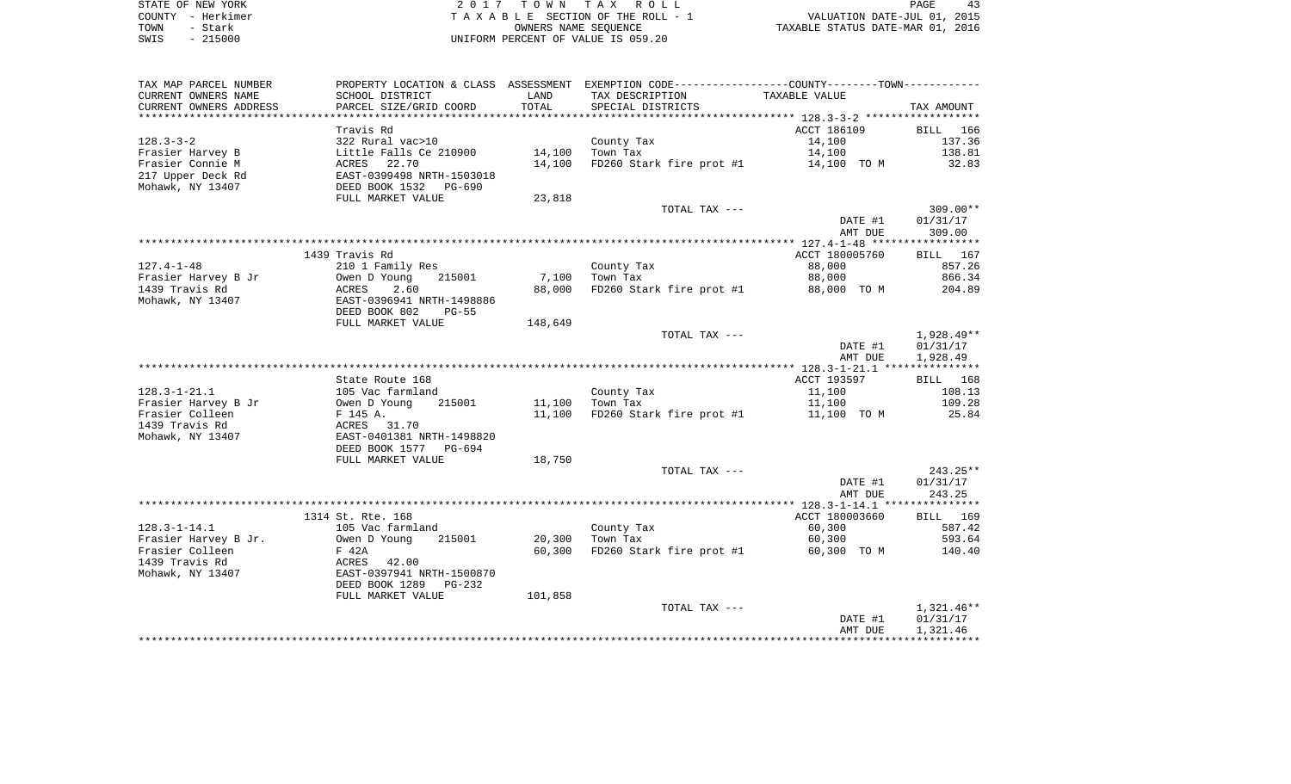| STATE OF NEW YORK | 2017 TOWN TAX ROLL                 | PAGE                             |
|-------------------|------------------------------------|----------------------------------|
| COUNTY - Herkimer | TAXABLE SECTION OF THE ROLL - 1    | VALUATION DATE-JUL 01, 2015      |
| TOWN<br>- Stark   | OWNERS NAME SEOUENCE               | TAXABLE STATUS DATE-MAR 01, 2016 |
| $-215000$<br>SWIS | UNIFORM PERCENT OF VALUE IS 059.20 |                                  |

PAGE 43

| TAX MAP PARCEL NUMBER<br>CURRENT OWNERS NAME<br>CURRENT OWNERS ADDRESS<br>************************* | SCHOOL DISTRICT<br>PARCEL SIZE/GRID COORD  | LAND<br>TOTAL | PROPERTY LOCATION & CLASS ASSESSMENT EXEMPTION CODE---------------COUNTY-------TOWN---------<br>TAX DESCRIPTION<br>SPECIAL DISTRICTS | TAXABLE VALUE    | TAX AMOUNT            |
|-----------------------------------------------------------------------------------------------------|--------------------------------------------|---------------|--------------------------------------------------------------------------------------------------------------------------------------|------------------|-----------------------|
|                                                                                                     |                                            |               |                                                                                                                                      |                  |                       |
|                                                                                                     | Travis Rd                                  |               |                                                                                                                                      | ACCT 186109      | BILL<br>166<br>137.36 |
| $128.3 - 3 - 2$<br>Frasier Harvey B                                                                 | 322 Rural vac>10<br>Little Falls Ce 210900 | 14,100        | County Tax<br>Town Tax                                                                                                               | 14,100<br>14,100 | 138.81                |
| Frasier Connie M                                                                                    | 22.70<br>ACRES                             | 14,100        | FD260 Stark fire prot #1                                                                                                             | 14,100 TO M      | 32.83                 |
| 217 Upper Deck Rd                                                                                   | EAST-0399498 NRTH-1503018                  |               |                                                                                                                                      |                  |                       |
| Mohawk, NY 13407                                                                                    | DEED BOOK 1532<br>PG-690                   |               |                                                                                                                                      |                  |                       |
|                                                                                                     | FULL MARKET VALUE                          | 23,818        |                                                                                                                                      |                  |                       |
|                                                                                                     |                                            |               | TOTAL TAX ---                                                                                                                        |                  | $309.00**$            |
|                                                                                                     |                                            |               |                                                                                                                                      | DATE #1          | 01/31/17              |
|                                                                                                     |                                            |               |                                                                                                                                      | AMT DUE          | 309.00                |
|                                                                                                     |                                            |               |                                                                                                                                      |                  |                       |
|                                                                                                     | 1439 Travis Rd                             |               |                                                                                                                                      | ACCT 180005760   | BILL 167              |
| $127.4 - 1 - 48$                                                                                    | 210 1 Family Res                           |               | County Tax                                                                                                                           | 88,000           | 857.26                |
| Frasier Harvey B Jr                                                                                 | Owen D Young<br>215001                     | 7,100         | Town Tax                                                                                                                             | 88,000           | 866.34                |
| 1439 Travis Rd                                                                                      | 2.60<br>ACRES                              | 88,000        | FD260 Stark fire prot #1                                                                                                             | 88,000 TO M      | 204.89                |
| Mohawk, NY 13407                                                                                    | EAST-0396941 NRTH-1498886                  |               |                                                                                                                                      |                  |                       |
|                                                                                                     | DEED BOOK 802<br>$PG-55$                   |               |                                                                                                                                      |                  |                       |
|                                                                                                     | FULL MARKET VALUE                          | 148,649       |                                                                                                                                      |                  |                       |
|                                                                                                     |                                            |               | TOTAL TAX ---                                                                                                                        |                  | 1,928.49**            |
|                                                                                                     |                                            |               |                                                                                                                                      | DATE #1          | 01/31/17              |
|                                                                                                     |                                            |               |                                                                                                                                      | AMT DUE          | 1,928.49              |
|                                                                                                     |                                            |               |                                                                                                                                      |                  |                       |
| $128.3 - 1 - 21.1$                                                                                  | State Route 168                            |               |                                                                                                                                      | ACCT 193597      | BILL 168<br>108.13    |
| Frasier Harvey B Jr                                                                                 | 105 Vac farmland<br>215001                 | 11,100        | County Tax<br>Town Tax                                                                                                               | 11,100<br>11,100 | 109.28                |
| Frasier Colleen                                                                                     | Owen D Young<br>F 145 A.                   | 11,100        | FD260 Stark fire prot #1                                                                                                             | 11,100 TO M      | 25.84                 |
| 1439 Travis Rd                                                                                      | ACRES 31.70                                |               |                                                                                                                                      |                  |                       |
| Mohawk, NY 13407                                                                                    | EAST-0401381 NRTH-1498820                  |               |                                                                                                                                      |                  |                       |
|                                                                                                     | DEED BOOK 1577<br>PG-694                   |               |                                                                                                                                      |                  |                       |
|                                                                                                     | FULL MARKET VALUE                          | 18,750        |                                                                                                                                      |                  |                       |
|                                                                                                     |                                            |               | TOTAL TAX ---                                                                                                                        |                  | $243.25**$            |
|                                                                                                     |                                            |               |                                                                                                                                      | DATE #1          | 01/31/17              |
|                                                                                                     |                                            |               |                                                                                                                                      | AMT DUE          | 243.25                |
|                                                                                                     |                                            |               |                                                                                                                                      |                  |                       |
|                                                                                                     | 1314 St. Rte. 168                          |               |                                                                                                                                      | ACCT 180003660   | BILL 169              |
| $128.3 - 1 - 14.1$                                                                                  | 105 Vac farmland                           |               | County Tax                                                                                                                           | 60,300           | 587.42                |
| Frasier Harvey B Jr.                                                                                | Owen D Young<br>215001                     | 20,300        | Town Tax                                                                                                                             | 60,300           | 593.64                |
| Frasier Colleen                                                                                     | F 42A                                      | 60,300        | FD260 Stark fire prot #1                                                                                                             | 60,300 TO M      | 140.40                |
| 1439 Travis Rd                                                                                      | ACRES<br>42.00                             |               |                                                                                                                                      |                  |                       |
| Mohawk, NY 13407                                                                                    | EAST-0397941 NRTH-1500870                  |               |                                                                                                                                      |                  |                       |
|                                                                                                     | DEED BOOK 1289<br>PG-232                   |               |                                                                                                                                      |                  |                       |
|                                                                                                     | FULL MARKET VALUE                          | 101,858       |                                                                                                                                      |                  |                       |
|                                                                                                     |                                            |               | TOTAL TAX ---                                                                                                                        |                  | $1,321.46**$          |
|                                                                                                     |                                            |               |                                                                                                                                      | DATE #1          | 01/31/17              |
|                                                                                                     |                                            |               |                                                                                                                                      | AMT DUE          | 1,321.46              |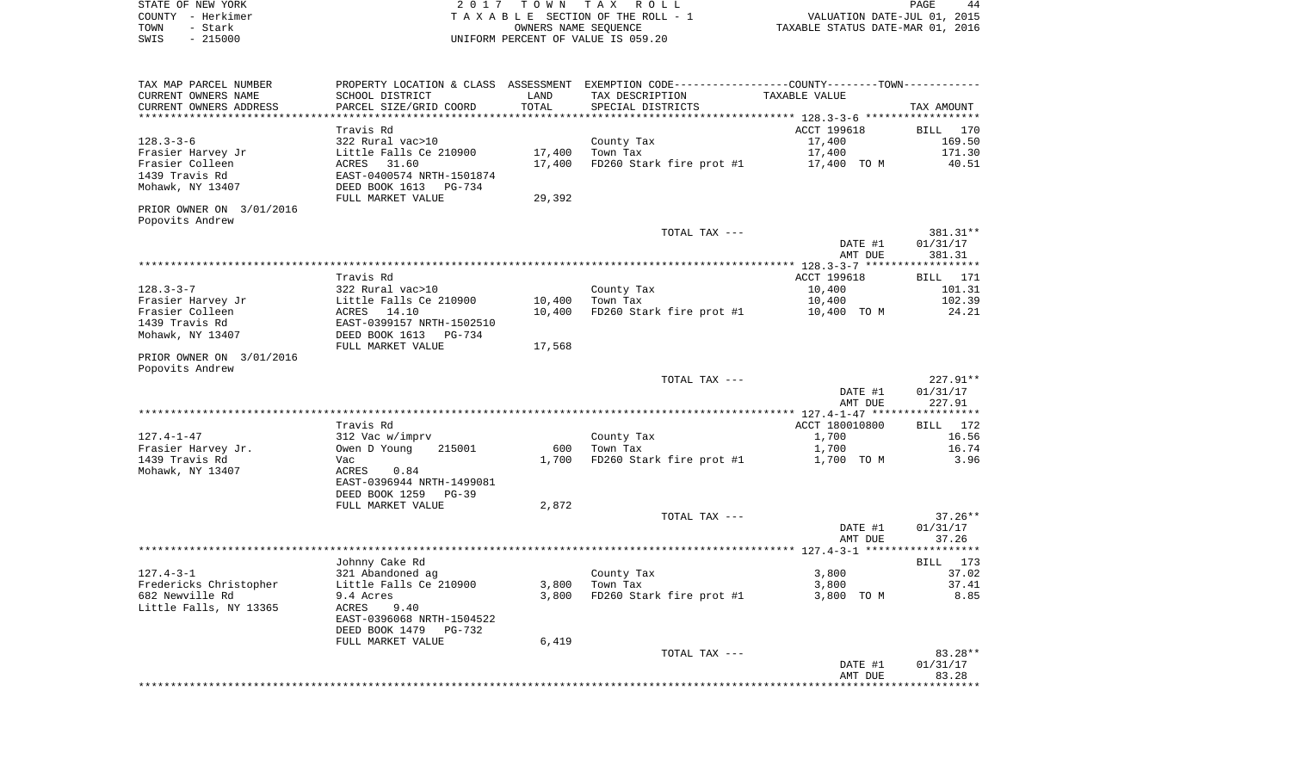STATE OF NEW YORK **EXECUTE:** A 2 0 1 7 T O W N T A X R O L L COUNTY - Herkimer T A X A B L E SECTION OF THE ROLL - 1 VALUATION DATE-JUL 01, 2015 TOWN - STARK OUR COLL - 1<br>
TAXABLE STATUS DATE-JUL 01, 2015<br>
OWNERS NAME SEQUENCE TAXABLE STATUS DATE-MAR 01, 2016 SWIS - 215000 UNIFORM PERCENT OF VALUE IS 059.20

PAGE 44

| TAX MAP PARCEL NUMBER    |                           |        | PROPERTY LOCATION & CLASS ASSESSMENT EXEMPTION CODE-----------------COUNTY-------TOWN----------- |                                               |             |
|--------------------------|---------------------------|--------|--------------------------------------------------------------------------------------------------|-----------------------------------------------|-------------|
| CURRENT OWNERS NAME      | SCHOOL DISTRICT           | LAND   | TAX DESCRIPTION                                                                                  | TAXABLE VALUE                                 |             |
| CURRENT OWNERS ADDRESS   | PARCEL SIZE/GRID COORD    | TOTAL  | SPECIAL DISTRICTS                                                                                |                                               | TAX AMOUNT  |
|                          |                           |        |                                                                                                  |                                               |             |
|                          | Travis Rd                 |        |                                                                                                  | ACCT 199618                                   | BILL<br>170 |
| $128.3 - 3 - 6$          | 322 Rural vac>10          |        | County Tax                                                                                       | 17,400                                        | 169.50      |
| Frasier Harvey Jr        | Little Falls Ce 210900    | 17,400 | Town Tax                                                                                         | 17,400                                        | 171.30      |
| Frasier Colleen          | ACRES 31.60               | 17,400 | FD260 Stark fire prot #1                                                                         | 17,400 TO M                                   | 40.51       |
| 1439 Travis Rd           | EAST-0400574 NRTH-1501874 |        |                                                                                                  |                                               |             |
|                          |                           |        |                                                                                                  |                                               |             |
| Mohawk, NY 13407         | DEED BOOK 1613 PG-734     |        |                                                                                                  |                                               |             |
|                          | FULL MARKET VALUE         | 29,392 |                                                                                                  |                                               |             |
| PRIOR OWNER ON 3/01/2016 |                           |        |                                                                                                  |                                               |             |
| Popovits Andrew          |                           |        |                                                                                                  |                                               |             |
|                          |                           |        | TOTAL TAX ---                                                                                    |                                               | 381.31**    |
|                          |                           |        |                                                                                                  | DATE #1                                       | 01/31/17    |
|                          |                           |        |                                                                                                  | AMT DUE                                       | 381.31      |
|                          |                           |        |                                                                                                  |                                               |             |
|                          | Travis Rd                 |        |                                                                                                  | ACCT 199618                                   | BILL 171    |
| $128.3 - 3 - 7$          | 322 Rural vac>10          |        | County Tax                                                                                       | 10,400                                        | 101.31      |
| Frasier Harvey Jr        | Little Falls Ce 210900    | 10,400 | Town Tax                                                                                         | 10,400                                        | 102.39      |
| Frasier Colleen          | ACRES 14.10               | 10,400 | FD260 Stark fire prot #1                                                                         | 10,400 TO M                                   | 24.21       |
| 1439 Travis Rd           | EAST-0399157 NRTH-1502510 |        |                                                                                                  |                                               |             |
| Mohawk, NY 13407         | DEED BOOK 1613 PG-734     |        |                                                                                                  |                                               |             |
|                          | FULL MARKET VALUE         | 17,568 |                                                                                                  |                                               |             |
| PRIOR OWNER ON 3/01/2016 |                           |        |                                                                                                  |                                               |             |
| Popovits Andrew          |                           |        |                                                                                                  |                                               |             |
|                          |                           |        | TOTAL TAX ---                                                                                    |                                               | 227.91**    |
|                          |                           |        |                                                                                                  |                                               |             |
|                          |                           |        |                                                                                                  | DATE #1                                       | 01/31/17    |
|                          | ***********************   |        | ********************************                                                                 | AMT DUE                                       | 227.91      |
|                          |                           |        |                                                                                                  | *************** 127.4-1-47 ****************** |             |
|                          | Travis Rd                 |        |                                                                                                  | ACCT 180010800                                | BILL 172    |
| $127.4 - 1 - 47$         | 312 Vac w/imprv           |        | County Tax                                                                                       | 1,700                                         | 16.56       |
| Frasier Harvey Jr.       | Owen D Young<br>215001    | 600    | Town Tax                                                                                         | 1,700                                         | 16.74       |
| 1439 Travis Rd           | Vac                       | 1,700  | FD260 Stark fire prot #1                                                                         | 1,700 TO M                                    | 3.96        |
| Mohawk, NY 13407         | ACRES<br>0.84             |        |                                                                                                  |                                               |             |
|                          | EAST-0396944 NRTH-1499081 |        |                                                                                                  |                                               |             |
|                          | DEED BOOK 1259<br>$PG-39$ |        |                                                                                                  |                                               |             |
|                          | FULL MARKET VALUE         | 2,872  |                                                                                                  |                                               |             |
|                          |                           |        | TOTAL TAX ---                                                                                    |                                               | $37.26**$   |
|                          |                           |        |                                                                                                  | DATE #1                                       | 01/31/17    |
|                          |                           |        |                                                                                                  | AMT DUE                                       | 37.26       |
|                          |                           |        |                                                                                                  |                                               | *********** |
|                          | Johnny Cake Rd            |        |                                                                                                  |                                               | BILL 173    |
| $127.4 - 3 - 1$          | 321 Abandoned ag          |        | County Tax                                                                                       | 3,800                                         | 37.02       |
| Fredericks Christopher   | Little Falls Ce 210900    | 3,800  | Town Tax                                                                                         | 3,800                                         | 37.41       |
| 682 Newville Rd          | 9.4 Acres                 | 3,800  | FD260 Stark fire prot #1                                                                         | 3,800 TO M                                    | 8.85        |
| Little Falls, NY 13365   | <b>ACRES</b><br>9.40      |        |                                                                                                  |                                               |             |
|                          | EAST-0396068 NRTH-1504522 |        |                                                                                                  |                                               |             |
|                          |                           |        |                                                                                                  |                                               |             |
|                          | DEED BOOK 1479<br>PG-732  |        |                                                                                                  |                                               |             |
|                          | FULL MARKET VALUE         | 6,419  |                                                                                                  |                                               |             |
|                          |                           |        | TOTAL TAX ---                                                                                    |                                               | 83.28**     |
|                          |                           |        |                                                                                                  | DATE #1                                       | 01/31/17    |
|                          |                           |        |                                                                                                  | AMT DUE                                       | 83.28       |
|                          |                           |        |                                                                                                  |                                               |             |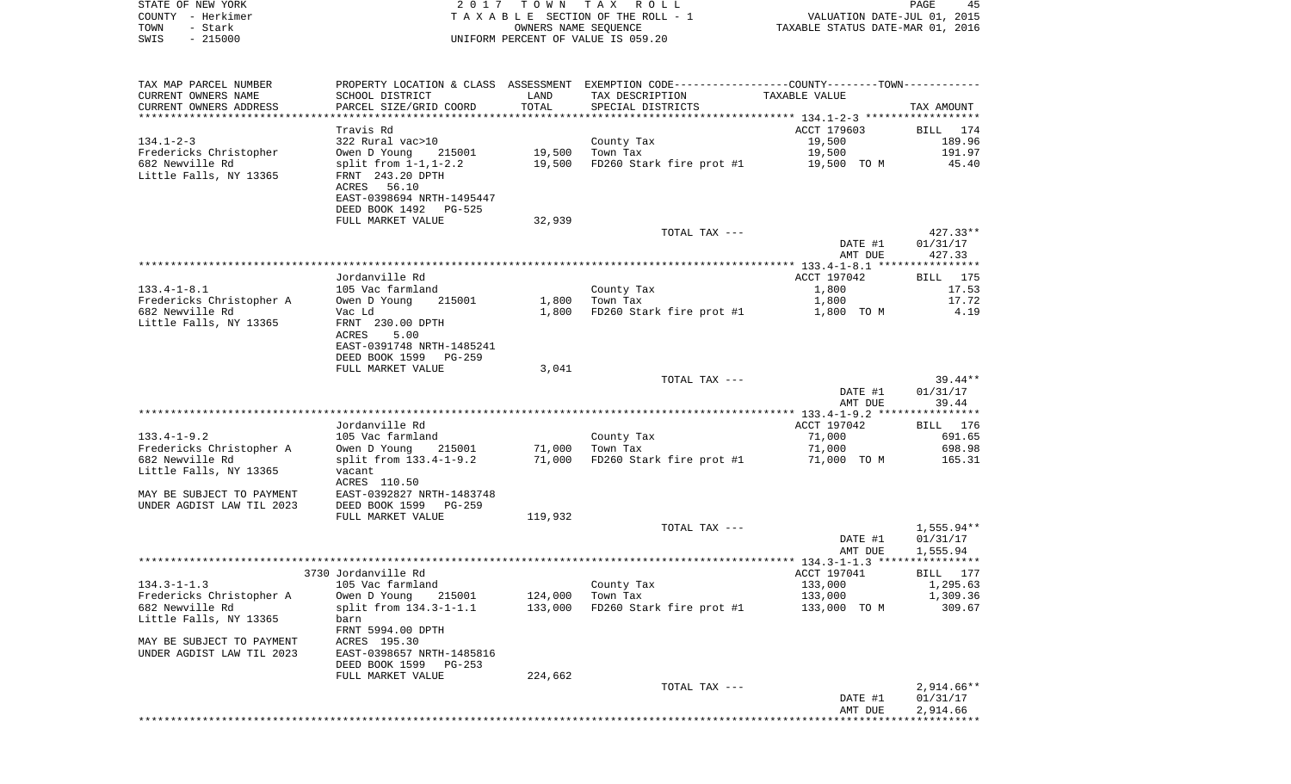|      | STATE OF NEW YORK | 2017 TOWN TAX ROLL                 | 45<br>PAGE                       |
|------|-------------------|------------------------------------|----------------------------------|
|      | COUNTY - Herkimer | TAXABLE SECTION OF THE ROLL - 1    | VALUATION DATE-JUL 01, 2015      |
| TOWN | – Stark           | OWNERS NAME SEOUENCE               | TAXABLE STATUS DATE-MAR 01, 2016 |
| SWIS | - 215000          | UNIFORM PERCENT OF VALUE IS 059.20 |                                  |
|      |                   |                                    |                                  |
|      |                   |                                    |                                  |

| TAX MAP PARCEL NUMBER     | PROPERTY LOCATION & CLASS ASSESSMENT EXEMPTION CODE----------------COUNTY-------TOWN---------- |         |                                        |               |              |
|---------------------------|------------------------------------------------------------------------------------------------|---------|----------------------------------------|---------------|--------------|
| CURRENT OWNERS NAME       | SCHOOL DISTRICT                                                                                | LAND    | TAX DESCRIPTION                        | TAXABLE VALUE |              |
| CURRENT OWNERS ADDRESS    | PARCEL SIZE/GRID COORD                                                                         | TOTAL   | SPECIAL DISTRICTS                      |               | TAX AMOUNT   |
|                           |                                                                                                |         |                                        |               |              |
|                           | Travis Rd                                                                                      |         |                                        | ACCT 179603   | BILL 174     |
| $134.1 - 2 - 3$           | 322 Rural vac>10                                                                               |         | County Tax                             | 19,500        | 189.96       |
| Fredericks Christopher    | Owen D Young 215001                                                                            | 19,500  | Town Tax                               | 19,500        | 191.97       |
|                           |                                                                                                |         | FD260 Stark fire prot #1 $19,500$ TO M |               |              |
| 682 Newville Rd           | split from $1-1, 1-2.2$                                                                        | 19,500  |                                        |               | 45.40        |
| Little Falls, NY 13365    | FRNT 243.20 DPTH                                                                               |         |                                        |               |              |
|                           | ACRES 56.10                                                                                    |         |                                        |               |              |
|                           | EAST-0398694 NRTH-1495447                                                                      |         |                                        |               |              |
|                           | DEED BOOK 1492 PG-525                                                                          |         |                                        |               |              |
|                           | FULL MARKET VALUE                                                                              | 32,939  |                                        |               |              |
|                           |                                                                                                |         | TOTAL TAX ---                          |               | 427.33**     |
|                           |                                                                                                |         |                                        | DATE #1       | 01/31/17     |
|                           |                                                                                                |         |                                        | AMT DUE       | 427.33       |
|                           |                                                                                                |         |                                        |               |              |
|                           | Jordanville Rd                                                                                 |         |                                        | ACCT 197042   | BILL 175     |
| $133.4 - 1 - 8.1$         | 105 Vac farmland                                                                               |         |                                        | 1,800         | 17.53        |
|                           |                                                                                                |         | County Tax                             |               |              |
| Fredericks Christopher A  | Owen D Young<br>215001                                                                         |         | 1,800 Town Tax                         | 1,800         | 17.72        |
| 682 Newville Rd           | Vac Ld                                                                                         | 1,800   | FD260 Stark fire prot #1 1,800 TO M    |               | 4.19         |
| Little Falls, NY 13365    | FRNT 230.00 DPTH                                                                               |         |                                        |               |              |
|                           | ACRES<br>5.00                                                                                  |         |                                        |               |              |
|                           | EAST-0391748 NRTH-1485241                                                                      |         |                                        |               |              |
|                           | DEED BOOK 1599 PG-259                                                                          |         |                                        |               |              |
|                           | FULL MARKET VALUE                                                                              | 3,041   |                                        |               |              |
|                           |                                                                                                |         | TOTAL TAX ---                          |               | $39.44**$    |
|                           |                                                                                                |         |                                        | DATE #1       | 01/31/17     |
|                           |                                                                                                |         |                                        | AMT DUE       | 39.44        |
|                           |                                                                                                |         |                                        |               |              |
|                           | Jordanville Rd                                                                                 |         |                                        | ACCT 197042   | BILL 176     |
| $133.4 - 1 - 9.2$         | 105 Vac farmland                                                                               |         | County Tax                             | 71,000        | 691.65       |
|                           |                                                                                                | 71,000  | Town Tax                               |               | 698.98       |
| Fredericks Christopher A  | Owen D Young 215001                                                                            |         |                                        | 71,000        |              |
| 682 Newville Rd           | split from 133.4-1-9.2                                                                         | 71,000  | FD260 Stark fire prot #1 71,000 TO M   |               | 165.31       |
| Little Falls, NY 13365    | vacant                                                                                         |         |                                        |               |              |
|                           | ACRES 110.50                                                                                   |         |                                        |               |              |
| MAY BE SUBJECT TO PAYMENT | EAST-0392827 NRTH-1483748                                                                      |         |                                        |               |              |
| UNDER AGDIST LAW TIL 2023 | DEED BOOK 1599 PG-259                                                                          |         |                                        |               |              |
|                           | FULL MARKET VALUE                                                                              | 119,932 |                                        |               |              |
|                           |                                                                                                |         | TOTAL TAX ---                          |               | 1,555.94**   |
|                           |                                                                                                |         |                                        | DATE #1       | 01/31/17     |
|                           |                                                                                                |         |                                        | AMT DUE       | 1,555.94     |
|                           |                                                                                                |         |                                        |               |              |
|                           | 3730 Jordanville Rd                                                                            |         |                                        | ACCT 197041   | BILL 177     |
| $134.3 - 1 - 1.3$         | 105 Vac farmland                                                                               |         | County Tax                             | 133,000       | 1,295.63     |
|                           |                                                                                                |         | 124,000 Town Tax                       |               | 1,309.36     |
| Fredericks Christopher A  | Owen D Young 215001                                                                            |         |                                        | 133,000       |              |
| 682 Newville Rd           | split from 134.3-1-1.1                                                                         | 133,000 | FD260 Stark fire prot #1               | 133,000 TO M  | 309.67       |
| Little Falls, NY 13365    | barn                                                                                           |         |                                        |               |              |
|                           | FRNT 5994.00 DPTH                                                                              |         |                                        |               |              |
| MAY BE SUBJECT TO PAYMENT | ACRES 195.30                                                                                   |         |                                        |               |              |
| UNDER AGDIST LAW TIL 2023 | EAST-0398657 NRTH-1485816                                                                      |         |                                        |               |              |
|                           | DEED BOOK 1599 PG-253                                                                          |         |                                        |               |              |
|                           | FULL MARKET VALUE                                                                              | 224,662 |                                        |               |              |
|                           |                                                                                                |         | TOTAL TAX ---                          |               | $2,914.66**$ |
|                           |                                                                                                |         |                                        | DATE #1       | 01/31/17     |
|                           |                                                                                                |         |                                        | AMT DUE       | 2,914.66     |
|                           |                                                                                                |         |                                        |               |              |
|                           |                                                                                                |         |                                        |               |              |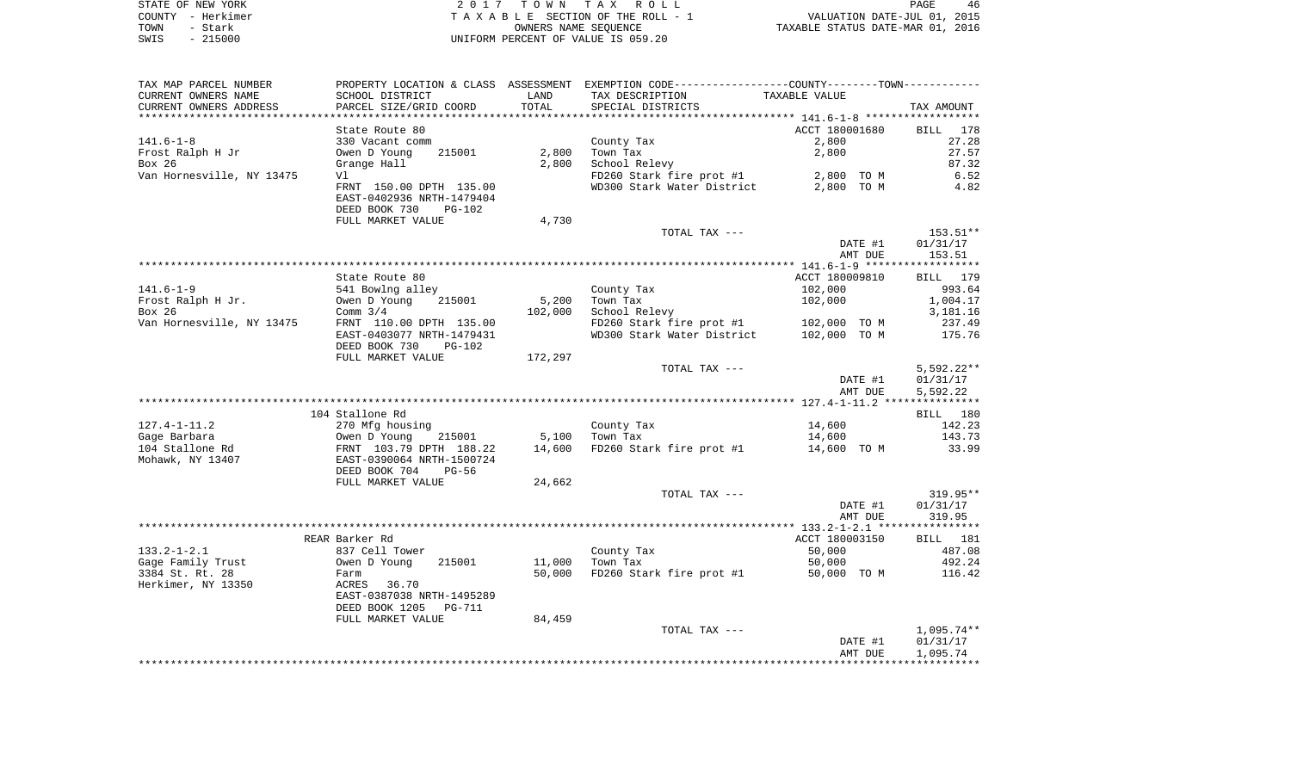| STATE OF NEW YORK     | 2017 TOWN TAX ROLL                   | 46<br>PAGE                                                   |
|-----------------------|--------------------------------------|--------------------------------------------------------------|
| – Herkimer<br>COUNTY  | TAXABLE SECTION OF THE ROLL - 1      | VALUATION DATE-JUL 01, 2015                                  |
| - Stark<br>TOWN       | OWNERS NAME SEOUENCE                 | TAXABLE STATUS DATE-MAR 01, 2016                             |
| $-215000$<br>SWIS     | UNIFORM PERCENT OF VALUE IS 059.20   |                                                              |
|                       |                                      |                                                              |
|                       |                                      |                                                              |
| TAX MAP PARCEL NUMBER | PROPERTY LOCATION & CLASS ASSESSMENT | EXEMPTION CODE-----------------COUNTY--------TOWN----------- |

| CURRENT OWNERS NAME       | SCHOOL DISTRICT           | LAND    | TAX DESCRIPTION            | TAXABLE VALUE  |                    |
|---------------------------|---------------------------|---------|----------------------------|----------------|--------------------|
| CURRENT OWNERS ADDRESS    | PARCEL SIZE/GRID COORD    | TOTAL   | SPECIAL DISTRICTS          |                | TAX AMOUNT         |
| *************             |                           |         |                            |                |                    |
|                           | State Route 80            |         |                            | ACCT 180001680 | <b>BILL</b><br>178 |
| $141.6 - 1 - 8$           | 330 Vacant comm           |         | County Tax                 | 2,800          | 27.28              |
| Frost Ralph H Jr          | 215001<br>Owen D Young    | 2,800   | Town Tax                   | 2,800          | 27.57              |
| Box 26                    | Grange Hall               | 2,800   | School Relevy              |                | 87.32              |
| Van Hornesville, NY 13475 | V1                        |         | FD260 Stark fire prot #1   | 2,800 TO M     | 6.52               |
|                           | FRNT 150.00 DPTH 135.00   |         | WD300 Stark Water District | 2,800 TO M     | 4.82               |
|                           |                           |         |                            |                |                    |
|                           | EAST-0402936 NRTH-1479404 |         |                            |                |                    |
|                           | DEED BOOK 730<br>$PG-102$ |         |                            |                |                    |
|                           | FULL MARKET VALUE         | 4,730   |                            |                |                    |
|                           |                           |         | TOTAL TAX ---              |                | 153.51**           |
|                           |                           |         |                            | DATE #1        | 01/31/17           |
|                           |                           |         |                            | AMT DUE        | 153.51             |
|                           |                           |         |                            |                |                    |
|                           | State Route 80            |         |                            | ACCT 180009810 | BILL 179           |
| $141.6 - 1 - 9$           | 541 Bowlng alley          |         | County Tax                 | 102,000        | 993.64             |
| Frost Ralph H Jr.         | Owen D Young<br>215001    | 5,200   | Town Tax                   | 102,000        | 1,004.17           |
| Box 26                    | Comm $3/4$                | 102,000 | School Relevy              |                | 3,181.16           |
| Van Hornesville, NY 13475 | FRNT 110.00 DPTH 135.00   |         | FD260 Stark fire prot #1   | 102,000 TO M   | 237.49             |
|                           | EAST-0403077 NRTH-1479431 |         | WD300 Stark Water District | 102,000 TO M   | 175.76             |
|                           |                           |         |                            |                |                    |
|                           | DEED BOOK 730<br>PG-102   |         |                            |                |                    |
|                           | FULL MARKET VALUE         | 172,297 |                            |                |                    |
|                           |                           |         | TOTAL TAX ---              |                | $5,592.22**$       |
|                           |                           |         |                            | DATE #1        | 01/31/17           |
|                           |                           |         |                            | AMT DUE        | 5,592.22           |
|                           |                           |         |                            |                |                    |
|                           | 104 Stallone Rd           |         |                            |                | BILL 180           |
| $127.4 - 1 - 11.2$        | 270 Mfg housing           |         | County Tax                 | 14,600         | 142.23             |
| Gage Barbara              | Owen D Young<br>215001    | 5,100   | Town Tax                   | 14,600         | 143.73             |
| 104 Stallone Rd           | FRNT 103.79 DPTH 188.22   | 14,600  | FD260 Stark fire prot #1   | 14,600 TO M    | 33.99              |
| Mohawk, NY 13407          | EAST-0390064 NRTH-1500724 |         |                            |                |                    |
|                           | DEED BOOK 704<br>$PG-56$  |         |                            |                |                    |
|                           | FULL MARKET VALUE         | 24,662  |                            |                |                    |
|                           |                           |         | TOTAL TAX ---              |                | 319.95**           |
|                           |                           |         |                            | DATE #1        | 01/31/17           |
|                           |                           |         |                            | AMT DUE        | 319.95             |
|                           |                           |         |                            |                |                    |
|                           | REAR Barker Rd            |         |                            | ACCT 180003150 | BILL 181           |
| $133.2 - 1 - 2.1$         |                           |         |                            |                |                    |
|                           | 837 Cell Tower            |         | County Tax                 | 50,000         | 487.08             |
| Gage Family Trust         | Owen D Young<br>215001    | 11,000  | Town Tax                   | 50,000         | 492.24             |
| 3384 St. Rt. 28           | Farm                      | 50,000  | FD260 Stark fire prot #1   | 50,000 TO M    | 116.42             |
| Herkimer, NY 13350        | ACRES<br>36.70            |         |                            |                |                    |
|                           | EAST-0387038 NRTH-1495289 |         |                            |                |                    |
|                           | DEED BOOK 1205<br>PG-711  |         |                            |                |                    |
|                           | FULL MARKET VALUE         | 84,459  |                            |                |                    |
|                           |                           |         | TOTAL TAX ---              |                | $1,095.74**$       |
|                           |                           |         |                            | DATE #1        | 01/31/17           |
|                           |                           |         |                            | AMT DUE        | 1,095.74           |
|                           |                           |         |                            |                |                    |
|                           |                           |         |                            |                |                    |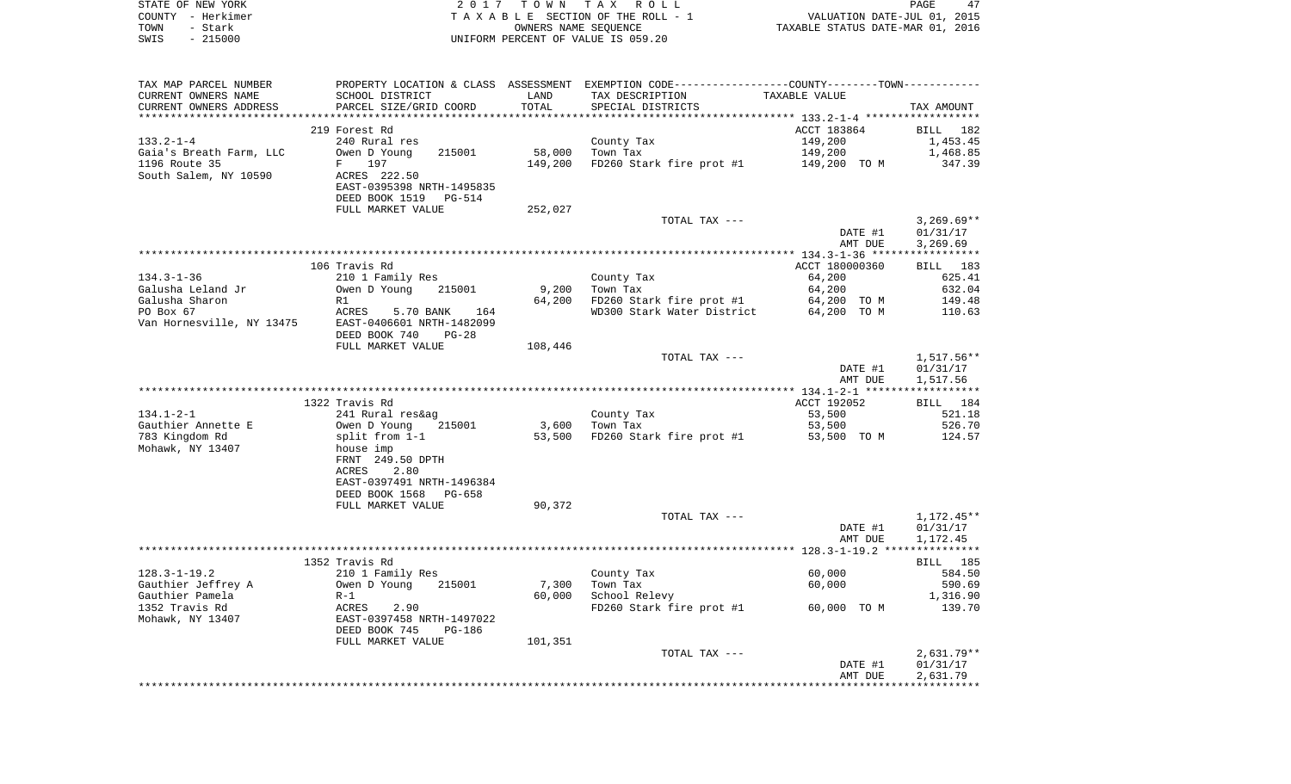|      | STATE OF NEW YORK | 2017 TOWN TAX ROLL                 | PAGE                             |
|------|-------------------|------------------------------------|----------------------------------|
|      | COUNTY – Herkimer | TAXABLE SECTION OF THE ROLL - 1    | VALUATION DATE-JUL 01, 2015      |
| TOWN | - Stark           | OWNERS NAME SEOUENCE               | TAXABLE STATUS DATE-MAR 01, 2016 |
| SWIS | $-215000$         | UNIFORM PERCENT OF VALUE IS 059.20 |                                  |

| TAX MAP PARCEL NUMBER                  |                                                                                                   |         | PROPERTY LOCATION & CLASS ASSESSMENT EXEMPTION CODE---------------COUNTY-------TOWN---------- |                    |                                    |
|----------------------------------------|---------------------------------------------------------------------------------------------------|---------|-----------------------------------------------------------------------------------------------|--------------------|------------------------------------|
| CURRENT OWNERS NAME                    | SCHOOL DISTRICT                                                                                   | LAND    | TAX DESCRIPTION                                                                               | TAXABLE VALUE      |                                    |
| CURRENT OWNERS ADDRESS                 | PARCEL SIZE/GRID COORD                                                                            | TOTAL   | SPECIAL DISTRICTS                                                                             |                    | TAX AMOUNT                         |
|                                        |                                                                                                   |         |                                                                                               |                    |                                    |
|                                        | 219 Forest Rd                                                                                     |         |                                                                                               | ACCT 183864        | BILL 182                           |
| $133.2 - 1 - 4$                        | 240 Rural res                                                                                     |         | County Tax                                                                                    | 149,200            | 1,453.45                           |
| Gaia's Breath Farm, LLC                | 215001<br>Owen D Young                                                                            | 58,000  | Town Tax                                                                                      | 149,200            | 1,468.85                           |
| 1196 Route 35                          | 197<br>$F$ and                                                                                    | 149,200 | FD260 Stark fire prot #1                                                                      | 149,200 TO M       | 347.39                             |
| South Salem, NY 10590                  | ACRES 222.50<br>EAST-0395398 NRTH-1495835<br>DEED BOOK 1519<br><b>PG-514</b><br>FULL MARKET VALUE | 252,027 |                                                                                               |                    |                                    |
|                                        |                                                                                                   |         | TOTAL TAX ---                                                                                 |                    | $3,269.69**$                       |
|                                        |                                                                                                   |         |                                                                                               | DATE #1<br>AMT DUE | 01/31/17<br>3,269.69               |
|                                        |                                                                                                   |         |                                                                                               |                    |                                    |
|                                        | 106 Travis Rd                                                                                     |         |                                                                                               | ACCT 180000360     | BILL 183                           |
| $134.3 - 1 - 36$                       | 210 1 Family Res                                                                                  |         | County Tax                                                                                    | 64,200             | 625.41                             |
| Galusha Leland Jr                      | Owen D Young<br>215001                                                                            | 9,200   | Town Tax                                                                                      | 64,200             | 632.04                             |
| Galusha Sharon                         | R1                                                                                                | 64,200  | FD260 Stark fire prot #1                                                                      | 64,200 TO M        | 149.48                             |
| PO Box 67<br>Van Hornesville, NY 13475 | ACRES<br>5.70 BANK<br>164<br>EAST-0406601 NRTH-1482099<br>DEED BOOK 740<br>$PG-28$                |         | WD300 Stark Water District                                                                    | 64,200 TO M        | 110.63                             |
|                                        | FULL MARKET VALUE                                                                                 | 108,446 |                                                                                               |                    |                                    |
|                                        |                                                                                                   |         | TOTAL TAX ---                                                                                 |                    | $1,517.56**$                       |
|                                        |                                                                                                   |         |                                                                                               | DATE #1<br>AMT DUE | 01/31/17<br>1,517.56               |
|                                        |                                                                                                   |         |                                                                                               |                    |                                    |
|                                        | 1322 Travis Rd                                                                                    |         |                                                                                               | ACCT 192052        | BILL 184                           |
| $134.1 - 2 - 1$                        | 241 Rural res&ag                                                                                  |         | County Tax                                                                                    | 53,500             | 521.18                             |
| Gauthier Annette E                     | 215001<br>Owen D Young                                                                            | 3,600   | Town Tax                                                                                      | 53,500             | 526.70                             |
| 783 Kingdom Rd                         | split from 1-1                                                                                    |         | 53,500 FD260 Stark fire prot #1                                                               | 53,500 TO M        | 124.57                             |
| Mohawk, NY 13407                       | house imp<br>FRNT 249.50 DPTH<br>2.80<br>ACRES<br>EAST-0397491 NRTH-1496384                       |         |                                                                                               |                    |                                    |
|                                        | DEED BOOK 1568<br>PG-658                                                                          |         |                                                                                               |                    |                                    |
|                                        | FULL MARKET VALUE                                                                                 | 90,372  |                                                                                               |                    |                                    |
|                                        |                                                                                                   |         | TOTAL TAX ---                                                                                 | DATE #1<br>AMT DUE | 1,172.45**<br>01/31/17<br>1,172.45 |
|                                        |                                                                                                   |         |                                                                                               |                    |                                    |
|                                        | 1352 Travis Rd                                                                                    |         |                                                                                               |                    | <b>BILL</b> 185                    |
| $128.3 - 1 - 19.2$                     | 210 1 Family Res                                                                                  |         | County Tax                                                                                    | 60,000             | 584.50                             |
| Gauthier Jeffrey A                     | 215001<br>Owen D Young                                                                            | 7,300   | Town Tax                                                                                      | 60,000             | 590.69                             |
| Gauthier Pamela<br>1352 Travis Rd      | $R-1$                                                                                             | 60,000  | School Relevy                                                                                 |                    | 1,316.90<br>139.70                 |
| Mohawk, NY 13407                       | ACRES 2.90<br>EAST-0397458 NRTH-1497022<br>DEED BOOK 745<br>PG-186                                |         | FD260 Stark fire prot #1 60,000 TO M                                                          |                    |                                    |
|                                        | FULL MARKET VALUE                                                                                 | 101,351 |                                                                                               |                    |                                    |
|                                        |                                                                                                   |         | TOTAL TAX ---                                                                                 |                    | $2,631.79**$                       |
|                                        |                                                                                                   |         |                                                                                               | DATE #1            | 01/31/17                           |
|                                        |                                                                                                   |         |                                                                                               | AMT DUE            | 2,631.79                           |
|                                        |                                                                                                   |         |                                                                                               |                    |                                    |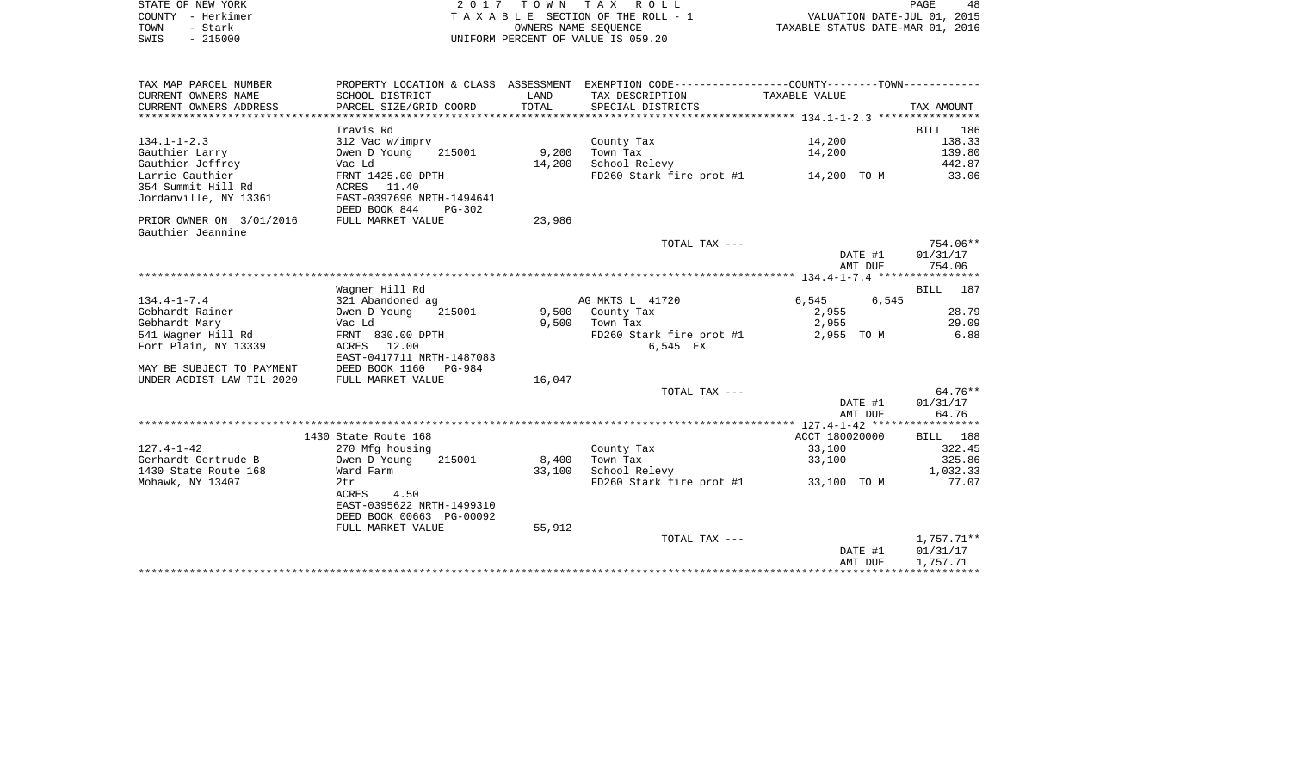| STATE OF NEW YORK | 2017 TOWN TAX ROLL                 | 48<br>PAGE                       |
|-------------------|------------------------------------|----------------------------------|
| COUNTY - Herkimer | TAXABLE SECTION OF THE ROLL - 1    | VALUATION DATE-JUL 01, 2015      |
| TOWN<br>- Stark   | OWNERS NAME SEOUENCE               | TAXABLE STATUS DATE-MAR 01, 2016 |
| SWIS<br>$-215000$ | UNIFORM PERCENT OF VALUE IS 059.20 |                                  |

 $\begin{array}{c} 48 \\ 2015 \\ 2016 \end{array}$ 

| CURRENT OWNERS NAME<br>SCHOOL DISTRICT<br>LAND<br>TAX DESCRIPTION<br>TAXABLE VALUE<br>CURRENT OWNERS ADDRESS<br>TOTAL<br>PARCEL SIZE/GRID COORD<br>SPECIAL DISTRICTS<br>TAX AMOUNT<br>Travis Rd<br>BILL 186<br>14,200<br>$134.1 - 1 - 2.3$<br>312 Vac w/imprv<br>138.33<br>County Tax<br>Gauthier Larry<br>9,200<br>14,200<br>139.80<br>Owen D Young<br>215001<br>Town Tax<br>Gauthier Jeffrey<br>School Relevy<br>442.87<br>Vac Ld<br>14,200<br>Larrie Gauthier<br>FRNT 1425.00 DPTH<br>FD260 Stark fire prot #1 14,200 TO M 33.06<br>354 Summit Hill Rd<br>ACRES 11.40<br>Jordanville, NY 13361<br>EAST-0397696 NRTH-1494641<br>DEED BOOK 844<br>PG-302<br>FULL MARKET VALUE<br>23,986<br>PRIOR OWNER ON 3/01/2016<br>Gauthier Jeannine<br>754.06**<br>TOTAL TAX ---<br>01/31/17<br>DATE #1<br>AMT DUE<br>754.06<br>Wagner Hill Rd<br>BILL 187<br>$134.4 - 1 - 7.4$<br>AG MKTS L 41720<br>6,545 6,545<br>321 Abandoned ag<br>Gebhardt Rainer<br>215001<br>9,500 County Tax<br>2,955<br>Owen D Young<br>2,955<br>Gebhardt Mary<br>Vac Ld<br>9,500<br>Town Tax | 28.79 |
|----------------------------------------------------------------------------------------------------------------------------------------------------------------------------------------------------------------------------------------------------------------------------------------------------------------------------------------------------------------------------------------------------------------------------------------------------------------------------------------------------------------------------------------------------------------------------------------------------------------------------------------------------------------------------------------------------------------------------------------------------------------------------------------------------------------------------------------------------------------------------------------------------------------------------------------------------------------------------------------------------------------------------------------------------------------|-------|
|                                                                                                                                                                                                                                                                                                                                                                                                                                                                                                                                                                                                                                                                                                                                                                                                                                                                                                                                                                                                                                                                |       |
|                                                                                                                                                                                                                                                                                                                                                                                                                                                                                                                                                                                                                                                                                                                                                                                                                                                                                                                                                                                                                                                                |       |
|                                                                                                                                                                                                                                                                                                                                                                                                                                                                                                                                                                                                                                                                                                                                                                                                                                                                                                                                                                                                                                                                |       |
|                                                                                                                                                                                                                                                                                                                                                                                                                                                                                                                                                                                                                                                                                                                                                                                                                                                                                                                                                                                                                                                                |       |
|                                                                                                                                                                                                                                                                                                                                                                                                                                                                                                                                                                                                                                                                                                                                                                                                                                                                                                                                                                                                                                                                |       |
|                                                                                                                                                                                                                                                                                                                                                                                                                                                                                                                                                                                                                                                                                                                                                                                                                                                                                                                                                                                                                                                                |       |
|                                                                                                                                                                                                                                                                                                                                                                                                                                                                                                                                                                                                                                                                                                                                                                                                                                                                                                                                                                                                                                                                |       |
|                                                                                                                                                                                                                                                                                                                                                                                                                                                                                                                                                                                                                                                                                                                                                                                                                                                                                                                                                                                                                                                                |       |
|                                                                                                                                                                                                                                                                                                                                                                                                                                                                                                                                                                                                                                                                                                                                                                                                                                                                                                                                                                                                                                                                |       |
|                                                                                                                                                                                                                                                                                                                                                                                                                                                                                                                                                                                                                                                                                                                                                                                                                                                                                                                                                                                                                                                                |       |
|                                                                                                                                                                                                                                                                                                                                                                                                                                                                                                                                                                                                                                                                                                                                                                                                                                                                                                                                                                                                                                                                |       |
|                                                                                                                                                                                                                                                                                                                                                                                                                                                                                                                                                                                                                                                                                                                                                                                                                                                                                                                                                                                                                                                                |       |
|                                                                                                                                                                                                                                                                                                                                                                                                                                                                                                                                                                                                                                                                                                                                                                                                                                                                                                                                                                                                                                                                |       |
|                                                                                                                                                                                                                                                                                                                                                                                                                                                                                                                                                                                                                                                                                                                                                                                                                                                                                                                                                                                                                                                                |       |
|                                                                                                                                                                                                                                                                                                                                                                                                                                                                                                                                                                                                                                                                                                                                                                                                                                                                                                                                                                                                                                                                |       |
|                                                                                                                                                                                                                                                                                                                                                                                                                                                                                                                                                                                                                                                                                                                                                                                                                                                                                                                                                                                                                                                                |       |
|                                                                                                                                                                                                                                                                                                                                                                                                                                                                                                                                                                                                                                                                                                                                                                                                                                                                                                                                                                                                                                                                |       |
|                                                                                                                                                                                                                                                                                                                                                                                                                                                                                                                                                                                                                                                                                                                                                                                                                                                                                                                                                                                                                                                                |       |
|                                                                                                                                                                                                                                                                                                                                                                                                                                                                                                                                                                                                                                                                                                                                                                                                                                                                                                                                                                                                                                                                |       |
|                                                                                                                                                                                                                                                                                                                                                                                                                                                                                                                                                                                                                                                                                                                                                                                                                                                                                                                                                                                                                                                                |       |
|                                                                                                                                                                                                                                                                                                                                                                                                                                                                                                                                                                                                                                                                                                                                                                                                                                                                                                                                                                                                                                                                | 29.09 |
| 541 Wagner Hill Rd<br>FD260 Stark fire prot #1<br>6.88<br>FRNT 830.00 DPTH<br>2,955 TO M                                                                                                                                                                                                                                                                                                                                                                                                                                                                                                                                                                                                                                                                                                                                                                                                                                                                                                                                                                       |       |
| Fort Plain, NY 13339<br>ACRES 12.00<br>6,545 EX                                                                                                                                                                                                                                                                                                                                                                                                                                                                                                                                                                                                                                                                                                                                                                                                                                                                                                                                                                                                                |       |
| EAST-0417711 NRTH-1487083                                                                                                                                                                                                                                                                                                                                                                                                                                                                                                                                                                                                                                                                                                                                                                                                                                                                                                                                                                                                                                      |       |
| DEED BOOK 1160<br>MAY BE SUBJECT TO PAYMENT<br>PG-984                                                                                                                                                                                                                                                                                                                                                                                                                                                                                                                                                                                                                                                                                                                                                                                                                                                                                                                                                                                                          |       |
| UNDER AGDIST LAW TIL 2020<br>FULL MARKET VALUE<br>16,047                                                                                                                                                                                                                                                                                                                                                                                                                                                                                                                                                                                                                                                                                                                                                                                                                                                                                                                                                                                                       |       |
| $64.76**$<br>TOTAL TAX ---                                                                                                                                                                                                                                                                                                                                                                                                                                                                                                                                                                                                                                                                                                                                                                                                                                                                                                                                                                                                                                     |       |
| DATE #1<br>01/31/17                                                                                                                                                                                                                                                                                                                                                                                                                                                                                                                                                                                                                                                                                                                                                                                                                                                                                                                                                                                                                                            |       |
| AMT DUE<br>64.76                                                                                                                                                                                                                                                                                                                                                                                                                                                                                                                                                                                                                                                                                                                                                                                                                                                                                                                                                                                                                                               |       |
|                                                                                                                                                                                                                                                                                                                                                                                                                                                                                                                                                                                                                                                                                                                                                                                                                                                                                                                                                                                                                                                                |       |
| 1430 State Route 168<br>ACCT 180020000<br>BILL 188                                                                                                                                                                                                                                                                                                                                                                                                                                                                                                                                                                                                                                                                                                                                                                                                                                                                                                                                                                                                             |       |
| 33,100<br>$127.4 - 1 - 42$<br>322.45<br>270 Mfg housing<br>County Tax                                                                                                                                                                                                                                                                                                                                                                                                                                                                                                                                                                                                                                                                                                                                                                                                                                                                                                                                                                                          |       |
| Gerhardt Gertrude B<br>Town Tax<br>325.86<br>Owen D Young<br>215001<br>8,400<br>33,100                                                                                                                                                                                                                                                                                                                                                                                                                                                                                                                                                                                                                                                                                                                                                                                                                                                                                                                                                                         |       |
| School Relevy<br>1,032.33<br>1430 State Route 168<br>Ward Farm<br>33,100                                                                                                                                                                                                                                                                                                                                                                                                                                                                                                                                                                                                                                                                                                                                                                                                                                                                                                                                                                                       |       |
| Mohawk, NY 13407<br>FD260 Stark fire prot #1 33,100 TO M<br>77.07<br>2tr                                                                                                                                                                                                                                                                                                                                                                                                                                                                                                                                                                                                                                                                                                                                                                                                                                                                                                                                                                                       |       |
| ACRES<br>4.50                                                                                                                                                                                                                                                                                                                                                                                                                                                                                                                                                                                                                                                                                                                                                                                                                                                                                                                                                                                                                                                  |       |
| EAST-0395622 NRTH-1499310                                                                                                                                                                                                                                                                                                                                                                                                                                                                                                                                                                                                                                                                                                                                                                                                                                                                                                                                                                                                                                      |       |
| DEED BOOK 00663 PG-00092                                                                                                                                                                                                                                                                                                                                                                                                                                                                                                                                                                                                                                                                                                                                                                                                                                                                                                                                                                                                                                       |       |
| 55,912<br>FULL MARKET VALUE                                                                                                                                                                                                                                                                                                                                                                                                                                                                                                                                                                                                                                                                                                                                                                                                                                                                                                                                                                                                                                    |       |
| 1,757.71**<br>TOTAL TAX ---                                                                                                                                                                                                                                                                                                                                                                                                                                                                                                                                                                                                                                                                                                                                                                                                                                                                                                                                                                                                                                    |       |
| DATE #1<br>01/31/17                                                                                                                                                                                                                                                                                                                                                                                                                                                                                                                                                                                                                                                                                                                                                                                                                                                                                                                                                                                                                                            |       |
| AMT DUE<br>1,757.71                                                                                                                                                                                                                                                                                                                                                                                                                                                                                                                                                                                                                                                                                                                                                                                                                                                                                                                                                                                                                                            |       |
|                                                                                                                                                                                                                                                                                                                                                                                                                                                                                                                                                                                                                                                                                                                                                                                                                                                                                                                                                                                                                                                                |       |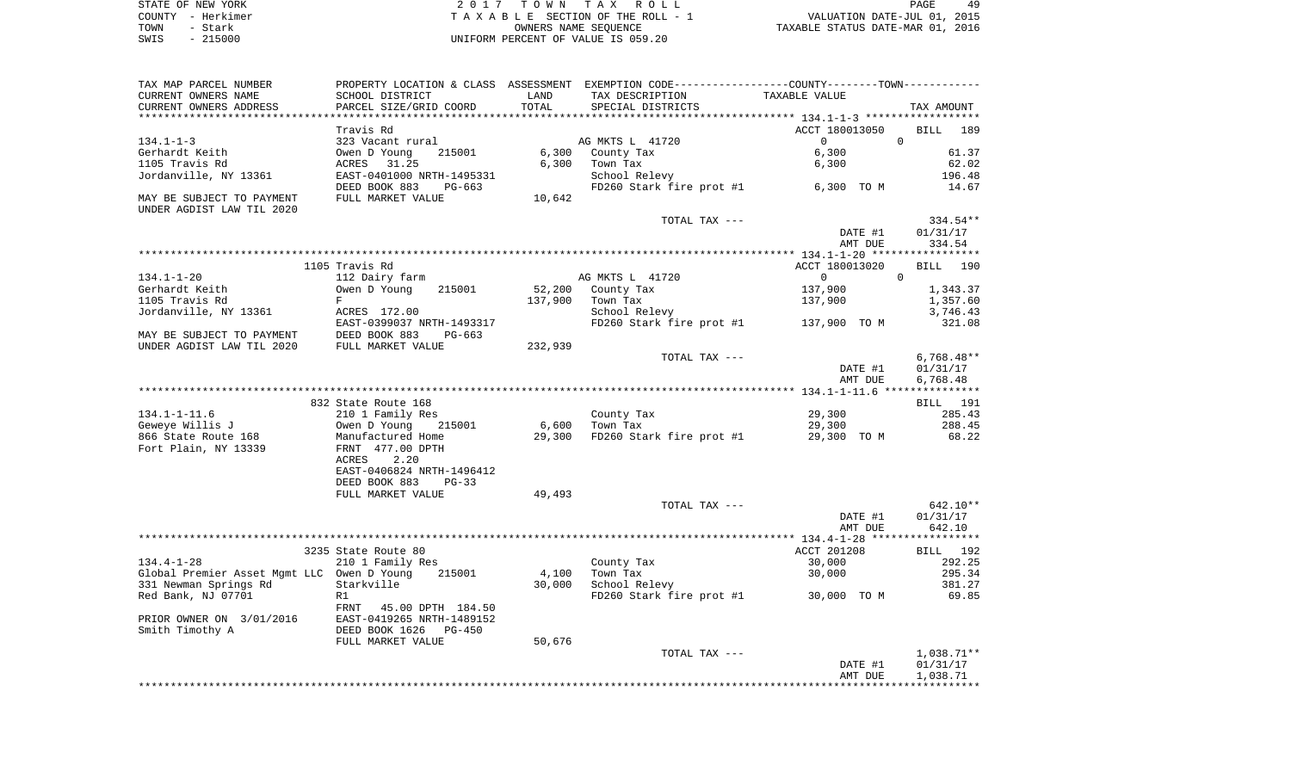| STATE OF NEW YORK | 2017 TOWN TAX ROLL                 | 49<br>PAGE                       |
|-------------------|------------------------------------|----------------------------------|
| COUNTY - Herkimer | TAXABLE SECTION OF THE ROLL - 1    | VALUATION DATE-JUL 01, 2015      |
| TOWN<br>- Stark   | OWNERS NAME SEOUENCE               | TAXABLE STATUS DATE-MAR 01, 2016 |
| $-215000$<br>SWIS | UNIFORM PERCENT OF VALUE IS 059.20 |                                  |

| TAX MAP PARCEL NUMBER<br>CURRENT OWNERS NAME                                                                                              | SCHOOL DISTRICT                                                                                                                                               | LAND              | PROPERTY LOCATION & CLASS ASSESSMENT EXEMPTION CODE----------------COUNTY--------TOWN----------<br>TAX DESCRIPTION | TAXABLE VALUE                    |                                     |
|-------------------------------------------------------------------------------------------------------------------------------------------|---------------------------------------------------------------------------------------------------------------------------------------------------------------|-------------------|--------------------------------------------------------------------------------------------------------------------|----------------------------------|-------------------------------------|
| CURRENT OWNERS ADDRESS<br>**********************                                                                                          | PARCEL SIZE/GRID COORD                                                                                                                                        | TOTAL             | SPECIAL DISTRICTS                                                                                                  |                                  | TAX AMOUNT                          |
| $134.1 - 1 - 3$                                                                                                                           | Travis Rd<br>323 Vacant rural                                                                                                                                 |                   | AG MKTS L 41720                                                                                                    | ACCT 180013050<br>$\overline{0}$ | <b>BILL</b><br>189<br>$\mathbf 0$   |
| Gerhardt Keith<br>1105 Travis Rd<br>Jordanville, NY 13361                                                                                 | 215001<br>Owen D Young<br>ACRES<br>31.25<br>EAST-0401000 NRTH-1495331                                                                                         | 6,300<br>6,300    | County Tax<br>Town Tax<br>School Relevy                                                                            | 6,300<br>6,300                   | 61.37<br>62.02<br>196.48            |
| MAY BE SUBJECT TO PAYMENT<br>UNDER AGDIST LAW TIL 2020                                                                                    | DEED BOOK 883<br>PG-663<br>FULL MARKET VALUE                                                                                                                  | 10,642            | FD260 Stark fire prot #1                                                                                           | 6,300 TO M                       | 14.67                               |
|                                                                                                                                           |                                                                                                                                                               |                   | TOTAL TAX ---                                                                                                      | DATE #1<br>AMT DUE               | 334.54**<br>01/31/17<br>334.54      |
|                                                                                                                                           |                                                                                                                                                               |                   |                                                                                                                    |                                  |                                     |
| 134.1-1-20                                                                                                                                | 1105 Travis Rd<br>112 Dairy farm                                                                                                                              |                   | AG MKTS L 41720                                                                                                    | ACCT 180013020<br>$\Omega$       | <b>BILL</b><br>190<br>$\Omega$      |
| Gerhardt Keith<br>1105 Travis Rd<br>Jordanville, NY 13361                                                                                 | Owen D Young<br>215001<br>F<br>ACRES 172.00                                                                                                                   | 52,200<br>137,900 | County Tax<br>Town Tax<br>School Relevy                                                                            | 137,900<br>137,900               | 1,343.37<br>1,357.60<br>3,746.43    |
| MAY BE SUBJECT TO PAYMENT                                                                                                                 | EAST-0399037 NRTH-1493317<br>DEED BOOK 883<br>PG-663                                                                                                          |                   | FD260 Stark fire prot #1                                                                                           | 137,900 TO M                     | 321.08                              |
| UNDER AGDIST LAW TIL 2020                                                                                                                 | FULL MARKET VALUE                                                                                                                                             | 232,939           | TOTAL TAX ---                                                                                                      | DATE #1                          | $6,768.48**$<br>01/31/17            |
|                                                                                                                                           |                                                                                                                                                               |                   |                                                                                                                    | AMT DUE                          | 6,768.48                            |
|                                                                                                                                           | 832 State Route 168                                                                                                                                           |                   |                                                                                                                    |                                  | BILL 191                            |
| 134.1-1-11.6<br>Geweye Willis J<br>866 State Route 168<br>Fort Plain, NY 13339                                                            | 210 1 Family Res<br>Owen D Young<br>215001<br>Manufactured Home<br>FRNT 477.00 DPTH<br>ACRES<br>2.20<br>EAST-0406824 NRTH-1496412<br>DEED BOOK 883<br>$PG-33$ | 6,600<br>29,300   | County Tax<br>Town Tax<br>FD260 Stark fire prot #1                                                                 | 29,300<br>29,300<br>29,300 TO M  | 285.43<br>288.45<br>68.22           |
|                                                                                                                                           | FULL MARKET VALUE                                                                                                                                             | 49,493            | TOTAL TAX ---                                                                                                      |                                  | 642.10**                            |
|                                                                                                                                           |                                                                                                                                                               |                   |                                                                                                                    | DATE #1<br>AMT DUE               | 01/31/17<br>642.10                  |
|                                                                                                                                           | 3235 State Route 80                                                                                                                                           |                   |                                                                                                                    | ACCT 201208                      | BILL 192                            |
| $134.4 - 1 - 28$<br>Global Premier Asset Mgmt LLC Owen D Young<br>331 Newman Springs Rd<br>Red Bank, NJ 07701<br>PRIOR OWNER ON 3/01/2016 | 210 1 Family Res<br>215001<br>Starkville<br>R1<br>FRNT 45.00 DPTH 184.50<br>EAST-0419265 NRTH-1489152                                                         | 4,100<br>30,000   | County Tax<br>Town Tax<br>School Relevy<br>FD260 Stark fire prot #1                                                | 30,000<br>30,000<br>30,000 TO M  | 292.25<br>295.34<br>381.27<br>69.85 |
| Smith Timothy A                                                                                                                           | DEED BOOK 1626 PG-450<br>FULL MARKET VALUE                                                                                                                    | 50,676            | TOTAL TAX ---                                                                                                      |                                  | 1,038.71**                          |
|                                                                                                                                           |                                                                                                                                                               |                   |                                                                                                                    | DATE #1<br>AMT DUE               | 01/31/17<br>1,038.71                |
|                                                                                                                                           |                                                                                                                                                               |                   |                                                                                                                    |                                  |                                     |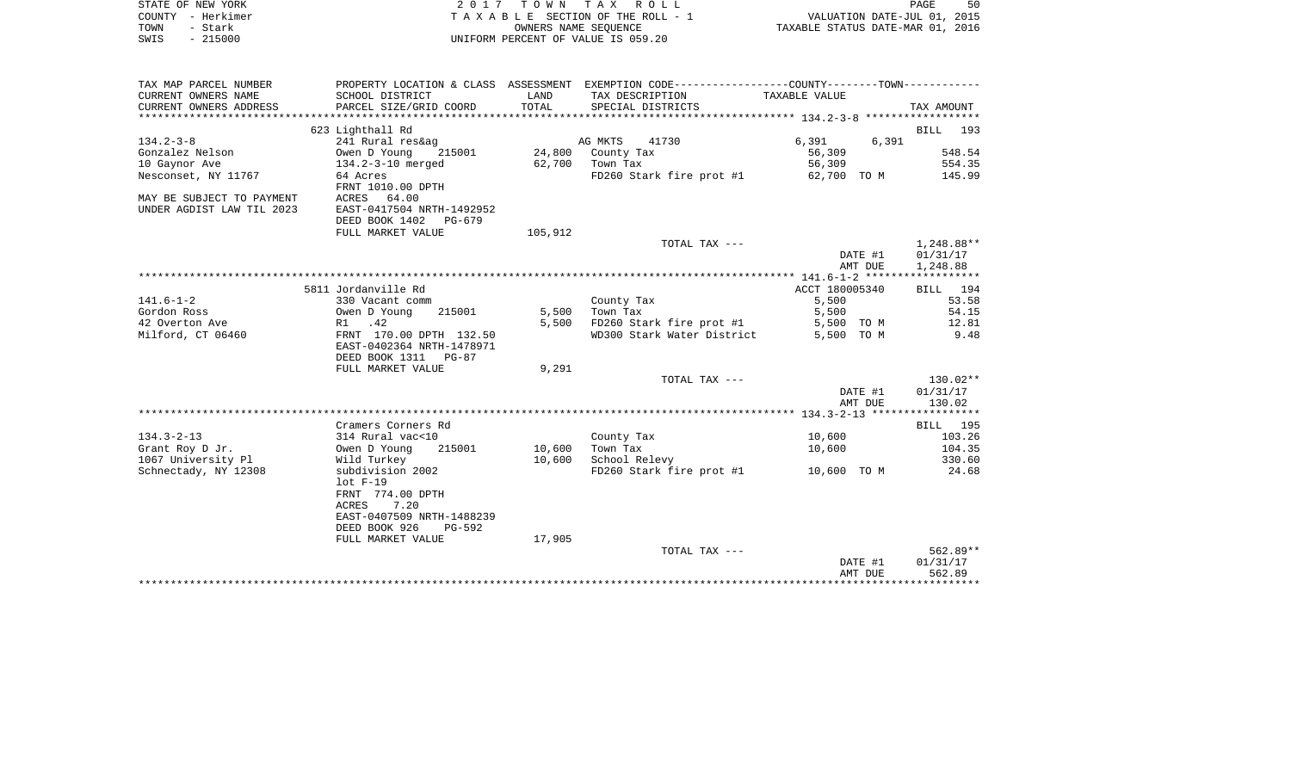| STATE OF NEW YORK<br>COUNTY - Herkimer<br>TOWN<br>- Stark |                                                                                                                             | OWNERS NAME SEQUENCE | 2017 TOWN TAX ROLL<br>TAXABLE SECTION OF THE ROLL - 1 | PAGE 50<br>VALUATION DATE-JUL 01, 2015<br>TAXABLE STATUS DATE-MAR 01, 2016 |                                    |
|-----------------------------------------------------------|-----------------------------------------------------------------------------------------------------------------------------|----------------------|-------------------------------------------------------|----------------------------------------------------------------------------|------------------------------------|
| SWIS - 215000                                             |                                                                                                                             |                      | UNIFORM PERCENT OF VALUE IS 059.20                    |                                                                            |                                    |
| TAX MAP PARCEL NUMBER                                     | PROPERTY LOCATION & CLASS ASSESSMENT EXEMPTION CODE----------------COUNTY-------TOWN----------                              |                      |                                                       |                                                                            |                                    |
| CURRENT OWNERS NAME                                       | SCHOOL DISTRICT                                                                                                             | LAND                 | TAX DESCRIPTION                                       | TAXABLE VALUE                                                              |                                    |
| CURRENT OWNERS ADDRESS                                    | PARCEL SIZE/GRID COORD                                                                                                      | TOTAL                | SPECIAL DISTRICTS                                     |                                                                            | TAX AMOUNT                         |
|                                                           | 623 Lighthall Rd                                                                                                            |                      |                                                       |                                                                            | BILL 193                           |
| $134.2 - 3 - 8$                                           | 241 Rural res&ag                                                                                                            |                      | AG MKTS<br>41730                                      | 6,391<br>6,391                                                             |                                    |
| Gonzalez Nelson                                           | 215001<br>Owen D Young                                                                                                      |                      | 24,800 County Tax                                     | 56,309                                                                     | 548.54                             |
| 10 Gaynor Ave                                             | 134.2-3-10 merged                                                                                                           |                      | 62,700 Town Tax                                       | 56,309                                                                     | 554.35                             |
| Nesconset, NY 11767                                       | 64 Acres<br>FRNT 1010.00 DPTH                                                                                               |                      | $FD260$ Stark fire prot #1 62,700 TO M                |                                                                            | 145.99                             |
| MAY BE SUBJECT TO PAYMENT<br>UNDER AGDIST LAW TIL 2023    | ACRES 64.00<br>EAST-0417504 NRTH-1492952<br>DEED BOOK 1402 PG-679                                                           |                      |                                                       |                                                                            |                                    |
|                                                           | FULL MARKET VALUE                                                                                                           | 105,912              |                                                       |                                                                            |                                    |
|                                                           |                                                                                                                             |                      | TOTAL TAX ---                                         | DATE #1<br>AMT DUE                                                         | 1,248.88**<br>01/31/17<br>1,248.88 |
|                                                           |                                                                                                                             |                      |                                                       |                                                                            |                                    |
|                                                           | 5811 Jordanville Rd                                                                                                         |                      |                                                       | ACCT 180005340                                                             | BILL 194                           |
| 141.6-1-2                                                 | 330 Vacant comm                                                                                                             |                      | County Tax                                            | 5,500                                                                      | 53.58                              |
| Gordon Ross                                               | Owen D Young<br>R1 .42<br>215001                                                                                            |                      | 5,500 Town Tax                                        | 5,500                                                                      | 54.15                              |
| 42 Overton Ave                                            |                                                                                                                             | 5,500                | FD260 Stark fire prot #1                              | 5,500 TO M                                                                 | 12.81                              |
| Milford, CT 06460                                         | FRNT 170.00 DPTH 132.50<br>EAST-0402364 NRTH-1478971<br>DEED BOOK 1311 PG-87                                                |                      | WD300 Stark Water District                            | 5,500 TO M                                                                 | 9.48                               |
|                                                           | FULL MARKET VALUE                                                                                                           | 9,291                |                                                       |                                                                            |                                    |
|                                                           |                                                                                                                             |                      | TOTAL TAX ---                                         |                                                                            | 130.02**                           |
|                                                           |                                                                                                                             |                      |                                                       | DATE #1<br>AMT DUE                                                         | 01/31/17<br>130.02                 |
|                                                           |                                                                                                                             |                      |                                                       |                                                                            |                                    |
|                                                           | Cramers Corners Rd                                                                                                          |                      |                                                       |                                                                            | BILL 195                           |
| 134.3-2-13                                                | 314 Rural vac<10                                                                                                            |                      | County Tax                                            | 10,600                                                                     | 103.26                             |
| Grant Roy D Jr.                                           | Owen D Young<br>215001                                                                                                      | 10,600               | Town Tax                                              | 10,600                                                                     | 104.35                             |
| 1067 University Pl                                        | Wild Turkey                                                                                                                 | 10,600               | School Relevy                                         |                                                                            | 330.60                             |
| Schnectady, NY 12308                                      | subdivision 2002<br>$lot F-19$<br>FRNT 774.00 DPTH<br>ACRES<br>7.20<br>EAST-0407509 NRTH-1488239<br>DEED BOOK 926<br>PG-592 |                      | FD260 Stark fire prot #1 10,600 TO M                  |                                                                            | 24.68                              |
|                                                           | FULL MARKET VALUE                                                                                                           | 17,905               |                                                       |                                                                            |                                    |
|                                                           |                                                                                                                             |                      | TOTAL TAX ---                                         |                                                                            | 562.89**                           |
|                                                           |                                                                                                                             |                      |                                                       | DATE #1                                                                    | 01/31/17                           |
|                                                           |                                                                                                                             |                      |                                                       | AMT DUE                                                                    | 562.89                             |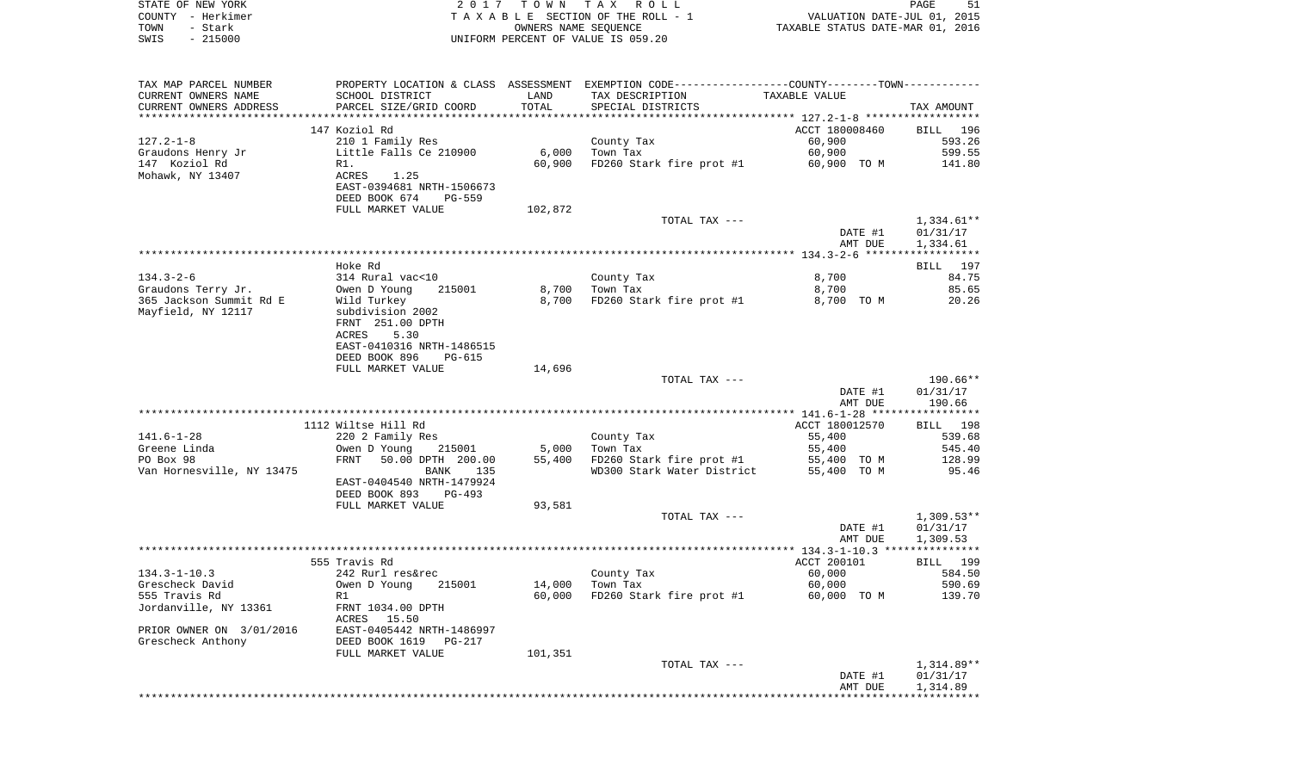| STATE OF NEW YORK         |                                  |                      | 2017 TOWN TAX ROLL                                                                            |                                  | 51<br>PAGE   |
|---------------------------|----------------------------------|----------------------|-----------------------------------------------------------------------------------------------|----------------------------------|--------------|
| COUNTY - Herkimer         |                                  |                      | TAXABLE SECTION OF THE ROLL - 1                                                               | VALUATION DATE-JUL 01, 2015      |              |
| TOWN<br>- Stark           |                                  | OWNERS NAME SEQUENCE |                                                                                               | TAXABLE STATUS DATE-MAR 01, 2016 |              |
| $-215000$<br>SWIS         |                                  |                      | UNIFORM PERCENT OF VALUE IS 059.20                                                            |                                  |              |
|                           |                                  |                      |                                                                                               |                                  |              |
| TAX MAP PARCEL NUMBER     |                                  |                      | PROPERTY LOCATION & CLASS ASSESSMENT EXEMPTION CODE---------------COUNTY-------TOWN---------- |                                  |              |
| CURRENT OWNERS NAME       | SCHOOL DISTRICT                  | LAND                 | TAX DESCRIPTION                                                                               | TAXABLE VALUE                    |              |
| CURRENT OWNERS ADDRESS    | PARCEL SIZE/GRID COORD           | TOTAL                | SPECIAL DISTRICTS                                                                             |                                  | TAX AMOUNT   |
|                           |                                  |                      |                                                                                               |                                  |              |
|                           | 147 Koziol Rd                    |                      |                                                                                               | ACCT 180008460                   | BILL 196     |
| $127.2 - 1 - 8$           | 210 1 Family Res                 |                      | County Tax                                                                                    | 60,900                           | 593.26       |
| Graudons Henry Jr         | Little Falls Ce 210900           | 6,000                | Town Tax                                                                                      | 60,900                           | 599.55       |
| 147 Koziol Rd             | R1.                              | 60,900               | FD260 Stark fire prot #1                                                                      | 60,900 TO M                      | 141.80       |
| Mohawk, NY 13407          | ACRES<br>1.25                    |                      |                                                                                               |                                  |              |
|                           | EAST-0394681 NRTH-1506673        |                      |                                                                                               |                                  |              |
|                           | DEED BOOK 674<br>PG-559          |                      |                                                                                               |                                  |              |
|                           | FULL MARKET VALUE                | 102,872              |                                                                                               |                                  |              |
|                           |                                  |                      | TOTAL TAX ---                                                                                 |                                  | $1,334.61**$ |
|                           |                                  |                      |                                                                                               | DATE #1                          | 01/31/17     |
|                           |                                  |                      |                                                                                               | AMT DUE                          | 1,334.61     |
|                           |                                  |                      |                                                                                               |                                  |              |
|                           | Hoke Rd                          |                      |                                                                                               |                                  | BILL 197     |
| $134.3 - 2 - 6$           | 314 Rural vac<10                 |                      | County Tax                                                                                    | 8,700                            | 84.75        |
| Graudons Terry Jr.        | 215001<br>Owen D Young           | 8,700                | Town Tax                                                                                      | 8,700                            | 85.65        |
| 365 Jackson Summit Rd E   | Wild Turkey                      | 8,700                | FD260 Stark fire prot #1                                                                      | 8,700 TO M                       | 20.26        |
| Mayfield, NY 12117        | subdivision 2002                 |                      |                                                                                               |                                  |              |
|                           | FRNT 251.00 DPTH                 |                      |                                                                                               |                                  |              |
|                           | 5.30<br>ACRES                    |                      |                                                                                               |                                  |              |
|                           | EAST-0410316 NRTH-1486515        |                      |                                                                                               |                                  |              |
|                           | DEED BOOK 896<br>PG-615          |                      |                                                                                               |                                  |              |
|                           | FULL MARKET VALUE                | 14,696               |                                                                                               |                                  |              |
|                           |                                  |                      | TOTAL TAX ---                                                                                 |                                  | 190.66**     |
|                           |                                  |                      |                                                                                               | DATE #1                          | 01/31/17     |
|                           |                                  |                      |                                                                                               | AMT DUE                          | 190.66       |
|                           |                                  |                      |                                                                                               |                                  |              |
|                           | 1112 Wiltse Hill Rd              |                      |                                                                                               | ACCT 180012570                   | BILL 198     |
| 141.6-1-28                | 220 2 Family Res                 |                      | County Tax                                                                                    | 55,400                           | 539.68       |
| Greene Linda              | 215001<br>Owen D Young           | 5,000                | Town Tax                                                                                      | 55,400                           | 545.40       |
| PO Box 98                 | FRNT<br>50.00 DPTH 200.00        | 55,400               | FD260 Stark fire prot #1                                                                      | 55,400 TO M                      | 128.99       |
| Van Hornesville, NY 13475 | BANK<br>135                      |                      | WD300 Stark Water District                                                                    | 55,400 TO M                      | 95.46        |
|                           | EAST-0404540 NRTH-1479924        |                      |                                                                                               |                                  |              |
|                           | DEED BOOK 893<br>PG-493          |                      |                                                                                               |                                  |              |
|                           | FULL MARKET VALUE                | 93,581               |                                                                                               |                                  |              |
|                           |                                  |                      | TOTAL TAX ---                                                                                 |                                  | $1,309.53**$ |
|                           |                                  |                      |                                                                                               | DATE #1                          | 01/31/17     |
|                           |                                  |                      |                                                                                               | AMT DUE                          | 1,309.53     |
|                           |                                  |                      |                                                                                               |                                  |              |
|                           | 555 Travis Rd                    |                      |                                                                                               | ACCT 200101                      | BILL 199     |
| $134.3 - 1 - 10.3$        | 242 Rurl res&rec                 |                      | County Tax                                                                                    | 60,000                           | 584.50       |
| Grescheck David           | Owen D Young<br>215001           | 14,000               | Town Tax                                                                                      | 60,000                           | 590.69       |
| 555 Travis Rd             | R1                               | 60,000               | FD260 Stark fire prot #1                                                                      | 60,000 TO M                      | 139.70       |
| Jordanville, NY 13361     | FRNT 1034.00 DPTH<br>ACRES 15.50 |                      |                                                                                               |                                  |              |
| PRIOR OWNER ON 3/01/2016  | EAST-0405442 NRTH-1486997        |                      |                                                                                               |                                  |              |
| Grescheck Anthony         | DEED BOOK 1619<br>PG-217         |                      |                                                                                               |                                  |              |
|                           | FULL MARKET VALUE                | 101,351              |                                                                                               |                                  |              |
|                           |                                  |                      | TOTAL TAX ---                                                                                 |                                  | $1,314.89**$ |
|                           |                                  |                      |                                                                                               | DATE #1                          | 01/31/17     |
|                           |                                  |                      |                                                                                               | AMT DUE                          | 1,314.89     |
|                           |                                  |                      |                                                                                               |                                  |              |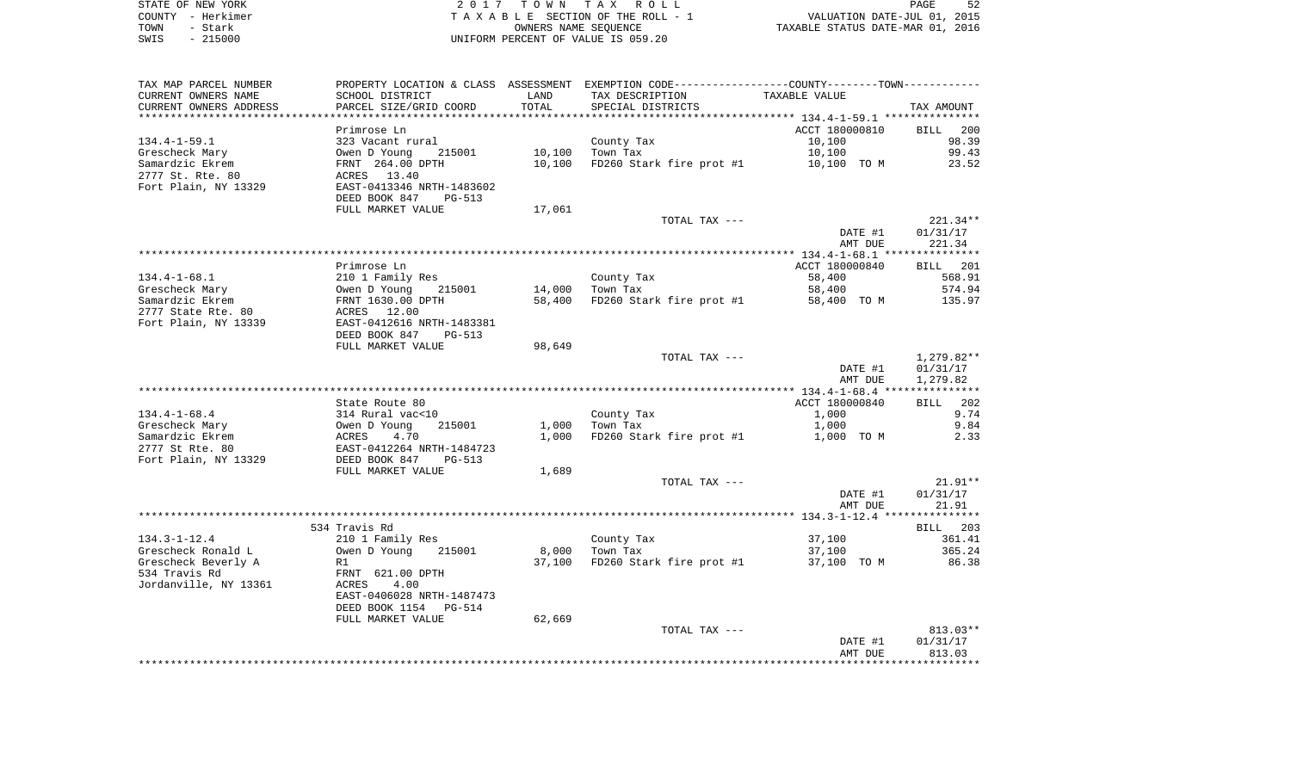| STATE OF NEW YORK | 2017 TOWN TAX ROLL                 | PAGE                             |
|-------------------|------------------------------------|----------------------------------|
| COUNTY - Herkimer | TAXABLE SECTION OF THE ROLL - 1    | VALUATION DATE-JUL 01, 2015      |
| TOWN<br>- Stark   | OWNERS NAME SEOUENCE               | TAXABLE STATUS DATE-MAR 01, 2016 |
| $-215000$<br>SWIS | UNIFORM PERCENT OF VALUE IS 059.20 |                                  |

| TAX MAP PARCEL NUMBER   | PROPERTY LOCATION & CLASS ASSESSMENT EXEMPTION CODE----------------COUNTY--------TOWN----------- |        |                          |                |                    |
|-------------------------|--------------------------------------------------------------------------------------------------|--------|--------------------------|----------------|--------------------|
| CURRENT OWNERS NAME     | SCHOOL DISTRICT                                                                                  | LAND   | TAX DESCRIPTION          | TAXABLE VALUE  |                    |
| CURRENT OWNERS ADDRESS  | PARCEL SIZE/GRID COORD                                                                           | TOTAL  | SPECIAL DISTRICTS        |                | TAX AMOUNT         |
| *********************** | ****************************                                                                     |        |                          |                |                    |
|                         | Primrose Ln                                                                                      |        |                          | ACCT 180000810 | <b>BILL</b><br>200 |
| $134.4 - 1 - 59.1$      | 323 Vacant rural                                                                                 |        | County Tax               | 10,100         | 98.39              |
| Grescheck Mary          | 215001<br>Owen D Young                                                                           | 10,100 | Town Tax                 | 10,100         | 99.43              |
| Samardzic Ekrem         | FRNT 264.00 DPTH                                                                                 | 10,100 | FD260 Stark fire prot #1 | 10,100 TO M    | 23.52              |
| 2777 St. Rte. 80        | ACRES 13.40                                                                                      |        |                          |                |                    |
| Fort Plain, NY 13329    | EAST-0413346 NRTH-1483602<br>DEED BOOK 847<br>PG-513                                             |        |                          |                |                    |
|                         | FULL MARKET VALUE                                                                                | 17,061 |                          |                |                    |
|                         |                                                                                                  |        | TOTAL TAX ---            |                | 221.34**           |
|                         |                                                                                                  |        |                          | DATE #1        | 01/31/17           |
|                         |                                                                                                  |        |                          | AMT DUE        | 221.34             |
|                         |                                                                                                  |        |                          |                |                    |
|                         | Primrose Ln                                                                                      |        |                          | ACCT 180000840 | BILL 201           |
| $134.4 - 1 - 68.1$      | 210 1 Family Res                                                                                 |        | County Tax               | 58,400         | 568.91             |
| Grescheck Mary          | Owen D Young<br>215001                                                                           | 14,000 | Town Tax                 | 58,400         | 574.94             |
| Samardzic Ekrem         | FRNT 1630.00 DPTH                                                                                | 58,400 | FD260 Stark fire prot #1 | 58,400 TO M    | 135.97             |
| 2777 State Rte. 80      | ACRES 12.00                                                                                      |        |                          |                |                    |
| Fort Plain, NY 13339    | EAST-0412616 NRTH-1483381                                                                        |        |                          |                |                    |
|                         | DEED BOOK 847<br>PG-513                                                                          |        |                          |                |                    |
|                         | FULL MARKET VALUE                                                                                | 98,649 |                          |                |                    |
|                         |                                                                                                  |        | TOTAL TAX ---            |                | 1,279.82**         |
|                         |                                                                                                  |        |                          | DATE #1        | 01/31/17           |
|                         |                                                                                                  |        |                          | AMT DUE        | 1,279.82           |
|                         |                                                                                                  |        |                          |                |                    |
|                         | State Route 80                                                                                   |        |                          | ACCT 180000840 | 202<br><b>BILL</b> |
| $134.4 - 1 - 68.4$      | 314 Rural vac<10                                                                                 |        | County Tax               | 1,000          | 9.74               |
| Grescheck Mary          | Owen D Young<br>215001                                                                           | 1,000  | Town Tax                 | 1,000          | 9.84               |
| Samardzic Ekrem         | 4.70<br>ACRES                                                                                    | 1,000  | FD260 Stark fire prot #1 | 1,000 TO M     | 2.33               |
| 2777 St Rte. 80         | EAST-0412264 NRTH-1484723                                                                        |        |                          |                |                    |
| Fort Plain, NY 13329    | DEED BOOK 847<br>PG-513                                                                          |        |                          |                |                    |
|                         | FULL MARKET VALUE                                                                                | 1,689  |                          |                |                    |
|                         |                                                                                                  |        | TOTAL TAX ---            |                | $21.91**$          |
|                         |                                                                                                  |        |                          | DATE #1        | 01/31/17           |
|                         |                                                                                                  |        |                          | AMT DUE        | 21.91              |
|                         |                                                                                                  |        |                          |                |                    |
|                         | 534 Travis Rd                                                                                    |        |                          |                | BILL 203           |
| $134.3 - 1 - 12.4$      | 210 1 Family Res                                                                                 |        | County Tax               | 37,100         | 361.41             |
| Grescheck Ronald L      | Owen D Young<br>215001                                                                           | 8,000  | Town Tax                 | 37,100         | 365.24             |
| Grescheck Beverly A     | R1                                                                                               | 37,100 | FD260 Stark fire prot #1 | 37,100 TO M    | 86.38              |
| 534 Travis Rd           | FRNT 621.00 DPTH                                                                                 |        |                          |                |                    |
| Jordanville, NY 13361   | 4.00<br>ACRES                                                                                    |        |                          |                |                    |
|                         | EAST-0406028 NRTH-1487473                                                                        |        |                          |                |                    |
|                         | DEED BOOK 1154<br>PG-514                                                                         |        |                          |                |                    |
|                         | FULL MARKET VALUE                                                                                | 62,669 |                          |                |                    |
|                         |                                                                                                  |        | TOTAL TAX ---            |                | 813.03**           |
|                         |                                                                                                  |        |                          | DATE #1        | 01/31/17           |
|                         |                                                                                                  |        |                          | AMT DUE        | 813.03             |
|                         |                                                                                                  |        |                          |                |                    |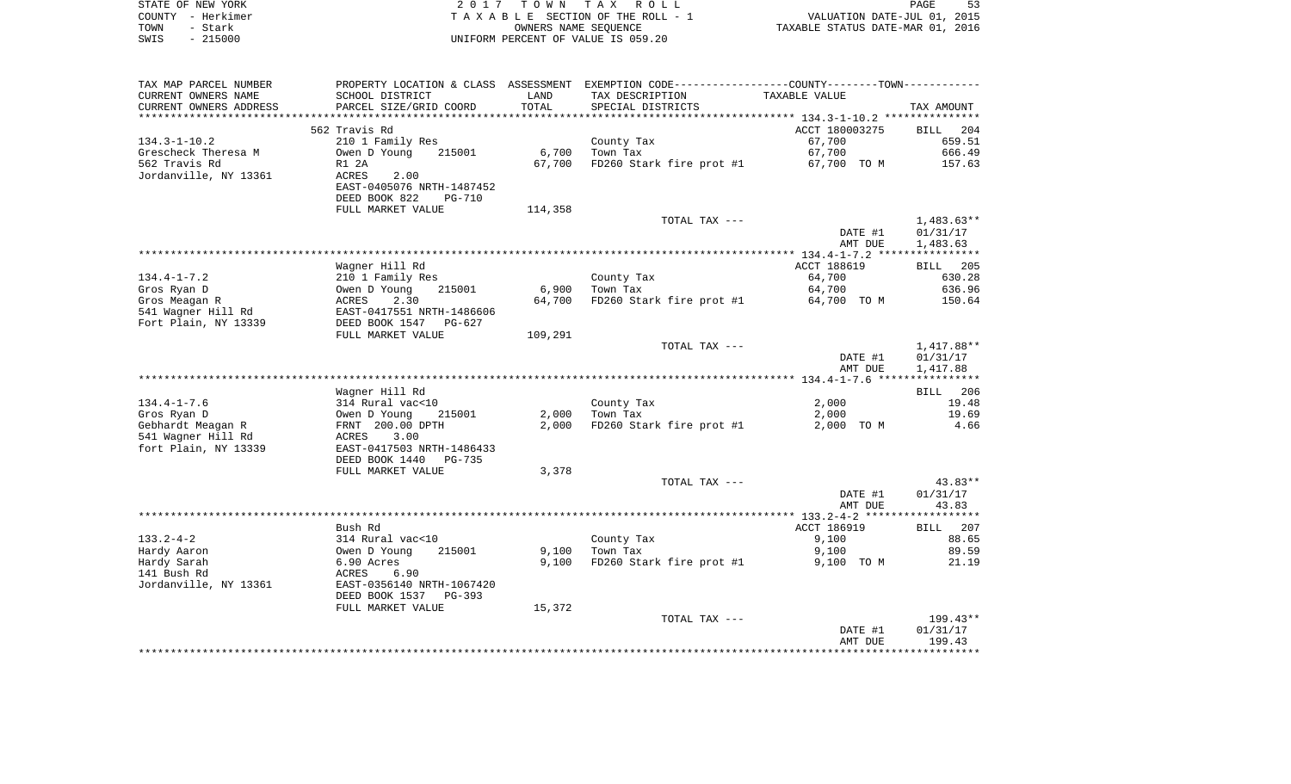|      | STATE OF NEW YORK | 2017 TOWN TAX ROLL                 | PAGE                             | 53 |
|------|-------------------|------------------------------------|----------------------------------|----|
|      | COUNTY - Herkimer | TAXABLE SECTION OF THE ROLL - 1    | VALUATION DATE-JUL 01, 2015      |    |
| TOWN | - Stark           | OWNERS NAME SEOUENCE               | TAXABLE STATUS DATE-MAR 01, 2016 |    |
| SWIS | $-215000$         | UNIFORM PERCENT OF VALUE IS 059.20 |                                  |    |

| TAX MAP PARCEL NUMBER  |                                |         | PROPERTY LOCATION & CLASS ASSESSMENT EXEMPTION CODE-----------------COUNTY--------TOWN--------- |                |              |
|------------------------|--------------------------------|---------|-------------------------------------------------------------------------------------------------|----------------|--------------|
| CURRENT OWNERS NAME    | SCHOOL DISTRICT                | LAND    | TAX DESCRIPTION                                                                                 | TAXABLE VALUE  |              |
| CURRENT OWNERS ADDRESS | PARCEL SIZE/GRID COORD         | TOTAL   | SPECIAL DISTRICTS                                                                               |                | TAX AMOUNT   |
|                        |                                |         |                                                                                                 |                |              |
|                        | 562 Travis Rd                  |         |                                                                                                 | ACCT 180003275 | BILL 204     |
| $134.3 - 1 - 10.2$     | 210 1 Family Res               |         | County Tax                                                                                      | 67,700         | 659.51       |
| Grescheck Theresa M    | Owen D Young<br>215001         | 6,700   | Town Tax                                                                                        | 67,700         | 666.49       |
| 562 Travis Rd          | R1 2A                          | 67,700  | FD260 Stark fire prot #1                                                                        | 67,700 TO M    | 157.63       |
| Jordanville, NY 13361  | ACRES<br>2.00                  |         |                                                                                                 |                |              |
|                        | EAST-0405076 NRTH-1487452      |         |                                                                                                 |                |              |
|                        | DEED BOOK 822<br><b>PG-710</b> |         |                                                                                                 |                |              |
|                        | FULL MARKET VALUE              | 114,358 |                                                                                                 |                |              |
|                        |                                |         | TOTAL TAX ---                                                                                   |                | $1,483.63**$ |
|                        |                                |         |                                                                                                 | DATE #1        | 01/31/17     |
|                        |                                |         |                                                                                                 | AMT DUE        | 1,483.63     |
|                        |                                |         |                                                                                                 |                |              |
|                        | Wagner Hill Rd                 |         |                                                                                                 | ACCT 188619    | BILL 205     |
| $134.4 - 1 - 7.2$      | 210 1 Family Res               |         | County Tax                                                                                      | 64,700         | 630.28       |
| Gros Ryan D            | Owen D Young<br>215001         | 6,900   | Town Tax                                                                                        | 64,700         | 636.96       |
| Gros Meagan R          | 2.30<br>ACRES                  | 64,700  | FD260 Stark fire prot #1                                                                        | 64,700 TO M    | 150.64       |
| 541 Wagner Hill Rd     | EAST-0417551 NRTH-1486606      |         |                                                                                                 |                |              |
| Fort Plain, NY 13339   | DEED BOOK 1547<br>$PG-627$     |         |                                                                                                 |                |              |
|                        | FULL MARKET VALUE              | 109,291 |                                                                                                 |                |              |
|                        |                                |         | TOTAL TAX ---                                                                                   |                | 1,417.88**   |
|                        |                                |         |                                                                                                 | DATE #1        | 01/31/17     |
|                        |                                |         |                                                                                                 | AMT DUE        | 1,417.88     |
|                        |                                |         |                                                                                                 |                |              |
|                        | Wagner Hill Rd                 |         |                                                                                                 |                | BILL 206     |
| $134.4 - 1 - 7.6$      | 314 Rural vac<10               |         | County Tax                                                                                      | 2,000          | 19.48        |
| Gros Ryan D            | Owen D Young<br>215001         | 2,000   | Town Tax                                                                                        | 2,000          | 19.69        |
| Gebhardt Meagan R      | FRNT 200.00 DPTH               | 2,000   | FD260 Stark fire prot #1                                                                        | 2,000 TO M     | 4.66         |
| 541 Wagner Hill Rd     | ACRES<br>3.00                  |         |                                                                                                 |                |              |
| fort Plain, NY 13339   | EAST-0417503 NRTH-1486433      |         |                                                                                                 |                |              |
|                        | DEED BOOK 1440<br>PG-735       |         |                                                                                                 |                |              |
|                        | FULL MARKET VALUE              | 3,378   |                                                                                                 |                |              |
|                        |                                |         | TOTAL TAX ---                                                                                   |                | $43.83**$    |
|                        |                                |         |                                                                                                 | DATE #1        | 01/31/17     |
|                        |                                |         |                                                                                                 | AMT DUE        | 43.83        |
|                        |                                |         |                                                                                                 |                |              |
|                        | Bush Rd                        |         |                                                                                                 | ACCT 186919    | BILL 207     |
| $133.2 - 4 - 2$        | 314 Rural vac<10               |         | County Tax                                                                                      | 9,100          | 88.65        |
| Hardy Aaron            | Owen D Young<br>215001         | 9,100   | Town Tax                                                                                        | 9,100          | 89.59        |
| Hardy Sarah            | 6.90 Acres                     | 9,100   | FD260 Stark fire prot #1                                                                        | 9,100 TO M     | 21.19        |
| 141 Bush Rd            | ACRES<br>6.90                  |         |                                                                                                 |                |              |
| Jordanville, NY 13361  | EAST-0356140 NRTH-1067420      |         |                                                                                                 |                |              |
|                        | DEED BOOK 1537 PG-393          |         |                                                                                                 |                |              |
|                        | FULL MARKET VALUE              | 15,372  |                                                                                                 |                |              |
|                        |                                |         | TOTAL TAX ---                                                                                   |                | 199.43**     |
|                        |                                |         |                                                                                                 | DATE #1        | 01/31/17     |
|                        |                                |         |                                                                                                 | AMT DUE        | 199.43       |
|                        |                                |         |                                                                                                 |                |              |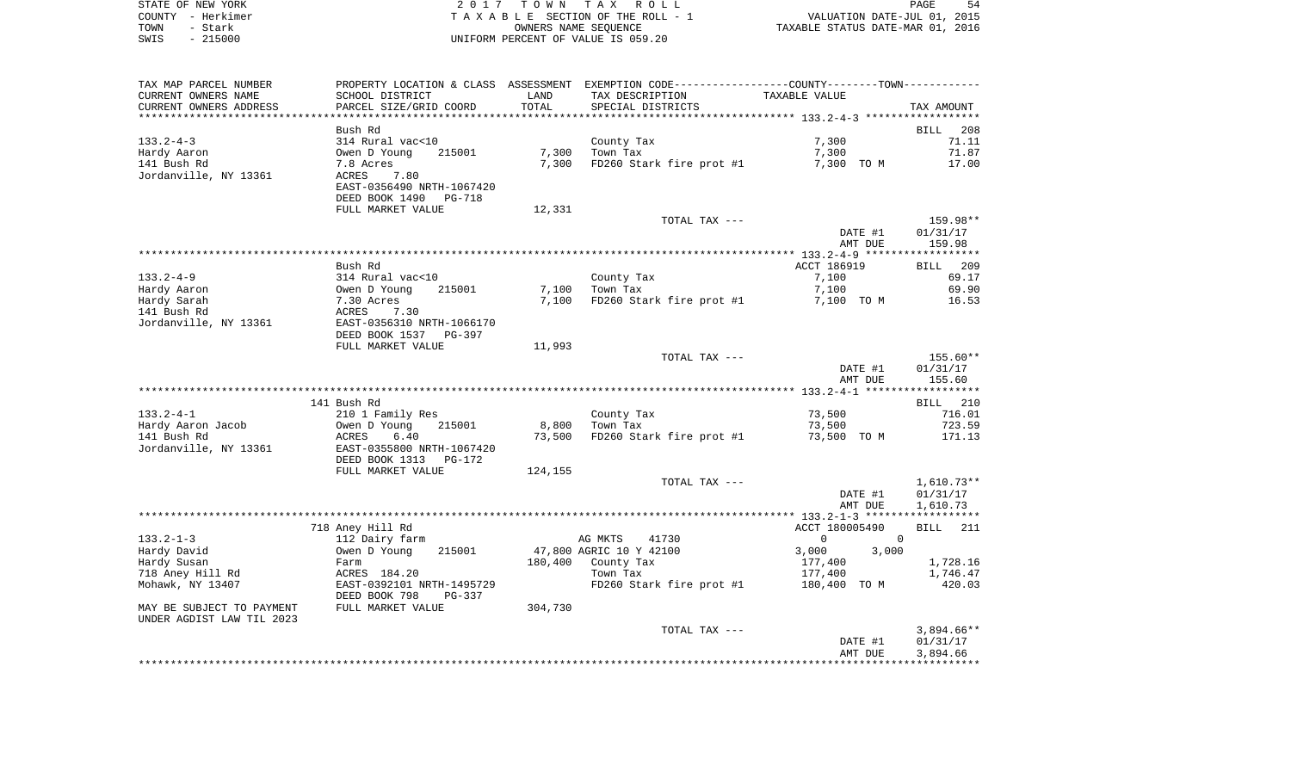| STATE OF NEW YORK | 2017 TOWN TAX ROLL                 | 54<br>PAGE                       |
|-------------------|------------------------------------|----------------------------------|
| COUNTY - Herkimer | TAXABLE SECTION OF THE ROLL - 1    | VALUATION DATE-JUL 01, 2015      |
| TOWN<br>- Stark   | OWNERS NAME SEOUENCE               | TAXABLE STATUS DATE-MAR 01, 2016 |
| $-215000$<br>SWIS | UNIFORM PERCENT OF VALUE IS 059.20 |                                  |

| TAX MAP PARCEL NUMBER                                  |                                                                        |                | PROPERTY LOCATION & CLASS ASSESSMENT EXEMPTION CODE---------------COUNTY-------TOWN---------- |                            |                                |
|--------------------------------------------------------|------------------------------------------------------------------------|----------------|-----------------------------------------------------------------------------------------------|----------------------------|--------------------------------|
| CURRENT OWNERS NAME<br>CURRENT OWNERS ADDRESS          | SCHOOL DISTRICT<br>PARCEL SIZE/GRID COORD                              | LAND<br>TOTAL  | TAX DESCRIPTION<br>SPECIAL DISTRICTS                                                          | TAXABLE VALUE              | TAX AMOUNT                     |
| **********************                                 |                                                                        |                |                                                                                               |                            |                                |
| 133.2-4-3                                              | Bush Rd<br>314 Rural vac<10                                            |                | County Tax                                                                                    | 7,300                      | <b>BILL</b><br>208<br>71.11    |
| Hardy Aaron<br>141 Bush Rd                             | 215001<br>Owen D Young<br>7.8 Acres                                    | 7,300<br>7,300 | Town Tax<br>FD260 Stark fire prot #1                                                          | 7,300<br>7,300 TO M        | 71.87<br>17.00                 |
| Jordanville, NY 13361                                  | ACRES<br>7.80<br>EAST-0356490 NRTH-1067420<br>DEED BOOK 1490<br>PG-718 |                |                                                                                               |                            |                                |
|                                                        | FULL MARKET VALUE                                                      | 12,331         |                                                                                               |                            |                                |
|                                                        |                                                                        |                | TOTAL TAX ---                                                                                 | DATE #1<br>AMT DUE         | 159.98**<br>01/31/17<br>159.98 |
|                                                        |                                                                        |                |                                                                                               |                            |                                |
|                                                        | Bush Rd                                                                |                |                                                                                               | ACCT 186919                | BILL 209                       |
| $133.2 - 4 - 9$                                        | 314 Rural vac<10                                                       |                | County Tax                                                                                    | 7,100                      | 69.17                          |
| Hardy Aaron                                            | 215001<br>Owen D Young                                                 | 7,100          | Town Tax                                                                                      | 7,100                      | 69.90                          |
| Hardy Sarah                                            | 7.30 Acres                                                             | 7,100          | FD260 Stark fire prot #1                                                                      | 7,100 TO M                 | 16.53                          |
| 141 Bush Rd                                            | ACRES<br>7.30                                                          |                |                                                                                               |                            |                                |
| Jordanville, NY 13361                                  | EAST-0356310 NRTH-1066170<br>DEED BOOK 1537 PG-397                     |                |                                                                                               |                            |                                |
|                                                        | FULL MARKET VALUE                                                      | 11,993         |                                                                                               |                            |                                |
|                                                        |                                                                        |                | TOTAL TAX ---                                                                                 |                            | 155.60**                       |
|                                                        |                                                                        |                |                                                                                               | DATE #1                    | 01/31/17                       |
|                                                        |                                                                        |                |                                                                                               | AMT DUE                    | 155.60                         |
|                                                        | 141 Bush Rd                                                            |                |                                                                                               |                            | BILL 210                       |
| $133.2 - 4 - 1$                                        | 210 1 Family Res                                                       |                | County Tax                                                                                    | 73,500                     | 716.01                         |
| Hardy Aaron Jacob                                      | Owen D Young<br>215001                                                 | 8,800          | Town Tax                                                                                      | 73,500                     | 723.59                         |
| 141 Bush Rd                                            | ACRES<br>6.40                                                          | 73,500         | FD260 Stark fire prot #1                                                                      | 73,500 TO M                | 171.13                         |
| Jordanville, NY 13361                                  | EAST-0355800 NRTH-1067420<br>DEED BOOK 1313<br>PG-172                  |                |                                                                                               |                            |                                |
|                                                        | FULL MARKET VALUE                                                      | 124,155        |                                                                                               |                            |                                |
|                                                        |                                                                        |                | TOTAL TAX ---                                                                                 |                            | $1,610.73**$                   |
|                                                        |                                                                        |                |                                                                                               | DATE #1                    | 01/31/17                       |
|                                                        |                                                                        |                |                                                                                               | AMT DUE                    | 1,610.73                       |
|                                                        |                                                                        |                |                                                                                               | ACCT 180005490             |                                |
| $133.2 - 1 - 3$                                        | 718 Aney Hill Rd<br>112 Dairy farm                                     |                | AG MKTS<br>41730                                                                              | $\overline{0}$<br>$\Omega$ | <b>BILL</b><br>211             |
| Hardy David                                            | 215001<br>Owen D Young                                                 |                | 47,800 AGRIC 10 Y 42100                                                                       | 3,000<br>3,000             |                                |
| Hardy Susan                                            | Farm                                                                   | 180,400        | County Tax                                                                                    | 177,400                    | 1,728.16                       |
| 718 Aney Hill Rd                                       | ACRES 184.20                                                           |                | Town Tax                                                                                      | 177,400                    | 1,746.47                       |
| Mohawk, NY 13407                                       | EAST-0392101 NRTH-1495729<br>DEED BOOK 798<br>PG-337                   |                | FD260 Stark fire prot #1                                                                      | 180,400 TO M               | 420.03                         |
| MAY BE SUBJECT TO PAYMENT<br>UNDER AGDIST LAW TIL 2023 | FULL MARKET VALUE                                                      | 304,730        |                                                                                               |                            |                                |
|                                                        |                                                                        |                | TOTAL TAX ---                                                                                 |                            | $3,894.66**$                   |
|                                                        |                                                                        |                |                                                                                               | DATE #1<br>AMT DUE         | 01/31/17<br>3,894.66           |
|                                                        |                                                                        |                |                                                                                               |                            |                                |
|                                                        |                                                                        |                |                                                                                               |                            |                                |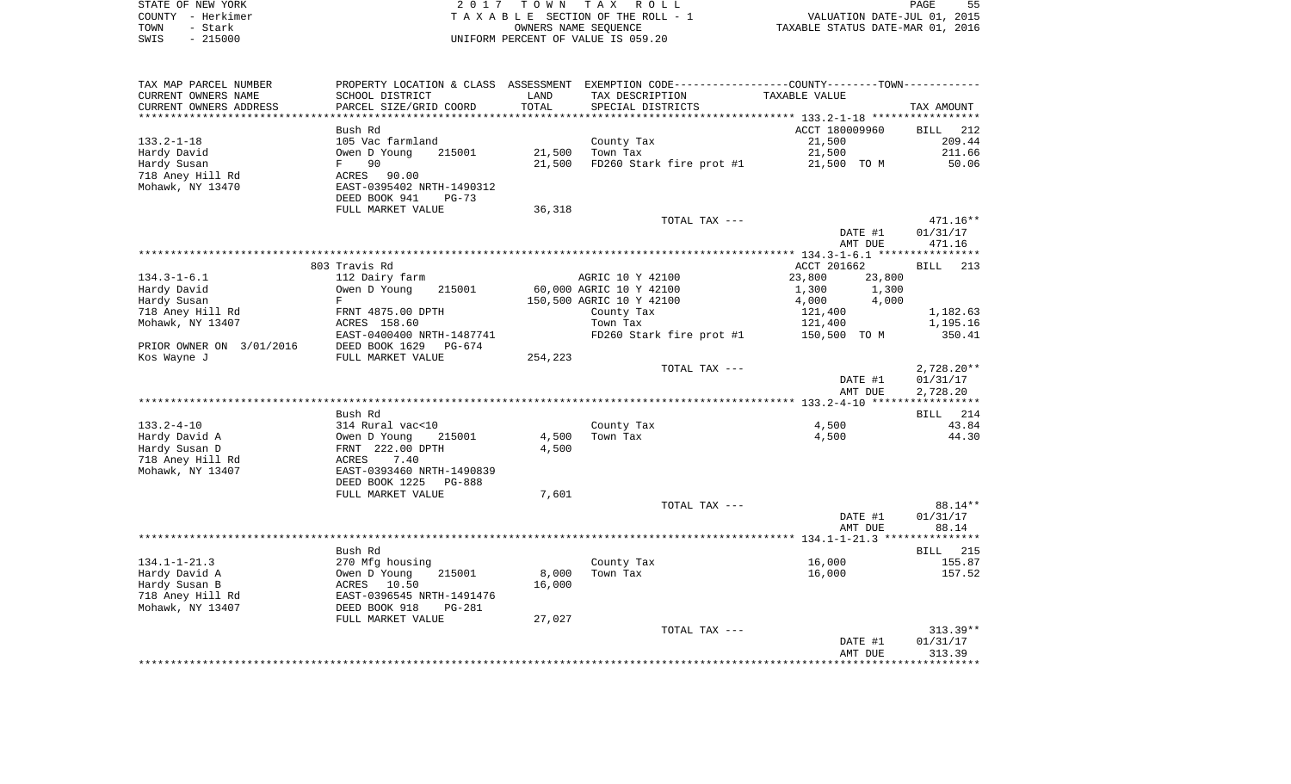| STATE OF NEW YORK | 2017 TOWN TAX ROLL                 | 55<br>PAGE                       |
|-------------------|------------------------------------|----------------------------------|
| COUNTY - Herkimer | TAXABLE SECTION OF THE ROLL - 1    | VALUATION DATE-JUL 01, 2015      |
| TOWN<br>- Stark   | OWNERS NAME SEOUENCE               | TAXABLE STATUS DATE-MAR 01, 2016 |
| $-215000$<br>SWIS | UNIFORM PERCENT OF VALUE IS 059.20 |                                  |

| TAX MAP PARCEL NUMBER    |                                 |         |                          | PROPERTY LOCATION & CLASS ASSESSMENT EXEMPTION CODE---------------COUNTY-------TOWN---------- |                 |
|--------------------------|---------------------------------|---------|--------------------------|-----------------------------------------------------------------------------------------------|-----------------|
| CURRENT OWNERS NAME      | SCHOOL DISTRICT                 | LAND    | TAX DESCRIPTION          | TAXABLE VALUE                                                                                 |                 |
| CURRENT OWNERS ADDRESS   | PARCEL SIZE/GRID COORD          | TOTAL   | SPECIAL DISTRICTS        |                                                                                               | TAX AMOUNT      |
| *********************    |                                 |         |                          |                                                                                               |                 |
|                          | Bush Rd                         |         |                          | ACCT 180009960                                                                                | 212<br>BILL     |
| $133.2 - 1 - 18$         | 105 Vac farmland                |         | County Tax               | 21,500                                                                                        | 209.44          |
| Hardy David              | Owen D Young<br>215001          | 21,500  | Town Tax                 | 21,500                                                                                        | 211.66          |
| Hardy Susan              | 90<br>$F \sim$                  | 21,500  | FD260 Stark fire prot #1 | 21,500 TO M                                                                                   | 50.06           |
| 718 Aney Hill Rd         | ACRES<br>90.00                  |         |                          |                                                                                               |                 |
| Mohawk, NY 13470         | EAST-0395402 NRTH-1490312       |         |                          |                                                                                               |                 |
|                          | DEED BOOK 941<br>$PG-73$        |         |                          |                                                                                               |                 |
|                          | FULL MARKET VALUE               | 36,318  |                          |                                                                                               |                 |
|                          |                                 |         | TOTAL TAX ---            |                                                                                               | 471.16**        |
|                          |                                 |         |                          | DATE #1                                                                                       | 01/31/17        |
|                          |                                 |         |                          | AMT DUE                                                                                       | 471.16          |
|                          |                                 |         |                          |                                                                                               |                 |
|                          | 803 Travis Rd                   |         |                          | ACCT 201662                                                                                   | BILL<br>213     |
| $134.3 - 1 - 6.1$        | 112 Dairy farm                  |         | AGRIC 10 Y 42100         | 23,800<br>23,800                                                                              |                 |
| Hardy David              | Owen D Young<br>215001          |         | 60,000 AGRIC 10 Y 42100  | 1,300<br>1,300                                                                                |                 |
| Hardy Susan              | F                               |         | 150,500 AGRIC 10 Y 42100 | 4,000<br>4,000                                                                                |                 |
| 718 Aney Hill Rd         | FRNT 4875.00 DPTH               |         | County Tax               | 121,400                                                                                       | 1,182.63        |
| Mohawk, NY 13407         | ACRES 158.60                    |         | Town Tax                 | 121,400                                                                                       | 1,195.16        |
|                          | EAST-0400400 NRTH-1487741       |         | FD260 Stark fire prot #1 | 150,500 TO M                                                                                  | 350.41          |
| PRIOR OWNER ON 3/01/2016 | DEED BOOK 1629<br>PG-674        |         |                          |                                                                                               |                 |
| Kos Wayne J              | FULL MARKET VALUE               | 254,223 |                          |                                                                                               |                 |
|                          |                                 |         | TOTAL TAX ---            |                                                                                               | $2,728.20**$    |
|                          |                                 |         |                          | DATE #1                                                                                       | 01/31/17        |
|                          |                                 |         |                          | AMT DUE                                                                                       | 2,728.20        |
|                          |                                 |         |                          |                                                                                               |                 |
|                          | Bush Rd                         |         |                          |                                                                                               | BILL 214        |
| $133.2 - 4 - 10$         | 314 Rural vac<10                |         | County Tax               | 4,500                                                                                         | 43.84           |
| Hardy David A            | Owen D Young<br>215001          | 4,500   | Town Tax                 | 4,500                                                                                         | 44.30           |
| Hardy Susan D            | FRNT 222.00 DPTH                | 4,500   |                          |                                                                                               |                 |
| 718 Aney Hill Rd         | 7.40<br>ACRES                   |         |                          |                                                                                               |                 |
| Mohawk, NY 13407         | EAST-0393460 NRTH-1490839       |         |                          |                                                                                               |                 |
|                          | DEED BOOK 1225<br><b>PG-888</b> |         |                          |                                                                                               |                 |
|                          | FULL MARKET VALUE               | 7,601   |                          |                                                                                               |                 |
|                          |                                 |         | TOTAL TAX ---            |                                                                                               | 88.14**         |
|                          |                                 |         |                          | DATE #1                                                                                       | 01/31/17        |
|                          |                                 |         |                          | AMT DUE                                                                                       | 88.14           |
|                          |                                 |         |                          |                                                                                               |                 |
|                          | Bush Rd                         |         |                          |                                                                                               | <b>BILL</b> 215 |
| $134.1 - 1 - 21.3$       | 270 Mfg housing                 |         | County Tax               | 16,000                                                                                        | 155.87          |
| Hardy David A            | 215001<br>Owen D Young          | 8,000   | Town Tax                 | 16,000                                                                                        | 157.52          |
| Hardy Susan B            | ACRES 10.50                     | 16,000  |                          |                                                                                               |                 |
| 718 Aney Hill Rd         | EAST-0396545 NRTH-1491476       |         |                          |                                                                                               |                 |
| Mohawk, NY 13407         | DEED BOOK 918<br><b>PG-281</b>  |         |                          |                                                                                               |                 |
|                          | FULL MARKET VALUE               | 27,027  |                          |                                                                                               |                 |
|                          |                                 |         | TOTAL TAX ---            |                                                                                               | $313.39**$      |
|                          |                                 |         |                          | DATE #1                                                                                       | 01/31/17        |
|                          |                                 |         |                          | AMT DUE                                                                                       | 313.39          |
|                          |                                 |         |                          |                                                                                               |                 |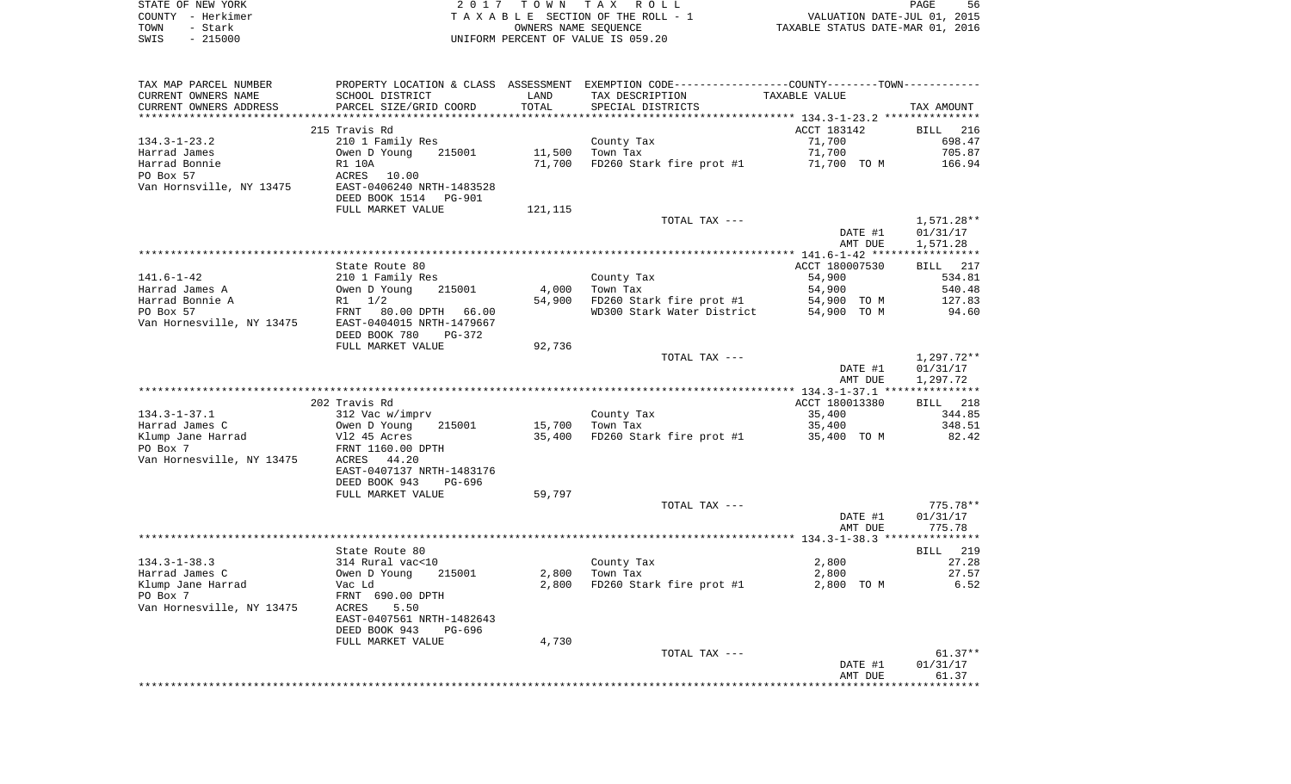|      | STATE OF NEW YORK | 2017 TOWN TAX ROLL                 |                                  | PAGE | -56 |
|------|-------------------|------------------------------------|----------------------------------|------|-----|
|      | COUNTY - Herkimer | TAXABLE SECTION OF THE ROLL - 1    | VALUATION DATE-JUL 01, 2015      |      |     |
| TOWN | - Stark           | OWNERS NAME SEOUENCE               | TAXABLE STATUS DATE-MAR 01, 2016 |      |     |
| SWIS | - 215000          | UNIFORM PERCENT OF VALUE IS 059.20 |                                  |      |     |

 $\frac{56}{2015}$ 

| TAX MAP PARCEL NUMBER     |                                                      |         | PROPERTY LOCATION & CLASS ASSESSMENT EXEMPTION CODE---------------COUNTY-------TOWN---------- |                |              |
|---------------------------|------------------------------------------------------|---------|-----------------------------------------------------------------------------------------------|----------------|--------------|
| CURRENT OWNERS NAME       | SCHOOL DISTRICT                                      | LAND    | TAX DESCRIPTION                                                                               | TAXABLE VALUE  |              |
| CURRENT OWNERS ADDRESS    | PARCEL SIZE/GRID COORD                               | TOTAL   | SPECIAL DISTRICTS                                                                             |                | TAX AMOUNT   |
|                           |                                                      |         |                                                                                               |                |              |
|                           | 215 Travis Rd                                        |         |                                                                                               | ACCT 183142    | BILL 216     |
| $134.3 - 1 - 23.2$        | 210 1 Family Res                                     |         | County Tax                                                                                    | 71,700         | 698.47       |
| Harrad James              | 215001<br>Owen D Young                               | 11,500  | Town Tax                                                                                      | 71,700         | 705.87       |
| Harrad Bonnie             | R1 10A                                               | 71,700  | FD260 Stark fire prot #1                                                                      | 71,700 TO M    | 166.94       |
| PO Box 57                 | ACRES<br>10.00                                       |         |                                                                                               |                |              |
| Van Hornsville, NY 13475  | EAST-0406240 NRTH-1483528<br>DEED BOOK 1514 PG-901   |         |                                                                                               |                |              |
|                           | FULL MARKET VALUE                                    | 121,115 |                                                                                               |                |              |
|                           |                                                      |         | TOTAL TAX ---                                                                                 |                | $1,571.28**$ |
|                           |                                                      |         |                                                                                               | DATE #1        | 01/31/17     |
|                           |                                                      |         |                                                                                               | AMT DUE        | 1,571.28     |
|                           |                                                      |         |                                                                                               |                |              |
|                           | State Route 80                                       |         |                                                                                               | ACCT 180007530 | BILL 217     |
| $141.6 - 1 - 42$          | 210 1 Family Res                                     |         | County Tax                                                                                    | 54,900         | 534.81       |
| Harrad James A            | Owen D Young<br>215001                               | 4,000   | Town Tax                                                                                      | 54,900         | 540.48       |
| Harrad Bonnie A           | $R1 \t1/2$                                           | 54,900  | FD260 Stark fire prot #1                                                                      | 54,900 TO M    | 127.83       |
| PO Box 57                 | FRNT<br>80.00 DPTH 66.00                             |         | WD300 Stark Water District                                                                    | 54,900 TO M    | 94.60        |
| Van Hornesville, NY 13475 | EAST-0404015 NRTH-1479667                            |         |                                                                                               |                |              |
|                           | DEED BOOK 780<br>$PG-372$                            |         |                                                                                               |                |              |
|                           | FULL MARKET VALUE                                    | 92,736  |                                                                                               |                |              |
|                           |                                                      |         | TOTAL TAX ---                                                                                 |                | $1,297.72**$ |
|                           |                                                      |         |                                                                                               | DATE #1        | 01/31/17     |
|                           |                                                      |         |                                                                                               | AMT DUE        | 1,297.72     |
|                           |                                                      |         |                                                                                               |                |              |
|                           | 202 Travis Rd                                        |         |                                                                                               | ACCT 180013380 | BILL 218     |
| $134.3 - 1 - 37.1$        | 312 Vac w/imprv                                      |         | County Tax                                                                                    | 35,400         | 344.85       |
| Harrad James C            | Owen D Young<br>215001                               | 15,700  | Town Tax                                                                                      | 35,400         | 348.51       |
| Klump Jane Harrad         | Vl2 45 Acres                                         | 35,400  | FD260 Stark fire prot #1                                                                      | 35,400 TO M    | 82.42        |
| PO Box 7                  | FRNT 1160.00 DPTH                                    |         |                                                                                               |                |              |
| Van Hornesville, NY 13475 | ACRES 44.20                                          |         |                                                                                               |                |              |
|                           | EAST-0407137 NRTH-1483176<br>DEED BOOK 943<br>PG-696 |         |                                                                                               |                |              |
|                           | FULL MARKET VALUE                                    | 59,797  |                                                                                               |                |              |
|                           |                                                      |         | TOTAL TAX ---                                                                                 |                | $775.78**$   |
|                           |                                                      |         |                                                                                               | DATE #1        | 01/31/17     |
|                           |                                                      |         |                                                                                               | AMT DUE        | 775.78       |
|                           |                                                      |         |                                                                                               |                |              |
|                           | State Route 80                                       |         |                                                                                               |                | BILL 219     |
| $134.3 - 1 - 38.3$        | 314 Rural vac<10                                     |         | County Tax                                                                                    | 2,800          | 27.28        |
| Harrad James C            | Owen D Young<br>215001                               | 2,800   | Town Tax                                                                                      | 2,800          | 27.57        |
| Klump Jane Harrad         | Vac Ld                                               | 2,800   | FD260 Stark fire prot #1                                                                      | 2,800 TO M     | 6.52         |
| PO Box 7                  | FRNT 690.00 DPTH                                     |         |                                                                                               |                |              |
| Van Hornesville, NY 13475 | ACRES<br>5.50                                        |         |                                                                                               |                |              |
|                           | EAST-0407561 NRTH-1482643                            |         |                                                                                               |                |              |
|                           | DEED BOOK 943<br>PG-696                              |         |                                                                                               |                |              |
|                           | FULL MARKET VALUE                                    | 4,730   |                                                                                               |                |              |
|                           |                                                      |         | TOTAL TAX ---                                                                                 |                | $61.37**$    |
|                           |                                                      |         |                                                                                               | DATE #1        | 01/31/17     |
|                           |                                                      |         |                                                                                               |                |              |
|                           |                                                      |         |                                                                                               | AMT DUE        | 61.37        |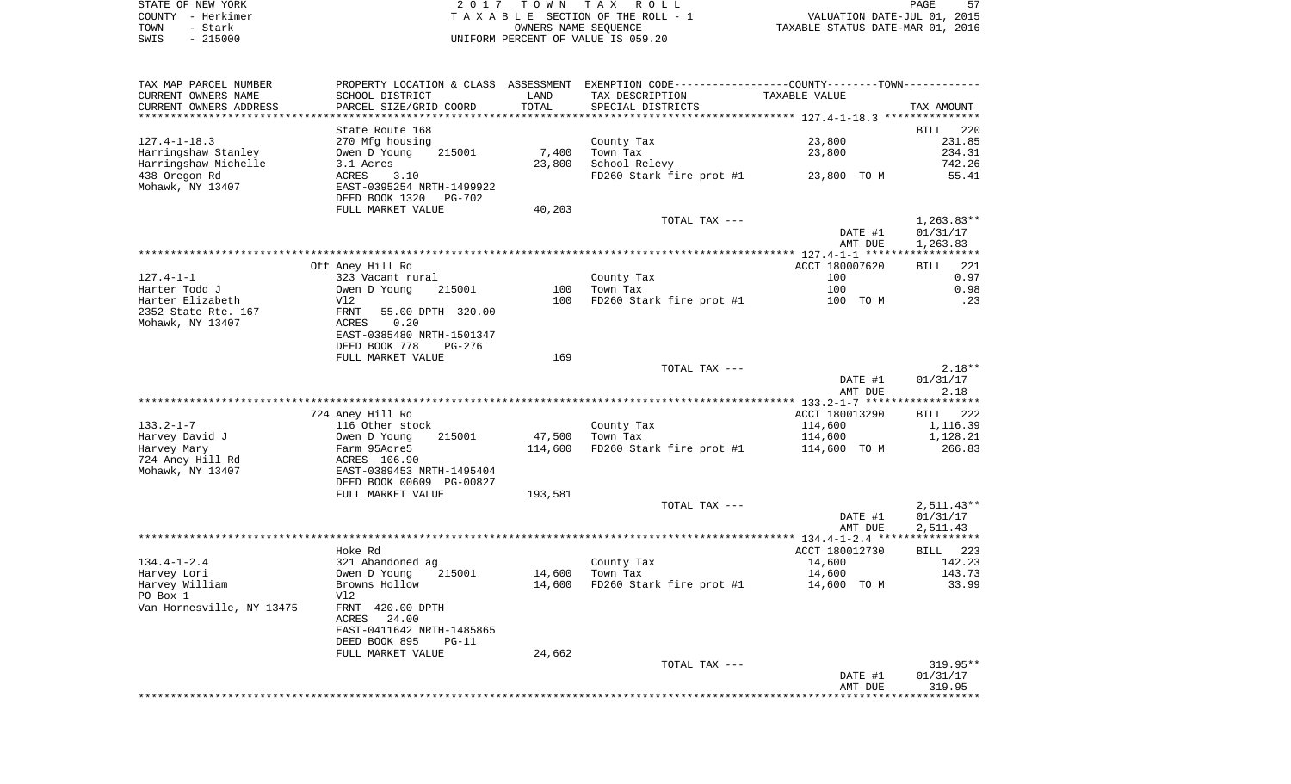|      | STATE OF NEW YORK | 2017 TOWN TAX ROLL                 | 57<br>PAGE                       |
|------|-------------------|------------------------------------|----------------------------------|
|      | COUNTY - Herkimer | TAXABLE SECTION OF THE ROLL - 1    | VALUATION DATE-JUL 01, 2015      |
| TOWN | - Stark           | OWNERS NAME SEOUENCE               | TAXABLE STATUS DATE-MAR 01, 2016 |
| SWIS | - 215000          | UNIFORM PERCENT OF VALUE IS 059.20 |                                  |

| TAX MAP PARCEL NUMBER<br>CURRENT OWNERS NAME | SCHOOL DISTRICT                            | LAND    | PROPERTY LOCATION & CLASS ASSESSMENT EXEMPTION CODE----------------COUNTY--------TOWN----------<br>TAX DESCRIPTION | TAXABLE VALUE  |                    |
|----------------------------------------------|--------------------------------------------|---------|--------------------------------------------------------------------------------------------------------------------|----------------|--------------------|
| CURRENT OWNERS ADDRESS                       | PARCEL SIZE/GRID COORD                     | TOTAL   | SPECIAL DISTRICTS                                                                                                  |                | TAX AMOUNT         |
|                                              | State Route 168                            |         |                                                                                                                    |                | BILL 220           |
| $127.4 - 1 - 18.3$                           | 270 Mfg housing                            |         | County Tax                                                                                                         | 23,800         | 231.85             |
| Harringshaw Stanley                          | 215001                                     | 7,400   | Town Tax                                                                                                           | 23,800         | 234.31             |
|                                              | Owen D Young                               |         |                                                                                                                    |                |                    |
| Harringshaw Michelle                         | 3.1 Acres                                  | 23,800  | School Relevy                                                                                                      |                | 742.26             |
| 438 Oregon Rd<br>Mohawk, NY 13407            | ACRES<br>3.10<br>EAST-0395254 NRTH-1499922 |         | FD260 Stark fire prot #1 23,800 TO M                                                                               |                | 55.41              |
|                                              | DEED BOOK 1320<br>PG-702                   |         |                                                                                                                    |                |                    |
|                                              | FULL MARKET VALUE                          | 40,203  |                                                                                                                    |                |                    |
|                                              |                                            |         | TOTAL TAX ---                                                                                                      |                | $1,263.83**$       |
|                                              |                                            |         |                                                                                                                    | DATE #1        | 01/31/17           |
|                                              |                                            |         |                                                                                                                    | AMT DUE        | 1,263.83           |
|                                              |                                            |         |                                                                                                                    |                |                    |
|                                              |                                            |         |                                                                                                                    | ACCT 180007620 | 221<br><b>BILL</b> |
|                                              | Off Aney Hill Rd                           |         |                                                                                                                    |                |                    |
| 127.4-1-1                                    | 323 Vacant rural                           |         | County Tax                                                                                                         | 100            | 0.97               |
| Harter Todd J                                | Owen D Young<br>215001                     | 100     | Town Tax                                                                                                           | 100            | 0.98               |
| Harter Elizabeth                             | V12                                        | 100     | FD260 Stark fire prot #1                                                                                           | 100 TO M       | $\cdot$ 23         |
| 2352 State Rte. 167                          | 55.00 DPTH 320.00<br>FRNT                  |         |                                                                                                                    |                |                    |
| Mohawk, NY 13407                             | ACRES<br>0.20                              |         |                                                                                                                    |                |                    |
|                                              | EAST-0385480 NRTH-1501347                  |         |                                                                                                                    |                |                    |
|                                              | DEED BOOK 778<br>PG-276                    |         |                                                                                                                    |                |                    |
|                                              |                                            |         |                                                                                                                    |                |                    |
|                                              | FULL MARKET VALUE                          | 169     |                                                                                                                    |                |                    |
|                                              |                                            |         | TOTAL TAX ---                                                                                                      |                | $2.18**$           |
|                                              |                                            |         |                                                                                                                    | DATE #1        | 01/31/17           |
|                                              |                                            |         |                                                                                                                    | AMT DUE        | 2.18               |
|                                              |                                            |         |                                                                                                                    |                |                    |
|                                              | 724 Aney Hill Rd                           |         |                                                                                                                    | ACCT 180013290 | BILL 222           |
| 133.2-1-7                                    | 116 Other stock                            |         | County Tax                                                                                                         | 114,600        | 1,116.39           |
| Harvey David J                               | 215001<br>Owen D Young                     | 47,500  | Town Tax                                                                                                           | 114,600        | 1,128.21           |
| Harvey Mary                                  | Farm 95Acre5                               | 114,600 | FD260 Stark fire prot #1                                                                                           | 114,600 TO M   | 266.83             |
| 724 Aney Hill Rd                             | ACRES 106.90                               |         |                                                                                                                    |                |                    |
| Mohawk, NY 13407                             | EAST-0389453 NRTH-1495404                  |         |                                                                                                                    |                |                    |
|                                              |                                            |         |                                                                                                                    |                |                    |
|                                              | DEED BOOK 00609 PG-00827                   |         |                                                                                                                    |                |                    |
|                                              | FULL MARKET VALUE                          | 193,581 |                                                                                                                    |                |                    |
|                                              |                                            |         | TOTAL TAX ---                                                                                                      |                | $2,511.43**$       |
|                                              |                                            |         |                                                                                                                    | DATE #1        | 01/31/17           |
|                                              |                                            |         |                                                                                                                    | AMT DUE        | 2,511.43           |
|                                              |                                            |         |                                                                                                                    |                |                    |
|                                              | Hoke Rd                                    |         |                                                                                                                    | ACCT 180012730 | BILL 223           |
| $134.4 - 1 - 2.4$                            | 321 Abandoned ag                           |         | County Tax                                                                                                         | 14,600         | 142.23             |
| Harvey Lori                                  | 215001<br>Owen D Young                     | 14,600  | Town Tax                                                                                                           | 14,600         | 143.73             |
| Harvey William                               | Browns Hollow                              | 14,600  |                                                                                                                    | 14,600 TO M    | 33.99              |
|                                              |                                            |         | FD260 Stark fire prot #1                                                                                           |                |                    |
| PO Box 1                                     | Vl2                                        |         |                                                                                                                    |                |                    |
| Van Hornesville, NY 13475                    | FRNT 420.00 DPTH<br>ACRES 24.00            |         |                                                                                                                    |                |                    |
|                                              | EAST-0411642 NRTH-1485865                  |         |                                                                                                                    |                |                    |
|                                              | DEED BOOK 895<br>$PG-11$                   |         |                                                                                                                    |                |                    |
|                                              | FULL MARKET VALUE                          | 24,662  |                                                                                                                    |                |                    |
|                                              |                                            |         | TOTAL TAX ---                                                                                                      |                | $319.95**$         |
|                                              |                                            |         |                                                                                                                    |                |                    |
|                                              |                                            |         |                                                                                                                    | DATE #1        | 01/31/17           |
|                                              |                                            |         |                                                                                                                    | AMT DUE        | 319.95             |
|                                              |                                            |         |                                                                                                                    |                |                    |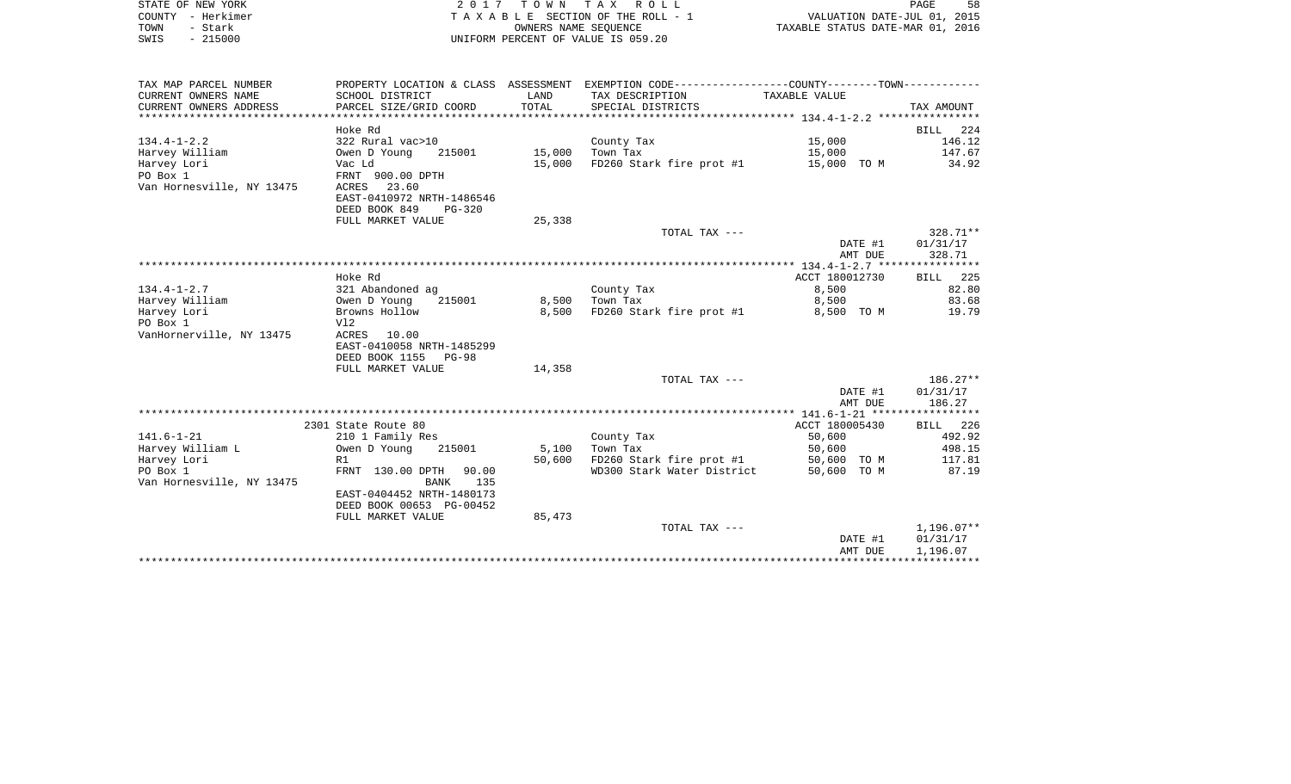| STATE OF NEW YORK         |                                            |                      | 2017 TOWN TAX ROLL                                                                             |                                  | PAGE<br>58               |
|---------------------------|--------------------------------------------|----------------------|------------------------------------------------------------------------------------------------|----------------------------------|--------------------------|
| COUNTY - Herkimer         |                                            |                      | TAXABLE SECTION OF THE ROLL - 1                                                                | VALUATION DATE-JUL 01, 2015      |                          |
| TOWN<br>- Stark           |                                            | OWNERS NAME SEOUENCE |                                                                                                | TAXABLE STATUS DATE-MAR 01, 2016 |                          |
| $-215000$<br>SWIS         |                                            |                      | UNIFORM PERCENT OF VALUE IS 059.20                                                             |                                  |                          |
| TAX MAP PARCEL NUMBER     |                                            |                      | PROPERTY LOCATION & CLASS ASSESSMENT EXEMPTION CODE----------------COUNTY-------TOWN---------- |                                  |                          |
| CURRENT OWNERS NAME       | SCHOOL DISTRICT                            | LAND                 | TAX DESCRIPTION                                                                                | TAXABLE VALUE                    |                          |
| CURRENT OWNERS ADDRESS    | PARCEL SIZE/GRID COORD                     | TOTAL                | SPECIAL DISTRICTS                                                                              |                                  | TAX AMOUNT               |
|                           |                                            |                      |                                                                                                |                                  |                          |
|                           | Hoke Rd                                    |                      |                                                                                                |                                  | BILL 224                 |
| $134.4 - 1 - 2.2$         | 322 Rural vac>10                           |                      | County Tax                                                                                     | 15,000                           | 146.12                   |
| Harvey William            | Owen D Young<br>215001                     | 15,000               | Town Tax                                                                                       | 15,000                           | 147.67                   |
| Harvey Lori<br>PO Box 1   | Vac Ld                                     |                      | 15,000 FD260 Stark fire prot #1                                                                | 15,000 TO M                      | 34.92                    |
| Van Hornesville, NY 13475 | FRNT 900.00 DPTH<br>ACRES 23.60            |                      |                                                                                                |                                  |                          |
|                           | EAST-0410972 NRTH-1486546                  |                      |                                                                                                |                                  |                          |
|                           | DEED BOOK 849<br>$PG-320$                  |                      |                                                                                                |                                  |                          |
|                           | FULL MARKET VALUE                          | 25,338               |                                                                                                |                                  |                          |
|                           |                                            |                      | TOTAL TAX ---                                                                                  |                                  | 328.71**                 |
|                           |                                            |                      |                                                                                                | DATE #1                          | 01/31/17                 |
|                           |                                            |                      |                                                                                                | AMT DUE                          | 328.71                   |
|                           |                                            |                      |                                                                                                |                                  |                          |
|                           | Hoke Rd                                    |                      |                                                                                                | ACCT 180012730                   | <b>BILL</b> 225          |
| 134.4-1-2.7               | 321 Abandoned ag                           |                      | County Tax                                                                                     | 8,500                            | 82.80                    |
| Harvey William            | Owen D Young<br>215001<br>Browns Hollow    | 8,500<br>8,500       | Town Tax                                                                                       | 8,500                            | 83.68                    |
| Harvey Lori<br>PO Box 1   | V12                                        |                      | FD260 Stark fire prot #1                                                                       | 8,500 TO M                       | 19.79                    |
| VanHornerville, NY 13475  | ACRES 10.00                                |                      |                                                                                                |                                  |                          |
|                           | EAST-0410058 NRTH-1485299                  |                      |                                                                                                |                                  |                          |
|                           | DEED BOOK 1155 PG-98                       |                      |                                                                                                |                                  |                          |
|                           | FULL MARKET VALUE                          | 14,358               |                                                                                                |                                  |                          |
|                           |                                            |                      | TOTAL TAX ---                                                                                  |                                  | $186.27**$               |
|                           |                                            |                      |                                                                                                | DATE #1                          | 01/31/17                 |
|                           |                                            |                      |                                                                                                | AMT DUE                          | 186.27                   |
|                           |                                            |                      |                                                                                                |                                  |                          |
| $141.6 - 1 - 21$          | 2301 State Route 80                        |                      |                                                                                                | ACCT 180005430<br>50,600         | BILL 226<br>492.92       |
| Harvey William L          | 210 1 Family Res<br>Owen D Young<br>215001 | 5,100                | County Tax<br>Town Tax                                                                         | 50,600                           | 498.15                   |
| Harvey Lori               | R1                                         | 50,600               | FD260 Stark fire prot #1                                                                       | 50,600 TO M                      | 117.81                   |
| PO Box 1                  | FRNT 130.00 DPTH 90.00                     |                      | WD300 Stark Water District                                                                     | 50,600 TO M                      | 87.19                    |
| Van Hornesville, NY 13475 | BANK 135                                   |                      |                                                                                                |                                  |                          |
|                           | EAST-0404452 NRTH-1480173                  |                      |                                                                                                |                                  |                          |
|                           | DEED BOOK 00653 PG-00452                   |                      |                                                                                                |                                  |                          |
|                           | FULL MARKET VALUE                          | 85,473               |                                                                                                |                                  |                          |
|                           |                                            |                      | TOTAL TAX ---                                                                                  |                                  | $1,196.07**$             |
|                           |                                            |                      |                                                                                                | DATE #1                          | 01/31/17<br>PMT הזזה התו |

AMT DUE 1,196.07 \*\*\*\*\*\*\*\*\*\*\*\*\*\*\*\*\*\*\*\*\*\*\*\*\*\*\*\*\*\*\*\*\*\*\*\*\*\*\*\*\*\*\*\*\*\*\*\*\*\*\*\*\*\*\*\*\*\*\*\*\*\*\*\*\*\*\*\*\*\*\*\*\*\*\*\*\*\*\*\*\*\*\*\*\*\*\*\*\*\*\*\*\*\*\*\*\*\*\*\*\*\*\*\*\*\*\*\*\*\*\*\*\*\*\*\*\*\*\*\*\*\*\*\*\*\*\*\*\*\*\*\*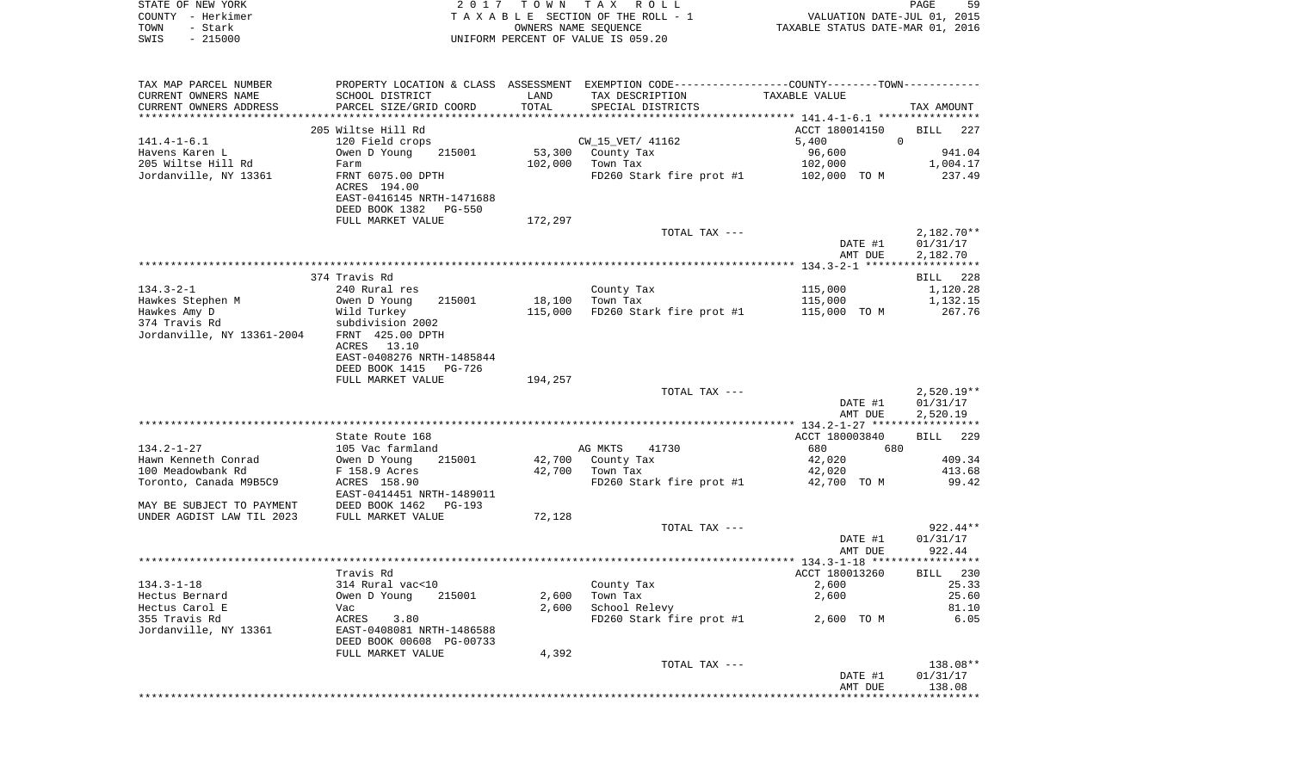| STATE OF NEW YORK          |                           | 2017 TOWN TAX | R O L L                                                                                       |                                  | 59<br>PAGE                  |
|----------------------------|---------------------------|---------------|-----------------------------------------------------------------------------------------------|----------------------------------|-----------------------------|
| - Herkimer<br>COUNTY       |                           |               | T A X A B L E SECTION OF THE ROLL - 1                                                         |                                  | VALUATION DATE-JUL 01, 2015 |
| - Stark<br>TOWN            |                           |               | OWNERS NAME SEQUENCE                                                                          | TAXABLE STATUS DATE-MAR 01, 2016 |                             |
| $-215000$<br>SWIS          |                           |               | UNIFORM PERCENT OF VALUE IS 059.20                                                            |                                  |                             |
|                            |                           |               |                                                                                               |                                  |                             |
|                            |                           |               |                                                                                               |                                  |                             |
| TAX MAP PARCEL NUMBER      |                           |               | PROPERTY LOCATION & CLASS ASSESSMENT EXEMPTION CODE---------------COUNTY-------TOWN---------- |                                  |                             |
| CURRENT OWNERS NAME        | SCHOOL DISTRICT           | LAND          | TAX DESCRIPTION                                                                               | TAXABLE VALUE                    |                             |
| CURRENT OWNERS ADDRESS     | PARCEL SIZE/GRID COORD    | TOTAL         | SPECIAL DISTRICTS                                                                             |                                  | TAX AMOUNT                  |
|                            |                           |               |                                                                                               |                                  |                             |
|                            | 205 Wiltse Hill Rd        |               |                                                                                               | ACCT 180014150                   | BILL 227                    |
| $141.4 - 1 - 6.1$          | 120 Field crops           |               | CW 15 VET/ 41162                                                                              | 5,400                            | $\Omega$                    |
| Havens Karen L             | Owen D Young              |               | 215001 53,300 County Tax                                                                      | 96,600                           | 941.04                      |
| 205 Wiltse Hill Rd         | Farm                      | 102,000       | Town Tax                                                                                      | 102,000                          | 1,004.17                    |
| Jordanville, NY 13361      | FRNT 6075.00 DPTH         |               | FD260 Stark fire prot #1                                                                      | 102,000 TO M                     | 237.49                      |
|                            | ACRES 194.00              |               |                                                                                               |                                  |                             |
|                            | EAST-0416145 NRTH-1471688 |               |                                                                                               |                                  |                             |
|                            | DEED BOOK 1382 PG-550     |               |                                                                                               |                                  |                             |
|                            | FULL MARKET VALUE         | 172,297       |                                                                                               |                                  |                             |
|                            |                           |               | TOTAL TAX ---                                                                                 |                                  | 2,182.70**                  |
|                            |                           |               |                                                                                               | DATE #1                          | 01/31/17                    |
|                            |                           |               |                                                                                               | AMT DUE                          | 2,182.70                    |
|                            |                           |               |                                                                                               |                                  |                             |
|                            | 374 Travis Rd             |               |                                                                                               |                                  | BILL 228                    |
| $134.3 - 2 - 1$            | 240 Rural res             |               | County Tax                                                                                    | 115,000                          | 1,120.28                    |
| Hawkes Stephen M           | 215001<br>Owen D Young    | 18,100        | Town Tax                                                                                      | 115,000                          | 1,132.15                    |
| Hawkes Amy D               | Wild Turkey               | 115,000       | FD260 Stark fire prot #1                                                                      | 115,000 TO M                     | 267.76                      |
| 374 Travis Rd              | subdivision 2002          |               |                                                                                               |                                  |                             |
| Jordanville, NY 13361-2004 | FRNT 425.00 DPTH          |               |                                                                                               |                                  |                             |
|                            | ACRES 13.10               |               |                                                                                               |                                  |                             |
|                            | EAST-0408276 NRTH-1485844 |               |                                                                                               |                                  |                             |
|                            | DEED BOOK 1415 PG-726     |               |                                                                                               |                                  |                             |
|                            | FULL MARKET VALUE         | 194,257       |                                                                                               |                                  |                             |
|                            |                           |               | TOTAL TAX ---                                                                                 |                                  | $2,520.19**$                |
|                            |                           |               |                                                                                               |                                  |                             |

|                           |                           |        |                          | DATE #1        | 01/31/17    |
|---------------------------|---------------------------|--------|--------------------------|----------------|-------------|
|                           |                           |        |                          | AMT DUE        | 2,520.19    |
|                           |                           |        |                          |                |             |
|                           | State Route 168           |        |                          | ACCT 180003840 | BILL<br>229 |
| $134.2 - 1 - 27$          | 105 Vac farmland          |        | 41730<br>AG MKTS         | 680<br>680     |             |
| Hawn Kenneth Conrad       | 215001<br>Owen D Young    | 42,700 | County Tax               | 42,020         | 409.34      |
| 100 Meadowbank Rd         | F 158.9 Acres             | 42,700 | Town Tax                 | 42,020         | 413.68      |
| Toronto, Canada M9B5C9    | ACRES 158.90              |        | FD260 Stark fire prot #1 | 42,700<br>TO M | 99.42       |
|                           | EAST-0414451 NRTH-1489011 |        |                          |                |             |
| MAY BE SUBJECT TO PAYMENT | DEED BOOK 1462<br>PG-193  |        |                          |                |             |
| UNDER AGDIST LAW TIL 2023 | FULL MARKET VALUE         | 72,128 |                          |                |             |
|                           |                           |        | TOTAL TAX ---            |                | $922.44**$  |
|                           |                           |        |                          | DATE #1        | 01/31/17    |
|                           |                           |        |                          | AMT DUE        | 922.44      |
|                           |                           |        |                          |                |             |
|                           | Travis Rd                 |        |                          | ACCT 180013260 | BILL 230    |
| $134.3 - 1 - 18$          | 314 Rural vac<10          |        | County Tax               | 2,600          | 25.33       |
| Hectus Bernard            | 215001<br>Owen D Young    | 2,600  | Town Tax                 | 2,600          | 25.60       |
| Hectus Carol E            | Vac                       | 2,600  | School Relevy            |                | 81.10       |
| 355 Travis Rd             | 3.80<br>ACRES             |        | FD260 Stark fire prot #1 | 2,600 TO M     | 6.05        |
| Jordanville, NY 13361     | EAST-0408081 NRTH-1486588 |        |                          |                |             |
|                           | DEED BOOK 00608 PG-00733  |        |                          |                |             |
|                           | FULL MARKET VALUE         | 4,392  |                          |                |             |

| FULL MARREI VALUE | ュテコンム |               |         |          |
|-------------------|-------|---------------|---------|----------|
|                   |       | TOTAL TAX --- |         | 138.08** |
|                   |       |               | DATE #1 | 01/31/17 |
|                   |       |               | AMT DUE | 138.08   |
|                   |       |               |         |          |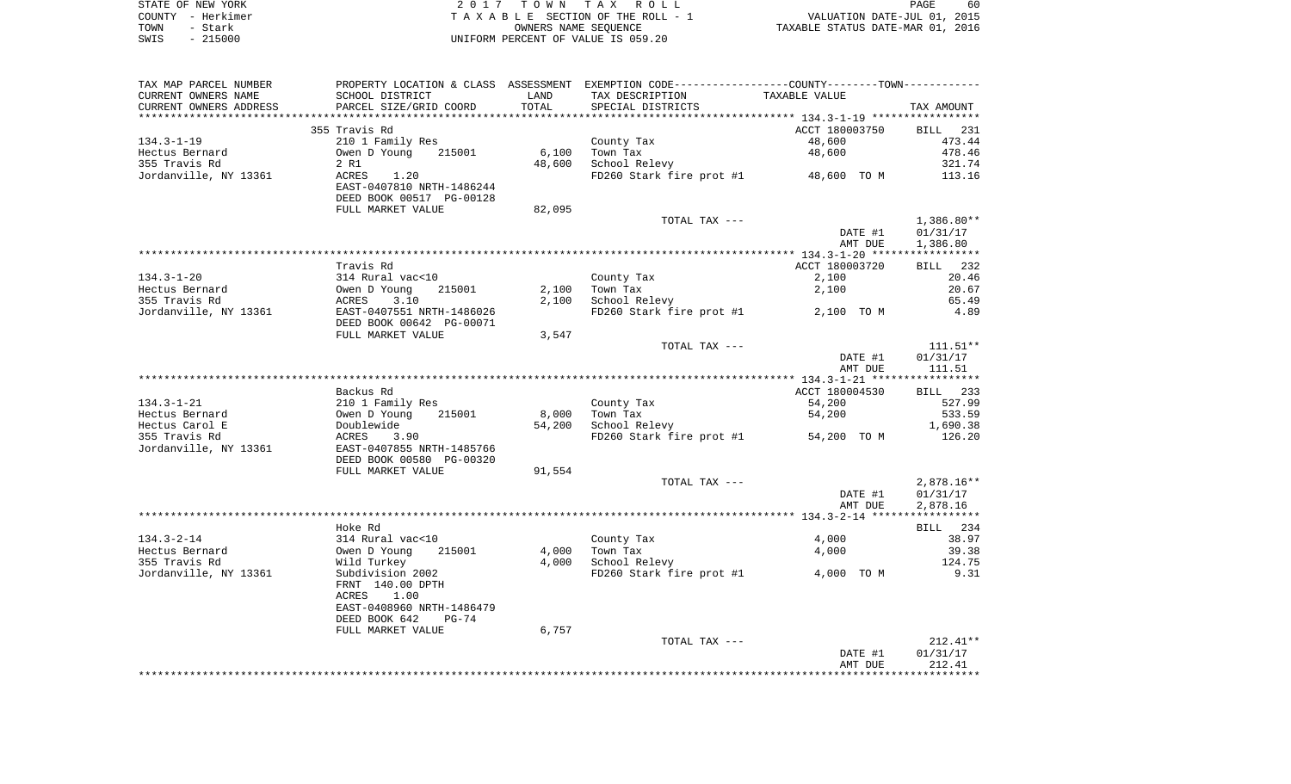|      | STATE OF NEW YORK | 2017 TOWN TAX ROLL                 | 60<br>PAGE                       |
|------|-------------------|------------------------------------|----------------------------------|
|      | COUNTY – Herkimer | TAXABLE SECTION OF THE ROLL - 1    | VALUATION DATE-JUL 01, 2015      |
| TOWN | - Stark           | OWNERS NAME SEOUENCE               | TAXABLE STATUS DATE-MAR 01, 2016 |
| SWIS | - 215000          | UNIFORM PERCENT OF VALUE IS 059.20 |                                  |

| TAX MAP PARCEL NUMBER                           | PROPERTY LOCATION & CLASS ASSESSMENT EXEMPTION CODE---------------COUNTY-------TOWN---------- |        |                                          |                |            |
|-------------------------------------------------|-----------------------------------------------------------------------------------------------|--------|------------------------------------------|----------------|------------|
| CURRENT OWNERS NAME                             | SCHOOL DISTRICT                                                                               | LAND   | TAX DESCRIPTION                          | TAXABLE VALUE  |            |
| CURRENT OWNERS ADDRESS                          | PARCEL SIZE/GRID COORD                                                                        | TOTAL  | SPECIAL DISTRICTS                        |                | TAX AMOUNT |
|                                                 |                                                                                               |        |                                          |                |            |
|                                                 | 355 Travis Rd                                                                                 |        |                                          | ACCT 180003750 | BILL 231   |
| $134.3 - 1 - 19$                                | 210 1 Family Res                                                                              |        | County Tax                               | 48,600         | 473.44     |
| Hectus Bernard                                  | Owen D Young 215001                                                                           | 6,100  | Town Tax                                 | 48,600         | 478.46     |
| 355 Travis Rd                                   | 2 R1                                                                                          | 48,600 | School Relevy                            |                | 321.74     |
| Jordanville, NY 13361                           | ACRES<br>1.20                                                                                 |        | FD260 Stark fire prot #1 48,600 TO M     |                | 113.16     |
|                                                 | EAST-0407810 NRTH-1486244                                                                     |        |                                          |                |            |
|                                                 | DEED BOOK 00517 PG-00128                                                                      |        |                                          |                |            |
|                                                 | FULL MARKET VALUE                                                                             | 82,095 |                                          |                |            |
|                                                 |                                                                                               |        | TOTAL TAX ---                            |                | 1,386.80** |
|                                                 |                                                                                               |        |                                          | DATE #1        | 01/31/17   |
|                                                 |                                                                                               |        |                                          | AMT DUE        | 1,386.80   |
|                                                 |                                                                                               |        |                                          |                |            |
|                                                 | Travis Rd                                                                                     |        |                                          | ACCT 180003720 | BILL 232   |
| $134.3 - 1 - 20$                                |                                                                                               |        | County Tax                               | 2,100          | 20.46      |
| Hectus Bernard                                  |                                                                                               |        | $2,100$ Town Tax                         | 2,100          | 20.67      |
| 355 Travis Rd                                   |                                                                                               | 2,100  | School Relevy                            |                | 65.49      |
| Jordanville, NY 13361                           | 314 Rural vac<10<br>0wen D Young 215001<br>ACRES 3.10<br>EAST-0407551 NRTH-1486026            |        | FD260 Stark fire prot #1 2,100 TO M      |                | 4.89       |
|                                                 | DEED BOOK 00642 PG-00071                                                                      |        |                                          |                |            |
|                                                 | FULL MARKET VALUE                                                                             | 3,547  |                                          |                |            |
|                                                 |                                                                                               |        | TOTAL TAX ---                            |                | $111.51**$ |
|                                                 |                                                                                               |        |                                          | DATE #1        | 01/31/17   |
|                                                 |                                                                                               |        |                                          | AMT DUE        | 111.51     |
|                                                 |                                                                                               |        |                                          |                |            |
|                                                 | Backus Rd                                                                                     |        |                                          | ACCT 180004530 | BILL 233   |
| 134.3-1-21                                      |                                                                                               |        | County Tax                               | 54,200         | 527.99     |
|                                                 | 210 1 Family Res<br>Owen D Young 21<br>Doublewide<br>ACRES 3.90<br>215001                     |        |                                          |                | 533.59     |
| Hectus Bernard                                  |                                                                                               | 8,000  | Town Tax                                 | 54,200         |            |
| Hectus Carol E                                  |                                                                                               | 54,200 | School Relevy                            |                | 1,690.38   |
| 355 Travis Rd                                   |                                                                                               |        | $FD260$ Stark fire prot #1 $54,200$ TO M |                | 126.20     |
| Jordanville, NY 13361 EAST-0407855 NRTH-1485766 |                                                                                               |        |                                          |                |            |
|                                                 | DEED BOOK 00580 PG-00320                                                                      |        |                                          |                |            |
|                                                 | FULL MARKET VALUE                                                                             | 91,554 |                                          |                |            |
|                                                 |                                                                                               |        | TOTAL TAX ---                            |                | 2,878.16** |
|                                                 |                                                                                               |        |                                          | DATE #1        | 01/31/17   |
|                                                 |                                                                                               |        |                                          | AMT DUE        | 2,878.16   |
|                                                 |                                                                                               |        |                                          |                |            |
|                                                 | Hoke Rd                                                                                       |        |                                          |                | BILL 234   |
| $134.3 - 2 - 14$                                | 314 Rural vac<10                                                                              |        | County Tax                               | 4,000          | 38.97      |
| Hectus Bernard                                  | Owen D Young<br>215001                                                                        | 4,000  | Town Tax                                 | 4,000          | 39.38      |
| 355 Travis Rd                                   | Wild Turkey                                                                                   |        | 4,000 School Relevy                      |                | 124.75     |
| Jordanville, NY 13361                           | Subdivision 2002                                                                              |        | FD260 Stark fire prot #1 4,000 TO M      |                | 9.31       |
|                                                 | FRNT 140.00 DPTH                                                                              |        |                                          |                |            |
|                                                 | 1.00<br>ACRES                                                                                 |        |                                          |                |            |
|                                                 | EAST-0408960 NRTH-1486479                                                                     |        |                                          |                |            |
|                                                 | DEED BOOK 642<br>PG-74                                                                        |        |                                          |                |            |
|                                                 | FULL MARKET VALUE                                                                             | 6,757  |                                          |                |            |
|                                                 |                                                                                               |        | TOTAL TAX ---                            |                | $212.41**$ |
|                                                 |                                                                                               |        |                                          | DATE #1        | 01/31/17   |
|                                                 |                                                                                               |        |                                          | AMT DUE        | 212.41     |
|                                                 |                                                                                               |        |                                          |                |            |
|                                                 |                                                                                               |        |                                          |                |            |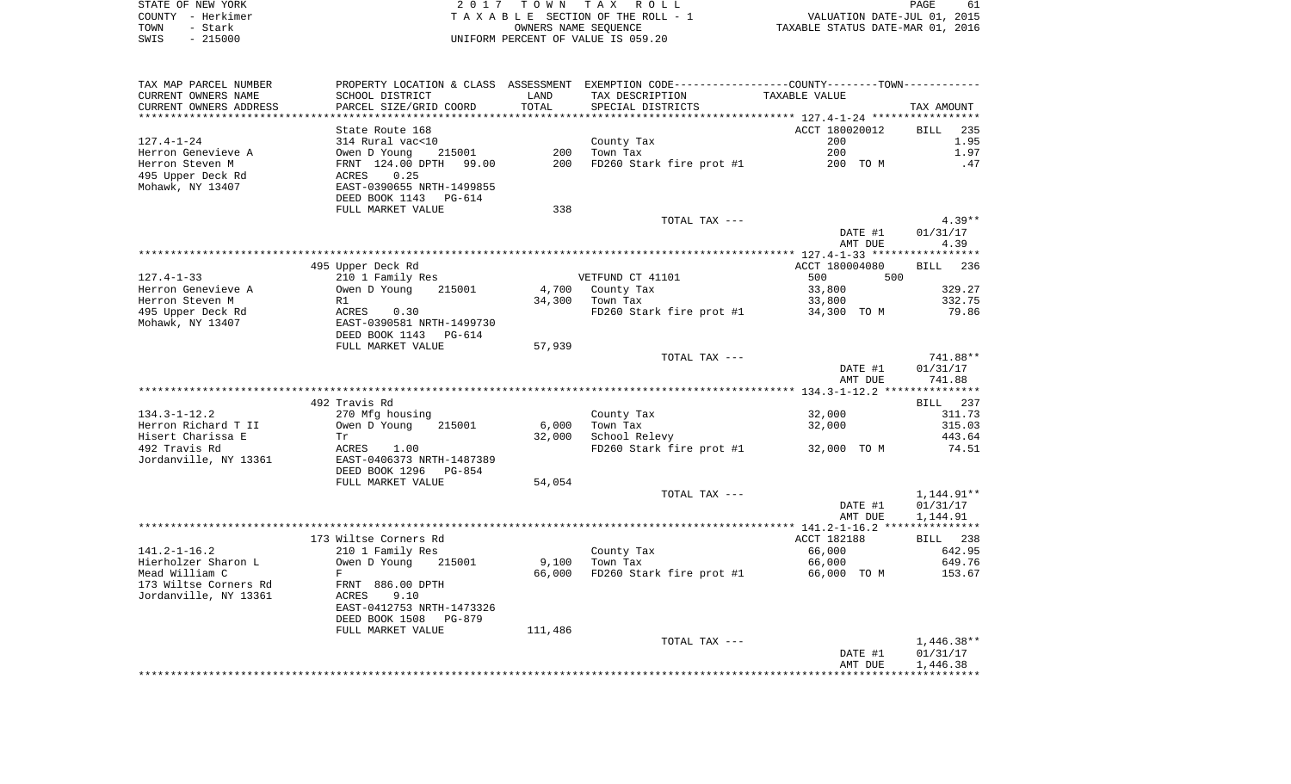|      | STATE OF NEW YORK | 2017 TOWN TAX ROLL                 | PAGE                             | 61 |
|------|-------------------|------------------------------------|----------------------------------|----|
|      | COUNTY - Herkimer | TAXABLE SECTION OF THE ROLL - 1    | VALUATION DATE-JUL 01, 2015      |    |
| TOWN | - Stark           | OWNERS NAME SEOUENCE               | TAXABLE STATUS DATE-MAR 01, 2016 |    |
| SWIS | $-215000$         | UNIFORM PERCENT OF VALUE IS 059.20 |                                  |    |

| TAX MAP PARCEL NUMBER                            | PROPERTY LOCATION & CLASS ASSESSMENT       |         |                          | EXEMPTION CODE-----------------COUNTY-------TOWN----------- |                    |
|--------------------------------------------------|--------------------------------------------|---------|--------------------------|-------------------------------------------------------------|--------------------|
| CURRENT OWNERS NAME                              | SCHOOL DISTRICT                            | LAND    | TAX DESCRIPTION          | TAXABLE VALUE                                               |                    |
| CURRENT OWNERS ADDRESS<br>********************** | PARCEL SIZE/GRID COORD                     | TOTAL   | SPECIAL DISTRICTS        |                                                             | TAX AMOUNT         |
|                                                  |                                            |         |                          | ACCT 180020012                                              |                    |
|                                                  | State Route 168                            |         |                          |                                                             | <b>BILL</b><br>235 |
| $127.4 - 1 - 24$                                 | 314 Rural vac<10                           |         | County Tax               | 200                                                         | 1.95               |
| Herron Genevieve A                               | Owen D Young<br>215001                     | 200     | Town Tax                 | 200                                                         | 1.97               |
| Herron Steven M                                  | FRNT 124.00 DPTH 99.00                     | 200     | FD260 Stark fire prot #1 | 200 TO M                                                    | .47                |
| 495 Upper Deck Rd                                | 0.25<br>ACRES<br>EAST-0390655 NRTH-1499855 |         |                          |                                                             |                    |
| Mohawk, NY 13407                                 | DEED BOOK 1143 PG-614                      |         |                          |                                                             |                    |
|                                                  | FULL MARKET VALUE                          | 338     |                          |                                                             |                    |
|                                                  |                                            |         | TOTAL TAX ---            |                                                             | $4.39**$           |
|                                                  |                                            |         |                          | DATE #1                                                     | 01/31/17           |
|                                                  |                                            |         |                          | AMT DUE                                                     | 4.39               |
|                                                  |                                            |         |                          |                                                             |                    |
|                                                  | 495 Upper Deck Rd                          |         |                          | ACCT 180004080                                              | BILL 236           |
| $127.4 - 1 - 33$                                 | 210 1 Family Res                           |         | VETFUND CT 41101         | 500<br>500                                                  |                    |
| Herron Genevieve A                               | 215001<br>Owen D Young                     | 4,700   | County Tax               | 33,800                                                      | 329.27             |
| Herron Steven M                                  | R1                                         | 34,300  | Town Tax                 | 33,800                                                      | 332.75             |
| 495 Upper Deck Rd                                | ACRES<br>0.30                              |         | FD260 Stark fire prot #1 | 34,300 TO M                                                 | 79.86              |
| Mohawk, NY 13407                                 | EAST-0390581 NRTH-1499730                  |         |                          |                                                             |                    |
|                                                  | DEED BOOK 1143 PG-614                      |         |                          |                                                             |                    |
|                                                  | FULL MARKET VALUE                          | 57,939  |                          |                                                             |                    |
|                                                  |                                            |         | TOTAL TAX ---            |                                                             | 741.88**           |
|                                                  |                                            |         |                          | DATE #1                                                     | 01/31/17           |
|                                                  |                                            |         |                          | AMT DUE                                                     | 741.88             |
|                                                  |                                            |         |                          |                                                             |                    |
|                                                  | 492 Travis Rd                              |         |                          |                                                             | BILL 237           |
| $134.3 - 1 - 12.2$                               | 270 Mfg housing                            |         | County Tax               | 32,000                                                      | 311.73             |
| Herron Richard T II                              | Owen D Young<br>215001                     | 6,000   | Town Tax                 | 32,000                                                      | 315.03             |
| Hisert Charissa E                                | Tr                                         | 32,000  | School Relevy            |                                                             | 443.64             |
| 492 Travis Rd                                    | ACRES<br>1.00                              |         | FD260 Stark fire prot #1 | 32,000 TO M                                                 | 74.51              |
| Jordanville, NY 13361                            | EAST-0406373 NRTH-1487389                  |         |                          |                                                             |                    |
|                                                  | DEED BOOK 1296<br>PG-854                   |         |                          |                                                             |                    |
|                                                  | FULL MARKET VALUE                          | 54,054  |                          |                                                             |                    |
|                                                  |                                            |         | TOTAL TAX ---            |                                                             | 1,144.91**         |
|                                                  |                                            |         |                          | DATE #1                                                     | 01/31/17           |
|                                                  |                                            |         |                          | AMT DUE                                                     | 1,144.91           |
|                                                  |                                            |         |                          |                                                             |                    |
|                                                  | 173 Wiltse Corners Rd                      |         |                          | ACCT 182188                                                 | BILL 238           |
| $141.2 - 1 - 16.2$                               | 210 1 Family Res                           |         | County Tax               | 66,000                                                      | 642.95             |
| Hierholzer Sharon L                              | Owen D Young<br>215001                     | 9,100   | Town Tax                 | 66,000                                                      | 649.76             |
| Mead William C                                   | F                                          | 66,000  | FD260 Stark fire prot #1 | 66,000 TO M                                                 | 153.67             |
| 173 Wiltse Corners Rd                            | FRNT 886.00 DPTH                           |         |                          |                                                             |                    |
| Jordanville, NY 13361                            | ACRES<br>9.10                              |         |                          |                                                             |                    |
|                                                  | EAST-0412753 NRTH-1473326                  |         |                          |                                                             |                    |
|                                                  | DEED BOOK 1508 PG-879                      |         |                          |                                                             |                    |
|                                                  | FULL MARKET VALUE                          | 111,486 |                          |                                                             |                    |
|                                                  |                                            |         | TOTAL TAX ---            |                                                             | $1,446.38**$       |
|                                                  |                                            |         |                          | DATE #1                                                     | 01/31/17           |
|                                                  |                                            |         |                          | AMT DUE                                                     | 1,446.38           |
|                                                  |                                            |         |                          |                                                             |                    |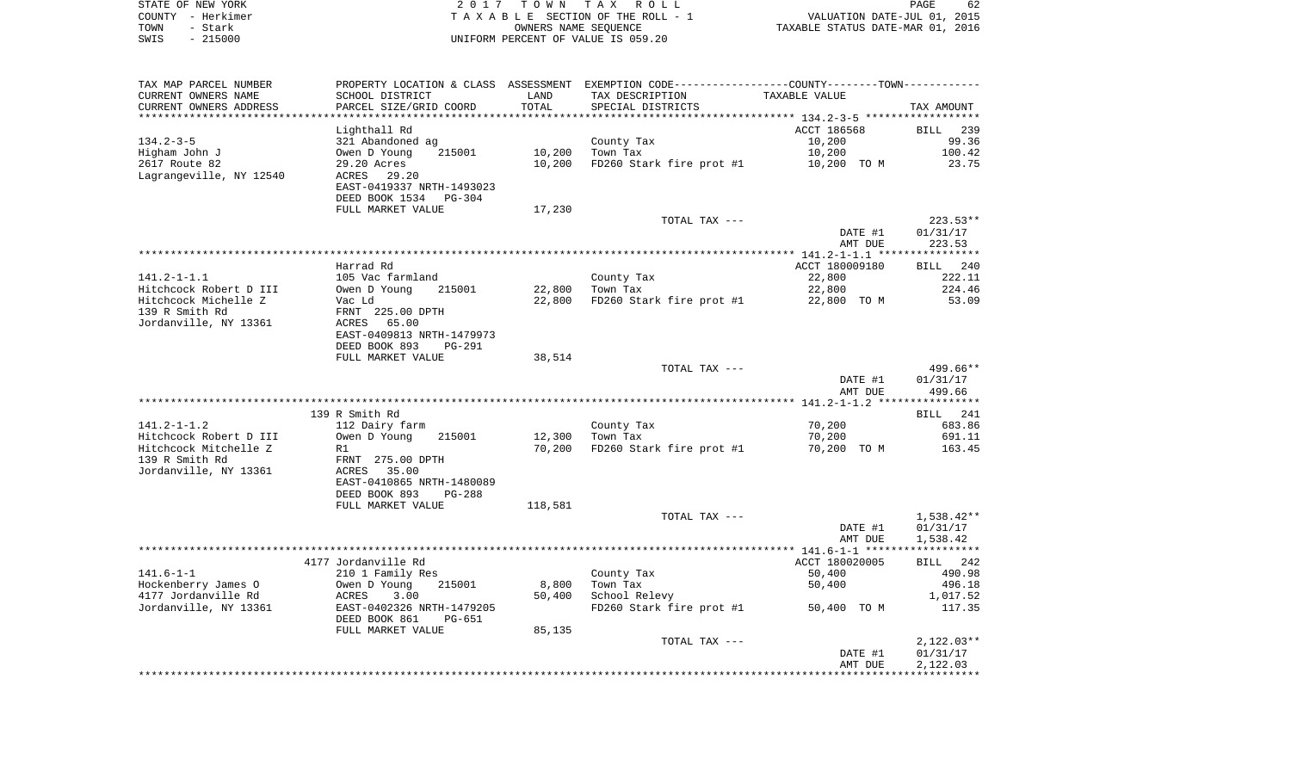| STATE OF NEW YORK | 2017 TOWN TAX ROLL                 | 62<br>PAGE                       |
|-------------------|------------------------------------|----------------------------------|
| COUNTY - Herkimer | TAXABLE SECTION OF THE ROLL - 1    | VALUATION DATE-JUL 01, 2015      |
| TOWN<br>- Stark   | OWNERS NAME SEOUENCE               | TAXABLE STATUS DATE-MAR 01, 2016 |
| - 215000<br>SWIS  | UNIFORM PERCENT OF VALUE IS 059.20 |                                  |

 $\begin{array}{c} 62 \\ 2015 \\ 2016 \end{array}$ 

| TAX MAP PARCEL NUMBER<br>CURRENT OWNERS NAME | SCHOOL DISTRICT                  | LAND    | PROPERTY LOCATION & CLASS ASSESSMENT EXEMPTION CODE---------------COUNTY-------TOWN----------<br>TAX DESCRIPTION | TAXABLE VALUE  |                 |
|----------------------------------------------|----------------------------------|---------|------------------------------------------------------------------------------------------------------------------|----------------|-----------------|
| CURRENT OWNERS ADDRESS                       | PARCEL SIZE/GRID COORD           | TOTAL   | SPECIAL DISTRICTS                                                                                                |                | TAX AMOUNT      |
|                                              |                                  |         |                                                                                                                  | ACCT 186568    | BILL 239        |
| $134.2 - 3 - 5$                              | Lighthall Rd<br>321 Abandoned ag |         | County Tax                                                                                                       | 10,200         | 99.36           |
| Higham John J                                | 215001                           | 10,200  | Town Tax                                                                                                         | 10,200         | 100.42          |
| 2617 Route 82                                | Owen D Young<br>29.20 Acres      | 10,200  | FD260 Stark fire prot #1                                                                                         | 10,200 TO M    | 23.75           |
| Lagrangeville, NY 12540                      | ACRES<br>29.20                   |         |                                                                                                                  |                |                 |
|                                              | EAST-0419337 NRTH-1493023        |         |                                                                                                                  |                |                 |
|                                              | DEED BOOK 1534<br>PG-304         |         |                                                                                                                  |                |                 |
|                                              | FULL MARKET VALUE                | 17,230  |                                                                                                                  |                |                 |
|                                              |                                  |         | TOTAL TAX ---                                                                                                    |                | $223.53**$      |
|                                              |                                  |         |                                                                                                                  | DATE #1        | 01/31/17        |
|                                              |                                  |         |                                                                                                                  | AMT DUE        | 223.53          |
|                                              |                                  |         |                                                                                                                  |                |                 |
|                                              | Harrad Rd                        |         |                                                                                                                  | ACCT 180009180 | 240<br>BILL     |
| $141.2 - 1 - 1.1$                            | 105 Vac farmland                 |         | County Tax                                                                                                       | 22,800         | 222.11          |
| Hitchcock Robert D III                       | Owen D Young<br>215001           | 22,800  | Town Tax                                                                                                         | 22,800         | 224.46          |
| Hitchcock Michelle Z                         | Vac Ld                           | 22,800  | FD260 Stark fire prot #1                                                                                         | 22,800 TO M    | 53.09           |
| 139 R Smith Rd                               | FRNT 225.00 DPTH                 |         |                                                                                                                  |                |                 |
| Jordanville, NY 13361                        | 65.00<br>ACRES                   |         |                                                                                                                  |                |                 |
|                                              | EAST-0409813 NRTH-1479973        |         |                                                                                                                  |                |                 |
|                                              | DEED BOOK 893<br>PG-291          |         |                                                                                                                  |                |                 |
|                                              | FULL MARKET VALUE                | 38,514  |                                                                                                                  |                |                 |
|                                              |                                  |         | TOTAL TAX ---                                                                                                    |                | 499.66**        |
|                                              |                                  |         |                                                                                                                  | DATE #1        | 01/31/17        |
|                                              |                                  |         |                                                                                                                  | AMT DUE        | 499.66          |
|                                              | 139 R Smith Rd                   |         |                                                                                                                  |                | <b>BILL</b> 241 |
| $141.2 - 1 - 1.2$                            | 112 Dairy farm                   |         | County Tax                                                                                                       | 70,200         | 683.86          |
| Hitchcock Robert D III                       | Owen D Young<br>215001           | 12,300  | Town Tax                                                                                                         | 70,200         | 691.11          |
| Hitchcock Mitchelle Z                        | R1                               | 70,200  | FD260 Stark fire prot #1                                                                                         | 70,200 TO M    | 163.45          |
| 139 R Smith Rd                               | FRNT 275.00 DPTH                 |         |                                                                                                                  |                |                 |
| Jordanville, NY 13361                        | 35.00<br>ACRES                   |         |                                                                                                                  |                |                 |
|                                              | EAST-0410865 NRTH-1480089        |         |                                                                                                                  |                |                 |
|                                              | DEED BOOK 893<br>$PG-288$        |         |                                                                                                                  |                |                 |
|                                              | FULL MARKET VALUE                | 118,581 |                                                                                                                  |                |                 |
|                                              |                                  |         | TOTAL TAX ---                                                                                                    |                | $1,538.42**$    |
|                                              |                                  |         |                                                                                                                  | DATE #1        | 01/31/17        |
|                                              |                                  |         |                                                                                                                  | AMT DUE        | 1,538.42        |
|                                              |                                  |         |                                                                                                                  |                |                 |
|                                              | 4177 Jordanville Rd              |         |                                                                                                                  | ACCT 180020005 | BILL 242        |
| $141.6 - 1 - 1$                              | 210 1 Family Res                 |         | County Tax                                                                                                       | 50,400         | 490.98          |
| Hockenberry James O                          | Owen D Young<br>215001           | 8,800   | Town Tax                                                                                                         | 50,400         | 496.18          |
| 4177 Jordanville Rd                          | ACRES<br>3.00                    | 50,400  | School Relevy                                                                                                    |                | 1,017.52        |
| Jordanville, NY 13361                        | EAST-0402326 NRTH-1479205        |         | FD260 Stark fire prot #1                                                                                         | 50,400 TO M    | 117.35          |
|                                              | DEED BOOK 861<br>PG-651          |         |                                                                                                                  |                |                 |
|                                              | FULL MARKET VALUE                | 85,135  |                                                                                                                  |                |                 |
|                                              |                                  |         | TOTAL TAX ---                                                                                                    |                | $2,122.03**$    |
|                                              |                                  |         |                                                                                                                  | DATE #1        | 01/31/17        |
|                                              |                                  |         |                                                                                                                  | AMT DUE        | 2,122.03        |
|                                              |                                  |         |                                                                                                                  |                |                 |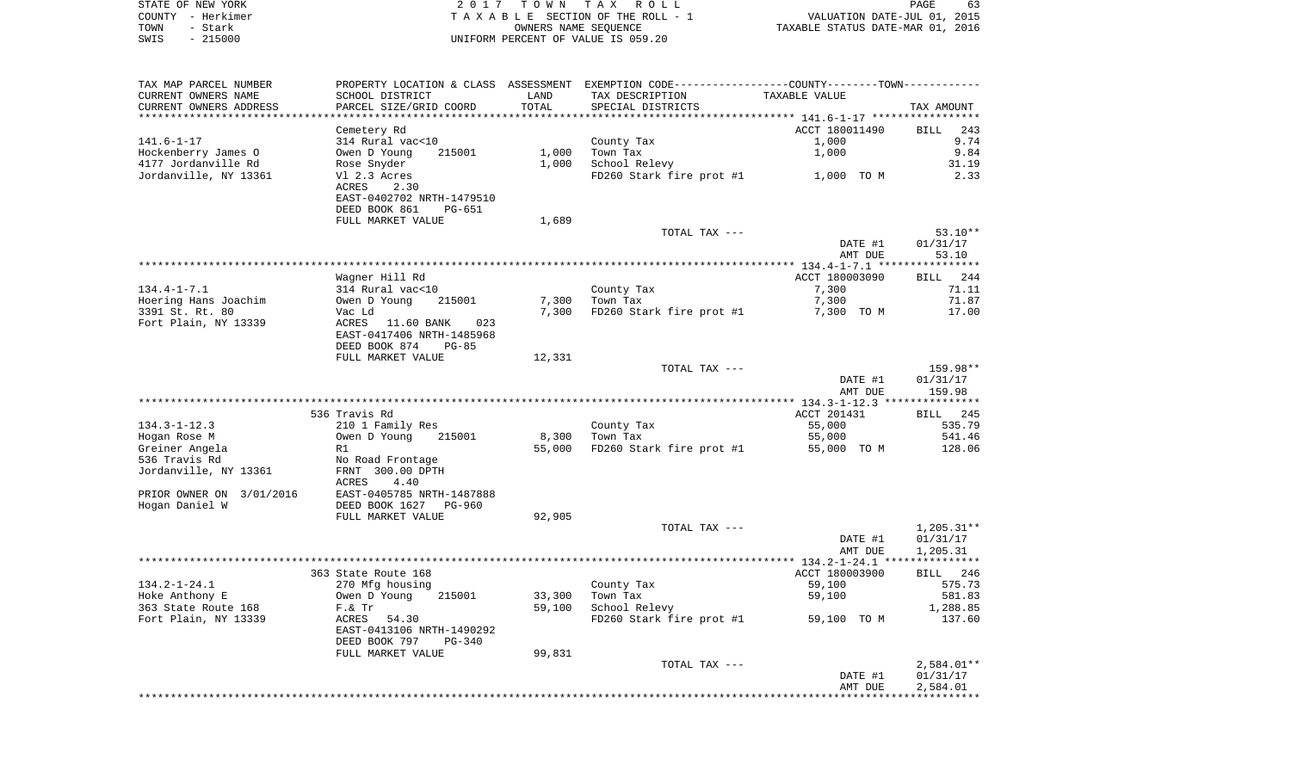|      | STATE OF NEW YORK | 2017 TOWN TAX ROLL                 | PAGE                             |
|------|-------------------|------------------------------------|----------------------------------|
|      | COUNTY - Herkimer | TAXABLE SECTION OF THE ROLL - 1    | VALUATION DATE-JUL 01, 2015      |
| TOWN | - Stark           | OWNERS NAME SEOUENCE               | TAXABLE STATUS DATE-MAR 01, 2016 |
| SWIS | $-215000$         | UNIFORM PERCENT OF VALUE IS 059.20 |                                  |

| TAX MAP PARCEL NUMBER<br>CURRENT OWNERS NAME | PROPERTY LOCATION & CLASS ASSESSMENT<br>SCHOOL DISTRICT    | LAND   | EXEMPTION CODE-----------------COUNTY-------TOWN-----------<br>TAX DESCRIPTION | TAXABLE VALUE            |                    |
|----------------------------------------------|------------------------------------------------------------|--------|--------------------------------------------------------------------------------|--------------------------|--------------------|
| CURRENT OWNERS ADDRESS                       | PARCEL SIZE/GRID COORD                                     | TOTAL  | SPECIAL DISTRICTS                                                              |                          | TAX AMOUNT         |
|                                              | Cemetery Rd                                                |        |                                                                                | ACCT 180011490           | <b>BILL</b><br>243 |
| $141.6 - 1 - 17$                             | 314 Rural vac<10                                           |        | County Tax                                                                     | 1,000                    | 9.74               |
|                                              | 215001                                                     | 1,000  |                                                                                | 1,000                    | 9.84               |
| Hockenberry James O<br>4177 Jordanville Rd   | Owen D Young                                               | 1,000  | Town Tax<br>School Relevy                                                      |                          | 31.19              |
|                                              | Rose Snyder                                                |        |                                                                                |                          |                    |
| Jordanville, NY 13361                        | Vl 2.3 Acres<br>ACRES<br>2.30<br>EAST-0402702 NRTH-1479510 |        | FD260 Stark fire prot #1                                                       | 1,000 TO M               | 2.33               |
|                                              | DEED BOOK 861<br>PG-651                                    |        |                                                                                |                          |                    |
|                                              | FULL MARKET VALUE                                          | 1,689  |                                                                                |                          |                    |
|                                              |                                                            |        | TOTAL TAX ---                                                                  |                          | $53.10**$          |
|                                              |                                                            |        |                                                                                | DATE #1                  | 01/31/17           |
|                                              |                                                            |        |                                                                                | AMT DUE                  | 53.10              |
|                                              |                                                            |        |                                                                                |                          |                    |
|                                              | Wagner Hill Rd                                             |        |                                                                                | ACCT 180003090           | BILL<br>244        |
| $134.4 - 1 - 7.1$                            | 314 Rural vac<10                                           |        | County Tax                                                                     | 7,300                    | 71.11              |
| Hoering Hans Joachim                         | Owen D Young<br>215001                                     | 7,300  | Town Tax                                                                       | 7,300                    | 71.87              |
| 3391 St. Rt. 80                              | Vac Ld                                                     | 7,300  | FD260 Stark fire prot #1                                                       | 7,300 TO M               | 17.00              |
| Fort Plain, NY 13339                         | ACRES<br>023<br>11.60 BANK<br>EAST-0417406 NRTH-1485968    |        |                                                                                |                          |                    |
|                                              | DEED BOOK 874<br>$PG-85$                                   |        |                                                                                |                          |                    |
|                                              | FULL MARKET VALUE                                          | 12,331 |                                                                                |                          |                    |
|                                              |                                                            |        | TOTAL TAX ---                                                                  |                          | 159.98**           |
|                                              |                                                            |        |                                                                                | DATE #1                  | 01/31/17           |
|                                              |                                                            |        | ********************                                                           | AMT DUE                  | 159.98             |
|                                              |                                                            |        |                                                                                | ***** $134.3 - 1 - 12.3$ | **********         |
|                                              | 536 Travis Rd                                              |        |                                                                                | ACCT 201431              | BILL 245           |
| $134.3 - 1 - 12.3$                           | 210 1 Family Res                                           |        | County Tax                                                                     | 55,000                   | 535.79             |
| Hogan Rose M                                 | Owen D Young<br>215001                                     | 8,300  | Town Tax                                                                       | 55,000                   | 541.46             |
| Greiner Angela                               | R1                                                         | 55,000 | FD260 Stark fire prot #1                                                       | 55,000 TO M              | 128.06             |
| 536 Travis Rd                                | No Road Frontage                                           |        |                                                                                |                          |                    |
| Jordanville, NY 13361                        | FRNT 300.00 DPTH<br>ACRES<br>4.40                          |        |                                                                                |                          |                    |
| PRIOR OWNER ON 3/01/2016                     | EAST-0405785 NRTH-1487888                                  |        |                                                                                |                          |                    |
| Hogan Daniel W                               | DEED BOOK 1627<br><b>PG-960</b>                            |        |                                                                                |                          |                    |
|                                              | FULL MARKET VALUE                                          | 92,905 |                                                                                |                          |                    |
|                                              |                                                            |        | TOTAL TAX ---                                                                  |                          | $1,205.31**$       |
|                                              |                                                            |        |                                                                                | DATE #1                  | 01/31/17           |
|                                              |                                                            |        |                                                                                | AMT DUE                  | 1,205.31           |
|                                              |                                                            |        |                                                                                |                          |                    |
|                                              | 363 State Route 168                                        |        |                                                                                | ACCT 180003900           | <b>BILL</b><br>246 |
| $134.2 - 1 - 24.1$                           | 270 Mfg housing                                            |        | County Tax                                                                     | 59,100                   | 575.73             |
| Hoke Anthony E                               | Owen D Young<br>215001                                     | 33,300 | Town Tax                                                                       | 59,100                   | 581.83             |
| 363 State Route 168                          | F. & Tr                                                    | 59,100 | School Relevy                                                                  |                          | 1,288.85           |
| Fort Plain, NY 13339                         | ACRES<br>54.30<br>EAST-0413106 NRTH-1490292                |        | FD260 Stark fire prot #1                                                       | 59,100 TO M              | 137.60             |
|                                              | DEED BOOK 797<br>PG-340                                    |        |                                                                                |                          |                    |
|                                              | FULL MARKET VALUE                                          | 99,831 |                                                                                |                          |                    |
|                                              |                                                            |        | TOTAL TAX ---                                                                  |                          | $2,584.01**$       |
|                                              |                                                            |        |                                                                                | DATE #1                  | 01/31/17           |
|                                              |                                                            |        |                                                                                | AMT DUE                  | 2,584.01           |
|                                              |                                                            |        |                                                                                |                          |                    |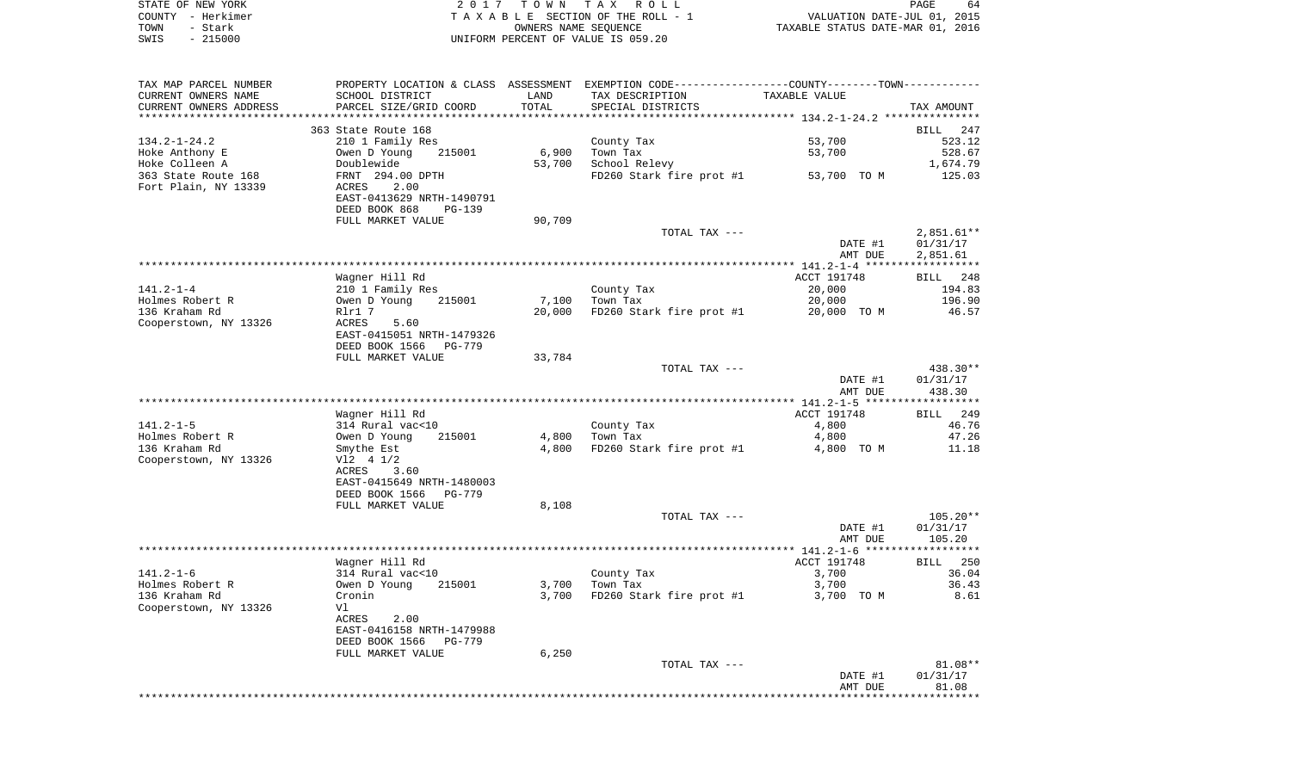| STATE OF NEW YORK |                   | 2017 TOWN TAX ROLL                 | PAGE                             | 64 |
|-------------------|-------------------|------------------------------------|----------------------------------|----|
|                   | COUNTY - Herkimer | TAXABLE SECTION OF THE ROLL - 1    | VALUATION DATE-JUL 01, 2015      |    |
| TOWN              | – Stark           | OWNERS NAME SEOUENCE               | TAXABLE STATUS DATE-MAR 01, 2016 |    |
| SWIS              | - 215000          | UNIFORM PERCENT OF VALUE IS 059.20 |                                  |    |

| TAX MAP PARCEL NUMBER   |                           |        | PROPERTY LOCATION & CLASS ASSESSMENT EXEMPTION CODE----------------COUNTY-------TOWN---------- |               |                    |
|-------------------------|---------------------------|--------|------------------------------------------------------------------------------------------------|---------------|--------------------|
| CURRENT OWNERS NAME     | SCHOOL DISTRICT           | LAND   | TAX DESCRIPTION                                                                                | TAXABLE VALUE |                    |
| CURRENT OWNERS ADDRESS  | PARCEL SIZE/GRID COORD    | TOTAL  | SPECIAL DISTRICTS                                                                              |               | TAX AMOUNT         |
| *********************** |                           |        |                                                                                                |               |                    |
|                         | 363 State Route 168       |        |                                                                                                |               | BILL 247           |
| $134.2 - 1 - 24.2$      | 210 1 Family Res          |        | County Tax                                                                                     | 53,700        | 523.12             |
| Hoke Anthony E          | Owen D Young<br>215001    | 6,900  | Town Tax                                                                                       | 53,700        | 528.67             |
| Hoke Colleen A          | Doublewide                | 53,700 | School Relevy                                                                                  |               | 1,674.79           |
| 363 State Route 168     | FRNT 294.00 DPTH          |        | FD260 Stark fire prot #1                                                                       | 53,700 TO M   | 125.03             |
| Fort Plain, NY 13339    | ACRES<br>2.00             |        |                                                                                                |               |                    |
|                         | EAST-0413629 NRTH-1490791 |        |                                                                                                |               |                    |
|                         | DEED BOOK 868<br>$PG-139$ |        |                                                                                                |               |                    |
|                         | FULL MARKET VALUE         | 90,709 |                                                                                                |               |                    |
|                         |                           |        | TOTAL TAX ---                                                                                  |               | $2,851.61**$       |
|                         |                           |        |                                                                                                | DATE #1       | 01/31/17           |
|                         |                           |        |                                                                                                | AMT DUE       | 2,851.61           |
|                         |                           |        |                                                                                                |               |                    |
|                         | Wagner Hill Rd            |        |                                                                                                | ACCT 191748   | BILL 248           |
| $141.2 - 1 - 4$         | 210 1 Family Res          |        | County Tax                                                                                     | 20,000        | 194.83             |
| Holmes Robert R         | Owen D Young<br>215001    | 7,100  | Town Tax                                                                                       | 20,000        | 196.90             |
| 136 Kraham Rd           | Rlr1 7                    | 20,000 | FD260 Stark fire prot #1                                                                       | 20,000 TO M   | 46.57              |
| Cooperstown, NY 13326   | ACRES<br>5.60             |        |                                                                                                |               |                    |
|                         | EAST-0415051 NRTH-1479326 |        |                                                                                                |               |                    |
|                         | DEED BOOK 1566<br>PG-779  |        |                                                                                                |               |                    |
|                         | FULL MARKET VALUE         | 33,784 |                                                                                                |               |                    |
|                         |                           |        | TOTAL TAX ---                                                                                  |               | 438.30**           |
|                         |                           |        |                                                                                                | DATE #1       | 01/31/17<br>438.30 |
|                         |                           |        |                                                                                                | AMT DUE       |                    |
|                         | Wagner Hill Rd            |        |                                                                                                | ACCT 191748   | BILL 249           |
| 141.2-1-5               | 314 Rural vac<10          |        | County Tax                                                                                     | 4,800         | 46.76              |
| Holmes Robert R         | Owen D Young<br>215001    | 4,800  | Town Tax                                                                                       | 4,800         | 47.26              |
| 136 Kraham Rd           | Smythe Est                | 4,800  | FD260 Stark fire prot #1                                                                       | 4,800 TO M    | 11.18              |
| Cooperstown, NY 13326   | $V12$ 4 $1/2$             |        |                                                                                                |               |                    |
|                         | ACRES<br>3.60             |        |                                                                                                |               |                    |
|                         | EAST-0415649 NRTH-1480003 |        |                                                                                                |               |                    |
|                         | DEED BOOK 1566<br>PG-779  |        |                                                                                                |               |                    |
|                         | FULL MARKET VALUE         | 8,108  |                                                                                                |               |                    |
|                         |                           |        | TOTAL TAX ---                                                                                  |               | $105.20**$         |
|                         |                           |        |                                                                                                | DATE #1       | 01/31/17           |
|                         |                           |        |                                                                                                | AMT DUE       | 105.20             |
|                         |                           |        |                                                                                                |               |                    |
|                         | Wagner Hill Rd            |        |                                                                                                | ACCT 191748   | BILL 250           |
| $141.2 - 1 - 6$         | 314 Rural vac<10          |        | County Tax                                                                                     | 3,700         | 36.04              |
| Holmes Robert R         | Owen D Young<br>215001    | 3,700  | Town Tax                                                                                       | 3,700         | 36.43              |
| 136 Kraham Rd           | Cronin                    | 3,700  | FD260 Stark fire prot #1                                                                       | 3,700 TO M    | 8.61               |
| Cooperstown, NY 13326   | Vl                        |        |                                                                                                |               |                    |
|                         | ACRES<br>2.00             |        |                                                                                                |               |                    |
|                         | EAST-0416158 NRTH-1479988 |        |                                                                                                |               |                    |
|                         | DEED BOOK 1566<br>PG-779  |        |                                                                                                |               |                    |
|                         | FULL MARKET VALUE         | 6,250  |                                                                                                |               |                    |
|                         |                           |        | TOTAL TAX ---                                                                                  |               | $81.08**$          |
|                         |                           |        |                                                                                                | DATE #1       | 01/31/17           |
|                         |                           |        |                                                                                                | AMT DUE       | 81.08              |
|                         |                           |        |                                                                                                |               | **********         |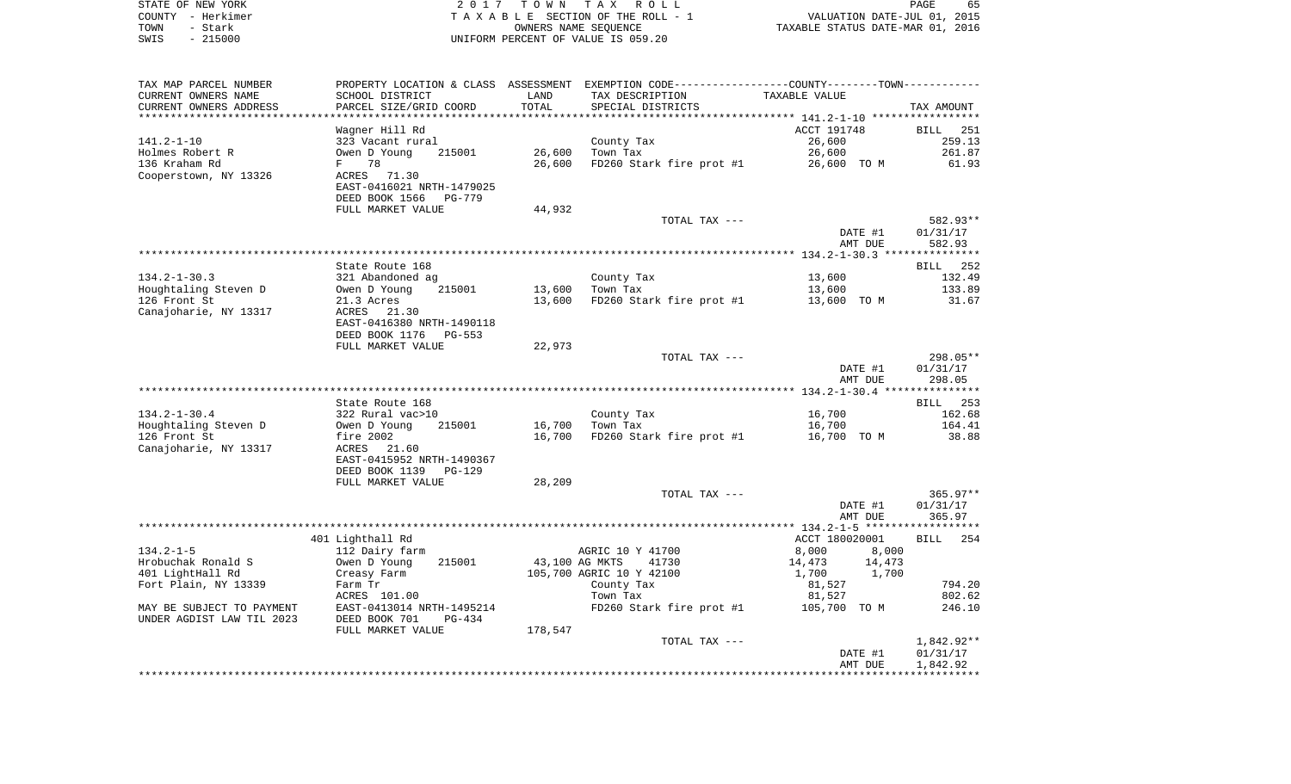| STATE OF NEW YORK |          | 2017 TOWN TAX ROLL                 | 65<br><b>PAGE</b>                |
|-------------------|----------|------------------------------------|----------------------------------|
| COUNTY – Herkimer |          | TAXABLE SECTION OF THE ROLL - 1    | VALUATION DATE-JUL 01, 2015      |
| TOWN              | - Stark  | OWNERS NAME SEOUENCE               | TAXABLE STATUS DATE-MAR 01, 2016 |
| SWIS              | - 215000 | UNIFORM PERCENT OF VALUE IS 059.20 |                                  |

 $65$ <br>2015<br>2016

| TAX MAP PARCEL NUMBER     |                              |                | PROPERTY LOCATION & CLASS ASSESSMENT EXEMPTION CODE----------------COUNTY-------TOWN---------- |                  |             |
|---------------------------|------------------------------|----------------|------------------------------------------------------------------------------------------------|------------------|-------------|
| CURRENT OWNERS NAME       | SCHOOL DISTRICT              | LAND           | TAX DESCRIPTION                                                                                | TAXABLE VALUE    |             |
| CURRENT OWNERS ADDRESS    | PARCEL SIZE/GRID COORD       | TOTAL          | SPECIAL DISTRICTS                                                                              |                  | TAX AMOUNT  |
| **********************    | **************************** |                |                                                                                                |                  |             |
|                           | Wagner Hill Rd               |                |                                                                                                | ACCT 191748      | BILL 251    |
| $141.2 - 1 - 10$          | 323 Vacant rural             |                | County Tax                                                                                     | 26,600           | 259.13      |
| Holmes Robert R           | Owen D Young<br>215001       | 26,600         | Town Tax                                                                                       | 26,600           | 261.87      |
| 136 Kraham Rd             | 78<br>F                      | 26,600         | FD260 Stark fire prot #1                                                                       | 26,600 TO M      | 61.93       |
| Cooperstown, NY 13326     | ACRES 71.30                  |                |                                                                                                |                  |             |
|                           | EAST-0416021 NRTH-1479025    |                |                                                                                                |                  |             |
|                           | DEED BOOK 1566<br>PG-779     |                |                                                                                                |                  |             |
|                           | FULL MARKET VALUE            | 44,932         |                                                                                                |                  |             |
|                           |                              |                | TOTAL TAX ---                                                                                  |                  | 582.93**    |
|                           |                              |                |                                                                                                | DATE #1          | 01/31/17    |
|                           |                              |                |                                                                                                | AMT DUE          | 582.93      |
|                           | State Route 168              |                |                                                                                                |                  | BILL 252    |
| $134.2 - 1 - 30.3$        | 321 Abandoned ag             |                | County Tax                                                                                     | 13,600           | 132.49      |
| Houghtaling Steven D      | 215001<br>Owen D Young       | 13,600         | Town Tax                                                                                       | 13,600           | 133.89      |
| 126 Front St              | 21.3 Acres                   | 13,600         | FD260 Stark fire prot #1                                                                       | 13,600 TO M      | 31.67       |
| Canajoharie, NY 13317     | ACRES 21.30                  |                |                                                                                                |                  |             |
|                           | EAST-0416380 NRTH-1490118    |                |                                                                                                |                  |             |
|                           | DEED BOOK 1176 PG-553        |                |                                                                                                |                  |             |
|                           | FULL MARKET VALUE            | 22,973         |                                                                                                |                  |             |
|                           |                              |                | TOTAL TAX ---                                                                                  |                  | 298.05**    |
|                           |                              |                |                                                                                                | DATE #1          | 01/31/17    |
|                           |                              |                |                                                                                                | AMT DUE          | 298.05      |
|                           |                              |                |                                                                                                |                  |             |
|                           | State Route 168              |                |                                                                                                |                  | BILL 253    |
| $134.2 - 1 - 30.4$        | 322 Rural vac>10             |                | County Tax                                                                                     | 16,700           | 162.68      |
| Houghtaling Steven D      | Owen D Young<br>215001       | 16,700         | Town Tax                                                                                       | 16,700           | 164.41      |
| 126 Front St              | fire $2002$                  | 16,700         | FD260 Stark fire prot #1                                                                       | 16,700 TO M      | 38.88       |
| Canajoharie, NY 13317     | ACRES 21.60                  |                |                                                                                                |                  |             |
|                           | EAST-0415952 NRTH-1490367    |                |                                                                                                |                  |             |
|                           | DEED BOOK 1139<br>$PG-129$   |                |                                                                                                |                  |             |
|                           | FULL MARKET VALUE            | 28,209         |                                                                                                |                  |             |
|                           |                              |                | TOTAL TAX ---                                                                                  |                  | $365.97**$  |
|                           |                              |                |                                                                                                | DATE #1          | 01/31/17    |
|                           |                              |                |                                                                                                | AMT DUE          | 365.97      |
|                           | 401 Lighthall Rd             |                |                                                                                                | ACCT 180020001   | 254<br>BILL |
| $134.2 - 1 - 5$           | 112 Dairy farm               |                | AGRIC 10 Y 41700                                                                               | 8,000<br>8,000   |             |
| Hrobuchak Ronald S        | Owen D Young<br>215001       | 43,100 AG MKTS | 41730                                                                                          | 14,473<br>14,473 |             |
| 401 LightHall Rd          | Creasy Farm                  |                | 105,700 AGRIC 10 Y 42100                                                                       | 1,700<br>1,700   |             |
| Fort Plain, NY 13339      | Farm Tr                      |                | County Tax                                                                                     | 81,527           | 794.20      |
|                           | ACRES 101.00                 |                | Town Tax                                                                                       | 81,527           | 802.62      |
| MAY BE SUBJECT TO PAYMENT | EAST-0413014 NRTH-1495214    |                | FD260 Stark fire prot #1                                                                       | 105,700 TO M     | 246.10      |
| UNDER AGDIST LAW TIL 2023 | DEED BOOK 701<br>$PG-434$    |                |                                                                                                |                  |             |
|                           | FULL MARKET VALUE            | 178,547        |                                                                                                |                  |             |
|                           |                              |                | TOTAL TAX ---                                                                                  |                  | 1,842.92**  |
|                           |                              |                |                                                                                                | DATE #1          | 01/31/17    |
|                           |                              |                |                                                                                                | AMT DUE          | 1,842.92    |
|                           |                              |                |                                                                                                |                  |             |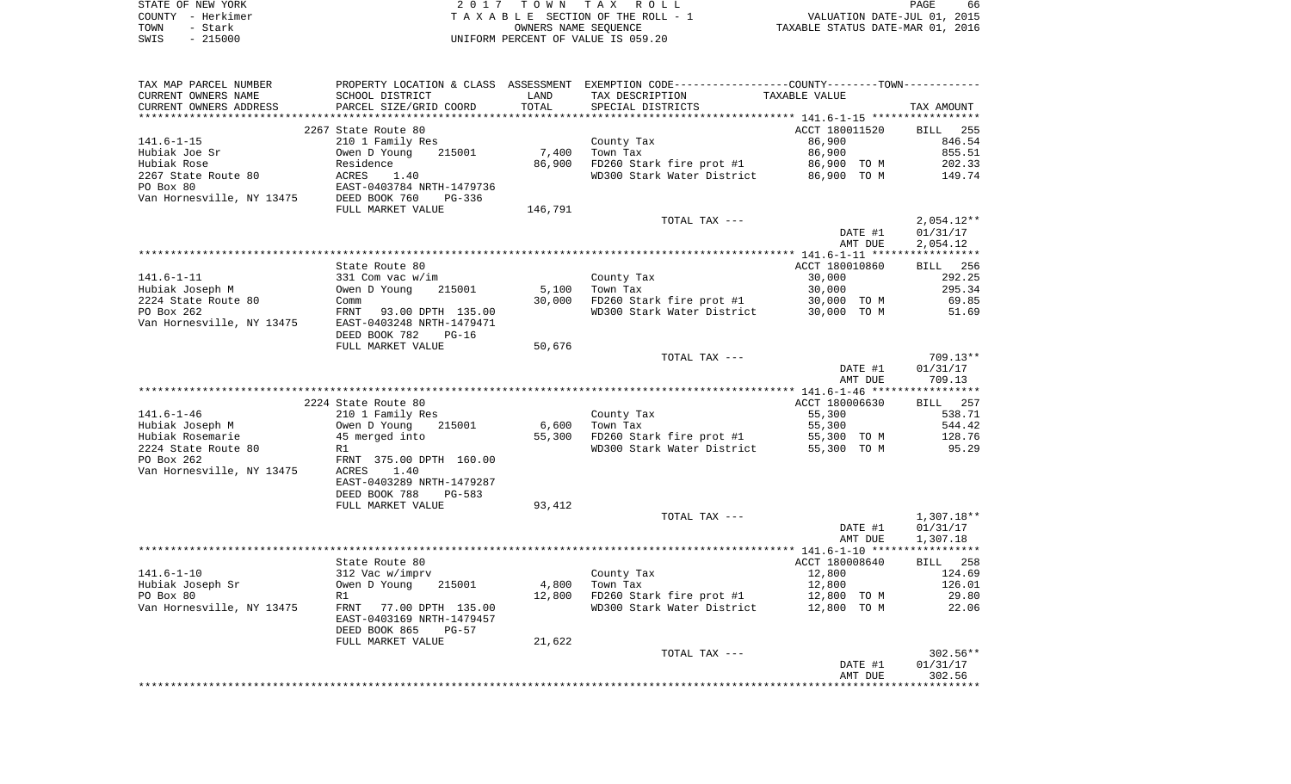| STATE OF NEW YORK | 2017 TOWN TAX ROLL                 | 66<br>PAGE                       |
|-------------------|------------------------------------|----------------------------------|
| COUNTY - Herkimer | TAXABLE SECTION OF THE ROLL - 1    | VALUATION DATE-JUL 01, 2015      |
| TOWN<br>- Stark   | OWNERS NAME SEOUENCE               | TAXABLE STATUS DATE-MAR 01, 2016 |
| $-215000$<br>SWIS | UNIFORM PERCENT OF VALUE IS 059.20 |                                  |

| TOTAL<br>CURRENT OWNERS ADDRESS<br>PARCEL SIZE/GRID COORD<br>SPECIAL DISTRICTS<br>ACCT 180011520<br>2267 State Route 80<br>$141.6 - 1 - 15$<br>210 1 Family Res<br>County Tax<br>86,900 | TAX AMOUNT         |
|-----------------------------------------------------------------------------------------------------------------------------------------------------------------------------------------|--------------------|
|                                                                                                                                                                                         |                    |
|                                                                                                                                                                                         | BILL 255           |
|                                                                                                                                                                                         | 846.54             |
| 86,900<br>Owen D Young<br>7,400<br>Town Tax<br>Hubiak Joe Sr<br>215001                                                                                                                  | 855.51             |
| Hubiak Rose<br>FD260 Stark fire prot #1<br>Residence<br>86,900<br>86,900 TO M                                                                                                           | 202.33             |
| 2267 State Route 80<br>ACRES<br>1.40<br>WD300 Stark Water District<br>86,900 TO M                                                                                                       | 149.74             |
| PO Box 80<br>EAST-0403784 NRTH-1479736                                                                                                                                                  |                    |
| Van Hornesville, NY 13475<br>DEED BOOK 760<br>$PG-336$                                                                                                                                  |                    |
| FULL MARKET VALUE<br>146,791                                                                                                                                                            |                    |
| TOTAL TAX ---                                                                                                                                                                           | $2,054.12**$       |
| DATE #1                                                                                                                                                                                 | 01/31/17           |
| AMT DUE                                                                                                                                                                                 | 2,054.12           |
|                                                                                                                                                                                         |                    |
| State Route 80<br>ACCT 180010860<br>30,000<br>$331$ Com vac w/im                                                                                                                        | BILL 256<br>292.25 |
| $141.6 - 1 - 11$<br>County Tax<br>30,000<br>Hubiak Joseph M<br>Owen D Young<br>215001<br>5,100<br>Town Tax                                                                              | 295.34             |
| 2224 State Route 80<br>30,000<br>FD260 Stark fire prot #1<br>30,000 TO M<br>Comm                                                                                                        | 69.85              |
| PO Box 262<br>FRNT<br>93.00 DPTH 135.00<br>WD300 Stark Water District<br>30,000 TO M                                                                                                    | 51.69              |
| Van Hornesville, NY 13475<br>EAST-0403248 NRTH-1479471                                                                                                                                  |                    |
| DEED BOOK 782<br>PG-16                                                                                                                                                                  |                    |
| 50,676<br>FULL MARKET VALUE                                                                                                                                                             |                    |
| TOTAL TAX ---                                                                                                                                                                           | $709.13**$         |
| DATE #1                                                                                                                                                                                 | 01/31/17           |
| AMT DUE                                                                                                                                                                                 | 709.13             |
|                                                                                                                                                                                         |                    |
| 2224 State Route 80<br>ACCT 180006630                                                                                                                                                   | BILL<br>257        |
| $141.6 - 1 - 46$<br>210 1 Family Res<br>55,300<br>County Tax                                                                                                                            | 538.71             |
| Hubiak Joseph M<br>6,600<br>Owen D Young<br>215001<br>Town Tax<br>55,300                                                                                                                | 544.42<br>128.76   |
| Hubiak Rosemarie<br>45 merged into<br>55,300<br>FD260 Stark fire prot #1<br>55,300 TO M<br>WD300 Stark Water District<br>2224 State Route 80<br>55,300 TO M<br>R1                       | 95.29              |
| PO Box 262<br>FRNT 375.00 DPTH 160.00                                                                                                                                                   |                    |
| Van Hornesville, NY 13475<br>ACRES<br>1.40                                                                                                                                              |                    |
| EAST-0403289 NRTH-1479287                                                                                                                                                               |                    |
| DEED BOOK 788<br>$PG-583$                                                                                                                                                               |                    |
| FULL MARKET VALUE<br>93,412                                                                                                                                                             |                    |
| TOTAL TAX ---                                                                                                                                                                           | $1,307.18**$       |
| DATE #1                                                                                                                                                                                 | 01/31/17           |
| AMT DUE                                                                                                                                                                                 | 1,307.18           |
|                                                                                                                                                                                         |                    |
| ACCT 180008640<br>State Route 80                                                                                                                                                        | 258<br>BILL        |
| $141.6 - 1 - 10$<br>12,800<br>312 Vac w/imprv<br>County Tax                                                                                                                             | 124.69             |
| 4,800<br>Hubiak Joseph Sr<br>Owen D Young<br>Town Tax<br>12,800<br>215001                                                                                                               | 126.01             |
| PO Box 80<br>12,800<br>FD260 Stark fire prot #1<br>12,800 TO M<br>R1                                                                                                                    | 29.80              |
| Van Hornesville, NY 13475<br>WD300 Stark Water District<br>12,800 TO M<br>FRNT<br>77.00 DPTH 135.00<br>EAST-0403169 NRTH-1479457                                                        | 22.06              |
| DEED BOOK 865<br>PG-57                                                                                                                                                                  |                    |
| FULL MARKET VALUE<br>21,622                                                                                                                                                             |                    |
| TOTAL TAX ---                                                                                                                                                                           | 302.56**           |
| DATE #1                                                                                                                                                                                 | 01/31/17           |
| AMT DUE                                                                                                                                                                                 | 302.56             |
|                                                                                                                                                                                         |                    |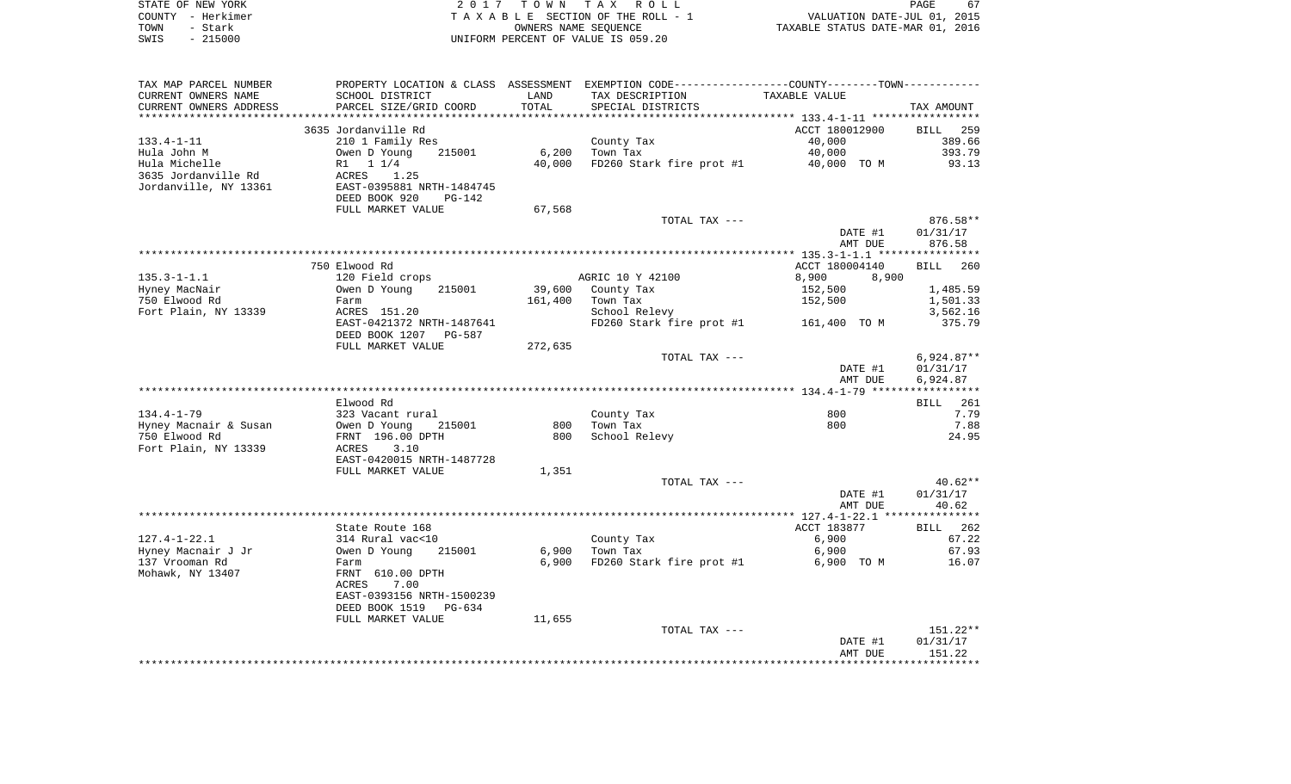| STATE OF NEW YORK |                   | 2017 TOWN TAX ROLL                 | PAGE                             | 67 |
|-------------------|-------------------|------------------------------------|----------------------------------|----|
|                   | COUNTY – Herkimer | TAXABLE SECTION OF THE ROLL - 1    | VALUATION DATE-JUL 01, 2015      |    |
| TOWN              | - Stark           | OWNERS NAME SEOUENCE               | TAXABLE STATUS DATE-MAR 01, 2016 |    |
| SWIS              | $-215000$         | UNIFORM PERCENT OF VALUE IS 059.20 |                                  |    |

| TAX MAP PARCEL NUMBER   |                                |         | PROPERTY LOCATION & CLASS ASSESSMENT EXEMPTION CODE----------------COUNTY--------TOWN----------- |                |                    |
|-------------------------|--------------------------------|---------|--------------------------------------------------------------------------------------------------|----------------|--------------------|
| CURRENT OWNERS NAME     | SCHOOL DISTRICT                | LAND    | TAX DESCRIPTION                                                                                  | TAXABLE VALUE  |                    |
| CURRENT OWNERS ADDRESS  | PARCEL SIZE/GRID COORD         | TOTAL   | SPECIAL DISTRICTS                                                                                |                | TAX AMOUNT         |
| *********************** | ****************************** |         |                                                                                                  |                |                    |
|                         | 3635 Jordanville Rd            |         |                                                                                                  | ACCT 180012900 | <b>BILL</b> 259    |
| $133.4 - 1 - 11$        | 210 1 Family Res               |         | County Tax                                                                                       | 40,000         | 389.66             |
| Hula John M             | Owen D Young<br>215001         | 6,200   | Town Tax                                                                                         | 40,000         | 393.79             |
| Hula Michelle           | R1 1 1/4                       | 40,000  | FD260 Stark fire prot #1                                                                         | 40,000 TO M    | 93.13              |
| 3635 Jordanville Rd     | ACRES<br>1.25                  |         |                                                                                                  |                |                    |
| Jordanville, NY 13361   | EAST-0395881 NRTH-1484745      |         |                                                                                                  |                |                    |
|                         | DEED BOOK 920<br>PG-142        |         |                                                                                                  |                |                    |
|                         | FULL MARKET VALUE              | 67,568  |                                                                                                  |                |                    |
|                         |                                |         | TOTAL TAX ---                                                                                    |                | 876.58**           |
|                         |                                |         |                                                                                                  | DATE #1        | 01/31/17           |
|                         |                                |         |                                                                                                  | AMT DUE        | 876.58             |
|                         |                                |         |                                                                                                  |                |                    |
|                         | 750 Elwood Rd                  |         |                                                                                                  | ACCT 180004140 | <b>BILL</b><br>260 |
| $135.3 - 1 - 1.1$       | 120 Field crops                |         | AGRIC 10 Y 42100                                                                                 | 8,900<br>8,900 |                    |
| Hyney MacNair           | 215001<br>Owen D Young         |         | 39,600 County Tax                                                                                | 152,500        | 1,485.59           |
| 750 Elwood Rd           | Farm                           | 161,400 | Town Tax                                                                                         | 152,500        | 1,501.33           |
| Fort Plain, NY 13339    | ACRES 151.20                   |         | School Relevy                                                                                    |                | 3,562.16           |
|                         | EAST-0421372 NRTH-1487641      |         | FD260 Stark fire prot #1 161,400 TO M                                                            |                | 375.79             |
|                         | DEED BOOK 1207 PG-587          |         |                                                                                                  |                |                    |
|                         | FULL MARKET VALUE              | 272,635 |                                                                                                  |                |                    |
|                         |                                |         | TOTAL TAX ---                                                                                    |                | $6,924.87**$       |
|                         |                                |         |                                                                                                  | DATE #1        | 01/31/17           |
|                         |                                |         |                                                                                                  | AMT DUE        | 6,924.87           |
|                         |                                |         |                                                                                                  |                |                    |
|                         | Elwood Rd                      |         |                                                                                                  |                | <b>BILL</b> 261    |
| $134.4 - 1 - 79$        | 323 Vacant rural               |         | County Tax                                                                                       | 800            | 7.79               |
| Hyney Macnair & Susan   | Owen D Young<br>215001         | 800     | Town Tax                                                                                         | 800            | 7.88               |
| 750 Elwood Rd           | FRNT 196.00 DPTH               | 800     | School Relevy                                                                                    |                | 24.95              |
| Fort Plain, NY 13339    | 3.10<br>ACRES                  |         |                                                                                                  |                |                    |
|                         |                                |         |                                                                                                  |                |                    |
|                         | EAST-0420015 NRTH-1487728      |         |                                                                                                  |                |                    |
|                         | FULL MARKET VALUE              | 1,351   |                                                                                                  |                |                    |
|                         |                                |         | TOTAL TAX ---                                                                                    |                | $40.62**$          |
|                         |                                |         |                                                                                                  | DATE #1        | 01/31/17           |
|                         |                                |         |                                                                                                  | AMT DUE        | 40.62              |
|                         |                                |         |                                                                                                  |                |                    |
|                         | State Route 168                |         |                                                                                                  | ACCT 183877    | BILL 262           |
| $127.4 - 1 - 22.1$      | 314 Rural vac<10               |         | County Tax                                                                                       | 6,900          | 67.22              |
| Hyney Macnair J Jr      | 215001<br>Owen D Young         | 6,900   | Town Tax                                                                                         | 6,900          | 67.93              |
| 137 Vrooman Rd          | Farm                           | 6,900   | FD260 Stark fire prot #1                                                                         | 6,900 TO M     | 16.07              |
| Mohawk, NY 13407        | FRNT 610.00 DPTH               |         |                                                                                                  |                |                    |
|                         | 7.00<br>ACRES                  |         |                                                                                                  |                |                    |
|                         | EAST-0393156 NRTH-1500239      |         |                                                                                                  |                |                    |
|                         | DEED BOOK 1519 PG-634          |         |                                                                                                  |                |                    |
|                         | FULL MARKET VALUE              | 11,655  |                                                                                                  |                |                    |
|                         |                                |         | TOTAL TAX ---                                                                                    |                | 151.22**           |
|                         |                                |         |                                                                                                  | DATE #1        | 01/31/17           |
|                         |                                |         |                                                                                                  | AMT DUE        | 151.22             |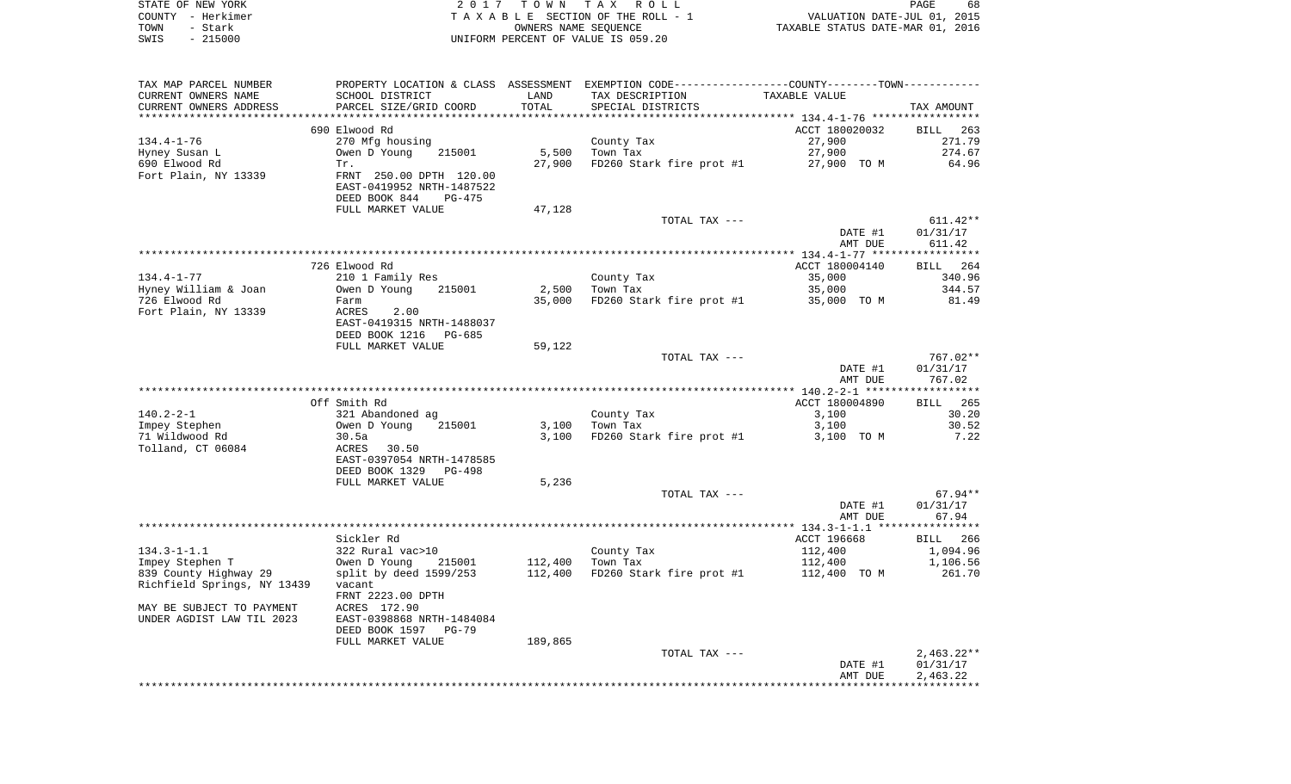|      | STATE OF NEW YORK | 2017 TOWN TAX ROLL                 | PAGE                             | 68 |
|------|-------------------|------------------------------------|----------------------------------|----|
|      | COUNTY - Herkimer | TAXABLE SECTION OF THE ROLL - 1    | VALUATION DATE-JUL 01, 2015      |    |
| TOWN | - Stark           | OWNERS NAME SEOUENCE               | TAXABLE STATUS DATE-MAR 01, 2016 |    |
| SWIS | $-215000$         | UNIFORM PERCENT OF VALUE IS 059.20 |                                  |    |

| TAX MAP PARCEL NUMBER                                |                                                                          |                 | PROPERTY LOCATION & CLASS ASSESSMENT EXEMPTION CODE---------------COUNTY--------TOWN---------- |                |                 |
|------------------------------------------------------|--------------------------------------------------------------------------|-----------------|------------------------------------------------------------------------------------------------|----------------|-----------------|
| CURRENT OWNERS NAME                                  | SCHOOL DISTRICT                                                          | LAND            | TAX DESCRIPTION                                                                                | TAXABLE VALUE  |                 |
| CURRENT OWNERS ADDRESS                               | PARCEL SIZE/GRID COORD                                                   | TOTAL           | SPECIAL DISTRICTS                                                                              |                | TAX AMOUNT      |
|                                                      |                                                                          |                 |                                                                                                |                |                 |
|                                                      | 690 Elwood Rd                                                            |                 |                                                                                                | ACCT 180020032 | BILL 263        |
| 134.4-1-76                                           | 270 Mfg housing                                                          |                 | County Tax                                                                                     | 27,900         | 271.79          |
| Hyney Susan L<br>690 Elwood Rd                       | Owen D Young 215001<br>Tr.                                               | 5,500<br>27,900 | Town Tax<br>FD260 Stark fire prot #1 27,900 TO M                                               | 27,900         | 274.67<br>64.96 |
| Fort Plain, NY 13339                                 | FRNT 250.00 DPTH 120.00                                                  |                 |                                                                                                |                |                 |
|                                                      | EAST-0419952 NRTH-1487522                                                |                 |                                                                                                |                |                 |
|                                                      | DEED BOOK 844<br>PG-475                                                  |                 |                                                                                                |                |                 |
|                                                      | FULL MARKET VALUE                                                        | 47,128          |                                                                                                |                |                 |
|                                                      |                                                                          |                 | TOTAL TAX ---                                                                                  |                | 611.42**        |
|                                                      |                                                                          |                 |                                                                                                | DATE #1        | 01/31/17        |
|                                                      |                                                                          |                 |                                                                                                | AMT DUE        | 611.42          |
|                                                      |                                                                          |                 |                                                                                                |                |                 |
|                                                      | 726 Elwood Rd                                                            |                 |                                                                                                | ACCT 180004140 | BILL 264        |
| 134.4-1-77                                           | 210 1 Family Res                                                         |                 | County Tax                                                                                     | 35,000         | 340.96          |
| Hyney William & Joan                                 | Owen D Young<br>215001                                                   |                 | 2,500 Town Tax                                                                                 | 35,000         | 344.57          |
| 726 Elwood Rd                                        | Farm                                                                     |                 | 35,000 FD260 Stark fire prot #1                                                                | 35,000 TO M    | 81.49           |
| Fort Plain, NY 13339                                 | <b>ACRES</b><br>2.00                                                     |                 |                                                                                                |                |                 |
|                                                      | EAST-0419315 NRTH-1488037                                                |                 |                                                                                                |                |                 |
|                                                      | DEED BOOK 1216 PG-685                                                    |                 |                                                                                                |                |                 |
|                                                      | FULL MARKET VALUE                                                        | 59,122          |                                                                                                |                |                 |
|                                                      |                                                                          |                 | TOTAL TAX ---                                                                                  |                | 767.02**        |
|                                                      |                                                                          |                 |                                                                                                | DATE #1        | 01/31/17        |
|                                                      |                                                                          |                 |                                                                                                | AMT DUE        | 767.02          |
|                                                      | Off Smith Rd                                                             |                 |                                                                                                | ACCT 180004890 | BILL 265        |
| $140.2 - 2 - 1$                                      | 321 Abandoned ag                                                         |                 | County Tax                                                                                     | 3,100          | 30.20           |
| Impey Stephen                                        |                                                                          |                 | 3,100 Town Tax                                                                                 | 3,100          | 30.52           |
| 71 Wildwood Rd                                       |                                                                          |                 | 3,100 FD260 Stark fire prot #1 3,100 TO M                                                      |                | 7.22            |
| Tolland, CT 06084                                    | Owen D Young 215001<br>30.5a<br>ACRES 30.50                              |                 |                                                                                                |                |                 |
|                                                      | EAST-0397054 NRTH-1478585                                                |                 |                                                                                                |                |                 |
|                                                      | DEED BOOK 1329 PG-498                                                    |                 |                                                                                                |                |                 |
|                                                      | FULL MARKET VALUE                                                        | 5,236           |                                                                                                |                |                 |
|                                                      |                                                                          |                 | TOTAL TAX ---                                                                                  |                | 67.94**         |
|                                                      |                                                                          |                 |                                                                                                | DATE #1        | 01/31/17        |
|                                                      |                                                                          |                 |                                                                                                | AMT DUE        | 67.94           |
|                                                      |                                                                          |                 |                                                                                                |                |                 |
|                                                      | Sickler Rd                                                               |                 |                                                                                                | ACCT 196668    | BILL 266        |
| $134.3 - 1 - 1.1$                                    | 322 Rural vac>10                                                         |                 | County Tax<br>Town Tax                                                                         | 112,400        | 1,094.96        |
| Impey Stephen T                                      | Owen D Young 215001<br>split by deed 1599/253<br>215001 112,400 Town Tax |                 | 112,400 FD260 Stark fire prot #1 112,400 TO M                                                  | 112,400        | 1,106.56        |
| 839 County Highway 29<br>Richfield Springs, NY 13439 |                                                                          |                 |                                                                                                |                | 261.70          |
|                                                      | vacant<br>FRNT 2223.00 DPTH                                              |                 |                                                                                                |                |                 |
| MAY BE SUBJECT TO PAYMENT                            | ACRES 172.90                                                             |                 |                                                                                                |                |                 |
| UNDER AGDIST LAW TIL 2023                            | EAST-0398868 NRTH-1484084                                                |                 |                                                                                                |                |                 |
|                                                      | DEED BOOK 1597 PG-79                                                     |                 |                                                                                                |                |                 |
|                                                      | FULL MARKET VALUE                                                        | 189,865         |                                                                                                |                |                 |
|                                                      |                                                                          |                 | TOTAL TAX ---                                                                                  |                | $2,463.22**$    |
|                                                      |                                                                          |                 |                                                                                                | DATE #1        | 01/31/17        |
|                                                      |                                                                          |                 |                                                                                                | AMT DUE        | 2,463.22        |
|                                                      |                                                                          |                 |                                                                                                |                |                 |
|                                                      |                                                                          |                 |                                                                                                |                |                 |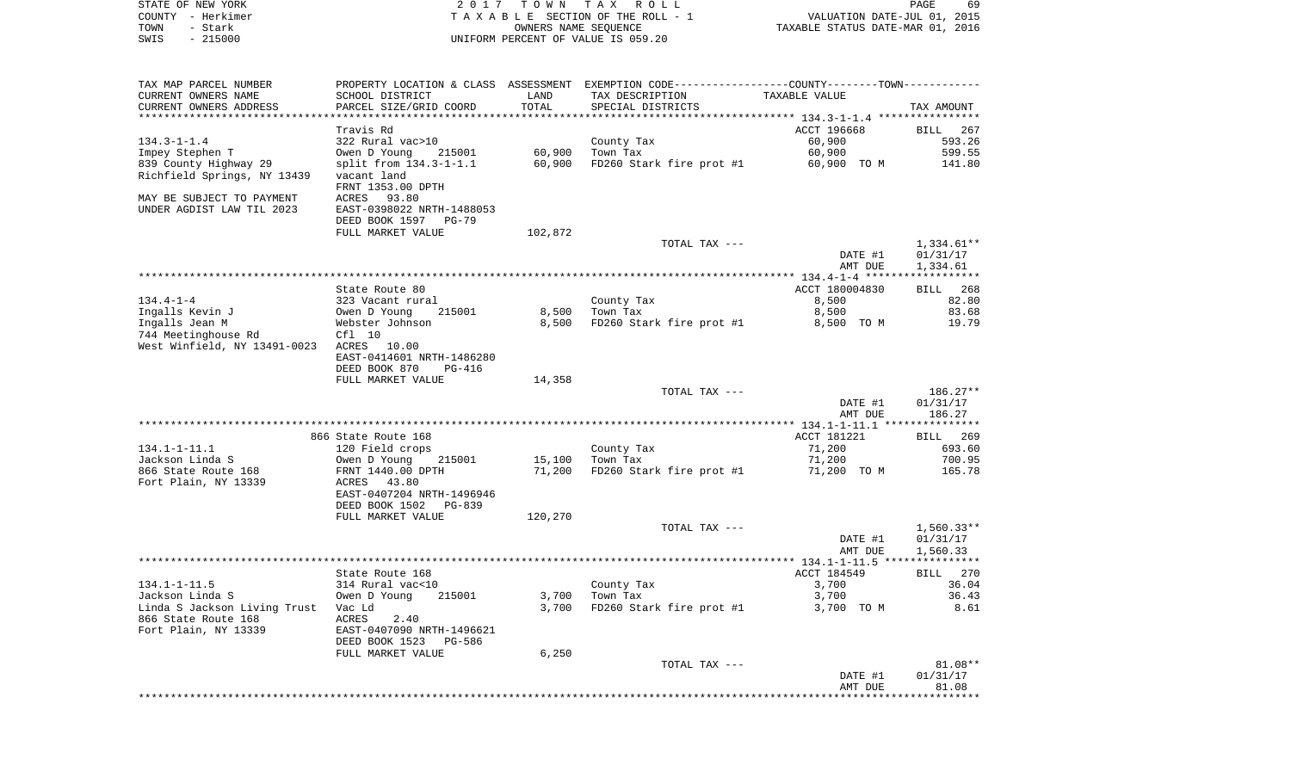| STATE OF NEW YORK            | 2017                           | T O W N              | TAX ROLL                                                                                      |                                  | PAGE<br>69           |
|------------------------------|--------------------------------|----------------------|-----------------------------------------------------------------------------------------------|----------------------------------|----------------------|
| COUNTY - Herkimer            |                                |                      | TAXABLE SECTION OF THE ROLL - 1                                                               | VALUATION DATE-JUL 01, 2015      |                      |
| - Stark<br>TOWN              |                                | OWNERS NAME SEQUENCE |                                                                                               | TAXABLE STATUS DATE-MAR 01, 2016 |                      |
| $-215000$<br>SWIS            |                                |                      | UNIFORM PERCENT OF VALUE IS 059.20                                                            |                                  |                      |
|                              |                                |                      |                                                                                               |                                  |                      |
| TAX MAP PARCEL NUMBER        |                                |                      | PROPERTY LOCATION & CLASS ASSESSMENT EXEMPTION CODE---------------COUNTY-------TOWN---------- |                                  |                      |
| CURRENT OWNERS NAME          | SCHOOL DISTRICT                | LAND                 | TAX DESCRIPTION                                                                               | TAXABLE VALUE                    |                      |
| CURRENT OWNERS ADDRESS       | PARCEL SIZE/GRID COORD         | TOTAL                | SPECIAL DISTRICTS                                                                             |                                  | TAX AMOUNT           |
| ***********************      |                                |                      |                                                                                               |                                  |                      |
|                              | Travis Rd                      |                      |                                                                                               | ACCT 196668                      | BILL<br>267          |
| $134.3 - 1 - 1.4$            | 322 Rural vac>10               |                      | County Tax                                                                                    | 60,900                           | 593.26               |
| Impey Stephen T              | Owen D Young<br>215001         | 60,900               | Town Tax                                                                                      | 60,900                           | 599.55               |
| 839 County Highway 29        | $split$ from $134.3 - 1 - 1.1$ | 60,900               | FD260 Stark fire prot #1                                                                      | 60,900 TO M                      | 141.80               |
| Richfield Springs, NY 13439  | vacant land                    |                      |                                                                                               |                                  |                      |
|                              | FRNT 1353.00 DPTH              |                      |                                                                                               |                                  |                      |
| MAY BE SUBJECT TO PAYMENT    | ACRES 93.80                    |                      |                                                                                               |                                  |                      |
| UNDER AGDIST LAW TIL 2023    | EAST-0398022 NRTH-1488053      |                      |                                                                                               |                                  |                      |
|                              | DEED BOOK 1597 PG-79           |                      |                                                                                               |                                  |                      |
|                              | FULL MARKET VALUE              | 102,872              |                                                                                               |                                  |                      |
|                              |                                |                      | TOTAL TAX ---                                                                                 |                                  | 1,334.61**           |
|                              |                                |                      |                                                                                               | DATE #1                          | 01/31/17             |
|                              |                                |                      |                                                                                               | AMT DUE                          | 1,334.61             |
|                              | State Route 80                 |                      |                                                                                               |                                  |                      |
| $134.4 - 1 - 4$              | 323 Vacant rural               |                      | County Tax                                                                                    | ACCT 180004830<br>8,500          | 268<br>BILL<br>82.80 |
| Ingalls Kevin J              | 215001<br>Owen D Young         | 8,500                | Town Tax                                                                                      | 8,500                            | 83.68                |
| Ingalls Jean M               | Webster Johnson                | 8,500                | FD260 Stark fire prot #1                                                                      | 8,500 TO M                       | 19.79                |
| 744 Meetinghouse Rd          | Cf1 10                         |                      |                                                                                               |                                  |                      |
| West Winfield, NY 13491-0023 | ACRES 10.00                    |                      |                                                                                               |                                  |                      |
|                              | EAST-0414601 NRTH-1486280      |                      |                                                                                               |                                  |                      |
|                              | DEED BOOK 870<br>PG-416        |                      |                                                                                               |                                  |                      |
|                              | FULL MARKET VALUE              | 14,358               |                                                                                               |                                  |                      |
|                              |                                |                      | TOTAL TAX ---                                                                                 |                                  | $186.27**$           |
|                              |                                |                      |                                                                                               | DATE #1                          | 01/31/17             |
|                              |                                |                      |                                                                                               | AMT DUE                          | 186.27               |
|                              |                                |                      |                                                                                               |                                  |                      |
|                              | 866 State Route 168            |                      |                                                                                               | ACCT 181221                      | 269<br>BILL          |
| $134.1 - 1 - 11.1$           | 120 Field crops                |                      | County Tax                                                                                    | 71,200                           | 693.60               |
| Jackson Linda S              | Owen D Young<br>215001         | 15,100               | Town Tax                                                                                      | 71,200                           | 700.95               |
| 866 State Route 168          | FRNT 1440.00 DPTH              | 71,200               | FD260 Stark fire prot #1                                                                      | 71,200 TO M                      | 165.78               |
| Fort Plain, NY 13339         | ACRES<br>43.80                 |                      |                                                                                               |                                  |                      |
|                              | EAST-0407204 NRTH-1496946      |                      |                                                                                               |                                  |                      |
|                              | DEED BOOK 1502<br>PG-839       |                      |                                                                                               |                                  |                      |
|                              | FULL MARKET VALUE              | 120,270              |                                                                                               |                                  |                      |
|                              |                                |                      | TOTAL TAX ---                                                                                 |                                  | $1,560.33**$         |
|                              |                                |                      |                                                                                               | DATE #1                          | 01/31/17             |
|                              |                                |                      |                                                                                               | AMT DUE                          | 1,560.33             |
|                              | State Route 168                |                      |                                                                                               | ACCT 184549                      | BILL 270             |
| $134.1 - 1 - 11.5$           | 314 Rural vac<10               |                      | County Tax                                                                                    | 3,700                            | 36.04                |
| Jackson Linda S              | Owen D Young<br>215001         | 3,700                | Town Tax                                                                                      | 3,700                            | 36.43                |
| Linda S Jackson Living Trust | Vac Ld                         | 3,700                | FD260 Stark fire prot #1                                                                      | 3,700 TO M                       | 8.61                 |
| 866 State Route 168          | ACRES<br>2.40                  |                      |                                                                                               |                                  |                      |
| Fort Plain, NY 13339         | EAST-0407090 NRTH-1496621      |                      |                                                                                               |                                  |                      |
|                              | DEED BOOK 1523<br>PG-586       |                      |                                                                                               |                                  |                      |
|                              | FULL MARKET VALUE              | 6,250                |                                                                                               |                                  |                      |
|                              |                                |                      | TOTAL TAX ---                                                                                 |                                  | $81.08**$            |
|                              |                                |                      |                                                                                               | DATE #1                          | 01/31/17             |
|                              |                                |                      |                                                                                               | AMT DUE                          | 81.08                |
|                              |                                |                      |                                                                                               |                                  |                      |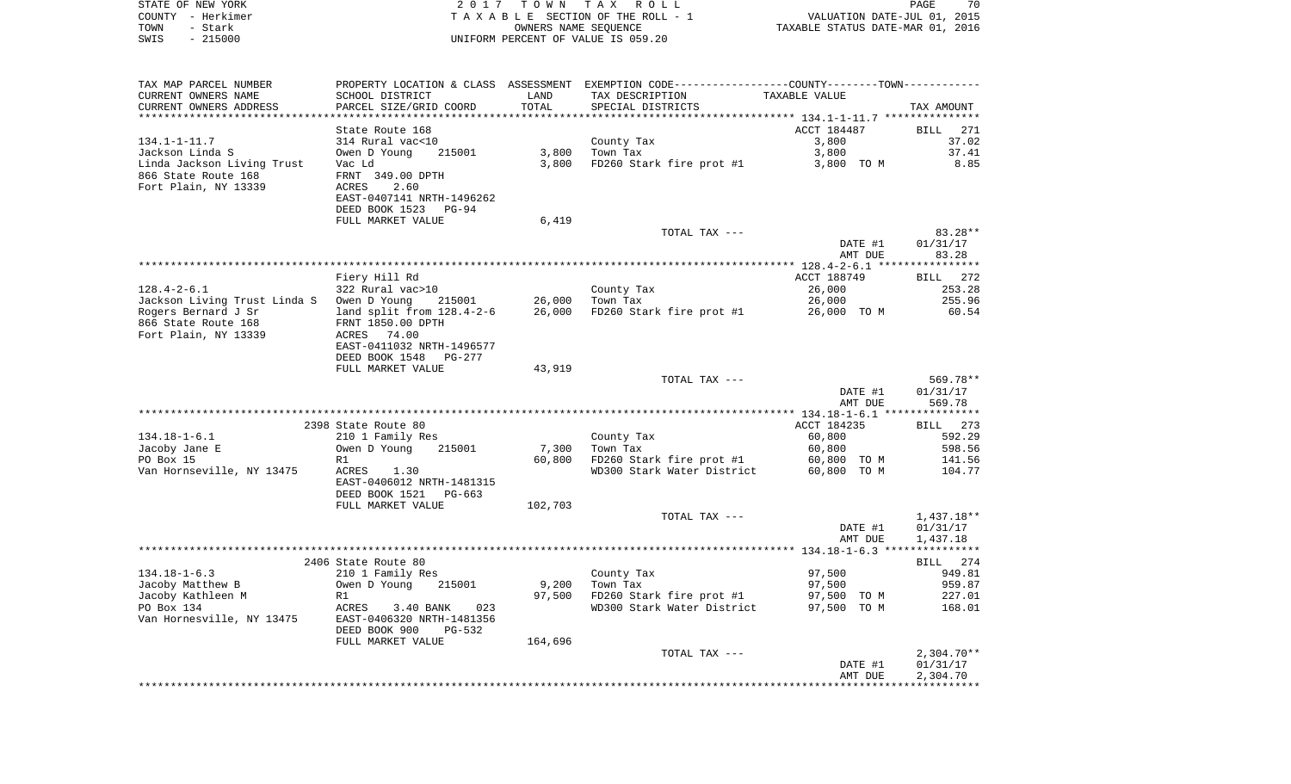| STATE OF NEW YORK<br>COUNTY - Herkimer | 2017                                                  | T O W N              | TAX ROLL                                                    |                                  | PAGE<br>70                  |
|----------------------------------------|-------------------------------------------------------|----------------------|-------------------------------------------------------------|----------------------------------|-----------------------------|
| - Stark<br>TOWN                        |                                                       | OWNERS NAME SEQUENCE | TAXABLE SECTION OF THE ROLL - 1                             | TAXABLE STATUS DATE-MAR 01, 2016 | VALUATION DATE-JUL 01, 2015 |
| $-215000$<br>SWIS                      |                                                       |                      | UNIFORM PERCENT OF VALUE IS 059.20                          |                                  |                             |
|                                        |                                                       |                      |                                                             |                                  |                             |
|                                        |                                                       |                      |                                                             |                                  |                             |
| TAX MAP PARCEL NUMBER                  | PROPERTY LOCATION & CLASS ASSESSMENT                  |                      | EXEMPTION CODE-----------------COUNTY-------TOWN----------- |                                  |                             |
| CURRENT OWNERS NAME                    | SCHOOL DISTRICT                                       | LAND                 | TAX DESCRIPTION                                             | TAXABLE VALUE                    |                             |
| CURRENT OWNERS ADDRESS                 | PARCEL SIZE/GRID COORD                                | TOTAL                | SPECIAL DISTRICTS                                           |                                  | TAX AMOUNT                  |
| *********************                  |                                                       |                      |                                                             |                                  |                             |
|                                        | State Route 168                                       |                      |                                                             | ACCT 184487                      | <b>BILL</b><br>271          |
| $134.1 - 1 - 11.7$                     | 314 Rural vac<10                                      |                      | County Tax                                                  | 3,800                            | 37.02                       |
| Jackson Linda S                        | Owen D Young<br>215001                                | 3,800                | Town Tax                                                    | 3,800                            | 37.41                       |
| Linda Jackson Living Trust             | Vac Ld                                                | 3,800                | FD260 Stark fire prot #1                                    | 3,800 TO M                       | 8.85                        |
| 866 State Route 168                    | FRNT 349.00 DPTH                                      |                      |                                                             |                                  |                             |
| Fort Plain, NY 13339                   | ACRES<br>2.60                                         |                      |                                                             |                                  |                             |
|                                        | EAST-0407141 NRTH-1496262                             |                      |                                                             |                                  |                             |
|                                        | DEED BOOK 1523 PG-94                                  |                      |                                                             |                                  |                             |
|                                        | FULL MARKET VALUE                                     | 6,419                | TOTAL TAX ---                                               |                                  | $83.28**$                   |
|                                        |                                                       |                      |                                                             | DATE #1                          | 01/31/17                    |
|                                        |                                                       |                      |                                                             | AMT DUE                          | 83.28                       |
|                                        |                                                       |                      |                                                             |                                  |                             |
|                                        | Fiery Hill Rd                                         |                      |                                                             | ACCT 188749                      | 272<br>BILL                 |
| $128.4 - 2 - 6.1$                      | 322 Rural vac>10                                      |                      | County Tax                                                  | 26,000                           | 253.28                      |
| Jackson Living Trust Linda S           | Owen D Young<br>215001                                | 26,000               | Town Tax                                                    | 26,000                           | 255.96                      |
| Rogers Bernard J Sr                    | land split from $128.4 - 2 - 6$                       | 26,000               | FD260 Stark fire prot #1                                    | 26,000 TO M                      | 60.54                       |
| 866 State Route 168                    | FRNT 1850.00 DPTH                                     |                      |                                                             |                                  |                             |
| Fort Plain, NY 13339                   | ACRES 74.00                                           |                      |                                                             |                                  |                             |
|                                        | EAST-0411032 NRTH-1496577                             |                      |                                                             |                                  |                             |
|                                        | DEED BOOK 1548 PG-277                                 |                      |                                                             |                                  |                             |
|                                        | FULL MARKET VALUE                                     | 43,919               |                                                             |                                  |                             |
|                                        |                                                       |                      | TOTAL TAX ---                                               |                                  | 569.78**                    |
|                                        |                                                       |                      |                                                             | DATE #1                          | 01/31/17                    |
|                                        |                                                       |                      |                                                             | AMT DUE                          | 569.78                      |
|                                        |                                                       |                      |                                                             |                                  |                             |
|                                        | 2398 State Route 80                                   |                      |                                                             | ACCT 184235                      | BILL 273                    |
| $134.18 - 1 - 6.1$                     | 210 1 Family Res                                      |                      | County Tax                                                  | 60,800                           | 592.29                      |
| Jacoby Jane E                          | Owen D Young<br>215001                                | 7,300                | Town Tax                                                    | 60,800                           | 598.56                      |
| PO Box 15                              | R1                                                    | 60,800               | FD260 Stark fire prot #1                                    | 60,800 TO M                      | 141.56                      |
| Van Hornseville, NY 13475              | ACRES<br>1.30                                         |                      | WD300 Stark Water District                                  | 60,800 TO M                      | 104.77                      |
|                                        | EAST-0406012 NRTH-1481315<br>DEED BOOK 1521<br>PG-663 |                      |                                                             |                                  |                             |
|                                        | FULL MARKET VALUE                                     | 102,703              |                                                             |                                  |                             |
|                                        |                                                       |                      | TOTAL TAX ---                                               |                                  | $1,437.18**$                |
|                                        |                                                       |                      |                                                             | DATE #1                          | 01/31/17                    |
|                                        |                                                       |                      |                                                             | AMT DUE                          | 1,437.18                    |
|                                        |                                                       |                      |                                                             |                                  |                             |
|                                        | 2406 State Route 80                                   |                      |                                                             |                                  | 274<br>BILL                 |
| $134.18 - 1 - 6.3$                     | 210 1 Family Res                                      |                      | County Tax                                                  | 97,500                           | 949.81                      |
| Jacoby Matthew B                       | Owen D Young<br>215001                                | 9,200                | Town Tax                                                    | 97,500                           | 959.87                      |
| Jacoby Kathleen M                      | R1                                                    | 97,500               | FD260 Stark fire prot #1                                    | 97,500 TO M                      | 227.01                      |
| PO Box 134                             | ACRES<br>3.40 BANK<br>023                             |                      | WD300 Stark Water District                                  | 97,500 TO M                      | 168.01                      |
| Van Hornesville, NY 13475              | EAST-0406320 NRTH-1481356                             |                      |                                                             |                                  |                             |
|                                        | DEED BOOK 900<br>PG-532                               |                      |                                                             |                                  |                             |
|                                        | FULL MARKET VALUE                                     | 164,696              |                                                             |                                  |                             |
|                                        |                                                       |                      | TOTAL TAX ---                                               |                                  | $2,304.70**$                |
|                                        |                                                       |                      |                                                             | DATE #1                          | 01/31/17                    |
|                                        |                                                       |                      |                                                             | AMT DUE                          | 2,304.70                    |
|                                        |                                                       |                      |                                                             |                                  |                             |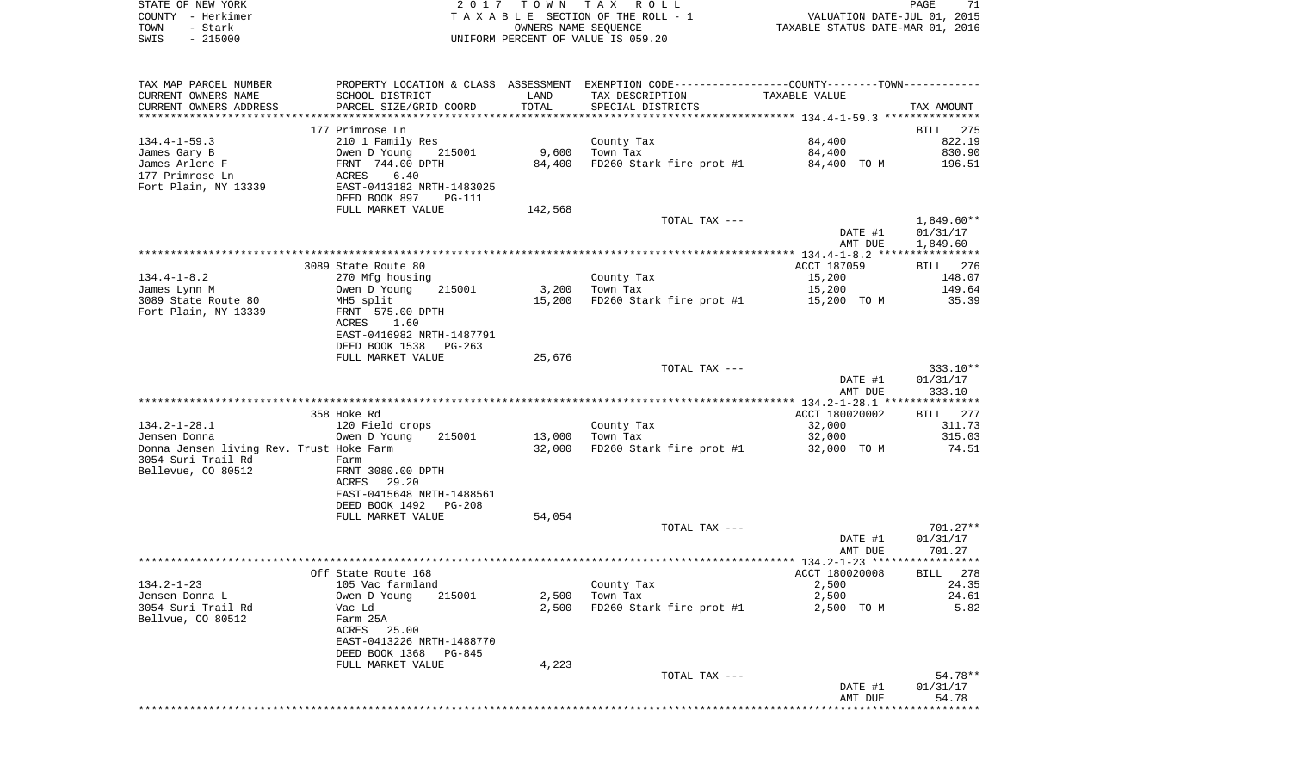|      | STATE OF NEW YORK | 2017 TOWN TAX ROLL                 | 71<br>PAGE                       |
|------|-------------------|------------------------------------|----------------------------------|
|      | COUNTY - Herkimer | TAXABLE SECTION OF THE ROLL - 1    | VALUATION DATE-JUL 01, 2015      |
| TOWN | - Stark           | OWNERS NAME SEOUENCE               | TAXABLE STATUS DATE-MAR 01, 2016 |
| SWIS | - 215000          | UNIFORM PERCENT OF VALUE IS 059.20 |                                  |

| TAX MAP PARCEL NUMBER<br>CURRENT OWNERS NAME<br>CURRENT OWNERS ADDRESS | SCHOOL DISTRICT<br>PARCEL SIZE/GRID COORD       | LAND<br>TOTAL | PROPERTY LOCATION & CLASS ASSESSMENT EXEMPTION CODE---------------COUNTY-------TOWN----------<br>TAX DESCRIPTION<br>SPECIAL DISTRICTS | TAXABLE VALUE  | TAX AMOUNT         |
|------------------------------------------------------------------------|-------------------------------------------------|---------------|---------------------------------------------------------------------------------------------------------------------------------------|----------------|--------------------|
| **********************                                                 | ****************************                    |               |                                                                                                                                       |                |                    |
|                                                                        | 177 Primrose Ln                                 |               |                                                                                                                                       |                | <b>BILL</b><br>275 |
| $134.4 - 1 - 59.3$                                                     | 210 1 Family Res                                |               | County Tax                                                                                                                            | 84,400         | 822.19             |
| James Gary B                                                           | Owen D Young<br>215001                          | 9,600         | Town Tax                                                                                                                              | 84,400         | 830.90             |
| James Arlene F                                                         | FRNT 744.00 DPTH                                | 84,400        | FD260 Stark fire prot #1                                                                                                              | 84,400 TO M    | 196.51             |
| 177 Primrose Ln<br>Fort Plain, NY 13339                                | 6.40<br>ACRES<br>EAST-0413182 NRTH-1483025      |               |                                                                                                                                       |                |                    |
|                                                                        | DEED BOOK 897<br><b>PG-111</b>                  |               |                                                                                                                                       |                |                    |
|                                                                        | FULL MARKET VALUE                               | 142,568       |                                                                                                                                       |                |                    |
|                                                                        |                                                 |               | TOTAL TAX ---                                                                                                                         |                | 1,849.60**         |
|                                                                        |                                                 |               |                                                                                                                                       | DATE #1        | 01/31/17           |
|                                                                        |                                                 |               |                                                                                                                                       | AMT DUE        | 1,849.60           |
|                                                                        |                                                 |               |                                                                                                                                       |                |                    |
|                                                                        | 3089 State Route 80                             |               |                                                                                                                                       | ACCT 187059    | BILL 276           |
| $134.4 - 1 - 8.2$                                                      | 270 Mfg housing                                 |               | County Tax                                                                                                                            | 15,200         | 148.07             |
| James Lynn M                                                           | Owen D Young<br>215001                          | 3,200         | Town Tax                                                                                                                              | 15,200         | 149.64             |
| 3089 State Route 80                                                    | MH5 split                                       | 15,200        | FD260 Stark fire prot #1                                                                                                              | 15,200 TO M    | 35.39              |
| Fort Plain, NY 13339                                                   | FRNT 575.00 DPTH                                |               |                                                                                                                                       |                |                    |
|                                                                        | ACRES<br>1.60                                   |               |                                                                                                                                       |                |                    |
|                                                                        | EAST-0416982 NRTH-1487791                       |               |                                                                                                                                       |                |                    |
|                                                                        | DEED BOOK 1538<br>PG-263                        |               |                                                                                                                                       |                |                    |
|                                                                        | FULL MARKET VALUE                               | 25,676        |                                                                                                                                       |                |                    |
|                                                                        |                                                 |               | TOTAL TAX ---                                                                                                                         |                | $333.10**$         |
|                                                                        |                                                 |               |                                                                                                                                       | DATE #1        | 01/31/17           |
|                                                                        |                                                 |               |                                                                                                                                       | AMT DUE        | 333.10             |
|                                                                        |                                                 |               |                                                                                                                                       |                |                    |
|                                                                        | 358 Hoke Rd                                     |               |                                                                                                                                       | ACCT 180020002 | BILL 277           |
| $134.2 - 1 - 28.1$                                                     | 120 Field crops                                 |               | County Tax                                                                                                                            | 32,000         | 311.73             |
| Jensen Donna                                                           | Owen D Young<br>215001                          | 13,000        | Town Tax                                                                                                                              | 32,000         | 315.03             |
| Donna Jensen living Rev. Trust Hoke Farm                               |                                                 | 32,000        | FD260 Stark fire prot #1                                                                                                              | 32,000 TO M    | 74.51              |
| 3054 Suri Trail Rd                                                     | Farm                                            |               |                                                                                                                                       |                |                    |
| Bellevue, CO 80512                                                     | FRNT 3080.00 DPTH                               |               |                                                                                                                                       |                |                    |
|                                                                        | ACRES<br>29.20                                  |               |                                                                                                                                       |                |                    |
|                                                                        | EAST-0415648 NRTH-1488561                       |               |                                                                                                                                       |                |                    |
|                                                                        | DEED BOOK 1492<br>$PG-208$<br>FULL MARKET VALUE |               |                                                                                                                                       |                |                    |
|                                                                        |                                                 | 54,054        | TOTAL TAX ---                                                                                                                         |                | $701.27**$         |
|                                                                        |                                                 |               |                                                                                                                                       | DATE #1        | 01/31/17           |
|                                                                        |                                                 |               |                                                                                                                                       | AMT DUE        | 701.27             |
|                                                                        |                                                 |               |                                                                                                                                       |                |                    |
|                                                                        | Off State Route 168                             |               |                                                                                                                                       | ACCT 180020008 | BILL 278           |
| $134.2 - 1 - 23$                                                       | 105 Vac farmland                                |               | County Tax                                                                                                                            | 2,500          | 24.35              |
| Jensen Donna L                                                         | Owen D Young<br>215001                          | 2,500         | Town Tax                                                                                                                              | 2,500          | 24.61              |
| 3054 Suri Trail Rd                                                     | Vac Ld                                          | 2,500         | FD260 Stark fire prot #1                                                                                                              | 2,500 TO M     | 5.82               |
| Bellvue, CO 80512                                                      | Farm 25A                                        |               |                                                                                                                                       |                |                    |
|                                                                        | ACRES<br>25.00                                  |               |                                                                                                                                       |                |                    |
|                                                                        | EAST-0413226 NRTH-1488770                       |               |                                                                                                                                       |                |                    |
|                                                                        | DEED BOOK 1368<br>PG-845                        |               |                                                                                                                                       |                |                    |
|                                                                        | FULL MARKET VALUE                               | 4,223         |                                                                                                                                       |                |                    |
|                                                                        |                                                 |               | TOTAL TAX ---                                                                                                                         |                | 54.78**            |
|                                                                        |                                                 |               |                                                                                                                                       | DATE #1        | 01/31/17           |
|                                                                        |                                                 |               |                                                                                                                                       | AMT DUE        | 54.78              |
|                                                                        |                                                 |               |                                                                                                                                       |                |                    |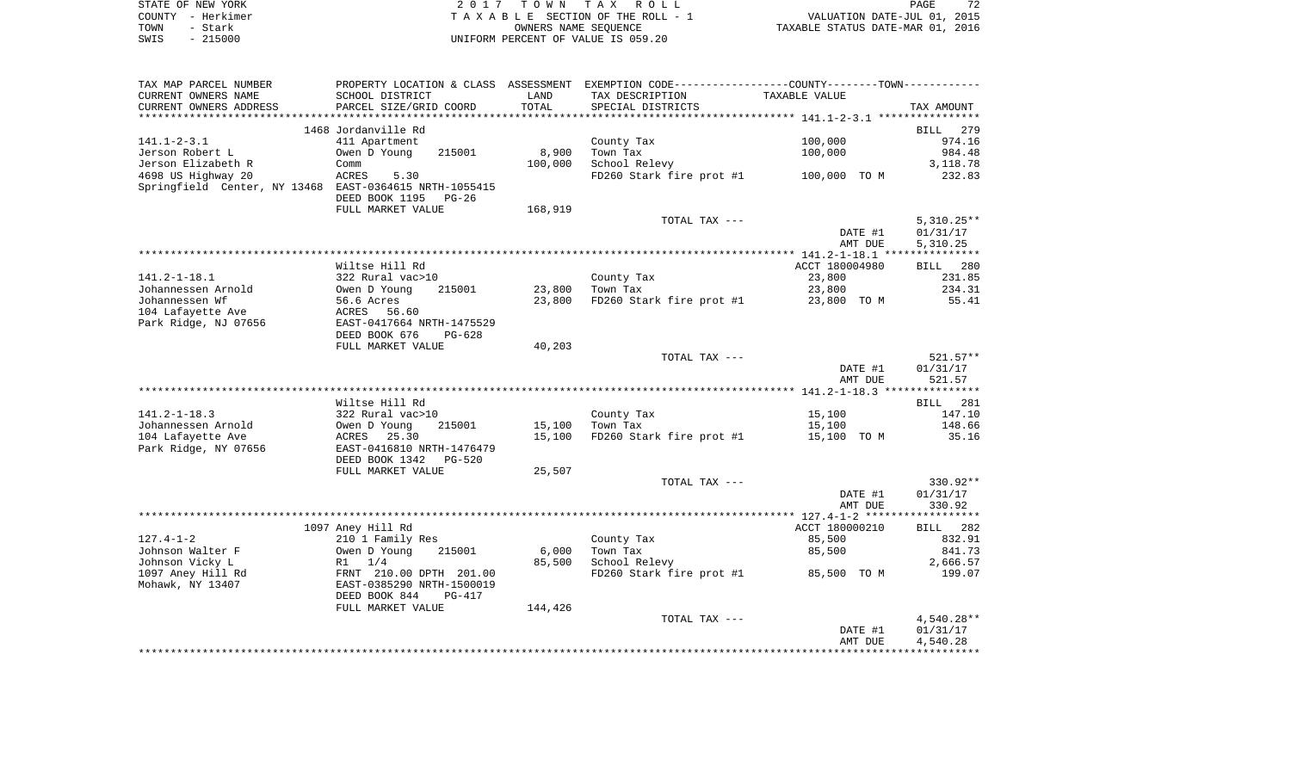| STATE OF NEW YORK |           | 2017 TOWN TAX ROLL                 | 72<br>PAGE                       |
|-------------------|-----------|------------------------------------|----------------------------------|
| COUNTY - Herkimer |           | TAXABLE SECTION OF THE ROLL - 1    | VALUATION DATE-JUL 01, 2015      |
| TOWN              | – Stark   | OWNERS NAME SEOUENCE               | TAXABLE STATUS DATE-MAR 01, 2016 |
| SWIS              | $-215000$ | UNIFORM PERCENT OF VALUE IS 059.20 |                                  |

| TAX MAP PARCEL NUMBER                                  | PROPERTY LOCATION & CLASS ASSESSMENT                 |            | EXEMPTION CODE-----------------COUNTY--------TOWN----------- |                |                    |
|--------------------------------------------------------|------------------------------------------------------|------------|--------------------------------------------------------------|----------------|--------------------|
| CURRENT OWNERS NAME                                    | SCHOOL DISTRICT                                      | LAND       | TAX DESCRIPTION                                              | TAXABLE VALUE  |                    |
| CURRENT OWNERS ADDRESS                                 | PARCEL SIZE/GRID COORD                               | TOTAL      | SPECIAL DISTRICTS                                            |                | TAX AMOUNT         |
|                                                        |                                                      | ********** |                                                              |                |                    |
|                                                        | 1468 Jordanville Rd                                  |            |                                                              |                | <b>BILL</b><br>279 |
| $141.1 - 2 - 3.1$                                      | 411 Apartment                                        |            | County Tax                                                   | 100,000        | 974.16             |
| Jerson Robert L                                        | Owen D Young<br>215001                               | 8,900      | Town Tax                                                     | 100,000        | 984.48             |
| Jerson Elizabeth R                                     | Comm                                                 | 100,000    | School Relevy                                                |                | 3,118.78           |
| 4698 US Highway 20                                     | 5.30<br>ACRES                                        |            | FD260 Stark fire prot #1                                     | 100,000 TO M   | 232.83             |
| Springfield Center, NY 13468 EAST-0364615 NRTH-1055415 |                                                      |            |                                                              |                |                    |
|                                                        | DEED BOOK 1195<br>PG-26                              |            |                                                              |                |                    |
|                                                        | FULL MARKET VALUE                                    | 168,919    | TOTAL TAX ---                                                |                | $5,310.25**$       |
|                                                        |                                                      |            |                                                              | DATE #1        | 01/31/17           |
|                                                        |                                                      |            |                                                              | AMT DUE        | 5,310.25           |
|                                                        |                                                      |            |                                                              |                |                    |
|                                                        | Wiltse Hill Rd                                       |            |                                                              | ACCT 180004980 | BILL 280           |
| $141.2 - 1 - 18.1$                                     | 322 Rural vac>10                                     |            | County Tax                                                   | 23,800         | 231.85             |
| Johannessen Arnold                                     | Owen D Young<br>215001                               | 23,800     | Town Tax                                                     | 23,800         | 234.31             |
| Johannessen Wf                                         | 56.6 Acres                                           | 23,800     | FD260 Stark fire prot #1                                     | 23,800 TO M    | 55.41              |
| 104 Lafayette Ave                                      | ACRES<br>56.60                                       |            |                                                              |                |                    |
| Park Ridge, NJ 07656                                   | EAST-0417664 NRTH-1475529                            |            |                                                              |                |                    |
|                                                        | DEED BOOK 676<br>$PG-628$                            |            |                                                              |                |                    |
|                                                        | FULL MARKET VALUE                                    | 40,203     |                                                              |                |                    |
|                                                        |                                                      |            | TOTAL TAX ---                                                |                | $521.57**$         |
|                                                        |                                                      |            |                                                              | DATE #1        | 01/31/17           |
|                                                        |                                                      |            |                                                              | AMT DUE        | 521.57             |
|                                                        | Wiltse Hill Rd                                       |            |                                                              |                | BILL 281           |
| $141.2 - 1 - 18.3$                                     | 322 Rural vac>10                                     |            | County Tax                                                   | 15,100         | 147.10             |
| Johannessen Arnold                                     | Owen D Young<br>215001                               | 15,100     | Town Tax                                                     | 15,100         | 148.66             |
| 104 Lafayette Ave                                      | ACRES 25.30                                          | 15,100     | FD260 Stark fire prot #1                                     | 15,100 TO M    | 35.16              |
| Park Ridge, NY 07656                                   | EAST-0416810 NRTH-1476479                            |            |                                                              |                |                    |
|                                                        | DEED BOOK 1342<br><b>PG-520</b>                      |            |                                                              |                |                    |
|                                                        | FULL MARKET VALUE                                    | 25,507     |                                                              |                |                    |
|                                                        |                                                      |            | TOTAL TAX ---                                                |                | 330.92**           |
|                                                        |                                                      |            |                                                              | DATE #1        | 01/31/17           |
|                                                        |                                                      |            |                                                              | AMT DUE        | 330.92             |
|                                                        |                                                      |            |                                                              |                | **********         |
|                                                        | 1097 Aney Hill Rd                                    |            |                                                              | ACCT 180000210 | BILL 282           |
| $127.4 - 1 - 2$                                        | 210 1 Family Res                                     |            | County Tax                                                   | 85,500         | 832.91             |
| Johnson Walter F                                       | Owen D Young<br>215001                               | 6,000      | Town Tax                                                     | 85,500         | 841.73             |
| Johnson Vicky L<br>1097 Aney Hill Rd                   | $R1 \t1/4$                                           | 85,500     | School Relevy<br>FD260 Stark fire prot #1                    |                | 2,666.57<br>199.07 |
| Mohawk, NY 13407                                       | FRNT 210.00 DPTH 201.00<br>EAST-0385290 NRTH-1500019 |            |                                                              | 85,500 TO M    |                    |
|                                                        | DEED BOOK 844<br><b>PG-417</b>                       |            |                                                              |                |                    |
|                                                        | FULL MARKET VALUE                                    | 144,426    |                                                              |                |                    |
|                                                        |                                                      |            | TOTAL TAX ---                                                |                | $4,540.28**$       |
|                                                        |                                                      |            |                                                              | DATE #1        | 01/31/17           |
|                                                        |                                                      |            |                                                              | AMT DUE        | 4,540.28           |
|                                                        |                                                      |            |                                                              |                |                    |
|                                                        |                                                      |            |                                                              |                |                    |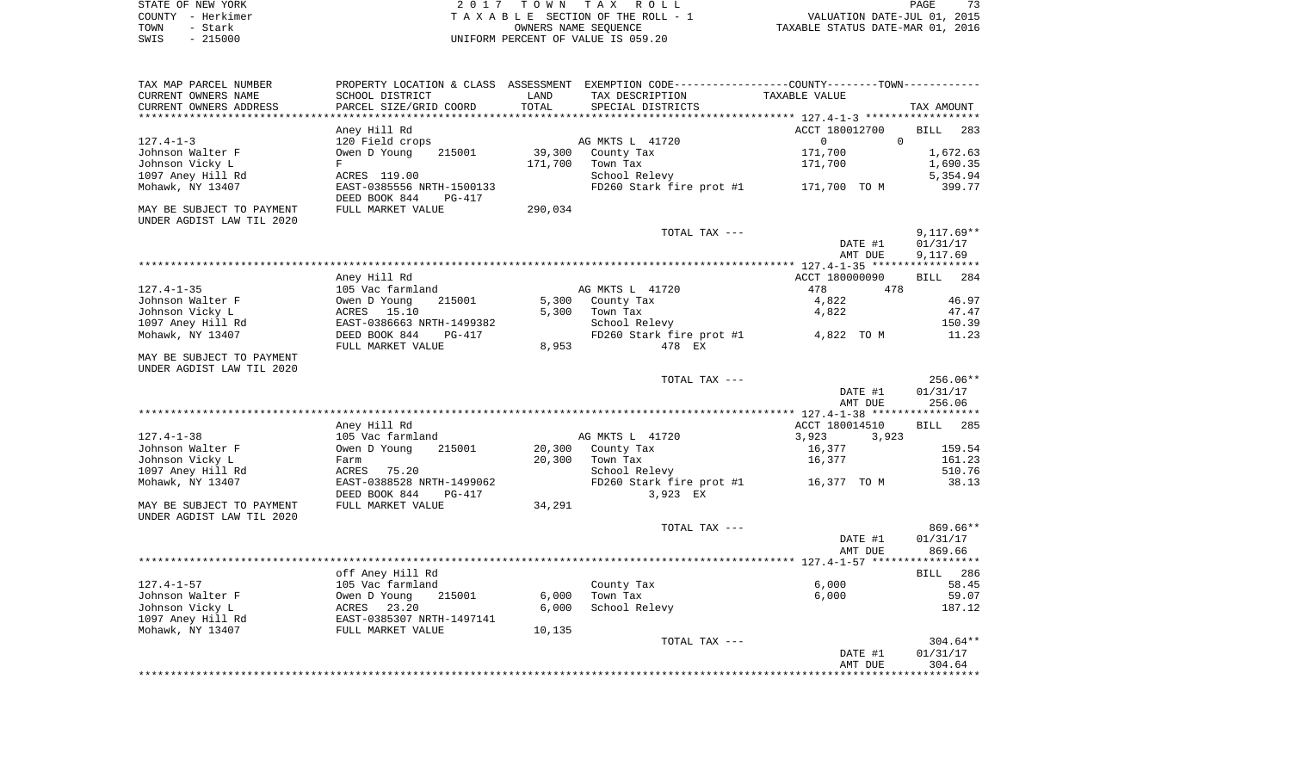| STATE OF NEW YORK | 2017 TOWN TAX ROLL                 | 73<br>PAGE                       |
|-------------------|------------------------------------|----------------------------------|
| COUNTY - Herkimer | TAXABLE SECTION OF THE ROLL - 1    | VALUATION DATE-JUL 01, 2015      |
| TOWN<br>- Stark   | OWNERS NAME SEOUENCE               | TAXABLE STATUS DATE-MAR 01, 2016 |
| $-215000$<br>SWIS | UNIFORM PERCENT OF VALUE IS 059.20 |                                  |

| TAX MAP PARCEL NUMBER<br>CURRENT OWNERS NAME<br>CURRENT OWNERS ADDRESS | SCHOOL DISTRICT<br>PARCEL SIZE/GRID COORD                                        | LAND<br>TOTAL  | PROPERTY LOCATION & CLASS ASSESSMENT EXEMPTION CODE---------------COUNTY-------TOWN----------<br>TAX DESCRIPTION<br>SPECIAL DISTRICTS | TAXABLE VALUE                                 | TAX AMOUNT                           |
|------------------------------------------------------------------------|----------------------------------------------------------------------------------|----------------|---------------------------------------------------------------------------------------------------------------------------------------|-----------------------------------------------|--------------------------------------|
| **********************                                                 |                                                                                  |                |                                                                                                                                       |                                               |                                      |
| $127.4 - 1 - 3$<br>Johnson Walter F                                    | Aney Hill Rd<br>120 Field crops<br>Owen D Young<br>215001                        | 39,300         | AG MKTS L 41720<br>County Tax                                                                                                         | ACCT 180012700<br>0<br>$\mathbf 0$<br>171,700 | <b>BILL</b><br>283<br>1,672.63       |
| Johnson Vicky L<br>1097 Aney Hill Rd                                   | F<br>ACRES 119.00                                                                | 171,700        | Town Tax<br>School Relevy                                                                                                             | 171,700                                       | 1,690.35<br>5,354.94                 |
| Mohawk, NY 13407<br>MAY BE SUBJECT TO PAYMENT                          | EAST-0385556 NRTH-1500133<br>DEED BOOK 844<br><b>PG-417</b><br>FULL MARKET VALUE | 290,034        | FD260 Stark fire prot #1                                                                                                              | 171,700 TO M                                  | 399.77                               |
| UNDER AGDIST LAW TIL 2020                                              |                                                                                  |                |                                                                                                                                       |                                               |                                      |
|                                                                        |                                                                                  |                | TOTAL TAX ---                                                                                                                         | DATE #1<br>AMT DUE                            | $9,117.69**$<br>01/31/17<br>9,117.69 |
|                                                                        |                                                                                  |                |                                                                                                                                       |                                               |                                      |
|                                                                        | Aney Hill Rd                                                                     |                |                                                                                                                                       | ACCT 180000090                                | 284<br><b>BILL</b>                   |
| $127.4 - 1 - 35$                                                       | 105 Vac farmland<br>215001                                                       |                | AG MKTS L 41720                                                                                                                       | 478<br>478                                    | 46.97                                |
| Johnson Walter F<br>Johnson Vicky L                                    | Owen D Young<br>ACRES<br>15.10                                                   | 5,300<br>5,300 | County Tax<br>Town Tax                                                                                                                | 4,822<br>4,822                                | 47.47                                |
| 1097 Aney Hill Rd                                                      | EAST-0386663 NRTH-1499382                                                        |                | School Relevy                                                                                                                         |                                               | 150.39                               |
| Mohawk, NY 13407                                                       | DEED BOOK 844<br>$PG-417$                                                        |                | FD260 Stark fire prot #1                                                                                                              | 4,822 TO M                                    | 11.23                                |
|                                                                        | FULL MARKET VALUE                                                                | 8,953          | 478 EX                                                                                                                                |                                               |                                      |
| MAY BE SUBJECT TO PAYMENT<br>UNDER AGDIST LAW TIL 2020                 |                                                                                  |                |                                                                                                                                       |                                               |                                      |
|                                                                        |                                                                                  |                | TOTAL TAX ---                                                                                                                         | DATE #1                                       | $256.06**$<br>01/31/17               |
|                                                                        |                                                                                  |                |                                                                                                                                       | AMT DUE                                       | 256.06                               |
|                                                                        |                                                                                  |                |                                                                                                                                       |                                               |                                      |
|                                                                        | Aney Hill Rd                                                                     |                |                                                                                                                                       | ACCT 180014510                                | 285<br><b>BILL</b>                   |
| $127.4 - 1 - 38$                                                       | 105 Vac farmland                                                                 |                | AG MKTS L 41720                                                                                                                       | 3,923<br>3,923                                |                                      |
| Johnson Walter F                                                       | Owen D Young<br>215001                                                           | 20,300         | County Tax                                                                                                                            | 16,377                                        | 159.54                               |
| Johnson Vicky L                                                        | Farm                                                                             | 20,300         | Town Tax                                                                                                                              | 16,377                                        | 161.23                               |
| 1097 Aney Hill Rd<br>Mohawk, NY 13407                                  | ACRES<br>75.20<br>EAST-0388528 NRTH-1499062                                      |                | School Relevy                                                                                                                         | 16,377 TO M                                   | 510.76<br>38.13                      |
|                                                                        | DEED BOOK 844<br>$PG-417$                                                        |                | FD260 Stark fire prot #1<br>3,923 EX                                                                                                  |                                               |                                      |
| MAY BE SUBJECT TO PAYMENT<br>UNDER AGDIST LAW TIL 2020                 | FULL MARKET VALUE                                                                | 34,291         |                                                                                                                                       |                                               |                                      |
|                                                                        |                                                                                  |                | TOTAL TAX ---                                                                                                                         |                                               | 869.66**                             |
|                                                                        |                                                                                  |                |                                                                                                                                       | DATE #1                                       | 01/31/17                             |
|                                                                        |                                                                                  |                |                                                                                                                                       | AMT DUE                                       | 869.66<br>*********                  |
|                                                                        | off Aney Hill Rd                                                                 |                |                                                                                                                                       |                                               | 286<br>BILL                          |
| $127.4 - 1 - 57$                                                       | 105 Vac farmland                                                                 |                | County Tax                                                                                                                            | 6,000                                         | 58.45                                |
| Johnson Walter F                                                       | Owen D Young<br>215001                                                           | 6,000          | Town Tax                                                                                                                              | 6,000                                         | 59.07                                |
| Johnson Vicky L                                                        | 23.20<br>ACRES                                                                   | 6,000          | School Relevy                                                                                                                         |                                               | 187.12                               |
| 1097 Aney Hill Rd                                                      | EAST-0385307 NRTH-1497141                                                        |                |                                                                                                                                       |                                               |                                      |
| Mohawk, NY 13407                                                       | FULL MARKET VALUE                                                                | 10,135         |                                                                                                                                       |                                               |                                      |
|                                                                        |                                                                                  |                | TOTAL TAX ---                                                                                                                         |                                               | $304.64**$                           |
|                                                                        |                                                                                  |                |                                                                                                                                       | DATE #1<br>AMT DUE                            | 01/31/17<br>304.64                   |
|                                                                        |                                                                                  |                |                                                                                                                                       |                                               |                                      |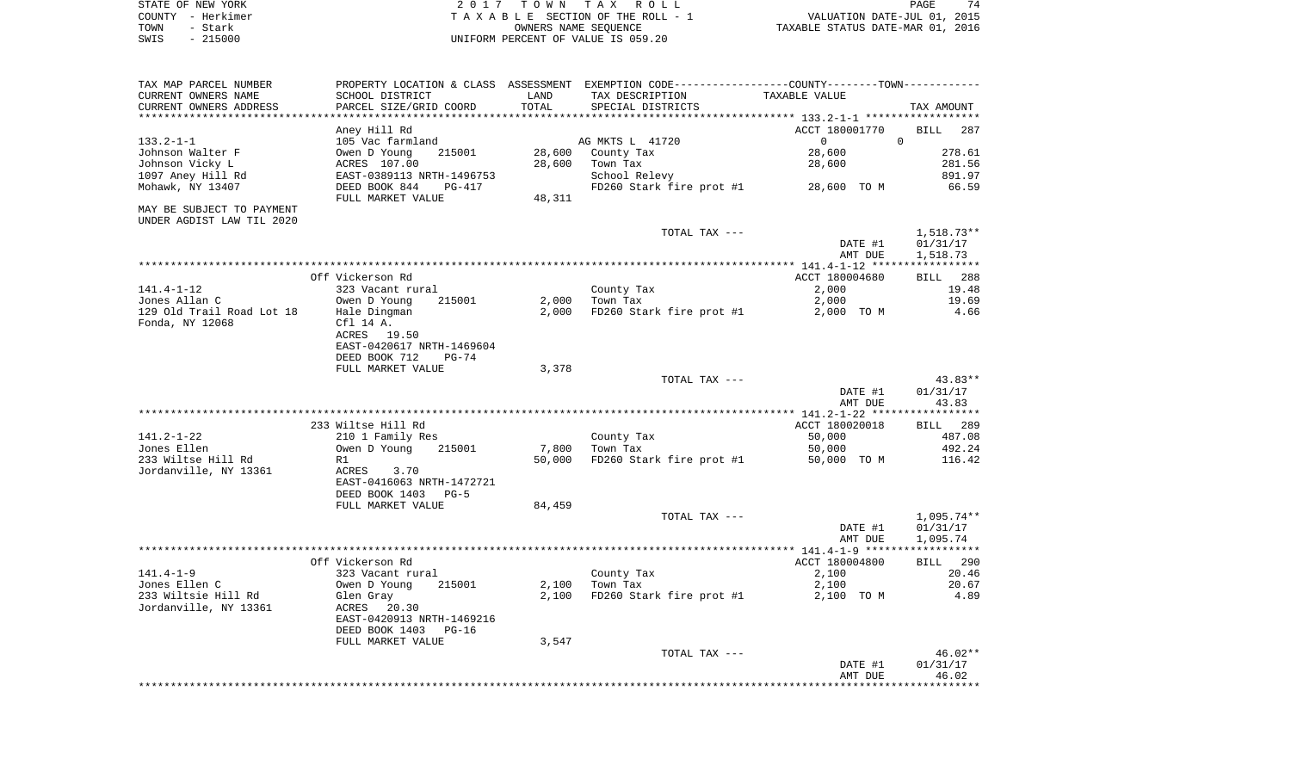| STATE OF NEW YORK | 2017 TOWN TAX ROLL                 | PAGE                             |
|-------------------|------------------------------------|----------------------------------|
| COUNTY - Herkimer | TAXABLE SECTION OF THE ROLL - 1    | VALUATION DATE-JUL 01, 2015      |
| TOWN<br>- Stark   | OWNERS NAME SEOUENCE               | TAXABLE STATUS DATE-MAR 01, 2016 |
| $-215000$<br>SWIS | UNIFORM PERCENT OF VALUE IS 059.20 |                                  |

| CURRENT OWNERS ADDRESS               | PARCEL SIZE/GRID COORD                    |        | TAX DESCRIPTION           | TAXABLE VALUE  |                             |
|--------------------------------------|-------------------------------------------|--------|---------------------------|----------------|-----------------------------|
|                                      |                                           | TOTAL  | SPECIAL DISTRICTS         |                | TAX AMOUNT                  |
|                                      |                                           |        |                           |                |                             |
|                                      | Aney Hill Rd                              |        |                           | ACCT 180001770 | <b>BILL</b><br>287          |
| $133.2 - 1 - 1$                      | 105 Vac farmland                          |        | AG MKTS L 41720           | $\mathbf{0}$   | $\mathbf 0$                 |
| Johnson Walter F                     | 215001<br>Owen D Young                    | 28,600 | County Tax                | 28,600         | 278.61                      |
| Johnson Vicky L<br>1097 Aney Hill Rd | ACRES 107.00<br>EAST-0389113 NRTH-1496753 | 28,600 | Town Tax<br>School Relevy | 28,600         | 281.56<br>891.97            |
| Mohawk, NY 13407                     | DEED BOOK 844<br>PG-417                   |        | FD260 Stark fire prot #1  | 28,600 TO M    | 66.59                       |
|                                      | FULL MARKET VALUE                         | 48,311 |                           |                |                             |
| MAY BE SUBJECT TO PAYMENT            |                                           |        |                           |                |                             |
| UNDER AGDIST LAW TIL 2020            |                                           |        |                           |                |                             |
|                                      |                                           |        | TOTAL TAX ---             |                | 1,518.73**                  |
|                                      |                                           |        |                           | DATE #1        | 01/31/17                    |
|                                      |                                           |        |                           | AMT DUE        | 1,518.73                    |
|                                      |                                           |        |                           |                |                             |
|                                      | Off Vickerson Rd                          |        |                           | ACCT 180004680 | 288<br><b>BILL</b>          |
| $141.4 - 1 - 12$                     | 323 Vacant rural                          |        | County Tax                | 2,000          | 19.48                       |
| Jones Allan C                        | Owen D Young<br>215001                    | 2,000  | Town Tax                  | 2,000          | 19.69                       |
| 129 Old Trail Road Lot 18            | Hale Dingman                              | 2,000  | FD260 Stark fire prot #1  | 2,000 TO M     | 4.66                        |
| Fonda, NY 12068                      | Cf1 14 A.                                 |        |                           |                |                             |
|                                      | ACRES 19.50                               |        |                           |                |                             |
|                                      | EAST-0420617 NRTH-1469604                 |        |                           |                |                             |
|                                      | DEED BOOK 712<br>$PG-74$                  |        |                           |                |                             |
|                                      | FULL MARKET VALUE                         | 3,378  | TOTAL TAX ---             |                | $43.83**$                   |
|                                      |                                           |        |                           | DATE #1        | 01/31/17                    |
|                                      |                                           |        |                           | AMT DUE        | 43.83                       |
|                                      |                                           |        |                           |                |                             |
|                                      | 233 Wiltse Hill Rd                        |        |                           | ACCT 180020018 | BILL 289                    |
| $141.2 - 1 - 22$                     | 210 1 Family Res                          |        | County Tax                | 50,000         | 487.08                      |
| Jones Ellen                          | Owen D Young<br>215001                    | 7,800  | Town Tax                  | 50,000         | 492.24                      |
| 233 Wiltse Hill Rd                   | R1                                        | 50,000 | FD260 Stark fire prot #1  | 50,000 TO M    | 116.42                      |
| Jordanville, NY 13361                | 3.70<br>ACRES                             |        |                           |                |                             |
|                                      | EAST-0416063 NRTH-1472721                 |        |                           |                |                             |
|                                      | DEED BOOK 1403<br>$PG-5$                  |        |                           |                |                             |
|                                      | FULL MARKET VALUE                         | 84,459 |                           |                |                             |
|                                      |                                           |        | TOTAL TAX ---             |                | $1,095.74**$                |
|                                      |                                           |        |                           | DATE #1        | 01/31/17                    |
|                                      |                                           |        |                           | AMT DUE        | 1,095.74                    |
|                                      |                                           |        |                           |                |                             |
| $141.4 - 1 - 9$                      | Off Vickerson Rd<br>323 Vacant rural      |        |                           | ACCT 180004800 | <b>BILL</b><br>290<br>20.46 |
| Jones Ellen C                        | Owen D Young<br>215001                    | 2,100  | County Tax<br>Town Tax    | 2,100<br>2,100 | 20.67                       |
| 233 Wiltsie Hill Rd                  | Glen Gray                                 | 2,100  | FD260 Stark fire prot #1  | 2,100 TO M     | 4.89                        |
| Jordanville, NY 13361                | ACRES<br>20.30                            |        |                           |                |                             |
|                                      | EAST-0420913 NRTH-1469216                 |        |                           |                |                             |
|                                      | DEED BOOK 1403<br>PG-16                   |        |                           |                |                             |
|                                      | FULL MARKET VALUE                         | 3,547  |                           |                |                             |
|                                      |                                           |        | TOTAL TAX ---             |                | 46.02**                     |
|                                      |                                           |        |                           | DATE #1        | 01/31/17                    |
|                                      |                                           |        |                           | AMT DUE        | 46.02                       |
|                                      |                                           |        |                           |                |                             |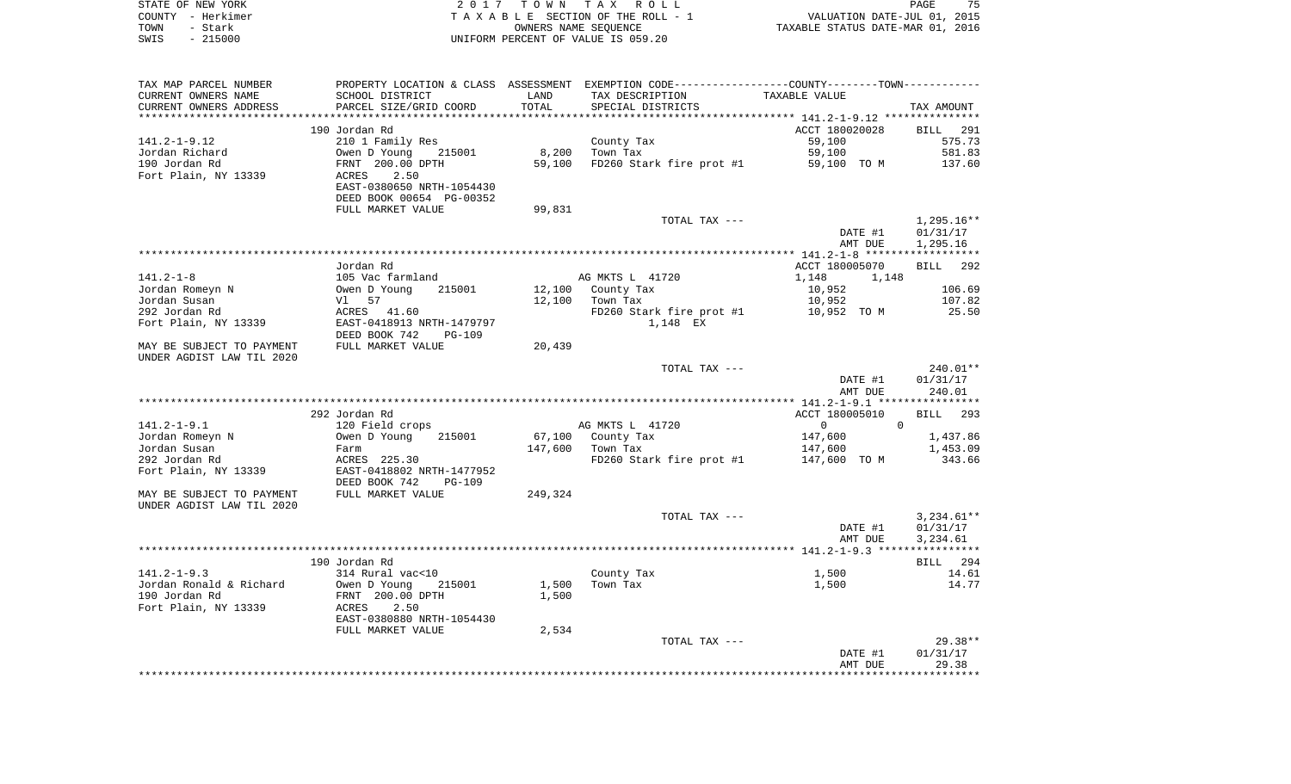| STATE OF NEW YORK | 2017 TOWN TAX ROLL                 | 75<br>PAGE                       |
|-------------------|------------------------------------|----------------------------------|
| COUNTY - Herkimer | TAXABLE SECTION OF THE ROLL - 1    | VALUATION DATE-JUL 01, 2015      |
| TOWN<br>- Stark   | OWNERS NAME SEOUENCE               | TAXABLE STATUS DATE-MAR 01, 2016 |
| $-215000$<br>SWIS | UNIFORM PERCENT OF VALUE IS 059.20 |                                  |

| TAX MAP PARCEL NUMBER     |                                |         | PROPERTY LOCATION & CLASS ASSESSMENT EXEMPTION CODE----------------COUNTY-------TOWN----------- |                                |                    |
|---------------------------|--------------------------------|---------|-------------------------------------------------------------------------------------------------|--------------------------------|--------------------|
| CURRENT OWNERS NAME       | SCHOOL DISTRICT                | LAND    | TAX DESCRIPTION                                                                                 | TAXABLE VALUE                  |                    |
| CURRENT OWNERS ADDRESS    | PARCEL SIZE/GRID COORD         | TOTAL   | SPECIAL DISTRICTS                                                                               |                                | TAX AMOUNT         |
|                           |                                |         |                                                                                                 |                                |                    |
|                           | 190 Jordan Rd                  |         |                                                                                                 | ACCT 180020028                 | <b>BILL</b><br>291 |
| $141.2 - 1 - 9.12$        | 210 1 Family Res               |         | County Tax                                                                                      | 59,100                         | 575.73             |
| Jordan Richard            | Owen D Young<br>215001         | 8,200   | Town Tax                                                                                        | 59,100                         | 581.83             |
| 190 Jordan Rd             | FRNT 200.00 DPTH               | 59,100  | FD260 Stark fire prot #1                                                                        | 59,100 TO M                    | 137.60             |
| Fort Plain, NY 13339      | ACRES<br>2.50                  |         |                                                                                                 |                                |                    |
|                           | EAST-0380650 NRTH-1054430      |         |                                                                                                 |                                |                    |
|                           |                                |         |                                                                                                 |                                |                    |
|                           | DEED BOOK 00654 PG-00352       |         |                                                                                                 |                                |                    |
|                           | FULL MARKET VALUE              | 99,831  |                                                                                                 |                                |                    |
|                           |                                |         | TOTAL TAX ---                                                                                   |                                | $1,295.16**$       |
|                           |                                |         |                                                                                                 | DATE #1                        | 01/31/17           |
|                           |                                |         |                                                                                                 | AMT DUE                        | 1,295.16           |
|                           |                                |         |                                                                                                 |                                |                    |
|                           | Jordan Rd                      |         |                                                                                                 | ACCT 180005070                 | 292<br>BILL        |
| $141.2 - 1 - 8$           | 105 Vac farmland               |         | AG MKTS L 41720                                                                                 | 1,148<br>1,148                 |                    |
| Jordan Romeyn N           | Owen D Young<br>215001         | 12,100  | County Tax                                                                                      | 10,952                         | 106.69             |
| Jordan Susan              | 57<br>Vl                       | 12,100  | Town Tax                                                                                        | 10,952                         | 107.82             |
| 292 Jordan Rd             | ACRES 41.60                    |         | FD260 Stark fire prot #1                                                                        | 10,952 TO M                    | 25.50              |
| Fort Plain, NY 13339      | EAST-0418913 NRTH-1479797      |         | 1,148 EX                                                                                        |                                |                    |
|                           | DEED BOOK 742<br><b>PG-109</b> |         |                                                                                                 |                                |                    |
| MAY BE SUBJECT TO PAYMENT | FULL MARKET VALUE              | 20,439  |                                                                                                 |                                |                    |
| UNDER AGDIST LAW TIL 2020 |                                |         |                                                                                                 |                                |                    |
|                           |                                |         | TOTAL TAX ---                                                                                   |                                | 240.01**           |
|                           |                                |         |                                                                                                 | DATE #1                        | 01/31/17           |
|                           |                                |         |                                                                                                 | AMT DUE                        | 240.01             |
|                           |                                |         |                                                                                                 |                                |                    |
|                           | 292 Jordan Rd                  |         |                                                                                                 | ACCT 180005010                 | 293<br>BILL        |
| $141.2 - 1 - 9.1$         | 120 Field crops                |         | AG MKTS L 41720                                                                                 | $\mathbf{0}$<br>$\overline{0}$ |                    |
| Jordan Romeyn N           | 215001<br>Owen D Young         | 67,100  | County Tax                                                                                      | 147,600                        | 1,437.86           |
| Jordan Susan              |                                | 147,600 | Town Tax                                                                                        |                                |                    |
|                           | Farm                           |         |                                                                                                 | 147,600                        | 1,453.09           |
| 292 Jordan Rd             | ACRES 225.30                   |         | FD260 Stark fire prot #1                                                                        | 147,600 TO M                   | 343.66             |
| Fort Plain, NY 13339      | EAST-0418802 NRTH-1477952      |         |                                                                                                 |                                |                    |
|                           | DEED BOOK 742<br><b>PG-109</b> |         |                                                                                                 |                                |                    |
| MAY BE SUBJECT TO PAYMENT | FULL MARKET VALUE              | 249,324 |                                                                                                 |                                |                    |
| UNDER AGDIST LAW TIL 2020 |                                |         |                                                                                                 |                                |                    |
|                           |                                |         | TOTAL TAX ---                                                                                   |                                | $3,234.61**$       |
|                           |                                |         |                                                                                                 | DATE #1                        | 01/31/17           |
|                           |                                |         |                                                                                                 | AMT DUE                        | 3,234.61           |
|                           |                                |         |                                                                                                 |                                |                    |
|                           | 190 Jordan Rd                  |         |                                                                                                 |                                | BILL 294           |
| $141.2 - 1 - 9.3$         | 314 Rural vac<10               |         | County Tax                                                                                      | 1,500                          | 14.61              |
| Jordan Ronald & Richard   | Owen D Young<br>215001         | 1,500   | Town Tax                                                                                        | 1,500                          | 14.77              |
| 190 Jordan Rd             | FRNT 200.00 DPTH               | 1,500   |                                                                                                 |                                |                    |
| Fort Plain, NY 13339      | ACRES<br>2.50                  |         |                                                                                                 |                                |                    |
|                           | EAST-0380880 NRTH-1054430      |         |                                                                                                 |                                |                    |
|                           | FULL MARKET VALUE              | 2,534   |                                                                                                 |                                |                    |
|                           |                                |         | TOTAL TAX ---                                                                                   |                                | $29.38**$          |
|                           |                                |         |                                                                                                 | DATE #1                        | 01/31/17           |
|                           |                                |         |                                                                                                 |                                |                    |
|                           |                                |         |                                                                                                 | AMT DUE                        | 29.38              |
|                           |                                |         |                                                                                                 |                                |                    |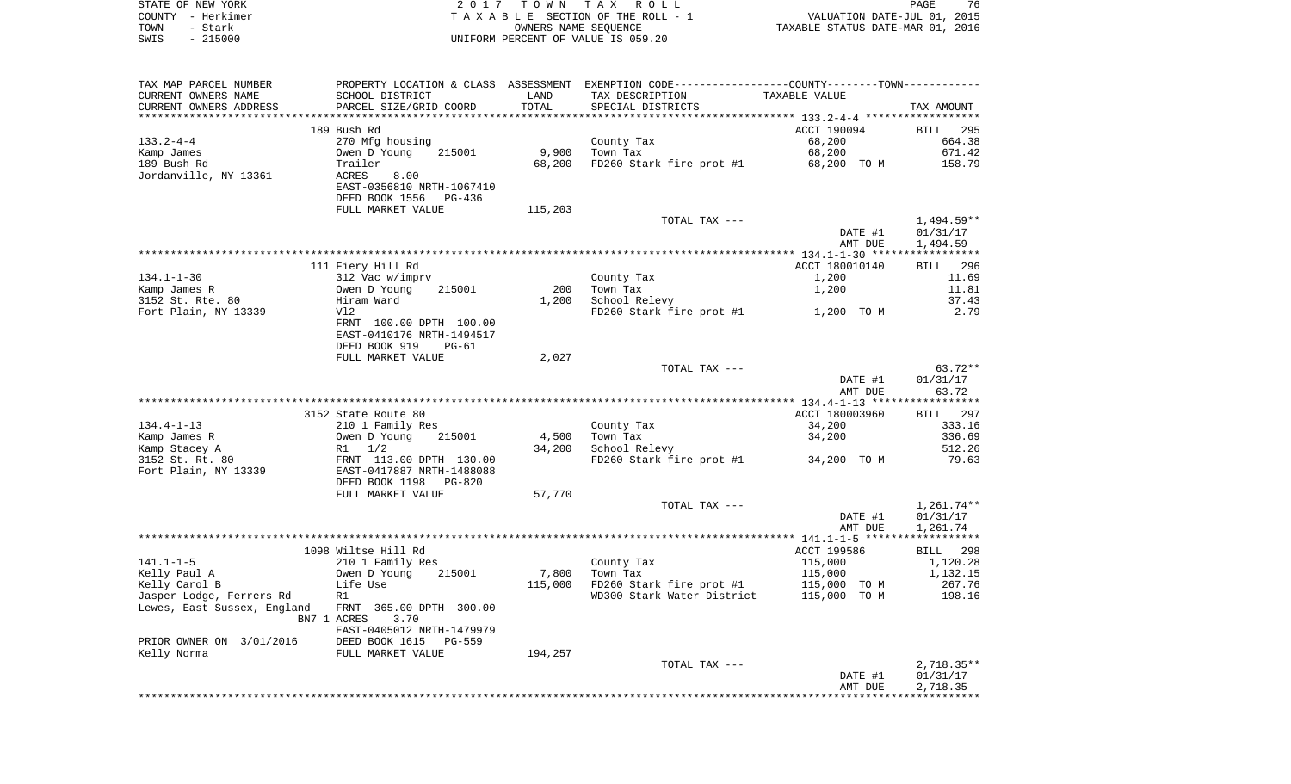|      | STATE OF NEW YORK | 2017 TOWN TAX ROLL                 | PAGE                             | 76 |
|------|-------------------|------------------------------------|----------------------------------|----|
|      | COUNTY - Herkimer | TAXABLE SECTION OF THE ROLL - 1    | VALUATION DATE-JUL 01, 2015      |    |
| TOWN | - Stark           | OWNERS NAME SEOUENCE               | TAXABLE STATUS DATE-MAR 01, 2016 |    |
| SWIS | $-215000$         | UNIFORM PERCENT OF VALUE IS 059.20 |                                  |    |

| TAX MAP PARCEL NUMBER       |                              |         | PROPERTY LOCATION & CLASS ASSESSMENT EXEMPTION CODE----------------COUNTY-------TOWN---------- |                |                          |
|-----------------------------|------------------------------|---------|------------------------------------------------------------------------------------------------|----------------|--------------------------|
| CURRENT OWNERS NAME         | SCHOOL DISTRICT              | LAND    | TAX DESCRIPTION                                                                                | TAXABLE VALUE  |                          |
| CURRENT OWNERS ADDRESS      | PARCEL SIZE/GRID COORD       | TOTAL   | SPECIAL DISTRICTS                                                                              |                | TAX AMOUNT               |
|                             |                              |         |                                                                                                |                |                          |
|                             | 189 Bush Rd                  |         |                                                                                                | ACCT 190094    | BILL 295                 |
| $133.2 - 4 - 4$             | 270 Mfg housing              |         | County Tax                                                                                     | 68,200         | 664.38                   |
| Kamp James                  | Owen D Young<br>215001       | 9,900   | Town Tax                                                                                       | 68,200         | 671.42                   |
| 189 Bush Rd                 | Trailer                      | 68,200  | FD260 Stark fire prot #1                                                                       | 68,200 TO M    | 158.79                   |
| Jordanville, NY 13361       | ACRES<br>8.00                |         |                                                                                                |                |                          |
|                             | EAST-0356810 NRTH-1067410    |         |                                                                                                |                |                          |
|                             | DEED BOOK 1556<br>PG-436     |         |                                                                                                |                |                          |
|                             | FULL MARKET VALUE            | 115,203 |                                                                                                |                |                          |
|                             |                              |         | TOTAL TAX ---                                                                                  | DATE #1        | $1,494.59**$<br>01/31/17 |
|                             |                              |         |                                                                                                | AMT DUE        | 1,494.59                 |
|                             |                              |         |                                                                                                |                |                          |
|                             | 111 Fiery Hill Rd            |         |                                                                                                | ACCT 180010140 | BILL 296                 |
| $134.1 - 1 - 30$            | 312 Vac w/imprv              |         | County Tax                                                                                     | 1,200          | 11.69                    |
| Kamp James R                | Owen D Young<br>215001       | 200     | Town Tax                                                                                       | 1,200          | 11.81                    |
| 3152 St. Rte. 80            | Hiram Ward                   | 1,200   | School Relevy                                                                                  |                | 37.43                    |
| Fort Plain, NY 13339        | Vl2                          |         | FD260 Stark fire prot #1                                                                       | 1,200 TO M     | 2.79                     |
|                             | FRNT 100.00 DPTH 100.00      |         |                                                                                                |                |                          |
|                             | EAST-0410176 NRTH-1494517    |         |                                                                                                |                |                          |
|                             | DEED BOOK 919<br>$PG-61$     |         |                                                                                                |                |                          |
|                             | FULL MARKET VALUE            | 2,027   |                                                                                                |                |                          |
|                             |                              |         | TOTAL TAX ---                                                                                  |                | 63.72**                  |
|                             |                              |         |                                                                                                | DATE #1        | 01/31/17                 |
|                             |                              |         |                                                                                                | AMT DUE        | 63.72                    |
|                             |                              |         |                                                                                                |                |                          |
|                             | 3152 State Route 80          |         |                                                                                                | ACCT 180003960 | BILL 297                 |
| $134.4 - 1 - 13$            | 210 1 Family Res             |         | County Tax                                                                                     | 34,200         | 333.16                   |
| Kamp James R                | Owen D Young<br>215001       | 4,500   | Town Tax                                                                                       | 34,200         | 336.69                   |
| Kamp Stacey A               | $R1 \t1/2$                   | 34,200  | School Relevy                                                                                  |                | 512.26                   |
| 3152 St. Rt. 80             | FRNT 113.00 DPTH 130.00      |         | FD260 Stark fire prot #1                                                                       | 34,200 TO M    | 79.63                    |
| Fort Plain, NY 13339        | EAST-0417887 NRTH-1488088    |         |                                                                                                |                |                          |
|                             | DEED BOOK 1198<br>PG-820     |         |                                                                                                |                |                          |
|                             | FULL MARKET VALUE            | 57,770  |                                                                                                |                |                          |
|                             |                              |         | TOTAL TAX ---                                                                                  | DATE #1        | $1,261.74**$<br>01/31/17 |
|                             |                              |         |                                                                                                | AMT DUE        | 1,261.74                 |
|                             |                              |         |                                                                                                |                |                          |
|                             | 1098 Wiltse Hill Rd          |         |                                                                                                | ACCT 199586    | BILL 298                 |
| $141.1 - 1 - 5$             | 210 1 Family Res             |         | County Tax                                                                                     | 115,000        | 1,120.28                 |
| Kelly Paul A                | Owen D Young<br>215001       | 7,800   | Town Tax                                                                                       | 115,000        | 1,132.15                 |
| Kelly Carol B               | Life Use                     | 115,000 | FD260 Stark fire prot #1 115,000 TO M                                                          |                | 267.76                   |
| Jasper Lodge, Ferrers Rd    | R1                           |         | WD300 Stark Water District                                                                     | 115,000 TO M   | 198.16                   |
| Lewes, East Sussex, England | FRNT 365.00 DPTH 300.00      |         |                                                                                                |                |                          |
|                             | BN7 1 ACRES<br>3.70          |         |                                                                                                |                |                          |
|                             | EAST-0405012 NRTH-1479979    |         |                                                                                                |                |                          |
| PRIOR OWNER ON 3/01/2016    | DEED BOOK 1615<br>$PG - 559$ |         |                                                                                                |                |                          |
| Kelly Norma                 | FULL MARKET VALUE            | 194,257 |                                                                                                |                |                          |
|                             |                              |         | TOTAL TAX ---                                                                                  |                | $2,718.35**$             |
|                             |                              |         |                                                                                                | DATE #1        | 01/31/17                 |
|                             |                              |         |                                                                                                | AMT DUE        | 2,718.35                 |
|                             |                              |         |                                                                                                |                |                          |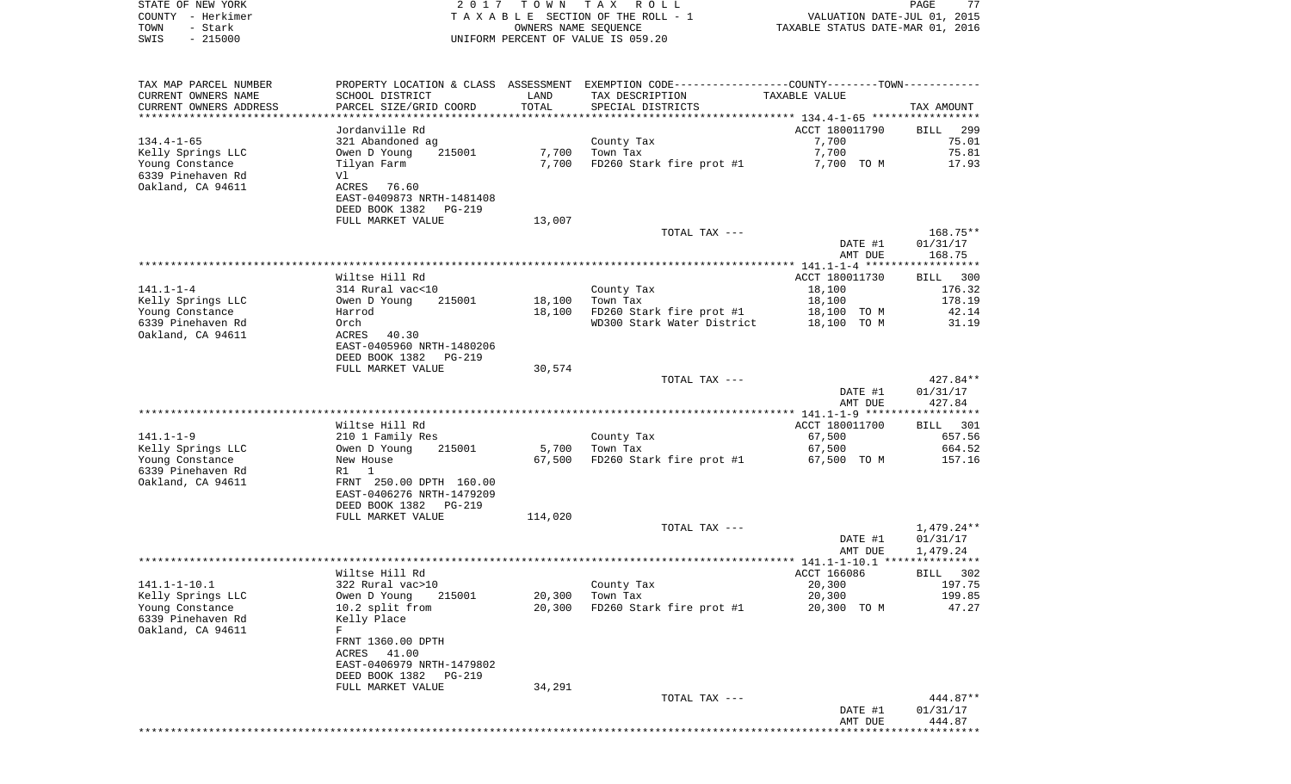| STATE OF NEW YORK                            |                                                      |         | 2017 TOWN TAX ROLL                                                                            |                                  | PAGE<br>77       |
|----------------------------------------------|------------------------------------------------------|---------|-----------------------------------------------------------------------------------------------|----------------------------------|------------------|
| COUNTY - Herkimer                            |                                                      |         | TAXABLE SECTION OF THE ROLL - 1                                                               | VALUATION DATE-JUL 01, 2015      |                  |
| TOWN<br>- Stark<br>$-215000$                 |                                                      |         | OWNERS NAME SEQUENCE                                                                          | TAXABLE STATUS DATE-MAR 01, 2016 |                  |
| SWIS                                         |                                                      |         | UNIFORM PERCENT OF VALUE IS 059.20                                                            |                                  |                  |
|                                              |                                                      |         |                                                                                               |                                  |                  |
|                                              |                                                      |         | PROPERTY LOCATION & CLASS ASSESSMENT EXEMPTION CODE---------------COUNTY-------TOWN---------- |                                  |                  |
| TAX MAP PARCEL NUMBER<br>CURRENT OWNERS NAME | SCHOOL DISTRICT                                      | LAND    | TAX DESCRIPTION                                                                               | TAXABLE VALUE                    |                  |
| CURRENT OWNERS ADDRESS                       | PARCEL SIZE/GRID COORD                               | TOTAL   | SPECIAL DISTRICTS                                                                             |                                  | TAX AMOUNT       |
|                                              |                                                      |         |                                                                                               |                                  |                  |
|                                              | Jordanville Rd                                       |         |                                                                                               | ACCT 180011790                   | 299<br>BILL      |
| $134.4 - 1 - 65$                             | 321 Abandoned ag                                     |         | County Tax                                                                                    | 7,700                            | 75.01            |
| Kelly Springs LLC                            | 215001<br>Owen D Young                               | 7,700   | Town Tax                                                                                      | 7,700                            | 75.81            |
| Young Constance                              | Tilyan Farm                                          | 7,700   | FD260 Stark fire prot #1                                                                      | 7,700 TO M                       | 17.93            |
| 6339 Pinehaven Rd                            | Vl                                                   |         |                                                                                               |                                  |                  |
| Oakland, CA 94611                            | ACRES<br>76.60                                       |         |                                                                                               |                                  |                  |
|                                              | EAST-0409873 NRTH-1481408                            |         |                                                                                               |                                  |                  |
|                                              | DEED BOOK 1382<br>PG-219                             |         |                                                                                               |                                  |                  |
|                                              | FULL MARKET VALUE                                    | 13,007  |                                                                                               |                                  |                  |
|                                              |                                                      |         | TOTAL TAX ---                                                                                 |                                  | 168.75**         |
|                                              |                                                      |         |                                                                                               | DATE #1                          | 01/31/17         |
|                                              |                                                      |         |                                                                                               | AMT DUE                          | 168.75           |
|                                              |                                                      |         |                                                                                               |                                  |                  |
|                                              | Wiltse Hill Rd                                       |         |                                                                                               | ACCT 180011730                   | BILL 300         |
| 141.1-1-4<br>Kelly Springs LLC               | 314 Rural vac<10<br>215001<br>Owen D Young           | 18,100  | County Tax<br>Town Tax                                                                        | 18,100<br>18,100                 | 176.32<br>178.19 |
| Young Constance                              | Harrod                                               | 18,100  | FD260 Stark fire prot #1                                                                      | 18,100 TO M                      | 42.14            |
| 6339 Pinehaven Rd                            | Orch                                                 |         | WD300 Stark Water District                                                                    | 18,100 TO M                      | 31.19            |
| Oakland, CA 94611                            | 40.30<br>ACRES                                       |         |                                                                                               |                                  |                  |
|                                              | EAST-0405960 NRTH-1480206                            |         |                                                                                               |                                  |                  |
|                                              | DEED BOOK 1382<br>PG-219                             |         |                                                                                               |                                  |                  |
|                                              | FULL MARKET VALUE                                    | 30,574  |                                                                                               |                                  |                  |
|                                              |                                                      |         | TOTAL TAX ---                                                                                 |                                  | 427.84**         |
|                                              |                                                      |         |                                                                                               | DATE #1                          | 01/31/17         |
|                                              |                                                      |         |                                                                                               | AMT DUE                          | 427.84           |
|                                              |                                                      |         |                                                                                               |                                  |                  |
|                                              | Wiltse Hill Rd                                       |         |                                                                                               | ACCT 180011700                   | BILL 301         |
| 141.1-1-9                                    | 210 1 Family Res                                     |         | County Tax                                                                                    | 67,500                           | 657.56           |
| Kelly Springs LLC                            | 215001<br>Owen D Young                               | 5,700   | Town Tax                                                                                      | 67,500                           | 664.52           |
| Young Constance                              | New House                                            | 67,500  | FD260 Stark fire prot #1                                                                      | 67,500 TO M                      | 157.16           |
| 6339 Pinehaven Rd                            | R1 1                                                 |         |                                                                                               |                                  |                  |
| Oakland, CA 94611                            | FRNT 250.00 DPTH 160.00<br>EAST-0406276 NRTH-1479209 |         |                                                                                               |                                  |                  |
|                                              | DEED BOOK 1382<br>PG-219                             |         |                                                                                               |                                  |                  |
|                                              | FULL MARKET VALUE                                    | 114,020 |                                                                                               |                                  |                  |
|                                              |                                                      |         | TOTAL TAX ---                                                                                 |                                  | 1,479.24**       |
|                                              |                                                      |         |                                                                                               | DATE #1                          | 01/31/17         |
|                                              |                                                      |         |                                                                                               | AMT DUE                          | 1,479.24         |
|                                              |                                                      |         |                                                                                               |                                  |                  |
|                                              | Wiltse Hill Rd                                       |         |                                                                                               | ACCT 166086                      | BILL 302         |
| 141.1-1-10.1                                 | 322 Rural vac>10                                     |         | County Tax                                                                                    | 20,300                           | 197.75           |
| Kelly Springs LLC                            | Owen D Young<br>215001                               | 20,300  | Town Tax                                                                                      | 20,300                           | 199.85           |
| Young Constance                              | 10.2 split from                                      | 20,300  | FD260 Stark fire prot #1                                                                      | 20,300 TO M                      | 47.27            |
| 6339 Pinehaven Rd                            | Kelly Place                                          |         |                                                                                               |                                  |                  |
| Oakland, CA 94611                            | F                                                    |         |                                                                                               |                                  |                  |
|                                              | FRNT 1360.00 DPTH                                    |         |                                                                                               |                                  |                  |
|                                              | ACRES 41.00                                          |         |                                                                                               |                                  |                  |
|                                              | EAST-0406979 NRTH-1479802                            |         |                                                                                               |                                  |                  |
|                                              | DEED BOOK 1382<br>PG-219<br>FULL MARKET VALUE        | 34,291  |                                                                                               |                                  |                  |
|                                              |                                                      |         | TOTAL TAX ---                                                                                 |                                  | 444.87**         |
|                                              |                                                      |         |                                                                                               | DATE #1                          | 01/31/17         |
|                                              |                                                      |         |                                                                                               | AMT DUE                          | 444.87           |
|                                              |                                                      |         |                                                                                               |                                  |                  |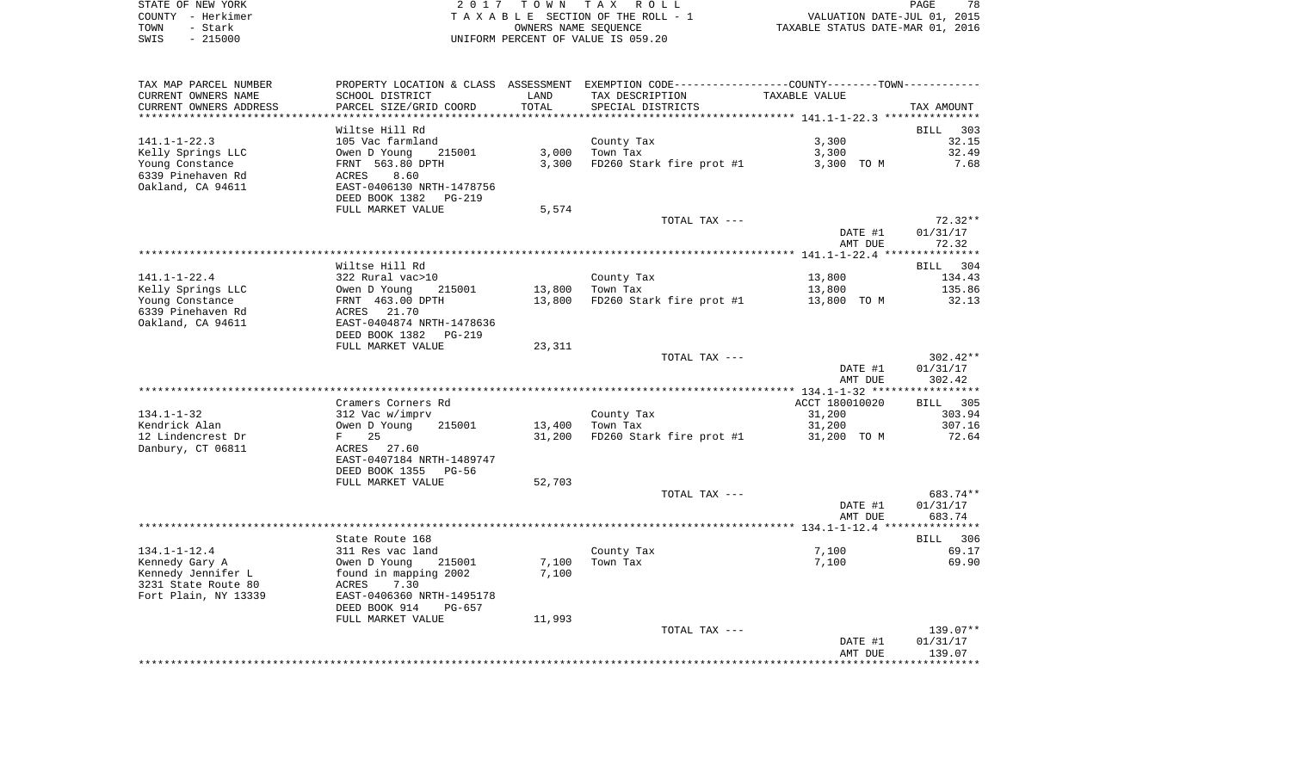|      | STATE OF NEW YORK | 2017 TOWN TAX ROLL                 | 78<br>PAGE                       |
|------|-------------------|------------------------------------|----------------------------------|
|      | COUNTY - Herkimer | TAXABLE SECTION OF THE ROLL - 1    | VALUATION DATE-JUL 01, 2015      |
| TOWN | - Stark           | OWNERS NAME SEOUENCE               | TAXABLE STATUS DATE-MAR 01, 2016 |
| SWIS | - 215000          | UNIFORM PERCENT OF VALUE IS 059.20 |                                  |

| TAX MAP PARCEL NUMBER  | PROPERTY LOCATION & CLASS | ASSESSMENT | EXEMPTION CODE-----------------COUNTY-------TOWN----------- |                |            |
|------------------------|---------------------------|------------|-------------------------------------------------------------|----------------|------------|
| CURRENT OWNERS NAME    | SCHOOL DISTRICT           | LAND       | TAX DESCRIPTION                                             | TAXABLE VALUE  |            |
| CURRENT OWNERS ADDRESS | PARCEL SIZE/GRID COORD    | TOTAL      | SPECIAL DISTRICTS                                           |                | TAX AMOUNT |
|                        |                           |            |                                                             |                |            |
|                        | Wiltse Hill Rd            |            |                                                             |                | BILL 303   |
| $141.1 - 1 - 22.3$     | 105 Vac farmland          |            | County Tax                                                  | 3,300          | 32.15      |
| Kelly Springs LLC      | Owen D Young<br>215001    | 3,000      | Town Tax                                                    | 3,300          | 32.49      |
|                        | FRNT 563.80 DPTH          | 3,300      |                                                             | 3,300 TO M     | 7.68       |
| Young Constance        |                           |            | FD260 Stark fire prot #1                                    |                |            |
| 6339 Pinehaven Rd      | 8.60<br>ACRES             |            |                                                             |                |            |
| Oakland, CA 94611      | EAST-0406130 NRTH-1478756 |            |                                                             |                |            |
|                        | DEED BOOK 1382<br>PG-219  |            |                                                             |                |            |
|                        | FULL MARKET VALUE         | 5,574      |                                                             |                |            |
|                        |                           |            | TOTAL TAX ---                                               |                | $72.32**$  |
|                        |                           |            |                                                             | DATE #1        | 01/31/17   |
|                        |                           |            |                                                             | AMT DUE        | 72.32      |
|                        |                           |            |                                                             |                |            |
|                        | Wiltse Hill Rd            |            |                                                             |                | BILL 304   |
| $141.1 - 1 - 22.4$     | 322 Rural vac>10          |            | County Tax                                                  | 13,800         | 134.43     |
| Kelly Springs LLC      | Owen D Young<br>215001    | 13,800     | Town Tax                                                    | 13,800         | 135.86     |
| Young Constance        | FRNT 463.00 DPTH          | 13,800     | FD260 Stark fire prot #1                                    | 13,800 TO M    | 32.13      |
| 6339 Pinehaven Rd      | ACRES 21.70               |            |                                                             |                |            |
|                        | EAST-0404874 NRTH-1478636 |            |                                                             |                |            |
| Oakland, CA 94611      |                           |            |                                                             |                |            |
|                        | DEED BOOK 1382<br>PG-219  |            |                                                             |                |            |
|                        | FULL MARKET VALUE         | 23,311     |                                                             |                |            |
|                        |                           |            | TOTAL TAX ---                                               |                | $302.42**$ |
|                        |                           |            |                                                             | DATE #1        | 01/31/17   |
|                        |                           |            |                                                             | AMT DUE        | 302.42     |
|                        |                           |            |                                                             |                |            |
|                        | Cramers Corners Rd        |            |                                                             | ACCT 180010020 | BILL 305   |
| $134.1 - 1 - 32$       | 312 Vac w/imprv           |            | County Tax                                                  | 31,200         | 303.94     |
| Kendrick Alan          | Owen D Young<br>215001    | 13,400     | Town Tax                                                    | 31,200         | 307.16     |
| 12 Lindencrest Dr      | F<br>25                   | 31,200     | FD260 Stark fire prot #1                                    | 31,200 TO M    | 72.64      |
| Danbury, CT 06811      | ACRES 27.60               |            |                                                             |                |            |
|                        | EAST-0407184 NRTH-1489747 |            |                                                             |                |            |
|                        | DEED BOOK 1355<br>PG-56   |            |                                                             |                |            |
|                        | FULL MARKET VALUE         |            |                                                             |                |            |
|                        |                           | 52,703     |                                                             |                |            |
|                        |                           |            | TOTAL TAX ---                                               |                | 683.74**   |
|                        |                           |            |                                                             | DATE #1        | 01/31/17   |
|                        |                           |            |                                                             | AMT DUE        | 683.74     |
|                        |                           |            |                                                             |                |            |
|                        | State Route 168           |            |                                                             |                | BILL 306   |
| $134.1 - 1 - 12.4$     | 311 Res vac land          |            | County Tax                                                  | 7,100          | 69.17      |
| Kennedy Gary A         | Owen D Young<br>215001    | 7,100      | Town Tax                                                    | 7,100          | 69.90      |
| Kennedy Jennifer L     | found in mapping 2002     | 7,100      |                                                             |                |            |
| 3231 State Route 80    | ACRES<br>7.30             |            |                                                             |                |            |
| Fort Plain, NY 13339   | EAST-0406360 NRTH-1495178 |            |                                                             |                |            |
|                        | DEED BOOK 914<br>$PG-657$ |            |                                                             |                |            |
|                        | FULL MARKET VALUE         | 11,993     |                                                             |                |            |
|                        |                           |            | TOTAL TAX ---                                               |                | 139.07**   |
|                        |                           |            |                                                             |                |            |
|                        |                           |            |                                                             | DATE #1        | 01/31/17   |
|                        |                           |            |                                                             | AMT DUE        | 139.07     |
|                        |                           |            |                                                             |                |            |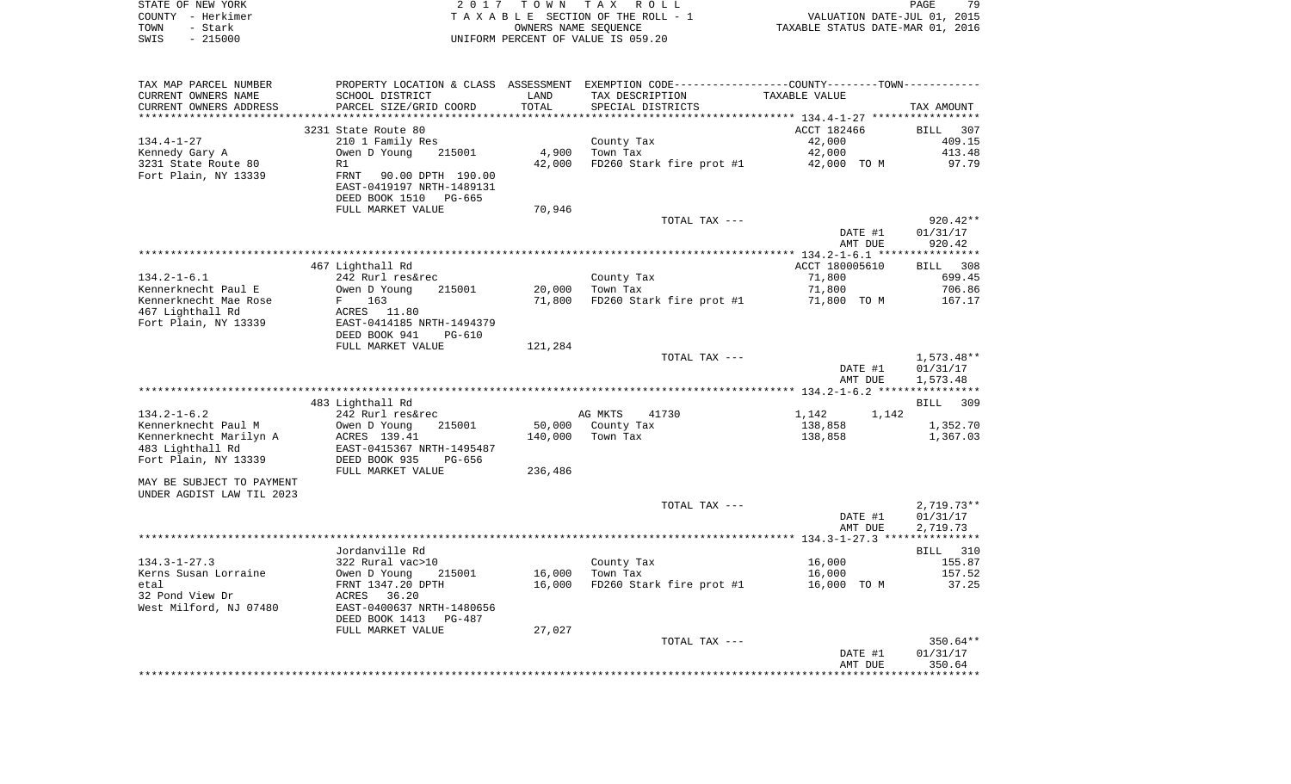|      | STATE OF NEW YORK | 2017 TOWN TAX ROLL                 | <b>PAGE</b>                      | 79 |
|------|-------------------|------------------------------------|----------------------------------|----|
|      | COUNTY - Herkimer | TAXABLE SECTION OF THE ROLL - 1    | VALUATION DATE-JUL 01, 2015      |    |
| TOWN | - Stark           | OWNERS NAME SEOUENCE               | TAXABLE STATUS DATE-MAR 01, 2016 |    |
| SWIS | - 215000          | UNIFORM PERCENT OF VALUE IS 059.20 |                                  |    |

| TAX MAP PARCEL NUMBER     |                           |         | PROPERTY LOCATION & CLASS ASSESSMENT EXEMPTION CODE----------------COUNTY--------TOWN----------- |                |              |
|---------------------------|---------------------------|---------|--------------------------------------------------------------------------------------------------|----------------|--------------|
| CURRENT OWNERS NAME       | SCHOOL DISTRICT           | LAND    | TAX DESCRIPTION                                                                                  | TAXABLE VALUE  |              |
| CURRENT OWNERS ADDRESS    | PARCEL SIZE/GRID COORD    | TOTAL   | SPECIAL DISTRICTS                                                                                |                | TAX AMOUNT   |
|                           |                           |         |                                                                                                  |                |              |
|                           | 3231 State Route 80       |         |                                                                                                  | ACCT 182466    | BILL 307     |
| $134.4 - 1 - 27$          | 210 1 Family Res          |         | County Tax                                                                                       | 42,000         | 409.15       |
| Kennedy Gary A            | Owen D Young<br>215001    | 4,900   | Town Tax                                                                                         | 42,000         | 413.48       |
| 3231 State Route 80       | R1                        | 42,000  | FD260 Stark fire prot #1 42,000 TO M                                                             |                | 97.79        |
| Fort Plain, NY 13339      | FRNT 90.00 DPTH 190.00    |         |                                                                                                  |                |              |
|                           | EAST-0419197 NRTH-1489131 |         |                                                                                                  |                |              |
|                           | DEED BOOK 1510<br>PG-665  |         |                                                                                                  |                |              |
|                           | FULL MARKET VALUE         | 70,946  |                                                                                                  |                |              |
|                           |                           |         | TOTAL TAX ---                                                                                    |                | $920.42**$   |
|                           |                           |         |                                                                                                  | DATE #1        | 01/31/17     |
|                           |                           |         |                                                                                                  | AMT DUE        | 920.42       |
|                           |                           |         |                                                                                                  |                |              |
|                           | 467 Lighthall Rd          |         |                                                                                                  | ACCT 180005610 | BILL 308     |
|                           |                           |         |                                                                                                  |                | 699.45       |
| $134.2 - 1 - 6.1$         | 242 Rurl res&rec          |         | County Tax                                                                                       | 71,800         |              |
| Kennerknecht Paul E       | Owen D Young<br>215001    | 20,000  | Town Tax                                                                                         | 71,800         | 706.86       |
| Kennerknecht Mae Rose     | F 163                     | 71,800  | FD260 Stark fire prot #1 71,800 TO M                                                             |                | 167.17       |
| 467 Lighthall Rd          | ACRES 11.80               |         |                                                                                                  |                |              |
| Fort Plain, NY 13339      | EAST-0414185 NRTH-1494379 |         |                                                                                                  |                |              |
|                           | DEED BOOK 941<br>PG-610   |         |                                                                                                  |                |              |
|                           | FULL MARKET VALUE         | 121,284 |                                                                                                  |                |              |
|                           |                           |         | TOTAL TAX ---                                                                                    |                | 1,573.48**   |
|                           |                           |         |                                                                                                  | DATE #1        | 01/31/17     |
|                           |                           |         |                                                                                                  | AMT DUE        | 1,573.48     |
|                           |                           |         |                                                                                                  |                |              |
|                           | 483 Lighthall Rd          |         |                                                                                                  |                | BILL 309     |
| $134.2 - 1 - 6.2$         | 242 Rurl res&rec          |         | AG MKTS<br>41730                                                                                 | 1,142 1,142    |              |
| Kennerknecht Paul M       | Owen D Young<br>215001    |         | 50,000 County Tax                                                                                | 138,858        | 1,352.70     |
| Kennerknecht Marilyn A    | ACRES 139.41              |         | 140,000 Town Tax                                                                                 | 138,858        | 1,367.03     |
| 483 Lighthall Rd          | EAST-0415367 NRTH-1495487 |         |                                                                                                  |                |              |
| Fort Plain, NY 13339      | DEED BOOK 935<br>PG-656   |         |                                                                                                  |                |              |
|                           | FULL MARKET VALUE         | 236,486 |                                                                                                  |                |              |
| MAY BE SUBJECT TO PAYMENT |                           |         |                                                                                                  |                |              |
| UNDER AGDIST LAW TIL 2023 |                           |         |                                                                                                  |                |              |
|                           |                           |         | TOTAL TAX ---                                                                                    |                | $2,719.73**$ |
|                           |                           |         |                                                                                                  | DATE #1        | 01/31/17     |
|                           |                           |         |                                                                                                  | AMT DUE        | 2,719.73     |
|                           |                           |         |                                                                                                  |                |              |
|                           | Jordanville Rd            |         |                                                                                                  |                | BILL 310     |
| $134.3 - 1 - 27.3$        | 322 Rural vac>10          |         | County Tax                                                                                       | 16,000         | 155.87       |
| Kerns Susan Lorraine      | Owen D Young<br>215001    | 16,000  | Town Tax                                                                                         | 16,000         | 157.52       |
| etal                      | FRNT 1347.20 DPTH         | 16,000  | FD260 Stark fire prot #1 16,000 TO M                                                             |                | 37.25        |
| 32 Pond View Dr           | 36.20<br>ACRES            |         |                                                                                                  |                |              |
| West Milford, NJ 07480    | EAST-0400637 NRTH-1480656 |         |                                                                                                  |                |              |
|                           | DEED BOOK 1413<br>PG-487  |         |                                                                                                  |                |              |
|                           | FULL MARKET VALUE         | 27,027  |                                                                                                  |                |              |
|                           |                           |         | TOTAL TAX ---                                                                                    |                | 350.64**     |
|                           |                           |         |                                                                                                  | DATE #1        | 01/31/17     |
|                           |                           |         |                                                                                                  | AMT DUE        | 350.64       |
|                           |                           |         |                                                                                                  |                |              |
|                           |                           |         |                                                                                                  |                |              |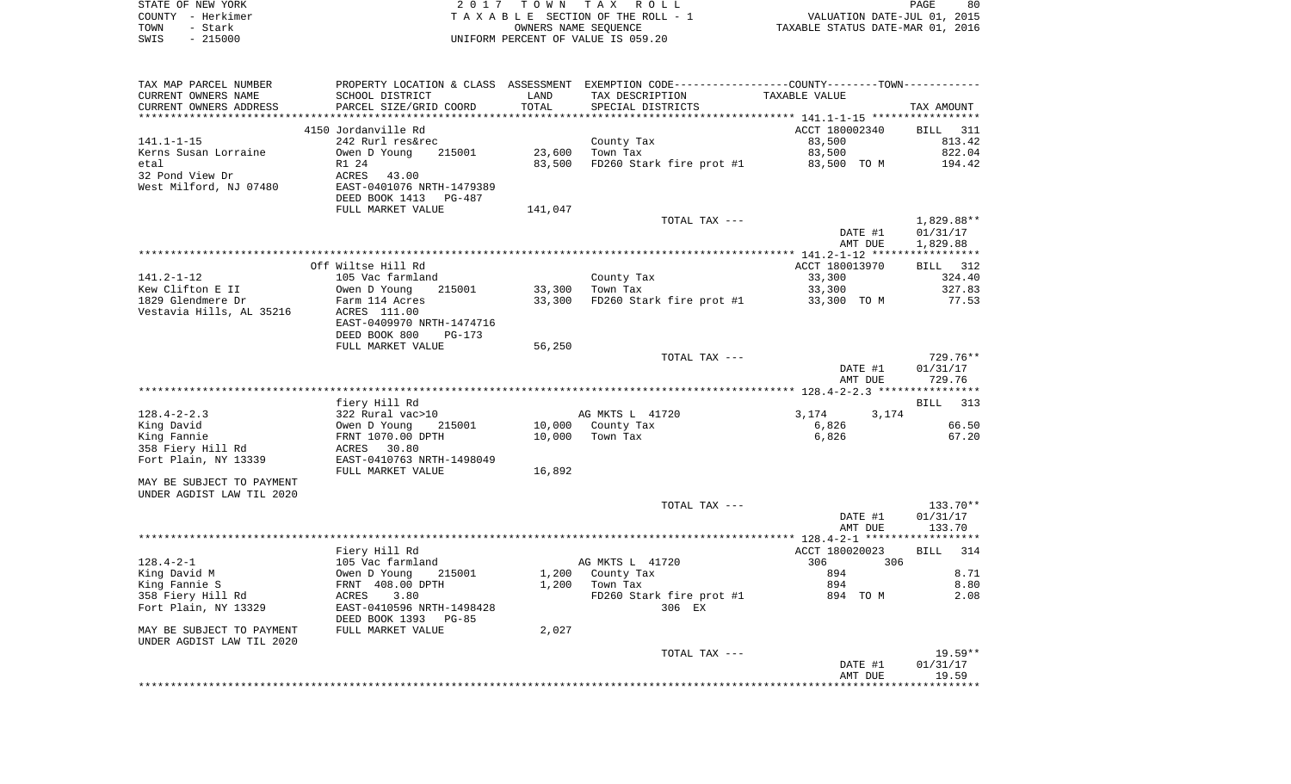| STATE OF NEW YORK | 2017 TOWN TAX ROLL                 |                                  | PAGE | 80 |
|-------------------|------------------------------------|----------------------------------|------|----|
| COUNTY - Herkimer | TAXABLE SECTION OF THE ROLL - 1    | VALUATION DATE-JUL 01, 2015      |      |    |
| TOWN<br>- Stark   | OWNERS NAME SEOUENCE               | TAXABLE STATUS DATE-MAR 01, 2016 |      |    |
| $-215000$<br>SWIS | UNIFORM PERCENT OF VALUE IS 059.20 |                                  |      |    |

| TAX MAP PARCEL NUMBER     | PROPERTY LOCATION & CLASS ASSESSMENT |         | EXEMPTION CODE-----------------COUNTY--------TOWN----------- |                |             |
|---------------------------|--------------------------------------|---------|--------------------------------------------------------------|----------------|-------------|
| CURRENT OWNERS NAME       | SCHOOL DISTRICT                      | LAND    | TAX DESCRIPTION                                              | TAXABLE VALUE  |             |
| CURRENT OWNERS ADDRESS    | PARCEL SIZE/GRID COORD               | TOTAL   | SPECIAL DISTRICTS                                            |                | TAX AMOUNT  |
|                           |                                      |         |                                                              |                |             |
|                           | 4150 Jordanville Rd                  |         |                                                              | ACCT 180002340 | BILL 311    |
| $141.1 - 1 - 15$          | 242 Rurl res&rec                     |         | County Tax                                                   | 83,500         | 813.42      |
| Kerns Susan Lorraine      | 215001<br>Owen D Young               | 23,600  | Town Tax                                                     | 83,500         | 822.04      |
| etal                      | R1 24                                | 83,500  | FD260 Stark fire prot #1                                     | 83,500 TO M    | 194.42      |
| 32 Pond View Dr           | ACRES<br>43.00                       |         |                                                              |                |             |
| West Milford, NJ 07480    | EAST-0401076 NRTH-1479389            |         |                                                              |                |             |
|                           | DEED BOOK 1413<br>PG-487             |         |                                                              |                |             |
|                           | FULL MARKET VALUE                    | 141,047 |                                                              |                |             |
|                           |                                      |         | TOTAL TAX ---                                                |                | 1,829.88**  |
|                           |                                      |         |                                                              | DATE #1        | 01/31/17    |
|                           |                                      |         |                                                              |                |             |
|                           |                                      |         |                                                              | AMT DUE        | 1,829.88    |
|                           |                                      |         |                                                              |                |             |
|                           | Off Wiltse Hill Rd                   |         |                                                              | ACCT 180013970 | BILL 312    |
| 141.2-1-12                | 105 Vac farmland                     |         | County Tax                                                   | 33,300         | 324.40      |
| Kew Clifton E II          | Owen D Young<br>215001               |         | 33,300 Town Tax                                              | 33,300         | 327.83      |
| 1829 Glendmere Dr         | Farm 114 Acres                       | 33,300  | FD260 Stark fire prot #1                                     | 33,300 TO M    | 77.53       |
| Vestavia Hills, AL 35216  | ACRES 111.00                         |         |                                                              |                |             |
|                           | EAST-0409970 NRTH-1474716            |         |                                                              |                |             |
|                           | DEED BOOK 800<br>PG-173              |         |                                                              |                |             |
|                           | FULL MARKET VALUE                    | 56,250  |                                                              |                |             |
|                           |                                      |         | TOTAL TAX ---                                                |                | 729.76**    |
|                           |                                      |         |                                                              | DATE #1        | 01/31/17    |
|                           |                                      |         |                                                              | AMT DUE        | 729.76      |
|                           |                                      |         |                                                              |                |             |
|                           | fiery Hill Rd                        |         |                                                              |                | BILL 313    |
| $128.4 - 2 - 2.3$         | 322 Rural vac>10                     |         | AG MKTS L 41720                                              | 3,174<br>3,174 |             |
| King David                | 215001<br>Owen D Young               |         | 10,000 County Tax                                            | 6,826          | 66.50       |
| King Fannie               | FRNT 1070.00 DPTH                    | 10,000  | Town Tax                                                     | 6,826          | 67.20       |
| 358 Fiery Hill Rd         | ACRES 30.80                          |         |                                                              |                |             |
| Fort Plain, NY 13339      | EAST-0410763 NRTH-1498049            |         |                                                              |                |             |
|                           | FULL MARKET VALUE                    | 16,892  |                                                              |                |             |
| MAY BE SUBJECT TO PAYMENT |                                      |         |                                                              |                |             |
| UNDER AGDIST LAW TIL 2020 |                                      |         |                                                              |                |             |
|                           |                                      |         | TOTAL TAX ---                                                |                | 133.70**    |
|                           |                                      |         |                                                              | DATE #1        | 01/31/17    |
|                           |                                      |         |                                                              | AMT DUE        | 133.70      |
|                           |                                      |         |                                                              |                |             |
|                           | Fiery Hill Rd                        |         |                                                              | ACCT 180020023 | 314<br>BILL |
| $128.4 - 2 - 1$           | 105 Vac farmland                     |         | AG MKTS L 41720                                              | 306 700<br>306 |             |
| King David M              | Owen D Young<br>215001               |         | 1,200 County Tax                                             | 894            | 8.71        |
| King Fannie S             | FRNT 408.00 DPTH                     | 1,200   | Town Tax                                                     | 894            | 8.80        |
| 358 Fiery Hill Rd         | ACRES<br>3.80                        |         | FD260 Stark fire prot #1                                     | 894 TOM        | 2.08        |
| Fort Plain, NY 13329      | EAST-0410596 NRTH-1498428            |         | 306 EX                                                       |                |             |
|                           | DEED BOOK 1393<br>PG-85              |         |                                                              |                |             |
|                           |                                      |         |                                                              |                |             |
|                           |                                      |         |                                                              |                |             |
| MAY BE SUBJECT TO PAYMENT | FULL MARKET VALUE                    | 2,027   |                                                              |                |             |
|                           |                                      |         |                                                              |                |             |
| UNDER AGDIST LAW TIL 2020 |                                      |         | TOTAL TAX ---                                                |                | $19.59**$   |
|                           |                                      |         |                                                              | DATE #1        | 01/31/17    |
|                           |                                      |         |                                                              | AMT DUE        | 19.59       |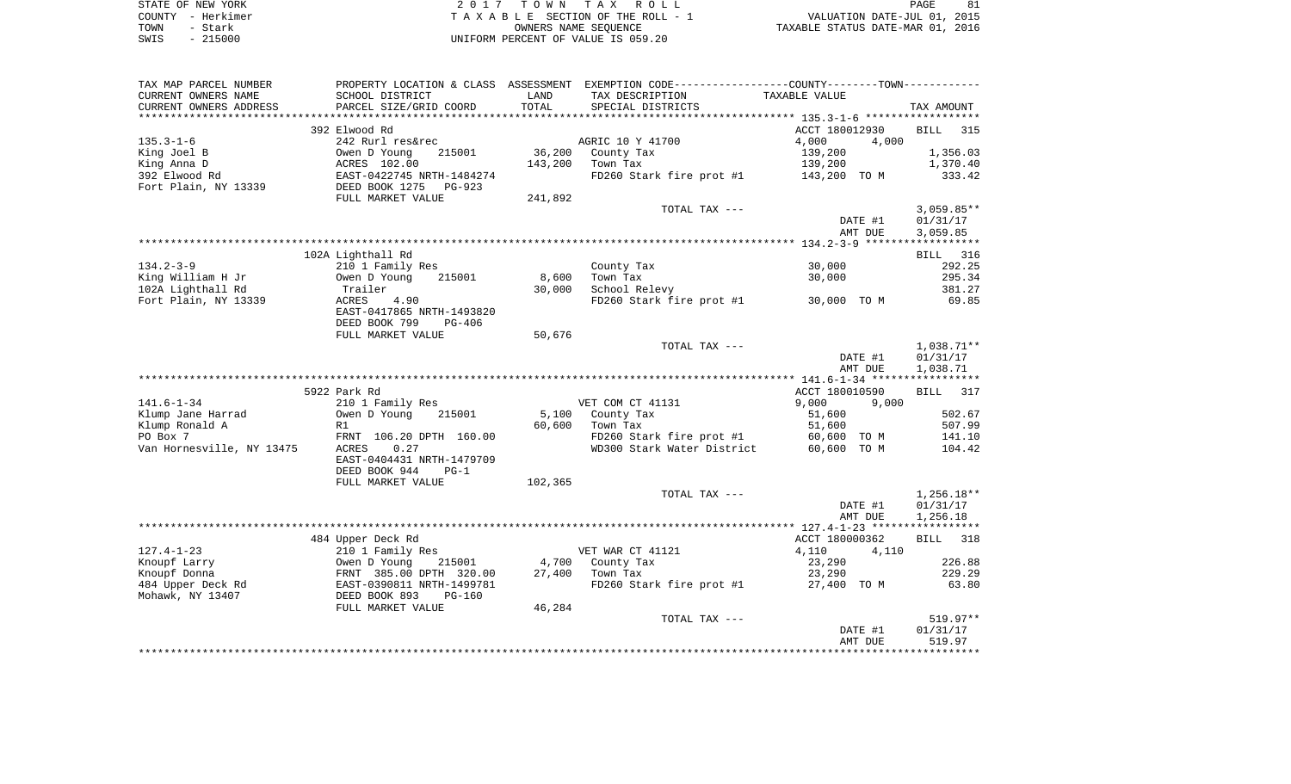| STATE OF NEW YORK | 2017 TOWN TAX ROLL                 | 81<br>PAGE                       |
|-------------------|------------------------------------|----------------------------------|
| COUNTY - Herkimer | TAXABLE SECTION OF THE ROLL - 1    | VALUATION DATE-JUL 01, 2015      |
| TOWN<br>- Stark   | OWNERS NAME SEOUENCE               | TAXABLE STATUS DATE-MAR 01, 2016 |
| $-215000$<br>SWIS | UNIFORM PERCENT OF VALUE IS 059.20 |                                  |

| TAX MAP PARCEL NUMBER                 |                                                                                           |         | PROPERTY LOCATION & CLASS ASSESSMENT EXEMPTION CODE---------------COUNTY--------TOWN---------- |                |                 |
|---------------------------------------|-------------------------------------------------------------------------------------------|---------|------------------------------------------------------------------------------------------------|----------------|-----------------|
| CURRENT OWNERS NAME                   | SCHOOL DISTRICT                                                                           | LAND    | TAX DESCRIPTION                                                                                | TAXABLE VALUE  |                 |
| CURRENT OWNERS ADDRESS                | PARCEL SIZE/GRID COORD                                                                    | TOTAL   | SPECIAL DISTRICTS                                                                              |                | TAX AMOUNT      |
|                                       |                                                                                           |         |                                                                                                |                |                 |
|                                       | 392 Elwood Rd                                                                             |         |                                                                                                | ACCT 180012930 | <b>BILL</b> 315 |
| 135.3-1-6                             | 242 Rurl res&rec                                                                          |         | AGRIC 10 Y 41700                                                                               | 4,000<br>4,000 |                 |
| King Joel B                           | Owen D Young 215001<br>ACRES 102.00<br>EAST-0422745 NRTH-1484274<br>DEED BOOK 1275 PG-923 |         | 36,200 County Tax                                                                              | 139,200        | 1,356.03        |
| King Anna D                           |                                                                                           | 143,200 | Town Tax                                                                                       | 139,200        | 1,370.40        |
| 392 Elwood Rd                         |                                                                                           |         | FD260 Stark fire prot #1 143,200 TO M                                                          |                | 333.42          |
| Fort Plain, NY 13339                  |                                                                                           |         |                                                                                                |                |                 |
|                                       | FULL MARKET VALUE                                                                         | 241,892 |                                                                                                |                |                 |
|                                       |                                                                                           |         | TOTAL TAX ---                                                                                  |                | $3,059.85**$    |
|                                       |                                                                                           |         |                                                                                                | DATE #1        | 01/31/17        |
|                                       |                                                                                           |         |                                                                                                | AMT DUE        | 3,059.85        |
|                                       |                                                                                           |         |                                                                                                |                |                 |
|                                       | 102A Lighthall Rd                                                                         |         |                                                                                                |                | BILL 316        |
| $134.2 - 3 - 9$                       | 210 1 Family Res                                                                          |         | County Tax                                                                                     | 30,000         | 292.25          |
| King William H Jr                     | Owen D Young<br>215001                                                                    | 8,600   | Town Tax                                                                                       | 30,000         | 295.34          |
| 102A Lighthall Rd                     | Trailer                                                                                   | 30,000  | School Relevy                                                                                  |                | 381.27          |
| Fort Plain, NY 13339                  | 4.90<br>ACRES                                                                             |         | FD260 Stark fire prot #1 30,000 TO M                                                           |                | 69.85           |
|                                       | EAST-0417865 NRTH-1493820                                                                 |         |                                                                                                |                |                 |
|                                       | DEED BOOK 799<br>PG-406                                                                   |         |                                                                                                |                |                 |
|                                       | FULL MARKET VALUE                                                                         | 50,676  |                                                                                                |                |                 |
|                                       |                                                                                           |         | TOTAL TAX ---                                                                                  |                | 1,038.71**      |
|                                       |                                                                                           |         |                                                                                                | DATE #1        | 01/31/17        |
|                                       |                                                                                           |         |                                                                                                | AMT DUE        | 1,038.71        |
|                                       |                                                                                           |         |                                                                                                |                |                 |
|                                       | 5922 Park Rd                                                                              |         |                                                                                                | ACCT 180010590 | BILL 317        |
| 141.6–1–34                            | 210 1 Family Res                                                                          |         | VET COM CT 41131                                                                               | 9,000<br>9,000 |                 |
| Klump Jane Harrad                     | Owen D Young 215001                                                                       |         | 5,100 County Tax                                                                               | 51,600         | 502.67          |
| Klump Ronald A                        | R1                                                                                        | 60,600  | Town Tax                                                                                       | 51,600         | 507.99          |
| PO Box 7                              | FRNT 106.20 DPTH 160.00                                                                   |         | FD260 Stark fire prot #1 60,600 TO M                                                           |                | 141.10          |
| Van Hornesville, NY 13475             | ACRES<br>0.27                                                                             |         | WD300 Stark Water District                                                                     | 60,600 TO M    | 104.42          |
|                                       | EAST-0404431 NRTH-1479709                                                                 |         |                                                                                                |                |                 |
|                                       | DEED BOOK 944<br>$PG-1$                                                                   |         |                                                                                                |                |                 |
|                                       | FULL MARKET VALUE                                                                         | 102,365 |                                                                                                |                |                 |
|                                       |                                                                                           |         | TOTAL TAX ---                                                                                  |                | $1,256.18**$    |
|                                       |                                                                                           |         |                                                                                                | DATE #1        | 01/31/17        |
|                                       |                                                                                           |         |                                                                                                | AMT DUE        | 1,256.18        |
|                                       |                                                                                           |         |                                                                                                |                |                 |
|                                       | 484 Upper Deck Rd                                                                         |         |                                                                                                | ACCT 180000362 | BILL 318        |
| 127.4-1-23                            | 210 1 Family Res                                                                          |         | VET WAR CT 41121                                                                               | 4,110<br>4,110 |                 |
| Knoupf Larry                          | Owen D Young 215001<br>FRNT 385.00 DPTH 320.00<br>EAST-0390811 NRTH-1499781               |         | 4,700 County Tax                                                                               | 23,290         | 226.88          |
| Knoupf Donna                          |                                                                                           |         | 27,400 Town Tax                                                                                | 23,290         | 229.29          |
| 484 Upper Deck Rd<br>Mohawk, NY 13407 |                                                                                           |         | FD260 Stark fire prot #1                                                                       | 27,400 TO M    | 63.80           |
|                                       | DEED BOOK 893<br>PG-160                                                                   |         |                                                                                                |                |                 |
|                                       | FULL MARKET VALUE                                                                         | 46,284  |                                                                                                |                |                 |
|                                       |                                                                                           |         | TOTAL TAX ---                                                                                  |                | $519.97**$      |
|                                       |                                                                                           |         |                                                                                                | DATE #1        | 01/31/17        |
|                                       |                                                                                           |         |                                                                                                | AMT DUE        | 519.97          |
|                                       |                                                                                           |         |                                                                                                |                |                 |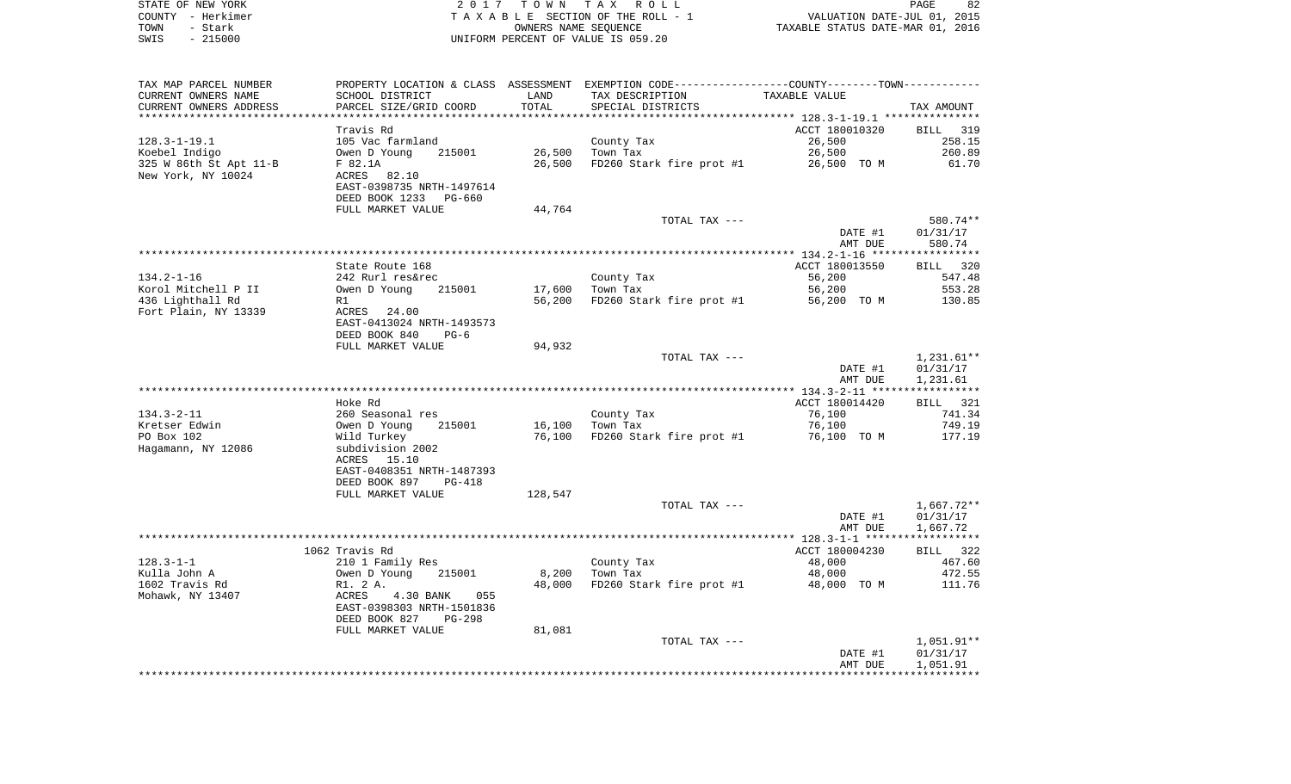| STATE OF NEW YORK | 2017 TOWN TAX ROLL                 | 82<br>PAGE                       |
|-------------------|------------------------------------|----------------------------------|
| COUNTY - Herkimer | TAXABLE SECTION OF THE ROLL - 1    | VALUATION DATE-JUL 01, 2015      |
| TOWN<br>- Stark   | OWNERS NAME SEOUENCE               | TAXABLE STATUS DATE-MAR 01, 2016 |
| $-215000$<br>SWIS | UNIFORM PERCENT OF VALUE IS 059.20 |                                  |

 $\begin{array}{c} 82 \\ 2015 \\ 2016 \end{array}$ 

| TAX MAP PARCEL NUMBER<br>CURRENT OWNERS NAME | SCHOOL DISTRICT                                     | LAND    | PROPERTY LOCATION & CLASS ASSESSMENT EXEMPTION CODE---------------COUNTY-------TOWN----------<br>TAX DESCRIPTION | TAXABLE VALUE  |                      |
|----------------------------------------------|-----------------------------------------------------|---------|------------------------------------------------------------------------------------------------------------------|----------------|----------------------|
| CURRENT OWNERS ADDRESS                       | PARCEL SIZE/GRID COORD                              | TOTAL   | SPECIAL DISTRICTS                                                                                                |                | TAX AMOUNT           |
|                                              |                                                     |         |                                                                                                                  |                |                      |
|                                              | Travis Rd                                           |         |                                                                                                                  | ACCT 180010320 | BILL 319             |
| 128.3-1-19.1                                 | 105 Vac farmland                                    |         | County Tax                                                                                                       | 26,500         | 258.15               |
| Koebel Indigo                                | 215001<br>Owen D Young                              | 26,500  | Town Tax                                                                                                         | 26,500         | 260.89               |
| 325 W 86th St Apt 11-B                       | F 82.1A                                             | 26,500  | FD260 Stark fire prot #1                                                                                         | 26,500 TO M    | 61.70                |
| New York, NY 10024                           | ACRES 82.10                                         |         |                                                                                                                  |                |                      |
|                                              | EAST-0398735 NRTH-1497614                           |         |                                                                                                                  |                |                      |
|                                              | DEED BOOK 1233 PG-660<br>FULL MARKET VALUE          |         |                                                                                                                  |                |                      |
|                                              |                                                     | 44,764  |                                                                                                                  |                |                      |
|                                              |                                                     |         | TOTAL TAX ---                                                                                                    | DATE #1        | 580.74**<br>01/31/17 |
|                                              |                                                     |         |                                                                                                                  | AMT DUE        | 580.74               |
|                                              |                                                     |         |                                                                                                                  |                |                      |
|                                              | State Route 168                                     |         |                                                                                                                  | ACCT 180013550 | BILL 320             |
| $134.2 - 1 - 16$                             | 242 Rurl res&rec                                    |         | County Tax                                                                                                       | 56,200         | 547.48               |
| Korol Mitchell P II                          | 215001<br>Owen D Young                              | 17,600  | Town Tax                                                                                                         | 56,200         | 553.28               |
| 436 Lighthall Rd                             | R1                                                  | 56,200  | FD260 Stark fire prot #1                                                                                         | 56,200 TO M    | 130.85               |
| Fort Plain, NY 13339                         | ACRES 24.00                                         |         |                                                                                                                  |                |                      |
|                                              | EAST-0413024 NRTH-1493573                           |         |                                                                                                                  |                |                      |
|                                              | DEED BOOK 840<br>$PG-6$                             |         |                                                                                                                  |                |                      |
|                                              | FULL MARKET VALUE                                   | 94,932  |                                                                                                                  |                |                      |
|                                              |                                                     |         | TOTAL TAX ---                                                                                                    |                | 1,231.61**           |
|                                              |                                                     |         |                                                                                                                  | DATE #1        | 01/31/17             |
|                                              |                                                     |         |                                                                                                                  | AMT DUE        | 1,231.61             |
|                                              |                                                     |         |                                                                                                                  |                |                      |
|                                              | Hoke Rd                                             |         |                                                                                                                  | ACCT 180014420 | BILL 321             |
| $134.3 - 2 - 11$                             | 260 Seasonal res                                    |         | County Tax                                                                                                       | 76,100         | 741.34               |
| Kretser Edwin                                | Owen D Young<br>215001                              | 16,100  | Town Tax                                                                                                         | 76,100         | 749.19               |
| PO Box 102                                   | Wild Turkey                                         | 76,100  | FD260 Stark fire prot #1                                                                                         | 76,100 TO M    | 177.19               |
| Hagamann, NY 12086                           | subdivision 2002                                    |         |                                                                                                                  |                |                      |
|                                              | ACRES 15.10                                         |         |                                                                                                                  |                |                      |
|                                              | EAST-0408351 NRTH-1487393                           |         |                                                                                                                  |                |                      |
|                                              | DEED BOOK 897<br>PG-418                             |         |                                                                                                                  |                |                      |
|                                              | FULL MARKET VALUE                                   | 128,547 |                                                                                                                  |                |                      |
|                                              |                                                     |         | TOTAL TAX ---                                                                                                    |                | 1,667.72**           |
|                                              |                                                     |         |                                                                                                                  | DATE #1        | 01/31/17             |
|                                              |                                                     |         |                                                                                                                  | AMT DUE        | 1,667.72             |
|                                              |                                                     |         |                                                                                                                  |                |                      |
|                                              | 1062 Travis Rd                                      |         |                                                                                                                  | ACCT 180004230 | BILL 322             |
| $128.3 - 1 - 1$                              | 210 1 Family Res                                    |         | County Tax                                                                                                       | 48,000         | 467.60               |
| Kulla John A                                 | Owen D Young<br>215001                              | 8,200   | Town Tax                                                                                                         | 48,000         | 472.55               |
| 1602 Travis Rd                               | R1. 2 A.                                            | 48,000  | FD260 Stark fire prot #1                                                                                         | 48,000 TO M    | 111.76               |
| Mohawk, NY 13407                             | ACRES 4.30 BANK<br>055<br>EAST-0398303 NRTH-1501836 |         |                                                                                                                  |                |                      |
|                                              | DEED BOOK 827<br>PG-298                             |         |                                                                                                                  |                |                      |
|                                              | FULL MARKET VALUE                                   | 81,081  |                                                                                                                  |                |                      |
|                                              |                                                     |         | TOTAL TAX ---                                                                                                    |                | 1,051.91**           |
|                                              |                                                     |         |                                                                                                                  | DATE #1        | 01/31/17             |
|                                              |                                                     |         |                                                                                                                  | AMT DUE        | 1,051.91             |
|                                              |                                                     |         |                                                                                                                  |                |                      |
|                                              |                                                     |         |                                                                                                                  |                |                      |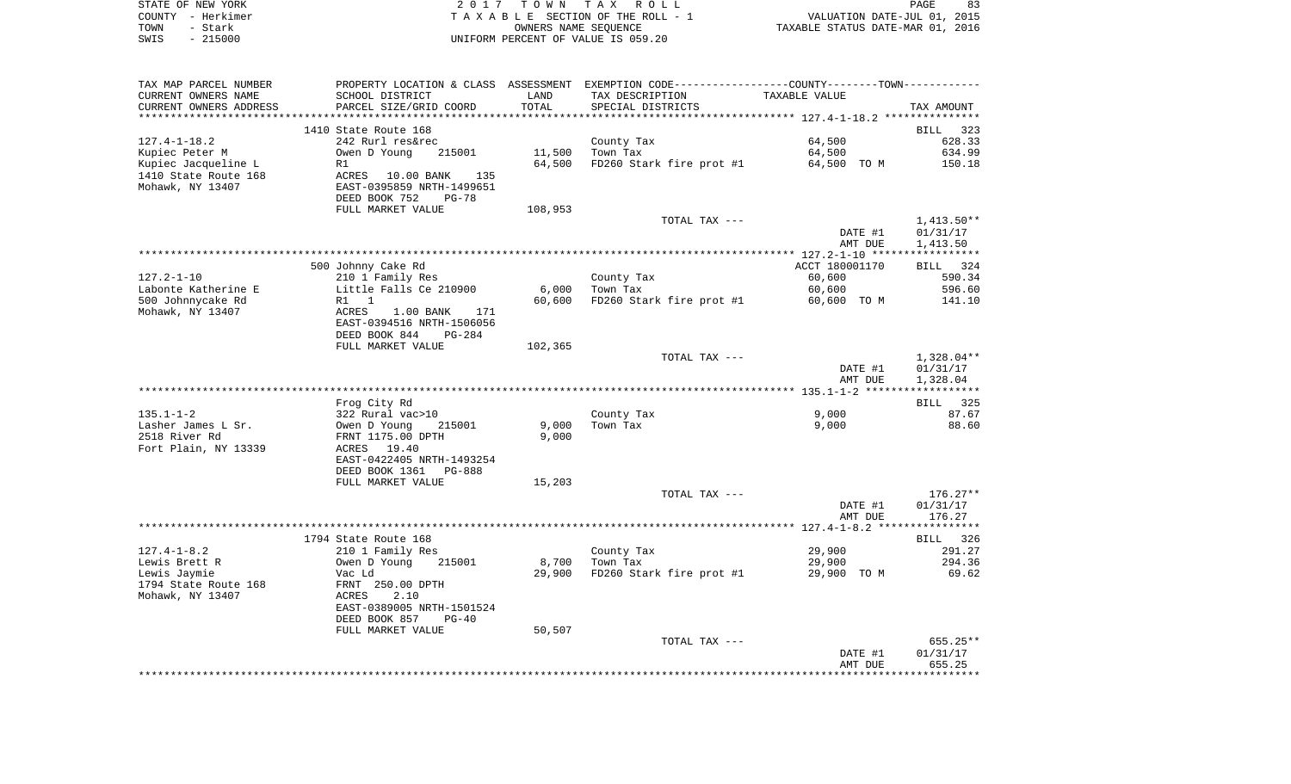|      | STATE OF NEW YORK | 2017 TOWN TAX ROLL                 | 83<br>PAGE                       |
|------|-------------------|------------------------------------|----------------------------------|
|      | COUNTY - Herkimer | TAXABLE SECTION OF THE ROLL - 1    | VALUATION DATE-JUL 01, 2015      |
| TOWN | – Stark           | OWNERS NAME SEOUENCE               | TAXABLE STATUS DATE-MAR 01, 2016 |
| SWIS | - 215000          | UNIFORM PERCENT OF VALUE IS 059.20 |                                  |

| TAX MAP PARCEL NUMBER                       | PROPERTY LOCATION & CLASS ASSESSMENT EXEMPTION CODE----------------COUNTY-------TOWN---------- |         |                                                  |                |              |
|---------------------------------------------|------------------------------------------------------------------------------------------------|---------|--------------------------------------------------|----------------|--------------|
| CURRENT OWNERS NAME                         | SCHOOL DISTRICT                                                                                | LAND    | TAX DESCRIPTION                                  | TAXABLE VALUE  |              |
| CURRENT OWNERS ADDRESS                      | PARCEL SIZE/GRID COORD                                                                         | TOTAL   | SPECIAL DISTRICTS                                |                | TAX AMOUNT   |
|                                             |                                                                                                |         |                                                  |                |              |
|                                             | 1410 State Route 168                                                                           |         |                                                  |                | BILL 323     |
| $127.4 - 1 - 18.2$                          | 242 Rurl res&rec                                                                               |         | County Tax                                       | 64,500         | 628.33       |
| Kupiec Peter M                              | 215001<br>Owen D Young                                                                         | 11,500  | Town Tax<br>FD260 Stark fire prot #1 64,500 TO M | 64,500         | 634.99       |
| Kupiec Jacqueline L<br>1410 State Route 168 | R1<br>ACRES 10.00 BANK<br>135                                                                  | 64,500  |                                                  |                | 150.18       |
| Mohawk, NY 13407                            | EAST-0395859 NRTH-1499651                                                                      |         |                                                  |                |              |
|                                             | DEED BOOK 752<br>$PG-78$                                                                       |         |                                                  |                |              |
|                                             | FULL MARKET VALUE                                                                              | 108,953 |                                                  |                |              |
|                                             |                                                                                                |         | TOTAL TAX ---                                    |                | $1,413.50**$ |
|                                             |                                                                                                |         |                                                  | DATE #1        | 01/31/17     |
|                                             |                                                                                                |         |                                                  | AMT DUE        | 1,413.50     |
|                                             |                                                                                                |         |                                                  |                |              |
|                                             | 500 Johnny Cake Rd                                                                             |         |                                                  | ACCT 180001170 | BILL 324     |
| $127.2 - 1 - 10$                            | 210 1 Family Res                                                                               |         | County Tax                                       | 60,600         | 590.34       |
| Labonte Katherine E                         | Little Falls Ce 210900                                                                         | 6,000   | Town Tax                                         | 60,600         | 596.60       |
| 500 Johnnycake Rd                           | R1 1                                                                                           | 60,600  | $FD260$ Stark fire prot #1 60,600 TO M           |                | 141.10       |
| Mohawk, NY 13407                            | ACRES<br>1.00 BANK 171                                                                         |         |                                                  |                |              |
|                                             | EAST-0394516 NRTH-1506056                                                                      |         |                                                  |                |              |
|                                             | DEED BOOK 844<br>PG-284                                                                        |         |                                                  |                |              |
|                                             | FULL MARKET VALUE                                                                              | 102,365 |                                                  |                |              |
|                                             |                                                                                                |         | TOTAL TAX ---                                    |                | 1,328.04**   |
|                                             |                                                                                                |         |                                                  | DATE #1        | 01/31/17     |
|                                             |                                                                                                |         |                                                  | AMT DUE        | 1,328.04     |
|                                             |                                                                                                |         |                                                  |                |              |
|                                             | Frog City Rd                                                                                   |         |                                                  |                | BILL 325     |
| $135.1 - 1 - 2$                             | 322 Rural vac>10<br>Owen D Young 21<br>FRNT 1175.00 DPTH                                       |         | County Tax                                       | 9,000          | 87.67        |
| Lasher James L Sr.                          | 215001                                                                                         | 9,000   | Town Tax                                         | 9,000          | 88.60        |
| 2518 River Rd                               |                                                                                                | 9,000   |                                                  |                |              |
| Fort Plain, NY 13339                        | ACRES 19.40                                                                                    |         |                                                  |                |              |
|                                             | EAST-0422405 NRTH-1493254                                                                      |         |                                                  |                |              |
|                                             | DEED BOOK 1361 PG-888                                                                          |         |                                                  |                |              |
|                                             | FULL MARKET VALUE                                                                              | 15,203  |                                                  |                |              |
|                                             |                                                                                                |         | TOTAL TAX ---                                    |                | $176.27**$   |
|                                             |                                                                                                |         |                                                  | DATE #1        | 01/31/17     |
|                                             |                                                                                                |         |                                                  | AMT DUE        | 176.27       |
|                                             |                                                                                                |         |                                                  |                |              |
|                                             | 1794 State Route 168                                                                           |         |                                                  |                | BILL 326     |
| $127.4 - 1 - 8.2$                           | 210 1 Family Res                                                                               |         | County Tax                                       | 29,900         | 291.27       |
| Lewis Brett R                               | Owen D Young<br>215001                                                                         | 8,700   | Town Tax                                         | 29,900         | 294.36       |
| Lewis Jaymie<br>1794 State Route 168        | Vac Ld                                                                                         | 29,900  | FD260 Stark fire prot #1                         | 29,900 TO M    | 69.62        |
| Mohawk, NY 13407                            | FRNT 250.00 DPTH<br>ACRES<br>2.10                                                              |         |                                                  |                |              |
|                                             | EAST-0389005 NRTH-1501524                                                                      |         |                                                  |                |              |
|                                             | DEED BOOK 857<br>$PG-40$                                                                       |         |                                                  |                |              |
|                                             | FULL MARKET VALUE                                                                              | 50,507  |                                                  |                |              |
|                                             |                                                                                                |         | TOTAL TAX ---                                    |                | $655.25**$   |
|                                             |                                                                                                |         |                                                  | DATE #1        | 01/31/17     |
|                                             |                                                                                                |         |                                                  | AMT DUE        | 655.25       |
|                                             |                                                                                                |         |                                                  |                |              |
|                                             |                                                                                                |         |                                                  |                |              |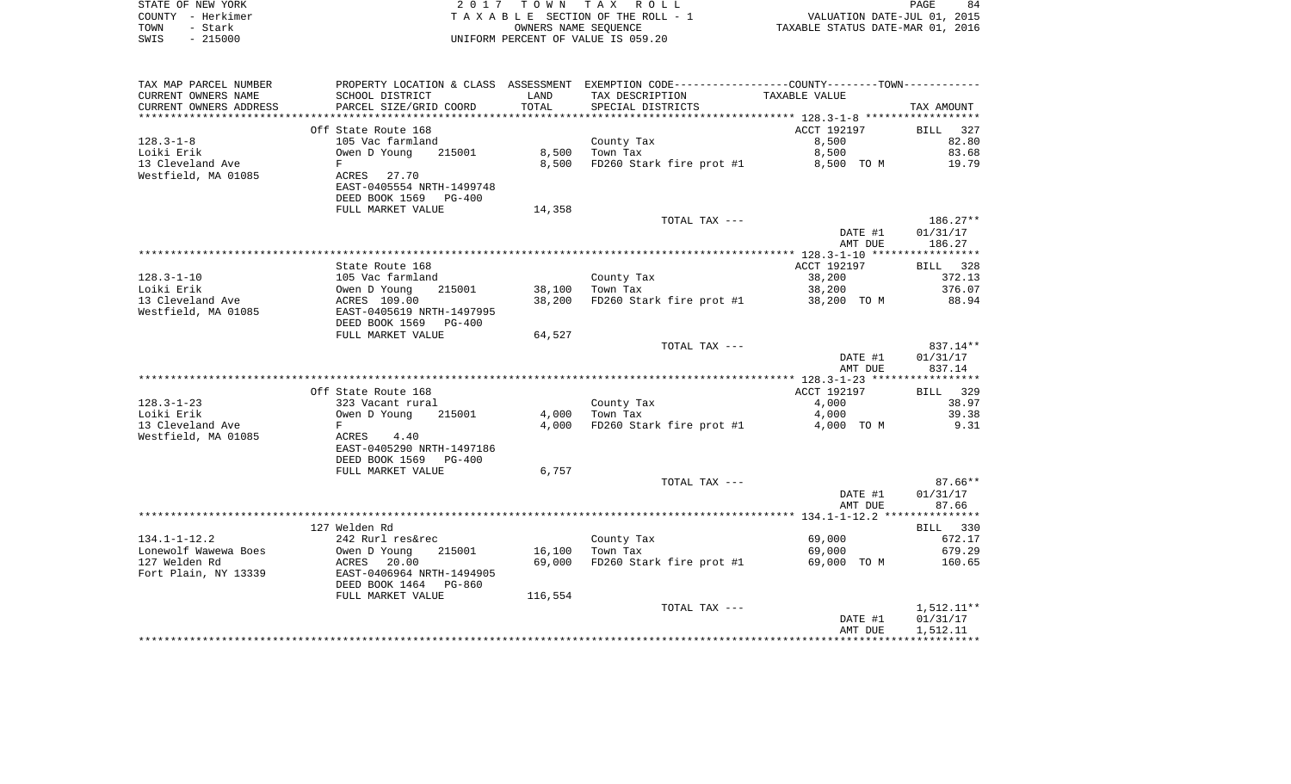|      | STATE OF NEW YORK | 2017 TOWN TAX ROLL                 | 84<br>PAGE                       |
|------|-------------------|------------------------------------|----------------------------------|
|      | COUNTY - Herkimer | TAXABLE SECTION OF THE ROLL - 1    | VALUATION DATE-JUL 01, 2015      |
| TOWN | - Stark           | OWNERS NAME SEOUENCE               | TAXABLE STATUS DATE-MAR 01, 2016 |
| SWIS | - 215000          | UNIFORM PERCENT OF VALUE IS 059.20 |                                  |

| TAX MAP PARCEL NUMBER                      |                                            |         | PROPERTY LOCATION & CLASS ASSESSMENT EXEMPTION CODE---------------COUNTY-------TOWN--------- |                  |                  |
|--------------------------------------------|--------------------------------------------|---------|----------------------------------------------------------------------------------------------|------------------|------------------|
| CURRENT OWNERS NAME                        | SCHOOL DISTRICT                            | LAND    | TAX DESCRIPTION                                                                              | TAXABLE VALUE    |                  |
| CURRENT OWNERS ADDRESS                     | PARCEL SIZE/GRID COORD                     | TOTAL   | SPECIAL DISTRICTS                                                                            |                  | TAX AMOUNT       |
|                                            |                                            |         |                                                                                              |                  |                  |
|                                            | Off State Route 168                        |         |                                                                                              | ACCT 192197      | 327<br>BILL      |
| $128.3 - 1 - 8$                            | 105 Vac farmland                           |         | County Tax                                                                                   | 8,500            | 82.80            |
| Loiki Erik                                 | Owen D Young<br>215001                     | 8,500   | Town Tax                                                                                     | 8,500            | 83.68            |
| 13 Cleveland Ave                           | F                                          | 8,500   | FD260 Stark fire prot #1                                                                     | 8,500 TO M       | 19.79            |
| Westfield, MA 01085                        | ACRES 27.70                                |         |                                                                                              |                  |                  |
|                                            | EAST-0405554 NRTH-1499748                  |         |                                                                                              |                  |                  |
|                                            | DEED BOOK 1569 PG-400<br>FULL MARKET VALUE | 14,358  |                                                                                              |                  |                  |
|                                            |                                            |         | TOTAL TAX ---                                                                                |                  | 186.27**         |
|                                            |                                            |         |                                                                                              | DATE #1          | 01/31/17         |
|                                            |                                            |         |                                                                                              | AMT DUE          | 186.27           |
|                                            |                                            |         |                                                                                              |                  |                  |
|                                            | State Route 168                            |         |                                                                                              | ACCT 192197      | BILL 328         |
| $128.3 - 1 - 10$                           | 105 Vac farmland                           |         | County Tax                                                                                   | 38,200           | 372.13           |
| Loiki Erik                                 | Owen D Young<br>215001                     | 38,100  | Town Tax                                                                                     | 38,200           | 376.07           |
| 13 Cleveland Ave                           | ACRES 109.00                               | 38,200  | FD260 Stark fire prot #1                                                                     | 38,200 TO M      | 88.94            |
| Westfield, MA 01085                        | EAST-0405619 NRTH-1497995                  |         |                                                                                              |                  |                  |
|                                            | DEED BOOK 1569<br><b>PG-400</b>            |         |                                                                                              |                  |                  |
|                                            | FULL MARKET VALUE                          | 64,527  |                                                                                              |                  |                  |
|                                            |                                            |         | TOTAL TAX ---                                                                                |                  | 837.14**         |
|                                            |                                            |         |                                                                                              | DATE #1          | 01/31/17         |
|                                            |                                            |         |                                                                                              | AMT DUE          | 837.14           |
|                                            | Off State Route 168                        |         |                                                                                              | ACCT 192197      | BILL 329         |
| $128.3 - 1 - 23$                           | 323 Vacant rural                           |         | County Tax                                                                                   | 4,000            | 38.97            |
| Loiki Erik                                 | Owen D Young<br>215001                     | 4,000   | Town Tax                                                                                     | 4,000            | 39.38            |
| 13 Cleveland Ave                           | F                                          | 4,000   | FD260 Stark fire prot #1                                                                     | 4,000 TO M       | 9.31             |
| Westfield, MA 01085                        | ACRES<br>4.40                              |         |                                                                                              |                  |                  |
|                                            | EAST-0405290 NRTH-1497186                  |         |                                                                                              |                  |                  |
|                                            | DEED BOOK 1569<br>PG-400                   |         |                                                                                              |                  |                  |
|                                            | FULL MARKET VALUE                          | 6,757   |                                                                                              |                  |                  |
|                                            |                                            |         | TOTAL TAX ---                                                                                |                  | $87.66**$        |
|                                            |                                            |         |                                                                                              | DATE #1          | 01/31/17         |
|                                            |                                            |         |                                                                                              | AMT DUE          | 87.66            |
|                                            |                                            |         |                                                                                              |                  |                  |
|                                            | 127 Welden Rd                              |         |                                                                                              |                  | BILL 330         |
| $134.1 - 1 - 12.2$<br>Lonewolf Wawewa Boes | 242 Rurl res&rec<br>215001<br>Owen D Young | 16,100  | County Tax<br>Town Tax                                                                       | 69,000<br>69,000 | 672.17<br>679.29 |
| 127 Welden Rd                              | ACRES 20.00                                | 69,000  | FD260 Stark fire prot #1                                                                     | 69,000 TO M      | 160.65           |
| Fort Plain, NY 13339                       | EAST-0406964 NRTH-1494905                  |         |                                                                                              |                  |                  |
|                                            | DEED BOOK 1464<br>PG-860                   |         |                                                                                              |                  |                  |
|                                            | FULL MARKET VALUE                          | 116,554 |                                                                                              |                  |                  |
|                                            |                                            |         | TOTAL TAX ---                                                                                |                  | 1,512.11**       |
|                                            |                                            |         |                                                                                              | DATE #1          | 01/31/17         |
|                                            |                                            |         |                                                                                              | AMT DUE          | 1,512.11         |
|                                            |                                            |         |                                                                                              |                  |                  |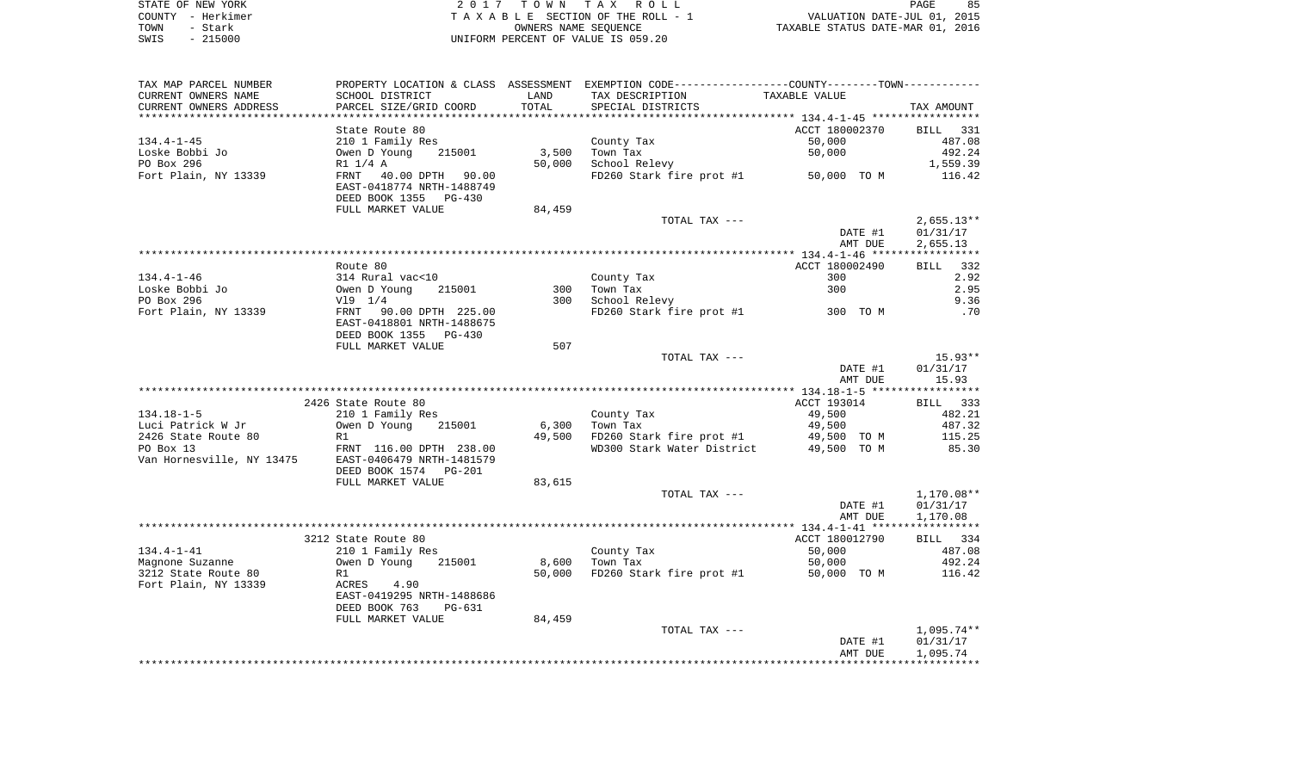| STATE OF NEW YORK |           | 2017 TOWN TAX ROLL                 |                                  | PAGE | 85 |
|-------------------|-----------|------------------------------------|----------------------------------|------|----|
| COUNTY - Herkimer |           | TAXABLE SECTION OF THE ROLL - 1    | VALUATION DATE-JUL 01, 2015      |      |    |
| TOWN              | - Stark   | OWNERS NAME SEOUENCE               | TAXABLE STATUS DATE-MAR 01, 2016 |      |    |
| SWIS              | $-215000$ | UNIFORM PERCENT OF VALUE IS 059.20 |                                  |      |    |

| TOTAL<br>CURRENT OWNERS ADDRESS<br>PARCEL SIZE/GRID COORD<br>SPECIAL DISTRICTS<br>TAX AMOUNT<br>ACCT 180002370<br>State Route 80<br>BILL 331<br>50,000<br>$134.4 - 1 - 45$<br>210 1 Family Res<br>County Tax<br>487.08<br>Loske Bobbi Jo<br>215001<br>3,500<br>Town Tax<br>50,000<br>492.24<br>Owen D Young<br>PO Box 296<br>50,000<br>School Relevy<br>1,559.39<br>R1 1/4 A<br>Fort Plain, NY 13339<br>FRNT<br>40.00 DPTH 90.00<br>FD260 Stark fire prot #1 50,000 TO M<br>116.42<br>EAST-0418774 NRTH-1488749<br>DEED BOOK 1355<br>PG-430<br>FULL MARKET VALUE<br>84,459<br>TOTAL TAX ---<br>$2,655.13**$<br>DATE #1<br>01/31/17<br>AMT DUE<br>2,655.13<br>Route 80<br>ACCT 180002490<br>BILL<br>332<br>$134.4 - 1 - 46$<br>2.92<br>314 Rural vac<10<br>County Tax<br>300<br>Loske Bobbi Jo<br>Town Tax<br>2.95<br>Owen D Young<br>215001<br>300<br>300<br>PO Box 296<br>$V19$ $1/4$<br>300<br>School Relevy<br>9.36<br>300 TO M<br>Fort Plain, NY 13339<br>FRNT 90.00 DPTH 225.00<br>FD260 Stark fire prot #1<br>.70<br>EAST-0418801 NRTH-1488675<br>DEED BOOK 1355<br>PG-430<br>507<br>FULL MARKET VALUE<br>$15.93**$<br>TOTAL TAX ---<br>DATE #1<br>01/31/17<br>AMT DUE<br>15.93<br>2426 State Route 80<br>ACCT 193014<br>BILL 333<br>$134.18 - 1 - 5$<br>49,500<br>482.21<br>210 1 Family Res<br>County Tax<br>Luci Patrick W Jr<br>Owen D Young<br>6,300<br>49,500<br>487.32<br>215001<br>Town Tax<br>2426 State Route 80<br>R1<br>49,500<br>FD260 Stark fire prot #1<br>49,500 TO M<br>115.25<br>PO Box 13<br>FRNT 116.00 DPTH 238.00<br>WD300 Stark Water District<br>49,500 TO M<br>85.30<br>EAST-0406479 NRTH-1481579<br>DEED BOOK 1574<br>PG-201<br>FULL MARKET VALUE<br>83,615<br>TOTAL TAX ---<br>1,170.08**<br>DATE #1<br>01/31/17<br>AMT DUE<br>1,170.08<br>3212 State Route 80<br>ACCT 180012790<br>BILL 334<br>$134.4 - 1 - 41$<br>County Tax<br>50,000<br>487.08<br>210 1 Family Res<br>Magnone Suzanne<br>8,600<br>Town Tax<br>50,000<br>492.24<br>Owen D Young<br>215001<br>3212 State Route 80<br>FD260 Stark fire prot #1<br>R1<br>50,000<br>50,000 TO M<br>116.42<br>Fort Plain, NY 13339<br>ACRES<br>4.90<br>EAST-0419295 NRTH-1488686<br>DEED BOOK 763<br>PG-631<br>FULL MARKET VALUE<br>84,459<br>$1,095.74**$<br>TOTAL TAX ---<br>DATE #1<br>01/31/17<br>AMT DUE<br>1,095.74 | TAX MAP PARCEL NUMBER     |                 |      | PROPERTY LOCATION & CLASS ASSESSMENT EXEMPTION CODE----------------COUNTY-------TOWN---------- |               |  |
|----------------------------------------------------------------------------------------------------------------------------------------------------------------------------------------------------------------------------------------------------------------------------------------------------------------------------------------------------------------------------------------------------------------------------------------------------------------------------------------------------------------------------------------------------------------------------------------------------------------------------------------------------------------------------------------------------------------------------------------------------------------------------------------------------------------------------------------------------------------------------------------------------------------------------------------------------------------------------------------------------------------------------------------------------------------------------------------------------------------------------------------------------------------------------------------------------------------------------------------------------------------------------------------------------------------------------------------------------------------------------------------------------------------------------------------------------------------------------------------------------------------------------------------------------------------------------------------------------------------------------------------------------------------------------------------------------------------------------------------------------------------------------------------------------------------------------------------------------------------------------------------------------------------------------------------------------------------------------------------------------------------------------------------------------------------------------------------------------------------------------------------------------------------------------------------------------------------------------------------------------------------------------------------------------------|---------------------------|-----------------|------|------------------------------------------------------------------------------------------------|---------------|--|
|                                                                                                                                                                                                                                                                                                                                                                                                                                                                                                                                                                                                                                                                                                                                                                                                                                                                                                                                                                                                                                                                                                                                                                                                                                                                                                                                                                                                                                                                                                                                                                                                                                                                                                                                                                                                                                                                                                                                                                                                                                                                                                                                                                                                                                                                                                          | CURRENT OWNERS NAME       | SCHOOL DISTRICT | LAND | TAX DESCRIPTION                                                                                | TAXABLE VALUE |  |
|                                                                                                                                                                                                                                                                                                                                                                                                                                                                                                                                                                                                                                                                                                                                                                                                                                                                                                                                                                                                                                                                                                                                                                                                                                                                                                                                                                                                                                                                                                                                                                                                                                                                                                                                                                                                                                                                                                                                                                                                                                                                                                                                                                                                                                                                                                          |                           |                 |      |                                                                                                |               |  |
|                                                                                                                                                                                                                                                                                                                                                                                                                                                                                                                                                                                                                                                                                                                                                                                                                                                                                                                                                                                                                                                                                                                                                                                                                                                                                                                                                                                                                                                                                                                                                                                                                                                                                                                                                                                                                                                                                                                                                                                                                                                                                                                                                                                                                                                                                                          |                           |                 |      |                                                                                                |               |  |
|                                                                                                                                                                                                                                                                                                                                                                                                                                                                                                                                                                                                                                                                                                                                                                                                                                                                                                                                                                                                                                                                                                                                                                                                                                                                                                                                                                                                                                                                                                                                                                                                                                                                                                                                                                                                                                                                                                                                                                                                                                                                                                                                                                                                                                                                                                          |                           |                 |      |                                                                                                |               |  |
|                                                                                                                                                                                                                                                                                                                                                                                                                                                                                                                                                                                                                                                                                                                                                                                                                                                                                                                                                                                                                                                                                                                                                                                                                                                                                                                                                                                                                                                                                                                                                                                                                                                                                                                                                                                                                                                                                                                                                                                                                                                                                                                                                                                                                                                                                                          |                           |                 |      |                                                                                                |               |  |
|                                                                                                                                                                                                                                                                                                                                                                                                                                                                                                                                                                                                                                                                                                                                                                                                                                                                                                                                                                                                                                                                                                                                                                                                                                                                                                                                                                                                                                                                                                                                                                                                                                                                                                                                                                                                                                                                                                                                                                                                                                                                                                                                                                                                                                                                                                          |                           |                 |      |                                                                                                |               |  |
|                                                                                                                                                                                                                                                                                                                                                                                                                                                                                                                                                                                                                                                                                                                                                                                                                                                                                                                                                                                                                                                                                                                                                                                                                                                                                                                                                                                                                                                                                                                                                                                                                                                                                                                                                                                                                                                                                                                                                                                                                                                                                                                                                                                                                                                                                                          |                           |                 |      |                                                                                                |               |  |
|                                                                                                                                                                                                                                                                                                                                                                                                                                                                                                                                                                                                                                                                                                                                                                                                                                                                                                                                                                                                                                                                                                                                                                                                                                                                                                                                                                                                                                                                                                                                                                                                                                                                                                                                                                                                                                                                                                                                                                                                                                                                                                                                                                                                                                                                                                          |                           |                 |      |                                                                                                |               |  |
|                                                                                                                                                                                                                                                                                                                                                                                                                                                                                                                                                                                                                                                                                                                                                                                                                                                                                                                                                                                                                                                                                                                                                                                                                                                                                                                                                                                                                                                                                                                                                                                                                                                                                                                                                                                                                                                                                                                                                                                                                                                                                                                                                                                                                                                                                                          |                           |                 |      |                                                                                                |               |  |
|                                                                                                                                                                                                                                                                                                                                                                                                                                                                                                                                                                                                                                                                                                                                                                                                                                                                                                                                                                                                                                                                                                                                                                                                                                                                                                                                                                                                                                                                                                                                                                                                                                                                                                                                                                                                                                                                                                                                                                                                                                                                                                                                                                                                                                                                                                          |                           |                 |      |                                                                                                |               |  |
|                                                                                                                                                                                                                                                                                                                                                                                                                                                                                                                                                                                                                                                                                                                                                                                                                                                                                                                                                                                                                                                                                                                                                                                                                                                                                                                                                                                                                                                                                                                                                                                                                                                                                                                                                                                                                                                                                                                                                                                                                                                                                                                                                                                                                                                                                                          |                           |                 |      |                                                                                                |               |  |
|                                                                                                                                                                                                                                                                                                                                                                                                                                                                                                                                                                                                                                                                                                                                                                                                                                                                                                                                                                                                                                                                                                                                                                                                                                                                                                                                                                                                                                                                                                                                                                                                                                                                                                                                                                                                                                                                                                                                                                                                                                                                                                                                                                                                                                                                                                          |                           |                 |      |                                                                                                |               |  |
|                                                                                                                                                                                                                                                                                                                                                                                                                                                                                                                                                                                                                                                                                                                                                                                                                                                                                                                                                                                                                                                                                                                                                                                                                                                                                                                                                                                                                                                                                                                                                                                                                                                                                                                                                                                                                                                                                                                                                                                                                                                                                                                                                                                                                                                                                                          |                           |                 |      |                                                                                                |               |  |
|                                                                                                                                                                                                                                                                                                                                                                                                                                                                                                                                                                                                                                                                                                                                                                                                                                                                                                                                                                                                                                                                                                                                                                                                                                                                                                                                                                                                                                                                                                                                                                                                                                                                                                                                                                                                                                                                                                                                                                                                                                                                                                                                                                                                                                                                                                          |                           |                 |      |                                                                                                |               |  |
|                                                                                                                                                                                                                                                                                                                                                                                                                                                                                                                                                                                                                                                                                                                                                                                                                                                                                                                                                                                                                                                                                                                                                                                                                                                                                                                                                                                                                                                                                                                                                                                                                                                                                                                                                                                                                                                                                                                                                                                                                                                                                                                                                                                                                                                                                                          |                           |                 |      |                                                                                                |               |  |
|                                                                                                                                                                                                                                                                                                                                                                                                                                                                                                                                                                                                                                                                                                                                                                                                                                                                                                                                                                                                                                                                                                                                                                                                                                                                                                                                                                                                                                                                                                                                                                                                                                                                                                                                                                                                                                                                                                                                                                                                                                                                                                                                                                                                                                                                                                          |                           |                 |      |                                                                                                |               |  |
|                                                                                                                                                                                                                                                                                                                                                                                                                                                                                                                                                                                                                                                                                                                                                                                                                                                                                                                                                                                                                                                                                                                                                                                                                                                                                                                                                                                                                                                                                                                                                                                                                                                                                                                                                                                                                                                                                                                                                                                                                                                                                                                                                                                                                                                                                                          |                           |                 |      |                                                                                                |               |  |
|                                                                                                                                                                                                                                                                                                                                                                                                                                                                                                                                                                                                                                                                                                                                                                                                                                                                                                                                                                                                                                                                                                                                                                                                                                                                                                                                                                                                                                                                                                                                                                                                                                                                                                                                                                                                                                                                                                                                                                                                                                                                                                                                                                                                                                                                                                          |                           |                 |      |                                                                                                |               |  |
|                                                                                                                                                                                                                                                                                                                                                                                                                                                                                                                                                                                                                                                                                                                                                                                                                                                                                                                                                                                                                                                                                                                                                                                                                                                                                                                                                                                                                                                                                                                                                                                                                                                                                                                                                                                                                                                                                                                                                                                                                                                                                                                                                                                                                                                                                                          |                           |                 |      |                                                                                                |               |  |
|                                                                                                                                                                                                                                                                                                                                                                                                                                                                                                                                                                                                                                                                                                                                                                                                                                                                                                                                                                                                                                                                                                                                                                                                                                                                                                                                                                                                                                                                                                                                                                                                                                                                                                                                                                                                                                                                                                                                                                                                                                                                                                                                                                                                                                                                                                          |                           |                 |      |                                                                                                |               |  |
|                                                                                                                                                                                                                                                                                                                                                                                                                                                                                                                                                                                                                                                                                                                                                                                                                                                                                                                                                                                                                                                                                                                                                                                                                                                                                                                                                                                                                                                                                                                                                                                                                                                                                                                                                                                                                                                                                                                                                                                                                                                                                                                                                                                                                                                                                                          |                           |                 |      |                                                                                                |               |  |
|                                                                                                                                                                                                                                                                                                                                                                                                                                                                                                                                                                                                                                                                                                                                                                                                                                                                                                                                                                                                                                                                                                                                                                                                                                                                                                                                                                                                                                                                                                                                                                                                                                                                                                                                                                                                                                                                                                                                                                                                                                                                                                                                                                                                                                                                                                          |                           |                 |      |                                                                                                |               |  |
|                                                                                                                                                                                                                                                                                                                                                                                                                                                                                                                                                                                                                                                                                                                                                                                                                                                                                                                                                                                                                                                                                                                                                                                                                                                                                                                                                                                                                                                                                                                                                                                                                                                                                                                                                                                                                                                                                                                                                                                                                                                                                                                                                                                                                                                                                                          |                           |                 |      |                                                                                                |               |  |
|                                                                                                                                                                                                                                                                                                                                                                                                                                                                                                                                                                                                                                                                                                                                                                                                                                                                                                                                                                                                                                                                                                                                                                                                                                                                                                                                                                                                                                                                                                                                                                                                                                                                                                                                                                                                                                                                                                                                                                                                                                                                                                                                                                                                                                                                                                          |                           |                 |      |                                                                                                |               |  |
|                                                                                                                                                                                                                                                                                                                                                                                                                                                                                                                                                                                                                                                                                                                                                                                                                                                                                                                                                                                                                                                                                                                                                                                                                                                                                                                                                                                                                                                                                                                                                                                                                                                                                                                                                                                                                                                                                                                                                                                                                                                                                                                                                                                                                                                                                                          |                           |                 |      |                                                                                                |               |  |
|                                                                                                                                                                                                                                                                                                                                                                                                                                                                                                                                                                                                                                                                                                                                                                                                                                                                                                                                                                                                                                                                                                                                                                                                                                                                                                                                                                                                                                                                                                                                                                                                                                                                                                                                                                                                                                                                                                                                                                                                                                                                                                                                                                                                                                                                                                          |                           |                 |      |                                                                                                |               |  |
|                                                                                                                                                                                                                                                                                                                                                                                                                                                                                                                                                                                                                                                                                                                                                                                                                                                                                                                                                                                                                                                                                                                                                                                                                                                                                                                                                                                                                                                                                                                                                                                                                                                                                                                                                                                                                                                                                                                                                                                                                                                                                                                                                                                                                                                                                                          |                           |                 |      |                                                                                                |               |  |
|                                                                                                                                                                                                                                                                                                                                                                                                                                                                                                                                                                                                                                                                                                                                                                                                                                                                                                                                                                                                                                                                                                                                                                                                                                                                                                                                                                                                                                                                                                                                                                                                                                                                                                                                                                                                                                                                                                                                                                                                                                                                                                                                                                                                                                                                                                          |                           |                 |      |                                                                                                |               |  |
|                                                                                                                                                                                                                                                                                                                                                                                                                                                                                                                                                                                                                                                                                                                                                                                                                                                                                                                                                                                                                                                                                                                                                                                                                                                                                                                                                                                                                                                                                                                                                                                                                                                                                                                                                                                                                                                                                                                                                                                                                                                                                                                                                                                                                                                                                                          |                           |                 |      |                                                                                                |               |  |
|                                                                                                                                                                                                                                                                                                                                                                                                                                                                                                                                                                                                                                                                                                                                                                                                                                                                                                                                                                                                                                                                                                                                                                                                                                                                                                                                                                                                                                                                                                                                                                                                                                                                                                                                                                                                                                                                                                                                                                                                                                                                                                                                                                                                                                                                                                          | Van Hornesville, NY 13475 |                 |      |                                                                                                |               |  |
|                                                                                                                                                                                                                                                                                                                                                                                                                                                                                                                                                                                                                                                                                                                                                                                                                                                                                                                                                                                                                                                                                                                                                                                                                                                                                                                                                                                                                                                                                                                                                                                                                                                                                                                                                                                                                                                                                                                                                                                                                                                                                                                                                                                                                                                                                                          |                           |                 |      |                                                                                                |               |  |
|                                                                                                                                                                                                                                                                                                                                                                                                                                                                                                                                                                                                                                                                                                                                                                                                                                                                                                                                                                                                                                                                                                                                                                                                                                                                                                                                                                                                                                                                                                                                                                                                                                                                                                                                                                                                                                                                                                                                                                                                                                                                                                                                                                                                                                                                                                          |                           |                 |      |                                                                                                |               |  |
|                                                                                                                                                                                                                                                                                                                                                                                                                                                                                                                                                                                                                                                                                                                                                                                                                                                                                                                                                                                                                                                                                                                                                                                                                                                                                                                                                                                                                                                                                                                                                                                                                                                                                                                                                                                                                                                                                                                                                                                                                                                                                                                                                                                                                                                                                                          |                           |                 |      |                                                                                                |               |  |
|                                                                                                                                                                                                                                                                                                                                                                                                                                                                                                                                                                                                                                                                                                                                                                                                                                                                                                                                                                                                                                                                                                                                                                                                                                                                                                                                                                                                                                                                                                                                                                                                                                                                                                                                                                                                                                                                                                                                                                                                                                                                                                                                                                                                                                                                                                          |                           |                 |      |                                                                                                |               |  |
|                                                                                                                                                                                                                                                                                                                                                                                                                                                                                                                                                                                                                                                                                                                                                                                                                                                                                                                                                                                                                                                                                                                                                                                                                                                                                                                                                                                                                                                                                                                                                                                                                                                                                                                                                                                                                                                                                                                                                                                                                                                                                                                                                                                                                                                                                                          |                           |                 |      |                                                                                                |               |  |
|                                                                                                                                                                                                                                                                                                                                                                                                                                                                                                                                                                                                                                                                                                                                                                                                                                                                                                                                                                                                                                                                                                                                                                                                                                                                                                                                                                                                                                                                                                                                                                                                                                                                                                                                                                                                                                                                                                                                                                                                                                                                                                                                                                                                                                                                                                          |                           |                 |      |                                                                                                |               |  |
|                                                                                                                                                                                                                                                                                                                                                                                                                                                                                                                                                                                                                                                                                                                                                                                                                                                                                                                                                                                                                                                                                                                                                                                                                                                                                                                                                                                                                                                                                                                                                                                                                                                                                                                                                                                                                                                                                                                                                                                                                                                                                                                                                                                                                                                                                                          |                           |                 |      |                                                                                                |               |  |
|                                                                                                                                                                                                                                                                                                                                                                                                                                                                                                                                                                                                                                                                                                                                                                                                                                                                                                                                                                                                                                                                                                                                                                                                                                                                                                                                                                                                                                                                                                                                                                                                                                                                                                                                                                                                                                                                                                                                                                                                                                                                                                                                                                                                                                                                                                          |                           |                 |      |                                                                                                |               |  |
|                                                                                                                                                                                                                                                                                                                                                                                                                                                                                                                                                                                                                                                                                                                                                                                                                                                                                                                                                                                                                                                                                                                                                                                                                                                                                                                                                                                                                                                                                                                                                                                                                                                                                                                                                                                                                                                                                                                                                                                                                                                                                                                                                                                                                                                                                                          |                           |                 |      |                                                                                                |               |  |
|                                                                                                                                                                                                                                                                                                                                                                                                                                                                                                                                                                                                                                                                                                                                                                                                                                                                                                                                                                                                                                                                                                                                                                                                                                                                                                                                                                                                                                                                                                                                                                                                                                                                                                                                                                                                                                                                                                                                                                                                                                                                                                                                                                                                                                                                                                          |                           |                 |      |                                                                                                |               |  |
|                                                                                                                                                                                                                                                                                                                                                                                                                                                                                                                                                                                                                                                                                                                                                                                                                                                                                                                                                                                                                                                                                                                                                                                                                                                                                                                                                                                                                                                                                                                                                                                                                                                                                                                                                                                                                                                                                                                                                                                                                                                                                                                                                                                                                                                                                                          |                           |                 |      |                                                                                                |               |  |
|                                                                                                                                                                                                                                                                                                                                                                                                                                                                                                                                                                                                                                                                                                                                                                                                                                                                                                                                                                                                                                                                                                                                                                                                                                                                                                                                                                                                                                                                                                                                                                                                                                                                                                                                                                                                                                                                                                                                                                                                                                                                                                                                                                                                                                                                                                          |                           |                 |      |                                                                                                |               |  |
|                                                                                                                                                                                                                                                                                                                                                                                                                                                                                                                                                                                                                                                                                                                                                                                                                                                                                                                                                                                                                                                                                                                                                                                                                                                                                                                                                                                                                                                                                                                                                                                                                                                                                                                                                                                                                                                                                                                                                                                                                                                                                                                                                                                                                                                                                                          |                           |                 |      |                                                                                                |               |  |
|                                                                                                                                                                                                                                                                                                                                                                                                                                                                                                                                                                                                                                                                                                                                                                                                                                                                                                                                                                                                                                                                                                                                                                                                                                                                                                                                                                                                                                                                                                                                                                                                                                                                                                                                                                                                                                                                                                                                                                                                                                                                                                                                                                                                                                                                                                          |                           |                 |      |                                                                                                |               |  |
|                                                                                                                                                                                                                                                                                                                                                                                                                                                                                                                                                                                                                                                                                                                                                                                                                                                                                                                                                                                                                                                                                                                                                                                                                                                                                                                                                                                                                                                                                                                                                                                                                                                                                                                                                                                                                                                                                                                                                                                                                                                                                                                                                                                                                                                                                                          |                           |                 |      |                                                                                                |               |  |
|                                                                                                                                                                                                                                                                                                                                                                                                                                                                                                                                                                                                                                                                                                                                                                                                                                                                                                                                                                                                                                                                                                                                                                                                                                                                                                                                                                                                                                                                                                                                                                                                                                                                                                                                                                                                                                                                                                                                                                                                                                                                                                                                                                                                                                                                                                          |                           |                 |      |                                                                                                |               |  |
|                                                                                                                                                                                                                                                                                                                                                                                                                                                                                                                                                                                                                                                                                                                                                                                                                                                                                                                                                                                                                                                                                                                                                                                                                                                                                                                                                                                                                                                                                                                                                                                                                                                                                                                                                                                                                                                                                                                                                                                                                                                                                                                                                                                                                                                                                                          |                           |                 |      |                                                                                                |               |  |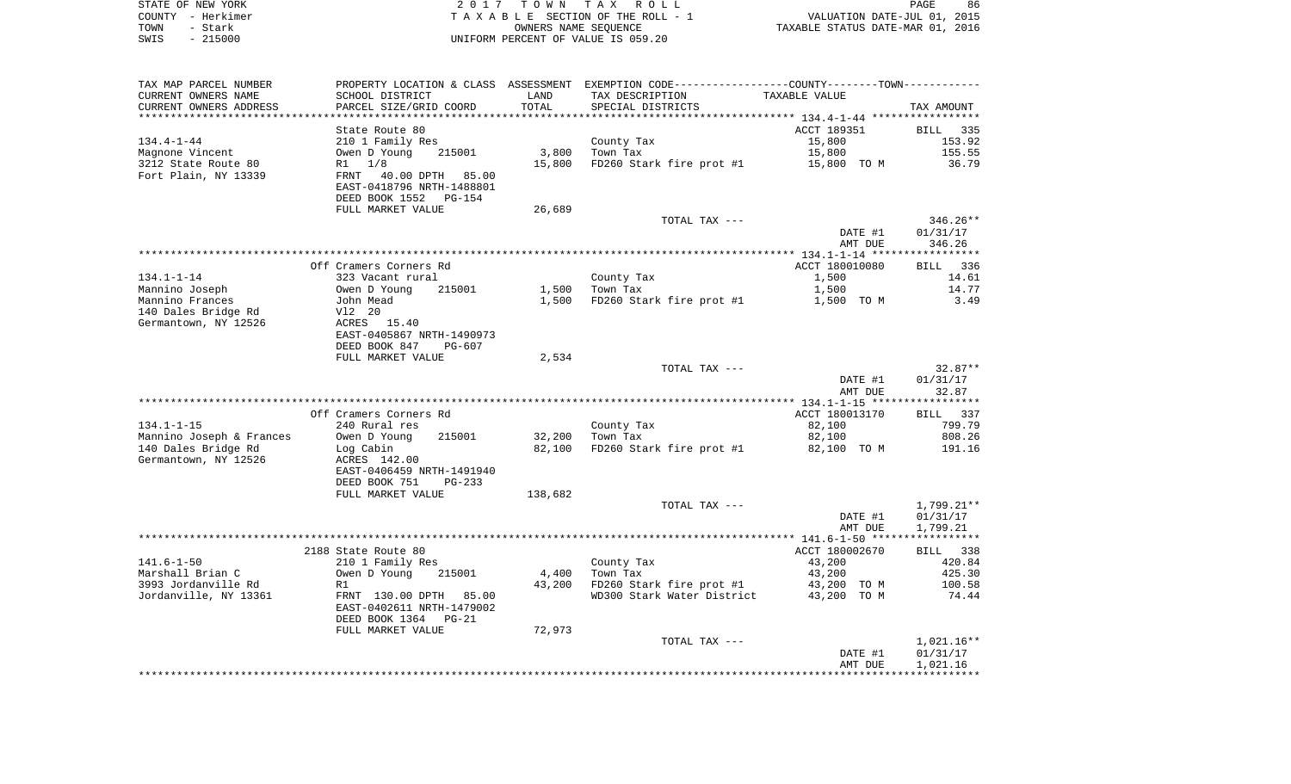| STATE OF NEW YORK | 2017 TOWN TAX ROLL                 | 86<br>PAGE                       |
|-------------------|------------------------------------|----------------------------------|
| COUNTY - Herkimer | TAXABLE SECTION OF THE ROLL - 1    | VALUATION DATE-JUL 01, 2015      |
| TOWN<br>- Stark   | OWNERS NAME SEOUENCE               | TAXABLE STATUS DATE-MAR 01, 2016 |
| - 215000<br>SWIS  | UNIFORM PERCENT OF VALUE IS 059.20 |                                  |

| TAX MAP PARCEL NUMBER<br>CURRENT OWNERS NAME     | SCHOOL DISTRICT                                       | LAND            | PROPERTY LOCATION & CLASS ASSESSMENT EXEMPTION CODE---------------COUNTY-------TOWN----------<br>TAX DESCRIPTION | TAXABLE VALUE         |                  |
|--------------------------------------------------|-------------------------------------------------------|-----------------|------------------------------------------------------------------------------------------------------------------|-----------------------|------------------|
| CURRENT OWNERS ADDRESS<br>********************** | PARCEL SIZE/GRID COORD<br>*************************** | TOTAL           | SPECIAL DISTRICTS                                                                                                |                       | TAX AMOUNT       |
|                                                  |                                                       |                 |                                                                                                                  |                       |                  |
|                                                  | State Route 80                                        |                 |                                                                                                                  | ACCT 189351           | BILL 335         |
| $134.4 - 1 - 44$                                 | 210 1 Family Res                                      |                 | County Tax                                                                                                       | 15,800                | 153.92           |
| Magnone Vincent                                  | Owen D Young<br>215001                                | 3,800           | Town Tax                                                                                                         | 15,800                | 155.55           |
| 3212 State Route 80<br>Fort Plain, NY 13339      | $R1 \t1/8$                                            | 15,800          | FD260 Stark fire prot #1                                                                                         | 15,800 TO M           | 36.79            |
|                                                  | FRNT 40.00 DPTH 85.00<br>EAST-0418796 NRTH-1488801    |                 |                                                                                                                  |                       |                  |
|                                                  | DEED BOOK 1552 PG-154                                 |                 |                                                                                                                  |                       |                  |
|                                                  | FULL MARKET VALUE                                     | 26,689          |                                                                                                                  |                       |                  |
|                                                  |                                                       |                 | TOTAL TAX ---                                                                                                    |                       | $346.26**$       |
|                                                  |                                                       |                 |                                                                                                                  | DATE #1               | 01/31/17         |
|                                                  |                                                       |                 |                                                                                                                  | AMT DUE               | 346.26           |
|                                                  |                                                       |                 |                                                                                                                  |                       |                  |
|                                                  | Off Cramers Corners Rd                                |                 |                                                                                                                  | ACCT 180010080        | BILL 336         |
| 134.1-1-14                                       | 323 Vacant rural                                      |                 | County Tax                                                                                                       | 1,500                 | 14.61            |
| Mannino Joseph                                   | 215001                                                | 1,500           | Town Tax                                                                                                         | 1,500                 | 14.77            |
| Mannino Frances                                  | Owen D Young<br>John Mead                             |                 | 1,500 FD260 Stark fire prot #1                                                                                   | 1,500 TO M            | 3.49             |
| 140 Dales Bridge Rd                              | V12 20                                                |                 |                                                                                                                  |                       |                  |
| Germantown, NY 12526                             | ACRES 15.40                                           |                 |                                                                                                                  |                       |                  |
|                                                  | EAST-0405867 NRTH-1490973                             |                 |                                                                                                                  |                       |                  |
|                                                  | DEED BOOK 847<br>PG-607                               |                 |                                                                                                                  |                       |                  |
|                                                  | FULL MARKET VALUE                                     | 2,534           |                                                                                                                  |                       |                  |
|                                                  |                                                       |                 | TOTAL TAX ---                                                                                                    |                       | $32.87**$        |
|                                                  |                                                       |                 |                                                                                                                  | DATE #1               | 01/31/17         |
|                                                  |                                                       |                 |                                                                                                                  | AMT DUE               | 32.87            |
|                                                  |                                                       |                 |                                                                                                                  |                       |                  |
|                                                  | Off Cramers Corners Rd                                |                 |                                                                                                                  | ACCT 180013170        | BILL 337         |
| $134.1 - 1 - 15$                                 | 240 Rural res                                         |                 | County Tax                                                                                                       | 82,100                | 799.79           |
| Mannino Joseph & Frances                         | 215001<br>Owen D Young                                | 32,200          | Town Tax                                                                                                         | 82,100                | 808.26           |
| 140 Dales Bridge Rd                              | Log Cabin                                             | 82,100          | FD260 Stark fire prot #1                                                                                         | 82,100 TO M           | 191.16           |
| Germantown, NY 12526                             | ACRES 142.00                                          |                 |                                                                                                                  |                       |                  |
|                                                  | EAST-0406459 NRTH-1491940                             |                 |                                                                                                                  |                       |                  |
|                                                  | DEED BOOK 751<br>PG-233                               |                 |                                                                                                                  |                       |                  |
|                                                  | FULL MARKET VALUE                                     | 138,682         |                                                                                                                  |                       |                  |
|                                                  |                                                       |                 | TOTAL TAX ---                                                                                                    |                       | 1,799.21**       |
|                                                  |                                                       |                 |                                                                                                                  | DATE #1               | 01/31/17         |
|                                                  |                                                       |                 |                                                                                                                  | AMT DUE               | 1,799.21         |
|                                                  |                                                       |                 |                                                                                                                  |                       |                  |
|                                                  | 2188 State Route 80                                   |                 |                                                                                                                  | ACCT 180002670        | BILL 338         |
| 141.6-1-50                                       | 210 1 Family Res                                      |                 | County Tax                                                                                                       | 43,200                | 420.84           |
| Marshall Brian C<br>3993 Jordanville Rd          | Owen D Young<br>215001<br>R1                          | 4,400<br>43,200 | Town Tax<br>FD260 Stark fire prot #1                                                                             | 43,200<br>43,200 TO M | 425.30<br>100.58 |
| Jordanville, NY 13361                            | FRNT 130.00 DPTH 85.00                                |                 | WD300 Stark Water District                                                                                       | 43,200 TO M           | 74.44            |
|                                                  | EAST-0402611 NRTH-1479002                             |                 |                                                                                                                  |                       |                  |
|                                                  | DEED BOOK 1364 PG-21                                  |                 |                                                                                                                  |                       |                  |
|                                                  | FULL MARKET VALUE                                     | 72,973          |                                                                                                                  |                       |                  |
|                                                  |                                                       |                 | TOTAL TAX ---                                                                                                    |                       | $1,021.16**$     |
|                                                  |                                                       |                 |                                                                                                                  | DATE #1               | 01/31/17         |
|                                                  |                                                       |                 |                                                                                                                  | AMT DUE               | 1,021.16         |
|                                                  |                                                       |                 |                                                                                                                  |                       |                  |
|                                                  |                                                       |                 |                                                                                                                  |                       |                  |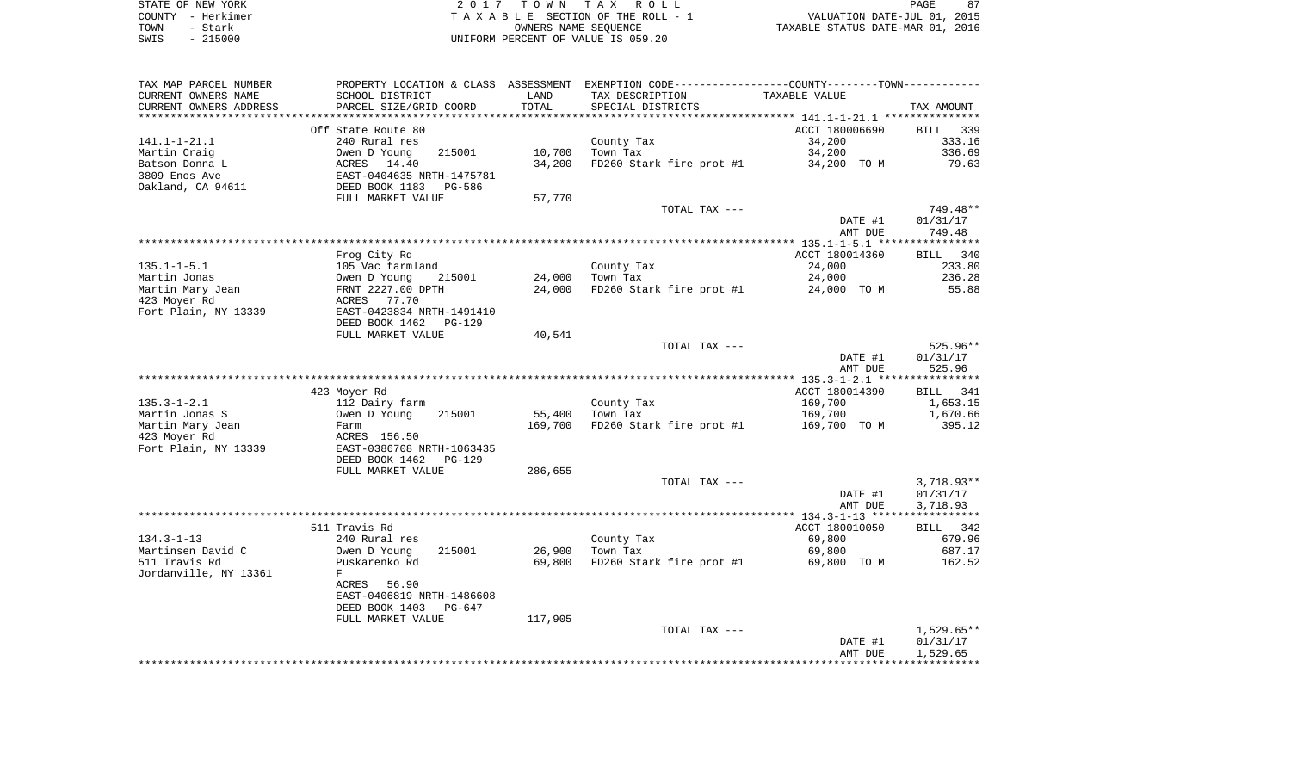|      | STATE OF NEW YORK | 2017 TOWN TAX ROLL                 | PAGE                             | 87 |
|------|-------------------|------------------------------------|----------------------------------|----|
|      | COUNTY - Herkimer | TAXABLE SECTION OF THE ROLL - 1    | VALUATION DATE-JUL 01, 2015      |    |
| TOWN | - Stark           | OWNERS NAME SEOUENCE               | TAXABLE STATUS DATE-MAR 01, 2016 |    |
| SWIS | $-215000$         | UNIFORM PERCENT OF VALUE IS 059.20 |                                  |    |

| TAX MAP PARCEL NUMBER  |                                                           |         | PROPERTY LOCATION & CLASS ASSESSMENT EXEMPTION CODE---------------COUNTY-------TOWN---------- |                    |                    |
|------------------------|-----------------------------------------------------------|---------|-----------------------------------------------------------------------------------------------|--------------------|--------------------|
| CURRENT OWNERS NAME    | SCHOOL DISTRICT                                           | LAND    | TAX DESCRIPTION                                                                               | TAXABLE VALUE      |                    |
| CURRENT OWNERS ADDRESS | PARCEL SIZE/GRID COORD                                    | TOTAL   | SPECIAL DISTRICTS                                                                             |                    | TAX AMOUNT         |
| *********************  |                                                           |         |                                                                                               |                    |                    |
|                        | Off State Route 80                                        |         |                                                                                               | ACCT 180006690     | BILL 339           |
| 141.1-1-21.1           | 240 Rural res                                             |         | County Tax                                                                                    | 34,200             | 333.16             |
| Martin Craig           | Owen D Young<br>215001                                    | 10,700  | Town Tax                                                                                      | 34,200             | 336.69             |
| Batson Donna L         | ACRES 14.40                                               | 34,200  | FD260 Stark fire prot #1                                                                      | 34,200 TO M        | 79.63              |
| 3809 Enos Ave          | ---<br>EAST-0404635 NRTH-1475781<br>DEED BOOK 1183 PG-586 |         |                                                                                               |                    |                    |
| Oakland, CA 94611      |                                                           |         |                                                                                               |                    |                    |
|                        | FULL MARKET VALUE                                         | 57,770  |                                                                                               |                    |                    |
|                        |                                                           |         | TOTAL TAX ---                                                                                 |                    | 749.48**           |
|                        |                                                           |         |                                                                                               | DATE #1<br>AMT DUE | 01/31/17<br>749.48 |
|                        |                                                           |         |                                                                                               |                    |                    |
|                        | Frog City Rd                                              |         |                                                                                               | ACCT 180014360     | BILL 340           |
| $135.1 - 1 - 5.1$      | 105 Vac farmland                                          |         | County Tax                                                                                    | 24,000             | 233.80             |
| Martin Jonas           | 215001                                                    | 24,000  | Town Tax                                                                                      | 24,000             | 236.28             |
| Martin Mary Jean       | Owen D Young 21<br>FRNT 2227.00 DPTH                      | 24,000  | FD260 Stark fire prot #1                                                                      | 24,000 TO M        | 55.88              |
| 423 Moyer Rd           | ACRES 77.70                                               |         |                                                                                               |                    |                    |
| Fort Plain, NY 13339   | EAST-0423834 NRTH-1491410                                 |         |                                                                                               |                    |                    |
|                        | DEED BOOK 1462<br>PG-129                                  |         |                                                                                               |                    |                    |
|                        | FULL MARKET VALUE                                         | 40,541  |                                                                                               |                    |                    |
|                        |                                                           |         | TOTAL TAX ---                                                                                 |                    | 525.96**           |
|                        |                                                           |         |                                                                                               | DATE #1            | 01/31/17           |
|                        |                                                           |         |                                                                                               | AMT DUE            | 525.96             |
|                        |                                                           |         |                                                                                               |                    |                    |
|                        | 423 Moyer Rd                                              |         |                                                                                               | ACCT 180014390     | 341<br>BILL        |
| $135.3 - 1 - 2.1$      | 112 Dairy farm                                            |         | County Tax                                                                                    | 169,700            | 1,653.15           |
| Martin Jonas S         | Owen D Young<br>215001                                    | 55,400  | Town Tax                                                                                      | 169,700            | 1,670.66           |
| Martin Mary Jean       | Farm                                                      | 169,700 | FD260 Stark fire prot #1                                                                      | 169,700 TO M       | 395.12             |
| 423 Moyer Rd           | ACRES 156.50                                              |         |                                                                                               |                    |                    |
| Fort Plain, NY 13339   | EAST-0386708 NRTH-1063435                                 |         |                                                                                               |                    |                    |
|                        | DEED BOOK 1462<br>PG-129                                  |         |                                                                                               |                    |                    |
|                        | FULL MARKET VALUE                                         | 286,655 | TOTAL TAX ---                                                                                 |                    | $3,718.93**$       |
|                        |                                                           |         |                                                                                               | DATE #1            | 01/31/17           |
|                        |                                                           |         |                                                                                               | AMT DUE            | 3,718.93           |
|                        |                                                           |         |                                                                                               |                    |                    |
|                        | 511 Travis Rd                                             |         |                                                                                               | ACCT 180010050     | BILL 342           |
| $134.3 - 1 - 13$       | 240 Rural res                                             |         | County Tax                                                                                    | 69,800             | 679.96             |
| Martinsen David C      | 215001<br>Owen D Young                                    | 26,900  | Town Tax                                                                                      | 69,800             | 687.17             |
| 511 Travis Rd          | Puskarenko Rd                                             | 69,800  | FD260 Stark fire prot #1                                                                      | 69,800 TO M        | 162.52             |
| Jordanville, NY 13361  | F                                                         |         |                                                                                               |                    |                    |
|                        | ACRES 56.90                                               |         |                                                                                               |                    |                    |
|                        | EAST-0406819 NRTH-1486608                                 |         |                                                                                               |                    |                    |
|                        | DEED BOOK 1403<br>PG-647                                  |         |                                                                                               |                    |                    |
|                        | FULL MARKET VALUE                                         | 117,905 |                                                                                               |                    |                    |
|                        |                                                           |         | TOTAL TAX ---                                                                                 |                    | $1,529.65**$       |
|                        |                                                           |         |                                                                                               | DATE #1            | 01/31/17           |
|                        |                                                           |         |                                                                                               | AMT DUE            | 1,529.65           |
|                        |                                                           |         |                                                                                               |                    |                    |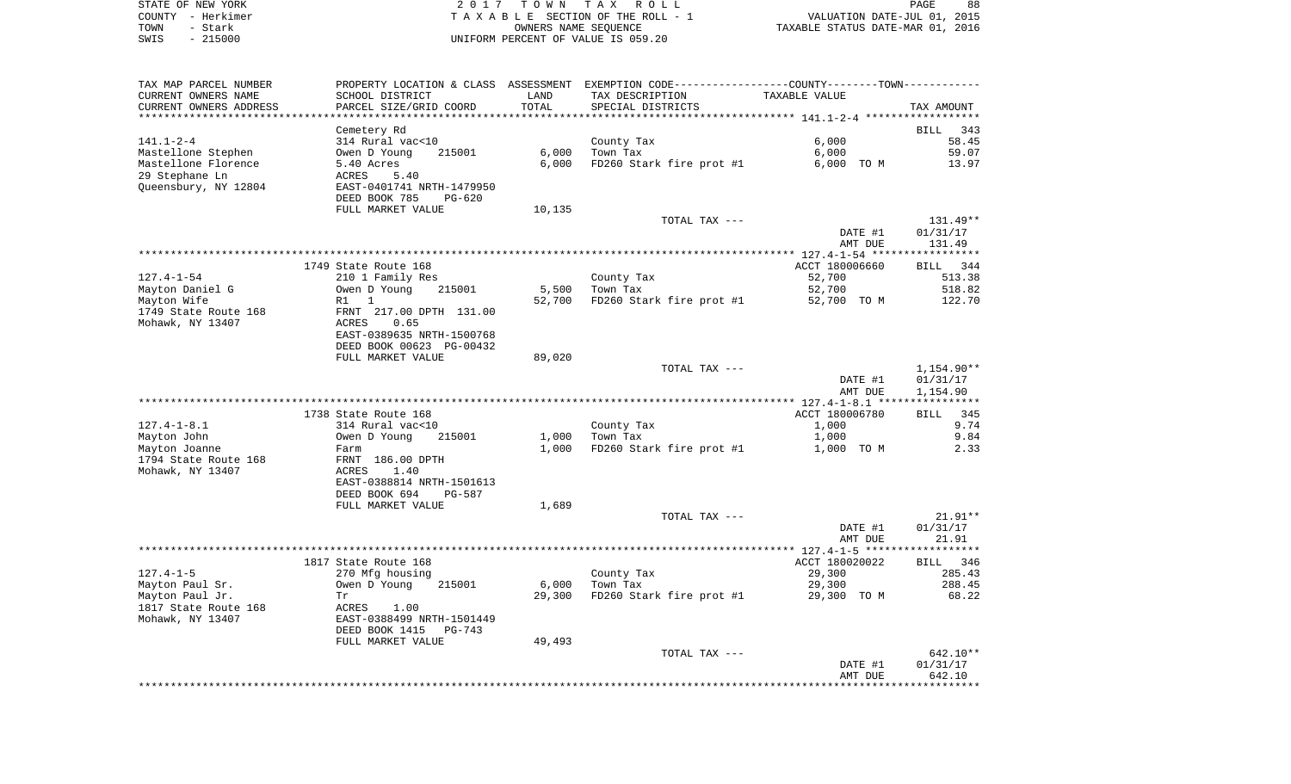|      | STATE OF NEW YORK | 2017 TOWN TAX ROLL                 | 88<br>PAGE                       |
|------|-------------------|------------------------------------|----------------------------------|
|      | COUNTY - Herkimer | TAXABLE SECTION OF THE ROLL - 1    | VALUATION DATE-JUL 01, 2015      |
| TOWN | - Stark           | OWNERS NAME SEOUENCE               | TAXABLE STATUS DATE-MAR 01, 2016 |
| SWIS | $-215000$         | UNIFORM PERCENT OF VALUE IS 059.20 |                                  |

| TAX MAP PARCEL NUMBER<br>CURRENT OWNERS NAME | SCHOOL DISTRICT                                       | LAND   | PROPERTY LOCATION & CLASS ASSESSMENT EXEMPTION CODE---------------COUNTY--------TOWN----------<br>TAX DESCRIPTION | TAXABLE VALUE      |                      |
|----------------------------------------------|-------------------------------------------------------|--------|-------------------------------------------------------------------------------------------------------------------|--------------------|----------------------|
| CURRENT OWNERS ADDRESS                       | PARCEL SIZE/GRID COORD                                | TOTAL  | SPECIAL DISTRICTS<br>*********************************** 141.1-2-4 ******                                         |                    | TAX AMOUNT           |
|                                              | Cemetery Rd                                           |        |                                                                                                                   |                    | <b>BILL</b><br>343   |
| $141.1 - 2 - 4$                              | 314 Rural vac<10                                      |        | County Tax                                                                                                        | 6.000              | 58.45                |
| Mastellone Stephen                           | Owen D Young<br>215001                                | 6,000  | Town Tax                                                                                                          | 6,000              | 59.07                |
| Mastellone Florence                          | 5.40 Acres                                            | 6,000  | FD260 Stark fire prot #1                                                                                          | 6,000 TO M         | 13.97                |
| 29 Stephane Ln                               | ACRES<br>5.40                                         |        |                                                                                                                   |                    |                      |
| Queensbury, NY 12804                         | EAST-0401741 NRTH-1479950                             |        |                                                                                                                   |                    |                      |
|                                              | DEED BOOK 785<br>$PG-620$                             |        |                                                                                                                   |                    |                      |
|                                              | FULL MARKET VALUE                                     | 10,135 |                                                                                                                   |                    |                      |
|                                              |                                                       |        | TOTAL TAX ---                                                                                                     | DATE #1            | 131.49**<br>01/31/17 |
|                                              |                                                       |        |                                                                                                                   | AMT DUE            | 131.49               |
|                                              |                                                       |        |                                                                                                                   |                    |                      |
|                                              | 1749 State Route 168                                  |        |                                                                                                                   | ACCT 180006660     | BILL 344             |
| 127.4-1-54                                   | 210 1 Family Res                                      |        | County Tax                                                                                                        | 52,700             | 513.38               |
| Mayton Daniel G                              | Owen D Young<br>215001                                | 5,500  | Town Tax                                                                                                          | 52,700             | 518.82               |
| Mayton Wife                                  | $R1$ 1                                                | 52,700 | FD260 Stark fire prot #1                                                                                          | 52,700 TO M        | 122.70               |
| 1749 State Route 168                         | FRNT 217.00 DPTH 131.00                               |        |                                                                                                                   |                    |                      |
| Mohawk, NY 13407                             | ACRES<br>0.65                                         |        |                                                                                                                   |                    |                      |
|                                              | EAST-0389635 NRTH-1500768<br>DEED BOOK 00623 PG-00432 |        |                                                                                                                   |                    |                      |
|                                              | FULL MARKET VALUE                                     | 89,020 |                                                                                                                   |                    |                      |
|                                              |                                                       |        | TOTAL TAX ---                                                                                                     |                    | 1,154.90**           |
|                                              |                                                       |        |                                                                                                                   | DATE #1            | 01/31/17             |
|                                              |                                                       |        |                                                                                                                   | AMT DUE            | 1,154.90             |
|                                              |                                                       |        |                                                                                                                   |                    |                      |
|                                              | 1738 State Route 168                                  |        |                                                                                                                   | ACCT 180006780     | 345<br>BILL          |
| $127.4 - 1 - 8.1$                            | 314 Rural vac<10                                      |        | County Tax                                                                                                        | 1,000              | 9.74                 |
| Mayton John                                  | Owen D Young<br>215001                                | 1,000  | Town Tax                                                                                                          | 1,000              | 9.84                 |
| Mayton Joanne<br>1794 State Route 168        | Farm<br>FRNT 186.00 DPTH                              | 1,000  | FD260 Stark fire prot #1                                                                                          | 1,000 TO M         | 2.33                 |
| Mohawk, NY 13407                             | 1.40<br>ACRES                                         |        |                                                                                                                   |                    |                      |
|                                              | EAST-0388814 NRTH-1501613                             |        |                                                                                                                   |                    |                      |
|                                              | DEED BOOK 694<br>PG-587                               |        |                                                                                                                   |                    |                      |
|                                              | FULL MARKET VALUE                                     | 1,689  |                                                                                                                   |                    |                      |
|                                              |                                                       |        | TOTAL TAX ---                                                                                                     |                    | 21.91**              |
|                                              |                                                       |        |                                                                                                                   | DATE #1            | 01/31/17             |
|                                              |                                                       |        |                                                                                                                   | AMT DUE            | 21.91                |
|                                              |                                                       |        |                                                                                                                   | ACCT 180020022     |                      |
| $127.4 - 1 - 5$                              | 1817 State Route 168<br>270 Mfg housing               |        | County Tax                                                                                                        | 29,300             | BILL 346<br>285.43   |
| Mayton Paul Sr.                              | 215001<br>Owen D Young                                | 6,000  | Town Tax                                                                                                          | 29,300             | 288.45               |
| Mayton Paul Jr.                              | Tr                                                    | 29,300 | FD260 Stark fire prot #1                                                                                          | 29,300 TO M        | 68.22                |
| 1817 State Route 168                         | ACRES<br>1.00                                         |        |                                                                                                                   |                    |                      |
| Mohawk, NY 13407                             | EAST-0388499 NRTH-1501449                             |        |                                                                                                                   |                    |                      |
|                                              | DEED BOOK 1415<br>PG-743                              |        |                                                                                                                   |                    |                      |
|                                              | FULL MARKET VALUE                                     | 49,493 |                                                                                                                   |                    |                      |
|                                              |                                                       |        | TOTAL TAX ---                                                                                                     |                    | $642.10**$           |
|                                              |                                                       |        |                                                                                                                   | DATE #1<br>AMT DUE | 01/31/17<br>642.10   |
|                                              |                                                       |        |                                                                                                                   |                    |                      |
|                                              |                                                       |        |                                                                                                                   |                    |                      |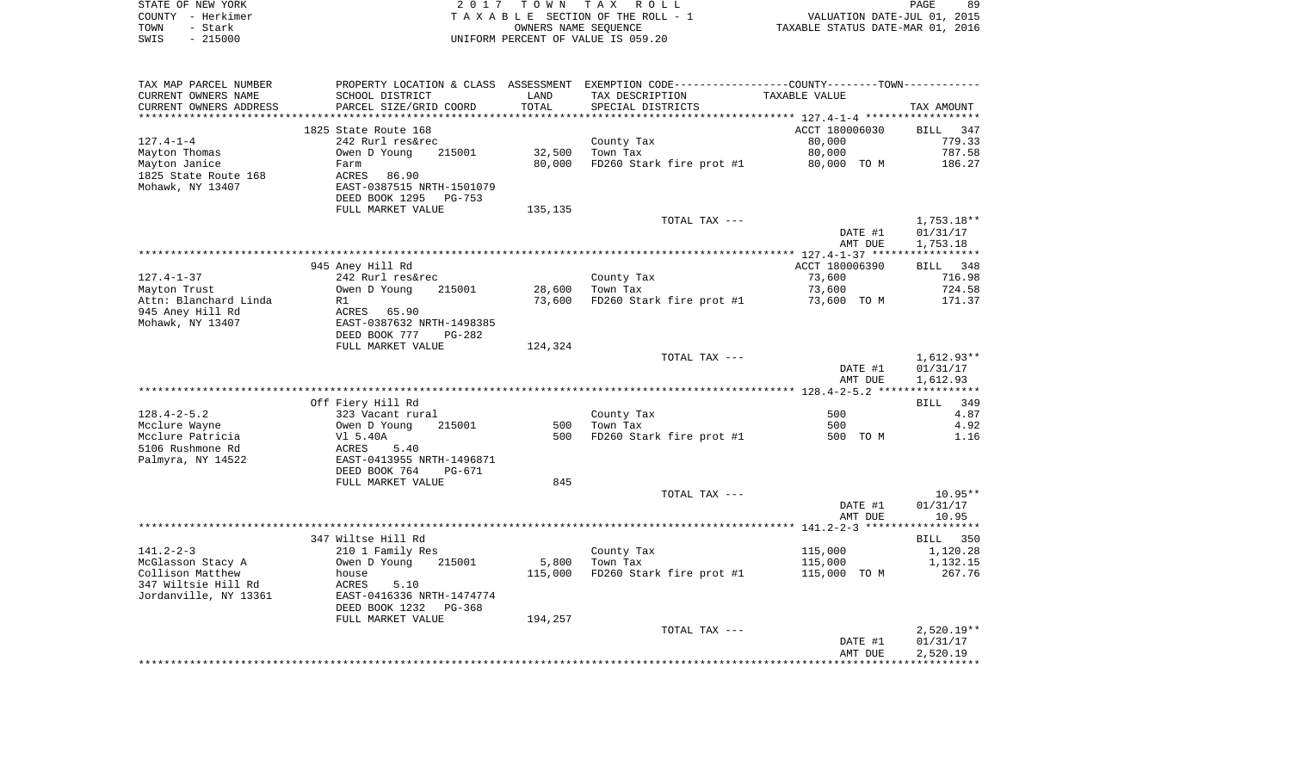|      | STATE OF NEW YORK | 2017 TOWN TAX ROLL                 |                                  | PAGE | 89 |
|------|-------------------|------------------------------------|----------------------------------|------|----|
|      | COUNTY - Herkimer | TAXABLE SECTION OF THE ROLL - 1    | VALUATION DATE-JUL 01, 2015      |      |    |
| TOWN | – Stark           | OWNERS NAME SEOUENCE               | TAXABLE STATUS DATE-MAR 01, 2016 |      |    |
| SWIS | $-215000$         | UNIFORM PERCENT OF VALUE IS 059.20 |                                  |      |    |

| TAX MAP PARCEL NUMBER  |                           |         | PROPERTY LOCATION & CLASS ASSESSMENT EXEMPTION CODE---------------COUNTY-------TOWN--------- |                |              |
|------------------------|---------------------------|---------|----------------------------------------------------------------------------------------------|----------------|--------------|
| CURRENT OWNERS NAME    | SCHOOL DISTRICT           | LAND    | TAX DESCRIPTION                                                                              | TAXABLE VALUE  |              |
| CURRENT OWNERS ADDRESS | PARCEL SIZE/GRID COORD    | TOTAL   | SPECIAL DISTRICTS                                                                            |                | TAX AMOUNT   |
|                        |                           |         |                                                                                              |                |              |
|                        | 1825 State Route 168      |         |                                                                                              | ACCT 180006030 | BILL 347     |
| $127.4 - 1 - 4$        | 242 Rurl res&rec          |         | County Tax                                                                                   | 80,000         | 779.33       |
| Mayton Thomas          | 215001<br>Owen D Young    | 32,500  | Town Tax                                                                                     | 80,000         | 787.58       |
| Mayton Janice          | Farm                      | 80,000  | FD260 Stark fire prot #1                                                                     | 80,000 TO M    | 186.27       |
| 1825 State Route 168   | ACRES<br>86.90            |         |                                                                                              |                |              |
| Mohawk, NY 13407       | EAST-0387515 NRTH-1501079 |         |                                                                                              |                |              |
|                        |                           |         |                                                                                              |                |              |
|                        | DEED BOOK 1295<br>PG-753  |         |                                                                                              |                |              |
|                        | FULL MARKET VALUE         | 135,135 |                                                                                              |                |              |
|                        |                           |         | TOTAL TAX ---                                                                                |                | $1,753.18**$ |
|                        |                           |         |                                                                                              | DATE #1        | 01/31/17     |
|                        |                           |         |                                                                                              | AMT DUE        | 1,753.18     |
|                        |                           |         |                                                                                              |                |              |
|                        | 945 Aney Hill Rd          |         |                                                                                              | ACCT 180006390 | BILL 348     |
| $127.4 - 1 - 37$       | 242 Rurl res&rec          |         | County Tax                                                                                   | 73,600         | 716.98       |
| Mayton Trust           | 215001<br>Owen D Young    | 28,600  | Town Tax                                                                                     | 73,600         | 724.58       |
| Attn: Blanchard Linda  | R1                        | 73,600  | FD260 Stark fire prot #1                                                                     | 73,600 TO M    | 171.37       |
| 945 Aney Hill Rd       | ACRES 65.90               |         |                                                                                              |                |              |
| Mohawk, NY 13407       | EAST-0387632 NRTH-1498385 |         |                                                                                              |                |              |
|                        | DEED BOOK 777<br>$PG-282$ |         |                                                                                              |                |              |
|                        | FULL MARKET VALUE         | 124,324 |                                                                                              |                |              |
|                        |                           |         | TOTAL TAX ---                                                                                |                | 1,612.93**   |
|                        |                           |         |                                                                                              | DATE #1        | 01/31/17     |
|                        |                           |         |                                                                                              | AMT DUE        | 1,612.93     |
|                        |                           |         |                                                                                              |                |              |
|                        | Off Fiery Hill Rd         |         |                                                                                              |                | BILL 349     |
| $128.4 - 2 - 5.2$      | 323 Vacant rural          |         | County Tax                                                                                   | 500            | 4.87         |
|                        |                           |         | 500 Town Tax                                                                                 | 500            | 4.92         |
| Mcclure Wayne          | Owen D Young<br>215001    | 500     |                                                                                              |                |              |
| Mcclure Patricia       | Vl 5.40A                  |         | FD260 Stark fire prot #1                                                                     | 500 TO M       | 1.16         |
| 5106 Rushmone Rd       | ACRES<br>5.40             |         |                                                                                              |                |              |
| Palmyra, NY 14522      | EAST-0413955 NRTH-1496871 |         |                                                                                              |                |              |
|                        | DEED BOOK 764<br>PG-671   |         |                                                                                              |                |              |
|                        | FULL MARKET VALUE         | 845     |                                                                                              |                |              |
|                        |                           |         | TOTAL TAX ---                                                                                |                | $10.95**$    |
|                        |                           |         |                                                                                              | DATE #1        | 01/31/17     |
|                        |                           |         |                                                                                              | AMT DUE        | 10.95        |
|                        |                           |         |                                                                                              |                |              |
|                        | 347 Wiltse Hill Rd        |         |                                                                                              |                | BILL 350     |
| $141.2 - 2 - 3$        | 210 1 Family Res          |         | County Tax                                                                                   | 115,000        | 1,120.28     |
| McGlasson Stacy A      | Owen D Young<br>215001    | 5,800   | Town Tax                                                                                     | 115,000        | 1,132.15     |
| Collison Matthew       | house                     | 115,000 | FD260 Stark fire prot #1                                                                     | 115,000 TO M   | 267.76       |
| 347 Wiltsie Hill Rd    | ACRES<br>5.10             |         |                                                                                              |                |              |
| Jordanville, NY 13361  | EAST-0416336 NRTH-1474774 |         |                                                                                              |                |              |
|                        | DEED BOOK 1232<br>PG-368  |         |                                                                                              |                |              |
|                        | FULL MARKET VALUE         | 194,257 |                                                                                              |                |              |
|                        |                           |         | TOTAL TAX ---                                                                                |                | $2,520.19**$ |
|                        |                           |         |                                                                                              | DATE #1        | 01/31/17     |
|                        |                           |         |                                                                                              | AMT DUE        | 2,520.19     |
|                        |                           |         |                                                                                              |                |              |
|                        |                           |         |                                                                                              |                |              |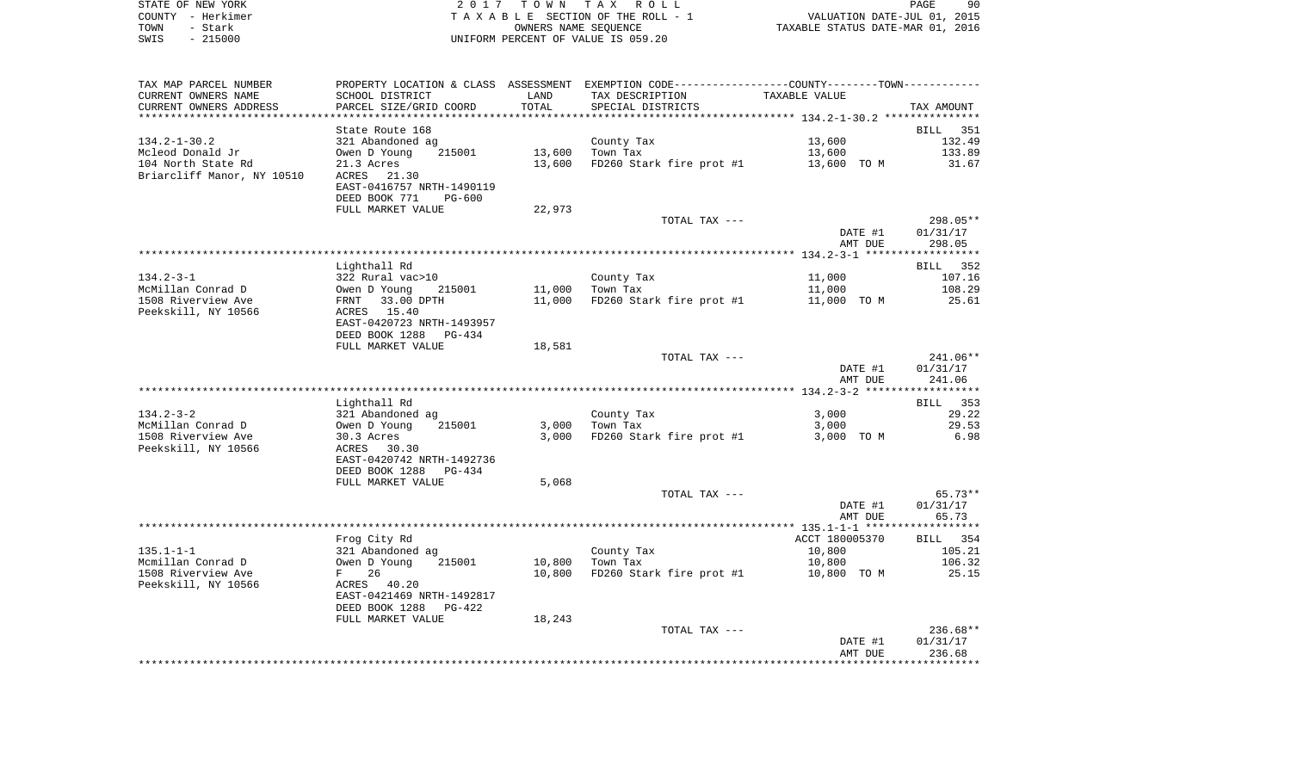| STATE OF NEW YORK | 2017 TOWN TAX ROLL                 | 90<br>PAGE                       |
|-------------------|------------------------------------|----------------------------------|
| COUNTY - Herkimer | TAXABLE SECTION OF THE ROLL - 1    | VALUATION DATE-JUL 01, 2015      |
| TOWN<br>– Stark   | OWNERS NAME SEOUENCE               | TAXABLE STATUS DATE-MAR 01, 2016 |
| $-215000$<br>SWIS | UNIFORM PERCENT OF VALUE IS 059.20 |                                  |

| TAX MAP PARCEL NUMBER      | PROPERTY LOCATION & CLASS ASSESSMENT EXEMPTION CODE----------------COUNTY--------TOWN----------- |        |                          |                |                    |
|----------------------------|--------------------------------------------------------------------------------------------------|--------|--------------------------|----------------|--------------------|
| CURRENT OWNERS NAME        | SCHOOL DISTRICT                                                                                  | LAND   | TAX DESCRIPTION          | TAXABLE VALUE  |                    |
| CURRENT OWNERS ADDRESS     | PARCEL SIZE/GRID COORD                                                                           | TOTAL  | SPECIAL DISTRICTS        |                | TAX AMOUNT         |
| **********************     | ******************************                                                                   |        |                          |                |                    |
|                            | State Route 168                                                                                  |        |                          |                | <b>BILL</b><br>351 |
| $134.2 - 1 - 30.2$         | 321 Abandoned ag                                                                                 |        | County Tax               | 13,600         | 132.49             |
| Mcleod Donald Jr           | 215001<br>Owen D Young                                                                           | 13,600 | Town Tax                 | 13,600         | 133.89             |
| 104 North State Rd         | 21.3 Acres                                                                                       | 13,600 | FD260 Stark fire prot #1 | 13,600 TO M    | 31.67              |
| Briarcliff Manor, NY 10510 | ACRES<br>21.30                                                                                   |        |                          |                |                    |
|                            | EAST-0416757 NRTH-1490119                                                                        |        |                          |                |                    |
|                            | DEED BOOK 771<br><b>PG-600</b>                                                                   |        |                          |                |                    |
|                            | FULL MARKET VALUE                                                                                | 22,973 |                          |                |                    |
|                            |                                                                                                  |        | TOTAL TAX ---            |                | 298.05**           |
|                            |                                                                                                  |        |                          | DATE #1        | 01/31/17           |
|                            |                                                                                                  |        |                          | AMT DUE        | 298.05             |
|                            |                                                                                                  |        |                          |                |                    |
|                            | Lighthall Rd                                                                                     |        |                          |                | BILL 352           |
| $134.2 - 3 - 1$            | 322 Rural vac>10                                                                                 |        | County Tax               | 11,000         | 107.16             |
| McMillan Conrad D          | Owen D Young<br>215001                                                                           | 11,000 | Town Tax                 | 11,000         | 108.29             |
| 1508 Riverview Ave         | FRNT<br>33.00 DPTH                                                                               | 11,000 | FD260 Stark fire prot #1 | 11,000 TO M    | 25.61              |
| Peekskill, NY 10566        | ACRES 15.40                                                                                      |        |                          |                |                    |
|                            | EAST-0420723 NRTH-1493957                                                                        |        |                          |                |                    |
|                            | DEED BOOK 1288<br>PG-434                                                                         |        |                          |                |                    |
|                            | FULL MARKET VALUE                                                                                | 18,581 |                          |                |                    |
|                            |                                                                                                  |        | TOTAL TAX ---            |                | 241.06**           |
|                            |                                                                                                  |        |                          | DATE #1        | 01/31/17           |
|                            |                                                                                                  |        |                          | AMT DUE        | 241.06             |
|                            |                                                                                                  |        |                          |                |                    |
|                            | Lighthall Rd                                                                                     |        |                          |                | 353<br>BILL        |
| $134.2 - 3 - 2$            | 321 Abandoned ag                                                                                 |        | County Tax               | 3,000          | 29.22              |
| McMillan Conrad D          | Owen D Young<br>215001                                                                           | 3,000  | Town Tax                 | 3,000          | 29.53              |
| 1508 Riverview Ave         | 30.3 Acres                                                                                       | 3,000  | FD260 Stark fire prot #1 | 3,000 TO M     | 6.98               |
| Peekskill, NY 10566        | ACRES 30.30                                                                                      |        |                          |                |                    |
|                            | EAST-0420742 NRTH-1492736                                                                        |        |                          |                |                    |
|                            | DEED BOOK 1288<br>PG-434                                                                         |        |                          |                |                    |
|                            | FULL MARKET VALUE                                                                                | 5,068  |                          |                |                    |
|                            |                                                                                                  |        | TOTAL TAX ---            |                | $65.73**$          |
|                            |                                                                                                  |        |                          | DATE #1        | 01/31/17           |
|                            |                                                                                                  |        |                          | AMT DUE        | 65.73              |
|                            |                                                                                                  |        |                          |                |                    |
|                            | Frog City Rd                                                                                     |        |                          | ACCT 180005370 | BILL 354           |
| $135.1 - 1 - 1$            | 321 Abandoned ag                                                                                 |        | County Tax               | 10,800         | 105.21             |
| Mcmillan Conrad D          | Owen D Young<br>215001                                                                           | 10,800 | Town Tax                 | 10,800         | 106.32             |
| 1508 Riverview Ave         | 26<br>$F$ and $F$                                                                                | 10,800 | FD260 Stark fire prot #1 | 10,800 TO M    | 25.15              |
| Peekskill, NY 10566        | ACRES 40.20                                                                                      |        |                          |                |                    |
|                            | EAST-0421469 NRTH-1492817                                                                        |        |                          |                |                    |
|                            | DEED BOOK 1288<br>$PG-422$                                                                       |        |                          |                |                    |
|                            | FULL MARKET VALUE                                                                                | 18,243 |                          |                |                    |
|                            |                                                                                                  |        | TOTAL TAX ---            |                | 236.68**           |
|                            |                                                                                                  |        |                          | DATE #1        | 01/31/17           |
|                            |                                                                                                  |        |                          | AMT DUE        | 236.68             |
|                            |                                                                                                  |        |                          |                |                    |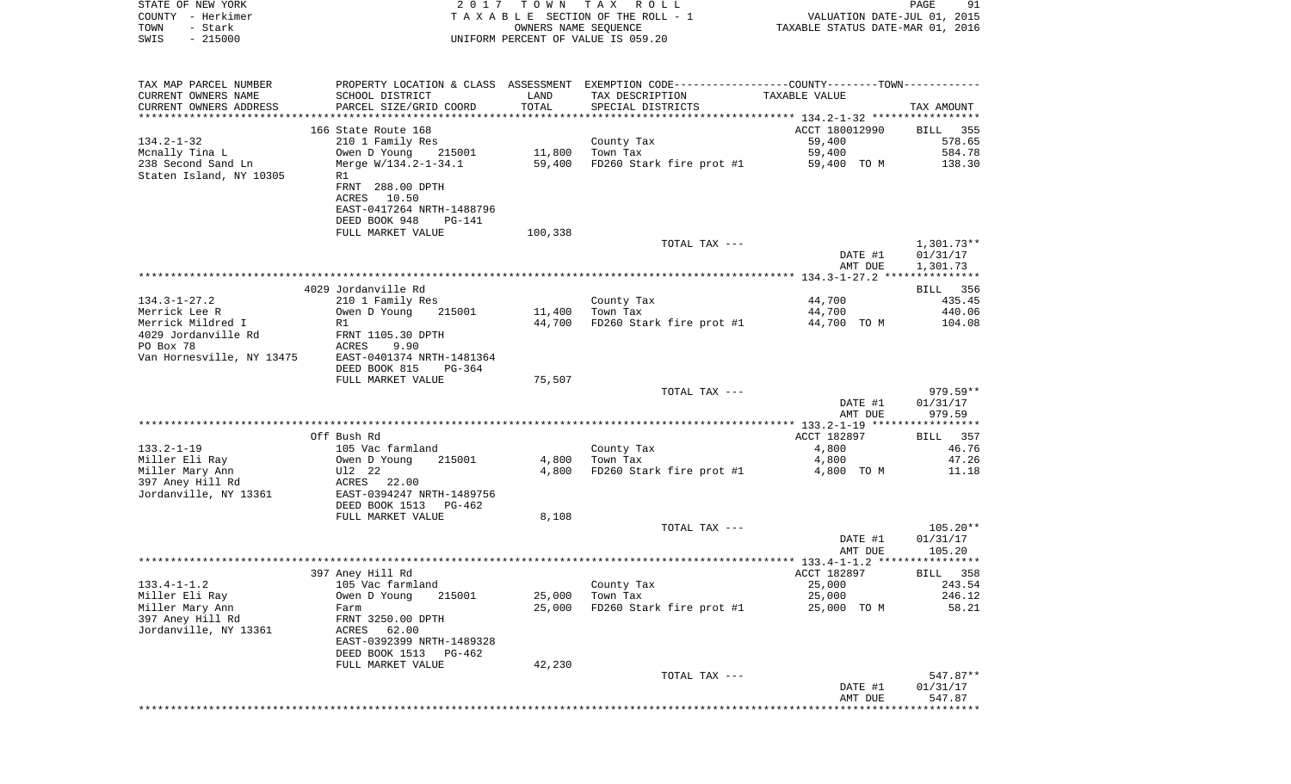| STATE OF NEW YORK<br>COUNTY - Herkimer<br>- Stark<br>TOWN<br>$-215000$<br>SWIS | 2 0 1 7                                                                                 |         | TOWN TAX ROLL<br>TAXABLE SECTION OF THE ROLL - 1<br>OWNERS NAME SEQUENCE<br>UNIFORM PERCENT OF VALUE IS 059.20 | VALUATION DATE-JUL 01, 2015<br>TAXABLE STATUS DATE-MAR 01, 2016 | PAGE<br>91                      |
|--------------------------------------------------------------------------------|-----------------------------------------------------------------------------------------|---------|----------------------------------------------------------------------------------------------------------------|-----------------------------------------------------------------|---------------------------------|
| TAX MAP PARCEL NUMBER<br>CURRENT OWNERS NAME                                   |                                                                                         | LAND    | PROPERTY LOCATION & CLASS ASSESSMENT EXEMPTION CODE---------------COUNTY-------TOWN----------                  | TAXABLE VALUE                                                   |                                 |
| CURRENT OWNERS ADDRESS                                                         | SCHOOL DISTRICT<br>PARCEL SIZE/GRID COORD                                               | TOTAL   | TAX DESCRIPTION<br>SPECIAL DISTRICTS                                                                           |                                                                 | TAX AMOUNT                      |
|                                                                                |                                                                                         |         |                                                                                                                |                                                                 |                                 |
| $134.2 - 1 - 32$<br>Mcnally Tina L                                             | 166 State Route 168<br>210 1 Family Res<br>Owen D Young 215001                          |         | County Tax<br>$11,800$ Town Tax                                                                                | ACCT 180012990<br>59,400<br>59,400                              | BILL<br>355<br>578.65<br>584.78 |
| 238 Second Sand Ln<br>Staten Island, NY 10305                                  | Merge W/134.2-1-34.1<br>R1                                                              |         | 59,400 FD260 Stark fire prot #1                                                                                | 59,400 TO M                                                     | 138.30                          |
|                                                                                | FRNT 288.00 DPTH<br>ACRES 10.50<br>EAST-0417264 NRTH-1488796<br>DEED BOOK 948<br>PG-141 |         |                                                                                                                |                                                                 |                                 |
|                                                                                | FULL MARKET VALUE                                                                       | 100,338 |                                                                                                                |                                                                 |                                 |
|                                                                                |                                                                                         |         | TOTAL TAX ---                                                                                                  | DATE #1                                                         | 1,301.73**<br>01/31/17          |
|                                                                                |                                                                                         |         |                                                                                                                | AMT DUE                                                         | 1,301.73                        |
|                                                                                | 4029 Jordanville Rd                                                                     |         |                                                                                                                |                                                                 | BILL 356                        |
| $134.3 - 1 - 27.2$                                                             | 210 1 Family Res                                                                        |         | County Tax                                                                                                     | 44,700                                                          | 435.45                          |
| Merrick Lee R                                                                  | Owen D Young<br>215001                                                                  |         | 11,400 Town Tax<br>FD260 Stark fire prot #1                                                                    | 44,700                                                          | 440.06                          |
| Merrick Mildred I<br>4029 Jordanville Rd                                       | R1<br>FRNT 1105.30 DPTH                                                                 | 44,700  |                                                                                                                | 44,700 TO M                                                     | 104.08                          |
| PO Box 78                                                                      | ACRES<br>9.90                                                                           |         |                                                                                                                |                                                                 |                                 |
| Van Hornesville, NY 13475                                                      | EAST-0401374 NRTH-1481364                                                               |         |                                                                                                                |                                                                 |                                 |
|                                                                                | DEED BOOK 815<br>PG-364                                                                 |         |                                                                                                                |                                                                 |                                 |
|                                                                                | FULL MARKET VALUE                                                                       | 75,507  | TOTAL TAX ---                                                                                                  |                                                                 | 979.59**                        |
|                                                                                |                                                                                         |         |                                                                                                                | DATE #1<br>AMT DUE                                              | 01/31/17<br>979.59              |
|                                                                                |                                                                                         |         |                                                                                                                |                                                                 |                                 |
| $133.2 - 1 - 19$                                                               | Off Bush Rd<br>105 Vac farmland                                                         |         | County Tax                                                                                                     | ACCT 182897<br>4,800                                            | BILL<br>357<br>46.76            |
| Miller Eli Ray                                                                 | Owen D Young<br>215001                                                                  | 4,800   | Town Tax                                                                                                       | 4,800                                                           | 47.26                           |
| Miller Mary Ann                                                                | Ul2 22                                                                                  | 4,800   | FD260 Stark fire prot #1                                                                                       | 4,800 TO M                                                      | 11.18                           |
| 397 Aney Hill Rd<br>Jordanville, NY 13361                                      | ACRES 22.00<br>EAST-0394247 NRTH-1489756                                                |         |                                                                                                                |                                                                 |                                 |
|                                                                                | DEED BOOK 1513 PG-462                                                                   |         |                                                                                                                |                                                                 |                                 |
|                                                                                | FULL MARKET VALUE                                                                       | 8,108   | TOTAL TAX ---                                                                                                  |                                                                 | $105.20**$                      |
|                                                                                |                                                                                         |         |                                                                                                                | DATE #1<br>AMT DUE                                              | 01/31/17<br>105.20              |
|                                                                                |                                                                                         |         |                                                                                                                |                                                                 |                                 |
| $133.4 - 1 - 1.2$                                                              | 397 Aney Hill Rd<br>105 Vac farmland                                                    |         | County Tax                                                                                                     | ACCT 182897<br>25,000                                           | BILL 358<br>243.54              |
| Miller Eli Ray                                                                 | Owen D Young<br>215001                                                                  | 25,000  | Town Tax                                                                                                       | 25,000                                                          | 246.12                          |
| Miller Mary Ann                                                                | Farm                                                                                    | 25,000  | FD260 Stark fire prot #1                                                                                       | 25,000 TO M                                                     | 58.21                           |
| 397 Aney Hill Rd<br>Jordanville, NY 13361                                      | FRNT 3250.00 DPTH<br>ACRES 62.00                                                        |         |                                                                                                                |                                                                 |                                 |
|                                                                                | EAST-0392399 NRTH-1489328<br>DEED BOOK 1513<br>PG-462                                   |         |                                                                                                                |                                                                 |                                 |
|                                                                                | FULL MARKET VALUE                                                                       | 42,230  |                                                                                                                |                                                                 |                                 |
|                                                                                |                                                                                         |         | TOTAL TAX ---                                                                                                  | DATE #1                                                         | 547.87**<br>01/31/17            |
|                                                                                |                                                                                         |         |                                                                                                                | AMT DUE<br>*********************************                    | 547.87                          |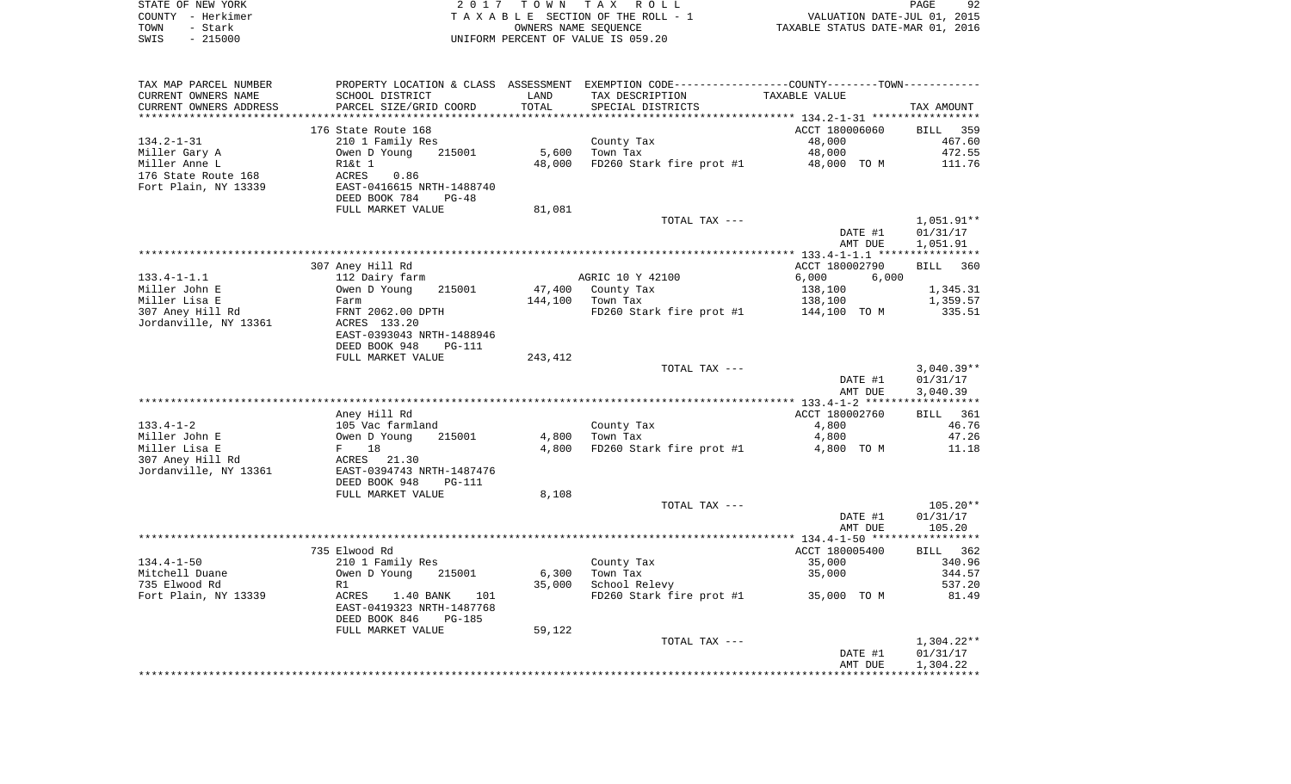|      | STATE OF NEW YORK | 2017 TOWN TAX ROLL                 | PAGE                             | 92 |
|------|-------------------|------------------------------------|----------------------------------|----|
|      | COUNTY - Herkimer | TAXABLE SECTION OF THE ROLL - 1    | VALUATION DATE-JUL 01, 2015      |    |
| TOWN | - Stark           | OWNERS NAME SEOUENCE               | TAXABLE STATUS DATE-MAR 01, 2016 |    |
| SWIS | - 215000          | UNIFORM PERCENT OF VALUE IS 059.20 |                                  |    |

| TAX MAP PARCEL NUMBER  |                                |         | PROPERTY LOCATION & CLASS ASSESSMENT EXEMPTION CODE----------------COUNTY-------TOWN---------- |                |              |
|------------------------|--------------------------------|---------|------------------------------------------------------------------------------------------------|----------------|--------------|
| CURRENT OWNERS NAME    | SCHOOL DISTRICT                | LAND    | TAX DESCRIPTION                                                                                | TAXABLE VALUE  |              |
| CURRENT OWNERS ADDRESS | PARCEL SIZE/GRID COORD         | TOTAL   | SPECIAL DISTRICTS                                                                              |                | TAX AMOUNT   |
|                        |                                |         |                                                                                                |                |              |
|                        | 176 State Route 168            |         |                                                                                                | ACCT 180006060 | BILL 359     |
| $134.2 - 1 - 31$       | 210 1 Family Res               |         | County Tax                                                                                     | 48,000         | 467.60       |
| Miller Gary A          | 215001<br>Owen D Young         | 5,600   | Town Tax                                                                                       | 48,000         | 472.55       |
| Miller Anne L          | R1&t 1                         | 48,000  | FD260 Stark fire prot #1                                                                       | 48,000 TO M    | 111.76       |
| 176 State Route 168    | ACRES<br>0.86                  |         |                                                                                                |                |              |
| Fort Plain, NY 13339   | EAST-0416615 NRTH-1488740      |         |                                                                                                |                |              |
|                        | DEED BOOK 784<br>$PG-48$       |         |                                                                                                |                |              |
|                        | FULL MARKET VALUE              | 81,081  |                                                                                                |                |              |
|                        |                                |         | TOTAL TAX ---                                                                                  |                | $1,051.91**$ |
|                        |                                |         |                                                                                                | DATE #1        | 01/31/17     |
|                        |                                |         |                                                                                                | AMT DUE        | 1,051.91     |
|                        |                                |         |                                                                                                |                |              |
|                        |                                |         |                                                                                                |                |              |
|                        | 307 Aney Hill Rd               |         |                                                                                                | ACCT 180002790 | BILL<br>360  |
| $133.4 - 1 - 1.1$      | 112 Dairy farm                 |         | AGRIC 10 Y 42100                                                                               | 6,000<br>6,000 |              |
| Miller John E          | Owen D Young<br>215001         | 47,400  | County Tax                                                                                     | 138,100        | 1,345.31     |
| Miller Lisa E          | Farm                           | 144,100 | Town Tax                                                                                       | 138,100        | 1,359.57     |
| 307 Aney Hill Rd       | FRNT 2062.00 DPTH              |         | FD260 Stark fire prot #1                                                                       | 144,100 TO M   | 335.51       |
| Jordanville, NY 13361  | ACRES 133.20                   |         |                                                                                                |                |              |
|                        | EAST-0393043 NRTH-1488946      |         |                                                                                                |                |              |
|                        | DEED BOOK 948<br><b>PG-111</b> |         |                                                                                                |                |              |
|                        | FULL MARKET VALUE              | 243,412 |                                                                                                |                |              |
|                        |                                |         | TOTAL TAX ---                                                                                  |                | $3,040.39**$ |
|                        |                                |         |                                                                                                | DATE #1        | 01/31/17     |
|                        |                                |         |                                                                                                | AMT DUE        | 3,040.39     |
|                        |                                |         |                                                                                                |                |              |
|                        | Aney Hill Rd                   |         |                                                                                                | ACCT 180002760 | BILL 361     |
| $133.4 - 1 - 2$        | 105 Vac farmland               |         | County Tax                                                                                     | 4,800          | 46.76        |
| Miller John E          | Owen D Young<br>215001         | 4,800   | Town Tax                                                                                       | 4,800          | 47.26        |
| Miller Lisa E          | 18<br>$F$ and $F$              | 4,800   | FD260 Stark fire prot #1                                                                       | 4,800 TO M     | 11.18        |
| 307 Aney Hill Rd       | ACRES 21.30                    |         |                                                                                                |                |              |
| Jordanville, NY 13361  | EAST-0394743 NRTH-1487476      |         |                                                                                                |                |              |
|                        | DEED BOOK 948<br><b>PG-111</b> |         |                                                                                                |                |              |
|                        | FULL MARKET VALUE              | 8,108   |                                                                                                |                |              |
|                        |                                |         | TOTAL TAX ---                                                                                  |                | $105.20**$   |
|                        |                                |         |                                                                                                | DATE #1        | 01/31/17     |
|                        |                                |         |                                                                                                | AMT DUE        | 105.20       |
|                        |                                |         |                                                                                                |                |              |
|                        | 735 Elwood Rd                  |         |                                                                                                | ACCT 180005400 | BILL 362     |
| $134.4 - 1 - 50$       | 210 1 Family Res               |         | County Tax                                                                                     | 35,000         | 340.96       |
| Mitchell Duane         | Owen D Young<br>215001         | 6,300   | Town Tax                                                                                       | 35,000         | 344.57       |
| 735 Elwood Rd          | R1                             | 35,000  | School Relevy                                                                                  |                | 537.20       |
| Fort Plain, NY 13339   | ACRES<br>1.40 BANK<br>101      |         | FD260 Stark fire prot #1                                                                       | 35,000 TO M    | 81.49        |
|                        | EAST-0419323 NRTH-1487768      |         |                                                                                                |                |              |
|                        |                                |         |                                                                                                |                |              |
|                        | DEED BOOK 846<br><b>PG-185</b> |         |                                                                                                |                |              |
|                        | FULL MARKET VALUE              | 59,122  |                                                                                                |                |              |
|                        |                                |         | TOTAL TAX ---                                                                                  |                | $1,304.22**$ |
|                        |                                |         |                                                                                                | DATE #1        | 01/31/17     |
|                        |                                |         |                                                                                                | AMT DUE        | 1,304.22     |
|                        |                                |         |                                                                                                |                |              |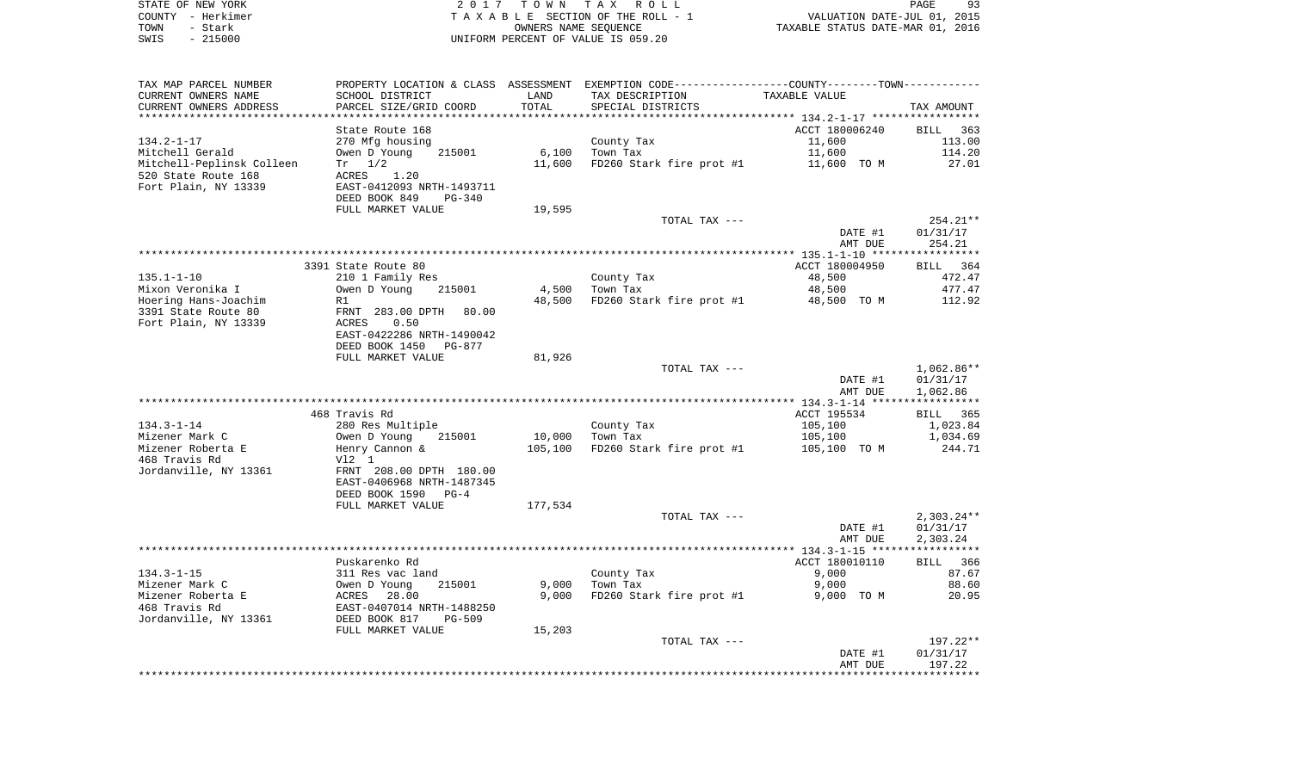| STATE OF NEW YORK | 2017 TOWN TAX ROLL                 | 93<br><b>PAGE</b>                |
|-------------------|------------------------------------|----------------------------------|
| COUNTY - Herkimer | TAXABLE SECTION OF THE ROLL - 1    | VALUATION DATE-JUL 01, 2015      |
| TOWN<br>- Stark   | OWNERS NAME SEOUENCE               | TAXABLE STATUS DATE-MAR 01, 2016 |
| - 215000<br>SWIS  | UNIFORM PERCENT OF VALUE IS 059.20 |                                  |

 $93$ <br> $2015$ <br> $2016$ 

| TAX MAP PARCEL NUMBER     | PROPERTY LOCATION & CLASS ASSESSMENT |         | EXEMPTION CODE-----------------COUNTY-------TOWN----------- |                                                   |                       |
|---------------------------|--------------------------------------|---------|-------------------------------------------------------------|---------------------------------------------------|-----------------------|
| CURRENT OWNERS NAME       | SCHOOL DISTRICT                      | LAND    | TAX DESCRIPTION                                             | TAXABLE VALUE                                     |                       |
| CURRENT OWNERS ADDRESS    | PARCEL SIZE/GRID COORD               | TOTAL   | SPECIAL DISTRICTS                                           |                                                   | TAX AMOUNT            |
|                           |                                      |         | ****************************                                | ******************* 134.2-1-17 ****************** |                       |
|                           | State Route 168                      |         |                                                             | ACCT 180006240                                    | BILL 363              |
| $134.2 - 1 - 17$          | 270 Mfg housing                      |         | County Tax                                                  | 11,600                                            | 113.00                |
| Mitchell Gerald           | Owen D Young<br>215001               | 6,100   | Town Tax                                                    | 11,600                                            | 114.20                |
|                           | $Tr \t1/2$                           | 11,600  | FD260 Stark fire prot #1                                    | 11,600 TO M                                       | 27.01                 |
| Mitchell-Peplinsk Colleen |                                      |         |                                                             |                                                   |                       |
| 520 State Route 168       | ACRES<br>1.20                        |         |                                                             |                                                   |                       |
| Fort Plain, NY 13339      | EAST-0412093 NRTH-1493711            |         |                                                             |                                                   |                       |
|                           | DEED BOOK 849<br>$PG-340$            |         |                                                             |                                                   |                       |
|                           | FULL MARKET VALUE                    | 19,595  |                                                             |                                                   |                       |
|                           |                                      |         | TOTAL TAX ---                                               |                                                   | 254.21**              |
|                           |                                      |         |                                                             | DATE #1                                           | 01/31/17              |
|                           |                                      |         |                                                             | AMT DUE                                           | 254.21                |
|                           |                                      |         |                                                             |                                                   |                       |
|                           | 3391 State Route 80                  |         |                                                             | ACCT 180004950                                    | BILL 364              |
| $135.1 - 1 - 10$          | 210 1 Family Res                     |         | County Tax                                                  | 48,500                                            | 472.47                |
| Mixon Veronika I          | Owen D Young<br>215001               | 4,500   | Town Tax                                                    | 48,500                                            | 477.47                |
| Hoering Hans-Joachim      | R1                                   | 48,500  | FD260 Stark fire prot #1                                    | 48,500 TO M                                       | 112.92                |
| 3391 State Route 80       | FRNT 283.00 DPTH<br>80.00            |         |                                                             |                                                   |                       |
| Fort Plain, NY 13339      | 0.50<br>ACRES                        |         |                                                             |                                                   |                       |
|                           | EAST-0422286 NRTH-1490042            |         |                                                             |                                                   |                       |
|                           | DEED BOOK 1450 PG-877                |         |                                                             |                                                   |                       |
|                           | FULL MARKET VALUE                    | 81,926  |                                                             |                                                   |                       |
|                           |                                      |         | TOTAL TAX ---                                               |                                                   | $1,062.86**$          |
|                           |                                      |         |                                                             | DATE #1                                           | 01/31/17              |
|                           |                                      |         |                                                             | AMT DUE                                           | 1,062.86              |
|                           |                                      |         |                                                             |                                                   | ************          |
|                           | 468 Travis Rd                        |         |                                                             | ACCT 195534                                       | BILL 365              |
| $134.3 - 1 - 14$          | 280 Res Multiple                     |         | County Tax                                                  | 105,100                                           | 1,023.84              |
| Mizener Mark C            | Owen D Young<br>215001               | 10,000  | Town Tax                                                    | 105,100                                           | 1,034.69              |
| Mizener Roberta E         | Henry Cannon &                       | 105,100 | FD260 Stark fire prot #1                                    | 105,100 TO M                                      | 244.71                |
| 468 Travis Rd             | $V12$ 1                              |         |                                                             |                                                   |                       |
|                           |                                      |         |                                                             |                                                   |                       |
| Jordanville, NY 13361     | FRNT 208.00 DPTH 180.00              |         |                                                             |                                                   |                       |
|                           | EAST-0406968 NRTH-1487345            |         |                                                             |                                                   |                       |
|                           | DEED BOOK 1590<br>$PG-4$             |         |                                                             |                                                   |                       |
|                           | FULL MARKET VALUE                    | 177,534 |                                                             |                                                   |                       |
|                           |                                      |         | TOTAL TAX ---                                               |                                                   | $2,303.24**$          |
|                           |                                      |         |                                                             | DATE #1                                           | 01/31/17              |
|                           |                                      |         |                                                             | AMT DUE                                           | 2,303.24              |
|                           |                                      |         |                                                             |                                                   | * * * * * * * * * * * |
|                           | Puskarenko Rd                        |         |                                                             | ACCT 180010110                                    | BILL<br>366           |
| $134.3 - 1 - 15$          | 311 Res vac land                     |         | County Tax                                                  | 9,000                                             | 87.67                 |
| Mizener Mark C            | Owen D Young<br>215001               | 9,000   | Town Tax                                                    | 9,000                                             | 88.60                 |
| Mizener Roberta E         | 28.00<br>ACRES                       | 9,000   | FD260 Stark fire prot #1                                    | 9,000 TO M                                        | 20.95                 |
| 468 Travis Rd             | EAST-0407014 NRTH-1488250            |         |                                                             |                                                   |                       |
| Jordanville, NY 13361     | DEED BOOK 817<br>$PG-509$            |         |                                                             |                                                   |                       |
|                           | FULL MARKET VALUE                    | 15,203  |                                                             |                                                   |                       |
|                           |                                      |         | TOTAL TAX ---                                               |                                                   | 197.22**              |
|                           |                                      |         |                                                             | DATE #1                                           | 01/31/17              |
|                           |                                      |         |                                                             | AMT DUE                                           | 197.22                |
|                           |                                      |         |                                                             |                                                   | *************         |
|                           |                                      |         |                                                             |                                                   |                       |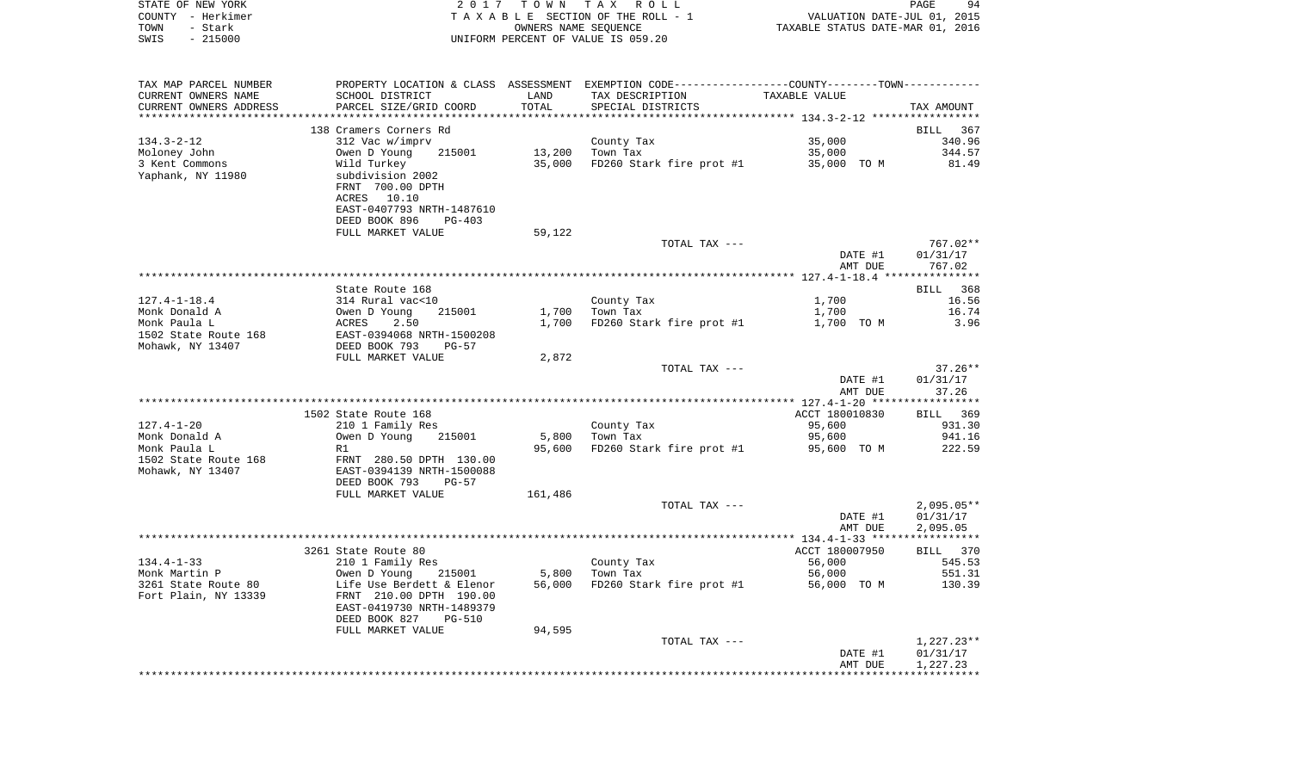|      | STATE OF NEW YORK | 2017 TOWN TAX ROLL                 | PAGE                             | 94 |
|------|-------------------|------------------------------------|----------------------------------|----|
|      | COUNTY - Herkimer | TAXABLE SECTION OF THE ROLL - 1    | VALUATION DATE-JUL 01, 2015      |    |
| TOWN | – Stark           | OWNERS NAME SEOUENCE               | TAXABLE STATUS DATE-MAR 01, 2016 |    |
| SWIS | $-215000$         | UNIFORM PERCENT OF VALUE IS 059.20 |                                  |    |

| TAX MAP PARCEL NUMBER  | PROPERTY LOCATION & CLASS ASSESSMENT |         | EXEMPTION CODE----------------COUNTY-------TOWN----------- |                                                   |              |
|------------------------|--------------------------------------|---------|------------------------------------------------------------|---------------------------------------------------|--------------|
| CURRENT OWNERS NAME    | SCHOOL DISTRICT                      | LAND    | TAX DESCRIPTION                                            | TAXABLE VALUE                                     |              |
| CURRENT OWNERS ADDRESS | PARCEL SIZE/GRID COORD               | TOTAL   | SPECIAL DISTRICTS                                          |                                                   | TAX AMOUNT   |
|                        |                                      |         |                                                            | ******************* 134.3-2-12 ****************** |              |
|                        | 138 Cramers Corners Rd               |         |                                                            |                                                   | BILL 367     |
| $134.3 - 2 - 12$       | 312 Vac w/imprv                      |         | County Tax                                                 | 35,000                                            | 340.96       |
| Moloney John           | Owen D Young<br>215001               | 13,200  | Town Tax                                                   | 35,000                                            | 344.57       |
| 3 Kent Commons         | Wild Turkey                          | 35,000  | FD260 Stark fire prot #1 35,000 TO M                       |                                                   | 81.49        |
| Yaphank, NY 11980      | subdivision 2002                     |         |                                                            |                                                   |              |
|                        | FRNT 700.00 DPTH                     |         |                                                            |                                                   |              |
|                        | ACRES 10.10                          |         |                                                            |                                                   |              |
|                        | EAST-0407793 NRTH-1487610            |         |                                                            |                                                   |              |
|                        | DEED BOOK 896<br>$PG-403$            |         |                                                            |                                                   |              |
|                        | FULL MARKET VALUE                    | 59,122  |                                                            |                                                   |              |
|                        |                                      |         | TOTAL TAX ---                                              |                                                   | 767.02**     |
|                        |                                      |         |                                                            |                                                   |              |
|                        |                                      |         |                                                            | DATE #1                                           | 01/31/17     |
|                        |                                      |         |                                                            | AMT DUE                                           | 767.02       |
|                        |                                      |         |                                                            |                                                   |              |
|                        | State Route 168                      |         |                                                            |                                                   | BILL 368     |
| $127.4 - 1 - 18.4$     | 314 Rural vac<10                     |         | County Tax                                                 | 1,700                                             | 16.56        |
| Monk Donald A          | Owen D Young<br>215001               | 1,700   | Town Tax                                                   | 1,700                                             | 16.74        |
| Monk Paula L           | ACRES<br>2.50                        | 1,700   | FD260 Stark fire prot #1                                   | 1,700 TO M                                        | 3.96         |
| 1502 State Route 168   | EAST-0394068 NRTH-1500208            |         |                                                            |                                                   |              |
| Mohawk, NY 13407       | DEED BOOK 793<br>$PG-57$             |         |                                                            |                                                   |              |
|                        | FULL MARKET VALUE                    | 2,872   |                                                            |                                                   |              |
|                        |                                      |         | TOTAL TAX ---                                              |                                                   | $37.26**$    |
|                        |                                      |         |                                                            | DATE #1                                           | 01/31/17     |
|                        |                                      |         |                                                            | AMT DUE                                           | 37.26        |
|                        |                                      |         |                                                            |                                                   |              |
|                        | 1502 State Route 168                 |         |                                                            | ACCT 180010830                                    | BILL 369     |
| $127.4 - 1 - 20$       | 210 1 Family Res                     |         | County Tax                                                 | 95,600                                            | 931.30       |
| Monk Donald A          | 215001<br>Owen D Young               | 5,800   | Town Tax                                                   | 95,600                                            | 941.16       |
| Monk Paula L           | R1                                   | 95,600  | FD260 Stark fire prot #1                                   | 95,600 TO M                                       | 222.59       |
| 1502 State Route 168   | FRNT 280.50 DPTH 130.00              |         |                                                            |                                                   |              |
| Mohawk, NY 13407       | EAST-0394139 NRTH-1500088            |         |                                                            |                                                   |              |
|                        | DEED BOOK 793<br>PG-57               |         |                                                            |                                                   |              |
|                        | FULL MARKET VALUE                    | 161,486 |                                                            |                                                   |              |
|                        |                                      |         | TOTAL TAX ---                                              |                                                   | $2,095.05**$ |
|                        |                                      |         |                                                            | DATE #1                                           | 01/31/17     |
|                        |                                      |         |                                                            | AMT DUE                                           | 2,095.05     |
|                        |                                      |         |                                                            |                                                   |              |
|                        | 3261 State Route 80                  |         |                                                            | ACCT 180007950                                    | BILL 370     |
| $134.4 - 1 - 33$       | 210 1 Family Res                     |         | County Tax                                                 | 56,000                                            | 545.53       |
| Monk Martin P          | Owen D Young<br>215001               | 5,800   | Town Tax                                                   | 56,000                                            | 551.31       |
| 3261 State Route 80    | Life Use Berdett & Elenor            | 56,000  | FD260 Stark fire prot #1                                   | 56,000 TO M                                       | 130.39       |
| Fort Plain, NY 13339   | FRNT 210.00 DPTH 190.00              |         |                                                            |                                                   |              |
|                        | EAST-0419730 NRTH-1489379            |         |                                                            |                                                   |              |
|                        | DEED BOOK 827<br><b>PG-510</b>       |         |                                                            |                                                   |              |
|                        | FULL MARKET VALUE                    | 94,595  |                                                            |                                                   |              |
|                        |                                      |         | TOTAL TAX ---                                              |                                                   | $1,227.23**$ |
|                        |                                      |         |                                                            | DATE #1                                           | 01/31/17     |
|                        |                                      |         |                                                            | AMT DUE                                           | 1,227.23     |
|                        |                                      |         |                                                            |                                                   |              |
|                        |                                      |         |                                                            |                                                   |              |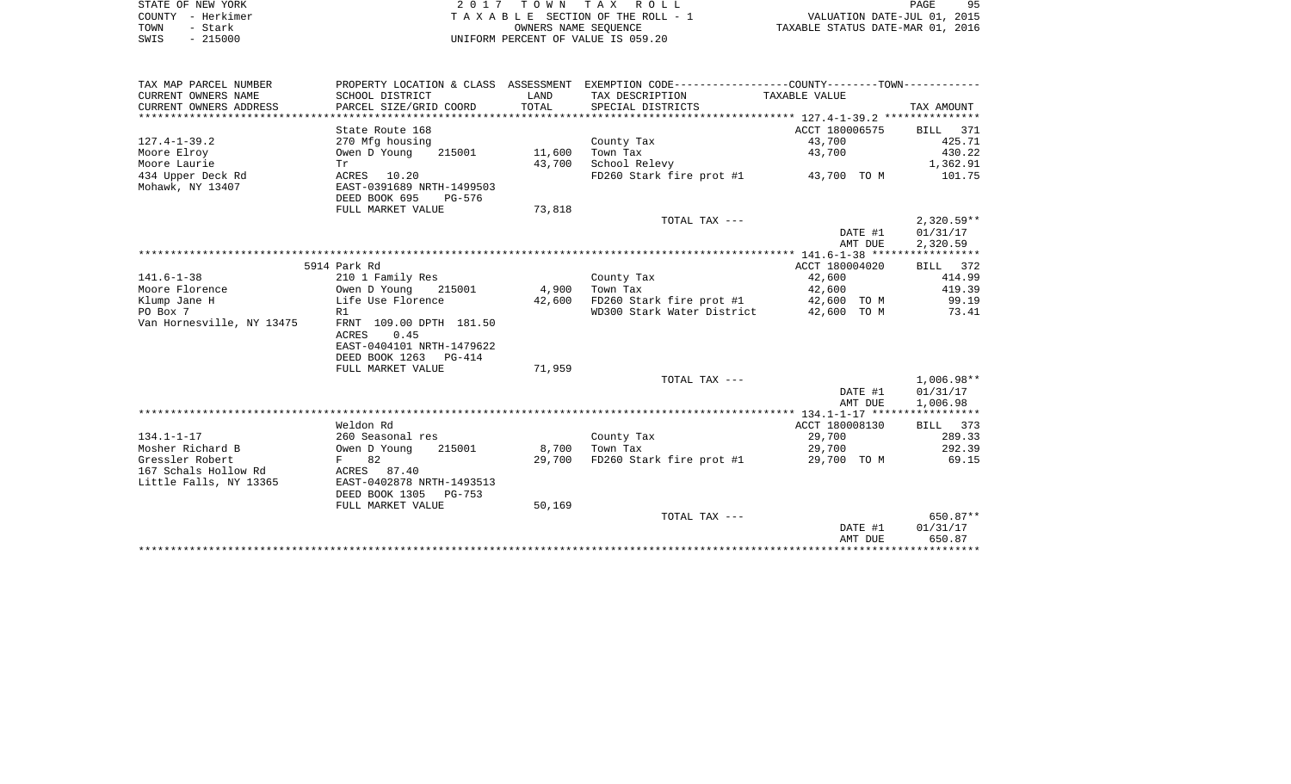| STATE OF NEW YORK |           | 2017 TOWN TAX ROLL                 |                      |  |                                  | PAGE                        | 95 |
|-------------------|-----------|------------------------------------|----------------------|--|----------------------------------|-----------------------------|----|
| COUNTY - Herkimer |           | TAXABLE SECTION OF THE ROLL - 1    |                      |  |                                  | VALUATION DATE-JUL 01, 2015 |    |
| TOWN              | - Stark   |                                    | OWNERS NAME SEOUENCE |  | TAXABLE STATUS DATE-MAR 01, 2016 |                             |    |
| SWIS              | $-215000$ | UNIFORM PERCENT OF VALUE IS 059.20 |                      |  |                                  |                             |    |

| TAX MAP PARCEL NUMBER     |                                          |        | PROPERTY LOCATION & CLASS ASSESSMENT EXEMPTION CODE---------------COUNTY-------TOWN---------- |                |                 |
|---------------------------|------------------------------------------|--------|-----------------------------------------------------------------------------------------------|----------------|-----------------|
| CURRENT OWNERS NAME       | SCHOOL DISTRICT                          | LAND   | TAX DESCRIPTION                                                                               | TAXABLE VALUE  |                 |
| CURRENT OWNERS ADDRESS    | PARCEL SIZE/GRID COORD                   | TOTAL  | SPECIAL DISTRICTS                                                                             |                | TAX AMOUNT      |
|                           |                                          |        |                                                                                               |                |                 |
|                           | State Route 168                          |        |                                                                                               | ACCT 180006575 | <b>BILL</b> 371 |
| $127.4 - 1 - 39.2$        | 270 Mfg housing                          |        | County Tax                                                                                    | 43,700         | 425.71          |
| Moore Elroy               | Owen D Young<br>215001                   | 11,600 | Town Tax                                                                                      | 43,700         | 430.22          |
| Moore Laurie              | Tr                                       | 43,700 | School Relevy                                                                                 |                | 1,362.91        |
| 434 Upper Deck Rd         | ACRES 10.20                              |        | FD260 Stark fire prot #1 43,700 TO M                                                          |                | 101.75          |
| Mohawk, NY 13407          | EAST-0391689 NRTH-1499503                |        |                                                                                               |                |                 |
|                           | DEED BOOK 695<br>PG-576                  |        |                                                                                               |                |                 |
|                           | FULL MARKET VALUE                        | 73,818 |                                                                                               |                |                 |
|                           |                                          |        | TOTAL TAX ---                                                                                 |                | $2,320.59**$    |
|                           |                                          |        |                                                                                               | DATE #1        | 01/31/17        |
|                           |                                          |        |                                                                                               | AMT DUE        | 2,320.59        |
|                           |                                          |        |                                                                                               |                |                 |
|                           | 5914 Park Rd                             |        |                                                                                               | ACCT 180004020 | BILL 372        |
| $141.6 - 1 - 38$          | 210 1 Family Res                         |        | County Tax                                                                                    | 42,600         | 414.99          |
| Moore Florence            | Owen D Young 215001                      | 4,900  | Town Tax                                                                                      | 42,600         | 419.39          |
| Klump Jane H              | Life Use Florence                        | 42,600 | FD260 Stark fire prot #1                                                                      | 42,600 TO M    | 99.19           |
| PO Box 7                  | R1                                       |        | WD300 Stark Water District                                                                    | 42,600 TO M    | 73.41           |
| Van Hornesville, NY 13475 | FRNT 109.00 DPTH 181.50<br>ACRES<br>0.45 |        |                                                                                               |                |                 |
|                           | EAST-0404101 NRTH-1479622                |        |                                                                                               |                |                 |
|                           | DEED BOOK 1263 PG-414                    |        |                                                                                               |                |                 |
|                           | FULL MARKET VALUE                        | 71,959 |                                                                                               |                |                 |
|                           |                                          |        | TOTAL TAX ---                                                                                 |                | $1,006.98**$    |
|                           |                                          |        |                                                                                               | DATE #1        | 01/31/17        |
|                           |                                          |        |                                                                                               | AMT DUE        | 1,006.98        |
|                           |                                          |        |                                                                                               |                |                 |
|                           | Weldon Rd                                |        |                                                                                               | ACCT 180008130 | BILL 373        |
| $134.1 - 1 - 17$          | 260 Seasonal res                         |        | County Tax                                                                                    | 29,700         | 289.33          |
| Mosher Richard B          | Owen D Young<br>215001                   |        | 8,700 Town Tax                                                                                | 29,700         | 292.39          |
| Gressler Robert           | F 82                                     | 29,700 | FD260 Stark fire prot #1                                                                      | 29,700 TO M    | 69.15           |
| 167 Schals Hollow Rd      | ACRES 87.40                              |        |                                                                                               |                |                 |
| Little Falls, NY 13365    | EAST-0402878 NRTH-1493513                |        |                                                                                               |                |                 |
|                           | DEED BOOK 1305<br>PG-753                 |        |                                                                                               |                |                 |
|                           | FULL MARKET VALUE                        | 50,169 |                                                                                               |                |                 |
|                           |                                          |        | TOTAL TAX ---                                                                                 |                | 650.87**        |
|                           |                                          |        |                                                                                               | DATE #1        | 01/31/17        |
|                           |                                          |        |                                                                                               | AMT DUE        | 650.87          |
|                           |                                          |        |                                                                                               |                |                 |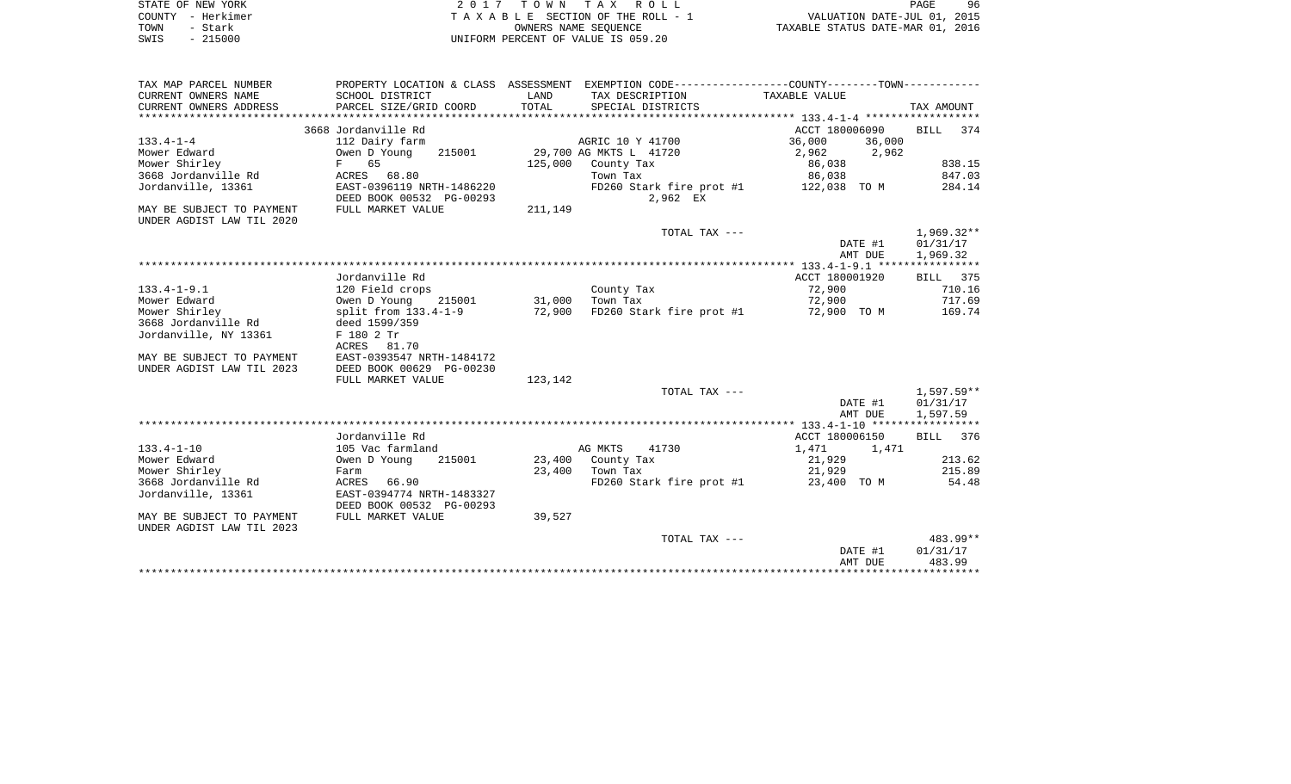|      | STATE OF NEW YORK | 2017 TOWN TAX ROLL                 | PAGE                             | 96 |
|------|-------------------|------------------------------------|----------------------------------|----|
|      | COUNTY - Herkimer | TAXABLE SECTION OF THE ROLL - 1    | VALUATION DATE-JUL 01, 2015      |    |
| TOWN | - Stark           | OWNERS NAME SEOUENCE               | TAXABLE STATUS DATE-MAR 01, 2016 |    |
| SWIS | $-215000$         | UNIFORM PERCENT OF VALUE IS 059.20 |                                  |    |

| TAX MAP PARCEL NUMBER     |                           |               | PROPERTY LOCATION & CLASS ASSESSMENT EXEMPTION CODE----------------COUNTY--------TOWN---------- |                  |              |
|---------------------------|---------------------------|---------------|-------------------------------------------------------------------------------------------------|------------------|--------------|
| CURRENT OWNERS NAME       | SCHOOL DISTRICT           | LAND          | TAX DESCRIPTION                                                                                 | TAXABLE VALUE    |              |
| CURRENT OWNERS ADDRESS    | PARCEL SIZE/GRID COORD    | TOTAL         | SPECIAL DISTRICTS                                                                               |                  | TAX AMOUNT   |
|                           |                           |               |                                                                                                 |                  |              |
|                           | 3668 Jordanville Rd       |               |                                                                                                 | ACCT 180006090   | BILL 374     |
| $133.4 - 1 - 4$           | 112 Dairy farm            |               | AGRIC 10 Y 41700                                                                                | 36,000<br>36,000 |              |
| Mower Edward              | Owen D Young<br>215001    |               | 29,700 AG MKTS L 41720                                                                          | 2,962 2,962      |              |
| Mower Shirley             | F 65                      | 125,000       | County Tax                                                                                      | 86,038           | 838.15       |
| 3668 Jordanville Rd       | ACRES 68.80               |               | Town Tax                                                                                        | 86,038           | 847.03       |
| Jordanville, 13361        | EAST-0396119 NRTH-1486220 |               | $FD260$ Stark fire prot #1 $122,038$ TO M                                                       |                  | 284.14       |
|                           | DEED BOOK 00532 PG-00293  |               | 2,962 EX                                                                                        |                  |              |
| MAY BE SUBJECT TO PAYMENT | FULL MARKET VALUE         | 211,149       |                                                                                                 |                  |              |
| UNDER AGDIST LAW TIL 2020 |                           |               |                                                                                                 |                  |              |
|                           |                           |               | TOTAL TAX ---                                                                                   |                  | $1,969.32**$ |
|                           |                           |               |                                                                                                 | DATE #1          | 01/31/17     |
|                           |                           |               |                                                                                                 | AMT DUE          | 1,969.32     |
|                           |                           |               |                                                                                                 |                  |              |
|                           | Jordanville Rd            |               |                                                                                                 | ACCT 180001920   | BILL 375     |
| $133.4 - 1 - 9.1$         | 120 Field crops           |               | County Tax                                                                                      | 72,900           | 710.16       |
| Mower Edward              | Owen D Young              | 215001 31,000 | Town Tax                                                                                        | 72,900           | 717.69       |
| Mower Shirley             | split from 133.4-1-9      | 72,900        | FD260 Stark fire prot #1                                                                        | 72,900 TO M      | 169.74       |
| 3668 Jordanville Rd       | deed 1599/359             |               |                                                                                                 |                  |              |
| Jordanville, NY 13361     | F 180 2 Tr                |               |                                                                                                 |                  |              |
|                           | ACRES 81.70               |               |                                                                                                 |                  |              |
| MAY BE SUBJECT TO PAYMENT | EAST-0393547 NRTH-1484172 |               |                                                                                                 |                  |              |
| UNDER AGDIST LAW TIL 2023 | DEED BOOK 00629 PG-00230  |               |                                                                                                 |                  |              |
|                           | FULL MARKET VALUE         | 123,142       |                                                                                                 |                  |              |
|                           |                           |               | TOTAL TAX ---                                                                                   |                  | 1,597.59**   |
|                           |                           |               |                                                                                                 | DATE #1          | 01/31/17     |
|                           |                           |               |                                                                                                 | AMT DUE          | 1,597.59     |
|                           |                           |               |                                                                                                 |                  |              |
|                           | Jordanville Rd            |               |                                                                                                 | ACCT 180006150   | BILL 376     |
| $133.4 - 1 - 10$          | 105 Vac farmland          |               | 41730<br>AG MKTS                                                                                | 1,471 1,471      |              |
| Mower Edward              | Owen D Young<br>215001    |               | 23,400 County Tax                                                                               | 21,929           | 213.62       |
| Mower Shirley             | Farm                      |               | 23,400 Town Tax                                                                                 | 21,929           | 215.89       |
| 3668 Jordanville Rd       | ACRES 66.90               |               | FD260 Stark fire prot #1 23,400 TO M                                                            |                  | 54.48        |
| Jordanville, 13361        | EAST-0394774 NRTH-1483327 |               |                                                                                                 |                  |              |
|                           | DEED BOOK 00532 PG-00293  |               |                                                                                                 |                  |              |
| MAY BE SUBJECT TO PAYMENT | FULL MARKET VALUE         | 39,527        |                                                                                                 |                  |              |
| UNDER AGDIST LAW TIL 2023 |                           |               |                                                                                                 |                  |              |
|                           |                           |               | TOTAL TAX ---                                                                                   |                  | 483.99**     |
|                           |                           |               |                                                                                                 | DATE #1          | 01/31/17     |
|                           |                           |               |                                                                                                 | AMT DUE          | 483.99       |
|                           |                           |               |                                                                                                 |                  |              |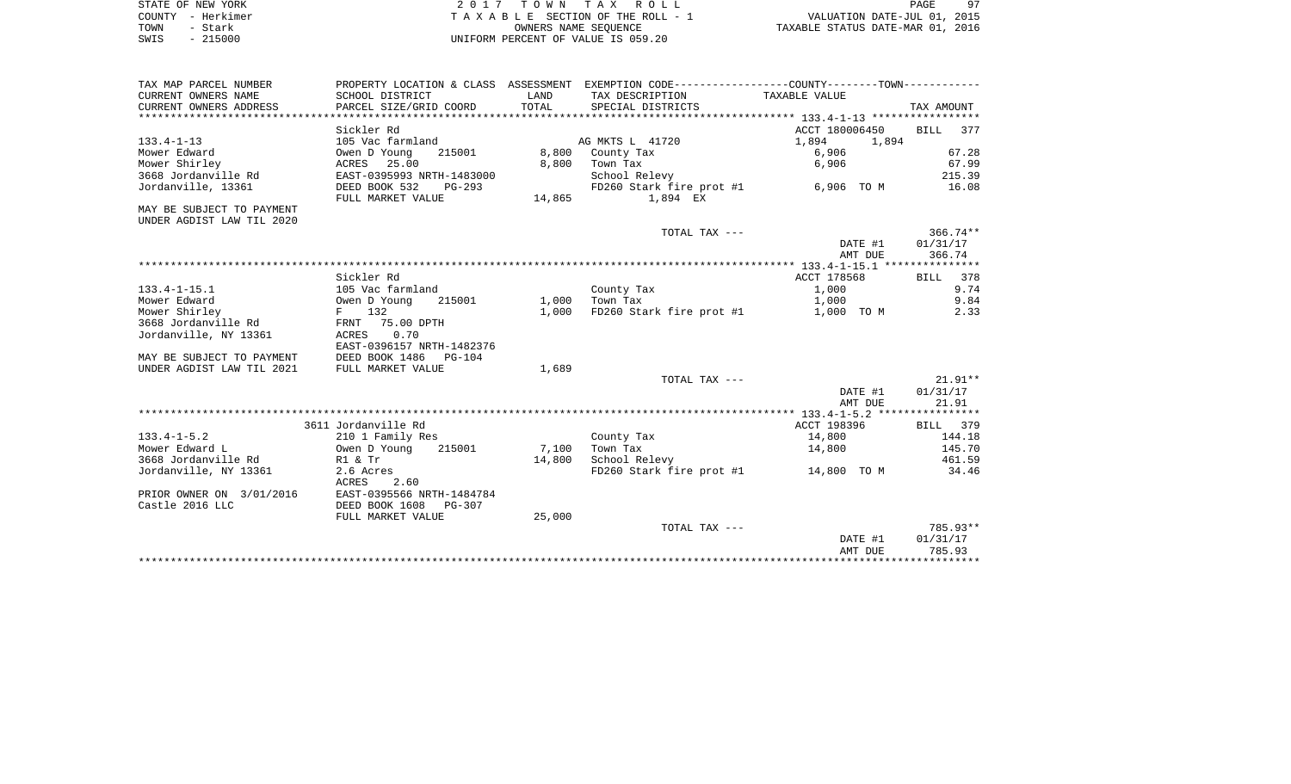| STATE OF NEW YORK     | / TOWN TAX ROLL                    | PAGE                             |
|-----------------------|------------------------------------|----------------------------------|
| – Herkimer<br>COUNTY  | TAXABLE SECTION OF THE ROLL - 1    | VALUATION DATE-JUL 01, 2015      |
| TOWN<br>Stark         | OWNERS NAME SEOUENCE               | TAXABLE STATUS DATE-MAR 01, 2016 |
| 215000<br>SWIS<br>$-$ | UNIFORM PERCENT OF VALUE IS 059.20 |                                  |

| TAX MAP PARCEL NUMBER     |                            |        | PROPERTY LOCATION & CLASS ASSESSMENT EXEMPTION CODE----------------COUNTY--------TOWN----------- |                |             |
|---------------------------|----------------------------|--------|--------------------------------------------------------------------------------------------------|----------------|-------------|
| CURRENT OWNERS NAME       | SCHOOL DISTRICT            | LAND   | TAX DESCRIPTION                                                                                  | TAXABLE VALUE  |             |
| CURRENT OWNERS ADDRESS    | PARCEL SIZE/GRID COORD     | TOTAL  | SPECIAL DISTRICTS                                                                                |                | TAX AMOUNT  |
|                           |                            |        |                                                                                                  |                |             |
|                           | Sickler Rd                 |        |                                                                                                  | ACCT 180006450 | BILL 377    |
| $133.4 - 1 - 13$          | 105 Vac farmland           |        | AG MKTS L 41720                                                                                  | 1,894<br>1,894 |             |
| Mower Edward              | Owen D Young<br>215001     | 8,800  | County Tax                                                                                       | 6,906          | 67.28       |
| Mower Shirley             | ACRES 25.00                | 8,800  | Town Tax                                                                                         | 6,906          | 67.99       |
| 3668 Jordanville Rd       | EAST-0395993 NRTH-1483000  |        | School Relevy                                                                                    |                | 215.39      |
| Jordanville, 13361        | DEED BOOK 532<br>$PG-293$  |        | FD260 Stark fire prot #1                                                                         | 6,906 TO M     | 16.08       |
|                           | FULL MARKET VALUE          | 14,865 | 1,894 EX                                                                                         |                |             |
| MAY BE SUBJECT TO PAYMENT |                            |        |                                                                                                  |                |             |
| UNDER AGDIST LAW TIL 2020 |                            |        |                                                                                                  |                |             |
|                           |                            |        | TOTAL TAX ---                                                                                    |                | $366.74***$ |
|                           |                            |        |                                                                                                  | DATE #1        | 01/31/17    |
|                           |                            |        |                                                                                                  | AMT DUE        | 366.74      |
|                           |                            |        |                                                                                                  |                |             |
|                           | Sickler Rd                 |        |                                                                                                  | ACCT 178568    | BILL 378    |
| $133.4 - 1 - 15.1$        | 105 Vac farmland           |        | County Tax                                                                                       | 1,000          | 9.74        |
| Mower Edward              | Owen D Young<br>215001     |        | 1,000 Town Tax                                                                                   | 1,000          | 9.84        |
| Mower Shirley             | F 132                      | 1,000  | FD260 Stark fire prot #1                                                                         | 1,000 TO M     | 2.33        |
| 3668 Jordanville Rd       | FRNT 75.00 DPTH            |        |                                                                                                  |                |             |
| Jordanville, NY 13361     | ACRES<br>0.70              |        |                                                                                                  |                |             |
|                           | EAST-0396157 NRTH-1482376  |        |                                                                                                  |                |             |
| MAY BE SUBJECT TO PAYMENT | DEED BOOK 1486<br>$PG-104$ |        |                                                                                                  |                |             |
| UNDER AGDIST LAW TIL 2021 | FULL MARKET VALUE          | 1,689  |                                                                                                  |                |             |
|                           |                            |        | TOTAL TAX ---                                                                                    |                | $21.91**$   |
|                           |                            |        |                                                                                                  | DATE #1        | 01/31/17    |
|                           |                            |        |                                                                                                  | AMT DUE        | 21.91       |
|                           |                            |        |                                                                                                  |                |             |
|                           | 3611 Jordanville Rd        |        |                                                                                                  | ACCT 198396    | BILL 379    |
| $133.4 - 1 - 5.2$         | 210 1 Family Res           |        | County Tax                                                                                       | 14,800         | 144.18      |
| Mower Edward L            | Owen D Young<br>215001     | 7,100  | Town Tax                                                                                         | 14,800         | 145.70      |
| 3668 Jordanville Rd       | R1 & Tr                    | 14,800 | School Relevy                                                                                    |                | 461.59      |
| Jordanville, NY 13361     | 2.6 Acres                  |        | FD260 Stark fire prot #1 14,800 TO M                                                             |                | 34.46       |
|                           | ACRES<br>2.60              |        |                                                                                                  |                |             |
| PRIOR OWNER ON 3/01/2016  | EAST-0395566 NRTH-1484784  |        |                                                                                                  |                |             |
| Castle 2016 LLC           | DEED BOOK 1608<br>PG-307   |        |                                                                                                  |                |             |
|                           | FULL MARKET VALUE          | 25,000 |                                                                                                  |                |             |
|                           |                            |        | TOTAL TAX ---                                                                                    |                | 785.93**    |
|                           |                            |        |                                                                                                  | DATE #1        | 01/31/17    |
|                           |                            |        |                                                                                                  | AMT DUE        | 785.93      |
|                           |                            |        |                                                                                                  |                |             |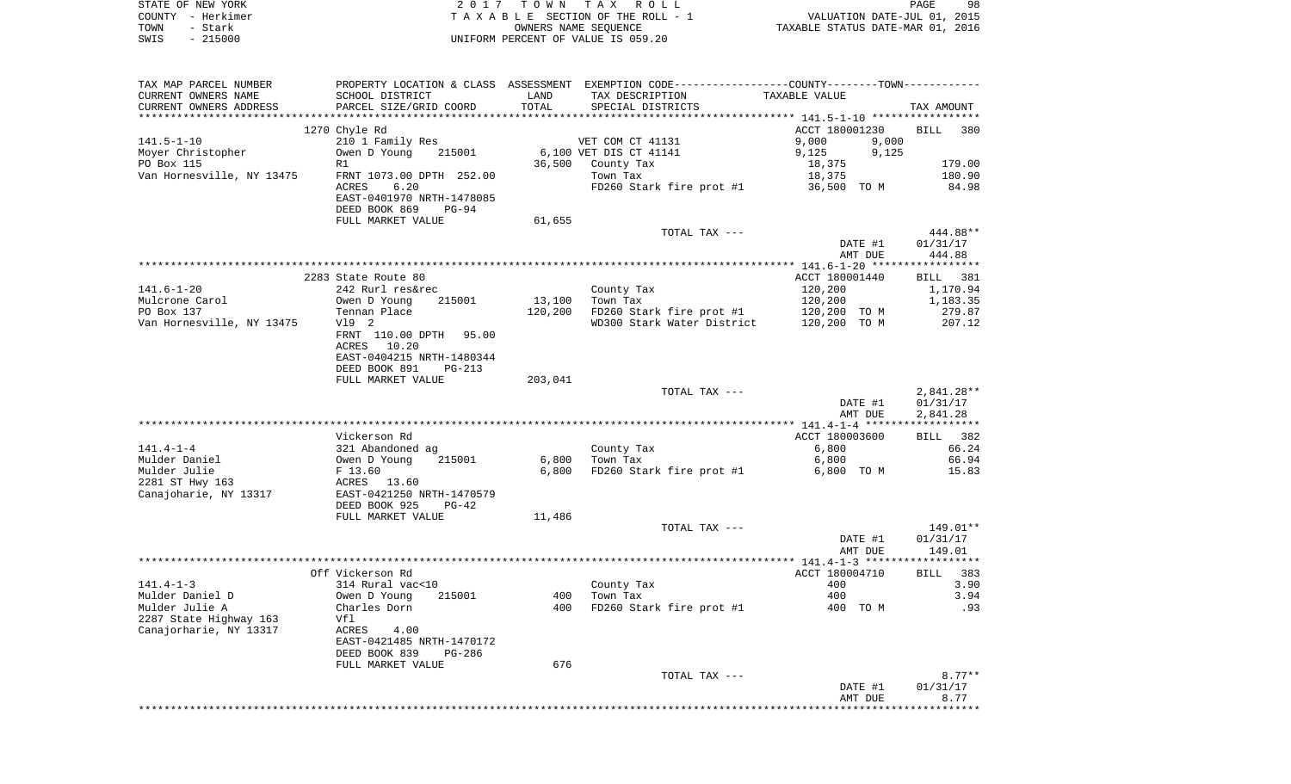| STATE OF NEW YORK<br>COUNTY - Herkimer<br>TOWN<br>- Stark<br>$-215000$<br>SWIS               | 2017                                                                                                                    | T O W N           | TAX ROLL<br>TAXABLE SECTION OF THE ROLL - 1<br>OWNERS NAME SEQUENCE<br>UNIFORM PERCENT OF VALUE IS 059.20                             | VALUATION DATE-JUL 01, 2015<br>TAXABLE STATUS DATE-MAR 01, 2016        | PAGE<br>98                                           |
|----------------------------------------------------------------------------------------------|-------------------------------------------------------------------------------------------------------------------------|-------------------|---------------------------------------------------------------------------------------------------------------------------------------|------------------------------------------------------------------------|------------------------------------------------------|
| TAX MAP PARCEL NUMBER<br>CURRENT OWNERS NAME<br>CURRENT OWNERS ADDRESS                       | SCHOOL DISTRICT<br>PARCEL SIZE/GRID COORD                                                                               | LAND<br>TOTAL     | PROPERTY LOCATION & CLASS ASSESSMENT EXEMPTION CODE---------------COUNTY-------TOWN----------<br>TAX DESCRIPTION<br>SPECIAL DISTRICTS | TAXABLE VALUE                                                          | TAX AMOUNT                                           |
|                                                                                              |                                                                                                                         |                   |                                                                                                                                       |                                                                        |                                                      |
| $141.5 - 1 - 10$<br>Moyer Christopher<br>PO Box 115<br>Van Hornesville, NY 13475             | 1270 Chyle Rd<br>210 1 Family Res<br>Owen D Young<br>215001<br>R1<br>FRNT 1073.00 DPTH 252.00<br>ACRES<br>6.20          |                   | VET COM CT 41131<br>6,100 VET DIS CT 41141<br>36,500 County Tax<br>Town Tax<br>$FD260$ Stark fire prot #1 36,500 TO M                 | ACCT 180001230<br>9,000<br>9,000<br>9,125<br>9,125<br>18,375<br>18,375 | <b>BILL</b><br>380<br>179.00<br>180.90<br>84.98      |
|                                                                                              | EAST-0401970 NRTH-1478085<br>DEED BOOK 869<br>PG-94<br>FULL MARKET VALUE                                                | 61,655            |                                                                                                                                       |                                                                        |                                                      |
|                                                                                              |                                                                                                                         |                   | TOTAL TAX ---                                                                                                                         | DATE #1<br>AMT DUE                                                     | 444.88**<br>01/31/17<br>444.88                       |
|                                                                                              |                                                                                                                         |                   |                                                                                                                                       |                                                                        |                                                      |
| $141.6 - 1 - 20$<br>Mulcrone Carol<br>PO Box 137<br>Van Hornesville, NY 13475                | 2283 State Route 80<br>242 Rurl res&rec<br>Owen D Young<br>215001<br>Tennan Place<br>V19 2<br>FRNT 110.00 DPTH<br>95.00 | 13,100<br>120,200 | County Tax<br>Town Tax<br>FD260 Stark fire prot #1<br>WD300 Stark Water District                                                      | ACCT 180001440<br>120,200<br>120,200<br>120,200 TO M<br>120,200 TO M   | BILL 381<br>1,170.94<br>1,183.35<br>279.87<br>207.12 |
|                                                                                              | ACRES 10.20<br>EAST-0404215 NRTH-1480344<br>DEED BOOK 891<br>$PG-213$<br>FULL MARKET VALUE                              | 203,041           | TOTAL TAX ---                                                                                                                         | DATE #1                                                                | $2,841.28**$<br>01/31/17                             |
|                                                                                              |                                                                                                                         |                   |                                                                                                                                       | AMT DUE                                                                | 2,841.28                                             |
|                                                                                              |                                                                                                                         |                   |                                                                                                                                       |                                                                        |                                                      |
| $141.4 - 1 - 4$<br>Mulder Daniel<br>Mulder Julie<br>2281 ST Hwy 163<br>Canajoharie, NY 13317 | Vickerson Rd<br>321 Abandoned ag<br>Owen D Young<br>215001<br>F 13.60<br>ACRES 13.60<br>EAST-0421250 NRTH-1470579       | 6,800<br>6,800    | County Tax<br>Town Tax<br>FD260 Stark fire prot #1                                                                                    | ACCT 180003600<br>6,800<br>6,800<br>6,800 TO M                         | 382<br>BILL<br>66.24<br>66.94<br>15.83               |
|                                                                                              | DEED BOOK 925<br>$PG-42$<br>FULL MARKET VALUE                                                                           | 11,486            | TOTAL TAX ---                                                                                                                         |                                                                        | 149.01**                                             |
|                                                                                              |                                                                                                                         |                   |                                                                                                                                       | DATE #1                                                                | 01/31/17                                             |
|                                                                                              |                                                                                                                         |                   |                                                                                                                                       | AMT DUE                                                                | 149.01                                               |
|                                                                                              | Off Vickerson Rd                                                                                                        |                   |                                                                                                                                       | ACCT 180004710 BILL 383                                                |                                                      |
| $141.4 - 1 - 3$                                                                              | 314 Rural vac<10                                                                                                        |                   | County Tax                                                                                                                            | 400                                                                    | 3.90                                                 |
| Mulder Daniel D<br>Mulder Julie A<br>2287 State Highway 163<br>Canajorharie, NY 13317        | Owen D Young<br>215001<br>Charles Dorn<br>Vfl<br>ACRES<br>4.00<br>EAST-0421485 NRTH-1470172<br>DEED BOOK 839<br>PG-286  | 400<br>400        | Town Tax<br>FD260 Stark fire prot #1                                                                                                  | 400<br>400 TO M                                                        | 3.94<br>.93                                          |
|                                                                                              | FULL MARKET VALUE                                                                                                       | 676               | TOTAL TAX ---                                                                                                                         | DATE #1                                                                | $8.77**$<br>01/31/17                                 |
|                                                                                              |                                                                                                                         |                   |                                                                                                                                       | AMT DUE<br>*******************************                             | 8.77                                                 |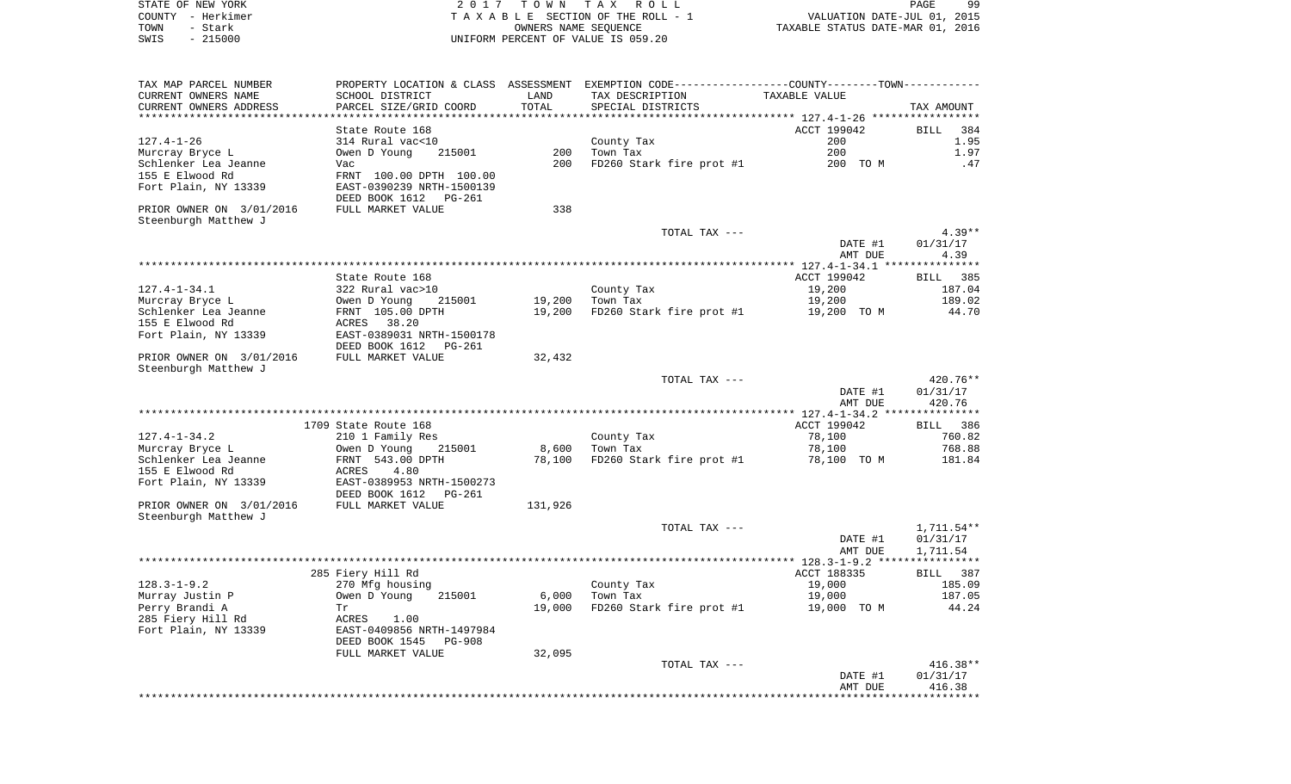|      | STATE OF NEW YORK | 2017 TOWN TAX ROLL                 | PAGE                             | 99 |
|------|-------------------|------------------------------------|----------------------------------|----|
|      | COUNTY - Herkimer | TAXABLE SECTION OF THE ROLL - 1    | VALUATION DATE-JUL 01, 2015      |    |
| TOWN | - Stark           | OWNERS NAME SEOUENCE               | TAXABLE STATUS DATE-MAR 01, 2016 |    |
| SWIS | $-215000$         | UNIFORM PERCENT OF VALUE IS 059.20 |                                  |    |

| SCHOOL DISTRICT<br>PARCEL SIZE/GRID COORD<br>********************                                                                                        | LAND<br>TOTAL                                                                                                                             | TAX DESCRIPTION<br>SPECIAL DISTRICTS               | TAXABLE VALUE                         | TAX AMOUNT                                                                                                                                                                                                                        |
|----------------------------------------------------------------------------------------------------------------------------------------------------------|-------------------------------------------------------------------------------------------------------------------------------------------|----------------------------------------------------|---------------------------------------|-----------------------------------------------------------------------------------------------------------------------------------------------------------------------------------------------------------------------------------|
| State Route 168<br>314 Rural vac<10<br>Owen D Young<br>215001<br>Vac<br>FRNT 100.00 DPTH 100.00<br>EAST-0390239 NRTH-1500139<br>DEED BOOK 1612<br>PG-261 | 200<br>200                                                                                                                                | County Tax<br>Town Tax                             | ACCT 199042<br>200<br>200<br>200 TO M | BILL<br>384<br>1.95<br>1.97<br>.47                                                                                                                                                                                                |
|                                                                                                                                                          |                                                                                                                                           |                                                    |                                       |                                                                                                                                                                                                                                   |
|                                                                                                                                                          |                                                                                                                                           | TOTAL TAX ---                                      | DATE #1<br>AMT DUE                    | $4.39**$<br>01/31/17<br>4.39                                                                                                                                                                                                      |
|                                                                                                                                                          |                                                                                                                                           |                                                    |                                       | BILL 385                                                                                                                                                                                                                          |
| 322 Rural vac>10<br>215001<br>Owen D Young<br>FRNT 105.00 DPTH<br>ACRES 38.20<br>EAST-0389031 NRTH-1500178                                               | 19,200<br>19,200                                                                                                                          | County Tax<br>Town Tax                             | 19,200<br>19,200<br>19,200 TO M       | 187.04<br>189.02<br>44.70                                                                                                                                                                                                         |
| FULL MARKET VALUE                                                                                                                                        | 32,432                                                                                                                                    |                                                    |                                       |                                                                                                                                                                                                                                   |
|                                                                                                                                                          |                                                                                                                                           | TOTAL TAX ---                                      | DATE #1<br>AMT DUE                    | 420.76**<br>01/31/17<br>420.76                                                                                                                                                                                                    |
|                                                                                                                                                          |                                                                                                                                           |                                                    |                                       |                                                                                                                                                                                                                                   |
| 210 1 Family Res<br>Owen D Young<br>215001<br>FRNT 543.00 DPTH<br>ACRES<br>4.80<br>EAST-0389953 NRTH-1500273                                             | 8,600<br>78,100                                                                                                                           | County Tax<br>Town Tax<br>FD260 Stark fire prot #1 | 78,100<br>78,100<br>78,100 TO M       | BILL 386<br>760.82<br>768.88<br>181.84                                                                                                                                                                                            |
| FULL MARKET VALUE                                                                                                                                        | 131,926                                                                                                                                   |                                                    |                                       |                                                                                                                                                                                                                                   |
|                                                                                                                                                          |                                                                                                                                           | TOTAL TAX ---                                      | DATE #1<br>AMT DUE                    | 1,711.54**<br>01/31/17<br>1,711.54                                                                                                                                                                                                |
|                                                                                                                                                          |                                                                                                                                           |                                                    |                                       |                                                                                                                                                                                                                                   |
| 270 Mfg housing<br>Owen D Young<br>215001<br>Tr<br>ACRES 1.00<br>EAST-0409856 NRTH-1497984<br>DEED BOOK 1545<br><b>PG-908</b>                            | 6,000<br>19,000                                                                                                                           | County Tax<br>Town Tax                             | 19,000<br>19,000<br>19,000 TO M       | BILL 387<br>185.09<br>187.05<br>44.24                                                                                                                                                                                             |
| FULL MARKET VALUE                                                                                                                                        | 32,095                                                                                                                                    | TOTAL TAX ---                                      | DATE #1<br>AMT DUE                    | $416.38**$<br>01/31/17<br>416.38                                                                                                                                                                                                  |
|                                                                                                                                                          | FULL MARKET VALUE<br>State Route 168<br>DEED BOOK 1612<br>PG-261<br>1709 State Route 168<br>DEED BOOK 1612<br>PG-261<br>285 Fiery Hill Rd | 338                                                | **************                        | PROPERTY LOCATION & CLASS ASSESSMENT EXEMPTION CODE----------------COUNTY--------TOWN-----------<br>FD260 Stark fire prot #1<br>ACCT 199042<br>FD260 Stark fire prot #1<br>ACCT 199042<br>ACCT 188335<br>FD260 Stark fire prot #1 |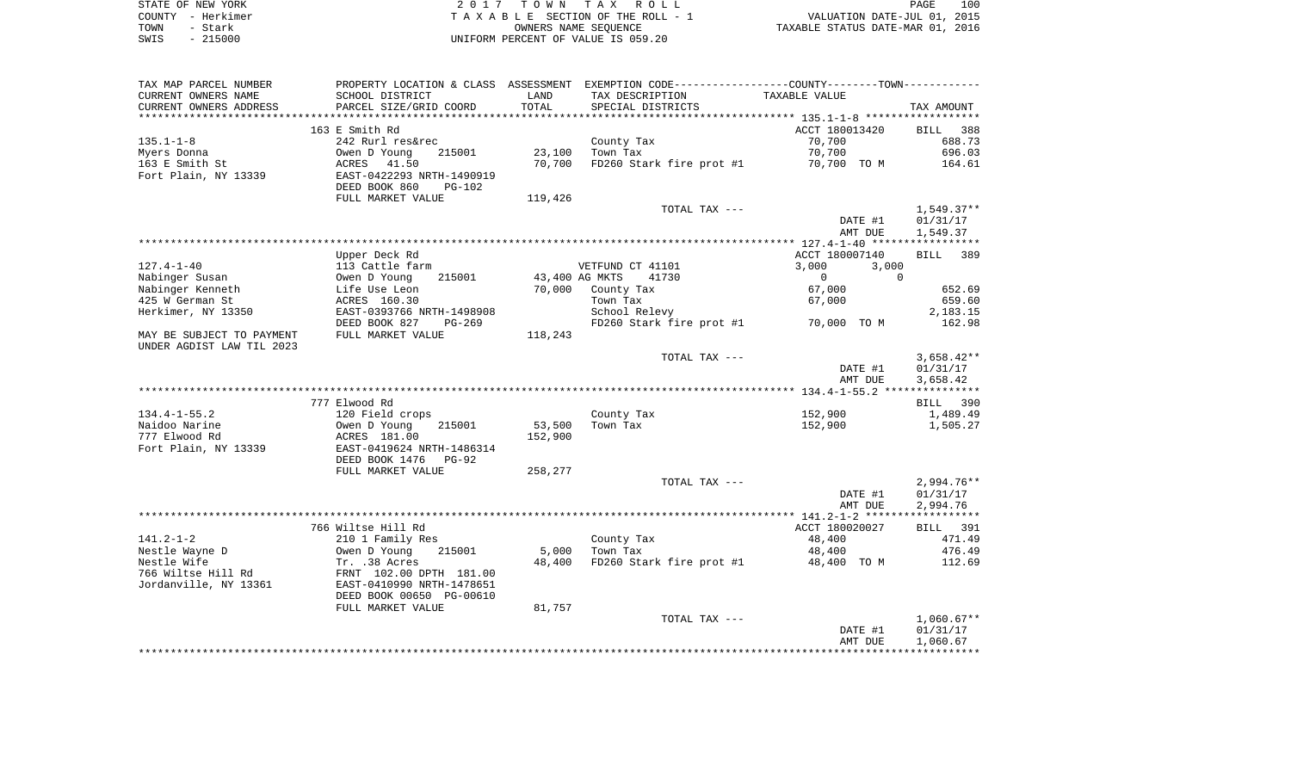| STATE OF NEW YORK | 2017 TOWN TAX ROLL                 | 100<br>PAGE                      |
|-------------------|------------------------------------|----------------------------------|
| COUNTY - Herkimer | TAXABLE SECTION OF THE ROLL - 1    | VALUATION DATE-JUL 01, 2015      |
| TOWN<br>- Stark   | OWNERS NAME SEOUENCE               | TAXABLE STATUS DATE-MAR 01, 2016 |
| $-215000$<br>SWIS | UNIFORM PERCENT OF VALUE IS 059.20 |                                  |

| TAX MAP PARCEL NUMBER     |                                                                 |                |                          | PROPERTY LOCATION & CLASS ASSESSMENT EXEMPTION CODE---------------COUNTY-------TOWN---------- |                      |
|---------------------------|-----------------------------------------------------------------|----------------|--------------------------|-----------------------------------------------------------------------------------------------|----------------------|
| CURRENT OWNERS NAME       | SCHOOL DISTRICT                                                 | LAND           | TAX DESCRIPTION          | TAXABLE VALUE                                                                                 |                      |
| CURRENT OWNERS ADDRESS    | PARCEL SIZE/GRID COORD                                          | TOTAL          | SPECIAL DISTRICTS        |                                                                                               | TAX AMOUNT           |
|                           |                                                                 |                |                          |                                                                                               |                      |
|                           | 163 E Smith Rd                                                  |                |                          | ACCT 180013420                                                                                | BILL 388             |
| $135.1 - 1 - 8$           | 242 Rurl res&rec                                                |                | County Tax               | 70,700                                                                                        | 688.73               |
| Myers Donna               |                                                                 | 23,100         | Town Tax                 | 70,700                                                                                        | 696.03               |
| 163 E Smith St            | Owen D Young 215001<br>ACRES 41.50<br>EAST-0422293 NRTH-1490919 | 70,700         |                          | FD260 Stark fire prot #1 70,700 TO M                                                          | 164.61               |
| Fort Plain, NY 13339      |                                                                 |                |                          |                                                                                               |                      |
|                           | DEED BOOK 860<br>PG-102                                         |                |                          |                                                                                               |                      |
|                           | FULL MARKET VALUE                                               | 119,426        |                          |                                                                                               |                      |
|                           |                                                                 |                | TOTAL TAX ---            |                                                                                               | $1,549.37**$         |
|                           |                                                                 |                |                          | DATE #1                                                                                       | 01/31/17             |
|                           |                                                                 |                |                          | AMT DUE                                                                                       | 1,549.37             |
|                           |                                                                 |                |                          |                                                                                               |                      |
|                           | Upper Deck Rd                                                   |                |                          | ACCT 180007140                                                                                | BILL 389             |
| $127.4 - 1 - 40$          | 113 Cattle farm                                                 |                | VETFUND CT 41101         | 3,000<br>3,000                                                                                |                      |
| Nabinger Susan            | Owen D Young<br>215001                                          | 43,400 AG MKTS | 41730                    | $\overline{0}$<br>$\Omega$                                                                    |                      |
| Nabinger Kenneth          | Life Use Leon<br>ACRES 160.30                                   | 70,000         | County Tax               | 67,000                                                                                        | 652.69               |
| 425 W German St           |                                                                 |                | Town Tax                 | 67,000                                                                                        | 659.60               |
| Herkimer, NY 13350        | EAST-0393766 NRTH-1498908                                       |                | School Relevy            |                                                                                               | 2,183.15             |
|                           | DEED BOOK 827<br>PG-269                                         |                |                          | $FD260$ Stark fire prot #1 $70,000$ TO M                                                      | 162.98               |
| MAY BE SUBJECT TO PAYMENT | FULL MARKET VALUE                                               | 118,243        |                          |                                                                                               |                      |
| UNDER AGDIST LAW TIL 2023 |                                                                 |                |                          |                                                                                               |                      |
|                           |                                                                 |                | TOTAL TAX ---            | DATE #1                                                                                       | $3,658.42**$         |
|                           |                                                                 |                |                          | AMT DUE                                                                                       | 01/31/17<br>3,658.42 |
|                           |                                                                 |                |                          |                                                                                               |                      |
|                           | 777 Elwood Rd                                                   |                |                          |                                                                                               | BILL 390             |
| 134.4-1-55.2              | 120 Field crops                                                 |                | County Tax               | 152,900                                                                                       | 1,489.49             |
| Naidoo Narine             | --<br>Owen D Young<br>ACRES 181.00<br>215001                    | 53,500         | Town Tax                 | 152,900                                                                                       | 1,505.27             |
| 777 Elwood Rd             |                                                                 | 152,900        |                          |                                                                                               |                      |
| Fort Plain, NY 13339      | EAST-0419624 NRTH-1486314                                       |                |                          |                                                                                               |                      |
|                           | DEED BOOK 1476 PG-92                                            |                |                          |                                                                                               |                      |
|                           | FULL MARKET VALUE                                               | 258,277        |                          |                                                                                               |                      |
|                           |                                                                 |                | TOTAL TAX ---            |                                                                                               | $2,994.76**$         |
|                           |                                                                 |                |                          | DATE #1                                                                                       | 01/31/17             |
|                           |                                                                 |                |                          | AMT DUE                                                                                       | 2,994.76             |
|                           |                                                                 |                |                          |                                                                                               |                      |
|                           | 766 Wiltse Hill Rd                                              |                |                          | ACCT 180020027                                                                                | <b>BILL</b> 391      |
| 141.2-1-2                 | 210 1 Family Res                                                |                | County Tax<br>Town Tax   | 48,400                                                                                        | 471.49               |
| Nestle Wayne D            | Owen D Young<br>215001                                          |                | 5,000 Town Tax           | 48,400                                                                                        | 476.49               |
| Nestle Wife               | Tr. .38 Acres                                                   | 48,400         | FD260 Stark fire prot #1 | 48,400 TO M                                                                                   | 112.69               |
|                           | 766 Wiltse Hill Rd FRNT 102.00 DPTH 181.00                      |                |                          |                                                                                               |                      |
| Jordanville, NY 13361     | EAST-0410990 NRTH-1478651                                       |                |                          |                                                                                               |                      |
|                           | DEED BOOK 00650 PG-00610                                        |                |                          |                                                                                               |                      |
|                           | FULL MARKET VALUE                                               | 81,757         |                          |                                                                                               |                      |
|                           |                                                                 |                | TOTAL TAX ---            |                                                                                               | $1,060.67**$         |
|                           |                                                                 |                |                          | DATE #1                                                                                       | 01/31/17             |
|                           |                                                                 |                |                          | AMT DUE                                                                                       | 1,060.67             |
|                           |                                                                 |                |                          |                                                                                               |                      |
|                           |                                                                 |                |                          |                                                                                               |                      |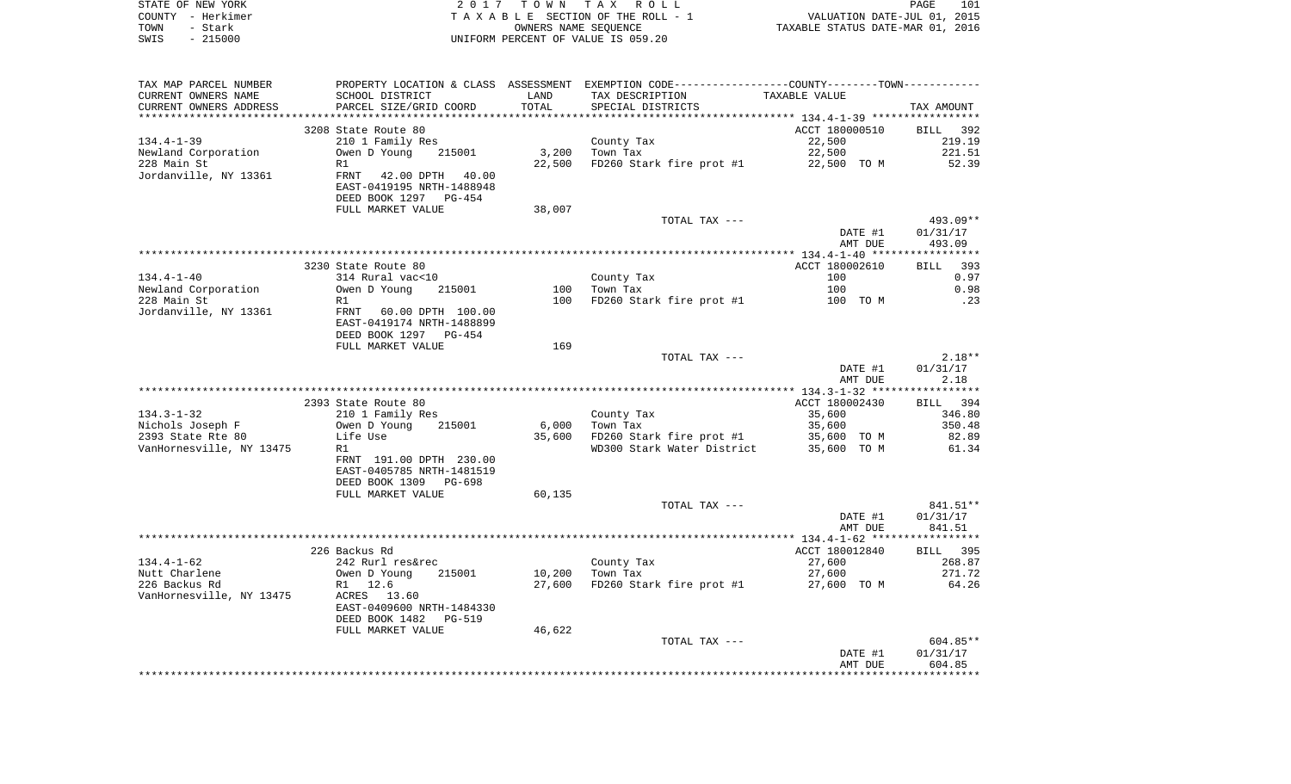|      | STATE OF NEW YORK | 2017 TOWN TAX ROLL                 | 101<br>PAGE                      |
|------|-------------------|------------------------------------|----------------------------------|
|      | COUNTY - Herkimer | TAXABLE SECTION OF THE ROLL - 1    | VALUATION DATE-JUL 01, 2015      |
| TOWN | – Stark           | OWNERS NAME SEOUENCE               | TAXABLE STATUS DATE-MAR 01, 2016 |
| SWIS | $-215000$         | UNIFORM PERCENT OF VALUE IS 059.20 |                                  |

| TAX MAP PARCEL NUMBER    |                           |        | PROPERTY LOCATION & CLASS ASSESSMENT EXEMPTION CODE----------------COUNTY--------TOWN----------- |                |            |
|--------------------------|---------------------------|--------|--------------------------------------------------------------------------------------------------|----------------|------------|
| CURRENT OWNERS NAME      | SCHOOL DISTRICT           | LAND   | TAX DESCRIPTION                                                                                  | TAXABLE VALUE  |            |
| CURRENT OWNERS ADDRESS   | PARCEL SIZE/GRID COORD    | TOTAL  | SPECIAL DISTRICTS                                                                                |                | TAX AMOUNT |
|                          |                           |        |                                                                                                  |                |            |
|                          | 3208 State Route 80       |        |                                                                                                  | ACCT 180000510 | BILL 392   |
| $134.4 - 1 - 39$         | 210 1 Family Res          |        | County Tax                                                                                       | 22,500         | 219.19     |
| Newland Corporation      | Owen D Young 215001       | 3,200  | Town Tax                                                                                         | 22,500         | 221.51     |
| 228 Main St              | R1                        | 22,500 | FD260 Stark fire prot #1 22,500 TO M                                                             |                | 52.39      |
| Jordanville, NY 13361    | FRNT 42.00 DPTH 40.00     |        |                                                                                                  |                |            |
|                          | EAST-0419195 NRTH-1488948 |        |                                                                                                  |                |            |
|                          | DEED BOOK 1297 PG-454     |        |                                                                                                  |                |            |
|                          | FULL MARKET VALUE         | 38,007 |                                                                                                  |                |            |
|                          |                           |        | TOTAL TAX ---                                                                                    |                | 493.09**   |
|                          |                           |        |                                                                                                  | DATE #1        | 01/31/17   |
|                          |                           |        |                                                                                                  | AMT DUE        | 493.09     |
|                          |                           |        |                                                                                                  |                |            |
|                          | 3230 State Route 80       |        |                                                                                                  | ACCT 180002610 | BILL 393   |
| $134.4 - 1 - 40$         | 314 Rural vac<10          |        | County Tax                                                                                       | 100            | 0.97       |
| Newland Corporation      | Owen D Young 215001       | 100    | Town Tax                                                                                         | 100            | 0.98       |
| 228 Main St              | R1                        | 100    | FD260 Stark fire prot #1 100 TO M                                                                |                | .23        |
| Jordanville, NY 13361    | FRNT 60.00 DPTH 100.00    |        |                                                                                                  |                |            |
|                          | EAST-0419174 NRTH-1488899 |        |                                                                                                  |                |            |
|                          | DEED BOOK 1297 PG-454     |        |                                                                                                  |                |            |
|                          | FULL MARKET VALUE         | 169    |                                                                                                  |                |            |
|                          |                           |        | TOTAL TAX ---                                                                                    |                | $2.18**$   |
|                          |                           |        |                                                                                                  | DATE #1        | 01/31/17   |
|                          |                           |        |                                                                                                  | AMT DUE        | 2.18       |
|                          |                           |        |                                                                                                  |                |            |
|                          | 2393 State Route 80       |        |                                                                                                  | ACCT 180002430 | BILL 394   |
| $134.3 - 1 - 32$         |                           |        |                                                                                                  |                |            |
|                          | 210 1 Family Res          |        | County Tax                                                                                       | 35,600         | 346.80     |
| Nichols Joseph F         | Owen D Young<br>215001    | 6,000  | Town Tax                                                                                         | 35,600         | 350.48     |
| 2393 State Rte 80        | Life Use                  |        | 35,600 FD260 Stark fire prot #1<br>WD300 Stark Water District 35,600 TO M                        | 35,600 TO M    | 82.89      |
| VanHornesville, NY 13475 | R1                        |        |                                                                                                  |                | 61.34      |
|                          | FRNT 191.00 DPTH 230.00   |        |                                                                                                  |                |            |
|                          | EAST-0405785 NRTH-1481519 |        |                                                                                                  |                |            |
|                          | DEED BOOK 1309 PG-698     |        |                                                                                                  |                |            |
|                          | FULL MARKET VALUE         | 60,135 |                                                                                                  |                |            |
|                          |                           |        | TOTAL TAX ---                                                                                    |                | 841.51**   |
|                          |                           |        |                                                                                                  | DATE #1        | 01/31/17   |
|                          |                           |        |                                                                                                  | AMT DUE        | 841.51     |
|                          |                           |        |                                                                                                  |                |            |
|                          | 226 Backus Rd             |        |                                                                                                  | ACCT 180012840 | BILL 395   |
| $134.4 - 1 - 62$         | 242 Rurl res&rec          |        | County Tax                                                                                       | 27,600         | 268.87     |
| Nutt Charlene            | 215001<br>Owen D Young    | 10,200 | Town Tax                                                                                         | 27,600         | 271.72     |
| 226 Backus Rd            | R1 12.6                   | 27,600 | FD260 Stark fire prot $#1$ 27,600 TO M                                                           |                | 64.26      |
| VanHornesville, NY 13475 | ACRES 13.60               |        |                                                                                                  |                |            |
|                          | EAST-0409600 NRTH-1484330 |        |                                                                                                  |                |            |
|                          | DEED BOOK 1482<br>PG-519  |        |                                                                                                  |                |            |
|                          |                           |        |                                                                                                  |                |            |
|                          | FULL MARKET VALUE         | 46,622 |                                                                                                  |                |            |
|                          |                           |        | TOTAL TAX ---                                                                                    |                | 604.85**   |
|                          |                           |        |                                                                                                  | DATE #1        | 01/31/17   |
|                          |                           |        |                                                                                                  | AMT DUE        | 604.85     |
|                          |                           |        |                                                                                                  |                |            |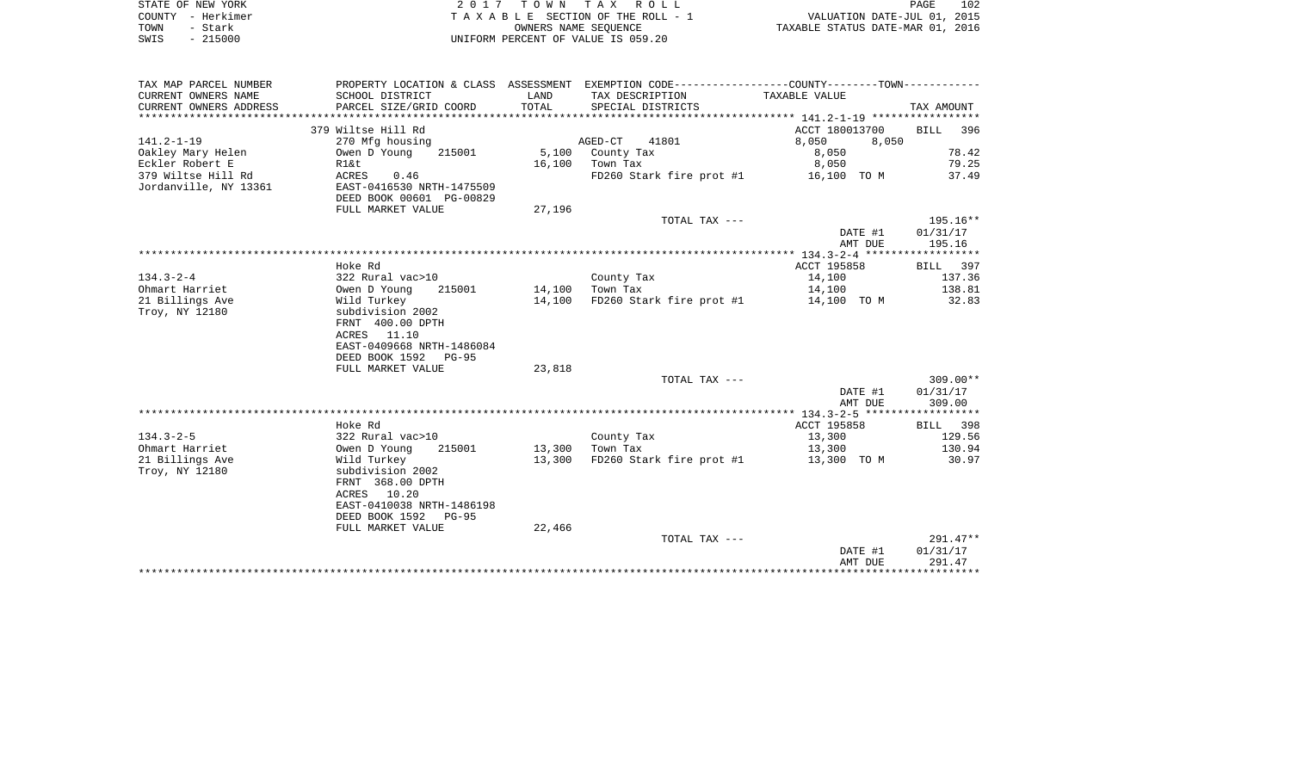|      | STATE OF NEW YORK | 2017 TOWN TAX ROLL                 | <b>PAGE</b>                      | 102 |
|------|-------------------|------------------------------------|----------------------------------|-----|
|      | COUNTY – Herkimer | TAXABLE SECTION OF THE ROLL - 1    | VALUATION DATE-JUL 01, 2015      |     |
| TOWN | – Stark           | OWNERS NAME SEOUENCE               | TAXABLE STATUS DATE-MAR 01, 2016 |     |
| SWIS | - 215000          | UNIFORM PERCENT OF VALUE IS 059.20 |                                  |     |

| CURRENT OWNERS NAME<br>TAXABLE VALUE<br>SCHOOL DISTRICT<br>LAND<br>TAX DESCRIPTION<br>CURRENT OWNERS ADDRESS<br>TOTAL<br>PARCEL SIZE/GRID COORD<br>SPECIAL DISTRICTS<br>TAX AMOUNT<br>379 Wiltse Hill Rd<br>ACCT 180013700<br>BILL 396<br>$141.2 - 1 - 19$<br>AGED-CT 41801<br>8,050<br>270 Mfg housing<br>8,050<br>78.42<br>Oakley Mary Helen<br>5,100 County Tax<br>Owen D Young<br>215001<br>8,050<br>8,050<br>79.25<br>Eckler Robert E<br>16,100 Town Tax<br>Rl&t<br>FD260 Stark fire prot #1 16,100 TO M<br>379 Wiltse Hill Rd<br>37.49<br>ACRES 0.46<br>Jordanville, NY 13361<br>EAST-0416530 NRTH-1475509<br>DEED BOOK 00601 PG-00829<br>FULL MARKET VALUE<br>27,196<br>195.16**<br>TOTAL TAX ---<br>DATE #1<br>01/31/17<br>195.16<br>AMT DUE<br>Hoke Rd<br>ACCT 195858<br>BILL 397<br>$134.3 - 2 - 4$<br>137.36<br>322 Rural vac>10<br>County Tax<br>14,100<br>Owen D Young<br>14,100 Town Tax<br>138.81<br>14,100<br>Ohmart Harriet<br>215001<br>14,100<br>$FD260$ Stark fire prot #1 $14,100$ TO M<br>21 Billings Ave<br>Wild Turkey<br>32.83<br>Troy, NY 12180<br>subdivision 2002<br>FRNT 400.00 DPTH<br>ACRES 11.10<br>EAST-0409668 NRTH-1486084<br>DEED BOOK 1592 PG-95<br>23,818<br>FULL MARKET VALUE<br>TOTAL TAX ---<br>$309.00**$<br>DATE #1<br>01/31/17<br>309.00<br>AMT DUE<br>Hoke Rd<br>ACCT 195858<br>BILL 398<br>$134.3 - 2 - 5$<br>129.56<br>322 Rural vac>10<br>Owen D Young    215001<br>County Tax<br>13,300<br>13,300<br>130.94<br>13,300 Town Tax<br>Ohmart Harriet<br>21 Billings Ave<br>13,300<br>$FD260$ Stark fire prot #1 $13,300$ TO M<br>Wild Turkey<br>30.97<br>subdivision 2002<br>Troy, NY 12180<br>FRNT 368.00 DPTH<br>ACRES 10.20<br>EAST-0410038 NRTH-1486198<br>DEED BOOK 1592 PG-95<br>22,466<br>FULL MARKET VALUE<br>$291.47**$<br>TOTAL TAX ---<br>DATE #1<br>01/31/17<br>AMT DUE<br>291.47 | TAX MAP PARCEL NUMBER |  | PROPERTY LOCATION & CLASS ASSESSMENT EXEMPTION CODE--------------COUNTY-------TOWN---------- |  |
|--------------------------------------------------------------------------------------------------------------------------------------------------------------------------------------------------------------------------------------------------------------------------------------------------------------------------------------------------------------------------------------------------------------------------------------------------------------------------------------------------------------------------------------------------------------------------------------------------------------------------------------------------------------------------------------------------------------------------------------------------------------------------------------------------------------------------------------------------------------------------------------------------------------------------------------------------------------------------------------------------------------------------------------------------------------------------------------------------------------------------------------------------------------------------------------------------------------------------------------------------------------------------------------------------------------------------------------------------------------------------------------------------------------------------------------------------------------------------------------------------------------------------------------------------------------------------------------------------------------------------------------------------------------------------------------------------------------------------------------------------------------------------------------------------------------------------------------------|-----------------------|--|----------------------------------------------------------------------------------------------|--|
|                                                                                                                                                                                                                                                                                                                                                                                                                                                                                                                                                                                                                                                                                                                                                                                                                                                                                                                                                                                                                                                                                                                                                                                                                                                                                                                                                                                                                                                                                                                                                                                                                                                                                                                                                                                                                                            |                       |  |                                                                                              |  |
|                                                                                                                                                                                                                                                                                                                                                                                                                                                                                                                                                                                                                                                                                                                                                                                                                                                                                                                                                                                                                                                                                                                                                                                                                                                                                                                                                                                                                                                                                                                                                                                                                                                                                                                                                                                                                                            |                       |  |                                                                                              |  |
|                                                                                                                                                                                                                                                                                                                                                                                                                                                                                                                                                                                                                                                                                                                                                                                                                                                                                                                                                                                                                                                                                                                                                                                                                                                                                                                                                                                                                                                                                                                                                                                                                                                                                                                                                                                                                                            |                       |  |                                                                                              |  |
|                                                                                                                                                                                                                                                                                                                                                                                                                                                                                                                                                                                                                                                                                                                                                                                                                                                                                                                                                                                                                                                                                                                                                                                                                                                                                                                                                                                                                                                                                                                                                                                                                                                                                                                                                                                                                                            |                       |  |                                                                                              |  |
|                                                                                                                                                                                                                                                                                                                                                                                                                                                                                                                                                                                                                                                                                                                                                                                                                                                                                                                                                                                                                                                                                                                                                                                                                                                                                                                                                                                                                                                                                                                                                                                                                                                                                                                                                                                                                                            |                       |  |                                                                                              |  |
|                                                                                                                                                                                                                                                                                                                                                                                                                                                                                                                                                                                                                                                                                                                                                                                                                                                                                                                                                                                                                                                                                                                                                                                                                                                                                                                                                                                                                                                                                                                                                                                                                                                                                                                                                                                                                                            |                       |  |                                                                                              |  |
|                                                                                                                                                                                                                                                                                                                                                                                                                                                                                                                                                                                                                                                                                                                                                                                                                                                                                                                                                                                                                                                                                                                                                                                                                                                                                                                                                                                                                                                                                                                                                                                                                                                                                                                                                                                                                                            |                       |  |                                                                                              |  |
|                                                                                                                                                                                                                                                                                                                                                                                                                                                                                                                                                                                                                                                                                                                                                                                                                                                                                                                                                                                                                                                                                                                                                                                                                                                                                                                                                                                                                                                                                                                                                                                                                                                                                                                                                                                                                                            |                       |  |                                                                                              |  |
|                                                                                                                                                                                                                                                                                                                                                                                                                                                                                                                                                                                                                                                                                                                                                                                                                                                                                                                                                                                                                                                                                                                                                                                                                                                                                                                                                                                                                                                                                                                                                                                                                                                                                                                                                                                                                                            |                       |  |                                                                                              |  |
|                                                                                                                                                                                                                                                                                                                                                                                                                                                                                                                                                                                                                                                                                                                                                                                                                                                                                                                                                                                                                                                                                                                                                                                                                                                                                                                                                                                                                                                                                                                                                                                                                                                                                                                                                                                                                                            |                       |  |                                                                                              |  |
|                                                                                                                                                                                                                                                                                                                                                                                                                                                                                                                                                                                                                                                                                                                                                                                                                                                                                                                                                                                                                                                                                                                                                                                                                                                                                                                                                                                                                                                                                                                                                                                                                                                                                                                                                                                                                                            |                       |  |                                                                                              |  |
|                                                                                                                                                                                                                                                                                                                                                                                                                                                                                                                                                                                                                                                                                                                                                                                                                                                                                                                                                                                                                                                                                                                                                                                                                                                                                                                                                                                                                                                                                                                                                                                                                                                                                                                                                                                                                                            |                       |  |                                                                                              |  |
|                                                                                                                                                                                                                                                                                                                                                                                                                                                                                                                                                                                                                                                                                                                                                                                                                                                                                                                                                                                                                                                                                                                                                                                                                                                                                                                                                                                                                                                                                                                                                                                                                                                                                                                                                                                                                                            |                       |  |                                                                                              |  |
|                                                                                                                                                                                                                                                                                                                                                                                                                                                                                                                                                                                                                                                                                                                                                                                                                                                                                                                                                                                                                                                                                                                                                                                                                                                                                                                                                                                                                                                                                                                                                                                                                                                                                                                                                                                                                                            |                       |  |                                                                                              |  |
|                                                                                                                                                                                                                                                                                                                                                                                                                                                                                                                                                                                                                                                                                                                                                                                                                                                                                                                                                                                                                                                                                                                                                                                                                                                                                                                                                                                                                                                                                                                                                                                                                                                                                                                                                                                                                                            |                       |  |                                                                                              |  |
|                                                                                                                                                                                                                                                                                                                                                                                                                                                                                                                                                                                                                                                                                                                                                                                                                                                                                                                                                                                                                                                                                                                                                                                                                                                                                                                                                                                                                                                                                                                                                                                                                                                                                                                                                                                                                                            |                       |  |                                                                                              |  |
|                                                                                                                                                                                                                                                                                                                                                                                                                                                                                                                                                                                                                                                                                                                                                                                                                                                                                                                                                                                                                                                                                                                                                                                                                                                                                                                                                                                                                                                                                                                                                                                                                                                                                                                                                                                                                                            |                       |  |                                                                                              |  |
|                                                                                                                                                                                                                                                                                                                                                                                                                                                                                                                                                                                                                                                                                                                                                                                                                                                                                                                                                                                                                                                                                                                                                                                                                                                                                                                                                                                                                                                                                                                                                                                                                                                                                                                                                                                                                                            |                       |  |                                                                                              |  |
|                                                                                                                                                                                                                                                                                                                                                                                                                                                                                                                                                                                                                                                                                                                                                                                                                                                                                                                                                                                                                                                                                                                                                                                                                                                                                                                                                                                                                                                                                                                                                                                                                                                                                                                                                                                                                                            |                       |  |                                                                                              |  |
|                                                                                                                                                                                                                                                                                                                                                                                                                                                                                                                                                                                                                                                                                                                                                                                                                                                                                                                                                                                                                                                                                                                                                                                                                                                                                                                                                                                                                                                                                                                                                                                                                                                                                                                                                                                                                                            |                       |  |                                                                                              |  |
|                                                                                                                                                                                                                                                                                                                                                                                                                                                                                                                                                                                                                                                                                                                                                                                                                                                                                                                                                                                                                                                                                                                                                                                                                                                                                                                                                                                                                                                                                                                                                                                                                                                                                                                                                                                                                                            |                       |  |                                                                                              |  |
|                                                                                                                                                                                                                                                                                                                                                                                                                                                                                                                                                                                                                                                                                                                                                                                                                                                                                                                                                                                                                                                                                                                                                                                                                                                                                                                                                                                                                                                                                                                                                                                                                                                                                                                                                                                                                                            |                       |  |                                                                                              |  |
|                                                                                                                                                                                                                                                                                                                                                                                                                                                                                                                                                                                                                                                                                                                                                                                                                                                                                                                                                                                                                                                                                                                                                                                                                                                                                                                                                                                                                                                                                                                                                                                                                                                                                                                                                                                                                                            |                       |  |                                                                                              |  |
|                                                                                                                                                                                                                                                                                                                                                                                                                                                                                                                                                                                                                                                                                                                                                                                                                                                                                                                                                                                                                                                                                                                                                                                                                                                                                                                                                                                                                                                                                                                                                                                                                                                                                                                                                                                                                                            |                       |  |                                                                                              |  |
|                                                                                                                                                                                                                                                                                                                                                                                                                                                                                                                                                                                                                                                                                                                                                                                                                                                                                                                                                                                                                                                                                                                                                                                                                                                                                                                                                                                                                                                                                                                                                                                                                                                                                                                                                                                                                                            |                       |  |                                                                                              |  |
|                                                                                                                                                                                                                                                                                                                                                                                                                                                                                                                                                                                                                                                                                                                                                                                                                                                                                                                                                                                                                                                                                                                                                                                                                                                                                                                                                                                                                                                                                                                                                                                                                                                                                                                                                                                                                                            |                       |  |                                                                                              |  |
|                                                                                                                                                                                                                                                                                                                                                                                                                                                                                                                                                                                                                                                                                                                                                                                                                                                                                                                                                                                                                                                                                                                                                                                                                                                                                                                                                                                                                                                                                                                                                                                                                                                                                                                                                                                                                                            |                       |  |                                                                                              |  |
|                                                                                                                                                                                                                                                                                                                                                                                                                                                                                                                                                                                                                                                                                                                                                                                                                                                                                                                                                                                                                                                                                                                                                                                                                                                                                                                                                                                                                                                                                                                                                                                                                                                                                                                                                                                                                                            |                       |  |                                                                                              |  |
|                                                                                                                                                                                                                                                                                                                                                                                                                                                                                                                                                                                                                                                                                                                                                                                                                                                                                                                                                                                                                                                                                                                                                                                                                                                                                                                                                                                                                                                                                                                                                                                                                                                                                                                                                                                                                                            |                       |  |                                                                                              |  |
|                                                                                                                                                                                                                                                                                                                                                                                                                                                                                                                                                                                                                                                                                                                                                                                                                                                                                                                                                                                                                                                                                                                                                                                                                                                                                                                                                                                                                                                                                                                                                                                                                                                                                                                                                                                                                                            |                       |  |                                                                                              |  |
|                                                                                                                                                                                                                                                                                                                                                                                                                                                                                                                                                                                                                                                                                                                                                                                                                                                                                                                                                                                                                                                                                                                                                                                                                                                                                                                                                                                                                                                                                                                                                                                                                                                                                                                                                                                                                                            |                       |  |                                                                                              |  |
|                                                                                                                                                                                                                                                                                                                                                                                                                                                                                                                                                                                                                                                                                                                                                                                                                                                                                                                                                                                                                                                                                                                                                                                                                                                                                                                                                                                                                                                                                                                                                                                                                                                                                                                                                                                                                                            |                       |  |                                                                                              |  |
|                                                                                                                                                                                                                                                                                                                                                                                                                                                                                                                                                                                                                                                                                                                                                                                                                                                                                                                                                                                                                                                                                                                                                                                                                                                                                                                                                                                                                                                                                                                                                                                                                                                                                                                                                                                                                                            |                       |  |                                                                                              |  |
|                                                                                                                                                                                                                                                                                                                                                                                                                                                                                                                                                                                                                                                                                                                                                                                                                                                                                                                                                                                                                                                                                                                                                                                                                                                                                                                                                                                                                                                                                                                                                                                                                                                                                                                                                                                                                                            |                       |  |                                                                                              |  |
|                                                                                                                                                                                                                                                                                                                                                                                                                                                                                                                                                                                                                                                                                                                                                                                                                                                                                                                                                                                                                                                                                                                                                                                                                                                                                                                                                                                                                                                                                                                                                                                                                                                                                                                                                                                                                                            |                       |  |                                                                                              |  |
|                                                                                                                                                                                                                                                                                                                                                                                                                                                                                                                                                                                                                                                                                                                                                                                                                                                                                                                                                                                                                                                                                                                                                                                                                                                                                                                                                                                                                                                                                                                                                                                                                                                                                                                                                                                                                                            |                       |  |                                                                                              |  |
|                                                                                                                                                                                                                                                                                                                                                                                                                                                                                                                                                                                                                                                                                                                                                                                                                                                                                                                                                                                                                                                                                                                                                                                                                                                                                                                                                                                                                                                                                                                                                                                                                                                                                                                                                                                                                                            |                       |  |                                                                                              |  |
|                                                                                                                                                                                                                                                                                                                                                                                                                                                                                                                                                                                                                                                                                                                                                                                                                                                                                                                                                                                                                                                                                                                                                                                                                                                                                                                                                                                                                                                                                                                                                                                                                                                                                                                                                                                                                                            |                       |  |                                                                                              |  |
|                                                                                                                                                                                                                                                                                                                                                                                                                                                                                                                                                                                                                                                                                                                                                                                                                                                                                                                                                                                                                                                                                                                                                                                                                                                                                                                                                                                                                                                                                                                                                                                                                                                                                                                                                                                                                                            |                       |  |                                                                                              |  |
|                                                                                                                                                                                                                                                                                                                                                                                                                                                                                                                                                                                                                                                                                                                                                                                                                                                                                                                                                                                                                                                                                                                                                                                                                                                                                                                                                                                                                                                                                                                                                                                                                                                                                                                                                                                                                                            |                       |  |                                                                                              |  |
|                                                                                                                                                                                                                                                                                                                                                                                                                                                                                                                                                                                                                                                                                                                                                                                                                                                                                                                                                                                                                                                                                                                                                                                                                                                                                                                                                                                                                                                                                                                                                                                                                                                                                                                                                                                                                                            |                       |  |                                                                                              |  |
|                                                                                                                                                                                                                                                                                                                                                                                                                                                                                                                                                                                                                                                                                                                                                                                                                                                                                                                                                                                                                                                                                                                                                                                                                                                                                                                                                                                                                                                                                                                                                                                                                                                                                                                                                                                                                                            |                       |  |                                                                                              |  |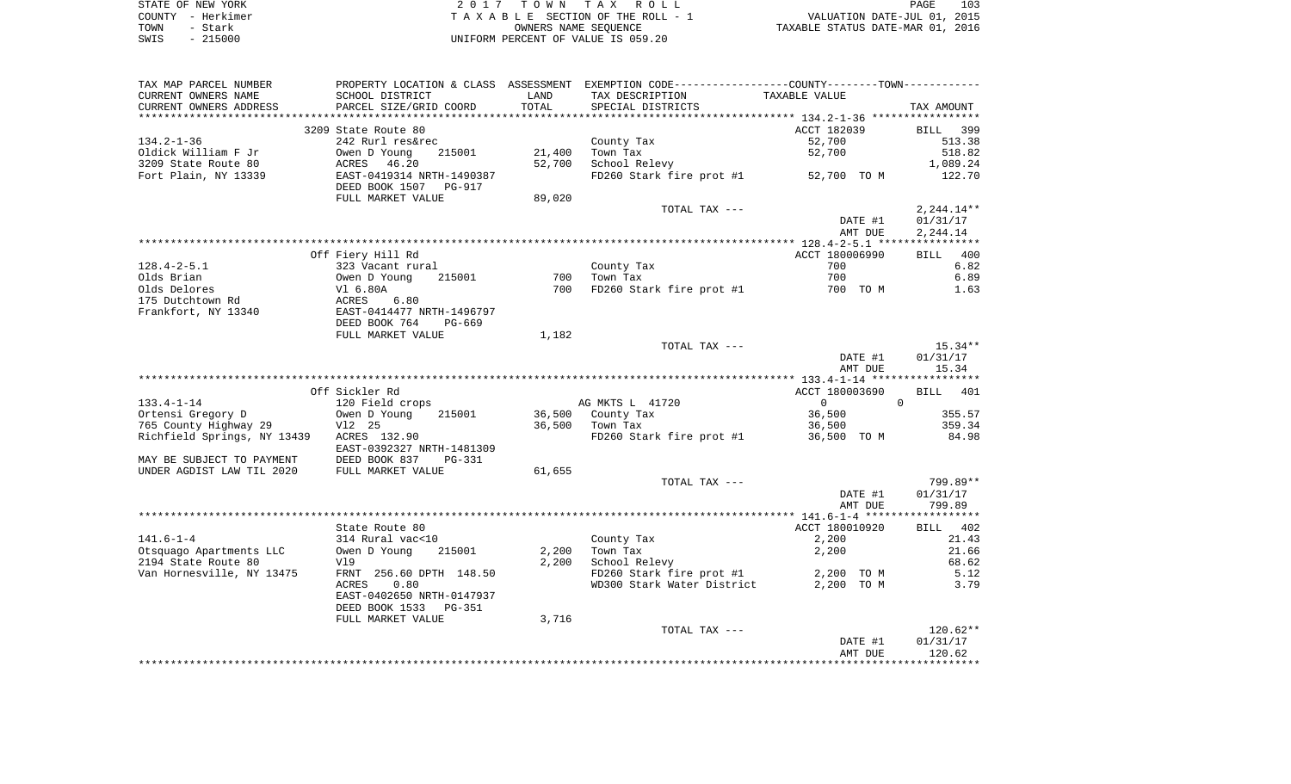|      | STATE OF NEW YORK | 2017 TOWN TAX ROLL                 | 103<br><b>PAGE</b>               |
|------|-------------------|------------------------------------|----------------------------------|
|      | COUNTY - Herkimer | TAXABLE SECTION OF THE ROLL - 1    | VALUATION DATE-JUL 01, 2015      |
| TOWN | - Stark           | OWNERS NAME SEOUENCE               | TAXABLE STATUS DATE-MAR 01, 2016 |
| SWIS | $-215000$         | UNIFORM PERCENT OF VALUE IS 059.20 |                                  |

| TAX MAP PARCEL NUMBER                    |                                                                            |        | PROPERTY LOCATION & CLASS ASSESSMENT EXEMPTION CODE---------------COUNTY-------TOWN---------- |                       |                    |
|------------------------------------------|----------------------------------------------------------------------------|--------|-----------------------------------------------------------------------------------------------|-----------------------|--------------------|
| CURRENT OWNERS NAME                      | SCHOOL DISTRICT                                                            | LAND   | TAX DESCRIPTION                                                                               | TAXABLE VALUE         |                    |
| CURRENT OWNERS ADDRESS                   | PARCEL SIZE/GRID COORD                                                     | TOTAL  | SPECIAL DISTRICTS                                                                             |                       | TAX AMOUNT         |
| **********************                   |                                                                            |        |                                                                                               |                       |                    |
|                                          | 3209 State Route 80                                                        |        |                                                                                               | ACCT 182039           | BILL 399           |
| $134.2 - 1 - 36$                         | 242 Rurl res&rec                                                           |        | County Tax                                                                                    | 52,700                | 513.38             |
| Oldick William F Jr                      | Owen D Young<br>215001                                                     | 21,400 | Town Tax                                                                                      | 52,700                | 518.82             |
| 3209 State Route 80                      | ACRES 46.20<br>EAST-0419314 NRTH-1490387                                   | 52,700 | School Relevy                                                                                 |                       | 1,089.24           |
| Fort Plain, NY 13339                     |                                                                            |        | FD260 Stark fire prot #1 52,700 TO M                                                          |                       | 122.70             |
|                                          | DEED BOOK 1507 PG-917                                                      |        |                                                                                               |                       |                    |
|                                          | FULL MARKET VALUE                                                          | 89,020 |                                                                                               |                       |                    |
|                                          |                                                                            |        | TOTAL TAX ---                                                                                 |                       | $2,244.14**$       |
|                                          |                                                                            |        |                                                                                               | DATE #1               | 01/31/17           |
|                                          |                                                                            |        |                                                                                               | AMT DUE               | 2,244.14           |
|                                          |                                                                            |        |                                                                                               |                       |                    |
| $128.4 - 2 - 5.1$                        | Off Fiery Hill Rd<br>323 Vacant rural                                      |        | County Tax                                                                                    | ACCT 180006990<br>700 | BILL 400<br>6.82   |
| Olds Brian                               |                                                                            |        | 700 Town Tax                                                                                  | 700                   | 6.89               |
| Olds Delores                             |                                                                            |        | 700 FD260 Stark fire prot #1                                                                  | 700 TO M              | 1.63               |
| 175 Dutchtown Rd                         | Owen D Young 215001<br>V1 6.80A<br>ACRES 6.80<br>EAST-0414477 NRTH-1496797 |        |                                                                                               |                       |                    |
| Frankfort, NY 13340                      |                                                                            |        |                                                                                               |                       |                    |
|                                          | DEED BOOK 764<br>PG-669                                                    |        |                                                                                               |                       |                    |
|                                          | FULL MARKET VALUE                                                          | 1,182  |                                                                                               |                       |                    |
|                                          |                                                                            |        | TOTAL TAX ---                                                                                 |                       | $15.34**$          |
|                                          |                                                                            |        |                                                                                               | DATE #1               | 01/31/17           |
|                                          |                                                                            |        |                                                                                               | AMT DUE               | 15.34              |
|                                          |                                                                            |        |                                                                                               |                       |                    |
|                                          | Off Sickler Rd                                                             |        |                                                                                               | ACCT 180003690        | BILL 401           |
| $133.4 - 1 - 14$                         | 120 Field crops                                                            |        | AG MKTS L 41720                                                                               | $\overline{0}$        | $\Omega$           |
| Ortensi Gregory D                        | 215001<br>Owen D Young                                                     |        | 36,500 County Tax                                                                             | 36,500                | 355.57             |
| 765 County Highway 29                    | V12 25                                                                     |        | 36,500 Town Tax                                                                               | 36,500                | 359.34             |
| Richfield Springs, NY 13439 ACRES 132.90 |                                                                            |        | FD260 Stark fire prot #1 36,500 TO M                                                          |                       | 84.98              |
|                                          | EAST-0392327 NRTH-1481309                                                  |        |                                                                                               |                       |                    |
| MAY BE SUBJECT TO PAYMENT                | DEED BOOK 837 I<br>FULL MARKET VALUE<br>PG-331                             |        |                                                                                               |                       |                    |
| UNDER AGDIST LAW TIL 2020                |                                                                            | 61,655 |                                                                                               |                       |                    |
|                                          |                                                                            |        | TOTAL TAX ---                                                                                 |                       | 799.89**           |
|                                          |                                                                            |        |                                                                                               | DATE #1<br>AMT DUE    | 01/31/17<br>799.89 |
|                                          |                                                                            |        |                                                                                               |                       |                    |
|                                          | State Route 80                                                             |        |                                                                                               | ACCT 180010920        | BILL 402           |
| $141.6 - 1 - 4$                          |                                                                            |        | County Tax                                                                                    | 2,200                 | 21.43              |
| Otsquago Apartments LLC                  | 314 Rural vac<10<br>Owen D Young 2<br>215001                               | 2,200  | Town Tax                                                                                      | 2,200                 | 21.66              |
| 2194 State Route 80                      | Vl9                                                                        | 2,200  | School Relevy                                                                                 |                       | 68.62              |
| Van Hornesville, NY 13475                | FRNT 256.60 DPTH 148.50                                                    |        | FD260 Stark fire prot #1 2,200 TO M                                                           |                       | 5.12               |
|                                          | 0.80<br>ACRES                                                              |        | WD300 Stark Water District                                                                    | 2,200 TO M            | 3.79               |
|                                          | EAST-0402650 NRTH-0147937                                                  |        |                                                                                               |                       |                    |
|                                          | DEED BOOK 1533 PG-351                                                      |        |                                                                                               |                       |                    |
|                                          | FULL MARKET VALUE                                                          | 3,716  |                                                                                               |                       |                    |
|                                          |                                                                            |        | TOTAL TAX ---                                                                                 |                       | $120.62**$         |
|                                          |                                                                            |        |                                                                                               | DATE #1               | 01/31/17           |
|                                          |                                                                            |        |                                                                                               | AMT DUE               | 120.62             |
|                                          |                                                                            |        |                                                                                               |                       |                    |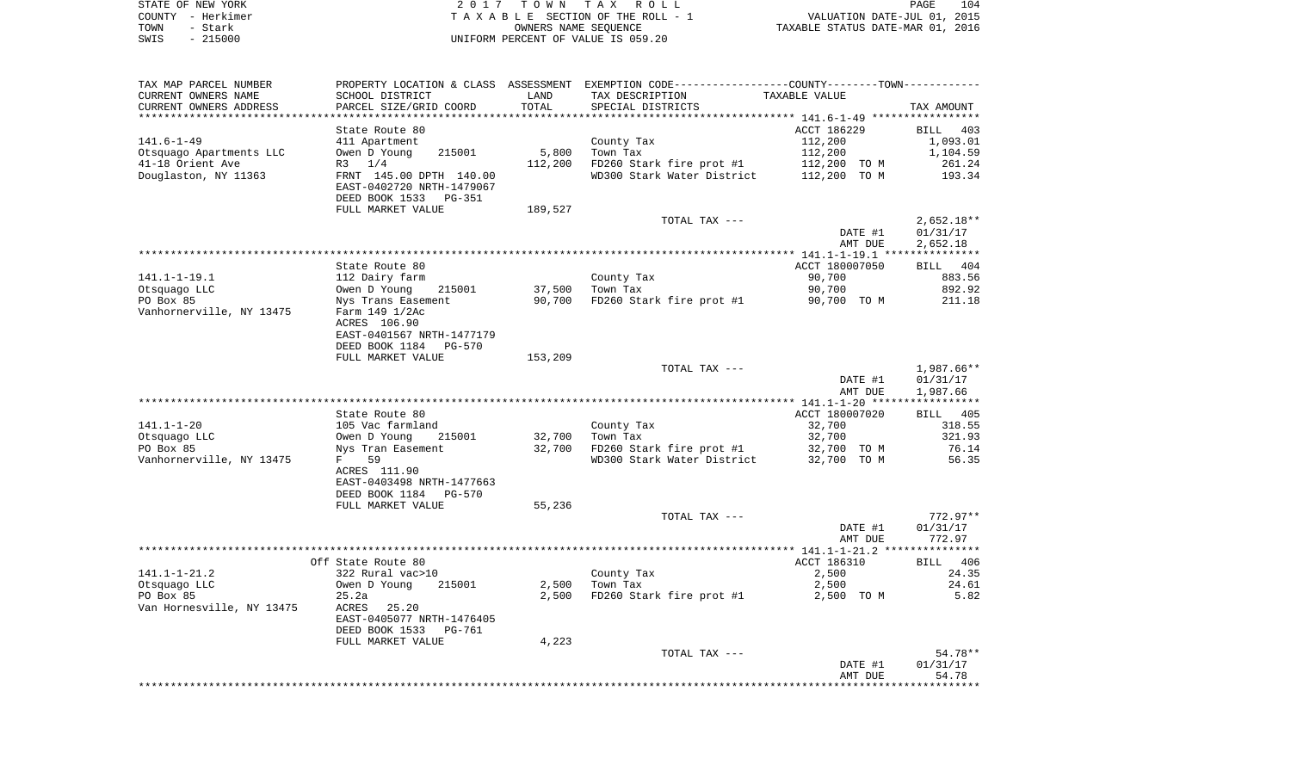| STATE OF NEW YORK | 2017 TOWN TAX ROLL                 | 104<br>PAGE                      |
|-------------------|------------------------------------|----------------------------------|
| COUNTY - Herkimer | TAXABLE SECTION OF THE ROLL - 1    | VALUATION DATE-JUL 01, 2015      |
| TOWN<br>- Stark   | OWNERS NAME SEOUENCE               | TAXABLE STATUS DATE-MAR 01, 2016 |
| $-215000$<br>SWIS | UNIFORM PERCENT OF VALUE IS 059.20 |                                  |

| TAX MAP PARCEL NUMBER                     |                                                       |         | PROPERTY LOCATION & CLASS ASSESSMENT EXEMPTION CODE----------------COUNTY-------TOWN----------- |                        |                                |
|-------------------------------------------|-------------------------------------------------------|---------|-------------------------------------------------------------------------------------------------|------------------------|--------------------------------|
| CURRENT OWNERS NAME                       | SCHOOL DISTRICT                                       | LAND    | TAX DESCRIPTION                                                                                 | TAXABLE VALUE          |                                |
| CURRENT OWNERS ADDRESS<br>*************** | PARCEL SIZE/GRID COORD<br>***********************     | TOTAL   | SPECIAL DISTRICTS                                                                               |                        | TAX AMOUNT                     |
|                                           |                                                       |         |                                                                                                 |                        |                                |
| $141.6 - 1 - 49$                          | State Route 80<br>411 Apartment                       |         | County Tax                                                                                      | ACCT 186229<br>112,200 | <b>BILL</b><br>403<br>1,093.01 |
| Otsquago Apartments LLC                   | Owen D Young<br>215001                                | 5,800   | Town Tax                                                                                        | 112,200                | 1,104.59                       |
| 41-18 Orient Ave                          | 1/4<br>R3                                             | 112,200 | FD260 Stark fire prot #1                                                                        | 112,200 TO M           | 261.24                         |
| Douglaston, NY 11363                      | FRNT 145.00 DPTH 140.00                               |         | WD300 Stark Water District                                                                      | 112,200 TO M           | 193.34                         |
|                                           | EAST-0402720 NRTH-1479067                             |         |                                                                                                 |                        |                                |
|                                           | DEED BOOK 1533<br>PG-351                              |         |                                                                                                 |                        |                                |
|                                           | FULL MARKET VALUE                                     | 189,527 |                                                                                                 |                        |                                |
|                                           |                                                       |         | TOTAL TAX ---                                                                                   |                        | $2,652.18**$                   |
|                                           |                                                       |         |                                                                                                 | DATE #1                | 01/31/17                       |
|                                           |                                                       |         |                                                                                                 | AMT DUE                | 2,652.18                       |
|                                           |                                                       |         |                                                                                                 |                        |                                |
|                                           | State Route 80                                        |         |                                                                                                 | ACCT 180007050         | BILL 404                       |
| $141.1 - 1 - 19.1$                        | 112 Dairy farm                                        |         | County Tax                                                                                      | 90,700                 | 883.56                         |
| Otsquago LLC                              | Owen D Young<br>215001                                | 37,500  | Town Tax                                                                                        | 90,700                 | 892.92                         |
| PO Box 85                                 | Nys Trans Easement                                    | 90,700  | FD260 Stark fire prot #1                                                                        | 90,700 TO M            | 211.18                         |
| Vanhornerville, NY 13475                  | Farm 149 1/2Ac                                        |         |                                                                                                 |                        |                                |
|                                           | ACRES 106.90<br>EAST-0401567 NRTH-1477179             |         |                                                                                                 |                        |                                |
|                                           | DEED BOOK 1184<br><b>PG-570</b>                       |         |                                                                                                 |                        |                                |
|                                           | FULL MARKET VALUE                                     | 153,209 |                                                                                                 |                        |                                |
|                                           |                                                       |         | TOTAL TAX ---                                                                                   |                        | 1,987.66**                     |
|                                           |                                                       |         |                                                                                                 | DATE #1                | 01/31/17                       |
|                                           |                                                       |         |                                                                                                 | AMT DUE                | 1,987.66                       |
|                                           |                                                       |         |                                                                                                 |                        |                                |
|                                           | State Route 80                                        |         |                                                                                                 | ACCT 180007020         | BILL 405                       |
| $141.1 - 1 - 20$                          | 105 Vac farmland                                      |         | County Tax                                                                                      | 32,700                 | 318.55                         |
| Otsquago LLC                              | Owen D Young<br>215001                                | 32,700  | Town Tax                                                                                        | 32,700                 | 321.93                         |
| PO Box 85                                 | Nys Tran Easement                                     | 32,700  | FD260 Stark fire prot #1                                                                        | 32,700 TO M            | 76.14                          |
| Vanhornerville, NY 13475                  | 59<br>F                                               |         | WD300 Stark Water District                                                                      | 32,700 TO M            | 56.35                          |
|                                           | ACRES 111.90<br>EAST-0403498 NRTH-1477663             |         |                                                                                                 |                        |                                |
|                                           | DEED BOOK 1184<br><b>PG-570</b>                       |         |                                                                                                 |                        |                                |
|                                           | FULL MARKET VALUE                                     | 55,236  |                                                                                                 |                        |                                |
|                                           |                                                       |         | TOTAL TAX ---                                                                                   |                        | $772.97**$                     |
|                                           |                                                       |         |                                                                                                 | DATE #1                | 01/31/17                       |
|                                           |                                                       |         |                                                                                                 | AMT DUE                | 772.97                         |
|                                           |                                                       |         |                                                                                                 |                        |                                |
|                                           | Off State Route 80                                    |         |                                                                                                 | ACCT 186310            | <b>BILL</b><br>406             |
| $141.1 - 1 - 21.2$                        | 322 Rural vac>10                                      |         | County Tax                                                                                      | 2,500                  | 24.35                          |
| Otsquago LLC                              | Owen D Young<br>215001                                | 2,500   | Town Tax                                                                                        | 2,500                  | 24.61                          |
| PO Box 85                                 | 25.2a                                                 | 2,500   | FD260 Stark fire prot #1                                                                        | 2,500 TO M             | 5.82                           |
| Van Hornesville, NY 13475                 | ACRES<br>25.20                                        |         |                                                                                                 |                        |                                |
|                                           | EAST-0405077 NRTH-1476405<br>DEED BOOK 1533<br>PG-761 |         |                                                                                                 |                        |                                |
|                                           |                                                       |         |                                                                                                 |                        |                                |
|                                           | FULL MARKET VALUE                                     | 4,223   | TOTAL TAX ---                                                                                   |                        | 54.78**                        |
|                                           |                                                       |         |                                                                                                 | DATE #1                | 01/31/17                       |
|                                           |                                                       |         |                                                                                                 | AMT DUE                | 54.78                          |
|                                           |                                                       |         |                                                                                                 |                        |                                |
|                                           |                                                       |         |                                                                                                 |                        |                                |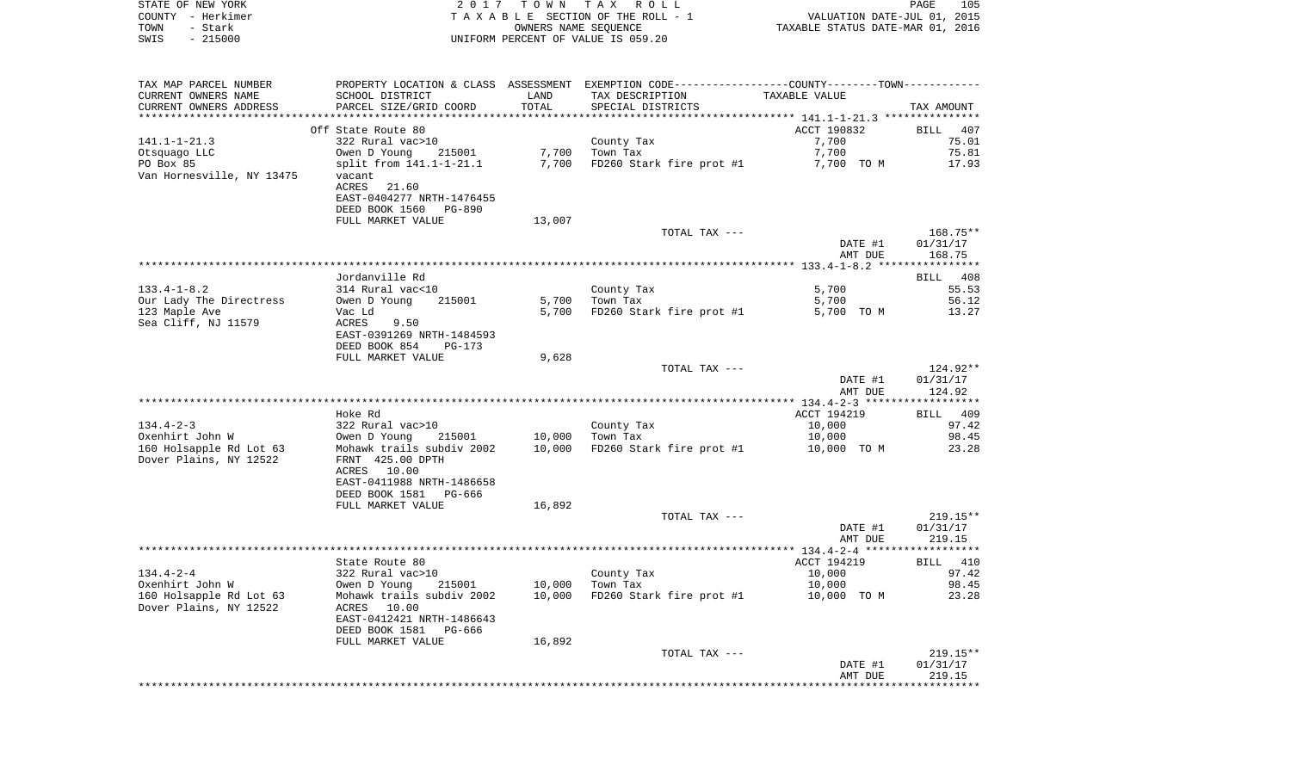| STATE OF NEW YORK      | 2017                                 | T O W N    | TAX ROLL                                                     |                                  | PAGE                        | 105   |
|------------------------|--------------------------------------|------------|--------------------------------------------------------------|----------------------------------|-----------------------------|-------|
| - Herkimer<br>COUNTY   |                                      |            | TAXABLE SECTION OF THE ROLL - 1                              |                                  | VALUATION DATE-JUL 01, 2015 |       |
| - Stark<br>TOWN        |                                      |            | OWNERS NAME SEOUENCE                                         | TAXABLE STATUS DATE-MAR 01, 2016 |                             |       |
| SWIS<br>$-215000$      |                                      |            | UNIFORM PERCENT OF VALUE IS 059.20                           |                                  |                             |       |
|                        |                                      |            |                                                              |                                  |                             |       |
|                        |                                      |            |                                                              |                                  |                             |       |
|                        |                                      |            |                                                              |                                  |                             |       |
| TAX MAP PARCEL NUMBER  | PROPERTY LOCATION & CLASS            | ASSESSMENT | EXEMPTION CODE-----------------COUNTY-------TOWN------------ |                                  |                             |       |
| CURRENT OWNERS NAME    | SCHOOL DISTRICT                      | LAND       | TAX DESCRIPTION                                              | TAXABLE VALUE                    |                             |       |
| CURRENT OWNERS ADDRESS | PARCEL SIZE/GRID COORD               | TOTAL      | SPECIAL DISTRICTS                                            |                                  | TAX AMOUNT                  |       |
|                        |                                      |            |                                                              |                                  | ***************             |       |
|                        | Off State Route 80                   |            |                                                              | ACCT 190832                      | BILL                        | 407   |
| $141.1 - 1 - 21.3$     | 322 Rural vac>10                     |            | County Tax                                                   | 7,700                            |                             | 75.01 |
| Otsquago LLC           | 215001<br>Owen D Young               | 7.700      | Town Tax                                                     | 7,700                            |                             | 75.81 |
| DO Por RE              | $cm_{1} + from_{1} 141 1 - 1 - 21 1$ | 7.700      | $F\cap 260$ Ctork fire prot #1                               | 7 700 TO M                       |                             | 17 02 |

| PO Box 85<br>split from 141.1-1-21.1<br>7,700<br>FD260 Stark fire prot #1<br>7,700 TO M<br>17.93<br>vacant<br>21.60<br>ACRES<br>EAST-0404277 NRTH-1476455<br>DEED BOOK 1560 PG-890<br>FULL MARKET VALUE<br>13,007<br>TOTAL TAX ---<br>168.75**<br>DATE #1<br>01/31/17<br>168.75<br>AMT DUE<br>Jordanville Rd<br>BILL 408<br>$133.4 - 1 - 8.2$<br>5,700<br>55.53<br>314 Rural vac<10<br>County Tax<br>Our Lady The Directress<br>5,700<br>Town Tax<br>56.12<br>Owen D Young<br>215001<br>5,700<br>FD260 Stark fire prot #1<br>123 Maple Ave<br>5,700<br>5,700 TO M<br>13.27<br>Vac Ld<br>ACRES<br>9.50<br>EAST-0391269 NRTH-1484593<br>DEED BOOK 854<br>PG-173<br>FULL MARKET VALUE<br>9,628<br>TOTAL TAX ---<br>124.92**<br>01/31/17<br>DATE #1<br>AMT DUE<br>124.92<br>Hoke Rd<br>ACCT 194219<br>BILL 409<br>$134.4 - 2 - 3$<br>322 Rural vac>10<br>County Tax<br>10,000<br>97.42<br>10,000<br>98.45<br>Oxenhirt John W<br>Owen D Young<br>215001<br>Town Tax<br>10,000<br>160 Holsapple Rd Lot 63<br>Mohawk trails subdiv 2002<br>10,000<br>FD260 Stark fire prot #1<br>10,000 TO M<br>23.28<br>Dover Plains, NY 12522<br>FRNT 425.00 DPTH<br>ACRES 10.00<br>EAST-0411988 NRTH-1486658<br>DEED BOOK 1581 PG-666<br>FULL MARKET VALUE<br>16,892<br>TOTAL TAX ---<br>$219.15**$<br>DATE #1<br>01/31/17<br>AMT DUE<br>219.15<br>State Route 80<br>ACCT 194219<br>BILL 410<br>10,000<br>97.42<br>322 Rural vac>10<br>County Tax<br>10,000<br>Oxenhirt John W<br>Owen D Young<br>Town Tax<br>10,000<br>98.45<br>215001<br>160 Holsapple Rd Lot 63<br>Mohawk trails subdiv 2002<br>10,000<br>FD260 Stark fire prot #1<br>23.28<br>10,000 TO M<br>Dover Plains, NY 12522<br>ACRES 10.00<br>EAST-0412421 NRTH-1486643<br>DEED BOOK 1581 PG-666<br>FULL MARKET VALUE<br>16,892<br>$219.15**$<br>TOTAL TAX ---<br>01/31/17<br>DATE #1<br>219.15<br>AMT DUE<br>********************************** | Olsyudyo bil              | OWEN D IOUNG ZISOUI | , 700 | TOMIL TAX | $\frac{1}{2}$ | 79.01 |
|------------------------------------------------------------------------------------------------------------------------------------------------------------------------------------------------------------------------------------------------------------------------------------------------------------------------------------------------------------------------------------------------------------------------------------------------------------------------------------------------------------------------------------------------------------------------------------------------------------------------------------------------------------------------------------------------------------------------------------------------------------------------------------------------------------------------------------------------------------------------------------------------------------------------------------------------------------------------------------------------------------------------------------------------------------------------------------------------------------------------------------------------------------------------------------------------------------------------------------------------------------------------------------------------------------------------------------------------------------------------------------------------------------------------------------------------------------------------------------------------------------------------------------------------------------------------------------------------------------------------------------------------------------------------------------------------------------------------------------------------------------------------------------------------------------------------------------------------------------------------------------------|---------------------------|---------------------|-------|-----------|---------------|-------|
|                                                                                                                                                                                                                                                                                                                                                                                                                                                                                                                                                                                                                                                                                                                                                                                                                                                                                                                                                                                                                                                                                                                                                                                                                                                                                                                                                                                                                                                                                                                                                                                                                                                                                                                                                                                                                                                                                          |                           |                     |       |           |               |       |
|                                                                                                                                                                                                                                                                                                                                                                                                                                                                                                                                                                                                                                                                                                                                                                                                                                                                                                                                                                                                                                                                                                                                                                                                                                                                                                                                                                                                                                                                                                                                                                                                                                                                                                                                                                                                                                                                                          | Van Hornesville, NY 13475 |                     |       |           |               |       |
|                                                                                                                                                                                                                                                                                                                                                                                                                                                                                                                                                                                                                                                                                                                                                                                                                                                                                                                                                                                                                                                                                                                                                                                                                                                                                                                                                                                                                                                                                                                                                                                                                                                                                                                                                                                                                                                                                          |                           |                     |       |           |               |       |
|                                                                                                                                                                                                                                                                                                                                                                                                                                                                                                                                                                                                                                                                                                                                                                                                                                                                                                                                                                                                                                                                                                                                                                                                                                                                                                                                                                                                                                                                                                                                                                                                                                                                                                                                                                                                                                                                                          |                           |                     |       |           |               |       |
|                                                                                                                                                                                                                                                                                                                                                                                                                                                                                                                                                                                                                                                                                                                                                                                                                                                                                                                                                                                                                                                                                                                                                                                                                                                                                                                                                                                                                                                                                                                                                                                                                                                                                                                                                                                                                                                                                          |                           |                     |       |           |               |       |
|                                                                                                                                                                                                                                                                                                                                                                                                                                                                                                                                                                                                                                                                                                                                                                                                                                                                                                                                                                                                                                                                                                                                                                                                                                                                                                                                                                                                                                                                                                                                                                                                                                                                                                                                                                                                                                                                                          |                           |                     |       |           |               |       |
|                                                                                                                                                                                                                                                                                                                                                                                                                                                                                                                                                                                                                                                                                                                                                                                                                                                                                                                                                                                                                                                                                                                                                                                                                                                                                                                                                                                                                                                                                                                                                                                                                                                                                                                                                                                                                                                                                          |                           |                     |       |           |               |       |
|                                                                                                                                                                                                                                                                                                                                                                                                                                                                                                                                                                                                                                                                                                                                                                                                                                                                                                                                                                                                                                                                                                                                                                                                                                                                                                                                                                                                                                                                                                                                                                                                                                                                                                                                                                                                                                                                                          |                           |                     |       |           |               |       |
|                                                                                                                                                                                                                                                                                                                                                                                                                                                                                                                                                                                                                                                                                                                                                                                                                                                                                                                                                                                                                                                                                                                                                                                                                                                                                                                                                                                                                                                                                                                                                                                                                                                                                                                                                                                                                                                                                          |                           |                     |       |           |               |       |
|                                                                                                                                                                                                                                                                                                                                                                                                                                                                                                                                                                                                                                                                                                                                                                                                                                                                                                                                                                                                                                                                                                                                                                                                                                                                                                                                                                                                                                                                                                                                                                                                                                                                                                                                                                                                                                                                                          |                           |                     |       |           |               |       |
|                                                                                                                                                                                                                                                                                                                                                                                                                                                                                                                                                                                                                                                                                                                                                                                                                                                                                                                                                                                                                                                                                                                                                                                                                                                                                                                                                                                                                                                                                                                                                                                                                                                                                                                                                                                                                                                                                          |                           |                     |       |           |               |       |
|                                                                                                                                                                                                                                                                                                                                                                                                                                                                                                                                                                                                                                                                                                                                                                                                                                                                                                                                                                                                                                                                                                                                                                                                                                                                                                                                                                                                                                                                                                                                                                                                                                                                                                                                                                                                                                                                                          |                           |                     |       |           |               |       |
|                                                                                                                                                                                                                                                                                                                                                                                                                                                                                                                                                                                                                                                                                                                                                                                                                                                                                                                                                                                                                                                                                                                                                                                                                                                                                                                                                                                                                                                                                                                                                                                                                                                                                                                                                                                                                                                                                          |                           |                     |       |           |               |       |
|                                                                                                                                                                                                                                                                                                                                                                                                                                                                                                                                                                                                                                                                                                                                                                                                                                                                                                                                                                                                                                                                                                                                                                                                                                                                                                                                                                                                                                                                                                                                                                                                                                                                                                                                                                                                                                                                                          |                           |                     |       |           |               |       |
|                                                                                                                                                                                                                                                                                                                                                                                                                                                                                                                                                                                                                                                                                                                                                                                                                                                                                                                                                                                                                                                                                                                                                                                                                                                                                                                                                                                                                                                                                                                                                                                                                                                                                                                                                                                                                                                                                          |                           |                     |       |           |               |       |
|                                                                                                                                                                                                                                                                                                                                                                                                                                                                                                                                                                                                                                                                                                                                                                                                                                                                                                                                                                                                                                                                                                                                                                                                                                                                                                                                                                                                                                                                                                                                                                                                                                                                                                                                                                                                                                                                                          |                           |                     |       |           |               |       |
|                                                                                                                                                                                                                                                                                                                                                                                                                                                                                                                                                                                                                                                                                                                                                                                                                                                                                                                                                                                                                                                                                                                                                                                                                                                                                                                                                                                                                                                                                                                                                                                                                                                                                                                                                                                                                                                                                          | Sea Cliff, NJ 11579       |                     |       |           |               |       |
|                                                                                                                                                                                                                                                                                                                                                                                                                                                                                                                                                                                                                                                                                                                                                                                                                                                                                                                                                                                                                                                                                                                                                                                                                                                                                                                                                                                                                                                                                                                                                                                                                                                                                                                                                                                                                                                                                          |                           |                     |       |           |               |       |
|                                                                                                                                                                                                                                                                                                                                                                                                                                                                                                                                                                                                                                                                                                                                                                                                                                                                                                                                                                                                                                                                                                                                                                                                                                                                                                                                                                                                                                                                                                                                                                                                                                                                                                                                                                                                                                                                                          |                           |                     |       |           |               |       |
|                                                                                                                                                                                                                                                                                                                                                                                                                                                                                                                                                                                                                                                                                                                                                                                                                                                                                                                                                                                                                                                                                                                                                                                                                                                                                                                                                                                                                                                                                                                                                                                                                                                                                                                                                                                                                                                                                          |                           |                     |       |           |               |       |
|                                                                                                                                                                                                                                                                                                                                                                                                                                                                                                                                                                                                                                                                                                                                                                                                                                                                                                                                                                                                                                                                                                                                                                                                                                                                                                                                                                                                                                                                                                                                                                                                                                                                                                                                                                                                                                                                                          |                           |                     |       |           |               |       |
|                                                                                                                                                                                                                                                                                                                                                                                                                                                                                                                                                                                                                                                                                                                                                                                                                                                                                                                                                                                                                                                                                                                                                                                                                                                                                                                                                                                                                                                                                                                                                                                                                                                                                                                                                                                                                                                                                          |                           |                     |       |           |               |       |
|                                                                                                                                                                                                                                                                                                                                                                                                                                                                                                                                                                                                                                                                                                                                                                                                                                                                                                                                                                                                                                                                                                                                                                                                                                                                                                                                                                                                                                                                                                                                                                                                                                                                                                                                                                                                                                                                                          |                           |                     |       |           |               |       |
|                                                                                                                                                                                                                                                                                                                                                                                                                                                                                                                                                                                                                                                                                                                                                                                                                                                                                                                                                                                                                                                                                                                                                                                                                                                                                                                                                                                                                                                                                                                                                                                                                                                                                                                                                                                                                                                                                          |                           |                     |       |           |               |       |
|                                                                                                                                                                                                                                                                                                                                                                                                                                                                                                                                                                                                                                                                                                                                                                                                                                                                                                                                                                                                                                                                                                                                                                                                                                                                                                                                                                                                                                                                                                                                                                                                                                                                                                                                                                                                                                                                                          |                           |                     |       |           |               |       |
|                                                                                                                                                                                                                                                                                                                                                                                                                                                                                                                                                                                                                                                                                                                                                                                                                                                                                                                                                                                                                                                                                                                                                                                                                                                                                                                                                                                                                                                                                                                                                                                                                                                                                                                                                                                                                                                                                          |                           |                     |       |           |               |       |
|                                                                                                                                                                                                                                                                                                                                                                                                                                                                                                                                                                                                                                                                                                                                                                                                                                                                                                                                                                                                                                                                                                                                                                                                                                                                                                                                                                                                                                                                                                                                                                                                                                                                                                                                                                                                                                                                                          |                           |                     |       |           |               |       |
|                                                                                                                                                                                                                                                                                                                                                                                                                                                                                                                                                                                                                                                                                                                                                                                                                                                                                                                                                                                                                                                                                                                                                                                                                                                                                                                                                                                                                                                                                                                                                                                                                                                                                                                                                                                                                                                                                          |                           |                     |       |           |               |       |
|                                                                                                                                                                                                                                                                                                                                                                                                                                                                                                                                                                                                                                                                                                                                                                                                                                                                                                                                                                                                                                                                                                                                                                                                                                                                                                                                                                                                                                                                                                                                                                                                                                                                                                                                                                                                                                                                                          |                           |                     |       |           |               |       |
|                                                                                                                                                                                                                                                                                                                                                                                                                                                                                                                                                                                                                                                                                                                                                                                                                                                                                                                                                                                                                                                                                                                                                                                                                                                                                                                                                                                                                                                                                                                                                                                                                                                                                                                                                                                                                                                                                          |                           |                     |       |           |               |       |
|                                                                                                                                                                                                                                                                                                                                                                                                                                                                                                                                                                                                                                                                                                                                                                                                                                                                                                                                                                                                                                                                                                                                                                                                                                                                                                                                                                                                                                                                                                                                                                                                                                                                                                                                                                                                                                                                                          |                           |                     |       |           |               |       |
|                                                                                                                                                                                                                                                                                                                                                                                                                                                                                                                                                                                                                                                                                                                                                                                                                                                                                                                                                                                                                                                                                                                                                                                                                                                                                                                                                                                                                                                                                                                                                                                                                                                                                                                                                                                                                                                                                          |                           |                     |       |           |               |       |
|                                                                                                                                                                                                                                                                                                                                                                                                                                                                                                                                                                                                                                                                                                                                                                                                                                                                                                                                                                                                                                                                                                                                                                                                                                                                                                                                                                                                                                                                                                                                                                                                                                                                                                                                                                                                                                                                                          |                           |                     |       |           |               |       |
|                                                                                                                                                                                                                                                                                                                                                                                                                                                                                                                                                                                                                                                                                                                                                                                                                                                                                                                                                                                                                                                                                                                                                                                                                                                                                                                                                                                                                                                                                                                                                                                                                                                                                                                                                                                                                                                                                          |                           |                     |       |           |               |       |
|                                                                                                                                                                                                                                                                                                                                                                                                                                                                                                                                                                                                                                                                                                                                                                                                                                                                                                                                                                                                                                                                                                                                                                                                                                                                                                                                                                                                                                                                                                                                                                                                                                                                                                                                                                                                                                                                                          |                           |                     |       |           |               |       |
|                                                                                                                                                                                                                                                                                                                                                                                                                                                                                                                                                                                                                                                                                                                                                                                                                                                                                                                                                                                                                                                                                                                                                                                                                                                                                                                                                                                                                                                                                                                                                                                                                                                                                                                                                                                                                                                                                          |                           |                     |       |           |               |       |
|                                                                                                                                                                                                                                                                                                                                                                                                                                                                                                                                                                                                                                                                                                                                                                                                                                                                                                                                                                                                                                                                                                                                                                                                                                                                                                                                                                                                                                                                                                                                                                                                                                                                                                                                                                                                                                                                                          |                           |                     |       |           |               |       |
|                                                                                                                                                                                                                                                                                                                                                                                                                                                                                                                                                                                                                                                                                                                                                                                                                                                                                                                                                                                                                                                                                                                                                                                                                                                                                                                                                                                                                                                                                                                                                                                                                                                                                                                                                                                                                                                                                          |                           |                     |       |           |               |       |
|                                                                                                                                                                                                                                                                                                                                                                                                                                                                                                                                                                                                                                                                                                                                                                                                                                                                                                                                                                                                                                                                                                                                                                                                                                                                                                                                                                                                                                                                                                                                                                                                                                                                                                                                                                                                                                                                                          |                           |                     |       |           |               |       |
|                                                                                                                                                                                                                                                                                                                                                                                                                                                                                                                                                                                                                                                                                                                                                                                                                                                                                                                                                                                                                                                                                                                                                                                                                                                                                                                                                                                                                                                                                                                                                                                                                                                                                                                                                                                                                                                                                          |                           |                     |       |           |               |       |
|                                                                                                                                                                                                                                                                                                                                                                                                                                                                                                                                                                                                                                                                                                                                                                                                                                                                                                                                                                                                                                                                                                                                                                                                                                                                                                                                                                                                                                                                                                                                                                                                                                                                                                                                                                                                                                                                                          |                           |                     |       |           |               |       |
|                                                                                                                                                                                                                                                                                                                                                                                                                                                                                                                                                                                                                                                                                                                                                                                                                                                                                                                                                                                                                                                                                                                                                                                                                                                                                                                                                                                                                                                                                                                                                                                                                                                                                                                                                                                                                                                                                          | $134.4 - 2 - 4$           |                     |       |           |               |       |
|                                                                                                                                                                                                                                                                                                                                                                                                                                                                                                                                                                                                                                                                                                                                                                                                                                                                                                                                                                                                                                                                                                                                                                                                                                                                                                                                                                                                                                                                                                                                                                                                                                                                                                                                                                                                                                                                                          |                           |                     |       |           |               |       |
|                                                                                                                                                                                                                                                                                                                                                                                                                                                                                                                                                                                                                                                                                                                                                                                                                                                                                                                                                                                                                                                                                                                                                                                                                                                                                                                                                                                                                                                                                                                                                                                                                                                                                                                                                                                                                                                                                          |                           |                     |       |           |               |       |
|                                                                                                                                                                                                                                                                                                                                                                                                                                                                                                                                                                                                                                                                                                                                                                                                                                                                                                                                                                                                                                                                                                                                                                                                                                                                                                                                                                                                                                                                                                                                                                                                                                                                                                                                                                                                                                                                                          |                           |                     |       |           |               |       |
|                                                                                                                                                                                                                                                                                                                                                                                                                                                                                                                                                                                                                                                                                                                                                                                                                                                                                                                                                                                                                                                                                                                                                                                                                                                                                                                                                                                                                                                                                                                                                                                                                                                                                                                                                                                                                                                                                          |                           |                     |       |           |               |       |
|                                                                                                                                                                                                                                                                                                                                                                                                                                                                                                                                                                                                                                                                                                                                                                                                                                                                                                                                                                                                                                                                                                                                                                                                                                                                                                                                                                                                                                                                                                                                                                                                                                                                                                                                                                                                                                                                                          |                           |                     |       |           |               |       |
|                                                                                                                                                                                                                                                                                                                                                                                                                                                                                                                                                                                                                                                                                                                                                                                                                                                                                                                                                                                                                                                                                                                                                                                                                                                                                                                                                                                                                                                                                                                                                                                                                                                                                                                                                                                                                                                                                          |                           |                     |       |           |               |       |
|                                                                                                                                                                                                                                                                                                                                                                                                                                                                                                                                                                                                                                                                                                                                                                                                                                                                                                                                                                                                                                                                                                                                                                                                                                                                                                                                                                                                                                                                                                                                                                                                                                                                                                                                                                                                                                                                                          |                           |                     |       |           |               |       |
|                                                                                                                                                                                                                                                                                                                                                                                                                                                                                                                                                                                                                                                                                                                                                                                                                                                                                                                                                                                                                                                                                                                                                                                                                                                                                                                                                                                                                                                                                                                                                                                                                                                                                                                                                                                                                                                                                          |                           |                     |       |           |               |       |
|                                                                                                                                                                                                                                                                                                                                                                                                                                                                                                                                                                                                                                                                                                                                                                                                                                                                                                                                                                                                                                                                                                                                                                                                                                                                                                                                                                                                                                                                                                                                                                                                                                                                                                                                                                                                                                                                                          |                           |                     |       |           |               |       |
|                                                                                                                                                                                                                                                                                                                                                                                                                                                                                                                                                                                                                                                                                                                                                                                                                                                                                                                                                                                                                                                                                                                                                                                                                                                                                                                                                                                                                                                                                                                                                                                                                                                                                                                                                                                                                                                                                          |                           |                     |       |           |               |       |
|                                                                                                                                                                                                                                                                                                                                                                                                                                                                                                                                                                                                                                                                                                                                                                                                                                                                                                                                                                                                                                                                                                                                                                                                                                                                                                                                                                                                                                                                                                                                                                                                                                                                                                                                                                                                                                                                                          |                           |                     |       |           |               |       |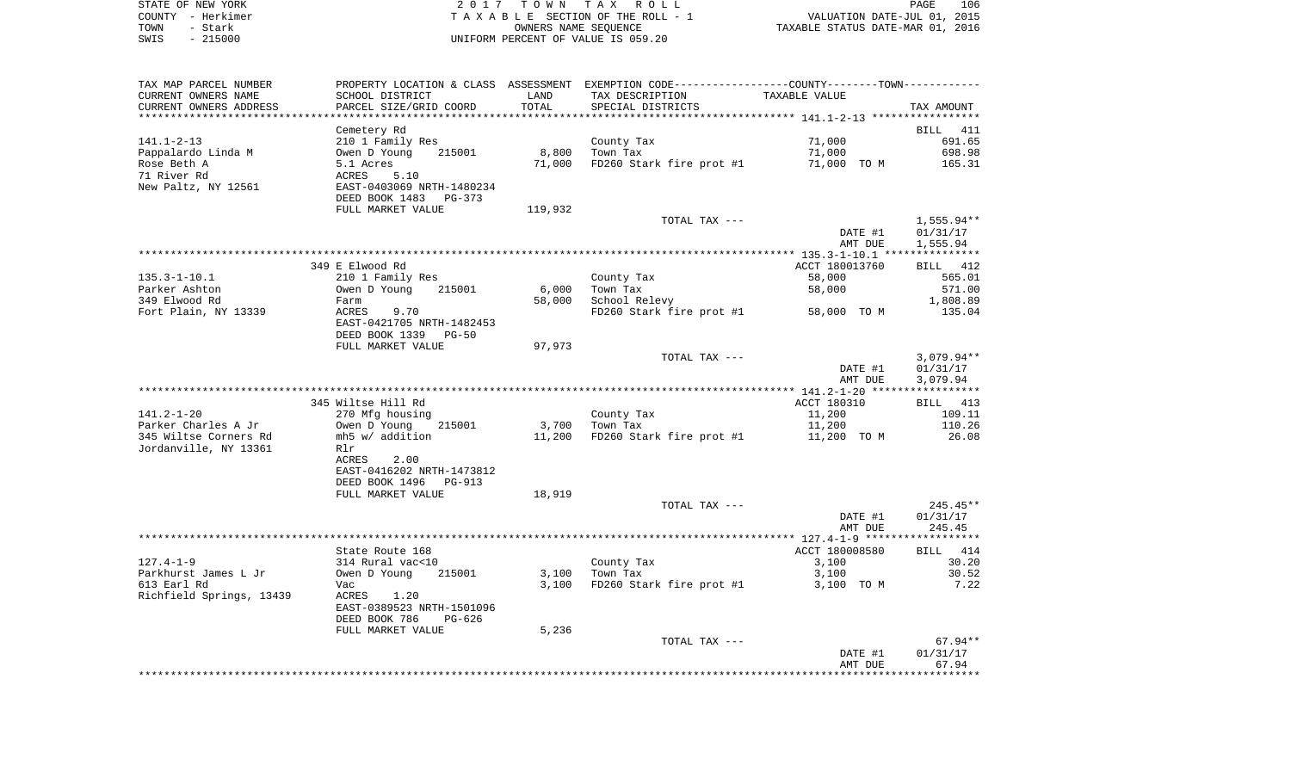| STATE OF NEW YORK | 2017 TOWN TAX ROLL                 | 106<br>PAGE                      |
|-------------------|------------------------------------|----------------------------------|
| COUNTY - Herkimer | TAXABLE SECTION OF THE ROLL - 1    | VALUATION DATE-JUL 01, 2015      |
| TOWN<br>– Stark   | OWNERS NAME SEOUENCE               | TAXABLE STATUS DATE-MAR 01, 2016 |
| $-215000$<br>SWIS | UNIFORM PERCENT OF VALUE IS 059.20 |                                  |

 $\frac{106}{2015}$ <br>2016

| TAX MAP PARCEL NUMBER<br>CURRENT OWNERS NAME | PROPERTY LOCATION & CLASS ASSESSMENT EXEMPTION CODE---------------COUNTY-------TOWN----------<br>SCHOOL DISTRICT | LAND    | TAX DESCRIPTION          | TAXABLE VALUE  |              |
|----------------------------------------------|------------------------------------------------------------------------------------------------------------------|---------|--------------------------|----------------|--------------|
| CURRENT OWNERS ADDRESS                       | PARCEL SIZE/GRID COORD                                                                                           | TOTAL   | SPECIAL DISTRICTS        |                | TAX AMOUNT   |
|                                              | Cemetery Rd                                                                                                      |         |                          |                | BILL 411     |
| 141.1-2-13                                   | 210 1 Family Res                                                                                                 |         | County Tax               | 71,000         | 691.65       |
| Pappalardo Linda M                           | 215001<br>Owen D Young                                                                                           | 8,800   | Town Tax                 | 71,000         | 698.98       |
| Rose Beth A                                  | 5.1 Acres                                                                                                        | 71,000  | FD260 Stark fire prot #1 | 71,000 TO M    | 165.31       |
| 71 River Rd                                  | ACRES<br>5.10                                                                                                    |         |                          |                |              |
| New Paltz, NY 12561                          | EAST-0403069 NRTH-1480234<br>DEED BOOK 1483<br>PG-373                                                            |         |                          |                |              |
|                                              | FULL MARKET VALUE                                                                                                | 119,932 |                          |                |              |
|                                              |                                                                                                                  |         | TOTAL TAX ---            |                | $1,555.94**$ |
|                                              |                                                                                                                  |         |                          | DATE #1        | 01/31/17     |
|                                              |                                                                                                                  |         |                          | AMT DUE        | 1,555.94     |
|                                              |                                                                                                                  |         |                          |                |              |
|                                              | 349 E Elwood Rd                                                                                                  |         |                          | ACCT 180013760 | BILL 412     |
| $135.3 - 1 - 10.1$                           | 210 1 Family Res                                                                                                 |         | County Tax               | 58,000         | 565.01       |
| Parker Ashton                                | Owen D Young<br>215001                                                                                           | 6,000   | Town Tax                 | 58,000         | 571.00       |
| 349 Elwood Rd                                | Farm                                                                                                             | 58,000  | School Relevy            |                | 1,808.89     |
| Fort Plain, NY 13339                         | ACRES<br>9.70<br>EAST-0421705 NRTH-1482453                                                                       |         | FD260 Stark fire prot #1 | 58,000 TO M    | 135.04       |
|                                              | DEED BOOK 1339<br>$PG-50$<br>FULL MARKET VALUE                                                                   | 97,973  |                          |                |              |
|                                              |                                                                                                                  |         | TOTAL TAX ---            |                | $3,079.94**$ |
|                                              |                                                                                                                  |         |                          | DATE #1        | 01/31/17     |
|                                              |                                                                                                                  |         |                          | AMT DUE        | 3,079.94     |
|                                              |                                                                                                                  |         |                          |                |              |
|                                              | 345 Wiltse Hill Rd                                                                                               |         |                          | ACCT 180310    | BILL 413     |
| $141.2 - 1 - 20$                             | 270 Mfg housing                                                                                                  |         | County Tax               | 11,200         | 109.11       |
| Parker Charles A Jr                          | Owen D Young<br>215001                                                                                           | 3,700   | Town Tax                 | 11,200         | 110.26       |
| 345 Wiltse Corners Rd                        | mh5 w/ addition                                                                                                  | 11,200  | FD260 Stark fire prot #1 | 11,200 TO M    | 26.08        |
| Jordanville, NY 13361                        | Rlr                                                                                                              |         |                          |                |              |
|                                              | ACRES<br>2.00                                                                                                    |         |                          |                |              |
|                                              | EAST-0416202 NRTH-1473812                                                                                        |         |                          |                |              |
|                                              | DEED BOOK 1496<br>PG-913                                                                                         |         |                          |                |              |
|                                              | FULL MARKET VALUE                                                                                                | 18,919  |                          |                |              |
|                                              |                                                                                                                  |         | TOTAL TAX ---            |                | 245.45**     |
|                                              |                                                                                                                  |         |                          | DATE #1        | 01/31/17     |
|                                              |                                                                                                                  |         |                          | AMT DUE        | 245.45       |
|                                              |                                                                                                                  |         |                          |                |              |
|                                              | State Route 168                                                                                                  |         |                          | ACCT 180008580 | BILL 414     |
| $127.4 - 1 - 9$                              | 314 Rural vac<10                                                                                                 |         | County Tax               | 3,100          | 30.20        |
| Parkhurst James L Jr                         | Owen D Young<br>215001                                                                                           | 3,100   | Town Tax                 | 3,100          | 30.52        |
| 613 Earl Rd                                  | Vac                                                                                                              | 3,100   | FD260 Stark fire prot #1 | 3,100 TO M     | 7.22         |
| Richfield Springs, 13439                     | ACRES<br>1.20<br>EAST-0389523 NRTH-1501096<br>DEED BOOK 786<br>$PG-626$                                          |         |                          |                |              |
|                                              | FULL MARKET VALUE                                                                                                | 5,236   |                          |                |              |
|                                              |                                                                                                                  |         | TOTAL TAX ---            |                | $67.94**$    |
|                                              |                                                                                                                  |         |                          | DATE #1        | 01/31/17     |
|                                              |                                                                                                                  |         |                          | AMT DUE        | 67.94        |
|                                              |                                                                                                                  |         |                          |                |              |
|                                              |                                                                                                                  |         |                          |                |              |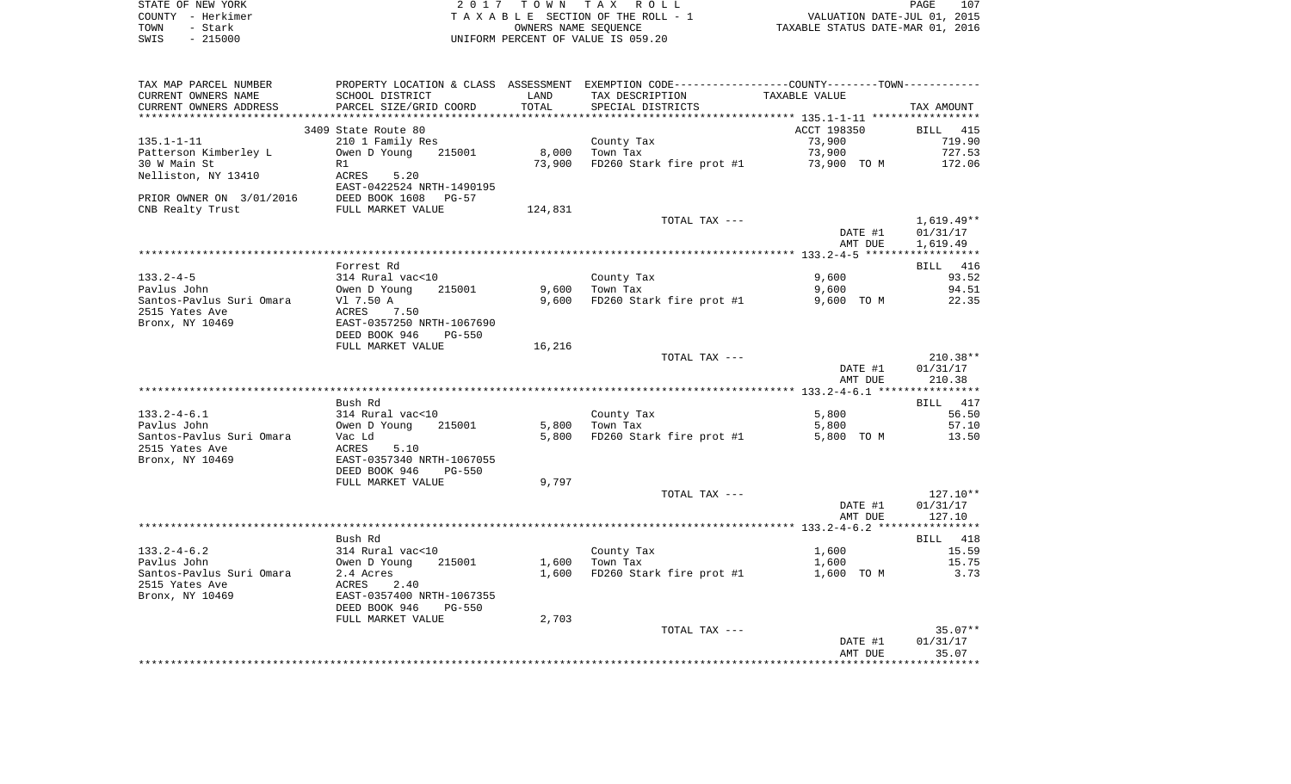|      | STATE OF NEW YORK | 2017 TOWN TAX ROLL                 | PAGE                             | 107 |
|------|-------------------|------------------------------------|----------------------------------|-----|
|      | COUNTY – Herkimer | TAXABLE SECTION OF THE ROLL - 1    | VALUATION DATE-JUL 01, 2015      |     |
| TOWN | – Stark           | OWNERS NAME SEOUENCE               | TAXABLE STATUS DATE-MAR 01, 2016 |     |
| SWIS | - 215000          | UNIFORM PERCENT OF VALUE IS 059.20 |                                  |     |

| TAX MAP PARCEL NUMBER    | PROPERTY LOCATION & CLASS ASSESSMENT EXEMPTION CODE---------------COUNTY-------TOWN---------- |         |                                      |               |              |
|--------------------------|-----------------------------------------------------------------------------------------------|---------|--------------------------------------|---------------|--------------|
| CURRENT OWNERS NAME      | SCHOOL DISTRICT                                                                               | LAND    | TAX DESCRIPTION                      | TAXABLE VALUE |              |
| CURRENT OWNERS ADDRESS   | PARCEL SIZE/GRID COORD                                                                        | TOTAL   | SPECIAL DISTRICTS                    |               | TAX AMOUNT   |
|                          |                                                                                               |         |                                      |               |              |
|                          | 3409 State Route 80                                                                           |         |                                      | ACCT 198350   | BILL 415     |
| $135.1 - 1 - 11$         | 210 1 Family Res                                                                              |         | County Tax                           | 73,900        | 719.90       |
| Patterson Kimberley L    | 215001<br>Owen D Young                                                                        | 8,000   | Town Tax                             | 73,900        | 727.53       |
| 30 W Main St             | R1                                                                                            | 73,900  | FD260 Stark fire prot #1 73,900 TO M |               | 172.06       |
|                          | 5.20                                                                                          |         |                                      |               |              |
| Nelliston, NY 13410      | ACRES                                                                                         |         |                                      |               |              |
|                          | EAST-0422524 NRTH-1490195                                                                     |         |                                      |               |              |
| PRIOR OWNER ON 3/01/2016 | DEED BOOK 1608 PG-57                                                                          |         |                                      |               |              |
| CNB Realty Trust         | FULL MARKET VALUE                                                                             | 124,831 |                                      |               |              |
|                          |                                                                                               |         | TOTAL TAX ---                        |               | $1,619.49**$ |
|                          |                                                                                               |         |                                      | DATE #1       | 01/31/17     |
|                          |                                                                                               |         |                                      | AMT DUE       | 1,619.49     |
|                          |                                                                                               |         |                                      |               |              |
|                          | Forrest Rd                                                                                    |         |                                      |               | BILL 416     |
| $133.2 - 4 - 5$          | 314 Rural vac<10                                                                              |         | County Tax                           | 9,600         | 93.52        |
| Pavlus John              | 215001<br>Owen D Young                                                                        | 9,600   | Town Tax                             | 9,600         | 94.51        |
| Santos-Pavlus Suri Omara | Vl 7.50 A                                                                                     |         | 9,600 FD260 Stark fire prot #1       | 9,600 TO M    | 22.35        |
| 2515 Yates Ave           | ACRES<br>7.50                                                                                 |         |                                      |               |              |
| Bronx, NY 10469          | EAST-0357250 NRTH-1067690                                                                     |         |                                      |               |              |
|                          | DEED BOOK 946<br>PG-550                                                                       |         |                                      |               |              |
|                          |                                                                                               |         |                                      |               |              |
|                          | FULL MARKET VALUE                                                                             | 16,216  |                                      |               |              |
|                          |                                                                                               |         | TOTAL TAX ---                        |               | $210.38**$   |
|                          |                                                                                               |         |                                      | DATE #1       | 01/31/17     |
|                          |                                                                                               |         |                                      | AMT DUE       | 210.38       |
|                          |                                                                                               |         |                                      |               |              |
|                          | Bush Rd                                                                                       |         |                                      |               | 417<br>BILL  |
| $133.2 - 4 - 6.1$        | 314 Rural vac<10                                                                              |         | County Tax                           | 5,800         | 56.50        |
| Pavlus John              | Owen D Young 215001                                                                           |         | 5,800 Town Tax                       | 5,800         | 57.10        |
| Santos-Pavlus Suri Omara | Vac Ld                                                                                        | 5,800   | FD260 Stark fire prot #1             | 5,800 TO M    | 13.50        |
| 2515 Yates Ave           | ACRES<br>5.10                                                                                 |         |                                      |               |              |
| Bronx, NY 10469          | EAST-0357340 NRTH-1067055                                                                     |         |                                      |               |              |
|                          | DEED BOOK 946<br>PG-550                                                                       |         |                                      |               |              |
|                          | FULL MARKET VALUE                                                                             | 9,797   |                                      |               |              |
|                          |                                                                                               |         | TOTAL TAX ---                        |               | $127.10**$   |
|                          |                                                                                               |         |                                      | DATE #1       | 01/31/17     |
|                          |                                                                                               |         |                                      | AMT DUE       | 127.10       |
|                          |                                                                                               |         |                                      |               |              |
|                          |                                                                                               |         |                                      |               |              |
|                          | Bush Rd                                                                                       |         |                                      |               | BILL 418     |
| $133.2 - 4 - 6.2$        | 314 Rural vac<10                                                                              |         | County Tax                           | 1,600         | 15.59        |
| Pavlus John              | Owen D Young<br>215001                                                                        |         | $1,600$ Town Tax                     | 1,600         | 15.75        |
| Santos-Pavlus Suri Omara | 2.4 Acres                                                                                     | 1,600   | FD260 Stark fire prot #1             | 1,600 TO M    | 3.73         |
| 2515 Yates Ave           | 2.40<br>ACRES                                                                                 |         |                                      |               |              |
| Bronx, NY 10469          | EAST-0357400 NRTH-1067355                                                                     |         |                                      |               |              |
|                          | DEED BOOK 946<br>PG-550                                                                       |         |                                      |               |              |
|                          | FULL MARKET VALUE                                                                             | 2,703   |                                      |               |              |
|                          |                                                                                               |         | TOTAL TAX ---                        |               | $35.07**$    |
|                          |                                                                                               |         |                                      | DATE #1       | 01/31/17     |
|                          |                                                                                               |         |                                      | AMT DUE       | 35.07        |
|                          |                                                                                               |         |                                      |               |              |
|                          |                                                                                               |         |                                      |               |              |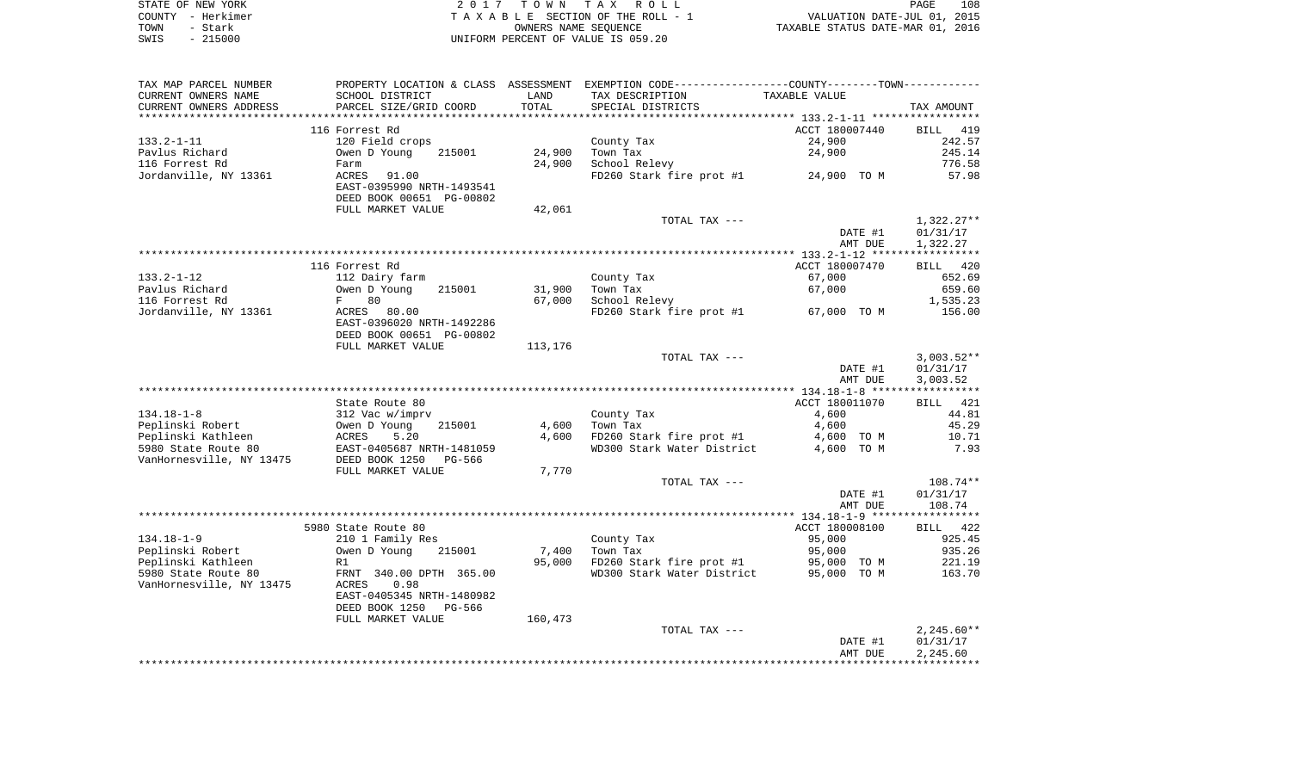| STATE OF NEW YORK | 2017 TOWN TAX ROLL                 | 108<br><b>PAGE</b>               |
|-------------------|------------------------------------|----------------------------------|
| COUNTY - Herkimer | TAXABLE SECTION OF THE ROLL - 1    | VALUATION DATE-JUL 01, 2015      |
| TOWN<br>- Stark   | OWNERS NAME SEOUENCE               | TAXABLE STATUS DATE-MAR 01, 2016 |
| $-215000$<br>SWIS | UNIFORM PERCENT OF VALUE IS 059.20 |                                  |

| TAX MAP PARCEL NUMBER    |                           |         | PROPERTY LOCATION & CLASS ASSESSMENT EXEMPTION CODE---------------COUNTY-------TOWN---------- |                |              |
|--------------------------|---------------------------|---------|-----------------------------------------------------------------------------------------------|----------------|--------------|
| CURRENT OWNERS NAME      | SCHOOL DISTRICT           | LAND    | TAX DESCRIPTION                                                                               | TAXABLE VALUE  |              |
| CURRENT OWNERS ADDRESS   | PARCEL SIZE/GRID COORD    | TOTAL   | SPECIAL DISTRICTS                                                                             |                | TAX AMOUNT   |
|                          |                           |         |                                                                                               |                |              |
|                          | 116 Forrest Rd            |         |                                                                                               | ACCT 180007440 | 419<br>BILL  |
| $133.2 - 1 - 11$         | 120 Field crops           |         | County Tax                                                                                    | 24,900         | 242.57       |
| Pavlus Richard           | Owen D Young<br>215001    | 24,900  | Town Tax                                                                                      | 24,900         | 245.14       |
| 116 Forrest Rd           | Farm                      | 24,900  | School Relevy                                                                                 |                | 776.58       |
| Jordanville, NY 13361    | ACRES<br>91.00            |         | FD260 Stark fire prot #1                                                                      | 24,900 TO M    | 57.98        |
|                          | EAST-0395990 NRTH-1493541 |         |                                                                                               |                |              |
|                          | DEED BOOK 00651 PG-00802  |         |                                                                                               |                |              |
|                          | FULL MARKET VALUE         | 42,061  |                                                                                               |                |              |
|                          |                           |         | TOTAL TAX ---                                                                                 |                | $1,322.27**$ |
|                          |                           |         |                                                                                               | DATE #1        | 01/31/17     |
|                          |                           |         |                                                                                               | AMT DUE        | 1,322.27     |
|                          |                           |         |                                                                                               |                |              |
|                          | 116 Forrest Rd            |         |                                                                                               | ACCT 180007470 | BILL 420     |
| $133.2 - 1 - 12$         | 112 Dairy farm            |         | County Tax                                                                                    | 67,000         | 652.69       |
| Pavlus Richard           | Owen D Young<br>215001    | 31,900  | Town Tax                                                                                      | 67,000         | 659.60       |
| 116 Forrest Rd           | 80<br>$F$ and $F$         | 67,000  | School Relevy                                                                                 |                | 1,535.23     |
| Jordanville, NY 13361    | ACRES 80.00               |         | FD260 Stark fire prot #1                                                                      | 67,000 TO M    | 156.00       |
|                          | EAST-0396020 NRTH-1492286 |         |                                                                                               |                |              |
|                          | DEED BOOK 00651 PG-00802  |         |                                                                                               |                |              |
|                          | FULL MARKET VALUE         | 113,176 |                                                                                               |                |              |
|                          |                           |         | TOTAL TAX ---                                                                                 |                | $3,003.52**$ |
|                          |                           |         |                                                                                               | DATE #1        | 01/31/17     |
|                          |                           |         |                                                                                               | AMT DUE        | 3,003.52     |
|                          |                           |         |                                                                                               |                |              |
|                          | State Route 80            |         |                                                                                               | ACCT 180011070 | 421<br>BILL  |
| $134.18 - 1 - 8$         | 312 Vac w/imprv           |         | County Tax                                                                                    | 4,600          | 44.81        |
| Peplinski Robert         | Owen D Young<br>215001    | 4,600   | Town Tax                                                                                      | 4,600          | 45.29        |
| Peplinski Kathleen       | ACRES<br>5.20             | 4,600   | FD260 Stark fire prot #1                                                                      | 4,600 TO M     | 10.71        |
| 5980 State Route 80      | EAST-0405687 NRTH-1481059 |         | WD300 Stark Water District                                                                    | 4,600 TO M     | 7.93         |
| VanHornesville, NY 13475 | DEED BOOK 1250<br>PG-566  |         |                                                                                               |                |              |
|                          | FULL MARKET VALUE         | 7,770   |                                                                                               |                |              |
|                          |                           |         | TOTAL TAX ---                                                                                 |                | $108.74**$   |
|                          |                           |         |                                                                                               | DATE #1        | 01/31/17     |
|                          |                           |         |                                                                                               | AMT DUE        | 108.74       |
|                          |                           |         |                                                                                               |                |              |
|                          | 5980 State Route 80       |         |                                                                                               | ACCT 180008100 | 422<br>BILL  |
| $134.18 - 1 - 9$         | 210 1 Family Res          |         | County Tax                                                                                    | 95,000         | 925.45       |
| Peplinski Robert         | Owen D Young<br>215001    | 7,400   | Town Tax                                                                                      | 95,000         | 935.26       |
| Peplinski Kathleen       | R1                        | 95,000  | FD260 Stark fire prot #1                                                                      | 95,000 TO M    | 221.19       |
| 5980 State Route 80      | FRNT 340.00 DPTH 365.00   |         | WD300 Stark Water District                                                                    | 95,000 TO M    | 163.70       |
| VanHornesville, NY 13475 | ACRES<br>0.98             |         |                                                                                               |                |              |
|                          | EAST-0405345 NRTH-1480982 |         |                                                                                               |                |              |
|                          | DEED BOOK 1250<br>PG-566  |         |                                                                                               |                |              |
|                          | FULL MARKET VALUE         | 160,473 |                                                                                               |                |              |
|                          |                           |         | TOTAL TAX ---                                                                                 |                | $2,245.60**$ |
|                          |                           |         |                                                                                               | DATE #1        | 01/31/17     |
|                          |                           |         |                                                                                               | AMT DUE        | 2,245.60     |
|                          |                           |         |                                                                                               |                |              |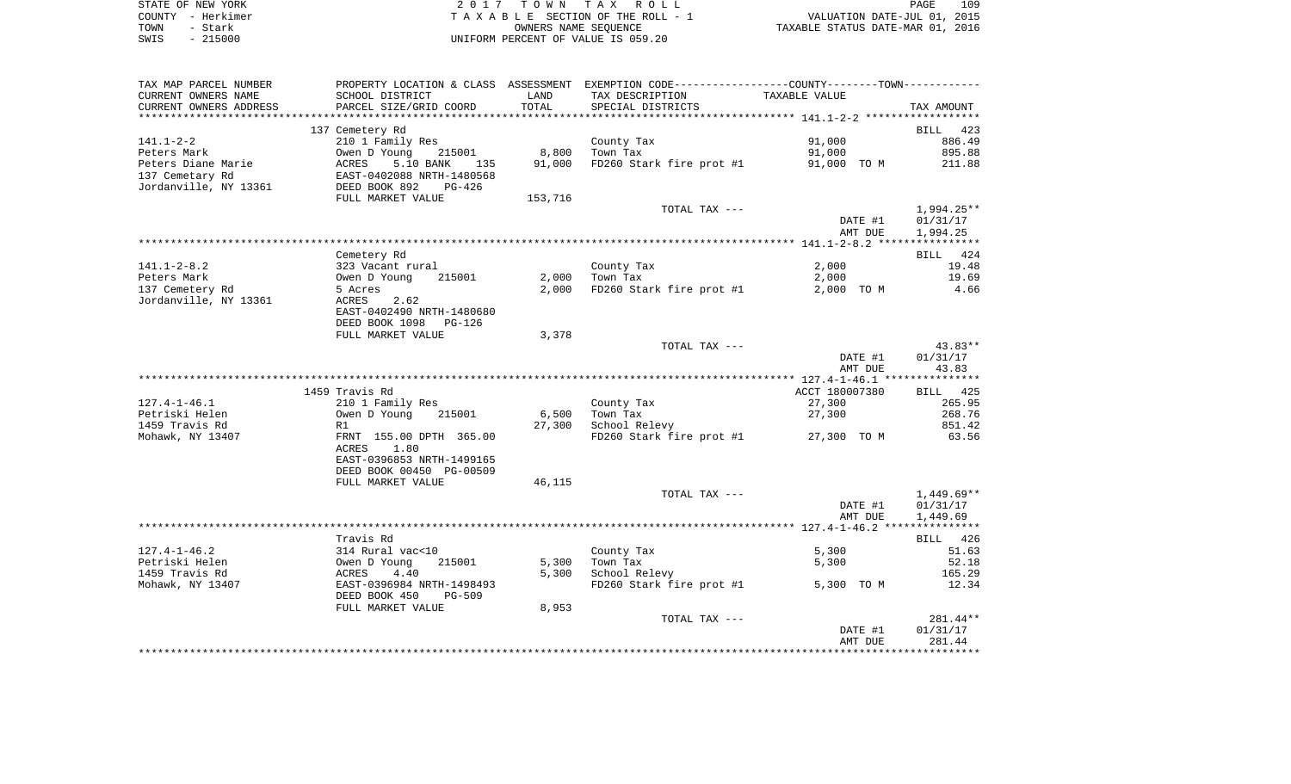| STATE OF NEW YORK | 2017 TOWN TAX ROLL                 | 109<br>PAGE                      |
|-------------------|------------------------------------|----------------------------------|
| COUNTY - Herkimer | TAXABLE SECTION OF THE ROLL - 1    | VALUATION DATE-JUL 01, 2015      |
| TOWN<br>- Stark   | OWNERS NAME SEOUENCE               | TAXABLE STATUS DATE-MAR 01, 2016 |
| $-215000$<br>SWIS | UNIFORM PERCENT OF VALUE IS 059.20 |                                  |

| TAX MAP PARCEL NUMBER                                                                                                                                                                                                                    | PROPERTY LOCATION & CLASS ASSESSMENT EXEMPTION CODE----------------COUNTY--------TOWN---------- |         |                                             |                         |                                |
|------------------------------------------------------------------------------------------------------------------------------------------------------------------------------------------------------------------------------------------|-------------------------------------------------------------------------------------------------|---------|---------------------------------------------|-------------------------|--------------------------------|
| CURRENT OWNERS NAME                                                                                                                                                                                                                      | SCHOOL DISTRICT<br>PARCEL SIZE/GRID COORD                                                       | LAND    | TAX DESCRIPTION TAXABLE VALUE               |                         |                                |
| CURRENT OWNERS ADDRESS                                                                                                                                                                                                                   |                                                                                                 | TOTAL   | SPECIAL DISTRICTS                           |                         | TAX AMOUNT                     |
|                                                                                                                                                                                                                                          |                                                                                                 |         |                                             |                         |                                |
| 141.1-2-2<br>Peters Mark Marie 210 1 Family Res County Tax<br>Peters Diane Marie ACRES 5.10 BANK 135 91,000 FD260 Stark<br>137 Cemetary Rd EAST-0402088 NRTH-1480568<br>Jordanville, NY 13361 DEED BOOK 892 PG-426<br>FIILI. MARKET VALU | 137 Cemetery Rd                                                                                 |         |                                             |                         | BILL 423                       |
|                                                                                                                                                                                                                                          |                                                                                                 |         |                                             | 91,000                  | 886.49                         |
|                                                                                                                                                                                                                                          |                                                                                                 |         |                                             | 91,000                  | 895.88                         |
|                                                                                                                                                                                                                                          |                                                                                                 |         | FD260 Stark fire prot #1 91,000 TO M 211.88 |                         |                                |
|                                                                                                                                                                                                                                          |                                                                                                 |         |                                             |                         |                                |
|                                                                                                                                                                                                                                          | FULL MARKET VALUE                                                                               | 153,716 |                                             |                         |                                |
|                                                                                                                                                                                                                                          |                                                                                                 |         | TOTAL TAX ---                               |                         | 1,994.25**                     |
|                                                                                                                                                                                                                                          |                                                                                                 |         |                                             | DATE #1                 | 01/31/17                       |
|                                                                                                                                                                                                                                          |                                                                                                 |         |                                             | AMT DUE                 | 1,994.25                       |
|                                                                                                                                                                                                                                          |                                                                                                 |         |                                             |                         |                                |
|                                                                                                                                                                                                                                          | Cemetery Rd                                                                                     |         |                                             |                         | BILL 424                       |
|                                                                                                                                                                                                                                          |                                                                                                 |         | County Tax<br>Town Tax                      | 2,000                   | 19.48                          |
|                                                                                                                                                                                                                                          |                                                                                                 |         | County Tax<br>2,000    Town Tax             | 2,000                   | 19.69                          |
|                                                                                                                                                                                                                                          |                                                                                                 |         | 2,000 FD260 Stark fire prot #1              |                         | 2,000 TO M 4.66                |
|                                                                                                                                                                                                                                          |                                                                                                 |         |                                             |                         |                                |
|                                                                                                                                                                                                                                          | EAST-0402490 NRTH-1480680                                                                       |         |                                             |                         |                                |
|                                                                                                                                                                                                                                          | DEED BOOK 1098 PG-126                                                                           |         |                                             |                         |                                |
|                                                                                                                                                                                                                                          | FULL MARKET VALUE                                                                               | 3,378   | TOTAL TAX ---                               |                         | 43.83**                        |
|                                                                                                                                                                                                                                          |                                                                                                 |         |                                             |                         | DATE #1 01/31/17               |
|                                                                                                                                                                                                                                          |                                                                                                 |         |                                             | AMT DUE                 | 43.83                          |
|                                                                                                                                                                                                                                          |                                                                                                 |         |                                             |                         |                                |
|                                                                                                                                                                                                                                          | 1459 Travis Rd                                                                                  |         |                                             | ACCT 180007380 BILL 425 |                                |
| 127.4-1-46.1                                                                                                                                                                                                                             | 210 1 Family Res<br>Owen D Young 215001<br>R1<br>FRNT 155.00 DPTH 365.00                        |         | County Tax                                  | 27,300                  | 265.95                         |
| Petriski Helen                                                                                                                                                                                                                           |                                                                                                 |         | 6,500    Town Tax                           | 27,300                  | 268.76                         |
| 1459 Travis Rd                                                                                                                                                                                                                           |                                                                                                 |         | 27,300 School Relevy                        |                         | 851.42                         |
| Mohawk, NY 13407                                                                                                                                                                                                                         |                                                                                                 |         | FD260 Stark fire prot #1 27,300 TO M 63.56  |                         |                                |
|                                                                                                                                                                                                                                          | ACRES 1.80                                                                                      |         |                                             |                         |                                |
|                                                                                                                                                                                                                                          | EAST-0396853 NRTH-1499165                                                                       |         |                                             |                         |                                |
|                                                                                                                                                                                                                                          | DEED BOOK 00450 PG-00509                                                                        |         |                                             |                         |                                |
|                                                                                                                                                                                                                                          | FULL MARKET VALUE                                                                               | 46,115  |                                             |                         |                                |
|                                                                                                                                                                                                                                          |                                                                                                 |         | TOTAL TAX ---                               |                         | 1,449.69**<br>DATE #1 01/31/17 |
|                                                                                                                                                                                                                                          |                                                                                                 |         |                                             | AMT DUE                 | 1,449.69                       |
|                                                                                                                                                                                                                                          |                                                                                                 |         |                                             |                         |                                |
|                                                                                                                                                                                                                                          | Travis Rd                                                                                       |         |                                             |                         | BILL 426                       |
| $127.4 - 1 - 46.2$                                                                                                                                                                                                                       |                                                                                                 |         | County Tax                                  | 5,300                   | 51.63                          |
| Petriski Helen                                                                                                                                                                                                                           | Travis Rd<br>314 Rural vac<10<br>Owen D Young 215001<br>ACRES 4.40<br>EAST-0396984 NRTH-1498493 |         | 5,300 Town Tax                              | 5,300                   | 52.18                          |
| 1459 Travis Rd                                                                                                                                                                                                                           |                                                                                                 |         | 5,300 School Relevy                         |                         | 165.29                         |
| Mohawk, NY 13407                                                                                                                                                                                                                         |                                                                                                 |         | FD260 Stark fire prot #1 5,300 TO M         |                         | 12.34                          |
|                                                                                                                                                                                                                                          | DEED BOOK 450 PG-509                                                                            |         |                                             |                         |                                |
|                                                                                                                                                                                                                                          | FULL MARKET VALUE                                                                               | 8,953   |                                             |                         |                                |
|                                                                                                                                                                                                                                          |                                                                                                 |         | TOTAL TAX ---                               |                         | 281.44**                       |
|                                                                                                                                                                                                                                          |                                                                                                 |         |                                             | DATE #1                 | 01/31/17                       |
|                                                                                                                                                                                                                                          |                                                                                                 |         |                                             | AMT DUE                 | 281.44                         |
|                                                                                                                                                                                                                                          |                                                                                                 |         |                                             |                         |                                |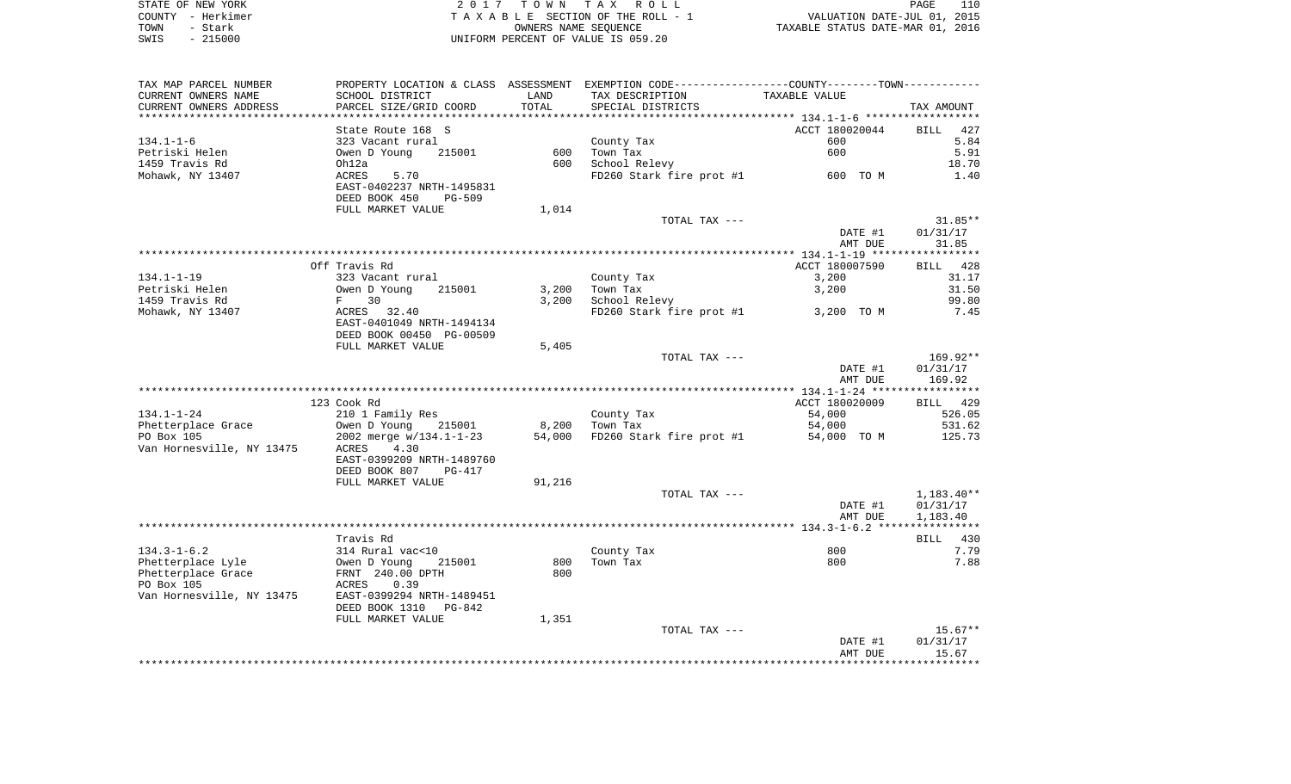|      | STATE OF NEW YORK | 2017 TOWN TAX ROLL                 | 110<br><b>PAGE</b>               |
|------|-------------------|------------------------------------|----------------------------------|
|      | COUNTY - Herkimer | TAXABLE SECTION OF THE ROLL - 1    | VALUATION DATE-JUL 01, 2015      |
| TOWN | - Stark           | OWNERS NAME SEOUENCE               | TAXABLE STATUS DATE-MAR 01, 2016 |
| SWIS | $-215000$         | UNIFORM PERCENT OF VALUE IS 059.20 |                                  |

| TAX MAP PARCEL NUMBER     |                                |                          | PROPERTY LOCATION & CLASS ASSESSMENT EXEMPTION CODE---------------COUNTY-------TOWN---------- |                                           |              |
|---------------------------|--------------------------------|--------------------------|-----------------------------------------------------------------------------------------------|-------------------------------------------|--------------|
| CURRENT OWNERS NAME       | SCHOOL DISTRICT                | LAND                     | TAX DESCRIPTION                                                                               | TAXABLE VALUE                             |              |
| CURRENT OWNERS ADDRESS    | PARCEL SIZE/GRID COORD         | TOTAL                    | SPECIAL DISTRICTS                                                                             |                                           | TAX AMOUNT   |
|                           |                                | ************************ |                                                                                               | ****************** 134.1-1-6 ************ |              |
|                           | State Route 168 S              |                          |                                                                                               | ACCT 180020044                            | BILL 427     |
| $134.1 - 1 - 6$           | 323 Vacant rural               |                          | County Tax                                                                                    | 600                                       | 5.84         |
| Petriski Helen            | 215001<br>Owen D Young         | 600                      | Town Tax                                                                                      | 600                                       | 5.91         |
|                           |                                | 600                      |                                                                                               |                                           |              |
| 1459 Travis Rd            | Oh12a                          |                          | School Relevy                                                                                 |                                           | 18.70        |
| Mohawk, NY 13407          | ACRES<br>5.70                  |                          | FD260 Stark fire prot #1                                                                      | 600 TO M                                  | 1.40         |
|                           | EAST-0402237 NRTH-1495831      |                          |                                                                                               |                                           |              |
|                           | DEED BOOK 450<br><b>PG-509</b> |                          |                                                                                               |                                           |              |
|                           | FULL MARKET VALUE              | 1,014                    |                                                                                               |                                           |              |
|                           |                                |                          | TOTAL TAX ---                                                                                 |                                           | $31.85**$    |
|                           |                                |                          |                                                                                               | DATE #1                                   | 01/31/17     |
|                           |                                |                          |                                                                                               | AMT DUE                                   | 31.85        |
|                           |                                |                          |                                                                                               |                                           |              |
|                           | Off Travis Rd                  |                          |                                                                                               | ACCT 180007590                            | BILL 428     |
| $134.1 - 1 - 19$          | 323 Vacant rural               |                          | County Tax                                                                                    | 3,200                                     | 31.17        |
| Petriski Helen            | 215001<br>Owen D Young         | 3,200                    | Town Tax                                                                                      | 3,200                                     | 31.50        |
| 1459 Travis Rd            | F 30                           | 3,200                    | School Relevy                                                                                 |                                           | 99.80        |
|                           |                                |                          |                                                                                               | 3,200 TO M                                | 7.45         |
| Mohawk, NY 13407          | ACRES 32.40                    |                          | FD260 Stark fire prot #1                                                                      |                                           |              |
|                           | EAST-0401049 NRTH-1494134      |                          |                                                                                               |                                           |              |
|                           | DEED BOOK 00450 PG-00509       |                          |                                                                                               |                                           |              |
|                           | FULL MARKET VALUE              | 5,405                    |                                                                                               |                                           |              |
|                           |                                |                          | TOTAL TAX ---                                                                                 |                                           | 169.92**     |
|                           |                                |                          |                                                                                               | DATE #1                                   | 01/31/17     |
|                           |                                |                          |                                                                                               | AMT DUE                                   | 169.92       |
|                           |                                |                          |                                                                                               |                                           |              |
|                           | 123 Cook Rd                    |                          |                                                                                               | ACCT 180020009                            | BILL 429     |
| $134.1 - 1 - 24$          | 210 1 Family Res               |                          | County Tax                                                                                    | 54,000                                    | 526.05       |
| Phetterplace Grace        | Owen D Young 215001            | 8,200                    | Town Tax                                                                                      | 54,000                                    | 531.62       |
| PO Box 105                | 2002 merge w/134.1-1-23        | 54,000                   | FD260 Stark fire prot #1                                                                      | 54,000 TO M                               | 125.73       |
| Van Hornesville, NY 13475 | ACRES<br>4.30                  |                          |                                                                                               |                                           |              |
|                           | EAST-0399209 NRTH-1489760      |                          |                                                                                               |                                           |              |
|                           | DEED BOOK 807                  |                          |                                                                                               |                                           |              |
|                           | PG-417                         |                          |                                                                                               |                                           |              |
|                           | FULL MARKET VALUE              | 91,216                   |                                                                                               |                                           |              |
|                           |                                |                          | TOTAL TAX ---                                                                                 |                                           | $1,183.40**$ |
|                           |                                |                          |                                                                                               | DATE #1                                   | 01/31/17     |
|                           |                                |                          |                                                                                               | AMT DUE                                   | 1,183.40     |
|                           |                                |                          |                                                                                               |                                           |              |
|                           | Travis Rd                      |                          |                                                                                               |                                           | BILL 430     |
| $134.3 - 1 - 6.2$         | 314 Rural vac<10               |                          | County Tax                                                                                    | 800                                       | 7.79         |
| Phetterplace Lyle         | Owen D Young<br>215001         | 800                      | Town Tax                                                                                      | 800                                       | 7.88         |
| Phetterplace Grace        | FRNT 240.00 DPTH               | 800                      |                                                                                               |                                           |              |
| PO Box 105                | ACRES<br>0.39                  |                          |                                                                                               |                                           |              |
| Van Hornesville, NY 13475 | EAST-0399294 NRTH-1489451      |                          |                                                                                               |                                           |              |
|                           | DEED BOOK 1310 PG-842          |                          |                                                                                               |                                           |              |
|                           |                                |                          |                                                                                               |                                           |              |
|                           | FULL MARKET VALUE              | 1,351                    |                                                                                               |                                           |              |
|                           |                                |                          | TOTAL TAX ---                                                                                 |                                           | $15.67**$    |
|                           |                                |                          |                                                                                               | DATE #1                                   | 01/31/17     |
|                           |                                |                          |                                                                                               | AMT DUE                                   | 15.67        |
|                           |                                |                          |                                                                                               |                                           |              |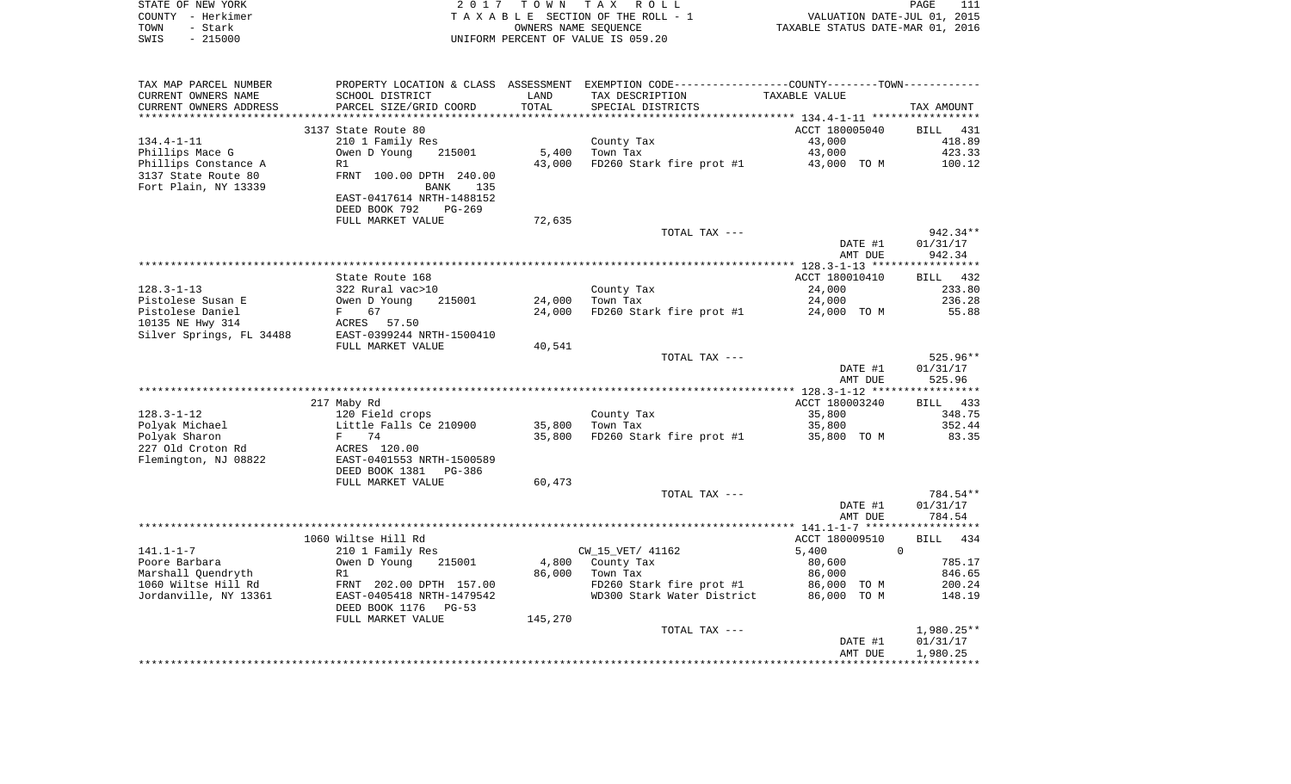| STATE OF NEW YORK | 2017 TOWN TAX ROLL                 | PAGE                             |
|-------------------|------------------------------------|----------------------------------|
| COUNTY - Herkimer | TAXABLE SECTION OF THE ROLL - 1    | VALUATION DATE-JUL 01, 2015      |
| TOWN<br>- Stark   | OWNERS NAME SEOUENCE               | TAXABLE STATUS DATE-MAR 01, 2016 |
| - 215000<br>SWIS  | UNIFORM PERCENT OF VALUE IS 059.20 |                                  |

| TAX MAP PARCEL NUMBER    |                             |         | PROPERTY LOCATION & CLASS ASSESSMENT EXEMPTION CODE---------------COUNTY-------TOWN---------- |                |            |
|--------------------------|-----------------------------|---------|-----------------------------------------------------------------------------------------------|----------------|------------|
| CURRENT OWNERS NAME      | SCHOOL DISTRICT             | LAND    | TAX DESCRIPTION                                                                               | TAXABLE VALUE  |            |
| CURRENT OWNERS ADDRESS   | PARCEL SIZE/GRID COORD      | TOTAL   | SPECIAL DISTRICTS                                                                             |                | TAX AMOUNT |
|                          | *************************** |         | *******************************                                                               |                |            |
|                          | 3137 State Route 80         |         |                                                                                               | ACCT 180005040 | BILL 431   |
| $134.4 - 1 - 11$         | 210 1 Family Res            |         | County Tax                                                                                    | 43,000         | 418.89     |
| Phillips Mace G          | Owen D Young<br>215001      | 5,400   | Town Tax                                                                                      | 43,000         | 423.33     |
| Phillips Constance A     | R1                          | 43,000  | FD260 Stark fire prot #1 43,000 TO M                                                          |                | 100.12     |
| 3137 State Route 80      | FRNT 100.00 DPTH 240.00     |         |                                                                                               |                |            |
| Fort Plain, NY 13339     | <b>BANK</b><br>135          |         |                                                                                               |                |            |
|                          | EAST-0417614 NRTH-1488152   |         |                                                                                               |                |            |
|                          |                             |         |                                                                                               |                |            |
|                          | DEED BOOK 792<br>PG-269     |         |                                                                                               |                |            |
|                          | FULL MARKET VALUE           | 72,635  |                                                                                               |                |            |
|                          |                             |         | TOTAL TAX ---                                                                                 |                | $942.34**$ |
|                          |                             |         |                                                                                               | DATE #1        | 01/31/17   |
|                          |                             |         |                                                                                               | AMT DUE        | 942.34     |
|                          |                             |         |                                                                                               |                |            |
|                          | State Route 168             |         |                                                                                               | ACCT 180010410 | BILL 432   |
| $128.3 - 1 - 13$         | 322 Rural vac>10            |         | County Tax                                                                                    | 24,000         | 233.80     |
| Pistolese Susan E        | Owen D Young<br>215001      | 24,000  | Town Tax                                                                                      | 24,000         | 236.28     |
| Pistolese Daniel         | 67<br>$F$ and $F$           | 24,000  | FD260 Stark fire prot #1                                                                      | 24,000 TO M    | 55.88      |
| 10135 NE Hwy 314         | ACRES 57.50                 |         |                                                                                               |                |            |
| Silver Springs, FL 34488 | EAST-0399244 NRTH-1500410   |         |                                                                                               |                |            |
|                          | FULL MARKET VALUE           | 40,541  |                                                                                               |                |            |
|                          |                             |         | TOTAL TAX ---                                                                                 |                | 525.96**   |
|                          |                             |         |                                                                                               | DATE #1        | 01/31/17   |
|                          |                             |         |                                                                                               | AMT DUE        | 525.96     |
|                          |                             |         |                                                                                               |                |            |
|                          | 217 Maby Rd                 |         |                                                                                               | ACCT 180003240 | BILL 433   |
| $128.3 - 1 - 12$         | 120 Field crops             |         | County Tax                                                                                    | 35,800         | 348.75     |
| Polyak Michael           | Little Falls Ce 210900      | 35,800  | Town Tax                                                                                      | 35,800         | 352.44     |
| Polyak Sharon            | F 74                        | 35,800  | FD260 Stark fire prot #1                                                                      | 35,800 TO M    | 83.35      |
| 227 Old Croton Rd        | ACRES 120.00                |         |                                                                                               |                |            |
| Flemington, NJ 08822     | EAST-0401553 NRTH-1500589   |         |                                                                                               |                |            |
|                          | DEED BOOK 1381<br>PG-386    |         |                                                                                               |                |            |
|                          | FULL MARKET VALUE           | 60,473  |                                                                                               |                |            |
|                          |                             |         | TOTAL TAX ---                                                                                 |                | 784.54**   |
|                          |                             |         |                                                                                               | DATE #1        | 01/31/17   |
|                          |                             |         |                                                                                               | AMT DUE        | 784.54     |
|                          |                             |         |                                                                                               |                |            |
|                          | 1060 Wiltse Hill Rd         |         |                                                                                               | ACCT 180009510 | BILL 434   |
| $141.1 - 1 - 7$          | 210 1 Family Res            |         | CW_15_VET/ 41162                                                                              | 5,400          | $\Omega$   |
| Poore Barbara            |                             |         |                                                                                               |                |            |
|                          | Owen D Young<br>215001      |         | 4,800 County Tax                                                                              | 80,600         | 785.17     |
| Marshall Quendryth       | R1                          | 86,000  | Town Tax                                                                                      | 86,000         | 846.65     |
| 1060 Wiltse Hill Rd      | FRNT 202.00 DPTH 157.00     |         | FD260 Stark fire prot #1                                                                      | 86,000 TO M    | 200.24     |
| Jordanville, NY 13361    | EAST-0405418 NRTH-1479542   |         | WD300 Stark Water District                                                                    | 86,000 TO M    | 148.19     |
|                          | DEED BOOK 1176 PG-53        |         |                                                                                               |                |            |
|                          | FULL MARKET VALUE           | 145,270 |                                                                                               |                |            |
|                          |                             |         | TOTAL TAX ---                                                                                 |                | 1,980.25** |
|                          |                             |         |                                                                                               | DATE #1        | 01/31/17   |
|                          |                             |         |                                                                                               | AMT DUE        | 1,980.25   |
|                          |                             |         |                                                                                               |                |            |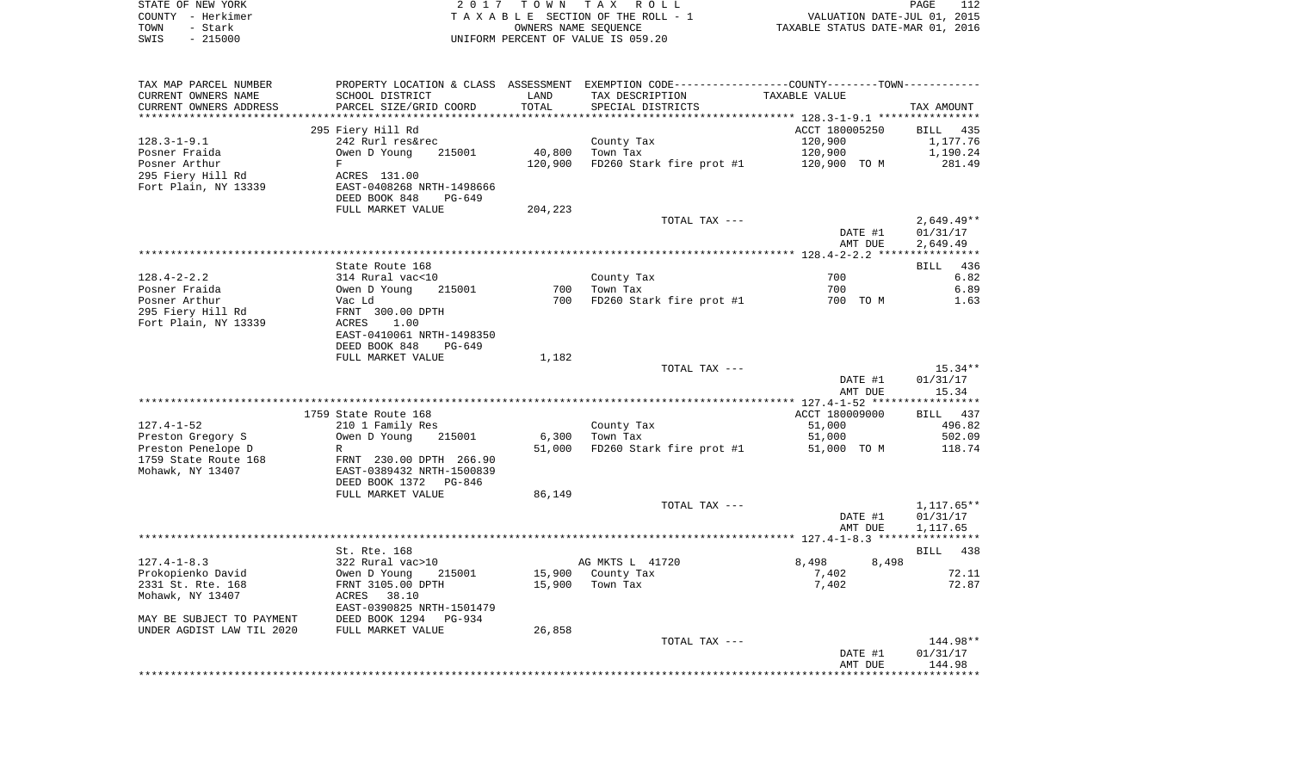| STATE OF NEW YORK<br>COUNTY - Herkimer                      |                                                                                                |         | 2017 TOWN TAX ROLL<br>TAXABLE SECTION OF THE ROLL - 1 | کنا<br>2015 ,WALUATION DATE-JUL<br>2016 ,TAXABLE STATUS DATE-MAR | PAGE<br>112  |
|-------------------------------------------------------------|------------------------------------------------------------------------------------------------|---------|-------------------------------------------------------|------------------------------------------------------------------|--------------|
| TOWN<br>- Stark                                             |                                                                                                |         | OWNERS NAME SEOUENCE                                  |                                                                  |              |
| $-215000$<br>SWIS                                           |                                                                                                |         | UNIFORM PERCENT OF VALUE IS 059.20                    |                                                                  |              |
|                                                             |                                                                                                |         |                                                       |                                                                  |              |
| TAX MAP PARCEL NUMBER                                       | PROPERTY LOCATION & CLASS ASSESSMENT EXEMPTION CODE----------------COUNTY-------TOWN---------- |         |                                                       |                                                                  |              |
| CURRENT OWNERS NAME                                         | SCHOOL DISTRICT                                                                                | LAND    | TAX DESCRIPTION                                       | TAXABLE VALUE                                                    |              |
| CURRENT OWNERS ADDRESS                                      | PARCEL SIZE/GRID COORD                                                                         | TOTAL   | SPECIAL DISTRICTS                                     |                                                                  | TAX AMOUNT   |
| **********************                                      |                                                                                                |         |                                                       |                                                                  |              |
|                                                             | 295 Fiery Hill Rd                                                                              |         |                                                       | ACCT 180005250                                                   | BILL 435     |
| 128.3-1-9.1                                                 | 242 Rurl res&rec                                                                               |         | County Tax                                            | 120,900                                                          | 1,177.76     |
| Posner Fraida                                               | Owen D Young<br>215001                                                                         | 40,800  | Town Tax                                              | 120,900                                                          | 1,190.24     |
| Posner Arthur                                               | F                                                                                              | 120,900 | FD260 Stark fire prot #1 120,900 TO M                 |                                                                  | 281.49       |
| 295 Fiery Hill Rd                                           | ACRES 131.00                                                                                   |         |                                                       |                                                                  |              |
| Fort Plain, NY 13339                                        | EAST-0408268 NRTH-1498666                                                                      |         |                                                       |                                                                  |              |
|                                                             | DEED BOOK 848<br>PG-649                                                                        |         |                                                       |                                                                  |              |
|                                                             | FULL MARKET VALUE                                                                              | 204,223 |                                                       |                                                                  |              |
|                                                             |                                                                                                |         | TOTAL TAX ---                                         |                                                                  | 2,649.49**   |
|                                                             |                                                                                                |         |                                                       | DATE #1                                                          | 01/31/17     |
|                                                             |                                                                                                |         |                                                       | AMT DUE                                                          | 2,649.49     |
|                                                             | State Route 168                                                                                |         |                                                       |                                                                  | BILL 436     |
| 128.4-2-2.2                                                 |                                                                                                |         | County Tax                                            | 700                                                              | 6.82         |
| Posner Fraida                                               | 314 Rural vac<10<br>Owen D Young 2<br>Vac Ld<br>215001                                         | 700     | Town Tax                                              | 700                                                              | 6.89         |
| Posner Arthur                                               |                                                                                                |         | 700 FD260 Stark fire prot #1                          | 700 TO M                                                         | 1.63         |
| 295 Fiery Hill Rd                                           |                                                                                                |         |                                                       |                                                                  |              |
| Fort Plain, NY 13339                                        | FRNT 300.00 DPTH<br>ACRES 1.00                                                                 |         |                                                       |                                                                  |              |
|                                                             | EAST-0410061 NRTH-1498350                                                                      |         |                                                       |                                                                  |              |
|                                                             | DEED BOOK 848<br>PG-649                                                                        |         |                                                       |                                                                  |              |
|                                                             | FULL MARKET VALUE                                                                              | 1,182   |                                                       |                                                                  |              |
|                                                             |                                                                                                |         | TOTAL TAX ---                                         |                                                                  | $15.34**$    |
|                                                             |                                                                                                |         |                                                       | DATE #1                                                          | 01/31/17     |
|                                                             |                                                                                                |         |                                                       | AMT DUE                                                          | 15.34        |
|                                                             |                                                                                                |         |                                                       |                                                                  |              |
|                                                             | 1759 State Route 168                                                                           |         |                                                       | ACCT 180009000                                                   | BILL 437     |
| 127.4-1-52                                                  | 210 1 Family Res                                                                               |         | County Tax                                            | 51,000                                                           | 496.82       |
| Preston Gregory S                                           | 215001<br>Owen D Young                                                                         | 6,300   | Town Tax                                              | 51,000                                                           | 502.09       |
| Preston Penelope D                                          | R                                                                                              | 51,000  | FD260 Stark fire prot #1                              | 51,000 TO M                                                      | 118.74       |
| 1759 State Route 168<br>Mohawk, NY 13407                    | FRNT 230.00 DPTH 266.90<br>EAST-0389432 NRTH-1500839                                           |         |                                                       |                                                                  |              |
|                                                             | DEED BOOK 1372<br>PG-846                                                                       |         |                                                       |                                                                  |              |
|                                                             | FULL MARKET VALUE                                                                              | 86,149  |                                                       |                                                                  |              |
|                                                             |                                                                                                |         | TOTAL TAX ---                                         |                                                                  | $1,117.65**$ |
|                                                             |                                                                                                |         |                                                       | DATE #1                                                          | 01/31/17     |
|                                                             |                                                                                                |         |                                                       | AMT DUE                                                          | 1,117.65     |
|                                                             |                                                                                                |         |                                                       |                                                                  |              |
|                                                             | St. Rte. 168                                                                                   |         |                                                       |                                                                  | BILL 438     |
| $127.4 - 1 - 8.3$                                           |                                                                                                |         | AG MKTS L 41720                                       | 8,498<br>8,498                                                   |              |
| Prokopienko David                                           | 322 Rural vac>10<br>Owen D Young 21<br>FRNT 3105.00 DPTH<br>ACRES 38.10<br>215001              |         | 15,900 County Tax                                     | 7,402                                                            | 72.11        |
| 2331 St. Rte. 168                                           |                                                                                                |         | 15,900 Town Tax                                       | 7,402                                                            | 72.87        |
| Mohawk, NY 13407                                            |                                                                                                |         |                                                       |                                                                  |              |
|                                                             | EAST-0390825 NRTH-1501479                                                                      |         |                                                       |                                                                  |              |
| EAST-0390825 NH<br>MAY BE SUBJECT TO PAYMENT DEED BOOK 1294 | PG-934                                                                                         |         |                                                       |                                                                  |              |
| UNDER AGDIST LAW TIL 2020                                   | FULL MARKET VALUE                                                                              | 26,858  |                                                       |                                                                  |              |
|                                                             |                                                                                                |         | TOTAL TAX ---                                         |                                                                  | 144.98**     |

AMT DUE 144.98 \*\*\*\*\*\*\*\*\*\*\*\*\*\*\*\*\*\*\*\*\*\*\*\*\*\*\*\*\*\*\*\*\*\*\*\*\*\*\*\*\*\*\*\*\*\*\*\*\*\*\*\*\*\*\*\*\*\*\*\*\*\*\*\*\*\*\*\*\*\*\*\*\*\*\*\*\*\*\*\*\*\*\*\*\*\*\*\*\*\*\*\*\*\*\*\*\*\*\*\*\*\*\*\*\*\*\*\*\*\*\*\*\*\*\*\*\*\*\*\*\*\*\*\*\*\*\*\*\*\*\*\*

DATE #1 01/31/17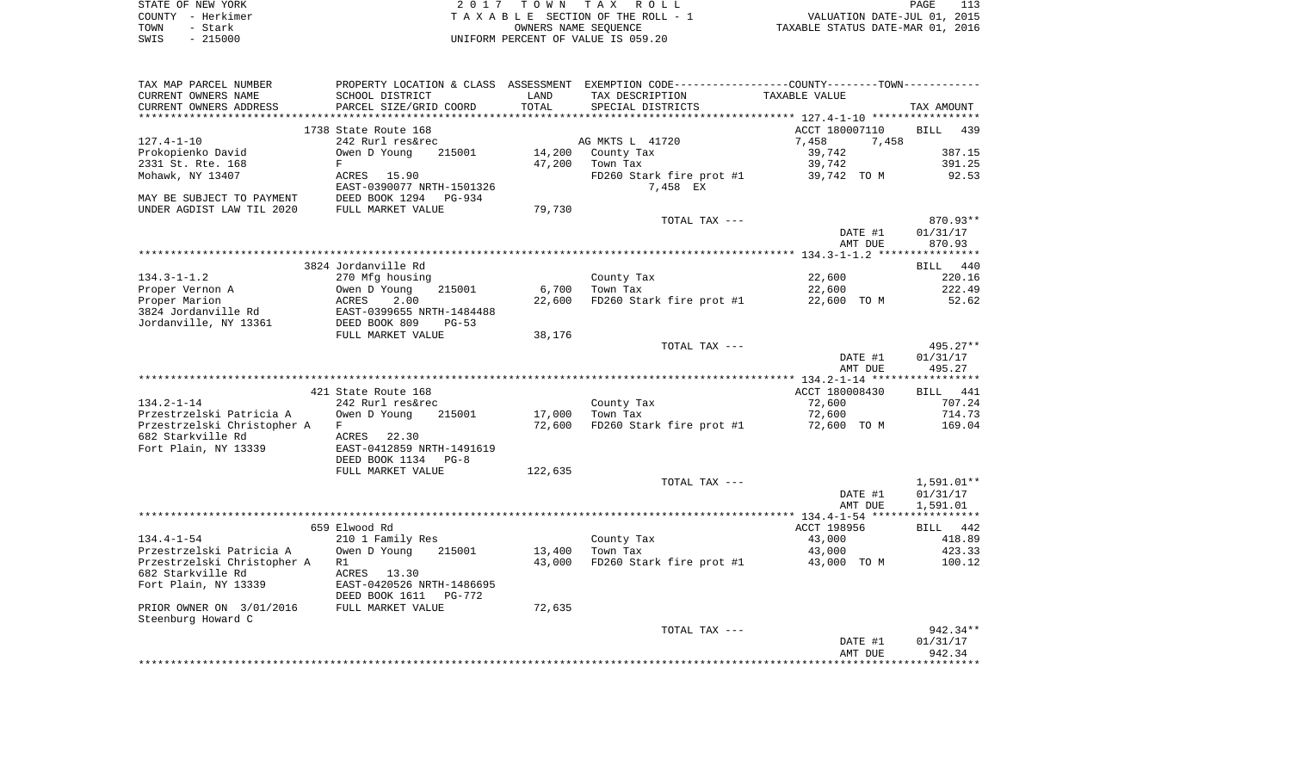|      | STATE OF NEW YORK | 2017 TOWN TAX ROLL                 | PAGE                             |  |
|------|-------------------|------------------------------------|----------------------------------|--|
|      | COUNTY - Herkimer | TAXABLE SECTION OF THE ROLL - 1    | VALUATION DATE-JUL 01, 2015      |  |
| TOWN | - Stark           | OWNERS NAME SEOUENCE               | TAXABLE STATUS DATE-MAR 01, 2016 |  |
| SWIS | - 215000          | UNIFORM PERCENT OF VALUE IS 059.20 |                                  |  |

|                             |                                                                                               |         | TOTAL TAX ---            | DATE #1<br>AMT DUE                        | $942.34**$<br>01/31/17<br>942.34 |
|-----------------------------|-----------------------------------------------------------------------------------------------|---------|--------------------------|-------------------------------------------|----------------------------------|
| PRIOR OWNER ON 3/01/2016    |                                                                                               |         |                          |                                           |                                  |
| Steenburg Howard C          |                                                                                               |         |                          |                                           |                                  |
|                             |                                                                                               |         |                          |                                           |                                  |
|                             | FULL MARKET VALUE                                                                             | 72,635  |                          |                                           |                                  |
| Fort Plain, NY 13339        | EAST-0420526 NRTH-1486695<br>DEED BOOK 1611    PG-772                                         |         |                          |                                           |                                  |
| 682 Starkville Rd           | ACRES 13.30                                                                                   |         |                          |                                           |                                  |
| Przestrzelski Christopher A | R1                                                                                            | 43,000  | FD260 Stark fire prot #1 | 43,000 TO M                               | 100.12                           |
| Przestrzelski Patricia A    | Owen D Young<br>215001                                                                        | 13,400  | Town Tax                 | 43,000                                    | 423.33                           |
| $134.4 - 1 - 54$            | 210 1 Family Res                                                                              |         | County Tax               | 43,000                                    | 418.89                           |
|                             | 659 Elwood Rd                                                                                 |         |                          | ACCT 198956                               | BILL 442                         |
|                             |                                                                                               |         |                          |                                           |                                  |
|                             |                                                                                               |         |                          | AMT DUE                                   | 1,591.01                         |
|                             |                                                                                               |         |                          | DATE #1                                   | 01/31/17                         |
|                             |                                                                                               |         | TOTAL TAX ---            |                                           | 1,591.01**                       |
|                             | FULL MARKET VALUE                                                                             | 122,635 |                          |                                           |                                  |
|                             | DEED BOOK 1134<br>$PG-8$                                                                      |         |                          |                                           |                                  |
| Fort Plain, NY 13339        | EAST-0412859 NRTH-1491619                                                                     |         |                          |                                           |                                  |
| 682 Starkville Rd           | ACRES 22.30                                                                                   |         |                          |                                           |                                  |
| Przestrzelski Christopher A | F                                                                                             | 72,600  | FD260 Stark fire prot #1 | 72,600 TO M                               | 169.04                           |
| Przestrzelski Patricia A    | Owen D Young<br>215001                                                                        |         | 17,000 Town Tax          | 72,600                                    | 714.73                           |
| $134.2 - 1 - 14$            | 242 Rurl res&rec                                                                              |         | County Tax               | 72,600                                    | 707.24                           |
|                             | 421 State Route 168                                                                           |         |                          | ACCT 180008430                            | BILL 441                         |
|                             |                                                                                               |         |                          |                                           |                                  |
|                             |                                                                                               |         |                          | AMT DUE                                   | 495.27                           |
|                             |                                                                                               |         |                          | DATE #1                                   | 01/31/17                         |
|                             |                                                                                               |         | TOTAL TAX ---            |                                           | 495.27**                         |
|                             | FULL MARKET VALUE                                                                             | 38,176  |                          |                                           |                                  |
| Jordanville, NY 13361       | EAST-0399655 NRTH-1484488<br>DEED BOOK 809   PG-53                                            |         |                          |                                           |                                  |
| 3824 Jordanville Rd         |                                                                                               |         |                          |                                           |                                  |
| Proper Marion               | 2.00<br>ACRES                                                                                 | 22,600  | FD260 Stark fire prot #1 | 22,600 TO M                               | 52.62                            |
| Proper Vernon A             | Owen D Young<br>215001                                                                        | 6,700   | Town Tax                 | 22,600                                    | 222.49                           |
| $134.3 - 1 - 1.2$           | 270 Mfg housing                                                                               |         | County Tax               | 22,600                                    | 220.16                           |
|                             | 3824 Jordanville Rd                                                                           |         |                          |                                           | BILL 440                         |
|                             |                                                                                               |         |                          |                                           |                                  |
|                             |                                                                                               |         |                          | AMT DUE                                   | 870.93                           |
|                             |                                                                                               |         |                          | DATE #1                                   | 01/31/17                         |
|                             |                                                                                               |         | TOTAL TAX ---            |                                           | 870.93**                         |
| UNDER AGDIST LAW TIL 2020   | FULL MARKET VALUE                                                                             | 79,730  |                          |                                           |                                  |
| MAY BE SUBJECT TO PAYMENT   | DEED BOOK 1294 PG-934                                                                         |         |                          |                                           |                                  |
|                             | EAST-0390077 NRTH-1501326                                                                     |         | 7,458 EX                 |                                           |                                  |
| Mohawk, NY 13407            | ACRES 15.90                                                                                   |         | FD260 Stark fire prot #1 | 39,742 TO M                               | 92.53                            |
| 2331 St. Rte. 168           | F                                                                                             |         | 47,200 Town Tax          | 39,742                                    | 391.25                           |
| Prokopienko David           | Owen D Young<br>215001                                                                        |         | 14,200 County Tax        | 39,742                                    | 387.15                           |
| $127.4 - 1 - 10$            | 1738 State Route 168<br>242 Rurl res&rec                                                      |         | AG MKTS L 41720          | ACCT 180007110<br>7,458<br>7,458          | BILL 439                         |
|                             |                                                                                               |         |                          | ***************** 127.4-1-10 ************ |                                  |
| CURRENT OWNERS ADDRESS      | PARCEL SIZE/GRID COORD                                                                        | TOTAL   | SPECIAL DISTRICTS        |                                           | TAX AMOUNT                       |
| CURRENT OWNERS NAME         | SCHOOL DISTRICT                                                                               | LAND    | TAX DESCRIPTION          | TAXABLE VALUE                             |                                  |
|                             | PROPERTY LOCATION & CLASS ASSESSMENT EXEMPTION CODE---------------COUNTY-------TOWN---------- |         |                          |                                           |                                  |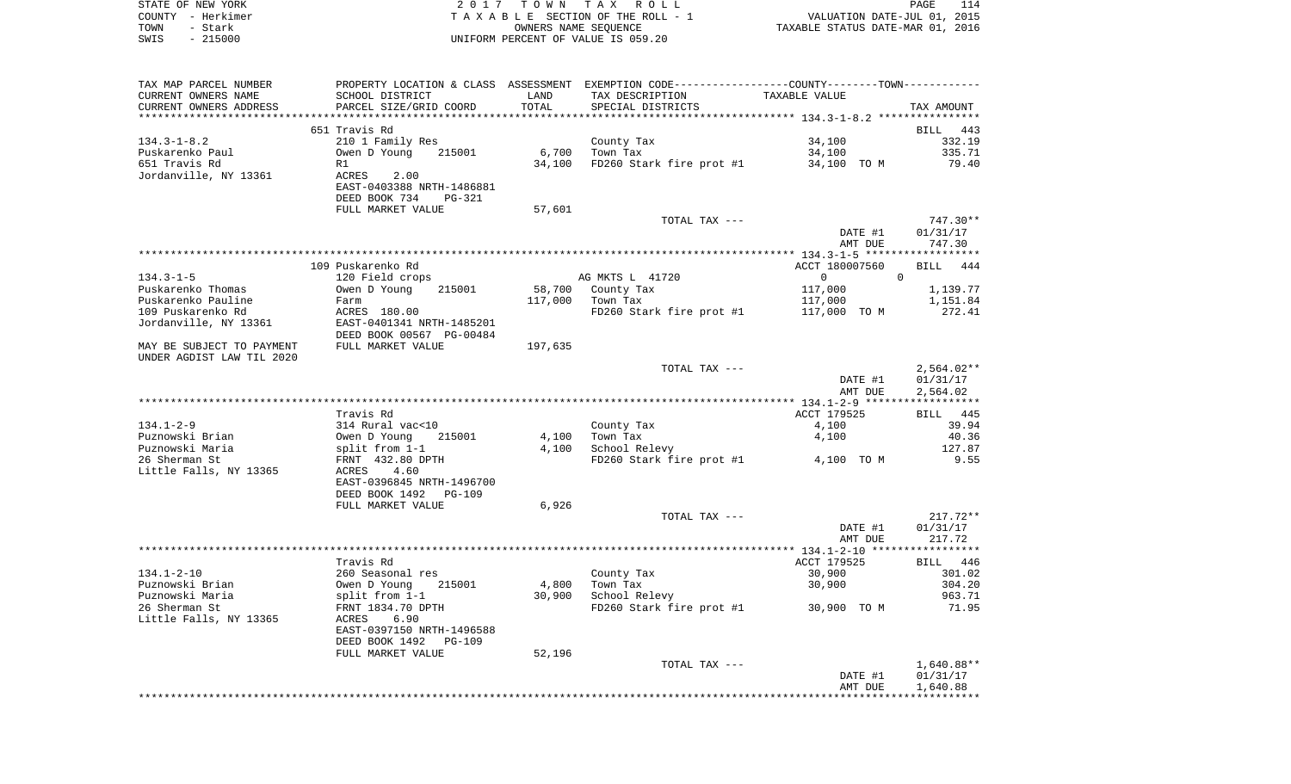|      | STATE OF NEW YORK | 2017 TOWN TAX ROLL                 | PAGE                             | 114 |
|------|-------------------|------------------------------------|----------------------------------|-----|
|      | COUNTY - Herkimer | TAXABLE SECTION OF THE ROLL - 1    | VALUATION DATE-JUL 01, 2015      |     |
| TOWN | - Stark           | OWNERS NAME SEOUENCE               | TAXABLE STATUS DATE-MAR 01, 2016 |     |
| SWIS | $-215000$         | UNIFORM PERCENT OF VALUE IS 059.20 |                                  |     |

| TAX MAP PARCEL NUMBER     |                                          |         | PROPERTY LOCATION & CLASS ASSESSMENT EXEMPTION CODE---------------COUNTY-------TOWN---------- |                |                 |
|---------------------------|------------------------------------------|---------|-----------------------------------------------------------------------------------------------|----------------|-----------------|
| CURRENT OWNERS NAME       | SCHOOL DISTRICT                          | LAND    | TAX DESCRIPTION                                                                               | TAXABLE VALUE  |                 |
| CURRENT OWNERS ADDRESS    | PARCEL SIZE/GRID COORD                   | TOTAL   | SPECIAL DISTRICTS                                                                             |                | TAX AMOUNT      |
|                           |                                          |         |                                                                                               |                |                 |
|                           | 651 Travis Rd                            |         |                                                                                               |                | BILL 443        |
| $134.3 - 1 - 8.2$         | 210 1 Family Res                         |         | County Tax                                                                                    | 34,100         | 332.19          |
| Puskarenko Paul           | Owen D Young<br>215001                   | 6,700   | Town Tax                                                                                      | 34,100         | 335.71          |
| 651 Travis Rd             | R1                                       | 34,100  | FD260 Stark fire prot #1 34,100 TO M                                                          |                | 79.40           |
| Jordanville, NY 13361     | ACRES<br>2.00                            |         |                                                                                               |                |                 |
|                           | EAST-0403388 NRTH-1486881                |         |                                                                                               |                |                 |
|                           | DEED BOOK 734<br><b>PG-321</b>           |         |                                                                                               |                |                 |
|                           |                                          |         |                                                                                               |                |                 |
|                           | FULL MARKET VALUE                        | 57,601  |                                                                                               |                |                 |
|                           |                                          |         | TOTAL TAX ---                                                                                 |                | 747.30**        |
|                           |                                          |         |                                                                                               | DATE #1        | 01/31/17        |
|                           |                                          |         |                                                                                               | AMT DUE        | 747.30          |
|                           |                                          |         |                                                                                               |                |                 |
|                           | 109 Puskarenko Rd                        |         |                                                                                               | ACCT 180007560 | BILL 444        |
| $134.3 - 1 - 5$           | 120 Field crops                          |         | AG MKTS L 41720                                                                               | $\overline{0}$ | $\Omega$        |
| Puskarenko Thomas         | Owen D Young<br>215001                   |         | 58,700 County Tax                                                                             | 117,000        | 1,139.77        |
| Puskarenko Pauline        | Farm                                     | 117,000 | Town Tax                                                                                      | 117,000        | 1,151.84        |
| 109 Puskarenko Rd         | ACRES 180.00                             |         | FD260 Stark fire prot #1                                                                      | 117,000 TO M   | 272.41          |
| Jordanville, NY 13361     | EAST-0401341 NRTH-1485201                |         |                                                                                               |                |                 |
|                           | DEED BOOK 00567 PG-00484                 |         |                                                                                               |                |                 |
| MAY BE SUBJECT TO PAYMENT | FULL MARKET VALUE                        | 197,635 |                                                                                               |                |                 |
| UNDER AGDIST LAW TIL 2020 |                                          |         |                                                                                               |                |                 |
|                           |                                          |         | TOTAL TAX ---                                                                                 |                | $2,564.02**$    |
|                           |                                          |         |                                                                                               | DATE #1        | 01/31/17        |
|                           |                                          |         |                                                                                               | AMT DUE        | 2,564.02        |
|                           |                                          |         |                                                                                               |                |                 |
|                           | Travis Rd                                |         |                                                                                               | ACCT 179525    | <b>BILL</b> 445 |
| $134.1 - 2 - 9$           | 314 Rural vac<10                         |         | County Tax                                                                                    | 4,100          | 39.94           |
| Puznowski Brian           | Owen D Young<br>215001                   | 4,100   | Town Tax                                                                                      | 4,100          | 40.36           |
| Puznowski Maria           | split from 1-1                           | 4,100   | School Relevy                                                                                 |                | 127.87          |
| 26 Sherman St             | FRNT 432.80 DPTH                         |         | $FD260$ Stark fire prot #1 $4,100$ TO M                                                       |                | 9.55            |
| Little Falls, NY 13365    | ACRES<br>4.60                            |         |                                                                                               |                |                 |
|                           | EAST-0396845 NRTH-1496700                |         |                                                                                               |                |                 |
|                           | DEED BOOK 1492<br>$PG-109$               |         |                                                                                               |                |                 |
|                           | FULL MARKET VALUE                        | 6,926   |                                                                                               |                |                 |
|                           |                                          |         | TOTAL TAX ---                                                                                 |                | $217.72**$      |
|                           |                                          |         |                                                                                               |                |                 |
|                           |                                          |         |                                                                                               | DATE #1        | 01/31/17        |
|                           |                                          |         |                                                                                               | AMT DUE        | 217.72          |
|                           |                                          |         |                                                                                               |                |                 |
|                           | Travis Rd                                |         |                                                                                               | ACCT 179525    | BILL 446        |
| $134.1 - 2 - 10$          | 260 Seasonal res                         |         | County Tax                                                                                    | 30,900         | 301.02          |
| Puznowski Brian           | Owen D Young<br>Split from 1-1<br>215001 | 4,800   | Town Tax                                                                                      | 30,900         | 304.20          |
| Puznowski Maria           |                                          | 30,900  | School Relevy                                                                                 |                | 963.71          |
| 26 Sherman St             | FRNT 1834.70 DPTH                        |         | FD260 Stark fire prot #1 30,900 TO M                                                          |                | 71.95           |
| Little Falls, NY 13365    | ACRES<br>6.90                            |         |                                                                                               |                |                 |
|                           | EAST-0397150 NRTH-1496588                |         |                                                                                               |                |                 |
|                           | DEED BOOK 1492<br><b>PG-109</b>          |         |                                                                                               |                |                 |
|                           | FULL MARKET VALUE                        | 52,196  |                                                                                               |                |                 |
|                           |                                          |         | TOTAL TAX ---                                                                                 |                | 1,640.88**      |
|                           |                                          |         |                                                                                               | DATE #1        | 01/31/17        |
|                           |                                          |         |                                                                                               | AMT DUE        | 1,640.88        |
|                           |                                          |         |                                                                                               |                |                 |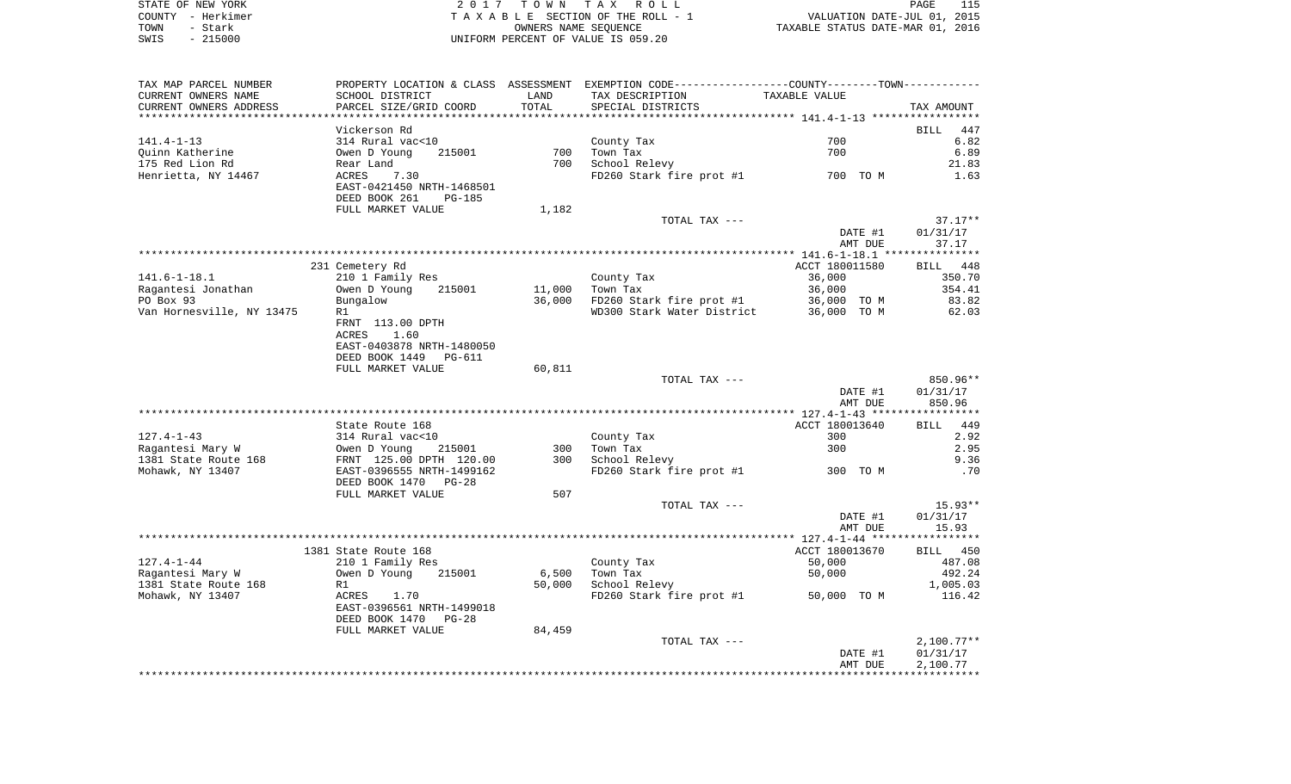| STATE OF NEW YORK | 2017 TOWN TAX ROLL                 | PAGE                             |
|-------------------|------------------------------------|----------------------------------|
| COUNTY - Herkimer | TAXABLE SECTION OF THE ROLL - 1    | VALUATION DATE-JUL 01, 2015      |
| TOWN<br>- Stark   | OWNERS NAME SEOUENCE               | TAXABLE STATUS DATE-MAR 01, 2016 |
| $-215000$<br>SWIS | UNIFORM PERCENT OF VALUE IS 059.20 |                                  |

| TAX MAP PARCEL NUMBER     |                                |                 | PROPERTY LOCATION & CLASS ASSESSMENT EXEMPTION CODE---------------COUNTY-------TOWN---------- |                |                    |
|---------------------------|--------------------------------|-----------------|-----------------------------------------------------------------------------------------------|----------------|--------------------|
| CURRENT OWNERS NAME       | SCHOOL DISTRICT                | LAND            | TAX DESCRIPTION                                                                               | TAXABLE VALUE  |                    |
| CURRENT OWNERS ADDRESS    | PARCEL SIZE/GRID COORD         | TOTAL           | SPECIAL DISTRICTS                                                                             |                | TAX AMOUNT         |
| *****************         | ********************           | *************** |                                                                                               |                |                    |
|                           | Vickerson Rd                   |                 |                                                                                               |                | <b>BILL</b><br>447 |
| $141.4 - 1 - 13$          | 314 Rural vac<10               |                 | County Tax                                                                                    | 700            | 6.82               |
| Quinn Katherine           | Owen D Young<br>215001         | 700             | Town Tax                                                                                      | 700            | 6.89               |
| 175 Red Lion Rd           | Rear Land                      | 700             | School Relevy                                                                                 |                | 21.83              |
| Henrietta, NY 14467       | 7.30<br>ACRES                  |                 | FD260 Stark fire prot #1                                                                      | 700 TO M       | 1.63               |
|                           | EAST-0421450 NRTH-1468501      |                 |                                                                                               |                |                    |
|                           | DEED BOOK 261<br><b>PG-185</b> |                 |                                                                                               |                |                    |
|                           | FULL MARKET VALUE              | 1,182           |                                                                                               |                |                    |
|                           |                                |                 | TOTAL TAX ---                                                                                 |                | $37.17**$          |
|                           |                                |                 |                                                                                               | DATE #1        | 01/31/17           |
|                           |                                |                 |                                                                                               | AMT DUE        | 37.17              |
|                           |                                |                 |                                                                                               |                |                    |
|                           | 231 Cemetery Rd                |                 |                                                                                               | ACCT 180011580 | BILL 448           |
| $141.6 - 1 - 18.1$        | 210 1 Family Res               |                 | County Tax                                                                                    | 36,000         | 350.70             |
| Ragantesi Jonathan        | 215001<br>Owen D Young         | 11,000          | Town Tax                                                                                      | 36,000         | 354.41             |
| PO Box 93                 | Bungalow                       | 36,000          | FD260 Stark fire prot #1                                                                      | 36,000 TO M    | 83.82              |
| Van Hornesville, NY 13475 | R1                             |                 | WD300 Stark Water District                                                                    | 36,000 TO M    | 62.03              |
|                           | FRNT 113.00 DPTH               |                 |                                                                                               |                |                    |
|                           | ACRES<br>1.60                  |                 |                                                                                               |                |                    |
|                           | EAST-0403878 NRTH-1480050      |                 |                                                                                               |                |                    |
|                           | DEED BOOK 1449<br>PG-611       |                 |                                                                                               |                |                    |
|                           | FULL MARKET VALUE              | 60,811          |                                                                                               |                |                    |
|                           |                                |                 | TOTAL TAX ---                                                                                 |                | 850.96**           |
|                           |                                |                 |                                                                                               | DATE #1        | 01/31/17           |
|                           |                                |                 |                                                                                               | AMT DUE        | 850.96             |
|                           |                                |                 |                                                                                               |                |                    |
|                           | State Route 168                |                 |                                                                                               | ACCT 180013640 | 449<br><b>BILL</b> |
| $127.4 - 1 - 43$          | 314 Rural vac<10               |                 | County Tax                                                                                    | 300            | 2.92               |
| Ragantesi Mary W          | Owen D Young<br>215001         | 300             | Town Tax                                                                                      | 300            | 2.95               |
| 1381 State Route 168      | FRNT 125.00 DPTH 120.00        | 300             | School Relevy                                                                                 |                | 9.36               |
| Mohawk, NY 13407          | EAST-0396555 NRTH-1499162      |                 | FD260 Stark fire prot #1                                                                      | 300 TO M       | .70                |
|                           | DEED BOOK 1470<br>$PG-28$      |                 |                                                                                               |                |                    |
|                           | FULL MARKET VALUE              | 507             |                                                                                               |                |                    |
|                           |                                |                 | TOTAL TAX ---                                                                                 |                | $15.93**$          |
|                           |                                |                 |                                                                                               | DATE #1        | 01/31/17           |
|                           |                                |                 |                                                                                               | AMT DUE        | 15.93              |
|                           |                                |                 |                                                                                               |                |                    |
|                           | 1381 State Route 168           |                 |                                                                                               | ACCT 180013670 | BILL 450           |
| $127.4 - 1 - 44$          | 210 1 Family Res               |                 | County Tax                                                                                    | 50,000         | 487.08             |
| Ragantesi Mary W          | Owen D Young<br>215001         | 6,500           | Town Tax                                                                                      | 50,000         | 492.24             |
| 1381 State Route 168      | R1                             | 50,000          | School Relevy                                                                                 |                | 1,005.03           |
| Mohawk, NY 13407          | ACRES<br>1.70                  |                 | FD260 Stark fire prot #1                                                                      | 50,000 TO M    | 116.42             |
|                           | EAST-0396561 NRTH-1499018      |                 |                                                                                               |                |                    |
|                           | DEED BOOK 1470<br>PG-28        |                 |                                                                                               |                |                    |
|                           | FULL MARKET VALUE              | 84,459          |                                                                                               |                |                    |
|                           |                                |                 | TOTAL TAX ---                                                                                 |                | $2,100.77**$       |
|                           |                                |                 |                                                                                               | DATE #1        | 01/31/17           |
|                           |                                |                 |                                                                                               | AMT DUE        | 2,100.77           |
|                           |                                |                 |                                                                                               |                |                    |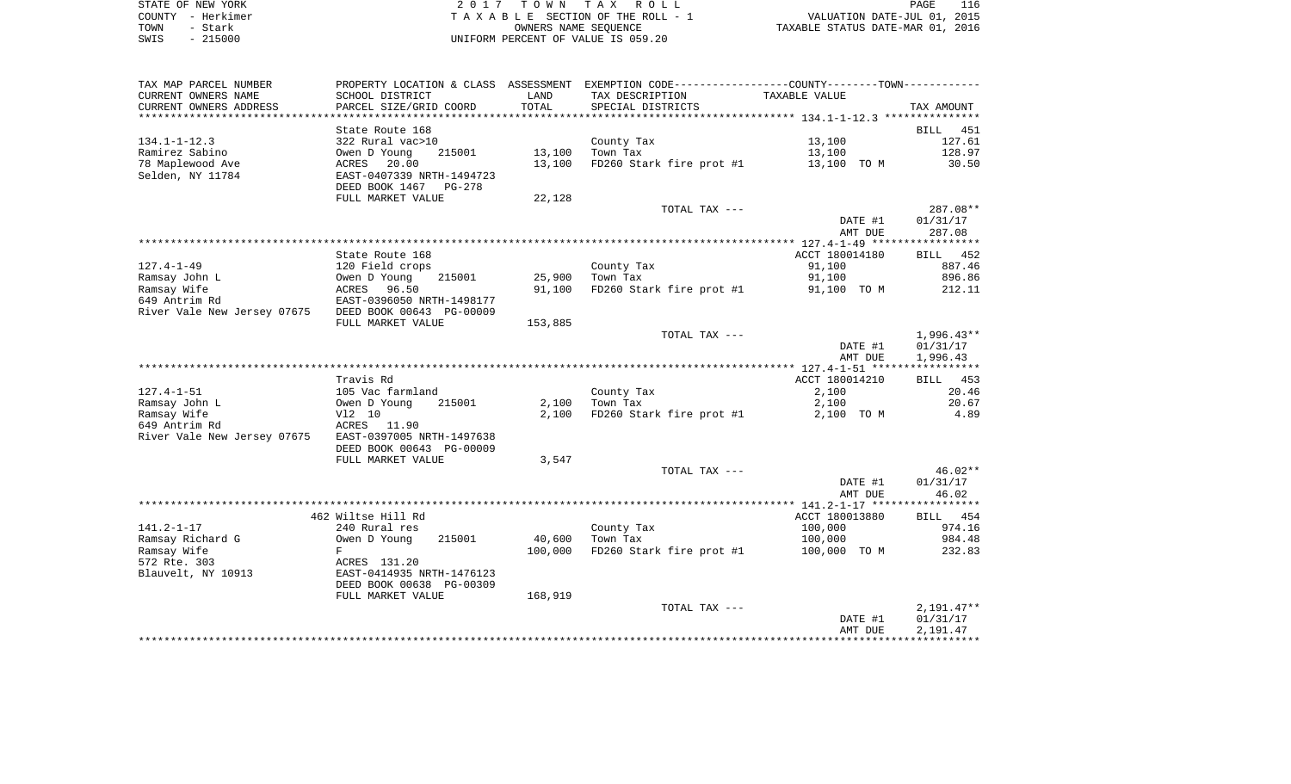|      | STATE OF NEW YORK | 2017 TOWN TAX ROLL                 | <b>PAGE</b>                      | 116 |
|------|-------------------|------------------------------------|----------------------------------|-----|
|      | COUNTY - Herkimer | TAXABLE SECTION OF THE ROLL - 1    | VALUATION DATE-JUL 01, 2015      |     |
| TOWN | – Stark           | OWNERS NAME SEOUENCE               | TAXABLE STATUS DATE-MAR 01, 2016 |     |
| SWIS | $-215000$         | UNIFORM PERCENT OF VALUE IS 059.20 |                                  |     |

| TAX MAP PARCEL NUMBER                                |                           |                | PROPERTY LOCATION & CLASS ASSESSMENT EXEMPTION CODE----------------COUNTY--------TOWN----------- |                |                    |
|------------------------------------------------------|---------------------------|----------------|--------------------------------------------------------------------------------------------------|----------------|--------------------|
| CURRENT OWNERS NAME                                  | SCHOOL DISTRICT           | LAND           | TAX DESCRIPTION                                                                                  | TAXABLE VALUE  |                    |
| CURRENT OWNERS ADDRESS                               | PARCEL SIZE/GRID COORD    | TOTAL          | SPECIAL DISTRICTS                                                                                |                | TAX AMOUNT         |
| *********************                                |                           | ************** |                                                                                                  |                |                    |
|                                                      | State Route 168           |                |                                                                                                  |                | <b>BILL</b><br>451 |
| $134.1 - 1 - 12.3$                                   | 322 Rural vac>10          |                | County Tax                                                                                       | 13,100         | 127.61             |
| Ramirez Sabino                                       | Owen D Young<br>215001    | 13,100         | Town Tax                                                                                         | 13,100         | 128.97             |
| 78 Maplewood Ave                                     | 20.00<br>ACRES            | 13,100         | FD260 Stark fire prot #1                                                                         | 13,100 TO M    | 30.50              |
| Selden, NY 11784                                     | EAST-0407339 NRTH-1494723 |                |                                                                                                  |                |                    |
|                                                      | DEED BOOK 1467<br>PG-278  |                |                                                                                                  |                |                    |
|                                                      | FULL MARKET VALUE         | 22,128         |                                                                                                  |                |                    |
|                                                      |                           |                | TOTAL TAX ---                                                                                    |                | 287.08**           |
|                                                      |                           |                |                                                                                                  | DATE #1        | 01/31/17           |
|                                                      |                           |                |                                                                                                  | AMT DUE        | 287.08             |
|                                                      |                           |                |                                                                                                  |                |                    |
|                                                      | State Route 168           |                |                                                                                                  | ACCT 180014180 | BILL 452           |
| $127.4 - 1 - 49$                                     | 120 Field crops           |                | County Tax                                                                                       | 91,100         | 887.46             |
| Ramsay John L                                        | 215001<br>Owen D Young    | 25,900         | Town Tax                                                                                         | 91,100         | 896.86             |
| Ramsay Wife                                          | 96.50<br>ACRES            | 91,100         | FD260 Stark fire prot #1                                                                         | 91,100 TO M    | 212.11             |
| 649 Antrim Rd                                        | EAST-0396050 NRTH-1498177 |                |                                                                                                  |                |                    |
| River Vale New Jersey 07675 DEED BOOK 00643 PG-00009 |                           |                |                                                                                                  |                |                    |
|                                                      | FULL MARKET VALUE         | 153,885        |                                                                                                  |                |                    |
|                                                      |                           |                | TOTAL TAX ---                                                                                    |                | 1,996.43**         |
|                                                      |                           |                |                                                                                                  | DATE #1        | 01/31/17           |
|                                                      |                           |                |                                                                                                  | AMT DUE        | 1,996.43           |
|                                                      |                           |                |                                                                                                  |                |                    |
|                                                      | Travis Rd                 |                |                                                                                                  | ACCT 180014210 | BILL<br>453        |
| $127.4 - 1 - 51$                                     | 105 Vac farmland          |                | County Tax                                                                                       | 2,100          | 20.46              |
| Ramsay John L                                        | Owen D Young<br>215001    | 2,100          | Town Tax                                                                                         | 2,100          | 20.67              |
| Ramsay Wife                                          | V12 10                    | 2,100          | FD260 Stark fire prot #1                                                                         | 2,100 TO M     | 4.89               |
| 649 Antrim Rd                                        | ACRES 11.90               |                |                                                                                                  |                |                    |
| River Vale New Jersey 07675                          | EAST-0397005 NRTH-1497638 |                |                                                                                                  |                |                    |
|                                                      | DEED BOOK 00643 PG-00009  |                |                                                                                                  |                |                    |
|                                                      | FULL MARKET VALUE         | 3,547          |                                                                                                  |                |                    |
|                                                      |                           |                | TOTAL TAX ---                                                                                    |                | 46.02**            |
|                                                      |                           |                |                                                                                                  | DATE #1        | 01/31/17           |
|                                                      |                           |                |                                                                                                  | AMT DUE        | 46.02              |
|                                                      |                           |                |                                                                                                  |                |                    |
|                                                      | 462 Wiltse Hill Rd        |                |                                                                                                  | ACCT 180013880 | BILL 454           |
| $141.2 - 1 - 17$                                     | 240 Rural res             |                | County Tax                                                                                       | 100,000        | 974.16             |
| Ramsay Richard G                                     | 215001<br>Owen D Young    | 40,600         | Town Tax                                                                                         | 100,000        | 984.48             |
| Ramsay Wife                                          | F                         | 100,000        | FD260 Stark fire prot #1                                                                         | 100,000 TO M   | 232.83             |
| 572 Rte. 303                                         | ACRES 131.20              |                |                                                                                                  |                |                    |
| Blauvelt, NY 10913                                   | EAST-0414935 NRTH-1476123 |                |                                                                                                  |                |                    |
|                                                      | DEED BOOK 00638 PG-00309  |                |                                                                                                  |                |                    |
|                                                      | FULL MARKET VALUE         | 168,919        |                                                                                                  |                |                    |
|                                                      |                           |                | TOTAL TAX ---                                                                                    |                | 2,191.47**         |
|                                                      |                           |                |                                                                                                  | DATE #1        | 01/31/17           |
|                                                      |                           |                |                                                                                                  | AMT DUE        | 2,191.47           |
|                                                      |                           |                |                                                                                                  |                |                    |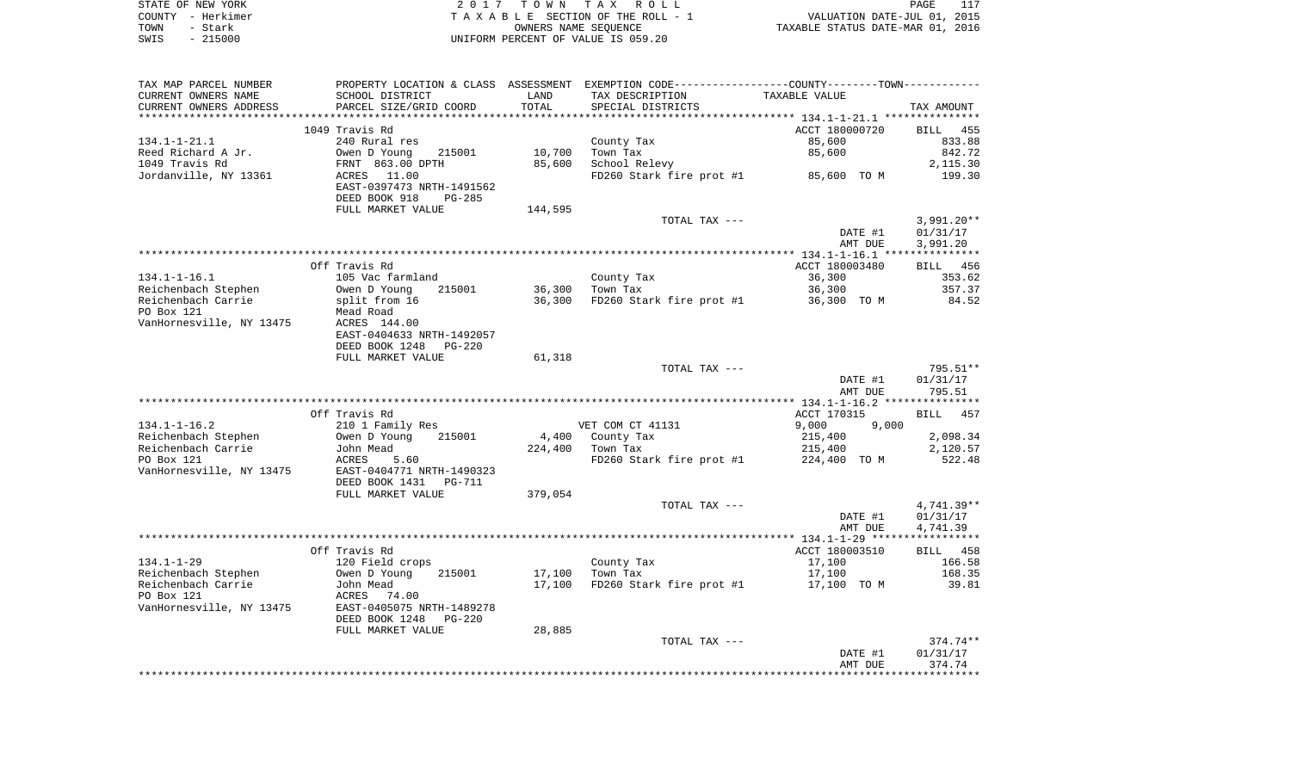|      | STATE OF NEW YORK | 2017 TOWN TAX ROLL                 | PAGE                             | 117 |
|------|-------------------|------------------------------------|----------------------------------|-----|
|      | COUNTY - Herkimer | TAXABLE SECTION OF THE ROLL - 1    | VALUATION DATE-JUL 01, 2015      |     |
| TOWN | – Stark           | OWNERS NAME SEOUENCE               | TAXABLE STATUS DATE-MAR 01, 2016 |     |
| SWIS | $-215000$         | INIFORM PERCENT OF VALUE IS 059.20 |                                  |     |

| TAX MAP PARCEL NUMBER    |                                 |         | PROPERTY LOCATION & CLASS ASSESSMENT EXEMPTION CODE---------------COUNTY-------TOWN---------- |                |                          |
|--------------------------|---------------------------------|---------|-----------------------------------------------------------------------------------------------|----------------|--------------------------|
| CURRENT OWNERS NAME      | SCHOOL DISTRICT                 | LAND    | TAX DESCRIPTION                                                                               | TAXABLE VALUE  |                          |
| CURRENT OWNERS ADDRESS   | PARCEL SIZE/GRID COORD          | TOTAL   | SPECIAL DISTRICTS                                                                             |                | TAX AMOUNT               |
|                          |                                 |         |                                                                                               |                |                          |
|                          | 1049 Travis Rd                  |         |                                                                                               | ACCT 180000720 | 455<br><b>BILL</b>       |
| $134.1 - 1 - 21.1$       | 240 Rural res                   |         | County Tax                                                                                    | 85,600         | 833.88                   |
| Reed Richard A Jr.       | Owen D Young<br>215001          | 10,700  | Town Tax                                                                                      | 85,600         | 842.72                   |
| 1049 Travis Rd           | FRNT 863.00 DPTH                | 85,600  | School Relevy                                                                                 |                | 2,115.30                 |
| Jordanville, NY 13361    | ACRES<br>11.00                  |         | FD260 Stark fire prot #1                                                                      | 85,600 TO M    | 199.30                   |
|                          | EAST-0397473 NRTH-1491562       |         |                                                                                               |                |                          |
|                          | DEED BOOK 918<br><b>PG-285</b>  |         |                                                                                               |                |                          |
|                          | FULL MARKET VALUE               | 144,595 |                                                                                               |                |                          |
|                          |                                 |         | TOTAL TAX ---                                                                                 | DATE #1        | $3,991.20**$<br>01/31/17 |
|                          |                                 |         |                                                                                               | AMT DUE        | 3,991.20                 |
|                          |                                 |         |                                                                                               |                |                          |
|                          | Off Travis Rd                   |         |                                                                                               | ACCT 180003480 | BILL 456                 |
| $134.1 - 1 - 16.1$       | 105 Vac farmland                |         | County Tax                                                                                    | 36,300         | 353.62                   |
| Reichenbach Stephen      | Owen D Young<br>215001          | 36,300  | Town Tax                                                                                      | 36,300         | 357.37                   |
| Reichenbach Carrie       | split from 16                   | 36,300  | FD260 Stark fire prot #1                                                                      | 36,300 TO M    | 84.52                    |
| PO Box 121               | Mead Road                       |         |                                                                                               |                |                          |
| VanHornesville, NY 13475 | ACRES 144.00                    |         |                                                                                               |                |                          |
|                          | EAST-0404633 NRTH-1492057       |         |                                                                                               |                |                          |
|                          | DEED BOOK 1248<br><b>PG-220</b> |         |                                                                                               |                |                          |
|                          | FULL MARKET VALUE               | 61,318  |                                                                                               |                |                          |
|                          |                                 |         | TOTAL TAX ---                                                                                 |                | 795.51**                 |
|                          |                                 |         |                                                                                               | DATE #1        | 01/31/17                 |
|                          |                                 |         |                                                                                               | AMT DUE        | 795.51                   |
|                          |                                 |         |                                                                                               |                |                          |
|                          | Off Travis Rd                   |         |                                                                                               | ACCT 170315    | 457<br>BILL              |
| $134.1 - 1 - 16.2$       | 210 1 Family Res                |         | VET COM CT 41131                                                                              | 9,000<br>9.000 |                          |
| Reichenbach Stephen      | 215001<br>Owen D Young          |         | 4,400 County Tax                                                                              | 215,400        | 2,098.34                 |
| Reichenbach Carrie       | John Mead                       | 224,400 | Town Tax                                                                                      | 215,400        | 2,120.57                 |
| PO Box 121               | ACRES<br>5.60                   |         | FD260 Stark fire prot #1                                                                      | 224,400 TO M   | 522.48                   |
| VanHornesville, NY 13475 | EAST-0404771 NRTH-1490323       |         |                                                                                               |                |                          |
|                          | DEED BOOK 1431<br>PG-711        |         |                                                                                               |                |                          |
|                          | FULL MARKET VALUE               | 379,054 |                                                                                               |                |                          |
|                          |                                 |         | TOTAL TAX ---                                                                                 | DATE #1        | 4,741.39**<br>01/31/17   |
|                          |                                 |         |                                                                                               | AMT DUE        | 4,741.39                 |
|                          |                                 |         |                                                                                               |                |                          |
|                          | Off Travis Rd                   |         |                                                                                               | ACCT 180003510 | BILL 458                 |
| $134.1 - 1 - 29$         | 120 Field crops                 |         | County Tax                                                                                    | 17,100         | 166.58                   |
| Reichenbach Stephen      | Owen D Young<br>215001          | 17,100  | Town Tax                                                                                      | 17,100         | 168.35                   |
| Reichenbach Carrie       | John Mead                       | 17,100  | FD260 Stark fire prot #1                                                                      | 17,100 TO M    | 39.81                    |
| PO Box 121               | 74.00<br>ACRES                  |         |                                                                                               |                |                          |
| VanHornesville, NY 13475 | EAST-0405075 NRTH-1489278       |         |                                                                                               |                |                          |
|                          | DEED BOOK 1248<br>$PG-220$      |         |                                                                                               |                |                          |
|                          | FULL MARKET VALUE               | 28,885  |                                                                                               |                |                          |
|                          |                                 |         | TOTAL TAX ---                                                                                 |                | 374.74**                 |
|                          |                                 |         |                                                                                               | DATE #1        | 01/31/17                 |
|                          |                                 |         |                                                                                               | AMT DUE        | 374.74                   |
|                          |                                 |         |                                                                                               |                |                          |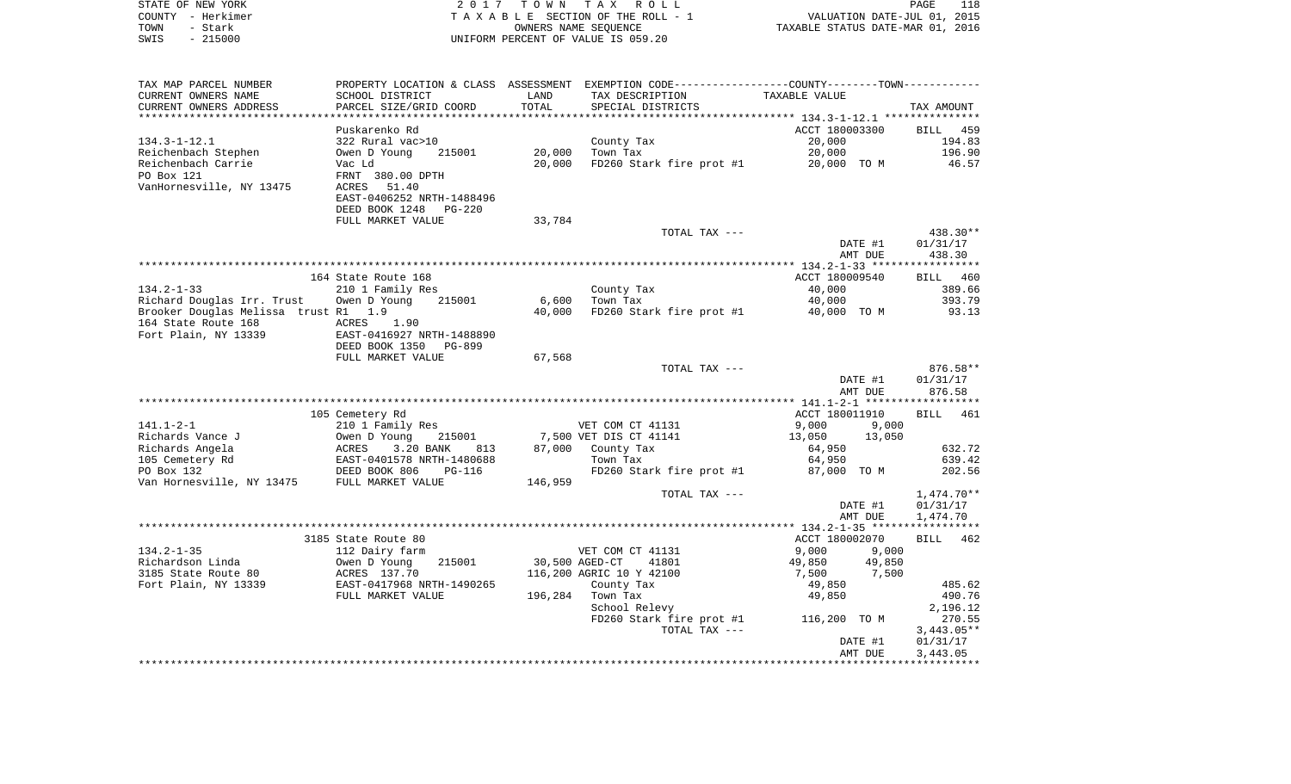| COUNTY - Herkimer<br>TOWN<br>- Stark<br>SWIS<br>$-215000$ |                                                                                                                                                                                                                                                                |                                        | TAXABLE SECTION OF THE ROLL - 1<br>OWNERS NAME SEQUENCE<br>UNIFORM PERCENT OF VALUE IS 059.20 | VALUATION DATE-JUL 01, 2015<br>TAXABLE STATUS DATE-MAR 01, 2016 |                      |
|-----------------------------------------------------------|----------------------------------------------------------------------------------------------------------------------------------------------------------------------------------------------------------------------------------------------------------------|----------------------------------------|-----------------------------------------------------------------------------------------------|-----------------------------------------------------------------|----------------------|
| TAX MAP PARCEL NUMBER                                     | PROPERTY LOCATION & CLASS ASSESSMENT EXEMPTION CODE----------------COUNTY-------TOWN----------                                                                                                                                                                 |                                        |                                                                                               |                                                                 |                      |
| CURRENT OWNERS NAME                                       | SCHOOL DISTRICT                                                                                                                                                                                                                                                | LAND                                   | TAX DESCRIPTION TAXABLE VALUE                                                                 |                                                                 |                      |
| CURRENT OWNERS ADDRESS                                    | PARCEL SIZE/GRID COORD                                                                                                                                                                                                                                         | TOTAL                                  | SPECIAL DISTRICTS                                                                             |                                                                 | TAX AMOUNT           |
|                                                           | Puskarenko Rd                                                                                                                                                                                                                                                  |                                        |                                                                                               | ACCT 180003300                                                  | BILL 459             |
| 134.3-1-12.1                                              | 322 Rural vac>10                                                                                                                                                                                                                                               |                                        |                                                                                               | 20,000                                                          | 194.83               |
| Reichenbach Stephen                                       |                                                                                                                                                                                                                                                                |                                        | County Tax<br>20,000   Town Tax                                                               | 20,000                                                          | 196.90               |
| Reichenbach Carrie                                        | Owen D Young 215001<br>Vac Ld                                                                                                                                                                                                                                  |                                        | 20,000 10WH lax<br>20,000 FD260 Stark fire prot #1 20,000 TO M 46.57                          |                                                                 |                      |
| PO Box 121                                                | FRNT 380.00 DPTH                                                                                                                                                                                                                                               |                                        |                                                                                               |                                                                 |                      |
| VanHornesville, NY 13475 ACRES 51.40                      | EAST-0406252 NRTH-1488496                                                                                                                                                                                                                                      |                                        |                                                                                               |                                                                 |                      |
|                                                           | DEED BOOK 1248 PG-220                                                                                                                                                                                                                                          |                                        |                                                                                               |                                                                 |                      |
|                                                           | FULL MARKET VALUE                                                                                                                                                                                                                                              | 33,784                                 |                                                                                               |                                                                 |                      |
|                                                           |                                                                                                                                                                                                                                                                |                                        | TOTAL TAX ---                                                                                 |                                                                 | 438.30**             |
|                                                           |                                                                                                                                                                                                                                                                |                                        |                                                                                               | DATE #1                                                         | 01/31/17             |
|                                                           |                                                                                                                                                                                                                                                                |                                        |                                                                                               | AMT DUE                                                         | 438.30               |
|                                                           | 164 State Route 168                                                                                                                                                                                                                                            |                                        |                                                                                               | ACCT 180009540                                                  | BILL 460             |
| $134.2 - 1 - 33$                                          | 210 1 Family Res                                                                                                                                                                                                                                               |                                        | County Tax                                                                                    | 40,000                                                          | 389.66               |
| Richard Douglas Irr. Trust     Owen D Young               | 215001                                                                                                                                                                                                                                                         |                                        | 6,600 Town Tax                                                                                | 40,000                                                          | 393.79               |
| Brooker Douglas Melissa trust R1 1.9                      |                                                                                                                                                                                                                                                                | 40,000                                 | FD260 Stark fire prot #1 40,000 TO M                                                          |                                                                 | 93.13                |
| 164 State Route 168                                       | ACRES<br>1.90<br>EAST-0416927 NRTH-1488890                                                                                                                                                                                                                     |                                        |                                                                                               |                                                                 |                      |
| Fort Plain, NY 13339                                      | DEED BOOK 1350 PG-899                                                                                                                                                                                                                                          |                                        |                                                                                               |                                                                 |                      |
|                                                           | FULL MARKET VALUE                                                                                                                                                                                                                                              | 67,568                                 |                                                                                               |                                                                 |                      |
|                                                           |                                                                                                                                                                                                                                                                |                                        | TOTAL TAX ---                                                                                 |                                                                 | 876.58**             |
|                                                           |                                                                                                                                                                                                                                                                |                                        |                                                                                               | DATE #1                                                         | 01/31/17             |
|                                                           |                                                                                                                                                                                                                                                                |                                        |                                                                                               | AMT DUE                                                         | 876.58               |
|                                                           | 105 Cemetery Rd                                                                                                                                                                                                                                                |                                        |                                                                                               | ACCT 180011910                                                  | BILL 461             |
|                                                           |                                                                                                                                                                                                                                                                |                                        | VET COM CT 41131                                                                              | 9,000 9,000                                                     |                      |
|                                                           |                                                                                                                                                                                                                                                                |                                        | 7,500 VET DIS CT 41141                                                                        | 13,050 13,050                                                   |                      |
|                                                           |                                                                                                                                                                                                                                                                |                                        | 813 87,000 County Tax                                                                         | 64,950                                                          | 632.72               |
|                                                           |                                                                                                                                                                                                                                                                |                                        | Town Tax                                                                                      | 64,950                                                          | 639.42               |
|                                                           |                                                                                                                                                                                                                                                                | 146,959                                | FD260 Stark fire prot #1                                                                      | 87,000 TO M                                                     | 202.56               |
|                                                           | 141.1-2-1<br>Richards Vance J<br>Richards Angela<br>Richards Angela<br>105 Cemetery Rd<br>PO Box 132<br>20 BANK B13<br>20 BANK B13<br>20 BANK B13<br>20 BANK B13<br>20 BANK B13<br>20 BANK B13<br>20 BANK B13<br>20 BANK B13<br>20 BANK B13<br>20 BANK B13<br> |                                        | TOTAL TAX ---                                                                                 |                                                                 | $1,474.70**$         |
|                                                           |                                                                                                                                                                                                                                                                |                                        |                                                                                               | DATE #1                                                         | 01/31/17             |
|                                                           |                                                                                                                                                                                                                                                                |                                        |                                                                                               | AMT DUE                                                         | 1,474.70             |
|                                                           |                                                                                                                                                                                                                                                                |                                        |                                                                                               |                                                                 |                      |
|                                                           | 3185 State Route 80                                                                                                                                                                                                                                            |                                        |                                                                                               | ACCT 180002070                                                  | BILL 462             |
| $134.2 - 1 - 35$                                          | 112 Dairy farm                                                                                                                                                                                                                                                 |                                        | VET COM CT 41131<br>30,500 AGED-CT 41801                                                      | 9,000 9,000                                                     |                      |
|                                                           | Excharged Encyclopedia and the District of Principal State Route 80<br>Bish State Route 80<br>Fort Plain, NY 13339<br>FORT POINT PRINCIPAL PRINCIPAL PRINCIPAL PRINCIPAL PRINCIPAL PRINCIPAL PRINCIPAL PRINCIPAL PRINCIPAL PRINCIPAL                           |                                        | 116,200 AGRIC 10 Y 42100                                                                      | 49,850<br>49,850<br>$7,500$ $7,500$                             |                      |
|                                                           |                                                                                                                                                                                                                                                                |                                        | County Tax                                                                                    | 49,850                                                          | 485.62               |
|                                                           | FULL MARKET VALUE                                                                                                                                                                                                                                              | ے ہے۔<br>196,284 Town Tax<br>Cohool Re |                                                                                               | 49,850                                                          | 490.76               |
|                                                           |                                                                                                                                                                                                                                                                |                                        | rown Tax<br>School Relevy<br>FD260 starl                                                      |                                                                 | 2,196.12             |
|                                                           |                                                                                                                                                                                                                                                                |                                        | FD260 Stark fire prot #1 116,200 TO M                                                         |                                                                 | 270.55               |
|                                                           |                                                                                                                                                                                                                                                                |                                        | TOTAL TAX ---                                                                                 |                                                                 | $3,443.05**$         |
|                                                           |                                                                                                                                                                                                                                                                |                                        |                                                                                               | DATE #1<br>AMT DUE                                              | 01/31/17<br>3,443.05 |
|                                                           |                                                                                                                                                                                                                                                                |                                        |                                                                                               |                                                                 |                      |

STATE OF NEW YORK THE RELEASE RELEASE AND MODE OF A STATE OF NEW YORK PAGE 2 0 1 7 T O W N T A X R O L L

118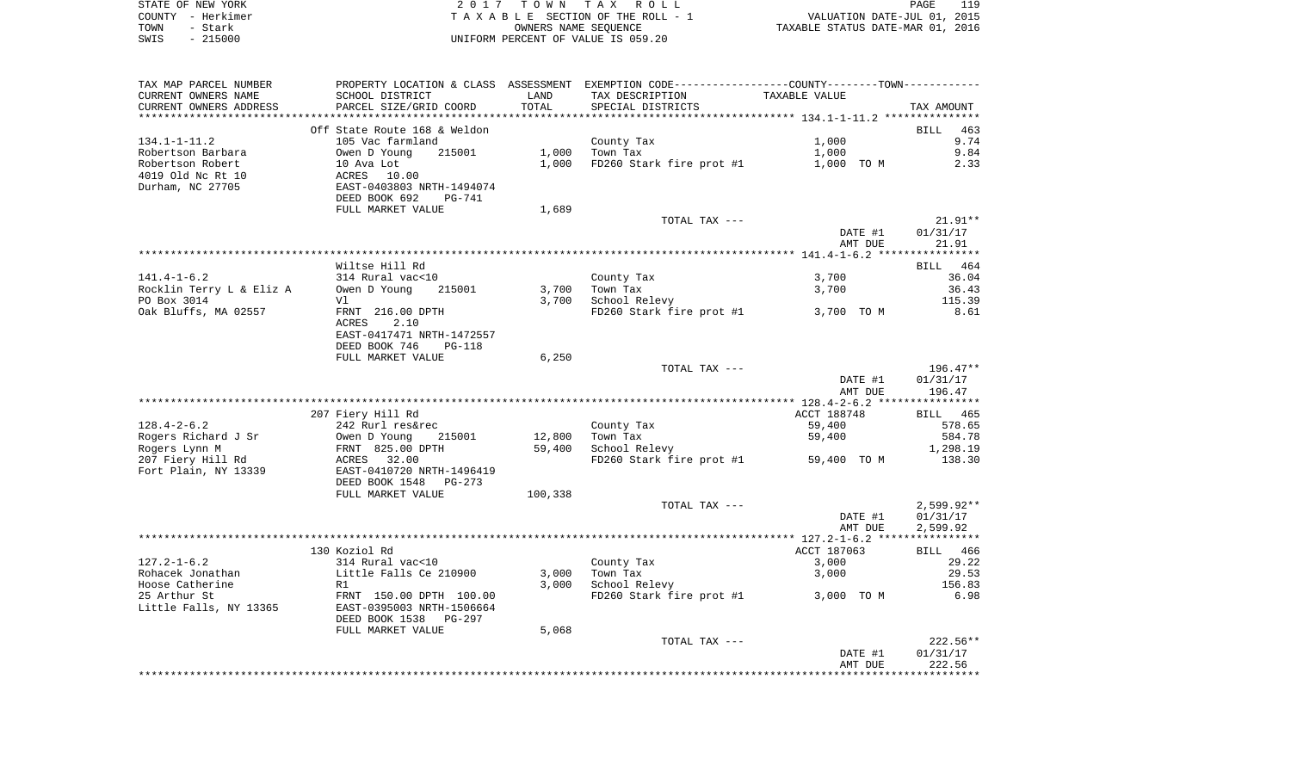| STATE OF NEW YORK | 2017 TOWN TAX ROLL                 | 119<br>PAGE                      |
|-------------------|------------------------------------|----------------------------------|
| COUNTY - Herkimer | TAXABLE SECTION OF THE ROLL - 1    | VALUATION DATE-JUL 01, 2015      |
| TOWN<br>- Stark   | OWNERS NAME SEOUENCE               | TAXABLE STATUS DATE-MAR 01, 2016 |
| - 215000<br>SWIS  | UNIFORM PERCENT OF VALUE IS 059.20 |                                  |

| TAX MAP PARCEL NUMBER    |                                |         | PROPERTY LOCATION & CLASS ASSESSMENT EXEMPTION CODE---------------COUNTY-------TOWN---------- |               |              |
|--------------------------|--------------------------------|---------|-----------------------------------------------------------------------------------------------|---------------|--------------|
| CURRENT OWNERS NAME      | SCHOOL DISTRICT                | LAND    | TAX DESCRIPTION                                                                               | TAXABLE VALUE |              |
| CURRENT OWNERS ADDRESS   | PARCEL SIZE/GRID COORD         | TOTAL   | SPECIAL DISTRICTS                                                                             |               | TAX AMOUNT   |
|                          | Off State Route 168 & Weldon   |         |                                                                                               |               | 463<br>BILL  |
| $134.1 - 1 - 11.2$       | 105 Vac farmland               |         | County Tax                                                                                    | 1,000         | 9.74         |
| Robertson Barbara        | Owen D Young<br>215001         | 1,000   | Town Tax                                                                                      | 1,000         | 9.84         |
| Robertson Robert         | 10 Ava Lot                     | 1,000   | FD260 Stark fire prot #1                                                                      | 1,000 TO M    | 2.33         |
| 4019 Old Nc Rt 10        | ACRES<br>10.00                 |         |                                                                                               |               |              |
| Durham, NC 27705         | EAST-0403803 NRTH-1494074      |         |                                                                                               |               |              |
|                          | DEED BOOK 692<br>PG-741        |         |                                                                                               |               |              |
|                          | FULL MARKET VALUE              | 1,689   |                                                                                               |               |              |
|                          |                                |         | TOTAL TAX ---                                                                                 |               | $21.91**$    |
|                          |                                |         |                                                                                               | DATE #1       | 01/31/17     |
|                          |                                |         |                                                                                               | AMT DUE       | 21.91        |
|                          |                                |         |                                                                                               |               |              |
|                          | Wiltse Hill Rd                 |         |                                                                                               |               | BILL 464     |
| $141.4 - 1 - 6.2$        | 314 Rural vac<10               |         | County Tax                                                                                    | 3,700         | 36.04        |
| Rocklin Terry L & Eliz A | Owen D Young<br>215001         | 3,700   | Town Tax                                                                                      | 3,700         | 36.43        |
| PO Box 3014              | Vl                             | 3,700   | School Relevy                                                                                 |               | 115.39       |
| Oak Bluffs, MA 02557     | FRNT 216.00 DPTH               |         | FD260 Stark fire prot #1                                                                      | 3,700 TO M    | 8.61         |
|                          | ACRES<br>2.10                  |         |                                                                                               |               |              |
|                          | EAST-0417471 NRTH-1472557      |         |                                                                                               |               |              |
|                          | DEED BOOK 746<br><b>PG-118</b> |         |                                                                                               |               |              |
|                          | FULL MARKET VALUE              | 6,250   |                                                                                               |               |              |
|                          |                                |         | TOTAL TAX ---                                                                                 |               | $196.47**$   |
|                          |                                |         |                                                                                               | DATE #1       | 01/31/17     |
|                          |                                |         |                                                                                               | AMT DUE       | 196.47       |
|                          |                                |         |                                                                                               |               |              |
|                          | 207 Fiery Hill Rd              |         |                                                                                               | ACCT 188748   | BILL 465     |
| $128.4 - 2 - 6.2$        | 242 Rurl res&rec               |         | County Tax                                                                                    | 59,400        | 578.65       |
| Rogers Richard J Sr      | Owen D Young<br>215001         | 12,800  | Town Tax                                                                                      | 59,400        | 584.78       |
| Rogers Lynn M            | FRNT 825.00 DPTH               | 59,400  | School Relevy                                                                                 |               | 1,298.19     |
| 207 Fiery Hill Rd        | ACRES<br>32.00                 |         | FD260 Stark fire prot #1                                                                      | 59,400 TO M   | 138.30       |
| Fort Plain, NY 13339     | EAST-0410720 NRTH-1496419      |         |                                                                                               |               |              |
|                          | DEED BOOK 1548<br>PG-273       |         |                                                                                               |               |              |
|                          | FULL MARKET VALUE              | 100,338 |                                                                                               |               |              |
|                          |                                |         | TOTAL TAX ---                                                                                 |               | $2,599.92**$ |
|                          |                                |         |                                                                                               | DATE #1       | 01/31/17     |
|                          |                                |         |                                                                                               | AMT DUE       | 2,599.92     |
|                          |                                |         |                                                                                               |               |              |
|                          | 130 Koziol Rd                  |         |                                                                                               | ACCT 187063   | BILL 466     |
| $127.2 - 1 - 6.2$        | 314 Rural vac<10               |         | County Tax                                                                                    | 3,000         | 29.22        |
| Rohacek Jonathan         | Little Falls Ce 210900         | 3,000   | Town Tax                                                                                      | 3,000         | 29.53        |
| Hoose Catherine          | R1                             | 3,000   | School Relevy                                                                                 |               | 156.83       |
| 25 Arthur St             | FRNT 150.00 DPTH 100.00        |         | FD260 Stark fire prot #1                                                                      | 3,000 TO M    | 6.98         |
| Little Falls, NY 13365   | EAST-0395003 NRTH-1506664      |         |                                                                                               |               |              |
|                          | DEED BOOK 1538<br>PG-297       |         |                                                                                               |               |              |
|                          | FULL MARKET VALUE              | 5,068   |                                                                                               |               |              |
|                          |                                |         | TOTAL TAX ---                                                                                 |               | $222.56**$   |
|                          |                                |         |                                                                                               | DATE #1       | 01/31/17     |
|                          |                                |         |                                                                                               | AMT DUE       | 222.56       |
|                          |                                |         |                                                                                               |               |              |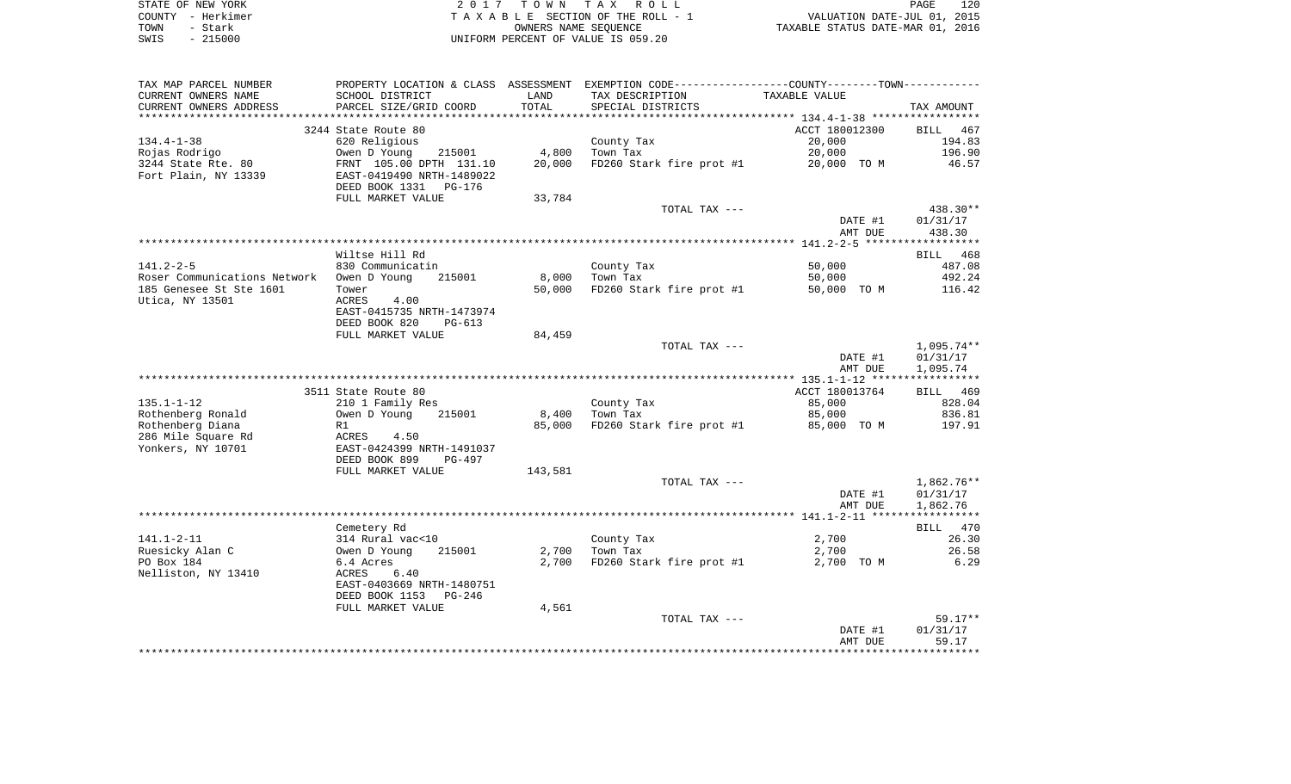|      | STATE OF NEW YORK | 2017 TOWN TAX ROLL                 | PAGE                             | 120 |
|------|-------------------|------------------------------------|----------------------------------|-----|
|      | COUNTY - Herkimer | TAXABLE SECTION OF THE ROLL - 1    | VALUATION DATE-JUL 01, 2015      |     |
| TOWN | - Stark           | OWNERS NAME SEOUENCE               | TAXABLE STATUS DATE-MAR 01, 2016 |     |
| SWIS | $-215000$         | UNIFORM PERCENT OF VALUE IS 059.20 |                                  |     |

| TAX MAP PARCEL NUMBER                     | PROPERTY LOCATION & CLASS ASSESSMENT EXEMPTION CODE---------------COUNTY-------TOWN---------- |         |                          |                |            |
|-------------------------------------------|-----------------------------------------------------------------------------------------------|---------|--------------------------|----------------|------------|
| CURRENT OWNERS NAME                       | SCHOOL DISTRICT                                                                               | LAND    | TAX DESCRIPTION          | TAXABLE VALUE  |            |
| CURRENT OWNERS ADDRESS                    | PARCEL SIZE/GRID COORD                                                                        | TOTAL   | SPECIAL DISTRICTS        |                | TAX AMOUNT |
| *****************                         |                                                                                               |         |                          |                |            |
|                                           | 3244 State Route 80                                                                           |         |                          | ACCT 180012300 | BILL 467   |
| $134.4 - 1 - 38$                          | 620 Religious                                                                                 |         | County Tax               | 20,000         | 194.83     |
| Rojas Rodrigo                             | Owen D Young<br>215001                                                                        | 4,800   | Town Tax                 | 20,000         | 196.90     |
| 3244 State Rte. 80                        | FRNT 105.00 DPTH 131.10                                                                       | 20,000  | FD260 Stark fire prot #1 | 20,000 TO M    | 46.57      |
| Fort Plain, NY 13339                      | EAST-0419490 NRTH-1489022                                                                     |         |                          |                |            |
|                                           | DEED BOOK 1331 PG-176                                                                         |         |                          |                |            |
|                                           | FULL MARKET VALUE                                                                             | 33,784  | TOTAL TAX ---            |                | 438.30**   |
|                                           |                                                                                               |         |                          | DATE #1        | 01/31/17   |
|                                           |                                                                                               |         |                          | AMT DUE        | 438.30     |
|                                           |                                                                                               |         |                          |                |            |
|                                           | Wiltse Hill Rd                                                                                |         |                          |                | BILL 468   |
| $141.2 - 2 - 5$                           | 830 Communicatin                                                                              |         | County Tax               | 50,000         | 487.08     |
| Roser Communications Network Owen D Young | 215001                                                                                        | 8,000   | Town Tax                 | 50,000         | 492.24     |
| 185 Genesee St Ste 1601                   | Tower                                                                                         | 50,000  | FD260 Stark fire prot #1 | 50,000 TO M    | 116.42     |
| Utica, NY 13501                           | ACRES<br>4.00                                                                                 |         |                          |                |            |
|                                           | EAST-0415735 NRTH-1473974                                                                     |         |                          |                |            |
|                                           | DEED BOOK 820<br>$PG-613$                                                                     |         |                          |                |            |
|                                           | FULL MARKET VALUE                                                                             | 84,459  |                          |                |            |
|                                           |                                                                                               |         | TOTAL TAX ---            |                | 1,095.74** |
|                                           |                                                                                               |         |                          | DATE #1        | 01/31/17   |
|                                           |                                                                                               |         |                          | AMT DUE        | 1,095.74   |
|                                           |                                                                                               |         |                          |                |            |
|                                           | 3511 State Route 80                                                                           |         |                          | ACCT 180013764 | BILL 469   |
| $135.1 - 1 - 12$                          | 210 1 Family Res                                                                              |         | County Tax               | 85,000         | 828.04     |
| Rothenberg Ronald                         | 215001<br>Owen D Young                                                                        | 8,400   | Town Tax                 | 85,000         | 836.81     |
| Rothenberg Diana                          | R1                                                                                            | 85,000  | FD260 Stark fire prot #1 | 85,000 TO M    | 197.91     |
| 286 Mile Square Rd                        | ACRES<br>4.50                                                                                 |         |                          |                |            |
| Yonkers, NY 10701                         | EAST-0424399 NRTH-1491037                                                                     |         |                          |                |            |
|                                           | DEED BOOK 899<br><b>PG-497</b>                                                                |         |                          |                |            |
|                                           | FULL MARKET VALUE                                                                             | 143,581 | TOTAL TAX ---            |                | 1,862.76** |
|                                           |                                                                                               |         |                          | DATE #1        | 01/31/17   |
|                                           |                                                                                               |         |                          | AMT DUE        | 1,862.76   |
|                                           |                                                                                               |         |                          |                |            |
|                                           | Cemetery Rd                                                                                   |         |                          |                | BILL 470   |
| $141.1 - 2 - 11$                          | 314 Rural vac<10                                                                              |         | County Tax               | 2,700          | 26.30      |
| Ruesicky Alan C                           | Owen D Young<br>215001                                                                        |         | $2,700$ Town Tax         | 2,700          | 26.58      |
| PO Box 184                                | 6.4 Acres                                                                                     | 2,700   | FD260 Stark fire prot #1 | 2,700 TO M     | 6.29       |
| Nelliston, NY 13410                       | 6.40<br>ACRES                                                                                 |         |                          |                |            |
|                                           | EAST-0403669 NRTH-1480751                                                                     |         |                          |                |            |
|                                           | DEED BOOK 1153<br>PG-246                                                                      |         |                          |                |            |
|                                           | FULL MARKET VALUE                                                                             | 4,561   |                          |                |            |
|                                           |                                                                                               |         | TOTAL TAX ---            |                | $59.17**$  |
|                                           |                                                                                               |         |                          | DATE #1        | 01/31/17   |
|                                           |                                                                                               |         |                          | AMT DUE        | 59.17      |
|                                           |                                                                                               |         |                          |                |            |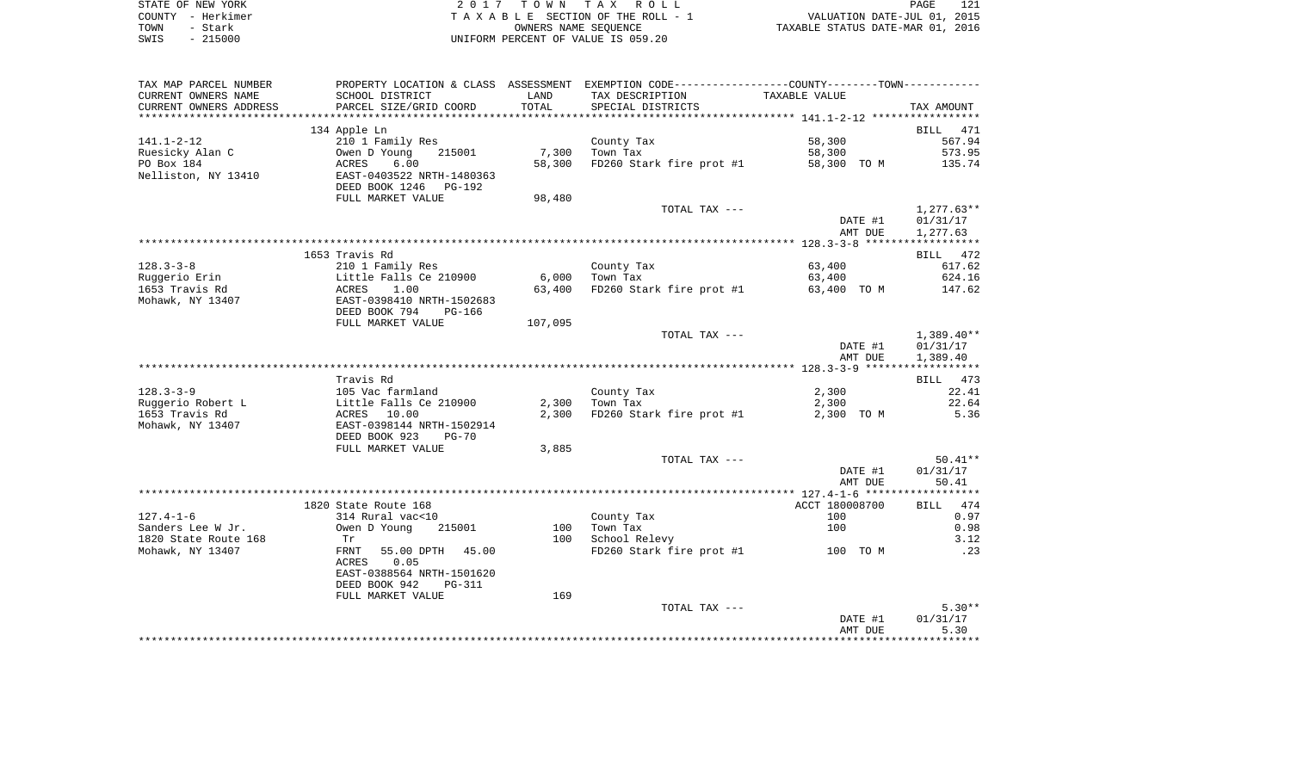|      | STATE OF NEW YORK | 2017 TOWN TAX ROLL                 | 121<br>PAGE                      |
|------|-------------------|------------------------------------|----------------------------------|
|      | COUNTY - Herkimer | TAXABLE SECTION OF THE ROLL - 1    | VALUATION DATE-JUL 01, 2015      |
| TOWN | - Stark           | OWNERS NAME SEOUENCE               | TAXABLE STATUS DATE-MAR 01, 2016 |
| SWIS | - 215000          | UNIFORM PERCENT OF VALUE IS 059.20 |                                  |

| TAX MAP PARCEL NUMBER  |                             |         | PROPERTY LOCATION & CLASS ASSESSMENT EXEMPTION CODE----------------COUNTY--------TOWN----------- |                    |              |
|------------------------|-----------------------------|---------|--------------------------------------------------------------------------------------------------|--------------------|--------------|
| CURRENT OWNERS NAME    | SCHOOL DISTRICT             | LAND    | TAX DESCRIPTION                                                                                  | TAXABLE VALUE      |              |
| CURRENT OWNERS ADDRESS | PARCEL SIZE/GRID COORD      | TOTAL   | SPECIAL DISTRICTS                                                                                |                    | TAX AMOUNT   |
| *******************    | *************************   |         |                                                                                                  |                    |              |
|                        | 134 Apple Ln                |         |                                                                                                  |                    | BILL 471     |
| $141.1 - 2 - 12$       | 210 1 Family Res            |         | County Tax                                                                                       | 58,300             | 567.94       |
| Ruesicky Alan C        | Owen D Young<br>215001      | 7,300   | Town Tax                                                                                         | 58,300             | 573.95       |
| PO Box 184             | ACRES<br>6.00               | 58,300  | FD260 Stark fire prot #1                                                                         | 58,300 TO M        | 135.74       |
| Nelliston, NY 13410    | EAST-0403522 NRTH-1480363   |         |                                                                                                  |                    |              |
|                        | DEED BOOK 1246<br>PG-192    |         |                                                                                                  |                    |              |
|                        | FULL MARKET VALUE           | 98,480  |                                                                                                  |                    |              |
|                        |                             |         | TOTAL TAX ---                                                                                    |                    | $1,277.63**$ |
|                        |                             |         |                                                                                                  | DATE #1            | 01/31/17     |
|                        |                             |         |                                                                                                  | AMT DUE            | 1,277.63     |
|                        |                             |         |                                                                                                  |                    |              |
|                        | 1653 Travis Rd              |         |                                                                                                  |                    | BILL 472     |
| $128.3 - 3 - 8$        | 210 1 Family Res            |         | County Tax                                                                                       | 63,400             | 617.62       |
| Ruggerio Erin          | Little Falls Ce 210900      | 6,000   | Town Tax                                                                                         | 63,400             | 624.16       |
| 1653 Travis Rd         | 1.00<br>ACRES               | 63,400  | FD260 Stark fire prot #1                                                                         | 63,400 TO M        | 147.62       |
| Mohawk, NY 13407       | EAST-0398410 NRTH-1502683   |         |                                                                                                  |                    |              |
|                        | DEED BOOK 794<br>$PG-166$   |         |                                                                                                  |                    |              |
|                        | FULL MARKET VALUE           | 107,095 |                                                                                                  |                    |              |
|                        |                             |         | TOTAL TAX ---                                                                                    |                    | $1,389.40**$ |
|                        |                             |         |                                                                                                  | DATE #1<br>AMT DUE | 01/31/17     |
|                        |                             |         |                                                                                                  |                    | 1,389.40     |
|                        | Travis Rd                   |         |                                                                                                  |                    | BILL 473     |
| $128.3 - 3 - 9$        | 105 Vac farmland            |         | County Tax                                                                                       | 2,300              | 22.41        |
| Ruggerio Robert L      | Little Falls Ce 210900      |         | $2,300$ Town Tax                                                                                 | 2,300              | 22.64        |
| 1653 Travis Rd         | ACRES 10.00                 | 2,300   | FD260 Stark fire prot #1                                                                         | 2,300 TO M         | 5.36         |
| Mohawk, NY 13407       | EAST-0398144 NRTH-1502914   |         |                                                                                                  |                    |              |
|                        | DEED BOOK 923<br>$PG-70$    |         |                                                                                                  |                    |              |
|                        | FULL MARKET VALUE           | 3,885   |                                                                                                  |                    |              |
|                        |                             |         | TOTAL TAX ---                                                                                    |                    | $50.41**$    |
|                        |                             |         |                                                                                                  | DATE #1            | 01/31/17     |
|                        |                             |         |                                                                                                  | AMT DUE            | 50.41        |
|                        |                             |         |                                                                                                  |                    |              |
|                        | 1820 State Route 168        |         |                                                                                                  | ACCT 180008700     | BILL 474     |
| $127.4 - 1 - 6$        | 314 Rural vac<10            |         | County Tax                                                                                       | 100                | 0.97         |
| Sanders Lee W Jr.      | Owen D Young<br>215001      | 100     | Town Tax                                                                                         | 100                | 0.98         |
| 1820 State Route 168   | Tr                          | 100     | School Relevy                                                                                    |                    | 3.12         |
| Mohawk, NY 13407       | FRNT<br>55.00 DPTH<br>45.00 |         | FD260 Stark fire prot #1 100 TO M                                                                |                    | $\ldots$ 23  |
|                        | ACRES<br>0.05               |         |                                                                                                  |                    |              |
|                        | EAST-0388564 NRTH-1501620   |         |                                                                                                  |                    |              |
|                        | DEED BOOK 942<br>PG-311     |         |                                                                                                  |                    |              |
|                        | FULL MARKET VALUE           | 169     |                                                                                                  |                    |              |
|                        |                             |         | TOTAL TAX ---                                                                                    |                    | $5.30**$     |
|                        |                             |         |                                                                                                  | DATE #1            | 01/31/17     |
|                        |                             |         |                                                                                                  | AMT DUE            | 5.30         |
|                        |                             |         |                                                                                                  |                    |              |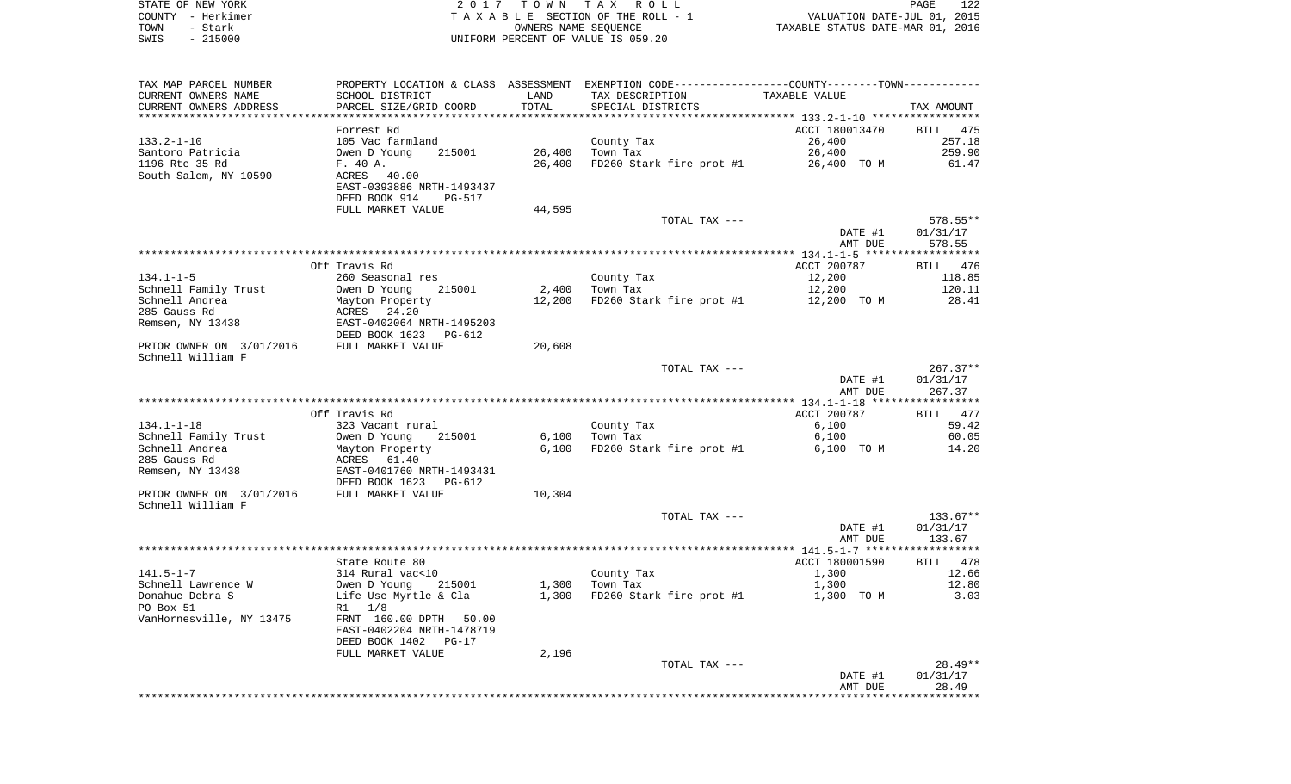| STATE OF NEW YORK | 2017 TOWN TAX ROLL                 | 122<br>PAGE                      |
|-------------------|------------------------------------|----------------------------------|
| COUNTY - Herkimer | TAXABLE SECTION OF THE ROLL - 1    | VALUATION DATE-JUL 01, 2015      |
| TOWN<br>– Stark   | OWNERS NAME SEOUENCE               | TAXABLE STATUS DATE-MAR 01, 2016 |
| $-215000$<br>SWIS | UNIFORM PERCENT OF VALUE IS 059.20 |                                  |

 $\begin{array}{c} 122 \\ 2015 \\ 2016 \end{array}$ 

| TAX MAP PARCEL NUMBER                      |                           |        | PROPERTY LOCATION & CLASS ASSESSMENT EXEMPTION CODE---------------COUNTY-------TOWN--------- |                |            |
|--------------------------------------------|---------------------------|--------|----------------------------------------------------------------------------------------------|----------------|------------|
| CURRENT OWNERS NAME                        | SCHOOL DISTRICT           | LAND   | TAX DESCRIPTION                                                                              | TAXABLE VALUE  |            |
| CURRENT OWNERS ADDRESS                     | PARCEL SIZE/GRID COORD    | TOTAL  | SPECIAL DISTRICTS                                                                            |                | TAX AMOUNT |
|                                            |                           |        |                                                                                              |                |            |
|                                            | Forrest Rd                |        |                                                                                              | ACCT 180013470 | BILL 475   |
| $133.2 - 1 - 10$                           | 105 Vac farmland          |        | County Tax                                                                                   | 26,400         | 257.18     |
| Santoro Patricia                           | Owen D Young<br>215001    | 26,400 | Town Tax                                                                                     | 26,400         | 259.90     |
| 1196 Rte 35 Rd                             | F. 40 A.                  | 26,400 | FD260 Stark fire prot #1                                                                     | 26,400 TO M    | 61.47      |
| South Salem, NY 10590                      | ACRES<br>40.00            |        |                                                                                              |                |            |
|                                            | EAST-0393886 NRTH-1493437 |        |                                                                                              |                |            |
|                                            | DEED BOOK 914<br>PG-517   |        |                                                                                              |                |            |
|                                            | FULL MARKET VALUE         | 44,595 |                                                                                              |                |            |
|                                            |                           |        | TOTAL TAX ---                                                                                |                | $578.55**$ |
|                                            |                           |        |                                                                                              | DATE #1        | 01/31/17   |
|                                            |                           |        |                                                                                              | AMT DUE        | 578.55     |
| *****************                          |                           |        |                                                                                              |                |            |
|                                            | Off Travis Rd             |        |                                                                                              | ACCT 200787    | BILL 476   |
| 134.1-1-5                                  | 260 Seasonal res          |        | County Tax                                                                                   | 12,200         | 118.85     |
| Schnell Family Trust                       | Owen D Young<br>215001    | 2,400  | Town Tax                                                                                     | 12,200         | 120.11     |
| Schnell Andrea                             | Mayton Property           | 12,200 | FD260 Stark fire prot #1                                                                     | 12,200 TO M    | 28.41      |
| 285 Gauss Rd                               | ACRES 24.20               |        |                                                                                              |                |            |
| Remsen, NY 13438                           | EAST-0402064 NRTH-1495203 |        |                                                                                              |                |            |
|                                            | DEED BOOK 1623 PG-612     |        |                                                                                              |                |            |
| PRIOR OWNER ON 3/01/2016 FULL MARKET VALUE |                           | 20,608 |                                                                                              |                |            |
| Schnell William F                          |                           |        |                                                                                              |                |            |
|                                            |                           |        | TOTAL TAX ---                                                                                |                | $267.37**$ |
|                                            |                           |        |                                                                                              | DATE #1        | 01/31/17   |
|                                            |                           |        |                                                                                              | AMT DUE        | 267.37     |
|                                            |                           |        |                                                                                              |                |            |
|                                            | Off Travis Rd             |        |                                                                                              | ACCT 200787    | BILL 477   |
| 134.1-1-18                                 | 323 Vacant rural          |        | County Tax                                                                                   | 6,100          | 59.42      |
| Schnell Family Trust                       | Owen D Young<br>215001    | 6,100  | Town Tax                                                                                     | 6,100          | 60.05      |
| Schnell Andrea                             | Mayton Property           | 6,100  | FD260 Stark fire prot #1                                                                     | 6,100 TO M     | 14.20      |
| 285 Gauss Rd                               | ACRES 61.40               |        |                                                                                              |                |            |
| Remsen, NY 13438                           | EAST-0401760 NRTH-1493431 |        |                                                                                              |                |            |
|                                            | DEED BOOK 1623<br>PG-612  |        |                                                                                              |                |            |
| PRIOR OWNER ON 3/01/2016                   | FULL MARKET VALUE         | 10,304 |                                                                                              |                |            |
| Schnell William F                          |                           |        |                                                                                              |                |            |
|                                            |                           |        | TOTAL TAX ---                                                                                |                | $133.67**$ |
|                                            |                           |        |                                                                                              | DATE #1        | 01/31/17   |
|                                            |                           |        |                                                                                              | AMT DUE        | 133.67     |
|                                            |                           |        |                                                                                              |                |            |
|                                            | State Route 80            |        |                                                                                              | ACCT 180001590 | BILL 478   |
| $141.5 - 1 - 7$                            | 314 Rural vac<10          |        | County Tax                                                                                   | 1,300          | 12.66      |
| Schnell Lawrence W                         | Owen D Young<br>215001    |        | $1,300$ Town Tax                                                                             | 1,300          | 12.80      |
| Donahue Debra S                            | Life Use Myrtle & Cla     |        | 1,300 FD260 Stark fire prot #1                                                               | 1,300 TO M     | 3.03       |
| PO Box 51                                  | R1 1/8                    |        |                                                                                              |                |            |
| VanHornesville, NY 13475                   | FRNT 160.00 DPTH 50.00    |        |                                                                                              |                |            |
|                                            | EAST-0402204 NRTH-1478719 |        |                                                                                              |                |            |
|                                            | DEED BOOK 1402<br>$PG-17$ |        |                                                                                              |                |            |
|                                            | FULL MARKET VALUE         | 2,196  |                                                                                              |                |            |
|                                            |                           |        | TOTAL TAX ---                                                                                |                | $28.49**$  |
|                                            |                           |        |                                                                                              | DATE #1        | 01/31/17   |
|                                            |                           |        |                                                                                              | AMT DUE        | 28.49      |
|                                            |                           |        |                                                                                              |                |            |
|                                            |                           |        |                                                                                              |                |            |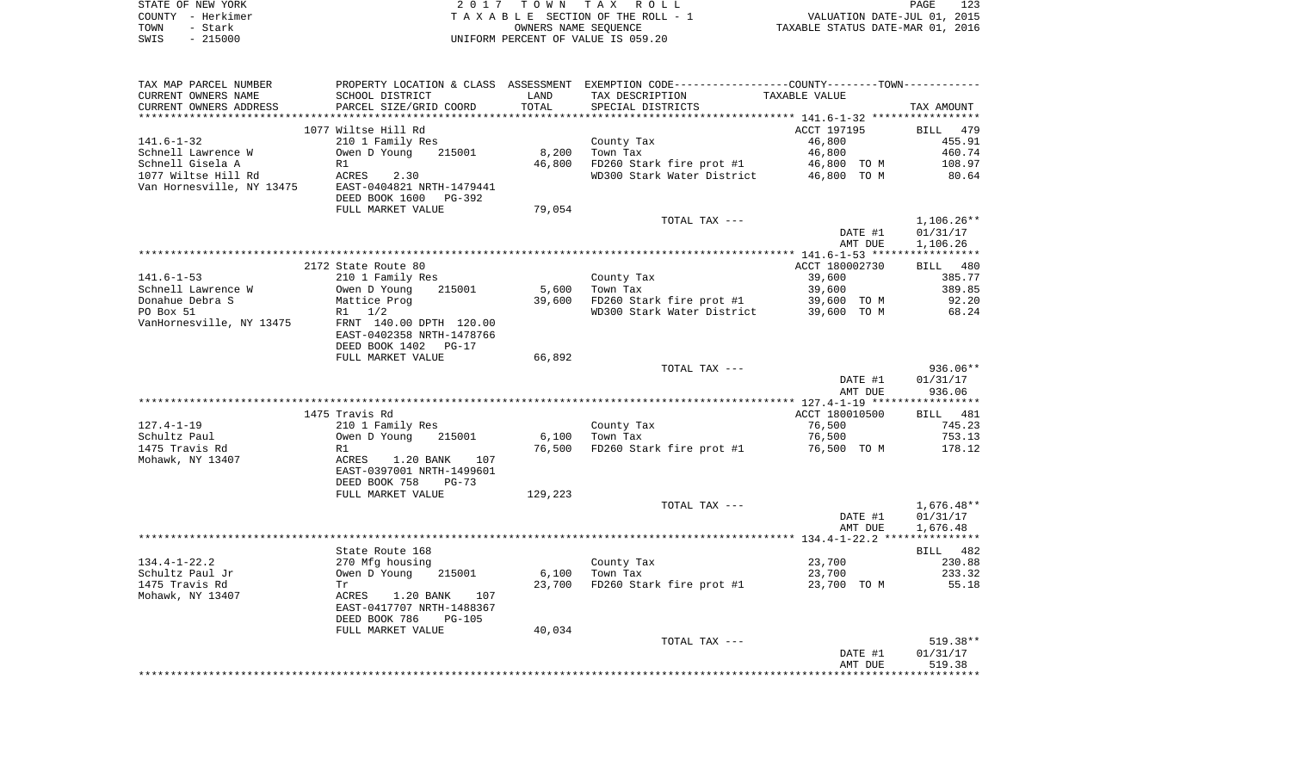| STATE OF NEW YORK |           | 2017 TOWN TAX ROLL                 | PAGE                             | 123 |
|-------------------|-----------|------------------------------------|----------------------------------|-----|
| COUNTY - Herkimer |           | TAXABLE SECTION OF THE ROLL - 1    | VALUATION DATE-JUL 01, 2015      |     |
| TOWN              | - Stark   | OWNERS NAME SEOUENCE               | TAXABLE STATUS DATE-MAR 01, 2016 |     |
| SWIS              | $-215000$ | UNIFORM PERCENT OF VALUE IS 059.20 |                                  |     |

| TAX MAP PARCEL NUMBER     |                                                        |         | PROPERTY LOCATION & CLASS ASSESSMENT EXEMPTION CODE---------------COUNTY-------TOWN---------- |                |                       |
|---------------------------|--------------------------------------------------------|---------|-----------------------------------------------------------------------------------------------|----------------|-----------------------|
| CURRENT OWNERS NAME       | SCHOOL DISTRICT                                        | LAND    | TAX DESCRIPTION                                                                               | TAXABLE VALUE  |                       |
| CURRENT OWNERS ADDRESS    | PARCEL SIZE/GRID COORD                                 | TOTAL   | SPECIAL DISTRICTS                                                                             |                | TAX AMOUNT            |
| ***********************   | *****************************                          |         |                                                                                               |                |                       |
|                           | 1077 Wiltse Hill Rd                                    |         |                                                                                               | ACCT 197195    | BILL<br>479           |
| $141.6 - 1 - 32$          | 210 1 Family Res                                       |         | County Tax                                                                                    | 46,800         | 455.91                |
| Schnell Lawrence W        | Owen D Young<br>215001                                 | 8,200   | Town Tax                                                                                      | 46,800         | 460.74                |
| Schnell Gisela A          | R1                                                     | 46,800  | FD260 Stark fire prot #1                                                                      | 46,800 TO M    | 108.97                |
| 1077 Wiltse Hill Rd       | ACRES<br>2.30                                          |         | WD300 Stark Water District                                                                    | 46,800 TO M    | 80.64                 |
| Van Hornesville, NY 13475 | EAST-0404821 NRTH-1479441<br>DEED BOOK 1600<br>PG-392  |         |                                                                                               |                |                       |
|                           | FULL MARKET VALUE                                      | 79,054  |                                                                                               |                |                       |
|                           |                                                        |         | TOTAL TAX ---                                                                                 |                | $1,106.26**$          |
|                           |                                                        |         |                                                                                               | DATE #1        | 01/31/17              |
|                           |                                                        |         |                                                                                               | AMT DUE        | 1,106.26              |
|                           |                                                        |         |                                                                                               |                |                       |
|                           | 2172 State Route 80                                    |         |                                                                                               | ACCT 180002730 | BILL 480              |
| $141.6 - 1 - 53$          | 210 1 Family Res                                       |         | County Tax                                                                                    | 39,600         | 385.77                |
| Schnell Lawrence W        | Owen D Young<br>215001                                 | 5,600   | Town Tax                                                                                      | 39,600         | 389.85                |
| Donahue Debra S           | Mattice Prog                                           | 39,600  | FD260 Stark fire prot #1                                                                      | 39,600 TO M    | 92.20                 |
| PO Box 51                 | 1/2<br>R1                                              |         | WD300 Stark Water District                                                                    | 39,600 TO M    | 68.24                 |
| VanHornesville, NY 13475  | FRNT 140.00 DPTH 120.00<br>EAST-0402358 NRTH-1478766   |         |                                                                                               |                |                       |
|                           | DEED BOOK 1402<br>$PG-17$                              |         |                                                                                               |                |                       |
|                           | FULL MARKET VALUE                                      | 66,892  |                                                                                               |                |                       |
|                           |                                                        |         | TOTAL TAX ---                                                                                 |                | 936.06**              |
|                           |                                                        |         |                                                                                               | DATE #1        | 01/31/17              |
|                           |                                                        |         |                                                                                               | AMT DUE        | 936.06<br>*********** |
|                           |                                                        |         |                                                                                               |                |                       |
|                           | 1475 Travis Rd                                         |         |                                                                                               | ACCT 180010500 | <b>BILL</b> 481       |
| $127.4 - 1 - 19$          | 210 1 Family Res                                       |         | County Tax                                                                                    | 76,500         | 745.23                |
| Schultz Paul              | Owen D Young<br>215001                                 | 6,100   | Town Tax                                                                                      | 76,500         | 753.13                |
| 1475 Travis Rd            | R1                                                     | 76,500  | FD260 Stark fire prot #1                                                                      | 76,500 TO M    | 178.12                |
| Mohawk, NY 13407          | 1.20 BANK<br>107<br>ACRES                              |         |                                                                                               |                |                       |
|                           | EAST-0397001 NRTH-1499601<br>DEED BOOK 758<br>$PG-73$  |         |                                                                                               |                |                       |
|                           | FULL MARKET VALUE                                      | 129,223 |                                                                                               |                |                       |
|                           |                                                        |         | TOTAL TAX ---                                                                                 |                | 1,676.48**            |
|                           |                                                        |         |                                                                                               | DATE #1        | 01/31/17              |
|                           |                                                        |         |                                                                                               | AMT DUE        | 1,676.48              |
|                           |                                                        |         |                                                                                               |                |                       |
|                           | State Route 168                                        |         |                                                                                               |                | BILL 482              |
| $134.4 - 1 - 22.2$        | 270 Mfg housing                                        |         | County Tax                                                                                    | 23,700         | 230.88                |
| Schultz Paul Jr           | Owen D Young<br>215001                                 | 6,100   | Town Tax                                                                                      | 23,700         | 233.32                |
| 1475 Travis Rd            | Tr                                                     | 23,700  | FD260 Stark fire prot #1                                                                      | 23,700 TO M    | 55.18                 |
| Mohawk, NY 13407          | ACRES<br>1.20 BANK<br>107<br>EAST-0417707 NRTH-1488367 |         |                                                                                               |                |                       |
|                           | DEED BOOK 786<br><b>PG-105</b>                         |         |                                                                                               |                |                       |
|                           | FULL MARKET VALUE                                      | 40,034  |                                                                                               |                |                       |
|                           |                                                        |         | TOTAL TAX ---                                                                                 |                | 519.38**              |
|                           |                                                        |         |                                                                                               | DATE #1        | 01/31/17              |
|                           |                                                        |         |                                                                                               | AMT DUE        | 519.38                |
|                           |                                                        |         |                                                                                               |                |                       |
|                           |                                                        |         |                                                                                               |                |                       |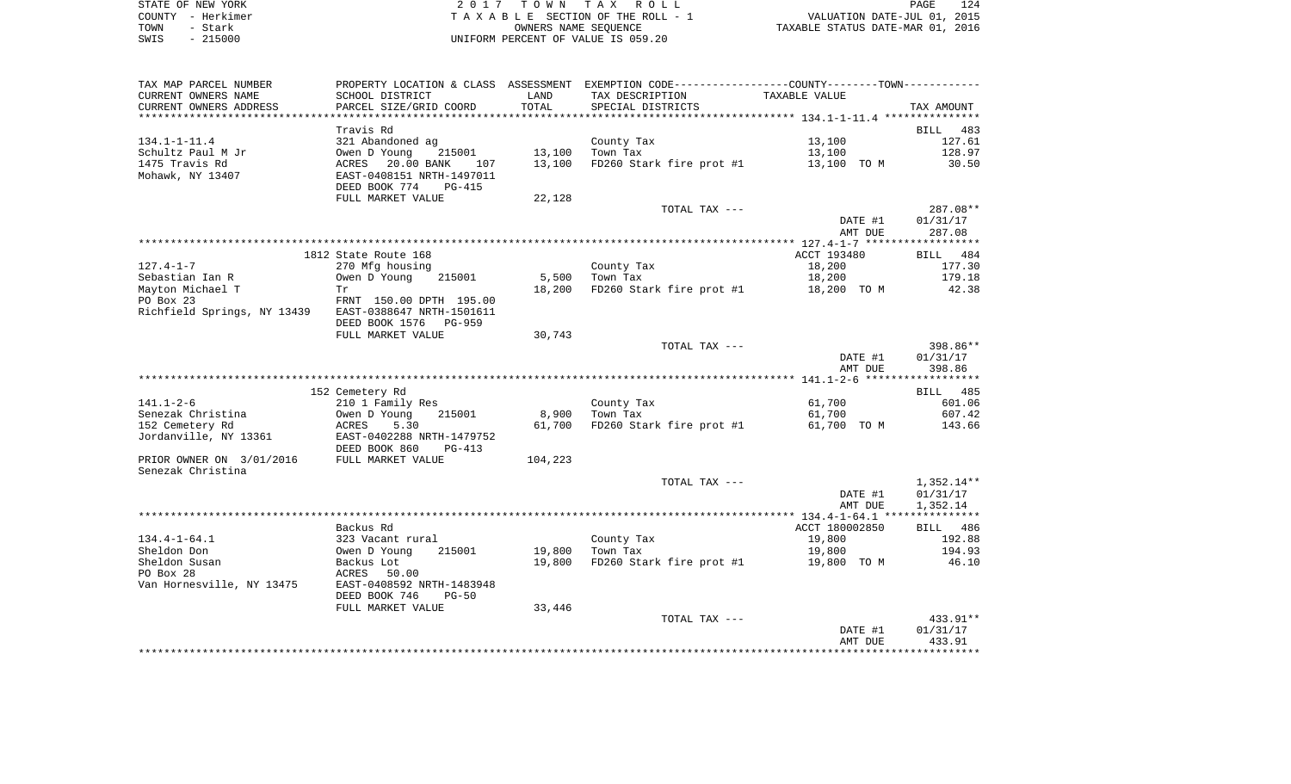| STATE OF NEW YORK | 2017 TOWN TAX ROLL                 | 124<br>PAGE                      |
|-------------------|------------------------------------|----------------------------------|
| COUNTY - Herkimer | TAXABLE SECTION OF THE ROLL - 1    | VALUATION DATE-JUL 01, 2015      |
| TOWN<br>- Stark   | OWNERS NAME SEOUENCE               | TAXABLE STATUS DATE-MAR 01, 2016 |
| $-215000$<br>SWIS | UNIFORM PERCENT OF VALUE IS 059.20 |                                  |

| TAX MAP PARCEL NUMBER                                 |                               |         | PROPERTY LOCATION & CLASS ASSESSMENT EXEMPTION CODE----------------COUNTY--------TOWN---------- |                |                    |
|-------------------------------------------------------|-------------------------------|---------|-------------------------------------------------------------------------------------------------|----------------|--------------------|
| CURRENT OWNERS NAME                                   | SCHOOL DISTRICT               | LAND    | TAX DESCRIPTION                                                                                 | TAXABLE VALUE  |                    |
| CURRENT OWNERS ADDRESS                                | PARCEL SIZE/GRID COORD        | TOTAL   | SPECIAL DISTRICTS                                                                               |                | TAX AMOUNT         |
|                                                       |                               |         |                                                                                                 |                |                    |
|                                                       | Travis Rd                     |         |                                                                                                 |                | BILL 483           |
| 134.1-1-11.4                                          | 321 Abandoned ag              |         | County Tax                                                                                      | 13,100         | 127.61             |
| Schultz Paul M Jr                                     | Owen D Young<br>215001        |         | 13,100 Town Tax                                                                                 | 13,100         | 128.97             |
| 1475 Travis Rd                                        | ACRES 20.00 BANK<br>107       | 13,100  | FD260 Stark fire prot #1                                                                        | 13,100 TO M    | 30.50              |
| Mohawk, NY 13407                                      | EAST-0408151 NRTH-1497011     |         |                                                                                                 |                |                    |
|                                                       | DEED BOOK 774<br>PG-415       |         |                                                                                                 |                |                    |
|                                                       | FULL MARKET VALUE             | 22,128  |                                                                                                 |                |                    |
|                                                       |                               |         | TOTAL TAX ---                                                                                   |                | 287.08**           |
|                                                       |                               |         |                                                                                                 | DATE #1        | 01/31/17           |
|                                                       |                               |         |                                                                                                 | AMT DUE        | 287.08             |
|                                                       | 1812 State Route 168          |         |                                                                                                 | ACCT 193480    | BILL 484           |
| 127.4-1-7                                             | 270 Mfg housing               |         | County Tax                                                                                      | 18,200         | 177.30             |
| Sebastian Ian R                                       | Owen D Young<br>215001        | 5,500   | Town Tax                                                                                        | 18,200         | 179.18             |
| Mayton Michael T                                      | Tr                            | 18,200  | FD260 Stark fire prot #1                                                                        | 18,200 TO M    | 42.38              |
| PO Box 23                                             | FRNT 150.00 DPTH 195.00       |         |                                                                                                 |                |                    |
| Richfield Springs, NY 13439 EAST-0388647 NRTH-1501611 |                               |         |                                                                                                 |                |                    |
|                                                       | DEED BOOK 1576 PG-959         |         |                                                                                                 |                |                    |
|                                                       | FULL MARKET VALUE             | 30,743  |                                                                                                 |                |                    |
|                                                       |                               |         | TOTAL TAX ---                                                                                   |                | 398.86**           |
|                                                       |                               |         |                                                                                                 | DATE #1        | 01/31/17           |
|                                                       |                               |         |                                                                                                 | AMT DUE        | 398.86             |
|                                                       |                               |         |                                                                                                 |                |                    |
|                                                       | 152 Cemetery Rd               |         |                                                                                                 |                | BILL 485           |
| 141.1-2-6                                             | 210 1 Family Res              |         | County Tax                                                                                      | 61,700         | 601.06             |
| Senezak Christina                                     | 215001<br>Owen D Young        | 8,900   | Town Tax                                                                                        | 61,700         | 607.42             |
| 152 Cemetery Rd                                       | ACRES<br>5.30                 | 61,700  | FD260 Stark fire prot #1                                                                        | 61,700 TO M    | 143.66             |
| Jordanville, NY 13361                                 | EAST-0402288 NRTH-1479752     |         |                                                                                                 |                |                    |
|                                                       | DEED BOOK 860<br>PG-413       |         |                                                                                                 |                |                    |
| PRIOR OWNER ON 3/01/2016                              | FULL MARKET VALUE             | 104,223 |                                                                                                 |                |                    |
| Senezak Christina                                     |                               |         |                                                                                                 |                |                    |
|                                                       |                               |         | TOTAL TAX ---                                                                                   |                | 1,352.14**         |
|                                                       |                               |         |                                                                                                 | DATE #1        | 01/31/17           |
|                                                       |                               |         |                                                                                                 | AMT DUE        | 1,352.14           |
|                                                       |                               |         |                                                                                                 | ACCT 180002850 |                    |
| $134.4 - 1 - 64.1$                                    | Backus Rd<br>323 Vacant rural |         | County Tax                                                                                      | 19,800         | BILL 486<br>192.88 |
| Sheldon Don                                           | 215001<br>Owen D Young        | 19,800  | Town Tax                                                                                        | 19,800         | 194.93             |
| Sheldon Susan                                         | Backus Lot                    | 19,800  | FD260 Stark fire prot #1                                                                        | 19,800 TO M    | 46.10              |
| PO Box 28                                             | ACRES<br>50.00                |         |                                                                                                 |                |                    |
| Van Hornesville, NY 13475                             | EAST-0408592 NRTH-1483948     |         |                                                                                                 |                |                    |
|                                                       | DEED BOOK 746<br>PG-50        |         |                                                                                                 |                |                    |
|                                                       | FULL MARKET VALUE             | 33,446  |                                                                                                 |                |                    |
|                                                       |                               |         | TOTAL TAX ---                                                                                   |                | 433.91**           |
|                                                       |                               |         |                                                                                                 | DATE #1        | 01/31/17           |
|                                                       |                               |         |                                                                                                 | AMT DUE        | 433.91             |
|                                                       |                               |         |                                                                                                 |                |                    |
|                                                       |                               |         |                                                                                                 |                |                    |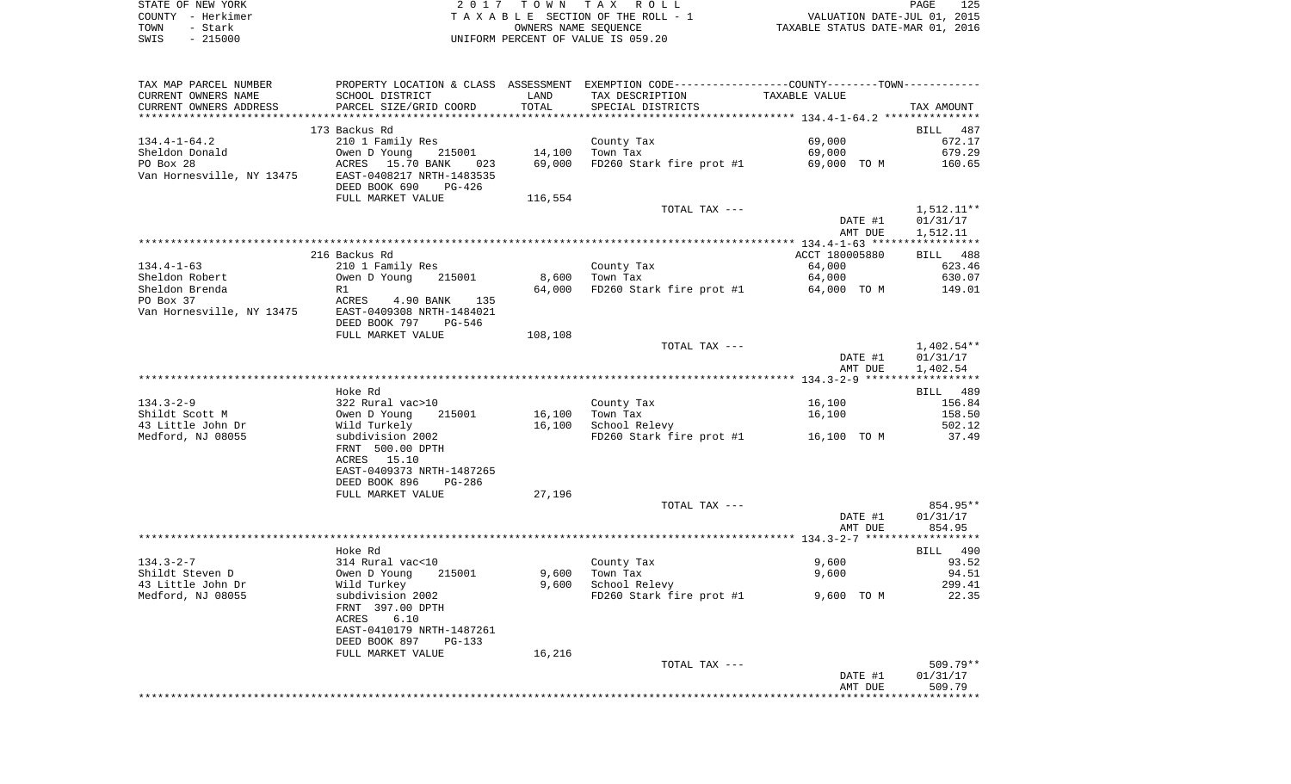|      | STATE OF NEW YORK | 2017 TOWN TAX ROLL                 | 125<br>PAGE                      |
|------|-------------------|------------------------------------|----------------------------------|
|      | COUNTY - Herkimer | TAXABLE SECTION OF THE ROLL - 1    | VALUATION DATE-JUL 01, 2015      |
| TOWN | - Stark           | OWNERS NAME SEOUENCE               | TAXABLE STATUS DATE-MAR 01, 2016 |
| SWIS | $-215000$         | UNIFORM PERCENT OF VALUE IS 059.20 |                                  |

| TAX MAP PARCEL NUMBER     |                                        |         | PROPERTY LOCATION & CLASS ASSESSMENT EXEMPTION CODE----------------COUNTY--------TOWN---------- |                |            |
|---------------------------|----------------------------------------|---------|-------------------------------------------------------------------------------------------------|----------------|------------|
| CURRENT OWNERS NAME       | SCHOOL DISTRICT                        | LAND    | TAX DESCRIPTION                                                                                 | TAXABLE VALUE  |            |
| CURRENT OWNERS ADDRESS    | PARCEL SIZE/GRID COORD                 | TOTAL   | SPECIAL DISTRICTS                                                                               |                | TAX AMOUNT |
|                           |                                        |         |                                                                                                 |                |            |
|                           | 173 Backus Rd                          |         |                                                                                                 |                | BILL 487   |
| $134.4 - 1 - 64.2$        | 210 1 Family Res                       |         | County Tax                                                                                      | 69,000         | 672.17     |
| Sheldon Donald            | Owen D Young<br>215001                 | 14,100  | Town Tax                                                                                        | 69,000         | 679.29     |
| PO Box 28                 | ACRES 15.70 BANK 023                   | 69,000  | FD260 Stark fire prot #1                                                                        | 69,000 TO M    | 160.65     |
| Van Hornesville, NY 13475 | EAST-0408217 NRTH-1483535              |         |                                                                                                 |                |            |
|                           | DEED BOOK 690<br>PG-426                |         |                                                                                                 |                |            |
|                           | FULL MARKET VALUE                      | 116,554 |                                                                                                 |                |            |
|                           |                                        |         | TOTAL TAX ---                                                                                   |                | 1,512.11** |
|                           |                                        |         |                                                                                                 | DATE #1        | 01/31/17   |
|                           |                                        |         |                                                                                                 | AMT DUE        | 1,512.11   |
|                           |                                        |         |                                                                                                 |                |            |
|                           | 216 Backus Rd                          |         |                                                                                                 | ACCT 180005880 | BILL 488   |
| $134.4 - 1 - 63$          | 210 1 Family Res                       |         | County Tax                                                                                      | 64,000         | 623.46     |
| Sheldon Robert            | Owen D Young<br>215001                 | 8,600   | Town Tax                                                                                        | 64,000         | 630.07     |
| Sheldon Brenda            | R1                                     | 64,000  | FD260 Stark fire prot $#1$ 64,000 TO M                                                          |                | 149.01     |
| PO Box 37                 | ACRES 4.90 BANK 135                    |         |                                                                                                 |                |            |
| Van Hornesville, NY 13475 | EAST-0409308 NRTH-1484021              |         |                                                                                                 |                |            |
|                           | DEED BOOK 797 PG-546                   |         |                                                                                                 |                |            |
|                           | FULL MARKET VALUE                      | 108,108 |                                                                                                 |                |            |
|                           |                                        |         | TOTAL TAX ---                                                                                   |                | 1,402.54** |
|                           |                                        |         |                                                                                                 | DATE #1        | 01/31/17   |
|                           |                                        |         |                                                                                                 |                |            |
|                           |                                        |         |                                                                                                 | AMT DUE        | 1,402.54   |
|                           |                                        |         |                                                                                                 |                |            |
| $134.3 - 2 - 9$           | Hoke Rd                                |         |                                                                                                 |                | BILL 489   |
|                           | 322 Rural vac>10                       |         | County Tax                                                                                      | 16,100         | 156.84     |
| Shildt Scott M            | 215001<br>Owen D Young<br>Wild Turkely | 16,100  | Town Tax                                                                                        | 16,100         | 158.50     |
| 43 Little John Dr         |                                        | 16,100  | School Relevy                                                                                   |                | 502.12     |
| Medford, NJ 08055         | subdivision 2002                       |         | FD260 Stark fire prot #1                                                                        | 16,100 TO M    | 37.49      |
|                           | FRNT 500.00 DPTH                       |         |                                                                                                 |                |            |
|                           | ACRES 15.10                            |         |                                                                                                 |                |            |
|                           | EAST-0409373 NRTH-1487265              |         |                                                                                                 |                |            |
|                           | DEED BOOK 896<br>PG-286                |         |                                                                                                 |                |            |
|                           | FULL MARKET VALUE                      | 27,196  |                                                                                                 |                |            |
|                           |                                        |         | TOTAL TAX ---                                                                                   |                | 854.95**   |
|                           |                                        |         |                                                                                                 | DATE #1        | 01/31/17   |
|                           |                                        |         |                                                                                                 | AMT DUE        | 854.95     |
|                           |                                        |         |                                                                                                 |                |            |
|                           | Hoke Rd                                |         |                                                                                                 |                | BILL 490   |
| $134.3 - 2 - 7$           | 314 Rural vac<10                       |         | County Tax                                                                                      | 9,600          | 93.52      |
| Shildt Steven D           | Owen D Young<br>215001                 | 9,600   | Town Tax                                                                                        | 9,600          | 94.51      |
| 43 Little John Dr         | Wild Turkey                            | 9,600   | School Relevy                                                                                   |                | 299.41     |
| Medford, NJ 08055         | subdivision 2002                       |         | FD260 Stark fire prot #1                                                                        | 9,600 TO M     | 22.35      |
|                           | FRNT 397.00 DPTH                       |         |                                                                                                 |                |            |
|                           | 6.10<br>ACRES                          |         |                                                                                                 |                |            |
|                           | EAST-0410179 NRTH-1487261              |         |                                                                                                 |                |            |
|                           | DEED BOOK 897<br>PG-133                |         |                                                                                                 |                |            |
|                           | FULL MARKET VALUE                      | 16,216  |                                                                                                 |                |            |
|                           |                                        |         | TOTAL TAX ---                                                                                   |                | 509.79**   |
|                           |                                        |         |                                                                                                 | DATE #1        | 01/31/17   |
|                           |                                        |         |                                                                                                 | AMT DUE        | 509.79     |
|                           |                                        |         |                                                                                                 |                |            |
|                           |                                        |         |                                                                                                 |                |            |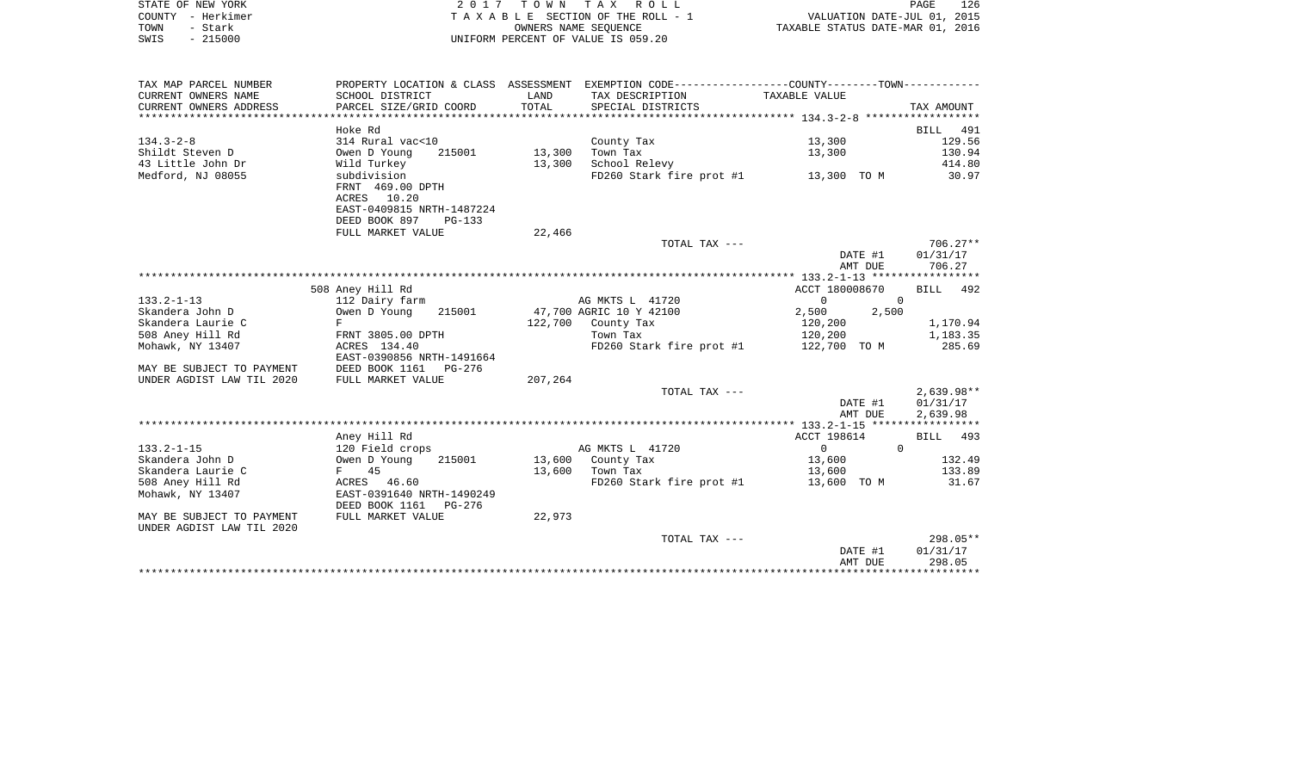|      | STATE OF NEW YORK | 2017 TOWN TAX ROLL                 | PAGE                             | 126 |
|------|-------------------|------------------------------------|----------------------------------|-----|
|      | COUNTY - Herkimer | TAXABLE SECTION OF THE ROLL - 1    | VALUATION DATE-JUL 01, 2015      |     |
| TOWN | - Stark           | OWNERS NAME SEOUENCE               | TAXABLE STATUS DATE-MAR 01, 2016 |     |
| SWIS | $-215000$         | UNIFORM PERCENT OF VALUE IS 059.20 |                                  |     |

| TAX MAP PARCEL NUMBER     |                           |         | PROPERTY LOCATION & CLASS ASSESSMENT EXEMPTION CODE----------------COUNTY--------TOWN---------- |                            |              |
|---------------------------|---------------------------|---------|-------------------------------------------------------------------------------------------------|----------------------------|--------------|
| CURRENT OWNERS NAME       | SCHOOL DISTRICT           | LAND    | TAX DESCRIPTION                                                                                 | TAXABLE VALUE              |              |
| CURRENT OWNERS ADDRESS    | PARCEL SIZE/GRID COORD    | TOTAL   | SPECIAL DISTRICTS                                                                               |                            | TAX AMOUNT   |
|                           |                           |         |                                                                                                 |                            |              |
|                           | Hoke Rd                   |         |                                                                                                 |                            | BILL 491     |
| $134.3 - 2 - 8$           | 314 Rural vac<10          |         | County Tax                                                                                      | 13,300                     | 129.56       |
| Shildt Steven D           | 215001<br>Owen D Young    | 13,300  | Town Tax                                                                                        | 13,300                     | 130.94       |
| 43 Little John Dr         | Wild Turkey               | 13,300  | School Relevy                                                                                   |                            | 414.80       |
| Medford, NJ 08055         | subdivision               |         | FD260 Stark fire prot #1 13,300 TO M                                                            |                            | 30.97        |
|                           | FRNT 469.00 DPTH          |         |                                                                                                 |                            |              |
|                           | ACRES 10.20               |         |                                                                                                 |                            |              |
|                           | EAST-0409815 NRTH-1487224 |         |                                                                                                 |                            |              |
|                           | DEED BOOK 897<br>$PG-133$ |         |                                                                                                 |                            |              |
|                           | FULL MARKET VALUE         | 22,466  |                                                                                                 |                            |              |
|                           |                           |         | TOTAL TAX ---                                                                                   |                            | $706.27**$   |
|                           |                           |         |                                                                                                 | DATE #1                    | 01/31/17     |
|                           |                           |         |                                                                                                 | AMT DUE                    | 706.27       |
|                           |                           |         |                                                                                                 |                            |              |
|                           | 508 Aney Hill Rd          |         |                                                                                                 | ACCT 180008670             | BILL 492     |
| $133.2 - 1 - 13$          | 112 Dairy farm            |         | AG MKTS L 41720                                                                                 | $\overline{0}$<br>$\Omega$ |              |
| Skandera John D           | 215001<br>Owen D Young    |         | 47,700 AGRIC 10 Y 42100                                                                         | 2,500<br>2,500             |              |
| Skandera Laurie C         | F                         |         | 122,700 County Tax                                                                              | 120,200                    | 1,170.94     |
| 508 Aney Hill Rd          | FRNT 3805.00 DPTH         |         | Town Tax                                                                                        | 120,200                    | 1,183.35     |
| Mohawk, NY 13407          | ACRES 134.40              |         | FD260 Stark fire prot #1                                                                        | 122,700 TO M               | 285.69       |
|                           | EAST-0390856 NRTH-1491664 |         |                                                                                                 |                            |              |
| MAY BE SUBJECT TO PAYMENT | DEED BOOK 1161 PG-276     |         |                                                                                                 |                            |              |
| UNDER AGDIST LAW TIL 2020 | FULL MARKET VALUE         | 207,264 |                                                                                                 |                            |              |
|                           |                           |         | TOTAL TAX ---                                                                                   |                            | $2,639.98**$ |
|                           |                           |         |                                                                                                 | DATE #1                    | 01/31/17     |
|                           |                           |         |                                                                                                 | AMT DUE                    | 2,639.98     |
|                           |                           |         |                                                                                                 |                            |              |
|                           | Aney Hill Rd              |         |                                                                                                 | ACCT 198614                | BILL 493     |
| $133.2 - 1 - 15$          | 120 Field crops           |         | AG MKTS L 41720                                                                                 | $\overline{0}$             | $\Omega$     |
| Skandera John D           | Owen D Young<br>215001    | 13,600  | County Tax                                                                                      | 13,600                     | 132.49       |
| Skandera Laurie C         | F 45                      | 13,600  | Town Tax                                                                                        | 13,600                     | 133.89       |
| 508 Aney Hill Rd          | ACRES 46.60               |         | FD260 Stark fire prot #1                                                                        | 13,600 TO M                | 31.67        |
| Mohawk, NY 13407          | EAST-0391640 NRTH-1490249 |         |                                                                                                 |                            |              |
|                           | DEED BOOK 1161<br>PG-276  |         |                                                                                                 |                            |              |
| MAY BE SUBJECT TO PAYMENT | FULL MARKET VALUE         | 22,973  |                                                                                                 |                            |              |
| UNDER AGDIST LAW TIL 2020 |                           |         |                                                                                                 |                            |              |
|                           |                           |         | TOTAL TAX ---                                                                                   |                            | 298.05**     |
|                           |                           |         |                                                                                                 | DATE #1                    | 01/31/17     |
|                           |                           |         |                                                                                                 | AMT DUE                    | 298.05       |
|                           |                           |         |                                                                                                 |                            |              |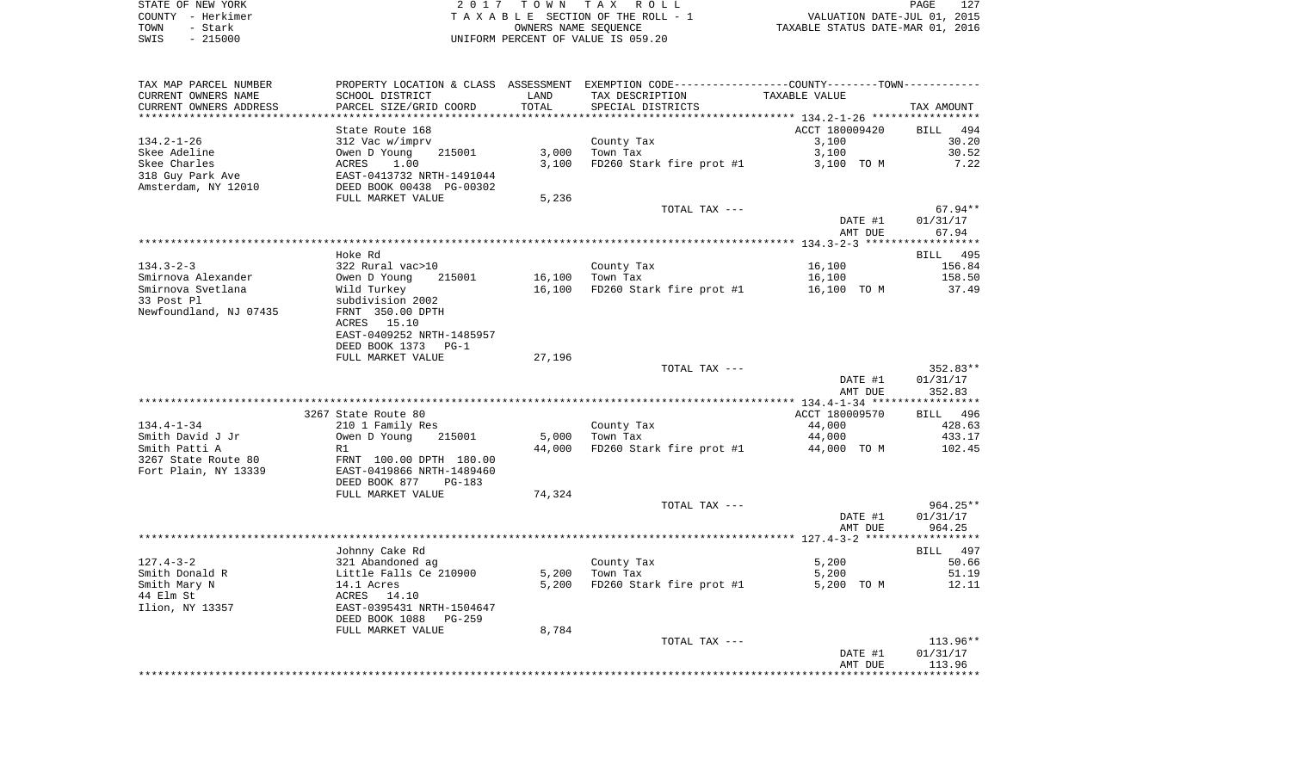| STATE OF NEW YORK | 2017 TOWN TAX ROLL                 | 127<br>PAGE                      |
|-------------------|------------------------------------|----------------------------------|
| COUNTY - Herkimer | TAXABLE SECTION OF THE ROLL - 1    | VALUATION DATE-JUL 01, 2015      |
| TOWN<br>- Stark   | OWNERS NAME SEOUENCE               | TAXABLE STATUS DATE-MAR 01, 2016 |
| $-215000$<br>SWIS | UNIFORM PERCENT OF VALUE IS 059.20 |                                  |

| TAX MAP PARCEL NUMBER<br>CURRENT OWNERS NAME | SCHOOL DISTRICT                                       | LAND   | PROPERTY LOCATION & CLASS ASSESSMENT EXEMPTION CODE---------------COUNTY-------TOWN----------<br>TAX DESCRIPTION | TAXABLE VALUE  |             |
|----------------------------------------------|-------------------------------------------------------|--------|------------------------------------------------------------------------------------------------------------------|----------------|-------------|
| CURRENT OWNERS ADDRESS                       | PARCEL SIZE/GRID COORD                                | TOTAL  | SPECIAL DISTRICTS                                                                                                |                | TAX AMOUNT  |
|                                              |                                                       |        |                                                                                                                  |                |             |
|                                              | State Route 168                                       |        |                                                                                                                  | ACCT 180009420 | BILL<br>494 |
| 134.2-1-26                                   | 312 Vac w/imprv                                       |        | County Tax                                                                                                       | 3,100          | 30.20       |
| Skee Adeline                                 | Owen D Young<br>215001                                | 3,000  | Town Tax                                                                                                         | 3,100          | 30.52       |
| Skee Charles                                 | ACRES<br>1.00                                         | 3,100  | FD260 Stark fire prot #1                                                                                         | 3,100 TO M     | 7.22        |
| 318 Guy Park Ave                             | EAST-0413732 NRTH-1491044<br>DEED BOOK 00438 PG-00302 |        |                                                                                                                  |                |             |
| Amsterdam, NY 12010                          |                                                       |        |                                                                                                                  |                |             |
|                                              | FULL MARKET VALUE                                     | 5,236  |                                                                                                                  |                |             |
|                                              |                                                       |        | TOTAL TAX ---                                                                                                    |                | $67.94**$   |
|                                              |                                                       |        |                                                                                                                  | DATE #1        | 01/31/17    |
|                                              |                                                       |        |                                                                                                                  | AMT DUE        | 67.94       |
|                                              |                                                       |        |                                                                                                                  |                |             |
|                                              | Hoke Rd                                               |        |                                                                                                                  |                | BILL 495    |
| $134.3 - 2 - 3$                              | 322 Rural vac>10                                      |        | County Tax                                                                                                       | 16,100         | 156.84      |
| Smirnova Alexander                           | Owen D Young<br>215001                                | 16,100 | Town Tax                                                                                                         | 16,100         | 158.50      |
| Smirnova Svetlana                            | Wild Turkey                                           | 16,100 | FD260 Stark fire prot #1 16,100 TO M                                                                             |                | 37.49       |
| 33 Post Pl                                   | subdivision 2002                                      |        |                                                                                                                  |                |             |
| Newfoundland, NJ 07435                       | FRNT 350.00 DPTH                                      |        |                                                                                                                  |                |             |
|                                              | ACRES 15.10                                           |        |                                                                                                                  |                |             |
|                                              | EAST-0409252 NRTH-1485957                             |        |                                                                                                                  |                |             |
|                                              | DEED BOOK 1373 PG-1                                   |        |                                                                                                                  |                |             |
|                                              | FULL MARKET VALUE                                     | 27,196 |                                                                                                                  |                |             |
|                                              |                                                       |        | TOTAL TAX ---                                                                                                    |                | 352.83**    |
|                                              |                                                       |        |                                                                                                                  | DATE #1        | 01/31/17    |
|                                              |                                                       |        |                                                                                                                  | AMT DUE        | 352.83      |
|                                              |                                                       |        |                                                                                                                  |                |             |
|                                              |                                                       |        |                                                                                                                  |                |             |
|                                              | 3267 State Route 80                                   |        |                                                                                                                  | ACCT 180009570 | BILL 496    |
| 134.4-1-34                                   | 210 1 Family Res                                      |        | County Tax                                                                                                       | 44,000         | 428.63      |
| Smith David J Jr                             | Owen D Young<br>215001                                | 5,000  | Town Tax                                                                                                         | 44,000         | 433.17      |
| Smith Patti A                                | R1                                                    | 44,000 | FD260 Stark fire prot #1                                                                                         | 44,000 TO M    | 102.45      |
| 3267 State Route 80                          | FRNT 100.00 DPTH 180.00                               |        |                                                                                                                  |                |             |
| Fort Plain, NY 13339                         | EAST-0419866 NRTH-1489460                             |        |                                                                                                                  |                |             |
|                                              | DEED BOOK 877<br>PG-183                               |        |                                                                                                                  |                |             |
|                                              | FULL MARKET VALUE                                     | 74,324 |                                                                                                                  |                |             |
|                                              |                                                       |        | TOTAL TAX ---                                                                                                    |                | $964.25**$  |
|                                              |                                                       |        |                                                                                                                  | DATE #1        | 01/31/17    |
|                                              |                                                       |        |                                                                                                                  | AMT DUE        | 964.25      |
|                                              |                                                       |        |                                                                                                                  |                |             |
|                                              | Johnny Cake Rd                                        |        |                                                                                                                  |                | BILL 497    |
| $127.4 - 3 - 2$                              | 321 Abandoned ag                                      |        | County Tax                                                                                                       | 5,200          | 50.66       |
| Smith Donald R                               | Little Falls Ce 210900                                | 5,200  | Town Tax                                                                                                         | 5,200          | 51.19       |
| Smith Mary N                                 | 14.1 Acres                                            | 5,200  | FD260 Stark fire prot #1                                                                                         | 5,200 TO M     | 12.11       |
| 44 Elm St                                    | ACRES 14.10                                           |        |                                                                                                                  |                |             |
| Ilion, NY 13357                              | EAST-0395431 NRTH-1504647                             |        |                                                                                                                  |                |             |
|                                              | DEED BOOK 1088<br>PG-259                              |        |                                                                                                                  |                |             |
|                                              | FULL MARKET VALUE                                     | 8,784  |                                                                                                                  |                |             |
|                                              |                                                       |        | TOTAL TAX ---                                                                                                    |                | 113.96**    |
|                                              |                                                       |        |                                                                                                                  | DATE #1        | 01/31/17    |
|                                              |                                                       |        |                                                                                                                  | AMT DUE        | 113.96      |
|                                              |                                                       |        |                                                                                                                  |                |             |
|                                              |                                                       |        |                                                                                                                  |                |             |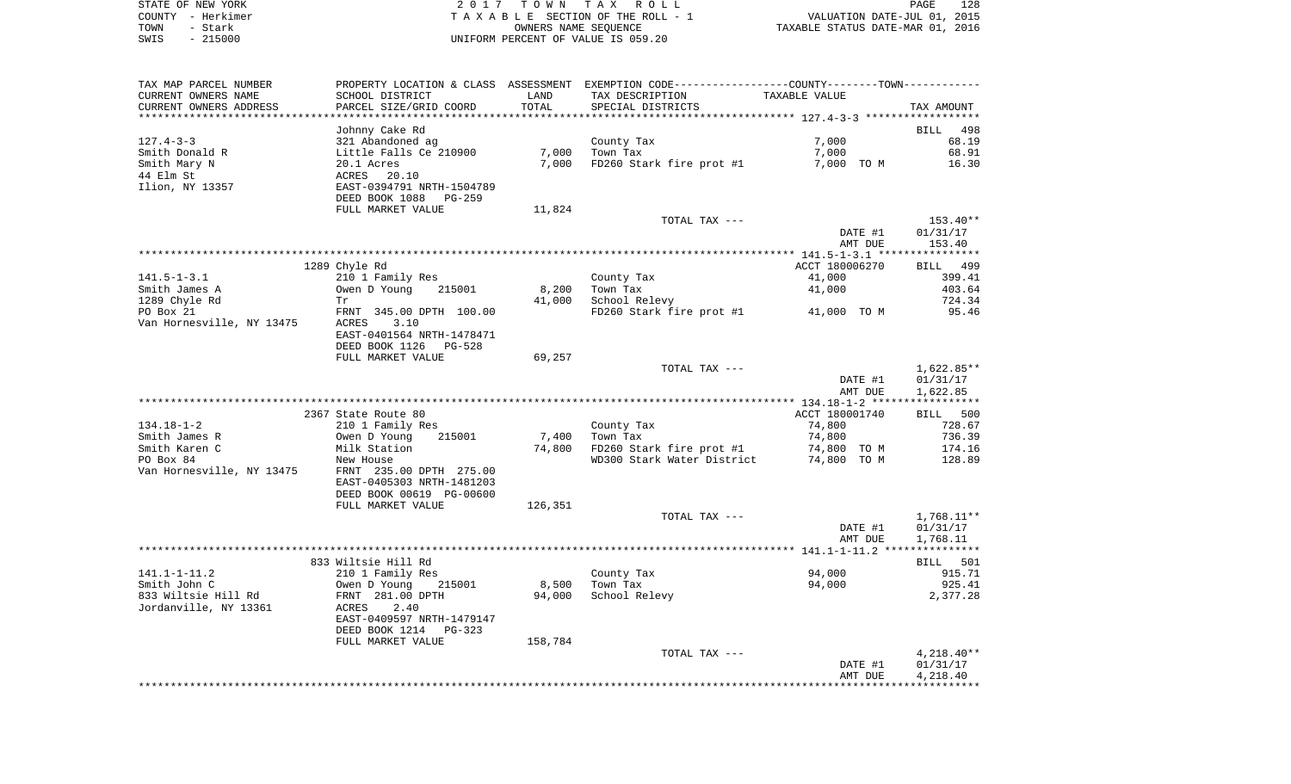| STATE OF NEW YORK | 2017 TOWN TAX ROLL                 | 128<br>PAGE                      |
|-------------------|------------------------------------|----------------------------------|
| COUNTY - Herkimer | TAXABLE SECTION OF THE ROLL - 1    | VALUATION DATE-JUL 01, 2015      |
| TOWN<br>- Stark   | OWNERS NAME SEOUENCE               | TAXABLE STATUS DATE-MAR 01, 2016 |
| $-215000$<br>SWIS | UNIFORM PERCENT OF VALUE IS 059.20 |                                  |

 $\begin{array}{c} 128 \\ 2015 \\ 2016 \end{array}$ 

| TAX MAP PARCEL NUMBER<br>CURRENT OWNERS NAME | SCHOOL DISTRICT            | LAND    | PROPERTY LOCATION & CLASS ASSESSMENT EXEMPTION CODE---------------COUNTY-------TOWN----------<br>TAX DESCRIPTION | TAXABLE VALUE  |                  |
|----------------------------------------------|----------------------------|---------|------------------------------------------------------------------------------------------------------------------|----------------|------------------|
| CURRENT OWNERS ADDRESS                       | PARCEL SIZE/GRID COORD     | TOTAL   | SPECIAL DISTRICTS                                                                                                |                | TAX AMOUNT       |
|                                              | Johnny Cake Rd             |         |                                                                                                                  |                | BILL 498         |
| $127.4 - 3 - 3$                              | 321 Abandoned ag           |         | County Tax                                                                                                       | 7,000          | 68.19            |
| Smith Donald R                               | Little Falls Ce 210900     | 7,000   | Town Tax                                                                                                         | 7,000          | 68.91            |
| Smith Mary N                                 | 20.1 Acres                 | 7,000   | FD260 Stark fire prot #1                                                                                         | 7,000 TO M     | 16.30            |
| 44 Elm St                                    | ACRES<br>20.10             |         |                                                                                                                  |                |                  |
| Ilion, NY 13357                              | EAST-0394791 NRTH-1504789  |         |                                                                                                                  |                |                  |
|                                              | DEED BOOK 1088 PG-259      |         |                                                                                                                  |                |                  |
|                                              | FULL MARKET VALUE          | 11,824  |                                                                                                                  |                |                  |
|                                              |                            |         | TOTAL TAX ---                                                                                                    |                | $153.40**$       |
|                                              |                            |         |                                                                                                                  | DATE #1        | 01/31/17         |
|                                              |                            |         |                                                                                                                  | AMT DUE        | 153.40           |
|                                              |                            |         |                                                                                                                  |                |                  |
|                                              | 1289 Chyle Rd              |         |                                                                                                                  | ACCT 180006270 | BILL 499         |
| 141.5-1-3.1                                  | 210 1 Family Res           |         | County Tax                                                                                                       | 41,000         | 399.41           |
| Smith James A                                | Owen D Young<br>215001     | 8,200   | Town Tax                                                                                                         | 41,000         | 403.64           |
| 1289 Chyle Rd                                | Tr                         | 41,000  | School Relevy                                                                                                    |                | 724.34           |
| PO Box 21                                    | FRNT 345.00 DPTH 100.00    |         | FD260 Stark fire prot #1 41,000 TO M                                                                             |                | 95.46            |
| Van Hornesville, NY 13475                    | ACRES<br>3.10              |         |                                                                                                                  |                |                  |
|                                              | EAST-0401564 NRTH-1478471  |         |                                                                                                                  |                |                  |
|                                              | DEED BOOK 1126 PG-528      |         |                                                                                                                  |                |                  |
|                                              | FULL MARKET VALUE          | 69,257  |                                                                                                                  |                |                  |
|                                              |                            |         | TOTAL TAX ---                                                                                                    |                | 1,622.85**       |
|                                              |                            |         |                                                                                                                  | DATE #1        | 01/31/17         |
|                                              |                            |         |                                                                                                                  | AMT DUE        | 1,622.85         |
|                                              |                            |         |                                                                                                                  |                |                  |
|                                              | 2367 State Route 80        |         |                                                                                                                  | ACCT 180001740 | BILL 500         |
| $134.18 - 1 - 2$                             |                            |         |                                                                                                                  | 74,800         |                  |
|                                              | 210 1 Family Res<br>215001 | 7,400   | County Tax                                                                                                       | 74,800         | 728.67<br>736.39 |
| Smith James R                                | Owen D Young               |         | Town Tax                                                                                                         |                |                  |
| Smith Karen C                                | Milk Station               | 74,800  | FD260 Stark fire prot #1                                                                                         | 74,800 TO M    | 174.16           |
| PO Box 84                                    | New House                  |         | WD300 Stark Water District                                                                                       | 74,800 TO M    | 128.89           |
| Van Hornesville, NY 13475                    | FRNT 235.00 DPTH 275.00    |         |                                                                                                                  |                |                  |
|                                              | EAST-0405303 NRTH-1481203  |         |                                                                                                                  |                |                  |
|                                              | DEED BOOK 00619 PG-00600   |         |                                                                                                                  |                |                  |
|                                              | FULL MARKET VALUE          | 126,351 | TOTAL TAX ---                                                                                                    |                | 1,768.11**       |
|                                              |                            |         |                                                                                                                  |                |                  |
|                                              |                            |         |                                                                                                                  | DATE #1        | 01/31/17         |
|                                              |                            |         |                                                                                                                  | AMT DUE        | 1,768.11         |
|                                              | 833 Wiltsie Hill Rd        |         |                                                                                                                  |                | BILL 501         |
| 141.1-1-11.2                                 | 210 1 Family Res           |         | County Tax                                                                                                       | 94,000         | 915.71           |
| Smith John C                                 | 215001<br>Owen D Young     | 8,500   | Town Tax                                                                                                         | 94,000         | 925.41           |
| 833 Wiltsie Hill Rd                          | FRNT 281.00 DPTH           | 94,000  | School Relevy                                                                                                    |                | 2,377.28         |
| Jordanville, NY 13361                        | ACRES<br>2.40              |         |                                                                                                                  |                |                  |
|                                              | EAST-0409597 NRTH-1479147  |         |                                                                                                                  |                |                  |
|                                              | DEED BOOK 1214<br>PG-323   |         |                                                                                                                  |                |                  |
|                                              | FULL MARKET VALUE          | 158,784 |                                                                                                                  |                |                  |
|                                              |                            |         | TOTAL TAX ---                                                                                                    |                | $4,218.40**$     |
|                                              |                            |         |                                                                                                                  | DATE #1        | 01/31/17         |
|                                              |                            |         |                                                                                                                  | AMT DUE        | 4,218.40         |
|                                              |                            |         |                                                                                                                  |                |                  |
|                                              |                            |         |                                                                                                                  |                |                  |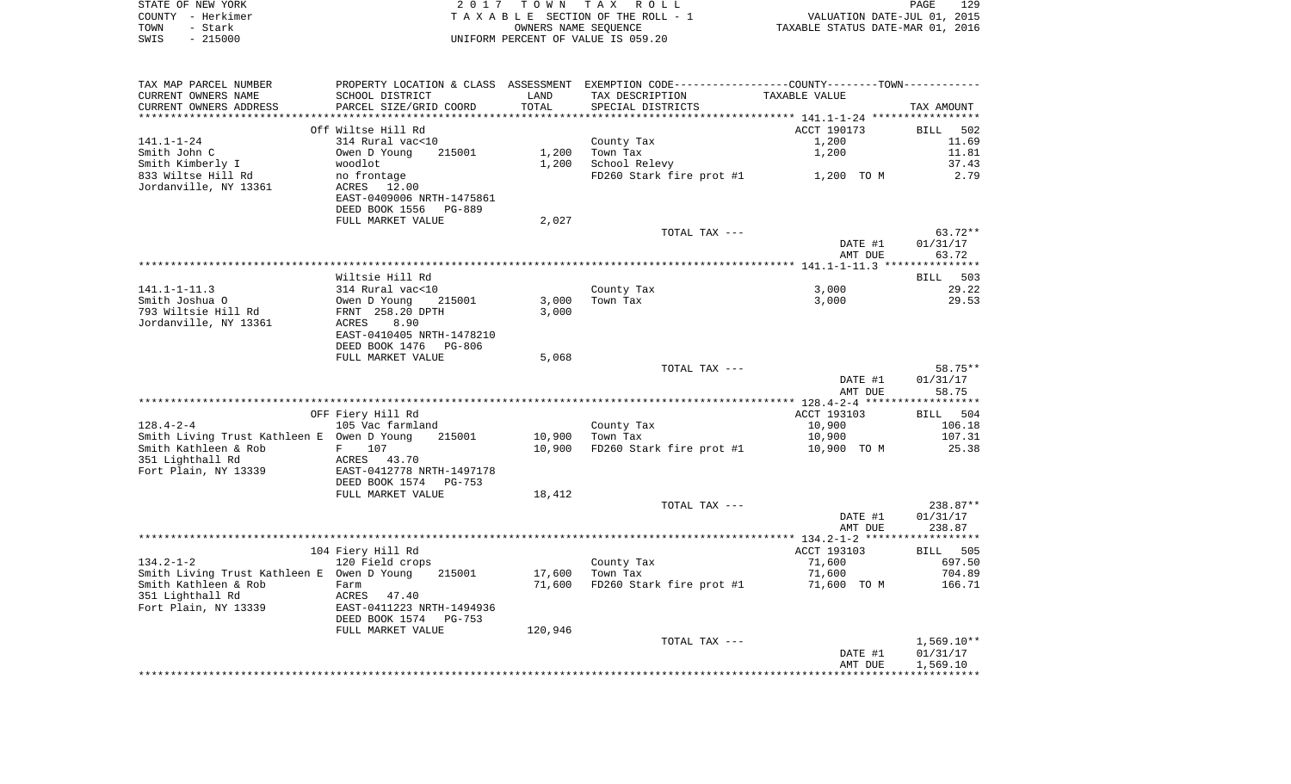| STATE OF NEW YORK |                   | 2017 TOWN TAX ROLL                 | 129<br><b>PAGE</b>               |
|-------------------|-------------------|------------------------------------|----------------------------------|
|                   | COUNTY - Herkimer | TAXABLE SECTION OF THE ROLL - 1    | VALUATION DATE-JUL 01, 2015      |
| TOWN              | - Stark           | OWNERS NAME SEOUENCE               | TAXABLE STATUS DATE-MAR 01, 2016 |
| SWIS              | $-215000$         | UNIFORM PERCENT OF VALUE IS 059.20 |                                  |

| TAX MAP PARCEL NUMBER                      |                                 |         | PROPERTY LOCATION & CLASS ASSESSMENT EXEMPTION CODE----------------COUNTY-------TOWN---------- |               |              |
|--------------------------------------------|---------------------------------|---------|------------------------------------------------------------------------------------------------|---------------|--------------|
| CURRENT OWNERS NAME                        | SCHOOL DISTRICT                 | LAND    | TAX DESCRIPTION                                                                                | TAXABLE VALUE |              |
| CURRENT OWNERS ADDRESS                     | PARCEL SIZE/GRID COORD          | TOTAL   | SPECIAL DISTRICTS                                                                              |               | TAX AMOUNT   |
|                                            |                                 |         |                                                                                                |               |              |
|                                            | Off Wiltse Hill Rd              |         |                                                                                                | ACCT 190173   | BILL 502     |
| 141.1-1-24                                 | 314 Rural vac<10                |         | County Tax                                                                                     | 1,200         | 11.69        |
| Smith John C                               | Owen D Young<br>215001          | 1,200   | Town Tax                                                                                       | 1,200         | 11.81        |
| Smith Kimberly I                           | woodlot                         | 1,200   | School Relevy                                                                                  |               | 37.43        |
| 833 Wiltse Hill Rd                         | no frontage                     |         | FD260 Stark fire prot #1                                                                       | 1,200 TO M    | 2.79         |
| Jordanville, NY 13361                      | ACRES 12.00                     |         |                                                                                                |               |              |
|                                            | EAST-0409006 NRTH-1475861       |         |                                                                                                |               |              |
|                                            | DEED BOOK 1556<br>PG-889        |         |                                                                                                |               |              |
|                                            | FULL MARKET VALUE               | 2,027   |                                                                                                |               |              |
|                                            |                                 |         | TOTAL TAX ---                                                                                  |               | $63.72**$    |
|                                            |                                 |         |                                                                                                | DATE #1       | 01/31/17     |
|                                            |                                 |         |                                                                                                | AMT DUE       | 63.72        |
|                                            |                                 |         |                                                                                                |               |              |
|                                            | Wiltsie Hill Rd                 |         |                                                                                                |               | BILL 503     |
| $141.1 - 1 - 11.3$                         | 314 Rural vac<10                |         | County Tax                                                                                     | 3,000         | 29.22        |
| Smith Joshua O                             | Owen D Young<br>215001          | 3,000   | Town Tax                                                                                       | 3,000         | 29.53        |
|                                            |                                 |         |                                                                                                |               |              |
| 793 Wiltsie Hill Rd                        | FRNT 258.20 DPTH                | 3,000   |                                                                                                |               |              |
| Jordanville, NY 13361                      | 8.90<br>ACRES                   |         |                                                                                                |               |              |
|                                            | EAST-0410405 NRTH-1478210       |         |                                                                                                |               |              |
|                                            | DEED BOOK 1476    PG-806        |         |                                                                                                |               |              |
|                                            | FULL MARKET VALUE               | 5,068   |                                                                                                |               |              |
|                                            |                                 |         | TOTAL TAX ---                                                                                  |               | 58.75**      |
|                                            |                                 |         |                                                                                                | DATE #1       | 01/31/17     |
|                                            |                                 |         |                                                                                                | AMT DUE       | 58.75        |
|                                            |                                 |         |                                                                                                |               |              |
|                                            | OFF Fiery Hill Rd               |         |                                                                                                | ACCT 193103   | BILL 504     |
| $128.4 - 2 - 4$                            | 105 Vac farmland                |         | County Tax                                                                                     | 10,900        | 106.18       |
| Smith Living Trust Kathleen E Owen D Young | 215001                          | 10,900  | Town Tax                                                                                       | 10,900        | 107.31       |
| Smith Kathleen & Rob                       | 107<br>F                        | 10,900  | FD260 Stark fire prot #1                                                                       | 10,900 TO M   | 25.38        |
| 351 Lighthall Rd                           | ACRES<br>43.70                  |         |                                                                                                |               |              |
| Fort Plain, NY 13339                       | EAST-0412778 NRTH-1497178       |         |                                                                                                |               |              |
|                                            | DEED BOOK 1574<br>PG-753        |         |                                                                                                |               |              |
|                                            | FULL MARKET VALUE               | 18,412  |                                                                                                |               |              |
|                                            |                                 |         | TOTAL TAX ---                                                                                  |               | 238.87**     |
|                                            |                                 |         |                                                                                                | DATE #1       | 01/31/17     |
|                                            |                                 |         |                                                                                                | AMT DUE       | 238.87       |
|                                            |                                 |         |                                                                                                |               |              |
|                                            | 104 Fiery Hill Rd               |         |                                                                                                | ACCT 193103   | BILL 505     |
| $134.2 - 1 - 2$                            | 120 Field crops                 |         | County Tax                                                                                     | 71,600        | 697.50       |
| Smith Living Trust Kathleen E Owen D Young | 215001                          | 17,600  | Town Tax                                                                                       | 71,600        | 704.89       |
| Smith Kathleen & Rob                       | Farm                            | 71,600  | FD260 Stark fire prot #1                                                                       | 71,600 TO M   | 166.71       |
| 351 Lighthall Rd                           | ACRES<br>47.40                  |         |                                                                                                |               |              |
| Fort Plain, NY 13339                       | EAST-0411223 NRTH-1494936       |         |                                                                                                |               |              |
|                                            | DEED BOOK 1574<br><b>PG-753</b> |         |                                                                                                |               |              |
|                                            | FULL MARKET VALUE               | 120,946 |                                                                                                |               |              |
|                                            |                                 |         | TOTAL TAX ---                                                                                  |               | $1,569.10**$ |
|                                            |                                 |         |                                                                                                | DATE #1       | 01/31/17     |
|                                            |                                 |         |                                                                                                | AMT DUE       | 1,569.10     |
|                                            |                                 |         |                                                                                                |               |              |
|                                            |                                 |         |                                                                                                |               |              |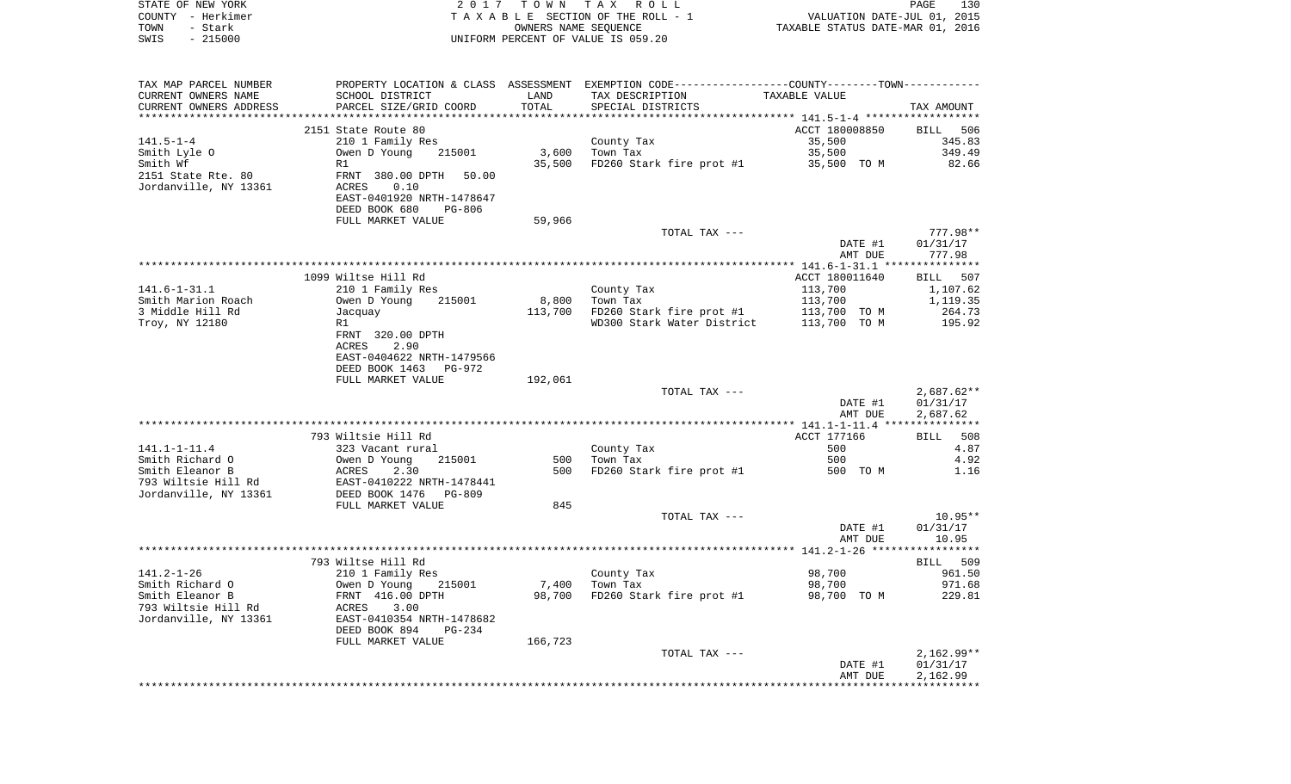| COUNTY - Herkimer<br>TOWN<br>- Stark |                                            | OWNERS NAME SEOUENCE | TAXABLE SECTION OF THE ROLL - 1                                                               | VALUATION DATE-JUL 01, 2015<br>TAXABLE STATUS DATE-MAR 01, 2016 |                          |
|--------------------------------------|--------------------------------------------|----------------------|-----------------------------------------------------------------------------------------------|-----------------------------------------------------------------|--------------------------|
| $-215000$<br>SWIS                    |                                            |                      | UNIFORM PERCENT OF VALUE IS 059.20                                                            |                                                                 |                          |
|                                      |                                            |                      |                                                                                               |                                                                 |                          |
| TAX MAP PARCEL NUMBER                |                                            |                      | PROPERTY LOCATION & CLASS ASSESSMENT EXEMPTION CODE---------------COUNTY-------TOWN---------- |                                                                 |                          |
| CURRENT OWNERS NAME                  | SCHOOL DISTRICT                            | LAND                 | TAX DESCRIPTION                                                                               | TAXABLE VALUE                                                   |                          |
| CURRENT OWNERS ADDRESS               | PARCEL SIZE/GRID COORD                     | TOTAL                | SPECIAL DISTRICTS                                                                             |                                                                 | TAX AMOUNT               |
|                                      | 2151 State Route 80                        |                      |                                                                                               | ACCT 180008850                                                  | 506<br>BILL              |
| $141.5 - 1 - 4$                      | 210 1 Family Res                           |                      | County Tax                                                                                    | 35,500                                                          | 345.83                   |
| Smith Lyle O                         | Owen D Young<br>215001                     |                      | $3,600$ Town Tax                                                                              | 35,500                                                          | 349.49                   |
| Smith Wf                             | R1                                         | 35,500               | FD260 Stark fire prot #1                                                                      | 35,500 TO M                                                     | 82.66                    |
| 2151 State Rte. 80                   | FRNT 380.00 DPTH<br>50.00                  |                      |                                                                                               |                                                                 |                          |
| Jordanville, NY 13361                | ACRES<br>0.10                              |                      |                                                                                               |                                                                 |                          |
|                                      | EAST-0401920 NRTH-1478647                  |                      |                                                                                               |                                                                 |                          |
|                                      | DEED BOOK 680<br><b>PG-806</b>             |                      |                                                                                               |                                                                 |                          |
|                                      | FULL MARKET VALUE                          | 59,966               |                                                                                               |                                                                 |                          |
|                                      |                                            |                      | TOTAL TAX ---                                                                                 |                                                                 | 777.98**                 |
|                                      |                                            |                      |                                                                                               | DATE #1<br>AMT DUE                                              | 01/31/17<br>777.98       |
|                                      |                                            |                      |                                                                                               |                                                                 |                          |
|                                      | 1099 Wiltse Hill Rd                        |                      |                                                                                               | ACCT 180011640                                                  | BILL 507                 |
| $141.6 - 1 - 31.1$                   | 210 1 Family Res                           |                      | County Tax                                                                                    | 113,700                                                         | 1,107.62                 |
| Smith Marion Roach                   | Owen D Young<br>215001                     |                      | 8,800 Town Tax                                                                                | 113,700                                                         | 1,119.35                 |
| 3 Middle Hill Rd                     | Jacquay                                    |                      | 113,700 FD260 Stark fire prot #1                                                              | 113,700 TO M                                                    | 264.73                   |
| Troy, NY 12180                       | R1                                         |                      | WD300 Stark Water District                                                                    | 113,700 TO M                                                    | 195.92                   |
|                                      | FRNT 320.00 DPTH                           |                      |                                                                                               |                                                                 |                          |
|                                      | 2.90<br>ACRES                              |                      |                                                                                               |                                                                 |                          |
|                                      | EAST-0404622 NRTH-1479566                  |                      |                                                                                               |                                                                 |                          |
|                                      | DEED BOOK 1463 PG-972                      |                      |                                                                                               |                                                                 |                          |
|                                      | FULL MARKET VALUE                          | 192,061              |                                                                                               |                                                                 |                          |
|                                      |                                            |                      | TOTAL TAX ---                                                                                 | DATE #1                                                         | $2,687.62**$<br>01/31/17 |
|                                      |                                            |                      |                                                                                               | AMT DUE                                                         | 2,687.62                 |
|                                      |                                            |                      |                                                                                               |                                                                 |                          |
|                                      | 793 Wiltsie Hill Rd                        |                      |                                                                                               | ACCT 177166                                                     | BILL<br>508              |
| $141.1 - 1 - 11.4$                   | 323 Vacant rural                           |                      | County Tax                                                                                    | 500                                                             | 4.87                     |
| Smith Richard O                      | Owen D Young<br>215001                     | 500                  | Town Tax                                                                                      | 500                                                             | 4.92                     |
| Smith Eleanor B                      | ACRES<br>2.30                              | 500                  | FD260 Stark fire prot #1                                                                      | 500 TO M                                                        | 1.16                     |
| 793 Wiltsie Hill Rd                  | EAST-0410222 NRTH-1478441                  |                      |                                                                                               |                                                                 |                          |
| Jordanville, NY 13361                | DEED BOOK 1476 PG-809                      |                      |                                                                                               |                                                                 |                          |
|                                      | FULL MARKET VALUE                          | 845                  |                                                                                               |                                                                 |                          |
|                                      |                                            |                      | TOTAL TAX ---                                                                                 |                                                                 | $10.95**$                |
|                                      |                                            |                      |                                                                                               | DATE #1                                                         | 01/31/17                 |
|                                      |                                            |                      |                                                                                               | AMT DUE                                                         | 10.95                    |
|                                      |                                            |                      |                                                                                               |                                                                 |                          |
| $141.2 - 1 - 26$                     | 793 Wiltse Hill Rd                         |                      |                                                                                               |                                                                 | 509<br>BILL<br>961.50    |
| Smith Richard O                      | 210 1 Family Res<br>Owen D Young<br>215001 | 7,400                | County Tax<br>Town Tax                                                                        | 98,700<br>98,700                                                | 971.68                   |
| Smith Eleanor B                      | FRNT 416.00 DPTH                           | 98,700               | FD260 Stark fire prot #1                                                                      | 98,700 TO M                                                     | 229.81                   |
| 793 Wiltsie Hill Rd                  | ACRES<br>3.00                              |                      |                                                                                               |                                                                 |                          |
| Jordanville, NY 13361                | EAST-0410354 NRTH-1478682                  |                      |                                                                                               |                                                                 |                          |
|                                      | DEED BOOK 894<br><b>PG-234</b>             |                      |                                                                                               |                                                                 |                          |
|                                      | FULL MARKET VALUE                          | 166,723              |                                                                                               |                                                                 |                          |
|                                      |                                            |                      | TOTAL TAX ---                                                                                 |                                                                 | 2,162.99**               |
|                                      |                                            |                      |                                                                                               | DATE #1                                                         | 01/31/17                 |
|                                      |                                            |                      |                                                                                               | AMT DUE                                                         | 2,162.99                 |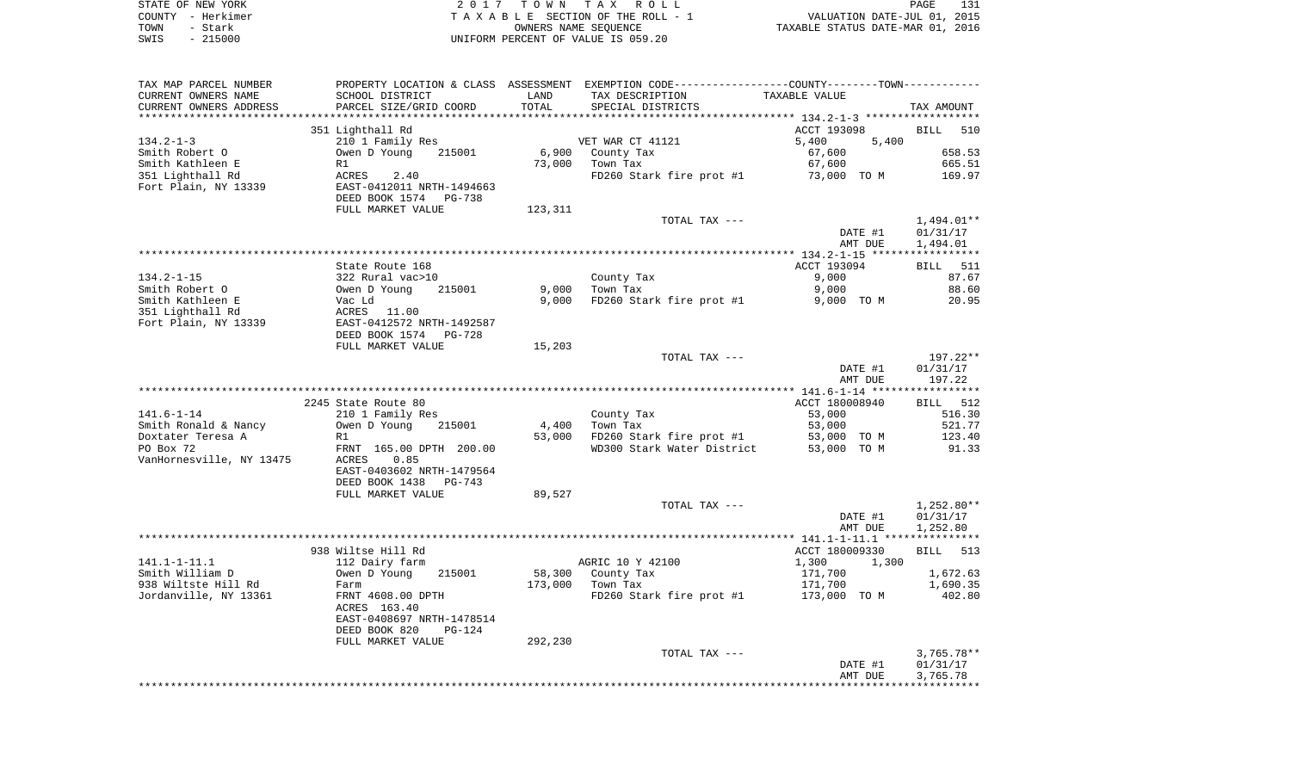| STATE OF NEW YORK | 2017 TOWN TAX ROLL                 | 131<br>PAGE                      |
|-------------------|------------------------------------|----------------------------------|
| COUNTY - Herkimer | TAXABLE SECTION OF THE ROLL - 1    | VALUATION DATE-JUL 01, 2015      |
| TOWN<br>- Stark   | OWNERS NAME SEOUENCE               | TAXABLE STATUS DATE-MAR 01, 2016 |
| SWIS - 215000     | UNIFORM PERCENT OF VALUE IS 059.20 |                                  |

| TAX MAP PARCEL NUMBER    |                                                       |         | PROPERTY LOCATION & CLASS ASSESSMENT EXEMPTION CODE---------------COUNTY--------TOWN---------- |                |              |
|--------------------------|-------------------------------------------------------|---------|------------------------------------------------------------------------------------------------|----------------|--------------|
| CURRENT OWNERS NAME      | SCHOOL DISTRICT                                       | LAND    | TAX DESCRIPTION                                                                                | TAXABLE VALUE  |              |
| CURRENT OWNERS ADDRESS   | PARCEL SIZE/GRID COORD                                | TOTAL   | SPECIAL DISTRICTS                                                                              |                | TAX AMOUNT   |
| ***********************  |                                                       |         |                                                                                                |                |              |
|                          | 351 Lighthall Rd                                      |         |                                                                                                | ACCT 193098    | BILL 510     |
| 134.2-1-3                | 210 1 Family Res                                      |         | VET WAR CT 41121                                                                               | 5,400<br>5,400 |              |
| Smith Robert O           | Owen D Young 215001                                   |         | 6,900 County Tax                                                                               | 67,600         | 658.53       |
| Smith Kathleen E         | R1                                                    |         | 73,000 Town Tax                                                                                | 67,600         | 665.51       |
| 351 Lighthall Rd         | <b>ACRES</b><br>2.40                                  |         | FD260 Stark fire prot #1                                                                       | 73,000 TO M    | 169.97       |
| Fort Plain, NY 13339     |                                                       |         |                                                                                                |                |              |
|                          | EAST-0412011 NRTH-1494663<br>DEED BOOK 1574    PG-738 |         |                                                                                                |                |              |
|                          |                                                       |         |                                                                                                |                |              |
|                          | FULL MARKET VALUE                                     | 123,311 |                                                                                                |                |              |
|                          |                                                       |         | TOTAL TAX ---                                                                                  |                | $1,494.01**$ |
|                          |                                                       |         |                                                                                                | DATE #1        | 01/31/17     |
|                          |                                                       |         |                                                                                                | AMT DUE        | 1,494.01     |
|                          |                                                       |         |                                                                                                |                |              |
|                          | State Route 168                                       |         |                                                                                                | ACCT 193094    | BILL 511     |
| 134.2-1-15               | 322 Rural vac>10<br>Owen D Young 2<br>Vac Ld          |         | County Tax                                                                                     | 9,000          | 87.67        |
| Smith Robert O           | 215001                                                | 9,000   | Town Tax                                                                                       | 9,000          | 88.60        |
| Smith Kathleen E         |                                                       | 9,000   | FD260 Stark fire prot #1                                                                       | 9,000 TO M     | 20.95        |
| 351 Lighthall Rd         | ACRES 11.00<br>EAST-0412572 NRTH-1492587              |         |                                                                                                |                |              |
| Fort Plain, NY 13339     |                                                       |         |                                                                                                |                |              |
|                          | DEED BOOK 1574 PG-728                                 |         |                                                                                                |                |              |
|                          | FULL MARKET VALUE                                     | 15,203  |                                                                                                |                |              |
|                          |                                                       |         | TOTAL TAX ---                                                                                  |                | 197.22**     |
|                          |                                                       |         |                                                                                                | DATE #1        | 01/31/17     |
|                          |                                                       |         |                                                                                                | AMT DUE        | 197.22       |
|                          |                                                       |         |                                                                                                |                |              |
|                          | 2245 State Route 80                                   |         |                                                                                                | ACCT 180008940 | BILL 512     |
| 141.6-1-14               | 210 1 Family Res                                      |         | County Tax                                                                                     | 53,000         | 516.30       |
|                          |                                                       |         |                                                                                                | 53,000         | 521.77       |
| Smith Ronald & Nancy     | Owen D Young<br>215001                                | 4,400   | Town Tax                                                                                       |                |              |
| Doxtater Teresa A        | R1                                                    |         | 53,000 FD260 Stark fire prot #1 53,000 TO M<br>WD300 Stark Water District 53,000 TO M          |                | 123.40       |
| PO Box 72                | FRNT 165.00 DPTH 200.00                               |         |                                                                                                |                | 91.33        |
| VanHornesville, NY 13475 | ACRES 0.85                                            |         |                                                                                                |                |              |
|                          | EAST-0403602 NRTH-1479564                             |         |                                                                                                |                |              |
|                          | DEED BOOK 1438 PG-743                                 |         |                                                                                                |                |              |
|                          | FULL MARKET VALUE                                     | 89,527  |                                                                                                |                |              |
|                          |                                                       |         | TOTAL TAX ---                                                                                  |                | 1,252.80**   |
|                          |                                                       |         |                                                                                                | DATE #1        | 01/31/17     |
|                          |                                                       |         |                                                                                                | AMT DUE        | 1,252.80     |
|                          |                                                       |         |                                                                                                |                |              |
|                          | 938 Wiltse Hill Rd                                    |         |                                                                                                | ACCT 180009330 | BILL 513     |
| 141.1-1-11.1             | 112 Dairy farm                                        |         | AGRIC 10 Y 42100                                                                               | 1,300<br>1,300 |              |
| Smith William D          | Owen D Young<br>215001                                |         | 58,300 County Tax                                                                              | 171,700        | 1,672.63     |
| 938 Wiltste Hill Rd      | Farm                                                  |         | 173,000 Town Tax                                                                               | 171,700        | 1,690.35     |
| Jordanville, NY 13361    | FRNT 4608.00 DPTH                                     |         | FD260 Stark fire prot #1 $173,000$ TO M                                                        |                | 402.80       |
|                          | ACRES 163.40                                          |         |                                                                                                |                |              |
|                          | EAST-0408697 NRTH-1478514                             |         |                                                                                                |                |              |
|                          | DEED BOOK 820<br>$PG-124$                             |         |                                                                                                |                |              |
|                          |                                                       |         |                                                                                                |                |              |
|                          | FULL MARKET VALUE                                     | 292,230 |                                                                                                |                |              |
|                          |                                                       |         | TOTAL TAX ---                                                                                  |                | $3,765.78**$ |
|                          |                                                       |         |                                                                                                | DATE #1        | 01/31/17     |
|                          |                                                       |         |                                                                                                | AMT DUE        | 3,765.78     |
|                          |                                                       |         |                                                                                                |                |              |
|                          |                                                       |         |                                                                                                |                |              |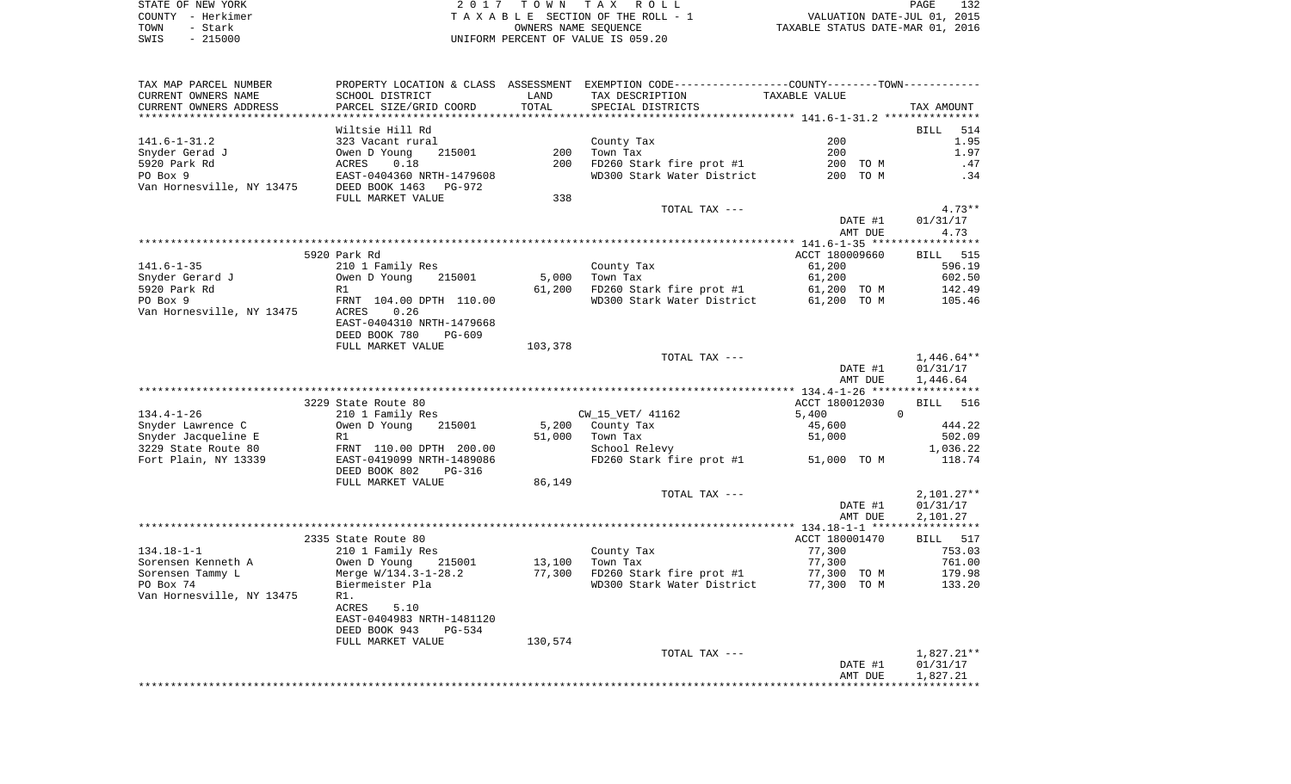| STATE OF NEW YORK | 2017 TOWN TAX ROLL                 | PAGE                             |
|-------------------|------------------------------------|----------------------------------|
| COUNTY - Herkimer | TAXABLE SECTION OF THE ROLL - 1    | VALUATION DATE-JUL 01, 2015      |
| TOWN<br>- Stark   | OWNERS NAME SEOUENCE               | TAXABLE STATUS DATE-MAR 01, 2016 |
| - 215000<br>SWIS  | UNIFORM PERCENT OF VALUE IS 059.20 |                                  |

132<br>2015<br>2016

| TAX MAP PARCEL NUMBER     |                                         |         | PROPERTY LOCATION & CLASS ASSESSMENT EXEMPTION CODE---------------COUNTY-------TOWN---------- |                |                    |
|---------------------------|-----------------------------------------|---------|-----------------------------------------------------------------------------------------------|----------------|--------------------|
| CURRENT OWNERS NAME       | SCHOOL DISTRICT                         | LAND    | TAX DESCRIPTION                                                                               | TAXABLE VALUE  |                    |
| CURRENT OWNERS ADDRESS    | PARCEL SIZE/GRID COORD                  | TOTAL   | SPECIAL DISTRICTS                                                                             |                | TAX AMOUNT         |
|                           |                                         |         |                                                                                               |                |                    |
|                           | Wiltsie Hill Rd                         |         |                                                                                               |                | BILL<br>514        |
| 141.6-1-31.2              | 323 Vacant rural                        |         | County Tax                                                                                    | 200            | 1.95               |
| Snyder Gerad J            | Owen D Young<br>215001                  | 200     | Town Tax                                                                                      | 200            | 1.97               |
| 5920 Park Rd              | 0.18<br>ACRES                           | 200     | FD260 Stark fire prot #1                                                                      | 200 TO M       | .47                |
| PO Box 9                  | EAST-0404360 NRTH-1479608               |         | WD300 Stark Water District                                                                    | 200 TO M       | .34                |
| Van Hornesville, NY 13475 | DEED BOOK 1463<br>PG-972                |         |                                                                                               |                |                    |
|                           | FULL MARKET VALUE                       | 338     |                                                                                               |                |                    |
|                           |                                         |         | TOTAL TAX ---                                                                                 |                | $4.73**$           |
|                           |                                         |         |                                                                                               | DATE #1        | 01/31/17           |
|                           |                                         |         |                                                                                               | AMT DUE        | 4.73               |
|                           | 5920 Park Rd                            |         |                                                                                               | ACCT 180009660 | <b>BILL</b> 515    |
| 141.6-1-35                | 210 1 Family Res                        |         | County Tax                                                                                    | 61,200         | 596.19             |
| Snyder Gerard J           | 215001<br>Owen D Young                  | 5,000   | Town Tax                                                                                      | 61,200         | 602.50             |
| 5920 Park Rd              | R1                                      | 61,200  | FD260 Stark fire prot #1                                                                      | 61,200 TO M    | 142.49             |
| PO Box 9                  | FRNT 104.00 DPTH 110.00                 |         | WD300 Stark Water District                                                                    | 61,200 TO M    | 105.46             |
| Van Hornesville, NY 13475 | ACRES<br>0.26                           |         |                                                                                               |                |                    |
|                           | EAST-0404310 NRTH-1479668               |         |                                                                                               |                |                    |
|                           | DEED BOOK 780<br>PG-609                 |         |                                                                                               |                |                    |
|                           | FULL MARKET VALUE                       | 103,378 |                                                                                               |                |                    |
|                           |                                         |         | TOTAL TAX ---                                                                                 |                | $1,446.64**$       |
|                           |                                         |         |                                                                                               | DATE #1        | 01/31/17           |
|                           |                                         |         |                                                                                               | AMT DUE        | 1,446.64           |
|                           |                                         |         |                                                                                               |                |                    |
|                           | 3229 State Route 80                     |         |                                                                                               | ACCT 180012030 | <b>BILL</b><br>516 |
| 134.4-1-26                | 210 1 Family Res                        |         | CW_15_VET/ 41162                                                                              | 5,400          | $\mathbf{0}$       |
| Snyder Lawrence C         | Owen D Young<br>215001                  | 5,200   | County Tax                                                                                    | 45,600         | 444.22             |
| Snyder Jacqueline E       | R1                                      | 51,000  | Town Tax                                                                                      | 51,000         | 502.09             |
| 3229 State Route 80       | FRNT 110.00 DPTH 200.00                 |         | School Relevy                                                                                 |                | 1,036.22           |
| Fort Plain, NY 13339      | EAST-0419099 NRTH-1489086               |         | FD260 Stark fire prot #1                                                                      | 51,000 TO M    | 118.74             |
|                           | DEED BOOK 802<br>PG-316                 |         |                                                                                               |                |                    |
|                           | FULL MARKET VALUE                       | 86,149  |                                                                                               |                |                    |
|                           |                                         |         | TOTAL TAX ---                                                                                 |                | $2,101.27**$       |
|                           |                                         |         |                                                                                               | DATE #1        | 01/31/17           |
|                           |                                         |         |                                                                                               | AMT DUE        | 2,101.27           |
|                           |                                         |         |                                                                                               | ACCT 180001470 | BILL 517           |
| $134.18 - 1 - 1$          | 2335 State Route 80<br>210 1 Family Res |         | County Tax                                                                                    | 77,300         | 753.03             |
| Sorensen Kenneth A        | Owen D Young<br>215001                  | 13,100  | Town Tax                                                                                      | 77,300         | 761.00             |
| Sorensen Tammy L          | Merge W/134.3-1-28.2                    | 77,300  | FD260 Stark fire prot #1                                                                      | 77,300 TO M    | 179.98             |
| PO Box 74                 | Biermeister Pla                         |         | WD300 Stark Water District                                                                    | 77,300 TO M    | 133.20             |
| Van Hornesville, NY 13475 | R1.                                     |         |                                                                                               |                |                    |
|                           | ACRES<br>5.10                           |         |                                                                                               |                |                    |
|                           | EAST-0404983 NRTH-1481120               |         |                                                                                               |                |                    |
|                           | DEED BOOK 943<br>$PG-534$               |         |                                                                                               |                |                    |
|                           | FULL MARKET VALUE                       | 130,574 |                                                                                               |                |                    |
|                           |                                         |         | TOTAL TAX ---                                                                                 |                | 1,827.21**         |
|                           |                                         |         |                                                                                               | DATE #1        | 01/31/17           |
|                           |                                         |         |                                                                                               | AMT DUE        | 1,827.21           |
|                           |                                         |         |                                                                                               |                |                    |
|                           |                                         |         |                                                                                               |                |                    |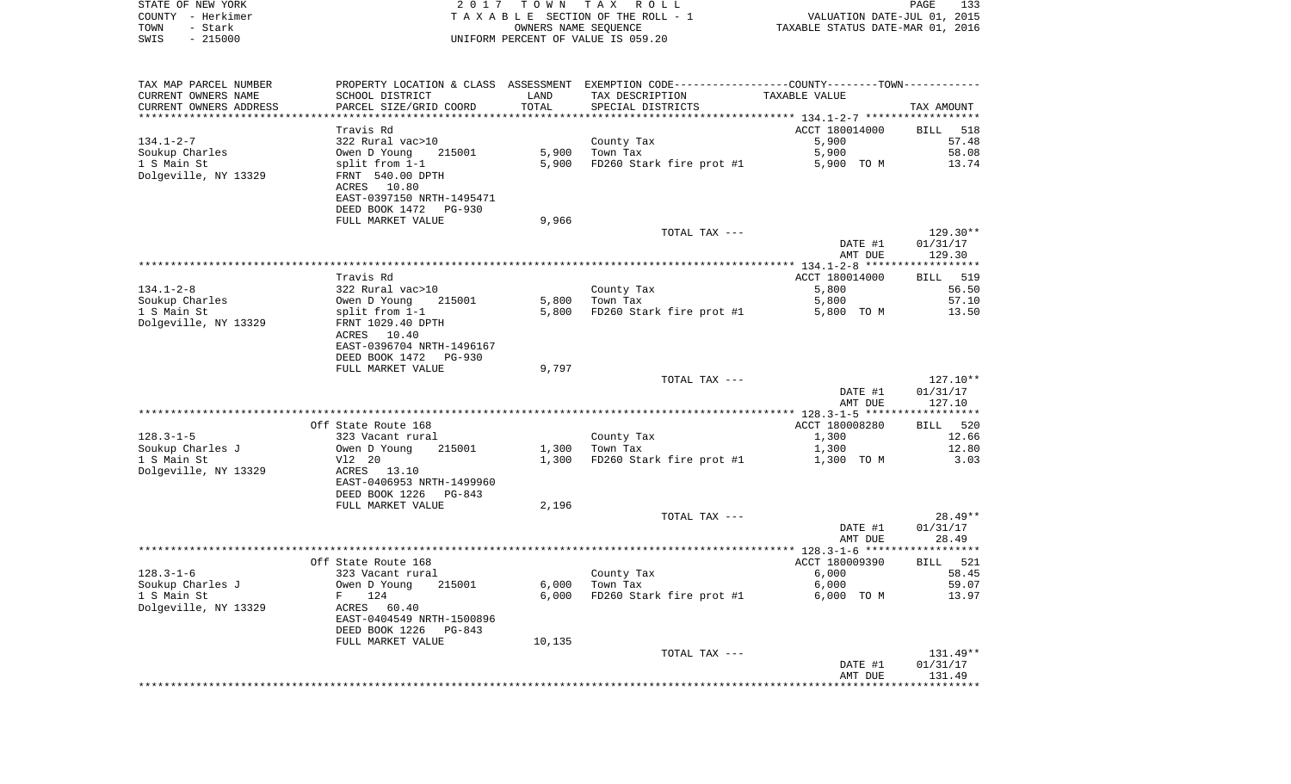| STATE OF NEW YORK                    | 2017                      |                      | TOWN TAX ROLL                                                                                 |                                                                 | PAGE<br>133 |
|--------------------------------------|---------------------------|----------------------|-----------------------------------------------------------------------------------------------|-----------------------------------------------------------------|-------------|
| COUNTY - Herkimer                    |                           |                      | TAXABLE SECTION OF THE ROLL - 1                                                               | VALUATION DATE-JUL 01, 2015<br>TAXABLE STATUS DATE-MAR 01, 2016 |             |
| TOWN<br>- Stark<br>SWIS<br>$-215000$ |                           | OWNERS NAME SEQUENCE | UNIFORM PERCENT OF VALUE IS 059.20                                                            |                                                                 |             |
|                                      |                           |                      |                                                                                               |                                                                 |             |
|                                      |                           |                      |                                                                                               |                                                                 |             |
| TAX MAP PARCEL NUMBER                |                           |                      | PROPERTY LOCATION & CLASS ASSESSMENT EXEMPTION CODE---------------COUNTY-------TOWN---------- |                                                                 |             |
| CURRENT OWNERS NAME                  | SCHOOL DISTRICT           | LAND                 | TAX DESCRIPTION                                                                               | TAXABLE VALUE                                                   |             |
| CURRENT OWNERS ADDRESS               | PARCEL SIZE/GRID COORD    | TOTAL                | SPECIAL DISTRICTS                                                                             |                                                                 | TAX AMOUNT  |
|                                      |                           |                      |                                                                                               |                                                                 |             |
|                                      | Travis Rd                 |                      |                                                                                               | ACCT 180014000                                                  | BILL<br>518 |
| $134.1 - 2 - 7$                      | 322 Rural vac>10          |                      | County Tax                                                                                    | 5,900                                                           | 57.48       |
| Soukup Charles                       | Owen D Young<br>215001    | 5,900                | Town Tax                                                                                      | 5,900                                                           | 58.08       |
| 1 S Main St                          | split from 1-1            | 5,900                | FD260 Stark fire prot #1                                                                      | 5,900 TO M                                                      | 13.74       |
| Dolgeville, NY 13329                 | FRNT 540.00 DPTH          |                      |                                                                                               |                                                                 |             |
|                                      | ACRES 10.80               |                      |                                                                                               |                                                                 |             |
|                                      | EAST-0397150 NRTH-1495471 |                      |                                                                                               |                                                                 |             |
|                                      | DEED BOOK 1472 PG-930     |                      |                                                                                               |                                                                 |             |
|                                      | FULL MARKET VALUE         | 9,966                |                                                                                               |                                                                 |             |
|                                      |                           |                      | TOTAL TAX ---                                                                                 |                                                                 | 129.30**    |
|                                      |                           |                      |                                                                                               | DATE #1                                                         | 01/31/17    |
|                                      |                           |                      |                                                                                               | AMT DUE                                                         | 129.30      |
|                                      | Travis Rd                 |                      |                                                                                               | ACCT 180014000                                                  | BILL 519    |
| $134.1 - 2 - 8$                      | 322 Rural vac>10          |                      | County Tax                                                                                    | 5,800                                                           | 56.50       |
| Soukup Charles                       | 215001<br>Owen D Young    | 5,800                | Town Tax                                                                                      | 5,800                                                           | 57.10       |
| 1 S Main St                          | split from 1-1            | 5,800                | FD260 Stark fire prot #1                                                                      | 5,800 TO M                                                      | 13.50       |
| Dolgeville, NY 13329                 | FRNT 1029.40 DPTH         |                      |                                                                                               |                                                                 |             |
|                                      | ACRES 10.40               |                      |                                                                                               |                                                                 |             |
|                                      | EAST-0396704 NRTH-1496167 |                      |                                                                                               |                                                                 |             |
|                                      | DEED BOOK 1472<br>PG-930  |                      |                                                                                               |                                                                 |             |
|                                      | FULL MARKET VALUE         | 9,797                |                                                                                               |                                                                 |             |
|                                      |                           |                      | TOTAL TAX ---                                                                                 |                                                                 | 127.10**    |
|                                      |                           |                      |                                                                                               | DATE #1                                                         | 01/31/17    |
|                                      |                           |                      |                                                                                               | AMT DUE                                                         | 127.10      |
|                                      |                           |                      |                                                                                               |                                                                 |             |
|                                      | Off State Route 168       |                      |                                                                                               | ACCT 180008280                                                  | BILL 520    |
| 128.3-1-5                            | 323 Vacant rural          |                      | County Tax                                                                                    | 1,300                                                           | 12.66       |
| Soukup Charles J                     | 215001<br>Owen D Young    | 1,300                | Town Tax                                                                                      | 1,300                                                           | 12.80       |
| 1 S Main St                          | V12 20                    | 1,300                | FD260 Stark fire prot #1                                                                      | 1,300 TO M                                                      | 3.03        |
| Dolgeville, NY 13329                 | ACRES 13.10               |                      |                                                                                               |                                                                 |             |
|                                      | EAST-0406953 NRTH-1499960 |                      |                                                                                               |                                                                 |             |
|                                      | DEED BOOK 1226<br>PG-843  |                      |                                                                                               |                                                                 |             |
|                                      | FULL MARKET VALUE         | 2,196                | TOTAL TAX ---                                                                                 |                                                                 | $28.49**$   |
|                                      |                           |                      |                                                                                               | DATE #1                                                         | 01/31/17    |
|                                      |                           |                      |                                                                                               | AMT DUE                                                         | 28.49       |
|                                      |                           |                      |                                                                                               |                                                                 |             |
|                                      | Off State Route 168       |                      |                                                                                               | ACCT 180009390                                                  | 521<br>BILL |
| $128.3 - 1 - 6$                      | 323 Vacant rural          |                      | County Tax                                                                                    | 6,000                                                           | 58.45       |
| Soukup Charles J                     | Owen D Young<br>215001    | 6,000                | Town Tax                                                                                      | 6,000                                                           | 59.07       |
| 1 S Main St                          | 124<br>F                  | 6,000                | FD260 Stark fire prot #1                                                                      | 6,000 TO M                                                      | 13.97       |
| Dolgeville, NY 13329                 | ACRES<br>60.40            |                      |                                                                                               |                                                                 |             |
|                                      | EAST-0404549 NRTH-1500896 |                      |                                                                                               |                                                                 |             |
|                                      | DEED BOOK 1226<br>PG-843  |                      |                                                                                               |                                                                 |             |
|                                      | FULL MARKET VALUE         | 10,135               |                                                                                               |                                                                 |             |
|                                      |                           |                      | TOTAL TAX ---                                                                                 |                                                                 | 131.49**    |
|                                      |                           |                      |                                                                                               | DATE #1                                                         | 01/31/17    |
|                                      |                           |                      |                                                                                               | AMT DUE                                                         | 131.49      |
|                                      |                           |                      |                                                                                               |                                                                 |             |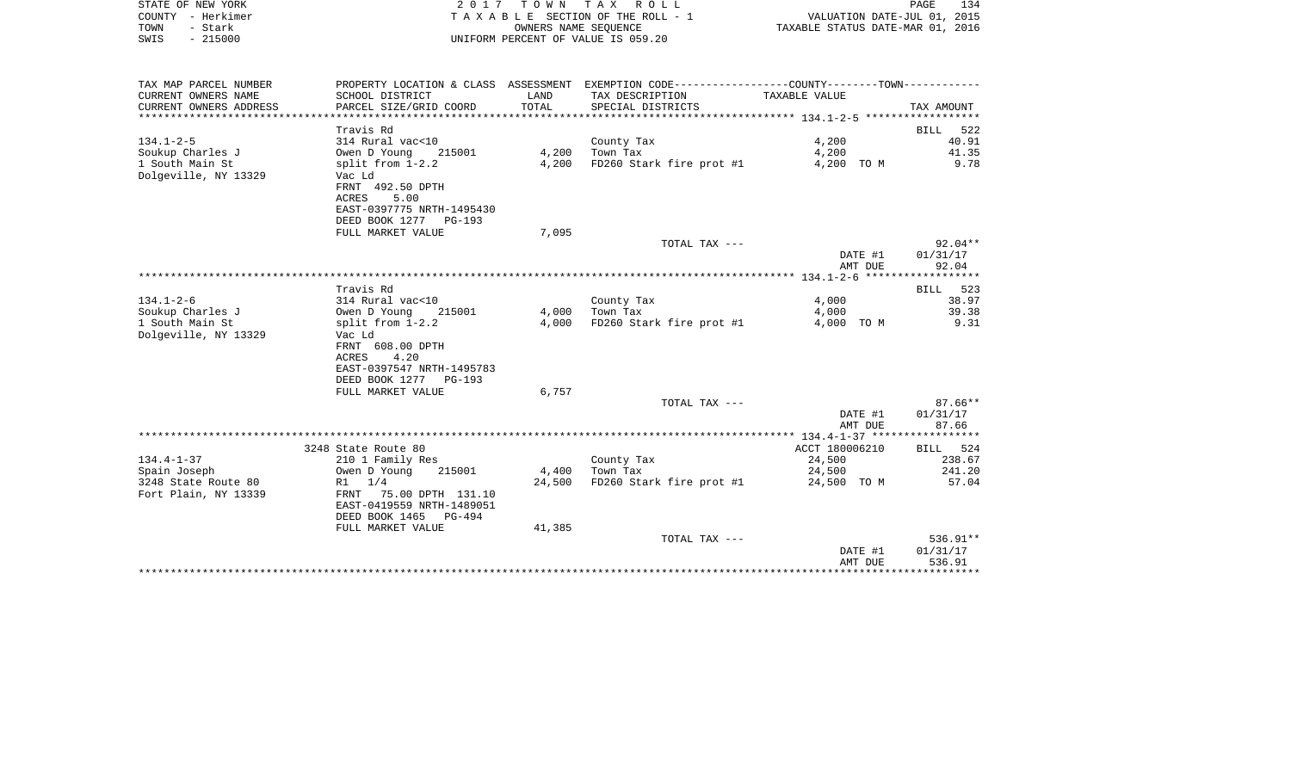|      | STATE OF NEW YORK | 2017 TOWN TAX ROLL                 | PAGE                             | 134 |
|------|-------------------|------------------------------------|----------------------------------|-----|
|      | COUNTY - Herkimer | TAXABLE SECTION OF THE ROLL - 1    | VALUATION DATE-JUL 01, 2015      |     |
| TOWN | - Stark           | OWNERS NAME SEOUENCE               | TAXABLE STATUS DATE-MAR 01, 2016 |     |
| SWIS | $-215000$         | UNIFORM PERCENT OF VALUE IS 059.20 |                                  |     |
|      |                   |                                    |                                  |     |
|      |                   |                                    |                                  |     |

| TAX MAP PARCEL NUMBER  |                                       |                | PROPERTY LOCATION & CLASS ASSESSMENT EXEMPTION CODE----------------COUNTY--------TOWN---------- |                |            |
|------------------------|---------------------------------------|----------------|-------------------------------------------------------------------------------------------------|----------------|------------|
| CURRENT OWNERS NAME    | SCHOOL DISTRICT                       | LAND           | TAX DESCRIPTION                                                                                 | TAXABLE VALUE  |            |
| CURRENT OWNERS ADDRESS | PARCEL SIZE/GRID COORD                | TOTAL          | SPECIAL DISTRICTS                                                                               |                | TAX AMOUNT |
|                        |                                       |                |                                                                                                 |                |            |
|                        | Travis Rd                             |                |                                                                                                 |                | BILL 522   |
| $134.1 - 2 - 5$        | 314 Rural vac<10                      |                | County Tax                                                                                      | 4,200          | 40.91      |
| Soukup Charles J       | 215001 4,200 Town Tax<br>Owen D Young |                |                                                                                                 | 4,200          | 41.35      |
| 1 South Main St        | split from 1-2.2                      | 4,200          | FD260 Stark fire prot #1                                                                        | 4,200 TO M     | 9.78       |
| Dolgeville, NY 13329   | Vac Ld                                |                |                                                                                                 |                |            |
|                        | FRNT 492.50 DPTH                      |                |                                                                                                 |                |            |
|                        | ACRES<br>5.00                         |                |                                                                                                 |                |            |
|                        | EAST-0397775 NRTH-1495430             |                |                                                                                                 |                |            |
|                        | DEED BOOK 1277 PG-193                 |                |                                                                                                 |                |            |
|                        | FULL MARKET VALUE                     | 7,095          |                                                                                                 |                |            |
|                        |                                       |                | TOTAL TAX ---                                                                                   |                | $92.04**$  |
|                        |                                       |                |                                                                                                 | DATE #1        | 01/31/17   |
|                        |                                       |                |                                                                                                 | AMT DUE        | 92.04      |
|                        |                                       |                |                                                                                                 |                |            |
|                        | Travis Rd                             |                |                                                                                                 |                | BILL 523   |
| $134.1 - 2 - 6$        | 314 Rural vac<10                      |                | County Tax                                                                                      | 4,000          | 38.97      |
| Soukup Charles J       | 215001 4,000 Town Tax<br>Owen D Young |                |                                                                                                 | 4,000          | 39.38      |
| 1 South Main St        | split from 1-2.2                      | 4,000          | FD260 Stark fire prot #1                                                                        | 4,000 TO M     | 9.31       |
| Dolgeville, NY 13329   | Vac Ld                                |                |                                                                                                 |                |            |
|                        | FRNT 608.00 DPTH                      |                |                                                                                                 |                |            |
|                        | 4.20<br>ACRES                         |                |                                                                                                 |                |            |
|                        | EAST-0397547 NRTH-1495783             |                |                                                                                                 |                |            |
|                        | DEED BOOK 1277 PG-193                 |                |                                                                                                 |                |            |
|                        | FULL MARKET VALUE                     | 6,757          |                                                                                                 |                |            |
|                        |                                       |                | TOTAL TAX ---                                                                                   |                | $87.66**$  |
|                        |                                       |                |                                                                                                 | DATE #1        | 01/31/17   |
|                        |                                       |                |                                                                                                 | AMT DUE        | 87.66      |
|                        |                                       |                |                                                                                                 |                |            |
|                        | 3248 State Route 80                   |                |                                                                                                 | ACCT 180006210 | BILL 524   |
| $134.4 - 1 - 37$       | 210 1 Family Res                      |                | County Tax                                                                                      | 24,500         | 238.67     |
| Spain Joseph           | 215001<br>Owen D Young                | 4,400 Town Tax |                                                                                                 | 24,500         | 241.20     |
| 3248 State Route 80    | $R1 \t1/4$                            | 24,500         | FD260 Stark fire prot #1                                                                        | 24,500 TO M    | 57.04      |
| Fort Plain, NY 13339   | FRNT 75.00 DPTH 131.10                |                |                                                                                                 |                |            |
|                        | EAST-0419559 NRTH-1489051             |                |                                                                                                 |                |            |
|                        | DEED BOOK 1465 PG-494                 |                |                                                                                                 |                |            |
|                        | FULL MARKET VALUE                     | 41,385         |                                                                                                 |                |            |
|                        |                                       |                | TOTAL TAX ---                                                                                   |                | 536.91**   |
|                        |                                       |                |                                                                                                 | DATE #1        | 01/31/17   |
|                        |                                       |                |                                                                                                 | AMT DUE        | 536.91     |
|                        |                                       |                |                                                                                                 |                |            |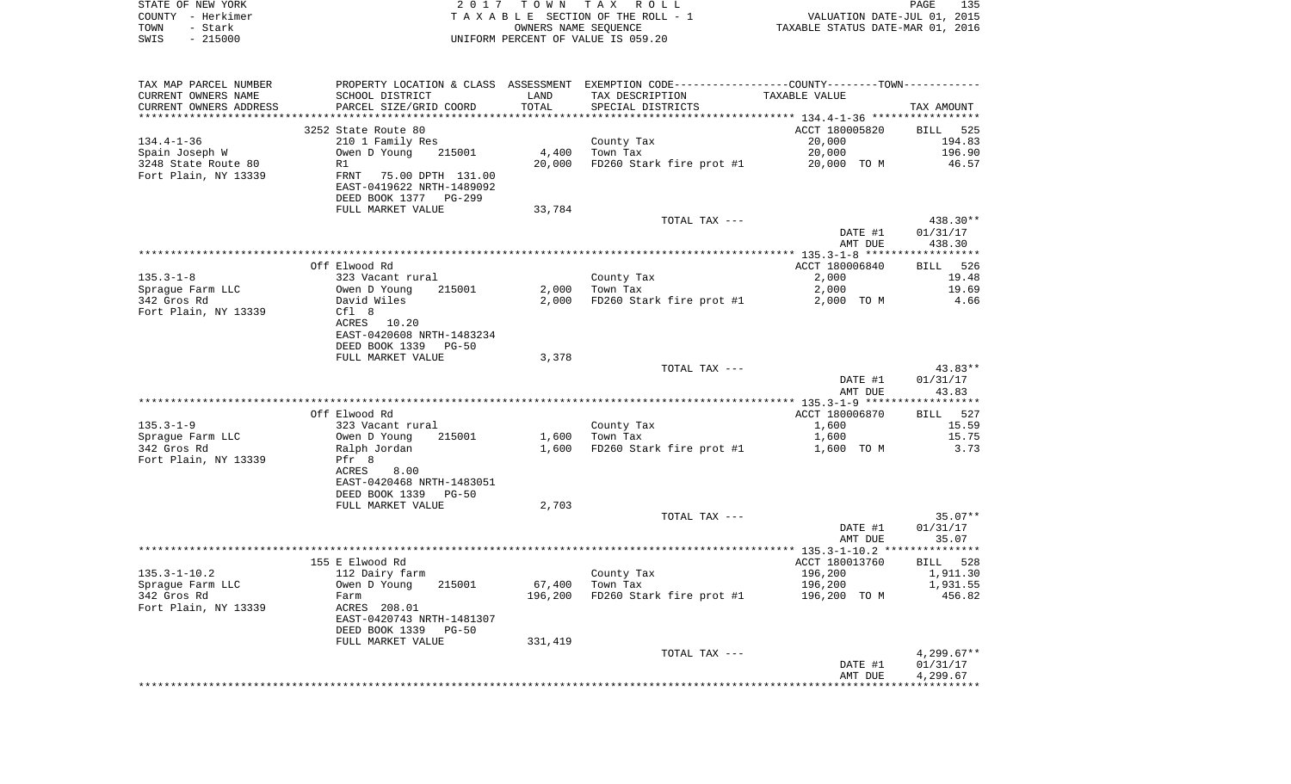|      | STATE OF NEW YORK | 2017 TOWN TAX ROLL                 | 135<br>PAGE                      |
|------|-------------------|------------------------------------|----------------------------------|
|      | COUNTY – Herkimer | TAXABLE SECTION OF THE ROLL - 1    | VALUATION DATE-JUL 01, 2015      |
| TOWN | – Stark           | OWNERS NAME SEOUENCE               | TAXABLE STATUS DATE-MAR 01, 2016 |
| SWIS | $-215000$         | UNIFORM PERCENT OF VALUE IS 059.20 |                                  |

| TAX MAP PARCEL NUMBER               |                                                                              |                   | PROPERTY LOCATION & CLASS ASSESSMENT EXEMPTION CODE----------------COUNTY--------TOWN---------- |                    |                       |
|-------------------------------------|------------------------------------------------------------------------------|-------------------|-------------------------------------------------------------------------------------------------|--------------------|-----------------------|
| CURRENT OWNERS NAME                 | SCHOOL DISTRICT                                                              | LAND              | TAX DESCRIPTION                                                                                 | TAXABLE VALUE      |                       |
| CURRENT OWNERS ADDRESS              | PARCEL SIZE/GRID COORD                                                       | TOTAL             | SPECIAL DISTRICTS                                                                               |                    | TAX AMOUNT            |
|                                     |                                                                              |                   |                                                                                                 |                    |                       |
|                                     | 3252 State Route 80                                                          |                   |                                                                                                 | ACCT 180005820     | BILL 525              |
| $134.4 - 1 - 36$                    | 210 1 Family Res                                                             |                   | County Tax                                                                                      | 20,000             | 194.83                |
| Spain Joseph W                      | Owen D Young<br>215001                                                       | 4,400             | Town Tax                                                                                        | 20,000             | 196.90                |
| 3248 State Route 80                 | R1                                                                           | 20,000            | FD260 Stark fire prot #1                                                                        | 20,000 TO M        | 46.57                 |
| Fort Plain, NY 13339                | FRNT 75.00 DPTH 131.00<br>EAST-0419622 NRTH-1489092<br>DEED BOOK 1377 PG-299 |                   |                                                                                                 |                    |                       |
|                                     | FULL MARKET VALUE                                                            | 33,784            |                                                                                                 |                    |                       |
|                                     |                                                                              |                   | TOTAL TAX ---                                                                                   |                    | 438.30**              |
|                                     |                                                                              |                   |                                                                                                 | DATE #1<br>AMT DUE | 01/31/17<br>438.30    |
|                                     |                                                                              |                   |                                                                                                 |                    |                       |
|                                     | Off Elwood Rd                                                                |                   |                                                                                                 | ACCT 180006840     | BILL 526              |
| $135.3 - 1 - 8$                     | 323 Vacant rural                                                             |                   | County Tax                                                                                      | 2,000              | 19.48                 |
| Spraque Farm LLC                    | Owen D Young<br>215001                                                       | 2,000             | Town Tax                                                                                        | 2,000              | 19.69                 |
| 342 Gros Rd<br>Fort Plain, NY 13339 | David Wiles<br>Cfl 8<br>ACRES<br>10.20                                       | 2,000             | FD260 Stark fire prot #1                                                                        | 2,000 TO M         | 4.66                  |
|                                     | EAST-0420608 NRTH-1483234                                                    |                   |                                                                                                 |                    |                       |
|                                     | DEED BOOK 1339<br>$PG-50$                                                    |                   |                                                                                                 |                    |                       |
|                                     | FULL MARKET VALUE                                                            | 3,378             |                                                                                                 |                    | 43.83**               |
|                                     |                                                                              |                   | TOTAL TAX ---                                                                                   | DATE #1            | 01/31/17              |
|                                     |                                                                              |                   |                                                                                                 | AMT DUE            | 43.83                 |
|                                     |                                                                              |                   |                                                                                                 |                    | * * * * * * * * * * * |
|                                     | Off Elwood Rd                                                                |                   |                                                                                                 | ACCT 180006870     | BILL 527              |
| $135.3 - 1 - 9$                     | 323 Vacant rural                                                             |                   | County Tax                                                                                      | 1,600              | 15.59                 |
| Sprague Farm LLC                    | 215001<br>Owen D Young                                                       |                   | $1,600$ Town Tax                                                                                | 1,600              | 15.75                 |
| 342 Gros Rd                         | Ralph Jordan                                                                 | 1,600             | FD260 Stark fire prot #1                                                                        | 1,600 TO M         | 3.73                  |
| Fort Plain, NY 13339                | Pfr 8                                                                        |                   |                                                                                                 |                    |                       |
|                                     | 8.00<br>ACRES<br>EAST-0420468 NRTH-1483051                                   |                   |                                                                                                 |                    |                       |
|                                     | DEED BOOK 1339<br>$PG-50$                                                    |                   |                                                                                                 |                    |                       |
|                                     | FULL MARKET VALUE                                                            | 2,703             |                                                                                                 |                    |                       |
|                                     |                                                                              |                   | TOTAL TAX ---                                                                                   |                    | $35.07**$             |
|                                     |                                                                              |                   |                                                                                                 | DATE #1            | 01/31/17              |
|                                     |                                                                              |                   |                                                                                                 | AMT DUE            | 35.07                 |
|                                     |                                                                              |                   |                                                                                                 |                    |                       |
|                                     | 155 E Elwood Rd                                                              |                   |                                                                                                 | ACCT 180013760     | BILL 528              |
| $135.3 - 1 - 10.2$                  | 112 Dairy farm<br>215001                                                     |                   | County Tax                                                                                      | 196,200            | 1,911.30              |
| Spraque Farm LLC<br>342 Gros Rd     | Owen D Young                                                                 | 67,400<br>196,200 | Town Tax<br>FD260 Stark fire prot #1                                                            | 196,200            | 1,931.55<br>456.82    |
| Fort Plain, NY 13339                | Farm<br>ACRES 208.01                                                         |                   |                                                                                                 | 196,200 TO M       |                       |
|                                     | EAST-0420743 NRTH-1481307<br>DEED BOOK 1339 PG-50                            |                   |                                                                                                 |                    |                       |
|                                     | FULL MARKET VALUE                                                            | 331,419           |                                                                                                 |                    |                       |
|                                     |                                                                              |                   | TOTAL TAX ---                                                                                   |                    | 4,299.67**            |
|                                     |                                                                              |                   |                                                                                                 | DATE #1            | 01/31/17              |
|                                     |                                                                              |                   |                                                                                                 | AMT DUE            | 4,299.67              |
|                                     |                                                                              |                   |                                                                                                 |                    |                       |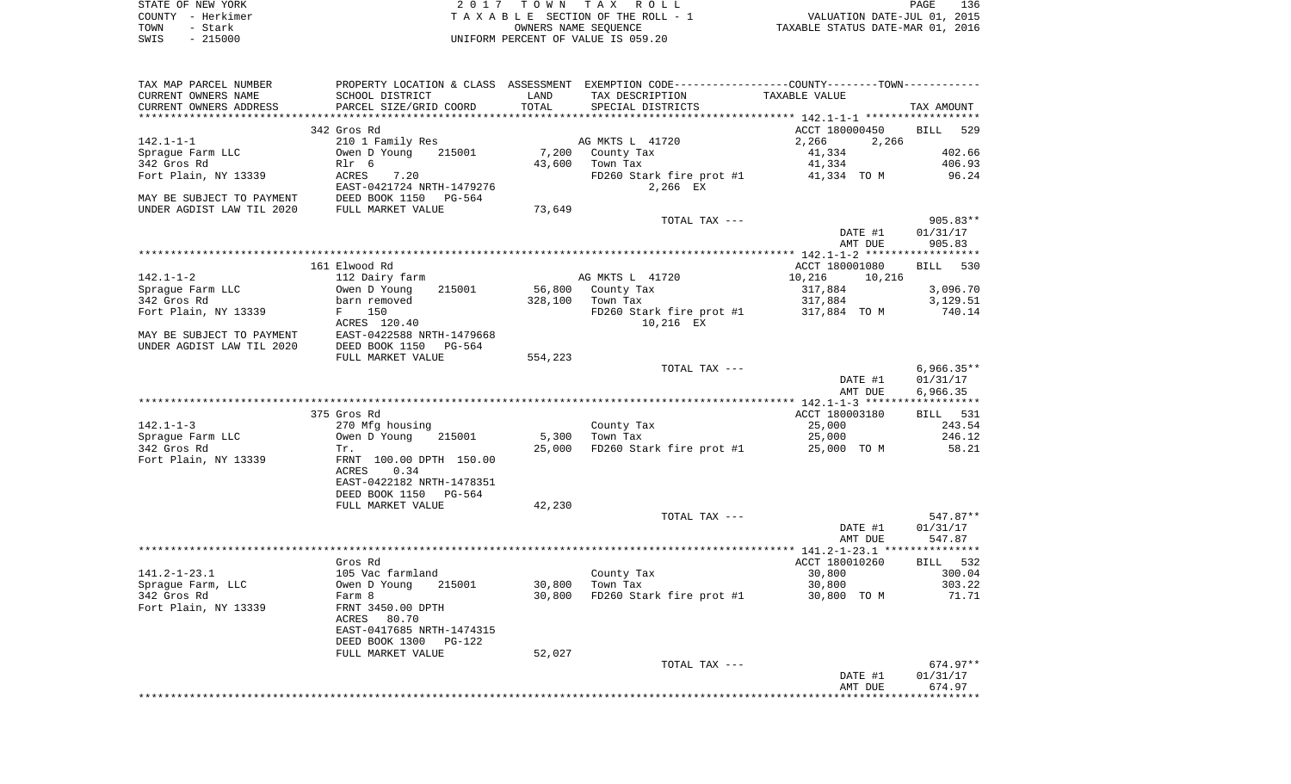| STATE OF NEW YORK | 2017 TOWN TAX ROLL                 | 136<br>PAGE                      |
|-------------------|------------------------------------|----------------------------------|
| COUNTY - Herkimer | TAXABLE SECTION OF THE ROLL - 1    | VALUATION DATE-JUL 01, 2015      |
| TOWN<br>- Stark   | OWNERS NAME SEOUENCE               | TAXABLE STATUS DATE-MAR 01, 2016 |
| SWIS - 215000     | UNIFORM PERCENT OF VALUE IS 059.20 |                                  |

| TAX MAP PARCEL NUMBER                                                    | PROPERTY LOCATION & CLASS ASSESSMENT EXEMPTION CODE----------------COUNTY--------TOWN---------- |         |                                             |                       |                    |
|--------------------------------------------------------------------------|-------------------------------------------------------------------------------------------------|---------|---------------------------------------------|-----------------------|--------------------|
| CURRENT OWNERS NAME                                                      | SCHOOL DISTRICT                                                                                 | LAND    | TAX DESCRIPTION                             | TAXABLE VALUE         |                    |
| CURRENT OWNERS ADDRESS                                                   | PARCEL SIZE/GRID COORD                                                                          | TOTAL   | SPECIAL DISTRICTS                           |                       | TAX AMOUNT         |
|                                                                          |                                                                                                 |         |                                             |                       |                    |
|                                                                          | 342 Gros Rd                                                                                     |         |                                             | ACCT 180000450        | BILL 529           |
| 142.1-1-1                                                                | 210 1 Family Res                                                                                |         | AG MKTS L 41720                             | 2,266<br>2,266        |                    |
| Sprague Farm LLC                                                         | Owen D Young 215001                                                                             |         | 7,200 County Tax                            | 41,334                | 402.66             |
| 342 Gros Rd<br>Fort Plain, NY 13339                                      | Rlr 6<br>ACRES<br>7.20                                                                          |         | 43,600 Town Tax                             | 41,334<br>41,334 TO M | 406.93<br>96.24    |
|                                                                          | EAST-0421724 NRTH-1479276                                                                       |         | FD260 Stark fire prot #1<br>2,266 EX        |                       |                    |
|                                                                          |                                                                                                 |         |                                             |                       |                    |
| MAY BE SUBJECT TO PAYMENT<br>UNDER AGDIST LAW TIL 2020 FULL MARKET VALUE |                                                                                                 | 73,649  |                                             |                       |                    |
|                                                                          |                                                                                                 |         | TOTAL TAX ---                               |                       | $905.83**$         |
|                                                                          |                                                                                                 |         |                                             | DATE #1               | 01/31/17           |
|                                                                          |                                                                                                 |         |                                             | AMT DUE               | 905.83             |
|                                                                          |                                                                                                 |         |                                             |                       |                    |
|                                                                          | 161 Elwood Rd                                                                                   |         |                                             | ACCT 180001080        | BILL 530           |
| 142.1-1-2                                                                | 112 Dairy farm                                                                                  |         | AG MKTS L 41720                             | 10,216<br>10,216      |                    |
| Spraque Farm LLC                                                         | 215001<br>Owen D Young                                                                          |         | 56,800 County Tax                           | 317,884               | 3,096.70           |
| 342 Gros Rd                                                              | barn removed                                                                                    |         | 328,100 Town Tax                            | 317,884               | 3,129.51           |
| Fort Plain, NY 13339                                                     | F 150                                                                                           |         | FD260 Stark fire prot $#1$ 317,884 TO M     |                       | 740.14             |
|                                                                          | ACRES 120.40<br>MAY BE SUBJECT TO PAYMENT EAST-0422588 NRTH-1479668                             |         | 10,216 EX                                   |                       |                    |
| UNDER AGDIST LAW TIL 2020                                                | DEED BOOK 1150 PG-564                                                                           |         |                                             |                       |                    |
|                                                                          | FULL MARKET VALUE                                                                               | 554,223 |                                             |                       |                    |
|                                                                          |                                                                                                 |         | TOTAL TAX ---                               |                       | $6,966.35**$       |
|                                                                          |                                                                                                 |         |                                             | DATE #1               | 01/31/17           |
|                                                                          |                                                                                                 |         |                                             | AMT DUE               | 6,966.35           |
|                                                                          |                                                                                                 |         |                                             |                       |                    |
|                                                                          | 375 Gros Rd                                                                                     |         |                                             | ACCT 180003180        | BILL 531           |
| $142.1 - 1 - 3$                                                          | 270 Mfg housing<br>Owen D Young 215001                                                          |         | County Tax                                  | 25,000                | 243.54             |
| Sprague Farm LLC                                                         |                                                                                                 |         | 5,300 Town Tax                              | 25,000                | 246.12             |
| 342 Gros Rd                                                              | Tr.                                                                                             |         | 25,000 FD260 Stark fire prot #1 25,000 TO M |                       | 58.21              |
| Fort Plain, NY 13339                                                     | FRNT 100.00 DPTH 150.00                                                                         |         |                                             |                       |                    |
|                                                                          | ACRES<br>0.34                                                                                   |         |                                             |                       |                    |
|                                                                          | EAST-0422182 NRTH-1478351                                                                       |         |                                             |                       |                    |
|                                                                          | DEED BOOK 1150 PG-564                                                                           |         |                                             |                       |                    |
|                                                                          | FULL MARKET VALUE                                                                               | 42,230  | TOTAL TAX ---                               |                       | 547.87**           |
|                                                                          |                                                                                                 |         |                                             | DATE #1               | 01/31/17           |
|                                                                          |                                                                                                 |         |                                             | AMT DUE               | 547.87             |
|                                                                          |                                                                                                 |         |                                             |                       |                    |
|                                                                          | Gros Rd                                                                                         |         |                                             | ACCT 180010260        | BILL 532           |
| $141.2 - 1 - 23.1$                                                       |                                                                                                 |         | County Tax                                  | 30,800                | 300.04             |
| Sprague Farm, LLC                                                        | 215001                                                                                          |         | 30,800 Town Tax                             | 30,800                | 303.22             |
| 342 Gros Rd                                                              |                                                                                                 |         | 30,800 FD260 Stark fire prot #1 30,800 TO M |                       | 71.71              |
| Fort Plain, NY 13339                                                     | 105 Vac farmland<br>Owen D Young 21<br>Farm 8<br>FRNT 3450.00 DPTH                              |         |                                             |                       |                    |
|                                                                          | ACRES<br>80.70                                                                                  |         |                                             |                       |                    |
|                                                                          | EAST-0417685 NRTH-1474315                                                                       |         |                                             |                       |                    |
|                                                                          | DEED BOOK 1300<br>PG-122                                                                        |         |                                             |                       |                    |
|                                                                          | FULL MARKET VALUE                                                                               | 52,027  | TOTAL TAX ---                               |                       | $674.97**$         |
|                                                                          |                                                                                                 |         |                                             | DATE #1               | 01/31/17           |
|                                                                          |                                                                                                 |         |                                             | AMT DUE               | 674.97             |
|                                                                          |                                                                                                 |         |                                             |                       | ****************** |
|                                                                          |                                                                                                 |         |                                             |                       |                    |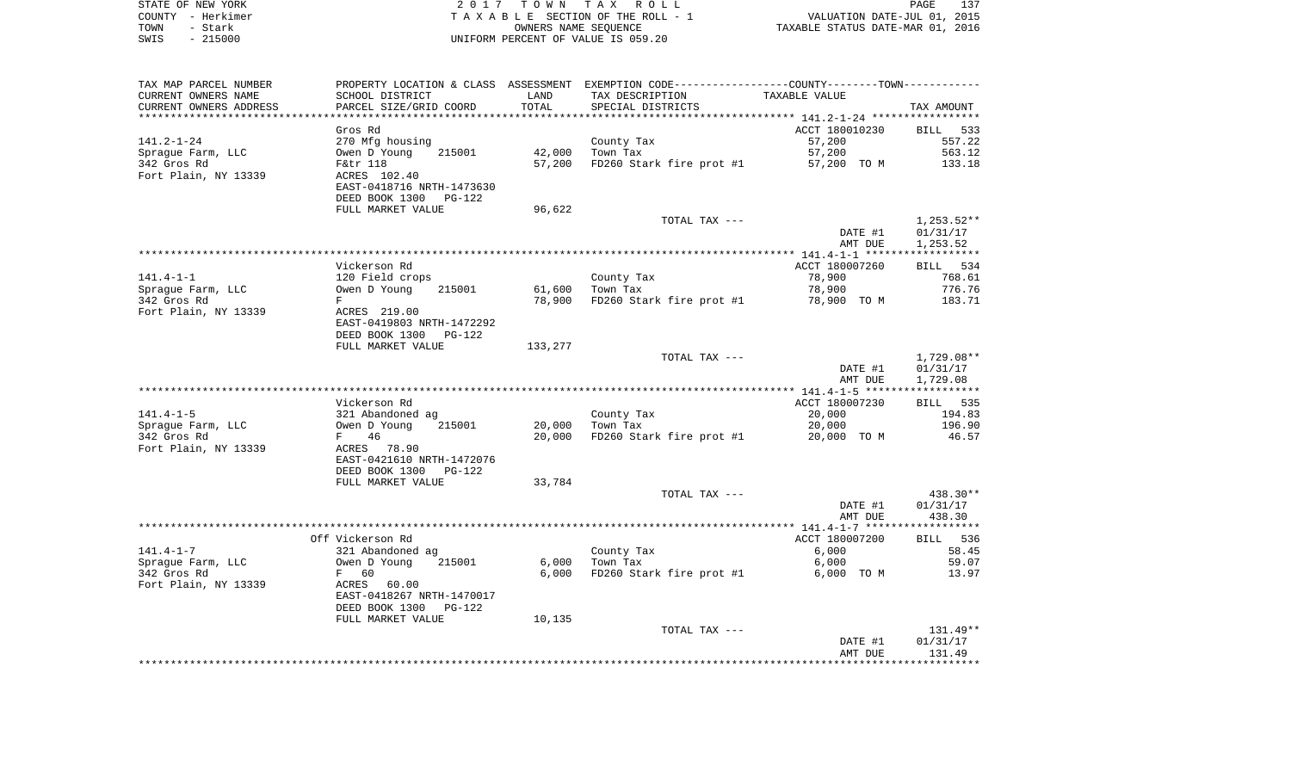| STATE OF NEW YORK | 2017 TOWN TAX ROLL                 | 137<br>PAGE                      |
|-------------------|------------------------------------|----------------------------------|
| COUNTY - Herkimer | TAXABLE SECTION OF THE ROLL - 1    | VALUATION DATE-JUL 01, 2015      |
| TOWN<br>- Stark   | OWNERS NAME SEOUENCE               | TAXABLE STATUS DATE-MAR 01, 2016 |
| - 215000<br>SWIS  | UNIFORM PERCENT OF VALUE IS 059.20 |                                  |

| TAX MAP PARCEL NUMBER   |                                                       |         | PROPERTY LOCATION & CLASS ASSESSMENT EXEMPTION CODE---------------COUNTY-------TOWN---------- |                |              |
|-------------------------|-------------------------------------------------------|---------|-----------------------------------------------------------------------------------------------|----------------|--------------|
| CURRENT OWNERS NAME     | SCHOOL DISTRICT                                       | LAND    | TAX DESCRIPTION                                                                               | TAXABLE VALUE  |              |
| CURRENT OWNERS ADDRESS  | PARCEL SIZE/GRID COORD                                | TOTAL   | SPECIAL DISTRICTS                                                                             |                | TAX AMOUNT   |
| *********************** |                                                       |         |                                                                                               |                |              |
|                         | Gros Rd                                               |         |                                                                                               | ACCT 180010230 | BILL 533     |
| 141.2-1-24              | 270 Mfg housing                                       |         | County Tax                                                                                    | 57,200         | 557.22       |
| Spraque Farm, LLC       | Owen D Young<br>215001                                | 42,000  | Town Tax                                                                                      | 57,200         | 563.12       |
| 342 Gros Rd             | F&tr 118                                              | 57,200  | FD260 Stark fire prot #1                                                                      | 57,200 TO M    | 133.18       |
| Fort Plain, NY 13339    | ACRES 102.40                                          |         |                                                                                               |                |              |
|                         | EAST-0418716 NRTH-1473630                             |         |                                                                                               |                |              |
|                         | DEED BOOK 1300<br>PG-122                              |         |                                                                                               |                |              |
|                         | FULL MARKET VALUE                                     | 96,622  |                                                                                               |                |              |
|                         |                                                       |         | TOTAL TAX ---                                                                                 |                | $1,253.52**$ |
|                         |                                                       |         |                                                                                               | DATE #1        | 01/31/17     |
|                         |                                                       |         |                                                                                               | AMT DUE        | 1,253.52     |
|                         | Vickerson Rd                                          |         |                                                                                               | ACCT 180007260 | BILL 534     |
| $141.4 - 1 - 1$         | 120 Field crops                                       |         | County Tax                                                                                    | 78,900         | 768.61       |
| Spraque Farm, LLC       | Owen D Young<br>215001                                | 61,600  | Town Tax                                                                                      | 78,900         | 776.76       |
| 342 Gros Rd             | F                                                     | 78,900  | FD260 Stark fire prot #1                                                                      | 78,900 TO M    | 183.71       |
| Fort Plain, NY 13339    | ACRES 219.00                                          |         |                                                                                               |                |              |
|                         | EAST-0419803 NRTH-1472292                             |         |                                                                                               |                |              |
|                         | DEED BOOK 1300<br>$PG-122$                            |         |                                                                                               |                |              |
|                         | FULL MARKET VALUE                                     | 133,277 |                                                                                               |                |              |
|                         |                                                       |         | TOTAL TAX ---                                                                                 |                | 1,729.08**   |
|                         |                                                       |         |                                                                                               | DATE #1        | 01/31/17     |
|                         |                                                       |         |                                                                                               | AMT DUE        | 1,729.08     |
|                         |                                                       |         |                                                                                               |                |              |
|                         | Vickerson Rd                                          |         |                                                                                               | ACCT 180007230 | BILL 535     |
| $141.4 - 1 - 5$         | 321 Abandoned ag                                      |         | County Tax                                                                                    | 20,000         | 194.83       |
| Sprague Farm, LLC       | 215001<br>Owen D Young                                | 20,000  | Town Tax                                                                                      | 20,000         | 196.90       |
| 342 Gros Rd             | 46<br>$F \sim$                                        | 20,000  | FD260 Stark fire prot #1                                                                      | 20,000 TO M    | 46.57        |
| Fort Plain, NY 13339    | ACRES 78.90                                           |         |                                                                                               |                |              |
|                         | EAST-0421610 NRTH-1472076<br>DEED BOOK 1300<br>PG-122 |         |                                                                                               |                |              |
|                         | FULL MARKET VALUE                                     | 33,784  |                                                                                               |                |              |
|                         |                                                       |         | TOTAL TAX ---                                                                                 |                | 438.30**     |
|                         |                                                       |         |                                                                                               | DATE #1        | 01/31/17     |
|                         |                                                       |         |                                                                                               | AMT DUE        | 438.30       |
|                         |                                                       |         |                                                                                               |                |              |
|                         | Off Vickerson Rd                                      |         |                                                                                               | ACCT 180007200 | BILL 536     |
| $141.4 - 1 - 7$         | 321 Abandoned ag                                      |         | County Tax                                                                                    | 6,000          | 58.45        |
| Spraque Farm, LLC       | 215001<br>Owen D Young                                | 6,000   | Town Tax                                                                                      | 6,000          | 59.07        |
| 342 Gros Rd             | $F$ and $F$<br>60                                     | 6,000   | FD260 Stark fire prot #1                                                                      | 6,000 TO M     | 13.97        |
| Fort Plain, NY 13339    | ACRES 60.00                                           |         |                                                                                               |                |              |
|                         | EAST-0418267 NRTH-1470017                             |         |                                                                                               |                |              |
|                         | DEED BOOK 1300<br>PG-122                              |         |                                                                                               |                |              |
|                         | FULL MARKET VALUE                                     | 10,135  |                                                                                               |                |              |
|                         |                                                       |         | TOTAL TAX ---                                                                                 |                | $131.49**$   |
|                         |                                                       |         |                                                                                               | DATE #1        | 01/31/17     |
|                         |                                                       |         |                                                                                               | AMT DUE        | 131.49       |
|                         |                                                       |         |                                                                                               |                |              |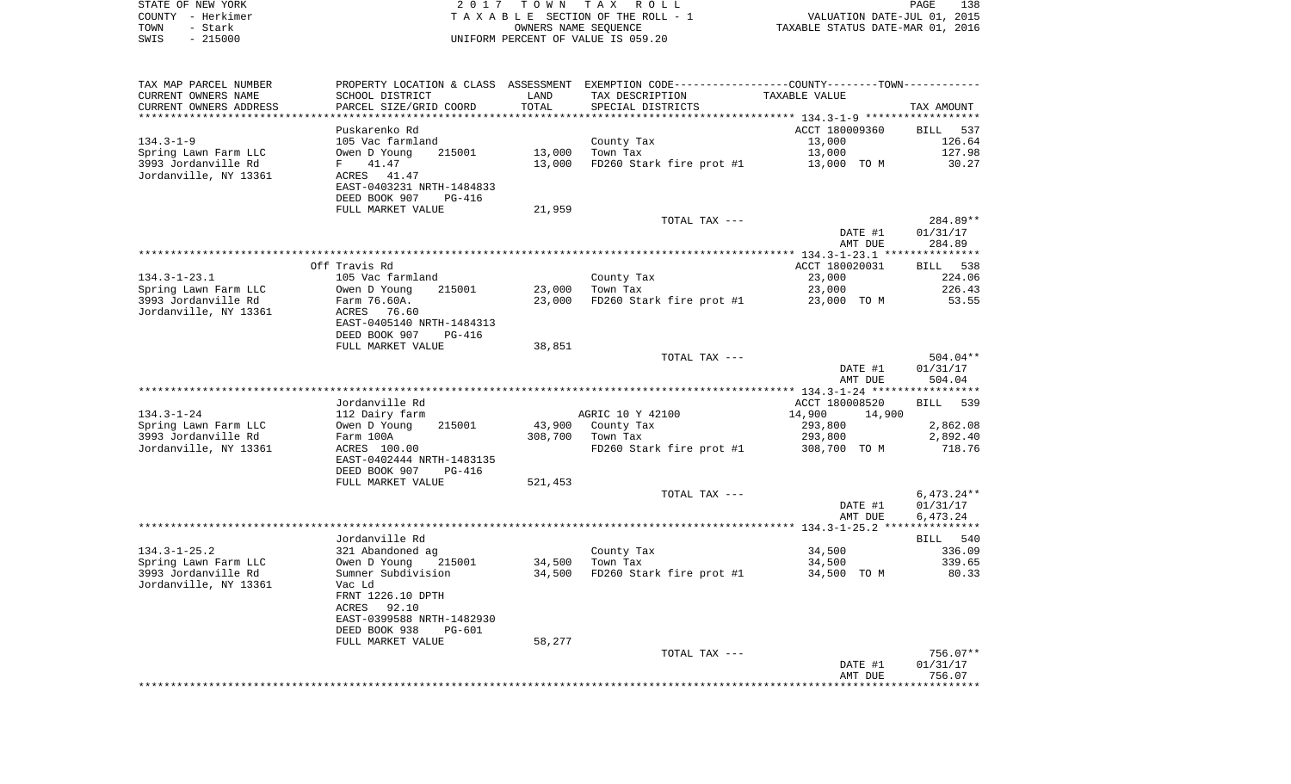|      | STATE OF NEW YORK | 2017 TOWN TAX ROLL                    | 138<br>PAGE                      |  |
|------|-------------------|---------------------------------------|----------------------------------|--|
|      | COUNTY - Herkimer | T A X A B L E SECTION OF THE ROLL - 1 | VALUATION DATE-JUL 01, 2015      |  |
| TOWN | - Stark           | OWNERS NAME SEOUENCE                  | TAXABLE STATUS DATE-MAR 01, 2016 |  |
| SWIS | $-215000$         | UNIFORM PERCENT OF VALUE IS 059.20    |                                  |  |

| TAX MAP PARCEL NUMBER  |                                             |                | PROPERTY LOCATION & CLASS ASSESSMENT EXEMPTION CODE---------------COUNTY-------TOWN---------- |                                                          |                    |
|------------------------|---------------------------------------------|----------------|-----------------------------------------------------------------------------------------------|----------------------------------------------------------|--------------------|
| CURRENT OWNERS NAME    | SCHOOL DISTRICT                             | LAND           | TAX DESCRIPTION                                                                               | TAXABLE VALUE                                            |                    |
| CURRENT OWNERS ADDRESS | PARCEL SIZE/GRID COORD                      | TOTAL          | SPECIAL DISTRICTS                                                                             |                                                          | TAX AMOUNT         |
| ********************   | *********************                       | ************** |                                                                                               | *************************** 134.3-1-9 ****************** |                    |
|                        | Puskarenko Rd                               |                |                                                                                               | ACCT 180009360                                           | BILL 537           |
| $134.3 - 1 - 9$        | 105 Vac farmland                            |                | County Tax                                                                                    | 13,000                                                   | 126.64             |
| Spring Lawn Farm LLC   | 215001<br>Owen D Young                      | 13,000         | Town Tax                                                                                      | 13,000                                                   | 127.98             |
| 3993 Jordanville Rd    | 41.47<br>F                                  | 13,000         | FD260 Stark fire prot #1                                                                      | 13,000 TO M                                              | 30.27              |
| Jordanville, NY 13361  | ACRES<br>41.47<br>EAST-0403231 NRTH-1484833 |                |                                                                                               |                                                          |                    |
|                        | DEED BOOK 907<br>PG-416                     |                |                                                                                               |                                                          |                    |
|                        | FULL MARKET VALUE                           | 21,959         |                                                                                               |                                                          |                    |
|                        |                                             |                | TOTAL TAX ---                                                                                 |                                                          | 284.89**           |
|                        |                                             |                |                                                                                               | DATE #1                                                  | 01/31/17           |
|                        |                                             |                |                                                                                               | AMT DUE                                                  | 284.89             |
|                        |                                             |                |                                                                                               |                                                          |                    |
|                        | Off Travis Rd                               |                |                                                                                               | ACCT 180020031                                           | BILL 538           |
| $134.3 - 1 - 23.1$     | 105 Vac farmland                            |                | County Tax                                                                                    | 23,000                                                   | 224.06             |
| Spring Lawn Farm LLC   | Owen D Young<br>215001                      | 23,000         | Town Tax                                                                                      | 23,000                                                   | 226.43             |
| 3993 Jordanville Rd    | Farm 76.60A.                                | 23,000         | FD260 Stark fire prot #1                                                                      | 23,000 TO M                                              | 53.55              |
| Jordanville, NY 13361  | 76.60<br>ACRES                              |                |                                                                                               |                                                          |                    |
|                        | EAST-0405140 NRTH-1484313                   |                |                                                                                               |                                                          |                    |
|                        | DEED BOOK 907<br>PG-416                     |                |                                                                                               |                                                          |                    |
|                        | FULL MARKET VALUE                           | 38,851         |                                                                                               |                                                          |                    |
|                        |                                             |                | TOTAL TAX ---                                                                                 |                                                          | 504.04**           |
|                        |                                             |                |                                                                                               | DATE #1                                                  | 01/31/17           |
|                        |                                             |                |                                                                                               | AMT DUE                                                  | 504.04             |
|                        |                                             |                |                                                                                               |                                                          |                    |
| $134.3 - 1 - 24$       | Jordanville Rd                              |                | AGRIC 10 Y 42100                                                                              | ACCT 180008520<br>14,900                                 | 539<br><b>BILL</b> |
| Spring Lawn Farm LLC   | 112 Dairy farm<br>Owen D Young<br>215001    | 43,900         |                                                                                               | 14,900                                                   | 2,862.08           |
| 3993 Jordanville Rd    | Farm 100A                                   | 308,700        | County Tax<br>Town Tax                                                                        | 293,800<br>293,800                                       | 2,892.40           |
| Jordanville, NY 13361  | ACRES 100.00                                |                | FD260 Stark fire prot #1                                                                      | 308,700 TO M                                             | 718.76             |
|                        | EAST-0402444 NRTH-1483135                   |                |                                                                                               |                                                          |                    |
|                        | DEED BOOK 907<br><b>PG-416</b>              |                |                                                                                               |                                                          |                    |
|                        | FULL MARKET VALUE                           | 521,453        |                                                                                               |                                                          |                    |
|                        |                                             |                | TOTAL TAX ---                                                                                 |                                                          | $6,473.24**$       |
|                        |                                             |                |                                                                                               | DATE #1                                                  | 01/31/17           |
|                        |                                             |                |                                                                                               | AMT DUE                                                  | 6,473.24           |
|                        |                                             |                |                                                                                               |                                                          |                    |
|                        | Jordanville Rd                              |                |                                                                                               |                                                          | BILL 540           |
| $134.3 - 1 - 25.2$     | 321 Abandoned ag                            |                | County Tax                                                                                    | 34,500                                                   | 336.09             |
| Spring Lawn Farm LLC   | Owen D Young<br>215001                      | 34,500         | Town Tax                                                                                      | 34,500                                                   | 339.65             |
| 3993 Jordanville Rd    | Sumner Subdivision                          | 34,500         | FD260 Stark fire prot #1                                                                      | 34,500 TO M                                              | 80.33              |
| Jordanville, NY 13361  | Vac Ld                                      |                |                                                                                               |                                                          |                    |
|                        | FRNT 1226.10 DPTH                           |                |                                                                                               |                                                          |                    |
|                        | ACRES<br>92.10                              |                |                                                                                               |                                                          |                    |
|                        | EAST-0399588 NRTH-1482930                   |                |                                                                                               |                                                          |                    |
|                        | DEED BOOK 938<br>PG-601                     |                |                                                                                               |                                                          |                    |
|                        | FULL MARKET VALUE                           | 58,277         | TOTAL TAX ---                                                                                 |                                                          | 756.07**           |
|                        |                                             |                |                                                                                               | DATE #1                                                  | 01/31/17           |
|                        |                                             |                |                                                                                               | AMT DUE                                                  | 756.07             |
|                        |                                             |                |                                                                                               |                                                          |                    |
|                        |                                             |                |                                                                                               |                                                          |                    |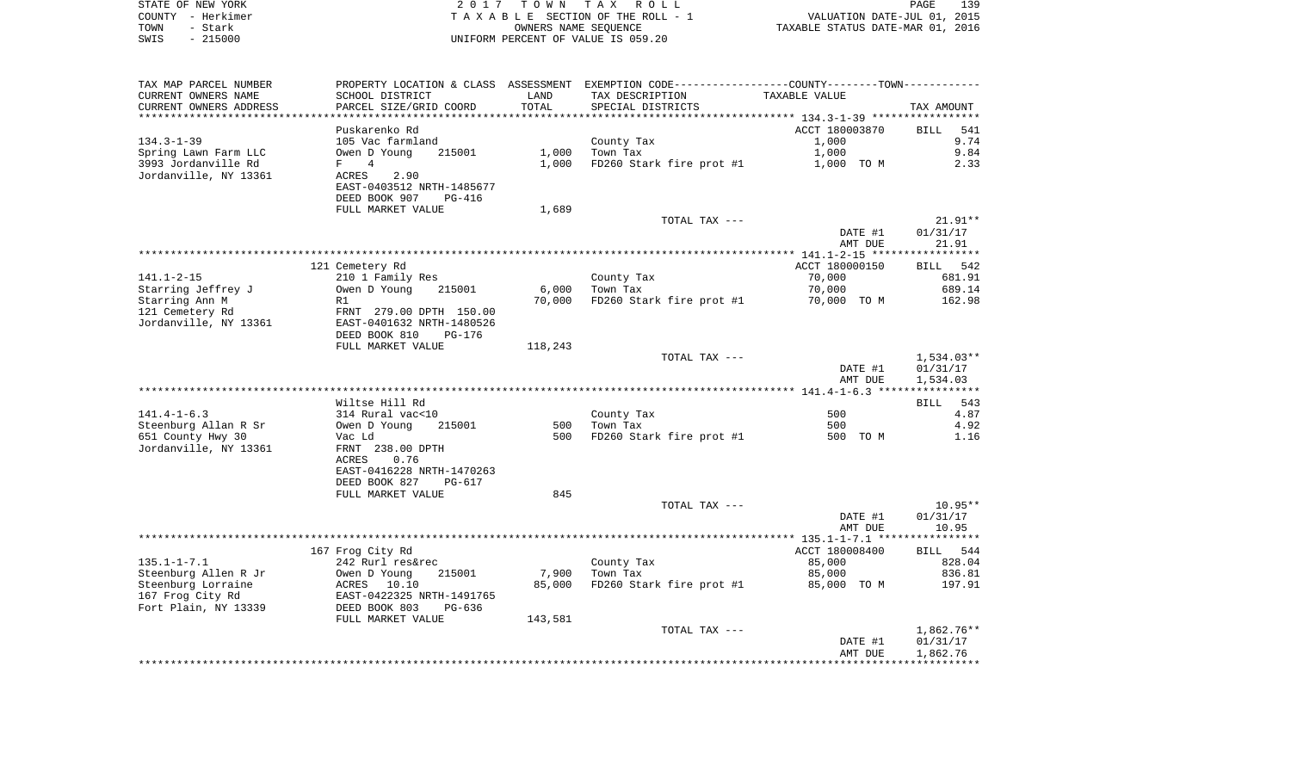|      | STATE OF NEW YORK | 2017 TOWN TAX ROLL                 | 139<br>PAGE                      |
|------|-------------------|------------------------------------|----------------------------------|
|      | COUNTY - Herkimer | TAXABLE SECTION OF THE ROLL - 1    | VALUATION DATE-JUL 01, 2015      |
| TOWN | - Stark           | OWNERS NAME SEOUENCE               | TAXABLE STATUS DATE-MAR 01, 2016 |
| SWIS | $-215000$         | UNIFORM PERCENT OF VALUE IS 059.20 |                                  |

| TAX MAP PARCEL NUMBER  |                           |         | PROPERTY LOCATION & CLASS ASSESSMENT EXEMPTION CODE----------------COUNTY--------TOWN----------- |                |              |
|------------------------|---------------------------|---------|--------------------------------------------------------------------------------------------------|----------------|--------------|
| CURRENT OWNERS NAME    | SCHOOL DISTRICT           | LAND    | TAX DESCRIPTION                                                                                  | TAXABLE VALUE  |              |
| CURRENT OWNERS ADDRESS | PARCEL SIZE/GRID COORD    | TOTAL   | SPECIAL DISTRICTS                                                                                |                | TAX AMOUNT   |
| *********************  |                           |         |                                                                                                  |                |              |
|                        | Puskarenko Rd             |         |                                                                                                  | ACCT 180003870 | BILL<br>541  |
| $134.3 - 1 - 39$       | 105 Vac farmland          |         | County Tax                                                                                       | 1,000          | 9.74         |
| Spring Lawn Farm LLC   | 215001<br>Owen D Young    | 1,000   | Town Tax                                                                                         | 1,000          | 9.84         |
| 3993 Jordanville Rd    | 4<br>F                    | 1,000   | FD260 Stark fire prot #1                                                                         | 1,000 TO M     | 2.33         |
| Jordanville, NY 13361  | ACRES<br>2.90             |         |                                                                                                  |                |              |
|                        | EAST-0403512 NRTH-1485677 |         |                                                                                                  |                |              |
|                        | DEED BOOK 907<br>PG-416   |         |                                                                                                  |                |              |
|                        | FULL MARKET VALUE         | 1,689   |                                                                                                  |                |              |
|                        |                           |         | TOTAL TAX ---                                                                                    |                | $21.91**$    |
|                        |                           |         |                                                                                                  | DATE #1        | 01/31/17     |
|                        |                           |         |                                                                                                  | AMT DUE        | 21.91        |
|                        |                           |         |                                                                                                  |                |              |
|                        | 121 Cemetery Rd           |         |                                                                                                  | ACCT 180000150 | BILL 542     |
| $141.1 - 2 - 15$       | 210 1 Family Res          |         | County Tax                                                                                       | 70,000         | 681.91       |
| Starring Jeffrey J     | Owen D Young<br>215001    | 6,000   | Town Tax                                                                                         | 70,000         | 689.14       |
| Starring Ann M         | R1                        | 70,000  | FD260 Stark fire prot #1                                                                         | 70,000 TO M    | 162.98       |
| 121 Cemetery Rd        | FRNT 279.00 DPTH 150.00   |         |                                                                                                  |                |              |
| Jordanville, NY 13361  | EAST-0401632 NRTH-1480526 |         |                                                                                                  |                |              |
|                        | DEED BOOK 810<br>PG-176   |         |                                                                                                  |                |              |
|                        | FULL MARKET VALUE         | 118,243 |                                                                                                  |                |              |
|                        |                           |         | TOTAL TAX ---                                                                                    |                | $1,534.03**$ |
|                        |                           |         |                                                                                                  | DATE #1        | 01/31/17     |
|                        |                           |         |                                                                                                  | AMT DUE        | 1,534.03     |
|                        |                           |         |                                                                                                  |                |              |
|                        | Wiltse Hill Rd            |         |                                                                                                  |                | 543<br>BILL  |
| $141.4 - 1 - 6.3$      | 314 Rural vac<10          |         | County Tax                                                                                       | 500            | 4.87         |
| Steenburg Allan R Sr   | Owen D Young<br>215001    | 500     | Town Tax                                                                                         | 500            | 4.92         |
| 651 County Hwy 30      | Vac Ld                    | 500     | FD260 Stark fire prot #1                                                                         | 500 TO M       | 1.16         |
| Jordanville, NY 13361  | FRNT 238.00 DPTH          |         |                                                                                                  |                |              |
|                        | ACRES<br>0.76             |         |                                                                                                  |                |              |
|                        | EAST-0416228 NRTH-1470263 |         |                                                                                                  |                |              |
|                        | DEED BOOK 827<br>PG-617   |         |                                                                                                  |                |              |
|                        | FULL MARKET VALUE         | 845     |                                                                                                  |                |              |
|                        |                           |         | TOTAL TAX ---                                                                                    |                | $10.95**$    |
|                        |                           |         |                                                                                                  | DATE #1        | 01/31/17     |
|                        |                           |         |                                                                                                  | AMT DUE        | 10.95        |
|                        |                           |         |                                                                                                  |                |              |
|                        | 167 Frog City Rd          |         |                                                                                                  | ACCT 180008400 | BILL 544     |
| $135.1 - 1 - 7.1$      | 242 Rurl res&rec          |         | County Tax                                                                                       | 85,000         | 828.04       |
| Steenburg Allen R Jr   | Owen D Young<br>215001    | 7,900   | Town Tax                                                                                         | 85,000         | 836.81       |
| Steenburg Lorraine     | ACRES 10.10               | 85,000  | FD260 Stark fire prot #1                                                                         | 85,000 TO M    | 197.91       |
| 167 Frog City Rd       | EAST-0422325 NRTH-1491765 |         |                                                                                                  |                |              |
| Fort Plain, NY 13339   | DEED BOOK 803<br>$PG-636$ |         |                                                                                                  |                |              |
|                        | FULL MARKET VALUE         | 143,581 |                                                                                                  |                |              |
|                        |                           |         | TOTAL TAX ---                                                                                    |                | $1,862.76**$ |
|                        |                           |         |                                                                                                  | DATE #1        | 01/31/17     |
|                        |                           |         |                                                                                                  | AMT DUE        | 1,862.76     |
|                        |                           |         |                                                                                                  |                |              |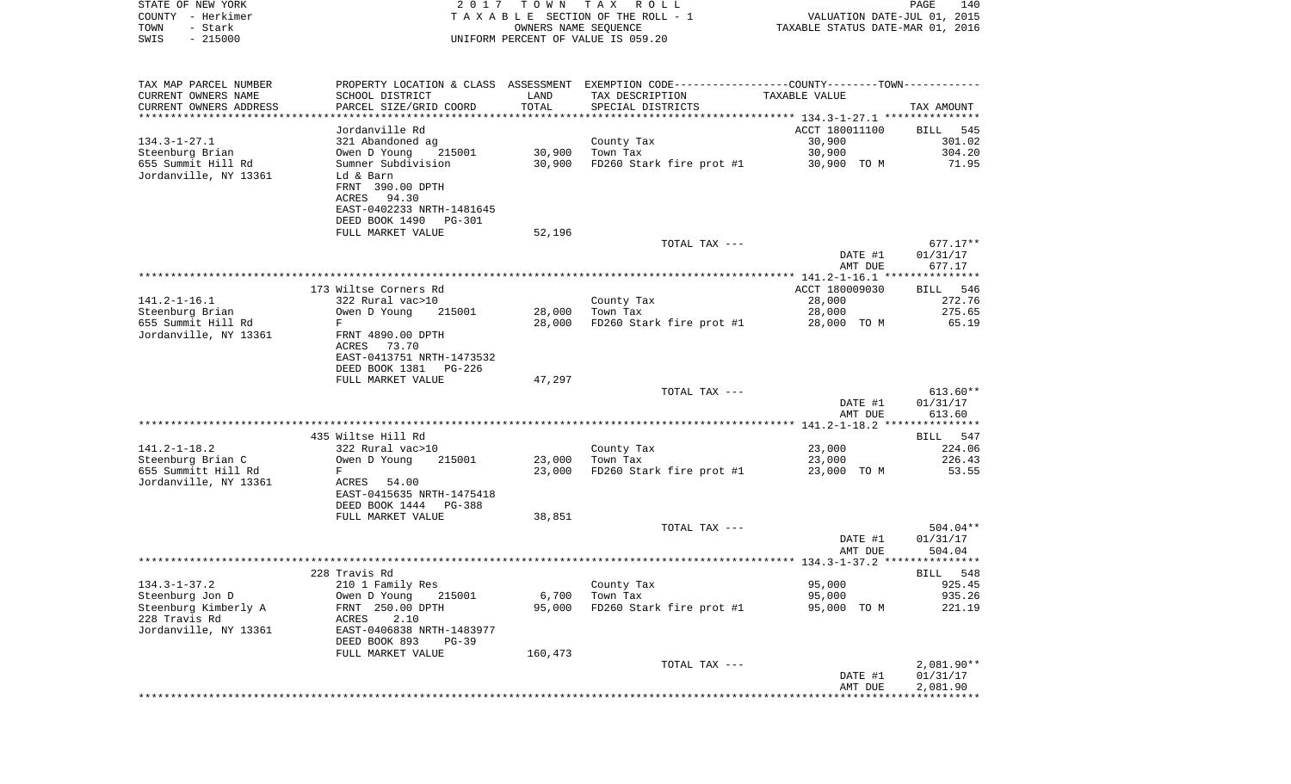| STATE OF NEW YORK                             |                                               | 2017 TOWN            | T A X<br>R O L L                                                                              |                                                       | PAGE<br>140           |
|-----------------------------------------------|-----------------------------------------------|----------------------|-----------------------------------------------------------------------------------------------|-------------------------------------------------------|-----------------------|
| COUNTY - Herkimer                             |                                               |                      | TAXABLE SECTION OF THE ROLL - 1                                                               | VALUATION DATE-JUL 01, 2015                           |                       |
| - Stark<br>TOWN                               |                                               | OWNERS NAME SEQUENCE |                                                                                               | TAXABLE STATUS DATE-MAR 01, 2016                      |                       |
| SWIS<br>$-215000$                             |                                               |                      | UNIFORM PERCENT OF VALUE IS 059.20                                                            |                                                       |                       |
|                                               |                                               |                      |                                                                                               |                                                       |                       |
| TAX MAP PARCEL NUMBER                         |                                               |                      | PROPERTY LOCATION & CLASS ASSESSMENT EXEMPTION CODE---------------COUNTY-------TOWN---------- |                                                       |                       |
| CURRENT OWNERS NAME<br>CURRENT OWNERS ADDRESS | SCHOOL DISTRICT<br>PARCEL SIZE/GRID COORD     | LAND<br>TOTAL        | TAX DESCRIPTION<br>SPECIAL DISTRICTS                                                          | TAXABLE VALUE                                         | TAX AMOUNT            |
| **********************                        |                                               | ************         | ************************************** 134.3-1-27.1 ***************                           |                                                       |                       |
|                                               | Jordanville Rd                                |                      |                                                                                               | ACCT 180011100                                        | 545<br>BILL           |
| $134.3 - 1 - 27.1$                            | 321 Abandoned ag                              |                      | County Tax                                                                                    | 30,900                                                | 301.02                |
| Steenburg Brian                               | Owen D Young<br>215001                        | 30,900               | Town Tax                                                                                      | 30,900                                                | 304.20                |
| 655 Summit Hill Rd                            | Sumner Subdivision                            | 30,900               | FD260 Stark fire prot #1                                                                      | 30,900 TO M                                           | 71.95                 |
| Jordanville, NY 13361                         | Ld & Barn                                     |                      |                                                                                               |                                                       |                       |
|                                               | FRNT 390.00 DPTH                              |                      |                                                                                               |                                                       |                       |
|                                               | ACRES 94.30<br>EAST-0402233 NRTH-1481645      |                      |                                                                                               |                                                       |                       |
|                                               | DEED BOOK 1490 PG-301                         |                      |                                                                                               |                                                       |                       |
|                                               | FULL MARKET VALUE                             | 52,196               |                                                                                               |                                                       |                       |
|                                               |                                               |                      | TOTAL TAX ---                                                                                 |                                                       | $677.17**$            |
|                                               |                                               |                      |                                                                                               | DATE #1                                               | 01/31/17              |
|                                               |                                               |                      |                                                                                               | AMT DUE                                               | 677.17                |
|                                               |                                               |                      |                                                                                               | **** $141.2 - 1 - 16.1$ ****                          | ********              |
|                                               | 173 Wiltse Corners Rd                         |                      |                                                                                               | ACCT 180009030                                        | <b>BILL</b><br>546    |
| $141.2 - 1 - 16.1$                            | 322 Rural vac>10                              |                      | County Tax                                                                                    | 28,000                                                | 272.76                |
| Steenburg Brian<br>655 Summit Hill Rd         | Owen D Young<br>215001<br>F                   | 28,000<br>28,000     | Town Tax<br>FD260 Stark fire prot #1                                                          | 28,000<br>28,000 TO M                                 | 275.65<br>65.19       |
| Jordanville, NY 13361                         | FRNT 4890.00 DPTH                             |                      |                                                                                               |                                                       |                       |
|                                               | ACRES<br>73.70                                |                      |                                                                                               |                                                       |                       |
|                                               | EAST-0413751 NRTH-1473532                     |                      |                                                                                               |                                                       |                       |
|                                               | DEED BOOK 1381<br>PG-226                      |                      |                                                                                               |                                                       |                       |
|                                               | FULL MARKET VALUE                             | 47,297               |                                                                                               |                                                       |                       |
|                                               |                                               |                      | TOTAL TAX ---                                                                                 |                                                       | $613.60**$            |
|                                               |                                               |                      |                                                                                               | DATE #1                                               | 01/31/17              |
|                                               |                                               |                      |                                                                                               | AMT DUE<br>************* 141.2-1-18.2 *************** | 613.60                |
|                                               | 435 Wiltse Hill Rd                            |                      |                                                                                               |                                                       | 547<br>BILL           |
| $141.2 - 1 - 18.2$                            | 322 Rural vac>10                              |                      | County Tax                                                                                    | 23,000                                                | 224.06                |
| Steenburg Brian C                             | Owen D Young<br>215001                        | 23,000               | Town Tax                                                                                      | 23,000                                                | 226.43                |
| 655 Summitt Hill Rd                           | F                                             | 23,000               | FD260 Stark fire prot #1                                                                      | 23,000 TO M                                           | 53.55                 |
| Jordanville, NY 13361                         | ACRES 54.00                                   |                      |                                                                                               |                                                       |                       |
|                                               | EAST-0415635 NRTH-1475418                     |                      |                                                                                               |                                                       |                       |
|                                               | DEED BOOK 1444 PG-388                         |                      |                                                                                               |                                                       |                       |
|                                               | FULL MARKET VALUE                             | 38,851               |                                                                                               |                                                       |                       |
|                                               |                                               |                      | TOTAL TAX ---                                                                                 | DATE #1                                               | 504.04**<br>01/31/17  |
|                                               |                                               |                      |                                                                                               | AMT DUE                                               | 504.04                |
|                                               |                                               |                      |                                                                                               |                                                       |                       |
|                                               | 228 Travis Rd                                 |                      |                                                                                               |                                                       | BILL 548              |
| $134.3 - 1 - 37.2$                            | 210 1 Family Res                              |                      | County Tax                                                                                    | 95,000                                                | 925.45                |
| Steenburg Jon D                               | Owen D Young<br>215001                        | 6,700                | Town Tax                                                                                      | 95,000                                                | 935.26                |
| Steenburg Kimberly A                          | FRNT 250.00 DPTH                              | 95,000               | FD260 Stark fire prot #1                                                                      | 95,000 TO M                                           | 221.19                |
| 228 Travis Rd                                 | 2.10<br>ACRES                                 |                      |                                                                                               |                                                       |                       |
| Jordanville, NY 13361                         | EAST-0406838 NRTH-1483977                     |                      |                                                                                               |                                                       |                       |
|                                               | DEED BOOK 893<br>$PG-39$<br>FULL MARKET VALUE | 160,473              |                                                                                               |                                                       |                       |
|                                               |                                               |                      | TOTAL TAX ---                                                                                 |                                                       | $2,081.90**$          |
|                                               |                                               |                      |                                                                                               | DATE #1                                               | 01/31/17              |
|                                               |                                               |                      |                                                                                               | AMT DUE                                               | 2,081.90              |
|                                               |                                               |                      |                                                                                               |                                                       | * * * * * * * * * * * |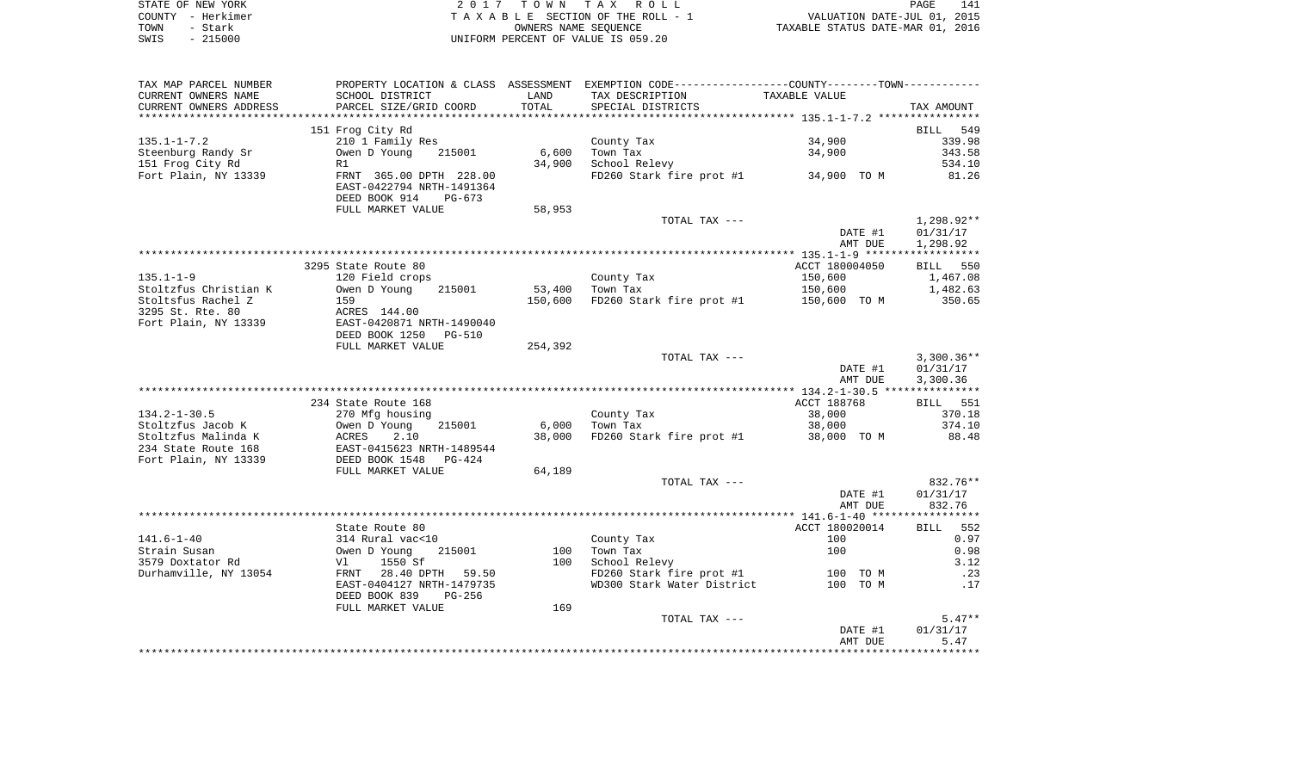|      | STATE OF NEW YORK | 2017 TOWN TAX ROLL                 | 141<br>PAGE                      |
|------|-------------------|------------------------------------|----------------------------------|
|      | COUNTY - Herkimer | TAXABLE SECTION OF THE ROLL - 1    | VALUATION DATE-JUL 01, 2015      |
| TOWN | - Stark           | OWNERS NAME SEOUENCE               | TAXABLE STATUS DATE-MAR 01, 2016 |
| SWIS | $-215000$         | UNIFORM PERCENT OF VALUE IS 059.20 |                                  |

| TAX MAP PARCEL NUMBER                       |                                                                                   |         | PROPERTY LOCATION & CLASS ASSESSMENT EXEMPTION CODE----------------COUNTY-------TOWN----------- |                    |              |
|---------------------------------------------|-----------------------------------------------------------------------------------|---------|-------------------------------------------------------------------------------------------------|--------------------|--------------|
| CURRENT OWNERS NAME                         | SCHOOL DISTRICT                                                                   | LAND    | TAX DESCRIPTION                                                                                 | TAXABLE VALUE      |              |
| CURRENT OWNERS ADDRESS                      | PARCEL SIZE/GRID COORD                                                            | TOTAL   | SPECIAL DISTRICTS                                                                               |                    | TAX AMOUNT   |
| **********************                      |                                                                                   |         |                                                                                                 |                    |              |
|                                             | 151 Frog City Rd                                                                  |         |                                                                                                 |                    | 549<br>BILL  |
| $135.1 - 1 - 7.2$                           | 210 1 Family Res                                                                  |         | County Tax                                                                                      | 34,900             | 339.98       |
| Steenburg Randy Sr                          | Owen D Young<br>215001                                                            | 6,600   | Town Tax                                                                                        | 34,900             | 343.58       |
| 151 Frog City Rd                            | R1                                                                                | 34,900  | School Relevy                                                                                   |                    | 534.10       |
| Fort Plain, NY 13339                        | FRNT 365.00 DPTH 228.00<br>EAST-0422794 NRTH-1491364<br>DEED BOOK 914<br>$PG-673$ |         | FD260 Stark fire prot #1                                                                        | 34,900 TO M        | 81.26        |
|                                             | FULL MARKET VALUE                                                                 | 58,953  |                                                                                                 |                    |              |
|                                             |                                                                                   |         | TOTAL TAX ---                                                                                   |                    | 1,298.92**   |
|                                             |                                                                                   |         |                                                                                                 | DATE #1<br>AMT DUE | 01/31/17     |
|                                             |                                                                                   |         |                                                                                                 |                    | 1,298.92     |
|                                             | 3295 State Route 80                                                               |         |                                                                                                 | ACCT 180004050     | BILL 550     |
| $135.1 - 1 - 9$                             | 120 Field crops                                                                   |         | County Tax                                                                                      | 150,600            | 1,467.08     |
| Stoltzfus Christian K                       | Owen D Young<br>215001                                                            | 53,400  | Town Tax                                                                                        | 150,600            | 1,482.63     |
| Stoltsfus Rachel Z                          | 159                                                                               | 150,600 | FD260 Stark fire prot #1                                                                        | 150,600 TO M       | 350.65       |
| 3295 St. Rte. 80                            | ACRES 144.00                                                                      |         |                                                                                                 |                    |              |
| Fort Plain, NY 13339                        | EAST-0420871 NRTH-1490040                                                         |         |                                                                                                 |                    |              |
|                                             | DEED BOOK 1250<br><b>PG-510</b>                                                   |         |                                                                                                 |                    |              |
|                                             | FULL MARKET VALUE                                                                 | 254,392 |                                                                                                 |                    |              |
|                                             |                                                                                   |         | TOTAL TAX ---                                                                                   |                    | $3,300.36**$ |
|                                             |                                                                                   |         |                                                                                                 | DATE #1            | 01/31/17     |
|                                             |                                                                                   |         |                                                                                                 | AMT DUE            | 3,300.36     |
|                                             |                                                                                   |         |                                                                                                 |                    |              |
|                                             | 234 State Route 168                                                               |         |                                                                                                 | ACCT 188768        | BILL 551     |
| $134.2 - 1 - 30.5$                          | 270 Mfg housing                                                                   |         | County Tax                                                                                      | 38,000             | 370.18       |
| Stoltzfus Jacob K                           | Owen D Young<br>215001                                                            | 6,000   | Town Tax                                                                                        | 38,000             | 374.10       |
| Stoltzfus Malinda K                         | ACRES<br>2.10                                                                     | 38,000  | FD260 Stark fire prot #1                                                                        | 38,000 TO M        | 88.48        |
| 234 State Route 168<br>Fort Plain, NY 13339 | EAST-0415623 NRTH-1489544<br>DEED BOOK 1548<br>PG-424                             |         |                                                                                                 |                    |              |
|                                             | FULL MARKET VALUE                                                                 | 64,189  |                                                                                                 |                    |              |
|                                             |                                                                                   |         | TOTAL TAX ---                                                                                   |                    | 832.76**     |
|                                             |                                                                                   |         |                                                                                                 | DATE #1            | 01/31/17     |
|                                             |                                                                                   |         |                                                                                                 | AMT DUE            | 832.76       |
|                                             |                                                                                   |         |                                                                                                 |                    |              |
|                                             | State Route 80                                                                    |         |                                                                                                 | ACCT 180020014     | 552<br>BILL  |
| $141.6 - 1 - 40$                            | 314 Rural vac<10                                                                  |         | County Tax                                                                                      | 100                | 0.97         |
| Strain Susan                                | 215001<br>Owen D Young                                                            | 100     | Town Tax                                                                                        | 100                | 0.98         |
| 3579 Doxtator Rd                            | 1550 Sf<br>Vl                                                                     | 100     | School Relevy                                                                                   |                    | 3.12         |
| Durhamville, NY 13054                       | FRNT 28.40 DPTH 59.50                                                             |         | FD260 Stark fire prot #1                                                                        | 100 TO M           | .23          |
|                                             | EAST-0404127 NRTH-1479735                                                         |         | WD300 Stark Water District                                                                      | 100 TO M           | .17          |
|                                             | DEED BOOK 839<br>$PG-256$                                                         |         |                                                                                                 |                    |              |
|                                             | FULL MARKET VALUE                                                                 | 169     |                                                                                                 |                    |              |
|                                             |                                                                                   |         | TOTAL TAX ---                                                                                   |                    | $5.47**$     |
|                                             |                                                                                   |         |                                                                                                 | DATE #1            | 01/31/17     |
|                                             |                                                                                   |         |                                                                                                 | AMT DUE            | 5.47         |
|                                             |                                                                                   |         |                                                                                                 |                    |              |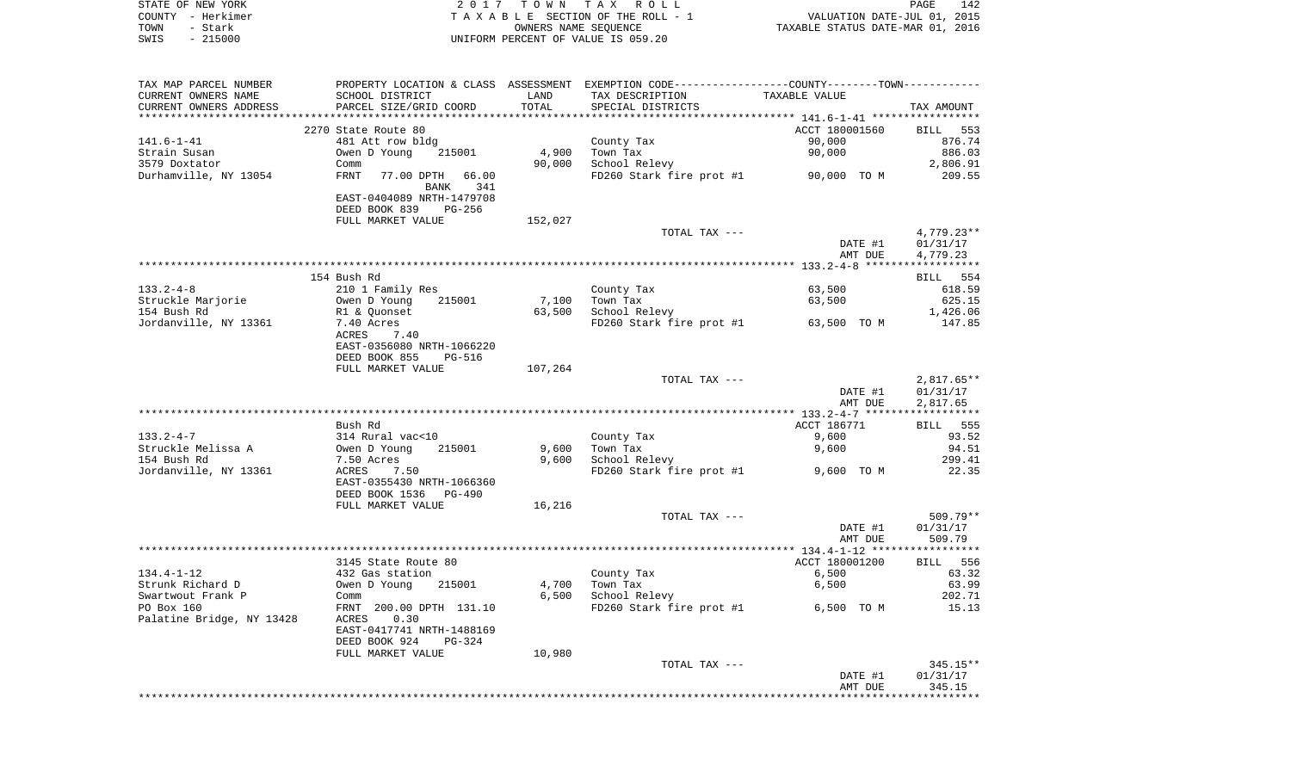| STATE OF NEW YORK | 2017 TOWN TAX ROLL                 | 142<br>PAGE                      |
|-------------------|------------------------------------|----------------------------------|
| COUNTY - Herkimer | TAXABLE SECTION OF THE ROLL - 1    | VALUATION DATE-JUL 01, 2015      |
| TOWN<br>– Stark   | OWNERS NAME SEOUENCE               | TAXABLE STATUS DATE-MAR 01, 2016 |
| $-215000$<br>SWIS | UNIFORM PERCENT OF VALUE IS 059.20 |                                  |

| TAX MAP PARCEL NUMBER<br>CURRENT OWNERS NAME | SCHOOL DISTRICT                                                               | LAND    | PROPERTY LOCATION & CLASS ASSESSMENT EXEMPTION CODE---------------COUNTY-------TOWN----------<br>TAX DESCRIPTION | TAXABLE VALUE      |                       |
|----------------------------------------------|-------------------------------------------------------------------------------|---------|------------------------------------------------------------------------------------------------------------------|--------------------|-----------------------|
| CURRENT OWNERS ADDRESS                       | PARCEL SIZE/GRID COORD                                                        | TOTAL   | SPECIAL DISTRICTS                                                                                                |                    | TAX AMOUNT            |
|                                              | 2270 State Route 80                                                           |         |                                                                                                                  | ACCT 180001560     | BILL 553              |
| $141.6 - 1 - 41$                             | 481 Att row bldg                                                              |         | County Tax                                                                                                       | 90,000             | 876.74                |
| Strain Susan                                 | Owen D Young<br>215001                                                        | 4,900   | Town Tax                                                                                                         | 90,000             | 886.03                |
| 3579 Doxtator                                | Comm                                                                          | 90,000  | School Relevy                                                                                                    |                    | 2,806.91              |
| Durhamville, NY 13054                        | <b>FRNT</b><br>77.00 DPTH<br>66.00                                            |         | FD260 Stark fire prot #1                                                                                         | 90,000 TO M        | 209.55                |
|                                              | 341<br><b>BANK</b><br>EAST-0404089 NRTH-1479708                               |         |                                                                                                                  |                    |                       |
|                                              | DEED BOOK 839<br>$PG-256$                                                     |         |                                                                                                                  |                    |                       |
|                                              | FULL MARKET VALUE                                                             | 152,027 |                                                                                                                  |                    |                       |
|                                              |                                                                               |         | TOTAL TAX ---                                                                                                    |                    | $4,779.23**$          |
|                                              |                                                                               |         |                                                                                                                  | DATE #1            | 01/31/17              |
|                                              |                                                                               |         |                                                                                                                  | AMT DUE            | 4,779.23              |
|                                              |                                                                               |         |                                                                                                                  |                    | ******************    |
|                                              | 154 Bush Rd                                                                   |         |                                                                                                                  |                    | BILL 554              |
| $133.2 - 4 - 8$                              | 210 1 Family Res                                                              |         | County Tax                                                                                                       | 63,500             | 618.59                |
| Struckle Marjorie                            | Owen D Young<br>215001                                                        | 7,100   | Town Tax                                                                                                         | 63,500             | 625.15                |
| 154 Bush Rd                                  | R1 & Quonset                                                                  | 63,500  | School Relevy                                                                                                    |                    | 1,426.06              |
| Jordanville, NY 13361                        | 7.40 Acres<br>ACRES<br>7.40                                                   |         | FD260 Stark fire prot #1                                                                                         | 63,500 TO M        | 147.85                |
|                                              | EAST-0356080 NRTH-1066220<br>DEED BOOK 855<br><b>PG-516</b>                   |         |                                                                                                                  |                    |                       |
|                                              | FULL MARKET VALUE                                                             | 107,264 |                                                                                                                  |                    |                       |
|                                              |                                                                               |         | TOTAL TAX ---                                                                                                    |                    | $2,817.65**$          |
|                                              |                                                                               |         |                                                                                                                  | DATE #1<br>AMT DUE | 01/31/17<br>2,817.65  |
|                                              |                                                                               |         |                                                                                                                  |                    | * * * * * * * * * * * |
|                                              | Bush Rd                                                                       |         |                                                                                                                  | ACCT 186771        | <b>BILL</b> 555       |
| $133.2 - 4 - 7$                              | 314 Rural vac<10                                                              |         | County Tax                                                                                                       | 9,600              | 93.52                 |
| Struckle Melissa A                           | 215001<br>Owen D Young                                                        | 9,600   | Town Tax                                                                                                         | 9,600              | 94.51                 |
| 154 Bush Rd                                  | 7.50 Acres                                                                    | 9,600   | School Relevy                                                                                                    |                    | 299.41                |
| Jordanville, NY 13361                        | ACRES<br>7.50<br>EAST-0355430 NRTH-1066360<br>DEED BOOK 1536<br><b>PG-490</b> |         | FD260 Stark fire prot #1                                                                                         | 9,600 TO M         | 22.35                 |
|                                              | FULL MARKET VALUE                                                             | 16,216  |                                                                                                                  |                    |                       |
|                                              |                                                                               |         | TOTAL TAX ---                                                                                                    |                    | 509.79**              |
|                                              |                                                                               |         |                                                                                                                  | DATE #1            | 01/31/17              |
|                                              |                                                                               |         |                                                                                                                  | AMT DUE            | 509.79                |
|                                              |                                                                               |         |                                                                                                                  |                    |                       |
|                                              | 3145 State Route 80                                                           |         |                                                                                                                  | ACCT 180001200     | BILL 556              |
| $134.4 - 1 - 12$                             | 432 Gas station                                                               |         | County Tax                                                                                                       | 6,500              | 63.32                 |
| Strunk Richard D                             | Owen D Young<br>215001                                                        | 4,700   | Town Tax                                                                                                         | 6,500              | 63.99                 |
| Swartwout Frank P                            | Comm                                                                          | 6,500   | School Relevy                                                                                                    |                    | 202.71                |
| PO Box 160                                   | FRNT 200.00 DPTH 131.10                                                       |         | FD260 Stark fire prot #1                                                                                         | 6,500 TO M         | 15.13                 |
| Palatine Bridge, NY 13428                    | 0.30<br>ACRES<br>EAST-0417741 NRTH-1488169                                    |         |                                                                                                                  |                    |                       |
|                                              | DEED BOOK 924<br><b>PG-324</b>                                                |         |                                                                                                                  |                    |                       |
|                                              | FULL MARKET VALUE                                                             | 10,980  |                                                                                                                  |                    |                       |
|                                              |                                                                               |         | TOTAL TAX ---                                                                                                    |                    | 345.15**              |
|                                              |                                                                               |         |                                                                                                                  | DATE #1            | 01/31/17              |
|                                              |                                                                               |         |                                                                                                                  | AMT DUE            | 345.15                |
|                                              |                                                                               |         |                                                                                                                  |                    |                       |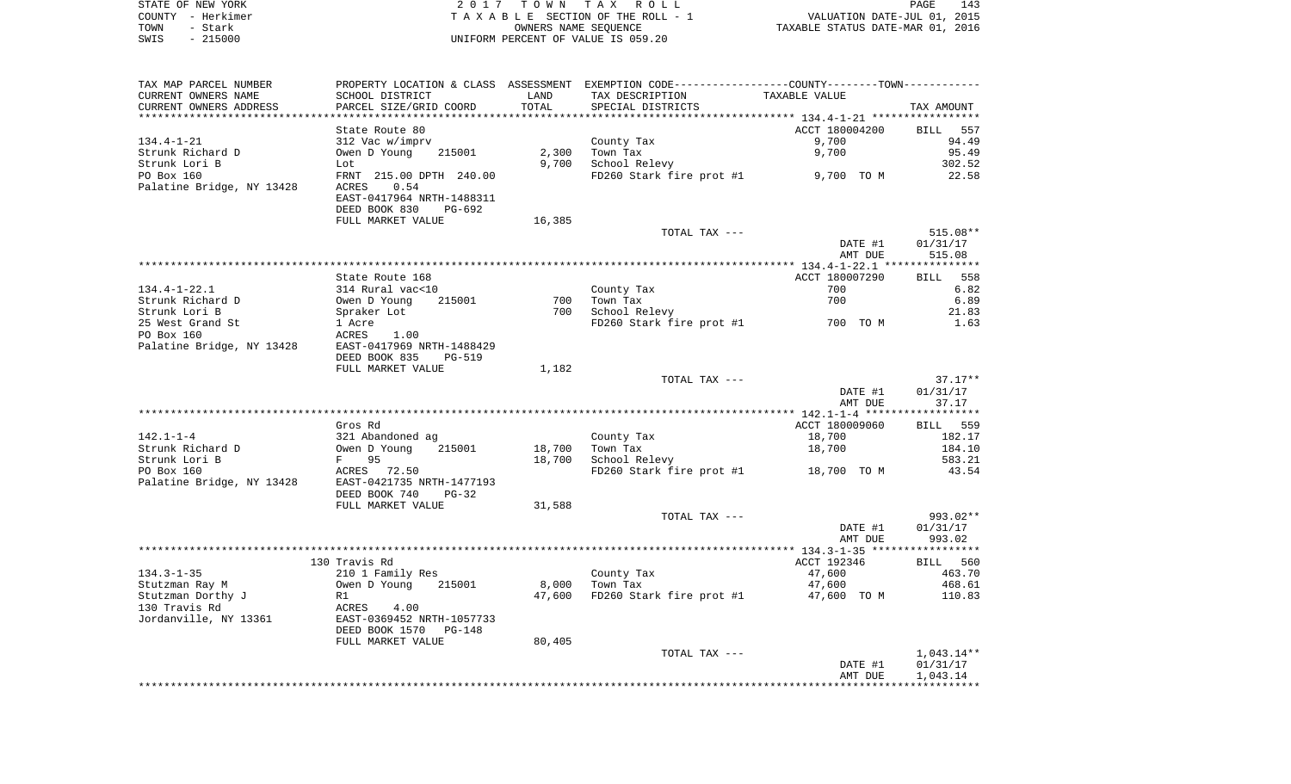| STATE OF NEW YORK | 2017 TOWN TAX ROLL                 | 143<br>PAGE                      |
|-------------------|------------------------------------|----------------------------------|
| COUNTY - Herkimer | TAXABLE SECTION OF THE ROLL - 1    | VALUATION DATE-JUL 01, 2015      |
| TOWN<br>- Stark   | OWNERS NAME SEOUENCE               | TAXABLE STATUS DATE-MAR 01, 2016 |
| $-215000$<br>SWIS | UNIFORM PERCENT OF VALUE IS 059.20 |                                  |

| TAX MAP PARCEL NUMBER     | PROPERTY LOCATION & CLASS ASSESSMENT |        | EXEMPTION CODE-----------------COUNTY--------TOWN----------- |                |              |
|---------------------------|--------------------------------------|--------|--------------------------------------------------------------|----------------|--------------|
| CURRENT OWNERS NAME       | SCHOOL DISTRICT                      | LAND   | TAX DESCRIPTION                                              | TAXABLE VALUE  |              |
| CURRENT OWNERS ADDRESS    | PARCEL SIZE/GRID COORD               | TOTAL  | SPECIAL DISTRICTS                                            |                | TAX AMOUNT   |
|                           |                                      |        |                                                              |                |              |
|                           | State Route 80                       |        |                                                              | ACCT 180004200 | BILL 557     |
| $134.4 - 1 - 21$          | 312 Vac w/imprv                      |        | County Tax                                                   | 9,700          | 94.49        |
| Strunk Richard D          | Owen D Young<br>215001               | 2,300  | Town Tax                                                     | 9,700          | 95.49        |
| Strunk Lori B             | Lot                                  | 9,700  | School Relevy                                                |                | 302.52       |
| PO Box 160                | FRNT 215.00 DPTH 240.00              |        | FD260 Stark fire prot #1                                     | 9,700 TO M     | 22.58        |
| Palatine Bridge, NY 13428 | 0.54<br>ACRES                        |        |                                                              |                |              |
|                           | EAST-0417964 NRTH-1488311            |        |                                                              |                |              |
|                           | DEED BOOK 830<br>PG-692              |        |                                                              |                |              |
|                           | FULL MARKET VALUE                    | 16,385 |                                                              |                |              |
|                           |                                      |        | TOTAL TAX ---                                                |                | $515.08**$   |
|                           |                                      |        |                                                              | DATE #1        | 01/31/17     |
|                           |                                      |        |                                                              | AMT DUE        | 515.08       |
|                           |                                      |        |                                                              |                |              |
|                           | State Route 168                      |        |                                                              | ACCT 180007290 | BILL 558     |
| $134.4 - 1 - 22.1$        | 314 Rural vac<10                     |        | County Tax                                                   | 700            | 6.82         |
| Strunk Richard D          | Owen D Young<br>215001               | 700    | Town Tax                                                     | 700            | 6.89         |
| Strunk Lori B             |                                      | 700    |                                                              |                |              |
|                           | Spraker Lot                          |        | School Relevy                                                | 700 TO M       | 21.83        |
| 25 West Grand St          | 1 Acre                               |        | FD260 Stark fire prot #1                                     |                | 1.63         |
| PO Box 160                | ACRES<br>1.00                        |        |                                                              |                |              |
| Palatine Bridge, NY 13428 | EAST-0417969 NRTH-1488429            |        |                                                              |                |              |
|                           | DEED BOOK 835<br><b>PG-519</b>       |        |                                                              |                |              |
|                           | FULL MARKET VALUE                    | 1,182  |                                                              |                |              |
|                           |                                      |        | TOTAL TAX ---                                                |                | $37.17**$    |
|                           |                                      |        |                                                              | DATE #1        | 01/31/17     |
|                           |                                      |        |                                                              | AMT DUE        | 37.17        |
|                           |                                      |        |                                                              |                |              |
|                           | Gros Rd                              |        |                                                              | ACCT 180009060 | BILL 559     |
| $142.1 - 1 - 4$           | 321 Abandoned ag                     |        | County Tax                                                   | 18,700         | 182.17       |
| Strunk Richard D          | 215001<br>Owen D Young               | 18,700 | Town Tax                                                     | 18,700         | 184.10       |
| Strunk Lori B             | 95<br>$F$ and $F$                    | 18,700 | School Relevy                                                |                | 583.21       |
| PO Box 160                | ACRES 72.50                          |        | FD260 Stark fire prot #1 18,700 TO M                         |                | 43.54        |
| Palatine Bridge, NY 13428 | EAST-0421735 NRTH-1477193            |        |                                                              |                |              |
|                           | DEED BOOK 740<br>$PG-32$             |        |                                                              |                |              |
|                           | FULL MARKET VALUE                    | 31,588 |                                                              |                |              |
|                           |                                      |        | TOTAL TAX ---                                                |                | 993.02**     |
|                           |                                      |        |                                                              | DATE #1        | 01/31/17     |
|                           |                                      |        |                                                              | AMT DUE        | 993.02       |
|                           |                                      |        |                                                              |                | ***********  |
|                           | 130 Travis Rd                        |        |                                                              | ACCT 192346    | BILL 560     |
| $134.3 - 1 - 35$          | 210 1 Family Res                     |        | County Tax                                                   | 47,600         | 463.70       |
| Stutzman Ray M            | 215001<br>Owen D Young               | 8,000  | Town Tax                                                     | 47,600         | 468.61       |
| Stutzman Dorthy J         | R1                                   | 47,600 | FD260 Stark fire prot #1                                     | 47,600 TO M    | 110.83       |
| 130 Travis Rd             | ACRES<br>4.00                        |        |                                                              |                |              |
| Jordanville, NY 13361     | EAST-0369452 NRTH-1057733            |        |                                                              |                |              |
|                           | DEED BOOK 1570<br>PG-148             |        |                                                              |                |              |
|                           | FULL MARKET VALUE                    | 80,405 |                                                              |                |              |
|                           |                                      |        | TOTAL TAX ---                                                |                | $1,043.14**$ |
|                           |                                      |        |                                                              | DATE #1        | 01/31/17     |
|                           |                                      |        |                                                              | AMT DUE        | 1,043.14     |
|                           |                                      |        |                                                              |                |              |
|                           |                                      |        |                                                              |                |              |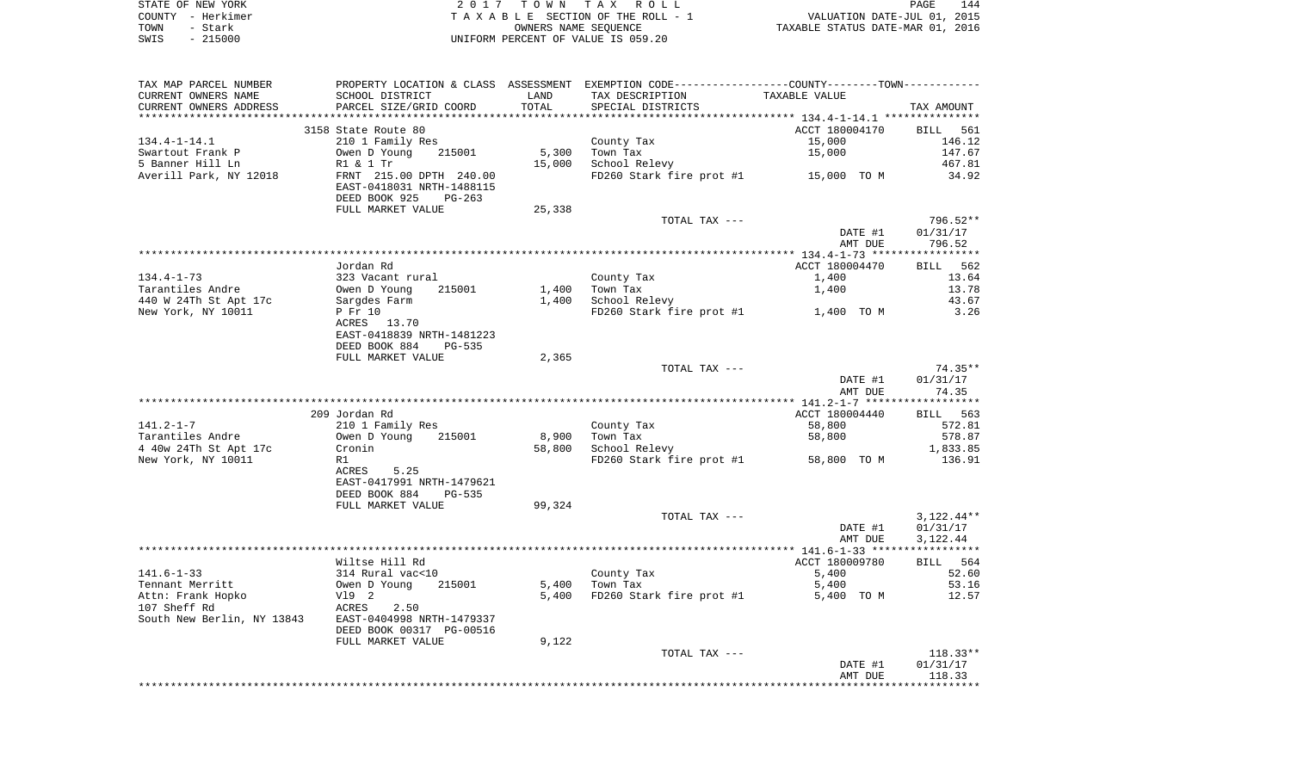| STATE OF NEW YORK | 2017 TOWN TAX ROLL                    | 144<br>PAGE                      |
|-------------------|---------------------------------------|----------------------------------|
| COUNTY - Herkimer | T A X A B L E SECTION OF THE ROLL - 1 | VALUATION DATE-JUL 01, 2015      |
| TOWN<br>– Stark   | OWNERS NAME SEOUENCE                  | TAXABLE STATUS DATE-MAR 01, 2016 |
| $-215000$<br>SWIS | UNIFORM PERCENT OF VALUE IS 059.20    |                                  |

| TAX MAP PARCEL NUMBER                                                                     |                                                                                       |        | PROPERTY LOCATION & CLASS ASSESSMENT EXEMPTION CODE---------------COUNTY-------TOWN---------- |                    |                                      |
|-------------------------------------------------------------------------------------------|---------------------------------------------------------------------------------------|--------|-----------------------------------------------------------------------------------------------|--------------------|--------------------------------------|
| CURRENT OWNERS NAME                                                                       | SCHOOL DISTRICT                                                                       | LAND   | TAX DESCRIPTION                                                                               | TAXABLE VALUE      |                                      |
| CURRENT OWNERS ADDRESS                                                                    | PARCEL SIZE/GRID COORD                                                                | TOTAL  | SPECIAL DISTRICTS                                                                             |                    | TAX AMOUNT                           |
|                                                                                           |                                                                                       |        |                                                                                               |                    |                                      |
|                                                                                           | 3158 State Route 80                                                                   |        |                                                                                               | ACCT 180004170     | BILL 561                             |
| $134.4 - 1 - 14.1$                                                                        | 210 1 Family Res                                                                      |        | County Tax                                                                                    | 15,000             | 146.12                               |
| Swartout Frank P                                                                          | Owen D Young<br>215001                                                                | 5,300  | Town Tax                                                                                      | 15,000             | 147.67                               |
| 5 Banner Hill Ln                                                                          | R1 & 1 Tr                                                                             | 15,000 | School Relevy                                                                                 |                    | 467.81                               |
| Averill Park, NY 12018                                                                    | FRNT 215.00 DPTH 240.00<br>EAST-0418031 NRTH-1488115<br>DEED BOOK 925<br>$PG-263$     |        | FD260 Stark fire prot #1 15,000 TO M                                                          |                    | 34.92                                |
|                                                                                           | FULL MARKET VALUE                                                                     | 25,338 |                                                                                               |                    |                                      |
|                                                                                           |                                                                                       |        | TOTAL TAX ---                                                                                 | DATE #1<br>AMT DUE | 796.52**<br>01/31/17<br>796.52       |
|                                                                                           |                                                                                       |        |                                                                                               |                    |                                      |
|                                                                                           | Jordan Rd                                                                             |        |                                                                                               | ACCT 180004470     | BILL 562                             |
| $134.4 - 1 - 73$                                                                          | 323 Vacant rural                                                                      |        | County Tax                                                                                    | 1,400              | 13.64                                |
| Tarantiles Andre                                                                          | Owen D Young<br>215001                                                                | 1,400  | Town Tax                                                                                      | 1,400              | 13.78                                |
| 440 W 24Th St Apt 17c                                                                     | Sargdes Farm                                                                          | 1,400  | School Relevy                                                                                 |                    | 43.67                                |
| New York, NY 10011                                                                        | P Fr 10<br>ACRES 13.70<br>EAST-0418839 NRTH-1481223<br>DEED BOOK 884<br><b>PG-535</b> |        | FD260 Stark fire prot $#1$ 1,400 TO M                                                         |                    | 3.26                                 |
|                                                                                           | FULL MARKET VALUE                                                                     | 2,365  |                                                                                               |                    |                                      |
|                                                                                           |                                                                                       |        | TOTAL TAX ---                                                                                 |                    | $74.35**$                            |
|                                                                                           |                                                                                       |        |                                                                                               | DATE #1<br>AMT DUE | 01/31/17<br>74.35                    |
|                                                                                           |                                                                                       |        |                                                                                               |                    | ***********                          |
|                                                                                           | 209 Jordan Rd                                                                         |        |                                                                                               | ACCT 180004440     | BILL 563                             |
| $141.2 - 1 - 7$                                                                           | 210 1 Family Res                                                                      |        | County Tax                                                                                    | 58,800             | 572.81                               |
| Tarantiles Andre                                                                          | Owen D Young<br>215001                                                                | 8,900  | Town Tax                                                                                      | 58,800             | 578.87                               |
| 4 40w 24Th St Apt 17c                                                                     | Cronin                                                                                | 58,800 | School Relevy                                                                                 |                    | 1,833.85                             |
| New York, NY 10011                                                                        | R1<br>5.25<br>ACRES<br>EAST-0417991 NRTH-1479621<br>DEED BOOK 884<br>PG-535           |        | FD260 Stark fire prot #1 58,800 TO M                                                          |                    | 136.91                               |
|                                                                                           | FULL MARKET VALUE                                                                     | 99,324 |                                                                                               |                    |                                      |
|                                                                                           |                                                                                       |        | TOTAL TAX ---                                                                                 | DATE #1<br>AMT DUE | $3,122.44**$<br>01/31/17<br>3,122.44 |
|                                                                                           |                                                                                       |        |                                                                                               |                    |                                      |
|                                                                                           | Wiltse Hill Rd                                                                        |        |                                                                                               | ACCT 180009780     | BILL 564                             |
| $141.6 - 1 - 33$                                                                          | 314 Rural vac<10                                                                      |        | County Tax                                                                                    | 5,400              | 52.60                                |
| Tennant Merritt                                                                           | Owen D Young<br>215001                                                                | 5,400  | Town Tax                                                                                      | 5,400              | 53.16                                |
| Attn: Frank Hopko<br>107 Sheff Rd<br>South New Berlin, NY 13843 EAST-0404998 NRTH-1479337 | V19 2<br>ACRES<br>2.50<br>DEED BOOK 00317 PG-00516                                    | 5,400  | FD260 Stark fire prot #1                                                                      | 5,400 TO M         | 12.57                                |
|                                                                                           | FULL MARKET VALUE                                                                     | 9,122  |                                                                                               |                    |                                      |
|                                                                                           |                                                                                       |        | TOTAL TAX ---                                                                                 |                    | $118.33**$                           |
|                                                                                           |                                                                                       |        |                                                                                               | DATE #1<br>AMT DUE | 01/31/17<br>118.33                   |
|                                                                                           |                                                                                       |        |                                                                                               |                    |                                      |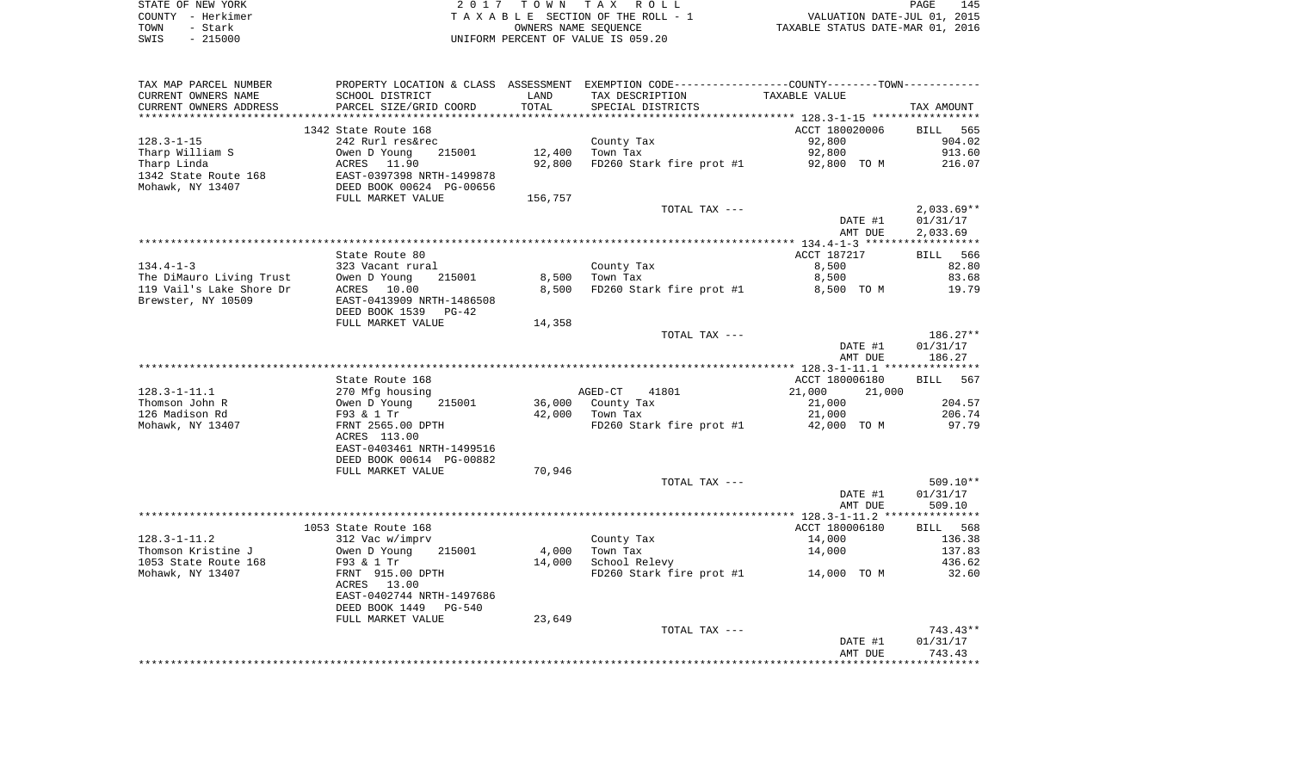| STATE OF NEW YORK |                                    | 2017 TOWN TAX ROLL   |                                  | PAGE | 145 |
|-------------------|------------------------------------|----------------------|----------------------------------|------|-----|
| COUNTY - Herkimer | TAXABLE SECTION OF THE ROLL - 1    |                      | VALUATION DATE-JUL 01, 2015      |      |     |
| TOWN<br>– Stark   |                                    | OWNERS NAME SEOUENCE | TAXABLE STATUS DATE-MAR 01, 2016 |      |     |
| $-215000$<br>SWIS | UNIFORM PERCENT OF VALUE IS 059.20 |                      |                                  |      |     |

| TAX MAP PARCEL NUMBER    | PROPERTY LOCATION & CLASS ASSESSMENT EXEMPTION CODE---------------COUNTY-------TOWN---------- |         |                                      |                    |                          |
|--------------------------|-----------------------------------------------------------------------------------------------|---------|--------------------------------------|--------------------|--------------------------|
| CURRENT OWNERS NAME      | SCHOOL DISTRICT                                                                               | LAND    | TAX DESCRIPTION                      | TAXABLE VALUE      |                          |
| CURRENT OWNERS ADDRESS   | PARCEL SIZE/GRID COORD                                                                        | TOTAL   | SPECIAL DISTRICTS                    |                    | TAX AMOUNT               |
| ***********************  |                                                                                               |         |                                      |                    |                          |
|                          | 1342 State Route 168                                                                          |         |                                      | ACCT 180020006     | BILL 565                 |
| $128.3 - 1 - 15$         | 242 Rurl res&rec                                                                              |         | County Tax                           | 92,800             | 904.02                   |
| Tharp William S          |                                                                                               | 12,400  | Town Tax                             | 92,800             | 913.60                   |
| Tharp Linda              |                                                                                               | 92,800  | FD260 Stark fire prot #1 92,800 TO M |                    | 216.07                   |
| 1342 State Route 168     | Owen D Young 215001<br>ACRES 11.90<br>EAST-0397398 NRTH-1499878<br>DEED BOOK 00624 PG-00656   |         |                                      |                    |                          |
| Mohawk, NY 13407         |                                                                                               |         |                                      |                    |                          |
|                          | FULL MARKET VALUE                                                                             | 156,757 |                                      |                    |                          |
|                          |                                                                                               |         | TOTAL TAX ---                        | DATE #1            | $2,033.69**$<br>01/31/17 |
|                          |                                                                                               |         |                                      | AMT DUE            | 2,033.69                 |
|                          |                                                                                               |         |                                      |                    |                          |
|                          | State Route 80                                                                                |         |                                      | ACCT 187217        | BILL 566                 |
| $134.4 - 1 - 3$          | 323 Vacant rural                                                                              |         | County Tax                           | 8,500              | 82.80                    |
| The DiMauro Living Trust | 215001                                                                                        |         | 8,500 Town Tax                       | 8,500              | 83.68                    |
| 119 Vail's Lake Shore Dr | Owen D Young<br>ACRES 10.00                                                                   | 8,500   | FD260 Stark fire prot #1             | 8,500 TO M         | 19.79                    |
| Brewster, NY 10509       | EAST-0413909 NRTH-1486508                                                                     |         |                                      |                    |                          |
|                          | DEED BOOK 1539 PG-42                                                                          |         |                                      |                    |                          |
|                          | FULL MARKET VALUE                                                                             | 14,358  |                                      |                    |                          |
|                          |                                                                                               |         | TOTAL TAX ---                        |                    | $186.27**$               |
|                          |                                                                                               |         |                                      | DATE #1            | 01/31/17                 |
|                          |                                                                                               |         |                                      | AMT DUE            | 186.27                   |
|                          |                                                                                               |         |                                      |                    |                          |
|                          | State Route 168                                                                               |         |                                      | ACCT 180006180     | BILL 567                 |
| $128.3 - 1 - 11.1$       | 270 Mfg housing<br>Owen D Young<br>F93 & 1 Tr                                                 |         | AGED-CT<br>41801                     | 21,000<br>21,000   |                          |
| Thomson John R           | 215001                                                                                        |         | 36,000 County Tax                    | 21,000             | 204.57                   |
| 126 Madison Rd           |                                                                                               |         | 42,000 Town Tax                      | 21,000             | 206.74                   |
| Mohawk, NY 13407         | FRNT 2565.00 DPTH<br>ACRES 113.00                                                             |         | FD260 Stark fire prot #1             | 42,000 TO M        | 97.79                    |
|                          | EAST-0403461 NRTH-1499516                                                                     |         |                                      |                    |                          |
|                          | DEED BOOK 00614 PG-00882                                                                      |         |                                      |                    |                          |
|                          | FULL MARKET VALUE                                                                             | 70,946  |                                      |                    |                          |
|                          |                                                                                               |         | TOTAL TAX ---                        |                    | $509.10**$               |
|                          |                                                                                               |         |                                      | DATE #1            | 01/31/17                 |
|                          |                                                                                               |         |                                      | AMT DUE            | 509.10                   |
|                          |                                                                                               |         |                                      |                    |                          |
|                          | 1053 State Route 168                                                                          |         |                                      | ACCT 180006180     | BILL 568                 |
| $128.3 - 1 - 11.2$       | 312 Vac w/imprv                                                                               |         | County Tax                           | 14,000             | 136.38                   |
| Thomson Kristine J       | Owen D Young<br>215001                                                                        | 4,000   | Town Tax                             | 14,000             | 137.83                   |
| 1053 State Route 168     | F93 & 1 Tr                                                                                    | 14,000  | School Relevy                        |                    | 436.62                   |
| Mohawk, NY 13407         | FRNT 915.00 DPTH                                                                              |         | FD260 Stark fire prot #1 14,000 TO M |                    | 32.60                    |
|                          | ACRES 13.00                                                                                   |         |                                      |                    |                          |
|                          | EAST-0402744 NRTH-1497686                                                                     |         |                                      |                    |                          |
|                          | DEED BOOK 1449 PG-540                                                                         |         |                                      |                    |                          |
|                          | FULL MARKET VALUE                                                                             | 23,649  |                                      |                    |                          |
|                          |                                                                                               |         | TOTAL TAX ---                        |                    | 743.43**                 |
|                          |                                                                                               |         |                                      | DATE #1<br>AMT DUE | 01/31/17<br>743.43       |
|                          |                                                                                               |         |                                      |                    |                          |
|                          |                                                                                               |         |                                      |                    |                          |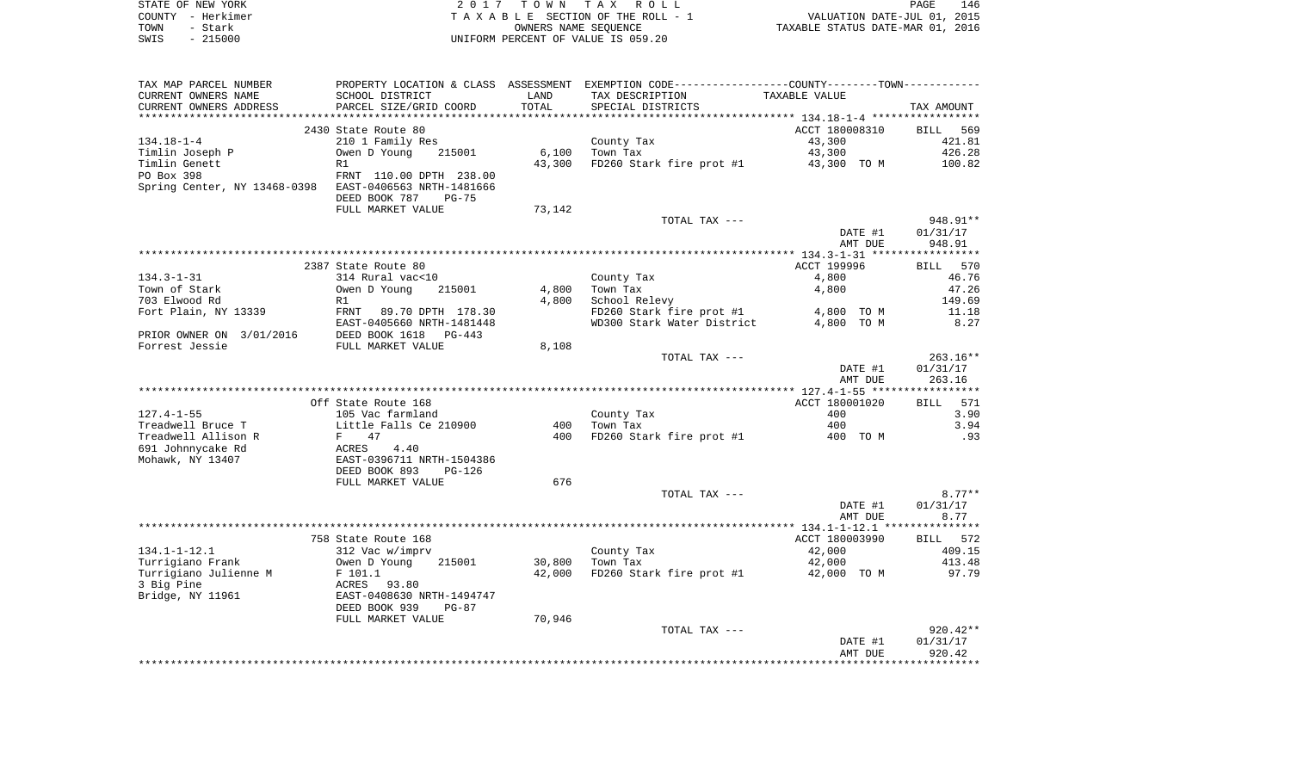| STATE OF NEW YORK | 2017 TOWN TAX ROLL                 | 146<br>PAGE                      |
|-------------------|------------------------------------|----------------------------------|
| COUNTY – Herkimer | TAXABLE SECTION OF THE ROLL - 1    | VALUATION DATE-JUL 01, 2015      |
| TOWN<br>- Stark   | OWNERS NAME SEOUENCE               | TAXABLE STATUS DATE-MAR 01, 2016 |
| $-215000$<br>SWIS | UNIFORM PERCENT OF VALUE IS 059.20 |                                  |

| TAX MAP PARCEL NUMBER                    |                                                        |                 | PROPERTY LOCATION & CLASS ASSESSMENT EXEMPTION CODE---------------COUNTY-------TOWN---------- |                 |                    |
|------------------------------------------|--------------------------------------------------------|-----------------|-----------------------------------------------------------------------------------------------|-----------------|--------------------|
| CURRENT OWNERS NAME                      | SCHOOL DISTRICT                                        | LAND            | TAX DESCRIPTION                                                                               | TAXABLE VALUE   |                    |
| CURRENT OWNERS ADDRESS                   | PARCEL SIZE/GRID COORD                                 | TOTAL           | SPECIAL DISTRICTS                                                                             |                 | TAX AMOUNT         |
| *******************                      | *************************                              | *************** |                                                                                               |                 |                    |
|                                          | 2430 State Route 80                                    |                 |                                                                                               | ACCT 180008310  | BILL<br>569        |
| $134.18 - 1 - 4$                         | 210 1 Family Res                                       |                 | County Tax                                                                                    | 43,300          | 421.81             |
| Timlin Joseph P                          | Owen D Young<br>215001                                 | 6,100           | Town Tax                                                                                      | 43,300          | 426.28             |
| Timlin Genett                            | R1                                                     | 43,300          | FD260 Stark fire prot #1                                                                      | 43,300 TO M     | 100.82             |
| PO Box 398                               | FRNT 110.00 DPTH 238.00                                |                 |                                                                                               |                 |                    |
| Spring Center, NY 13468-0398             | EAST-0406563 NRTH-1481666                              |                 |                                                                                               |                 |                    |
|                                          | DEED BOOK 787<br>$PG-75$                               |                 |                                                                                               |                 |                    |
|                                          | FULL MARKET VALUE                                      | 73,142          |                                                                                               |                 |                    |
|                                          |                                                        |                 | TOTAL TAX ---                                                                                 |                 | 948.91**           |
|                                          |                                                        |                 |                                                                                               | DATE #1         | 01/31/17           |
|                                          |                                                        |                 |                                                                                               | AMT DUE         | 948.91             |
|                                          |                                                        |                 |                                                                                               |                 |                    |
|                                          | 2387 State Route 80                                    |                 |                                                                                               | ACCT 199996     | 570<br><b>BILL</b> |
| $134.3 - 1 - 31$                         | 314 Rural vac<10                                       |                 | County Tax                                                                                    | 4,800           | 46.76              |
| Town of Stark                            | Owen D Young<br>215001                                 | 4,800           | Town Tax                                                                                      | 4,800           | 47.26              |
| 703 Elwood Rd                            | R1                                                     | 4,800           | School Relevy                                                                                 |                 | 149.69             |
| Fort Plain, NY 13339                     | FRNT<br>89.70 DPTH 178.30                              |                 | FD260 Stark fire prot #1                                                                      | 4,800 TO M      | 11.18              |
|                                          | EAST-0405660 NRTH-1481448                              |                 | WD300 Stark Water District                                                                    | 4,800 TO M      | 8.27               |
| PRIOR OWNER ON 3/01/2016                 | DEED BOOK 1618<br>$PG-443$                             |                 |                                                                                               |                 |                    |
| Forrest Jessie                           | FULL MARKET VALUE                                      | 8,108           |                                                                                               |                 |                    |
|                                          |                                                        |                 | TOTAL TAX ---                                                                                 |                 | $263.16**$         |
|                                          |                                                        |                 |                                                                                               | DATE #1         | 01/31/17           |
|                                          |                                                        |                 |                                                                                               | AMT DUE         | 263.16             |
|                                          |                                                        |                 |                                                                                               |                 |                    |
|                                          | Off State Route 168                                    |                 |                                                                                               | ACCT 180001020  | 571<br><b>BILL</b> |
| $127.4 - 1 - 55$                         | 105 Vac farmland                                       |                 | County Tax                                                                                    | 400             | 3.90               |
| Treadwell Bruce T<br>Treadwell Allison R | Little Falls Ce 210900<br>47<br>F                      | 400<br>400      | Town Tax<br>FD260 Stark fire prot #1                                                          | 400<br>400 TO M | 3.94<br>.93        |
|                                          |                                                        |                 |                                                                                               |                 |                    |
| 691 Johnnycake Rd<br>Mohawk, NY 13407    | ACRES<br>4.40                                          |                 |                                                                                               |                 |                    |
|                                          | EAST-0396711 NRTH-1504386<br>DEED BOOK 893<br>$PG-126$ |                 |                                                                                               |                 |                    |
|                                          | FULL MARKET VALUE                                      | 676             |                                                                                               |                 |                    |
|                                          |                                                        |                 | TOTAL TAX ---                                                                                 |                 | $8.77**$           |
|                                          |                                                        |                 |                                                                                               | DATE #1         | 01/31/17           |
|                                          |                                                        |                 |                                                                                               | AMT DUE         | 8.77               |
|                                          |                                                        |                 |                                                                                               |                 |                    |
|                                          | 758 State Route 168                                    |                 |                                                                                               | ACCT 180003990  | BILL 572           |
| $134.1 - 1 - 12.1$                       | 312 Vac w/imprv                                        |                 | County Tax                                                                                    | 42,000          | 409.15             |
| Turrigiano Frank                         | Owen D Young<br>215001                                 | 30,800          | Town Tax                                                                                      | 42,000          | 413.48             |
| Turrigiano Julienne M                    | F 101.1                                                | 42,000          | FD260 Stark fire prot #1                                                                      | 42,000 TO M     | 97.79              |
| 3 Big Pine                               | ACRES<br>93.80                                         |                 |                                                                                               |                 |                    |
| Bridge, NY 11961                         | EAST-0408630 NRTH-1494747                              |                 |                                                                                               |                 |                    |
|                                          | DEED BOOK 939<br>$PG-87$                               |                 |                                                                                               |                 |                    |
|                                          | FULL MARKET VALUE                                      | 70,946          |                                                                                               |                 |                    |
|                                          |                                                        |                 | TOTAL TAX ---                                                                                 |                 | 920.42**           |
|                                          |                                                        |                 |                                                                                               | DATE #1         | 01/31/17           |
|                                          |                                                        |                 |                                                                                               | AMT DUE         | 920.42             |
|                                          |                                                        |                 |                                                                                               |                 |                    |
|                                          |                                                        |                 |                                                                                               |                 |                    |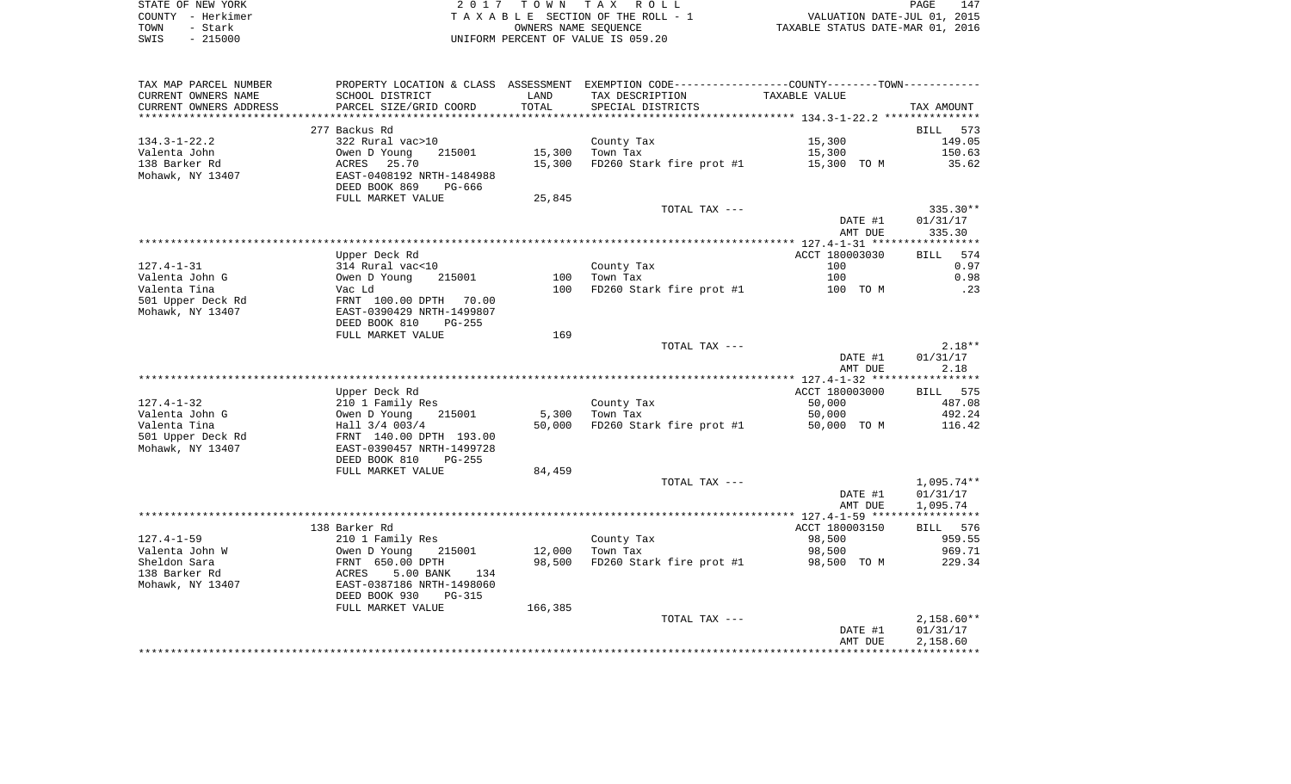|      | STATE OF NEW YORK | 2017 TOWN TAX ROLL                 | 147<br>PAGE                      |
|------|-------------------|------------------------------------|----------------------------------|
|      | COUNTY - Herkimer | TAXABLE SECTION OF THE ROLL - 1    | VALUATION DATE-JUL 01, 2015      |
| TOWN | - Stark           | OWNERS NAME SEOUENCE               | TAXABLE STATUS DATE-MAR 01, 2016 |
| SWIS | $-215000$         | UNIFORM PERCENT OF VALUE IS 059.20 |                                  |

| SCHOOL DISTRICT<br>LAND<br>TAX DESCRIPTION<br>TAXABLE VALUE<br>TOTAL<br>PARCEL SIZE/GRID COORD<br>SPECIAL DISTRICTS<br>TAX AMOUNT<br>*********************<br>277 Backus Rd<br>BILL 573<br>322 Rural vac>10<br>15,300<br>149.05<br>County Tax<br>Owen D Young<br>15,300<br>Town Tax<br>15,300<br>150.63<br>215001<br>15,300<br>FD260 Stark fire prot #1<br>15,300 TO M<br>35.62<br>ACRES 25.70<br>Mohawk, NY 13407<br>EAST-0408192 NRTH-1484988<br>DEED BOOK 869<br>PG-666<br>FULL MARKET VALUE<br>25,845<br>$335.30**$<br>TOTAL TAX ---<br>01/31/17<br>DATE #1<br>AMT DUE<br>335.30<br>574<br>Upper Deck Rd<br>ACCT 180003030<br>BILL<br>$127.4 - 1 - 31$<br>314 Rural vac<10<br>County Tax<br>100<br>0.97<br>0.98<br>Valenta John G<br>Owen D Young<br>100<br>Town Tax<br>100<br>215001<br>Valenta Tina<br>100<br>FD260 Stark fire prot #1<br>.23<br>Vac Ld<br>100 TO M<br>501 Upper Deck Rd<br>FRNT 100.00 DPTH<br>70.00<br>Mohawk, NY 13407<br>EAST-0390429 NRTH-1499807<br>DEED BOOK 810<br>$PG-255$<br>FULL MARKET VALUE<br>169<br>$2.18**$<br>TOTAL TAX ---<br>01/31/17<br>DATE #1<br>AMT DUE<br>2.18<br>ACCT 180003000<br>Upper Deck Rd<br>BILL 575<br>$127.4 - 1 - 32$<br>County Tax<br>50,000<br>487.08<br>210 1 Family Res<br>492.24<br>Valenta John G<br>Owen D Young<br>215001<br>5,300<br>Town Tax<br>50,000<br>Valenta Tina<br>Hall 3/4 003/4<br>FD260 Stark fire prot #1<br>50,000<br>50,000 TO M<br>116.42<br>501 Upper Deck Rd<br>FRNT 140.00 DPTH 193.00<br>Mohawk, NY 13407<br>EAST-0390457 NRTH-1499728<br>DEED BOOK 810<br>$PG-255$<br>FULL MARKET VALUE<br>84,459<br>$1,095.74**$<br>TOTAL TAX ---<br>01/31/17<br>DATE #1<br>1,095.74<br>AMT DUE<br>138 Barker Rd<br>ACCT 180003150<br>BILL 576<br>98,500<br>959.55<br>210 1 Family Res<br>County Tax<br>215001<br>12,000<br>Town Tax<br>98,500<br>969.71<br>Owen D Young<br>98,500<br>FD260 Stark fire prot #1<br>229.34<br>FRNT 650.00 DPTH<br>98,500 TO M<br>5.00 BANK<br>ACRES<br>134<br>EAST-0387186 NRTH-1498060<br>DEED BOOK 930<br><b>PG-315</b><br>166,385<br>FULL MARKET VALUE<br>$2,158.60**$<br>TOTAL TAX ---<br>DATE #1<br>01/31/17<br>2,158.60<br>AMT DUE | TAX MAP PARCEL NUMBER  |  | PROPERTY LOCATION & CLASS ASSESSMENT EXEMPTION CODE----------------COUNTY--------TOWN----------- |  |
|------------------------------------------------------------------------------------------------------------------------------------------------------------------------------------------------------------------------------------------------------------------------------------------------------------------------------------------------------------------------------------------------------------------------------------------------------------------------------------------------------------------------------------------------------------------------------------------------------------------------------------------------------------------------------------------------------------------------------------------------------------------------------------------------------------------------------------------------------------------------------------------------------------------------------------------------------------------------------------------------------------------------------------------------------------------------------------------------------------------------------------------------------------------------------------------------------------------------------------------------------------------------------------------------------------------------------------------------------------------------------------------------------------------------------------------------------------------------------------------------------------------------------------------------------------------------------------------------------------------------------------------------------------------------------------------------------------------------------------------------------------------------------------------------------------------------------------------------------------------------------------------------------------------------------------------------------------------------------------------------------------------------------------------------------------------------------------------------------------------------------------------------|------------------------|--|--------------------------------------------------------------------------------------------------|--|
|                                                                                                                                                                                                                                                                                                                                                                                                                                                                                                                                                                                                                                                                                                                                                                                                                                                                                                                                                                                                                                                                                                                                                                                                                                                                                                                                                                                                                                                                                                                                                                                                                                                                                                                                                                                                                                                                                                                                                                                                                                                                                                                                                | CURRENT OWNERS NAME    |  |                                                                                                  |  |
|                                                                                                                                                                                                                                                                                                                                                                                                                                                                                                                                                                                                                                                                                                                                                                                                                                                                                                                                                                                                                                                                                                                                                                                                                                                                                                                                                                                                                                                                                                                                                                                                                                                                                                                                                                                                                                                                                                                                                                                                                                                                                                                                                | CURRENT OWNERS ADDRESS |  |                                                                                                  |  |
|                                                                                                                                                                                                                                                                                                                                                                                                                                                                                                                                                                                                                                                                                                                                                                                                                                                                                                                                                                                                                                                                                                                                                                                                                                                                                                                                                                                                                                                                                                                                                                                                                                                                                                                                                                                                                                                                                                                                                                                                                                                                                                                                                |                        |  |                                                                                                  |  |
|                                                                                                                                                                                                                                                                                                                                                                                                                                                                                                                                                                                                                                                                                                                                                                                                                                                                                                                                                                                                                                                                                                                                                                                                                                                                                                                                                                                                                                                                                                                                                                                                                                                                                                                                                                                                                                                                                                                                                                                                                                                                                                                                                |                        |  |                                                                                                  |  |
|                                                                                                                                                                                                                                                                                                                                                                                                                                                                                                                                                                                                                                                                                                                                                                                                                                                                                                                                                                                                                                                                                                                                                                                                                                                                                                                                                                                                                                                                                                                                                                                                                                                                                                                                                                                                                                                                                                                                                                                                                                                                                                                                                | $134.3 - 1 - 22.2$     |  |                                                                                                  |  |
|                                                                                                                                                                                                                                                                                                                                                                                                                                                                                                                                                                                                                                                                                                                                                                                                                                                                                                                                                                                                                                                                                                                                                                                                                                                                                                                                                                                                                                                                                                                                                                                                                                                                                                                                                                                                                                                                                                                                                                                                                                                                                                                                                | Valenta John           |  |                                                                                                  |  |
|                                                                                                                                                                                                                                                                                                                                                                                                                                                                                                                                                                                                                                                                                                                                                                                                                                                                                                                                                                                                                                                                                                                                                                                                                                                                                                                                                                                                                                                                                                                                                                                                                                                                                                                                                                                                                                                                                                                                                                                                                                                                                                                                                | 138 Barker Rd          |  |                                                                                                  |  |
|                                                                                                                                                                                                                                                                                                                                                                                                                                                                                                                                                                                                                                                                                                                                                                                                                                                                                                                                                                                                                                                                                                                                                                                                                                                                                                                                                                                                                                                                                                                                                                                                                                                                                                                                                                                                                                                                                                                                                                                                                                                                                                                                                |                        |  |                                                                                                  |  |
|                                                                                                                                                                                                                                                                                                                                                                                                                                                                                                                                                                                                                                                                                                                                                                                                                                                                                                                                                                                                                                                                                                                                                                                                                                                                                                                                                                                                                                                                                                                                                                                                                                                                                                                                                                                                                                                                                                                                                                                                                                                                                                                                                |                        |  |                                                                                                  |  |
|                                                                                                                                                                                                                                                                                                                                                                                                                                                                                                                                                                                                                                                                                                                                                                                                                                                                                                                                                                                                                                                                                                                                                                                                                                                                                                                                                                                                                                                                                                                                                                                                                                                                                                                                                                                                                                                                                                                                                                                                                                                                                                                                                |                        |  |                                                                                                  |  |
|                                                                                                                                                                                                                                                                                                                                                                                                                                                                                                                                                                                                                                                                                                                                                                                                                                                                                                                                                                                                                                                                                                                                                                                                                                                                                                                                                                                                                                                                                                                                                                                                                                                                                                                                                                                                                                                                                                                                                                                                                                                                                                                                                |                        |  |                                                                                                  |  |
|                                                                                                                                                                                                                                                                                                                                                                                                                                                                                                                                                                                                                                                                                                                                                                                                                                                                                                                                                                                                                                                                                                                                                                                                                                                                                                                                                                                                                                                                                                                                                                                                                                                                                                                                                                                                                                                                                                                                                                                                                                                                                                                                                |                        |  |                                                                                                  |  |
|                                                                                                                                                                                                                                                                                                                                                                                                                                                                                                                                                                                                                                                                                                                                                                                                                                                                                                                                                                                                                                                                                                                                                                                                                                                                                                                                                                                                                                                                                                                                                                                                                                                                                                                                                                                                                                                                                                                                                                                                                                                                                                                                                |                        |  |                                                                                                  |  |
|                                                                                                                                                                                                                                                                                                                                                                                                                                                                                                                                                                                                                                                                                                                                                                                                                                                                                                                                                                                                                                                                                                                                                                                                                                                                                                                                                                                                                                                                                                                                                                                                                                                                                                                                                                                                                                                                                                                                                                                                                                                                                                                                                |                        |  |                                                                                                  |  |
|                                                                                                                                                                                                                                                                                                                                                                                                                                                                                                                                                                                                                                                                                                                                                                                                                                                                                                                                                                                                                                                                                                                                                                                                                                                                                                                                                                                                                                                                                                                                                                                                                                                                                                                                                                                                                                                                                                                                                                                                                                                                                                                                                |                        |  |                                                                                                  |  |
|                                                                                                                                                                                                                                                                                                                                                                                                                                                                                                                                                                                                                                                                                                                                                                                                                                                                                                                                                                                                                                                                                                                                                                                                                                                                                                                                                                                                                                                                                                                                                                                                                                                                                                                                                                                                                                                                                                                                                                                                                                                                                                                                                |                        |  |                                                                                                  |  |
|                                                                                                                                                                                                                                                                                                                                                                                                                                                                                                                                                                                                                                                                                                                                                                                                                                                                                                                                                                                                                                                                                                                                                                                                                                                                                                                                                                                                                                                                                                                                                                                                                                                                                                                                                                                                                                                                                                                                                                                                                                                                                                                                                |                        |  |                                                                                                  |  |
|                                                                                                                                                                                                                                                                                                                                                                                                                                                                                                                                                                                                                                                                                                                                                                                                                                                                                                                                                                                                                                                                                                                                                                                                                                                                                                                                                                                                                                                                                                                                                                                                                                                                                                                                                                                                                                                                                                                                                                                                                                                                                                                                                |                        |  |                                                                                                  |  |
|                                                                                                                                                                                                                                                                                                                                                                                                                                                                                                                                                                                                                                                                                                                                                                                                                                                                                                                                                                                                                                                                                                                                                                                                                                                                                                                                                                                                                                                                                                                                                                                                                                                                                                                                                                                                                                                                                                                                                                                                                                                                                                                                                |                        |  |                                                                                                  |  |
|                                                                                                                                                                                                                                                                                                                                                                                                                                                                                                                                                                                                                                                                                                                                                                                                                                                                                                                                                                                                                                                                                                                                                                                                                                                                                                                                                                                                                                                                                                                                                                                                                                                                                                                                                                                                                                                                                                                                                                                                                                                                                                                                                |                        |  |                                                                                                  |  |
|                                                                                                                                                                                                                                                                                                                                                                                                                                                                                                                                                                                                                                                                                                                                                                                                                                                                                                                                                                                                                                                                                                                                                                                                                                                                                                                                                                                                                                                                                                                                                                                                                                                                                                                                                                                                                                                                                                                                                                                                                                                                                                                                                |                        |  |                                                                                                  |  |
|                                                                                                                                                                                                                                                                                                                                                                                                                                                                                                                                                                                                                                                                                                                                                                                                                                                                                                                                                                                                                                                                                                                                                                                                                                                                                                                                                                                                                                                                                                                                                                                                                                                                                                                                                                                                                                                                                                                                                                                                                                                                                                                                                |                        |  |                                                                                                  |  |
|                                                                                                                                                                                                                                                                                                                                                                                                                                                                                                                                                                                                                                                                                                                                                                                                                                                                                                                                                                                                                                                                                                                                                                                                                                                                                                                                                                                                                                                                                                                                                                                                                                                                                                                                                                                                                                                                                                                                                                                                                                                                                                                                                |                        |  |                                                                                                  |  |
|                                                                                                                                                                                                                                                                                                                                                                                                                                                                                                                                                                                                                                                                                                                                                                                                                                                                                                                                                                                                                                                                                                                                                                                                                                                                                                                                                                                                                                                                                                                                                                                                                                                                                                                                                                                                                                                                                                                                                                                                                                                                                                                                                |                        |  |                                                                                                  |  |
|                                                                                                                                                                                                                                                                                                                                                                                                                                                                                                                                                                                                                                                                                                                                                                                                                                                                                                                                                                                                                                                                                                                                                                                                                                                                                                                                                                                                                                                                                                                                                                                                                                                                                                                                                                                                                                                                                                                                                                                                                                                                                                                                                |                        |  |                                                                                                  |  |
|                                                                                                                                                                                                                                                                                                                                                                                                                                                                                                                                                                                                                                                                                                                                                                                                                                                                                                                                                                                                                                                                                                                                                                                                                                                                                                                                                                                                                                                                                                                                                                                                                                                                                                                                                                                                                                                                                                                                                                                                                                                                                                                                                |                        |  |                                                                                                  |  |
|                                                                                                                                                                                                                                                                                                                                                                                                                                                                                                                                                                                                                                                                                                                                                                                                                                                                                                                                                                                                                                                                                                                                                                                                                                                                                                                                                                                                                                                                                                                                                                                                                                                                                                                                                                                                                                                                                                                                                                                                                                                                                                                                                |                        |  |                                                                                                  |  |
|                                                                                                                                                                                                                                                                                                                                                                                                                                                                                                                                                                                                                                                                                                                                                                                                                                                                                                                                                                                                                                                                                                                                                                                                                                                                                                                                                                                                                                                                                                                                                                                                                                                                                                                                                                                                                                                                                                                                                                                                                                                                                                                                                |                        |  |                                                                                                  |  |
|                                                                                                                                                                                                                                                                                                                                                                                                                                                                                                                                                                                                                                                                                                                                                                                                                                                                                                                                                                                                                                                                                                                                                                                                                                                                                                                                                                                                                                                                                                                                                                                                                                                                                                                                                                                                                                                                                                                                                                                                                                                                                                                                                |                        |  |                                                                                                  |  |
|                                                                                                                                                                                                                                                                                                                                                                                                                                                                                                                                                                                                                                                                                                                                                                                                                                                                                                                                                                                                                                                                                                                                                                                                                                                                                                                                                                                                                                                                                                                                                                                                                                                                                                                                                                                                                                                                                                                                                                                                                                                                                                                                                |                        |  |                                                                                                  |  |
|                                                                                                                                                                                                                                                                                                                                                                                                                                                                                                                                                                                                                                                                                                                                                                                                                                                                                                                                                                                                                                                                                                                                                                                                                                                                                                                                                                                                                                                                                                                                                                                                                                                                                                                                                                                                                                                                                                                                                                                                                                                                                                                                                |                        |  |                                                                                                  |  |
|                                                                                                                                                                                                                                                                                                                                                                                                                                                                                                                                                                                                                                                                                                                                                                                                                                                                                                                                                                                                                                                                                                                                                                                                                                                                                                                                                                                                                                                                                                                                                                                                                                                                                                                                                                                                                                                                                                                                                                                                                                                                                                                                                |                        |  |                                                                                                  |  |
|                                                                                                                                                                                                                                                                                                                                                                                                                                                                                                                                                                                                                                                                                                                                                                                                                                                                                                                                                                                                                                                                                                                                                                                                                                                                                                                                                                                                                                                                                                                                                                                                                                                                                                                                                                                                                                                                                                                                                                                                                                                                                                                                                |                        |  |                                                                                                  |  |
|                                                                                                                                                                                                                                                                                                                                                                                                                                                                                                                                                                                                                                                                                                                                                                                                                                                                                                                                                                                                                                                                                                                                                                                                                                                                                                                                                                                                                                                                                                                                                                                                                                                                                                                                                                                                                                                                                                                                                                                                                                                                                                                                                |                        |  |                                                                                                  |  |
|                                                                                                                                                                                                                                                                                                                                                                                                                                                                                                                                                                                                                                                                                                                                                                                                                                                                                                                                                                                                                                                                                                                                                                                                                                                                                                                                                                                                                                                                                                                                                                                                                                                                                                                                                                                                                                                                                                                                                                                                                                                                                                                                                |                        |  |                                                                                                  |  |
|                                                                                                                                                                                                                                                                                                                                                                                                                                                                                                                                                                                                                                                                                                                                                                                                                                                                                                                                                                                                                                                                                                                                                                                                                                                                                                                                                                                                                                                                                                                                                                                                                                                                                                                                                                                                                                                                                                                                                                                                                                                                                                                                                |                        |  |                                                                                                  |  |
|                                                                                                                                                                                                                                                                                                                                                                                                                                                                                                                                                                                                                                                                                                                                                                                                                                                                                                                                                                                                                                                                                                                                                                                                                                                                                                                                                                                                                                                                                                                                                                                                                                                                                                                                                                                                                                                                                                                                                                                                                                                                                                                                                |                        |  |                                                                                                  |  |
|                                                                                                                                                                                                                                                                                                                                                                                                                                                                                                                                                                                                                                                                                                                                                                                                                                                                                                                                                                                                                                                                                                                                                                                                                                                                                                                                                                                                                                                                                                                                                                                                                                                                                                                                                                                                                                                                                                                                                                                                                                                                                                                                                |                        |  |                                                                                                  |  |
|                                                                                                                                                                                                                                                                                                                                                                                                                                                                                                                                                                                                                                                                                                                                                                                                                                                                                                                                                                                                                                                                                                                                                                                                                                                                                                                                                                                                                                                                                                                                                                                                                                                                                                                                                                                                                                                                                                                                                                                                                                                                                                                                                | $127.4 - 1 - 59$       |  |                                                                                                  |  |
|                                                                                                                                                                                                                                                                                                                                                                                                                                                                                                                                                                                                                                                                                                                                                                                                                                                                                                                                                                                                                                                                                                                                                                                                                                                                                                                                                                                                                                                                                                                                                                                                                                                                                                                                                                                                                                                                                                                                                                                                                                                                                                                                                | Valenta John W         |  |                                                                                                  |  |
|                                                                                                                                                                                                                                                                                                                                                                                                                                                                                                                                                                                                                                                                                                                                                                                                                                                                                                                                                                                                                                                                                                                                                                                                                                                                                                                                                                                                                                                                                                                                                                                                                                                                                                                                                                                                                                                                                                                                                                                                                                                                                                                                                | Sheldon Sara           |  |                                                                                                  |  |
|                                                                                                                                                                                                                                                                                                                                                                                                                                                                                                                                                                                                                                                                                                                                                                                                                                                                                                                                                                                                                                                                                                                                                                                                                                                                                                                                                                                                                                                                                                                                                                                                                                                                                                                                                                                                                                                                                                                                                                                                                                                                                                                                                | 138 Barker Rd          |  |                                                                                                  |  |
|                                                                                                                                                                                                                                                                                                                                                                                                                                                                                                                                                                                                                                                                                                                                                                                                                                                                                                                                                                                                                                                                                                                                                                                                                                                                                                                                                                                                                                                                                                                                                                                                                                                                                                                                                                                                                                                                                                                                                                                                                                                                                                                                                | Mohawk, NY 13407       |  |                                                                                                  |  |
|                                                                                                                                                                                                                                                                                                                                                                                                                                                                                                                                                                                                                                                                                                                                                                                                                                                                                                                                                                                                                                                                                                                                                                                                                                                                                                                                                                                                                                                                                                                                                                                                                                                                                                                                                                                                                                                                                                                                                                                                                                                                                                                                                |                        |  |                                                                                                  |  |
|                                                                                                                                                                                                                                                                                                                                                                                                                                                                                                                                                                                                                                                                                                                                                                                                                                                                                                                                                                                                                                                                                                                                                                                                                                                                                                                                                                                                                                                                                                                                                                                                                                                                                                                                                                                                                                                                                                                                                                                                                                                                                                                                                |                        |  |                                                                                                  |  |
|                                                                                                                                                                                                                                                                                                                                                                                                                                                                                                                                                                                                                                                                                                                                                                                                                                                                                                                                                                                                                                                                                                                                                                                                                                                                                                                                                                                                                                                                                                                                                                                                                                                                                                                                                                                                                                                                                                                                                                                                                                                                                                                                                |                        |  |                                                                                                  |  |
|                                                                                                                                                                                                                                                                                                                                                                                                                                                                                                                                                                                                                                                                                                                                                                                                                                                                                                                                                                                                                                                                                                                                                                                                                                                                                                                                                                                                                                                                                                                                                                                                                                                                                                                                                                                                                                                                                                                                                                                                                                                                                                                                                |                        |  |                                                                                                  |  |
|                                                                                                                                                                                                                                                                                                                                                                                                                                                                                                                                                                                                                                                                                                                                                                                                                                                                                                                                                                                                                                                                                                                                                                                                                                                                                                                                                                                                                                                                                                                                                                                                                                                                                                                                                                                                                                                                                                                                                                                                                                                                                                                                                |                        |  |                                                                                                  |  |
|                                                                                                                                                                                                                                                                                                                                                                                                                                                                                                                                                                                                                                                                                                                                                                                                                                                                                                                                                                                                                                                                                                                                                                                                                                                                                                                                                                                                                                                                                                                                                                                                                                                                                                                                                                                                                                                                                                                                                                                                                                                                                                                                                |                        |  |                                                                                                  |  |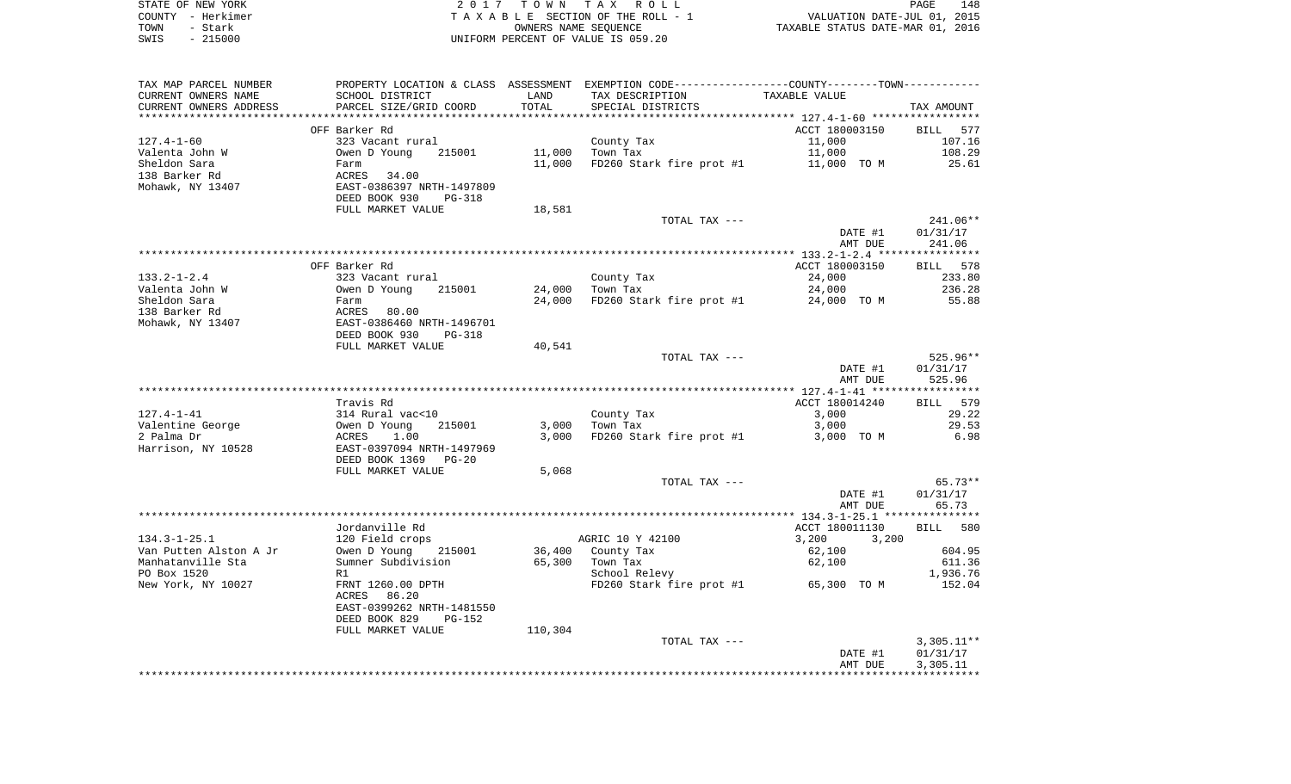| STATE OF NEW YORK | 2017 TOWN TAX ROLL                 | 148<br>PAGE                      |
|-------------------|------------------------------------|----------------------------------|
| COUNTY - Herkimer | TAXABLE SECTION OF THE ROLL - 1    | VALUATION DATE-JUL 01, 2015      |
| TOWN<br>- Stark   | OWNERS NAME SEOUENCE               | TAXABLE STATUS DATE-MAR 01, 2016 |
| $-215000$<br>SWIS | UNIFORM PERCENT OF VALUE IS 059.20 |                                  |

| TAX MAP PARCEL NUMBER  |                                |         | PROPERTY LOCATION & CLASS ASSESSMENT EXEMPTION CODE---------------COUNTY-------TOWN---------- |                      |              |
|------------------------|--------------------------------|---------|-----------------------------------------------------------------------------------------------|----------------------|--------------|
| CURRENT OWNERS NAME    | SCHOOL DISTRICT                | LAND    | TAX DESCRIPTION                                                                               | <b>TAXABLE VALUE</b> |              |
| CURRENT OWNERS ADDRESS | PARCEL SIZE/GRID COORD         | TOTAL   | SPECIAL DISTRICTS                                                                             |                      | TAX AMOUNT   |
|                        |                                |         |                                                                                               |                      |              |
|                        | OFF Barker Rd                  |         |                                                                                               | ACCT 180003150       | BILL 577     |
| $127.4 - 1 - 60$       | 323 Vacant rural               |         | County Tax                                                                                    | 11,000               | 107.16       |
| Valenta John W         | Owen D Young<br>215001         | 11,000  | Town Tax                                                                                      | 11,000               | 108.29       |
| Sheldon Sara           | Farm                           | 11,000  | FD260 Stark fire prot #1                                                                      | 11,000 TO M          | 25.61        |
| 138 Barker Rd          | ACRES<br>34.00                 |         |                                                                                               |                      |              |
| Mohawk, NY 13407       | EAST-0386397 NRTH-1497809      |         |                                                                                               |                      |              |
|                        | DEED BOOK 930<br><b>PG-318</b> |         |                                                                                               |                      |              |
|                        | FULL MARKET VALUE              | 18,581  |                                                                                               |                      |              |
|                        |                                |         | TOTAL TAX ---                                                                                 |                      | 241.06**     |
|                        |                                |         |                                                                                               | DATE #1              | 01/31/17     |
|                        |                                |         |                                                                                               | AMT DUE              | 241.06       |
|                        |                                |         |                                                                                               |                      |              |
|                        | OFF Barker Rd                  |         |                                                                                               | ACCT 180003150       | BILL 578     |
| $133.2 - 1 - 2.4$      | 323 Vacant rural               |         | County Tax                                                                                    | 24,000               | 233.80       |
| Valenta John W         | Owen D Young<br>215001         | 24,000  | Town Tax                                                                                      | 24,000               | 236.28       |
| Sheldon Sara           | Farm                           | 24,000  | FD260 Stark fire prot #1                                                                      | 24,000 TO M          | 55.88        |
| 138 Barker Rd          | ACRES<br>80.00                 |         |                                                                                               |                      |              |
| Mohawk, NY 13407       | EAST-0386460 NRTH-1496701      |         |                                                                                               |                      |              |
|                        | DEED BOOK 930<br>PG-318        |         |                                                                                               |                      |              |
|                        | FULL MARKET VALUE              | 40,541  |                                                                                               |                      |              |
|                        |                                |         | TOTAL TAX ---                                                                                 |                      | 525.96**     |
|                        |                                |         |                                                                                               | DATE #1              | 01/31/17     |
|                        |                                |         |                                                                                               | AMT DUE              | 525.96       |
|                        | Travis Rd                      |         |                                                                                               | ACCT 180014240       | BILL 579     |
| $127.4 - 1 - 41$       | 314 Rural vac<10               |         | County Tax                                                                                    | 3,000                | 29.22        |
| Valentine George       | Owen D Young<br>215001         | 3,000   | Town Tax                                                                                      | 3,000                | 29.53        |
| 2 Palma Dr             | ACRES<br>1.00                  | 3,000   | FD260 Stark fire prot #1                                                                      | 3,000 TO M           | 6.98         |
| Harrison, NY 10528     | EAST-0397094 NRTH-1497969      |         |                                                                                               |                      |              |
|                        | DEED BOOK 1369<br>$PG-20$      |         |                                                                                               |                      |              |
|                        | FULL MARKET VALUE              | 5,068   |                                                                                               |                      |              |
|                        |                                |         | TOTAL TAX ---                                                                                 |                      | $65.73**$    |
|                        |                                |         |                                                                                               | DATE #1              | 01/31/17     |
|                        |                                |         |                                                                                               | AMT DUE              | 65.73        |
|                        |                                |         |                                                                                               |                      |              |
|                        | Jordanville Rd                 |         |                                                                                               | ACCT 180011130       | BILL<br>580  |
| $134.3 - 1 - 25.1$     | 120 Field crops                |         | AGRIC 10 Y 42100                                                                              | 3,200<br>3,200       |              |
| Van Putten Alston A Jr | Owen D Young<br>215001         | 36,400  | County Tax                                                                                    | 62,100               | 604.95       |
| Manhatanville Sta      | Sumner Subdivision             | 65,300  | Town Tax                                                                                      | 62,100               | 611.36       |
| PO Box 1520            | R1                             |         | School Relevy                                                                                 |                      | 1,936.76     |
| New York, NY 10027     | FRNT 1260.00 DPTH              |         | FD260 Stark fire prot #1 65,300 TO M                                                          |                      | 152.04       |
|                        | 86.20<br>ACRES                 |         |                                                                                               |                      |              |
|                        | EAST-0399262 NRTH-1481550      |         |                                                                                               |                      |              |
|                        | DEED BOOK 829<br><b>PG-152</b> |         |                                                                                               |                      |              |
|                        | FULL MARKET VALUE              | 110,304 |                                                                                               |                      |              |
|                        |                                |         | TOTAL TAX ---                                                                                 |                      | $3,305.11**$ |
|                        |                                |         |                                                                                               | DATE #1              | 01/31/17     |
|                        |                                |         |                                                                                               | AMT DUE              | 3,305.11     |
|                        |                                |         |                                                                                               |                      |              |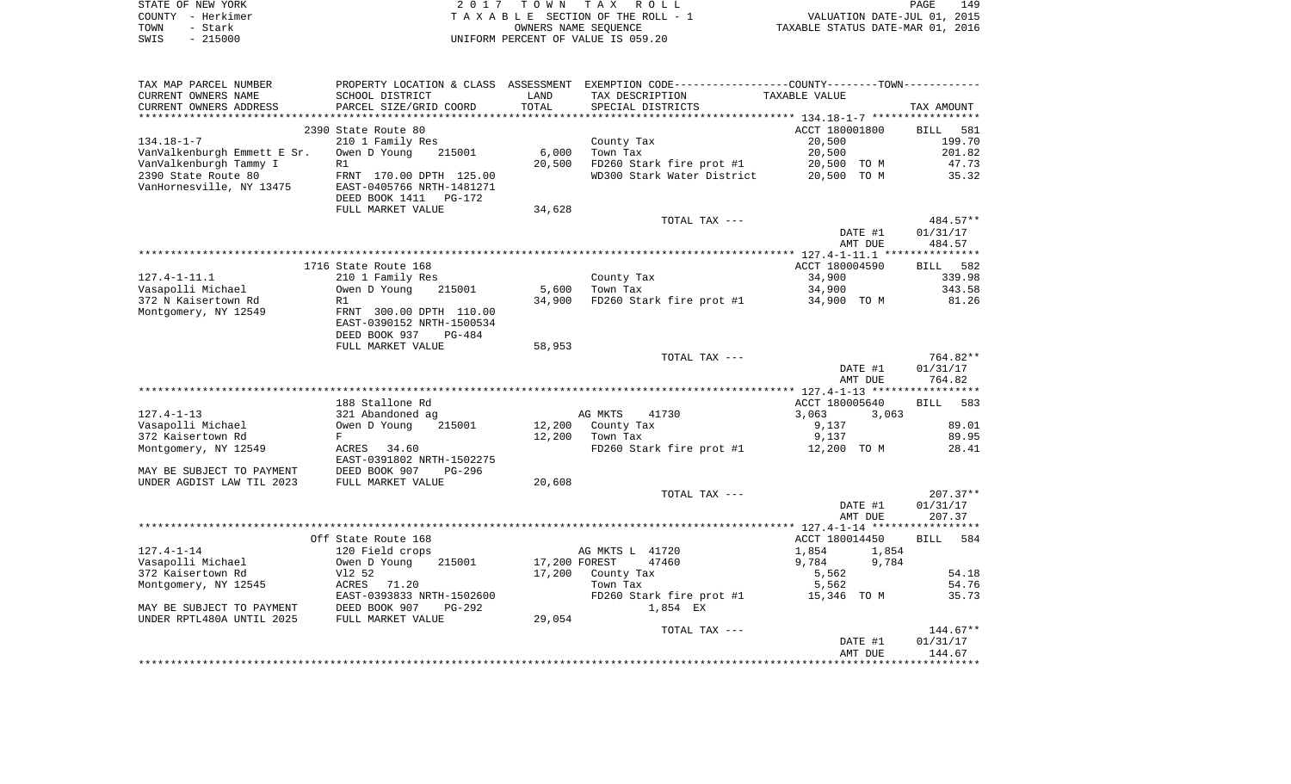|      | STATE OF NEW YORK | 2017 TOWN TAX ROLL                 | 149<br>PAGE                      |
|------|-------------------|------------------------------------|----------------------------------|
|      | COUNTY - Herkimer | TAXABLE SECTION OF THE ROLL - 1    | VALUATION DATE-JUL 01, 2015      |
| TOWN | - Stark           | OWNERS NAME SEOUENCE               | TAXABLE STATUS DATE-MAR 01, 2016 |
| SWIS | - 215000          | UNIFORM PERCENT OF VALUE IS 059.20 |                                  |

| TAX MAP PARCEL NUMBER       |                           |               |                            | PROPERTY LOCATION & CLASS ASSESSMENT EXEMPTION CODE---------------COUNTY-------TOWN---------- |            |
|-----------------------------|---------------------------|---------------|----------------------------|-----------------------------------------------------------------------------------------------|------------|
| CURRENT OWNERS NAME         | SCHOOL DISTRICT           | LAND          | TAX DESCRIPTION            | TAXABLE VALUE                                                                                 |            |
| CURRENT OWNERS ADDRESS      | PARCEL SIZE/GRID COORD    | TOTAL         | SPECIAL DISTRICTS          |                                                                                               | TAX AMOUNT |
|                             |                           |               |                            |                                                                                               |            |
|                             | 2390 State Route 80       |               |                            | ACCT 180001800                                                                                | BILL 581   |
| $134.18 - 1 - 7$            | 210 1 Family Res          |               | County Tax                 | 20,500                                                                                        | 199.70     |
| VanValkenburgh Emmett E Sr. | 215001<br>Owen D Young    | 6,000         | Town Tax                   | 20,500                                                                                        | 201.82     |
| VanValkenburgh Tammy I      | R1                        | 20,500        | FD260 Stark fire prot #1   | 20,500 TO M                                                                                   | 47.73      |
| 2390 State Route 80         | FRNT 170.00 DPTH 125.00   |               | WD300 Stark Water District | 20,500 TO M                                                                                   | 35.32      |
| VanHornesville, NY 13475    | EAST-0405766 NRTH-1481271 |               |                            |                                                                                               |            |
|                             | DEED BOOK 1411 PG-172     |               |                            |                                                                                               |            |
|                             | FULL MARKET VALUE         | 34,628        |                            |                                                                                               |            |
|                             |                           |               | TOTAL TAX ---              |                                                                                               | 484.57**   |
|                             |                           |               |                            | DATE #1                                                                                       | 01/31/17   |
|                             |                           |               |                            | AMT DUE                                                                                       | 484.57     |
|                             |                           |               |                            |                                                                                               |            |
|                             | 1716 State Route 168      |               |                            | ACCT 180004590                                                                                | BILL 582   |
| $127.4 - 1 - 11.1$          | 210 1 Family Res          |               | County Tax                 | 34,900                                                                                        | 339.98     |
| Vasapolli Michael           | Owen D Young<br>215001    | 5,600         | Town Tax                   | 34,900                                                                                        | 343.58     |
| 372 N Kaisertown Rd         | R1                        | 34,900        |                            | FD260 Stark fire prot $#1$ 34,900 TO M                                                        | 81.26      |
| Montgomery, NY 12549        | FRNT 300.00 DPTH 110.00   |               |                            |                                                                                               |            |
|                             | EAST-0390152 NRTH-1500534 |               |                            |                                                                                               |            |
|                             | DEED BOOK 937<br>PG-484   |               |                            |                                                                                               |            |
|                             | FULL MARKET VALUE         | 58,953        |                            |                                                                                               |            |
|                             |                           |               | TOTAL TAX ---              |                                                                                               | 764.82**   |
|                             |                           |               |                            | DATE #1                                                                                       | 01/31/17   |
|                             |                           |               |                            | AMT DUE                                                                                       | 764.82     |
|                             |                           |               |                            |                                                                                               |            |
|                             | 188 Stallone Rd           |               |                            | ACCT 180005640                                                                                | BILL 583   |
| 127.4-1-13                  | 321 Abandoned ag          |               | AG MKTS<br>41730           | 3,063<br>3,063                                                                                |            |
| Vasapolli Michael           | 215001<br>Owen D Young    | 12,200        | County Tax                 | 9,137                                                                                         | 89.01      |
| 372 Kaisertown Rd           | F                         | 12,200        | Town Tax                   | 9,137                                                                                         | 89.95      |
| Montgomery, NY 12549        | ACRES 34.60               |               | FD260 Stark fire prot #1   | 12,200 TO M                                                                                   | 28.41      |
|                             | EAST-0391802 NRTH-1502275 |               |                            |                                                                                               |            |
| MAY BE SUBJECT TO PAYMENT   | DEED BOOK 907<br>PG-296   |               |                            |                                                                                               |            |
| UNDER AGDIST LAW TIL 2023   | FULL MARKET VALUE         | 20,608        |                            |                                                                                               |            |
|                             |                           |               | TOTAL TAX ---              |                                                                                               | $207.37**$ |
|                             |                           |               |                            | DATE #1                                                                                       | 01/31/17   |
|                             |                           |               |                            | AMT DUE                                                                                       | 207.37     |
|                             | Off State Route 168       |               |                            | ACCT 180014450                                                                                | BILL 584   |
| $127.4 - 1 - 14$            | 120 Field crops           |               | AG MKTS L 41720            | 1,854<br>1,854                                                                                |            |
| Vasapolli Michael           | 215001<br>Owen D Young    | 17,200 FOREST | 47460                      | 9,784<br>9,784                                                                                |            |
| 372 Kaisertown Rd           | V12 52                    |               | 17,200 County Tax          |                                                                                               | 54.18      |
| Montgomery, NY 12545        | ACRES 71.20               |               | Town Tax                   | 5,562<br>5,562                                                                                | 54.76      |
|                             | EAST-0393833 NRTH-1502600 |               | FD260 Stark fire prot #1   | 15,346 TO M                                                                                   | 35.73      |
| MAY BE SUBJECT TO PAYMENT   | DEED BOOK 907<br>PG-292   |               | 1,854 EX                   |                                                                                               |            |
| UNDER RPTL480A UNTIL 2025   | FULL MARKET VALUE         | 29,054        |                            |                                                                                               |            |
|                             |                           |               | TOTAL TAX ---              |                                                                                               | $144.67**$ |
|                             |                           |               |                            | DATE #1                                                                                       | 01/31/17   |
|                             |                           |               |                            | AMT DUE                                                                                       | 144.67     |
|                             |                           |               |                            |                                                                                               |            |
|                             |                           |               |                            |                                                                                               |            |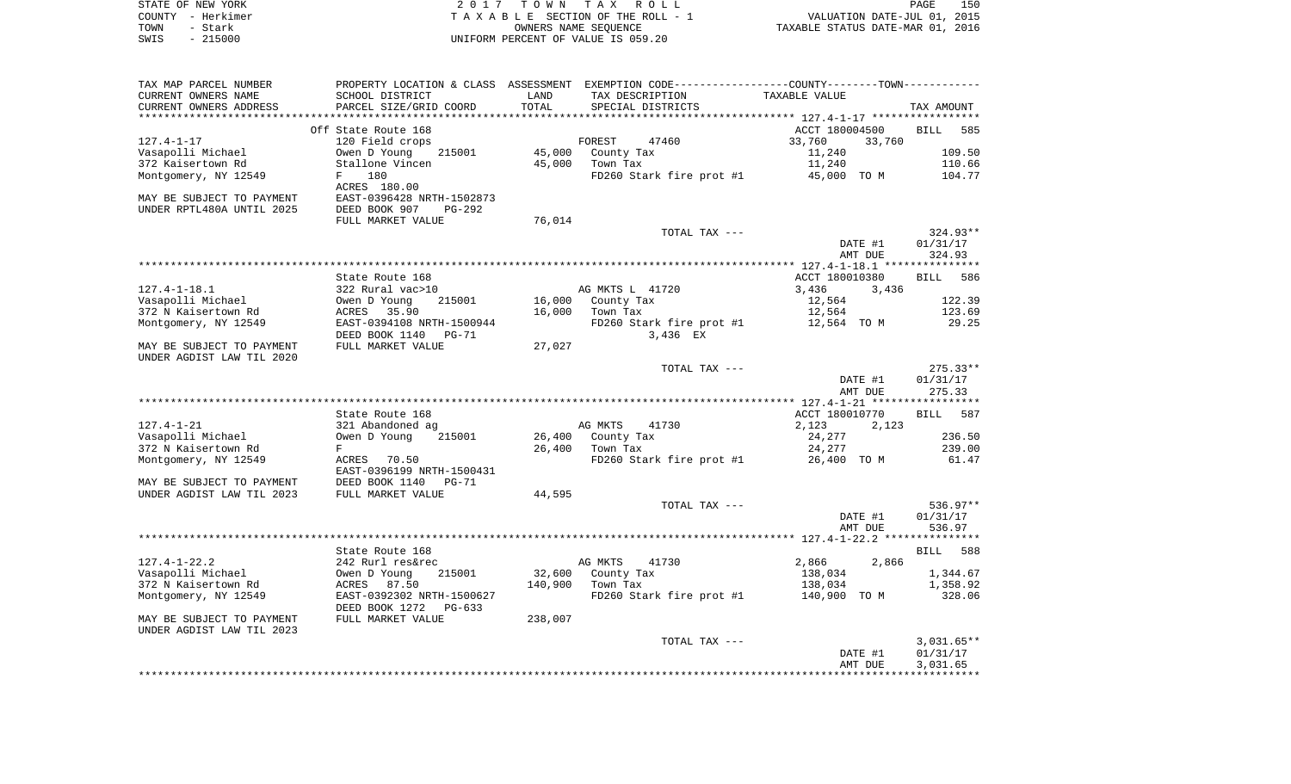|      | STATE OF NEW YORK | 2017 TOWN TAX ROLL                    | PAGE                             | 150 |
|------|-------------------|---------------------------------------|----------------------------------|-----|
|      | COUNTY - Herkimer | T A X A B L E SECTION OF THE ROLL - 1 | VALUATION DATE-JUL 01, 2015      |     |
| TOWN | – Stark           | OWNERS NAME SEOUENCE                  | TAXABLE STATUS DATE-MAR 01, 2016 |     |
| SWIS | - 215000          | UNIFORM PERCENT OF VALUE IS 059.20    |                                  |     |
|      |                   |                                       |                                  |     |

| CURRENT OWNERS NAME<br>TAX DESCRIPTION<br>TAXABLE VALUE<br>SCHOOL DISTRICT<br>LAND<br>TOTAL<br>CURRENT OWNERS ADDRESS<br>PARCEL SIZE/GRID COORD<br>SPECIAL DISTRICTS<br>TAX AMOUNT<br>ACCT 180004500<br>Off State Route 168<br>585<br><b>BILL</b><br>$127.4 - 1 - 17$<br>120 Field crops<br>FOREST<br>47460<br>33,760<br>33,760<br>Vasapolli Michael<br>Owen D Young<br>215001<br>45,000<br>County Tax<br>11,240<br>109.50<br>372 Kaisertown Rd<br>Stallone Vincen<br>45,000<br>Town Tax<br>11,240<br>110.66<br>Montgomery, NY 12549<br>180<br>FD260 Stark fire prot #1<br>45,000 TO M<br>$F$ and $F$<br>104.77<br>ACRES 180.00<br>MAY BE SUBJECT TO PAYMENT<br>EAST-0396428 NRTH-1502873<br>UNDER RPTL480A UNTIL 2025<br>DEED BOOK 907<br>PG-292<br>FULL MARKET VALUE<br>76,014<br>$324.93**$<br>TOTAL TAX ---<br>DATE #1<br>01/31/17<br>324.93<br>AMT DUE<br>State Route 168<br>ACCT 180010380<br><b>BILL</b><br>586<br>$127.4 - 1 - 18.1$<br>322 Rural vac>10<br>AG MKTS L 41720<br>3,436<br>3,436<br>Vasapolli Michael<br>16,000<br>12,564<br>122.39<br>Owen D Young<br>215001<br>County Tax<br>372 N Kaisertown Rd<br>16,000<br>Town Tax<br>123.69<br>ACRES<br>35.90<br>12,564<br>Montgomery, NY 12549<br>EAST-0394108 NRTH-1500944<br>FD260 Stark fire prot #1<br>12,564 TO M<br>29.25<br>DEED BOOK 1140<br>PG-71<br>3,436 EX<br>27,027<br>MAY BE SUBJECT TO PAYMENT<br>FULL MARKET VALUE<br>UNDER AGDIST LAW TIL 2020<br>$275.33**$<br>TOTAL TAX ---<br>DATE #1<br>01/31/17<br>275.33<br>AMT DUE<br>ACCT 180010770<br>587<br>State Route 168<br><b>BILL</b><br>$127.4 - 1 - 21$<br>321 Abandoned ag<br>AG MKTS<br>41730<br>2,123<br>2,123<br>236.50<br>Vasapolli Michael<br>215001<br>26,400<br>County Tax<br>24,277<br>Owen D Young<br>24,277<br>239.00<br>372 N Kaisertown Rd<br>F<br>26,400<br>Town Tax<br>Montgomery, NY 12549<br>ACRES 70.50<br>FD260 Stark fire prot #1<br>26,400 TO M<br>61.47<br>EAST-0396199 NRTH-1500431<br>MAY BE SUBJECT TO PAYMENT<br>DEED BOOK 1140<br>$PG-71$<br>UNDER AGDIST LAW TIL 2023<br>FULL MARKET VALUE<br>44,595<br>536.97**<br>TOTAL TAX ---<br>DATE #1<br>01/31/17<br>AMT DUE<br>536.97<br>State Route 168<br><b>BILL</b><br>588<br>$127.4 - 1 - 22.2$<br>242 Rurl res&rec<br>AG MKTS<br>41730<br>2,866<br>2,866<br>Vasapolli Michael<br>32,600<br>Owen D Young<br>215001<br>County Tax<br>138,034<br>1,344.67<br>140,900<br>372 N Kaisertown Rd<br>87.50<br>Town Tax<br>138,034<br>1,358.92<br>ACRES<br>Montgomery, NY 12549<br>EAST-0392302 NRTH-1500627<br>FD260 Stark fire prot #1<br>328.06<br>140,900 TO M<br>DEED BOOK 1272<br>$PG-633$<br>MAY BE SUBJECT TO PAYMENT<br>FULL MARKET VALUE<br>238,007<br>UNDER AGDIST LAW TIL 2023<br>$3,031.65**$<br>TOTAL TAX ---<br>DATE #1<br>01/31/17<br>3,031.65<br>AMT DUE | TAX MAP PARCEL NUMBER |  | PROPERTY LOCATION & CLASS ASSESSMENT EXEMPTION CODE----------------COUNTY-------TOWN---------- |  |
|--------------------------------------------------------------------------------------------------------------------------------------------------------------------------------------------------------------------------------------------------------------------------------------------------------------------------------------------------------------------------------------------------------------------------------------------------------------------------------------------------------------------------------------------------------------------------------------------------------------------------------------------------------------------------------------------------------------------------------------------------------------------------------------------------------------------------------------------------------------------------------------------------------------------------------------------------------------------------------------------------------------------------------------------------------------------------------------------------------------------------------------------------------------------------------------------------------------------------------------------------------------------------------------------------------------------------------------------------------------------------------------------------------------------------------------------------------------------------------------------------------------------------------------------------------------------------------------------------------------------------------------------------------------------------------------------------------------------------------------------------------------------------------------------------------------------------------------------------------------------------------------------------------------------------------------------------------------------------------------------------------------------------------------------------------------------------------------------------------------------------------------------------------------------------------------------------------------------------------------------------------------------------------------------------------------------------------------------------------------------------------------------------------------------------------------------------------------------------------------------------------------------------------------------------------------------------------------------------------------------------------------------------------------------------------------------------------------------------------------------------------------------------|-----------------------|--|------------------------------------------------------------------------------------------------|--|
|                                                                                                                                                                                                                                                                                                                                                                                                                                                                                                                                                                                                                                                                                                                                                                                                                                                                                                                                                                                                                                                                                                                                                                                                                                                                                                                                                                                                                                                                                                                                                                                                                                                                                                                                                                                                                                                                                                                                                                                                                                                                                                                                                                                                                                                                                                                                                                                                                                                                                                                                                                                                                                                                                                                                                                          |                       |  |                                                                                                |  |
|                                                                                                                                                                                                                                                                                                                                                                                                                                                                                                                                                                                                                                                                                                                                                                                                                                                                                                                                                                                                                                                                                                                                                                                                                                                                                                                                                                                                                                                                                                                                                                                                                                                                                                                                                                                                                                                                                                                                                                                                                                                                                                                                                                                                                                                                                                                                                                                                                                                                                                                                                                                                                                                                                                                                                                          |                       |  |                                                                                                |  |
|                                                                                                                                                                                                                                                                                                                                                                                                                                                                                                                                                                                                                                                                                                                                                                                                                                                                                                                                                                                                                                                                                                                                                                                                                                                                                                                                                                                                                                                                                                                                                                                                                                                                                                                                                                                                                                                                                                                                                                                                                                                                                                                                                                                                                                                                                                                                                                                                                                                                                                                                                                                                                                                                                                                                                                          |                       |  |                                                                                                |  |
|                                                                                                                                                                                                                                                                                                                                                                                                                                                                                                                                                                                                                                                                                                                                                                                                                                                                                                                                                                                                                                                                                                                                                                                                                                                                                                                                                                                                                                                                                                                                                                                                                                                                                                                                                                                                                                                                                                                                                                                                                                                                                                                                                                                                                                                                                                                                                                                                                                                                                                                                                                                                                                                                                                                                                                          |                       |  |                                                                                                |  |
|                                                                                                                                                                                                                                                                                                                                                                                                                                                                                                                                                                                                                                                                                                                                                                                                                                                                                                                                                                                                                                                                                                                                                                                                                                                                                                                                                                                                                                                                                                                                                                                                                                                                                                                                                                                                                                                                                                                                                                                                                                                                                                                                                                                                                                                                                                                                                                                                                                                                                                                                                                                                                                                                                                                                                                          |                       |  |                                                                                                |  |
|                                                                                                                                                                                                                                                                                                                                                                                                                                                                                                                                                                                                                                                                                                                                                                                                                                                                                                                                                                                                                                                                                                                                                                                                                                                                                                                                                                                                                                                                                                                                                                                                                                                                                                                                                                                                                                                                                                                                                                                                                                                                                                                                                                                                                                                                                                                                                                                                                                                                                                                                                                                                                                                                                                                                                                          |                       |  |                                                                                                |  |
|                                                                                                                                                                                                                                                                                                                                                                                                                                                                                                                                                                                                                                                                                                                                                                                                                                                                                                                                                                                                                                                                                                                                                                                                                                                                                                                                                                                                                                                                                                                                                                                                                                                                                                                                                                                                                                                                                                                                                                                                                                                                                                                                                                                                                                                                                                                                                                                                                                                                                                                                                                                                                                                                                                                                                                          |                       |  |                                                                                                |  |
|                                                                                                                                                                                                                                                                                                                                                                                                                                                                                                                                                                                                                                                                                                                                                                                                                                                                                                                                                                                                                                                                                                                                                                                                                                                                                                                                                                                                                                                                                                                                                                                                                                                                                                                                                                                                                                                                                                                                                                                                                                                                                                                                                                                                                                                                                                                                                                                                                                                                                                                                                                                                                                                                                                                                                                          |                       |  |                                                                                                |  |
|                                                                                                                                                                                                                                                                                                                                                                                                                                                                                                                                                                                                                                                                                                                                                                                                                                                                                                                                                                                                                                                                                                                                                                                                                                                                                                                                                                                                                                                                                                                                                                                                                                                                                                                                                                                                                                                                                                                                                                                                                                                                                                                                                                                                                                                                                                                                                                                                                                                                                                                                                                                                                                                                                                                                                                          |                       |  |                                                                                                |  |
|                                                                                                                                                                                                                                                                                                                                                                                                                                                                                                                                                                                                                                                                                                                                                                                                                                                                                                                                                                                                                                                                                                                                                                                                                                                                                                                                                                                                                                                                                                                                                                                                                                                                                                                                                                                                                                                                                                                                                                                                                                                                                                                                                                                                                                                                                                                                                                                                                                                                                                                                                                                                                                                                                                                                                                          |                       |  |                                                                                                |  |
|                                                                                                                                                                                                                                                                                                                                                                                                                                                                                                                                                                                                                                                                                                                                                                                                                                                                                                                                                                                                                                                                                                                                                                                                                                                                                                                                                                                                                                                                                                                                                                                                                                                                                                                                                                                                                                                                                                                                                                                                                                                                                                                                                                                                                                                                                                                                                                                                                                                                                                                                                                                                                                                                                                                                                                          |                       |  |                                                                                                |  |
|                                                                                                                                                                                                                                                                                                                                                                                                                                                                                                                                                                                                                                                                                                                                                                                                                                                                                                                                                                                                                                                                                                                                                                                                                                                                                                                                                                                                                                                                                                                                                                                                                                                                                                                                                                                                                                                                                                                                                                                                                                                                                                                                                                                                                                                                                                                                                                                                                                                                                                                                                                                                                                                                                                                                                                          |                       |  |                                                                                                |  |
|                                                                                                                                                                                                                                                                                                                                                                                                                                                                                                                                                                                                                                                                                                                                                                                                                                                                                                                                                                                                                                                                                                                                                                                                                                                                                                                                                                                                                                                                                                                                                                                                                                                                                                                                                                                                                                                                                                                                                                                                                                                                                                                                                                                                                                                                                                                                                                                                                                                                                                                                                                                                                                                                                                                                                                          |                       |  |                                                                                                |  |
|                                                                                                                                                                                                                                                                                                                                                                                                                                                                                                                                                                                                                                                                                                                                                                                                                                                                                                                                                                                                                                                                                                                                                                                                                                                                                                                                                                                                                                                                                                                                                                                                                                                                                                                                                                                                                                                                                                                                                                                                                                                                                                                                                                                                                                                                                                                                                                                                                                                                                                                                                                                                                                                                                                                                                                          |                       |  |                                                                                                |  |
|                                                                                                                                                                                                                                                                                                                                                                                                                                                                                                                                                                                                                                                                                                                                                                                                                                                                                                                                                                                                                                                                                                                                                                                                                                                                                                                                                                                                                                                                                                                                                                                                                                                                                                                                                                                                                                                                                                                                                                                                                                                                                                                                                                                                                                                                                                                                                                                                                                                                                                                                                                                                                                                                                                                                                                          |                       |  |                                                                                                |  |
|                                                                                                                                                                                                                                                                                                                                                                                                                                                                                                                                                                                                                                                                                                                                                                                                                                                                                                                                                                                                                                                                                                                                                                                                                                                                                                                                                                                                                                                                                                                                                                                                                                                                                                                                                                                                                                                                                                                                                                                                                                                                                                                                                                                                                                                                                                                                                                                                                                                                                                                                                                                                                                                                                                                                                                          |                       |  |                                                                                                |  |
|                                                                                                                                                                                                                                                                                                                                                                                                                                                                                                                                                                                                                                                                                                                                                                                                                                                                                                                                                                                                                                                                                                                                                                                                                                                                                                                                                                                                                                                                                                                                                                                                                                                                                                                                                                                                                                                                                                                                                                                                                                                                                                                                                                                                                                                                                                                                                                                                                                                                                                                                                                                                                                                                                                                                                                          |                       |  |                                                                                                |  |
|                                                                                                                                                                                                                                                                                                                                                                                                                                                                                                                                                                                                                                                                                                                                                                                                                                                                                                                                                                                                                                                                                                                                                                                                                                                                                                                                                                                                                                                                                                                                                                                                                                                                                                                                                                                                                                                                                                                                                                                                                                                                                                                                                                                                                                                                                                                                                                                                                                                                                                                                                                                                                                                                                                                                                                          |                       |  |                                                                                                |  |
|                                                                                                                                                                                                                                                                                                                                                                                                                                                                                                                                                                                                                                                                                                                                                                                                                                                                                                                                                                                                                                                                                                                                                                                                                                                                                                                                                                                                                                                                                                                                                                                                                                                                                                                                                                                                                                                                                                                                                                                                                                                                                                                                                                                                                                                                                                                                                                                                                                                                                                                                                                                                                                                                                                                                                                          |                       |  |                                                                                                |  |
|                                                                                                                                                                                                                                                                                                                                                                                                                                                                                                                                                                                                                                                                                                                                                                                                                                                                                                                                                                                                                                                                                                                                                                                                                                                                                                                                                                                                                                                                                                                                                                                                                                                                                                                                                                                                                                                                                                                                                                                                                                                                                                                                                                                                                                                                                                                                                                                                                                                                                                                                                                                                                                                                                                                                                                          |                       |  |                                                                                                |  |
|                                                                                                                                                                                                                                                                                                                                                                                                                                                                                                                                                                                                                                                                                                                                                                                                                                                                                                                                                                                                                                                                                                                                                                                                                                                                                                                                                                                                                                                                                                                                                                                                                                                                                                                                                                                                                                                                                                                                                                                                                                                                                                                                                                                                                                                                                                                                                                                                                                                                                                                                                                                                                                                                                                                                                                          |                       |  |                                                                                                |  |
|                                                                                                                                                                                                                                                                                                                                                                                                                                                                                                                                                                                                                                                                                                                                                                                                                                                                                                                                                                                                                                                                                                                                                                                                                                                                                                                                                                                                                                                                                                                                                                                                                                                                                                                                                                                                                                                                                                                                                                                                                                                                                                                                                                                                                                                                                                                                                                                                                                                                                                                                                                                                                                                                                                                                                                          |                       |  |                                                                                                |  |
|                                                                                                                                                                                                                                                                                                                                                                                                                                                                                                                                                                                                                                                                                                                                                                                                                                                                                                                                                                                                                                                                                                                                                                                                                                                                                                                                                                                                                                                                                                                                                                                                                                                                                                                                                                                                                                                                                                                                                                                                                                                                                                                                                                                                                                                                                                                                                                                                                                                                                                                                                                                                                                                                                                                                                                          |                       |  |                                                                                                |  |
|                                                                                                                                                                                                                                                                                                                                                                                                                                                                                                                                                                                                                                                                                                                                                                                                                                                                                                                                                                                                                                                                                                                                                                                                                                                                                                                                                                                                                                                                                                                                                                                                                                                                                                                                                                                                                                                                                                                                                                                                                                                                                                                                                                                                                                                                                                                                                                                                                                                                                                                                                                                                                                                                                                                                                                          |                       |  |                                                                                                |  |
|                                                                                                                                                                                                                                                                                                                                                                                                                                                                                                                                                                                                                                                                                                                                                                                                                                                                                                                                                                                                                                                                                                                                                                                                                                                                                                                                                                                                                                                                                                                                                                                                                                                                                                                                                                                                                                                                                                                                                                                                                                                                                                                                                                                                                                                                                                                                                                                                                                                                                                                                                                                                                                                                                                                                                                          |                       |  |                                                                                                |  |
|                                                                                                                                                                                                                                                                                                                                                                                                                                                                                                                                                                                                                                                                                                                                                                                                                                                                                                                                                                                                                                                                                                                                                                                                                                                                                                                                                                                                                                                                                                                                                                                                                                                                                                                                                                                                                                                                                                                                                                                                                                                                                                                                                                                                                                                                                                                                                                                                                                                                                                                                                                                                                                                                                                                                                                          |                       |  |                                                                                                |  |
|                                                                                                                                                                                                                                                                                                                                                                                                                                                                                                                                                                                                                                                                                                                                                                                                                                                                                                                                                                                                                                                                                                                                                                                                                                                                                                                                                                                                                                                                                                                                                                                                                                                                                                                                                                                                                                                                                                                                                                                                                                                                                                                                                                                                                                                                                                                                                                                                                                                                                                                                                                                                                                                                                                                                                                          |                       |  |                                                                                                |  |
|                                                                                                                                                                                                                                                                                                                                                                                                                                                                                                                                                                                                                                                                                                                                                                                                                                                                                                                                                                                                                                                                                                                                                                                                                                                                                                                                                                                                                                                                                                                                                                                                                                                                                                                                                                                                                                                                                                                                                                                                                                                                                                                                                                                                                                                                                                                                                                                                                                                                                                                                                                                                                                                                                                                                                                          |                       |  |                                                                                                |  |
|                                                                                                                                                                                                                                                                                                                                                                                                                                                                                                                                                                                                                                                                                                                                                                                                                                                                                                                                                                                                                                                                                                                                                                                                                                                                                                                                                                                                                                                                                                                                                                                                                                                                                                                                                                                                                                                                                                                                                                                                                                                                                                                                                                                                                                                                                                                                                                                                                                                                                                                                                                                                                                                                                                                                                                          |                       |  |                                                                                                |  |
|                                                                                                                                                                                                                                                                                                                                                                                                                                                                                                                                                                                                                                                                                                                                                                                                                                                                                                                                                                                                                                                                                                                                                                                                                                                                                                                                                                                                                                                                                                                                                                                                                                                                                                                                                                                                                                                                                                                                                                                                                                                                                                                                                                                                                                                                                                                                                                                                                                                                                                                                                                                                                                                                                                                                                                          |                       |  |                                                                                                |  |
|                                                                                                                                                                                                                                                                                                                                                                                                                                                                                                                                                                                                                                                                                                                                                                                                                                                                                                                                                                                                                                                                                                                                                                                                                                                                                                                                                                                                                                                                                                                                                                                                                                                                                                                                                                                                                                                                                                                                                                                                                                                                                                                                                                                                                                                                                                                                                                                                                                                                                                                                                                                                                                                                                                                                                                          |                       |  |                                                                                                |  |
|                                                                                                                                                                                                                                                                                                                                                                                                                                                                                                                                                                                                                                                                                                                                                                                                                                                                                                                                                                                                                                                                                                                                                                                                                                                                                                                                                                                                                                                                                                                                                                                                                                                                                                                                                                                                                                                                                                                                                                                                                                                                                                                                                                                                                                                                                                                                                                                                                                                                                                                                                                                                                                                                                                                                                                          |                       |  |                                                                                                |  |
|                                                                                                                                                                                                                                                                                                                                                                                                                                                                                                                                                                                                                                                                                                                                                                                                                                                                                                                                                                                                                                                                                                                                                                                                                                                                                                                                                                                                                                                                                                                                                                                                                                                                                                                                                                                                                                                                                                                                                                                                                                                                                                                                                                                                                                                                                                                                                                                                                                                                                                                                                                                                                                                                                                                                                                          |                       |  |                                                                                                |  |
|                                                                                                                                                                                                                                                                                                                                                                                                                                                                                                                                                                                                                                                                                                                                                                                                                                                                                                                                                                                                                                                                                                                                                                                                                                                                                                                                                                                                                                                                                                                                                                                                                                                                                                                                                                                                                                                                                                                                                                                                                                                                                                                                                                                                                                                                                                                                                                                                                                                                                                                                                                                                                                                                                                                                                                          |                       |  |                                                                                                |  |
|                                                                                                                                                                                                                                                                                                                                                                                                                                                                                                                                                                                                                                                                                                                                                                                                                                                                                                                                                                                                                                                                                                                                                                                                                                                                                                                                                                                                                                                                                                                                                                                                                                                                                                                                                                                                                                                                                                                                                                                                                                                                                                                                                                                                                                                                                                                                                                                                                                                                                                                                                                                                                                                                                                                                                                          |                       |  |                                                                                                |  |
|                                                                                                                                                                                                                                                                                                                                                                                                                                                                                                                                                                                                                                                                                                                                                                                                                                                                                                                                                                                                                                                                                                                                                                                                                                                                                                                                                                                                                                                                                                                                                                                                                                                                                                                                                                                                                                                                                                                                                                                                                                                                                                                                                                                                                                                                                                                                                                                                                                                                                                                                                                                                                                                                                                                                                                          |                       |  |                                                                                                |  |
|                                                                                                                                                                                                                                                                                                                                                                                                                                                                                                                                                                                                                                                                                                                                                                                                                                                                                                                                                                                                                                                                                                                                                                                                                                                                                                                                                                                                                                                                                                                                                                                                                                                                                                                                                                                                                                                                                                                                                                                                                                                                                                                                                                                                                                                                                                                                                                                                                                                                                                                                                                                                                                                                                                                                                                          |                       |  |                                                                                                |  |
|                                                                                                                                                                                                                                                                                                                                                                                                                                                                                                                                                                                                                                                                                                                                                                                                                                                                                                                                                                                                                                                                                                                                                                                                                                                                                                                                                                                                                                                                                                                                                                                                                                                                                                                                                                                                                                                                                                                                                                                                                                                                                                                                                                                                                                                                                                                                                                                                                                                                                                                                                                                                                                                                                                                                                                          |                       |  |                                                                                                |  |
|                                                                                                                                                                                                                                                                                                                                                                                                                                                                                                                                                                                                                                                                                                                                                                                                                                                                                                                                                                                                                                                                                                                                                                                                                                                                                                                                                                                                                                                                                                                                                                                                                                                                                                                                                                                                                                                                                                                                                                                                                                                                                                                                                                                                                                                                                                                                                                                                                                                                                                                                                                                                                                                                                                                                                                          |                       |  |                                                                                                |  |
|                                                                                                                                                                                                                                                                                                                                                                                                                                                                                                                                                                                                                                                                                                                                                                                                                                                                                                                                                                                                                                                                                                                                                                                                                                                                                                                                                                                                                                                                                                                                                                                                                                                                                                                                                                                                                                                                                                                                                                                                                                                                                                                                                                                                                                                                                                                                                                                                                                                                                                                                                                                                                                                                                                                                                                          |                       |  |                                                                                                |  |
|                                                                                                                                                                                                                                                                                                                                                                                                                                                                                                                                                                                                                                                                                                                                                                                                                                                                                                                                                                                                                                                                                                                                                                                                                                                                                                                                                                                                                                                                                                                                                                                                                                                                                                                                                                                                                                                                                                                                                                                                                                                                                                                                                                                                                                                                                                                                                                                                                                                                                                                                                                                                                                                                                                                                                                          |                       |  |                                                                                                |  |
|                                                                                                                                                                                                                                                                                                                                                                                                                                                                                                                                                                                                                                                                                                                                                                                                                                                                                                                                                                                                                                                                                                                                                                                                                                                                                                                                                                                                                                                                                                                                                                                                                                                                                                                                                                                                                                                                                                                                                                                                                                                                                                                                                                                                                                                                                                                                                                                                                                                                                                                                                                                                                                                                                                                                                                          |                       |  |                                                                                                |  |
|                                                                                                                                                                                                                                                                                                                                                                                                                                                                                                                                                                                                                                                                                                                                                                                                                                                                                                                                                                                                                                                                                                                                                                                                                                                                                                                                                                                                                                                                                                                                                                                                                                                                                                                                                                                                                                                                                                                                                                                                                                                                                                                                                                                                                                                                                                                                                                                                                                                                                                                                                                                                                                                                                                                                                                          |                       |  |                                                                                                |  |
|                                                                                                                                                                                                                                                                                                                                                                                                                                                                                                                                                                                                                                                                                                                                                                                                                                                                                                                                                                                                                                                                                                                                                                                                                                                                                                                                                                                                                                                                                                                                                                                                                                                                                                                                                                                                                                                                                                                                                                                                                                                                                                                                                                                                                                                                                                                                                                                                                                                                                                                                                                                                                                                                                                                                                                          |                       |  |                                                                                                |  |
|                                                                                                                                                                                                                                                                                                                                                                                                                                                                                                                                                                                                                                                                                                                                                                                                                                                                                                                                                                                                                                                                                                                                                                                                                                                                                                                                                                                                                                                                                                                                                                                                                                                                                                                                                                                                                                                                                                                                                                                                                                                                                                                                                                                                                                                                                                                                                                                                                                                                                                                                                                                                                                                                                                                                                                          |                       |  |                                                                                                |  |
|                                                                                                                                                                                                                                                                                                                                                                                                                                                                                                                                                                                                                                                                                                                                                                                                                                                                                                                                                                                                                                                                                                                                                                                                                                                                                                                                                                                                                                                                                                                                                                                                                                                                                                                                                                                                                                                                                                                                                                                                                                                                                                                                                                                                                                                                                                                                                                                                                                                                                                                                                                                                                                                                                                                                                                          |                       |  |                                                                                                |  |
|                                                                                                                                                                                                                                                                                                                                                                                                                                                                                                                                                                                                                                                                                                                                                                                                                                                                                                                                                                                                                                                                                                                                                                                                                                                                                                                                                                                                                                                                                                                                                                                                                                                                                                                                                                                                                                                                                                                                                                                                                                                                                                                                                                                                                                                                                                                                                                                                                                                                                                                                                                                                                                                                                                                                                                          |                       |  |                                                                                                |  |
|                                                                                                                                                                                                                                                                                                                                                                                                                                                                                                                                                                                                                                                                                                                                                                                                                                                                                                                                                                                                                                                                                                                                                                                                                                                                                                                                                                                                                                                                                                                                                                                                                                                                                                                                                                                                                                                                                                                                                                                                                                                                                                                                                                                                                                                                                                                                                                                                                                                                                                                                                                                                                                                                                                                                                                          |                       |  |                                                                                                |  |
|                                                                                                                                                                                                                                                                                                                                                                                                                                                                                                                                                                                                                                                                                                                                                                                                                                                                                                                                                                                                                                                                                                                                                                                                                                                                                                                                                                                                                                                                                                                                                                                                                                                                                                                                                                                                                                                                                                                                                                                                                                                                                                                                                                                                                                                                                                                                                                                                                                                                                                                                                                                                                                                                                                                                                                          |                       |  |                                                                                                |  |
|                                                                                                                                                                                                                                                                                                                                                                                                                                                                                                                                                                                                                                                                                                                                                                                                                                                                                                                                                                                                                                                                                                                                                                                                                                                                                                                                                                                                                                                                                                                                                                                                                                                                                                                                                                                                                                                                                                                                                                                                                                                                                                                                                                                                                                                                                                                                                                                                                                                                                                                                                                                                                                                                                                                                                                          |                       |  |                                                                                                |  |
|                                                                                                                                                                                                                                                                                                                                                                                                                                                                                                                                                                                                                                                                                                                                                                                                                                                                                                                                                                                                                                                                                                                                                                                                                                                                                                                                                                                                                                                                                                                                                                                                                                                                                                                                                                                                                                                                                                                                                                                                                                                                                                                                                                                                                                                                                                                                                                                                                                                                                                                                                                                                                                                                                                                                                                          |                       |  |                                                                                                |  |
|                                                                                                                                                                                                                                                                                                                                                                                                                                                                                                                                                                                                                                                                                                                                                                                                                                                                                                                                                                                                                                                                                                                                                                                                                                                                                                                                                                                                                                                                                                                                                                                                                                                                                                                                                                                                                                                                                                                                                                                                                                                                                                                                                                                                                                                                                                                                                                                                                                                                                                                                                                                                                                                                                                                                                                          |                       |  |                                                                                                |  |
|                                                                                                                                                                                                                                                                                                                                                                                                                                                                                                                                                                                                                                                                                                                                                                                                                                                                                                                                                                                                                                                                                                                                                                                                                                                                                                                                                                                                                                                                                                                                                                                                                                                                                                                                                                                                                                                                                                                                                                                                                                                                                                                                                                                                                                                                                                                                                                                                                                                                                                                                                                                                                                                                                                                                                                          |                       |  |                                                                                                |  |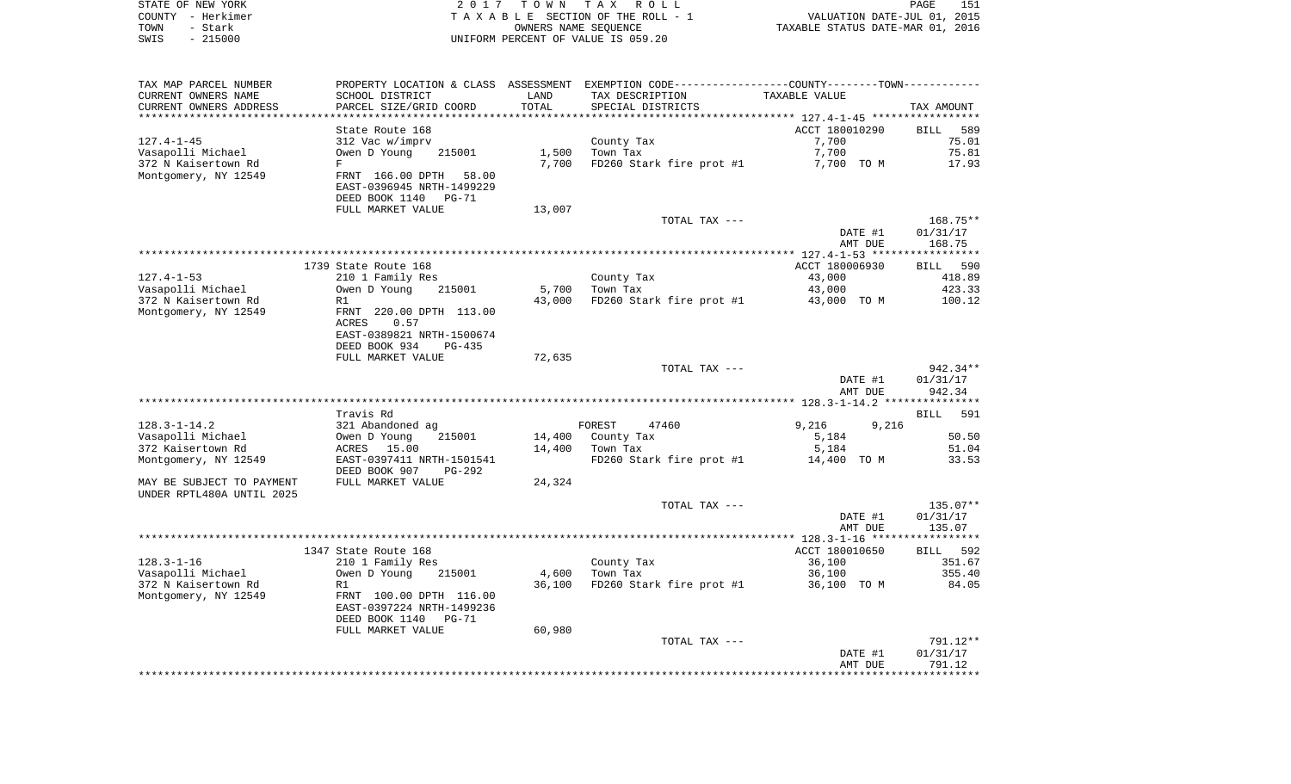|      | STATE OF NEW YORK | 2017 TOWN TAX ROLL                 | PAGE                             | 151 |
|------|-------------------|------------------------------------|----------------------------------|-----|
|      | COUNTY - Herkimer | TAXABLE SECTION OF THE ROLL - 1    | VALUATION DATE-JUL 01, 2015      |     |
| TOWN | – Stark           | OWNERS NAME SEOUENCE               | TAXABLE STATUS DATE-MAR 01, 2016 |     |
| SWIS | $-215000$         | UNIFORM PERCENT OF VALUE IS 059.20 |                                  |     |

| TAX MAP PARCEL NUMBER                      |                                                        |                         | PROPERTY LOCATION & CLASS ASSESSMENT EXEMPTION CODE---------------COUNTY-------TOWN---------- |                |                    |
|--------------------------------------------|--------------------------------------------------------|-------------------------|-----------------------------------------------------------------------------------------------|----------------|--------------------|
| CURRENT OWNERS NAME                        | SCHOOL DISTRICT                                        | LAND                    | TAX DESCRIPTION                                                                               | TAXABLE VALUE  |                    |
| CURRENT OWNERS ADDRESS<br>**************** | PARCEL SIZE/GRID COORD<br>********************         | TOTAL<br>************** | SPECIAL DISTRICTS<br>********************************** 127.4-1-45 *****************          |                | TAX AMOUNT         |
|                                            |                                                        |                         |                                                                                               |                |                    |
|                                            | State Route 168                                        |                         |                                                                                               | ACCT 180010290 | <b>BILL</b><br>589 |
| $127.4 - 1 - 45$                           | 312 Vac w/imprv                                        |                         | County Tax                                                                                    | 7,700          | 75.01              |
| Vasapolli Michael                          | Owen D Young<br>215001                                 | 1,500                   | Town Tax                                                                                      | 7,700          | 75.81              |
| 372 N Kaisertown Rd                        | F                                                      | 7,700                   | FD260 Stark fire prot #1                                                                      | 7,700 TO M     | 17.93              |
| Montgomery, NY 12549                       | FRNT 166.00 DPTH<br>58.00<br>EAST-0396945 NRTH-1499229 |                         |                                                                                               |                |                    |
|                                            | DEED BOOK 1140<br>PG-71                                |                         |                                                                                               |                |                    |
|                                            | FULL MARKET VALUE                                      | 13,007                  |                                                                                               |                |                    |
|                                            |                                                        |                         | TOTAL TAX ---                                                                                 |                | 168.75**           |
|                                            |                                                        |                         |                                                                                               | DATE #1        | 01/31/17           |
|                                            |                                                        |                         |                                                                                               | AMT DUE        | 168.75             |
|                                            |                                                        |                         |                                                                                               |                |                    |
|                                            | 1739 State Route 168                                   |                         |                                                                                               | ACCT 180006930 | BILL 590           |
| $127.4 - 1 - 53$                           | 210 1 Family Res                                       |                         | County Tax                                                                                    | 43,000         | 418.89             |
| Vasapolli Michael                          | Owen D Young<br>215001                                 | 5,700                   | Town Tax                                                                                      | 43,000         | 423.33             |
| 372 N Kaisertown Rd                        | R1                                                     | 43,000                  | FD260 Stark fire prot #1                                                                      | 43,000 TO M    | 100.12             |
| Montgomery, NY 12549                       | FRNT 220.00 DPTH 113.00<br>ACRES<br>0.57               |                         |                                                                                               |                |                    |
|                                            | EAST-0389821 NRTH-1500674                              |                         |                                                                                               |                |                    |
|                                            | DEED BOOK 934<br>PG-435                                |                         |                                                                                               |                |                    |
|                                            | FULL MARKET VALUE                                      | 72,635                  |                                                                                               |                |                    |
|                                            |                                                        |                         | TOTAL TAX ---                                                                                 |                | 942.34**           |
|                                            |                                                        |                         |                                                                                               | DATE #1        | 01/31/17           |
|                                            |                                                        |                         |                                                                                               | AMT DUE        | 942.34             |
|                                            |                                                        |                         |                                                                                               |                |                    |
|                                            | Travis Rd                                              |                         |                                                                                               |                | 591<br>BILL        |
| $128.3 - 1 - 14.2$                         | 321 Abandoned ag                                       |                         | FOREST<br>47460                                                                               | 9,216<br>9,216 |                    |
| Vasapolli Michael                          | 215001<br>Owen D Young                                 | 14,400                  | County Tax                                                                                    | 5,184          | 50.50              |
| 372 Kaisertown Rd                          | ACRES 15.00                                            | 14,400                  | Town Tax                                                                                      | 5,184          | 51.04              |
| Montgomery, NY 12549                       | EAST-0397411 NRTH-1501541                              |                         | FD260 Stark fire prot #1                                                                      | 14,400 TO M    | 33.53              |
|                                            | DEED BOOK 907<br>PG-292                                |                         |                                                                                               |                |                    |
| MAY BE SUBJECT TO PAYMENT                  | FULL MARKET VALUE                                      | 24,324                  |                                                                                               |                |                    |
| UNDER RPTL480A UNTIL 2025                  |                                                        |                         |                                                                                               |                |                    |
|                                            |                                                        |                         | TOTAL TAX ---                                                                                 |                | 135.07**           |
|                                            |                                                        |                         |                                                                                               | DATE #1        | 01/31/17           |
|                                            |                                                        |                         |                                                                                               | AMT DUE        | 135.07             |
|                                            |                                                        |                         |                                                                                               | ACCT 180010650 |                    |
|                                            | 1347 State Route 168                                   |                         |                                                                                               |                | BILL 592           |
| $128.3 - 1 - 16$                           | 210 1 Family Res                                       |                         | County Tax                                                                                    | 36,100         | 351.67             |
| Vasapolli Michael                          | Owen D Young<br>215001                                 | 4,600                   | Town Tax                                                                                      | 36,100         | 355.40             |
| 372 N Kaisertown Rd                        | R1                                                     | 36,100                  | FD260 Stark fire prot #1                                                                      | 36,100 TO M    | 84.05              |
| Montgomery, NY 12549                       | FRNT 100.00 DPTH 116.00<br>EAST-0397224 NRTH-1499236   |                         |                                                                                               |                |                    |
|                                            | DEED BOOK 1140<br>PG-71                                |                         |                                                                                               |                |                    |
|                                            | FULL MARKET VALUE                                      | 60,980                  |                                                                                               |                |                    |
|                                            |                                                        |                         | TOTAL TAX ---                                                                                 |                | 791.12**           |
|                                            |                                                        |                         |                                                                                               | DATE #1        | 01/31/17           |
|                                            |                                                        |                         |                                                                                               | AMT DUE        | 791.12             |
|                                            |                                                        |                         |                                                                                               |                |                    |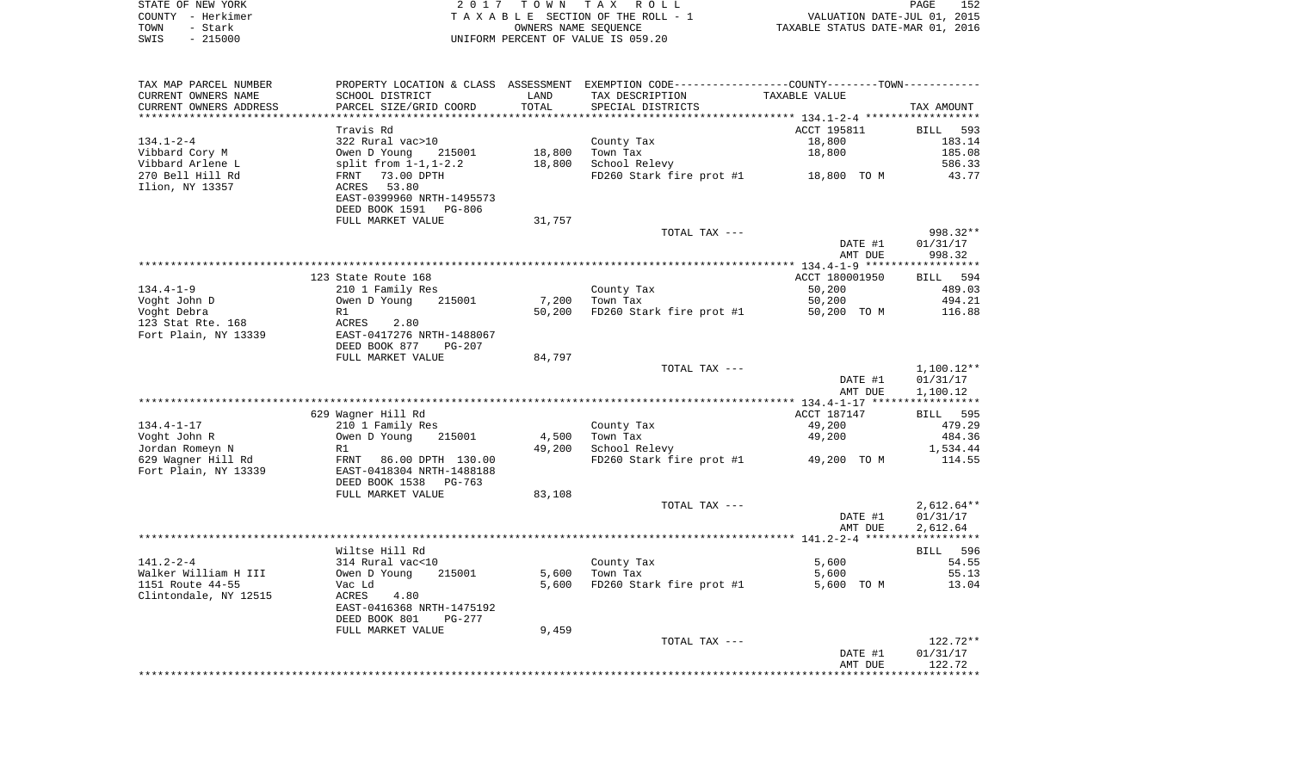|      | STATE OF NEW YORK | 2017 TOWN TAX ROLL                 | PAGE                             | 152 |
|------|-------------------|------------------------------------|----------------------------------|-----|
|      | COUNTY - Herkimer | TAXABLE SECTION OF THE ROLL - 1    | VALUATION DATE-JUL 01, 2015      |     |
| TOWN | – Stark           | OWNERS NAME SEOUENCE               | TAXABLE STATUS DATE-MAR 01, 2016 |     |
| SWIS | $-215000$         | UNIFORM PERCENT OF VALUE IS 059.20 |                                  |     |

| TAX MAP PARCEL NUMBER<br>CURRENT OWNERS NAME | SCHOOL DISTRICT                                     | LAND   | PROPERTY LOCATION & CLASS ASSESSMENT EXEMPTION CODE----------------COUNTY--------TOWN----------<br>TAX DESCRIPTION | TAXABLE VALUE  |              |
|----------------------------------------------|-----------------------------------------------------|--------|--------------------------------------------------------------------------------------------------------------------|----------------|--------------|
| CURRENT OWNERS ADDRESS                       | PARCEL SIZE/GRID COORD                              | TOTAL  | SPECIAL DISTRICTS                                                                                                  |                | TAX AMOUNT   |
| **********************                       | ****************************                        |        |                                                                                                                    |                |              |
|                                              | Travis Rd                                           |        |                                                                                                                    | ACCT 195811    | BILL 593     |
| $134.1 - 2 - 4$                              | 322 Rural vac>10                                    |        | County Tax                                                                                                         | 18,800         | 183.14       |
| Vibbard Cory M                               | Owen D Young 215001<br>split from 1-1,1-2.2         | 18,800 | Town Tax                                                                                                           | 18,800         | 185.08       |
| Vibbard Arlene L                             |                                                     | 18,800 | School Relevy                                                                                                      |                | 586.33       |
| 270 Bell Hill Rd                             | FRNT 73.00 DPTH                                     |        | FD260 Stark fire prot #1 18,800 TO M                                                                               |                | 43.77        |
| Ilion, NY 13357                              | ACRES 53.80                                         |        |                                                                                                                    |                |              |
|                                              | EAST-0399960 NRTH-1495573                           |        |                                                                                                                    |                |              |
|                                              | DEED BOOK 1591 PG-806                               |        |                                                                                                                    |                |              |
|                                              | FULL MARKET VALUE                                   | 31,757 |                                                                                                                    |                |              |
|                                              |                                                     |        | TOTAL TAX ---                                                                                                      |                | 998.32**     |
|                                              |                                                     |        |                                                                                                                    | DATE #1        | 01/31/17     |
|                                              |                                                     |        |                                                                                                                    | AMT DUE        | 998.32       |
|                                              | 123 State Route 168                                 |        |                                                                                                                    | ACCT 180001950 | BILL 594     |
| $134.4 - 1 - 9$                              | 210 1 Family Res                                    |        |                                                                                                                    | 50,200         | 489.03       |
| Voght John D                                 | Owen D Young<br>215001                              |        | County Tax<br>7,200 Town Tax                                                                                       | 50,200         | 494.21       |
| Voght Debra                                  | R1                                                  | 50,200 | FD260 Stark fire prot #1 50,200 TO M                                                                               |                | 116.88       |
| 123 Stat Rte. 168                            |                                                     |        |                                                                                                                    |                |              |
| Fort Plain, NY 13339                         | ACRES 2.80<br>EAST-0417276 NRTH-1488067             |        |                                                                                                                    |                |              |
|                                              | DEED BOOK 877<br>PG-207                             |        |                                                                                                                    |                |              |
|                                              | FULL MARKET VALUE                                   | 84,797 |                                                                                                                    |                |              |
|                                              |                                                     |        | TOTAL TAX ---                                                                                                      |                | 1,100.12**   |
|                                              |                                                     |        |                                                                                                                    | DATE #1        | 01/31/17     |
|                                              |                                                     |        |                                                                                                                    | AMT DUE        | 1,100.12     |
|                                              |                                                     |        |                                                                                                                    |                |              |
|                                              | 629 Wagner Hill Rd                                  |        |                                                                                                                    | ACCT 187147    | BILL 595     |
| $134.4 - 1 - 17$                             | 210 1 Family Res<br>ziu i ramiiy ke<br>Owen D Young |        | County Tax                                                                                                         | 49,200         | 479.29       |
| Voght John R                                 | 215001<br>R1                                        | 4,500  | Town Tax                                                                                                           | 49,200         | 484.36       |
| Jordan Romeyn N                              |                                                     | 49,200 | School Relevy                                                                                                      |                | 1,534.44     |
| 629 Wagner Hill Rd                           | FRNT 86.00 DPTH 130.00<br>EAST-0418304 NRTH-1488188 |        | FD260 Stark fire prot #1 49,200 TO M                                                                               |                | 114.55       |
| Fort Plain, NY 13339                         |                                                     |        |                                                                                                                    |                |              |
|                                              | DEED BOOK 1538 PG-763<br>FULL MARKET VALUE          | 83,108 |                                                                                                                    |                |              |
|                                              |                                                     |        | TOTAL TAX ---                                                                                                      |                | $2,612.64**$ |
|                                              |                                                     |        |                                                                                                                    | DATE #1        | 01/31/17     |
|                                              |                                                     |        |                                                                                                                    | AMT DUE        | 2,612.64     |
|                                              |                                                     |        |                                                                                                                    |                |              |
|                                              | Wiltse Hill Rd                                      |        |                                                                                                                    |                | BILL 596     |
| $141.2 - 2 - 4$                              | 314 Rural vac<10                                    |        | County Tax                                                                                                         | 5,600          | 54.55        |
| Walker William H III                         | 215001                                              |        | 5,600 Town Tax                                                                                                     | 5,600          | 55.13        |
| 1151 Route 44-55                             | Owen D Young<br>Vac Ld                              | 5,600  | FD260 Stark fire prot #1                                                                                           | 5,600 TO M     | 13.04        |
| Clintondale, NY 12515                        | ACRES<br>4.80                                       |        |                                                                                                                    |                |              |
|                                              | EAST-0416368 NRTH-1475192                           |        |                                                                                                                    |                |              |
|                                              | DEED BOOK 801<br>PG-277                             |        |                                                                                                                    |                |              |
|                                              | FULL MARKET VALUE                                   | 9,459  |                                                                                                                    |                |              |
|                                              |                                                     |        | TOTAL TAX ---                                                                                                      |                | 122.72**     |
|                                              |                                                     |        |                                                                                                                    | DATE #1        | 01/31/17     |
|                                              |                                                     |        |                                                                                                                    | AMT DUE        | 122.72       |
|                                              |                                                     |        |                                                                                                                    |                |              |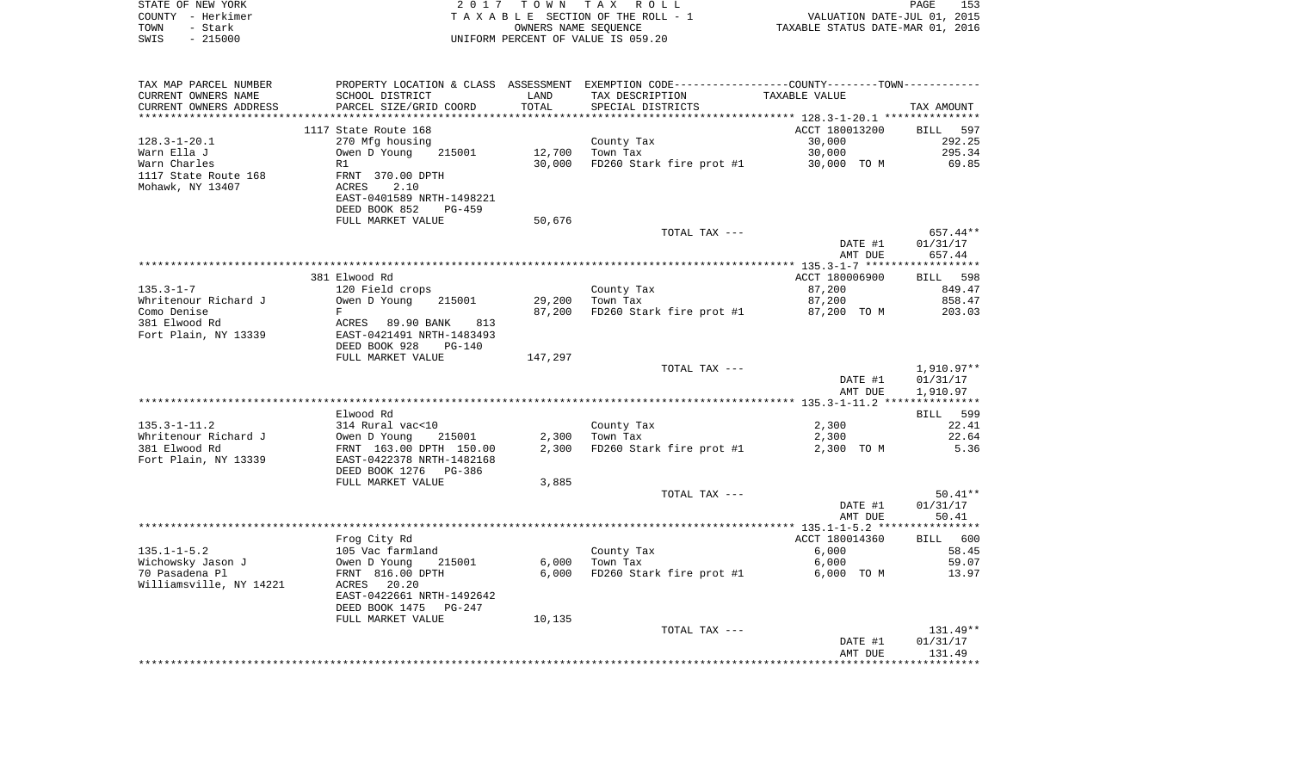| STATE OF NEW YORK<br>COUNTY - Herkimer     | 2017                                       | T O W N              | TAX ROLL<br>TAXABLE SECTION OF THE ROLL - 1                                                    | PAGE 153<br>VALUATION DATE-JUL 01, 2015<br>TAXABLE STATUS DATE-MAR 01, 2016 | PAGE<br>153            |
|--------------------------------------------|--------------------------------------------|----------------------|------------------------------------------------------------------------------------------------|-----------------------------------------------------------------------------|------------------------|
| TOWN<br>- Stark                            |                                            | OWNERS NAME SEQUENCE |                                                                                                |                                                                             |                        |
| SWIS<br>$-215000$                          |                                            |                      | UNIFORM PERCENT OF VALUE IS 059.20                                                             |                                                                             |                        |
|                                            |                                            |                      |                                                                                                |                                                                             |                        |
| TAX MAP PARCEL NUMBER                      |                                            |                      | PROPERTY LOCATION & CLASS ASSESSMENT EXEMPTION CODE----------------COUNTY-------TOWN---------- |                                                                             |                        |
| CURRENT OWNERS NAME                        | SCHOOL DISTRICT                            | LAND                 | TAX DESCRIPTION                                                                                | TAXABLE VALUE                                                               |                        |
| CURRENT OWNERS ADDRESS                     | PARCEL SIZE/GRID COORD                     | TOTAL                | SPECIAL DISTRICTS                                                                              |                                                                             | TAX AMOUNT             |
|                                            |                                            | ********             |                                                                                                | ************ 128.3-1-20.1 ****************                                  |                        |
|                                            | 1117 State Route 168                       |                      |                                                                                                | ACCT 180013200                                                              | BILL 597               |
| $128.3 - 1 - 20.1$                         | 270 Mfg housing                            |                      | County Tax                                                                                     | 30,000                                                                      | 292.25                 |
| Warn Ella J                                | Owen D Young<br>215001                     | 12,700               | Town Tax                                                                                       | 30,000                                                                      | 295.34                 |
| Warn Charles                               | R1                                         | 30,000               | FD260 Stark fire prot #1 30,000 TO M                                                           |                                                                             | 69.85                  |
| 1117 State Route 168<br>Mohawk, NY 13407   | FRNT 370.00 DPTH<br>ACRES<br>2.10          |                      |                                                                                                |                                                                             |                        |
|                                            | EAST-0401589 NRTH-1498221                  |                      |                                                                                                |                                                                             |                        |
|                                            | DEED BOOK 852<br>PG-459                    |                      |                                                                                                |                                                                             |                        |
|                                            | FULL MARKET VALUE                          | 50,676               |                                                                                                |                                                                             |                        |
|                                            |                                            |                      | TOTAL TAX ---                                                                                  |                                                                             | 657.44**               |
|                                            |                                            |                      |                                                                                                | DATE #1                                                                     | 01/31/17               |
|                                            |                                            |                      |                                                                                                | AMT DUE                                                                     | 657.44                 |
|                                            |                                            |                      |                                                                                                |                                                                             |                        |
|                                            | 381 Elwood Rd                              |                      |                                                                                                | ACCT 180006900                                                              | BILL 598               |
| $135.3 - 1 - 7$                            | 120 Field crops                            |                      | County Tax                                                                                     | 87,200                                                                      | 849.47                 |
| Whritenour Richard J                       | Owen D Young<br>215001                     | 29,200               | Town Tax                                                                                       | 87,200                                                                      | 858.47                 |
| Como Denise                                | $\mathbf{F}$                               | 87,200               | FD260 Stark fire prot #1                                                                       | 87,200 TO M                                                                 | 203.03                 |
| 381 Elwood Rd                              | ACRES 89.90 BANK<br>813                    |                      |                                                                                                |                                                                             |                        |
| Fort Plain, NY 13339                       | EAST-0421491 NRTH-1483493                  |                      |                                                                                                |                                                                             |                        |
|                                            | DEED BOOK 928<br>PG-140                    |                      |                                                                                                |                                                                             |                        |
|                                            | FULL MARKET VALUE                          | 147,297              |                                                                                                |                                                                             |                        |
|                                            |                                            |                      | TOTAL TAX ---                                                                                  |                                                                             | 1,910.97**             |
|                                            |                                            |                      |                                                                                                | DATE #1                                                                     | 01/31/17               |
| ************************                   |                                            |                      |                                                                                                | AMT DUE                                                                     | 1,910.97               |
|                                            |                                            |                      |                                                                                                |                                                                             | ***********            |
|                                            | Elwood Rd                                  |                      |                                                                                                |                                                                             | <b>BILL</b><br>599     |
| $135.3 - 1 - 11.2$<br>Whritenour Richard J | 314 Rural vac<10<br>Owen D Young<br>215001 | 2,300                | County Tax<br>Town Tax                                                                         | 2,300<br>2,300                                                              | 22.41<br>22.64         |
| 381 Elwood Rd                              | FRNT 163.00 DPTH 150.00                    | 2,300                | FD260 Stark fire prot #1                                                                       | 2,300 TO M                                                                  | 5.36                   |
| Fort Plain, NY 13339                       | EAST-0422378 NRTH-1482168                  |                      |                                                                                                |                                                                             |                        |
|                                            | DEED BOOK 1276 PG-386                      |                      |                                                                                                |                                                                             |                        |
|                                            | FULL MARKET VALUE                          | 3,885                |                                                                                                |                                                                             |                        |
|                                            |                                            |                      | TOTAL TAX ---                                                                                  |                                                                             | $50.41**$              |
|                                            |                                            |                      |                                                                                                | DATE #1                                                                     | 01/31/17               |
|                                            |                                            |                      |                                                                                                | AMT DUE                                                                     | 50.41                  |
|                                            |                                            |                      |                                                                                                |                                                                             |                        |
|                                            | Frog City Rd                               |                      |                                                                                                | ACCT 180014360                                                              | <b>BILL</b><br>600     |
| $135.1 - 1 - 5.2$                          | 105 Vac farmland                           |                      | County Tax                                                                                     | 6,000                                                                       | 58.45                  |
| Wichowsky Jason J                          | Owen D Young<br>215001                     | 6,000                | Town Tax                                                                                       | 6,000                                                                       | 59.07                  |
| 70 Pasadena Pl                             | FRNT 816.00 DPTH                           | 6,000                | FD260 Stark fire prot #1                                                                       | 6,000 TO M                                                                  | 13.97                  |
| Williamsville, NY 14221                    | ACRES<br>20.20                             |                      |                                                                                                |                                                                             |                        |
|                                            | EAST-0422661 NRTH-1492642                  |                      |                                                                                                |                                                                             |                        |
|                                            | DEED BOOK 1475 PG-247                      |                      |                                                                                                |                                                                             |                        |
|                                            | FULL MARKET VALUE                          | 10,135               |                                                                                                |                                                                             |                        |
|                                            |                                            |                      | TOTAL TAX ---                                                                                  |                                                                             | $131.49**$             |
|                                            |                                            |                      |                                                                                                | DATE #1                                                                     | 01/31/17               |
|                                            |                                            |                      |                                                                                                | AMT DUE                                                                     | 131.49<br>************ |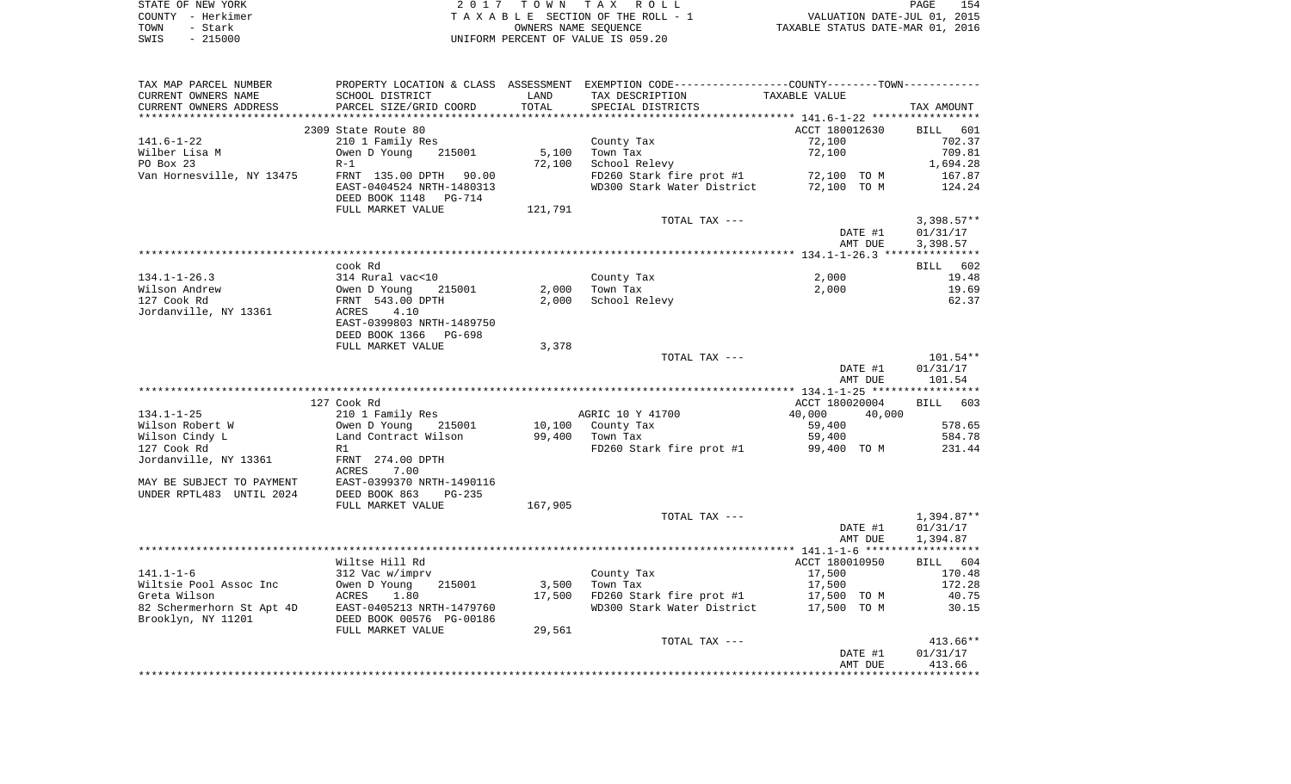|      | STATE OF NEW YORK | 2017 TOWN TAX ROLL                 | 154<br>PAGE                      |
|------|-------------------|------------------------------------|----------------------------------|
|      | COUNTY - Herkimer | TAXABLE SECTION OF THE ROLL - 1    | VALUATION DATE-JUL 01, 2015      |
| TOWN | - Stark           | OWNERS NAME SEOUENCE               | TAXABLE STATUS DATE-MAR 01, 2016 |
| SWIS | $-215000$         | UNIFORM PERCENT OF VALUE IS 059.20 |                                  |

| TAX MAP PARCEL NUMBER                                  |                                           |         | PROPERTY LOCATION & CLASS ASSESSMENT EXEMPTION CODE---------------COUNTY--------TOWN---------- |                  |                  |
|--------------------------------------------------------|-------------------------------------------|---------|------------------------------------------------------------------------------------------------|------------------|------------------|
| CURRENT OWNERS NAME                                    | SCHOOL DISTRICT                           | LAND    | TAX DESCRIPTION TAXABLE VALUE                                                                  |                  |                  |
| CURRENT OWNERS ADDRESS                                 | SCHOOL DISIRICI<br>PARCEL SIZE/GRID COORD | TOTAL   | SPECIAL DISTRICTS                                                                              |                  | TAX AMOUNT       |
|                                                        |                                           |         |                                                                                                |                  |                  |
|                                                        | 2309 State Route 80                       |         |                                                                                                | ACCT 180012630   | BILL 601         |
| 141.6–1–22                                             | 210 1 Family Res                          |         | County Tax                                                                                     | 72,100           | 702.37           |
| Wilber Lisa M                                          | 215001<br>Owen D Young                    | 5,100   | Town Tax                                                                                       | 72,100           | 709.81           |
| PO Box 23                                              | $R-1$                                     | 72,100  | School Relevy                                                                                  |                  | 1,694.28         |
| Van Hornesville, NY 13475     FRNT 135.00 DPTH   90.00 | EAST-0404524 NRTH-1480313                 |         | FD260 Stark fire prot #1 72,100 TO M<br>WD300 Stark Water District 72,100 TO M                 |                  | 167.87<br>124.24 |
|                                                        | DEED BOOK 1148 PG-714                     |         |                                                                                                |                  |                  |
|                                                        | FULL MARKET VALUE                         | 121,791 |                                                                                                |                  |                  |
|                                                        |                                           |         | TOTAL TAX ---                                                                                  |                  | $3,398.57**$     |
|                                                        |                                           |         |                                                                                                | DATE #1          | 01/31/17         |
|                                                        |                                           |         |                                                                                                | AMT DUE          | 3,398.57         |
|                                                        |                                           |         |                                                                                                |                  |                  |
|                                                        | cook Rd                                   |         |                                                                                                |                  | BILL 602         |
| 134.1-1-26.3                                           | 314 Rural vac<10                          |         | County Tax                                                                                     | 2,000            | 19.48            |
| Wilson Andrew                                          |                                           | 2,000   | Town Tax                                                                                       | 2,000            | 19.69            |
| 127 Cook Rd                                            | Owen D Young 215001<br>FRNT 543.00 DPTH   | 2,000   | School Relevy                                                                                  |                  | 62.37            |
| Jordanville, NY 13361                                  | <b>ACRES</b><br>4.10                      |         |                                                                                                |                  |                  |
|                                                        | EAST-0399803 NRTH-1489750                 |         |                                                                                                |                  |                  |
|                                                        | DEED BOOK 1366 PG-698                     |         |                                                                                                |                  |                  |
|                                                        | FULL MARKET VALUE                         | 3,378   |                                                                                                |                  |                  |
|                                                        |                                           |         | TOTAL TAX ---                                                                                  |                  | 101.54**         |
|                                                        |                                           |         |                                                                                                | DATE #1          | 01/31/17         |
|                                                        |                                           |         |                                                                                                | AMT DUE          | 101.54           |
|                                                        |                                           |         |                                                                                                |                  |                  |
|                                                        | 127 Cook Rd                               |         |                                                                                                | ACCT 180020004   | BILL 603         |
| 134.1-1-25                                             | 210 1 Family Res                          |         | AGRIC 10 Y 41700                                                                               | 40,000<br>40,000 |                  |
| Wilson Robert W                                        | Owen D Young 215001                       |         | 10,100 County Tax<br>$\mathbf{z}$                                                              | 59,400           | 578.65           |
| Wilson Cindy L                                         | Land Contract Wilson 99,400 Town Tax      |         |                                                                                                | 59,400           | 584.78           |
| 127 Cook Rd                                            | R1                                        |         | FD260 Stark fire prot #1                                                                       | 99,400 TO M      | 231.44           |
| Jordanville, NY 13361                                  | FRNT 274.00 DPTH                          |         |                                                                                                |                  |                  |
|                                                        | ACRES<br>7.00                             |         |                                                                                                |                  |                  |
| MAY BE SUBJECT TO PAYMENT                              | EAST-0399370 NRTH-1490116                 |         |                                                                                                |                  |                  |
| UNDER RPTL483 UNTIL 2024                               | DEED BOOK 863<br>$PG-235$                 |         |                                                                                                |                  |                  |
|                                                        | FULL MARKET VALUE                         | 167,905 |                                                                                                |                  |                  |
|                                                        |                                           |         | TOTAL TAX ---                                                                                  |                  | 1,394.87**       |
|                                                        |                                           |         |                                                                                                | DATE #1          | 01/31/17         |
|                                                        |                                           |         |                                                                                                | AMT DUE          | 1,394.87         |
|                                                        |                                           |         |                                                                                                |                  |                  |
|                                                        | Wiltse Hill Rd                            |         | County Tax                                                                                     | ACCT 180010950   | BILL 604         |
|                                                        |                                           |         | 3,500 Town Tax                                                                                 | 17,500<br>17,500 | 170.48<br>172.28 |
|                                                        |                                           |         | 17,500 FD260 Stark fire prot #1                                                                | 17,500 TO M      | 40.75            |
|                                                        |                                           |         | WD300 Stark Water District                                                                     | 17,500 TO M      | 30.15            |
|                                                        |                                           |         |                                                                                                |                  |                  |
|                                                        | FULL MARKET VALUE                         | 29,561  |                                                                                                |                  |                  |
|                                                        |                                           |         | TOTAL TAX ---                                                                                  |                  | $413.66**$       |
|                                                        |                                           |         |                                                                                                | DATE #1          | 01/31/17         |
|                                                        |                                           |         |                                                                                                | AMT DUE          | 413.66           |
|                                                        |                                           |         |                                                                                                |                  |                  |
|                                                        |                                           |         |                                                                                                |                  |                  |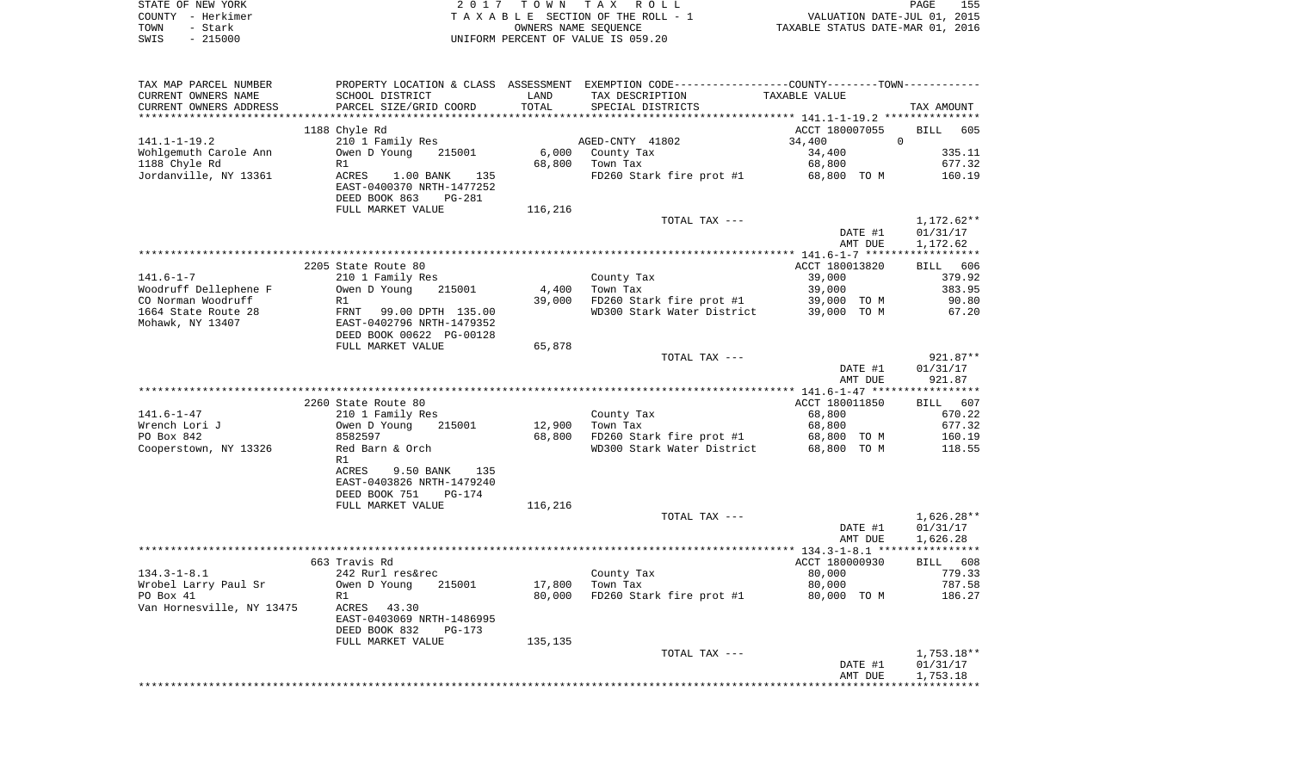|      | STATE OF NEW YORK | 2017 TOWN TAX ROLL                 | PAGE                             | 155 |
|------|-------------------|------------------------------------|----------------------------------|-----|
|      | COUNTY – Herkimer | TAXABLE SECTION OF THE ROLL - 1    | VALUATION DATE-JUL 01, 2015      |     |
| TOWN | – Stark           | OWNERS NAME SEOUENCE               | TAXABLE STATUS DATE-MAR 01, 2016 |     |
| SWIS | - 215000          | UNIFORM PERCENT OF VALUE IS 059.20 |                                  |     |

|                                                        |                                                                                                                                                                                                                                                                                                                                                                                                                                                                      |                             | PROPERTY LOCATION & CLASS ASSESSMENT EXEMPTION CODE---------------COUNTY-------TOWN----------                                                                                  |                                                                                                                                                                                                                                                                                                                                                                                                                                             |
|--------------------------------------------------------|----------------------------------------------------------------------------------------------------------------------------------------------------------------------------------------------------------------------------------------------------------------------------------------------------------------------------------------------------------------------------------------------------------------------------------------------------------------------|-----------------------------|--------------------------------------------------------------------------------------------------------------------------------------------------------------------------------|---------------------------------------------------------------------------------------------------------------------------------------------------------------------------------------------------------------------------------------------------------------------------------------------------------------------------------------------------------------------------------------------------------------------------------------------|
| SCHOOL DISTRICT                                        | LAND                                                                                                                                                                                                                                                                                                                                                                                                                                                                 | TAX DESCRIPTION             | TAXABLE VALUE                                                                                                                                                                  |                                                                                                                                                                                                                                                                                                                                                                                                                                             |
| PARCEL SIZE/GRID COORD                                 | TOTAL                                                                                                                                                                                                                                                                                                                                                                                                                                                                | SPECIAL DISTRICTS           |                                                                                                                                                                                | TAX AMOUNT                                                                                                                                                                                                                                                                                                                                                                                                                                  |
|                                                        |                                                                                                                                                                                                                                                                                                                                                                                                                                                                      |                             |                                                                                                                                                                                |                                                                                                                                                                                                                                                                                                                                                                                                                                             |
|                                                        |                                                                                                                                                                                                                                                                                                                                                                                                                                                                      |                             |                                                                                                                                                                                | BILL 605                                                                                                                                                                                                                                                                                                                                                                                                                                    |
|                                                        |                                                                                                                                                                                                                                                                                                                                                                                                                                                                      |                             |                                                                                                                                                                                | $\overline{0}$                                                                                                                                                                                                                                                                                                                                                                                                                              |
|                                                        |                                                                                                                                                                                                                                                                                                                                                                                                                                                                      |                             |                                                                                                                                                                                | 335.11                                                                                                                                                                                                                                                                                                                                                                                                                                      |
|                                                        |                                                                                                                                                                                                                                                                                                                                                                                                                                                                      |                             |                                                                                                                                                                                | 677.32                                                                                                                                                                                                                                                                                                                                                                                                                                      |
| EAST-0400370 NRTH-1477252<br>DEED BOOK 863<br>PG-281   |                                                                                                                                                                                                                                                                                                                                                                                                                                                                      |                             |                                                                                                                                                                                | 160.19                                                                                                                                                                                                                                                                                                                                                                                                                                      |
|                                                        |                                                                                                                                                                                                                                                                                                                                                                                                                                                                      |                             |                                                                                                                                                                                |                                                                                                                                                                                                                                                                                                                                                                                                                                             |
|                                                        |                                                                                                                                                                                                                                                                                                                                                                                                                                                                      |                             | DATE #1                                                                                                                                                                        | 1,172.62**<br>01/31/17<br>1,172.62                                                                                                                                                                                                                                                                                                                                                                                                          |
|                                                        |                                                                                                                                                                                                                                                                                                                                                                                                                                                                      |                             |                                                                                                                                                                                |                                                                                                                                                                                                                                                                                                                                                                                                                                             |
|                                                        |                                                                                                                                                                                                                                                                                                                                                                                                                                                                      |                             |                                                                                                                                                                                | BILL 606                                                                                                                                                                                                                                                                                                                                                                                                                                    |
|                                                        |                                                                                                                                                                                                                                                                                                                                                                                                                                                                      |                             |                                                                                                                                                                                | 379.92                                                                                                                                                                                                                                                                                                                                                                                                                                      |
| 215001                                                 | 4,400                                                                                                                                                                                                                                                                                                                                                                                                                                                                | Town Tax                    | 39,000                                                                                                                                                                         | 383.95                                                                                                                                                                                                                                                                                                                                                                                                                                      |
| R1                                                     | 39,000                                                                                                                                                                                                                                                                                                                                                                                                                                                               |                             |                                                                                                                                                                                | 90.80                                                                                                                                                                                                                                                                                                                                                                                                                                       |
| DEED BOOK 00622 PG-00128                               |                                                                                                                                                                                                                                                                                                                                                                                                                                                                      |                             |                                                                                                                                                                                | 67.20                                                                                                                                                                                                                                                                                                                                                                                                                                       |
|                                                        |                                                                                                                                                                                                                                                                                                                                                                                                                                                                      |                             |                                                                                                                                                                                | 921.87**                                                                                                                                                                                                                                                                                                                                                                                                                                    |
|                                                        |                                                                                                                                                                                                                                                                                                                                                                                                                                                                      |                             |                                                                                                                                                                                | 01/31/17                                                                                                                                                                                                                                                                                                                                                                                                                                    |
|                                                        |                                                                                                                                                                                                                                                                                                                                                                                                                                                                      |                             |                                                                                                                                                                                | 921.87                                                                                                                                                                                                                                                                                                                                                                                                                                      |
|                                                        |                                                                                                                                                                                                                                                                                                                                                                                                                                                                      |                             |                                                                                                                                                                                |                                                                                                                                                                                                                                                                                                                                                                                                                                             |
|                                                        |                                                                                                                                                                                                                                                                                                                                                                                                                                                                      |                             |                                                                                                                                                                                | BILL 607                                                                                                                                                                                                                                                                                                                                                                                                                                    |
|                                                        |                                                                                                                                                                                                                                                                                                                                                                                                                                                                      |                             |                                                                                                                                                                                | 670.22                                                                                                                                                                                                                                                                                                                                                                                                                                      |
|                                                        |                                                                                                                                                                                                                                                                                                                                                                                                                                                                      |                             |                                                                                                                                                                                | 677.32                                                                                                                                                                                                                                                                                                                                                                                                                                      |
| 8582597                                                |                                                                                                                                                                                                                                                                                                                                                                                                                                                                      |                             |                                                                                                                                                                                | 160.19                                                                                                                                                                                                                                                                                                                                                                                                                                      |
| Red Barn & Orch<br>R1                                  |                                                                                                                                                                                                                                                                                                                                                                                                                                                                      |                             |                                                                                                                                                                                | 118.55                                                                                                                                                                                                                                                                                                                                                                                                                                      |
| ACRES<br>9.50 BANK 135<br>EAST-0403826 NRTH-1479240    |                                                                                                                                                                                                                                                                                                                                                                                                                                                                      |                             |                                                                                                                                                                                |                                                                                                                                                                                                                                                                                                                                                                                                                                             |
| FULL MARKET VALUE                                      | 116,216                                                                                                                                                                                                                                                                                                                                                                                                                                                              |                             |                                                                                                                                                                                |                                                                                                                                                                                                                                                                                                                                                                                                                                             |
|                                                        |                                                                                                                                                                                                                                                                                                                                                                                                                                                                      | TOTAL TAX ---               | DATE #1<br>AMT DUE                                                                                                                                                             | 1,626.28**<br>01/31/17<br>1,626.28                                                                                                                                                                                                                                                                                                                                                                                                          |
|                                                        |                                                                                                                                                                                                                                                                                                                                                                                                                                                                      |                             |                                                                                                                                                                                |                                                                                                                                                                                                                                                                                                                                                                                                                                             |
|                                                        |                                                                                                                                                                                                                                                                                                                                                                                                                                                                      |                             |                                                                                                                                                                                | BILL 608                                                                                                                                                                                                                                                                                                                                                                                                                                    |
|                                                        |                                                                                                                                                                                                                                                                                                                                                                                                                                                                      |                             |                                                                                                                                                                                | 779.33                                                                                                                                                                                                                                                                                                                                                                                                                                      |
| R1                                                     | 80,000                                                                                                                                                                                                                                                                                                                                                                                                                                                               |                             |                                                                                                                                                                                | 787.58<br>186.27                                                                                                                                                                                                                                                                                                                                                                                                                            |
| EAST-0403069 NRTH-1486995<br>DEED BOOK 832<br>$PG-173$ |                                                                                                                                                                                                                                                                                                                                                                                                                                                                      |                             |                                                                                                                                                                                |                                                                                                                                                                                                                                                                                                                                                                                                                                             |
| FULL MARKET VALUE                                      | 135,135                                                                                                                                                                                                                                                                                                                                                                                                                                                              |                             |                                                                                                                                                                                |                                                                                                                                                                                                                                                                                                                                                                                                                                             |
|                                                        |                                                                                                                                                                                                                                                                                                                                                                                                                                                                      | TOTAL TAX ---               |                                                                                                                                                                                | $1,753.18**$                                                                                                                                                                                                                                                                                                                                                                                                                                |
|                                                        |                                                                                                                                                                                                                                                                                                                                                                                                                                                                      |                             | DATE #1                                                                                                                                                                        | 01/31/17                                                                                                                                                                                                                                                                                                                                                                                                                                    |
|                                                        | 1188 Chyle Rd<br>210 1 Family Res<br>Owen D Young<br>215001<br>R1<br>ACRES<br>$1.00$ BANK<br>135<br>FULL MARKET VALUE<br>2205 State Route 80<br>210 1 Family Res<br>Owen D Young<br>FRNT 99.00 DPTH 135.00<br>EAST-0402796 NRTH-1479352<br>FULL MARKET VALUE<br>2260 State Route 80<br>210 1 Family Res<br>Owen D Young<br>215001<br>DEED BOOK 751<br>PG-174<br>663 Travis Rd<br>242 Rurl res&rec<br>Owen D Young<br>215001<br>Van Hornesville, NY 13475 ACRES 43.30 | 116,216<br>65,878<br>17,800 | AGED-CNTY 41802<br>6,000 County Tax<br>68,800 Town Tax<br>TOTAL TAX ---<br>County Tax<br>TOTAL TAX ---<br>County Tax<br>12,900<br>Town Tax<br>68,800<br>County Tax<br>Town Tax | ACCT 180007055<br>34,400<br>34,400<br>68,800<br>FD260 Stark fire prot #1 68,800 TO M<br>AMT DUE<br>ACCT 180013820<br>39,000<br>FD260 Stark fire prot #1 $39,000$ TO M<br>WD300 Stark Water District 39,000 TO M<br>DATE #1<br>AMT DUE<br>ACCT 180011850<br>68,800<br>68,800<br>FD260 Stark fire prot #1 68,800 TO M<br>WD300 Stark Water District 68,800 TO M<br>ACCT 180000930<br>80,000<br>80,000<br>FD260 Stark fire prot #1 80,000 TO M |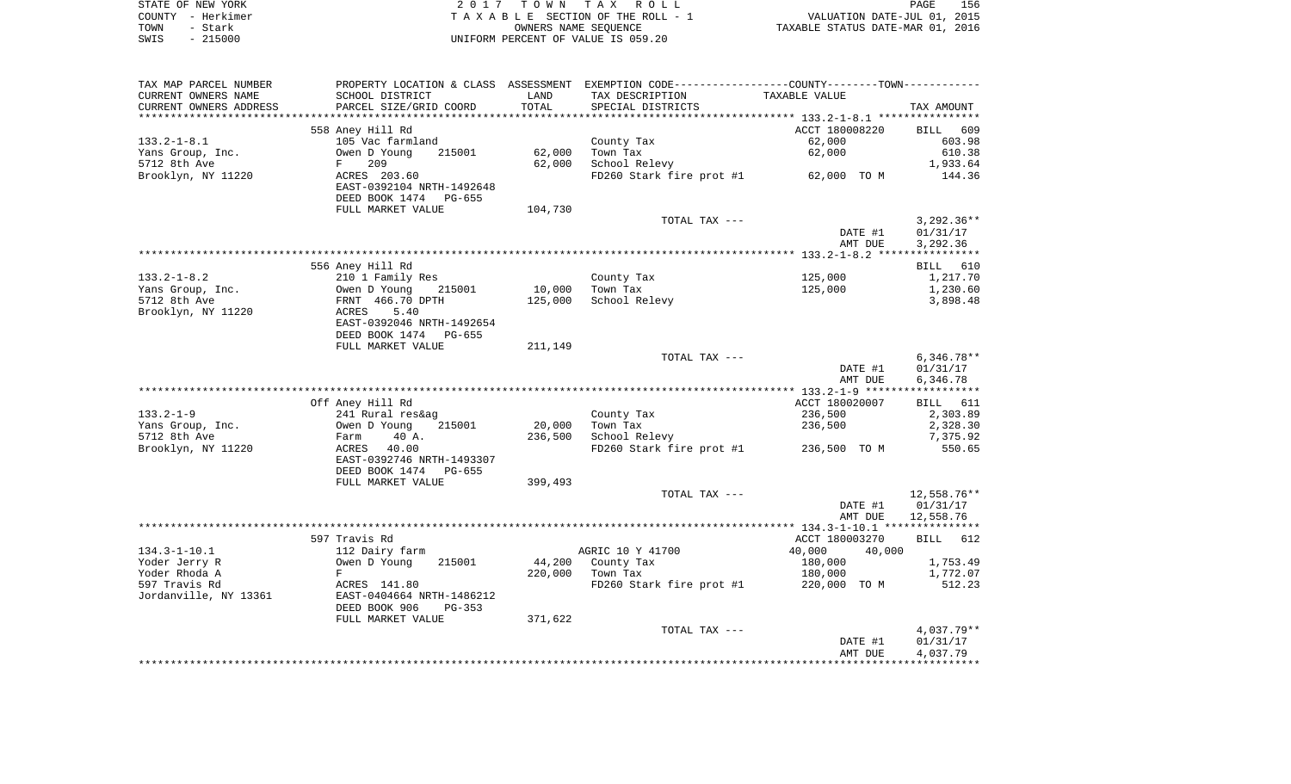| STATE OF NEW YORK |                   | 2017 TOWN TAX ROLL                 | PAGE                             | 156 |
|-------------------|-------------------|------------------------------------|----------------------------------|-----|
|                   | COUNTY - Herkimer | TAXABLE SECTION OF THE ROLL - 1    | VALUATION DATE-JUL 01, 2015      |     |
| TOWN              | - Stark           | OWNERS NAME SEOUENCE               | TAXABLE STATUS DATE-MAR 01, 2016 |     |
| SWIS              | $-215000$         | UNIFORM PERCENT OF VALUE IS 059.20 |                                  |     |

| TAX MAP PARCEL NUMBER  | PROPERTY LOCATION & CLASS ASSESSMENT EXEMPTION CODE---------------COUNTY-------TOWN---------- |         |                                       |                  |              |
|------------------------|-----------------------------------------------------------------------------------------------|---------|---------------------------------------|------------------|--------------|
| CURRENT OWNERS NAME    | SCHOOL DISTRICT                                                                               | LAND    | TAX DESCRIPTION                       | TAXABLE VALUE    |              |
| CURRENT OWNERS ADDRESS | PARCEL SIZE/GRID COORD                                                                        | TOTAL   | SPECIAL DISTRICTS                     |                  | TAX AMOUNT   |
|                        |                                                                                               |         |                                       |                  |              |
|                        | 558 Aney Hill Rd                                                                              |         |                                       | ACCT 180008220   | BILL 609     |
| $133.2 - 1 - 8.1$      | 105 Vac farmland                                                                              |         | County Tax                            | 62,000           | 603.98       |
| Yans Group, Inc.       | 215001<br>Owen D Young                                                                        | 62,000  | Town Tax                              | 62,000           | 610.38       |
| 5712 8th Ave           | 209<br>$F$ and $F$                                                                            | 62,000  | School Relevy                         |                  | 1,933.64     |
| Brooklyn, NY 11220     | ACRES 203.60                                                                                  |         | FD260 Stark fire prot #1 62,000 TO M  |                  | 144.36       |
|                        | EAST-0392104 NRTH-1492648                                                                     |         |                                       |                  |              |
|                        | DEED BOOK 1474 PG-655                                                                         |         |                                       |                  |              |
|                        | FULL MARKET VALUE                                                                             | 104,730 |                                       |                  |              |
|                        |                                                                                               |         | TOTAL TAX ---                         |                  | $3,292.36**$ |
|                        |                                                                                               |         |                                       | DATE #1          | 01/31/17     |
|                        |                                                                                               |         |                                       | AMT DUE          | 3,292.36     |
|                        |                                                                                               |         |                                       |                  |              |
|                        | 556 Aney Hill Rd                                                                              |         |                                       |                  | BILL 610     |
| $133.2 - 1 - 8.2$      | 210 1 Family Res                                                                              |         | County Tax                            | 125,000          | 1,217.70     |
| Yans Group, Inc.       | Owen D Young<br>215001                                                                        | 10,000  | Town Tax                              | 125,000          | 1,230.60     |
| 5712 8th Ave           | FRNT 466.70 DPTH                                                                              | 125,000 | School Relevy                         |                  | 3,898.48     |
| Brooklyn, NY 11220     | 5.40<br>ACRES                                                                                 |         |                                       |                  |              |
|                        | EAST-0392046 NRTH-1492654                                                                     |         |                                       |                  |              |
|                        | DEED BOOK 1474 PG-655                                                                         |         |                                       |                  |              |
|                        | FULL MARKET VALUE                                                                             | 211,149 |                                       |                  |              |
|                        |                                                                                               |         | TOTAL TAX ---                         |                  | $6,346.78**$ |
|                        |                                                                                               |         |                                       | DATE #1          | 01/31/17     |
|                        |                                                                                               |         |                                       | AMT DUE          | 6,346.78     |
|                        |                                                                                               |         |                                       |                  |              |
|                        | Off Aney Hill Rd                                                                              |         |                                       | ACCT 180020007   | BILL 611     |
| $133.2 - 1 - 9$        | 241 Rural res&ag                                                                              |         | County Tax                            | 236,500          | 2,303.89     |
| Yans Group, Inc.       | Owen D Young<br>215001                                                                        | 20,000  | Town Tax                              | 236,500          | 2,328.30     |
| 5712 8th Ave           | 40 A.<br>Farm                                                                                 | 236,500 | School Relevy                         |                  | 7,375.92     |
| Brooklyn, NY 11220     | 40.00<br>ACRES                                                                                |         | FD260 Stark fire prot #1 236,500 TO M |                  | 550.65       |
|                        | EAST-0392746 NRTH-1493307                                                                     |         |                                       |                  |              |
|                        | DEED BOOK 1474 PG-655                                                                         |         |                                       |                  |              |
|                        | FULL MARKET VALUE                                                                             | 399,493 |                                       |                  |              |
|                        |                                                                                               |         | TOTAL TAX ---                         |                  | 12,558.76**  |
|                        |                                                                                               |         |                                       | DATE #1          | 01/31/17     |
|                        |                                                                                               |         |                                       | AMT DUE          | 12,558.76    |
|                        |                                                                                               |         |                                       |                  |              |
|                        | 597 Travis Rd                                                                                 |         |                                       | ACCT 180003270   | BILL 612     |
| $134.3 - 1 - 10.1$     | 112 Dairy farm                                                                                |         | AGRIC 10 Y 41700                      | 40,000<br>40,000 |              |
| Yoder Jerry R          | Owen D Young<br>215001                                                                        | 44,200  | County Tax                            | 180,000          | 1,753.49     |
| Yoder Rhoda A          | F                                                                                             | 220,000 | Town Tax                              | 180,000          | 1,772.07     |
| 597 Travis Rd          | ACRES 141.80                                                                                  |         | FD260 Stark fire prot #1              | 220,000 TO M     | 512.23       |
| Jordanville, NY 13361  | EAST-0404664 NRTH-1486212                                                                     |         |                                       |                  |              |
|                        | DEED BOOK 906<br>PG-353                                                                       |         |                                       |                  |              |
|                        | FULL MARKET VALUE                                                                             | 371,622 |                                       |                  |              |
|                        |                                                                                               |         | TOTAL TAX ---                         |                  | 4,037.79**   |
|                        |                                                                                               |         |                                       | DATE #1          | 01/31/17     |
|                        |                                                                                               |         |                                       | AMT DUE          | 4,037.79     |
|                        |                                                                                               |         |                                       |                  |              |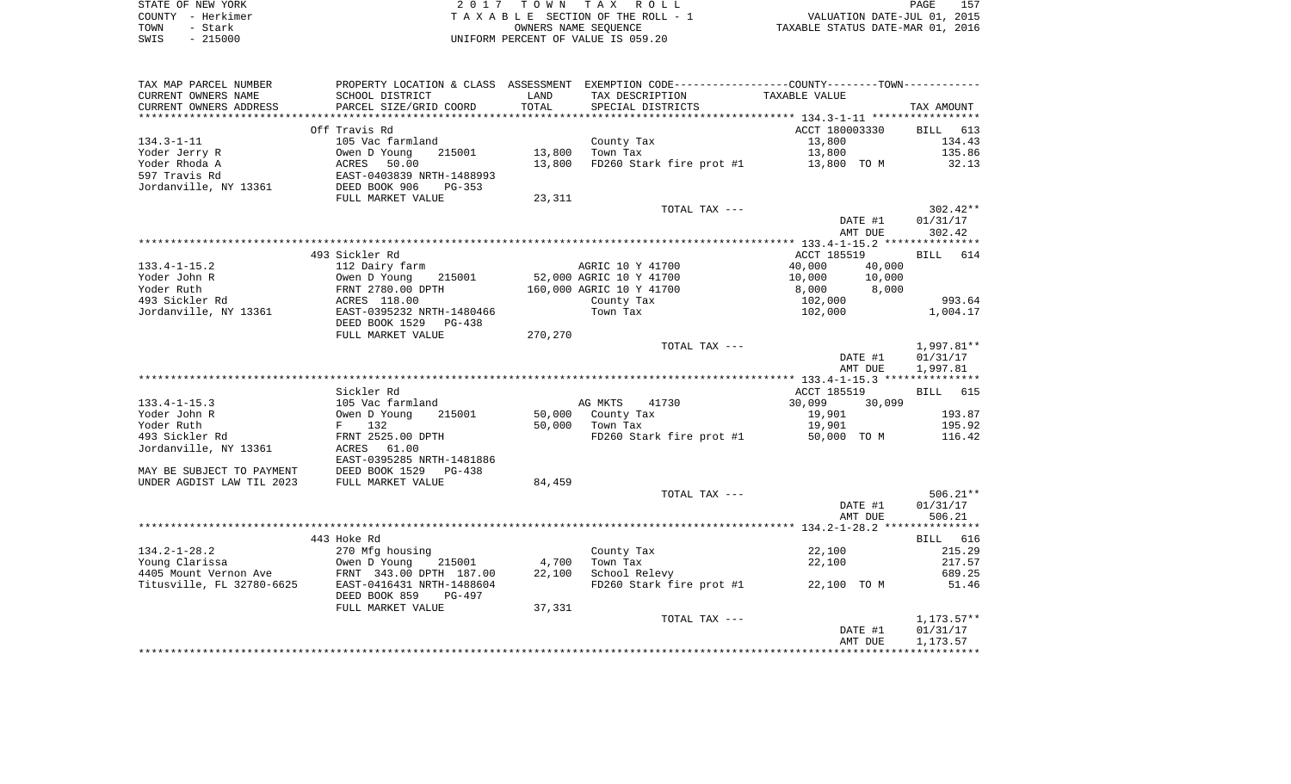|      | STATE OF NEW YORK | 2017 TOWN TAX ROLL                 | PAGE                             | 157 |
|------|-------------------|------------------------------------|----------------------------------|-----|
|      | COUNTY - Herkimer | TAXABLE SECTION OF THE ROLL - 1    | VALUATION DATE-JUL 01, 2015      |     |
| TOWN | - Stark           | OWNERS NAME SEOUENCE               | TAXABLE STATUS DATE-MAR 01, 2016 |     |
| SWIS | $-215000$         | UNIFORM PERCENT OF VALUE IS 059.20 |                                  |     |

| TAX MAP PARCEL NUMBER                        |                                                                                                        |         | PROPERTY LOCATION & CLASS ASSESSMENT EXEMPTION CODE---------------COUNTY--------TOWN---------- |                                                                                                                |                      |
|----------------------------------------------|--------------------------------------------------------------------------------------------------------|---------|------------------------------------------------------------------------------------------------|----------------------------------------------------------------------------------------------------------------|----------------------|
| CURRENT OWNERS NAME                          | SCHOOL DISTRICT                                                                                        | LAND    | TAX DESCRIPTION                                                                                | TAXABLE VALUE                                                                                                  |                      |
| CURRENT OWNERS ADDRESS                       | PARCEL SIZE/GRID COORD                                                                                 | TOTAL   | SPECIAL DISTRICTS                                                                              |                                                                                                                | TAX AMOUNT           |
| *********************                        | ***************************                                                                            |         |                                                                                                |                                                                                                                |                      |
|                                              | Off Travis Rd                                                                                          |         |                                                                                                | ACCT 180003330                                                                                                 | BILL 613             |
| $134.3 - 1 - 11$                             | 105 Vac farmland                                                                                       |         | County Tax                                                                                     | 13,800                                                                                                         | 134.43               |
| Yoder Jerry R                                |                                                                                                        |         | 13,800 Town Tax                                                                                | 13,800                                                                                                         | 135.86               |
| Yoder Rhoda A                                |                                                                                                        | 13,800  |                                                                                                | FD260 Stark fire prot #1 13,800 TO M 32.13                                                                     |                      |
| 597 Travis Rd                                | Owen D Young<br>ACRES 50.00<br>EAST-0403839 NRTH-1488993<br>DEED BOOK 906 PG-353<br>FUIL MADEET WALLER |         |                                                                                                |                                                                                                                |                      |
| Jordanville, NY 13361                        |                                                                                                        |         |                                                                                                |                                                                                                                |                      |
|                                              | FULL MARKET VALUE                                                                                      | 23,311  |                                                                                                |                                                                                                                |                      |
|                                              |                                                                                                        |         | TOTAL TAX ---                                                                                  |                                                                                                                | 302.42**             |
|                                              |                                                                                                        |         |                                                                                                | DATE #1<br>AMT DUE                                                                                             | 01/31/17<br>302.42   |
|                                              |                                                                                                        |         |                                                                                                |                                                                                                                |                      |
|                                              | 493 Sickler Rd                                                                                         |         |                                                                                                | ACCT 185519                                                                                                    | BILL 614             |
| $133.4 - 1 - 15.2$                           | 112 Dairy farm                                                                                         |         | AGRIC 10 Y 41700                                                                               | 40,000<br>40,000                                                                                               |                      |
|                                              | 215001                                                                                                 |         | 52,000 AGRIC 10 Y 41700                                                                        |                                                                                                                |                      |
| Yoder John R<br>Yoder Ruth<br>493 Sickler Rd | Owen D Young 21<br>FRNT 2780.00 DPTH<br>ACRES 118.00                                                   |         | 160,000 AGRIC 10 Y 41700                                                                       | $\begin{array}{ccc} 10\, , 000 & \quad & 10\, , 000\ 8\, , 000 & \quad & 8\, , 000\ 102\, , 000 & \end{array}$ |                      |
|                                              |                                                                                                        |         | County Tax                                                                                     |                                                                                                                | 993.64               |
|                                              | Jordanville, NY 13361 EAST-0395232 NRTH-1480466                                                        |         | Town Tax                                                                                       | 102,000                                                                                                        | 1,004.17             |
|                                              | DEED BOOK 1529 PG-438                                                                                  |         |                                                                                                |                                                                                                                |                      |
|                                              | FULL MARKET VALUE                                                                                      | 270,270 |                                                                                                |                                                                                                                |                      |
|                                              |                                                                                                        |         | TOTAL TAX ---                                                                                  |                                                                                                                | 1,997.81**           |
|                                              |                                                                                                        |         |                                                                                                | DATE #1                                                                                                        | 01/31/17             |
|                                              |                                                                                                        |         |                                                                                                | AMT DUE                                                                                                        | 1,997.81             |
|                                              |                                                                                                        |         |                                                                                                |                                                                                                                |                      |
|                                              | Sickler Rd                                                                                             |         |                                                                                                | ACCT 185519                                                                                                    | BILL 615             |
| $133.4 - 1 - 15.3$                           | 105 Vac farmland                                                                                       |         | AG MKTS<br>41730                                                                               | 30,099 30,099                                                                                                  |                      |
| Yoder John R                                 | Owen D Young 21<br>F 132<br>FRNT 2525.00 DPTH<br>215001                                                |         | 50,000 County Tax                                                                              | 19,901                                                                                                         | 193.87               |
| Yoder Ruth                                   |                                                                                                        |         | 50,000 Town Tax                                                                                | 19,901                                                                                                         | 195.92               |
| 493 Sickler Rd                               |                                                                                                        |         | FD260 Stark fire prot #1 50,000 TO M                                                           |                                                                                                                | 116.42               |
| Jordanville, NY 13361                        | ACRES 61.00                                                                                            |         |                                                                                                |                                                                                                                |                      |
|                                              | EAST-0395285 NRTH-1481886                                                                              |         |                                                                                                |                                                                                                                |                      |
| MAY BE SUBJECT TO PAYMENT                    | DEED BOOK 1529<br>PG-438                                                                               |         |                                                                                                |                                                                                                                |                      |
| UNDER AGDIST LAW TIL 2023                    | FULL MARKET VALUE                                                                                      | 84,459  |                                                                                                |                                                                                                                |                      |
|                                              |                                                                                                        |         | TOTAL TAX ---                                                                                  |                                                                                                                | $506.21**$           |
|                                              |                                                                                                        |         |                                                                                                | DATE #1                                                                                                        | 01/31/17             |
|                                              |                                                                                                        |         |                                                                                                | AMT DUE                                                                                                        | 506.21               |
|                                              |                                                                                                        |         |                                                                                                |                                                                                                                |                      |
|                                              | 443 Hoke Rd                                                                                            |         |                                                                                                |                                                                                                                | BILL 616             |
| $134.2 - 1 - 28.2$                           | 270 Mfg housing                                                                                        |         | County Tax                                                                                     | 22,100                                                                                                         | 215.29               |
|                                              |                                                                                                        | 4,700   | Town Tax                                                                                       | 22,100                                                                                                         | 217.57               |
|                                              |                                                                                                        | 22,100  | School Relevy                                                                                  |                                                                                                                | 689.25               |
|                                              |                                                                                                        |         |                                                                                                | FD260 Stark fire prot #1 $22,100$ TO M                                                                         | 51.46                |
|                                              | DEED BOOK 859<br>PG-497                                                                                |         |                                                                                                |                                                                                                                |                      |
|                                              | FULL MARKET VALUE                                                                                      | 37,331  | TOTAL TAX ---                                                                                  |                                                                                                                |                      |
|                                              |                                                                                                        |         |                                                                                                |                                                                                                                | 1,173.57**           |
|                                              |                                                                                                        |         |                                                                                                | DATE #1<br>AMT DUE                                                                                             | 01/31/17<br>1,173.57 |
|                                              |                                                                                                        |         |                                                                                                |                                                                                                                |                      |
|                                              |                                                                                                        |         |                                                                                                |                                                                                                                |                      |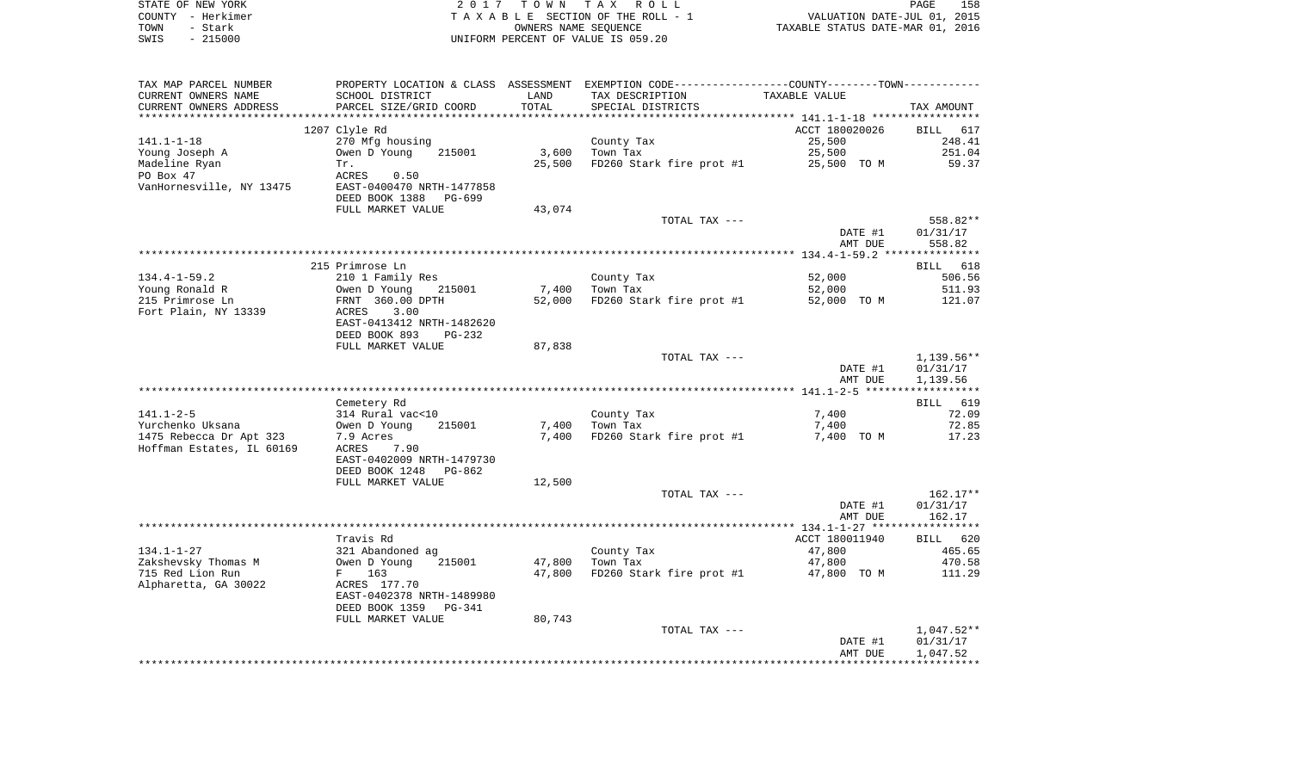|      | STATE OF NEW YORK | 2017 TOWN TAX ROLL                 | PAGE                             | 158 |
|------|-------------------|------------------------------------|----------------------------------|-----|
|      | COUNTY - Herkimer | TAXABLE SECTION OF THE ROLL - 1    | VALUATION DATE-JUL 01, 2015      |     |
| TOWN | - Stark           | OWNERS NAME SEOUENCE               | TAXABLE STATUS DATE-MAR 01, 2016 |     |
| SWIS | $-215000$         | UNIFORM PERCENT OF VALUE IS 059.20 |                                  |     |

| TAX MAP PARCEL NUMBER     | PROPERTY LOCATION & CLASS ASSESSMENT EXEMPTION CODE----------------COUNTY-------TOWN---------- |        |                                      |                |            |
|---------------------------|------------------------------------------------------------------------------------------------|--------|--------------------------------------|----------------|------------|
| CURRENT OWNERS NAME       | SCHOOL DISTRICT                                                                                | LAND   | TAX DESCRIPTION                      | TAXABLE VALUE  |            |
| CURRENT OWNERS ADDRESS    | PARCEL SIZE/GRID COORD                                                                         | TOTAL  | SPECIAL DISTRICTS                    |                | TAX AMOUNT |
|                           |                                                                                                |        |                                      |                |            |
|                           | 1207 Clyle Rd                                                                                  |        |                                      | ACCT 180020026 | BILL 617   |
| 141.1-1-18                | 270 Mfg housing                                                                                |        | County Tax                           | 25,500         | 248.41     |
| Young Joseph A            | Owen D Young<br>215001                                                                         | 3,600  | Town Tax                             | 25,500         | 251.04     |
| Madeline Ryan             | Tr.                                                                                            | 25,500 | FD260 Stark fire prot #1 25,500 TO M |                | 59.37      |
| PO Box 47                 | ACRES<br>0.50                                                                                  |        |                                      |                |            |
| VanHornesville, NY 13475  | EAST-0400470 NRTH-1477858                                                                      |        |                                      |                |            |
|                           | DEED BOOK 1388<br>PG-699                                                                       |        |                                      |                |            |
|                           | FULL MARKET VALUE                                                                              | 43,074 |                                      |                |            |
|                           |                                                                                                |        | TOTAL TAX ---                        |                | 558.82**   |
|                           |                                                                                                |        |                                      | DATE #1        | 01/31/17   |
|                           |                                                                                                |        |                                      | AMT DUE        | 558.82     |
|                           |                                                                                                |        |                                      |                |            |
|                           | 215 Primrose Ln                                                                                |        |                                      |                | BILL 618   |
| $134.4 - 1 - 59.2$        | 210 1 Family Res                                                                               |        | County Tax                           | 52,000         | 506.56     |
| Young Ronald R            | Owen D Young<br>215001                                                                         | 7,400  | Town Tax                             | 52,000         | 511.93     |
| 215 Primrose Ln           | FRNT 360.00 DPTH                                                                               | 52,000 | FD260 Stark fire prot #1             | 52,000 TO M    | 121.07     |
| Fort Plain, NY 13339      | ACRES<br>3.00                                                                                  |        |                                      |                |            |
|                           | EAST-0413412 NRTH-1482620                                                                      |        |                                      |                |            |
|                           | DEED BOOK 893<br>PG-232                                                                        |        |                                      |                |            |
|                           | FULL MARKET VALUE                                                                              | 87,838 |                                      |                |            |
|                           |                                                                                                |        | TOTAL TAX ---                        |                | 1,139.56** |
|                           |                                                                                                |        |                                      | DATE #1        | 01/31/17   |
|                           |                                                                                                |        |                                      | AMT DUE        | 1,139.56   |
|                           |                                                                                                |        |                                      |                |            |
|                           | Cemetery Rd                                                                                    |        |                                      |                | BILL 619   |
| $141.1 - 2 - 5$           | 314 Rural vac<10                                                                               |        | County Tax                           | 7,400          | 72.09      |
| Yurchenko Uksana          | Owen D Young<br>215001                                                                         | 7,400  | Town Tax                             | 7,400          | 72.85      |
| 1475 Rebecca Dr Apt 323   | 7.9 Acres                                                                                      | 7,400  | FD260 Stark fire prot #1             | 7,400 TO M     | 17.23      |
| Hoffman Estates, IL 60169 | ACRES<br>7.90                                                                                  |        |                                      |                |            |
|                           | EAST-0402009 NRTH-1479730                                                                      |        |                                      |                |            |
|                           | DEED BOOK 1248<br>PG-862                                                                       |        |                                      |                |            |
|                           | FULL MARKET VALUE                                                                              | 12,500 |                                      |                |            |
|                           |                                                                                                |        | TOTAL TAX ---                        |                | $162.17**$ |
|                           |                                                                                                |        |                                      | DATE #1        | 01/31/17   |
|                           |                                                                                                |        |                                      | AMT DUE        | 162.17     |
|                           |                                                                                                |        |                                      |                |            |
|                           | Travis Rd                                                                                      |        |                                      | ACCT 180011940 | BILL 620   |
| $134.1 - 1 - 27$          | 321 Abandoned ag                                                                               |        | County Tax                           | 47,800         | 465.65     |
| Zakshevsky Thomas M       | Owen D Young<br>215001                                                                         | 47,800 | Town Tax                             | 47,800         | 470.58     |
| 715 Red Lion Run          |                                                                                                |        |                                      |                |            |
|                           | F 163<br>ACRES 177.70                                                                          | 47,800 | FD260 Stark fire prot #1 47,800 TO M |                | 111.29     |
| Alpharetta, GA 30022      | EAST-0402378 NRTH-1489980                                                                      |        |                                      |                |            |
|                           |                                                                                                |        |                                      |                |            |
|                           | DEED BOOK 1359<br>PG-341                                                                       |        |                                      |                |            |
|                           | FULL MARKET VALUE                                                                              | 80,743 |                                      |                |            |
|                           |                                                                                                |        | TOTAL TAX ---                        |                | 1,047.52** |
|                           |                                                                                                |        |                                      | DATE #1        | 01/31/17   |
|                           |                                                                                                |        |                                      | AMT DUE        | 1,047.52   |
|                           |                                                                                                |        |                                      |                |            |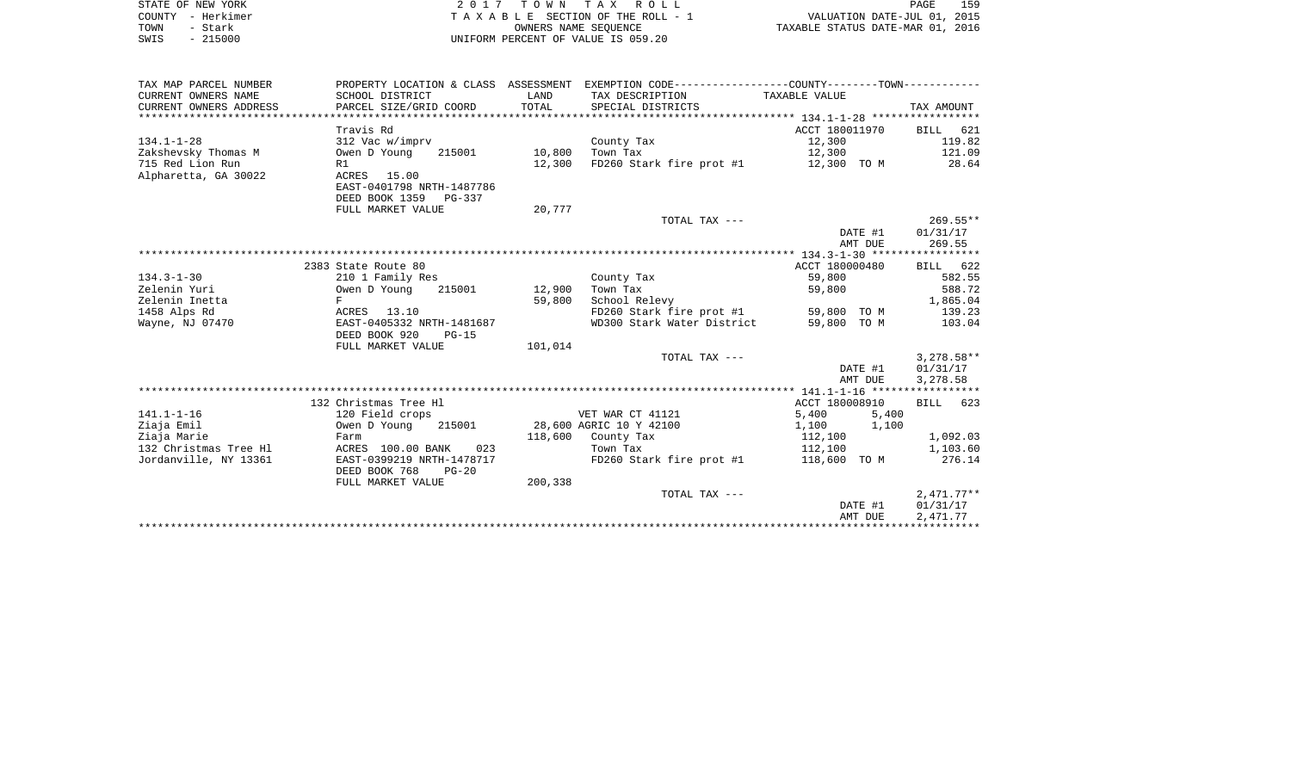|      | STATE OF NEW YORK | 2017 TOWN TAX ROLL                 | PAGE                             | 159 |
|------|-------------------|------------------------------------|----------------------------------|-----|
|      | COUNTY - Herkimer | TAXABLE SECTION OF THE ROLL - 1    | VALUATION DATE-JUL 01, 2015      |     |
| TOWN | - Stark           | OWNERS NAME SEOUENCE               | TAXABLE STATUS DATE-MAR 01, 2016 |     |
| SWIS | $-215000$         | UNIFORM PERCENT OF VALUE IS 059.20 |                                  |     |

| TAX MAP PARCEL NUMBER  |                            |         | PROPERTY LOCATION & CLASS ASSESSMENT EXEMPTION CODE---------------COUNTY-------TOWN---------- |                |              |
|------------------------|----------------------------|---------|-----------------------------------------------------------------------------------------------|----------------|--------------|
| CURRENT OWNERS NAME    | SCHOOL DISTRICT            | LAND    | TAX DESCRIPTION                                                                               | TAXABLE VALUE  |              |
| CURRENT OWNERS ADDRESS | PARCEL SIZE/GRID COORD     | TOTAL   | SPECIAL DISTRICTS                                                                             |                | TAX AMOUNT   |
|                        |                            |         |                                                                                               |                |              |
|                        | Travis Rd                  |         |                                                                                               | ACCT 180011970 | BILL 621     |
| $134.1 - 1 - 28$       | 312 Vac w/imprv            |         | County Tax                                                                                    | 12,300         | 119.82       |
| Zakshevsky Thomas M    | Owen D Young<br>215001     | 10,800  | Town Tax                                                                                      | 12,300         | 121.09       |
| 715 Red Lion Run       | R1                         | 12,300  | FD260 Stark fire prot #1                                                                      | 12,300 TO M    | 28.64        |
| Alpharetta, GA 30022   | ACRES 15.00                |         |                                                                                               |                |              |
|                        | EAST-0401798 NRTH-1487786  |         |                                                                                               |                |              |
|                        | DEED BOOK 1359<br>$PG-337$ |         |                                                                                               |                |              |
|                        | FULL MARKET VALUE          | 20,777  |                                                                                               |                |              |
|                        |                            |         | TOTAL TAX ---                                                                                 |                | $269.55***$  |
|                        |                            |         |                                                                                               | DATE #1        | 01/31/17     |
|                        |                            |         |                                                                                               | AMT DUE        | 269.55       |
|                        |                            |         |                                                                                               |                |              |
|                        | 2383 State Route 80        |         |                                                                                               | ACCT 180000480 | BILL 622     |
| $134.3 - 1 - 30$       | 210 1 Family Res           |         | County Tax                                                                                    | 59,800         | 582.55       |
| Zelenin Yuri           | Owen D Young<br>215001     | 12,900  | Town Tax                                                                                      | 59,800         | 588.72       |
| Zelenin Inetta         | F                          | 59,800  | School Relevy                                                                                 |                | 1,865.04     |
| 1458 Alps Rd           | ACRES 13.10                |         | FD260 Stark fire prot #1 59,800 TO M                                                          |                | 139.23       |
| Wayne, NJ 07470        | EAST-0405332 NRTH-1481687  |         | WD300 Stark Water District                                                                    | 59,800 TO M    | 103.04       |
|                        | DEED BOOK 920<br>$PG-15$   |         |                                                                                               |                |              |
|                        | FULL MARKET VALUE          | 101,014 |                                                                                               |                |              |
|                        |                            |         | TOTAL TAX ---                                                                                 |                | $3,278.58**$ |
|                        |                            |         |                                                                                               | DATE #1        | 01/31/17     |
|                        |                            |         |                                                                                               | AMT DUE        | 3,278.58     |
|                        |                            |         |                                                                                               |                |              |
|                        | 132 Christmas Tree Hl      |         |                                                                                               | ACCT 180008910 | BILL 623     |
| $141.1 - 1 - 16$       | 120 Field crops            |         | VET WAR CT 41121                                                                              | 5,400<br>5,400 |              |
| Ziaja Emil             | Owen D Young<br>215001     |         | 28,600 AGRIC 10 Y 42100                                                                       | 1,100<br>1,100 |              |
| Ziaja Marie            | Farm                       |         | 118,600 County Tax                                                                            | 112,100        | 1,092.03     |
| 132 Christmas Tree Hl  | ACRES 100.00 BANK<br>023   |         | Town Tax                                                                                      | 112,100        | 1,103.60     |
| Jordanville, NY 13361  | EAST-0399219 NRTH-1478717  |         | FD260 Stark fire prot #1                                                                      | 118,600 TO M   | 276.14       |
|                        | DEED BOOK 768<br>$PG-20$   |         |                                                                                               |                |              |
|                        | FULL MARKET VALUE          | 200,338 |                                                                                               |                |              |
|                        |                            |         | TOTAL TAX ---                                                                                 |                | $2,471.77**$ |
|                        |                            |         |                                                                                               | DATE #1        | 01/31/17     |
|                        |                            |         |                                                                                               | AMT DUE        | 2,471.77     |
|                        |                            |         |                                                                                               |                |              |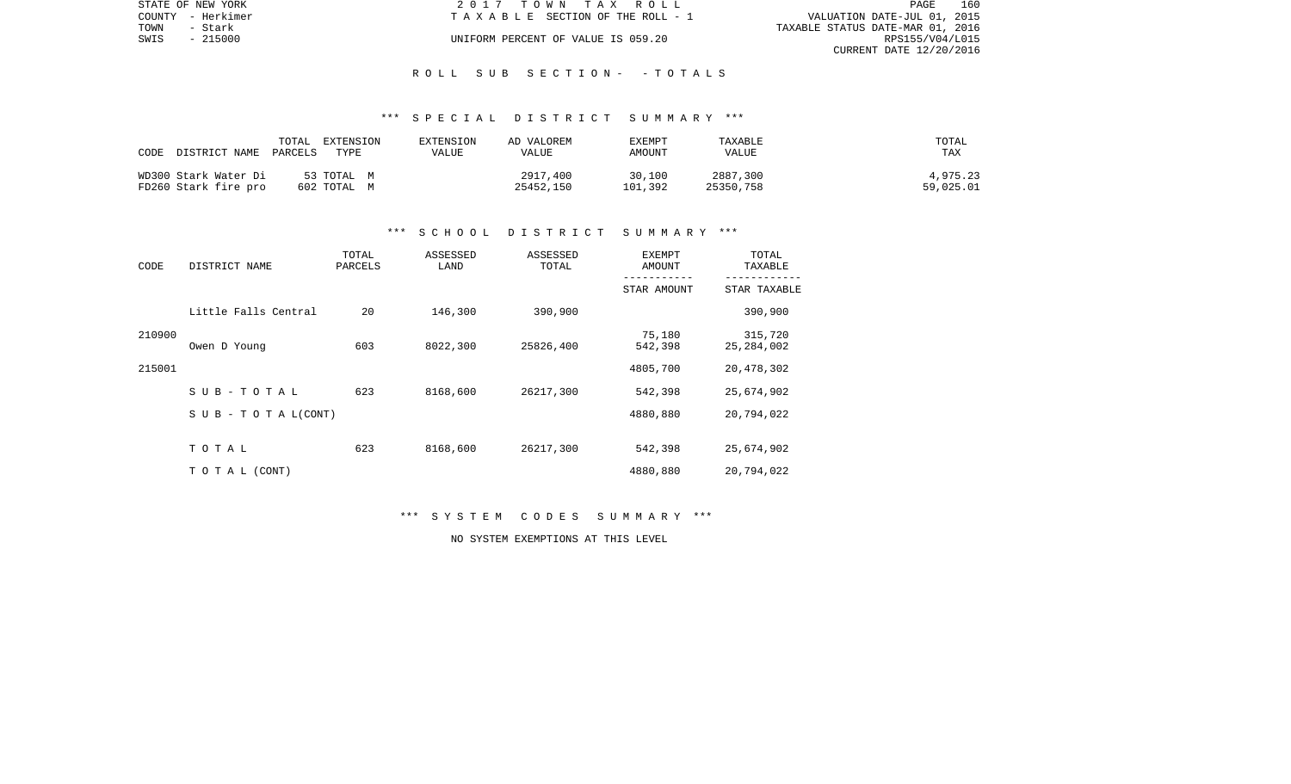|      | STATE OF NEW YORK | 2017 TOWN TAX ROLL                 | 160<br>PAGE                      |
|------|-------------------|------------------------------------|----------------------------------|
|      | COUNTY - Herkimer | TAXABLE SECTION OF THE ROLL - 1    | VALUATION DATE-JUL 01, 2015      |
| TOWN | – Stark           |                                    | TAXABLE STATUS DATE-MAR 01, 2016 |
| SWIS | - 215000          | UNIFORM PERCENT OF VALUE IS 059.20 | RPS155/V04/L015                  |
|      |                   |                                    | CURRENT DATE 12/20/2016          |

## R O L L S U B S E C T I O N - - T O T A L S

## \*\*\* S P E C I A L D I S T R I C T S U M M A R Y \*\*\*

| CODE<br>DISTRICT NAME | TOTAL<br>EXTENSION<br>PARCELS<br>TYPE | EXTENSION<br>VALUE | AD VALOREM<br>VALUE | EXEMPT<br>AMOUNT | TAXABLE<br>VALUE | TOTAL<br>TAX |
|-----------------------|---------------------------------------|--------------------|---------------------|------------------|------------------|--------------|
| WD300 Stark Water Di  | 53 TOTAL M                            |                    | 2917,400            | 30,100           | 2887,300         | 4,975.23     |
| FD260 Stark fire pro  | 602 TOTAL M                           |                    | 25452,150           | 101,392          | 25350,758        | 59,025.01    |

#### \*\*\* S C H O O L D I S T R I C T S U M M A R Y \*\*\*

| CODE   | DISTRICT NAME                    | TOTAL<br>PARCELS | ASSESSED<br>LAND | ASSESSED<br>TOTAL | <b>EXEMPT</b><br>AMOUNT | TOTAL<br>TAXABLE        |
|--------|----------------------------------|------------------|------------------|-------------------|-------------------------|-------------------------|
|        |                                  |                  |                  |                   | STAR AMOUNT             | STAR TAXABLE            |
|        | Little Falls Central             | 20               | 146,300          | 390,900           |                         | 390,900                 |
| 210900 | Owen D Young                     | 603              | 8022,300         | 25826,400         | 75,180<br>542,398       | 315,720<br>25, 284, 002 |
| 215001 |                                  |                  |                  |                   | 4805,700                | 20,478,302              |
|        | SUB-TOTAL                        | 623              | 8168,600         | 26217,300         | 542,398                 | 25,674,902              |
|        | $S \cup B - T \cup T A L (CONT)$ |                  |                  |                   | 4880,880                | 20,794,022              |
|        | TOTAL                            | 623              | 8168,600         | 26217,300         | 542,398                 | 25,674,902              |
|        | TO TAL (CONT)                    |                  |                  |                   | 4880,880                | 20,794,022              |

\*\*\* S Y S T E M C O D E S S U M M A R Y \*\*\*

NO SYSTEM EXEMPTIONS AT THIS LEVEL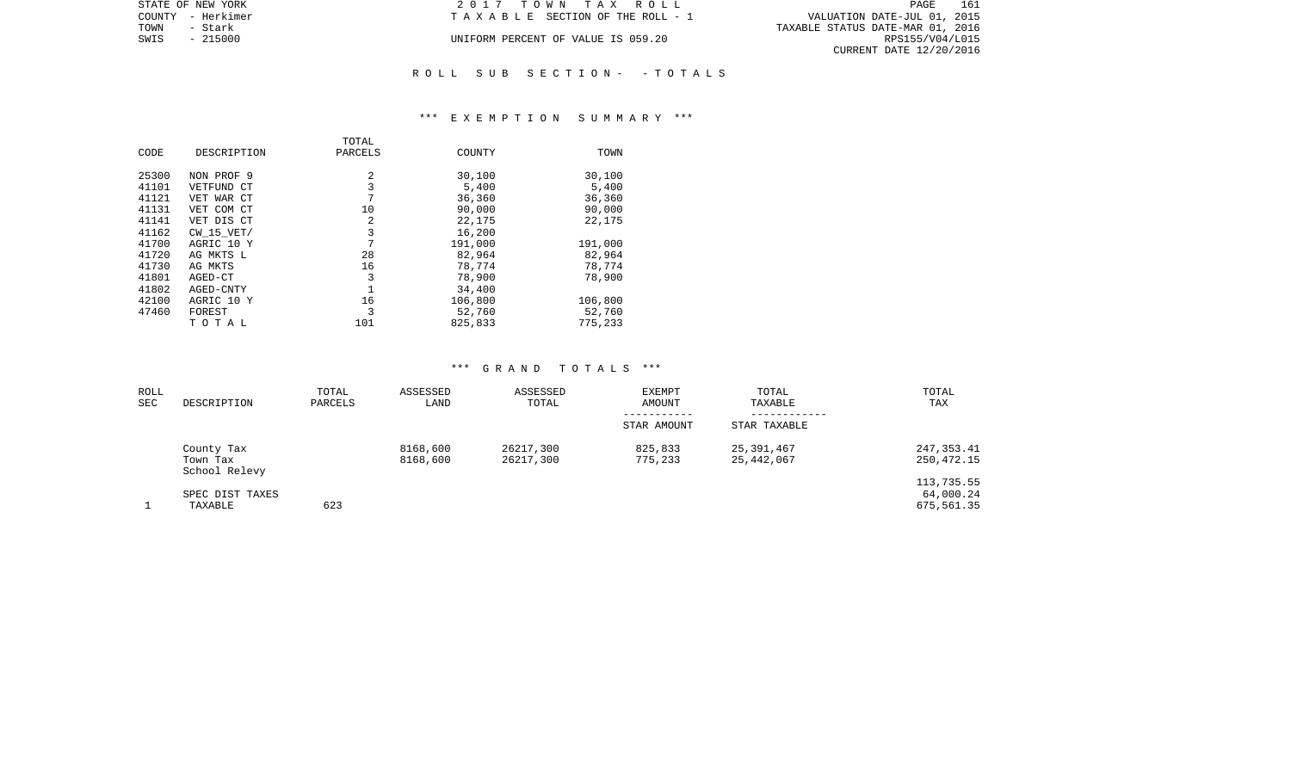| STATE OF NEW YORK | 2017 TOWN TAX ROLL                 | 161<br>PAGE                      |
|-------------------|------------------------------------|----------------------------------|
| COUNTY - Herkimer | TAXABLE SECTION OF THE ROLL - 1    | VALUATION DATE-JUL 01, 2015      |
| TOWN<br>– Stark   |                                    | TAXABLE STATUS DATE-MAR 01, 2016 |
| SWIS<br>$-215000$ | UNIFORM PERCENT OF VALUE IS 059.20 | RPS155/V04/L015                  |
|                   |                                    | CURRENT DATE 12/20/2016          |
|                   |                                    |                                  |

# R O L L S U B S E C T I O N - - T O T A L S

## \*\*\* E X E M P T I O N S U M M A R Y \*\*\*

|       |                | TOTAL   |         |         |
|-------|----------------|---------|---------|---------|
| CODE  | DESCRIPTION    | PARCELS | COUNTY  | TOWN    |
|       |                |         |         |         |
| 25300 | NON PROF 9     | 2       | 30,100  | 30,100  |
| 41101 | VETFUND CT     | 3       | 5,400   | 5,400   |
| 41121 | VET WAR CT     | 7       | 36,360  | 36,360  |
| 41131 | VET COM CT     | 10      | 90,000  | 90,000  |
| 41141 | VET DIS CT     | 2       | 22,175  | 22,175  |
| 41162 | $CW$ 15 $VET/$ | 3       | 16,200  |         |
| 41700 | AGRIC 10 Y     | 7       | 191,000 | 191,000 |
| 41720 | AG MKTS L      | 28      | 82,964  | 82,964  |
| 41730 | AG MKTS        | 16      | 78,774  | 78,774  |
| 41801 | AGED-CT        | 3       | 78,900  | 78,900  |
| 41802 | AGED-CNTY      |         | 34,400  |         |
| 42100 | AGRIC 10 Y     | 16      | 106,800 | 106,800 |
| 47460 | FOREST         | 3       | 52,760  | 52,760  |
|       | тотаь          | 101     | 825,833 | 775,233 |

| ROLL<br>SEC | DESCRIPTION                             | TOTAL<br>PARCELS | ASSESSED<br>LAND     | ASSESSED<br>TOTAL      | EXEMPT<br>AMOUNT<br>----------- | TOTAL<br>TAXABLE         | TOTAL<br>TAX                          |
|-------------|-----------------------------------------|------------------|----------------------|------------------------|---------------------------------|--------------------------|---------------------------------------|
|             |                                         |                  |                      |                        | STAR AMOUNT                     | STAR TAXABLE             |                                       |
|             | County Tax<br>Town Tax<br>School Relevy |                  | 8168,600<br>8168,600 | 26217,300<br>26217,300 | 825,833<br>775,233              | 25,391,467<br>25,442,067 | 247, 353.41<br>250,472.15             |
|             | SPEC DIST TAXES<br>TAXABLE              | 623              |                      |                        |                                 |                          | 113,735.55<br>64,000.24<br>675,561.35 |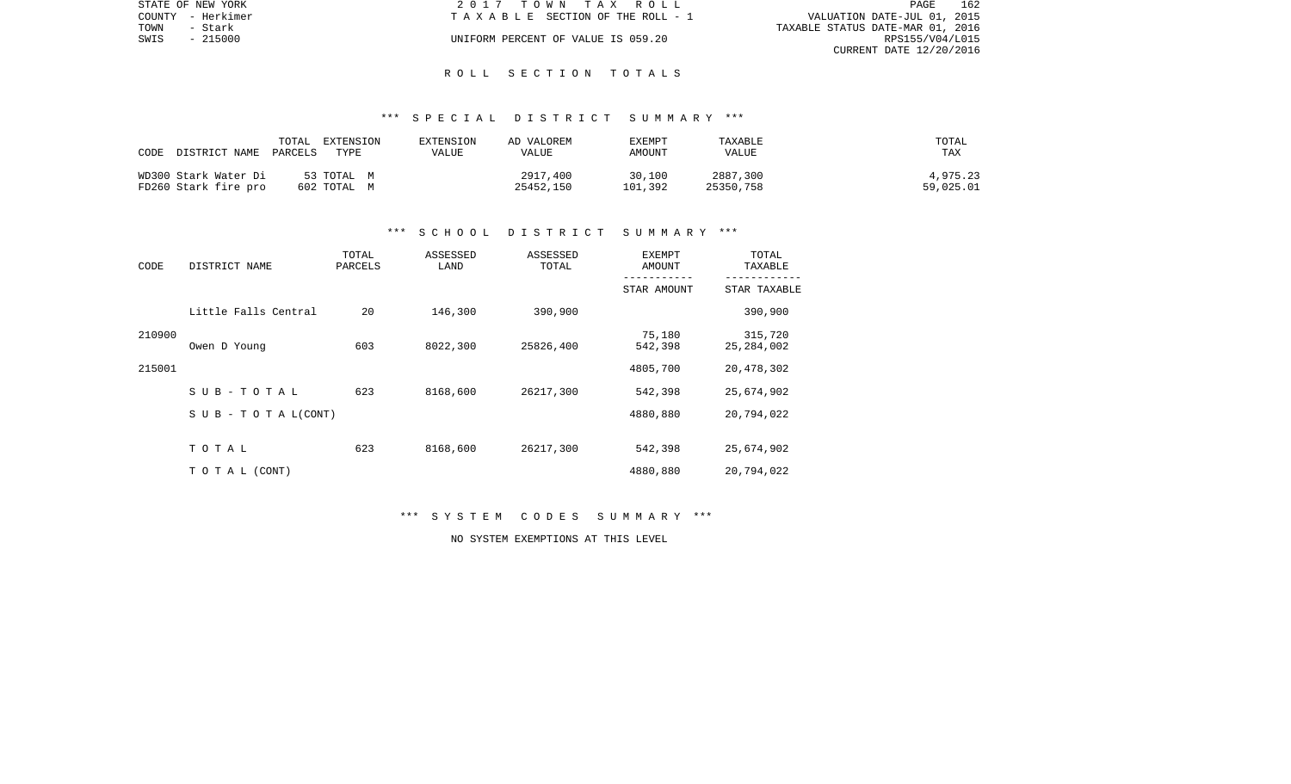|      | STATE OF NEW YORK | 2017 TOWN TAX ROLL                 | 162<br>PAGE                      |
|------|-------------------|------------------------------------|----------------------------------|
|      | COUNTY - Herkimer | TAXABLE SECTION OF THE ROLL - 1    | VALUATION DATE-JUL 01, 2015      |
| TOWN | - Stark           |                                    | TAXABLE STATUS DATE-MAR 01, 2016 |
| SWIS | - 215000          | UNIFORM PERCENT OF VALUE IS 059.20 | RPS155/V04/L015                  |
|      |                   |                                    | CURRENT DATE 12/20/2016          |

## R O L L S E C T I O N T O T A L S

# \*\*\* S P E C I A L D I S T R I C T S U M M A R Y \*\*\*

| CODE<br>DISTRICT NAME | TOTAL<br>EXTENSION<br>TYPE<br>PARCELS | EXTENSION<br>VALUE | AD VALOREM<br>VALUE | EXEMPT<br>AMOUNT | TAXABLE<br><b>VALUE</b> | TOTAL<br><b>TAX</b> |
|-----------------------|---------------------------------------|--------------------|---------------------|------------------|-------------------------|---------------------|
| WD300 Stark Water Di  | 53 TOTAL M                            |                    | 2917,400            | 30,100           | 2887,300                | 4,975.23            |
| FD260 Stark fire pro  | 602 TOTAL M                           |                    | 25452,150           | 101,392          | 25350,758               | 59,025.01           |

## \*\*\* S C H O O L D I S T R I C T S U M M A R Y \*\*\*

| CODE   | DISTRICT NAME                    | TOTAL<br>PARCELS | ASSESSED<br>LAND | ASSESSED<br>TOTAL | EXEMPT<br>AMOUNT  | TOTAL<br>TAXABLE        |  |  |
|--------|----------------------------------|------------------|------------------|-------------------|-------------------|-------------------------|--|--|
|        |                                  |                  |                  |                   | STAR AMOUNT       | STAR TAXABLE            |  |  |
|        | Little Falls Central             | 20               | 146,300          | 390,900           |                   | 390,900                 |  |  |
| 210900 | Owen D Young                     | 603              | 8022,300         | 25826,400         | 75,180<br>542,398 | 315,720<br>25, 284, 002 |  |  |
| 215001 |                                  |                  |                  |                   | 4805,700          | 20,478,302              |  |  |
|        | SUB-TOTAL                        | 623              | 8168,600         | 26217,300         | 542,398           | 25,674,902              |  |  |
|        | $S \cup B - T \cup T A L (CONT)$ |                  |                  |                   | 4880,880          | 20,794,022              |  |  |
|        | TOTAL                            | 623              | 8168,600         | 26217,300         | 542,398           | 25,674,902              |  |  |
|        | TO TAL (CONT)                    |                  |                  |                   | 4880,880          | 20,794,022              |  |  |

\*\*\* S Y S T E M C O D E S S U M M A R Y \*\*\*

NO SYSTEM EXEMPTIONS AT THIS LEVEL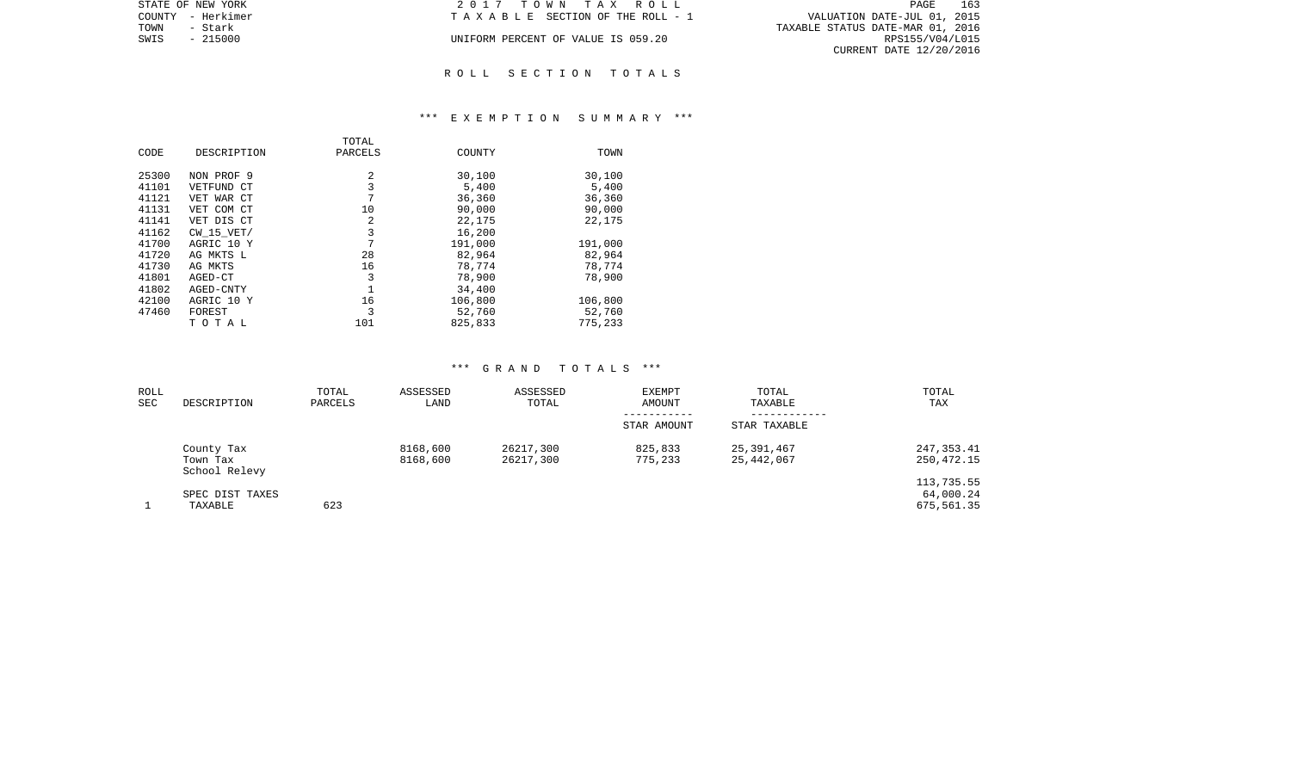| STATE OF NEW YORK | 2017 TOWN TAX ROLL                 | 163<br>PAGE                      |
|-------------------|------------------------------------|----------------------------------|
| COUNTY - Herkimer | TAXABLE SECTION OF THE ROLL - 1    | VALUATION DATE-JUL 01, 2015      |
| TOWN<br>- Stark   |                                    | TAXABLE STATUS DATE-MAR 01, 2016 |
| $-215000$<br>SWIS | UNIFORM PERCENT OF VALUE IS 059.20 | RPS155/V04/L015                  |
|                   |                                    | CURRENT DATE 12/20/2016          |
|                   |                                    |                                  |

# R O L L S E C T I O N T O T A L S

## \*\*\* E X E M P T I O N S U M M A R Y \*\*\*

|       |                | TOTAL   |         |         |
|-------|----------------|---------|---------|---------|
| CODE  | DESCRIPTION    | PARCELS | COUNTY  | TOWN    |
|       |                |         |         |         |
| 25300 | NON PROF 9     | 2       | 30,100  | 30,100  |
| 41101 | VETFUND CT     | 3       | 5,400   | 5,400   |
| 41121 | VET WAR CT     | 7       | 36,360  | 36,360  |
| 41131 | VET COM CT     | 10      | 90,000  | 90,000  |
| 41141 | VET DIS CT     | 2       | 22,175  | 22,175  |
| 41162 | $CW$ 15 $VET/$ | 3       | 16,200  |         |
| 41700 | AGRIC 10 Y     | 7       | 191,000 | 191,000 |
| 41720 | AG MKTS L      | 28      | 82,964  | 82,964  |
| 41730 | AG MKTS        | 16      | 78,774  | 78,774  |
| 41801 | AGED-CT        | 3       | 78,900  | 78,900  |
| 41802 | AGED-CNTY      |         | 34,400  |         |
| 42100 | AGRIC 10 Y     | 16      | 106,800 | 106,800 |
| 47460 | FOREST         | 3       | 52,760  | 52,760  |
|       | тотаь          | 101     | 825,833 | 775,233 |

| ROLL<br>SEC | DESCRIPTION                             | TOTAL<br>PARCELS | ASSESSED<br>LAND     | ASSESSED<br>TOTAL      | <b>EXEMPT</b><br>AMOUNT<br>----------- | TOTAL<br>TAXABLE         | TOTAL<br>TAX                          |
|-------------|-----------------------------------------|------------------|----------------------|------------------------|----------------------------------------|--------------------------|---------------------------------------|
|             |                                         |                  |                      |                        | STAR AMOUNT                            | STAR TAXABLE             |                                       |
|             | County Tax<br>Town Tax<br>School Relevy |                  | 8168,600<br>8168,600 | 26217,300<br>26217,300 | 825,833<br>775,233                     | 25,391,467<br>25,442,067 | 247, 353.41<br>250,472.15             |
|             | SPEC DIST TAXES<br>TAXABLE              | 623              |                      |                        |                                        |                          | 113,735.55<br>64,000.24<br>675,561.35 |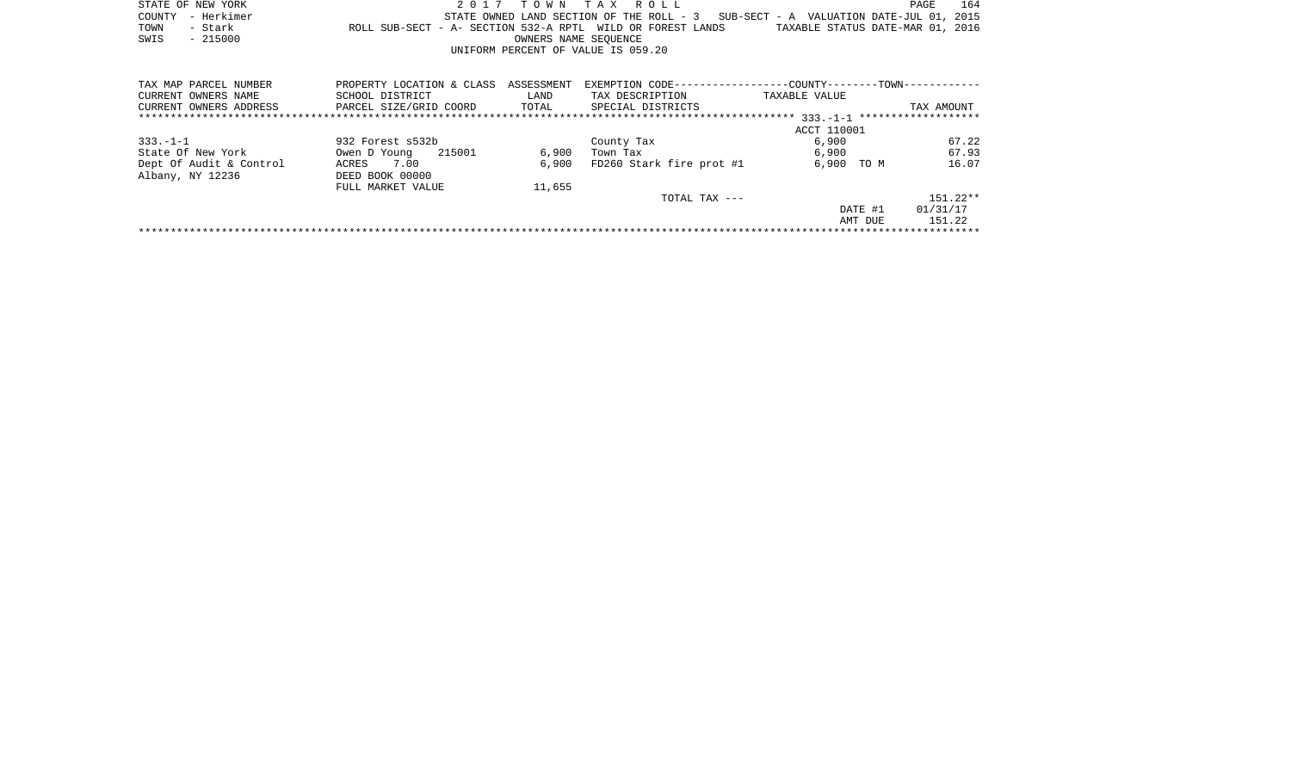|      | STATE OF NEW YORK |                                                            | 2017 TOWN TAX ROLL                 |                      |  |  |  |                                                                                   | PAGE | 164 |
|------|-------------------|------------------------------------------------------------|------------------------------------|----------------------|--|--|--|-----------------------------------------------------------------------------------|------|-----|
|      | COUNTY - Herkimer |                                                            |                                    |                      |  |  |  | STATE OWNED LAND SECTION OF THE ROLL - 3 SUB-SECT - A VALUATION DATE-JUL 01, 2015 |      |     |
| TOWN | - Stark           | ROLL SUB-SECT - A- SECTION 532-A RPTL WILD OR FOREST LANDS |                                    |                      |  |  |  | TAXABLE STATUS DATE-MAR 01, 2016                                                  |      |     |
| SWIS | - 215000          |                                                            |                                    | OWNERS NAME SEOUENCE |  |  |  |                                                                                   |      |     |
|      |                   |                                                            | UNIFORM PERCENT OF VALUE IS 059.20 |                      |  |  |  |                                                                                   |      |     |
|      |                   |                                                            |                                    |                      |  |  |  |                                                                                   |      |     |

| TAX MAP PARCEL NUMBER   | PROPERTY LOCATION & CLASS | ASSESSMENT | EXEMPTION CODE--         | --COUNTY-------TOWN----------- |                     |
|-------------------------|---------------------------|------------|--------------------------|--------------------------------|---------------------|
| CURRENT OWNERS NAME     | SCHOOL DISTRICT           | LAND       | TAX DESCRIPTION          | TAXABLE VALUE                  |                     |
| CURRENT OWNERS ADDRESS  | PARCEL SIZE/GRID COORD    | TOTAL      | SPECIAL DISTRICTS        |                                | TAX AMOUNT          |
|                         |                           |            |                          | $333. -1 -1$                   | ******************* |
|                         |                           |            |                          | ACCT 110001                    |                     |
| $333. - 1 - 1$          | 932 Forest s532b          |            | County Tax               | 6,900                          | 67.22               |
| State Of New York       | 215001<br>Owen D Young    | 6,900      | Town Tax                 | 6,900                          | 67.93               |
| Dept Of Audit & Control | 7.00<br>ACRES             | 6,900      | FD260 Stark fire prot #1 | 6,900<br>TO M                  | 16.07               |
| Albany, NY 12236        | DEED BOOK 00000           |            |                          |                                |                     |
|                         | FULL MARKET VALUE         | 11,655     |                          |                                |                     |
|                         |                           |            | TOTAL TAX ---            |                                | $151.22**$          |
|                         |                           |            |                          | DATE #1                        | 01/31/17            |
|                         |                           |            |                          | AMT DUE                        | 151.22              |
|                         |                           |            |                          |                                |                     |
|                         |                           |            |                          |                                |                     |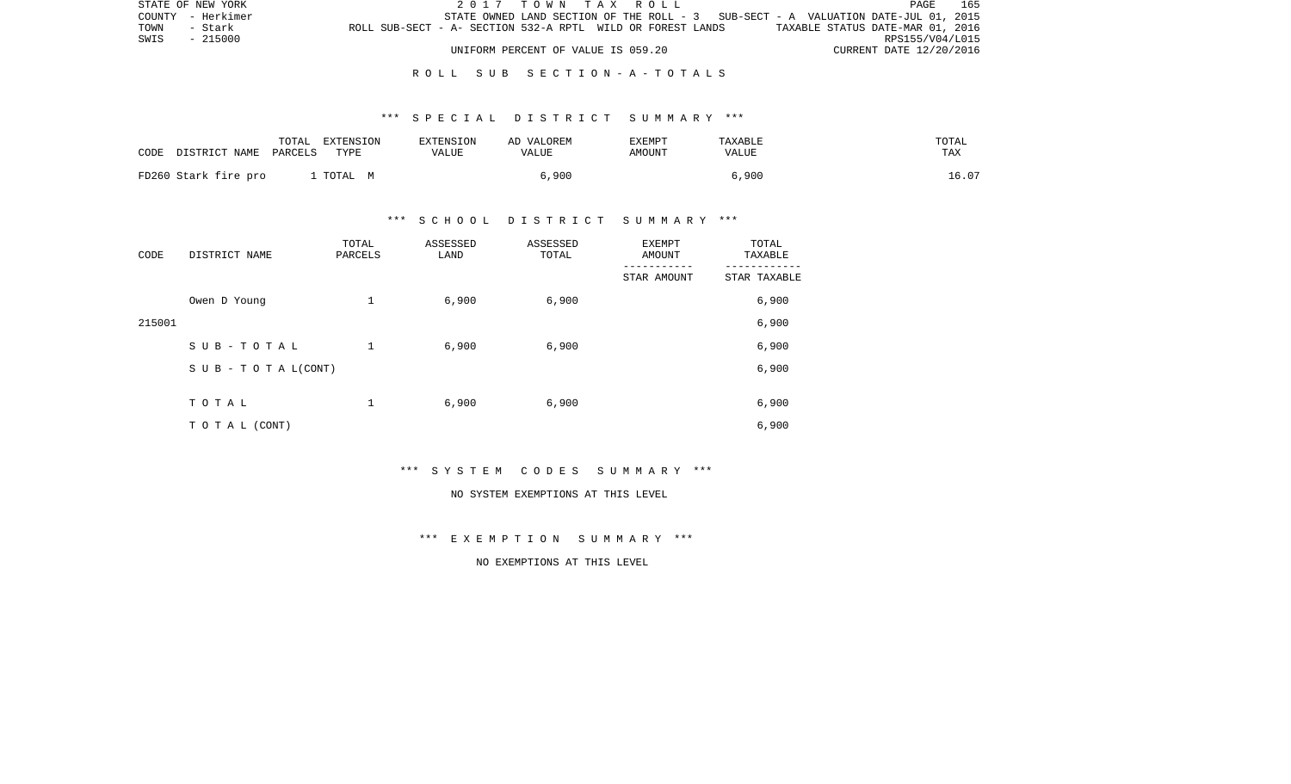| STATE OF NEW YORK                                                             | 2017 TOWN TAX ROLL                 |  |  |                                                                                   | PAGE                    | 165 |
|-------------------------------------------------------------------------------|------------------------------------|--|--|-----------------------------------------------------------------------------------|-------------------------|-----|
| COUNTY - Herkimer                                                             |                                    |  |  | STATE OWNED LAND SECTION OF THE ROLL - 3 SUB-SECT - A VALUATION DATE-JUL 01, 2015 |                         |     |
| ROLL SUB-SECT - A- SECTION 532-A RPTL WILD OR FOREST LANDS<br>TOWN<br>- Stark |                                    |  |  | TAXABLE STATUS DATE-MAR 01, 2016                                                  |                         |     |
| SWIS<br>- 215000                                                              |                                    |  |  |                                                                                   | RPS155/V04/L015         |     |
|                                                                               | UNIFORM PERCENT OF VALUE IS 059.20 |  |  |                                                                                   | CURRENT DATE 12/20/2016 |     |

# R O L L S U B S E C T I O N - A - T O T A L S

# \*\*\* S P E C I A L D I S T R I C T S U M M A R Y \*\*\*

| CODE<br>DISTRICT NAME PARCELS | TOTAL | EXTENSION<br>TYPE | <b>EXTENSION</b><br>VALUE | AD VALOREM<br>VALUE | <b>EXEMPT</b><br>AMOUNT | TAXABLE<br>VALUE | TOTAL<br>TAX |
|-------------------------------|-------|-------------------|---------------------------|---------------------|-------------------------|------------------|--------------|
| FD260 Stark fire pro          |       | TOTAL M           |                           | 6,900               |                         | 6,900            | 16.07        |

# \*\*\* S C H O O L D I S T R I C T S U M M A R Y \*\*\*

| CODE   | DISTRICT NAME      | TOTAL<br>PARCELS | ASSESSED<br>LAND | ASSESSED<br>TOTAL | EXEMPT<br>AMOUNT | TOTAL<br>TAXABLE |
|--------|--------------------|------------------|------------------|-------------------|------------------|------------------|
|        |                    |                  |                  |                   | STAR AMOUNT      | STAR TAXABLE     |
|        | Owen D Young       | 1                | 6,900            | 6,900             |                  | 6,900            |
| 215001 |                    |                  |                  |                   |                  | 6,900            |
|        | SUB-TOTAL          | $\mathbf 1$      | 6,900            | 6,900             |                  | 6,900            |
|        | SUB - TO TAL(CONT) |                  |                  |                   |                  | 6,900            |
|        |                    |                  |                  |                   |                  |                  |
|        | TOTAL              | 1                | 6,900            | 6,900             |                  | 6,900            |
|        | T O T A L (CONT)   |                  |                  |                   |                  | 6,900            |

\*\*\* S Y S T E M C O D E S S U M M A R Y \*\*\*

#### NO SYSTEM EXEMPTIONS AT THIS LEVEL

\*\*\* E X E M P T I O N S U M M A R Y \*\*\*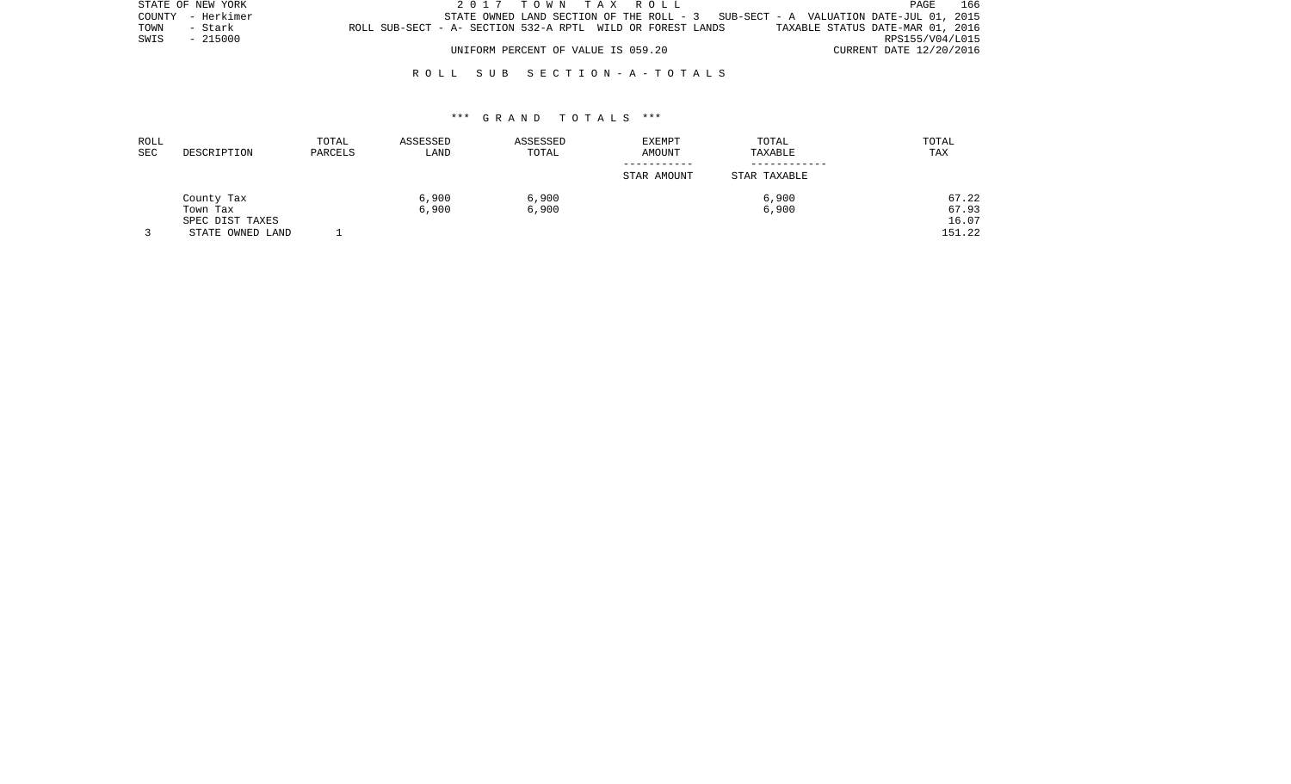| STATE OF NEW YORK | 2017 TOWN TAX ROLL                                                                             | PAGE            | 166 |
|-------------------|------------------------------------------------------------------------------------------------|-----------------|-----|
| COUNTY - Herkimer | STATE OWNED LAND SECTION OF THE ROLL - $3$ SUB-SECT - A VALUATION DATE-JUL 01, 2015            |                 |     |
| TOWN<br>- Stark   | ROLL SUB-SECT - A- SECTION 532-A RPTL WILD OR FOREST LANDS<br>TAXABLE STATUS DATE-MAR 01, 2016 |                 |     |
| SWIS - 215000     |                                                                                                | RPS155/V04/L015 |     |
|                   | UNIFORM PERCENT OF VALUE IS 059.20<br>CURRENT DATE 12/20/2016                                  |                 |     |

# R O L L S U B S E C T I O N - A - T O T A L S

| ROLL<br>SEC | DESCRIPTION      | TOTAL<br>PARCELS | ASSESSED<br>LAND | ASSESSED<br>TOTAL | <b>EXEMPT</b><br>AMOUNT | TOTAL<br>TAXABLE | TOTAL<br>TAX |
|-------------|------------------|------------------|------------------|-------------------|-------------------------|------------------|--------------|
|             |                  |                  |                  |                   | STAR AMOUNT             | STAR TAXABLE     |              |
|             | County Tax       |                  | 6,900            | 6,900             |                         | 6,900            | 67.22        |
|             | Town Tax         |                  | 6,900            | 6,900             |                         | 6,900            | 67.93        |
|             | SPEC DIST TAXES  |                  |                  |                   |                         |                  | 16.07        |
|             | STATE OWNED LAND |                  |                  |                   |                         |                  | 151.22       |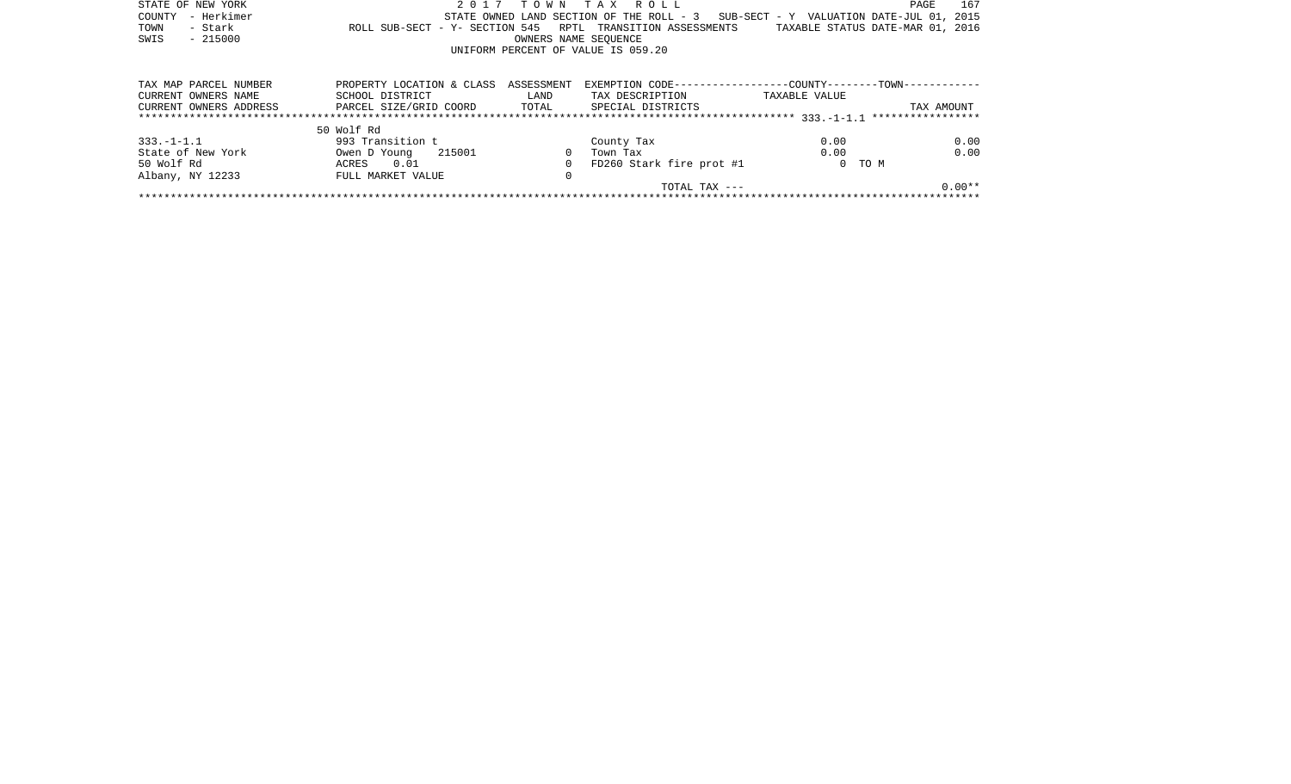| STATE OF NEW YORK      |                                                |                      | 2017 TOWN TAX ROLL                                                                |               | 167<br>PAGE                      |
|------------------------|------------------------------------------------|----------------------|-----------------------------------------------------------------------------------|---------------|----------------------------------|
| - Herkimer<br>COUNTY   |                                                |                      | STATE OWNED LAND SECTION OF THE ROLL - 3 SUB-SECT - Y VALUATION DATE-JUL 01, 2015 |               |                                  |
| - Stark<br>TOWN        |                                                |                      | ROLL SUB-SECT - Y- SECTION 545 RPTL TRANSITION ASSESSMENTS                        |               | TAXABLE STATUS DATE-MAR 01, 2016 |
| $-215000$<br>SWIS      |                                                | OWNERS NAME SEOUENCE |                                                                                   |               |                                  |
|                        |                                                |                      | UNIFORM PERCENT OF VALUE IS 059.20                                                |               |                                  |
|                        |                                                |                      |                                                                                   |               |                                  |
| TAX MAP PARCEL NUMBER  | PROPERTY LOCATION & CLASS ASSESSMENT           |                      | EXEMPTION CODE-----------------COUNTY-------TOWN-----------                       |               |                                  |
| CURRENT OWNERS NAME    | SCHOOL DISTRICT                                | LAND                 | TAX DESCRIPTION                                                                   | TAXABLE VALUE |                                  |
| CURRENT OWNERS ADDRESS | PARCEL SIZE/GRID COORD TOTAL SPECIAL DISTRICTS |                      |                                                                                   |               | TAX AMOUNT                       |
|                        |                                                |                      |                                                                                   |               |                                  |
|                        | 50 Wolf Rd                                     |                      |                                                                                   |               |                                  |
| $333. -1 - 1.1$        | 993 Transition t                               |                      | County Tax                                                                        | 0.00          | 0.00                             |
| State of New York      | Owen D Young 215001                            | $\overline{0}$       | Town Tax                                                                          | 0.00          | 0.00                             |
| 50 Wolf Rd             | ACRES 0.01                                     | $\Omega$             | FD260 Stark fire prot #1                                                          |               | 0 TO M                           |
| Albany, NY 12233       | FULL MARKET VALUE                              | 0                    |                                                                                   |               |                                  |
|                        |                                                |                      | TOTAL TAX ---                                                                     |               | $0.00**$                         |
|                        |                                                |                      |                                                                                   |               |                                  |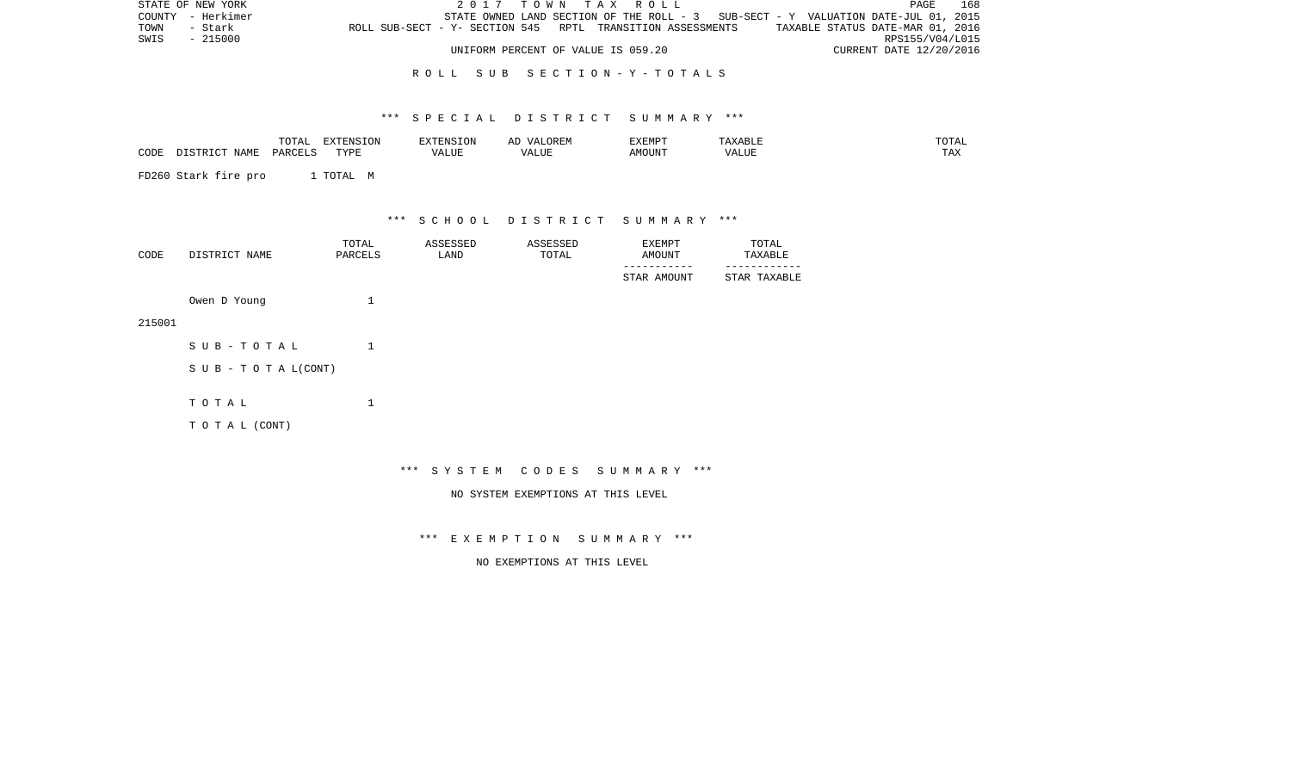| STATE OF NEW YORK |         |                                                            | 2017 TOWN TAX ROLL                                                                |  |  |  |                                  | PAGE                    | 168 |
|-------------------|---------|------------------------------------------------------------|-----------------------------------------------------------------------------------|--|--|--|----------------------------------|-------------------------|-----|
| COUNTY - Herkimer |         |                                                            | STATE OWNED LAND SECTION OF THE ROLL - 3 SUB-SECT - Y VALUATION DATE-JUL 01, 2015 |  |  |  |                                  |                         |     |
| TOWN              | - Stark | ROLL SUB-SECT - Y- SECTION 545 RPTL TRANSITION ASSESSMENTS |                                                                                   |  |  |  | TAXABLE STATUS DATE-MAR 01, 2016 |                         |     |
| SWIS - 215000     |         |                                                            |                                                                                   |  |  |  |                                  | RPS155/V04/L015         |     |
|                   |         |                                                            | UNIFORM PERCENT OF VALUE IS 059.20                                                |  |  |  |                                  | CURRENT DATE 12/20/2016 |     |

# R O L L S U B S E C T I O N - Y - T O T A L S

# \*\*\* S P E C I A L D I S T R I C T S U M M A R Y \*\*\*

|      |               | TOTAL   | EXTENSION | <b>EXTENSION</b> | VALOREM<br>ΑI | EXEMPT | TAXABLE | TOTAL |
|------|---------------|---------|-----------|------------------|---------------|--------|---------|-------|
| CODE | DISTRICT NAME | DARCELS | TYPE      | VALUE            | VALUE         | AMOUNT | VALUE   | TAX   |

FD260 Stark fire pro 1 TOTAL M

\*\*\* S C H O O L D I S T R I C T S U M M A R Y \*\*\*

| CODE | DISTRICT NAME | TOTAL<br>PARCELS | ASSESSED<br>LAND | ASSESSED<br>TOTAL | EXEMPT<br><b>AMOUNT</b> | TOTAL<br>TAXABLE |
|------|---------------|------------------|------------------|-------------------|-------------------------|------------------|
|      |               |                  |                  |                   | STAR AMOUNT             | STAR TAXABLE     |
|      | Owen D Young  |                  |                  |                   |                         |                  |

215001

| SUB-TOTAL                  |  |
|----------------------------|--|
| S U B - T O T A $L$ (CONT) |  |
| тотаь                      |  |
| T O T A L (CONT)           |  |

\*\*\* S Y S T E M C O D E S S U M M A R Y \*\*\*

NO SYSTEM EXEMPTIONS AT THIS LEVEL

\*\*\* E X E M P T I O N S U M M A R Y \*\*\*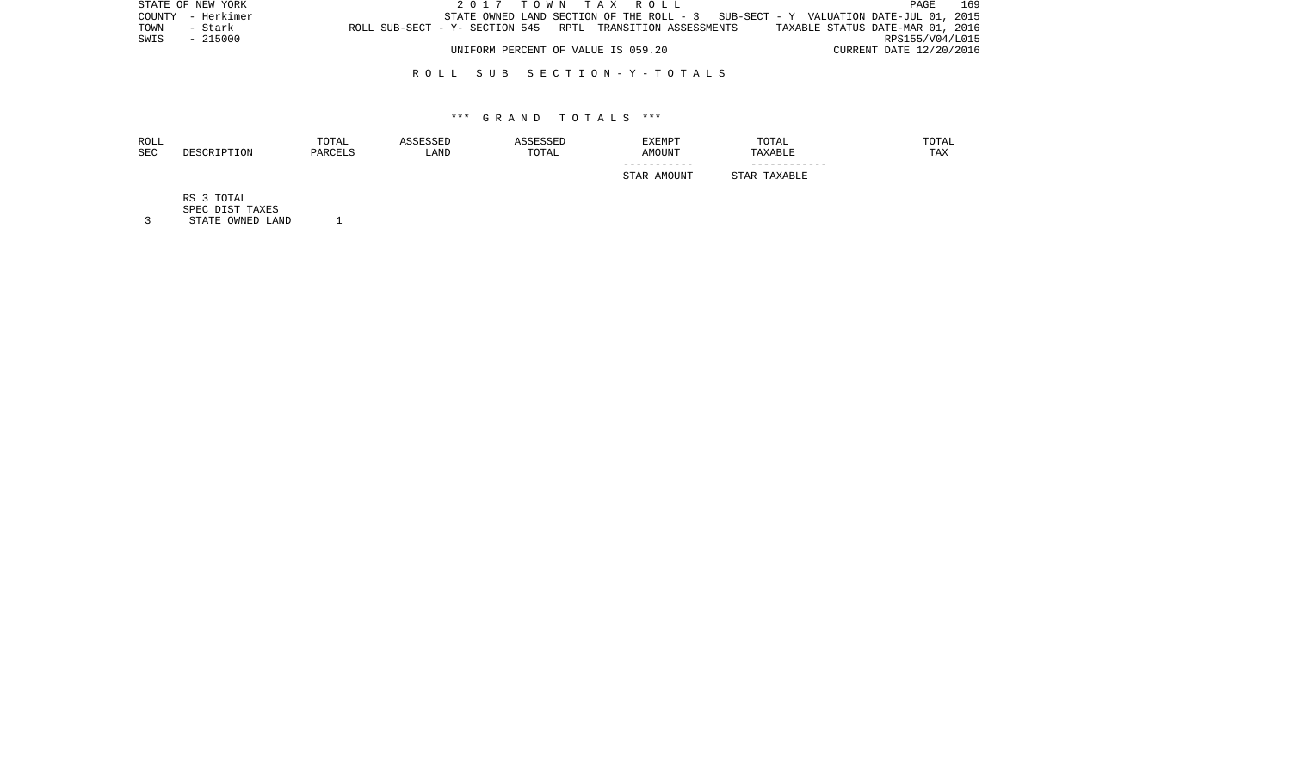| STATE OF NEW YORK |  | 2017 TOWN TAX ROLL                                                                | PAGE                             | 169 |
|-------------------|--|-----------------------------------------------------------------------------------|----------------------------------|-----|
| COUNTY - Herkimer |  | STATE OWNED LAND SECTION OF THE ROLL - 3 SUB-SECT - Y VALUATION DATE-JUL 01, 2015 |                                  |     |
| TOWN<br>- Stark   |  | ROLL SUB-SECT - Y- SECTION 545 RPTL TRANSITION ASSESSMENTS                        | TAXABLE STATUS DATE-MAR 01, 2016 |     |
| SWIS<br>- 215000  |  |                                                                                   | RPS155/V04/L015                  |     |
|                   |  | UNIFORM PERCENT OF VALUE IS 059.20                                                | CURRENT DATE 12/20/2016          |     |

# R O L L S U B S E C T I O N - Y - T O T A L S

## \*\*\* G R A N D T O T A L S \*\*\*

| ROLL<br>SEC | DESCRIPTION | TOTAL<br>PARCELS | ASSESSED<br>LAND | ASSESSED<br>TOTAL | EXEMPT<br>AMOUNT | TOTAL<br>TAXABLE | TOTAL<br>TAX |
|-------------|-------------|------------------|------------------|-------------------|------------------|------------------|--------------|
|             |             |                  |                  |                   | STAR AMOUNT      | STAR TAXABLE     |              |
|             | RS 3 TOTAL  |                  |                  |                   |                  |                  |              |

SPEC DIST TAXES

3 STATE OWNED LAND 1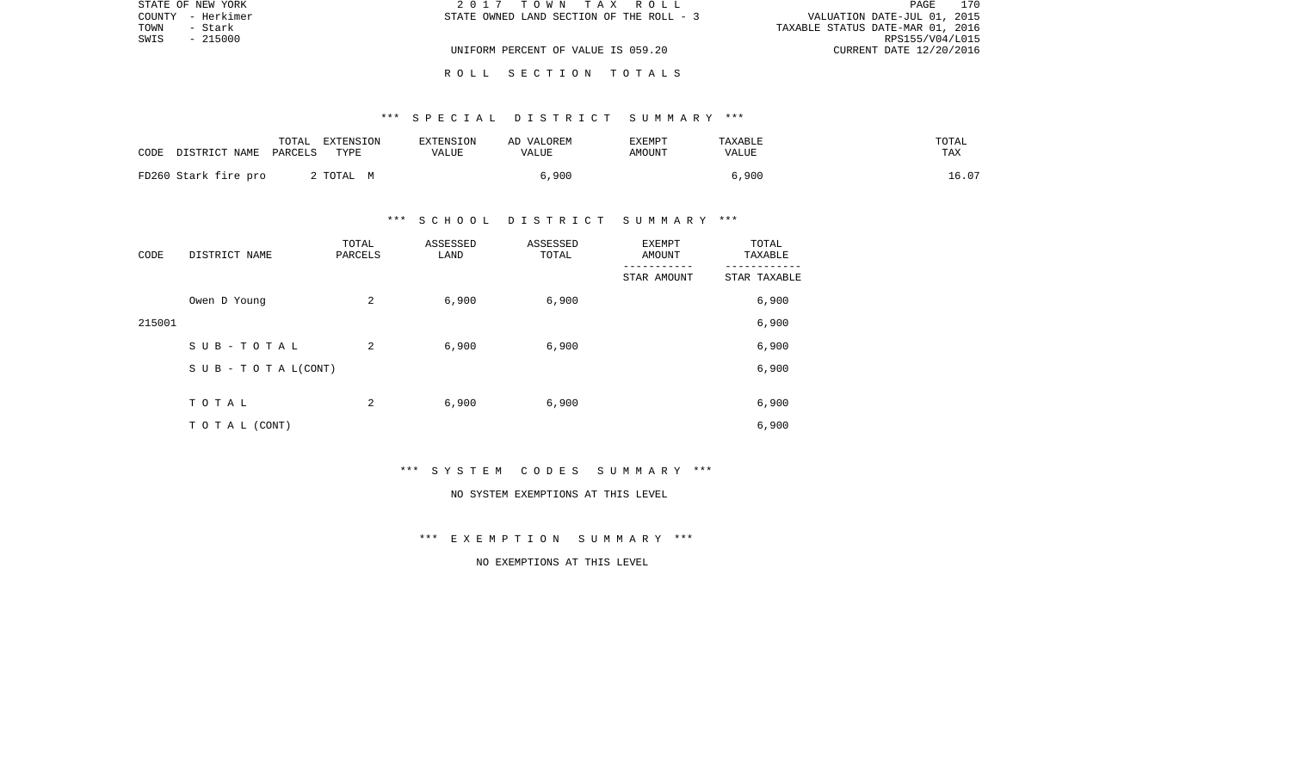|      | STATE OF NEW YORK | 2017 TOWN TAX ROLL                       | 170<br>PAGE                      |
|------|-------------------|------------------------------------------|----------------------------------|
|      | COUNTY - Herkimer | STATE OWNED LAND SECTION OF THE ROLL - 3 | VALUATION DATE-JUL 01, 2015      |
| TOWN | - Stark           |                                          | TAXABLE STATUS DATE-MAR 01, 2016 |
| SWIS | - 215000          |                                          | RPS155/V04/L015                  |
|      |                   | UNIFORM PERCENT OF VALUE IS 059.20       | CURRENT DATE 12/20/2016          |
|      |                   |                                          |                                  |

# \*\*\* S P E C I A L D I S T R I C T S U M M A R Y \*\*\*

R O L L S E C T I O N T O T A L S

| CODE | DISTRICT NAME PARCELS | TOTAL | EXTENSION<br>TYPE | EXTENSION<br>VALUE | AD VALOREM<br>VALUE | <b>EXEMPT</b><br>AMOUNT | TAXABLE<br>VALUE | TOTAL<br>TAX |
|------|-----------------------|-------|-------------------|--------------------|---------------------|-------------------------|------------------|--------------|
|      | FD260 Stark fire pro  |       | 2 TOTAL M         |                    | 6,900               |                         | 6,900            | 16.07        |

# \*\*\* S C H O O L D I S T R I C T S U M M A R Y \*\*\*

| CODE   | DISTRICT NAME      | TOTAL<br>PARCELS | ASSESSED<br>LAND | ASSESSED<br>TOTAL | EXEMPT<br>AMOUNT | TOTAL<br>TAXABLE |
|--------|--------------------|------------------|------------------|-------------------|------------------|------------------|
|        |                    |                  |                  |                   | STAR AMOUNT      | STAR TAXABLE     |
|        | Owen D Young       | 2                | 6,900            | 6,900             |                  | 6,900            |
| 215001 |                    |                  |                  |                   |                  | 6,900            |
|        | SUB-TOTAL          | 2                | 6,900            | 6,900             |                  | 6,900            |
|        | SUB - TO TAL(CONT) |                  |                  |                   |                  | 6,900            |
|        |                    |                  |                  |                   |                  |                  |
|        | TOTAL              | 2                | 6,900            | 6,900             |                  | 6,900            |
|        | TO TAL (CONT)      |                  |                  |                   |                  | 6,900            |

\*\*\* S Y S T E M C O D E S S U M M A R Y \*\*\*

#### NO SYSTEM EXEMPTIONS AT THIS LEVEL

\*\*\* E X E M P T I O N S U M M A R Y \*\*\*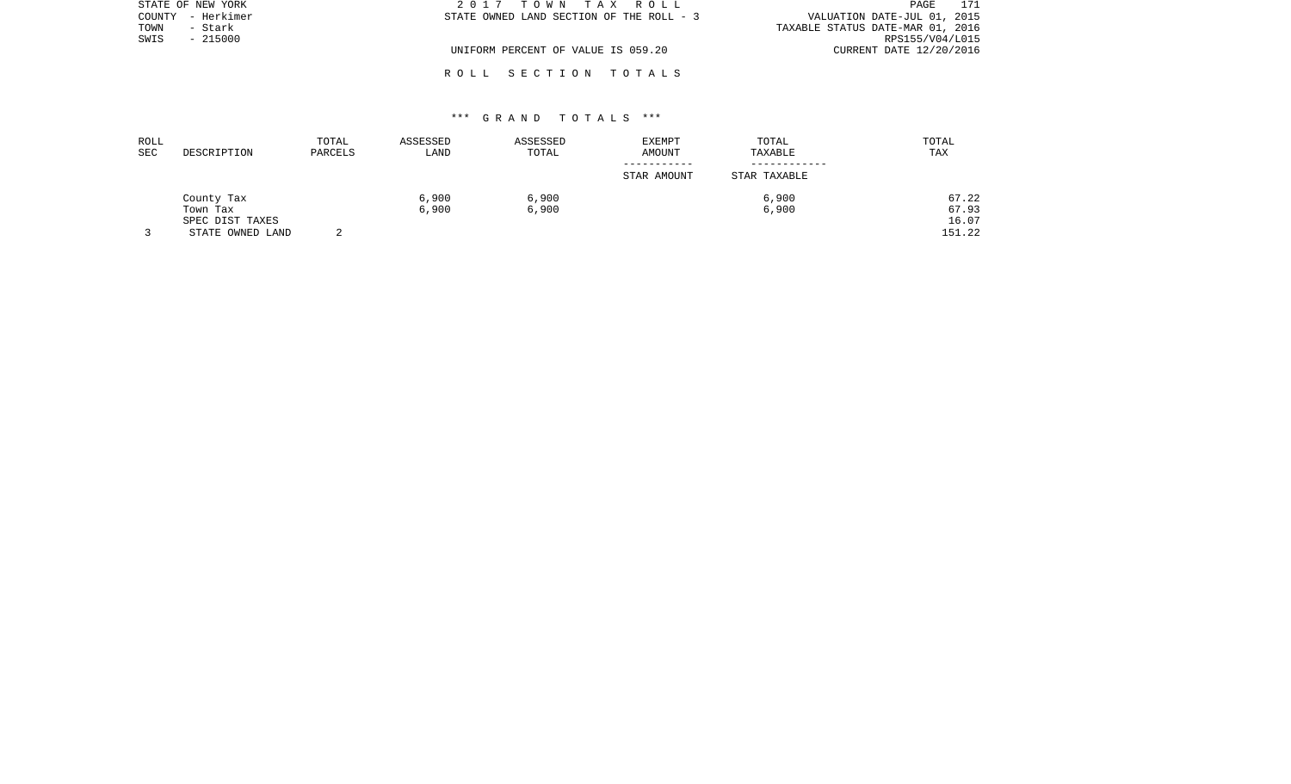| STATE OF NEW YORK | 2017 TOWN TAX ROLL                       | 171<br>PAGE                      |
|-------------------|------------------------------------------|----------------------------------|
| COUNTY - Herkimer | STATE OWNED LAND SECTION OF THE ROLL - 3 | VALUATION DATE-JUL 01, 2015      |
| TOWN<br>- Stark   |                                          | TAXABLE STATUS DATE-MAR 01, 2016 |
| SWIS<br>$-215000$ |                                          | RPS155/V04/L015                  |
|                   | UNIFORM PERCENT OF VALUE IS 059.20       | CURRENT DATE 12/20/2016          |
|                   |                                          |                                  |

# \*\*\* G R A N D T O T A L S \*\*\*

R O L L S E C T I O N T O T A L S

| ROLL |                  | TOTAL   | ASSESSED | ASSESSED | EXEMPT      | TOTAL        | TOTAL  |
|------|------------------|---------|----------|----------|-------------|--------------|--------|
| SEC  | DESCRIPTION      | PARCELS | LAND     | TOTAL    | AMOUNT      | TAXABLE      | TAX    |
|      |                  |         |          |          | ----------- |              |        |
|      |                  |         |          |          | STAR AMOUNT | STAR TAXABLE |        |
|      | County Tax       |         | 6,900    | 6,900    |             | 6,900        | 67.22  |
|      | Town Tax         |         | 6,900    | 6,900    |             | 6,900        | 67.93  |
|      | SPEC DIST TAXES  |         |          |          |             |              | 16.07  |
|      | STATE OWNED LAND |         |          |          |             |              | 151.22 |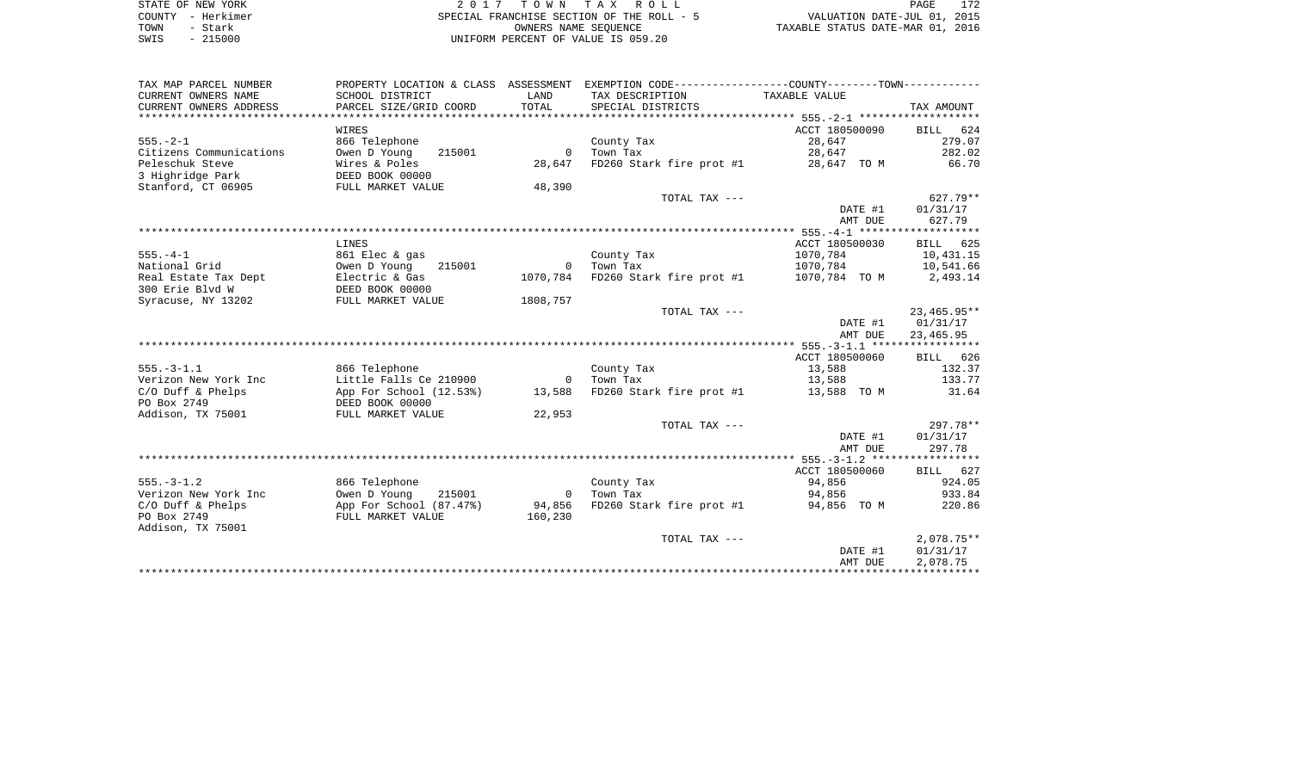| STATE OF NEW YORK | 2017 TOWN TAX ROLL                        | 172<br>PAGE                      |
|-------------------|-------------------------------------------|----------------------------------|
| COUNTY - Herkimer | SPECIAL FRANCHISE SECTION OF THE ROLL - 5 | VALUATION DATE-JUL 01, 2015      |
| TOWN<br>– Stark   | OWNERS NAME SEOUENCE                      | TAXABLE STATUS DATE-MAR 01, 2016 |
| $-215000$<br>SWIS | UNIFORM PERCENT OF VALUE IS 059.20        |                                  |

| TAX MAP PARCEL NUMBER   |                                            |                | PROPERTY LOCATION & CLASS ASSESSMENT EXEMPTION CODE---------------COUNTY--------TOWN---------- |                         |              |
|-------------------------|--------------------------------------------|----------------|------------------------------------------------------------------------------------------------|-------------------------|--------------|
| CURRENT OWNERS NAME     | SCHOOL DISTRICT                            | LAND           | TAX DESCRIPTION                                                                                | TAXABLE VALUE           |              |
| CURRENT OWNERS ADDRESS  | PARCEL SIZE/GRID COORD                     | TOTAL          | SPECIAL DISTRICTS                                                                              |                         | TAX AMOUNT   |
|                         |                                            |                |                                                                                                |                         |              |
|                         | WIRES                                      |                |                                                                                                | ACCT 180500090 BILL 624 |              |
| $555. - 2 - 1$          | 866 Telephone                              |                | County Tax                                                                                     | 28,647                  | 279.07       |
| Citizens Communications | Owen D Young<br>215001                     | $\circ$        | Town Tax                                                                                       | 28,647                  | 282.02       |
| Peleschuk Steve         | Wires & Poles                              | 28,647         | FD260 Stark fire prot #1                                                                       | 28,647 TO M             | 66.70        |
| 3 Highridge Park        | DEED BOOK 00000                            |                |                                                                                                |                         |              |
| Stanford, CT 06905      | FULL MARKET VALUE                          | 48,390         |                                                                                                |                         |              |
|                         |                                            |                | TOTAL TAX ---                                                                                  |                         | $627.79**$   |
|                         |                                            |                |                                                                                                | DATE #1                 | 01/31/17     |
|                         |                                            |                |                                                                                                | AMT DUE                 | 627.79       |
|                         |                                            |                |                                                                                                |                         |              |
|                         | LINES                                      |                |                                                                                                | ACCT 180500030          | BILL 625     |
| $555. - 4 - 1$          | 861 Elec & gas                             |                | County Tax                                                                                     | 1070,784                | 10,431.15    |
| National Grid           | Owen D Young 215001                        | $\overline{0}$ | Town Tax                                                                                       | 1070,784                | 10,541.66    |
| Real Estate Tax Dept    | Electric & Gas                             |                | 1070,784 FD260 Stark fire prot #1                                                              | 1070,784 TO M           | 2,493.14     |
| 300 Erie Blyd W         | DEED BOOK 00000                            |                |                                                                                                |                         |              |
| Syracuse, NY 13202      | FULL MARKET VALUE                          | 1808,757       |                                                                                                |                         |              |
|                         |                                            |                | TOTAL TAX ---                                                                                  |                         | 23,465.95**  |
|                         |                                            |                |                                                                                                | DATE #1                 | 01/31/17     |
|                         |                                            |                |                                                                                                | AMT DUE                 | 23,465.95    |
|                         |                                            |                |                                                                                                |                         |              |
|                         |                                            |                |                                                                                                | ACCT 180500060          | BILL 626     |
| $555. - 3 - 1.1$        | 866 Telephone                              |                | County Tax                                                                                     | 13,588                  | 132.37       |
| Verizon New York Inc    | Little Falls Ce 210900                     | $\sim$ 0       | Town Tax                                                                                       | 13,588                  | 133.77       |
| $C/O$ Duff & Phelps     | App For School (12.53%)<br>DEED BOOK 00000 | 13,588         | FD260 Stark fire prot #1 13,588 TO M                                                           |                         | 31.64        |
| PO Box 2749             | DEED BOOK 00000                            |                |                                                                                                |                         |              |
| Addison, TX 75001       | FULL MARKET VALUE                          | 22,953         |                                                                                                |                         |              |
|                         |                                            |                | TOTAL TAX ---                                                                                  |                         | 297.78**     |
|                         |                                            |                |                                                                                                | DATE #1                 | 01/31/17     |
|                         |                                            |                |                                                                                                | AMT DUE                 | 297.78       |
|                         |                                            |                |                                                                                                |                         |              |
|                         |                                            |                |                                                                                                | ACCT 180500060          | BILL 627     |
| $555. - 3 - 1.2$        | 866 Telephone                              |                | County Tax                                                                                     | 94,856                  | 924.05       |
| Verizon New York Inc    | Owen D Young 215001                        | $\overline{0}$ | Town Tax                                                                                       | 94,856                  | 933.84       |
| $C/O$ Duff & Phelps     | App For School (87.47%)                    | 94,856         | FD260 Stark fire prot #1 94,856 TO M                                                           |                         | 220.86       |
| PO Box 2749             | FULL MARKET VALUE                          | 160,230        |                                                                                                |                         |              |
| Addison, TX 75001       |                                            |                |                                                                                                |                         |              |
|                         |                                            |                | TOTAL TAX ---                                                                                  |                         | $2,078.75**$ |
|                         |                                            |                |                                                                                                | DATE #1                 | 01/31/17     |
|                         |                                            |                |                                                                                                | AMT DUE                 | 2,078.75     |
|                         |                                            |                |                                                                                                |                         |              |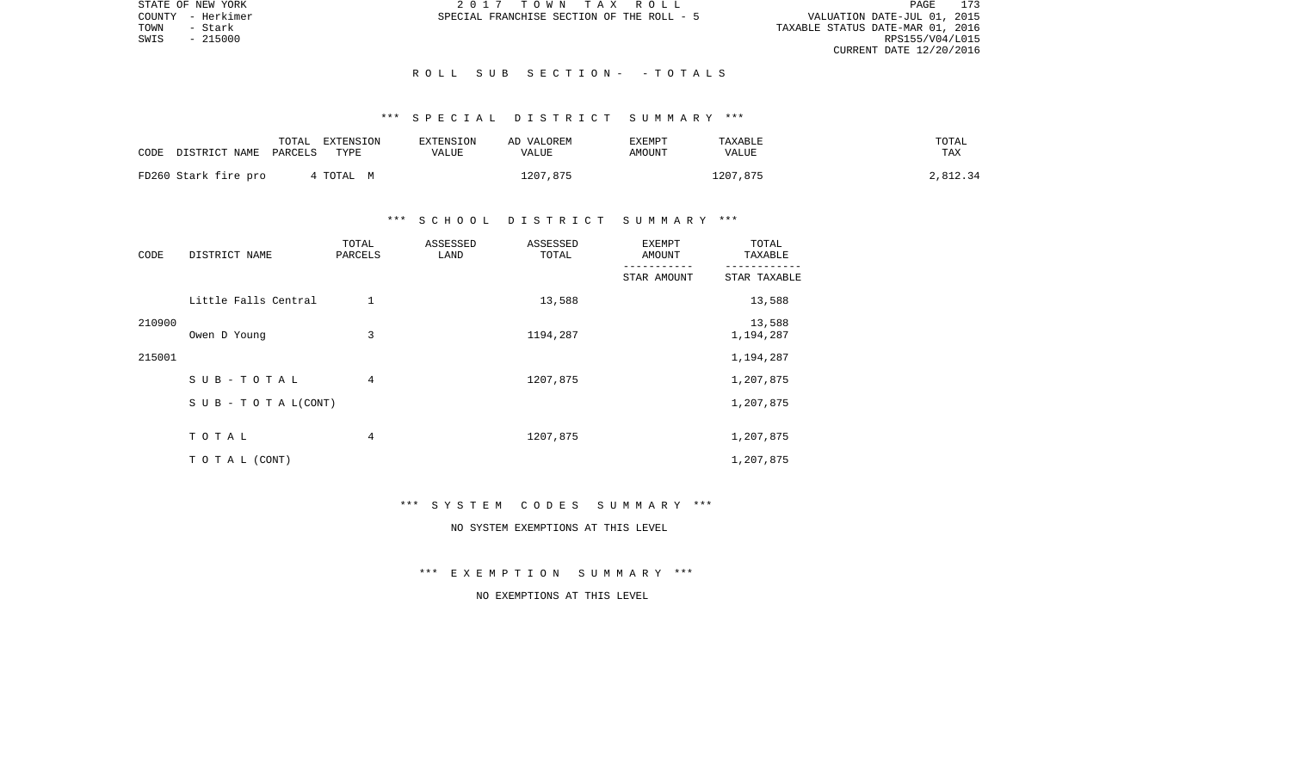STATE OF NEW YORK 2 0 1 7 T O W N T A X R O L L PAGE 173VALUATION DATE-JUL 01, 2015 TOWN - Stark TAXABLE STATUS DATE-MAR 01, 2016 CURRENT DATE 12/20/2016

COUNTY - Herkimer SPECIAL FRANCHISE SECTION OF THE ROLL - 5

 $SWIS$  - 215000

## R O L L S U B S E C T I O N - - T O T A L S

# \*\*\* S P E C I A L D I S T R I C T S U M M A R Y \*\*\*

|      |                      | TOTAL   | EXTENSION | <b>EXTENSION</b> | AD VALOREM   | EXEMPT | TAXABLE      | TOTAL    |
|------|----------------------|---------|-----------|------------------|--------------|--------|--------------|----------|
| CODE | DISTRICT NAME        | PARCELS | TYPE      | VALUE            | <b>VALUE</b> | AMOUNT | <b>VALUE</b> | TAX      |
|      |                      |         |           |                  |              |        |              |          |
|      | FD260 Stark fire pro |         | TOTAL M   |                  | 1207,875     |        | 1207,875     | 2,812.34 |

# \*\*\* S C H O O L D I S T R I C T S U M M A R Y \*\*\*

| CODE   | DISTRICT NAME                    | TOTAL<br>PARCELS | ASSESSED<br>LAND | ASSESSED<br>TOTAL | <b>EXEMPT</b><br>AMOUNT | TOTAL<br>TAXABLE    |
|--------|----------------------------------|------------------|------------------|-------------------|-------------------------|---------------------|
|        |                                  |                  |                  |                   | STAR AMOUNT             | STAR TAXABLE        |
|        | Little Falls Central             | $\mathbf{1}$     |                  | 13,588            |                         | 13,588              |
| 210900 | Owen D Young                     | 3                |                  | 1194,287          |                         | 13,588<br>1,194,287 |
| 215001 |                                  |                  |                  |                   |                         | 1,194,287           |
|        | SUB-TOTAL                        | 4                |                  | 1207,875          |                         | 1,207,875           |
|        | $S \cup B - T \cup T A L (CONT)$ |                  |                  |                   |                         | 1,207,875           |
|        | TOTAL                            | 4                |                  | 1207,875          |                         | 1,207,875           |
|        | TO TAL (CONT)                    |                  |                  |                   |                         | 1,207,875           |

#### \*\*\* S Y S T E M C O D E S S U M M A R Y \*\*\*

# NO SYSTEM EXEMPTIONS AT THIS LEVEL

\*\*\* E X E M P T I O N S U M M A R Y \*\*\*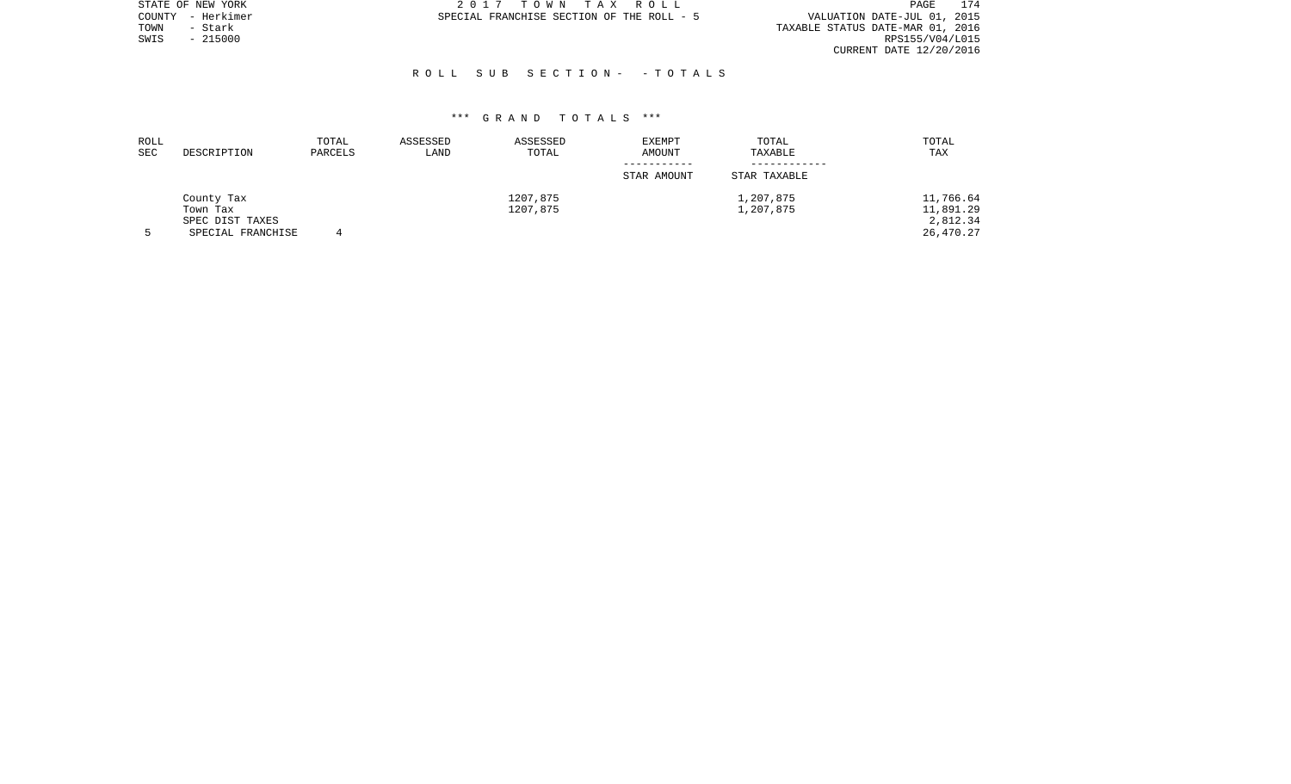|      | STATE OF NEW YORK | 2017 TOWN TAX ROLL                        | 174<br>PAGE                      |
|------|-------------------|-------------------------------------------|----------------------------------|
|      | COUNTY - Herkimer | SPECIAL FRANCHISE SECTION OF THE ROLL - 5 | VALUATION DATE-JUL 01, 2015      |
| TOWN | - Stark           |                                           | TAXABLE STATUS DATE-MAR 01, 2016 |
| SWIS | $-215000$         |                                           | RPS155/V04/L015                  |
|      |                   |                                           | CURRENT DATE 12/20/2016          |
|      |                   |                                           |                                  |

## R O L L S U B S E C T I O N - - T O T A L S

| ROLL<br><b>SEC</b> | DESCRIPTION                                      | TOTAL<br>PARCELS | ASSESSED<br>LAND | ASSESSED<br>TOTAL | <b>EXEMPT</b><br>AMOUNT | TOTAL<br>TAXABLE | TOTAL<br>TAX                       |
|--------------------|--------------------------------------------------|------------------|------------------|-------------------|-------------------------|------------------|------------------------------------|
|                    |                                                  |                  |                  |                   | STAR AMOUNT             | STAR TAXABLE     |                                    |
|                    | County Tax                                       |                  |                  | 1207,875          |                         | 1,207,875        | 11,766.64                          |
|                    | Town Tax<br>SPEC DIST TAXES<br>SPECIAL FRANCHISE |                  |                  | 1207,875          |                         | 1,207,875        | 11,891.29<br>2,812.34<br>26,470.27 |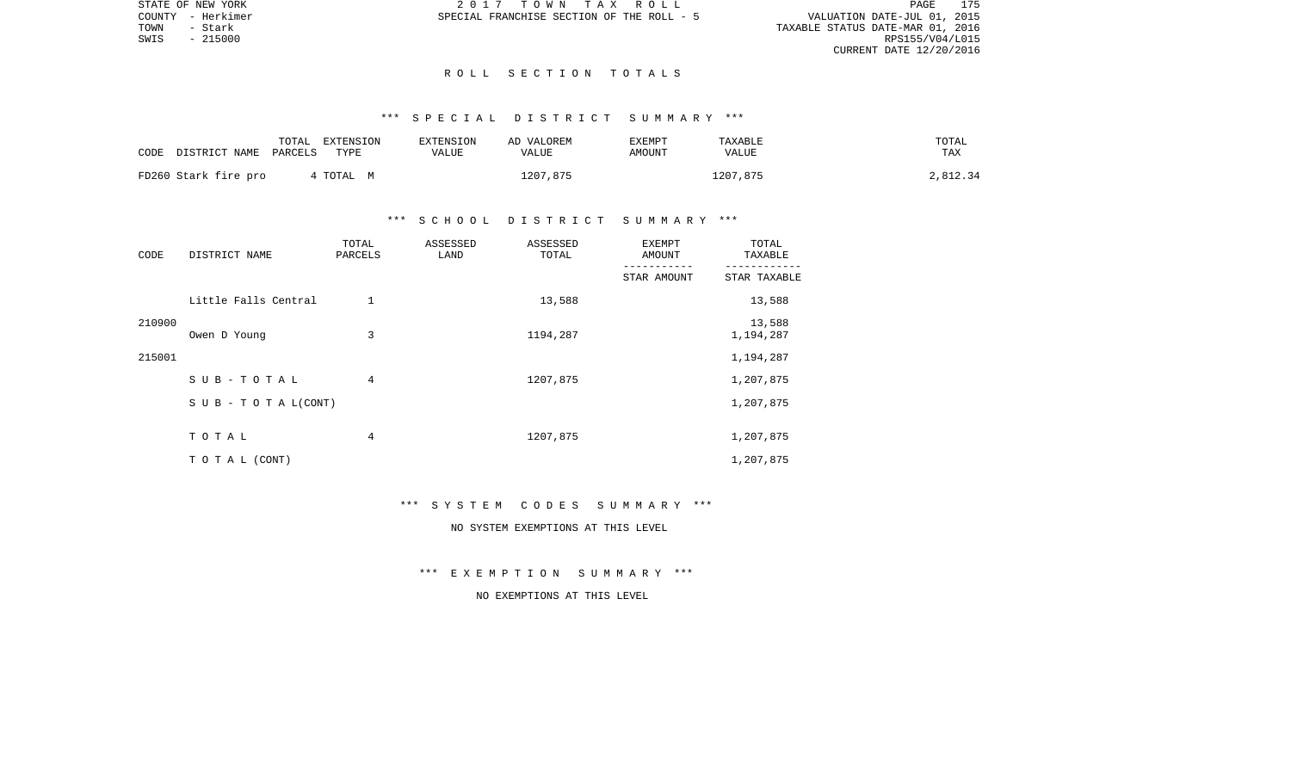VALUATION DATE-JUL 01, 2015 TOWN - Stark TAXABLE STATUS DATE-MAR 01, 2016 CURRENT DATE 12/20/2016

STATE OF NEW YORK 2 0 1 7 T O W N T A X R O L L PAGE 175COUNTY - Herkimer SPECIAL FRANCHISE SECTION OF THE ROLL - 5

 $SWIS$  - 215000

## R O L L S E C T I O N T O T A L S

# \*\*\* S P E C I A L D I S T R I C T S U M M A R Y \*\*\*

|      |                      | TOTAL   | EXTENSION | <b>EXTENSION</b> | AD VALOREM   | EXEMPT | TAXABLE      | TOTAL    |
|------|----------------------|---------|-----------|------------------|--------------|--------|--------------|----------|
| CODE | DISTRICT NAME        | PARCELS | TYPE      | VALUE            | <b>VALUE</b> | AMOUNT | <b>VALUE</b> | TAX      |
|      |                      |         |           |                  |              |        |              |          |
|      | FD260 Stark fire pro |         | TOTAL M   |                  | 1207,875     |        | 1207,875     | 2,812.34 |

# \*\*\* S C H O O L D I S T R I C T S U M M A R Y \*\*\*

| CODE   | DISTRICT NAME                    | TOTAL<br>PARCELS | ASSESSED<br>LAND | ASSESSED<br>TOTAL | <b>EXEMPT</b><br>AMOUNT | TOTAL<br>TAXABLE    |
|--------|----------------------------------|------------------|------------------|-------------------|-------------------------|---------------------|
|        |                                  |                  |                  |                   | STAR AMOUNT             | STAR TAXABLE        |
|        | Little Falls Central             |                  |                  | 13,588            |                         | 13,588              |
| 210900 | Owen D Young                     | 3                |                  | 1194,287          |                         | 13,588<br>1,194,287 |
| 215001 |                                  |                  |                  |                   |                         | 1,194,287           |
|        | SUB-TOTAL                        | 4                |                  | 1207,875          |                         | 1,207,875           |
|        | $S \cup B - T \cup T A L (CONT)$ |                  |                  |                   |                         | 1,207,875           |
|        | TOTAL                            | 4                |                  | 1207,875          |                         | 1,207,875           |
|        | TO TAL (CONT)                    |                  |                  |                   |                         | 1,207,875           |

#### \*\*\* S Y S T E M C O D E S S U M M A R Y \*\*\*

# NO SYSTEM EXEMPTIONS AT THIS LEVEL

\*\*\* E X E M P T I O N S U M M A R Y \*\*\*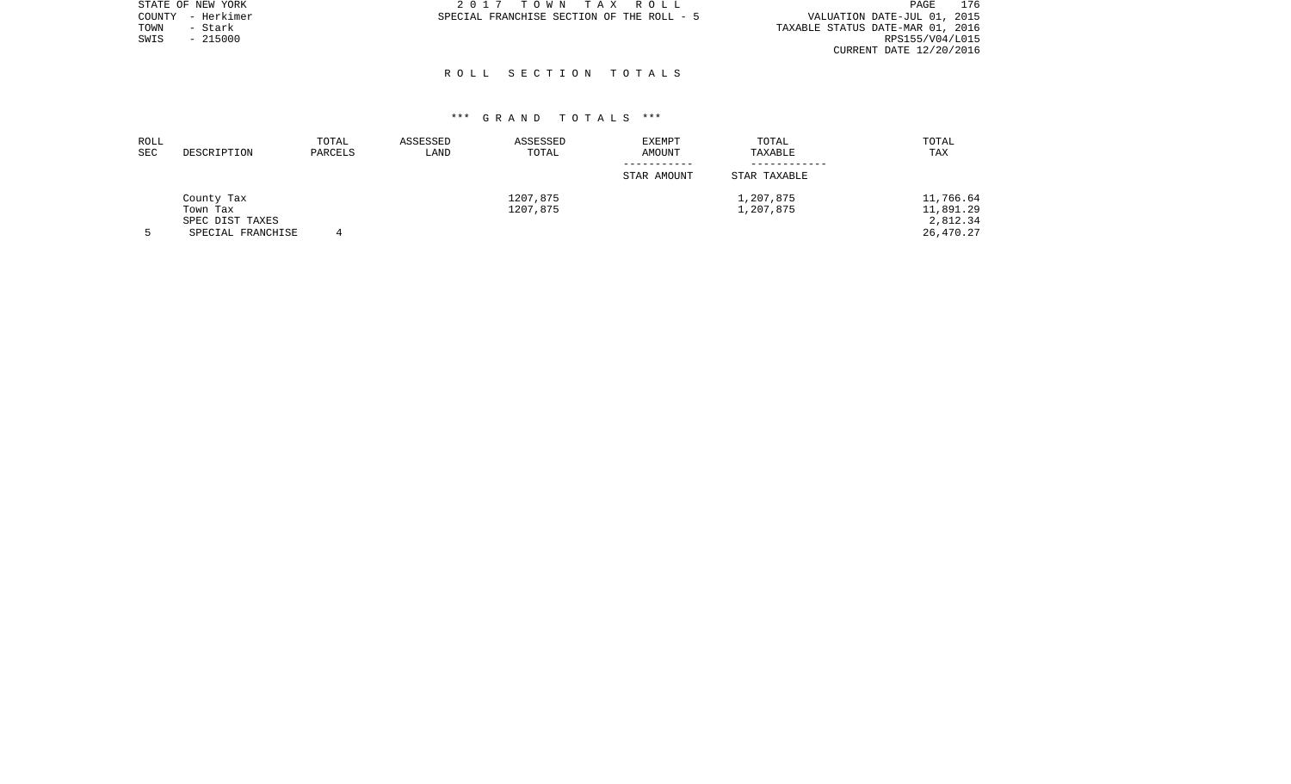| STATE OF NEW YORK | 2017 TOWN TAX ROLL                        | 176<br>PAGE                      |
|-------------------|-------------------------------------------|----------------------------------|
| COUNTY - Herkimer | SPECIAL FRANCHISE SECTION OF THE ROLL - 5 | VALUATION DATE-JUL 01, 2015      |
| TOWN<br>- Stark   |                                           | TAXABLE STATUS DATE-MAR 01, 2016 |
| $-215000$<br>SWIS |                                           | RPS155/V04/L015                  |
|                   |                                           | CURRENT DATE 12/20/2016          |

# R O L L S E C T I O N T O T A L S

| ROLL<br><b>SEC</b> | DESCRIPTION                 | TOTAL<br>PARCELS | ASSESSED<br>LAND | ASSESSED<br>TOTAL | <b>EXEMPT</b><br>AMOUNT | TOTAL<br>TAXABLE | TOTAL<br>TAX          |
|--------------------|-----------------------------|------------------|------------------|-------------------|-------------------------|------------------|-----------------------|
|                    |                             |                  |                  |                   | STAR AMOUNT             | STAR TAXABLE     |                       |
|                    | County Tax                  |                  |                  | 1207,875          |                         | 1,207,875        | 11,766.64             |
|                    | Town Tax<br>SPEC DIST TAXES |                  |                  | 1207,875          |                         | 1,207,875        | 11,891.29<br>2,812.34 |
|                    | SPECIAL FRANCHISE           |                  |                  |                   |                         |                  | 26,470.27             |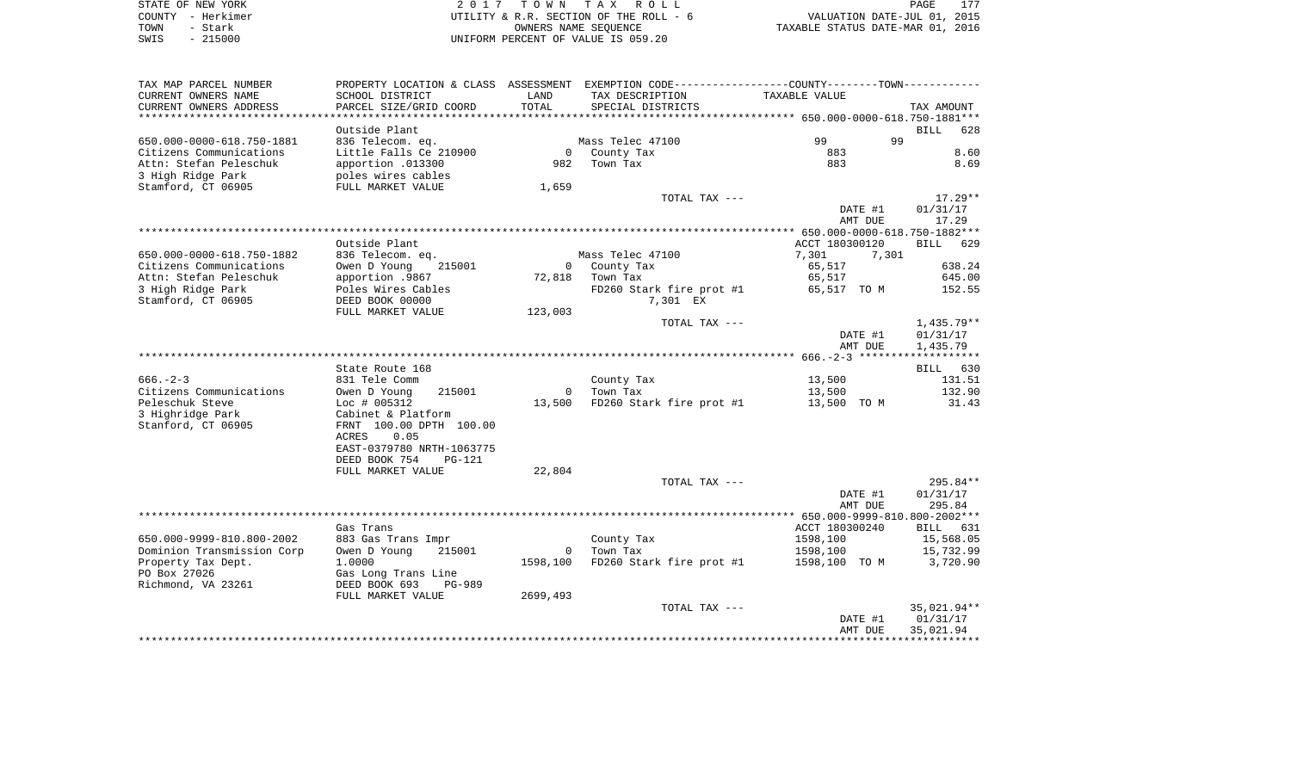| STATE OF NEW YORK | 2017 TOWN TAX ROLL                     | 177<br>PAGE                      |
|-------------------|----------------------------------------|----------------------------------|
| COUNTY - Herkimer | UTILITY & R.R. SECTION OF THE ROLL - 6 | VALUATION DATE-JUL 01, 2015      |
| TOWN<br>- Stark   | OWNERS NAME SEOUENCE                   | TAXABLE STATUS DATE-MAR 01, 2016 |
| $-215000$<br>SWIS | UNIFORM PERCENT OF VALUE IS 059.20     |                                  |

| TAX MAP PARCEL NUMBER      |                           |          | PROPERTY LOCATION & CLASS ASSESSMENT EXEMPTION CODE--------------COUNTY-------TOWN--------- |                |                    |
|----------------------------|---------------------------|----------|---------------------------------------------------------------------------------------------|----------------|--------------------|
| CURRENT OWNERS NAME        | SCHOOL DISTRICT           | LAND     | TAX DESCRIPTION                                                                             | TAXABLE VALUE  |                    |
| CURRENT OWNERS ADDRESS     | PARCEL SIZE/GRID COORD    | TOTAL    | SPECIAL DISTRICTS                                                                           |                | TAX AMOUNT         |
|                            |                           |          |                                                                                             |                |                    |
|                            | Outside Plant             |          |                                                                                             |                | <b>BILL</b><br>628 |
| 650.000-0000-618.750-1881  |                           |          | Mass Telec 47100                                                                            | 99<br>99       |                    |
|                            | 836 Telecom. eq.          |          |                                                                                             |                |                    |
| Citizens Communications    | Little Falls Ce 210900    |          | 0 County Tax                                                                                | 883            | 8.60               |
| Attn: Stefan Peleschuk     | apportion .013300         |          | 982 Town Tax                                                                                | 883            | 8.69               |
| 3 High Ridge Park          | poles wires cables        |          |                                                                                             |                |                    |
| Stamford, CT 06905         | FULL MARKET VALUE         | 1,659    |                                                                                             |                |                    |
|                            |                           |          | TOTAL TAX ---                                                                               |                | $17.29**$          |
|                            |                           |          |                                                                                             | DATE #1        | 01/31/17           |
|                            |                           |          |                                                                                             | AMT DUE        | 17.29              |
|                            |                           |          |                                                                                             |                |                    |
|                            | Outside Plant             |          |                                                                                             | ACCT 180300120 | BILL 629           |
|                            |                           |          |                                                                                             |                |                    |
| 650.000-0000-618.750-1882  | 836 Telecom. eq.          |          | Mass Telec 47100                                                                            | 7,301<br>7,301 |                    |
| Citizens Communications    | Owen D Young<br>215001    |          | 0 County Tax                                                                                | 65,517         | 638.24             |
| Attn: Stefan Peleschuk     | apportion .9867           |          | 72,818 Town Tax                                                                             | 65,517         | 645.00             |
| 3 High Ridge Park          | Poles Wires Cables        |          | FD260 Stark fire prot #1                                                                    | 65,517 TO M    | 152.55             |
| Stamford, CT 06905         | DEED BOOK 00000           |          | 7,301 EX                                                                                    |                |                    |
|                            | FULL MARKET VALUE         | 123,003  |                                                                                             |                |                    |
|                            |                           |          | TOTAL TAX ---                                                                               |                | $1,435.79**$       |
|                            |                           |          |                                                                                             | DATE #1        | 01/31/17           |
|                            |                           |          |                                                                                             | AMT DUE        | 1,435.79           |
|                            |                           |          |                                                                                             |                |                    |
|                            |                           |          |                                                                                             |                |                    |
|                            | State Route 168           |          |                                                                                             |                | BILL 630           |
| $666. - 2 - 3$             | 831 Tele Comm             |          | County Tax                                                                                  | 13,500         | 131.51             |
| Citizens Communications    | Owen D Young<br>215001    |          | 0 Town Tax                                                                                  | 13,500         | 132.90             |
| Peleschuk Steve            | $Loc$ # 005312            |          | 13,500 FD260 Stark fire prot #1 13,500 TO M                                                 |                | 31.43              |
| 3 Highridge Park           | Cabinet & Platform        |          |                                                                                             |                |                    |
| Stanford, CT 06905         | FRNT 100.00 DPTH 100.00   |          |                                                                                             |                |                    |
|                            | ACRES<br>0.05             |          |                                                                                             |                |                    |
|                            | EAST-0379780 NRTH-1063775 |          |                                                                                             |                |                    |
|                            | DEED BOOK 754<br>PG-121   |          |                                                                                             |                |                    |
|                            | FULL MARKET VALUE         | 22,804   |                                                                                             |                |                    |
|                            |                           |          |                                                                                             |                | 295.84**           |
|                            |                           |          | TOTAL TAX ---                                                                               |                |                    |
|                            |                           |          |                                                                                             | DATE #1        | 01/31/17           |
|                            |                           |          |                                                                                             | AMT DUE        | 295.84             |
|                            |                           |          |                                                                                             |                |                    |
|                            | Gas Trans                 |          |                                                                                             | ACCT 180300240 | BILL 631           |
| 650.000-9999-810.800-2002  | 883 Gas Trans Impr        |          | County Tax                                                                                  | 1598,100       | 15,568.05          |
| Dominion Transmission Corp | Owen D Young<br>215001    |          | 0    Town Tax                                                                               | 1598,100       | 15,732.99          |
| Property Tax Dept.         | 1,0000                    | 1598,100 | FD260 Stark fire prot #1                                                                    | 1598,100 TO M  | 3,720.90           |
| PO Box 27026               | Gas Long Trans Line       |          |                                                                                             |                |                    |
| Richmond, VA 23261         | DEED BOOK 693<br>PG-989   |          |                                                                                             |                |                    |
|                            |                           |          |                                                                                             |                |                    |
|                            | FULL MARKET VALUE         | 2699,493 |                                                                                             |                |                    |
|                            |                           |          | TOTAL TAX ---                                                                               |                | 35,021.94**        |
|                            |                           |          |                                                                                             | DATE #1        | 01/31/17           |
|                            |                           |          |                                                                                             | AMT DUE        | 35,021.94          |
|                            |                           |          |                                                                                             |                |                    |
|                            |                           |          |                                                                                             |                |                    |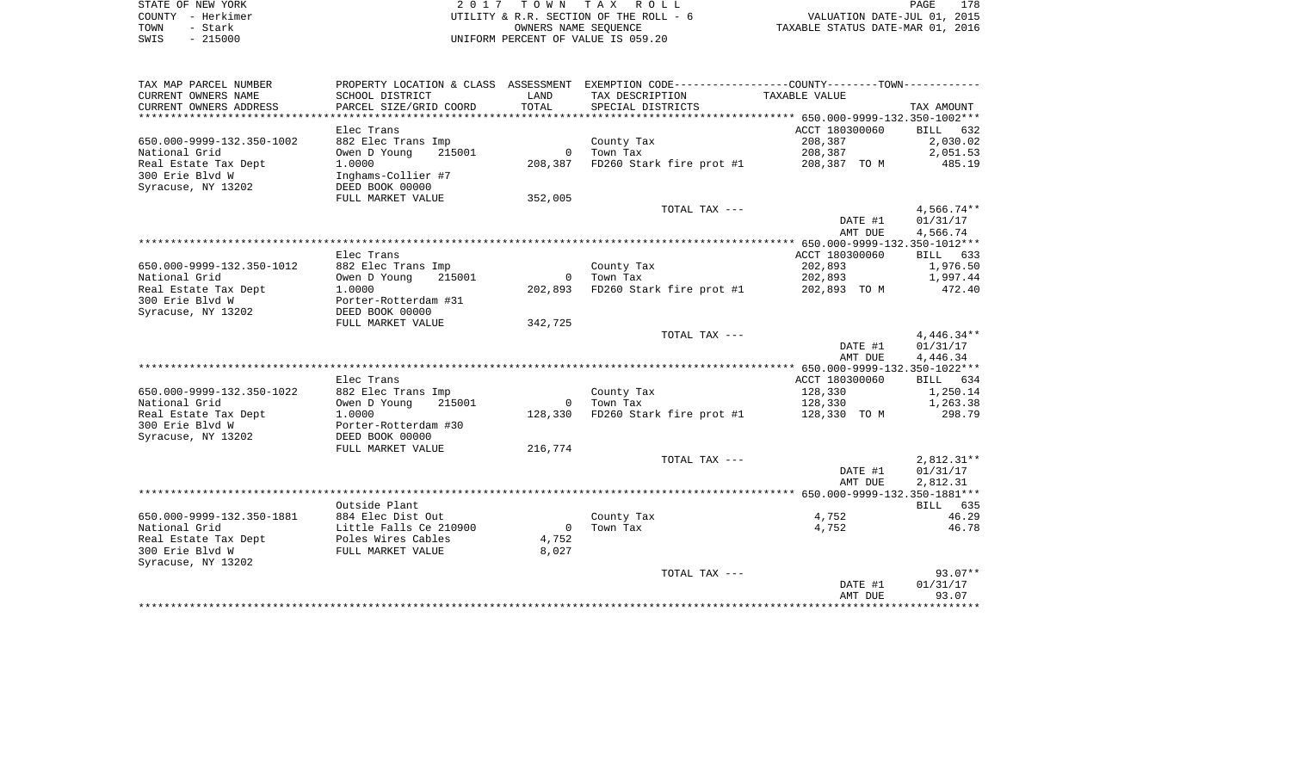|      | STATE OF NEW YORK | 2017 TOWN TAX ROLL                     | 178<br>PAGE                      |
|------|-------------------|----------------------------------------|----------------------------------|
|      | COUNTY - Herkimer | UTILITY & R.R. SECTION OF THE ROLL - 6 | VALUATION DATE-JUL 01, 2015      |
| TOWN | - Stark           | OWNERS NAME SEOUENCE                   | TAXABLE STATUS DATE-MAR 01, 2016 |
| SWIS | $-215000$         | UNIFORM PERCENT OF VALUE IS 059.20     |                                  |

| TAX MAP PARCEL NUMBER     | PROPERTY LOCATION & CLASS ASSESSMENT EXEMPTION CODE----------------COUNTY-------TOWN---------- |                |                          |                |              |
|---------------------------|------------------------------------------------------------------------------------------------|----------------|--------------------------|----------------|--------------|
| CURRENT OWNERS NAME       | SCHOOL DISTRICT                                                                                | LAND           | TAX DESCRIPTION          | TAXABLE VALUE  |              |
| CURRENT OWNERS ADDRESS    | PARCEL SIZE/GRID COORD                                                                         | TOTAL          | SPECIAL DISTRICTS        |                | TAX AMOUNT   |
|                           |                                                                                                |                |                          |                |              |
|                           | Elec Trans                                                                                     |                |                          | ACCT 180300060 | BILL<br>632  |
| 650.000-9999-132.350-1002 | 882 Elec Trans Imp                                                                             |                | County Tax               | 208,387        | 2,030.02     |
| National Grid             | Owen D Young<br>215001                                                                         | $\Omega$       | Town Tax                 | 208,387        | 2,051.53     |
| Real Estate Tax Dept      | 1,0000                                                                                         | 208,387        | FD260 Stark fire prot #1 | 208,387 TO M   | 485.19       |
| 300 Erie Blvd W           | Inghams-Collier #7                                                                             |                |                          |                |              |
| Syracuse, NY 13202        | DEED BOOK 00000                                                                                |                |                          |                |              |
|                           | FULL MARKET VALUE                                                                              | 352,005        |                          |                |              |
|                           |                                                                                                |                | TOTAL TAX ---            |                | $4,566.74**$ |
|                           |                                                                                                |                |                          | DATE #1        | 01/31/17     |
|                           |                                                                                                |                |                          | AMT DUE        | 4,566.74     |
|                           | Elec Trans                                                                                     |                |                          | ACCT 180300060 | BILL 633     |
| 650.000-9999-132.350-1012 | 882 Elec Trans Imp                                                                             |                | County Tax               | 202,893        | 1,976.50     |
| National Grid             | Owen D Young<br>215001                                                                         |                | 0 Town Tax               | 202,893        | 1,997.44     |
| Real Estate Tax Dept      | 1,0000                                                                                         | 202,893        | FD260 Stark fire prot #1 | 202,893 TO M   | 472.40       |
| 300 Erie Blvd W           | Porter-Rotterdam #31                                                                           |                |                          |                |              |
| Syracuse, NY 13202        | DEED BOOK 00000                                                                                |                |                          |                |              |
|                           | FULL MARKET VALUE                                                                              | 342,725        |                          |                |              |
|                           |                                                                                                |                | TOTAL TAX ---            |                | $4,446.34**$ |
|                           |                                                                                                |                |                          | DATE #1        | 01/31/17     |
|                           |                                                                                                |                |                          | AMT DUE        | 4,446.34     |
|                           |                                                                                                |                |                          |                |              |
|                           | Elec Trans                                                                                     |                |                          | ACCT 180300060 | BILL 634     |
| 650.000-9999-132.350-1022 | 882 Elec Trans Imp                                                                             |                | County Tax               | 128,330        | 1,250.14     |
| National Grid             | Owen D Young<br>215001                                                                         | $\mathbf 0$    | Town Tax                 | 128,330        | 1,263.38     |
| Real Estate Tax Dept      | 1.0000                                                                                         | 128,330        | FD260 Stark fire prot #1 | 128,330 TO M   | 298.79       |
| 300 Erie Blvd W           | Porter-Rotterdam #30                                                                           |                |                          |                |              |
| Syracuse, NY 13202        | DEED BOOK 00000                                                                                |                |                          |                |              |
|                           | FULL MARKET VALUE                                                                              | 216,774        |                          |                |              |
|                           |                                                                                                |                | TOTAL TAX ---            |                | $2,812.31**$ |
|                           |                                                                                                |                |                          | DATE #1        | 01/31/17     |
|                           |                                                                                                |                |                          | AMT DUE        | 2,812.31     |
|                           | Outside Plant                                                                                  |                |                          |                | BILL 635     |
| 650.000-9999-132.350-1881 | 884 Elec Dist Out                                                                              |                | County Tax               | 4,752          | 46.29        |
| National Grid             | Little Falls Ce 210900                                                                         | $\overline{0}$ | Town Tax                 | 4,752          | 46.78        |
| Real Estate Tax Dept      | Poles Wires Cables                                                                             | 4,752          |                          |                |              |
| 300 Erie Blvd W           | FULL MARKET VALUE                                                                              | 8,027          |                          |                |              |
| Syracuse, NY 13202        |                                                                                                |                |                          |                |              |
|                           |                                                                                                |                | TOTAL TAX ---            |                | $93.07**$    |
|                           |                                                                                                |                |                          | DATE #1        | 01/31/17     |
|                           |                                                                                                |                |                          | AMT DUE        | 93.07        |
|                           |                                                                                                |                |                          |                |              |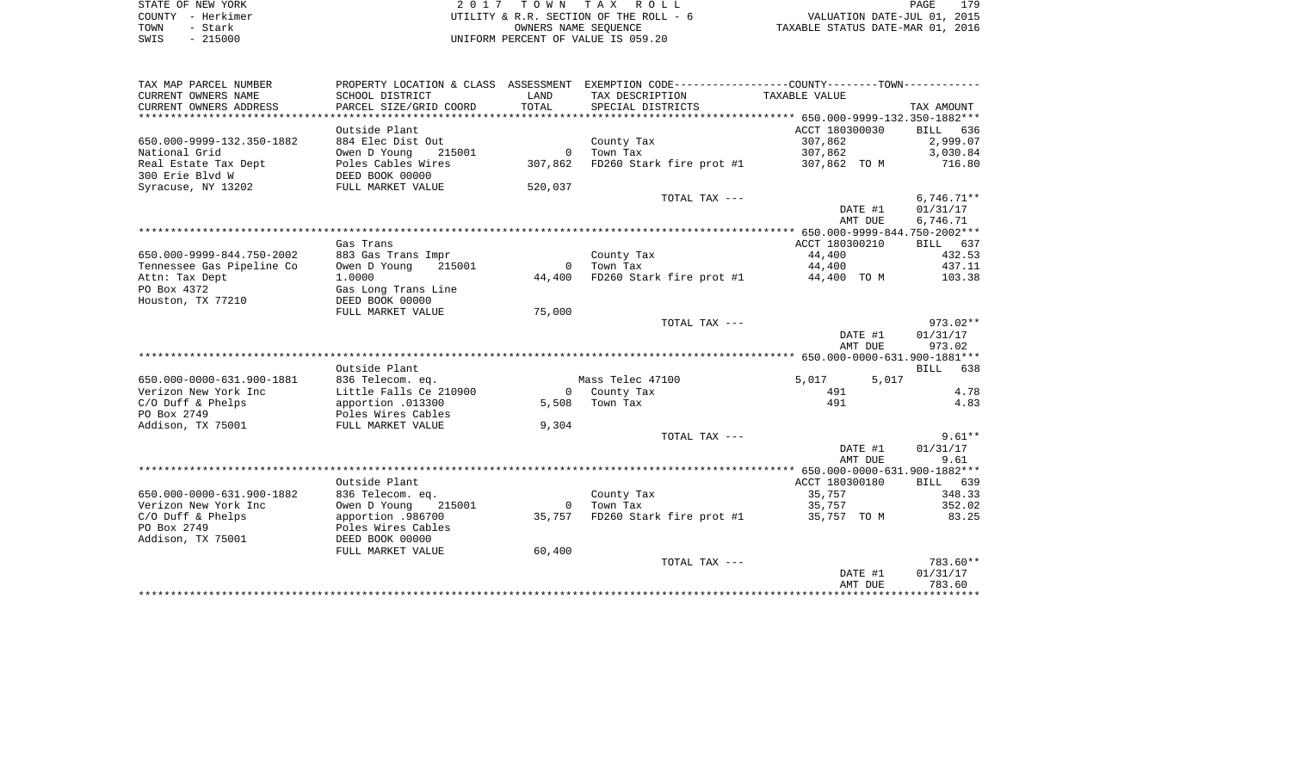| STATE OF NEW YORK | 2017 TOWN TAX ROLL                     | 179<br>PAGE                      |
|-------------------|----------------------------------------|----------------------------------|
|                   |                                        |                                  |
| COUNTY - Herkimer | UTILITY & R.R. SECTION OF THE ROLL - 6 | VALUATION DATE-JUL 01, 2015      |
|                   |                                        |                                  |
| - Stark<br>TOWN   | OWNERS NAME SEOUENCE                   | TAXABLE STATUS DATE-MAR 01, 2016 |
| $-215000$<br>SWIS | UNIFORM PERCENT OF VALUE IS 059.20     |                                  |
|                   |                                        |                                  |
|                   |                                        |                                  |
|                   |                                        |                                  |
|                   |                                        |                                  |

| TAX MAP PARCEL NUMBER          | PROPERTY LOCATION & CLASS ASSESSMENT |                |                                      |                |              |
|--------------------------------|--------------------------------------|----------------|--------------------------------------|----------------|--------------|
| CURRENT OWNERS NAME            | SCHOOL DISTRICT                      | LAND           | TAX DESCRIPTION                      | TAXABLE VALUE  |              |
| CURRENT OWNERS ADDRESS         | PARCEL SIZE/GRID COORD               | TOTAL          | SPECIAL DISTRICTS                    |                | TAX AMOUNT   |
| ****************************** |                                      |                |                                      |                |              |
|                                | Outside Plant                        |                |                                      | ACCT 180300030 | BILL 636     |
| 650.000-9999-132.350-1882      | 884 Elec Dist Out                    |                | County Tax                           | 307,862        | 2,999.07     |
| National Grid                  | Owen D Young<br>215001               | $\overline{0}$ | Town Tax                             | 307,862        | 3,030.84     |
| Real Estate Tax Dept           | Poles Cables Wires                   | 307,862        | FD260 Stark fire prot #1             | 307,862 TO M   | 716.80       |
| 300 Erie Blyd W                | DEED BOOK 00000                      |                |                                      |                |              |
| Syracuse, NY 13202             | FULL MARKET VALUE                    | 520,037        |                                      |                |              |
|                                |                                      |                | TOTAL TAX ---                        |                | $6,746.71**$ |
|                                |                                      |                |                                      | DATE #1        | 01/31/17     |
|                                |                                      |                |                                      | AMT DUE        | 6,746.71     |
|                                |                                      |                |                                      |                |              |
|                                |                                      |                |                                      | ACCT 180300210 |              |
|                                | Gas Trans                            |                |                                      |                | BILL 637     |
| 650.000-9999-844.750-2002      | 883 Gas Trans Impr                   |                | County Tax                           | 44,400         | 432.53       |
| Tennessee Gas Pipeline Co      | 215001<br>Owen D Young               | $\Omega$       | Town Tax                             | 44,400         | 437.11       |
| Attn: Tax Dept                 | 1,0000                               | 44,400         | FD260 Stark fire prot #1 44,400 TO M |                | 103.38       |
| PO Box 4372                    | Gas Long Trans Line                  |                |                                      |                |              |
| Houston, TX 77210              | DEED BOOK 00000                      |                |                                      |                |              |
|                                | FULL MARKET VALUE                    | 75,000         |                                      |                |              |
|                                |                                      |                | TOTAL TAX ---                        |                | $973.02**$   |
|                                |                                      |                |                                      | DATE #1        | 01/31/17     |
|                                |                                      |                |                                      | AMT DUE        | 973.02       |
|                                |                                      |                |                                      |                |              |
|                                | Outside Plant                        |                |                                      |                | BILL 638     |
| 650.000-0000-631.900-1881      | 836 Telecom. eq.                     |                | Mass Telec 47100                     | 5,017<br>5,017 |              |
| Verizon New York Inc           | Little Falls Ce 210900               |                | 0 County Tax                         | 491            | 4.78         |
| $C/O$ Duff & Phelps            | apportion .013300                    | 5,508          | Town Tax                             | 491            | 4.83         |
| PO Box 2749                    | Poles Wires Cables                   |                |                                      |                |              |
| Addison, TX 75001              | FULL MARKET VALUE                    | 9,304          |                                      |                |              |
|                                |                                      |                | TOTAL TAX ---                        |                | $9.61**$     |
|                                |                                      |                |                                      | DATE #1        | 01/31/17     |
|                                |                                      |                |                                      | AMT DUE        | 9.61         |
|                                |                                      |                |                                      |                |              |
|                                | Outside Plant                        |                |                                      | ACCT 180300180 | BILL 639     |
| 650.000-0000-631.900-1882      | 836 Telecom. eq.                     |                | County Tax                           | 35,757         | 348.33       |
| Verizon New York Inc           | Owen D Young<br>215001               | $\Omega$       | Town Tax                             | 35,757         | 352.02       |
| C/O Duff & Phelps              | apportion .986700                    | 35,757         | FD260 Stark fire prot #1             | 35,757 TO M    | 83.25        |
| PO Box 2749                    | Poles Wires Cables                   |                |                                      |                |              |
| Addison, TX 75001              | DEED BOOK 00000                      |                |                                      |                |              |
|                                | FULL MARKET VALUE                    | 60,400         |                                      |                |              |
|                                |                                      |                | TOTAL TAX ---                        |                | 783.60**     |
|                                |                                      |                |                                      |                | 01/31/17     |
|                                |                                      |                |                                      | DATE #1        | 783.60       |
|                                |                                      |                |                                      | AMT DUE        |              |
|                                |                                      |                |                                      |                |              |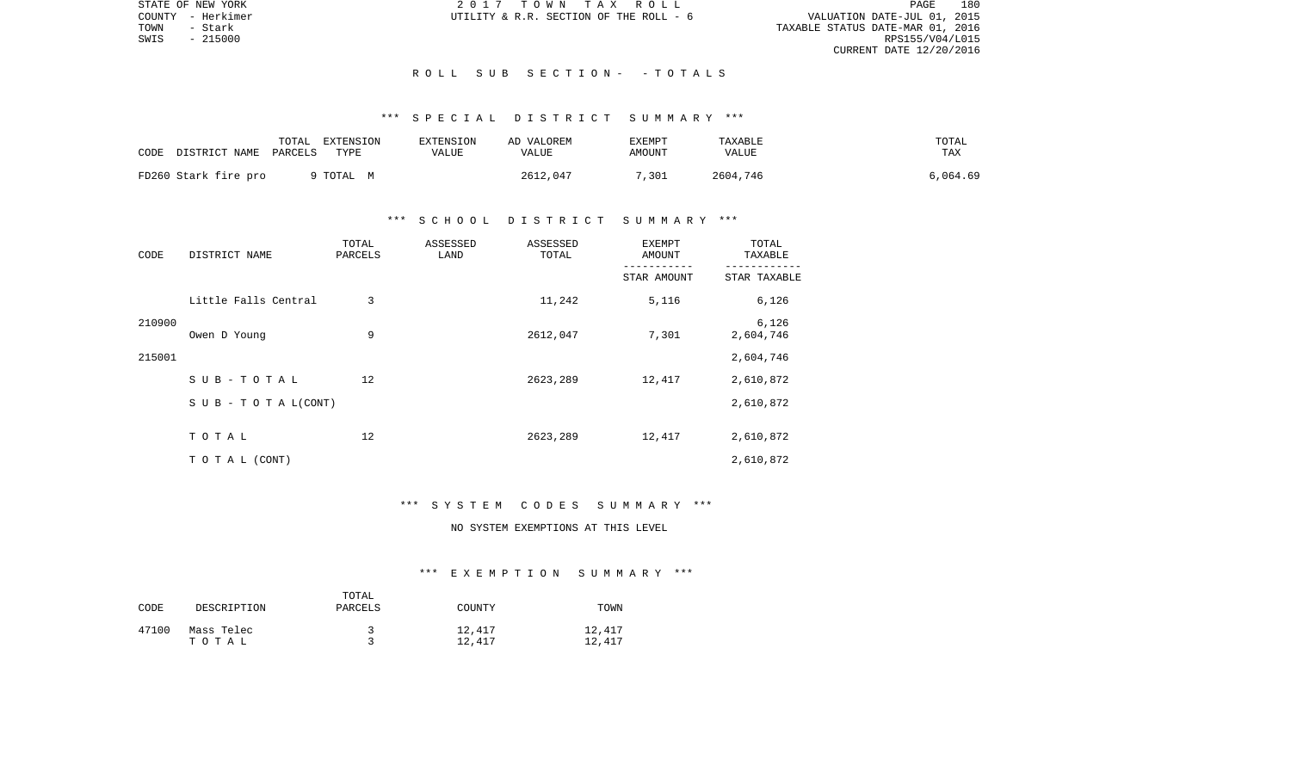STATE OF NEW YORK 2 0 1 7 T O W N T A X R O L L PAGE 180VALUATION DATE-JUL 01, 2015 TOWN - Stark TAXABLE STATUS DATE-MAR 01, 2016 CURRENT DATE 12/20/2016

COUNTY - Herkimer  $U$ TILITY & R.R. SECTION OF THE ROLL - 6

 $SWIS$  - 215000

#### R O L L S U B S E C T I O N - - T O T A L S

# \*\*\* S P E C I A L D I S T R I C T S U M M A R Y \*\*\*

| CODE                 | TOTAL                 | EXTENSION | EXTENSION | AD VALOREM | EXEMPT | TAXABLE  | TOTAL    |
|----------------------|-----------------------|-----------|-----------|------------|--------|----------|----------|
|                      | DISTRICT NAME PARCELS | TYPE      | VALUE     | VALUE      | AMOUNT | VALUE    | TAX      |
| FD260 Stark fire pro |                       | 9 TOTAL M |           | 2612,047   | 7,301  | 2604,746 | 6,064.69 |

### \*\*\* S C H O O L D I S T R I C T S U M M A R Y \*\*\*

| CODE   | DISTRICT NAME                    | TOTAL<br>ASSESSED<br>PARCELS<br>LAND |  | ASSESSED<br>TOTAL | <b>EXEMPT</b><br>AMOUNT | TOTAL<br>TAXABLE   |  |
|--------|----------------------------------|--------------------------------------|--|-------------------|-------------------------|--------------------|--|
|        |                                  |                                      |  |                   | STAR AMOUNT             | STAR TAXABLE       |  |
|        | Little Falls Central             | 3                                    |  | 11,242            | 5,116                   | 6,126              |  |
| 210900 | Owen D Young                     | 9                                    |  | 2612,047          | 7,301                   | 6,126<br>2,604,746 |  |
| 215001 |                                  |                                      |  |                   |                         | 2,604,746          |  |
|        | SUB-TOTAL                        | 12                                   |  | 2623,289          | 12,417                  | 2,610,872          |  |
|        | $S \cup B - T \cup T A L (CONT)$ |                                      |  |                   |                         | 2,610,872          |  |
|        | TOTAL                            | 12                                   |  | 2623,289          | 12,417                  | 2,610,872          |  |
|        | TO TAL (CONT)                    |                                      |  |                   |                         | 2,610,872          |  |

#### \*\*\* S Y S T E M C O D E S S U M M A R Y \*\*\*

# NO SYSTEM EXEMPTIONS AT THIS LEVEL

#### \*\*\* E X E M P T I O N S U M M A R Y \*\*\*

| CODE  | DESCRIPTION         | TOTAL<br>PARCELS | COUNTY           | TOWN             |
|-------|---------------------|------------------|------------------|------------------|
| 47100 | Mass Telec<br>тотаь |                  | 12,417<br>12,417 | 12,417<br>12,417 |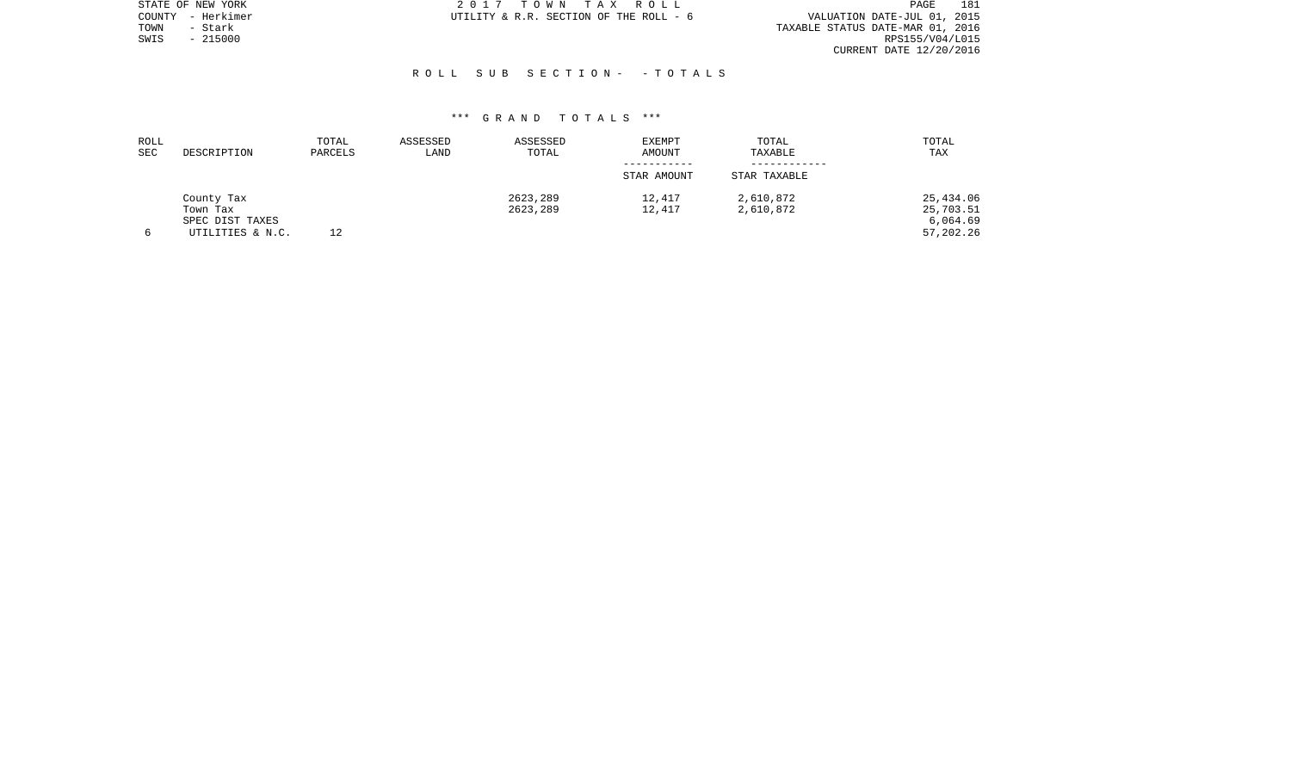|      | STATE OF NEW YORK | 2017 TOWN TAX ROLL                     | PAGE                             | 181 |
|------|-------------------|----------------------------------------|----------------------------------|-----|
|      | COUNTY - Herkimer | UTILITY & R.R. SECTION OF THE ROLL - 6 | VALUATION DATE-JUL 01, 2015      |     |
| TOWN | - Stark           |                                        | TAXABLE STATUS DATE-MAR 01, 2016 |     |
| SWIS | - 215000          |                                        | RPS155/V04/L015                  |     |
|      |                   |                                        | CURRENT DATE 12/20/2016          |     |
|      |                   |                                        |                                  |     |

#### R O L L S U B S E C T I O N - - T O T A L S

| ROLL       |                  | TOTAL   | ASSESSED | ASSESSED | EXEMPT      | TOTAL        | TOTAL       |
|------------|------------------|---------|----------|----------|-------------|--------------|-------------|
| <b>SEC</b> | DESCRIPTION      | PARCELS | LAND     | TOTAL    | AMOUNT      | TAXABLE      | TAX         |
|            |                  |         |          |          | STAR AMOUNT | STAR TAXABLE |             |
|            | County Tax       |         |          | 2623,289 | 12,417      | 2,610,872    | 25,434.06   |
|            | Town Tax         |         |          | 2623,289 | 12,417      | 2,610,872    | 25,703.51   |
|            | SPEC DIST TAXES  |         |          |          |             |              | 6,064.69    |
| 6          | UTILITIES & N.C. | 12      |          |          |             |              | 57, 202. 26 |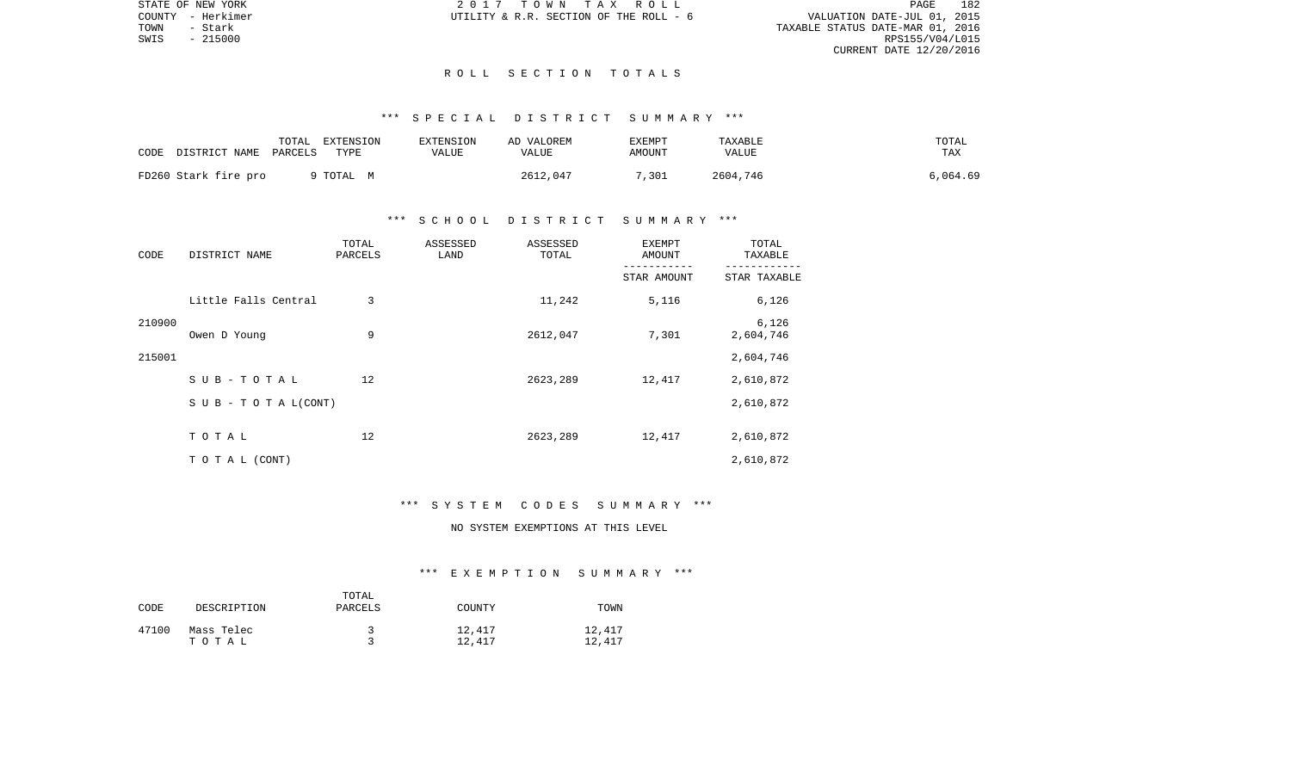STATE OF NEW YORK 2 0 1 7 T O W N T A X R O L L PAGE 182VALUATION DATE-JUL 01, 2015 TOWN - Stark TAXABLE STATUS DATE-MAR 01, 2016 CURRENT DATE 12/20/2016

COUNTY - Herkimer  $UTILLITY \& R.R.$  SECTION OF THE ROLL - 6

 $SWIS$  - 215000

#### R O L L S E C T I O N T O T A L S

# \*\*\* S P E C I A L D I S T R I C T S U M M A R Y \*\*\*

| CODE                 | DISTRICT NAME | TOTAL<br>PARCELS<br>TYPE | EXTENSION | <b>EXTENSION</b><br>VALUE | AD VALOREM<br>VALUE | EXEMPT<br>AMOUNT | TAXABLE<br><b>VALUE</b> | TOTAL<br>TAX |
|----------------------|---------------|--------------------------|-----------|---------------------------|---------------------|------------------|-------------------------|--------------|
| FD260 Stark fire pro |               | 9 TOTAL M                |           |                           | 2612,047            | 7,301            | 2604,746                | 6,064.69     |

### \*\*\* S C H O O L D I S T R I C T S U M M A R Y \*\*\*

| CODE   | DISTRICT NAME                    | TOTAL<br>ASSESSED<br>PARCELS<br>LAND |  | ASSESSED<br>TOTAL | <b>EXEMPT</b><br>AMOUNT | TOTAL<br>TAXABLE   |  |
|--------|----------------------------------|--------------------------------------|--|-------------------|-------------------------|--------------------|--|
|        |                                  |                                      |  |                   | STAR AMOUNT             | STAR TAXABLE       |  |
|        | Little Falls Central             | 3                                    |  | 11,242            | 5,116                   | 6,126              |  |
| 210900 | Owen D Young                     | 9                                    |  | 2612,047          | 7,301                   | 6,126<br>2,604,746 |  |
| 215001 |                                  |                                      |  |                   |                         | 2,604,746          |  |
|        | SUB-TOTAL                        | 12                                   |  | 2623,289          | 12,417                  | 2,610,872          |  |
|        | $S \cup B - T \cup T A L (CONT)$ |                                      |  |                   |                         | 2,610,872          |  |
|        | TOTAL                            | 12                                   |  | 2623,289          | 12,417                  | 2,610,872          |  |
|        | TO TAL (CONT)                    |                                      |  |                   |                         | 2,610,872          |  |

#### \*\*\* S Y S T E M C O D E S S U M M A R Y \*\*\*

# NO SYSTEM EXEMPTIONS AT THIS LEVEL

#### \*\*\* E X E M P T I O N S U M M A R Y \*\*\*

| CODE  | DESCRIPTION         | TOTAL<br>PARCELS | COUNTY           | TOWN             |
|-------|---------------------|------------------|------------------|------------------|
| 47100 | Mass Telec<br>тотаь |                  | 12,417<br>12,417 | 12,417<br>12,417 |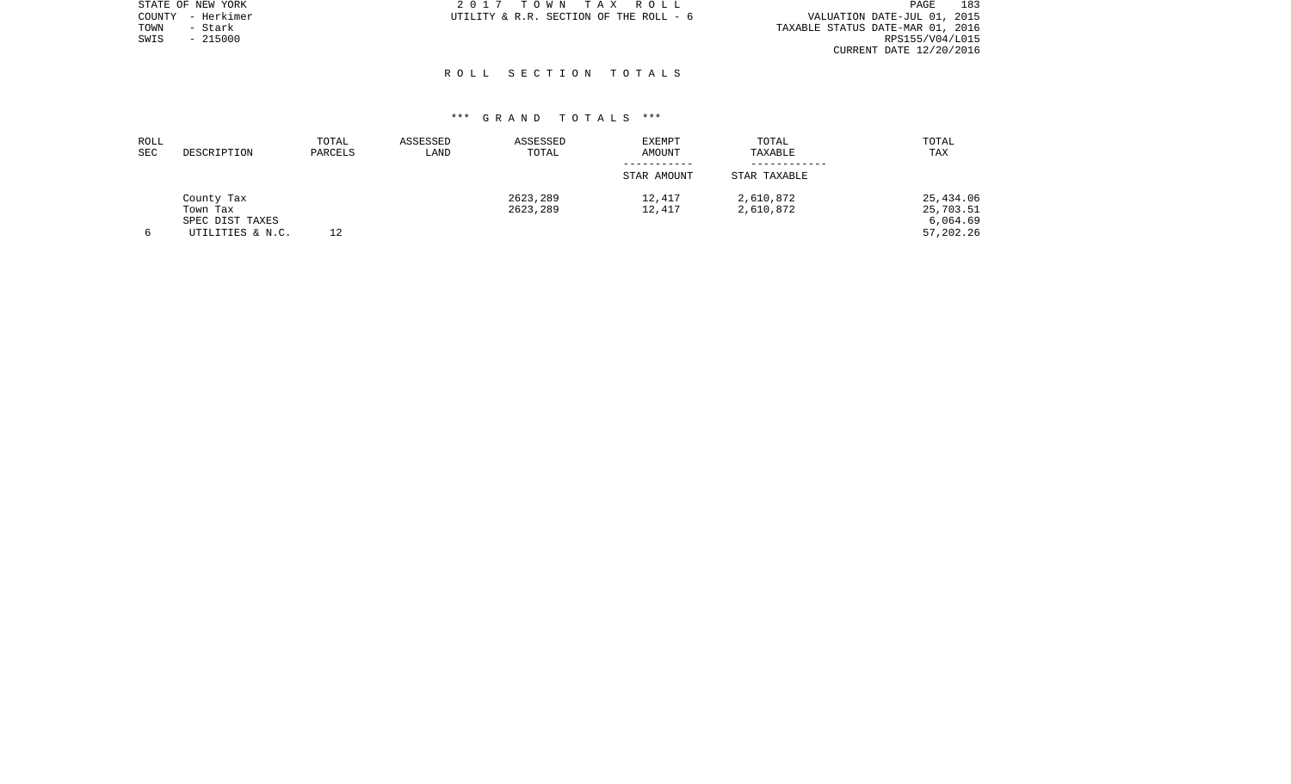|      | STATE OF NEW YORK | 2017 TOWN TAX ROLL                     | 183<br>PAGE                      |
|------|-------------------|----------------------------------------|----------------------------------|
|      | COUNTY - Herkimer | UTILITY & R.R. SECTION OF THE ROLL - 6 | VALUATION DATE-JUL 01, 2015      |
| TOWN | - Stark           |                                        | TAXABLE STATUS DATE-MAR 01, 2016 |
| SWIS | $-215000$         |                                        | RPS155/V04/L015                  |
|      |                   |                                        | CURRENT DATE 12/20/2016          |
|      |                   |                                        |                                  |

# \*\*\* G R A N D T O T A L S \*\*\*

R O L L S E C T I O N T O T A L S

| ROLL<br>SEC | DESCRIPTION                                                   | TOTAL<br>PARCELS | ASSESSED<br>LAND | ASSESSED<br>TOTAL    | <b>EXEMPT</b><br>AMOUNT | TOTAL<br>TAXABLE       | TOTAL<br>TAX                                    |
|-------------|---------------------------------------------------------------|------------------|------------------|----------------------|-------------------------|------------------------|-------------------------------------------------|
|             |                                                               |                  |                  |                      | STAR AMOUNT             | STAR TAXABLE           |                                                 |
|             | County Tax<br>Town Tax<br>SPEC DIST TAXES<br>UTILITIES & N.C. | 12               |                  | 2623,289<br>2623,289 | 12,417<br>12,417        | 2,610,872<br>2,610,872 | 25,434.06<br>25,703.51<br>6.064.69<br>57,202.26 |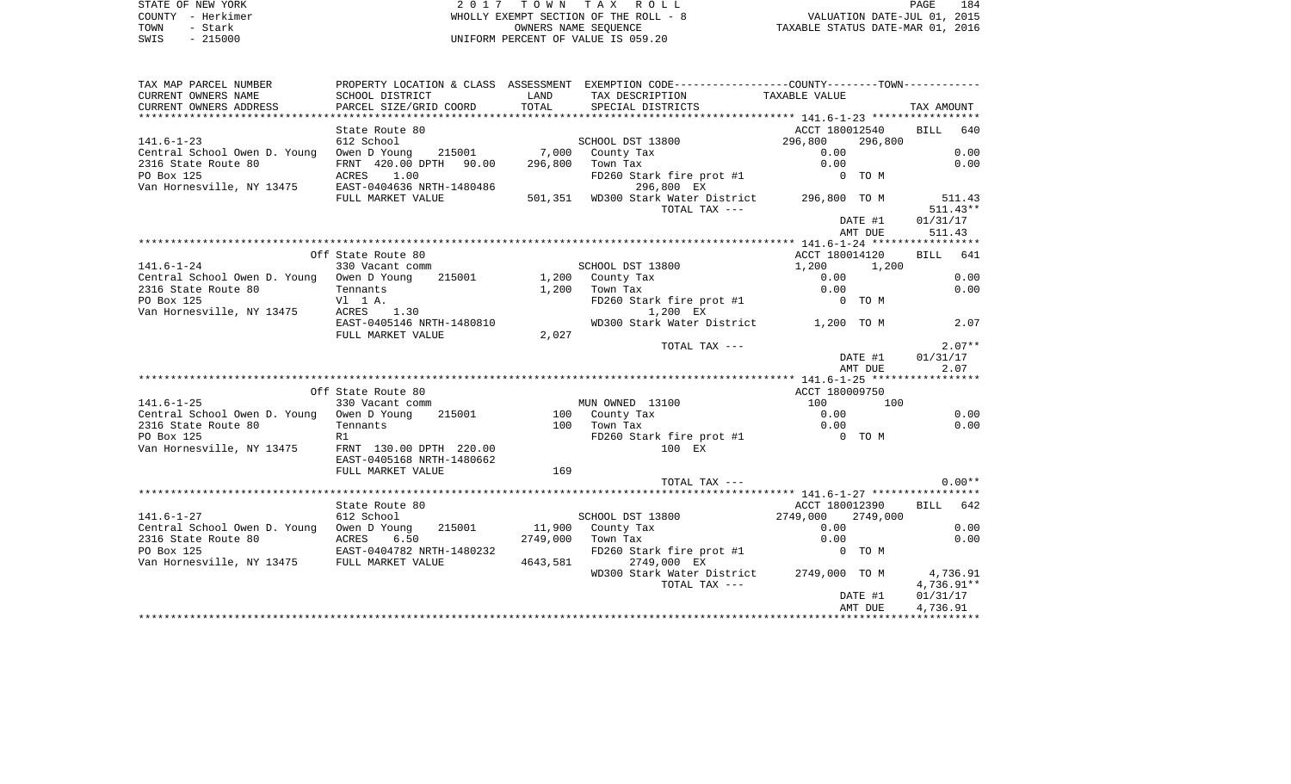STATE OF NEW YORK **EXECUTE:** A G ALL PAGE 1840 M ON TAX ROLL COUNTY - Herkimer WHOLLY EXEMPT SECTION OF THE ROLL - 8 VALUATION DATE-JUL 01, 2015 TOWN - Stark OWNERS NAME SEQUENCE TAXABLE STATUS DATE-MAR 01, 2016 SWIS - 215000 UNIFORM PERCENT OF VALUE IS 059.20

| TAX MAP PARCEL NUMBER                                                                                                                                                                                                                       |                           |          | PROPERTY LOCATION & CLASS ASSESSMENT EXEMPTION CODE---------------COUNTY-------TOWN---------- |                    |                      |
|---------------------------------------------------------------------------------------------------------------------------------------------------------------------------------------------------------------------------------------------|---------------------------|----------|-----------------------------------------------------------------------------------------------|--------------------|----------------------|
| CURRENT OWNERS NAME                                                                                                                                                                                                                         | SCHOOL DISTRICT           | LAND     | TAX DESCRIPTION                                                                               | TAXABLE VALUE      |                      |
| CURRENT OWNERS ADDRESS                                                                                                                                                                                                                      | PARCEL SIZE/GRID COORD    | TOTAL    | SPECIAL DISTRICTS                                                                             |                    | TAX AMOUNT           |
|                                                                                                                                                                                                                                             |                           |          |                                                                                               |                    |                      |
|                                                                                                                                                                                                                                             | State Route 80            |          |                                                                                               | ACCT 180012540     | BILL 640             |
| $141.6 - 1 - 23$                                                                                                                                                                                                                            | 612 School                |          | SCHOOL DST 13800                                                                              | 296,800<br>296,800 |                      |
| Central School Owen D. Young Owen D Young 215001 7,000 County Tax                                                                                                                                                                           |                           |          |                                                                                               | 0.00               | 0.00                 |
| 2316 State Route 80                                                                                                                                                                                                                         | FRNT 420.00 DPTH 90.00    |          | 296,800 Town Tax                                                                              | 0.00               | 0.00                 |
| PO Box 125<br>Van Hornesville, NY 13475<br>EAST-0404636 NRTH-1480486                                                                                                                                                                        |                           |          | FD260 Stark fire prot #1<br>$1296,800$ EX                                                     | 0 TO M             |                      |
|                                                                                                                                                                                                                                             | FULL MARKET VALUE         |          | 501,351 WD300 Stark Water District 296,800 TO M<br>TOTAL TAX ---                              |                    | 511.43<br>$511.43**$ |
|                                                                                                                                                                                                                                             |                           |          |                                                                                               | DATE #1            | 01/31/17             |
|                                                                                                                                                                                                                                             |                           |          |                                                                                               | AMT DUE            | 511.43               |
|                                                                                                                                                                                                                                             |                           |          |                                                                                               |                    |                      |
|                                                                                                                                                                                                                                             | Off State Route 80        |          |                                                                                               | ACCT 180014120     | BILL 641             |
| $141.6 - 1 - 24$                                                                                                                                                                                                                            | 330 Vacant comm           |          | SCHOOL DST 13800                                                                              | 1,200 1,200        |                      |
| Central School Owen D. Young Owen D Young                                                                                                                                                                                                   |                           |          | 215001 1,200 County Tax                                                                       | 0.00               | 0.00                 |
| 2316 State Route 80                                                                                                                                                                                                                         | Tennants                  |          | $1,200$ Town Tax                                                                              | 0.00               | 0.00                 |
| PO Box 125                                                                                                                                                                                                                                  | V1 1 A.                   |          | FD260 Stark fire prot #1                                                                      | 0 TO M             |                      |
| Van Hornesville, NY 13475                                                                                                                                                                                                                   | ACRES 1.30                |          | 1,200 EX                                                                                      |                    |                      |
|                                                                                                                                                                                                                                             | EAST-0405146 NRTH-1480810 |          | WD300 Stark Water District 1,200 TO M                                                         |                    | 2.07                 |
|                                                                                                                                                                                                                                             | FULL MARKET VALUE         | 2,027    |                                                                                               |                    |                      |
|                                                                                                                                                                                                                                             |                           |          | TOTAL TAX ---                                                                                 |                    | $2.07**$             |
|                                                                                                                                                                                                                                             |                           |          |                                                                                               | DATE #1<br>AMT DUE | 01/31/17<br>2.07     |
|                                                                                                                                                                                                                                             |                           |          |                                                                                               |                    |                      |
|                                                                                                                                                                                                                                             | Off State Route 80        |          |                                                                                               | ACCT 180009750     |                      |
| $141.6 - 1 - 25$                                                                                                                                                                                                                            | 330 Vacant comm           |          | MUN OWNED 13100                                                                               | 100 100            |                      |
| Central School Owen D. Young Owen D Young                                                                                                                                                                                                   | 215001                    |          |                                                                                               | 0.00               | 0.00                 |
| 2316 State Route 80                                                                                                                                                                                                                         | Tennants                  |          | 100 County Tax<br>100 Town Tax                                                                | 0.00               | 0.00                 |
| PO Box 125                                                                                                                                                                                                                                  | R1                        |          | FD260 Stark fire prot #1 0 TO M                                                               |                    |                      |
| Van Hornesville, NY 13475                                                                                                                                                                                                                   | FRNT 130.00 DPTH 220.00   |          | 100 EX                                                                                        |                    |                      |
|                                                                                                                                                                                                                                             | EAST-0405168 NRTH-1480662 |          |                                                                                               |                    |                      |
|                                                                                                                                                                                                                                             | FULL MARKET VALUE         | 169      |                                                                                               |                    |                      |
|                                                                                                                                                                                                                                             |                           |          | TOTAL TAX $---$                                                                               |                    | $0.00**$             |
|                                                                                                                                                                                                                                             |                           |          |                                                                                               |                    |                      |
|                                                                                                                                                                                                                                             | State Route 80            |          |                                                                                               | ACCT 180012390     | BILL 642             |
| $141.6 - 1 - 27$                                                                                                                                                                                                                            | 612 School                |          | SCHOOL DST 13800                                                                              | 2749,000 2749,000  |                      |
| Central School Owen D. Young Owen D Young                                                                                                                                                                                                   |                           |          | 215001 11,900 County Tax                                                                      | 0.00               | 0.00                 |
|                                                                                                                                                                                                                                             |                           |          | 2749,000 Town Tax                                                                             | 0.00               | 0.00                 |
|                                                                                                                                                                                                                                             |                           |          | FD260 Stark fire prot #1                                                                      | 0 TO M             |                      |
| $\begin{tabular}{lllllllllllll} \textbf{2316 State Route 80} & \textbf{ACRES} & \textbf{6.50} \\ \textbf{PO Box 125} & \textbf{EAST-0404782 NRTH-1480232} \\ \textbf{Van Hornesville, NY 13475} & \textbf{FULL MARKET VALUE} \end{tabular}$ |                           | 4643,581 | 2749,000 EX                                                                                   |                    |                      |
|                                                                                                                                                                                                                                             |                           |          | WD300 Stark Water District 2749,000 TO M                                                      |                    | 4,736.91             |
|                                                                                                                                                                                                                                             |                           |          | TOTAL TAX ---                                                                                 |                    | 4,736.91**           |
|                                                                                                                                                                                                                                             |                           |          |                                                                                               | DATE #1            | 01/31/17             |
|                                                                                                                                                                                                                                             |                           |          |                                                                                               | AMT DUE            | 4,736.91             |
|                                                                                                                                                                                                                                             |                           |          |                                                                                               |                    |                      |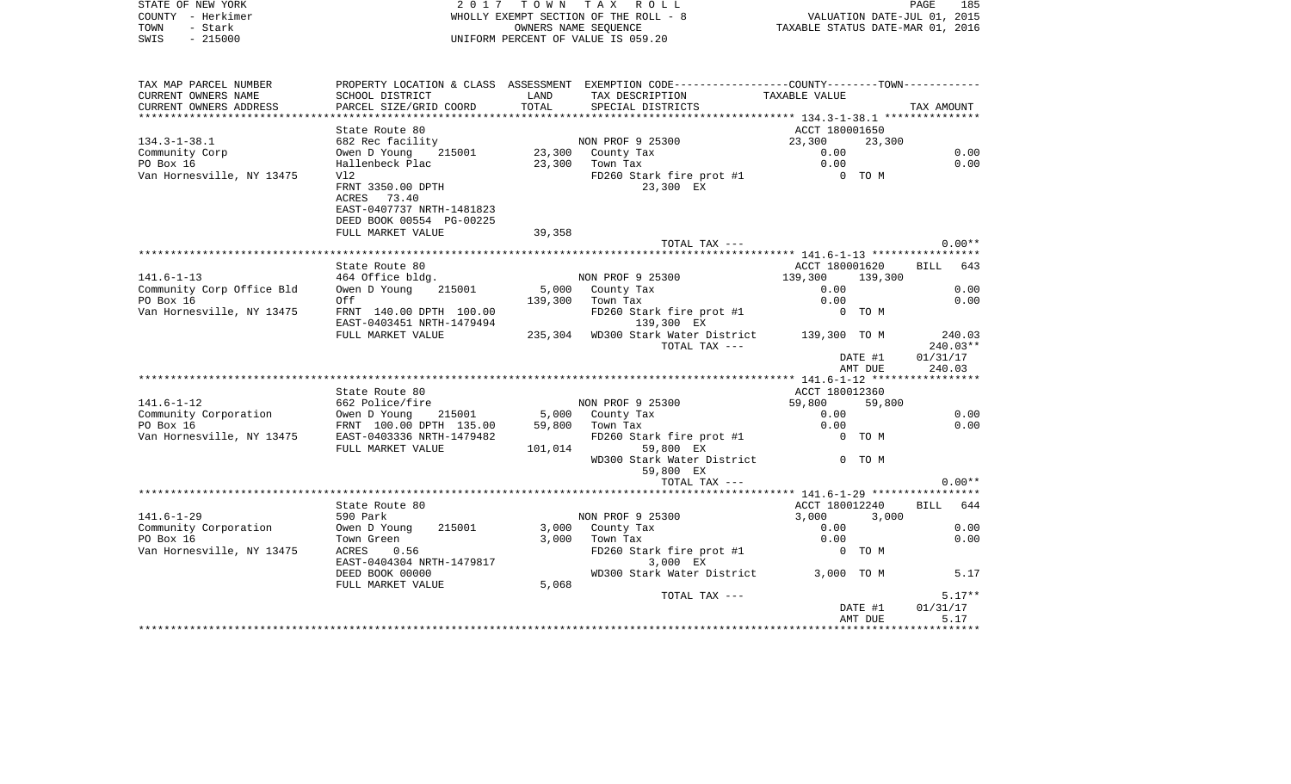| STATE OF NEW YORK<br>COUNTY - Herkimer<br>TOWN - Stark |                                                                                                                                                                                                                                                         |        | $\begin{tabular}{ccccc} 2 & 0 & 1 & 7 & T & 0 & W & N & T & A & X & R & O & L & L \\ \hline \texttt{WHOLLY EXEMPT SECTION OF THE ROLL} & - & 8 & & & \texttt{VALUATION DATE-JUL} & 01, & 2015 \\ & & & & & & \texttt{OWNERS NAME SEQUENCE} & & & \texttt{TAXABLE STATUS DATE-MAR} & 01, & 2016 \\ & & & & & & \texttt{IMIFCOM DEPORTENT OF VINTER} & TGL C C C C C C C \\ \end{tabular}$ |                 |              |            |          |
|--------------------------------------------------------|---------------------------------------------------------------------------------------------------------------------------------------------------------------------------------------------------------------------------------------------------------|--------|------------------------------------------------------------------------------------------------------------------------------------------------------------------------------------------------------------------------------------------------------------------------------------------------------------------------------------------------------------------------------------------|-----------------|--------------|------------|----------|
| SWIS - 215000                                          |                                                                                                                                                                                                                                                         |        | UNIFORM PERCENT OF VALUE IS 059.20                                                                                                                                                                                                                                                                                                                                                       |                 |              |            |          |
|                                                        |                                                                                                                                                                                                                                                         |        |                                                                                                                                                                                                                                                                                                                                                                                          |                 |              |            |          |
|                                                        |                                                                                                                                                                                                                                                         |        |                                                                                                                                                                                                                                                                                                                                                                                          |                 |              |            |          |
| CURRENT OWNERS ADDRESS                                 | PARCEL SIZE/GRID COORD TOTAL                                                                                                                                                                                                                            |        | SPECIAL DISTRICTS                                                                                                                                                                                                                                                                                                                                                                        |                 |              | TAX AMOUNT |          |
|                                                        | State Route 80                                                                                                                                                                                                                                          |        |                                                                                                                                                                                                                                                                                                                                                                                          | ACCT 180001650  |              |            |          |
| 134.3-1-38.1                                           | 682 Rec facility                                                                                                                                                                                                                                        |        | NON PROF 9 25300                                                                                                                                                                                                                                                                                                                                                                         | 23,300 23,300   |              |            |          |
|                                                        |                                                                                                                                                                                                                                                         |        |                                                                                                                                                                                                                                                                                                                                                                                          | 0.00            |              |            | 0.00     |
|                                                        |                                                                                                                                                                                                                                                         |        |                                                                                                                                                                                                                                                                                                                                                                                          |                 |              |            | 0.00     |
|                                                        | Community Corp<br>Community Corp (1992) Arec Lacifley<br>23,300 County Tax<br>23,300 Town Tax<br>23,300 Town Tax<br>23,300 Town Tax<br>FD260 Stark fire prot #1<br>FRNT 3350.00 DPTH<br>ACRES 73.40                                                     |        | Town Tax 0.00<br>FD260 Stark fire prot #1 0 0 TO M<br>23,300 EX                                                                                                                                                                                                                                                                                                                          |                 |              |            |          |
|                                                        | EAST-0407737 NRTH-1481823<br>DEED BOOK 00554 PG-00225                                                                                                                                                                                                   |        |                                                                                                                                                                                                                                                                                                                                                                                          |                 |              |            |          |
|                                                        | FULL MARKET VALUE                                                                                                                                                                                                                                       | 39,358 |                                                                                                                                                                                                                                                                                                                                                                                          |                 |              |            |          |
|                                                        |                                                                                                                                                                                                                                                         |        | TOTAL TAX ---                                                                                                                                                                                                                                                                                                                                                                            |                 |              |            | $0.00**$ |
|                                                        |                                                                                                                                                                                                                                                         |        |                                                                                                                                                                                                                                                                                                                                                                                          |                 |              |            |          |
|                                                        |                                                                                                                                                                                                                                                         |        |                                                                                                                                                                                                                                                                                                                                                                                          |                 |              |            |          |
|                                                        |                                                                                                                                                                                                                                                         |        |                                                                                                                                                                                                                                                                                                                                                                                          |                 |              |            |          |
|                                                        |                                                                                                                                                                                                                                                         |        |                                                                                                                                                                                                                                                                                                                                                                                          |                 |              |            |          |
|                                                        |                                                                                                                                                                                                                                                         |        |                                                                                                                                                                                                                                                                                                                                                                                          |                 |              |            |          |
|                                                        | State Route 80<br>464 Office bldg.<br>Tommunity Corp Office Bld Owen D Young 215001<br>PO Box 16<br>200 Box 16<br>200 Box 16<br>200 Box 16<br>200 Box 16<br>20.00 Down Tax<br>219,300 Tom D View Tax<br>219,300 Tom D Conty Tax<br>219,300 Tom D Con    |        |                                                                                                                                                                                                                                                                                                                                                                                          |                 |              |            |          |
|                                                        |                                                                                                                                                                                                                                                         |        |                                                                                                                                                                                                                                                                                                                                                                                          |                 |              |            |          |
|                                                        |                                                                                                                                                                                                                                                         |        |                                                                                                                                                                                                                                                                                                                                                                                          |                 |              |            |          |
|                                                        |                                                                                                                                                                                                                                                         |        |                                                                                                                                                                                                                                                                                                                                                                                          |                 | DATE #1      | 01/31/17   |          |
|                                                        |                                                                                                                                                                                                                                                         |        |                                                                                                                                                                                                                                                                                                                                                                                          |                 | AMT DUE      |            | 240.03   |
|                                                        |                                                                                                                                                                                                                                                         |        |                                                                                                                                                                                                                                                                                                                                                                                          |                 |              |            |          |
|                                                        | State Route 80                                                                                                                                                                                                                                          |        |                                                                                                                                                                                                                                                                                                                                                                                          | ACCT 180012360  |              |            |          |
|                                                        |                                                                                                                                                                                                                                                         |        |                                                                                                                                                                                                                                                                                                                                                                                          | 59,800 59,800   |              |            |          |
|                                                        |                                                                                                                                                                                                                                                         |        |                                                                                                                                                                                                                                                                                                                                                                                          |                 | 0.00         |            | 0.00     |
|                                                        |                                                                                                                                                                                                                                                         |        |                                                                                                                                                                                                                                                                                                                                                                                          | $0.00$<br>0 TOM |              |            | 0.00     |
|                                                        | State Route 80<br>141.6-1-12 662 Police/fire<br>Community Corporation 0wen D Young 215001 5,000 County Tax<br>PO Box 16 FRNT 100.00 DPTH 135.00 59,800 Town Tax<br>Van Hornesville, NY 13475 EAST-0403336 NRTH-1479482 FD260 Stark fir                  |        | FD260 Stark fire prot #1                                                                                                                                                                                                                                                                                                                                                                 |                 |              |            |          |
|                                                        |                                                                                                                                                                                                                                                         |        |                                                                                                                                                                                                                                                                                                                                                                                          |                 |              |            |          |
|                                                        |                                                                                                                                                                                                                                                         |        | WD300 Stark Water District 0 TO M<br>59,800 EX                                                                                                                                                                                                                                                                                                                                           |                 |              |            |          |
|                                                        |                                                                                                                                                                                                                                                         |        | TOTAL TAX ---                                                                                                                                                                                                                                                                                                                                                                            |                 |              |            | $0.00**$ |
|                                                        | State Route 80                                                                                                                                                                                                                                          |        |                                                                                                                                                                                                                                                                                                                                                                                          | ACCT 180012240  |              | BILL 644   |          |
|                                                        |                                                                                                                                                                                                                                                         |        |                                                                                                                                                                                                                                                                                                                                                                                          | 3,000 3,000     |              |            |          |
|                                                        |                                                                                                                                                                                                                                                         |        |                                                                                                                                                                                                                                                                                                                                                                                          |                 |              |            | 0.00     |
|                                                        |                                                                                                                                                                                                                                                         |        |                                                                                                                                                                                                                                                                                                                                                                                          |                 |              |            | 0.00     |
|                                                        |                                                                                                                                                                                                                                                         |        |                                                                                                                                                                                                                                                                                                                                                                                          |                 |              |            |          |
|                                                        |                                                                                                                                                                                                                                                         |        |                                                                                                                                                                                                                                                                                                                                                                                          |                 |              |            |          |
|                                                        | 141.6-1-29<br>Community Corporation (13475 MON PROF 9 25300 3,000 3,000 3,000 3,000 3,000 3,000 3,000 3,000 3,000<br>PO Box 16 Town Green (1479817 590 PARTH-1479817 EX 0.00 EX EDED BOOK 00000 WHTH-1479817 MON PROF 9 25300 3,00<br>FULL MARKET VALUE | 5,068  | WD300 Stark Water District 3,000 TO M                                                                                                                                                                                                                                                                                                                                                    |                 |              |            | 5.17     |
|                                                        |                                                                                                                                                                                                                                                         |        | TOTAL TAX ---                                                                                                                                                                                                                                                                                                                                                                            |                 |              |            | $5.17**$ |
|                                                        |                                                                                                                                                                                                                                                         |        |                                                                                                                                                                                                                                                                                                                                                                                          |                 | DATE #1      | 01/31/17   |          |
|                                                        |                                                                                                                                                                                                                                                         |        |                                                                                                                                                                                                                                                                                                                                                                                          |                 | AMT DUE 5.17 |            |          |

AMT DUE 5.17 \*\*\*\*\*\*\*\*\*\*\*\*\*\*\*\*\*\*\*\*\*\*\*\*\*\*\*\*\*\*\*\*\*\*\*\*\*\*\*\*\*\*\*\*\*\*\*\*\*\*\*\*\*\*\*\*\*\*\*\*\*\*\*\*\*\*\*\*\*\*\*\*\*\*\*\*\*\*\*\*\*\*\*\*\*\*\*\*\*\*\*\*\*\*\*\*\*\*\*\*\*\*\*\*\*\*\*\*\*\*\*\*\*\*\*\*\*\*\*\*\*\*\*\*\*\*\*\*\*\*\*\*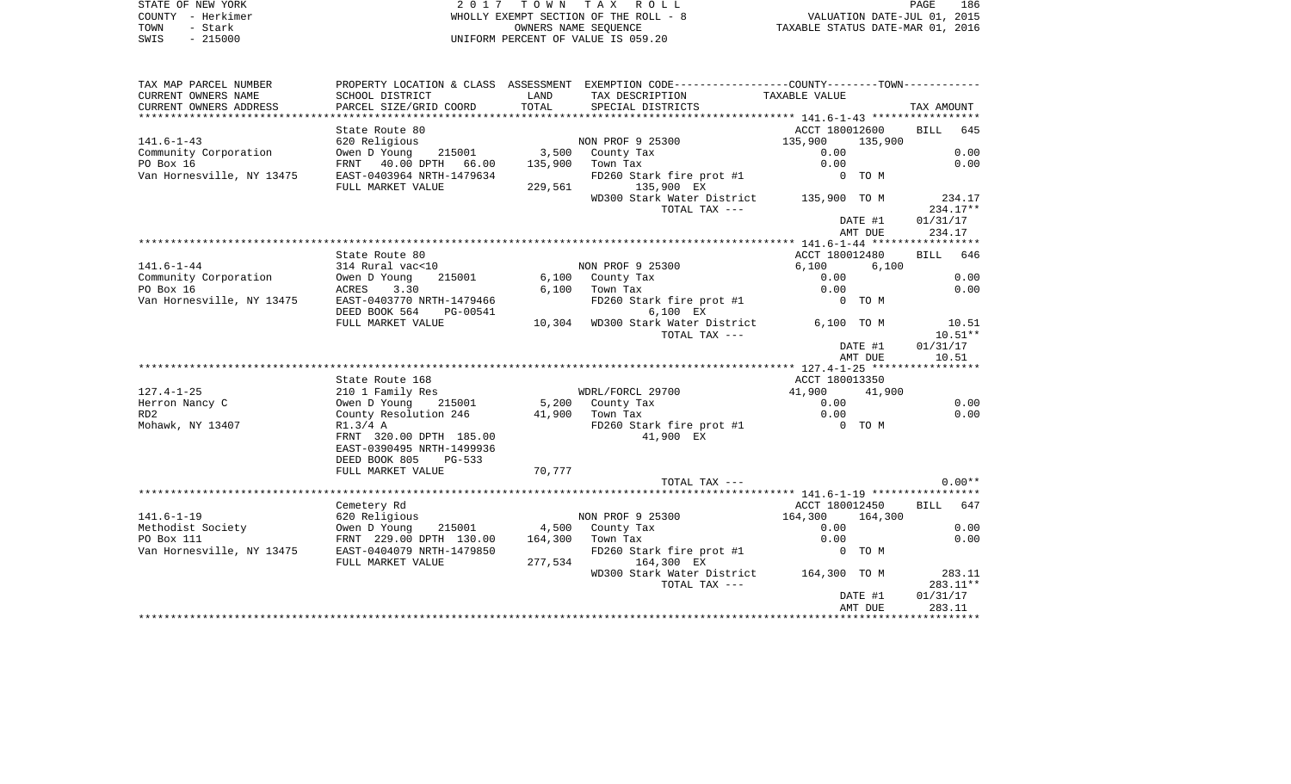STATE OF NEW YORK 2 0 1 7 T O W N T A X R O L L PAGE 186COUNTY - Herkimer WHOLLY EXEMPT SECTION OF THE ROLL - 8 VALUATION DATE-JUL 01, 2015 TOWN - Stark OWNERS NAME SEQUENCE TAXABLE STATUS DATE-MAR 01, 2016 SWIS - 215000 UNIFORM PERCENT OF VALUE IS 059.20

| TAX MAP PARCEL NUMBER                               |                                          |        | PROPERTY LOCATION & CLASS ASSESSMENT EXEMPTION CODE---------------COUNTY-------TOWN---------- |                  |                    |
|-----------------------------------------------------|------------------------------------------|--------|-----------------------------------------------------------------------------------------------|------------------|--------------------|
| CURRENT OWNERS NAME                                 | SCHOOL DISTRICT                          | LAND   | TAX DESCRIPTION                                                                               | TAXABLE VALUE    |                    |
| CURRENT OWNERS ADDRESS                              | PARCEL SIZE/GRID COORD                   | TOTAL  | SPECIAL DISTRICTS                                                                             |                  | TAX AMOUNT         |
|                                                     |                                          |        |                                                                                               |                  |                    |
|                                                     | State Route 80                           |        |                                                                                               | ACCT 180012600   | <b>BILL</b><br>645 |
| $141.6 - 1 - 43$                                    | 620 Religious                            |        | NON PROF 9 25300 135,900                                                                      | 135,900          |                    |
| Community Corporation                               | Owen D Young 215001 3,500 County Tax     |        |                                                                                               | 0.00             | 0.00               |
| PO Box 16                                           | FRNT 40.00 DPTH 66.00                    |        | 135,900 Town Tax                                                                              | 0.00             | 0.00               |
| Van Hornesville, NY 13475                           | EAST-0403964 NRTH-1479634                |        | FD260 Stark fire prot #1 0 TO M                                                               |                  |                    |
|                                                     | FULL MARKET VALUE                        |        | 229,561 135,900 EX                                                                            |                  |                    |
|                                                     |                                          |        | WD300 Stark Water District 135,900 TO M                                                       |                  | 234.17             |
|                                                     |                                          |        | TOTAL TAX ---                                                                                 |                  | 234.17**           |
|                                                     |                                          |        |                                                                                               | DATE #1          | 01/31/17           |
|                                                     |                                          |        |                                                                                               | AMT DUE          | 234.17             |
|                                                     |                                          |        |                                                                                               |                  |                    |
|                                                     | State Route 80                           |        |                                                                                               | ACCT 180012480   | BILL 646           |
| $141.6 - 1 - 44$                                    | 314 Rural vac<10                         |        | NON PROF 9 25300                                                                              | 6,100<br>6,100   |                    |
| Community Corporation                               | Owen D Young                             |        | 215001 6,100 County Tax                                                                       | 0.00             | 0.00               |
| PO Box 16                                           | ACRES<br>3.30                            |        | $6,100$ Town Tax                                                                              | 0.00             | 0.00               |
| Van Hornesville, NY 13475                           | EAST-0403770 NRTH-1479466                |        | FD260 Stark fire prot #1                                                                      | $0$ TOM          |                    |
|                                                     | DEED BOOK 564<br>PG-00541                |        | 6,100 EX                                                                                      |                  |                    |
|                                                     | FULL MARKET VALUE                        |        | 10,304 WD300 Stark Water District                                                             | 6,100 TO M       | 10.51              |
|                                                     |                                          |        | TOTAL TAX ---                                                                                 |                  | $10.51**$          |
|                                                     |                                          |        |                                                                                               | DATE #1          | 01/31/17           |
|                                                     |                                          |        |                                                                                               | AMT DUE          | 10.51              |
|                                                     |                                          |        |                                                                                               |                  |                    |
|                                                     | State Route 168                          |        |                                                                                               | ACCT 180013350   |                    |
| $127.4 - 1 - 25$                                    | 210 1 Family Res                         |        | WDRL/FORCL 29700                                                                              | 41,900<br>41,900 |                    |
| Herron Nancy C                                      | 215001<br>Owen D Young                   |        | 5,200 County Tax                                                                              | 0.00             | 0.00               |
| RD <sub>2</sub>                                     | County Resolution 246                    |        | 41,900 Town Tax                                                                               | 0.00             | 0.00               |
| Mohawk, NY 13407                                    | R1.3/4 A                                 |        | FD260 Stark fire prot #1 0 TO M                                                               |                  |                    |
|                                                     | FRNT 320.00 DPTH 185.00                  |        | 41,900 EX                                                                                     |                  |                    |
|                                                     | EAST-0390495 NRTH-1499936                |        |                                                                                               |                  |                    |
|                                                     | DEED BOOK 805<br>PG-533                  |        |                                                                                               |                  |                    |
|                                                     | FULL MARKET VALUE                        | 70,777 |                                                                                               |                  |                    |
|                                                     |                                          |        | TOTAL TAX ---                                                                                 |                  | $0.00**$           |
|                                                     |                                          |        |                                                                                               |                  |                    |
|                                                     | Cemetery Rd                              |        |                                                                                               | ACCT 180012450   | BILL 647           |
| $141.6 - 1 - 19$                                    | 620 Religious                            |        | NON PROF 9 25300                                                                              | 164,300 164,300  |                    |
| Methodist Society <b>Owen</b> D Young               |                                          |        | 215001 4,500 County Tax                                                                       | 0.00             | 0.00               |
| PO Box 111                                          | FRNT 229.00 DPTH 130.00 164,300 Town Tax |        |                                                                                               | 0.00             | 0.00               |
| Van Hornesville, NY 13475 EAST-0404079 NRTH-1479850 |                                          |        | FD260 Stark fire prot #1                                                                      | O TOM            |                    |
|                                                     | FULL MARKET VALUE                        |        | 277,534 164,300 EX                                                                            |                  |                    |
|                                                     |                                          |        | WD300 Stark Water District 164,300 TO M                                                       |                  | 283.11             |
|                                                     |                                          |        | TOTAL TAX ---                                                                                 |                  | 283.11**           |
|                                                     |                                          |        |                                                                                               | DATE #1          | 01/31/17           |
|                                                     |                                          |        |                                                                                               | AMT DUE          | 283.11             |
|                                                     |                                          |        |                                                                                               |                  |                    |
|                                                     |                                          |        |                                                                                               |                  |                    |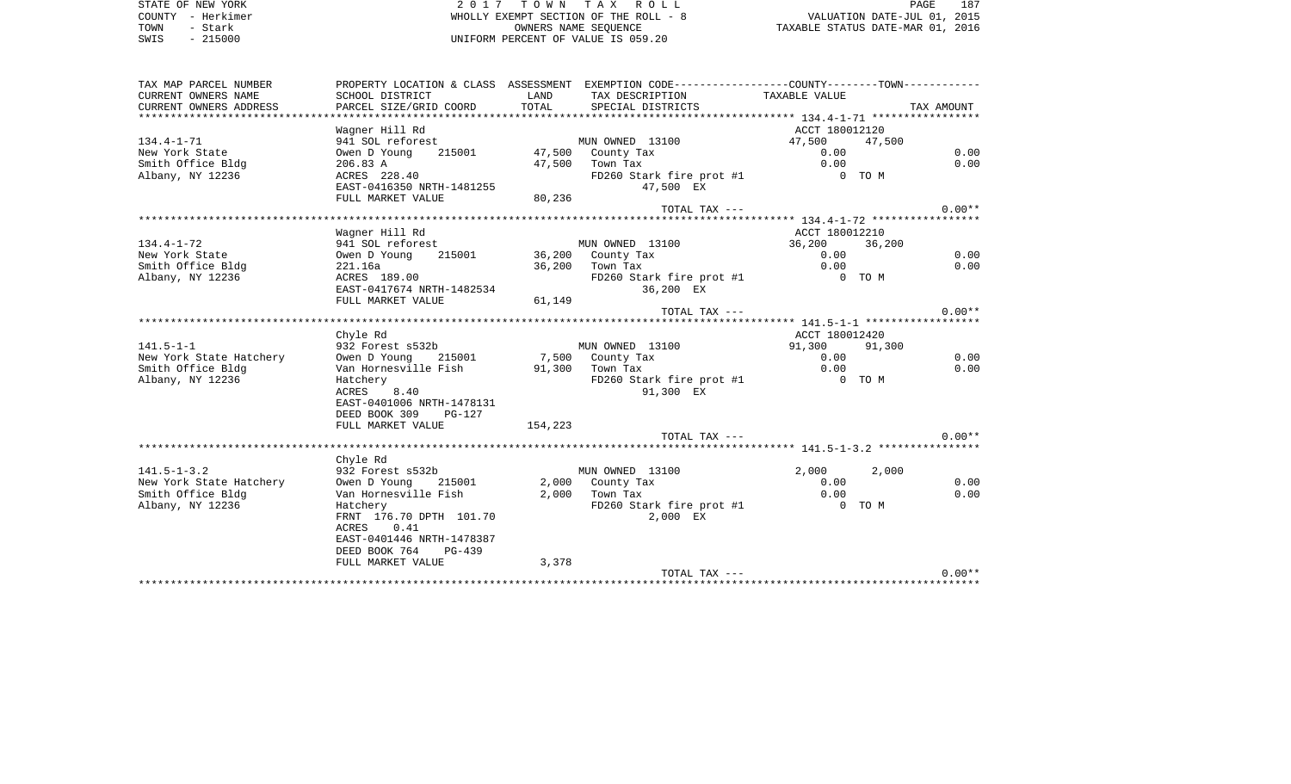STATE OF NEW YORK 2 0 1 7 T O W N T A X R O L L PAGE 187COUNTY - Herkimer WHOLLY EXEMPT SECTION OF THE ROLL - 8 VALUATION DATE-JUL 01, 2015 TOWN - Stark OWNERS NAME SEQUENCE TAXABLE STATUS DATE-MAR 01, 2016 SWIS - 215000 UNIFORM PERCENT OF VALUE IS 059.20

TAX MAP PARCEL NUMBER PROPERTY LOCATION & CLASS ASSESSMENT EXEMPTION CODE------------------COUNTY--------TOWN------------ CURRENT OWNERS NAME SCHOOL DISTRICT LAND TAX DESCRIPTION TAXABLE VALUECURRENT OWNERS ADDRESS PARCEL SIZE/GRID COORD TOTAL SPECIAL DISTRICTS TAX AMOUNT \*\*\*\*\*\*\*\*\*\*\*\*\*\*\*\*\*\*\*\*\*\*\*\*\*\*\*\*\*\*\*\*\*\*\*\*\*\*\*\*\*\*\*\*\*\*\*\*\*\*\*\*\*\*\*\*\*\*\*\*\*\*\*\*\*\*\*\*\*\*\*\*\*\*\*\*\*\*\*\*\*\*\*\*\*\*\*\*\*\*\*\*\*\*\*\*\*\*\*\*\*\*\* 134.4-1-71 \*\*\*\*\*\*\*\*\*\*\*\*\*\*\*\*\*Wagner Hill Rd **ACCT** 180012120 134.4-1-71 941 SOL reforest MUN OWNED 13100 47,500 47,500 New York State Owen D Young 215001 47,500 County Tax 0.00 0.00 Smith Office Bldg 206.83 A 47,500 Town Tax 0.00 0.00 Albany, NY 12236 ACRES 228.40 FD260 Stark fire prot #1 0 TO M EAST-0416350 NRTH-1481255 47,500 EX FULL MARKET VALUE 80,236 TOTAL TAX  $---$  0.00\*\* \*\*\*\*\*\*\*\*\*\*\*\*\*\*\*\*\*\*\*\*\*\*\*\*\*\*\*\*\*\*\*\*\*\*\*\*\*\*\*\*\*\*\*\*\*\*\*\*\*\*\*\*\*\*\*\*\*\*\*\*\*\*\*\*\*\*\*\*\*\*\*\*\*\*\*\*\*\*\*\*\*\*\*\*\*\*\*\*\*\*\*\*\*\*\*\*\*\*\*\*\*\*\* 134.4-1-72 \*\*\*\*\*\*\*\*\*\*\*\*\*\*\*\*\* Wagner Hill Rd ACCT 180012210 134.4-1-72 941 SOL reforest MUN OWNED 13100 36,200 36,200 New York State Owen D Young 215001 36,200 County Tax 0.00 0.00 Smith Office Bldg 221.16a 36,200 Town Tax 0.00 0.00 Albany, NY 12236 ACRES 189.00 FD260 Stark fire prot #1 0 TO M EAST-0417674 NRTH-1482534 36,200 EX FULL MARKET VALUE 61,149 TOTAL TAX  $---$  0.00\*\* \*\*\*\*\*\*\*\*\*\*\*\*\*\*\*\*\*\*\*\*\*\*\*\*\*\*\*\*\*\*\*\*\*\*\*\*\*\*\*\*\*\*\*\*\*\*\*\*\*\*\*\*\*\*\*\*\*\*\*\*\*\*\*\*\*\*\*\*\*\*\*\*\*\*\*\*\*\*\*\*\*\*\*\*\*\*\*\*\*\*\*\*\*\*\*\*\*\*\*\*\*\*\* 141.5-1-1 \*\*\*\*\*\*\*\*\*\*\*\*\*\*\*\*\*\* Chyle Rd ACCT 180012420 141.5-1-1 932 Forest s532b MUN OWNED 13100 91,300 91,300 New York State Hatchery 0 Owen D Young 215001 7,500 County Tax 0.00 0.00 0.00 0.00 Smith Office Bldg Van Hornesville Fish 91,300 Town Tax 0.00 0.00 Albany, NY 12236 Hatchery Hatchery FD260 Stark fire prot #1 0 TO M ACRES 8.40 91,300 EX EAST-0401006 NRTH-1478131 DEED BOOK 309 PG-127FULL MARKET VALUE 154,223 TOTAL TAX  $---$  0.00\*\* \*\*\*\*\*\*\*\*\*\*\*\*\*\*\*\*\*\*\*\*\*\*\*\*\*\*\*\*\*\*\*\*\*\*\*\*\*\*\*\*\*\*\*\*\*\*\*\*\*\*\*\*\*\*\*\*\*\*\*\*\*\*\*\*\*\*\*\*\*\*\*\*\*\*\*\*\*\*\*\*\*\*\*\*\*\*\*\*\*\*\*\*\*\*\*\*\*\*\*\*\*\*\* 141.5-1-3.2 \*\*\*\*\*\*\*\*\*\*\*\*\*\*\*\* Chyle Rd 141.5-1-3.2 932 Forest s532b MUN OWNED 13100 2,000 2,000 New York State Hatchery 0wen D Young 215001 2,000 County Tax 0.00 0.00 0.00 0.00 Smith Office Bldg Van Hornesville Fish 2,000 Town Tax 0.00 0.00 Albany, NY 12236 Hatchery Hatchery FD260 Stark fire prot #1 0 TO M FRNT 176.70 DPTH 101.70 2,000 EX ACRES 0.41 EAST-0401446 NRTH-1478387 DEED BOOK 764 PG-439FULL MARKET VALUE 3,378 TOTAL TAX  $---$  0.00\*\* \*\*\*\*\*\*\*\*\*\*\*\*\*\*\*\*\*\*\*\*\*\*\*\*\*\*\*\*\*\*\*\*\*\*\*\*\*\*\*\*\*\*\*\*\*\*\*\*\*\*\*\*\*\*\*\*\*\*\*\*\*\*\*\*\*\*\*\*\*\*\*\*\*\*\*\*\*\*\*\*\*\*\*\*\*\*\*\*\*\*\*\*\*\*\*\*\*\*\*\*\*\*\*\*\*\*\*\*\*\*\*\*\*\*\*\*\*\*\*\*\*\*\*\*\*\*\*\*\*\*\*\*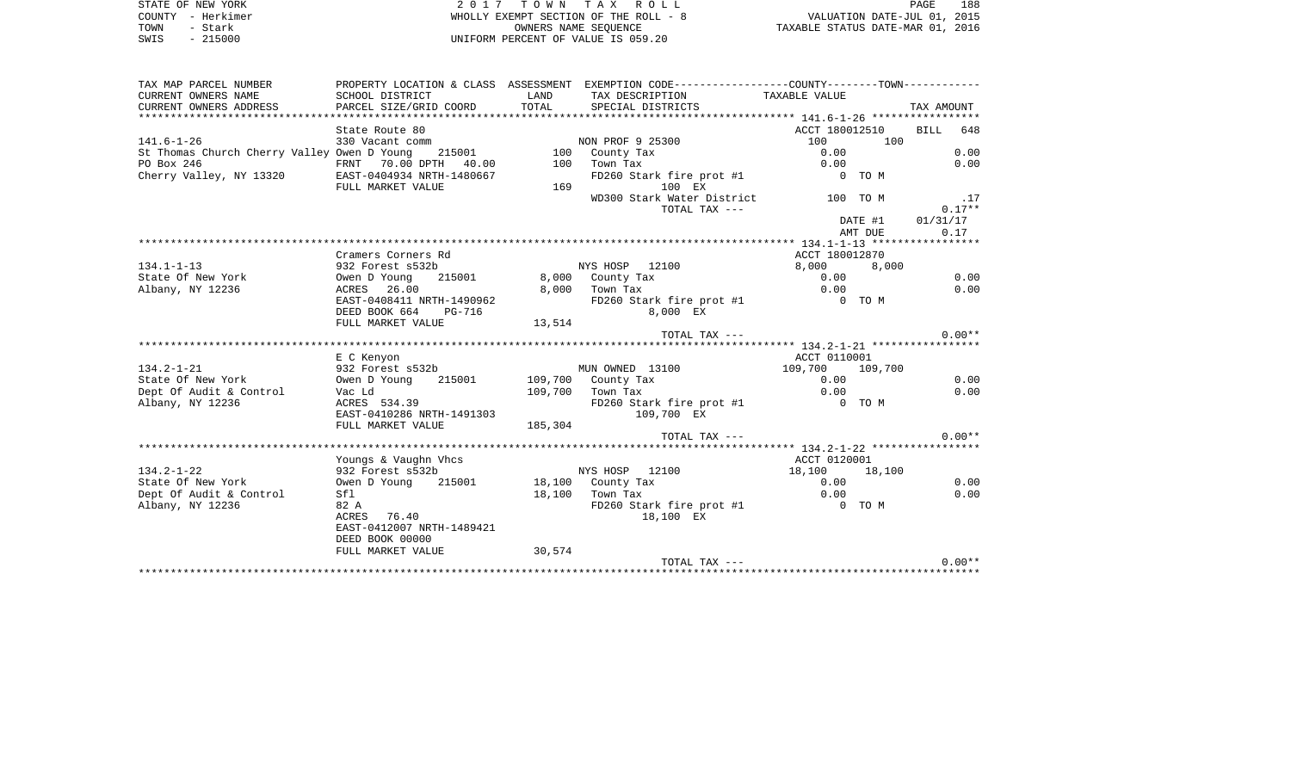STATE OF NEW YORK **EXECUTE:** A G ALL PAGE 1889 OF NEW YORK ROLL COUNTY - Herkimer WHOLLY EXEMPT SECTION OF THE ROLL - 8 VALUATION DATE-JUL 01, 2015 TOWN - Stark OWNERS NAME SEQUENCE TAXABLE STATUS DATE-MAR 01, 2016 SWIS - 215000 UNIFORM PERCENT OF VALUE IS 059.20

| TAX MAP PARCEL NUMBER                              |                                                                                                               |         | PROPERTY LOCATION & CLASS ASSESSMENT EXEMPTION CODE---------------COUNTY-------TOWN---------- |                 |            |
|----------------------------------------------------|---------------------------------------------------------------------------------------------------------------|---------|-----------------------------------------------------------------------------------------------|-----------------|------------|
| CURRENT OWNERS NAME                                | SCHOOL DISTRICT                                                                                               | LAND    | TAX DESCRIPTION TAXABLE VALUE                                                                 |                 |            |
| CURRENT OWNERS ADDRESS                             | PARCEL SIZE/GRID COORD                                                                                        | TOTAL   | SPECIAL DISTRICTS                                                                             |                 | TAX AMOUNT |
|                                                    |                                                                                                               |         |                                                                                               |                 |            |
|                                                    | State Route 80                                                                                                |         |                                                                                               | ACCT 180012510  | BILL 648   |
| $141.6 - 1 - 26$                                   |                                                                                                               |         |                                                                                               | 100<br>100      |            |
| St Thomas Church Cherry Valley Owen D Young 215001 |                                                                                                               |         |                                                                                               | 0.00            | 0.00       |
| PO Box 246                                         | 330 Vacant comm<br>rch Cherry Valley Owen D Young 215001 100 County Tax<br>FRNT 70.00 DPTH 40.00 100 Town Tax |         |                                                                                               | 0.00            | 0.00       |
| Cherry Valley, NY 13320 EAST-0404934 NRTH-1480667  |                                                                                                               |         | FD260 Stark fire prot #1 0 TO M                                                               |                 |            |
|                                                    | FULL MARKET VALUE                                                                                             | 169     | 100 EX                                                                                        |                 |            |
|                                                    |                                                                                                               |         | WD300 Stark Water District 100 TO M                                                           |                 | .17        |
|                                                    |                                                                                                               |         | TOTAL TAX ---                                                                                 |                 | $0.17**$   |
|                                                    |                                                                                                               |         |                                                                                               | DATE #1         | 01/31/17   |
|                                                    |                                                                                                               |         |                                                                                               | AMT DUE         | 0.17       |
|                                                    |                                                                                                               |         |                                                                                               |                 |            |
|                                                    | Cramers Corners Rd                                                                                            |         |                                                                                               | ACCT 180012870  |            |
| $134.1 - 1 - 13$                                   | 932 Forest s532b                                                                                              |         | NYS HOSP 12100                                                                                | 8,000 8,000     |            |
| State Of New York                                  | Owen D Young 215001                                                                                           |         | 8,000 County Tax                                                                              | 0.00            | 0.00       |
| Albany, NY 12236                                   | ACRES 26.00                                                                                                   |         | 8,000 Town Tax                                                                                | 0.00            | 0.00       |
|                                                    | EAST-0408411 NRTH-1490962                                                                                     |         | FD260 Stark fire prot #1 0 TO M                                                               |                 |            |
|                                                    | DEED BOOK 664 PG-716                                                                                          |         | 8,000 EX                                                                                      |                 |            |
|                                                    | FULL MARKET VALUE                                                                                             | 13,514  |                                                                                               |                 |            |
|                                                    |                                                                                                               |         | TOTAL TAX ---                                                                                 |                 | $0.00**$   |
|                                                    |                                                                                                               |         |                                                                                               |                 |            |
|                                                    | E C Kenyon                                                                                                    |         |                                                                                               | ACCT 0110001    |            |
| $134.2 - 1 - 21$                                   | 932 Forest s532b                                                                                              |         | MUN OWNED 13100                                                                               | 109,700 109,700 |            |
| State Of New York                                  | Owen D Young 215001 109,700 County Tax                                                                        |         | $109,700$ County Tax<br>109,700 Town Tax                                                      | 0.00            | 0.00       |
| Dept Of Audit & Control                            | Vac Ld                                                                                                        |         |                                                                                               | 0.00            | 0.00       |
| Albany, NY 12236                                   | vac Ld<br>ACRES 534.39                                                                                        |         | FD260 Stark fire prot #1 0 TO M                                                               |                 |            |
|                                                    | EAST-0410286 NRTH-1491303                                                                                     |         | 109,700 EX                                                                                    |                 |            |
|                                                    | FULL MARKET VALUE                                                                                             | 185,304 |                                                                                               |                 |            |
|                                                    |                                                                                                               |         | TOTAL TAX ---                                                                                 |                 | $0.00**$   |
|                                                    |                                                                                                               |         |                                                                                               |                 |            |
|                                                    | Youngs & Vaughn Vhcs                                                                                          |         |                                                                                               | ACCT 0120001    |            |
| $134.2 - 1 - 22$                                   | 932 Forest s532b                                                                                              |         | NYS HOSP 12100                                                                                | 18,100 18,100   |            |
| State Of New York                                  | Owen D Young                                                                                                  |         | 215001 18,100 County Tax                                                                      | 0.00            | 0.00       |
| Dept Of Audit & Control                            | Sfl                                                                                                           |         | 18,100 Town Tax                                                                               | 0.00            | 0.00       |
| Albany, NY 12236                                   | 82 A                                                                                                          |         | FD260 Stark fire prot #1                                                                      | 0 TO M          |            |
|                                                    | ACRES 76.40                                                                                                   |         | 18,100 EX                                                                                     |                 |            |
|                                                    | EAST-0412007 NRTH-1489421                                                                                     |         |                                                                                               |                 |            |
|                                                    | DEED BOOK 00000                                                                                               |         |                                                                                               |                 |            |
|                                                    | FULL MARKET VALUE                                                                                             | 30,574  |                                                                                               |                 |            |
|                                                    |                                                                                                               |         | TOTAL TAX ---                                                                                 |                 | $0.00**$   |
|                                                    |                                                                                                               |         |                                                                                               |                 |            |
|                                                    |                                                                                                               |         |                                                                                               |                 |            |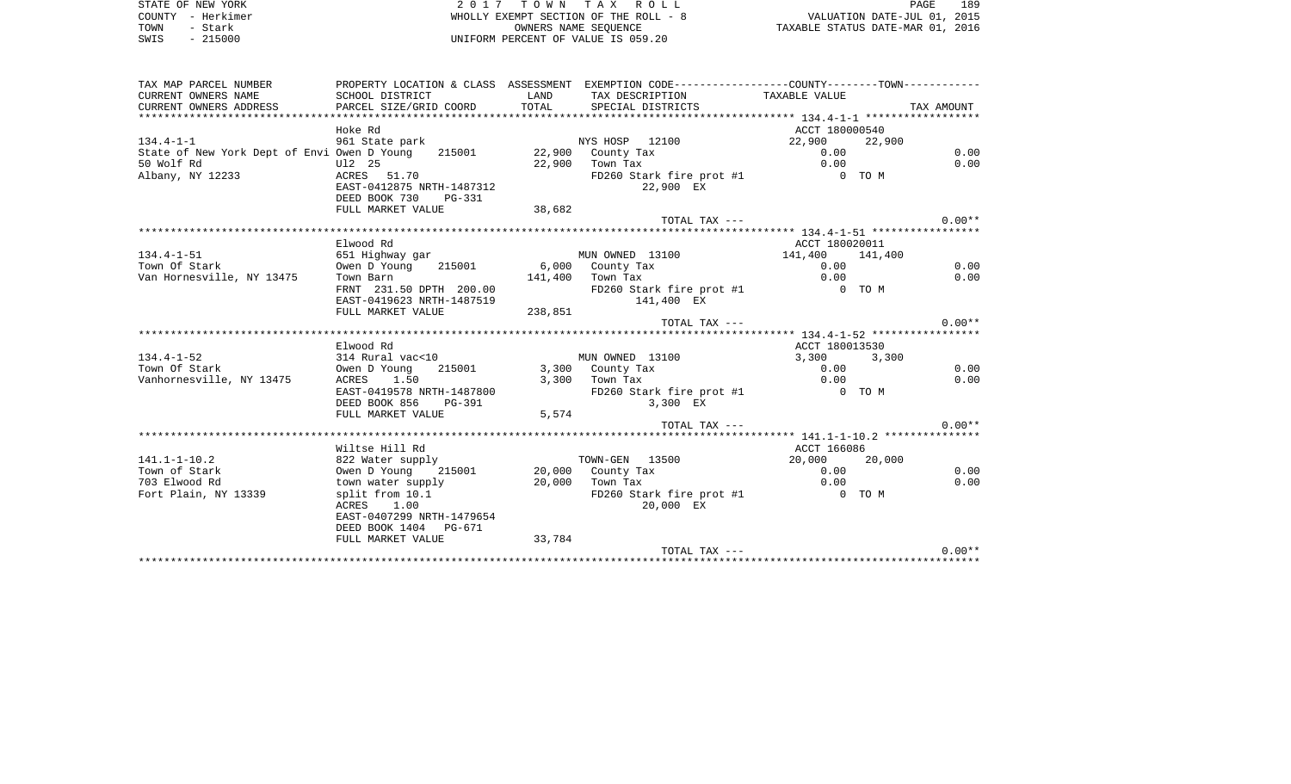| STATE OF NEW YORK | 2017 TOWN TAX ROLL                    | 189<br>PAGE                      |
|-------------------|---------------------------------------|----------------------------------|
| COUNTY - Herkimer | WHOLLY EXEMPT SECTION OF THE ROLL - 8 | VALUATION DATE-JUL 01, 2015      |
| TOWN<br>- Stark   | OWNERS NAME SEOUENCE                  | TAXABLE STATUS DATE-MAR 01, 2016 |
| $-215000$<br>SWIS | UNIFORM PERCENT OF VALUE IS 059.20    |                                  |

| TAX MAP PARCEL NUMBER                                                |                                                            |                   | PROPERTY LOCATION & CLASS ASSESSMENT EXEMPTION CODE---------------COUNTY-------TOWN---------- |                     |            |
|----------------------------------------------------------------------|------------------------------------------------------------|-------------------|-----------------------------------------------------------------------------------------------|---------------------|------------|
| CURRENT OWNERS NAME                                                  | SCHOOL DISTRICT                                            | LAND              | TAX DESCRIPTION TAXABLE VALUE                                                                 |                     |            |
| CURRENT OWNERS ADDRESS                                               | PARCEL SIZE/GRID COORD                                     | TOTAL             | SPECIAL DISTRICTS                                                                             |                     | TAX AMOUNT |
|                                                                      |                                                            |                   |                                                                                               |                     |            |
|                                                                      | Hoke Rd                                                    |                   |                                                                                               | ACCT 180000540      |            |
| $134.4 - 1 - 1$                                                      | 961 State park                                             |                   | NYS HOSP 12100                                                                                | 22,900 22,900       |            |
| State of New York Dept of Envi Owen D Young 215001 22,900 County Tax |                                                            |                   |                                                                                               | 0.00                | 0.00       |
| 50 Wolf Rd                                                           | U12 25                                                     |                   |                                                                                               | 0.00                | 0.00       |
| Albany, NY 12233                                                     | ACRES 51.70                                                |                   | $22,900$ Town Tax<br>FD260 State<br>FD260 Stark fire prot #1 0 TO M                           |                     |            |
|                                                                      | EAST-0412875 NRTH-1487312                                  |                   | 22,900 EX                                                                                     |                     |            |
|                                                                      | DEED BOOK 730<br>PG-331                                    |                   |                                                                                               |                     |            |
|                                                                      | FULL MARKET VALUE                                          | 38,682            |                                                                                               |                     |            |
|                                                                      |                                                            |                   | TOTAL TAX ---                                                                                 |                     | $0.00**$   |
|                                                                      |                                                            |                   |                                                                                               |                     |            |
|                                                                      | Elwood Rd                                                  |                   |                                                                                               | ACCT 180020011      |            |
| $134.4 - 1 - 51$                                                     | 651 Highway qar                                            |                   | MUN OWNED 13100                                                                               | 141,400<br>141,400  |            |
| Town Of Stark                                                        | Owen D Young 215001 6,000 County Tax                       |                   |                                                                                               | $0.00$ <sup>-</sup> | 0.00       |
| Van Hornesville, NY 13475                                            | Town Barn                                                  |                   | 141,400 Town Tax                                                                              | 0.00                | 0.00       |
|                                                                      | FRNT 231.50 DPTH 200.00 FD260<br>EAST-0419623 NRTH-1487519 |                   | FD260 Stark fire prot #1 0 TO M                                                               |                     |            |
|                                                                      |                                                            |                   | 141,400 EX                                                                                    |                     |            |
|                                                                      | FULL MARKET VALUE                                          | 238,851           |                                                                                               |                     |            |
|                                                                      |                                                            |                   | TOTAL TAX ---                                                                                 |                     | $0.00**$   |
|                                                                      |                                                            |                   |                                                                                               |                     |            |
| $134.4 - 1 - 52$                                                     | Elwood Rd<br>314 Rural vac<10                              |                   | MUN OWNED 13100                                                                               | ACCT 180013530      |            |
| Town Of Stark                                                        | Owen D Young 215001 3,300 County Tax                       |                   |                                                                                               | 3,300 3,300<br>0.00 | 0.00       |
|                                                                      |                                                            |                   |                                                                                               | 0.00                |            |
| Vanhornesville, NY 13475                                             | ACRES 1.50                                                 |                   | $3,300$ Town Tax                                                                              |                     | 0.00       |
|                                                                      | EAST-0419578 NRTH-1487800<br>DEED BOOK 856 PG-391          |                   | FD260 Stark fire prot #1 0 TO M<br>3,300 EX                                                   |                     |            |
|                                                                      | FULL MARKET VALUE                                          | 5,574             |                                                                                               |                     |            |
|                                                                      |                                                            |                   | TOTAL TAX ---                                                                                 |                     | $0.00**$   |
|                                                                      |                                                            |                   |                                                                                               |                     |            |
|                                                                      | Wiltse Hill Rd                                             |                   |                                                                                               | ACCT 166086         |            |
| $141.1 - 1 - 10.2$                                                   | 822 Water supply                                           |                   | TOWN-GEN 13500                                                                                | 20,000 20,000       |            |
| Town of Stark                                                        | Owen D Young                                               |                   | 215001 20,000 County Tax                                                                      | 0.00                | 0.00       |
| 703 Elwood Rd                                                        | town water supply                                          | $20,000$ Town Tax |                                                                                               | 0.00                | 0.00       |
| Fort Plain, NY 13339                                                 | split from 10.1                                            |                   | FD260 Stark fire prot #1                                                                      | 0 TO M              |            |
|                                                                      | ACRES 1.00                                                 |                   | 20,000 EX                                                                                     |                     |            |
|                                                                      | EAST-0407299 NRTH-1479654                                  |                   |                                                                                               |                     |            |
|                                                                      | DEED BOOK 1404 PG-671                                      |                   |                                                                                               |                     |            |
|                                                                      | FULL MARKET VALUE                                          | 33,784            |                                                                                               |                     |            |
|                                                                      |                                                            |                   | TOTAL TAX ---                                                                                 |                     | $0.00**$   |
|                                                                      |                                                            |                   |                                                                                               |                     |            |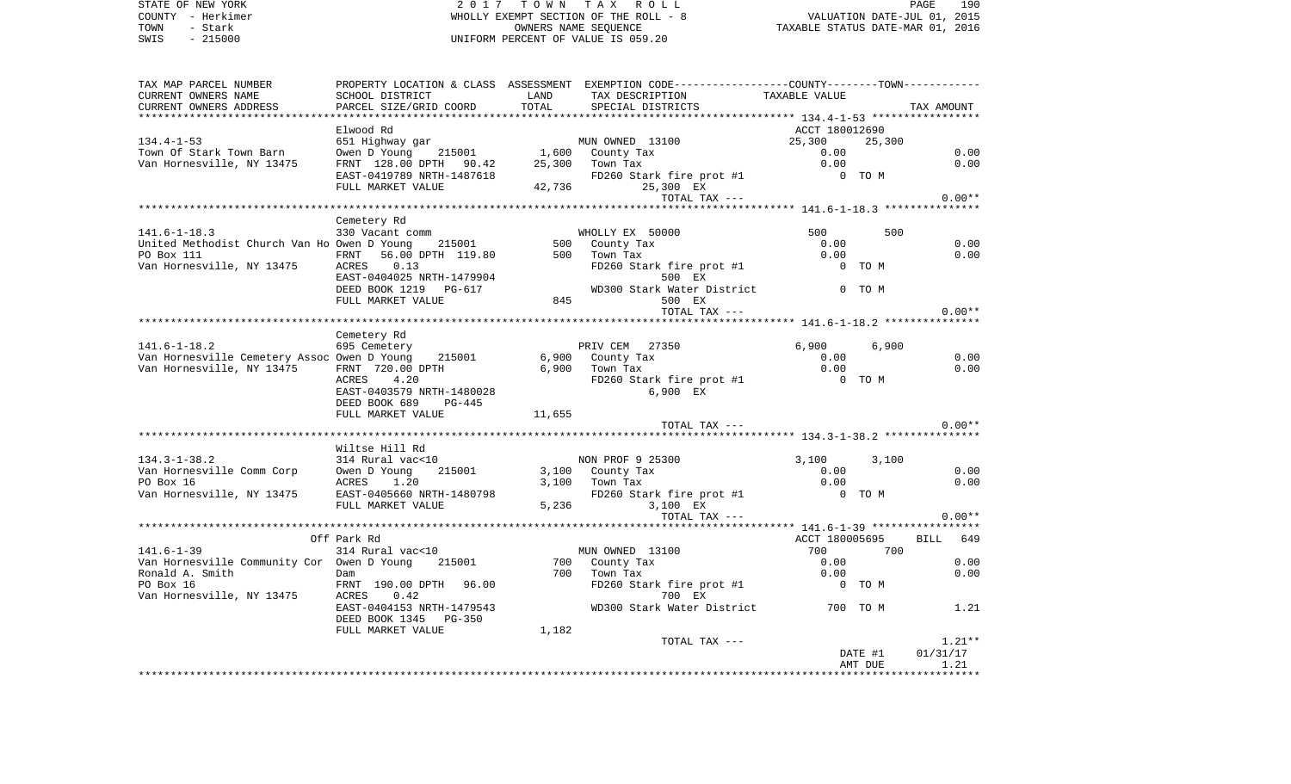STATE OF NEW YORK **2017 TOWN TAX ROLL** PAGE 190 COUNTY - Herkimer **WHOLLY EXEMPT SECTION OF THE ROLL - 8** VALUATION DATE-JUL 01, 2015 TOWN - Stark OWNERS NAME SEQUENCE TAXABLE STATUS DATE-MAR 01, 2016 UNIFORM PERCENT OF VALUE IS 059.20

| TAX MAP PARCEL NUMBER                                                                                                                                                                                                                |                                     |       | PROPERTY LOCATION & CLASS ASSESSMENT EXEMPTION CODE---------------COUNTY-------TOWN----------                                                                                                                       |                |                    |                  |
|--------------------------------------------------------------------------------------------------------------------------------------------------------------------------------------------------------------------------------------|-------------------------------------|-------|---------------------------------------------------------------------------------------------------------------------------------------------------------------------------------------------------------------------|----------------|--------------------|------------------|
| CURRENT OWNERS NAME                                                                                                                                                                                                                  | SCHOOL DISTRICT                     |       |                                                                                                                                                                                                                     | TAXABLE VALUE  |                    |                  |
| CURRENT OWNERS ADDRESS                                                                                                                                                                                                               | PARCEL SIZE/GRID COORD              |       |                                                                                                                                                                                                                     |                |                    | TAX AMOUNT       |
|                                                                                                                                                                                                                                      |                                     |       |                                                                                                                                                                                                                     |                |                    |                  |
|                                                                                                                                                                                                                                      | Elwood Rd                           |       |                                                                                                                                                                                                                     | ACCT 180012690 |                    |                  |
| $134.4 - 1 - 53$                                                                                                                                                                                                                     |                                     |       |                                                                                                                                                                                                                     |                | 25,300             |                  |
| Town Of Stark Town Barn                                                                                                                                                                                                              |                                     |       |                                                                                                                                                                                                                     |                |                    | 0.00             |
| Van Hornesville, NY 13475                                                                                                                                                                                                            |                                     |       |                                                                                                                                                                                                                     |                |                    | 0.00             |
|                                                                                                                                                                                                                                      |                                     |       | E1 Highway gar<br>651 Highway gar<br>0.00 DPTH 90.42 25,300 Town Tax<br>FRNT 128.00 DPTH 90.42 25,300 Town Tax<br>FULL MARKET VALUE 42,736 25,300 EAST-0419789 NRTH-1487618<br>FULL MARKET VALUE 42,736 25,300 EXEX |                |                    |                  |
|                                                                                                                                                                                                                                      |                                     |       | TOTAL TAX ---                                                                                                                                                                                                       |                |                    | $0.00**$         |
|                                                                                                                                                                                                                                      |                                     |       |                                                                                                                                                                                                                     |                |                    |                  |
|                                                                                                                                                                                                                                      | Cemetery Rd                         |       |                                                                                                                                                                                                                     |                |                    |                  |
| $141.6 - 1 - 18.3$                                                                                                                                                                                                                   | 330 Vacant comm                     |       | WHOLLY EX 50000                                                                                                                                                                                                     | 500            | 500                |                  |
| United Methodist Church Van Ho Owen D Young 215001 500 County Tax                                                                                                                                                                    |                                     |       |                                                                                                                                                                                                                     | 0.00           |                    | 0.00             |
| PO Box 111 FRNT<br>Van Hornesville, NY 13475 ACRES                                                                                                                                                                                   | FRNT 56.00 DPTH 119.80 500 Town Tax |       | County Tax U.UU<br>Town Tax 0.00<br>FD260 Stark fire prot #1 0 0 TO M                                                                                                                                               |                |                    | 0.00             |
|                                                                                                                                                                                                                                      |                                     |       | ACRES 0.13<br>EAST-0404025 NRTH-1479904<br>DEED BOOK 1219 PG-617<br>FULL MARKET VALUE 845<br>FULL MARKET VALUE 845<br>TOON TON TULL MARKET VALUE 845<br>TOON TON TOON TOON                                          |                |                    |                  |
|                                                                                                                                                                                                                                      |                                     |       |                                                                                                                                                                                                                     |                |                    |                  |
|                                                                                                                                                                                                                                      |                                     |       |                                                                                                                                                                                                                     |                |                    |                  |
|                                                                                                                                                                                                                                      |                                     |       |                                                                                                                                                                                                                     |                |                    |                  |
|                                                                                                                                                                                                                                      |                                     |       | TOTAL TAX ---                                                                                                                                                                                                       |                |                    | $0.00**$         |
|                                                                                                                                                                                                                                      |                                     |       |                                                                                                                                                                                                                     |                |                    |                  |
| $141.6 - 1 - 18.2$                                                                                                                                                                                                                   | Cemetery Rd<br>$695$ Cemetery       |       | PRIV CEM 27350                                                                                                                                                                                                      | 6,900          | 6,900              |                  |
|                                                                                                                                                                                                                                      |                                     |       |                                                                                                                                                                                                                     |                |                    | 0.00             |
|                                                                                                                                                                                                                                      |                                     |       |                                                                                                                                                                                                                     |                |                    | 0.00             |
| 141.6-1-18.2 by Cennetery<br>Van Hornesville Cemetery Assoc Owen D Young 215001 6,900 County Tax 0.00<br>Van Hornesville, NY 13475 FRNT 720.00 DPTH 6,900 Town Tax 0.00<br>ACRES 4.20 PRNT 30.00 EX FD260 Stark fire prot #1 0 TO M  |                                     |       |                                                                                                                                                                                                                     |                |                    |                  |
|                                                                                                                                                                                                                                      | EAST-0403579 NRTH-1480028           |       | 6,900 EX                                                                                                                                                                                                            |                |                    |                  |
|                                                                                                                                                                                                                                      | DEED BOOK 689 PG-445                |       |                                                                                                                                                                                                                     |                |                    |                  |
|                                                                                                                                                                                                                                      | FULL MARKET VALUE 11,655            |       |                                                                                                                                                                                                                     |                |                    |                  |
|                                                                                                                                                                                                                                      |                                     |       | TOTAL TAX ---                                                                                                                                                                                                       |                |                    | $0.00**$         |
|                                                                                                                                                                                                                                      |                                     |       |                                                                                                                                                                                                                     |                |                    |                  |
|                                                                                                                                                                                                                                      | Wiltse Hill Rd                      |       |                                                                                                                                                                                                                     |                |                    |                  |
| $134.3 - 1 - 38.2$                                                                                                                                                                                                                   | $314$ Rural vac< $10$               |       | NON PROF 9 25300                                                                                                                                                                                                    | 3,100          | 3,100              |                  |
| Van Hornesville Comm Corp owen D Young 215001 and 3,100 County Tax 0.00<br>Van Hornesville Comm Corp owen D Young 215001 3,100 County Tax 0.00<br>20 Box 16 aCRES 1.20 3,100 Town Tax 0.00<br>Van Hornesville, NY 13475 EAST-0405660 |                                     |       |                                                                                                                                                                                                                     |                |                    | 0.00             |
|                                                                                                                                                                                                                                      |                                     |       |                                                                                                                                                                                                                     |                |                    | 0.00             |
|                                                                                                                                                                                                                                      |                                     |       |                                                                                                                                                                                                                     |                |                    |                  |
|                                                                                                                                                                                                                                      |                                     |       | TOTAL TAX ---                                                                                                                                                                                                       |                |                    | $0.00**$         |
|                                                                                                                                                                                                                                      |                                     |       |                                                                                                                                                                                                                     |                |                    |                  |
|                                                                                                                                                                                                                                      | Off Park Rd                         |       |                                                                                                                                                                                                                     | ACCT 180005695 |                    | BILL 649         |
|                                                                                                                                                                                                                                      |                                     |       |                                                                                                                                                                                                                     | 700 700        |                    |                  |
|                                                                                                                                                                                                                                      |                                     |       |                                                                                                                                                                                                                     |                |                    | 0.00             |
|                                                                                                                                                                                                                                      |                                     |       |                                                                                                                                                                                                                     |                |                    | 0.00             |
|                                                                                                                                                                                                                                      |                                     |       |                                                                                                                                                                                                                     |                |                    |                  |
|                                                                                                                                                                                                                                      |                                     |       |                                                                                                                                                                                                                     |                |                    |                  |
|                                                                                                                                                                                                                                      |                                     |       | DAM<br>FRNT 190.00 DPTH 96.00 FD260 Stark fire prot #1 0 TO M<br>ACRES 0.42 700 EX<br>EAST-0404153 NRTH-1479543 WD300 Stark Water District 700 TO M 1.21                                                            |                |                    |                  |
|                                                                                                                                                                                                                                      | DEED BOOK 1345 PG-350               |       |                                                                                                                                                                                                                     |                |                    |                  |
|                                                                                                                                                                                                                                      | FULL MARKET VALUE                   | 1,182 |                                                                                                                                                                                                                     |                |                    |                  |
|                                                                                                                                                                                                                                      |                                     |       | TOTAL TAX ---                                                                                                                                                                                                       |                |                    | $1.21**$         |
|                                                                                                                                                                                                                                      |                                     |       |                                                                                                                                                                                                                     |                | DATE #1<br>AMT DUE | 01/31/17<br>1.21 |
|                                                                                                                                                                                                                                      |                                     |       |                                                                                                                                                                                                                     |                |                    |                  |
|                                                                                                                                                                                                                                      |                                     |       |                                                                                                                                                                                                                     |                |                    |                  |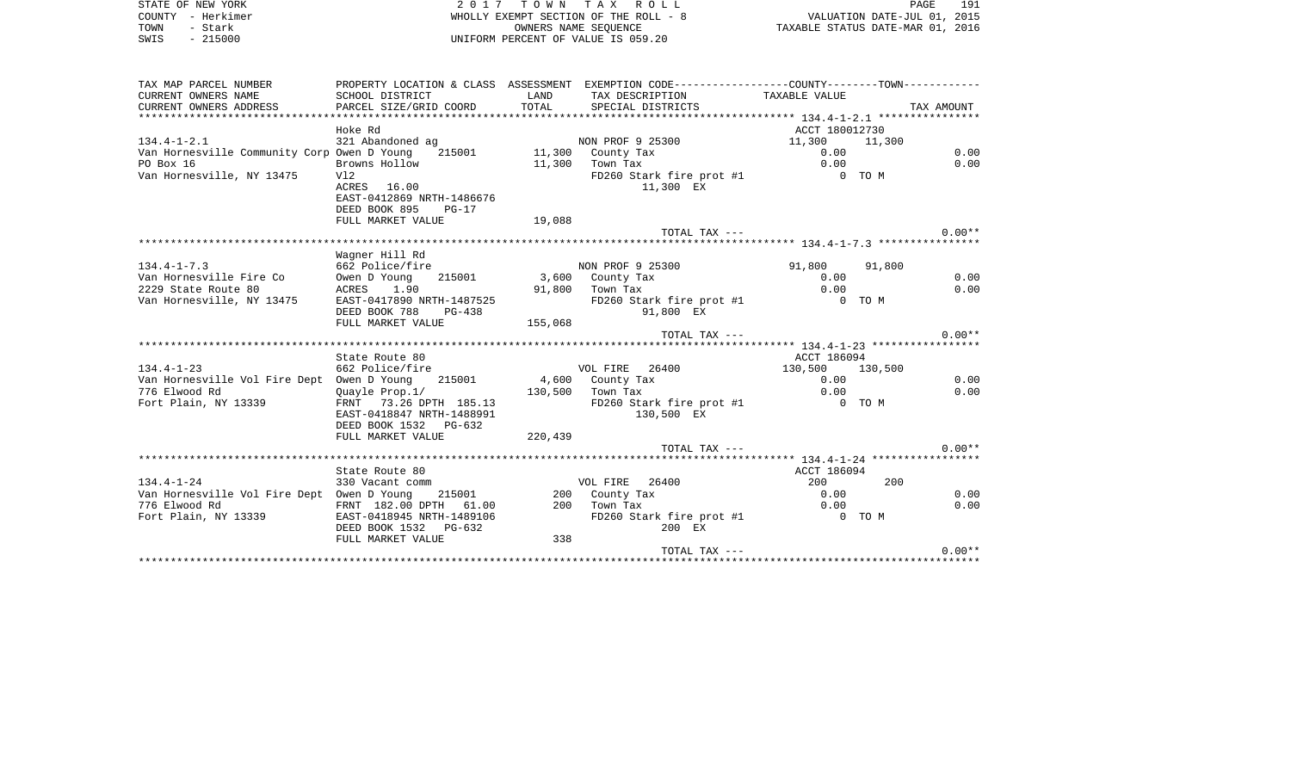| STATE OF NEW YORK<br>COUNTY - Herkimer<br>TOWN - Stark<br>SWIS - 215000                                                                                                                                                         |                                                                 |         | 2017 TOWN TAX ROLL<br>WHOLLY EXEMPT SECTION OF THE ROLL - 8<br>OWNERS NAME SEOUENCE<br>UNIFORM PERCENT OF VALUE IS 059.20 | PAGE<br>191<br>PAGE 191<br>2015 ,VALUATION DATE-JUL<br>2016 ,TAXABLE STATUS DATE-MAR |            |          |
|---------------------------------------------------------------------------------------------------------------------------------------------------------------------------------------------------------------------------------|-----------------------------------------------------------------|---------|---------------------------------------------------------------------------------------------------------------------------|--------------------------------------------------------------------------------------|------------|----------|
| TAX MAP PARCEL NUMBER THE PROPERTY LOCATION & CLASS ASSESSMENT EXEMPTION CODE--------------COUNTY--------TOWN----------                                                                                                         |                                                                 |         |                                                                                                                           |                                                                                      |            |          |
|                                                                                                                                                                                                                                 |                                                                 |         | LAND TAX DESCRIPTION TAXABLE VALUE                                                                                        |                                                                                      |            |          |
|                                                                                                                                                                                                                                 |                                                                 |         | SPECIAL DISTRICTS                                                                                                         |                                                                                      | TAX AMOUNT |          |
|                                                                                                                                                                                                                                 |                                                                 |         |                                                                                                                           |                                                                                      |            |          |
|                                                                                                                                                                                                                                 | Hoke Rd                                                         |         |                                                                                                                           | ACCT 180012730                                                                       |            |          |
| $134.4 - 1 - 2.1$                                                                                                                                                                                                               | 321 Abandoned ag                                                |         | NON PROF 9 25300                                                                                                          | 11,300 11,300                                                                        |            |          |
| 134.4-1-2.1<br>Van Hornesville Community Corp Owen D Young 215001 11,300 County Tax<br>20 Drowns Hollow 11,300 Town Tax                                                                                                         |                                                                 |         |                                                                                                                           | 0.00                                                                                 |            | 0.00     |
|                                                                                                                                                                                                                                 | Browns Hollow                                                   |         |                                                                                                                           | 0.00                                                                                 |            | 0.00     |
| Van Hornesville, NY 13475 Vl2                                                                                                                                                                                                   | ACRES 16.00<br>EAST-0412869 NRTH-1486676<br>DEED BOOK 895 PG-17 |         | FD260 Stark fire prot #1 0 TO M<br>11,300 EX                                                                              |                                                                                      |            |          |
|                                                                                                                                                                                                                                 | FULL MARKET VALUE 19,088                                        |         |                                                                                                                           |                                                                                      |            |          |
|                                                                                                                                                                                                                                 |                                                                 |         | TOTAL TAX ---                                                                                                             |                                                                                      |            | $0.00**$ |
|                                                                                                                                                                                                                                 |                                                                 |         |                                                                                                                           |                                                                                      |            |          |
|                                                                                                                                                                                                                                 | Waqner Hill Rd                                                  |         |                                                                                                                           |                                                                                      |            |          |
|                                                                                                                                                                                                                                 |                                                                 |         | NON PROF 9 25300 91,800 91,800<br>3,600 County Tax 0.00                                                                   |                                                                                      |            |          |
|                                                                                                                                                                                                                                 |                                                                 |         |                                                                                                                           |                                                                                      |            | 0.00     |
|                                                                                                                                                                                                                                 |                                                                 |         | 91,800 Town Tax                                                                                                           | 0.00                                                                                 |            | 0.00     |
|                                                                                                                                                                                                                                 |                                                                 |         | FD260 Stark fire prot #1                                                                                                  | 0 TO M                                                                               |            |          |
| 134.4-1-7.3<br>Van Hornesville Fire Co 662 Police/fire 11 RM<br>2229 State Route 80 1.90 215001 3,600<br>2229 State Route 80 1.90 91,800<br>Van Hornesville, NY 13475 EAST-0417890 NRTH-1487525<br>DEED BOOK 788 PG-438 155,068 |                                                                 |         | 91,800 EX                                                                                                                 |                                                                                      |            |          |
|                                                                                                                                                                                                                                 |                                                                 |         | TOTAL TAX ---                                                                                                             |                                                                                      |            | $0.00**$ |
|                                                                                                                                                                                                                                 |                                                                 |         |                                                                                                                           |                                                                                      |            |          |
|                                                                                                                                                                                                                                 | State Route 80                                                  |         |                                                                                                                           | ACCT 186094                                                                          |            |          |
| State Route ou (State Route ou )<br>662 Police/fire (State Police/fire 16400 )<br>Van Hornesville Vol Fire Dept (Owen D Young 215001 ) (State 130.500 )<br>130.500 Town Tax (Currele Brow 11) (State 130.500 )                  |                                                                 |         |                                                                                                                           | 130,500 130,500                                                                      |            |          |
|                                                                                                                                                                                                                                 |                                                                 |         |                                                                                                                           | 0.00                                                                                 |            | 0.00     |
|                                                                                                                                                                                                                                 |                                                                 |         |                                                                                                                           | 0.00                                                                                 |            | 0.00     |
|                                                                                                                                                                                                                                 |                                                                 |         | FD260 Stark fire prot #1                                                                                                  | 0 TO M                                                                               |            |          |
|                                                                                                                                                                                                                                 | EAST-0418847 NRTH-1488991                                       |         | 130,500 EX                                                                                                                |                                                                                      |            |          |
|                                                                                                                                                                                                                                 | DEED BOOK 1532 PG-632                                           |         |                                                                                                                           |                                                                                      |            |          |
|                                                                                                                                                                                                                                 | FULL MARKET VALUE                                               | 220,439 |                                                                                                                           |                                                                                      |            |          |
|                                                                                                                                                                                                                                 |                                                                 |         | TOTAL TAX ---                                                                                                             |                                                                                      |            | $0.00**$ |
|                                                                                                                                                                                                                                 |                                                                 |         |                                                                                                                           |                                                                                      |            |          |
|                                                                                                                                                                                                                                 | State Route 80                                                  |         |                                                                                                                           | ACCT 186094                                                                          |            |          |
|                                                                                                                                                                                                                                 |                                                                 |         |                                                                                                                           | 200                                                                                  | 200        |          |
|                                                                                                                                                                                                                                 |                                                                 |         |                                                                                                                           | 0.00                                                                                 |            | 0.00     |
| 776 Elwood Rd<br>Fort Plain, NY 13339 FRNT 182.00 DPTH 61.00 200 Town Tax<br>Fort Plain, NY 13339 FRNTH-0418945 NRTH-1489106 FD260 Sta                                                                                          |                                                                 |         |                                                                                                                           | 0.00                                                                                 |            | 0.00     |
|                                                                                                                                                                                                                                 |                                                                 |         | FD260 Stark fire prot #1 $\overline{0}$ TO M                                                                              |                                                                                      |            |          |
|                                                                                                                                                                                                                                 | DEED BOOK 1532 PG-632                                           |         | 200 EX                                                                                                                    |                                                                                      |            |          |
|                                                                                                                                                                                                                                 | FULL MARKET VALUE                                               | 338     | TOTAL TAX ---                                                                                                             |                                                                                      |            | $0.00**$ |
|                                                                                                                                                                                                                                 |                                                                 |         |                                                                                                                           |                                                                                      |            |          |

TOTAL TAX --- 0.00\*\* \*\*\*\*\*\*\*\*\*\*\*\*\*\*\*\*\*\*\*\*\*\*\*\*\*\*\*\*\*\*\*\*\*\*\*\*\*\*\*\*\*\*\*\*\*\*\*\*\*\*\*\*\*\*\*\*\*\*\*\*\*\*\*\*\*\*\*\*\*\*\*\*\*\*\*\*\*\*\*\*\*\*\*\*\*\*\*\*\*\*\*\*\*\*\*\*\*\*\*\*\*\*\*\*\*\*\*\*\*\*\*\*\*\*\*\*\*\*\*\*\*\*\*\*\*\*\*\*\*\*\*\*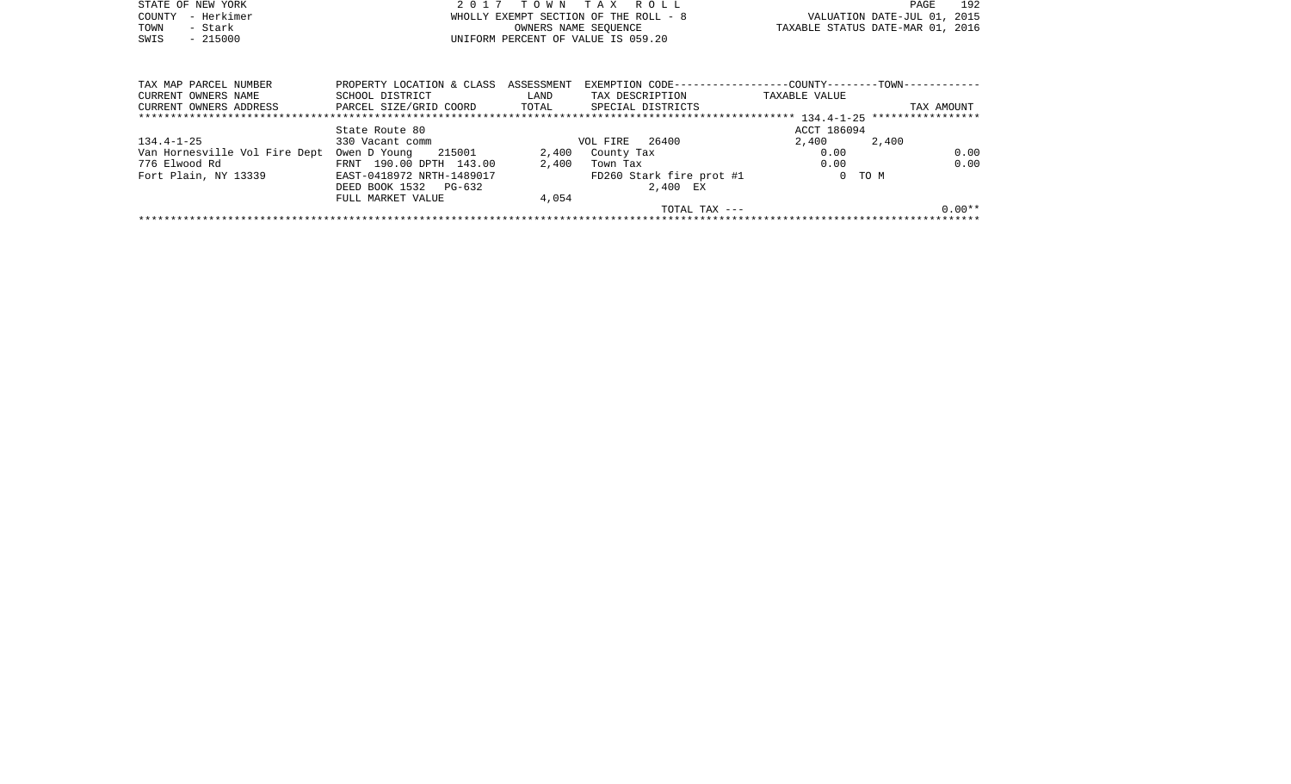|      | STATE OF NEW YORK | 2017 TOWN TAX ROLL                    | PAGE                             | 192 |
|------|-------------------|---------------------------------------|----------------------------------|-----|
|      | COUNTY - Herkimer | WHOLLY EXEMPT SECTION OF THE ROLL - 8 | VALUATION DATE-JUL 01, 2015      |     |
| TOWN | – Stark           | OWNERS NAME SEOUENCE                  | TAXABLE STATUS DATE-MAR 01, 2016 |     |
| SWIS | $-215000$         | UNIFORM PERCENT OF VALUE IS 059.20    |                                  |     |

| TAX MAP PARCEL NUMBER         | PROPERTY LOCATION & CLASS | ASSESSMENT | EXEMPTION CODE--         | --------------COUNTY--------TOWN-- | ---------- |
|-------------------------------|---------------------------|------------|--------------------------|------------------------------------|------------|
| CURRENT OWNERS NAME           | SCHOOL DISTRICT           | LAND       | TAX DESCRIPTION          | TAXABLE VALUE                      |            |
| CURRENT OWNERS ADDRESS        | PARCEL SIZE/GRID COORD    | TOTAL      | SPECIAL DISTRICTS        |                                    | TAX AMOUNT |
|                               |                           |            |                          |                                    |            |
|                               | State Route 80            |            |                          | ACCT 186094                        |            |
| 134.4-1-25                    | 330 Vacant comm           |            | 26400<br>VOL FIRE        | 2,400                              | 2,400      |
| Van Hornesville Vol Fire Dept | 215001<br>Owen D Young    | 2,400      | County Tax               | 0.00                               | 0.00       |
| 776 Elwood Rd                 | FRNT 190.00 DPTH 143.00   | 2,400      | Town Tax                 | 0.00                               | 0.00       |
| Fort Plain, NY 13339          | EAST-0418972 NRTH-1489017 |            | FD260 Stark fire prot #1 |                                    | 0 TO M     |
|                               | DEED BOOK 1532 PG-632     |            | 2,400 EX                 |                                    |            |
|                               | FULL MARKET VALUE         | 4,054      |                          |                                    |            |
|                               |                           |            | TOTAL TAX $---$          |                                    | $0.00**$   |
|                               |                           |            |                          |                                    |            |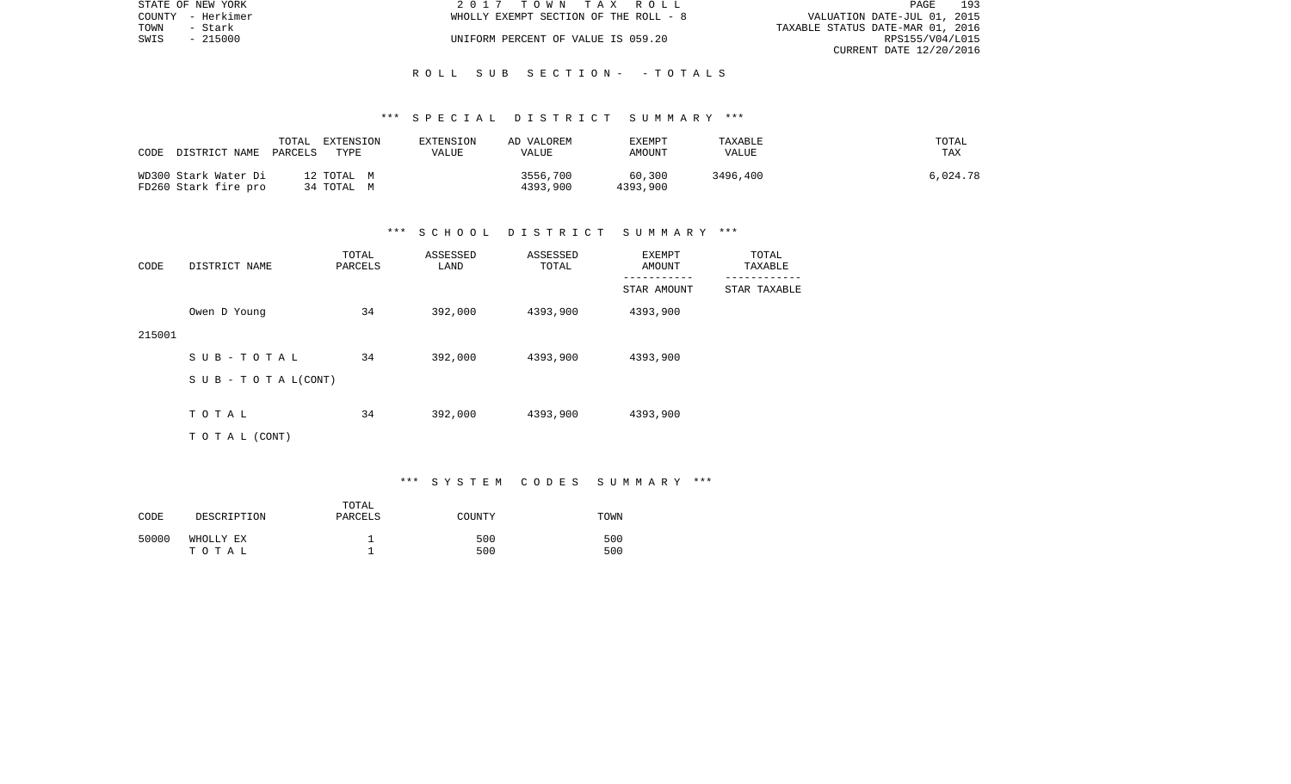| STATE OF NEW YORK | 2017 TOWN TAX ROLL                    | 193<br>PAGE                      |
|-------------------|---------------------------------------|----------------------------------|
| COUNTY - Herkimer | WHOLLY EXEMPT SECTION OF THE ROLL - 8 | VALUATION DATE-JUL 01, 2015      |
| TOWN<br>- Stark   |                                       | TAXABLE STATUS DATE-MAR 01, 2016 |
| SWIS<br>$-215000$ | UNIFORM PERCENT OF VALUE IS 059.20    | RPS155/V04/L015                  |
|                   |                                       | CURRENT DATE 12/20/2016          |

#### R O L L S U B S E C T I O N - - T O T A L S

#### \*\*\* S P E C I A L D I S T R I C T S U M M A R Y \*\*\*

| CODE<br>DISTRICT NAME                        | TOTAL<br>EXTENSION<br>PARCELS<br>TYPE | EXTENSION<br>VALUE | AD VALOREM<br>VALUE  | EXEMPT<br>AMOUNT   | TAXABLE<br>VALUE | TOTAL<br><b>TAX</b> |
|----------------------------------------------|---------------------------------------|--------------------|----------------------|--------------------|------------------|---------------------|
| WD300 Stark Water Di<br>FD260 Stark fire pro | 12 TOTAL M<br>34 TOTAL M              |                    | 3556,700<br>4393,900 | 60,300<br>4393,900 | 3496,400         | 6,024.78            |

#### \*\*\* S C H O O L D I S T R I C T S U M M A R Y \*\*\*

| CODE   | DISTRICT NAME      | TOTAL<br>PARCELS | ASSESSED<br>LAND | ASSESSED<br>TOTAL | EXEMPT<br>AMOUNT | TOTAL<br>TAXABLE |
|--------|--------------------|------------------|------------------|-------------------|------------------|------------------|
|        |                    |                  |                  |                   | STAR AMOUNT      | STAR TAXABLE     |
|        | Owen D Young       | 34               | 392,000          | 4393,900          | 4393,900         |                  |
| 215001 |                    |                  |                  |                   |                  |                  |
|        | SUB-TOTAL          | 34               | 392,000          | 4393,900          | 4393,900         |                  |
|        | SUB - TO TAL(CONT) |                  |                  |                   |                  |                  |
|        | TOTAL              | 34               | 392,000          | 4393,900          | 4393,900         |                  |
|        |                    |                  |                  |                   |                  |                  |
|        | T O T A L (CONT)   |                  |                  |                   |                  |                  |

\*\*\* S Y S T E M C O D E S S U M M A R Y \*\*\*

| CODE  | DESCRIPTION        | TOTAL<br>PARCELS | COUNTY     | TOWN       |
|-------|--------------------|------------------|------------|------------|
| 50000 | WHOLLY EX<br>тотаь |                  | 500<br>500 | 500<br>500 |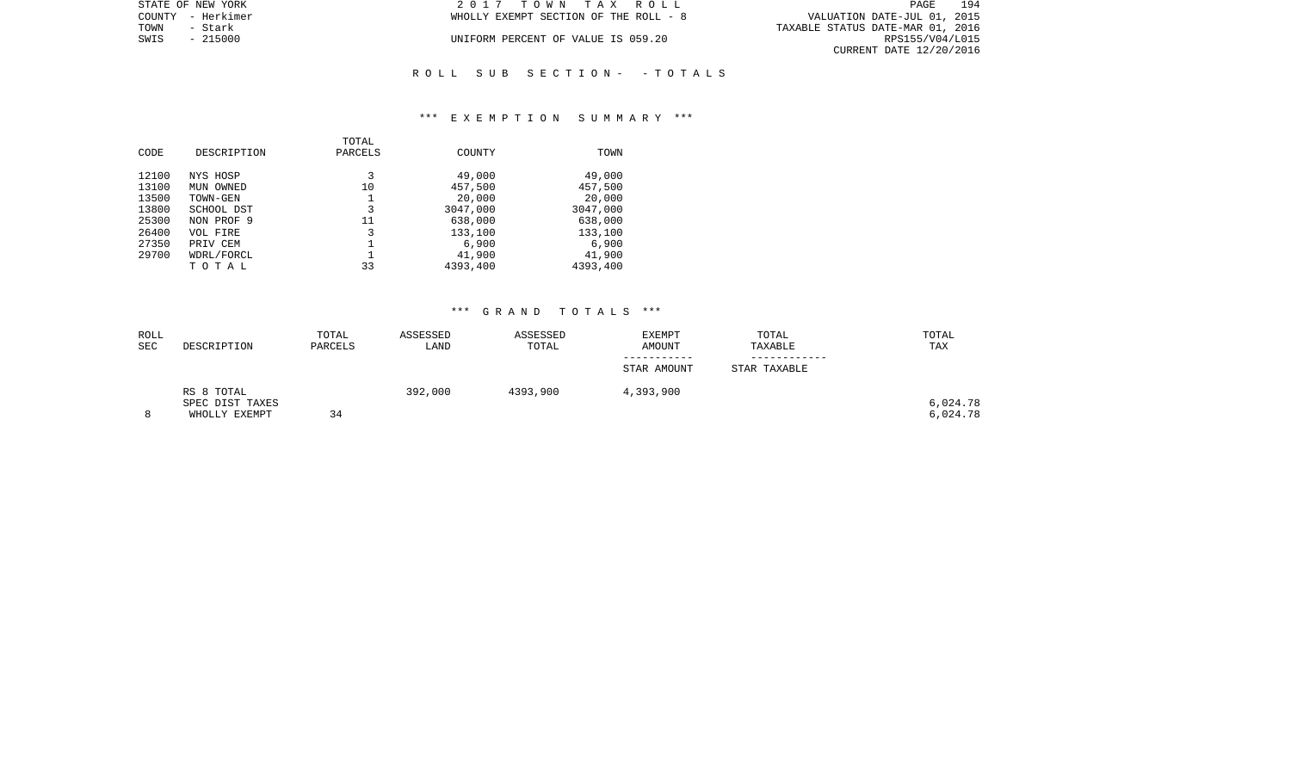| STATE OF NEW YORK | 2017 TOWN TAX ROLL                    | 194<br>PAGE                      |
|-------------------|---------------------------------------|----------------------------------|
| COUNTY - Herkimer | WHOLLY EXEMPT SECTION OF THE ROLL - 8 | VALUATION DATE-JUL 01, 2015      |
| TOWN<br>– Stark   |                                       | TAXABLE STATUS DATE-MAR 01, 2016 |
| SWIS<br>$-215000$ | UNIFORM PERCENT OF VALUE IS 059.20    | RPS155/V04/L015                  |
|                   |                                       | CURRENT DATE 12/20/2016          |
|                   |                                       |                                  |

# \*\*\* E X E M P T I O N S U M M A R Y \*\*\*

R O L L S U B S E C T I O N - - T O T A L S

| CODE                                      | DESCRIPTION                                                   | TOTAL<br>PARCELS   | COUNTY                                             | TOWN                                               |
|-------------------------------------------|---------------------------------------------------------------|--------------------|----------------------------------------------------|----------------------------------------------------|
| 12100<br>13100<br>13500<br>13800<br>25300 | NYS HOSP<br>MUN OWNED<br>TOWN-GEN<br>SCHOOL DST<br>NON PROF 9 | 3<br>10<br>3<br>11 | 49,000<br>457,500<br>20,000<br>3047,000<br>638,000 | 49,000<br>457,500<br>20,000<br>3047,000<br>638,000 |
| 26400<br>27350<br>29700                   | VOL FIRE<br>PRIV CEM<br>WDRL/FORCL<br>TOTAL                   | 3<br>33            | 133,100<br>6,900<br>41,900<br>4393,400             | 133,100<br>6,900<br>41,900<br>4393,400             |

| ROLL |                 | TOTAL   | ASSESSED | ASSESSED | <b>EXEMPT</b> | TOTAL        | TOTAL    |
|------|-----------------|---------|----------|----------|---------------|--------------|----------|
| SEC  | DESCRIPTION     | PARCELS | LAND     | TOTAL    | AMOUNT        | TAXABLE      | TAX      |
|      |                 |         |          |          |               |              |          |
|      |                 |         |          |          | STAR AMOUNT   | STAR TAXABLE |          |
|      | RS 8 TOTAL      |         | 392,000  | 4393,900 | 4,393,900     |              |          |
|      | SPEC DIST TAXES |         |          |          |               |              | 6,024.78 |
| 8    | WHOLLY EXEMPT   | 34      |          |          |               |              | 6,024.78 |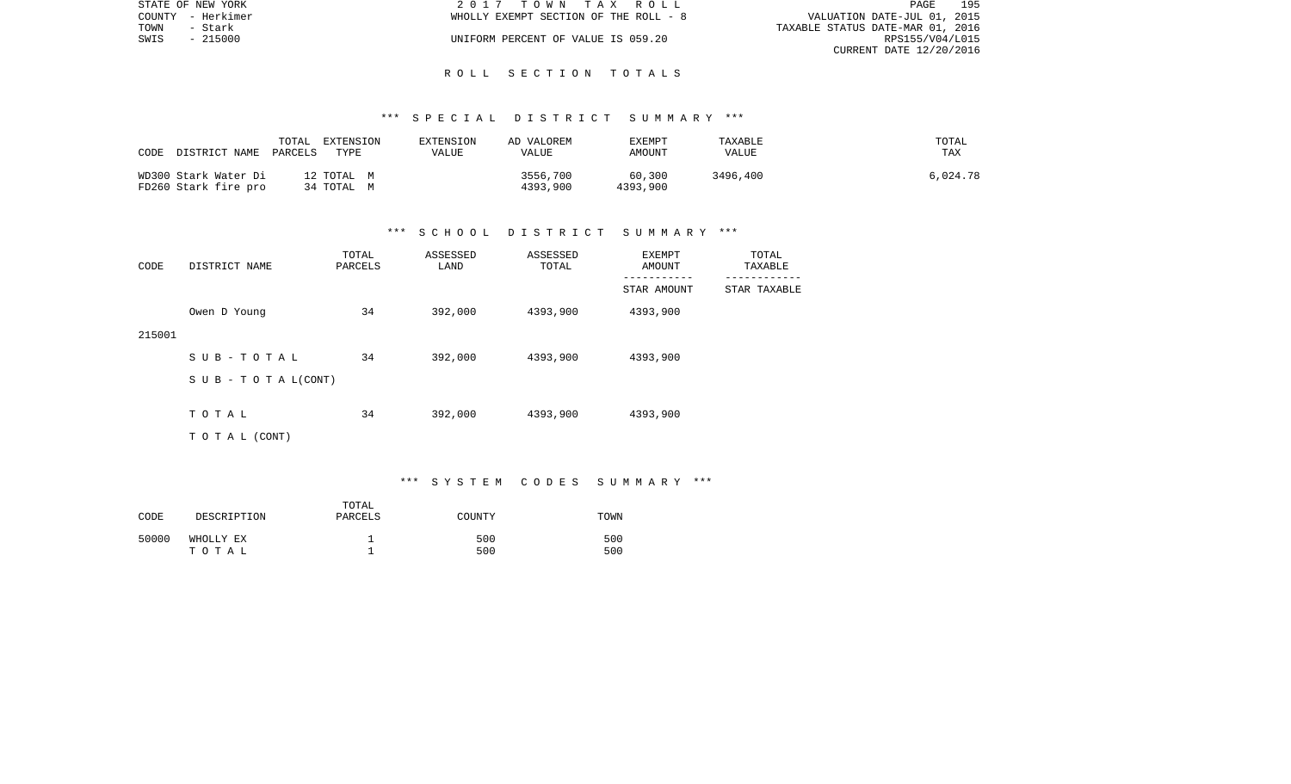| STATE OF NEW YORK | 2017 TOWN TAX ROLL                    | 195<br>PAGE                      |
|-------------------|---------------------------------------|----------------------------------|
| COUNTY - Herkimer | WHOLLY EXEMPT SECTION OF THE ROLL - 8 | VALUATION DATE-JUL 01, 2015      |
| TOWN<br>- Stark   |                                       | TAXABLE STATUS DATE-MAR 01, 2016 |
| SWIS<br>- 215000  | UNIFORM PERCENT OF VALUE IS 059.20    | RPS155/V04/L015                  |
|                   |                                       | CURRENT DATE 12/20/2016          |

#### R O L L S E C T I O N T O T A L S

### \*\*\* S P E C I A L D I S T R I C T S U M M A R Y \*\*\*

| CODE<br>DISTRICT NAME                        | TOTAL<br>EXTENSION<br>TYPE<br>PARCELS | EXTENSION<br>VALUE | AD VALOREM<br>VALUE  | EXEMPT<br>AMOUNT   | TAXABLE<br>VALUE | TOTAL<br>TAX |
|----------------------------------------------|---------------------------------------|--------------------|----------------------|--------------------|------------------|--------------|
| WD300 Stark Water Di<br>FD260 Stark fire pro | 12 TOTAL M<br>34 TOTAL M              |                    | 3556,700<br>4393,900 | 60,300<br>4393,900 | 3496,400         | 6,024.78     |

#### \*\*\* S C H O O L D I S T R I C T S U M M A R Y \*\*\*

| CODE   | DISTRICT NAME                    | TOTAL<br>PARCELS | ASSESSED<br>LAND | ASSESSED<br>TOTAL | EXEMPT<br>AMOUNT | TOTAL<br>TAXABLE |
|--------|----------------------------------|------------------|------------------|-------------------|------------------|------------------|
|        |                                  |                  |                  |                   | STAR AMOUNT      | STAR TAXABLE     |
|        | Owen D Young                     | 34               | 392,000          | 4393,900          | 4393,900         |                  |
| 215001 |                                  |                  |                  |                   |                  |                  |
|        | SUB-TOTAL                        | 34               | 392,000          | 4393,900          | 4393,900         |                  |
|        | $S \cup B - T \cup T A L (CONT)$ |                  |                  |                   |                  |                  |
|        | TOTAL                            | 34               | 392,000          | 4393,900          | 4393,900         |                  |
|        |                                  |                  |                  |                   |                  |                  |
|        | T O T A L (CONT)                 |                  |                  |                   |                  |                  |

\*\*\* S Y S T E M C O D E S S U M M A R Y \*\*\*

| CODE  | DESCRIPTION        | TOTAL<br>PARCELS | COUNTY     | TOWN       |
|-------|--------------------|------------------|------------|------------|
| 50000 | WHOLLY EX<br>тотаь |                  | 500<br>500 | 500<br>500 |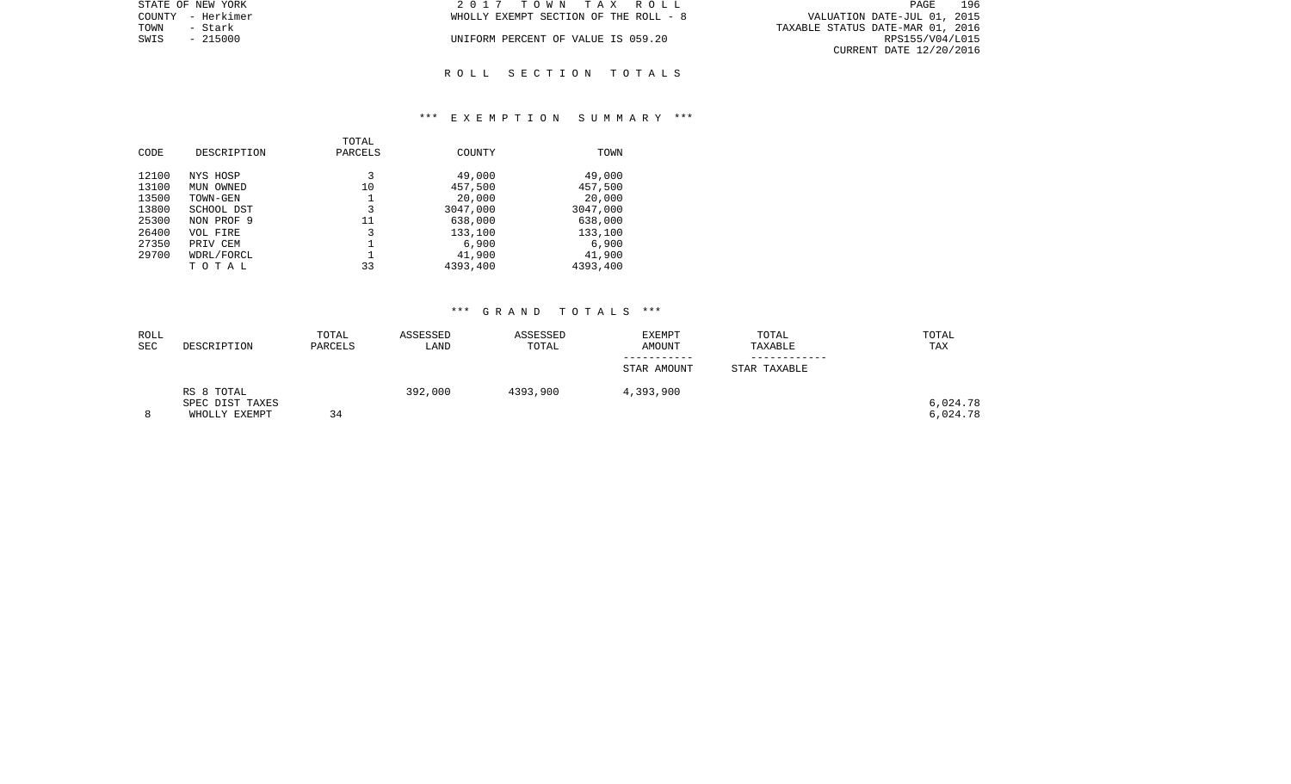| STATE OF NEW YORK | 2017 TOWN TAX ROLL                    | 196<br>PAGE                      |
|-------------------|---------------------------------------|----------------------------------|
| COUNTY - Herkimer | WHOLLY EXEMPT SECTION OF THE ROLL - 8 | VALUATION DATE-JUL 01, 2015      |
| TOWN<br>- Stark   |                                       | TAXABLE STATUS DATE-MAR 01, 2016 |
| SWIS<br>$-215000$ | UNIFORM PERCENT OF VALUE IS 059.20    | RPS155/V04/L015                  |
|                   |                                       | CURRENT DATE 12/20/2016          |
|                   |                                       |                                  |

# R O L L S E C T I O N T O T A L S

### \*\*\* E X E M P T I O N S U M M A R Y \*\*\*

| CODE  | DESCRIPTION | TOTAL<br>PARCELS | COUNTY   | TOWN     |
|-------|-------------|------------------|----------|----------|
| 12100 | NYS HOSP    | 3                | 49,000   | 49,000   |
| 13100 | MUN OWNED   | 10               | 457,500  | 457,500  |
| 13500 | TOWN-GEN    | 1                | 20,000   | 20,000   |
| 13800 | SCHOOL DST  | 3                | 3047,000 | 3047,000 |
| 25300 | NON PROF 9  | 11               | 638,000  | 638,000  |
| 26400 | VOL FIRE    | 3                | 133,100  | 133,100  |
| 27350 | PRIV CEM    |                  | 6,900    | 6,900    |
| 29700 | WDRL/FORCL  |                  | 41,900   | 41,900   |
|       | TOTAL       | 33               | 4393,400 | 4393,400 |
|       |             |                  |          |          |

| ROLL       |                 | TOTAL   | ASSESSED | ASSESSED | <b>EXEMPT</b> | TOTAL        | TOTAL    |
|------------|-----------------|---------|----------|----------|---------------|--------------|----------|
| <b>SEC</b> | DESCRIPTION     | PARCELS | LAND     | TOTAL    | <b>AMOUNT</b> | TAXABLE      | TAX      |
|            |                 |         |          |          |               |              |          |
|            |                 |         |          |          | STAR AMOUNT   | STAR TAXABLE |          |
|            | RS 8 TOTAL      |         | 392,000  | 4393,900 | 4,393,900     |              |          |
|            | SPEC DIST TAXES |         |          |          |               |              | 6,024.78 |
|            | WHOLLY EXEMPT   | 34      |          |          |               |              | 6,024.78 |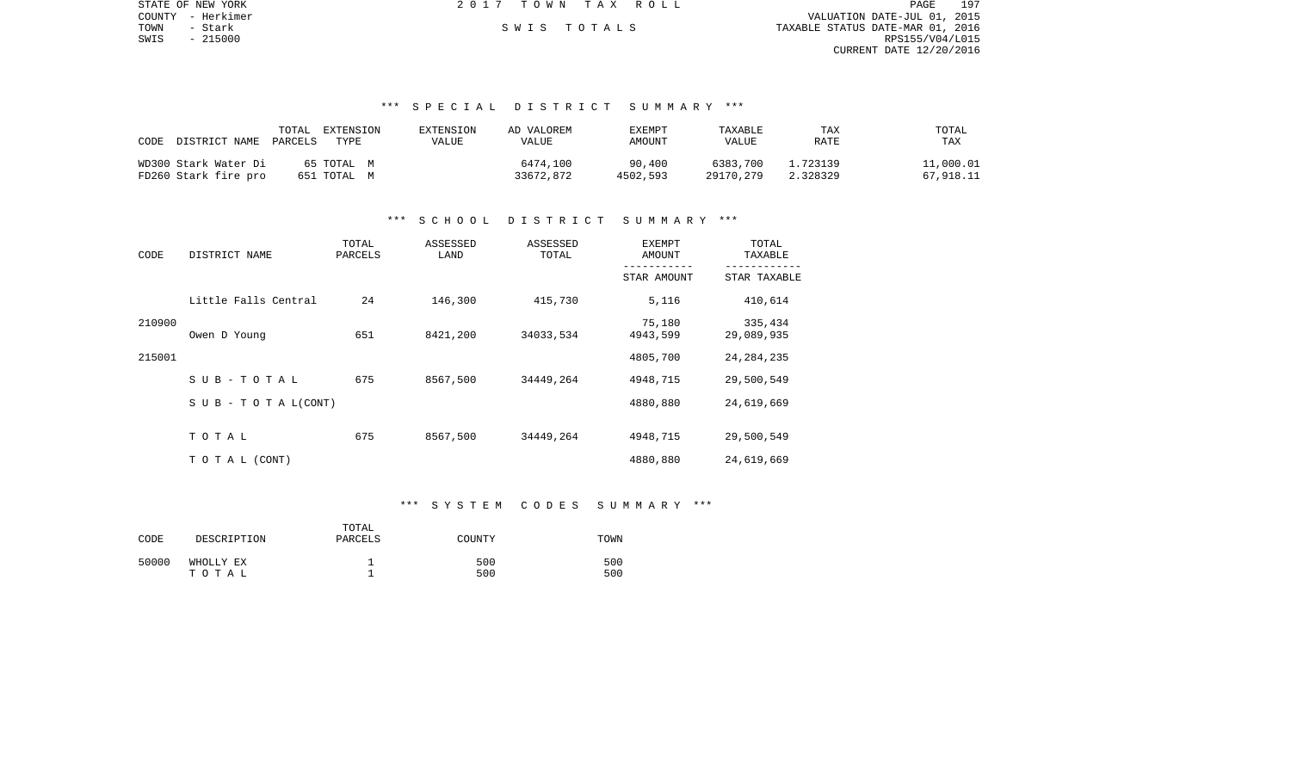| STATE OF NEW YORK | 2017 TOWN TAX ROLL | 197<br>PAGE                      |
|-------------------|--------------------|----------------------------------|
| COUNTY - Herkimer |                    | VALUATION DATE-JUL 01, 2015      |
| TOWN<br>- Stark   | SWIS TOTALS        | TAXABLE STATUS DATE-MAR 01, 2016 |
| SWIS<br>- 215000  |                    | RPS155/V04/L015                  |
|                   |                    | CURRENT DATE 12/20/2016          |
|                   |                    |                                  |
|                   |                    |                                  |

### \*\*\* S P E C I A L D I S T R I C T S U M M A R Y \*\*\*

| CODE<br>DISTRICT NAME PARCELS | TOTAL<br>EXTENSION<br>TYPE. | EXTENSION<br>VALUE | AD VALOREM<br>VALUE | EXEMPT<br>AMOUNT | TAXABLE<br><b>VALUE</b> | TAX<br>RATE | TOTAL<br>TAX |
|-------------------------------|-----------------------------|--------------------|---------------------|------------------|-------------------------|-------------|--------------|
| WD300 Stark Water Di          | 65 TOTAL M                  |                    | 6474,100            | 90,400           | 6383.700                | 1.723139    | 11,000.01    |
| FD260 Stark fire pro          | 651 TOTAL M                 |                    | 33672,872           | 4502.593         | 29170,279               | 2.328329    | 67,918.11    |

# \*\*\* S C H O O L D I S T R I C T S U M M A R Y \*\*\*

| CODE   | DISTRICT NAME                    | TOTAL<br>PARCELS | ASSESSED<br>LAND | ASSESSED<br>TOTAL | EXEMPT<br><b>AMOUNT</b> | TOTAL<br>TAXABLE<br>------- |  |
|--------|----------------------------------|------------------|------------------|-------------------|-------------------------|-----------------------------|--|
|        |                                  |                  |                  |                   | STAR AMOUNT             | STAR TAXABLE                |  |
|        | Little Falls Central             | 24               | 146,300          | 415,730           | 5,116                   | 410,614                     |  |
| 210900 | Owen D Young                     | 651              | 8421,200         | 34033,534         | 75,180<br>4943,599      | 335,434<br>29,089,935       |  |
| 215001 |                                  |                  |                  |                   | 4805,700                | 24, 284, 235                |  |
|        | SUB-TOTAL                        | 675              | 8567,500         | 34449,264         | 4948,715                | 29,500,549                  |  |
|        | $S \cup B - T \cup T A L (CONT)$ |                  |                  |                   | 4880,880                | 24,619,669                  |  |
|        | TOTAL                            | 675              | 8567,500         | 34449,264         | 4948,715                | 29,500,549                  |  |
|        | TO TAL (CONT)                    |                  |                  |                   | 4880,880                | 24,619,669                  |  |

#### \*\*\* S Y S T E M C O D E S S U M M A R Y \*\*\*

| CODE  | DESCRIPTION        | TOTAL<br>PARCELS | COUNTY     | TOWN       |
|-------|--------------------|------------------|------------|------------|
| 50000 | WHOLLY EX<br>тотаь |                  | 500<br>500 | 500<br>500 |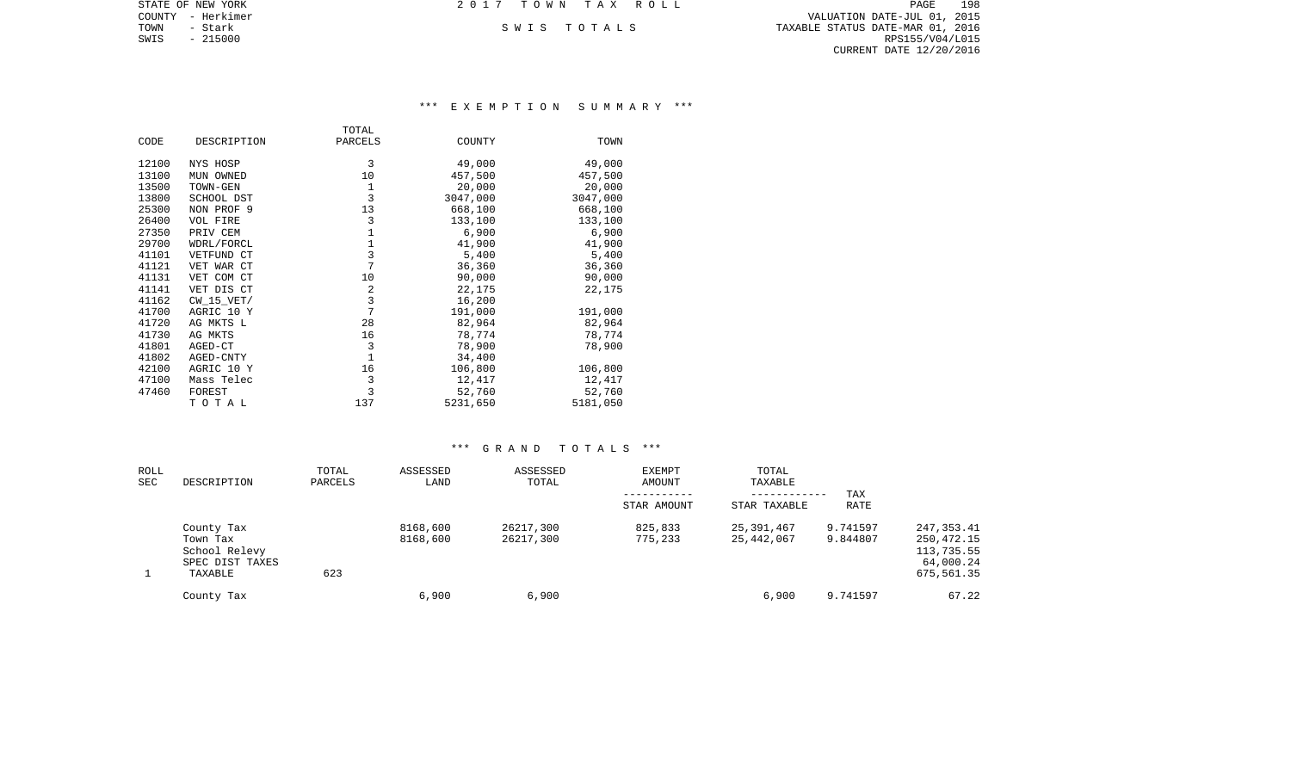| STATE OF NEW YORK | 2017 TOWN TAX ROLL | PAGE                             | 198 |
|-------------------|--------------------|----------------------------------|-----|
| COUNTY - Herkimer |                    | VALUATION DATE-JUL 01, 2015      |     |
| TOWN<br>– Stark   | SWIS TOTALS        | TAXABLE STATUS DATE-MAR 01, 2016 |     |
| SWIS<br>- 215000  |                    | RPS155/V04/L015                  |     |
|                   |                    | CURRENT DATE 12/20/2016          |     |
|                   |                    |                                  |     |

# \*\*\* E X E M P T I O N S U M M A R Y \*\*\*

|       |                 | TOTAL        |          |          |
|-------|-----------------|--------------|----------|----------|
| CODE  | DESCRIPTION     | PARCELS      | COUNTY   | TOWN     |
| 12100 | NYS HOSP        | 3            | 49,000   | 49,000   |
| 13100 | MUN OWNED       | 10           | 457,500  | 457,500  |
| 13500 | TOWN-GEN        | 1            | 20,000   | 20,000   |
| 13800 | SCHOOL DST      | 3            | 3047,000 | 3047,000 |
| 25300 | NON PROF 9      | 13           | 668,100  | 668,100  |
| 26400 | <b>VOL FIRE</b> | 3            | 133,100  | 133,100  |
| 27350 | PRIV CEM        | $\mathbf{1}$ | 6,900    | 6,900    |
| 29700 | WDRL/FORCL      | 1            | 41,900   | 41,900   |
| 41101 | VETFUND CT      | 3            | 5,400    | 5,400    |
| 41121 | VET WAR CT      | 7            | 36,360   | 36,360   |
| 41131 | VET COM CT      | 10           | 90,000   | 90,000   |
| 41141 | VET DIS CT      | 2            | 22,175   | 22,175   |
| 41162 | CW 15 VET/      | 3            | 16,200   |          |
| 41700 | AGRIC 10 Y      | 7            | 191,000  | 191,000  |
| 41720 | AG MKTS L       | 28           | 82,964   | 82,964   |
| 41730 | AG MKTS         | 16           | 78,774   | 78,774   |
| 41801 | AGED-CT         | 3            | 78,900   | 78,900   |
| 41802 | AGED-CNTY       | $\mathbf{1}$ | 34,400   |          |
| 42100 | AGRIC 10 Y      | 16           | 106,800  | 106,800  |
| 47100 | Mass Telec      | 3            | 12,417   | 12,417   |
| 47460 | FOREST          | 3            | 52,760   | 52,760   |
|       | TOTAL           | 137          | 5231,650 | 5181,050 |

| ROLL<br>SEC | DESCRIPTION                                                           | TOTAL<br>PARCELS | ASSESSED<br>LAND     | ASSESSED<br>TOTAL      | EXEMPT<br>AMOUNT   | TOTAL<br>TAXABLE<br>------------ | TAX                  |                                                                    |
|-------------|-----------------------------------------------------------------------|------------------|----------------------|------------------------|--------------------|----------------------------------|----------------------|--------------------------------------------------------------------|
|             |                                                                       |                  |                      |                        | STAR AMOUNT        | STAR TAXABLE                     | <b>RATE</b>          |                                                                    |
|             | County Tax<br>Town Tax<br>School Relevy<br>SPEC DIST TAXES<br>TAXABLE | 623              | 8168,600<br>8168,600 | 26217,300<br>26217,300 | 825,833<br>775,233 | 25,391,467<br>25,442,067         | 9.741597<br>9.844807 | 247, 353.41<br>250,472.15<br>113,735.55<br>64,000.24<br>675,561.35 |
|             | County Tax                                                            |                  | 6,900                | 6,900                  |                    | 6,900                            | 9.741597             | 67.22                                                              |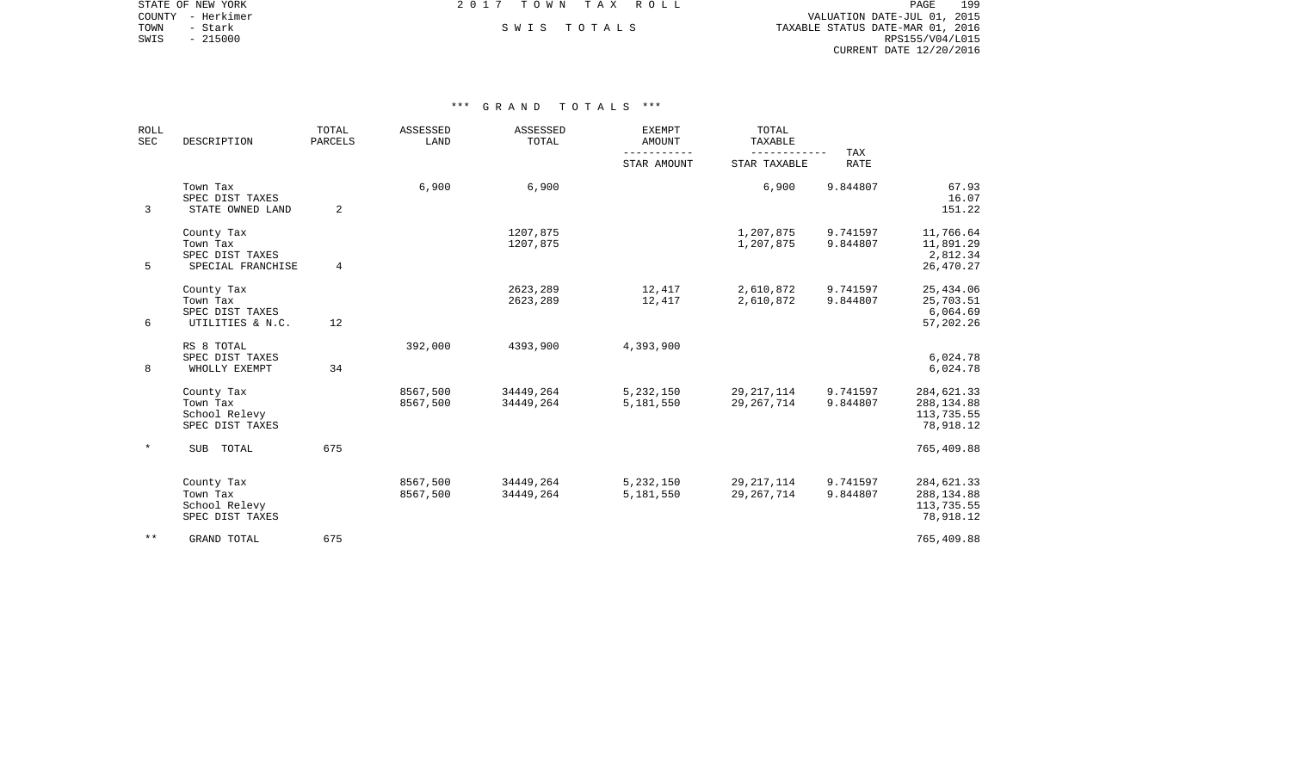COUNTY - Herkimer VALUATION DATE-JUL 01, 2015 TOWN - Stark South S W I S T O T A L S TO T A L S TAXABLE STATUS DATE-MAR 01, 2016 SWIS - 215000<br>SWIS - 215000<br>SWIS - 215000<br>RPS155/V04/L015 CURRENT DATE 12/20/2016

STATE OF NEW YORK **EXECUTE:**  $2017$  TOWN TAX ROLL

| <b>ROLL</b><br><b>SEC</b> | DESCRIPTION                                                    | <b>ASSESSED</b><br><b>ASSESSED</b><br><b>EXEMPT</b><br>TOTAL<br>LAND<br>TOTAL<br>PARCELS<br><b>AMOUNT</b><br>STAR AMOUNT | TOTAL<br>TAXABLE     | TAX                    |                        |                              |                      |                                                      |
|---------------------------|----------------------------------------------------------------|--------------------------------------------------------------------------------------------------------------------------|----------------------|------------------------|------------------------|------------------------------|----------------------|------------------------------------------------------|
|                           |                                                                |                                                                                                                          |                      |                        | STAR TAXABLE           | <b>RATE</b>                  |                      |                                                      |
| 3                         | Town Tax<br>SPEC DIST TAXES<br>STATE OWNED LAND                | 2                                                                                                                        | 6,900                | 6,900                  |                        | 6,900                        | 9.844807             | 67.93<br>16.07<br>151.22                             |
| 5                         | County Tax<br>Town Tax<br>SPEC DIST TAXES<br>SPECIAL FRANCHISE | 4                                                                                                                        |                      | 1207,875<br>1207,875   |                        | 1,207,875<br>1,207,875       | 9.741597<br>9.844807 | 11,766.64<br>11,891.29<br>2,812.34<br>26,470.27      |
| 6                         | County Tax<br>Town Tax<br>SPEC DIST TAXES<br>UTILITIES & N.C.  | 12                                                                                                                       |                      | 2623,289<br>2623,289   | 12,417<br>12,417       | 2,610,872<br>2,610,872       | 9.741597<br>9.844807 | 25,434.06<br>25,703.51<br>6,064.69<br>57,202.26      |
| 8                         | RS 8 TOTAL<br>SPEC DIST TAXES<br>WHOLLY EXEMPT                 | 34                                                                                                                       | 392,000              | 4393,900               | 4,393,900              |                              |                      | 6,024.78<br>6,024.78                                 |
|                           | County Tax<br>Town Tax<br>School Relevy<br>SPEC DIST TAXES     |                                                                                                                          | 8567,500<br>8567,500 | 34449,264<br>34449,264 | 5,232,150<br>5,181,550 | 29, 217, 114<br>29, 267, 714 | 9.741597<br>9.844807 | 284,621.33<br>288, 134.88<br>113,735.55<br>78,918.12 |
| $\ast$                    | <b>SUB</b><br>TOTAL                                            | 675                                                                                                                      |                      |                        |                        |                              |                      | 765,409.88                                           |
|                           | County Tax<br>Town Tax<br>School Relevy<br>SPEC DIST TAXES     |                                                                                                                          | 8567,500<br>8567,500 | 34449,264<br>34449,264 | 5,232,150<br>5,181,550 | 29, 217, 114<br>29, 267, 714 | 9.741597<br>9.844807 | 284,621.33<br>288, 134.88<br>113,735.55<br>78,918.12 |
| $\star\star$              | <b>GRAND TOTAL</b>                                             | 675                                                                                                                      |                      |                        |                        |                              |                      | 765,409.88                                           |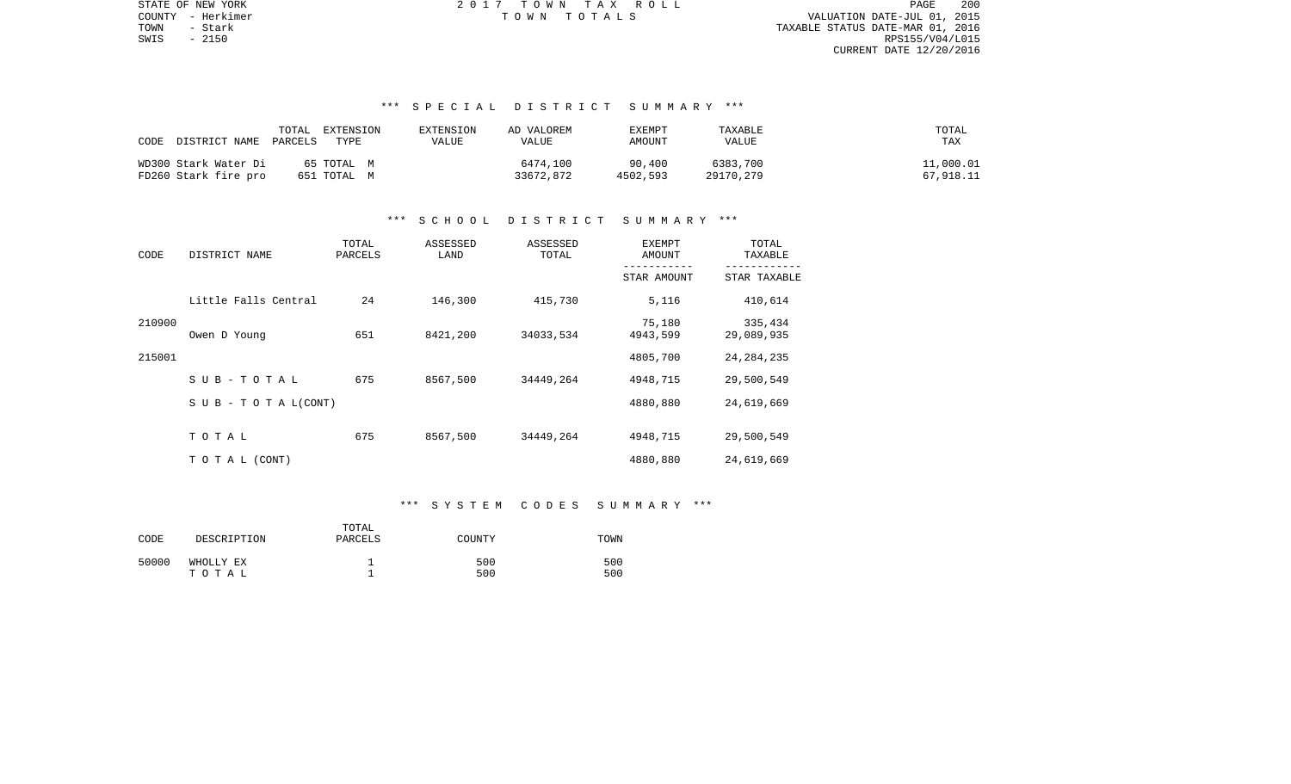PAGE 200 TOWN - Stark TAXABLE STATUS DATE-MAR 01, 2016 SWIS - 2150 RPS155/V04/L015 CURRENT DATE 12/20/2016

STATE OF NEW YORK **EXECUTE:**  $2017$  TOWN TAX ROLL COUNTY - Herkimer T O W N T O T A L S VALUATION DATE-JUL 01, 2015

# \*\*\* S P E C I A L D I S T R I C T S U M M A R Y \*\*\*

| DISTRICT NAME PARCELS<br>CODE | TOTAL<br>EXTENSION<br>TYPE | EXTENSION<br>VALUE | AD VALOREM<br><b>VALUE</b> | EXEMPT<br>AMOUNT | TAXABLE<br>VALUE | TOTAL<br>TAX |
|-------------------------------|----------------------------|--------------------|----------------------------|------------------|------------------|--------------|
| WD300 Stark Water Di          | 65 ТОТАL М                 |                    | 6474,100                   | 90,400           | 6383,700         | 11,000.01    |
| FD260 Stark fire pro          | 651 TOTAL M                |                    | 33672,872                  | 4502,593         | 29170,279        | 67,918.11    |

### \*\*\* S C H O O L D I S T R I C T S U M M A R Y \*\*\*

| CODE   | DISTRICT NAME                    | TOTAL<br>PARCELS | ASSESSED<br>LAND | ASSESSED<br>TOTAL | <b>EXEMPT</b><br>AMOUNT | TOTAL<br>TAXABLE      |
|--------|----------------------------------|------------------|------------------|-------------------|-------------------------|-----------------------|
|        |                                  |                  |                  |                   | STAR AMOUNT             | STAR TAXABLE          |
|        | Little Falls Central             | 24               | 146,300          | 415,730           | 5,116                   | 410,614               |
| 210900 | Owen D Young                     | 651              | 8421,200         | 34033,534         | 75,180<br>4943,599      | 335,434<br>29,089,935 |
| 215001 |                                  |                  |                  |                   | 4805,700                | 24, 284, 235          |
|        | SUB-TOTAL                        | 675              | 8567,500         | 34449,264         | 4948,715                | 29,500,549            |
|        | $S \cup B - T \cup T A L (CONT)$ |                  |                  |                   | 4880,880                | 24,619,669            |
|        | TOTAL                            | 675              | 8567,500         | 34449,264         | 4948,715                | 29,500,549            |
|        | T O T A L (CONT)                 |                  |                  |                   | 4880,880                | 24,619,669            |

#### \*\*\* S Y S T E M C O D E S S U M M A R Y \*\*\*

| CODE  | DESCRIPTION        | TOTAL<br>PARCELS | COUNTY     | TOWN       |
|-------|--------------------|------------------|------------|------------|
| 50000 | WHOLLY EX<br>тотаь |                  | 500<br>500 | 500<br>500 |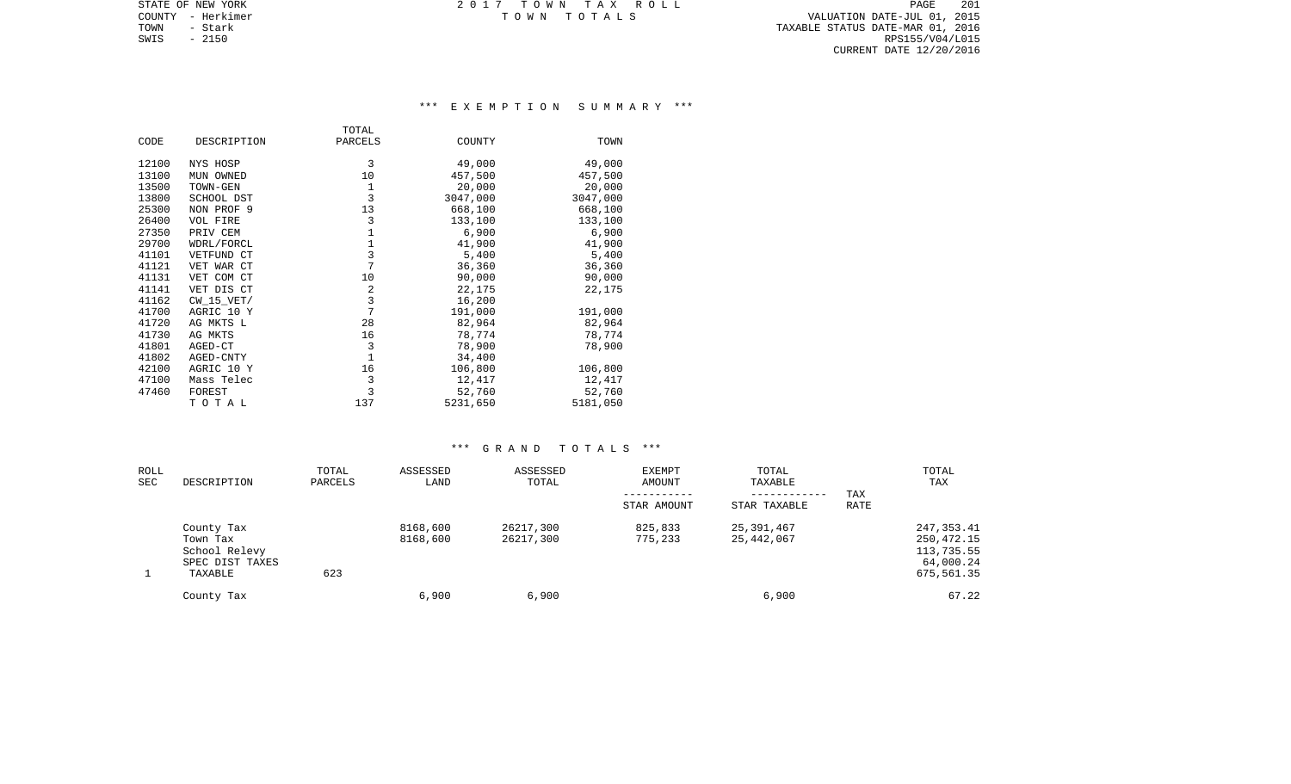STATE OF NEW YORK **EXECUTE:**  $2017$  TOWN TAX ROLL COUNTY - Herkimer T O W N T O T A L S VALUATION DATE-JUL 01, 2015

PAGE 201

CURRENT DATE 12/20/2016

TOWN - Stark TAXABLE STATUS DATE-MAR 01, 2016 SWIS - 2150 RPS155/V04/L015

\*\*\* E X E M P T I O N S U M M A R Y \*\*\*

|       |                | TOTAL       |          |          |
|-------|----------------|-------------|----------|----------|
| CODE  | DESCRIPTION    | PARCELS     | COUNTY   | TOWN     |
|       |                |             |          |          |
| 12100 | NYS HOSP       | 3           | 49,000   | 49,000   |
| 13100 | MUN OWNED      | 10          | 457,500  | 457,500  |
| 13500 | TOWN-GEN       | 1           | 20,000   | 20,000   |
| 13800 | SCHOOL DST     | 3           | 3047,000 | 3047,000 |
| 25300 | NON PROF 9     | 13          | 668,100  | 668,100  |
| 26400 | VOL FIRE       | 3           | 133,100  | 133,100  |
| 27350 | PRIV CEM       | $\mathbf 1$ | 6,900    | 6,900    |
| 29700 | WDRL/FORCL     | 1           | 41,900   | 41,900   |
| 41101 | VETFUND CT     | 3           | 5,400    | 5,400    |
| 41121 | VET WAR CT     | 7           | 36,360   | 36,360   |
| 41131 | VET COM CT     | 10          | 90,000   | 90,000   |
| 41141 | VET DIS CT     | 2           | 22,175   | 22,175   |
| 41162 | $CW$ 15 $VET/$ | 3           | 16,200   |          |
| 41700 | AGRIC 10 Y     | 7           | 191,000  | 191,000  |
| 41720 | AG MKTS L      | 28          | 82,964   | 82,964   |
| 41730 | AG MKTS        | 16          | 78,774   | 78,774   |
| 41801 | AGED-CT        | 3           | 78,900   | 78,900   |
| 41802 | AGED-CNTY      | 1           | 34,400   |          |
| 42100 | AGRIC 10 Y     | 16          | 106,800  | 106,800  |
| 47100 | Mass Telec     | 3           | 12,417   | 12,417   |
| 47460 | FOREST         | 3           | 52,760   | 52,760   |
|       | TOTAL          | 137         | 5231,650 | 5181,050 |

| ROLL<br>SEC | DESCRIPTION                                                           | TOTAL<br>PARCELS | ASSESSED<br>LAND     | ASSESSED<br>TOTAL      | <b>EXEMPT</b><br>AMOUNT | TOTAL<br>TAXABLE<br>------------ | TAX  | TOTAL<br>TAX                                                         |
|-------------|-----------------------------------------------------------------------|------------------|----------------------|------------------------|-------------------------|----------------------------------|------|----------------------------------------------------------------------|
|             |                                                                       |                  |                      |                        | STAR AMOUNT             | STAR TAXABLE                     | RATE |                                                                      |
|             | County Tax<br>Town Tax<br>School Relevy<br>SPEC DIST TAXES<br>TAXABLE | 623              | 8168,600<br>8168,600 | 26217,300<br>26217,300 | 825,833<br>775,233      | 25,391,467<br>25,442,067         |      | 247, 353.41<br>250, 472. 15<br>113,735.55<br>64,000.24<br>675,561.35 |
|             | County Tax                                                            |                  | 6,900                | 6,900                  |                         | 6,900                            |      | 67.22                                                                |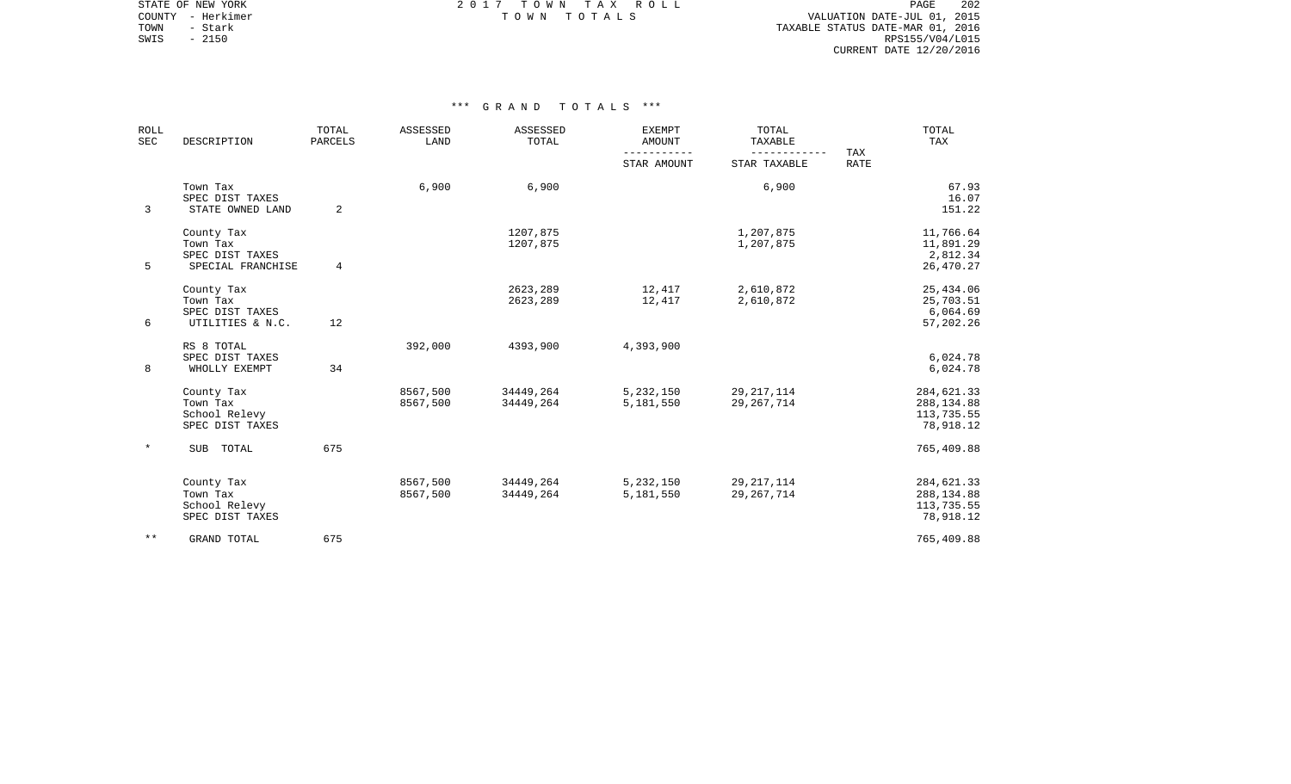| <b>ROLL</b><br>SEC | DESCRIPTION                                                    | TOTAL<br>PARCELS | ASSESSED<br>LAND     | ASSESSED<br>TOTAL      | <b>EXEMPT</b><br><b>AMOUNT</b> | TOTAL<br>TAXABLE             | TAX | TOTAL<br>TAX                                         |
|--------------------|----------------------------------------------------------------|------------------|----------------------|------------------------|--------------------------------|------------------------------|-----|------------------------------------------------------|
|                    |                                                                |                  |                      | STAR AMOUNT            | STAR TAXABLE                   | <b>RATE</b>                  |     |                                                      |
| 3                  | Town Tax<br>SPEC DIST TAXES<br>STATE OWNED LAND                | 2                | 6,900                | 6,900                  |                                | 6,900                        |     | 67.93<br>16.07<br>151.22                             |
| 5                  | County Tax<br>Town Tax<br>SPEC DIST TAXES<br>SPECIAL FRANCHISE | $\overline{4}$   |                      | 1207,875<br>1207,875   |                                | 1,207,875<br>1,207,875       |     | 11,766.64<br>11,891.29<br>2,812.34<br>26,470.27      |
| 6                  | County Tax<br>Town Tax<br>SPEC DIST TAXES<br>UTILITIES & N.C.  | 12               |                      | 2623,289<br>2623,289   | 12,417<br>12,417               | 2,610,872<br>2,610,872       |     | 25,434.06<br>25,703.51<br>6,064.69<br>57,202.26      |
| 8                  | RS 8 TOTAL<br>SPEC DIST TAXES<br>WHOLLY EXEMPT                 | 34               | 392,000              | 4393,900               | 4,393,900                      |                              |     | 6,024.78<br>6,024.78                                 |
|                    | County Tax<br>Town Tax<br>School Relevy<br>SPEC DIST TAXES     |                  | 8567,500<br>8567,500 | 34449,264<br>34449,264 | 5,232,150<br>5,181,550         | 29, 217, 114<br>29, 267, 714 |     | 284,621.33<br>288, 134.88<br>113,735.55<br>78,918.12 |
|                    | SUB TOTAL                                                      | 675              |                      |                        |                                |                              |     | 765,409.88                                           |
|                    | County Tax<br>Town Tax<br>School Relevy<br>SPEC DIST TAXES     |                  | 8567,500<br>8567,500 | 34449,264<br>34449,264 | 5,232,150<br>5,181,550         | 29, 217, 114<br>29, 267, 714 |     | 284,621.33<br>288, 134.88<br>113,735.55<br>78,918.12 |
| $***$              | <b>GRAND TOTAL</b>                                             | 675              |                      |                        |                                |                              |     | 765,409.88                                           |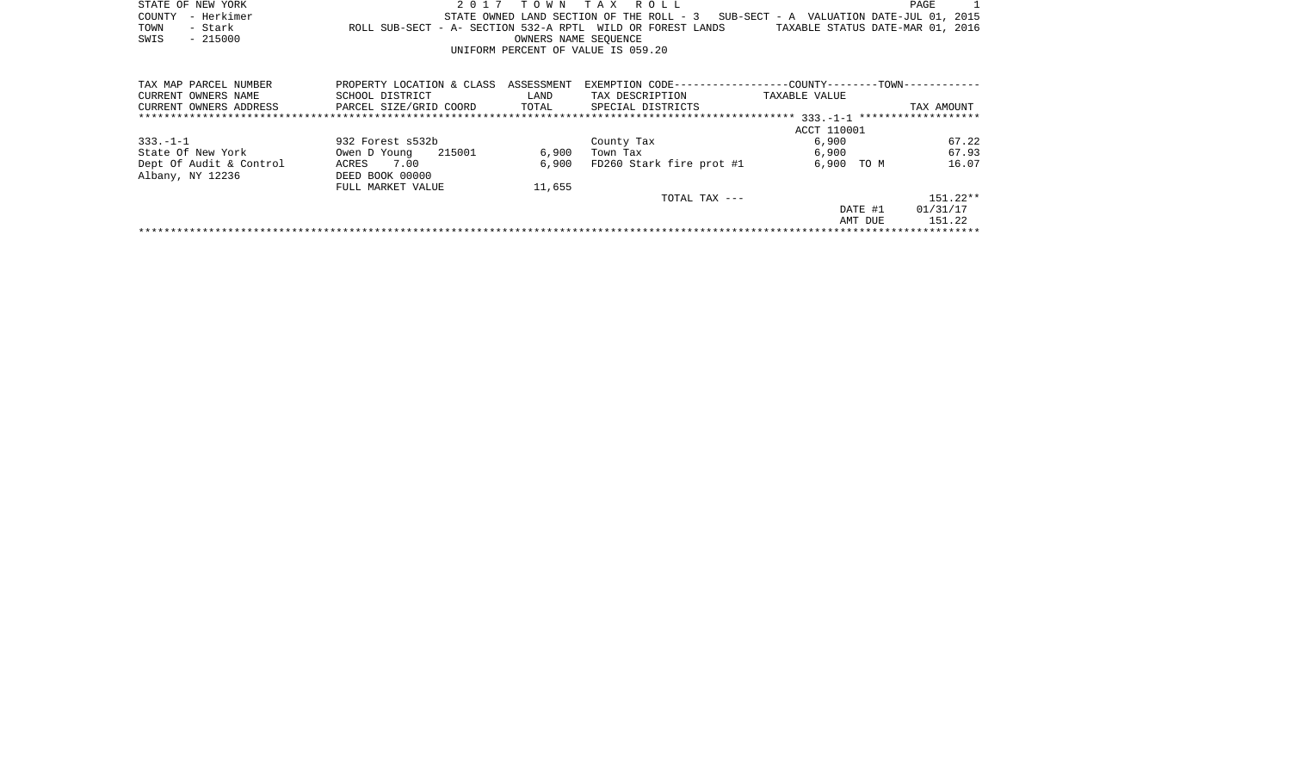|      | STATE OF NEW YORK |                                                            | 2017 TOWN TAX ROLL                 |                      |  |  |                                                                                   |                                  | PAGE |  |
|------|-------------------|------------------------------------------------------------|------------------------------------|----------------------|--|--|-----------------------------------------------------------------------------------|----------------------------------|------|--|
|      | COUNTY - Herkimer |                                                            |                                    |                      |  |  | STATE OWNED LAND SECTION OF THE ROLL - 3 SUB-SECT - A VALUATION DATE-JUL 01, 2015 |                                  |      |  |
| TOWN | - Stark           | ROLL SUB-SECT - A- SECTION 532-A RPTL WILD OR FOREST LANDS |                                    |                      |  |  |                                                                                   | TAXABLE STATUS DATE-MAR 01, 2016 |      |  |
| SWIS | $-215000$         |                                                            |                                    | OWNERS NAME SEOUENCE |  |  |                                                                                   |                                  |      |  |
|      |                   |                                                            | UNIFORM PERCENT OF VALUE IS 059.20 |                      |  |  |                                                                                   |                                  |      |  |
|      |                   |                                                            |                                    |                      |  |  |                                                                                   |                                  |      |  |

| TAX MAP PARCEL NUMBER   | PROPERTY LOCATION & CLASS | ASSESSMENT | EXEMPTION CODE------------------COUNTY--------TOWN----------- |               |            |
|-------------------------|---------------------------|------------|---------------------------------------------------------------|---------------|------------|
| CURRENT OWNERS NAME     | SCHOOL DISTRICT           | LAND       | TAX DESCRIPTION                                               | TAXABLE VALUE |            |
| CURRENT OWNERS ADDRESS  | PARCEL SIZE/GRID COORD    | TOTAL      | SPECIAL DISTRICTS                                             |               | TAX AMOUNT |
|                         |                           |            |                                                               |               |            |
|                         |                           |            |                                                               | ACCT 110001   |            |
| $333. - 1 - 1$          | 932 Forest s532b          |            | County Tax                                                    | 6,900         | 67.22      |
| State Of New York       | 215001<br>Owen D Young    | 6,900      | Town Tax                                                      | 6,900         | 67.93      |
| Dept Of Audit & Control | 7.00<br>ACRES             | 6,900      | FD260 Stark fire prot #1                                      | 6,900<br>TO M | 16.07      |
| Albany, NY 12236        | DEED BOOK 00000           |            |                                                               |               |            |
|                         | FULL MARKET VALUE         | 11,655     |                                                               |               |            |
|                         |                           |            | TOTAL TAX ---                                                 |               | $151.22**$ |
|                         |                           |            |                                                               | DATE #1       | 01/31/17   |
|                         |                           |            |                                                               | AMT DUE       | 151.22     |
|                         |                           |            |                                                               |               |            |
|                         |                           |            |                                                               |               |            |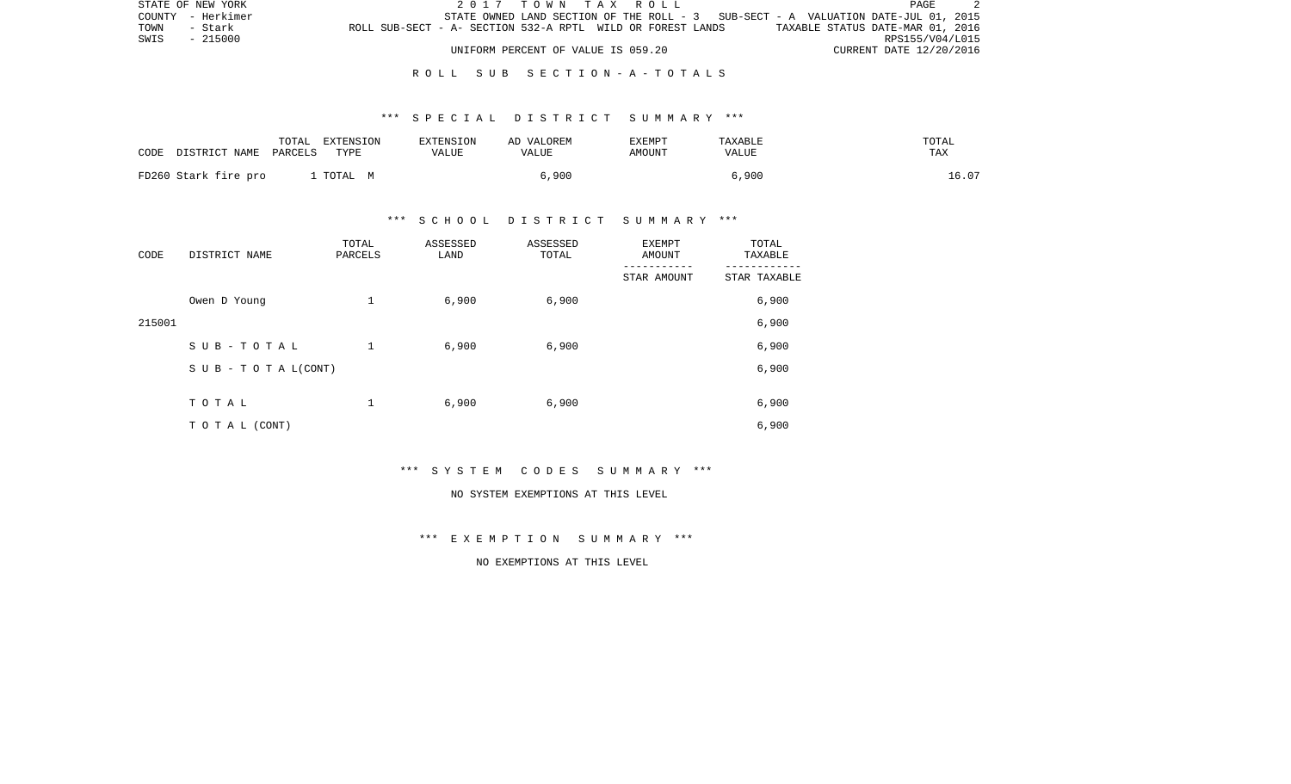| STATE OF NEW YORK |         |                                                            |  |                                    |  | 2017 TOWN TAX ROLL |                                                                                   |                                  |                         | PAGE |  |
|-------------------|---------|------------------------------------------------------------|--|------------------------------------|--|--------------------|-----------------------------------------------------------------------------------|----------------------------------|-------------------------|------|--|
| COUNTY - Herkimer |         |                                                            |  |                                    |  |                    | STATE OWNED LAND SECTION OF THE ROLL - 3 SUB-SECT - A VALUATION DATE-JUL 01, 2015 |                                  |                         |      |  |
| TOWN              | - Stark | ROLL SUB-SECT - A- SECTION 532-A RPTL WILD OR FOREST LANDS |  |                                    |  |                    |                                                                                   | TAXABLE STATUS DATE-MAR 01, 2016 |                         |      |  |
| SWIS - 215000     |         |                                                            |  |                                    |  |                    |                                                                                   |                                  | RPS155/V04/L015         |      |  |
|                   |         |                                                            |  | UNIFORM PERCENT OF VALUE IS 059.20 |  |                    |                                                                                   |                                  | CURRENT DATE 12/20/2016 |      |  |

### R O L L S U B S E C T I O N - A - T O T A L S

### \*\*\* S P E C I A L D I S T R I C T S U M M A R Y \*\*\*

| CODE | DISTRICT NAME        | TOTAL<br>PARCELS | EXTENSION<br>TYPE | EXTENSION<br>VALUE | AD VALOREM<br>VALUE | <b>EXEMPT</b><br>AMOUNT | TAXABLE<br>VALUE | TOTAL<br>TAX |
|------|----------------------|------------------|-------------------|--------------------|---------------------|-------------------------|------------------|--------------|
|      | FD260 Stark fire pro |                  | TOTAL M           |                    | 6,900               |                         | 6,900            | 16.07        |

# \*\*\* S C H O O L D I S T R I C T S U M M A R Y \*\*\*

| CODE   | DISTRICT NAME                    | TOTAL<br>PARCELS | ASSESSED<br>LAND | ASSESSED<br>TOTAL | <b>EXEMPT</b><br>AMOUNT | TOTAL<br>TAXABLE |
|--------|----------------------------------|------------------|------------------|-------------------|-------------------------|------------------|
|        |                                  |                  |                  |                   | STAR AMOUNT             | STAR TAXABLE     |
|        | Owen D Young                     | 1                | 6,900            | 6,900             |                         | 6,900            |
| 215001 |                                  |                  |                  |                   |                         | 6,900            |
|        | SUB-TOTAL                        | $\mathbf{1}$     | 6,900            | 6,900             |                         | 6,900            |
|        | $S \cup B - T \cup T A L (CONT)$ |                  |                  |                   |                         | 6,900            |
|        | TOTAL                            | 1                | 6,900            | 6,900             |                         | 6,900            |
|        | TO TAL (CONT)                    |                  |                  |                   |                         | 6,900            |

\*\*\* S Y S T E M C O D E S S U M M A R Y \*\*\*

#### NO SYSTEM EXEMPTIONS AT THIS LEVEL

\*\*\* E X E M P T I O N S U M M A R Y \*\*\*

NO EXEMPTIONS AT THIS LEVEL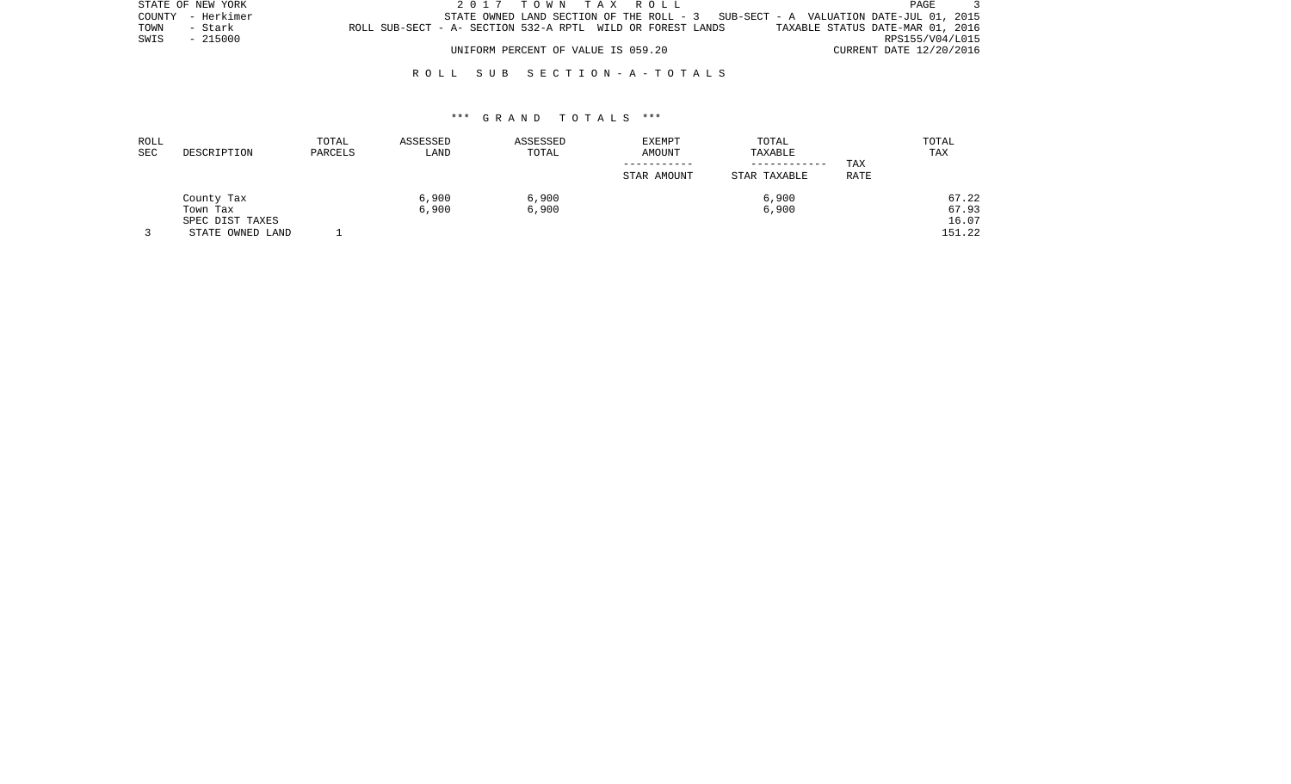| STATE OF NEW YORK |                                                            | 2017 TOWN TAX ROLL                 |  |                                                                                   | <b>PAGE</b>                      |  |
|-------------------|------------------------------------------------------------|------------------------------------|--|-----------------------------------------------------------------------------------|----------------------------------|--|
| COUNTY - Herkimer |                                                            |                                    |  | STATE OWNED LAND SECTION OF THE ROLL - 3 SUB-SECT - A VALUATION DATE-JUL 01, 2015 |                                  |  |
| TOWN<br>- Stark   | ROLL SUB-SECT - A- SECTION 532-A RPTL WILD OR FOREST LANDS |                                    |  |                                                                                   | TAXABLE STATUS DATE-MAR 01, 2016 |  |
| SWIS - 215000     |                                                            |                                    |  |                                                                                   | RPS155/V04/L015                  |  |
|                   |                                                            | UNIFORM PERCENT OF VALUE IS 059.20 |  |                                                                                   | CURRENT DATE 12/20/2016          |  |

# R O L L S U B S E C T I O N - A - T O T A L S

| ROLL<br>SEC | DESCRIPTION                         | TOTAL<br>PARCELS | ASSESSED<br>LAND | ASSESSED<br>TOTAL | <b>EXEMPT</b><br>AMOUNT | TOTAL<br>TAXABLE<br>------------ | TAX  | TOTAL<br>TAX    |
|-------------|-------------------------------------|------------------|------------------|-------------------|-------------------------|----------------------------------|------|-----------------|
|             |                                     |                  |                  |                   | STAR AMOUNT             | STAR TAXABLE                     | RATE |                 |
|             | County Tax<br>Town Tax              |                  | 6,900<br>6,900   | 6,900<br>6,900    |                         | 6,900<br>6,900                   |      | 67.22<br>67.93  |
|             | SPEC DIST TAXES<br>STATE OWNED LAND |                  |                  |                   |                         |                                  |      | 16.07<br>151.22 |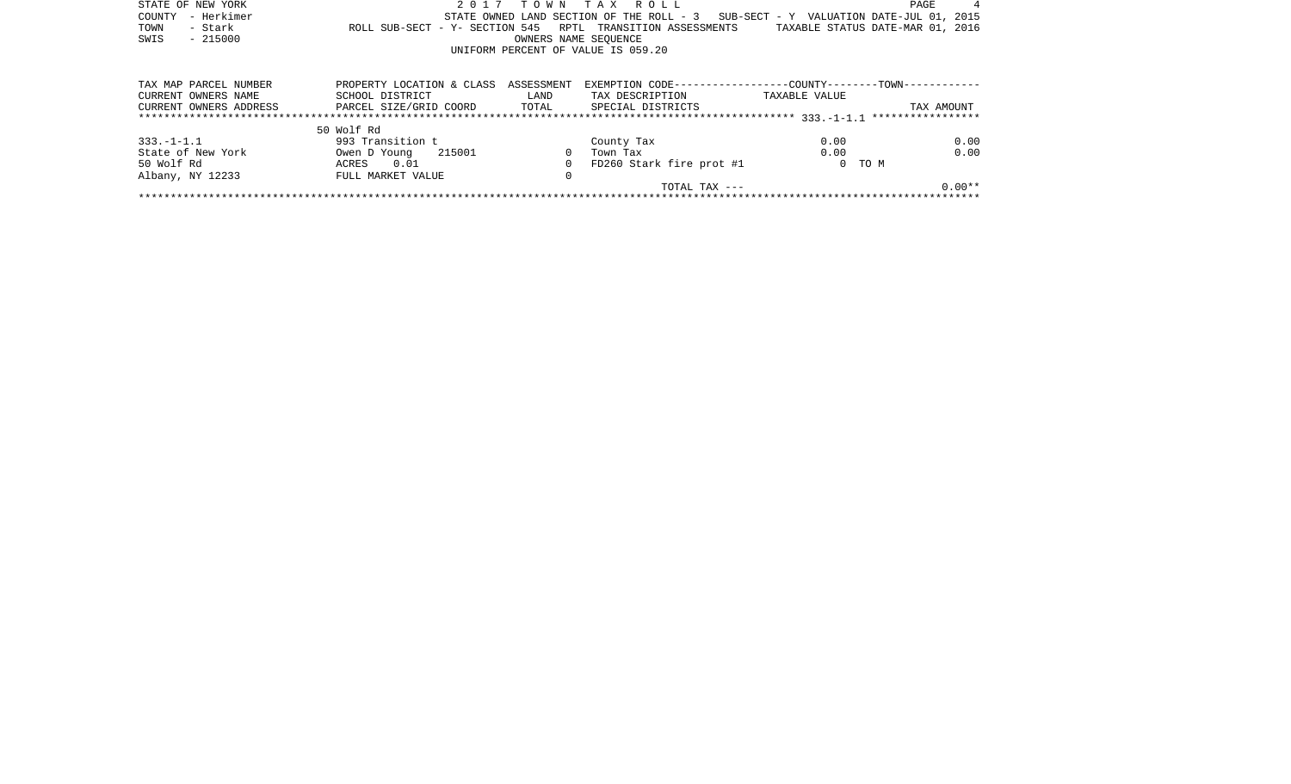| STATE OF NEW YORK      | 2 0 1 7                                        |                      | TOWN TAX ROLL                                                                               |               | PAGE       |
|------------------------|------------------------------------------------|----------------------|---------------------------------------------------------------------------------------------|---------------|------------|
| - Herkimer<br>COUNTY   |                                                |                      | STATE OWNED LAND SECTION OF THE ROLL - 3 SUB-SECT - Y VALUATION DATE-JUL 01, 2015           |               |            |
| - Stark<br>TOWN        |                                                |                      | ROLL SUB-SECT - Y- SECTION 545 RPTL TRANSITION ASSESSMENTS TAXABLE STATUS DATE-MAR 01, 2016 |               |            |
| SWIS<br>$-215000$      |                                                | OWNERS NAME SEOUENCE |                                                                                             |               |            |
|                        |                                                |                      | UNIFORM PERCENT OF VALUE IS 059.20                                                          |               |            |
|                        |                                                |                      |                                                                                             |               |            |
|                        |                                                |                      |                                                                                             |               |            |
| TAX MAP PARCEL NUMBER  | PROPERTY LOCATION & CLASS ASSESSMENT           |                      | EXEMPTION CODE-----------------COUNTY--------TOWN-----------                                |               |            |
| CURRENT OWNERS NAME    | SCHOOL DISTRICT                                | LAND                 | TAX DESCRIPTION                                                                             | TAXABLE VALUE |            |
| CURRENT OWNERS ADDRESS | PARCEL SIZE/GRID COORD TOTAL SPECIAL DISTRICTS |                      |                                                                                             |               | TAX AMOUNT |
|                        |                                                |                      |                                                                                             |               |            |
|                        | 50 Wolf Rd                                     |                      |                                                                                             |               |            |
| $333. -1 - 1.1$        | 993 Transition t                               |                      | County Tax                                                                                  | 0.00          | 0.00       |
| State of New York      | Owen D Young 215001                            |                      | Town Tax                                                                                    | 0.00          | 0.00       |
| 50 Wolf Rd             | ACRES 0.01                                     | $\Omega$             | FD260 Stark fire prot #1                                                                    |               | 0 TO M     |
| Albany, NY 12233       | FULL MARKET VALUE                              | 0                    |                                                                                             |               |            |
|                        |                                                |                      | TOTAL TAX ---                                                                               |               | $0.00**$   |
|                        |                                                |                      |                                                                                             |               |            |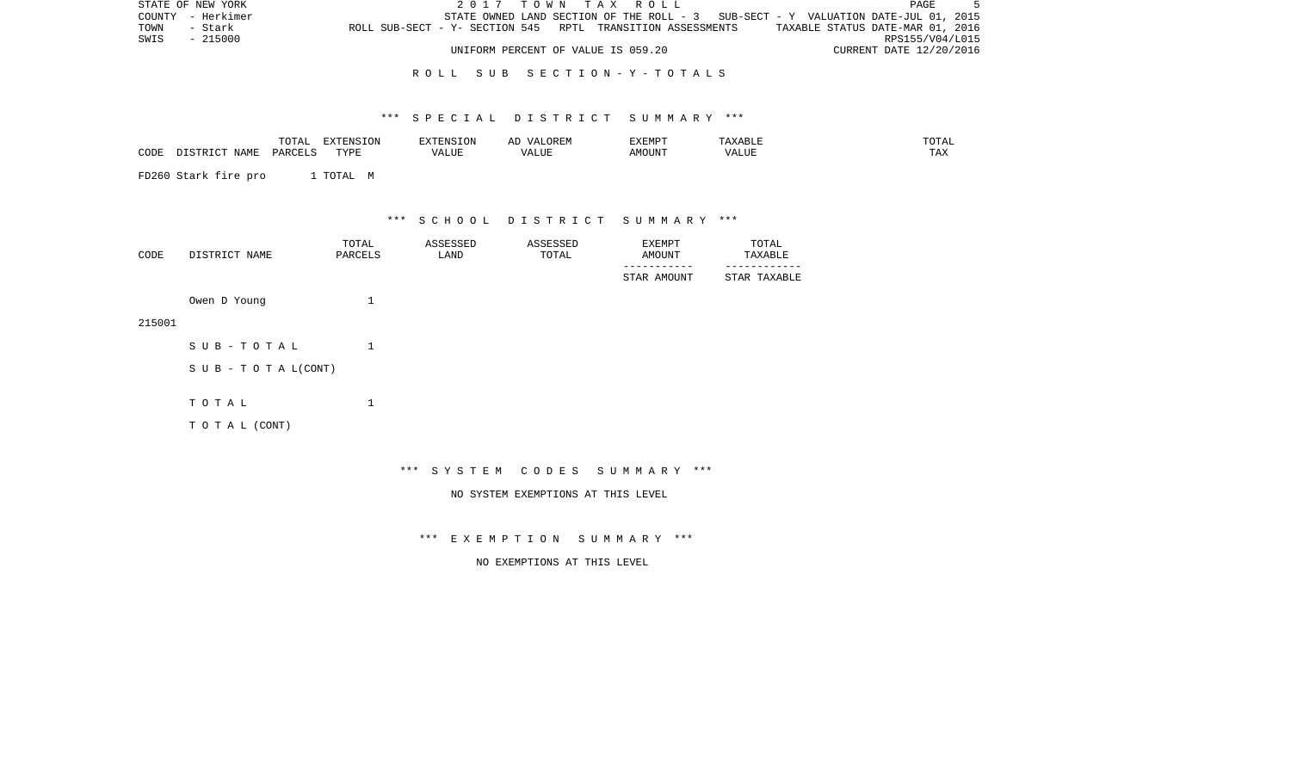| STATE OF NEW YORK |                                                            | 2017 TOWN TAX ROLL                                                                |                                  | PAGE                    |  |
|-------------------|------------------------------------------------------------|-----------------------------------------------------------------------------------|----------------------------------|-------------------------|--|
| COUNTY - Herkimer |                                                            | STATE OWNED LAND SECTION OF THE ROLL - 3 SUB-SECT - Y VALUATION DATE-JUL 01, 2015 |                                  |                         |  |
| TOWN<br>- Stark   | ROLL SUB-SECT - Y- SECTION 545 RPTL TRANSITION ASSESSMENTS |                                                                                   | TAXABLE STATUS DATE-MAR 01, 2016 |                         |  |
| SWIS - 215000     |                                                            |                                                                                   |                                  | RPS155/V04/L015         |  |
|                   |                                                            | UNIFORM PERCENT OF VALUE IS 059.20                                                |                                  | CURRENT DATE 12/20/2016 |  |

### R O L L S U B S E C T I O N - Y - T O T A L S

### \*\*\* S P E C I A L D I S T R I C T S U M M A R Y \*\*\*

| $U + H$          |              | $\overline{1}$ |              |  |                    |
|------------------|--------------|----------------|--------------|--|--------------------|
| CODE<br><u>.</u> | $\pi$<br>. . | 'Alur          | ''AL<br>JU H |  | $m \times n$<br>⊥⊷ |

FD260 Stark fire pro 1 TOTAL M

\*\*\* S C H O O L D I S T R I C T S U M M A R Y \*\*\*

| CODE | DISTRICT NAME | TOTAL<br>PARCELS | ASSESSED<br>LAND | ASSESSED<br>TOTAL | EXEMPT<br>AMOUNT | TOTAL<br>TAXABLE |
|------|---------------|------------------|------------------|-------------------|------------------|------------------|
|      |               |                  |                  |                   | STAR AMOUNT      | STAR TAXABLE     |
|      | Owen D Young  |                  |                  |                   |                  |                  |

215001

| SUB-TOTAL                 |  |
|---------------------------|--|
| S U B - T O T A $L(CONT)$ |  |
| тотаь                     |  |
| T O T A L (CONT)          |  |

\*\*\* S Y S T E M C O D E S S U M M A R Y \*\*\*

NO SYSTEM EXEMPTIONS AT THIS LEVEL

\*\*\* E X E M P T I O N S U M M A R Y \*\*\*

NO EXEMPTIONS AT THIS LEVEL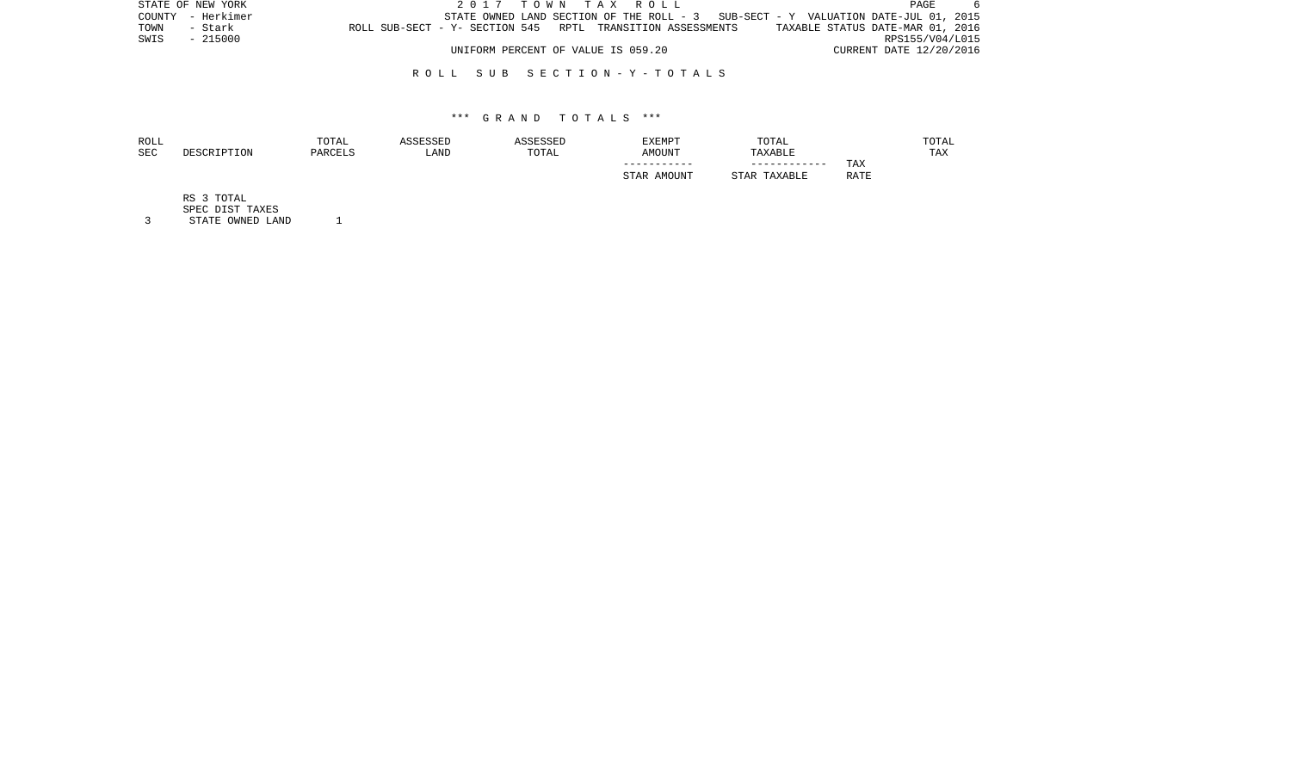|      | STATE OF NEW YORK |                                                            | 2017 TOWN TAX ROLL                                                                |  |  |  |  | PAGE                             |  |
|------|-------------------|------------------------------------------------------------|-----------------------------------------------------------------------------------|--|--|--|--|----------------------------------|--|
|      | COUNTY - Herkimer |                                                            | STATE OWNED LAND SECTION OF THE ROLL - 3 SUB-SECT - Y VALUATION DATE-JUL 01, 2015 |  |  |  |  |                                  |  |
| TOWN | - Stark           | ROLL SUB-SECT - Y- SECTION 545 RPTL TRANSITION ASSESSMENTS |                                                                                   |  |  |  |  | TAXABLE STATUS DATE-MAR 01, 2016 |  |
|      | SWIS - 215000     |                                                            |                                                                                   |  |  |  |  | RPS155/V04/L015                  |  |
|      |                   |                                                            | UNIFORM PERCENT OF VALUE IS 059.20                                                |  |  |  |  | CURRENT DATE 12/20/2016          |  |

### R O L L S U B S E C T I O N - Y - T O T A L S

### \*\*\* G R A N D T O T A L S \*\*\*

| ROLL       |             | TOTAL   | ASSESSED | ASSESSED | EXEMPT           | TOTAL             |      | TOTAL |
|------------|-------------|---------|----------|----------|------------------|-------------------|------|-------|
| <b>SEC</b> | DESCRIPTION | PARCELS | LAND     | TOTAL    | AMOUNT           | TAXABLE           |      | TAX   |
|            |             |         |          |          | -----------      | ------------      | TAX  |       |
|            |             |         |          |          | . AMOUNT<br>STAR | . TAXABLE<br>STAR | RATE |       |
|            |             |         |          |          |                  |                   |      |       |

RS 3 TOTAL

SPEC DIST TAXES

3 STATE OWNED LAND 1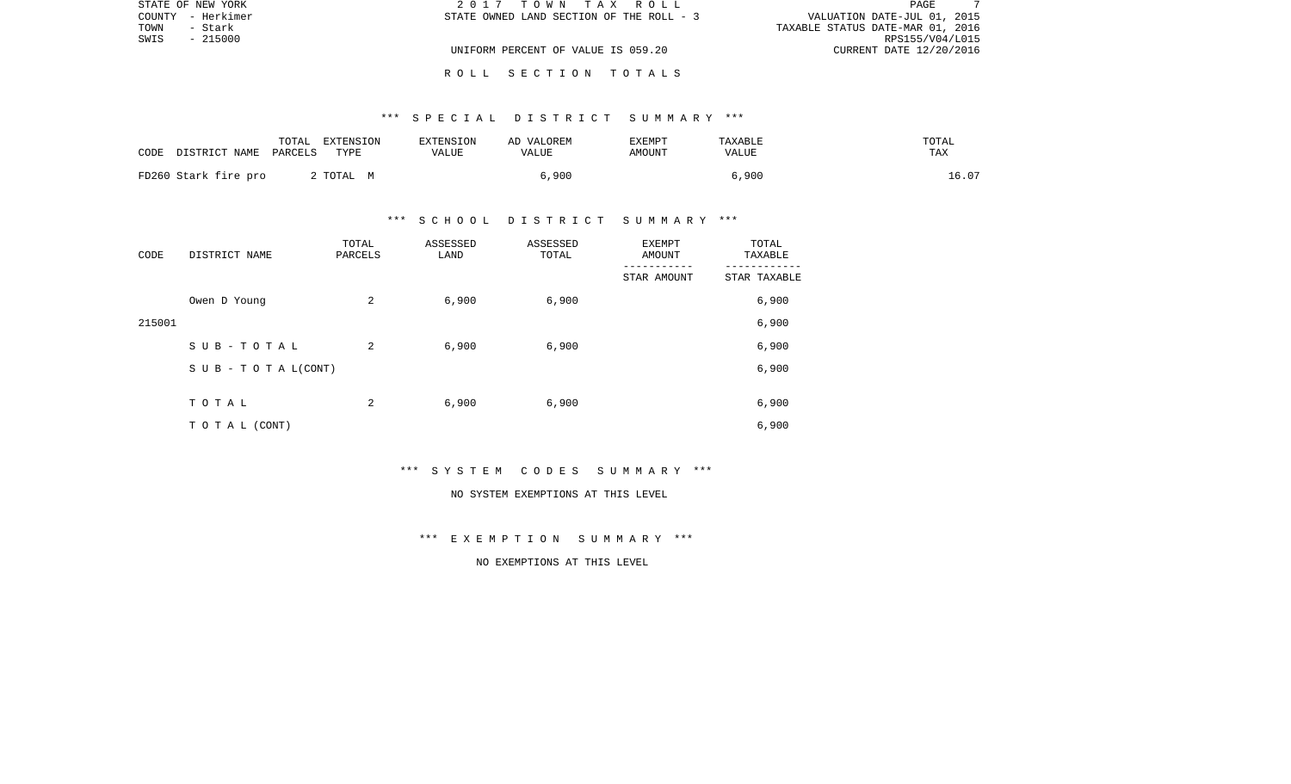| STATE OF NEW YORK | 2017 TOWN TAX ROLL                       | PAGE                             |
|-------------------|------------------------------------------|----------------------------------|
| COUNTY - Herkimer | STATE OWNED LAND SECTION OF THE ROLL - 3 | VALUATION DATE-JUL 01, 2015      |
| TOWN<br>- Stark   |                                          | TAXABLE STATUS DATE-MAR 01, 2016 |
| SWIS<br>- 215000  |                                          | RPS155/V04/L015                  |
|                   | UNIFORM PERCENT OF VALUE IS 059.20       | CURRENT DATE 12/20/2016          |
|                   |                                          |                                  |

R O L L S E C T I O N T O T A L S

# \*\*\* S P E C I A L D I S T R I C T S U M M A R Y \*\*\*

| CODE | DISTRICT NAME PARCELS | TOTAL | EXTENSION<br>TYPE | EXTENSION<br>VALUE | AD VALOREM<br>VALUE | EXEMPT<br>AMOUNT | TAXABLE<br>VALUE | TOTAL<br>TAX |
|------|-----------------------|-------|-------------------|--------------------|---------------------|------------------|------------------|--------------|
|      | FD260 Stark fire pro  |       | 2 ТОТАЬ М         |                    | 6,900               |                  | 6,900            | 16.07        |

# \*\*\* S C H O O L D I S T R I C T S U M M A R Y \*\*\*

| CODE   | DISTRICT NAME                    | TOTAL<br>PARCELS | ASSESSED<br>LAND | ASSESSED<br>TOTAL | <b>EXEMPT</b><br>AMOUNT | TOTAL<br>TAXABLE |
|--------|----------------------------------|------------------|------------------|-------------------|-------------------------|------------------|
|        |                                  |                  |                  |                   | STAR AMOUNT             | STAR TAXABLE     |
|        | Owen D Young                     | 2                | 6,900            | 6,900             |                         | 6,900            |
| 215001 |                                  |                  |                  |                   |                         | 6,900            |
|        | SUB-TOTAL                        | 2                | 6,900            | 6,900             |                         | 6,900            |
|        | $S \cup B - T \cup T A L (CONT)$ |                  |                  |                   |                         | 6,900            |
|        |                                  |                  |                  |                   |                         |                  |
|        | TOTAL                            | 2                | 6,900            | 6,900             |                         | 6,900            |
|        | T O T A L (CONT)                 |                  |                  |                   |                         | 6,900            |

\*\*\* S Y S T E M C O D E S S U M M A R Y \*\*\*

#### NO SYSTEM EXEMPTIONS AT THIS LEVEL

\*\*\* E X E M P T I O N S U M M A R Y \*\*\*

NO EXEMPTIONS AT THIS LEVEL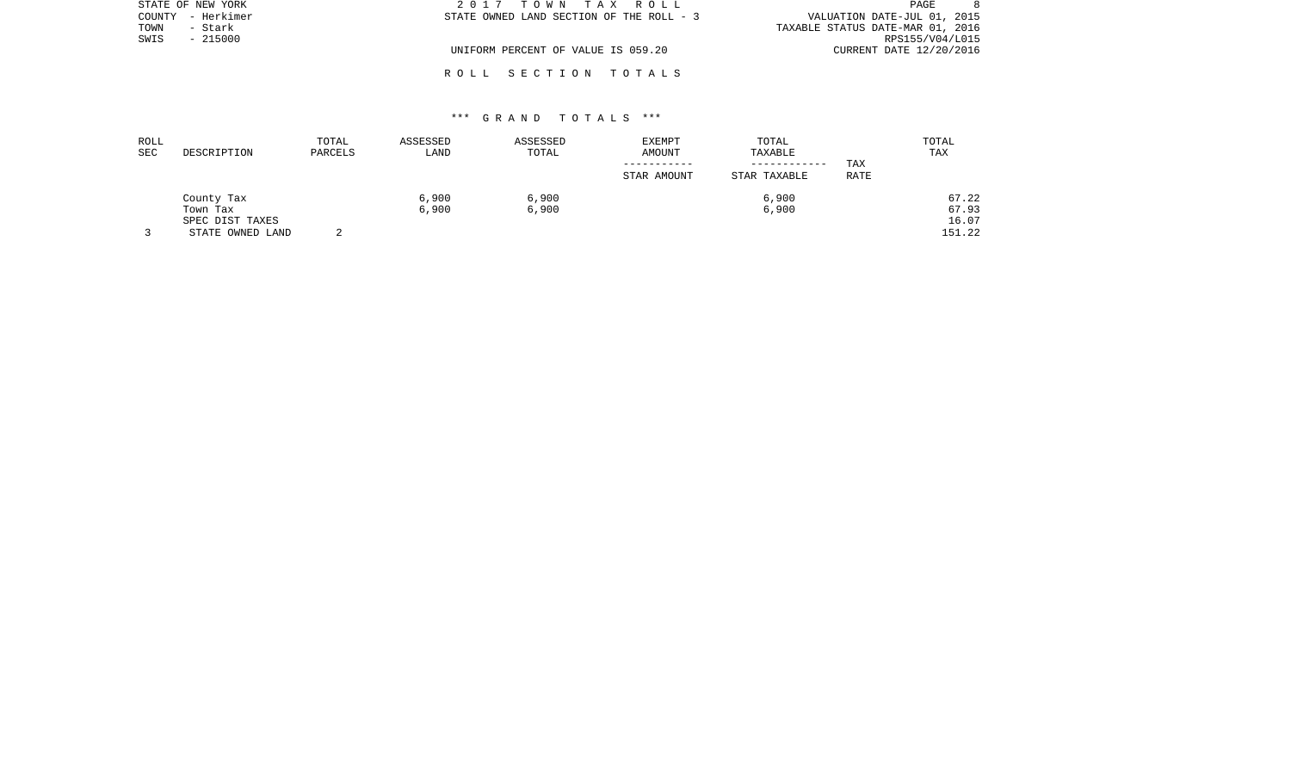| STATE OF NEW YORK    | 2017 TOWN TAX ROLL                       | PAGE                             |
|----------------------|------------------------------------------|----------------------------------|
| – Herkimer<br>COUNTY | STATE OWNED LAND SECTION OF THE ROLL - 3 | VALUATION DATE-JUL 01, 2015      |
| TOWN<br>- Stark      |                                          | TAXABLE STATUS DATE-MAR 01, 2016 |
| $-215000$<br>SWIS    |                                          | RPS155/V04/L015                  |
|                      | UNIFORM PERCENT OF VALUE IS 059.20       | CURRENT DATE 12/20/2016          |
|                      |                                          |                                  |

# \*\*\* G R A N D T O T A L S \*\*\*

R O L L S E C T I O N T O T A L S

| ROLL       |                  | TOTAL   | ASSESSED | ASSESSED | <b>EXEMPT</b> | TOTAL        |      | TOTAL      |
|------------|------------------|---------|----------|----------|---------------|--------------|------|------------|
| <b>SEC</b> | DESCRIPTION      | PARCELS | LAND     | TOTAL    | AMOUNT        | TAXABLE      |      | <b>TAX</b> |
|            |                  |         |          |          |               | ------------ | TAX  |            |
|            |                  |         |          |          | STAR AMOUNT   | STAR TAXABLE | RATE |            |
|            | County Tax       |         | 6.900    | 6,900    |               | 6,900        |      | 67.22      |
|            | Town Tax         |         | 6,900    | 6,900    |               | 6,900        |      | 67.93      |
|            | SPEC DIST TAXES  |         |          |          |               |              |      | 16.07      |
|            | STATE OWNED LAND |         |          |          |               |              |      | 151.22     |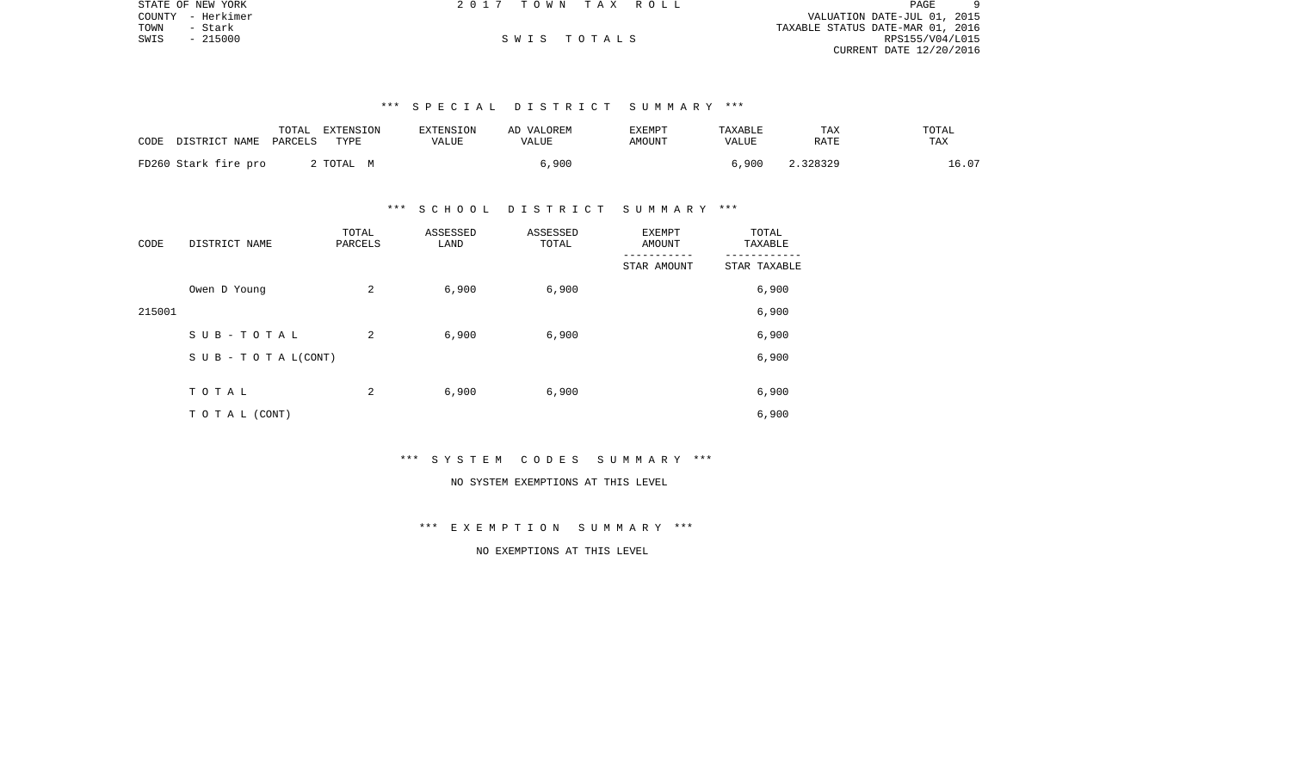|      | STATE OF NEW YORK | 2017 TOWN TAX ROLL |             |                                  | PAGE            | 9 |
|------|-------------------|--------------------|-------------|----------------------------------|-----------------|---|
|      | COUNTY - Herkimer |                    |             | VALUATION DATE-JUL 01, 2015      |                 |   |
| TOWN | - Stark           |                    |             | TAXABLE STATUS DATE-MAR 01, 2016 |                 |   |
| SWIS | $-215000$         |                    | SWIS TOTALS |                                  | RPS155/V04/L015 |   |
|      |                   |                    |             | CURRENT DATE 12/20/2016          |                 |   |

# \*\*\* S P E C I A L D I S T R I C T S U M M A R Y \*\*\*

| CODE<br>DISTRICT NAME | TOTAL<br>EXTENSION<br>PARCELS<br>TYPE | <b>EXTENSION</b><br>VALUE | AD VALOREM<br>VALUE | EXEMPT<br>AMOUNT | TAXABLE<br>VALUE | TAX<br>RATE | TOTAL<br>TAX |
|-----------------------|---------------------------------------|---------------------------|---------------------|------------------|------------------|-------------|--------------|
| FD260 Stark fire pro  | 2 TOTAL M                             |                           | 6,900               |                  | 6.900            | 2.328329    | 16.07        |

#### \*\*\* S C H O O L D I S T R I C T S U M M A R Y \*\*\*

| CODE   | DISTRICT NAME      | TOTAL<br>PARCELS | ASSESSED<br>LAND | ASSESSED<br>TOTAL | <b>EXEMPT</b><br>AMOUNT | TOTAL<br>TAXABLE |
|--------|--------------------|------------------|------------------|-------------------|-------------------------|------------------|
|        |                    |                  |                  |                   | STAR AMOUNT             | STAR TAXABLE     |
|        | Owen D Young       | 2                | 6,900            | 6,900             |                         | 6,900            |
| 215001 |                    |                  |                  |                   |                         | 6,900            |
|        | SUB-TOTAL          | 2                | 6,900            | 6,900             |                         | 6,900            |
|        | SUB - TO TAL(CONT) |                  |                  |                   |                         | 6,900            |
|        |                    |                  |                  |                   |                         |                  |
|        | TOTAL              | 2                | 6,900            | 6,900             |                         | 6,900            |
|        | T O T A L (CONT)   |                  |                  |                   |                         | 6,900            |

### \*\*\* S Y S T E M C O D E S S U M M A R Y \*\*\*

# NO SYSTEM EXEMPTIONS AT THIS LEVEL

# \*\*\* E X E M P T I O N S U M M A R Y \*\*\*

# NO EXEMPTIONS AT THIS LEVEL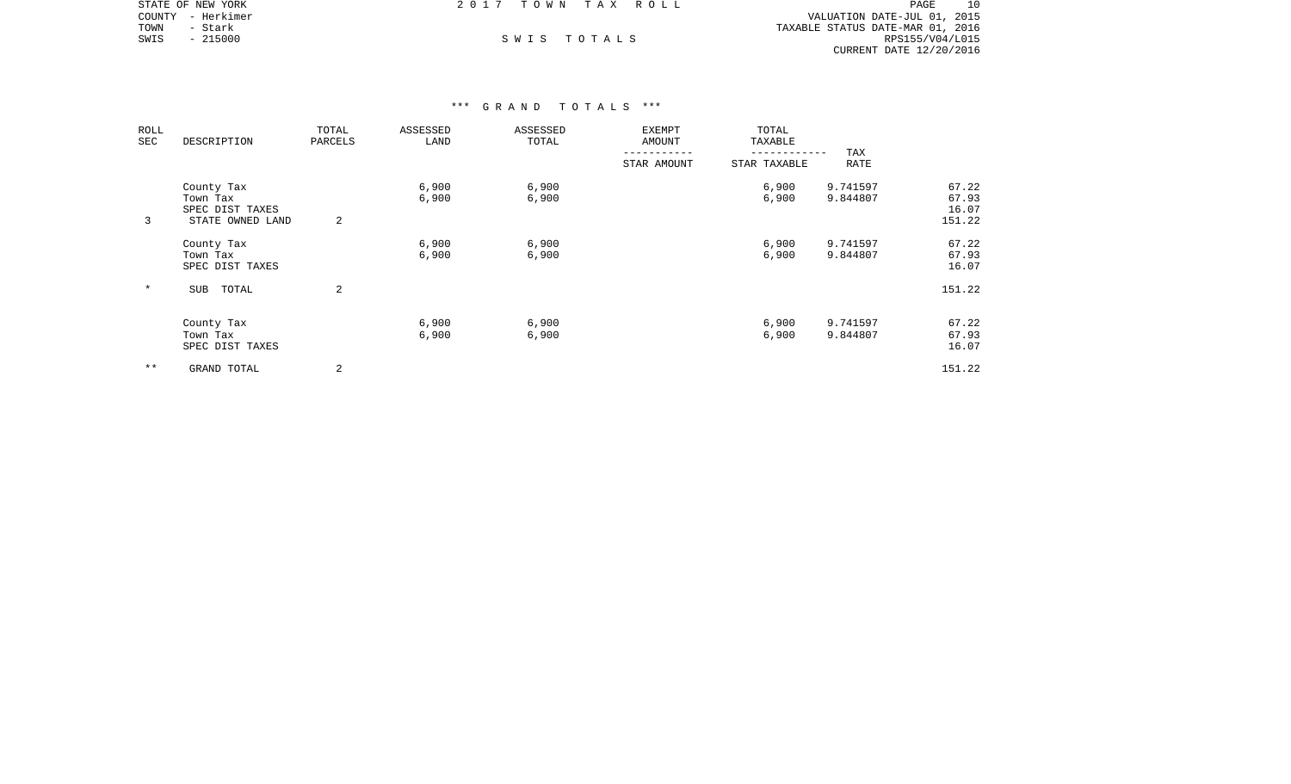|      | STATE OF NEW YORK | 2017 TOWN TAX ROLL |  |                                  | PAGE            | 10 |
|------|-------------------|--------------------|--|----------------------------------|-----------------|----|
|      | COUNTY - Herkimer |                    |  | VALUATION DATE-JUL 01, 2015      |                 |    |
| TOWN | – Stark           |                    |  | TAXABLE STATUS DATE-MAR 01, 2016 |                 |    |
| SWIS | $-215000$         | SWIS TOTALS        |  |                                  | RPS155/V04/L015 |    |
|      |                   |                    |  | CURRENT DATE 12/20/2016          |                 |    |

| ROLL<br>SEC | DESCRIPTION                                                   | TOTAL<br>PARCELS | ASSESSED<br>LAND | ASSESSED<br>TOTAL | <b>EXEMPT</b><br>AMOUNT | TOTAL<br>TAXABLE |                      |                                   |
|-------------|---------------------------------------------------------------|------------------|------------------|-------------------|-------------------------|------------------|----------------------|-----------------------------------|
|             |                                                               |                  |                  |                   | STAR AMOUNT             | STAR TAXABLE     | TAX<br>RATE          |                                   |
| 3           | County Tax<br>Town Tax<br>SPEC DIST TAXES<br>STATE OWNED LAND | 2                | 6,900<br>6,900   | 6,900<br>6,900    |                         | 6,900<br>6,900   | 9.741597<br>9.844807 | 67.22<br>67.93<br>16.07<br>151.22 |
|             | County Tax<br>Town Tax<br>SPEC DIST TAXES                     |                  | 6,900<br>6,900   | 6,900<br>6,900    |                         | 6,900<br>6,900   | 9.741597<br>9.844807 | 67.22<br>67.93<br>16.07           |
| $\ast$      | TOTAL<br><b>SUB</b>                                           | 2                |                  |                   |                         |                  |                      | 151.22                            |
|             | County Tax<br>Town Tax<br>SPEC DIST TAXES                     |                  | 6,900<br>6,900   | 6,900<br>6,900    |                         | 6,900<br>6,900   | 9.741597<br>9.844807 | 67.22<br>67.93<br>16.07           |
| $* *$       | GRAND TOTAL                                                   | 2                |                  |                   |                         |                  |                      | 151.22                            |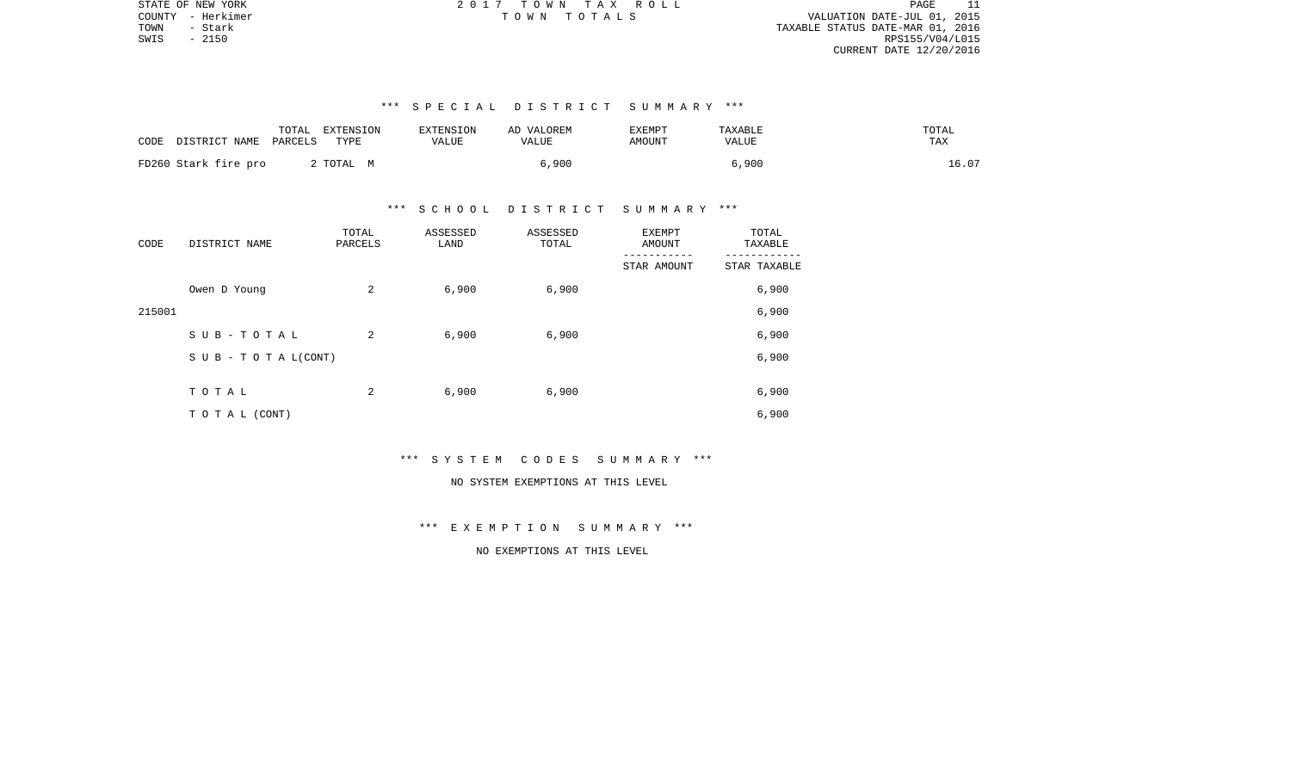PAGE 11 COUNTY - Herkimer T O W N T O T A L S VALUATION DATE-JUL 01, 2015 TOWN - Stark TAXABLE STATUS DATE-MAR 01, 2016 RPS155/V04/L015 CURRENT DATE 12/20/2016

STATE OF NEW YORK **EXECUTE:** A 2 0 1 7 T O W N T A X R O L L

# \*\*\* S P E C I A L D I S T R I C T S U M M A R Y \*\*\*

| CODE                 | TOTAL   | EXTENSION | EXTENSION | AD VALOREM | <b>EXEMPT</b> | TAXABLE | TOTAL |
|----------------------|---------|-----------|-----------|------------|---------------|---------|-------|
| DISTRICT NAME        | PARCELS | TYPE      | VALUE     | VALUE      | AMOUNT        | VALUE   | TAX   |
| FD260 Stark fire pro |         | TOTAL M   |           | 6,900      |               | 6,900   | 16.07 |

#### \*\*\* S C H O O L D I S T R I C T S U M M A R Y \*\*\*

| CODE   | DISTRICT NAME                    | TOTAL<br>PARCELS | ASSESSED<br>LAND | ASSESSED<br>TOTAL | <b>EXEMPT</b><br>AMOUNT | TOTAL<br>TAXABLE |  |
|--------|----------------------------------|------------------|------------------|-------------------|-------------------------|------------------|--|
|        |                                  |                  |                  |                   | STAR AMOUNT             | STAR TAXABLE     |  |
|        | Owen D Young                     | 2                | 6,900            | 6,900             |                         | 6,900            |  |
| 215001 |                                  |                  |                  |                   |                         | 6,900            |  |
|        | SUB-TOTAL                        | 2                | 6,900            | 6,900             |                         | 6,900            |  |
|        | $S \cup B - T \cup T A L (CONT)$ |                  |                  |                   |                         | 6,900            |  |
|        | TOTAL                            | 2                | 6,900            | 6,900             |                         | 6,900            |  |
|        |                                  |                  |                  |                   |                         |                  |  |
|        | T O T A L (CONT)                 |                  |                  |                   |                         | 6,900            |  |

# \*\*\* S Y S T E M C O D E S S U M M A R Y \*\*\*

# NO SYSTEM EXEMPTIONS AT THIS LEVEL

# \*\*\* E X E M P T I O N S U M M A R Y \*\*\*

# NO EXEMPTIONS AT THIS LEVEL